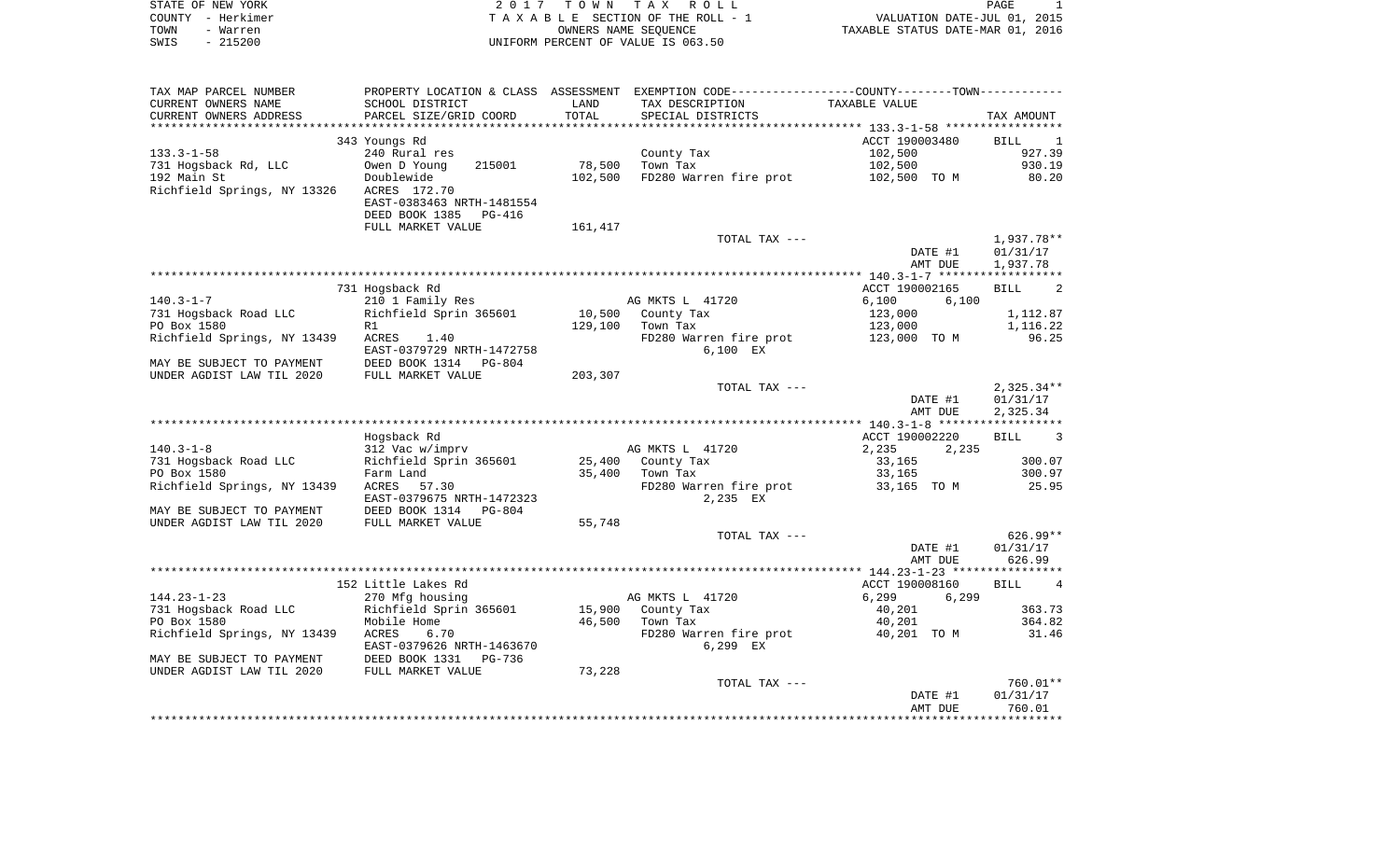| STATE OF NEW YORK | 2017 TOWN TAX ROLL                 | PAGE                             |
|-------------------|------------------------------------|----------------------------------|
| COUNTY - Herkimer | TAXABLE SECTION OF THE ROLL - 1    | VALUATION DATE-JUL 01, 2015      |
| TOWN<br>- Warren  | OWNERS NAME SEOUENCE               | TAXABLE STATUS DATE-MAR 01, 2016 |
| $-215200$<br>SWIS | UNIFORM PERCENT OF VALUE IS 063.50 |                                  |

| TAX MAP PARCEL NUMBER       |                                           |         | PROPERTY LOCATION & CLASS ASSESSMENT EXEMPTION CODE---------------COUNTY-------TOWN--------- |                |                                  |
|-----------------------------|-------------------------------------------|---------|----------------------------------------------------------------------------------------------|----------------|----------------------------------|
| CURRENT OWNERS NAME         | SCHOOL DISTRICT                           | LAND    | TAX DESCRIPTION                                                                              | TAXABLE VALUE  |                                  |
| CURRENT OWNERS ADDRESS      | PARCEL SIZE/GRID COORD                    | TOTAL   | SPECIAL DISTRICTS                                                                            |                | TAX AMOUNT                       |
|                             |                                           |         |                                                                                              |                |                                  |
|                             | 343 Youngs Rd                             |         |                                                                                              | ACCT 190003480 | BILL<br>$\overline{\phantom{0}}$ |
| $133.3 - 1 - 58$            | 240 Rural res                             |         | County Tax                                                                                   | 102,500        | 927.39                           |
| 731 Hogsback Rd, LLC        | 215001<br>Owen D Young                    | 78,500  | Town Tax                                                                                     | 102,500        | 930.19                           |
| 192 Main St                 | Doublewide                                | 102,500 | FD280 Warren fire prot                                                                       | 102,500 TO M   | 80.20                            |
| Richfield Springs, NY 13326 |                                           |         |                                                                                              |                |                                  |
|                             | ACRES 172.70<br>EAST-0383463 NRTH-1481554 |         |                                                                                              |                |                                  |
|                             |                                           |         |                                                                                              |                |                                  |
|                             | DEED BOOK 1385 PG-416                     |         |                                                                                              |                |                                  |
|                             | FULL MARKET VALUE                         | 161,417 |                                                                                              |                |                                  |
|                             |                                           |         | TOTAL TAX ---                                                                                |                | 1,937.78**                       |
|                             |                                           |         |                                                                                              | DATE #1        | 01/31/17                         |
|                             |                                           |         |                                                                                              | AMT DUE        | 1,937.78                         |
|                             |                                           |         |                                                                                              |                |                                  |
|                             | 731 Hogsback Rd                           |         |                                                                                              | ACCT 190002165 | 2<br><b>BILL</b>                 |
| $140.3 - 1 - 7$             | 210 1 Family Res                          |         | AG MKTS L 41720                                                                              | 6,100<br>6,100 |                                  |
| 731 Hogsback Road LLC       | Richfield Sprin 365601                    | 10,500  | County Tax                                                                                   | 123,000        | 1,112.87                         |
| PO Box 1580                 | R1                                        | 129,100 | Town Tax                                                                                     | 123,000        | 1,116.22                         |
| Richfield Springs, NY 13439 | ACRES<br>1.40                             |         | FD280 Warren fire prot 123,000 TO M                                                          |                | 96.25                            |
|                             | EAST-0379729 NRTH-1472758                 |         | 6,100 EX                                                                                     |                |                                  |
| MAY BE SUBJECT TO PAYMENT   | DEED BOOK 1314 PG-804                     |         |                                                                                              |                |                                  |
| UNDER AGDIST LAW TIL 2020   | FULL MARKET VALUE                         | 203,307 |                                                                                              |                |                                  |
|                             |                                           |         | TOTAL TAX ---                                                                                |                | $2,325.34**$                     |
|                             |                                           |         |                                                                                              |                |                                  |
|                             |                                           |         |                                                                                              | DATE #1        | 01/31/17                         |
|                             |                                           |         |                                                                                              | AMT DUE        | 2,325.34                         |
|                             |                                           |         |                                                                                              |                |                                  |
|                             | Hogsback Rd                               |         |                                                                                              | ACCT 190002220 | 3<br>BILL                        |
| $140.3 - 1 - 8$             | 312 Vac w/imprv                           |         | AG MKTS L 41720                                                                              | 2,235<br>2,235 |                                  |
| 731 Hogsback Road LLC       | Richfield Sprin 365601                    | 25,400  | County Tax                                                                                   | 33,165         | 300.07                           |
| PO Box 1580                 | Farm Land                                 | 35,400  | Town Tax                                                                                     | 33,165         | 300.97                           |
| Richfield Springs, NY 13439 | ACRES 57.30                               |         | FD280 Warren fire prot                                                                       | 33,165 TO M    | 25.95                            |
|                             | EAST-0379675 NRTH-1472323                 |         | 2,235 EX                                                                                     |                |                                  |
| MAY BE SUBJECT TO PAYMENT   | DEED BOOK 1314<br>PG-804                  |         |                                                                                              |                |                                  |
| UNDER AGDIST LAW TIL 2020   | FULL MARKET VALUE                         | 55,748  |                                                                                              |                |                                  |
|                             |                                           |         | TOTAL TAX ---                                                                                |                | $626.99**$                       |
|                             |                                           |         |                                                                                              | DATE #1        | 01/31/17                         |
|                             |                                           |         |                                                                                              | AMT DUE        | 626.99                           |
|                             |                                           |         |                                                                                              |                |                                  |
|                             | 152 Little Lakes Rd                       |         |                                                                                              | ACCT 190008160 | <b>BILL</b><br>$\overline{4}$    |
| $144.23 - 1 - 23$           | 270 Mfg housing                           |         | AG MKTS L 41720                                                                              | 6,299<br>6,299 |                                  |
| 731 Hogsback Road LLC       | Richfield Sprin 365601                    |         | 15,900 County Tax                                                                            | 40,201         | 363.73                           |
|                             |                                           |         |                                                                                              |                |                                  |
| PO Box 1580                 | Mobile Home                               | 46,500  | Town Tax                                                                                     | 40,201         | 364.82                           |
| Richfield Springs, NY 13439 | ACRES<br>6.70                             |         | FD280 Warren fire prot                                                                       | 40,201 TO M    | 31.46                            |
|                             | EAST-0379626 NRTH-1463670                 |         | 6,299 EX                                                                                     |                |                                  |
| MAY BE SUBJECT TO PAYMENT   | DEED BOOK 1331<br>PG-736                  |         |                                                                                              |                |                                  |
| UNDER AGDIST LAW TIL 2020   | FULL MARKET VALUE                         | 73,228  |                                                                                              |                |                                  |
|                             |                                           |         | TOTAL TAX ---                                                                                |                | 760.01**                         |
|                             |                                           |         |                                                                                              | DATE #1        | 01/31/17                         |
|                             |                                           |         |                                                                                              | AMT DUE        | 760.01                           |
|                             |                                           |         |                                                                                              |                |                                  |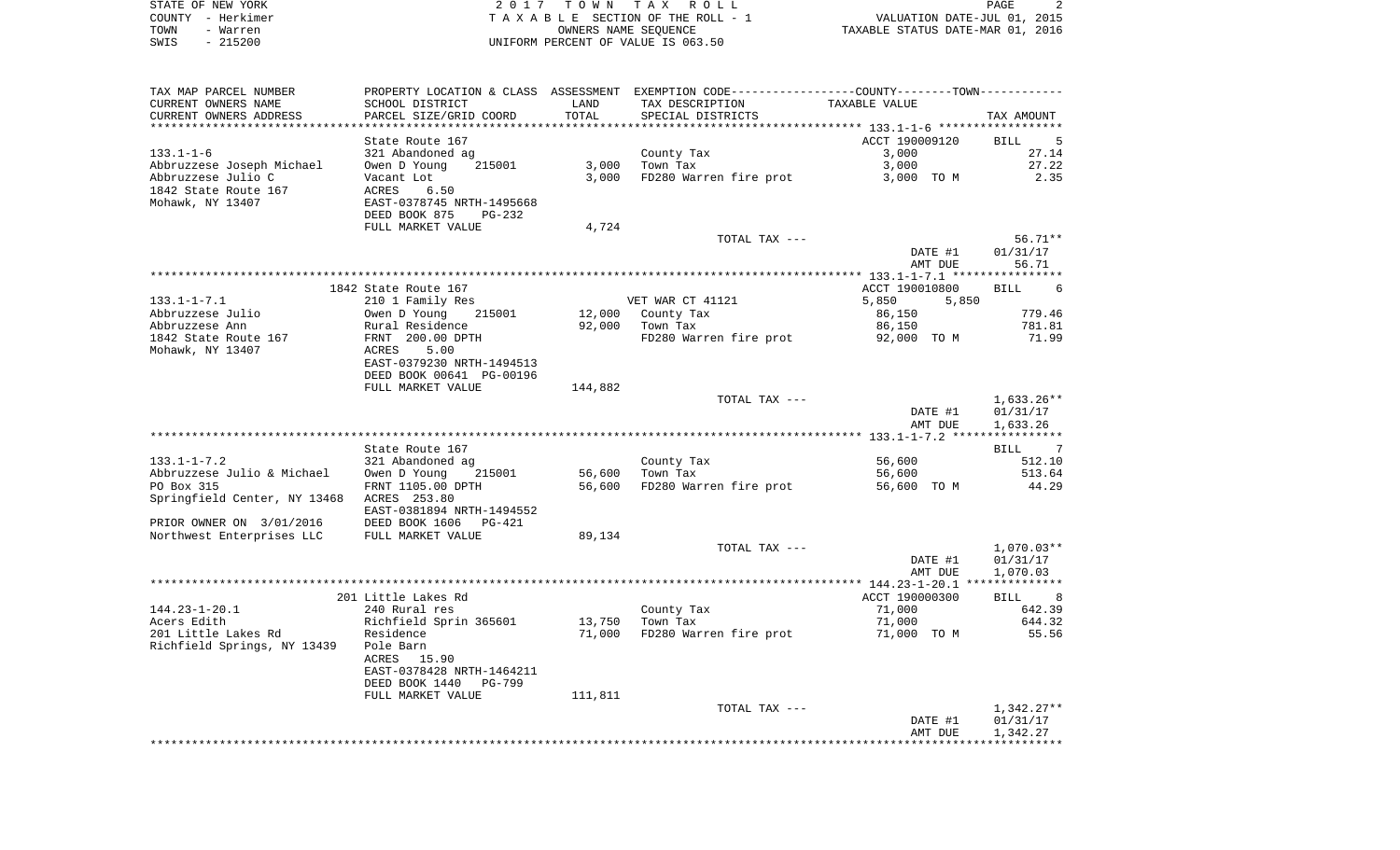|      | STATE OF NEW YORK | 2017 TOWN TAX ROLL                 | PAGE                             |
|------|-------------------|------------------------------------|----------------------------------|
|      | COUNTY - Herkimer | TAXABLE SECTION OF THE ROLL - 1    | VALUATION DATE-JUL 01, 2015      |
| TOWN | - Warren          | OWNERS NAME SEOUENCE               | TAXABLE STATUS DATE-MAR 01, 2016 |
| SWIS | - 215200          | UNIFORM PERCENT OF VALUE IS 063.50 |                                  |

| TAX MAP PARCEL NUMBER                     |                                           |         |                        | PROPERTY LOCATION & CLASS ASSESSMENT EXEMPTION CODE----------------COUNTY--------TOWN---------- |                        |
|-------------------------------------------|-------------------------------------------|---------|------------------------|-------------------------------------------------------------------------------------------------|------------------------|
| CURRENT OWNERS NAME                       | SCHOOL DISTRICT                           | LAND    | TAX DESCRIPTION        | TAXABLE VALUE                                                                                   |                        |
| CURRENT OWNERS ADDRESS                    | PARCEL SIZE/GRID COORD                    | TOTAL   | SPECIAL DISTRICTS      |                                                                                                 | TAX AMOUNT             |
|                                           |                                           |         |                        |                                                                                                 |                        |
|                                           | State Route 167                           |         |                        | ACCT 190009120                                                                                  | BILL 5                 |
| $133.1 - 1 - 6$                           | 321 Abandoned ag                          |         | County Tax             | 3,000                                                                                           | 27.14                  |
| Abbruzzese Joseph Michael                 | 215001<br>Owen D Young                    | 3,000   | Town Tax               | 3,000                                                                                           | 27.22                  |
| Abbruzzese Julio C                        | Vacant Lot                                | 3,000   | FD280 Warren fire prot | 3,000 TO M                                                                                      | 2.35                   |
| 1842 State Route 167                      | ACRES<br>6.50                             |         |                        |                                                                                                 |                        |
| Mohawk, NY 13407                          | EAST-0378745 NRTH-1495668                 |         |                        |                                                                                                 |                        |
|                                           | DEED BOOK 875<br>$PG-232$                 |         |                        |                                                                                                 |                        |
|                                           | FULL MARKET VALUE                         | 4,724   |                        |                                                                                                 |                        |
|                                           |                                           |         | TOTAL TAX ---          |                                                                                                 | 56.71**                |
|                                           |                                           |         |                        | DATE #1                                                                                         | 01/31/17               |
|                                           |                                           |         |                        | AMT DUE                                                                                         | 56.71                  |
|                                           |                                           |         |                        |                                                                                                 |                        |
|                                           | 1842 State Route 167                      |         |                        | ACCT 190010800                                                                                  | <b>BILL</b><br>-6      |
| $133.1 - 1 - 7.1$                         | 210 1 Family Res                          |         | VET WAR CT 41121       | 5,850<br>5,850                                                                                  |                        |
|                                           |                                           |         |                        | 86,150                                                                                          | 779.46                 |
| Abbruzzese Julio<br>Abbruzzese Ann        | Owen D Young<br>215001<br>Rural Residence | 92,000  | 12,000 County Tax      |                                                                                                 | 781.81                 |
|                                           |                                           |         | Town Tax               | 86,150                                                                                          |                        |
| 1842 State Route 167                      | FRNT 200.00 DPTH                          |         | FD280 Warren fire prot | 92,000 TO M                                                                                     | 71.99                  |
| Mohawk, NY 13407                          | 5.00<br>ACRES                             |         |                        |                                                                                                 |                        |
|                                           | EAST-0379230 NRTH-1494513                 |         |                        |                                                                                                 |                        |
|                                           | DEED BOOK 00641 PG-00196                  |         |                        |                                                                                                 |                        |
|                                           | FULL MARKET VALUE                         | 144,882 |                        |                                                                                                 |                        |
|                                           |                                           |         | TOTAL TAX ---          |                                                                                                 | 1,633.26**             |
|                                           |                                           |         |                        | DATE #1                                                                                         | 01/31/17               |
|                                           |                                           |         |                        | AMT DUE                                                                                         | 1,633.26               |
|                                           |                                           |         |                        |                                                                                                 |                        |
|                                           | State Route 167                           |         |                        |                                                                                                 | $\overline{7}$<br>BILL |
| $133.1 - 1 - 7.2$                         | 321 Abandoned ag                          |         | County Tax             | 56,600                                                                                          | 512.10                 |
| Abbruzzese Julio & Michael                | Owen D Young<br>215001                    | 56,600  | Town Tax               | 56,600                                                                                          | 513.64                 |
| PO Box 315                                | FRNT 1105.00 DPTH                         | 56,600  | FD280 Warren fire prot | 56,600 TO M                                                                                     | 44.29                  |
| Springfield Center, NY 13468 ACRES 253.80 |                                           |         |                        |                                                                                                 |                        |
|                                           | EAST-0381894 NRTH-1494552                 |         |                        |                                                                                                 |                        |
| PRIOR OWNER ON 3/01/2016                  | DEED BOOK 1606 PG-421                     |         |                        |                                                                                                 |                        |
| Northwest Enterprises LLC                 | FULL MARKET VALUE                         | 89,134  |                        |                                                                                                 |                        |
|                                           |                                           |         | TOTAL TAX ---          |                                                                                                 | 1,070.03**             |
|                                           |                                           |         |                        | DATE #1                                                                                         | 01/31/17               |
|                                           |                                           |         |                        | AMT DUE                                                                                         | 1,070.03               |
|                                           |                                           |         |                        |                                                                                                 |                        |
|                                           | 201 Little Lakes Rd                       |         |                        | ACCT 190000300                                                                                  | BILL 8                 |
| $144.23 - 1 - 20.1$                       | 240 Rural res                             |         | County Tax             | 71,000                                                                                          | 642.39                 |
| Acers Edith                               | Richfield Sprin 365601                    | 13,750  | Town Tax               | 71,000                                                                                          | 644.32                 |
| 201 Little Lakes Rd                       | Residence                                 | 71,000  | FD280 Warren fire prot | 71,000 TO M                                                                                     | 55.56                  |
| Richfield Springs, NY 13439               | Pole Barn                                 |         |                        |                                                                                                 |                        |
|                                           | ACRES 15.90                               |         |                        |                                                                                                 |                        |
|                                           | EAST-0378428 NRTH-1464211                 |         |                        |                                                                                                 |                        |
|                                           | DEED BOOK 1440<br><b>PG-799</b>           |         |                        |                                                                                                 |                        |
|                                           | FULL MARKET VALUE                         | 111,811 |                        |                                                                                                 |                        |
|                                           |                                           |         | TOTAL TAX ---          |                                                                                                 | 1,342.27**             |
|                                           |                                           |         |                        | DATE #1                                                                                         | 01/31/17               |
|                                           |                                           |         |                        | AMT DUE                                                                                         | 1,342.27               |
|                                           |                                           |         |                        |                                                                                                 |                        |
|                                           |                                           |         |                        |                                                                                                 |                        |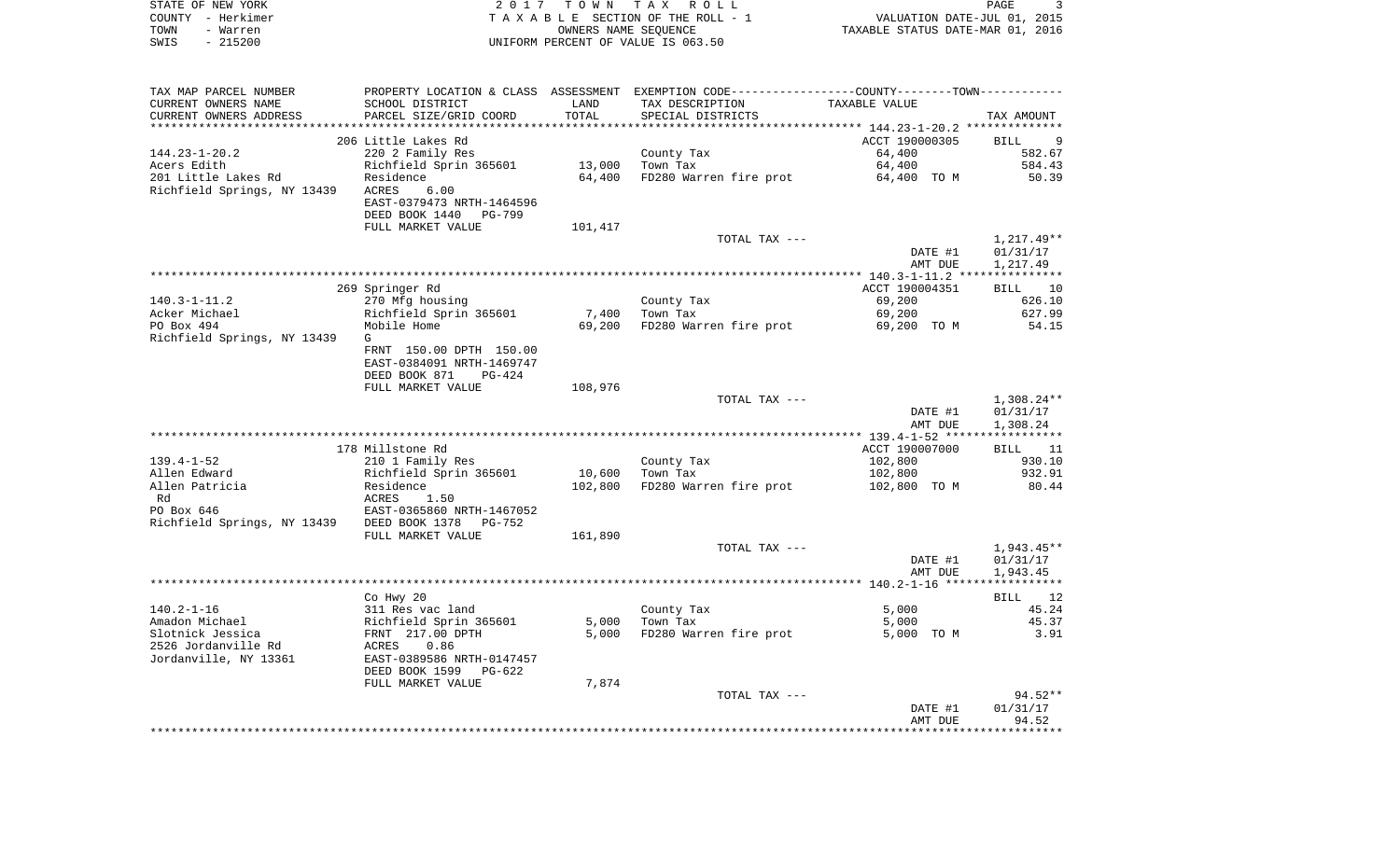| STATE OF NEW YORK<br>COUNTY - Herkimer<br>TOWN<br>- Warren<br>$-215200$<br>SWIS | 2017                                                 |                  | TOWN TAX ROLL<br>TAXABLE SECTION OF THE ROLL - 1<br>OWNERS NAME SEQUENCE<br>UNIFORM PERCENT OF VALUE IS 063.50 | VALUATION DATE-JUL 01, 2015<br>TAXABLE STATUS DATE-MAR 01, 2016 | PAGE<br>3              |
|---------------------------------------------------------------------------------|------------------------------------------------------|------------------|----------------------------------------------------------------------------------------------------------------|-----------------------------------------------------------------|------------------------|
| TAX MAP PARCEL NUMBER                                                           |                                                      |                  | PROPERTY LOCATION & CLASS ASSESSMENT EXEMPTION CODE----------------COUNTY--------TOWN-----------               |                                                                 |                        |
| CURRENT OWNERS NAME                                                             | SCHOOL DISTRICT                                      | LAND             | TAX DESCRIPTION                                                                                                | TAXABLE VALUE                                                   |                        |
| CURRENT OWNERS ADDRESS                                                          | PARCEL SIZE/GRID COORD                               | TOTAL            | SPECIAL DISTRICTS                                                                                              |                                                                 | TAX AMOUNT             |
| *************************                                                       |                                                      |                  |                                                                                                                |                                                                 |                        |
|                                                                                 | 206 Little Lakes Rd                                  |                  |                                                                                                                | ACCT 190000305                                                  | BILL<br>-9             |
| $144.23 - 1 - 20.2$                                                             | 220 2 Family Res                                     |                  | County Tax                                                                                                     | 64,400                                                          | 582.67                 |
| Acers Edith<br>201 Little Lakes Rd                                              | Richfield Sprin 365601<br>Residence                  | 13,000<br>64,400 | Town Tax<br>FD280 Warren fire prot                                                                             | 64,400<br>64,400 TO M                                           | 584.43<br>50.39        |
| Richfield Springs, NY 13439                                                     | ACRES<br>6.00                                        |                  |                                                                                                                |                                                                 |                        |
|                                                                                 | EAST-0379473 NRTH-1464596                            |                  |                                                                                                                |                                                                 |                        |
|                                                                                 | DEED BOOK 1440 PG-799                                |                  |                                                                                                                |                                                                 |                        |
|                                                                                 | FULL MARKET VALUE                                    | 101,417          |                                                                                                                |                                                                 |                        |
|                                                                                 |                                                      |                  | TOTAL TAX ---                                                                                                  |                                                                 | $1,217.49**$           |
|                                                                                 |                                                      |                  |                                                                                                                | DATE #1                                                         | 01/31/17               |
|                                                                                 |                                                      |                  |                                                                                                                | AMT DUE                                                         | 1,217.49               |
|                                                                                 | 269 Springer Rd                                      |                  |                                                                                                                | ACCT 190004351                                                  | 10<br>BILL             |
| $140.3 - 1 - 11.2$                                                              | 270 Mfg housing                                      |                  | County Tax                                                                                                     | 69,200                                                          | 626.10                 |
| Acker Michael                                                                   | Richfield Sprin 365601                               | 7,400            | Town Tax                                                                                                       | 69,200                                                          | 627.99                 |
| PO Box 494                                                                      | Mobile Home                                          | 69,200           | FD280 Warren fire prot                                                                                         | 69,200 TO M                                                     | 54.15                  |
| Richfield Springs, NY 13439                                                     | G                                                    |                  |                                                                                                                |                                                                 |                        |
|                                                                                 | FRNT 150.00 DPTH 150.00                              |                  |                                                                                                                |                                                                 |                        |
|                                                                                 | EAST-0384091 NRTH-1469747<br>DEED BOOK 871<br>PG-424 |                  |                                                                                                                |                                                                 |                        |
|                                                                                 | FULL MARKET VALUE                                    | 108,976          |                                                                                                                |                                                                 |                        |
|                                                                                 |                                                      |                  | TOTAL TAX ---                                                                                                  |                                                                 | $1,308.24**$           |
|                                                                                 |                                                      |                  |                                                                                                                | DATE #1                                                         | 01/31/17               |
|                                                                                 |                                                      |                  |                                                                                                                | AMT DUE                                                         | 1,308.24               |
|                                                                                 |                                                      |                  |                                                                                                                |                                                                 |                        |
| $139.4 - 1 - 52$                                                                | 178 Millstone Rd                                     |                  |                                                                                                                | ACCT 190007000                                                  | BILL<br>11<br>930.10   |
| Allen Edward                                                                    | 210 1 Family Res<br>Richfield Sprin 365601           | 10,600           | County Tax<br>Town Tax                                                                                         | 102,800<br>102,800                                              | 932.91                 |
| Allen Patricia                                                                  | Residence                                            | 102,800          | FD280 Warren fire prot                                                                                         | 102,800 TO M                                                    | 80.44                  |
| Rd                                                                              | ACRES<br>1.50                                        |                  |                                                                                                                |                                                                 |                        |
| PO Box 646                                                                      | EAST-0365860 NRTH-1467052                            |                  |                                                                                                                |                                                                 |                        |
| Richfield Springs, NY 13439                                                     | DEED BOOK 1378 PG-752                                |                  |                                                                                                                |                                                                 |                        |
|                                                                                 | FULL MARKET VALUE                                    | 161,890          |                                                                                                                |                                                                 |                        |
|                                                                                 |                                                      |                  | TOTAL TAX ---                                                                                                  | DATE #1                                                         | 1,943.45**<br>01/31/17 |
|                                                                                 |                                                      |                  |                                                                                                                | AMT DUE                                                         | 1,943.45               |
|                                                                                 |                                                      |                  |                                                                                                                |                                                                 |                        |
|                                                                                 | Co Hwy 20                                            |                  |                                                                                                                |                                                                 | 12<br>BILL             |
| $140.2 - 1 - 16$                                                                | 311 Res vac land                                     |                  | County Tax                                                                                                     | 5,000                                                           | 45.24                  |
| Amadon Michael                                                                  | Richfield Sprin 365601                               |                  | 5,000 Town Tax                                                                                                 | 5,000                                                           | 45.37                  |
| Slotnick Jessica                                                                | FRNT 217.00 DPTH                                     | 5,000            | FD280 Warren fire prot                                                                                         | 5,000 TO M                                                      | 3.91                   |
| 2526 Jordanville Rd<br>Jordanville, NY 13361                                    | ACRES<br>0.86<br>EAST-0389586 NRTH-0147457           |                  |                                                                                                                |                                                                 |                        |
|                                                                                 | DEED BOOK 1599 PG-622                                |                  |                                                                                                                |                                                                 |                        |
|                                                                                 | FULL MARKET VALUE                                    | 7,874            |                                                                                                                |                                                                 |                        |
|                                                                                 |                                                      |                  | TOTAL TAX ---                                                                                                  |                                                                 | $94.52**$              |
|                                                                                 |                                                      |                  |                                                                                                                | DATE #1                                                         | 01/31/17               |
|                                                                                 |                                                      |                  |                                                                                                                | AMT DUE                                                         | 94.52                  |
|                                                                                 |                                                      |                  |                                                                                                                |                                                                 |                        |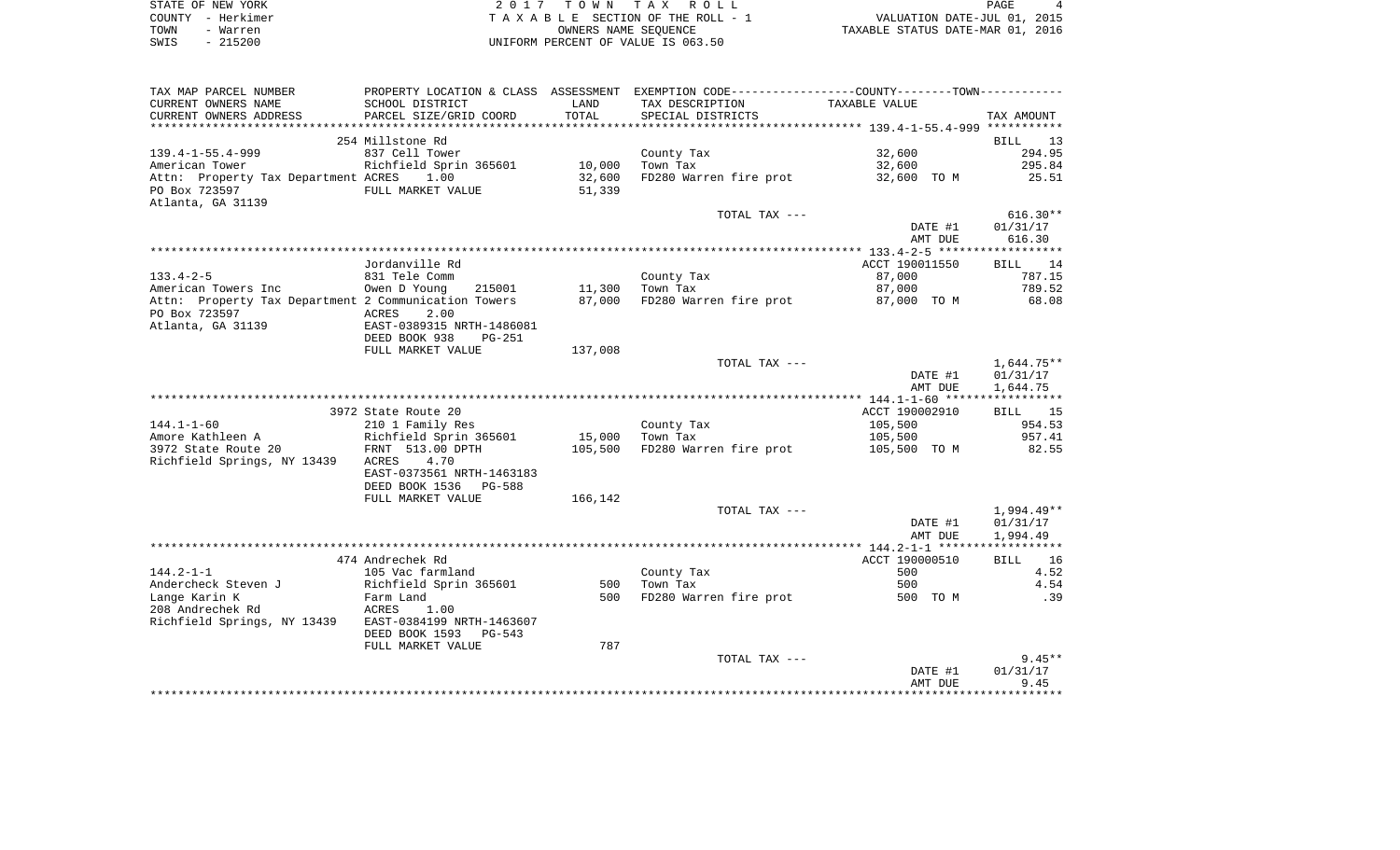| STATE OF NEW YORK | 2017 TOWN TAX ROLL                 | PAGE                             |
|-------------------|------------------------------------|----------------------------------|
| COUNTY - Herkimer | TAXABLE SECTION OF THE ROLL - 1    | VALUATION DATE-JUL 01, 2015      |
| TOWN<br>- Warren  | OWNERS NAME SEOUENCE               | TAXABLE STATUS DATE-MAR 01, 2016 |
| - 215200<br>SWIS  | UNIFORM PERCENT OF VALUE IS 063.50 |                                  |

| TAX MAP PARCEL NUMBER                                |                           |         | PROPERTY LOCATION & CLASS ASSESSMENT EXEMPTION CODE---------------COUNTY-------TOWN---------- |                    |                      |
|------------------------------------------------------|---------------------------|---------|-----------------------------------------------------------------------------------------------|--------------------|----------------------|
| CURRENT OWNERS NAME                                  | SCHOOL DISTRICT           | LAND    | TAX DESCRIPTION                                                                               | TAXABLE VALUE      |                      |
| CURRENT OWNERS ADDRESS                               | PARCEL SIZE/GRID COORD    | TOTAL   | SPECIAL DISTRICTS                                                                             |                    | TAX AMOUNT           |
| **********************                               | ************************* |         |                                                                                               |                    |                      |
|                                                      | 254 Millstone Rd          |         |                                                                                               |                    | <b>BILL</b><br>13    |
| $139.4 - 1 - 55.4 - 999$                             | 837 Cell Tower            |         | County Tax                                                                                    | 32,600             | 294.95               |
| American Tower                                       | Richfield Sprin 365601    | 10,000  | Town Tax                                                                                      | 32,600             | 295.84               |
| Attn: Property Tax Department ACRES                  | 1.00                      | 32,600  | FD280 Warren fire prot                                                                        | 32,600 TO M        | 25.51                |
| PO Box 723597                                        | FULL MARKET VALUE         | 51,339  |                                                                                               |                    |                      |
| Atlanta, GA 31139                                    |                           |         | TOTAL TAX ---                                                                                 |                    | $616.30**$           |
|                                                      |                           |         |                                                                                               | DATE #1            | 01/31/17             |
|                                                      |                           |         |                                                                                               | AMT DUE            | 616.30               |
|                                                      |                           |         |                                                                                               |                    |                      |
|                                                      | Jordanville Rd            |         |                                                                                               | ACCT 190011550     | BILL 14              |
| $133.4 - 2 - 5$                                      | 831 Tele Comm             |         | County Tax                                                                                    | 87,000             | 787.15               |
| American Towers Inc                                  | 215001<br>Owen D Young    | 11,300  | Town Tax                                                                                      | 87,000             | 789.52               |
| Attn: Property Tax Department 2 Communication Towers |                           | 87,000  | FD280 Warren fire prot 87,000 TO M                                                            |                    | 68.08                |
| PO Box 723597                                        | ACRES<br>2.00             |         |                                                                                               |                    |                      |
| Atlanta, GA 31139                                    | EAST-0389315 NRTH-1486081 |         |                                                                                               |                    |                      |
|                                                      | DEED BOOK 938<br>$PG-251$ |         |                                                                                               |                    |                      |
|                                                      | FULL MARKET VALUE         | 137,008 |                                                                                               |                    |                      |
|                                                      |                           |         | TOTAL TAX ---                                                                                 |                    | 1,644.75**           |
|                                                      |                           |         |                                                                                               | DATE #1<br>AMT DUE | 01/31/17<br>1,644.75 |
|                                                      |                           |         |                                                                                               |                    |                      |
|                                                      | 3972 State Route 20       |         |                                                                                               | ACCT 190002910     | BILL 15              |
| $144.1 - 1 - 60$                                     | 210 1 Family Res          |         | County Tax                                                                                    | 105,500            | 954.53               |
| Amore Kathleen A                                     | Richfield Sprin 365601    | 15,000  | $\mathbf{r}$ and $\mathbf{r}$ and $\mathbf{r}$ and $\mathbf{r}$<br>Town Tax                   | 105,500            | 957.41               |
| 3972 State Route 20                                  | FRNT 513.00 DPTH          | 105,500 | FD280 Warren fire prot                                                                        | 105,500 TO M       | 82.55                |
| Richfield Springs, NY 13439                          | 4.70<br>ACRES             |         |                                                                                               |                    |                      |
|                                                      | EAST-0373561 NRTH-1463183 |         |                                                                                               |                    |                      |
|                                                      | DEED BOOK 1536 PG-588     |         |                                                                                               |                    |                      |
|                                                      | FULL MARKET VALUE         | 166,142 |                                                                                               |                    |                      |
|                                                      |                           |         | TOTAL TAX ---                                                                                 |                    | 1,994.49**           |
|                                                      |                           |         |                                                                                               | DATE #1            | 01/31/17             |
|                                                      |                           |         |                                                                                               | AMT DUE            | 1,994.49             |
|                                                      | 474 Andrechek Rd          |         |                                                                                               | ACCT 190000510     | BILL 16              |
| $144.2 - 1 - 1$                                      | 105 Vac farmland          |         | County Tax                                                                                    | 500                | 4.52                 |
| Andercheck Steven J                                  | Richfield Sprin 365601    | 500     | Town Tax                                                                                      | 500                | 4.54                 |
| Lange Karin K                                        | Farm Land                 | 500     | FD280 Warren fire prot                                                                        | 500 TO M           | .39                  |
| 208 Andrechek Rd                                     | ACRES<br>1.00             |         |                                                                                               |                    |                      |
| Richfield Springs, NY 13439                          | EAST-0384199 NRTH-1463607 |         |                                                                                               |                    |                      |
|                                                      | DEED BOOK 1593 PG-543     |         |                                                                                               |                    |                      |
|                                                      | FULL MARKET VALUE         | 787     |                                                                                               |                    |                      |
|                                                      |                           |         | TOTAL TAX ---                                                                                 |                    | $9.45**$             |
|                                                      |                           |         |                                                                                               | DATE #1            | 01/31/17             |
|                                                      |                           |         |                                                                                               | AMT DUE            | 9.45                 |
|                                                      |                           |         |                                                                                               |                    |                      |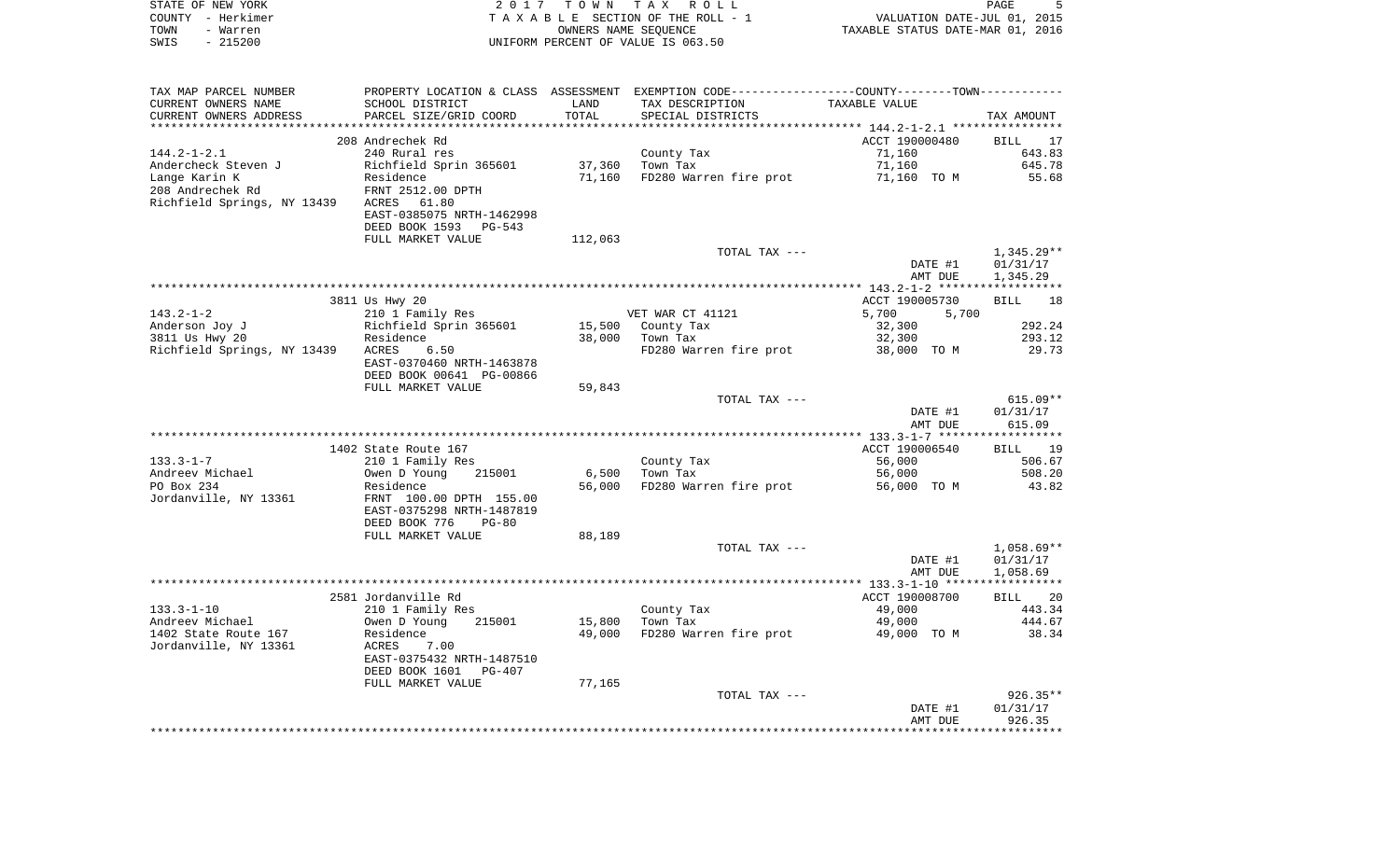| PROPERTY LOCATION & CLASS ASSESSMENT EXEMPTION CODE---------------COUNTY-------TOWN----------<br>SCHOOL DISTRICT<br>LAND<br>TAX DESCRIPTION<br>TAXABLE VALUE<br>TOTAL<br>CURRENT OWNERS ADDRESS<br>PARCEL SIZE/GRID COORD<br>SPECIAL DISTRICTS<br>TAX AMOUNT<br>*************************<br>208 Andrechek Rd<br>ACCT 190000480<br>BILL<br>17<br>643.83<br>240 Rural res<br>County Tax<br>71,160<br>645.78<br>Richfield Sprin 365601<br>37,360<br>Town Tax<br>71,160<br>FD280 Warren fire prot<br>55.68<br>Residence<br>71,160<br>71,160 TO M<br>208 Andrechek Rd<br>FRNT 2512.00 DPTH<br>Richfield Springs, NY 13439<br>ACRES 61.80<br>EAST-0385075 NRTH-1462998<br>DEED BOOK 1593<br>PG-543<br>FULL MARKET VALUE<br>112,063<br>TOTAL TAX ---<br>$1,345.29**$<br>01/31/17<br>DATE #1<br>1,345.29<br>AMT DUE<br>3811 Us Hwy 20<br>ACCT 190005730<br>18<br>BILL<br>$143.2 - 1 - 2$<br>210 1 Family Res<br>VET WAR CT 41121<br>5,700<br>5,700<br>292.24<br>Richfield Sprin 365601<br>15,500<br>County Tax<br>32,300<br>293.12<br>Residence<br>38,000<br>Town Tax<br>32,300<br>29.73<br>ACRES<br>6.50<br>FD280 Warren fire prot<br>38,000 TO M<br>EAST-0370460 NRTH-1463878<br>DEED BOOK 00641 PG-00866<br>FULL MARKET VALUE<br>59,843<br>$615.09**$<br>TOTAL TAX ---<br>01/31/17<br>DATE #1<br>AMT DUE<br>615.09<br>ACCT 190006540<br>1402 State Route 167<br><b>BILL</b><br>19<br>$133.3 - 1 - 7$<br>56,000<br>506.67<br>210 1 Family Res<br>County Tax<br>Andreev Michael<br>Owen D Young<br>215001<br>6,500<br>Town Tax<br>56,000<br>508.20<br>FD280 Warren fire prot<br>Residence<br>56,000<br>56,000 TO M<br>43.82<br>FRNT 100.00 DPTH 155.00<br>EAST-0375298 NRTH-1487819<br>DEED BOOK 776<br>$PG-80$<br>FULL MARKET VALUE<br>88,189<br>TOTAL TAX ---<br>$1,058.69**$<br>01/31/17<br>DATE #1<br>1,058.69<br>AMT DUE<br>2581 Jordanville Rd<br>ACCT 190008700<br>BILL<br>20<br>$133.3 - 1 - 10$<br>49,000<br>443.34<br>210 1 Family Res<br>County Tax<br>Owen D Young 215001<br>49,000<br>444.67<br>Andreev Michael<br>15,800 Town Tax<br>FD280 Warren fire prot<br>38.34<br>1402 State Route 167<br>Residence<br>49,000<br>49,000 TO M<br>Jordanville, NY 13361<br>ACRES<br>7.00<br>EAST-0375432 NRTH-1487510<br>DEED BOOK 1601<br>PG-407<br>FULL MARKET VALUE<br>77,165<br>$926.35**$<br>TOTAL TAX ---<br>DATE #1<br>01/31/17<br>926.35<br>AMT DUE | STATE OF NEW YORK<br>COUNTY - Herkimer<br>TOWN<br>- Warren<br>$-215200$<br>SWIS | 2017 | T O W N | TAX ROLL<br>TAXABLE SECTION OF THE ROLL - 1<br>OWNERS NAME SEQUENCE<br>UNIFORM PERCENT OF VALUE IS 063.50 | VALUATION DATE-JUL 01, 2015<br>TAXABLE STATUS DATE-MAR 01, 2016 | PAGE<br>5 |
|---------------------------------------------------------------------------------------------------------------------------------------------------------------------------------------------------------------------------------------------------------------------------------------------------------------------------------------------------------------------------------------------------------------------------------------------------------------------------------------------------------------------------------------------------------------------------------------------------------------------------------------------------------------------------------------------------------------------------------------------------------------------------------------------------------------------------------------------------------------------------------------------------------------------------------------------------------------------------------------------------------------------------------------------------------------------------------------------------------------------------------------------------------------------------------------------------------------------------------------------------------------------------------------------------------------------------------------------------------------------------------------------------------------------------------------------------------------------------------------------------------------------------------------------------------------------------------------------------------------------------------------------------------------------------------------------------------------------------------------------------------------------------------------------------------------------------------------------------------------------------------------------------------------------------------------------------------------------------------------------------------------------------------------------------------------------------------------------------------------------------------------------------------------------------------------------------------------------------------------------------------------------------------------------------------------------------------------------------------|---------------------------------------------------------------------------------|------|---------|-----------------------------------------------------------------------------------------------------------|-----------------------------------------------------------------|-----------|
|                                                                                                                                                                                                                                                                                                                                                                                                                                                                                                                                                                                                                                                                                                                                                                                                                                                                                                                                                                                                                                                                                                                                                                                                                                                                                                                                                                                                                                                                                                                                                                                                                                                                                                                                                                                                                                                                                                                                                                                                                                                                                                                                                                                                                                                                                                                                                         |                                                                                 |      |         |                                                                                                           |                                                                 |           |
|                                                                                                                                                                                                                                                                                                                                                                                                                                                                                                                                                                                                                                                                                                                                                                                                                                                                                                                                                                                                                                                                                                                                                                                                                                                                                                                                                                                                                                                                                                                                                                                                                                                                                                                                                                                                                                                                                                                                                                                                                                                                                                                                                                                                                                                                                                                                                         | TAX MAP PARCEL NUMBER                                                           |      |         |                                                                                                           |                                                                 |           |
|                                                                                                                                                                                                                                                                                                                                                                                                                                                                                                                                                                                                                                                                                                                                                                                                                                                                                                                                                                                                                                                                                                                                                                                                                                                                                                                                                                                                                                                                                                                                                                                                                                                                                                                                                                                                                                                                                                                                                                                                                                                                                                                                                                                                                                                                                                                                                         | CURRENT OWNERS NAME                                                             |      |         |                                                                                                           |                                                                 |           |
|                                                                                                                                                                                                                                                                                                                                                                                                                                                                                                                                                                                                                                                                                                                                                                                                                                                                                                                                                                                                                                                                                                                                                                                                                                                                                                                                                                                                                                                                                                                                                                                                                                                                                                                                                                                                                                                                                                                                                                                                                                                                                                                                                                                                                                                                                                                                                         |                                                                                 |      |         |                                                                                                           |                                                                 |           |
|                                                                                                                                                                                                                                                                                                                                                                                                                                                                                                                                                                                                                                                                                                                                                                                                                                                                                                                                                                                                                                                                                                                                                                                                                                                                                                                                                                                                                                                                                                                                                                                                                                                                                                                                                                                                                                                                                                                                                                                                                                                                                                                                                                                                                                                                                                                                                         |                                                                                 |      |         |                                                                                                           |                                                                 |           |
|                                                                                                                                                                                                                                                                                                                                                                                                                                                                                                                                                                                                                                                                                                                                                                                                                                                                                                                                                                                                                                                                                                                                                                                                                                                                                                                                                                                                                                                                                                                                                                                                                                                                                                                                                                                                                                                                                                                                                                                                                                                                                                                                                                                                                                                                                                                                                         | $144.2 - 1 - 2.1$                                                               |      |         |                                                                                                           |                                                                 |           |
|                                                                                                                                                                                                                                                                                                                                                                                                                                                                                                                                                                                                                                                                                                                                                                                                                                                                                                                                                                                                                                                                                                                                                                                                                                                                                                                                                                                                                                                                                                                                                                                                                                                                                                                                                                                                                                                                                                                                                                                                                                                                                                                                                                                                                                                                                                                                                         | Andercheck Steven J                                                             |      |         |                                                                                                           |                                                                 |           |
|                                                                                                                                                                                                                                                                                                                                                                                                                                                                                                                                                                                                                                                                                                                                                                                                                                                                                                                                                                                                                                                                                                                                                                                                                                                                                                                                                                                                                                                                                                                                                                                                                                                                                                                                                                                                                                                                                                                                                                                                                                                                                                                                                                                                                                                                                                                                                         | Lange Karin K                                                                   |      |         |                                                                                                           |                                                                 |           |
|                                                                                                                                                                                                                                                                                                                                                                                                                                                                                                                                                                                                                                                                                                                                                                                                                                                                                                                                                                                                                                                                                                                                                                                                                                                                                                                                                                                                                                                                                                                                                                                                                                                                                                                                                                                                                                                                                                                                                                                                                                                                                                                                                                                                                                                                                                                                                         |                                                                                 |      |         |                                                                                                           |                                                                 |           |
|                                                                                                                                                                                                                                                                                                                                                                                                                                                                                                                                                                                                                                                                                                                                                                                                                                                                                                                                                                                                                                                                                                                                                                                                                                                                                                                                                                                                                                                                                                                                                                                                                                                                                                                                                                                                                                                                                                                                                                                                                                                                                                                                                                                                                                                                                                                                                         |                                                                                 |      |         |                                                                                                           |                                                                 |           |
|                                                                                                                                                                                                                                                                                                                                                                                                                                                                                                                                                                                                                                                                                                                                                                                                                                                                                                                                                                                                                                                                                                                                                                                                                                                                                                                                                                                                                                                                                                                                                                                                                                                                                                                                                                                                                                                                                                                                                                                                                                                                                                                                                                                                                                                                                                                                                         |                                                                                 |      |         |                                                                                                           |                                                                 |           |
|                                                                                                                                                                                                                                                                                                                                                                                                                                                                                                                                                                                                                                                                                                                                                                                                                                                                                                                                                                                                                                                                                                                                                                                                                                                                                                                                                                                                                                                                                                                                                                                                                                                                                                                                                                                                                                                                                                                                                                                                                                                                                                                                                                                                                                                                                                                                                         |                                                                                 |      |         |                                                                                                           |                                                                 |           |
|                                                                                                                                                                                                                                                                                                                                                                                                                                                                                                                                                                                                                                                                                                                                                                                                                                                                                                                                                                                                                                                                                                                                                                                                                                                                                                                                                                                                                                                                                                                                                                                                                                                                                                                                                                                                                                                                                                                                                                                                                                                                                                                                                                                                                                                                                                                                                         |                                                                                 |      |         |                                                                                                           |                                                                 |           |
|                                                                                                                                                                                                                                                                                                                                                                                                                                                                                                                                                                                                                                                                                                                                                                                                                                                                                                                                                                                                                                                                                                                                                                                                                                                                                                                                                                                                                                                                                                                                                                                                                                                                                                                                                                                                                                                                                                                                                                                                                                                                                                                                                                                                                                                                                                                                                         |                                                                                 |      |         |                                                                                                           |                                                                 |           |
|                                                                                                                                                                                                                                                                                                                                                                                                                                                                                                                                                                                                                                                                                                                                                                                                                                                                                                                                                                                                                                                                                                                                                                                                                                                                                                                                                                                                                                                                                                                                                                                                                                                                                                                                                                                                                                                                                                                                                                                                                                                                                                                                                                                                                                                                                                                                                         |                                                                                 |      |         |                                                                                                           |                                                                 |           |
|                                                                                                                                                                                                                                                                                                                                                                                                                                                                                                                                                                                                                                                                                                                                                                                                                                                                                                                                                                                                                                                                                                                                                                                                                                                                                                                                                                                                                                                                                                                                                                                                                                                                                                                                                                                                                                                                                                                                                                                                                                                                                                                                                                                                                                                                                                                                                         |                                                                                 |      |         |                                                                                                           |                                                                 |           |
|                                                                                                                                                                                                                                                                                                                                                                                                                                                                                                                                                                                                                                                                                                                                                                                                                                                                                                                                                                                                                                                                                                                                                                                                                                                                                                                                                                                                                                                                                                                                                                                                                                                                                                                                                                                                                                                                                                                                                                                                                                                                                                                                                                                                                                                                                                                                                         |                                                                                 |      |         |                                                                                                           |                                                                 |           |
|                                                                                                                                                                                                                                                                                                                                                                                                                                                                                                                                                                                                                                                                                                                                                                                                                                                                                                                                                                                                                                                                                                                                                                                                                                                                                                                                                                                                                                                                                                                                                                                                                                                                                                                                                                                                                                                                                                                                                                                                                                                                                                                                                                                                                                                                                                                                                         | Anderson Joy J                                                                  |      |         |                                                                                                           |                                                                 |           |
|                                                                                                                                                                                                                                                                                                                                                                                                                                                                                                                                                                                                                                                                                                                                                                                                                                                                                                                                                                                                                                                                                                                                                                                                                                                                                                                                                                                                                                                                                                                                                                                                                                                                                                                                                                                                                                                                                                                                                                                                                                                                                                                                                                                                                                                                                                                                                         | 3811 Us Hwy 20                                                                  |      |         |                                                                                                           |                                                                 |           |
|                                                                                                                                                                                                                                                                                                                                                                                                                                                                                                                                                                                                                                                                                                                                                                                                                                                                                                                                                                                                                                                                                                                                                                                                                                                                                                                                                                                                                                                                                                                                                                                                                                                                                                                                                                                                                                                                                                                                                                                                                                                                                                                                                                                                                                                                                                                                                         | Richfield Springs, NY 13439                                                     |      |         |                                                                                                           |                                                                 |           |
|                                                                                                                                                                                                                                                                                                                                                                                                                                                                                                                                                                                                                                                                                                                                                                                                                                                                                                                                                                                                                                                                                                                                                                                                                                                                                                                                                                                                                                                                                                                                                                                                                                                                                                                                                                                                                                                                                                                                                                                                                                                                                                                                                                                                                                                                                                                                                         |                                                                                 |      |         |                                                                                                           |                                                                 |           |
|                                                                                                                                                                                                                                                                                                                                                                                                                                                                                                                                                                                                                                                                                                                                                                                                                                                                                                                                                                                                                                                                                                                                                                                                                                                                                                                                                                                                                                                                                                                                                                                                                                                                                                                                                                                                                                                                                                                                                                                                                                                                                                                                                                                                                                                                                                                                                         |                                                                                 |      |         |                                                                                                           |                                                                 |           |
|                                                                                                                                                                                                                                                                                                                                                                                                                                                                                                                                                                                                                                                                                                                                                                                                                                                                                                                                                                                                                                                                                                                                                                                                                                                                                                                                                                                                                                                                                                                                                                                                                                                                                                                                                                                                                                                                                                                                                                                                                                                                                                                                                                                                                                                                                                                                                         |                                                                                 |      |         |                                                                                                           |                                                                 |           |
|                                                                                                                                                                                                                                                                                                                                                                                                                                                                                                                                                                                                                                                                                                                                                                                                                                                                                                                                                                                                                                                                                                                                                                                                                                                                                                                                                                                                                                                                                                                                                                                                                                                                                                                                                                                                                                                                                                                                                                                                                                                                                                                                                                                                                                                                                                                                                         |                                                                                 |      |         |                                                                                                           |                                                                 |           |
|                                                                                                                                                                                                                                                                                                                                                                                                                                                                                                                                                                                                                                                                                                                                                                                                                                                                                                                                                                                                                                                                                                                                                                                                                                                                                                                                                                                                                                                                                                                                                                                                                                                                                                                                                                                                                                                                                                                                                                                                                                                                                                                                                                                                                                                                                                                                                         |                                                                                 |      |         |                                                                                                           |                                                                 |           |
|                                                                                                                                                                                                                                                                                                                                                                                                                                                                                                                                                                                                                                                                                                                                                                                                                                                                                                                                                                                                                                                                                                                                                                                                                                                                                                                                                                                                                                                                                                                                                                                                                                                                                                                                                                                                                                                                                                                                                                                                                                                                                                                                                                                                                                                                                                                                                         |                                                                                 |      |         |                                                                                                           |                                                                 |           |
|                                                                                                                                                                                                                                                                                                                                                                                                                                                                                                                                                                                                                                                                                                                                                                                                                                                                                                                                                                                                                                                                                                                                                                                                                                                                                                                                                                                                                                                                                                                                                                                                                                                                                                                                                                                                                                                                                                                                                                                                                                                                                                                                                                                                                                                                                                                                                         |                                                                                 |      |         |                                                                                                           |                                                                 |           |
|                                                                                                                                                                                                                                                                                                                                                                                                                                                                                                                                                                                                                                                                                                                                                                                                                                                                                                                                                                                                                                                                                                                                                                                                                                                                                                                                                                                                                                                                                                                                                                                                                                                                                                                                                                                                                                                                                                                                                                                                                                                                                                                                                                                                                                                                                                                                                         |                                                                                 |      |         |                                                                                                           |                                                                 |           |
|                                                                                                                                                                                                                                                                                                                                                                                                                                                                                                                                                                                                                                                                                                                                                                                                                                                                                                                                                                                                                                                                                                                                                                                                                                                                                                                                                                                                                                                                                                                                                                                                                                                                                                                                                                                                                                                                                                                                                                                                                                                                                                                                                                                                                                                                                                                                                         | PO Box 234                                                                      |      |         |                                                                                                           |                                                                 |           |
|                                                                                                                                                                                                                                                                                                                                                                                                                                                                                                                                                                                                                                                                                                                                                                                                                                                                                                                                                                                                                                                                                                                                                                                                                                                                                                                                                                                                                                                                                                                                                                                                                                                                                                                                                                                                                                                                                                                                                                                                                                                                                                                                                                                                                                                                                                                                                         | Jordanville, NY 13361                                                           |      |         |                                                                                                           |                                                                 |           |
|                                                                                                                                                                                                                                                                                                                                                                                                                                                                                                                                                                                                                                                                                                                                                                                                                                                                                                                                                                                                                                                                                                                                                                                                                                                                                                                                                                                                                                                                                                                                                                                                                                                                                                                                                                                                                                                                                                                                                                                                                                                                                                                                                                                                                                                                                                                                                         |                                                                                 |      |         |                                                                                                           |                                                                 |           |
|                                                                                                                                                                                                                                                                                                                                                                                                                                                                                                                                                                                                                                                                                                                                                                                                                                                                                                                                                                                                                                                                                                                                                                                                                                                                                                                                                                                                                                                                                                                                                                                                                                                                                                                                                                                                                                                                                                                                                                                                                                                                                                                                                                                                                                                                                                                                                         |                                                                                 |      |         |                                                                                                           |                                                                 |           |
|                                                                                                                                                                                                                                                                                                                                                                                                                                                                                                                                                                                                                                                                                                                                                                                                                                                                                                                                                                                                                                                                                                                                                                                                                                                                                                                                                                                                                                                                                                                                                                                                                                                                                                                                                                                                                                                                                                                                                                                                                                                                                                                                                                                                                                                                                                                                                         |                                                                                 |      |         |                                                                                                           |                                                                 |           |
|                                                                                                                                                                                                                                                                                                                                                                                                                                                                                                                                                                                                                                                                                                                                                                                                                                                                                                                                                                                                                                                                                                                                                                                                                                                                                                                                                                                                                                                                                                                                                                                                                                                                                                                                                                                                                                                                                                                                                                                                                                                                                                                                                                                                                                                                                                                                                         |                                                                                 |      |         |                                                                                                           |                                                                 |           |
|                                                                                                                                                                                                                                                                                                                                                                                                                                                                                                                                                                                                                                                                                                                                                                                                                                                                                                                                                                                                                                                                                                                                                                                                                                                                                                                                                                                                                                                                                                                                                                                                                                                                                                                                                                                                                                                                                                                                                                                                                                                                                                                                                                                                                                                                                                                                                         |                                                                                 |      |         |                                                                                                           |                                                                 |           |
|                                                                                                                                                                                                                                                                                                                                                                                                                                                                                                                                                                                                                                                                                                                                                                                                                                                                                                                                                                                                                                                                                                                                                                                                                                                                                                                                                                                                                                                                                                                                                                                                                                                                                                                                                                                                                                                                                                                                                                                                                                                                                                                                                                                                                                                                                                                                                         |                                                                                 |      |         |                                                                                                           |                                                                 |           |
|                                                                                                                                                                                                                                                                                                                                                                                                                                                                                                                                                                                                                                                                                                                                                                                                                                                                                                                                                                                                                                                                                                                                                                                                                                                                                                                                                                                                                                                                                                                                                                                                                                                                                                                                                                                                                                                                                                                                                                                                                                                                                                                                                                                                                                                                                                                                                         |                                                                                 |      |         |                                                                                                           |                                                                 |           |
|                                                                                                                                                                                                                                                                                                                                                                                                                                                                                                                                                                                                                                                                                                                                                                                                                                                                                                                                                                                                                                                                                                                                                                                                                                                                                                                                                                                                                                                                                                                                                                                                                                                                                                                                                                                                                                                                                                                                                                                                                                                                                                                                                                                                                                                                                                                                                         |                                                                                 |      |         |                                                                                                           |                                                                 |           |
|                                                                                                                                                                                                                                                                                                                                                                                                                                                                                                                                                                                                                                                                                                                                                                                                                                                                                                                                                                                                                                                                                                                                                                                                                                                                                                                                                                                                                                                                                                                                                                                                                                                                                                                                                                                                                                                                                                                                                                                                                                                                                                                                                                                                                                                                                                                                                         |                                                                                 |      |         |                                                                                                           |                                                                 |           |
|                                                                                                                                                                                                                                                                                                                                                                                                                                                                                                                                                                                                                                                                                                                                                                                                                                                                                                                                                                                                                                                                                                                                                                                                                                                                                                                                                                                                                                                                                                                                                                                                                                                                                                                                                                                                                                                                                                                                                                                                                                                                                                                                                                                                                                                                                                                                                         |                                                                                 |      |         |                                                                                                           |                                                                 |           |
|                                                                                                                                                                                                                                                                                                                                                                                                                                                                                                                                                                                                                                                                                                                                                                                                                                                                                                                                                                                                                                                                                                                                                                                                                                                                                                                                                                                                                                                                                                                                                                                                                                                                                                                                                                                                                                                                                                                                                                                                                                                                                                                                                                                                                                                                                                                                                         |                                                                                 |      |         |                                                                                                           |                                                                 |           |
|                                                                                                                                                                                                                                                                                                                                                                                                                                                                                                                                                                                                                                                                                                                                                                                                                                                                                                                                                                                                                                                                                                                                                                                                                                                                                                                                                                                                                                                                                                                                                                                                                                                                                                                                                                                                                                                                                                                                                                                                                                                                                                                                                                                                                                                                                                                                                         |                                                                                 |      |         |                                                                                                           |                                                                 |           |
|                                                                                                                                                                                                                                                                                                                                                                                                                                                                                                                                                                                                                                                                                                                                                                                                                                                                                                                                                                                                                                                                                                                                                                                                                                                                                                                                                                                                                                                                                                                                                                                                                                                                                                                                                                                                                                                                                                                                                                                                                                                                                                                                                                                                                                                                                                                                                         |                                                                                 |      |         |                                                                                                           |                                                                 |           |
|                                                                                                                                                                                                                                                                                                                                                                                                                                                                                                                                                                                                                                                                                                                                                                                                                                                                                                                                                                                                                                                                                                                                                                                                                                                                                                                                                                                                                                                                                                                                                                                                                                                                                                                                                                                                                                                                                                                                                                                                                                                                                                                                                                                                                                                                                                                                                         |                                                                                 |      |         |                                                                                                           |                                                                 |           |
|                                                                                                                                                                                                                                                                                                                                                                                                                                                                                                                                                                                                                                                                                                                                                                                                                                                                                                                                                                                                                                                                                                                                                                                                                                                                                                                                                                                                                                                                                                                                                                                                                                                                                                                                                                                                                                                                                                                                                                                                                                                                                                                                                                                                                                                                                                                                                         |                                                                                 |      |         |                                                                                                           |                                                                 |           |
|                                                                                                                                                                                                                                                                                                                                                                                                                                                                                                                                                                                                                                                                                                                                                                                                                                                                                                                                                                                                                                                                                                                                                                                                                                                                                                                                                                                                                                                                                                                                                                                                                                                                                                                                                                                                                                                                                                                                                                                                                                                                                                                                                                                                                                                                                                                                                         |                                                                                 |      |         |                                                                                                           |                                                                 |           |

 $5\overline{)}$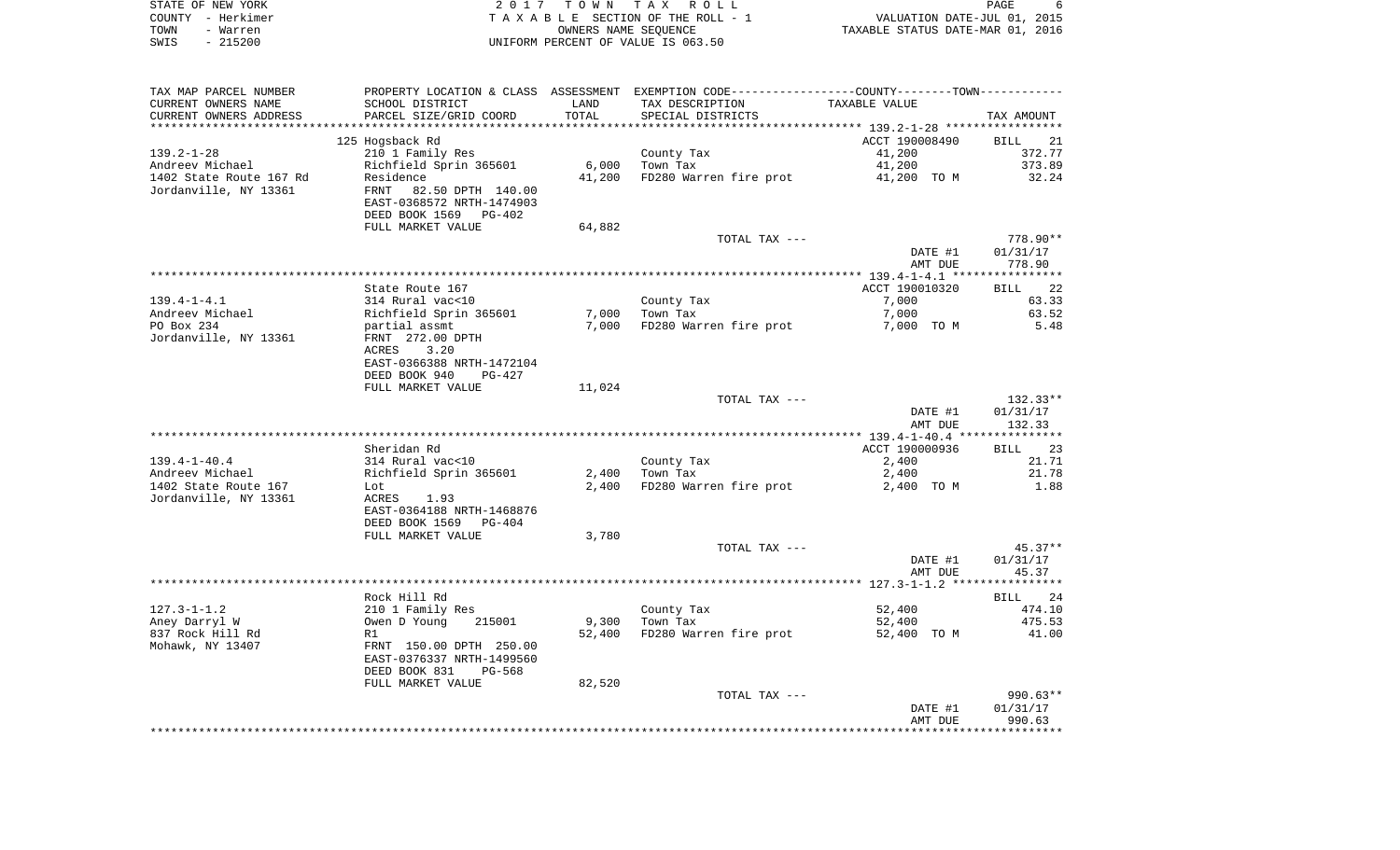|      | STATE OF NEW YORK | 2017 TOWN TAX ROLL                 |                                  | PAGE |  |
|------|-------------------|------------------------------------|----------------------------------|------|--|
|      | COUNTY – Herkimer | TAXABLE SECTION OF THE ROLL - 1    | VALUATION DATE-JUL 01, 2015      |      |  |
| TOWN | - Warren          | OWNERS NAME SEOUENCE               | TAXABLE STATUS DATE-MAR 01, 2016 |      |  |
| SWIS | - 215200          | UNIFORM PERCENT OF VALUE IS 063.50 |                                  |      |  |

| TAX MAP PARCEL NUMBER   | PROPERTY LOCATION & CLASS ASSESSMENT |        | EXEMPTION CODE-----------------COUNTY-------TOWN----------- |                                           |                   |
|-------------------------|--------------------------------------|--------|-------------------------------------------------------------|-------------------------------------------|-------------------|
| CURRENT OWNERS NAME     | SCHOOL DISTRICT                      | LAND   | TAX DESCRIPTION                                             | TAXABLE VALUE                             |                   |
| CURRENT OWNERS ADDRESS  | PARCEL SIZE/GRID COORD               | TOTAL  | SPECIAL DISTRICTS                                           |                                           | TAX AMOUNT        |
|                         |                                      |        |                                                             | ****************** 139.2-1-28 *********** |                   |
|                         | 125 Hogsback Rd                      |        |                                                             | ACCT 190008490                            | <b>BILL</b><br>21 |
| $139.2 - 1 - 28$        | 210 1 Family Res                     |        | County Tax                                                  | 41,200                                    | 372.77            |
| Andreev Michael         | Richfield Sprin 365601               | 6,000  | Town Tax                                                    | 41,200                                    | 373.89            |
| 1402 State Route 167 Rd | Residence                            | 41,200 | FD280 Warren fire prot                                      | 41,200 TO M                               | 32.24             |
| Jordanville, NY 13361   | FRNT<br>82.50 DPTH 140.00            |        |                                                             |                                           |                   |
|                         | EAST-0368572 NRTH-1474903            |        |                                                             |                                           |                   |
|                         | DEED BOOK 1569<br>$PG-402$           |        |                                                             |                                           |                   |
|                         |                                      |        |                                                             |                                           |                   |
|                         | FULL MARKET VALUE                    | 64,882 |                                                             |                                           |                   |
|                         |                                      |        | TOTAL TAX ---                                               |                                           | $778.90**$        |
|                         |                                      |        |                                                             | DATE #1                                   | 01/31/17          |
|                         |                                      |        |                                                             | AMT DUE                                   | 778.90            |
|                         |                                      |        |                                                             |                                           |                   |
|                         | State Route 167                      |        |                                                             | ACCT 190010320                            | 22<br>BILL        |
| $139.4 - 1 - 4.1$       | 314 Rural vac<10                     |        | County Tax                                                  | 7,000                                     | 63.33             |
| Andreev Michael         | Richfield Sprin 365601               | 7,000  | Town Tax                                                    | 7,000                                     | 63.52             |
| PO Box 234              | partial assmt                        | 7,000  | FD280 Warren fire prot                                      | 7,000 TO M                                | 5.48              |
| Jordanville, NY 13361   | FRNT 272.00 DPTH                     |        |                                                             |                                           |                   |
|                         | 3.20<br>ACRES                        |        |                                                             |                                           |                   |
|                         | EAST-0366388 NRTH-1472104            |        |                                                             |                                           |                   |
|                         | DEED BOOK 940<br>$PG-427$            |        |                                                             |                                           |                   |
|                         | FULL MARKET VALUE                    | 11,024 |                                                             |                                           |                   |
|                         |                                      |        | TOTAL TAX ---                                               |                                           | $132.33**$        |
|                         |                                      |        |                                                             | DATE #1                                   | 01/31/17          |
|                         |                                      |        |                                                             | AMT DUE                                   | 132.33            |
|                         |                                      |        |                                                             |                                           |                   |
|                         | Sheridan Rd                          |        |                                                             | ACCT 190000936                            | 23<br><b>BILL</b> |
| $139.4 - 1 - 40.4$      | 314 Rural vac<10                     |        | County Tax                                                  | 2,400                                     | 21.71             |
| Andreev Michael         | Richfield Sprin 365601               | 2,400  | Town Tax                                                    | 2,400                                     | 21.78             |
| 1402 State Route 167    | Lot                                  | 2,400  | FD280 Warren fire prot                                      | 2,400 TO M                                | 1.88              |
| Jordanville, NY 13361   | ACRES<br>1.93                        |        |                                                             |                                           |                   |
|                         | EAST-0364188 NRTH-1468876            |        |                                                             |                                           |                   |
|                         | DEED BOOK 1569<br>$PG-404$           |        |                                                             |                                           |                   |
|                         |                                      |        |                                                             |                                           |                   |
|                         | FULL MARKET VALUE                    | 3,780  |                                                             |                                           |                   |
|                         |                                      |        | TOTAL TAX ---                                               |                                           | $45.37**$         |
|                         |                                      |        |                                                             | DATE #1                                   | 01/31/17          |
|                         |                                      |        |                                                             | AMT DUE                                   | 45.37             |
|                         |                                      |        |                                                             |                                           |                   |
|                         | Rock Hill Rd                         |        |                                                             |                                           | BILL 24           |
| $127.3 - 1 - 1.2$       | 210 1 Family Res                     |        | County Tax                                                  | 52,400                                    | 474.10            |
| Aney Darryl W           | Owen D Young<br>215001               | 9,300  | Town Tax                                                    | 52,400                                    | 475.53            |
| 837 Rock Hill Rd        | R1                                   | 52,400 | FD280 Warren fire prot                                      | 52,400 TO M                               | 41.00             |
| Mohawk, NY 13407        | FRNT 150.00 DPTH 250.00              |        |                                                             |                                           |                   |
|                         | EAST-0376337 NRTH-1499560            |        |                                                             |                                           |                   |
|                         | DEED BOOK 831<br>$PG-568$            |        |                                                             |                                           |                   |
|                         | FULL MARKET VALUE                    | 82,520 |                                                             |                                           |                   |
|                         |                                      |        | TOTAL TAX ---                                               |                                           | 990.63**          |
|                         |                                      |        |                                                             | DATE #1                                   | 01/31/17          |
|                         |                                      |        |                                                             | AMT DUE                                   | 990.63            |
|                         |                                      |        |                                                             |                                           |                   |
|                         |                                      |        |                                                             |                                           |                   |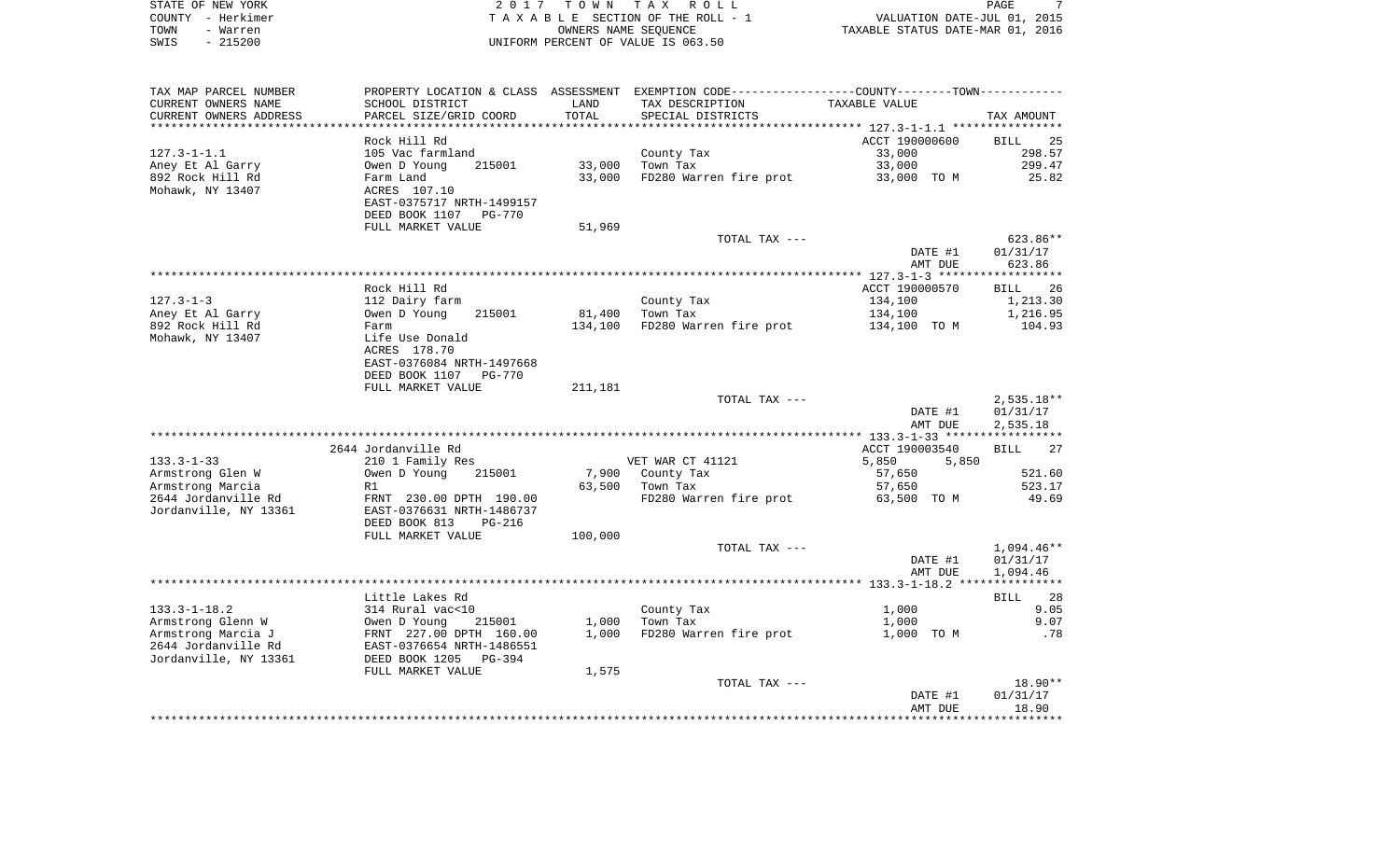| STATE OF NEW YORK | 2017 TOWN TAX ROLL                 | PAGE                             |
|-------------------|------------------------------------|----------------------------------|
| COUNTY - Herkimer | TAXABLE SECTION OF THE ROLL - 1    | VALUATION DATE-JUL 01, 2015      |
| TOWN<br>- Warren  | OWNERS NAME SEOUENCE               | TAXABLE STATUS DATE-MAR 01, 2016 |
| - 215200<br>SWIS  | UNIFORM PERCENT OF VALUE IS 063.50 |                                  |

| TAX MAP PARCEL NUMBER   | PROPERTY LOCATION & CLASS ASSESSMENT EXEMPTION CODE---------------COUNTY-------TOWN---------- |         |                        |                                           |                   |
|-------------------------|-----------------------------------------------------------------------------------------------|---------|------------------------|-------------------------------------------|-------------------|
| CURRENT OWNERS NAME     | SCHOOL DISTRICT                                                                               | LAND    | TAX DESCRIPTION        | TAXABLE VALUE                             |                   |
| CURRENT OWNERS ADDRESS  | PARCEL SIZE/GRID COORD                                                                        | TOTAL   | SPECIAL DISTRICTS      |                                           | TAX AMOUNT        |
| *********************** |                                                                                               |         |                        |                                           |                   |
|                         | Rock Hill Rd                                                                                  |         |                        | ACCT 190000600                            | 25<br><b>BILL</b> |
| $127.3 - 1 - 1.1$       | 105 Vac farmland                                                                              |         | County Tax             | 33,000                                    | 298.57            |
| Aney Et Al Garry        | 215001<br>Owen D Young                                                                        | 33,000  | Town Tax               | 33,000                                    | 299.47            |
| 892 Rock Hill Rd        | Farm Land                                                                                     | 33,000  | FD280 Warren fire prot | 33,000 TO M                               | 25.82             |
| Mohawk, NY 13407        | ACRES 107.10                                                                                  |         |                        |                                           |                   |
|                         | EAST-0375717 NRTH-1499157                                                                     |         |                        |                                           |                   |
|                         | DEED BOOK 1107<br><b>PG-770</b>                                                               |         |                        |                                           |                   |
|                         | FULL MARKET VALUE                                                                             | 51,969  |                        |                                           |                   |
|                         |                                                                                               |         | TOTAL TAX ---          |                                           | 623.86**          |
|                         |                                                                                               |         |                        | DATE #1                                   | 01/31/17          |
|                         |                                                                                               |         |                        | AMT DUE                                   | 623.86            |
|                         |                                                                                               |         |                        |                                           | **********        |
|                         | Rock Hill Rd                                                                                  |         |                        | ACCT 190000570                            | 26<br>BILL        |
| $127.3 - 1 - 3$         | 112 Dairy farm                                                                                |         | County Tax             | 134,100                                   | 1,213.30          |
| Aney Et Al Garry        | Owen D Young<br>215001                                                                        | 81,400  | Town Tax               | 134,100                                   | 1,216.95          |
| 892 Rock Hill Rd        | Farm                                                                                          | 134,100 | FD280 Warren fire prot | 134,100 TO M                              | 104.93            |
| Mohawk, NY 13407        | Life Use Donald                                                                               |         |                        |                                           |                   |
|                         | ACRES 178.70                                                                                  |         |                        |                                           |                   |
|                         | EAST-0376084 NRTH-1497668                                                                     |         |                        |                                           |                   |
|                         | DEED BOOK 1107<br><b>PG-770</b>                                                               |         |                        |                                           |                   |
|                         | FULL MARKET VALUE                                                                             | 211,181 |                        |                                           |                   |
|                         |                                                                                               |         | TOTAL TAX ---          |                                           | $2,535.18**$      |
|                         |                                                                                               |         |                        | DATE #1                                   | 01/31/17          |
|                         |                                                                                               |         |                        | AMT DUE                                   | 2,535.18          |
|                         |                                                                                               |         |                        | *********** 133.3-1-33 ****************** |                   |
|                         | 2644 Jordanville Rd                                                                           |         |                        | ACCT 190003540                            | <b>BILL</b><br>27 |
| $133.3 - 1 - 33$        | 210 1 Family Res                                                                              |         | VET WAR CT 41121       | 5,850<br>5,850                            |                   |
| Armstrong Glen W        | Owen D Young<br>215001                                                                        | 7,900   | County Tax             | 57,650                                    | 521.60            |
| Armstrong Marcia        | R1                                                                                            | 63,500  | Town Tax               | 57,650                                    | 523.17            |
| 2644 Jordanville Rd     | FRNT 230.00 DPTH 190.00                                                                       |         | FD280 Warren fire prot | 63,500 TO M                               | 49.69             |
| Jordanville, NY 13361   | EAST-0376631 NRTH-1486737                                                                     |         |                        |                                           |                   |
|                         | DEED BOOK 813<br><b>PG-216</b>                                                                |         |                        |                                           |                   |
|                         | FULL MARKET VALUE                                                                             | 100,000 |                        |                                           |                   |
|                         |                                                                                               |         | TOTAL TAX ---          |                                           | $1,094.46**$      |
|                         |                                                                                               |         |                        | DATE #1                                   | 01/31/17          |
|                         |                                                                                               |         |                        | AMT DUE                                   | 1,094.46          |
|                         |                                                                                               |         |                        |                                           |                   |
|                         | Little Lakes Rd                                                                               |         |                        |                                           | 28<br>BILL        |
| $133.3 - 1 - 18.2$      | 314 Rural vac<10                                                                              |         | County Tax             | 1,000                                     | 9.05              |
| Armstrong Glenn W       | Owen D Young<br>215001                                                                        | 1,000   | Town Tax               | 1,000                                     | 9.07              |
| Armstrong Marcia J      | FRNT 227.00 DPTH 160.00                                                                       | 1,000   | FD280 Warren fire prot | 1,000 TO M                                | .78               |
| 2644 Jordanville Rd     | EAST-0376654 NRTH-1486551                                                                     |         |                        |                                           |                   |
| Jordanville, NY 13361   | DEED BOOK 1205<br>$PG-394$                                                                    |         |                        |                                           |                   |
|                         | FULL MARKET VALUE                                                                             | 1,575   |                        |                                           |                   |
|                         |                                                                                               |         | TOTAL TAX ---          |                                           | $18.90**$         |
|                         |                                                                                               |         |                        | DATE #1                                   | 01/31/17          |
|                         |                                                                                               |         |                        | AMT DUE                                   | 18.90             |
|                         |                                                                                               |         |                        |                                           |                   |
|                         |                                                                                               |         |                        |                                           |                   |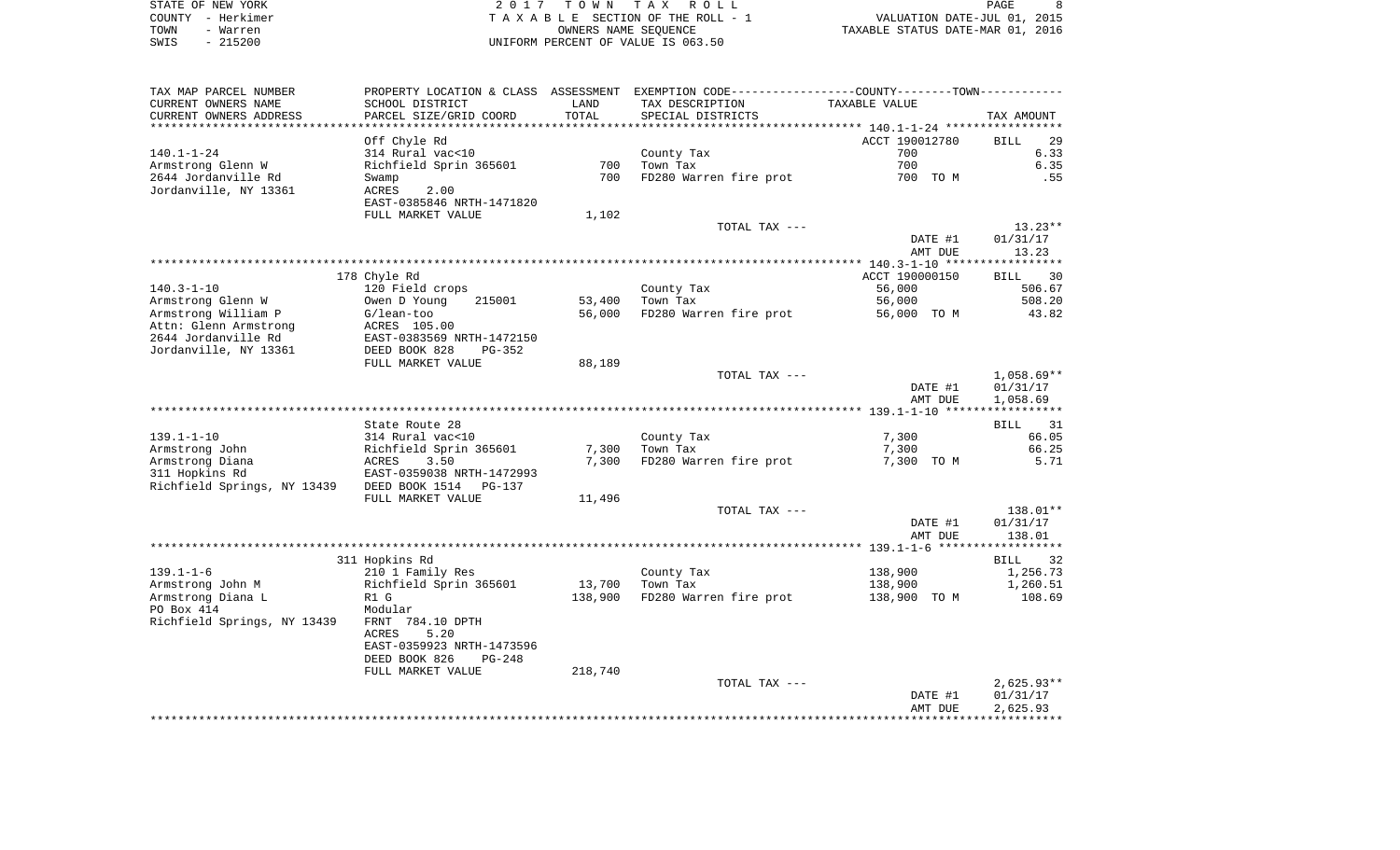| STATE OF NEW YORK | 2017 TOWN TAX ROLL                 | PAGE                             |
|-------------------|------------------------------------|----------------------------------|
| COUNTY - Herkimer | TAXABLE SECTION OF THE ROLL - 1    | VALUATION DATE-JUL 01, 2015      |
| TOWN<br>- Warren  | OWNERS NAME SEOUENCE               | TAXABLE STATUS DATE-MAR 01, 2016 |
| $-215200$<br>SWIS | UNIFORM PERCENT OF VALUE IS 063.50 |                                  |

| TAX MAP PARCEL NUMBER<br>CURRENT OWNERS NAME | PROPERTY LOCATION & CLASS ASSESSMENT<br>SCHOOL DISTRICT | LAND    | EXEMPTION CODE-----------------COUNTY--------TOWN-----------<br>TAX DESCRIPTION | TAXABLE VALUE  |                   |
|----------------------------------------------|---------------------------------------------------------|---------|---------------------------------------------------------------------------------|----------------|-------------------|
| CURRENT OWNERS ADDRESS                       | PARCEL SIZE/GRID COORD                                  | TOTAL   | SPECIAL DISTRICTS                                                               |                | TAX AMOUNT        |
|                                              |                                                         |         |                                                                                 |                |                   |
|                                              | Off Chyle Rd                                            |         |                                                                                 | ACCT 190012780 | 29<br><b>BILL</b> |
| $140.1 - 1 - 24$                             | 314 Rural vac<10                                        |         | County Tax                                                                      | 700            | 6.33              |
| Armstrong Glenn W                            | Richfield Sprin 365601                                  | 700     | Town Tax                                                                        | 700            | 6.35              |
| 2644 Jordanville Rd                          | Swamp                                                   | 700     | FD280 Warren fire prot                                                          | 700 TO M       | .55               |
| Jordanville, NY 13361                        | <b>ACRES</b><br>2.00                                    |         |                                                                                 |                |                   |
|                                              | EAST-0385846 NRTH-1471820                               |         |                                                                                 |                |                   |
|                                              | FULL MARKET VALUE                                       | 1,102   |                                                                                 |                |                   |
|                                              |                                                         |         | TOTAL TAX ---                                                                   |                | $13.23**$         |
|                                              |                                                         |         |                                                                                 | DATE #1        | 01/31/17          |
|                                              |                                                         |         |                                                                                 | AMT DUE        | 13.23             |
|                                              |                                                         |         |                                                                                 |                |                   |
|                                              | 178 Chyle Rd                                            |         |                                                                                 | ACCT 190000150 | <b>BILL</b><br>30 |
| $140.3 - 1 - 10$                             | 120 Field crops                                         |         | County Tax                                                                      | 56,000         | 506.67            |
| Armstrong Glenn W                            | Owen D Young<br>215001                                  | 53,400  | Town Tax                                                                        | 56,000         | 508.20            |
| Armstrong William P                          | $G/lean-too$                                            | 56,000  | FD280 Warren fire prot                                                          | 56,000 TO M    | 43.82             |
| Attn: Glenn Armstrong                        | ACRES 105.00                                            |         |                                                                                 |                |                   |
| 2644 Jordanville Rd                          | EAST-0383569 NRTH-1472150                               |         |                                                                                 |                |                   |
| Jordanville, NY 13361                        | DEED BOOK 828<br>$PG-352$                               |         |                                                                                 |                |                   |
|                                              | FULL MARKET VALUE                                       | 88,189  |                                                                                 |                |                   |
|                                              |                                                         |         | TOTAL TAX ---                                                                   |                | $1,058.69**$      |
|                                              |                                                         |         |                                                                                 | DATE #1        | 01/31/17          |
|                                              |                                                         |         |                                                                                 | AMT DUE        | 1,058.69          |
|                                              |                                                         |         |                                                                                 |                |                   |
|                                              | State Route 28                                          |         |                                                                                 |                | <b>BILL</b><br>31 |
| $139.1 - 1 - 10$                             | 314 Rural vac<10                                        |         | County Tax                                                                      | 7,300          | 66.05             |
| Armstrong John                               | Richfield Sprin 365601                                  | 7,300   | Town Tax                                                                        | 7,300          | 66.25             |
| Armstrong Diana                              | ACRES<br>3.50                                           | 7,300   | FD280 Warren fire prot                                                          | 7,300 TO M     | 5.71              |
| 311 Hopkins Rd                               | EAST-0359038 NRTH-1472993                               |         |                                                                                 |                |                   |
| Richfield Springs, NY 13439                  | DEED BOOK 1514<br><b>PG-137</b>                         |         |                                                                                 |                |                   |
|                                              | FULL MARKET VALUE                                       | 11,496  |                                                                                 |                |                   |
|                                              |                                                         |         | TOTAL TAX ---                                                                   |                | 138.01**          |
|                                              |                                                         |         |                                                                                 | DATE #1        | 01/31/17          |
|                                              |                                                         |         |                                                                                 | AMT DUE        | 138.01            |
|                                              |                                                         |         |                                                                                 |                |                   |
|                                              | 311 Hopkins Rd                                          |         |                                                                                 |                | -32<br>BILL       |
| $139.1 - 1 - 6$                              | 210 1 Family Res                                        |         | County Tax                                                                      | 138,900        | 1,256.73          |
| Armstrong John M                             | Richfield Sprin 365601                                  | 13,700  | Town Tax                                                                        | 138,900        | 1,260.51          |
| Armstrong Diana L                            | R1 G                                                    | 138,900 | FD280 Warren fire prot                                                          | 138,900 TO M   | 108.69            |
| PO Box 414                                   | Modular                                                 |         |                                                                                 |                |                   |
| Richfield Springs, NY 13439                  | FRNT 784.10 DPTH                                        |         |                                                                                 |                |                   |
|                                              | 5.20<br>ACRES                                           |         |                                                                                 |                |                   |
|                                              | EAST-0359923 NRTH-1473596                               |         |                                                                                 |                |                   |
|                                              | DEED BOOK 826<br>$PG-248$                               |         |                                                                                 |                |                   |
|                                              | FULL MARKET VALUE                                       | 218,740 |                                                                                 |                |                   |
|                                              |                                                         |         | TOTAL TAX ---                                                                   |                | $2,625.93**$      |
|                                              |                                                         |         |                                                                                 | DATE #1        | 01/31/17          |
|                                              |                                                         |         |                                                                                 | AMT DUE        | 2,625.93          |
|                                              |                                                         |         |                                                                                 |                |                   |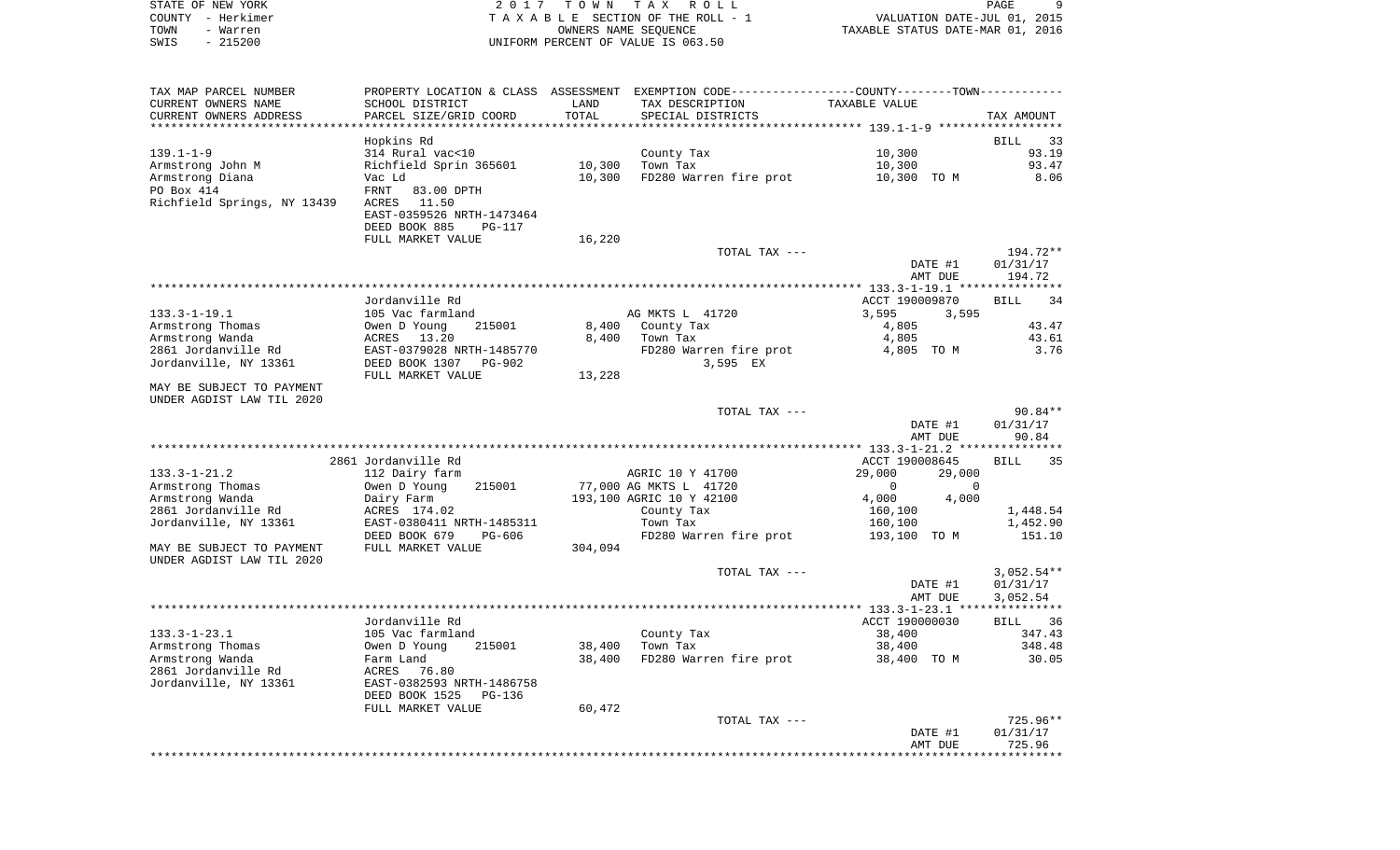STATE OF NEW YORK 2 0 1 7 T O W N T A X R O L L PAGE 9COUNTY - Herkimer **T A X A B L E** SECTION OF THE ROLL - 1 VALUATION DATE-JUL 01, 2015 TOWN - Warren OWNERS NAME SEQUENCE TAXABLE STATUS DATE-MAR 01, 2016 SWIS - 215200 UNIFORM PERCENT OF VALUE IS 063.50TAX MAP PARCEL NUMBER PROPERTY LOCATION & CLASS ASSESSMENT EXEMPTION CODE------------------COUNTY--------TOWN------------ CURRENT OWNERS NAME SCHOOL DISTRICT LAND TAX DESCRIPTION TAXABLE VALUECURRENT OWNERS ADDRESS PARCEL SIZE/GRID COORD TOTAL SPECIAL DISTRICTS TAX AMOUNT \*\*\*\*\*\*\*\*\*\*\*\*\*\*\*\*\*\*\*\*\*\*\*\*\*\*\*\*\*\*\*\*\*\*\*\*\*\*\*\*\*\*\*\*\*\*\*\*\*\*\*\*\*\*\*\*\*\*\*\*\*\*\*\*\*\*\*\*\*\*\*\*\*\*\*\*\*\*\*\*\*\*\*\*\*\*\*\*\*\*\*\*\*\*\*\*\*\*\*\*\*\*\* 139.1-1-9 \*\*\*\*\*\*\*\*\*\*\*\*\*\*\*\*\*\* Hopkins Rd BILL 33 139.1-1-9 314 Rural vac<10 County Tax 10,300 93.19 Armstrong John M Richfield Sprin 365601 10,300 Town Tax 10,300 100,300 93.47 Armstrong Diana Vac Ld 10,300 FD280 Warren fire prot 10,300 TO M 8.06 PO Box 414 FRNT 83.00 DPTH Richfield Springs, NY 13439 ACRES 11.50 EAST-0359526 NRTH-1473464 DEED BOOK 885 PG-117FULL MARKET VALUE 16,220 TOTAL TAX --- 194.72\*\* DATE #1 01/31/17 AMT DUE 194.72 \*\*\*\*\*\*\*\*\*\*\*\*\*\*\*\*\*\*\*\*\*\*\*\*\*\*\*\*\*\*\*\*\*\*\*\*\*\*\*\*\*\*\*\*\*\*\*\*\*\*\*\*\*\*\*\*\*\*\*\*\*\*\*\*\*\*\*\*\*\*\*\*\*\*\*\*\*\*\*\*\*\*\*\*\*\*\*\*\*\*\*\*\*\*\*\*\*\*\*\*\*\*\* 133.3-1-19.1 \*\*\*\*\*\*\*\*\*\*\*\*\*\*\* $\overline{34}$  Jordanville Rd ACCT 190009870 BILL 34133.3-1-19.1 105 Vac farmland 105 AG MKTS L 41720 3,595 3,595 3,595 Armstrong Thomas Owen D Young 215001 8,400 County Tax 4,805 43.47 Armstrong Wanda ACRES 13.20 8,400 Town Tax 4,805 43.61 43.61 43.61 2861 Jordanville Rd EAST-0379028 NRTH-1485770 FD280 Warren fire prot 4,805 TO M 3.76 Jordanville, NY 13361 DEED BOOK 1307 PG-902 3,595 EX FULL MARKET VALUE 13,228 MAY BE SUBJECT TO PAYMENTUNDER AGDIST LAW TIL 2020TOTAL TAX  $-- 90.84**$  DATE #1 01/31/17 AMT DUE 90.84 \*\*\*\*\*\*\*\*\*\*\*\*\*\*\*\*\*\*\*\*\*\*\*\*\*\*\*\*\*\*\*\*\*\*\*\*\*\*\*\*\*\*\*\*\*\*\*\*\*\*\*\*\*\*\*\*\*\*\*\*\*\*\*\*\*\*\*\*\*\*\*\*\*\*\*\*\*\*\*\*\*\*\*\*\*\*\*\*\*\*\*\*\*\*\*\*\*\*\*\*\*\*\* 133.3-1-21.2 \*\*\*\*\*\*\*\*\*\*\*\*\*\*\* 2861 Jordanville Rd ACCT 190008645 BILL 35133.3-1-21.2 112 Dairy farm AGRIC 10 Y 41700 29,000 29,000 Armstrong Thomas Owen D Young 215001 77,000 AG MKTS L 41720 0 0 Armstrong Wanda Dairy Farm 193,100 AGRIC 10 Y 42100 4,000 4,000 2861 Jordanville Rd  $ACRES$  174.02 County Tax 160,100 160,100 1,448.54 Jordanville, NY 13361 **EAST-0380411 NRTH-1485311** Town Tax 160,100 160,100 1,452.90 DEED BOOK 679 PG-606 FD280 Warren fire prot 193,100 TO M 151.10 MAY BE SUBJECT TO PAYMENT FULL MARKET VALUE 304,094 UNDER AGDIST LAW TIL 2020 TOTAL TAX --- 3,052.54\*\* DATE #1 01/31/17 AMT DUE 3,052.54 \*\*\*\*\*\*\*\*\*\*\*\*\*\*\*\*\*\*\*\*\*\*\*\*\*\*\*\*\*\*\*\*\*\*\*\*\*\*\*\*\*\*\*\*\*\*\*\*\*\*\*\*\*\*\*\*\*\*\*\*\*\*\*\*\*\*\*\*\*\*\*\*\*\*\*\*\*\*\*\*\*\*\*\*\*\*\*\*\*\*\*\*\*\*\*\*\*\*\*\*\*\*\* 133.3-1-23.1 \*\*\*\*\*\*\*\*\*\*\*\*\*\*\* Jordanville Rd ACCT 190000030 BILL 36133.3-1-23.1 105 Vac farmland County Tax 38,400 347.43 Armstrong Thomas Owen D Young 215001 38,400 Town Tax 38,400 348.48 Armstrong Wanda **Farm Land** Farm Land 38,400 FD280 Warren fire prot 38,400 TO M 30.05 2861 Jordanville Rd
and ACRES
76.80
2861 Jordanville, NY 13361 EAST-0382593 NRTH-1486758 DEED BOOK 1525 PG-136 FULL MARKET VALUE 60,472 TOTAL TAX --- 725.96\*\* DATE #1 01/31/17 AMT DUE 725.96

\*\*\*\*\*\*\*\*\*\*\*\*\*\*\*\*\*\*\*\*\*\*\*\*\*\*\*\*\*\*\*\*\*\*\*\*\*\*\*\*\*\*\*\*\*\*\*\*\*\*\*\*\*\*\*\*\*\*\*\*\*\*\*\*\*\*\*\*\*\*\*\*\*\*\*\*\*\*\*\*\*\*\*\*\*\*\*\*\*\*\*\*\*\*\*\*\*\*\*\*\*\*\*\*\*\*\*\*\*\*\*\*\*\*\*\*\*\*\*\*\*\*\*\*\*\*\*\*\*\*\*\*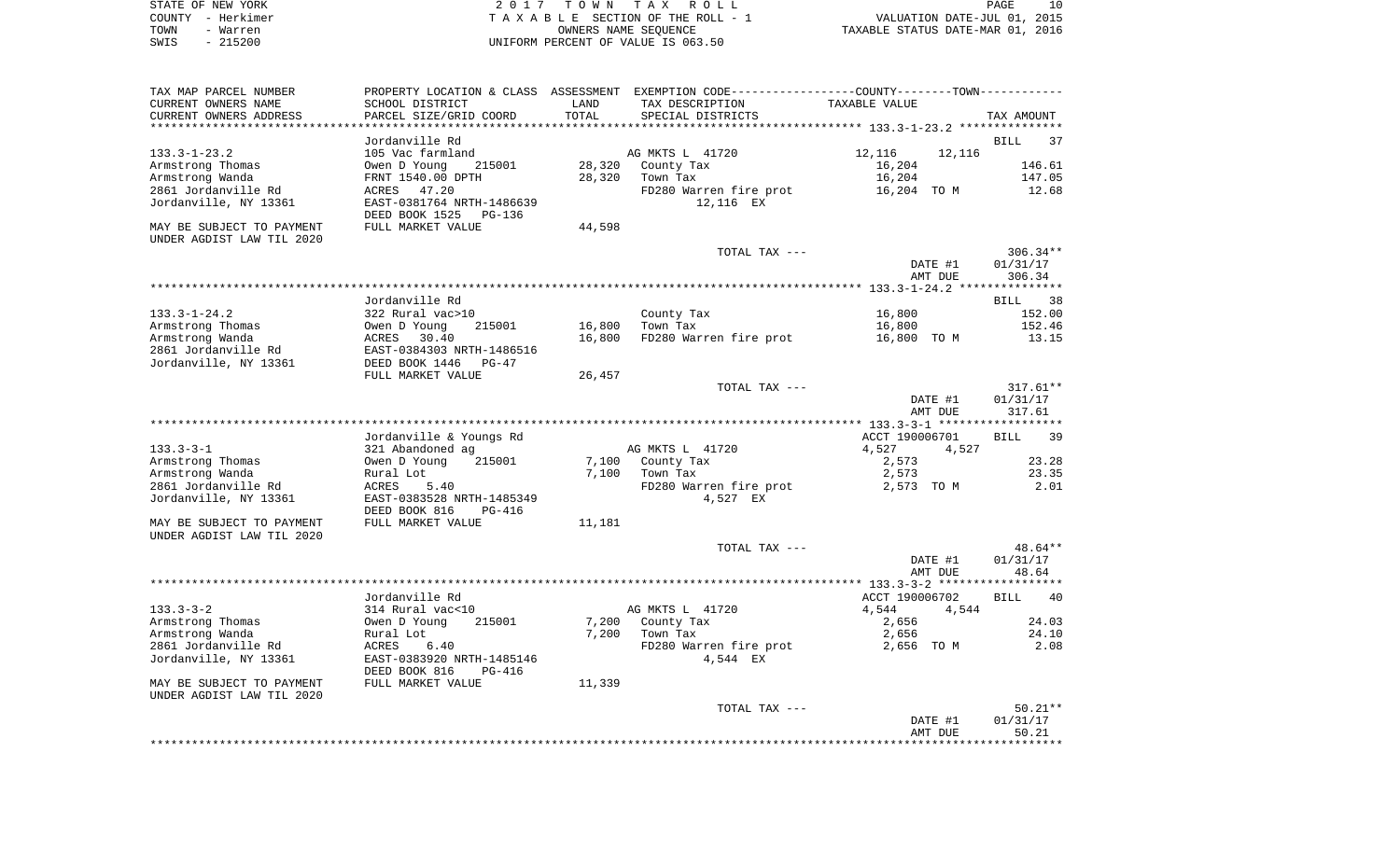|      | STATE OF NEW YORK | 2017 TOWN TAX ROLL                 | 10<br>PAGE                       |
|------|-------------------|------------------------------------|----------------------------------|
|      | COUNTY - Herkimer | TAXABLE SECTION OF THE ROLL - 1    | VALUATION DATE-JUL 01, 2015      |
| TOWN | - Warren          | OWNERS NAME SEOUENCE               | TAXABLE STATUS DATE-MAR 01, 2016 |
| SWIS | - 215200          | UNIFORM PERCENT OF VALUE IS 063.50 |                                  |

| TAX MAP PARCEL NUMBER                                  |                                     |        | PROPERTY LOCATION & CLASS ASSESSMENT EXEMPTION CODE---------------COUNTY-------TOWN---------- |                  |                   |
|--------------------------------------------------------|-------------------------------------|--------|-----------------------------------------------------------------------------------------------|------------------|-------------------|
| CURRENT OWNERS NAME                                    | SCHOOL DISTRICT                     | LAND   | TAX DESCRIPTION                                                                               | TAXABLE VALUE    |                   |
| CURRENT OWNERS ADDRESS                                 | PARCEL SIZE/GRID COORD              | TOTAL  | SPECIAL DISTRICTS                                                                             |                  | TAX AMOUNT        |
|                                                        |                                     |        |                                                                                               |                  |                   |
|                                                        | Jordanville Rd                      |        |                                                                                               |                  | <b>BILL</b><br>37 |
| $133.3 - 1 - 23.2$                                     | 105 Vac farmland<br>215001          | 28,320 | AG MKTS L 41720                                                                               | 12,116<br>12,116 | 146.61            |
| Armstrong Thomas<br>Armstrong Wanda                    | Owen D Young<br>FRNT 1540.00 DPTH   | 28,320 | County Tax                                                                                    | 16,204<br>16,204 | 147.05            |
| 2861 Jordanville Rd                                    | ACRES 47.20                         |        | Town Tax<br>FD280 Warren fire prot                                                            | 16,204 TO M      | 12.68             |
| Jordanville, NY 13361                                  | EAST-0381764 NRTH-1486639           |        | 12,116 EX                                                                                     |                  |                   |
|                                                        | DEED BOOK 1525<br>PG-136            |        |                                                                                               |                  |                   |
| MAY BE SUBJECT TO PAYMENT<br>UNDER AGDIST LAW TIL 2020 | FULL MARKET VALUE                   | 44,598 |                                                                                               |                  |                   |
|                                                        |                                     |        | TOTAL TAX ---                                                                                 |                  | $306.34**$        |
|                                                        |                                     |        |                                                                                               | DATE #1          | 01/31/17          |
|                                                        |                                     |        |                                                                                               | AMT DUE          | 306.34            |
|                                                        |                                     |        |                                                                                               |                  |                   |
|                                                        | Jordanville Rd                      |        |                                                                                               |                  | BILL 38           |
| 133.3-1-24.2                                           | 322 Rural vac>10                    |        | County Tax                                                                                    | 16,800           | 152.00            |
| Armstrong Thomas                                       | 215001<br>Owen D Young              | 16,800 | Town Tax                                                                                      | 16,800           | 152.46            |
| Armstrong Wanda                                        | ACRES 30.40                         | 16,800 | FD280 Warren fire prot                                                                        | 16,800 TO M      | 13.15             |
| 2861 Jordanville Rd                                    | EAST-0384303 NRTH-1486516           |        |                                                                                               |                  |                   |
| Jordanville, NY 13361                                  | DEED BOOK 1446<br>PG-47             |        |                                                                                               |                  |                   |
|                                                        | FULL MARKET VALUE                   | 26,457 |                                                                                               |                  |                   |
|                                                        |                                     |        | TOTAL TAX ---                                                                                 |                  | $317.61**$        |
|                                                        |                                     |        |                                                                                               | DATE #1          | 01/31/17          |
|                                                        |                                     |        |                                                                                               | AMT DUE          | 317.61            |
|                                                        |                                     |        |                                                                                               |                  |                   |
|                                                        | Jordanville & Youngs Rd             |        |                                                                                               | ACCT 190006701   | 39<br>BILL        |
| $133.3 - 3 - 1$                                        | 321 Abandoned ag                    |        | AG MKTS L 41720                                                                               | 4,527            | 4,527             |
| Armstrong Thomas<br>Armstrong Wanda                    | Owen D Young<br>215001<br>Rural Lot | 7,100  | 7,100 County Tax<br>Town Tax                                                                  | 2,573<br>2,573   | 23.28<br>23.35    |
| 2861 Jordanville Rd                                    | ACRES<br>5.40                       |        | FD280 Warren fire prot                                                                        | 2,573 TO M       | 2.01              |
| Jordanville, NY 13361                                  | EAST-0383528 NRTH-1485349           |        | 4,527 EX                                                                                      |                  |                   |
|                                                        | DEED BOOK 816<br>PG-416             |        |                                                                                               |                  |                   |
| MAY BE SUBJECT TO PAYMENT                              | FULL MARKET VALUE                   | 11,181 |                                                                                               |                  |                   |
| UNDER AGDIST LAW TIL 2020                              |                                     |        |                                                                                               |                  |                   |
|                                                        |                                     |        | TOTAL TAX ---                                                                                 |                  | 48.64**           |
|                                                        |                                     |        |                                                                                               | DATE #1          | 01/31/17          |
|                                                        |                                     |        |                                                                                               | AMT DUE          | 48.64             |
|                                                        |                                     |        |                                                                                               |                  |                   |
|                                                        | Jordanville Rd                      |        |                                                                                               | ACCT 190006702   | BILL<br>40        |
| $133.3 - 3 - 2$                                        | 314 Rural vac<10                    |        | AG MKTS L 41720                                                                               | 4,544            | 4,544             |
| Armstrong Thomas                                       | Owen D Young<br>215001              | 7,200  | County Tax                                                                                    | 2,656            | 24.03             |
| Armstrong Wanda                                        | Rural Lot                           | 7,200  | Town Tax                                                                                      | 2,656            | 24.10             |
| 2861 Jordanville Rd                                    | 6.40<br>ACRES                       |        | FD280 Warren fire prot                                                                        | 2,656 TO M       | 2.08              |
| Jordanville, NY 13361                                  | EAST-0383920 NRTH-1485146           |        | 4,544 EX                                                                                      |                  |                   |
|                                                        | DEED BOOK 816<br>PG-416             |        |                                                                                               |                  |                   |
| MAY BE SUBJECT TO PAYMENT                              | FULL MARKET VALUE                   | 11,339 |                                                                                               |                  |                   |
| UNDER AGDIST LAW TIL 2020                              |                                     |        |                                                                                               |                  |                   |
|                                                        |                                     |        | TOTAL TAX ---                                                                                 |                  | $50.21**$         |
|                                                        |                                     |        |                                                                                               | DATE #1          | 01/31/17<br>50.21 |
|                                                        |                                     |        |                                                                                               | AMT DUE          |                   |
|                                                        |                                     |        |                                                                                               |                  |                   |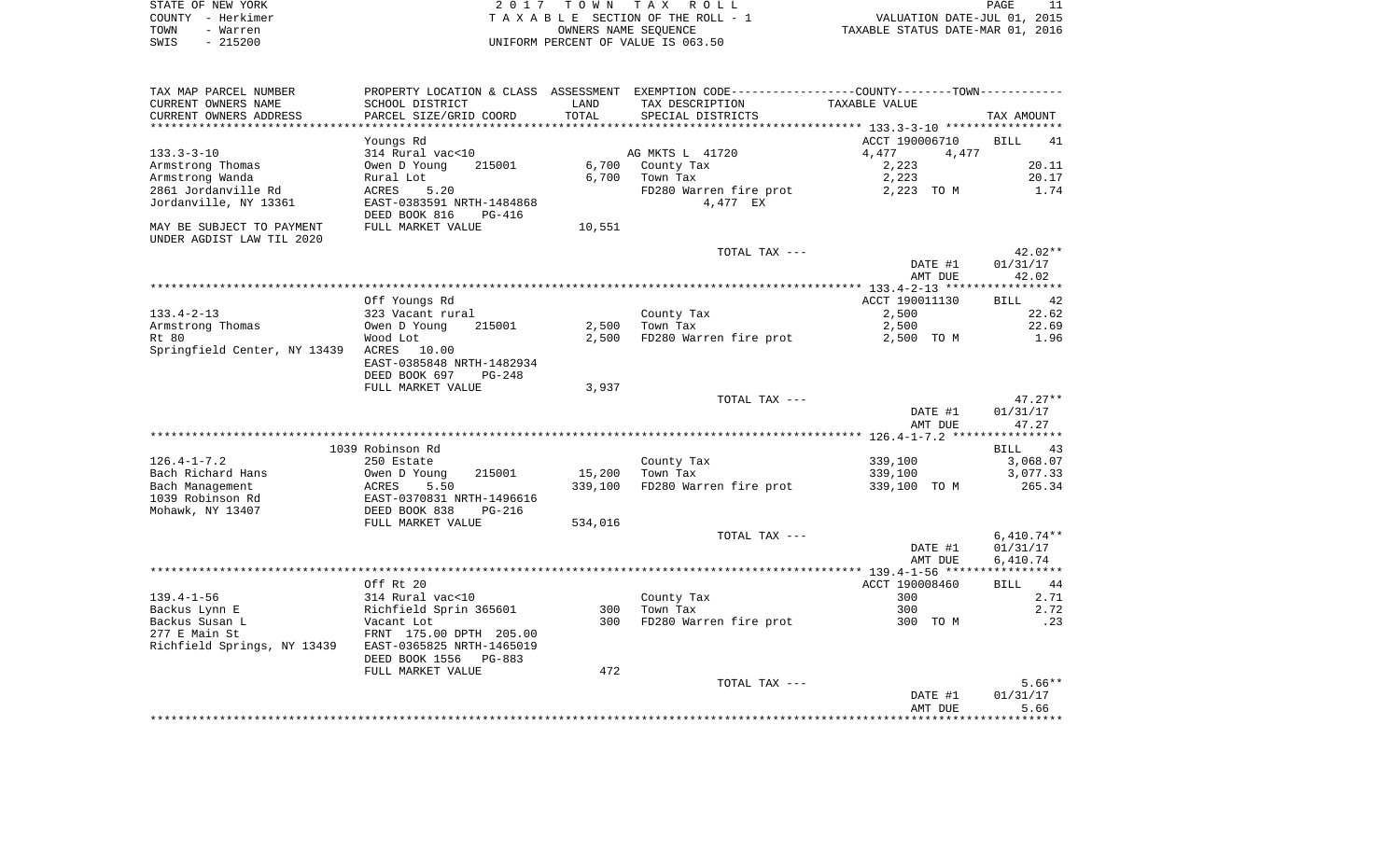| STATE OF NEW YORK | 2017 TOWN TAX ROLL                 | PAGE                             |
|-------------------|------------------------------------|----------------------------------|
| COUNTY - Herkimer | TAXABLE SECTION OF THE ROLL - 1    | VALUATION DATE-JUL 01, 2015      |
| TOWN<br>- Warren  | OWNERS NAME SEOUENCE               | TAXABLE STATUS DATE-MAR 01, 2016 |
| $-215200$<br>SWIS | UNIFORM PERCENT OF VALUE IS 063.50 |                                  |

 $\begin{array}{c} 11 \\ 2015 \\ 2016 \end{array}$ 

| SCHOOL DISTRICT<br>LAND<br>TAX DESCRIPTION<br>TAXABLE VALUE<br>TOTAL<br>PARCEL SIZE/GRID COORD<br>SPECIAL DISTRICTS<br>TAX AMOUNT<br>*****************************<br>**********************<br>Youngs Rd<br>ACCT 190006710<br><b>BILL</b><br>41<br>314 Rural vac<10<br>AG MKTS L 41720<br>4,477<br>4,477<br>6,700<br>2,223<br>20.11<br>Owen D Young<br>215001<br>County Tax<br>6,700<br>2,223<br>Rural Lot<br>Town Tax<br>20.17<br>FD280 Warren fire prot<br>ACRES<br>5.20<br>2,223 TO M<br>1.74<br>EAST-0383591 NRTH-1484868<br>4,477 EX<br>DEED BOOK 816<br>PG-416<br>FULL MARKET VALUE<br>10,551<br>UNDER AGDIST LAW TIL 2020<br>TOTAL TAX ---<br>$42.02**$<br>DATE #1<br>01/31/17<br>42.02<br>AMT DUE<br>ACCT 190011130<br>Off Youngs Rd<br>42<br><b>BILL</b><br>22.62<br>$133.4 - 2 - 13$<br>323 Vacant rural<br>County Tax<br>2,500<br>2,500<br>Town Tax<br>2,500<br>22.69<br>Armstrong Thomas<br>Owen D Young<br>215001<br>Wood Lot<br>2,500<br>FD280 Warren fire prot<br>2,500 TO M<br>1.96<br>Springfield Center, NY 13439 ACRES<br>10.00<br>EAST-0385848 NRTH-1482934<br>DEED BOOK 697<br>$PG-248$<br>FULL MARKET VALUE<br>3,937<br>TOTAL TAX ---<br>$47.27**$<br>DATE #1<br>01/31/17<br>AMT DUE<br>47.27<br>1039 Robinson Rd<br>BILL<br>43<br>339,100<br>3,068.07<br>250 Estate<br>County Tax<br>215001<br>15,200<br>Town Tax<br>339,100<br>3,077.33<br>Owen D Young<br>265.34<br>5.50<br>339,100<br>FD280 Warren fire prot<br>339,100 TO M<br>ACRES<br>EAST-0370831 NRTH-1496616<br>Mohawk, NY 13407<br>DEED BOOK 838<br>$PG-216$<br>FULL MARKET VALUE<br>534,016<br>$6,410.74**$<br>TOTAL TAX ---<br>01/31/17<br>DATE #1<br>AMT DUE<br>6,410.74<br>Off Rt 20<br>ACCT 190008460<br>44<br>BILL<br>314 Rural vac<10<br>County Tax<br>300<br>2.71<br>Town Tax<br>2.72<br>Richfield Sprin 365601<br>300<br>300<br>FD280 Warren fire prot<br>Vacant Lot<br>300<br>300 TO M<br>.23<br>FRNT 175.00 DPTH 205.00<br>EAST-0365825 NRTH-1465019<br>DEED BOOK 1556<br>PG-883<br>472<br>FULL MARKET VALUE<br>$5.66**$<br>TOTAL TAX ---<br>01/31/17<br>DATE #1<br>5.66<br>AMT DUE | TAX MAP PARCEL NUMBER       | PROPERTY LOCATION & CLASS ASSESSMENT EXEMPTION CODE----------------COUNTY-------TOWN---------- |  |  |
|----------------------------------------------------------------------------------------------------------------------------------------------------------------------------------------------------------------------------------------------------------------------------------------------------------------------------------------------------------------------------------------------------------------------------------------------------------------------------------------------------------------------------------------------------------------------------------------------------------------------------------------------------------------------------------------------------------------------------------------------------------------------------------------------------------------------------------------------------------------------------------------------------------------------------------------------------------------------------------------------------------------------------------------------------------------------------------------------------------------------------------------------------------------------------------------------------------------------------------------------------------------------------------------------------------------------------------------------------------------------------------------------------------------------------------------------------------------------------------------------------------------------------------------------------------------------------------------------------------------------------------------------------------------------------------------------------------------------------------------------------------------------------------------------------------------------------------------------------------------------------------------------------------------------------------------------------------------------------------------------------------------------------------------------------------------------------------|-----------------------------|------------------------------------------------------------------------------------------------|--|--|
|                                                                                                                                                                                                                                                                                                                                                                                                                                                                                                                                                                                                                                                                                                                                                                                                                                                                                                                                                                                                                                                                                                                                                                                                                                                                                                                                                                                                                                                                                                                                                                                                                                                                                                                                                                                                                                                                                                                                                                                                                                                                                  | CURRENT OWNERS NAME         |                                                                                                |  |  |
|                                                                                                                                                                                                                                                                                                                                                                                                                                                                                                                                                                                                                                                                                                                                                                                                                                                                                                                                                                                                                                                                                                                                                                                                                                                                                                                                                                                                                                                                                                                                                                                                                                                                                                                                                                                                                                                                                                                                                                                                                                                                                  | CURRENT OWNERS ADDRESS      |                                                                                                |  |  |
|                                                                                                                                                                                                                                                                                                                                                                                                                                                                                                                                                                                                                                                                                                                                                                                                                                                                                                                                                                                                                                                                                                                                                                                                                                                                                                                                                                                                                                                                                                                                                                                                                                                                                                                                                                                                                                                                                                                                                                                                                                                                                  |                             |                                                                                                |  |  |
|                                                                                                                                                                                                                                                                                                                                                                                                                                                                                                                                                                                                                                                                                                                                                                                                                                                                                                                                                                                                                                                                                                                                                                                                                                                                                                                                                                                                                                                                                                                                                                                                                                                                                                                                                                                                                                                                                                                                                                                                                                                                                  |                             |                                                                                                |  |  |
|                                                                                                                                                                                                                                                                                                                                                                                                                                                                                                                                                                                                                                                                                                                                                                                                                                                                                                                                                                                                                                                                                                                                                                                                                                                                                                                                                                                                                                                                                                                                                                                                                                                                                                                                                                                                                                                                                                                                                                                                                                                                                  | $133.3 - 3 - 10$            |                                                                                                |  |  |
|                                                                                                                                                                                                                                                                                                                                                                                                                                                                                                                                                                                                                                                                                                                                                                                                                                                                                                                                                                                                                                                                                                                                                                                                                                                                                                                                                                                                                                                                                                                                                                                                                                                                                                                                                                                                                                                                                                                                                                                                                                                                                  | Armstrong Thomas            |                                                                                                |  |  |
|                                                                                                                                                                                                                                                                                                                                                                                                                                                                                                                                                                                                                                                                                                                                                                                                                                                                                                                                                                                                                                                                                                                                                                                                                                                                                                                                                                                                                                                                                                                                                                                                                                                                                                                                                                                                                                                                                                                                                                                                                                                                                  | Armstrong Wanda             |                                                                                                |  |  |
|                                                                                                                                                                                                                                                                                                                                                                                                                                                                                                                                                                                                                                                                                                                                                                                                                                                                                                                                                                                                                                                                                                                                                                                                                                                                                                                                                                                                                                                                                                                                                                                                                                                                                                                                                                                                                                                                                                                                                                                                                                                                                  | 2861 Jordanville Rd         |                                                                                                |  |  |
|                                                                                                                                                                                                                                                                                                                                                                                                                                                                                                                                                                                                                                                                                                                                                                                                                                                                                                                                                                                                                                                                                                                                                                                                                                                                                                                                                                                                                                                                                                                                                                                                                                                                                                                                                                                                                                                                                                                                                                                                                                                                                  | Jordanville, NY 13361       |                                                                                                |  |  |
|                                                                                                                                                                                                                                                                                                                                                                                                                                                                                                                                                                                                                                                                                                                                                                                                                                                                                                                                                                                                                                                                                                                                                                                                                                                                                                                                                                                                                                                                                                                                                                                                                                                                                                                                                                                                                                                                                                                                                                                                                                                                                  | MAY BE SUBJECT TO PAYMENT   |                                                                                                |  |  |
|                                                                                                                                                                                                                                                                                                                                                                                                                                                                                                                                                                                                                                                                                                                                                                                                                                                                                                                                                                                                                                                                                                                                                                                                                                                                                                                                                                                                                                                                                                                                                                                                                                                                                                                                                                                                                                                                                                                                                                                                                                                                                  |                             |                                                                                                |  |  |
|                                                                                                                                                                                                                                                                                                                                                                                                                                                                                                                                                                                                                                                                                                                                                                                                                                                                                                                                                                                                                                                                                                                                                                                                                                                                                                                                                                                                                                                                                                                                                                                                                                                                                                                                                                                                                                                                                                                                                                                                                                                                                  |                             |                                                                                                |  |  |
|                                                                                                                                                                                                                                                                                                                                                                                                                                                                                                                                                                                                                                                                                                                                                                                                                                                                                                                                                                                                                                                                                                                                                                                                                                                                                                                                                                                                                                                                                                                                                                                                                                                                                                                                                                                                                                                                                                                                                                                                                                                                                  |                             |                                                                                                |  |  |
|                                                                                                                                                                                                                                                                                                                                                                                                                                                                                                                                                                                                                                                                                                                                                                                                                                                                                                                                                                                                                                                                                                                                                                                                                                                                                                                                                                                                                                                                                                                                                                                                                                                                                                                                                                                                                                                                                                                                                                                                                                                                                  |                             |                                                                                                |  |  |
|                                                                                                                                                                                                                                                                                                                                                                                                                                                                                                                                                                                                                                                                                                                                                                                                                                                                                                                                                                                                                                                                                                                                                                                                                                                                                                                                                                                                                                                                                                                                                                                                                                                                                                                                                                                                                                                                                                                                                                                                                                                                                  |                             |                                                                                                |  |  |
|                                                                                                                                                                                                                                                                                                                                                                                                                                                                                                                                                                                                                                                                                                                                                                                                                                                                                                                                                                                                                                                                                                                                                                                                                                                                                                                                                                                                                                                                                                                                                                                                                                                                                                                                                                                                                                                                                                                                                                                                                                                                                  |                             |                                                                                                |  |  |
|                                                                                                                                                                                                                                                                                                                                                                                                                                                                                                                                                                                                                                                                                                                                                                                                                                                                                                                                                                                                                                                                                                                                                                                                                                                                                                                                                                                                                                                                                                                                                                                                                                                                                                                                                                                                                                                                                                                                                                                                                                                                                  |                             |                                                                                                |  |  |
|                                                                                                                                                                                                                                                                                                                                                                                                                                                                                                                                                                                                                                                                                                                                                                                                                                                                                                                                                                                                                                                                                                                                                                                                                                                                                                                                                                                                                                                                                                                                                                                                                                                                                                                                                                                                                                                                                                                                                                                                                                                                                  | Rt 80                       |                                                                                                |  |  |
|                                                                                                                                                                                                                                                                                                                                                                                                                                                                                                                                                                                                                                                                                                                                                                                                                                                                                                                                                                                                                                                                                                                                                                                                                                                                                                                                                                                                                                                                                                                                                                                                                                                                                                                                                                                                                                                                                                                                                                                                                                                                                  |                             |                                                                                                |  |  |
|                                                                                                                                                                                                                                                                                                                                                                                                                                                                                                                                                                                                                                                                                                                                                                                                                                                                                                                                                                                                                                                                                                                                                                                                                                                                                                                                                                                                                                                                                                                                                                                                                                                                                                                                                                                                                                                                                                                                                                                                                                                                                  |                             |                                                                                                |  |  |
|                                                                                                                                                                                                                                                                                                                                                                                                                                                                                                                                                                                                                                                                                                                                                                                                                                                                                                                                                                                                                                                                                                                                                                                                                                                                                                                                                                                                                                                                                                                                                                                                                                                                                                                                                                                                                                                                                                                                                                                                                                                                                  |                             |                                                                                                |  |  |
|                                                                                                                                                                                                                                                                                                                                                                                                                                                                                                                                                                                                                                                                                                                                                                                                                                                                                                                                                                                                                                                                                                                                                                                                                                                                                                                                                                                                                                                                                                                                                                                                                                                                                                                                                                                                                                                                                                                                                                                                                                                                                  |                             |                                                                                                |  |  |
|                                                                                                                                                                                                                                                                                                                                                                                                                                                                                                                                                                                                                                                                                                                                                                                                                                                                                                                                                                                                                                                                                                                                                                                                                                                                                                                                                                                                                                                                                                                                                                                                                                                                                                                                                                                                                                                                                                                                                                                                                                                                                  |                             |                                                                                                |  |  |
|                                                                                                                                                                                                                                                                                                                                                                                                                                                                                                                                                                                                                                                                                                                                                                                                                                                                                                                                                                                                                                                                                                                                                                                                                                                                                                                                                                                                                                                                                                                                                                                                                                                                                                                                                                                                                                                                                                                                                                                                                                                                                  |                             |                                                                                                |  |  |
|                                                                                                                                                                                                                                                                                                                                                                                                                                                                                                                                                                                                                                                                                                                                                                                                                                                                                                                                                                                                                                                                                                                                                                                                                                                                                                                                                                                                                                                                                                                                                                                                                                                                                                                                                                                                                                                                                                                                                                                                                                                                                  |                             |                                                                                                |  |  |
|                                                                                                                                                                                                                                                                                                                                                                                                                                                                                                                                                                                                                                                                                                                                                                                                                                                                                                                                                                                                                                                                                                                                                                                                                                                                                                                                                                                                                                                                                                                                                                                                                                                                                                                                                                                                                                                                                                                                                                                                                                                                                  |                             |                                                                                                |  |  |
|                                                                                                                                                                                                                                                                                                                                                                                                                                                                                                                                                                                                                                                                                                                                                                                                                                                                                                                                                                                                                                                                                                                                                                                                                                                                                                                                                                                                                                                                                                                                                                                                                                                                                                                                                                                                                                                                                                                                                                                                                                                                                  |                             |                                                                                                |  |  |
|                                                                                                                                                                                                                                                                                                                                                                                                                                                                                                                                                                                                                                                                                                                                                                                                                                                                                                                                                                                                                                                                                                                                                                                                                                                                                                                                                                                                                                                                                                                                                                                                                                                                                                                                                                                                                                                                                                                                                                                                                                                                                  | $126.4 - 1 - 7.2$           |                                                                                                |  |  |
|                                                                                                                                                                                                                                                                                                                                                                                                                                                                                                                                                                                                                                                                                                                                                                                                                                                                                                                                                                                                                                                                                                                                                                                                                                                                                                                                                                                                                                                                                                                                                                                                                                                                                                                                                                                                                                                                                                                                                                                                                                                                                  | Bach Richard Hans           |                                                                                                |  |  |
|                                                                                                                                                                                                                                                                                                                                                                                                                                                                                                                                                                                                                                                                                                                                                                                                                                                                                                                                                                                                                                                                                                                                                                                                                                                                                                                                                                                                                                                                                                                                                                                                                                                                                                                                                                                                                                                                                                                                                                                                                                                                                  | Bach Management             |                                                                                                |  |  |
|                                                                                                                                                                                                                                                                                                                                                                                                                                                                                                                                                                                                                                                                                                                                                                                                                                                                                                                                                                                                                                                                                                                                                                                                                                                                                                                                                                                                                                                                                                                                                                                                                                                                                                                                                                                                                                                                                                                                                                                                                                                                                  | 1039 Robinson Rd            |                                                                                                |  |  |
|                                                                                                                                                                                                                                                                                                                                                                                                                                                                                                                                                                                                                                                                                                                                                                                                                                                                                                                                                                                                                                                                                                                                                                                                                                                                                                                                                                                                                                                                                                                                                                                                                                                                                                                                                                                                                                                                                                                                                                                                                                                                                  |                             |                                                                                                |  |  |
|                                                                                                                                                                                                                                                                                                                                                                                                                                                                                                                                                                                                                                                                                                                                                                                                                                                                                                                                                                                                                                                                                                                                                                                                                                                                                                                                                                                                                                                                                                                                                                                                                                                                                                                                                                                                                                                                                                                                                                                                                                                                                  |                             |                                                                                                |  |  |
|                                                                                                                                                                                                                                                                                                                                                                                                                                                                                                                                                                                                                                                                                                                                                                                                                                                                                                                                                                                                                                                                                                                                                                                                                                                                                                                                                                                                                                                                                                                                                                                                                                                                                                                                                                                                                                                                                                                                                                                                                                                                                  |                             |                                                                                                |  |  |
|                                                                                                                                                                                                                                                                                                                                                                                                                                                                                                                                                                                                                                                                                                                                                                                                                                                                                                                                                                                                                                                                                                                                                                                                                                                                                                                                                                                                                                                                                                                                                                                                                                                                                                                                                                                                                                                                                                                                                                                                                                                                                  |                             |                                                                                                |  |  |
|                                                                                                                                                                                                                                                                                                                                                                                                                                                                                                                                                                                                                                                                                                                                                                                                                                                                                                                                                                                                                                                                                                                                                                                                                                                                                                                                                                                                                                                                                                                                                                                                                                                                                                                                                                                                                                                                                                                                                                                                                                                                                  |                             |                                                                                                |  |  |
|                                                                                                                                                                                                                                                                                                                                                                                                                                                                                                                                                                                                                                                                                                                                                                                                                                                                                                                                                                                                                                                                                                                                                                                                                                                                                                                                                                                                                                                                                                                                                                                                                                                                                                                                                                                                                                                                                                                                                                                                                                                                                  |                             |                                                                                                |  |  |
|                                                                                                                                                                                                                                                                                                                                                                                                                                                                                                                                                                                                                                                                                                                                                                                                                                                                                                                                                                                                                                                                                                                                                                                                                                                                                                                                                                                                                                                                                                                                                                                                                                                                                                                                                                                                                                                                                                                                                                                                                                                                                  |                             |                                                                                                |  |  |
|                                                                                                                                                                                                                                                                                                                                                                                                                                                                                                                                                                                                                                                                                                                                                                                                                                                                                                                                                                                                                                                                                                                                                                                                                                                                                                                                                                                                                                                                                                                                                                                                                                                                                                                                                                                                                                                                                                                                                                                                                                                                                  | $139.4 - 1 - 56$            |                                                                                                |  |  |
|                                                                                                                                                                                                                                                                                                                                                                                                                                                                                                                                                                                                                                                                                                                                                                                                                                                                                                                                                                                                                                                                                                                                                                                                                                                                                                                                                                                                                                                                                                                                                                                                                                                                                                                                                                                                                                                                                                                                                                                                                                                                                  | Backus Lynn E               |                                                                                                |  |  |
|                                                                                                                                                                                                                                                                                                                                                                                                                                                                                                                                                                                                                                                                                                                                                                                                                                                                                                                                                                                                                                                                                                                                                                                                                                                                                                                                                                                                                                                                                                                                                                                                                                                                                                                                                                                                                                                                                                                                                                                                                                                                                  | Backus Susan L              |                                                                                                |  |  |
|                                                                                                                                                                                                                                                                                                                                                                                                                                                                                                                                                                                                                                                                                                                                                                                                                                                                                                                                                                                                                                                                                                                                                                                                                                                                                                                                                                                                                                                                                                                                                                                                                                                                                                                                                                                                                                                                                                                                                                                                                                                                                  | 277 E Main St               |                                                                                                |  |  |
|                                                                                                                                                                                                                                                                                                                                                                                                                                                                                                                                                                                                                                                                                                                                                                                                                                                                                                                                                                                                                                                                                                                                                                                                                                                                                                                                                                                                                                                                                                                                                                                                                                                                                                                                                                                                                                                                                                                                                                                                                                                                                  | Richfield Springs, NY 13439 |                                                                                                |  |  |
|                                                                                                                                                                                                                                                                                                                                                                                                                                                                                                                                                                                                                                                                                                                                                                                                                                                                                                                                                                                                                                                                                                                                                                                                                                                                                                                                                                                                                                                                                                                                                                                                                                                                                                                                                                                                                                                                                                                                                                                                                                                                                  |                             |                                                                                                |  |  |
|                                                                                                                                                                                                                                                                                                                                                                                                                                                                                                                                                                                                                                                                                                                                                                                                                                                                                                                                                                                                                                                                                                                                                                                                                                                                                                                                                                                                                                                                                                                                                                                                                                                                                                                                                                                                                                                                                                                                                                                                                                                                                  |                             |                                                                                                |  |  |
|                                                                                                                                                                                                                                                                                                                                                                                                                                                                                                                                                                                                                                                                                                                                                                                                                                                                                                                                                                                                                                                                                                                                                                                                                                                                                                                                                                                                                                                                                                                                                                                                                                                                                                                                                                                                                                                                                                                                                                                                                                                                                  |                             |                                                                                                |  |  |
|                                                                                                                                                                                                                                                                                                                                                                                                                                                                                                                                                                                                                                                                                                                                                                                                                                                                                                                                                                                                                                                                                                                                                                                                                                                                                                                                                                                                                                                                                                                                                                                                                                                                                                                                                                                                                                                                                                                                                                                                                                                                                  |                             |                                                                                                |  |  |
|                                                                                                                                                                                                                                                                                                                                                                                                                                                                                                                                                                                                                                                                                                                                                                                                                                                                                                                                                                                                                                                                                                                                                                                                                                                                                                                                                                                                                                                                                                                                                                                                                                                                                                                                                                                                                                                                                                                                                                                                                                                                                  |                             |                                                                                                |  |  |
|                                                                                                                                                                                                                                                                                                                                                                                                                                                                                                                                                                                                                                                                                                                                                                                                                                                                                                                                                                                                                                                                                                                                                                                                                                                                                                                                                                                                                                                                                                                                                                                                                                                                                                                                                                                                                                                                                                                                                                                                                                                                                  |                             |                                                                                                |  |  |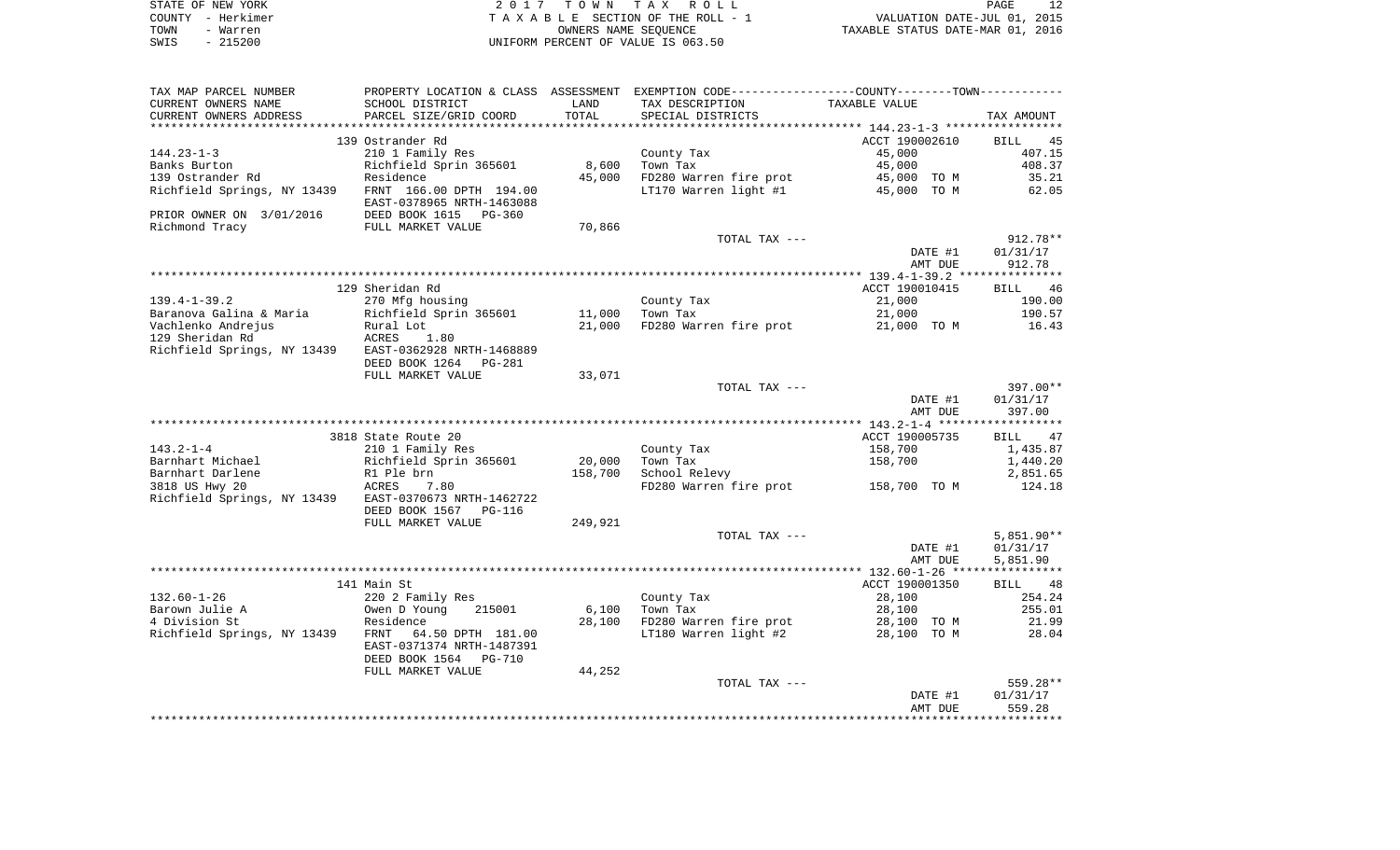| STATE OF NEW YORK | 2017 TOWN TAX ROLL                 | PAGE                             |
|-------------------|------------------------------------|----------------------------------|
| COUNTY - Herkimer | TAXABLE SECTION OF THE ROLL - 1    | VALUATION DATE-JUL 01, 2015      |
| TOWN<br>- Warren  | OWNERS NAME SEOUENCE               | TAXABLE STATUS DATE-MAR 01, 2016 |
| $-215200$<br>SWIS | UNIFORM PERCENT OF VALUE IS 063.50 |                                  |

| TAX MAP PARCEL NUMBER                                 | PROPERTY LOCATION & CLASS ASSESSMENT EXEMPTION CODE---------------COUNTY--------TOWN---------- |         |                                                                                                                                                                                                                                                                                                                                                                                                                                                                            |                |              |
|-------------------------------------------------------|------------------------------------------------------------------------------------------------|---------|----------------------------------------------------------------------------------------------------------------------------------------------------------------------------------------------------------------------------------------------------------------------------------------------------------------------------------------------------------------------------------------------------------------------------------------------------------------------------|----------------|--------------|
| CURRENT OWNERS NAME                                   | SCHOOL DISTRICT                                                                                | LAND    | TAX DESCRIPTION                                                                                                                                                                                                                                                                                                                                                                                                                                                            | TAXABLE VALUE  |              |
| CURRENT OWNERS ADDRESS                                | PARCEL SIZE/GRID COORD                                                                         | TOTAL   | SPECIAL DISTRICTS                                                                                                                                                                                                                                                                                                                                                                                                                                                          |                | TAX AMOUNT   |
|                                                       |                                                                                                |         |                                                                                                                                                                                                                                                                                                                                                                                                                                                                            |                |              |
|                                                       | 139 Ostrander Rd                                                                               |         |                                                                                                                                                                                                                                                                                                                                                                                                                                                                            | ACCT 190002610 | BILL<br>45   |
| $144.23 - 1 - 3$                                      | 210 1 Family Res                                                                               |         | County Tax                                                                                                                                                                                                                                                                                                                                                                                                                                                                 | 45,000         | 407.15       |
| Banks Burton                                          | Richfield Sprin 365601                                                                         | 8,600   | Town Tax                                                                                                                                                                                                                                                                                                                                                                                                                                                                   | 45,000         | 408.37       |
| 139 Ostrander Rd                                      | Residence                                                                                      | 45,000  | FD280 Warren fire prot                                                                                                                                                                                                                                                                                                                                                                                                                                                     | 45,000 TO M    | 35.21        |
| Richfield Springs, NY 13439                           | FRNT 166.00 DPTH 194.00                                                                        |         | LT170 Warren light #1                                                                                                                                                                                                                                                                                                                                                                                                                                                      | 45,000 TO M    | 62.05        |
|                                                       | EAST-0378965 NRTH-1463088                                                                      |         |                                                                                                                                                                                                                                                                                                                                                                                                                                                                            |                |              |
| PRIOR OWNER ON 3/01/2016                              | DEED BOOK 1615 PG-360                                                                          |         |                                                                                                                                                                                                                                                                                                                                                                                                                                                                            |                |              |
| Richmond Tracy                                        | FULL MARKET VALUE                                                                              | 70,866  |                                                                                                                                                                                                                                                                                                                                                                                                                                                                            |                |              |
|                                                       |                                                                                                |         | TOTAL TAX ---                                                                                                                                                                                                                                                                                                                                                                                                                                                              |                | $912.78**$   |
|                                                       |                                                                                                |         |                                                                                                                                                                                                                                                                                                                                                                                                                                                                            | DATE #1        | 01/31/17     |
|                                                       |                                                                                                |         |                                                                                                                                                                                                                                                                                                                                                                                                                                                                            | AMT DUE        | 912.78       |
|                                                       |                                                                                                |         |                                                                                                                                                                                                                                                                                                                                                                                                                                                                            |                |              |
|                                                       | 129 Sheridan Rd                                                                                |         |                                                                                                                                                                                                                                                                                                                                                                                                                                                                            | ACCT 190010415 | BILL 46      |
| $139.4 - 1 - 39.2$                                    | 270 Mfg housing                                                                                |         | County Tax<br>$\mathbb{E} \left[ \begin{array}{cc} \mathbb{E} \left[ \mathbb{E} \left[ \mathbb{E} \left[ \mathbb{E} \left[ \mathbb{E} \left[ \mathbb{E} \left[ \mathbb{E} \left[ \mathbb{E} \left[ \mathbb{E} \left[ \mathbb{E} \left[ \mathbb{E} \left[ \mathbb{E} \left[ \mathbb{E} \left[ \mathbb{E} \left[ \mathbb{E} \left[ \mathbb{E} \left[ \mathbb{E} \left[ \mathbb{E} \left[ \mathbb{E} \left[ \mathbb{E} \left[ \mathbb{E} \left[ \mathbb{E} \left[ \mathbb{E}$ | 21,000         | 190.00       |
| Baranova Galina & Maria       Richfield Sprin 365601  |                                                                                                | 11,000  | Town Tax                                                                                                                                                                                                                                                                                                                                                                                                                                                                   | 21,000         | 190.57       |
| Vachlenko Andrejus                                    | Rural Lot<br>ACRES 1                                                                           | 21,000  | FD280 Warren fire prot                                                                                                                                                                                                                                                                                                                                                                                                                                                     | 21,000 TO M    | 16.43        |
| 129 Sheridan Rd                                       | 1.80                                                                                           |         |                                                                                                                                                                                                                                                                                                                                                                                                                                                                            |                |              |
| Richfield Springs, NY 13439 EAST-0362928 NRTH-1468889 |                                                                                                |         |                                                                                                                                                                                                                                                                                                                                                                                                                                                                            |                |              |
|                                                       | DEED BOOK 1264 PG-281                                                                          |         |                                                                                                                                                                                                                                                                                                                                                                                                                                                                            |                |              |
|                                                       | FULL MARKET VALUE                                                                              | 33,071  | TOTAL TAX ---                                                                                                                                                                                                                                                                                                                                                                                                                                                              |                | 397.00**     |
|                                                       |                                                                                                |         |                                                                                                                                                                                                                                                                                                                                                                                                                                                                            | DATE #1        | 01/31/17     |
|                                                       |                                                                                                |         |                                                                                                                                                                                                                                                                                                                                                                                                                                                                            | AMT DUE        | 397.00       |
|                                                       |                                                                                                |         |                                                                                                                                                                                                                                                                                                                                                                                                                                                                            |                |              |
|                                                       | 3818 State Route 20                                                                            |         |                                                                                                                                                                                                                                                                                                                                                                                                                                                                            | ACCT 190005735 | BILL<br>47   |
| $143.2 - 1 - 4$                                       | 210 1 Family Res                                                                               |         | County Tax                                                                                                                                                                                                                                                                                                                                                                                                                                                                 | 158,700        | 1,435.87     |
| Barnhart Michael                                      | Richfield Sprin 365601                                                                         | 20,000  | Town Tax                                                                                                                                                                                                                                                                                                                                                                                                                                                                   | 158,700        | 1,440.20     |
| Barnhart Darlene                                      | R1 Ple brn                                                                                     | 158,700 | School Relevy                                                                                                                                                                                                                                                                                                                                                                                                                                                              |                | 2,851.65     |
| 3818 US Hwy 20                                        | ACRES<br>7.80                                                                                  |         | FD280 Warren fire prot 158,700 TO M                                                                                                                                                                                                                                                                                                                                                                                                                                        |                | 124.18       |
| Richfield Springs, NY 13439 EAST-0370673 NRTH-1462722 |                                                                                                |         |                                                                                                                                                                                                                                                                                                                                                                                                                                                                            |                |              |
|                                                       | DEED BOOK 1567 PG-116                                                                          |         |                                                                                                                                                                                                                                                                                                                                                                                                                                                                            |                |              |
|                                                       | FULL MARKET VALUE                                                                              | 249,921 |                                                                                                                                                                                                                                                                                                                                                                                                                                                                            |                |              |
|                                                       |                                                                                                |         | TOTAL TAX ---                                                                                                                                                                                                                                                                                                                                                                                                                                                              |                | $5,851.90**$ |
|                                                       |                                                                                                |         |                                                                                                                                                                                                                                                                                                                                                                                                                                                                            | DATE #1        | 01/31/17     |
|                                                       |                                                                                                |         |                                                                                                                                                                                                                                                                                                                                                                                                                                                                            | AMT DUE        | 5,851.90     |
|                                                       |                                                                                                |         |                                                                                                                                                                                                                                                                                                                                                                                                                                                                            |                |              |
|                                                       | 141 Main St                                                                                    |         |                                                                                                                                                                                                                                                                                                                                                                                                                                                                            | ACCT 190001350 | BILL 48      |
| $132.60 - 1 - 26$                                     | 220 2 Family Res                                                                               |         | County Tax                                                                                                                                                                                                                                                                                                                                                                                                                                                                 | 28,100         | 254.24       |
| Barown Julie A                                        | Owen D Young<br>215001                                                                         | 6,100   | Town Tax                                                                                                                                                                                                                                                                                                                                                                                                                                                                   | 28,100         | 255.01       |
| 4 Division St                                         | Residence                                                                                      | 28,100  | FD280 Warren fire prot                                                                                                                                                                                                                                                                                                                                                                                                                                                     | 28,100 TO M    | 21.99        |
| Richfield Springs, NY 13439 FRNT                      | 64.50 DPTH 181.00                                                                              |         | LT180 Warren light #2                                                                                                                                                                                                                                                                                                                                                                                                                                                      | 28,100 TO M    | 28.04        |
|                                                       | EAST-0371374 NRTH-1487391                                                                      |         |                                                                                                                                                                                                                                                                                                                                                                                                                                                                            |                |              |
|                                                       | DEED BOOK 1564<br>PG-710                                                                       |         |                                                                                                                                                                                                                                                                                                                                                                                                                                                                            |                |              |
|                                                       | FULL MARKET VALUE                                                                              | 44,252  |                                                                                                                                                                                                                                                                                                                                                                                                                                                                            |                |              |
|                                                       |                                                                                                |         | TOTAL TAX ---                                                                                                                                                                                                                                                                                                                                                                                                                                                              |                | 559.28**     |
|                                                       |                                                                                                |         |                                                                                                                                                                                                                                                                                                                                                                                                                                                                            | DATE #1        | 01/31/17     |
|                                                       |                                                                                                |         |                                                                                                                                                                                                                                                                                                                                                                                                                                                                            | AMT DUE        | 559.28       |
|                                                       |                                                                                                |         |                                                                                                                                                                                                                                                                                                                                                                                                                                                                            |                |              |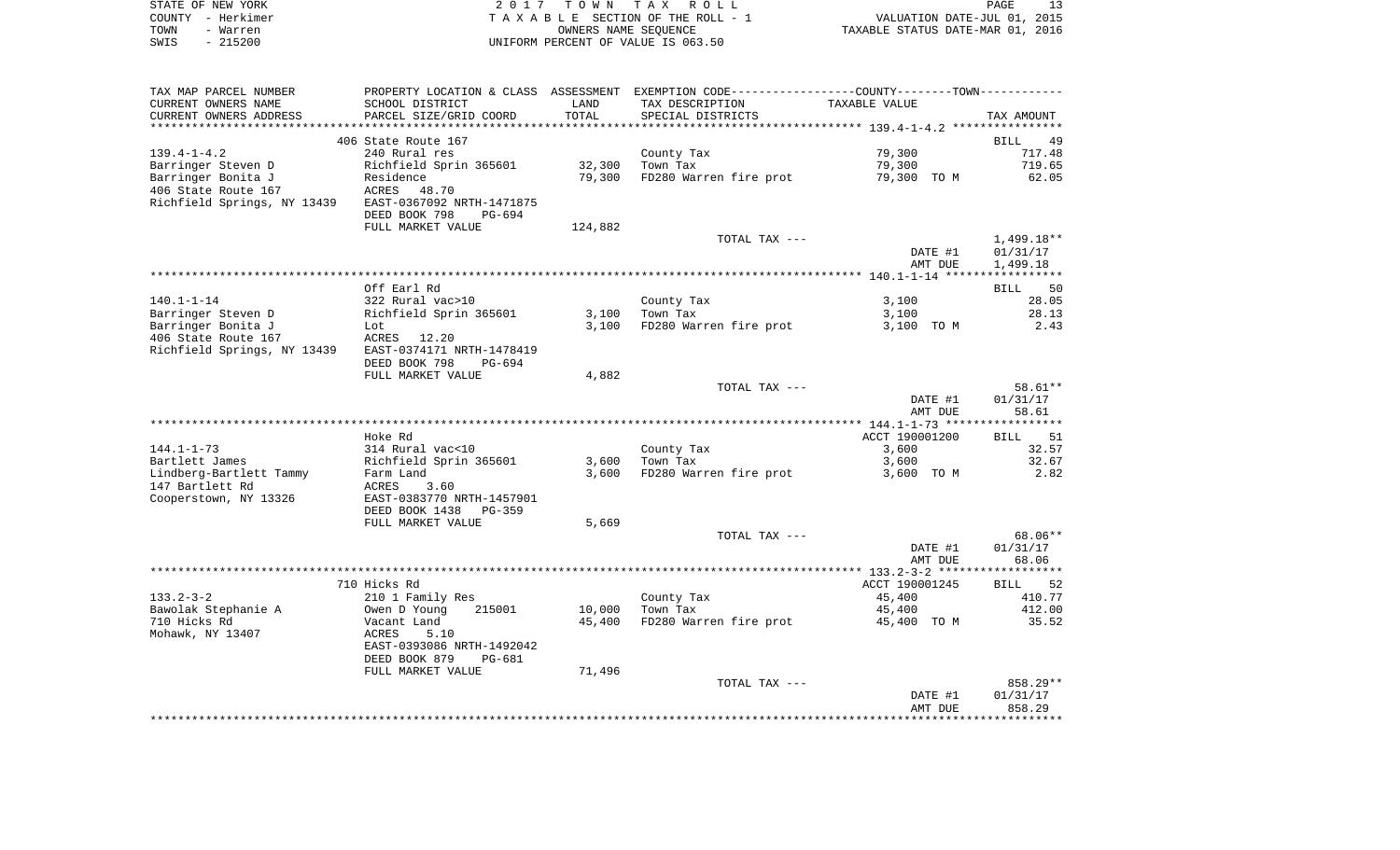|      | STATE OF NEW YORK | 2017 TOWN TAX ROLL                 | PAGE                             |
|------|-------------------|------------------------------------|----------------------------------|
|      | COUNTY - Herkimer | TAXABLE SECTION OF THE ROLL - 1    | VALUATION DATE-JUL 01, 2015      |
| TOWN | - Warren          | OWNERS NAME SEOUENCE               | TAXABLE STATUS DATE-MAR 01, 2016 |
| SWIS | $-215200$         | UNIFORM PERCENT OF VALUE IS 063.50 |                                  |

| TAX MAP PARCEL NUMBER       |                                |         |                        | PROPERTY LOCATION & CLASS ASSESSMENT EXEMPTION CODE----------------COUNTY--------TOWN---------- |                   |
|-----------------------------|--------------------------------|---------|------------------------|-------------------------------------------------------------------------------------------------|-------------------|
| CURRENT OWNERS NAME         | SCHOOL DISTRICT                | LAND    | TAX DESCRIPTION        | TAXABLE VALUE                                                                                   |                   |
| CURRENT OWNERS ADDRESS      | PARCEL SIZE/GRID COORD         | TOTAL   | SPECIAL DISTRICTS      |                                                                                                 | TAX AMOUNT        |
|                             |                                |         |                        |                                                                                                 |                   |
|                             | 406 State Route 167            |         |                        |                                                                                                 | BILL<br>49        |
| $139.4 - 1 - 4.2$           | 240 Rural res                  |         | County Tax             | 79,300                                                                                          | 717.48            |
| Barringer Steven D          | Richfield Sprin 365601         | 32,300  | Town Tax               | 79,300                                                                                          | 719.65            |
|                             |                                |         |                        |                                                                                                 |                   |
| Barringer Bonita J          | Residence                      | 79,300  | FD280 Warren fire prot | 79,300 TO M                                                                                     | 62.05             |
| 406 State Route 167         | ACRES 48.70                    |         |                        |                                                                                                 |                   |
| Richfield Springs, NY 13439 | EAST-0367092 NRTH-1471875      |         |                        |                                                                                                 |                   |
|                             | DEED BOOK 798<br>PG-694        |         |                        |                                                                                                 |                   |
|                             | FULL MARKET VALUE              | 124,882 |                        |                                                                                                 |                   |
|                             |                                |         | TOTAL TAX ---          |                                                                                                 | $1,499.18**$      |
|                             |                                |         |                        | DATE #1                                                                                         | 01/31/17          |
|                             |                                |         |                        | AMT DUE                                                                                         | 1,499.18          |
|                             |                                |         |                        |                                                                                                 |                   |
|                             | Off Earl Rd                    |         |                        |                                                                                                 | BILL<br>50        |
| $140.1 - 1 - 14$            | 322 Rural vac>10               |         | County Tax             | 3,100                                                                                           | 28.05             |
| Barringer Steven D          | Richfield Sprin 365601         | 3,100   | Town Tax               | 3,100                                                                                           | 28.13             |
| Barringer Bonita J          | Lot                            | 3,100   | FD280 Warren fire prot | 3,100 TO M                                                                                      | 2.43              |
|                             |                                |         |                        |                                                                                                 |                   |
| 406 State Route 167         | ACRES 12.20                    |         |                        |                                                                                                 |                   |
| Richfield Springs, NY 13439 | EAST-0374171 NRTH-1478419      |         |                        |                                                                                                 |                   |
|                             | DEED BOOK 798<br>PG-694        |         |                        |                                                                                                 |                   |
|                             | FULL MARKET VALUE              | 4,882   |                        |                                                                                                 |                   |
|                             |                                |         | TOTAL TAX ---          |                                                                                                 | $58.61**$         |
|                             |                                |         |                        | DATE #1                                                                                         | 01/31/17          |
|                             |                                |         |                        | AMT DUE                                                                                         | 58.61             |
|                             |                                |         |                        |                                                                                                 |                   |
|                             | Hoke Rd                        |         |                        | ACCT 190001200                                                                                  | 51<br><b>BILL</b> |
| $144.1 - 1 - 73$            | 314 Rural vac<10               |         | County Tax             | 3,600                                                                                           | 32.57             |
| Bartlett James              | Richfield Sprin 365601         | 3,600   | Town Tax               | 3,600                                                                                           | 32.67             |
| Lindberg-Bartlett Tammy     | Farm Land                      | 3,600   | FD280 Warren fire prot | 3,600 TO M                                                                                      | 2.82              |
| 147 Bartlett Rd             | ACRES<br>3.60                  |         |                        |                                                                                                 |                   |
| Cooperstown, NY 13326       | EAST-0383770 NRTH-1457901      |         |                        |                                                                                                 |                   |
|                             | DEED BOOK 1438<br>PG-359       |         |                        |                                                                                                 |                   |
|                             | FULL MARKET VALUE              | 5,669   |                        |                                                                                                 |                   |
|                             |                                |         |                        |                                                                                                 | 68.06**           |
|                             |                                |         | TOTAL TAX ---          |                                                                                                 |                   |
|                             |                                |         |                        | DATE #1                                                                                         | 01/31/17          |
|                             |                                |         |                        | AMT DUE                                                                                         | 68.06             |
|                             |                                |         |                        |                                                                                                 |                   |
|                             | 710 Hicks Rd                   |         |                        | ACCT 190001245                                                                                  | BILL 52           |
| $133.2 - 3 - 2$             | 210 1 Family Res               |         | County Tax             | 45,400                                                                                          | 410.77            |
| Bawolak Stephanie A         | 215001<br>Owen D Young         | 10,000  | Town Tax               | 45,400                                                                                          | 412.00            |
| 710 Hicks Rd                | Vacant Land                    | 45,400  | FD280 Warren fire prot | 45,400 TO M                                                                                     | 35.52             |
| Mohawk, NY 13407            | ACRES<br>5.10                  |         |                        |                                                                                                 |                   |
|                             | EAST-0393086 NRTH-1492042      |         |                        |                                                                                                 |                   |
|                             | DEED BOOK 879<br><b>PG-681</b> |         |                        |                                                                                                 |                   |
|                             | FULL MARKET VALUE              | 71,496  |                        |                                                                                                 |                   |
|                             |                                |         | TOTAL TAX ---          |                                                                                                 | 858.29**          |
|                             |                                |         |                        | DATE #1                                                                                         | 01/31/17          |
|                             |                                |         |                        | AMT DUE                                                                                         | 858.29            |
|                             |                                |         |                        |                                                                                                 |                   |
|                             |                                |         |                        |                                                                                                 |                   |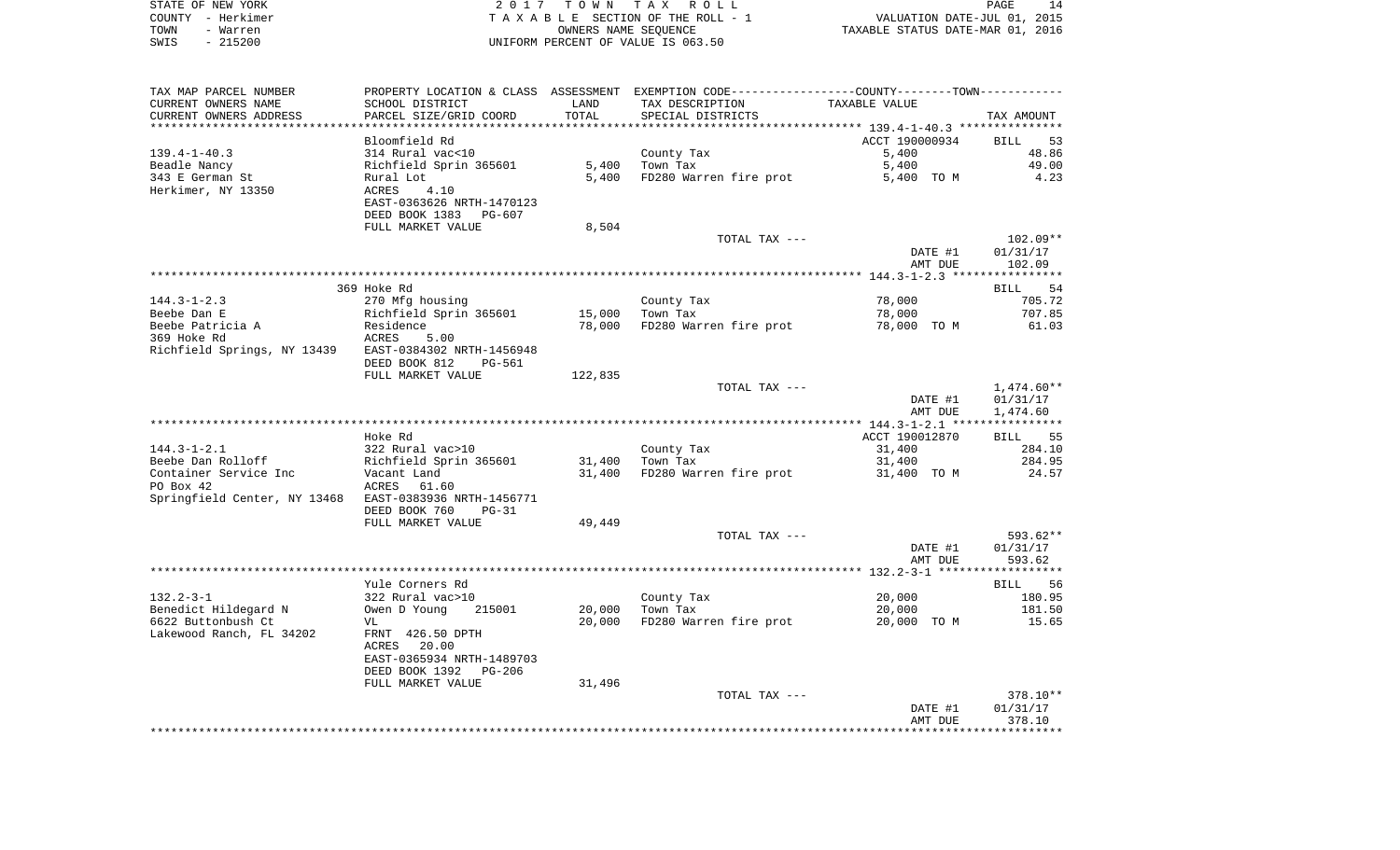| STATE OF NEW YORK | 2017 TOWN TAX ROLL                    | 14<br><b>PAGE</b>                |
|-------------------|---------------------------------------|----------------------------------|
| COUNTY - Herkimer | T A X A B L E SECTION OF THE ROLL - 1 | VALUATION DATE-JUL 01, 2015      |
| TOWN<br>- Warren  | OWNERS NAME SEOUENCE                  | TAXABLE STATUS DATE-MAR 01, 2016 |
| $-215200$<br>SWIS | UNIFORM PERCENT OF VALUE IS 063.50    |                                  |

| TAX MAP PARCEL NUMBER                                  | PROPERTY LOCATION & CLASS ASSESSMENT EXEMPTION CODE----------------COUNTY--------TOWN----------- |         |                        |                |                      |
|--------------------------------------------------------|--------------------------------------------------------------------------------------------------|---------|------------------------|----------------|----------------------|
| CURRENT OWNERS NAME                                    | SCHOOL DISTRICT                                                                                  | LAND    | TAX DESCRIPTION        | TAXABLE VALUE  |                      |
| CURRENT OWNERS ADDRESS                                 | PARCEL SIZE/GRID COORD                                                                           | TOTAL   | SPECIAL DISTRICTS      |                | TAX AMOUNT           |
| ***********************                                |                                                                                                  |         |                        |                |                      |
|                                                        | Bloomfield Rd                                                                                    |         |                        | ACCT 190000934 | BILL<br>53           |
| $139.4 - 1 - 40.3$                                     | 314 Rural vac<10                                                                                 |         | County Tax             | 5,400          | 48.86                |
| Beadle Nancy                                           | Richfield Sprin 365601                                                                           | 5,400   | Town Tax               | 5,400          | 49.00                |
| 343 E German St                                        | Rural Lot                                                                                        | 5,400   | FD280 Warren fire prot | 5,400 TO M     | 4.23                 |
| Herkimer, NY 13350                                     | ACRES<br>4.10                                                                                    |         |                        |                |                      |
|                                                        | EAST-0363626 NRTH-1470123                                                                        |         |                        |                |                      |
|                                                        | DEED BOOK 1383<br>PG-607                                                                         |         |                        |                |                      |
|                                                        | FULL MARKET VALUE                                                                                | 8,504   |                        |                |                      |
|                                                        |                                                                                                  |         | TOTAL TAX ---          |                | $102.09**$           |
|                                                        |                                                                                                  |         |                        | DATE #1        | 01/31/17             |
|                                                        |                                                                                                  |         |                        | AMT DUE        | 102.09               |
|                                                        |                                                                                                  |         |                        |                |                      |
|                                                        | 369 Hoke Rd                                                                                      |         |                        |                | <b>BILL</b><br>54    |
| $144.3 - 1 - 2.3$                                      | 270 Mfg housing                                                                                  |         | County Tax             | 78,000         | 705.72               |
| Beebe Dan E                                            | Richfield Sprin 365601                                                                           | 15,000  | Town Tax               | 78,000         | 707.85               |
| Beebe Patricia A                                       | Residence                                                                                        | 78,000  | FD280 Warren fire prot | 78,000 TO M    | 61.03                |
| 369 Hoke Rd                                            | ACRES<br>5.00                                                                                    |         |                        |                |                      |
| Richfield Springs, NY 13439 EAST-0384302 NRTH-1456948  |                                                                                                  |         |                        |                |                      |
|                                                        | DEED BOOK 812<br>PG-561                                                                          |         |                        |                |                      |
|                                                        | FULL MARKET VALUE                                                                                | 122,835 |                        |                |                      |
|                                                        |                                                                                                  |         | TOTAL TAX ---          | DATE #1        | 1,474.60**           |
|                                                        |                                                                                                  |         |                        | AMT DUE        | 01/31/17<br>1,474.60 |
|                                                        |                                                                                                  |         |                        |                |                      |
|                                                        | Hoke Rd                                                                                          |         |                        | ACCT 190012870 | BILL 55              |
| $144.3 - 1 - 2.1$                                      | 322 Rural vac>10                                                                                 |         | County Tax             | 31,400         | 284.10               |
| Beebe Dan Rolloff                                      | Richfield Sprin 365601                                                                           | 31,400  | Town Tax               | 31,400         | 284.95               |
| Container Service Inc                                  | Vacant Land                                                                                      | 31,400  | FD280 Warren fire prot | 31,400 TO M    | 24.57                |
| PO Box 42                                              | 61.60<br>ACRES                                                                                   |         |                        |                |                      |
| Springfield Center, NY 13468 EAST-0383936 NRTH-1456771 |                                                                                                  |         |                        |                |                      |
|                                                        | DEED BOOK 760<br>$PG-31$                                                                         |         |                        |                |                      |
|                                                        | FULL MARKET VALUE                                                                                | 49,449  |                        |                |                      |
|                                                        |                                                                                                  |         | TOTAL TAX ---          |                | 593.62**             |
|                                                        |                                                                                                  |         |                        | DATE #1        | 01/31/17             |
|                                                        |                                                                                                  |         |                        | AMT DUE        | 593.62               |
|                                                        |                                                                                                  |         |                        |                |                      |
|                                                        | Yule Corners Rd                                                                                  |         |                        |                | <b>BILL</b><br>56    |
| $132.2 - 3 - 1$                                        | 322 Rural vac>10                                                                                 |         | County Tax             | 20,000         | 180.95               |
| Benedict Hildegard N                                   | Owen D Young<br>215001                                                                           | 20,000  | Town Tax               | 20,000         | 181.50               |
| 6622 Buttonbush Ct                                     | VL                                                                                               | 20,000  | FD280 Warren fire prot | 20,000 TO M    | 15.65                |
| Lakewood Ranch, FL 34202                               | FRNT 426.50 DPTH                                                                                 |         |                        |                |                      |
|                                                        | ACRES 20.00                                                                                      |         |                        |                |                      |
|                                                        | EAST-0365934 NRTH-1489703                                                                        |         |                        |                |                      |
|                                                        | DEED BOOK 1392<br>PG-206                                                                         |         |                        |                |                      |
|                                                        | FULL MARKET VALUE                                                                                | 31,496  |                        |                |                      |
|                                                        |                                                                                                  |         | TOTAL TAX ---          |                | 378.10**             |
|                                                        |                                                                                                  |         |                        | DATE #1        | 01/31/17             |
|                                                        |                                                                                                  |         |                        | AMT DUE        | 378.10               |
|                                                        |                                                                                                  |         |                        |                |                      |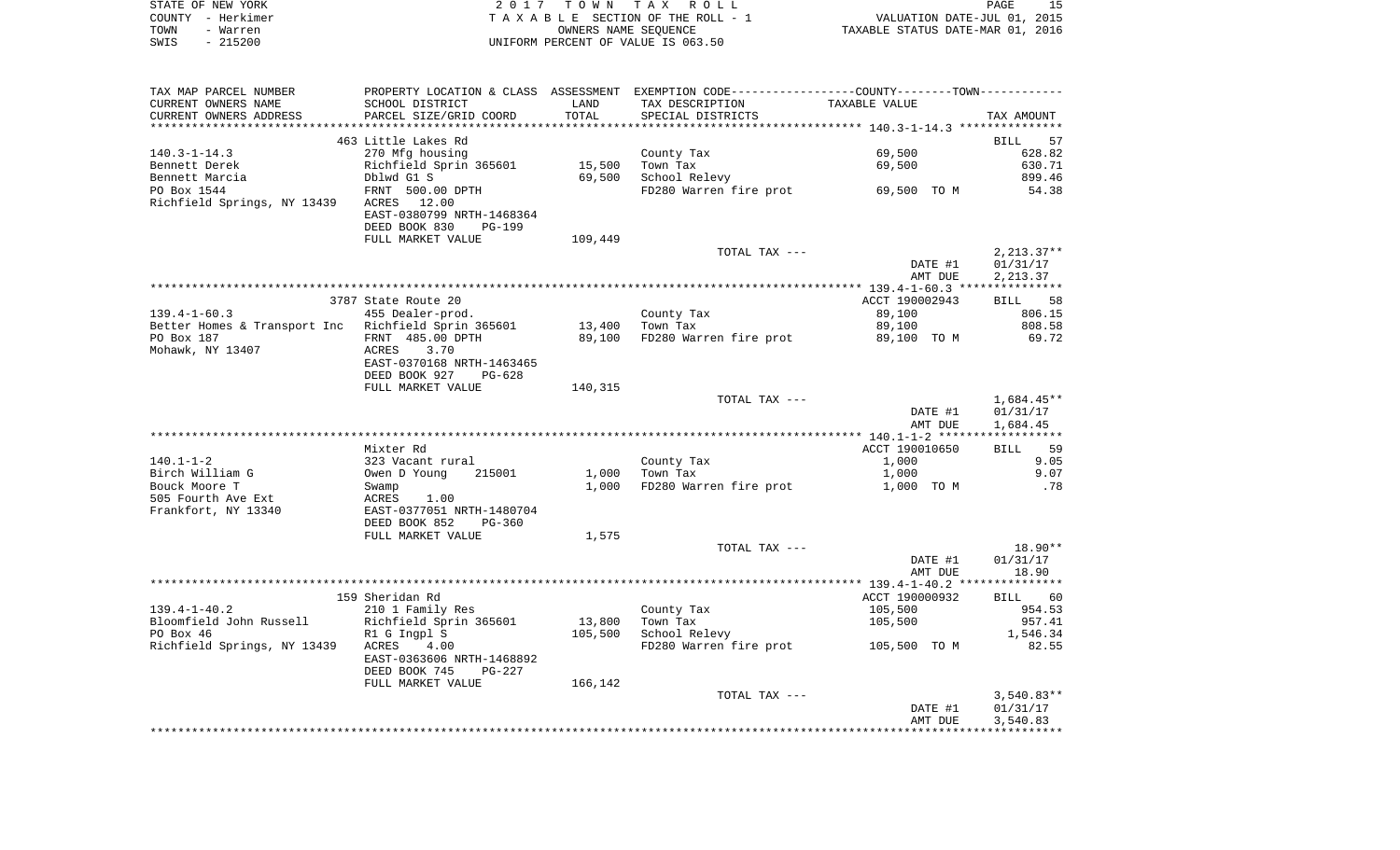|      | STATE OF NEW YORK | 2017 TOWN TAX ROLL                 | PAGE                             | 15 |
|------|-------------------|------------------------------------|----------------------------------|----|
|      | COUNTY - Herkimer | TAXABLE SECTION OF THE ROLL - 1    | VALUATION DATE-JUL 01, 2015      |    |
| TOWN | - Warren          | OWNERS NAME SEOUENCE               | TAXABLE STATUS DATE-MAR 01, 2016 |    |
| SWIS | - 215200          | UNIFORM PERCENT OF VALUE IS 063.50 |                                  |    |

| TAX MAP PARCEL NUMBER                               | PROPERTY LOCATION & CLASS ASSESSMENT EXEMPTION CODE---------------COUNTY-------TOWN---------- |         |                                    |                |                   |
|-----------------------------------------------------|-----------------------------------------------------------------------------------------------|---------|------------------------------------|----------------|-------------------|
| CURRENT OWNERS NAME                                 | SCHOOL DISTRICT                                                                               | LAND    | TAX DESCRIPTION                    | TAXABLE VALUE  |                   |
| CURRENT OWNERS ADDRESS                              | PARCEL SIZE/GRID COORD                                                                        | TOTAL   | SPECIAL DISTRICTS                  |                | TAX AMOUNT        |
|                                                     |                                                                                               |         |                                    |                |                   |
|                                                     | 463 Little Lakes Rd                                                                           |         |                                    |                | <b>BILL</b><br>57 |
| $140.3 - 1 - 14.3$                                  | 270 Mfg housing                                                                               |         | County Tax                         | 69,500         | 628.82            |
| Bennett Derek                                       | Richfield Sprin 365601                                                                        | 15,500  | Town Tax                           | 69,500         | 630.71            |
| Bennett Marcia                                      | Dblwd G1 S                                                                                    | 69,500  | School Relevy                      |                | 899.46            |
| PO Box 1544                                         | FRNT 500.00 DPTH                                                                              |         | FD280 Warren fire prot 69,500 TO M |                | 54.38             |
| Richfield Springs, NY 13439                         | ACRES 12.00                                                                                   |         |                                    |                |                   |
|                                                     | EAST-0380799 NRTH-1468364                                                                     |         |                                    |                |                   |
|                                                     | DEED BOOK 830<br>PG-199                                                                       |         |                                    |                |                   |
|                                                     | FULL MARKET VALUE                                                                             | 109,449 |                                    |                |                   |
|                                                     |                                                                                               |         | TOTAL TAX ---                      |                | $2,213.37**$      |
|                                                     |                                                                                               |         |                                    | DATE #1        | 01/31/17          |
|                                                     |                                                                                               |         |                                    | AMT DUE        | 2,213.37          |
|                                                     | 3787 State Route 20                                                                           |         |                                    | ACCT 190002943 | BILL 58           |
| $139.4 - 1 - 60.3$                                  | 455 Dealer-prod.                                                                              |         | County Tax                         | 89,100         | 806.15            |
| Better Homes & Transport Inc Richfield Sprin 365601 |                                                                                               | 13,400  | Town Tax                           | 89,100         | 808.58            |
| PO Box 187                                          | FRNT 485.00 DPTH                                                                              | 89,100  | FD280 Warren fire prot             | 89,100 TO M    | 69.72             |
| Mohawk, NY 13407                                    | 3.70<br>ACRES                                                                                 |         |                                    |                |                   |
|                                                     | EAST-0370168 NRTH-1463465                                                                     |         |                                    |                |                   |
|                                                     | DEED BOOK 927<br>$PG-628$                                                                     |         |                                    |                |                   |
|                                                     | FULL MARKET VALUE                                                                             | 140,315 |                                    |                |                   |
|                                                     |                                                                                               |         | TOTAL TAX ---                      |                | $1,684.45**$      |
|                                                     |                                                                                               |         |                                    | DATE #1        | 01/31/17          |
|                                                     |                                                                                               |         |                                    | AMT DUE        | 1,684.45          |
|                                                     |                                                                                               |         |                                    |                |                   |
|                                                     | Mixter Rd                                                                                     |         |                                    | ACCT 190010650 | BILL 59           |
| $140.1 - 1 - 2$                                     | 323 Vacant rural                                                                              |         | County Tax                         | 1,000          | 9.05              |
| Birch William G                                     | Owen D Young<br>215001                                                                        | 1,000   | Town Tax                           | 1,000          | 9.07              |
| Bouck Moore T                                       | Swamp                                                                                         | 1,000   | FD280 Warren fire prot             | 1,000 TO M     | .78               |
| 505 Fourth Ave Ext                                  | ACRES<br>1.00                                                                                 |         |                                    |                |                   |
| Frankfort, NY 13340                                 | EAST-0377051 NRTH-1480704                                                                     |         |                                    |                |                   |
|                                                     | DEED BOOK 852<br>$PG-360$                                                                     |         |                                    |                |                   |
|                                                     | FULL MARKET VALUE                                                                             | 1,575   | TOTAL TAX ---                      |                | $18.90**$         |
|                                                     |                                                                                               |         |                                    | DATE #1        | 01/31/17          |
|                                                     |                                                                                               |         |                                    | AMT DUE        | 18.90             |
|                                                     |                                                                                               |         |                                    |                |                   |
|                                                     | 159 Sheridan Rd                                                                               |         |                                    | ACCT 190000932 | BILL 60           |
| $139.4 - 1 - 40.2$                                  | 210 1 Family Res                                                                              |         | County Tax                         | 105,500        | 954.53            |
| Bloomfield John Russell                             | Richfield Sprin 365601                                                                        | 13,800  | Town Tax                           | 105,500        | 957.41            |
| PO Box 46                                           | R1 G Ingpl S                                                                                  | 105,500 | School Relevy                      |                | 1,546.34          |
| Richfield Springs, NY 13439                         | ACRES<br>4.00                                                                                 |         | FD280 Warren fire prot             | 105,500 TO M   | 82.55             |
|                                                     | EAST-0363606 NRTH-1468892                                                                     |         |                                    |                |                   |
|                                                     | DEED BOOK 745<br>PG-227                                                                       |         |                                    |                |                   |
|                                                     | FULL MARKET VALUE                                                                             | 166,142 |                                    |                |                   |
|                                                     |                                                                                               |         | TOTAL TAX ---                      |                | $3,540.83**$      |
|                                                     |                                                                                               |         |                                    | DATE #1        | 01/31/17          |
|                                                     |                                                                                               |         |                                    | AMT DUE        | 3,540.83          |
|                                                     |                                                                                               |         |                                    |                |                   |
|                                                     |                                                                                               |         |                                    |                |                   |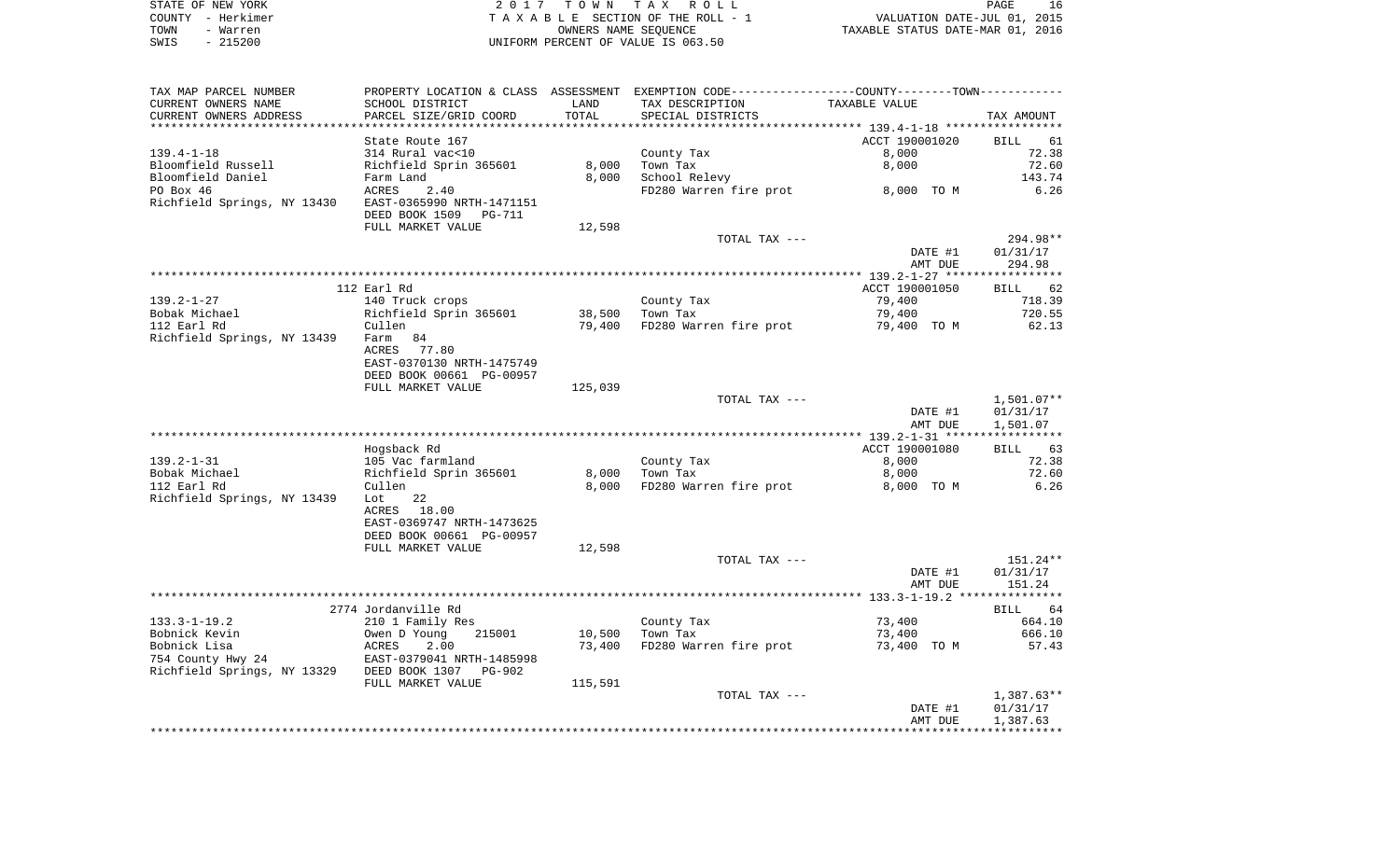| STATE OF NEW YORK | 2017 TOWN TAX ROLL                 | PAGE                             |
|-------------------|------------------------------------|----------------------------------|
| COUNTY - Herkimer | TAXABLE SECTION OF THE ROLL - 1    | VALUATION DATE-JUL 01, 2015      |
| TOWN<br>- Warren  | OWNERS NAME SEOUENCE               | TAXABLE STATUS DATE-MAR 01, 2016 |
| - 215200<br>SWIS  | UNIFORM PERCENT OF VALUE IS 063.50 |                                  |

 $\begin{array}{c} 16 \\ 2015 \\ 2016 \end{array}$ 

| TAX MAP PARCEL NUMBER                      |                           |                | PROPERTY LOCATION & CLASS ASSESSMENT EXEMPTION CODE----------------COUNTY--------TOWN----------- |                                              |                   |
|--------------------------------------------|---------------------------|----------------|--------------------------------------------------------------------------------------------------|----------------------------------------------|-------------------|
| CURRENT OWNERS NAME                        | SCHOOL DISTRICT           | LAND           | TAX DESCRIPTION                                                                                  | TAXABLE VALUE                                |                   |
| CURRENT OWNERS ADDRESS                     | PARCEL SIZE/GRID COORD    | TOTAL          | SPECIAL DISTRICTS                                                                                |                                              | TAX AMOUNT        |
|                                            |                           | ************** |                                                                                                  | ******************** 139.4-1-18 ************ |                   |
|                                            | State Route 167           |                |                                                                                                  | ACCT 190001020                               | <b>BILL</b><br>61 |
| $139.4 - 1 - 18$                           | 314 Rural vac<10          |                | County Tax                                                                                       | 8,000                                        | 72.38             |
| Bloomfield Russell                         | Richfield Sprin 365601    | 8,000          | Town Tax                                                                                         | 8,000                                        | 72.60             |
|                                            |                           |                |                                                                                                  |                                              |                   |
| Bloomfield Daniel                          | Farm Land                 | 8,000          | School Relevy                                                                                    |                                              | 143.74            |
| PO Box 46                                  | ACRES<br>2.40             |                | FD280 Warren fire prot                                                                           | 8,000 TO M                                   | 6.26              |
| Richfield Springs, NY 13430                | EAST-0365990 NRTH-1471151 |                |                                                                                                  |                                              |                   |
|                                            | DEED BOOK 1509<br>PG-711  |                |                                                                                                  |                                              |                   |
|                                            | FULL MARKET VALUE         | 12,598         |                                                                                                  |                                              |                   |
|                                            |                           |                | TOTAL TAX ---                                                                                    |                                              | 294.98**          |
|                                            |                           |                |                                                                                                  | DATE #1                                      | 01/31/17          |
|                                            |                           |                |                                                                                                  | AMT DUE                                      | 294.98            |
|                                            |                           |                |                                                                                                  |                                              |                   |
|                                            | 112 Earl Rd               |                |                                                                                                  | ACCT 190001050                               | BILL 62           |
| 139.2-1-27                                 | 140 Truck crops           |                | County Tax                                                                                       | 79,400                                       | 718.39            |
| Bobak Michael                              | Richfield Sprin 365601    | 38,500         | Town Tax                                                                                         | 79,400                                       | 720.55            |
|                                            |                           |                |                                                                                                  |                                              |                   |
| 112 Earl Rd                                | Cullen                    | 79,400         | FD280 Warren fire prot                                                                           | 79,400 TO M                                  | 62.13             |
| Richfield Springs, NY 13439                | Farm 84                   |                |                                                                                                  |                                              |                   |
|                                            | ACRES<br>77.80            |                |                                                                                                  |                                              |                   |
|                                            | EAST-0370130 NRTH-1475749 |                |                                                                                                  |                                              |                   |
|                                            | DEED BOOK 00661 PG-00957  |                |                                                                                                  |                                              |                   |
|                                            | FULL MARKET VALUE         | 125,039        |                                                                                                  |                                              |                   |
|                                            |                           |                | TOTAL TAX ---                                                                                    |                                              | $1,501.07**$      |
|                                            |                           |                |                                                                                                  | DATE #1                                      | 01/31/17          |
|                                            |                           |                |                                                                                                  | AMT DUE                                      | 1,501.07          |
|                                            |                           |                |                                                                                                  |                                              |                   |
|                                            | Hogsback Rd               |                |                                                                                                  | ACCT 190001080                               | 63<br>BILL        |
| $139.2 - 1 - 31$                           | 105 Vac farmland          |                | County Tax                                                                                       | 8,000                                        | 72.38             |
| Bobak Michael                              | Richfield Sprin 365601    | 8,000          | Town Tax                                                                                         | 8,000                                        | 72.60             |
|                                            |                           |                |                                                                                                  |                                              | 6.26              |
| 112 Earl Rd                                | Cullen                    | 8,000          | FD280 Warren fire prot                                                                           | 8,000 TO M                                   |                   |
| Richfield Springs, NY 13439                | 22<br>Lot                 |                |                                                                                                  |                                              |                   |
|                                            | ACRES<br>18.00            |                |                                                                                                  |                                              |                   |
|                                            | EAST-0369747 NRTH-1473625 |                |                                                                                                  |                                              |                   |
|                                            | DEED BOOK 00661 PG-00957  |                |                                                                                                  |                                              |                   |
|                                            | FULL MARKET VALUE         | 12,598         |                                                                                                  |                                              |                   |
|                                            |                           |                | TOTAL TAX ---                                                                                    |                                              | 151.24**          |
|                                            |                           |                |                                                                                                  | DATE #1                                      | 01/31/17          |
|                                            |                           |                |                                                                                                  | AMT DUE                                      | 151.24            |
|                                            |                           |                |                                                                                                  |                                              |                   |
|                                            | 2774 Jordanville Rd       |                |                                                                                                  |                                              | BILL<br>64        |
| $133.3 - 1 - 19.2$                         | 210 1 Family Res          |                | County Tax                                                                                       | 73,400                                       | 664.10            |
| Bobnick Kevin                              | Owen D Young<br>215001    | 10,500         | Town Tax                                                                                         | 73,400                                       | 666.10            |
| Bobnick Lisa                               | 2.00<br>ACRES             | 73,400         | FD280 Warren fire prot                                                                           |                                              | 57.43             |
|                                            |                           |                |                                                                                                  | 73,400 TO M                                  |                   |
| 754 County Hwy 24                          | EAST-0379041 NRTH-1485998 |                |                                                                                                  |                                              |                   |
| Richfield Springs, NY 13329 DEED BOOK 1307 | PG-902                    |                |                                                                                                  |                                              |                   |
|                                            | FULL MARKET VALUE         | 115,591        |                                                                                                  |                                              |                   |
|                                            |                           |                | TOTAL TAX ---                                                                                    |                                              | $1,387.63**$      |
|                                            |                           |                |                                                                                                  | DATE #1                                      | 01/31/17          |
|                                            |                           |                |                                                                                                  | AMT DUE                                      | 1,387.63          |
|                                            |                           |                |                                                                                                  |                                              |                   |
|                                            |                           |                |                                                                                                  |                                              |                   |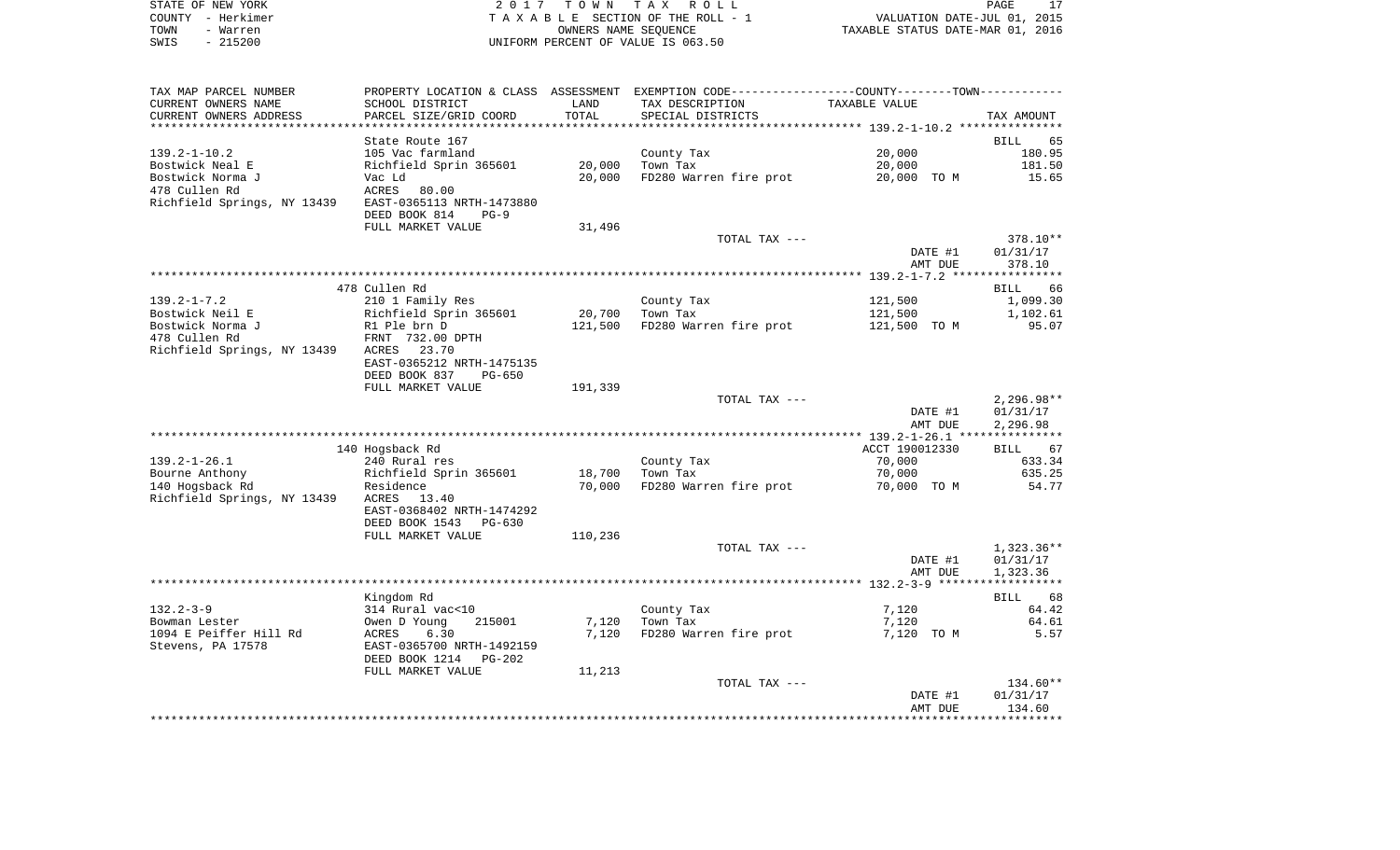|      | STATE OF NEW YORK | 2017 TOWN TAX ROLL                 | PAGE                             | 17 |
|------|-------------------|------------------------------------|----------------------------------|----|
|      | COUNTY - Herkimer | TAXABLE SECTION OF THE ROLL - 1    | VALUATION DATE-JUL 01, 2015      |    |
| TOWN | - Warren          | OWNERS NAME SEOUENCE               | TAXABLE STATUS DATE-MAR 01, 2016 |    |
| SWIS | - 215200          | UNIFORM PERCENT OF VALUE IS 063.50 |                                  |    |

| CURRENT OWNERS NAME<br>SCHOOL DISTRICT<br>LAND<br>TAX DESCRIPTION<br>TAXABLE VALUE<br>TOTAL<br>CURRENT OWNERS ADDRESS<br>PARCEL SIZE/GRID COORD<br>SPECIAL DISTRICTS<br>TAX AMOUNT<br>State Route 167<br><b>BILL</b><br>65<br>$139.2 - 1 - 10.2$<br>20,000<br>105 Vac farmland<br>180.95<br>County Tax<br>Bostwick Neal E<br>Richfield Sprin 365601<br>20,000<br>Town Tax<br>20,000<br>181.50<br>Bostwick Norma J<br>20,000 TO M<br>Vac Ld<br>20,000<br>FD280 Warren fire prot<br>15.65<br>478 Cullen Rd<br>ACRES<br>80.00<br>Richfield Springs, NY 13439<br>EAST-0365113 NRTH-1473880<br>DEED BOOK 814<br>$PG-9$<br>FULL MARKET VALUE<br>31,496<br>378.10**<br>TOTAL TAX ---<br>DATE #1<br>01/31/17<br>AMT DUE<br>378.10<br>478 Cullen Rd<br>66<br>BILL<br>210 1 Family Res<br>121,500<br>1,099.30<br>County Tax<br>Richfield Sprin 365601<br>20,700<br>Town Tax<br>121,500<br>1,102.61<br>Bostwick Norma J<br>R1 Ple brn D<br>121,500<br>FD280 Warren fire prot<br>121,500 TO M<br>95.07<br>478 Cullen Rd<br>FRNT 732.00 DPTH<br>Richfield Springs, NY 13439<br>23.70<br>ACRES<br>EAST-0365212 NRTH-1475135<br>DEED BOOK 837<br><b>PG-650</b><br>191,339<br>FULL MARKET VALUE<br>TOTAL TAX ---<br>$2,296.98**$<br>DATE #1<br>01/31/17<br>AMT DUE<br>2,296.98<br>140 Hogsback Rd<br>ACCT 190012330<br>BILL 67<br>$139.2 - 1 - 26.1$<br>240 Rural res<br>County Tax<br>70,000<br>633.34<br>Bourne Anthony<br>Richfield Sprin 365601<br>18,700<br>Town Tax<br>70,000<br>635.25<br>140 Hogsback Rd<br>70,000<br>FD280 Warren fire prot<br>70,000 TO M<br>54.77<br>Residence<br>Richfield Springs, NY 13439<br>13.40<br>ACRES<br>EAST-0368402 NRTH-1474292<br>DEED BOOK 1543<br>$PG-630$<br>110,236<br>FULL MARKET VALUE<br>TOTAL TAX ---<br>DATE #1<br>01/31/17<br>1,323.36<br>AMT DUE<br>Kingdom Rd<br>68<br><b>BILL</b><br>$132.2 - 3 - 9$<br>314 Rural vac<10<br>64.42<br>County Tax<br>7,120<br>215001<br>Town Tax<br>64.61<br>Bowman Lester<br>Owen D Young<br>7,120<br>7,120<br>1094 E Peiffer Hill Rd<br>7,120<br>6.30<br>FD280 Warren fire prot<br>7,120 TO M<br>5.57<br>ACRES<br>Stevens, PA 17578<br>EAST-0365700 NRTH-1492159<br>DEED BOOK 1214<br>PG-202<br>11,213<br>FULL MARKET VALUE<br>134.60**<br>TOTAL TAX ---<br>DATE #1<br>01/31/17<br>134.60<br>AMT DUE | TAX MAP PARCEL NUMBER | PROPERTY LOCATION & CLASS ASSESSMENT EXEMPTION CODE---------------COUNTY-------TOWN---------- |  |  |
|----------------------------------------------------------------------------------------------------------------------------------------------------------------------------------------------------------------------------------------------------------------------------------------------------------------------------------------------------------------------------------------------------------------------------------------------------------------------------------------------------------------------------------------------------------------------------------------------------------------------------------------------------------------------------------------------------------------------------------------------------------------------------------------------------------------------------------------------------------------------------------------------------------------------------------------------------------------------------------------------------------------------------------------------------------------------------------------------------------------------------------------------------------------------------------------------------------------------------------------------------------------------------------------------------------------------------------------------------------------------------------------------------------------------------------------------------------------------------------------------------------------------------------------------------------------------------------------------------------------------------------------------------------------------------------------------------------------------------------------------------------------------------------------------------------------------------------------------------------------------------------------------------------------------------------------------------------------------------------------------------------------------------------------------------------------------------------------------------------------------------------------------------------------------------------------------------------------------------------------------------------------------------|-----------------------|-----------------------------------------------------------------------------------------------|--|--|
|                                                                                                                                                                                                                                                                                                                                                                                                                                                                                                                                                                                                                                                                                                                                                                                                                                                                                                                                                                                                                                                                                                                                                                                                                                                                                                                                                                                                                                                                                                                                                                                                                                                                                                                                                                                                                                                                                                                                                                                                                                                                                                                                                                                                                                                                            |                       |                                                                                               |  |  |
| $1,323.36**$                                                                                                                                                                                                                                                                                                                                                                                                                                                                                                                                                                                                                                                                                                                                                                                                                                                                                                                                                                                                                                                                                                                                                                                                                                                                                                                                                                                                                                                                                                                                                                                                                                                                                                                                                                                                                                                                                                                                                                                                                                                                                                                                                                                                                                                               |                       |                                                                                               |  |  |
|                                                                                                                                                                                                                                                                                                                                                                                                                                                                                                                                                                                                                                                                                                                                                                                                                                                                                                                                                                                                                                                                                                                                                                                                                                                                                                                                                                                                                                                                                                                                                                                                                                                                                                                                                                                                                                                                                                                                                                                                                                                                                                                                                                                                                                                                            |                       |                                                                                               |  |  |
|                                                                                                                                                                                                                                                                                                                                                                                                                                                                                                                                                                                                                                                                                                                                                                                                                                                                                                                                                                                                                                                                                                                                                                                                                                                                                                                                                                                                                                                                                                                                                                                                                                                                                                                                                                                                                                                                                                                                                                                                                                                                                                                                                                                                                                                                            |                       |                                                                                               |  |  |
|                                                                                                                                                                                                                                                                                                                                                                                                                                                                                                                                                                                                                                                                                                                                                                                                                                                                                                                                                                                                                                                                                                                                                                                                                                                                                                                                                                                                                                                                                                                                                                                                                                                                                                                                                                                                                                                                                                                                                                                                                                                                                                                                                                                                                                                                            |                       |                                                                                               |  |  |
|                                                                                                                                                                                                                                                                                                                                                                                                                                                                                                                                                                                                                                                                                                                                                                                                                                                                                                                                                                                                                                                                                                                                                                                                                                                                                                                                                                                                                                                                                                                                                                                                                                                                                                                                                                                                                                                                                                                                                                                                                                                                                                                                                                                                                                                                            |                       |                                                                                               |  |  |
|                                                                                                                                                                                                                                                                                                                                                                                                                                                                                                                                                                                                                                                                                                                                                                                                                                                                                                                                                                                                                                                                                                                                                                                                                                                                                                                                                                                                                                                                                                                                                                                                                                                                                                                                                                                                                                                                                                                                                                                                                                                                                                                                                                                                                                                                            |                       |                                                                                               |  |  |
|                                                                                                                                                                                                                                                                                                                                                                                                                                                                                                                                                                                                                                                                                                                                                                                                                                                                                                                                                                                                                                                                                                                                                                                                                                                                                                                                                                                                                                                                                                                                                                                                                                                                                                                                                                                                                                                                                                                                                                                                                                                                                                                                                                                                                                                                            |                       |                                                                                               |  |  |
|                                                                                                                                                                                                                                                                                                                                                                                                                                                                                                                                                                                                                                                                                                                                                                                                                                                                                                                                                                                                                                                                                                                                                                                                                                                                                                                                                                                                                                                                                                                                                                                                                                                                                                                                                                                                                                                                                                                                                                                                                                                                                                                                                                                                                                                                            |                       |                                                                                               |  |  |
|                                                                                                                                                                                                                                                                                                                                                                                                                                                                                                                                                                                                                                                                                                                                                                                                                                                                                                                                                                                                                                                                                                                                                                                                                                                                                                                                                                                                                                                                                                                                                                                                                                                                                                                                                                                                                                                                                                                                                                                                                                                                                                                                                                                                                                                                            |                       |                                                                                               |  |  |
|                                                                                                                                                                                                                                                                                                                                                                                                                                                                                                                                                                                                                                                                                                                                                                                                                                                                                                                                                                                                                                                                                                                                                                                                                                                                                                                                                                                                                                                                                                                                                                                                                                                                                                                                                                                                                                                                                                                                                                                                                                                                                                                                                                                                                                                                            |                       |                                                                                               |  |  |
|                                                                                                                                                                                                                                                                                                                                                                                                                                                                                                                                                                                                                                                                                                                                                                                                                                                                                                                                                                                                                                                                                                                                                                                                                                                                                                                                                                                                                                                                                                                                                                                                                                                                                                                                                                                                                                                                                                                                                                                                                                                                                                                                                                                                                                                                            |                       |                                                                                               |  |  |
|                                                                                                                                                                                                                                                                                                                                                                                                                                                                                                                                                                                                                                                                                                                                                                                                                                                                                                                                                                                                                                                                                                                                                                                                                                                                                                                                                                                                                                                                                                                                                                                                                                                                                                                                                                                                                                                                                                                                                                                                                                                                                                                                                                                                                                                                            |                       |                                                                                               |  |  |
|                                                                                                                                                                                                                                                                                                                                                                                                                                                                                                                                                                                                                                                                                                                                                                                                                                                                                                                                                                                                                                                                                                                                                                                                                                                                                                                                                                                                                                                                                                                                                                                                                                                                                                                                                                                                                                                                                                                                                                                                                                                                                                                                                                                                                                                                            |                       |                                                                                               |  |  |
|                                                                                                                                                                                                                                                                                                                                                                                                                                                                                                                                                                                                                                                                                                                                                                                                                                                                                                                                                                                                                                                                                                                                                                                                                                                                                                                                                                                                                                                                                                                                                                                                                                                                                                                                                                                                                                                                                                                                                                                                                                                                                                                                                                                                                                                                            |                       |                                                                                               |  |  |
|                                                                                                                                                                                                                                                                                                                                                                                                                                                                                                                                                                                                                                                                                                                                                                                                                                                                                                                                                                                                                                                                                                                                                                                                                                                                                                                                                                                                                                                                                                                                                                                                                                                                                                                                                                                                                                                                                                                                                                                                                                                                                                                                                                                                                                                                            |                       |                                                                                               |  |  |
|                                                                                                                                                                                                                                                                                                                                                                                                                                                                                                                                                                                                                                                                                                                                                                                                                                                                                                                                                                                                                                                                                                                                                                                                                                                                                                                                                                                                                                                                                                                                                                                                                                                                                                                                                                                                                                                                                                                                                                                                                                                                                                                                                                                                                                                                            |                       |                                                                                               |  |  |
|                                                                                                                                                                                                                                                                                                                                                                                                                                                                                                                                                                                                                                                                                                                                                                                                                                                                                                                                                                                                                                                                                                                                                                                                                                                                                                                                                                                                                                                                                                                                                                                                                                                                                                                                                                                                                                                                                                                                                                                                                                                                                                                                                                                                                                                                            | $139.2 - 1 - 7.2$     |                                                                                               |  |  |
|                                                                                                                                                                                                                                                                                                                                                                                                                                                                                                                                                                                                                                                                                                                                                                                                                                                                                                                                                                                                                                                                                                                                                                                                                                                                                                                                                                                                                                                                                                                                                                                                                                                                                                                                                                                                                                                                                                                                                                                                                                                                                                                                                                                                                                                                            | Bostwick Neil E       |                                                                                               |  |  |
|                                                                                                                                                                                                                                                                                                                                                                                                                                                                                                                                                                                                                                                                                                                                                                                                                                                                                                                                                                                                                                                                                                                                                                                                                                                                                                                                                                                                                                                                                                                                                                                                                                                                                                                                                                                                                                                                                                                                                                                                                                                                                                                                                                                                                                                                            |                       |                                                                                               |  |  |
|                                                                                                                                                                                                                                                                                                                                                                                                                                                                                                                                                                                                                                                                                                                                                                                                                                                                                                                                                                                                                                                                                                                                                                                                                                                                                                                                                                                                                                                                                                                                                                                                                                                                                                                                                                                                                                                                                                                                                                                                                                                                                                                                                                                                                                                                            |                       |                                                                                               |  |  |
|                                                                                                                                                                                                                                                                                                                                                                                                                                                                                                                                                                                                                                                                                                                                                                                                                                                                                                                                                                                                                                                                                                                                                                                                                                                                                                                                                                                                                                                                                                                                                                                                                                                                                                                                                                                                                                                                                                                                                                                                                                                                                                                                                                                                                                                                            |                       |                                                                                               |  |  |
|                                                                                                                                                                                                                                                                                                                                                                                                                                                                                                                                                                                                                                                                                                                                                                                                                                                                                                                                                                                                                                                                                                                                                                                                                                                                                                                                                                                                                                                                                                                                                                                                                                                                                                                                                                                                                                                                                                                                                                                                                                                                                                                                                                                                                                                                            |                       |                                                                                               |  |  |
|                                                                                                                                                                                                                                                                                                                                                                                                                                                                                                                                                                                                                                                                                                                                                                                                                                                                                                                                                                                                                                                                                                                                                                                                                                                                                                                                                                                                                                                                                                                                                                                                                                                                                                                                                                                                                                                                                                                                                                                                                                                                                                                                                                                                                                                                            |                       |                                                                                               |  |  |
|                                                                                                                                                                                                                                                                                                                                                                                                                                                                                                                                                                                                                                                                                                                                                                                                                                                                                                                                                                                                                                                                                                                                                                                                                                                                                                                                                                                                                                                                                                                                                                                                                                                                                                                                                                                                                                                                                                                                                                                                                                                                                                                                                                                                                                                                            |                       |                                                                                               |  |  |
|                                                                                                                                                                                                                                                                                                                                                                                                                                                                                                                                                                                                                                                                                                                                                                                                                                                                                                                                                                                                                                                                                                                                                                                                                                                                                                                                                                                                                                                                                                                                                                                                                                                                                                                                                                                                                                                                                                                                                                                                                                                                                                                                                                                                                                                                            |                       |                                                                                               |  |  |
|                                                                                                                                                                                                                                                                                                                                                                                                                                                                                                                                                                                                                                                                                                                                                                                                                                                                                                                                                                                                                                                                                                                                                                                                                                                                                                                                                                                                                                                                                                                                                                                                                                                                                                                                                                                                                                                                                                                                                                                                                                                                                                                                                                                                                                                                            |                       |                                                                                               |  |  |
|                                                                                                                                                                                                                                                                                                                                                                                                                                                                                                                                                                                                                                                                                                                                                                                                                                                                                                                                                                                                                                                                                                                                                                                                                                                                                                                                                                                                                                                                                                                                                                                                                                                                                                                                                                                                                                                                                                                                                                                                                                                                                                                                                                                                                                                                            |                       |                                                                                               |  |  |
|                                                                                                                                                                                                                                                                                                                                                                                                                                                                                                                                                                                                                                                                                                                                                                                                                                                                                                                                                                                                                                                                                                                                                                                                                                                                                                                                                                                                                                                                                                                                                                                                                                                                                                                                                                                                                                                                                                                                                                                                                                                                                                                                                                                                                                                                            |                       |                                                                                               |  |  |
|                                                                                                                                                                                                                                                                                                                                                                                                                                                                                                                                                                                                                                                                                                                                                                                                                                                                                                                                                                                                                                                                                                                                                                                                                                                                                                                                                                                                                                                                                                                                                                                                                                                                                                                                                                                                                                                                                                                                                                                                                                                                                                                                                                                                                                                                            |                       |                                                                                               |  |  |
|                                                                                                                                                                                                                                                                                                                                                                                                                                                                                                                                                                                                                                                                                                                                                                                                                                                                                                                                                                                                                                                                                                                                                                                                                                                                                                                                                                                                                                                                                                                                                                                                                                                                                                                                                                                                                                                                                                                                                                                                                                                                                                                                                                                                                                                                            |                       |                                                                                               |  |  |
|                                                                                                                                                                                                                                                                                                                                                                                                                                                                                                                                                                                                                                                                                                                                                                                                                                                                                                                                                                                                                                                                                                                                                                                                                                                                                                                                                                                                                                                                                                                                                                                                                                                                                                                                                                                                                                                                                                                                                                                                                                                                                                                                                                                                                                                                            |                       |                                                                                               |  |  |
|                                                                                                                                                                                                                                                                                                                                                                                                                                                                                                                                                                                                                                                                                                                                                                                                                                                                                                                                                                                                                                                                                                                                                                                                                                                                                                                                                                                                                                                                                                                                                                                                                                                                                                                                                                                                                                                                                                                                                                                                                                                                                                                                                                                                                                                                            |                       |                                                                                               |  |  |
|                                                                                                                                                                                                                                                                                                                                                                                                                                                                                                                                                                                                                                                                                                                                                                                                                                                                                                                                                                                                                                                                                                                                                                                                                                                                                                                                                                                                                                                                                                                                                                                                                                                                                                                                                                                                                                                                                                                                                                                                                                                                                                                                                                                                                                                                            |                       |                                                                                               |  |  |
|                                                                                                                                                                                                                                                                                                                                                                                                                                                                                                                                                                                                                                                                                                                                                                                                                                                                                                                                                                                                                                                                                                                                                                                                                                                                                                                                                                                                                                                                                                                                                                                                                                                                                                                                                                                                                                                                                                                                                                                                                                                                                                                                                                                                                                                                            |                       |                                                                                               |  |  |
|                                                                                                                                                                                                                                                                                                                                                                                                                                                                                                                                                                                                                                                                                                                                                                                                                                                                                                                                                                                                                                                                                                                                                                                                                                                                                                                                                                                                                                                                                                                                                                                                                                                                                                                                                                                                                                                                                                                                                                                                                                                                                                                                                                                                                                                                            |                       |                                                                                               |  |  |
|                                                                                                                                                                                                                                                                                                                                                                                                                                                                                                                                                                                                                                                                                                                                                                                                                                                                                                                                                                                                                                                                                                                                                                                                                                                                                                                                                                                                                                                                                                                                                                                                                                                                                                                                                                                                                                                                                                                                                                                                                                                                                                                                                                                                                                                                            |                       |                                                                                               |  |  |
|                                                                                                                                                                                                                                                                                                                                                                                                                                                                                                                                                                                                                                                                                                                                                                                                                                                                                                                                                                                                                                                                                                                                                                                                                                                                                                                                                                                                                                                                                                                                                                                                                                                                                                                                                                                                                                                                                                                                                                                                                                                                                                                                                                                                                                                                            |                       |                                                                                               |  |  |
|                                                                                                                                                                                                                                                                                                                                                                                                                                                                                                                                                                                                                                                                                                                                                                                                                                                                                                                                                                                                                                                                                                                                                                                                                                                                                                                                                                                                                                                                                                                                                                                                                                                                                                                                                                                                                                                                                                                                                                                                                                                                                                                                                                                                                                                                            |                       |                                                                                               |  |  |
|                                                                                                                                                                                                                                                                                                                                                                                                                                                                                                                                                                                                                                                                                                                                                                                                                                                                                                                                                                                                                                                                                                                                                                                                                                                                                                                                                                                                                                                                                                                                                                                                                                                                                                                                                                                                                                                                                                                                                                                                                                                                                                                                                                                                                                                                            |                       |                                                                                               |  |  |
|                                                                                                                                                                                                                                                                                                                                                                                                                                                                                                                                                                                                                                                                                                                                                                                                                                                                                                                                                                                                                                                                                                                                                                                                                                                                                                                                                                                                                                                                                                                                                                                                                                                                                                                                                                                                                                                                                                                                                                                                                                                                                                                                                                                                                                                                            |                       |                                                                                               |  |  |
|                                                                                                                                                                                                                                                                                                                                                                                                                                                                                                                                                                                                                                                                                                                                                                                                                                                                                                                                                                                                                                                                                                                                                                                                                                                                                                                                                                                                                                                                                                                                                                                                                                                                                                                                                                                                                                                                                                                                                                                                                                                                                                                                                                                                                                                                            |                       |                                                                                               |  |  |
|                                                                                                                                                                                                                                                                                                                                                                                                                                                                                                                                                                                                                                                                                                                                                                                                                                                                                                                                                                                                                                                                                                                                                                                                                                                                                                                                                                                                                                                                                                                                                                                                                                                                                                                                                                                                                                                                                                                                                                                                                                                                                                                                                                                                                                                                            |                       |                                                                                               |  |  |
|                                                                                                                                                                                                                                                                                                                                                                                                                                                                                                                                                                                                                                                                                                                                                                                                                                                                                                                                                                                                                                                                                                                                                                                                                                                                                                                                                                                                                                                                                                                                                                                                                                                                                                                                                                                                                                                                                                                                                                                                                                                                                                                                                                                                                                                                            |                       |                                                                                               |  |  |
|                                                                                                                                                                                                                                                                                                                                                                                                                                                                                                                                                                                                                                                                                                                                                                                                                                                                                                                                                                                                                                                                                                                                                                                                                                                                                                                                                                                                                                                                                                                                                                                                                                                                                                                                                                                                                                                                                                                                                                                                                                                                                                                                                                                                                                                                            |                       |                                                                                               |  |  |
|                                                                                                                                                                                                                                                                                                                                                                                                                                                                                                                                                                                                                                                                                                                                                                                                                                                                                                                                                                                                                                                                                                                                                                                                                                                                                                                                                                                                                                                                                                                                                                                                                                                                                                                                                                                                                                                                                                                                                                                                                                                                                                                                                                                                                                                                            |                       |                                                                                               |  |  |
|                                                                                                                                                                                                                                                                                                                                                                                                                                                                                                                                                                                                                                                                                                                                                                                                                                                                                                                                                                                                                                                                                                                                                                                                                                                                                                                                                                                                                                                                                                                                                                                                                                                                                                                                                                                                                                                                                                                                                                                                                                                                                                                                                                                                                                                                            |                       |                                                                                               |  |  |
|                                                                                                                                                                                                                                                                                                                                                                                                                                                                                                                                                                                                                                                                                                                                                                                                                                                                                                                                                                                                                                                                                                                                                                                                                                                                                                                                                                                                                                                                                                                                                                                                                                                                                                                                                                                                                                                                                                                                                                                                                                                                                                                                                                                                                                                                            |                       |                                                                                               |  |  |
|                                                                                                                                                                                                                                                                                                                                                                                                                                                                                                                                                                                                                                                                                                                                                                                                                                                                                                                                                                                                                                                                                                                                                                                                                                                                                                                                                                                                                                                                                                                                                                                                                                                                                                                                                                                                                                                                                                                                                                                                                                                                                                                                                                                                                                                                            |                       |                                                                                               |  |  |
|                                                                                                                                                                                                                                                                                                                                                                                                                                                                                                                                                                                                                                                                                                                                                                                                                                                                                                                                                                                                                                                                                                                                                                                                                                                                                                                                                                                                                                                                                                                                                                                                                                                                                                                                                                                                                                                                                                                                                                                                                                                                                                                                                                                                                                                                            |                       |                                                                                               |  |  |
|                                                                                                                                                                                                                                                                                                                                                                                                                                                                                                                                                                                                                                                                                                                                                                                                                                                                                                                                                                                                                                                                                                                                                                                                                                                                                                                                                                                                                                                                                                                                                                                                                                                                                                                                                                                                                                                                                                                                                                                                                                                                                                                                                                                                                                                                            |                       |                                                                                               |  |  |
|                                                                                                                                                                                                                                                                                                                                                                                                                                                                                                                                                                                                                                                                                                                                                                                                                                                                                                                                                                                                                                                                                                                                                                                                                                                                                                                                                                                                                                                                                                                                                                                                                                                                                                                                                                                                                                                                                                                                                                                                                                                                                                                                                                                                                                                                            |                       |                                                                                               |  |  |
|                                                                                                                                                                                                                                                                                                                                                                                                                                                                                                                                                                                                                                                                                                                                                                                                                                                                                                                                                                                                                                                                                                                                                                                                                                                                                                                                                                                                                                                                                                                                                                                                                                                                                                                                                                                                                                                                                                                                                                                                                                                                                                                                                                                                                                                                            |                       |                                                                                               |  |  |
|                                                                                                                                                                                                                                                                                                                                                                                                                                                                                                                                                                                                                                                                                                                                                                                                                                                                                                                                                                                                                                                                                                                                                                                                                                                                                                                                                                                                                                                                                                                                                                                                                                                                                                                                                                                                                                                                                                                                                                                                                                                                                                                                                                                                                                                                            |                       |                                                                                               |  |  |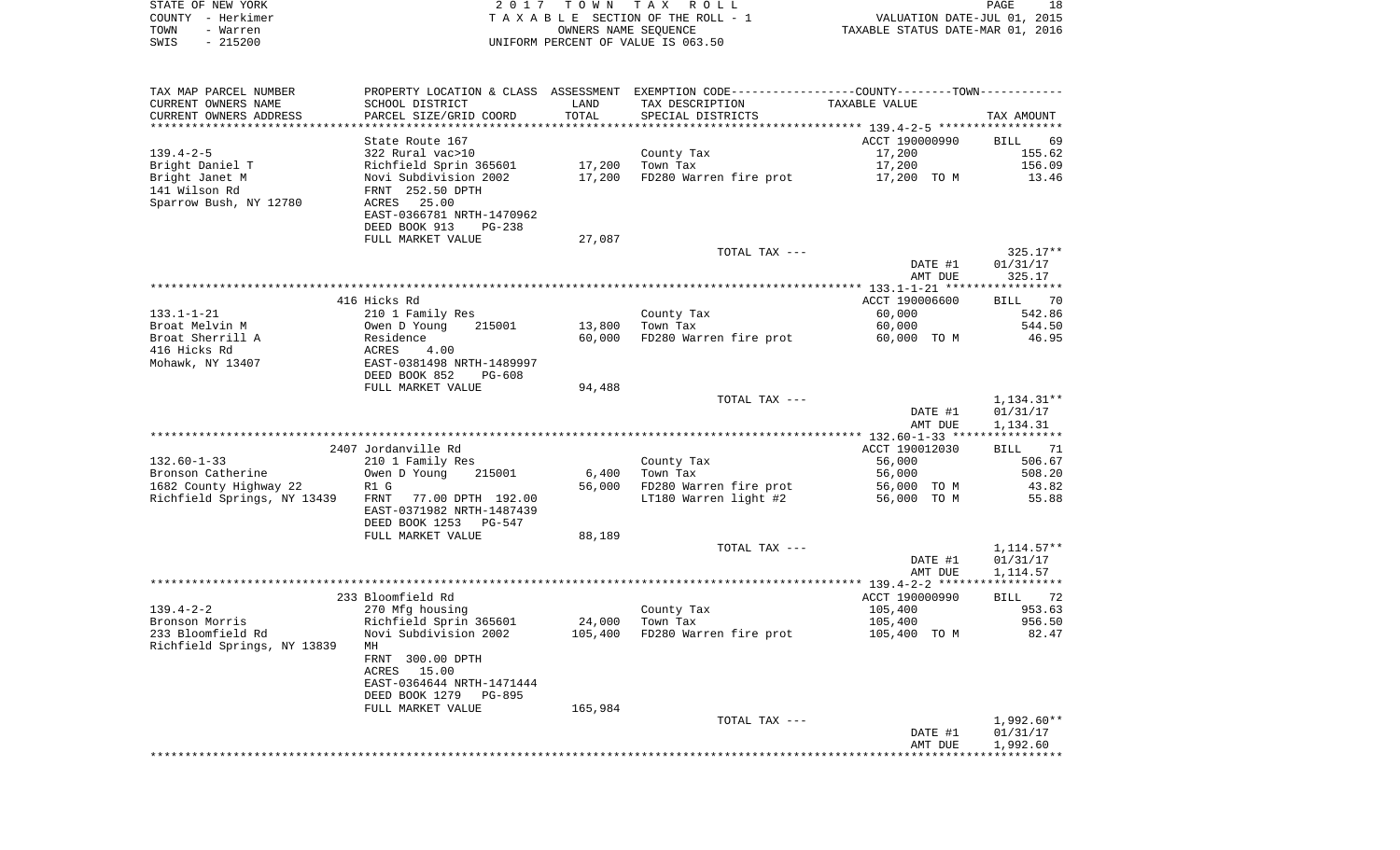| STATE OF NEW YORK<br>COUNTY - Herkimer                    |                                                                                                         | 2017 TOWN         | TAX ROLL<br>TAXABLE SECTION OF THE ROLL - 1                                                    | VALUATION DATE-JUL 01, 2015                                  | PAGE<br>18                           |
|-----------------------------------------------------------|---------------------------------------------------------------------------------------------------------|-------------------|------------------------------------------------------------------------------------------------|--------------------------------------------------------------|--------------------------------------|
| - Warren<br>TOWN<br>SWIS<br>$-215200$                     |                                                                                                         |                   | OWNERS NAME SEQUENCE<br>UNIFORM PERCENT OF VALUE IS 063.50                                     | TAXABLE STATUS DATE-MAR 01, 2016                             |                                      |
| TAX MAP PARCEL NUMBER                                     |                                                                                                         |                   | PROPERTY LOCATION & CLASS ASSESSMENT EXEMPTION CODE----------------COUNTY-------TOWN---------- |                                                              |                                      |
| CURRENT OWNERS NAME                                       | SCHOOL DISTRICT                                                                                         | LAND              | TAX DESCRIPTION                                                                                | TAXABLE VALUE                                                |                                      |
| CURRENT OWNERS ADDRESS                                    | PARCEL SIZE/GRID COORD                                                                                  | TOTAL             | SPECIAL DISTRICTS                                                                              |                                                              | TAX AMOUNT                           |
| ***************                                           | State Route 167                                                                                         | ********          |                                                                                                | ************ 139.4-2-5 *******************<br>ACCT 190000990 | 69<br>BILL                           |
| 139.4-2-5                                                 | 322 Rural vac>10                                                                                        |                   | County Tax                                                                                     | 17,200                                                       | 155.62                               |
| Bright Daniel T                                           | Richfield Sprin 365601                                                                                  | 17,200            | Town Tax                                                                                       | 17,200                                                       | 156.09                               |
| Bright Janet M<br>141 Wilson Rd<br>Sparrow Bush, NY 12780 | Novi Subdivision 2002<br>FRNT 252.50 DPTH<br>ACRES<br>25.00<br>EAST-0366781 NRTH-1470962                | 17,200            | FD280 Warren fire prot                                                                         | 17,200 TO M                                                  | 13.46                                |
|                                                           | DEED BOOK 913<br>$PG-238$                                                                               |                   |                                                                                                |                                                              |                                      |
|                                                           | FULL MARKET VALUE                                                                                       | 27,087            |                                                                                                |                                                              |                                      |
|                                                           |                                                                                                         |                   | TOTAL TAX ---                                                                                  | DATE #1<br>AMT DUE                                           | 325.17**<br>01/31/17<br>325.17       |
|                                                           |                                                                                                         |                   |                                                                                                |                                                              |                                      |
|                                                           | 416 Hicks Rd                                                                                            |                   |                                                                                                | ACCT 190006600                                               | - 70<br>BILL                         |
| 133.1-1-21                                                | 210 1 Family Res                                                                                        |                   | County Tax                                                                                     | 60,000                                                       | 542.86                               |
| Broat Melvin M                                            | Owen D Young<br>215001                                                                                  | 13,800            | Town Tax<br>FD280 Warren fire prot                                                             | 60,000                                                       | 544.50                               |
| Broat Sherrill A<br>416 Hicks Rd<br>Mohawk, NY 13407      | Residence<br>ACRES<br>4.00<br>EAST-0381498 NRTH-1489997<br>DEED BOOK 852<br>PG-608<br>FULL MARKET VALUE | 60,000<br>94,488  |                                                                                                | 60,000 TO M                                                  | 46.95                                |
|                                                           |                                                                                                         |                   | TOTAL TAX ---                                                                                  | DATE #1<br>AMT DUE                                           | 1,134.31**<br>01/31/17<br>1,134.31   |
|                                                           |                                                                                                         |                   |                                                                                                | *************** 132.60-1-33 ****************                 |                                      |
|                                                           | 2407 Jordanville Rd                                                                                     |                   |                                                                                                | ACCT 190012030                                               | <b>BILL</b><br>71                    |
| $132.60 - 1 - 33$                                         | 210 1 Family Res                                                                                        |                   | County Tax                                                                                     | 56,000                                                       | 506.67                               |
| Bronson Catherine                                         | Owen D Young<br>215001                                                                                  | 6,400             | Town Tax                                                                                       | 56,000                                                       | 508.20                               |
| 1682 County Highway 22<br>Richfield Springs, NY 13439     | R1 G<br>77.00 DPTH 192.00<br>FRNT<br>EAST-0371982 NRTH-1487439<br>DEED BOOK 1253<br>PG-547              | 56,000            | FD280 Warren fire prot<br>LT180 Warren light #2                                                | 56,000 TO M<br>56,000 TO M                                   | 43.82<br>55.88                       |
|                                                           | FULL MARKET VALUE                                                                                       | 88,189            |                                                                                                |                                                              |                                      |
|                                                           |                                                                                                         |                   | TOTAL TAX ---                                                                                  | DATE #1<br>AMT DUE                                           | 1, 114. 57**<br>01/31/17<br>1,114.57 |
|                                                           |                                                                                                         |                   |                                                                                                |                                                              |                                      |
|                                                           | 233 Bloomfield Rd                                                                                       |                   |                                                                                                | ACCT 190000990                                               | BILL<br>72                           |
| $139.4 - 2 - 2$                                           | 270 Mfg housing                                                                                         |                   | County Tax                                                                                     | 105,400                                                      | 953.63                               |
| Bronson Morris<br>233 Bloomfield Rd                       | Richfield Sprin 365601<br>Novi Subdivision 2002                                                         | 24,000<br>105,400 | Town Tax<br>FD280 Warren fire prot                                                             | 105,400<br>105,400 TO M                                      | 956.50<br>82.47                      |
| Richfield Springs, NY 13839                               | MН<br>FRNT 300.00 DPTH                                                                                  |                   |                                                                                                |                                                              |                                      |
|                                                           | ACRES 15.00<br>EAST-0364644 NRTH-1471444                                                                |                   |                                                                                                |                                                              |                                      |
|                                                           | DEED BOOK 1279<br>PG-895<br>FULL MARKET VALUE                                                           | 165,984           |                                                                                                |                                                              |                                      |

TOTAL TAX ---  $\begin{array}{cccc} 1,992.60^{**} \\ 0.1/31/17 \end{array}$  DATE #1 01/31/17 AMT DUE 1,992.60 \*\*\*\*\*\*\*\*\*\*\*\*\*\*\*\*\*\*\*\*\*\*\*\*\*\*\*\*\*\*\*\*\*\*\*\*\*\*\*\*\*\*\*\*\*\*\*\*\*\*\*\*\*\*\*\*\*\*\*\*\*\*\*\*\*\*\*\*\*\*\*\*\*\*\*\*\*\*\*\*\*\*\*\*\*\*\*\*\*\*\*\*\*\*\*\*\*\*\*\*\*\*\*\*\*\*\*\*\*\*\*\*\*\*\*\*\*\*\*\*\*\*\*\*\*\*\*\*\*\*\*\*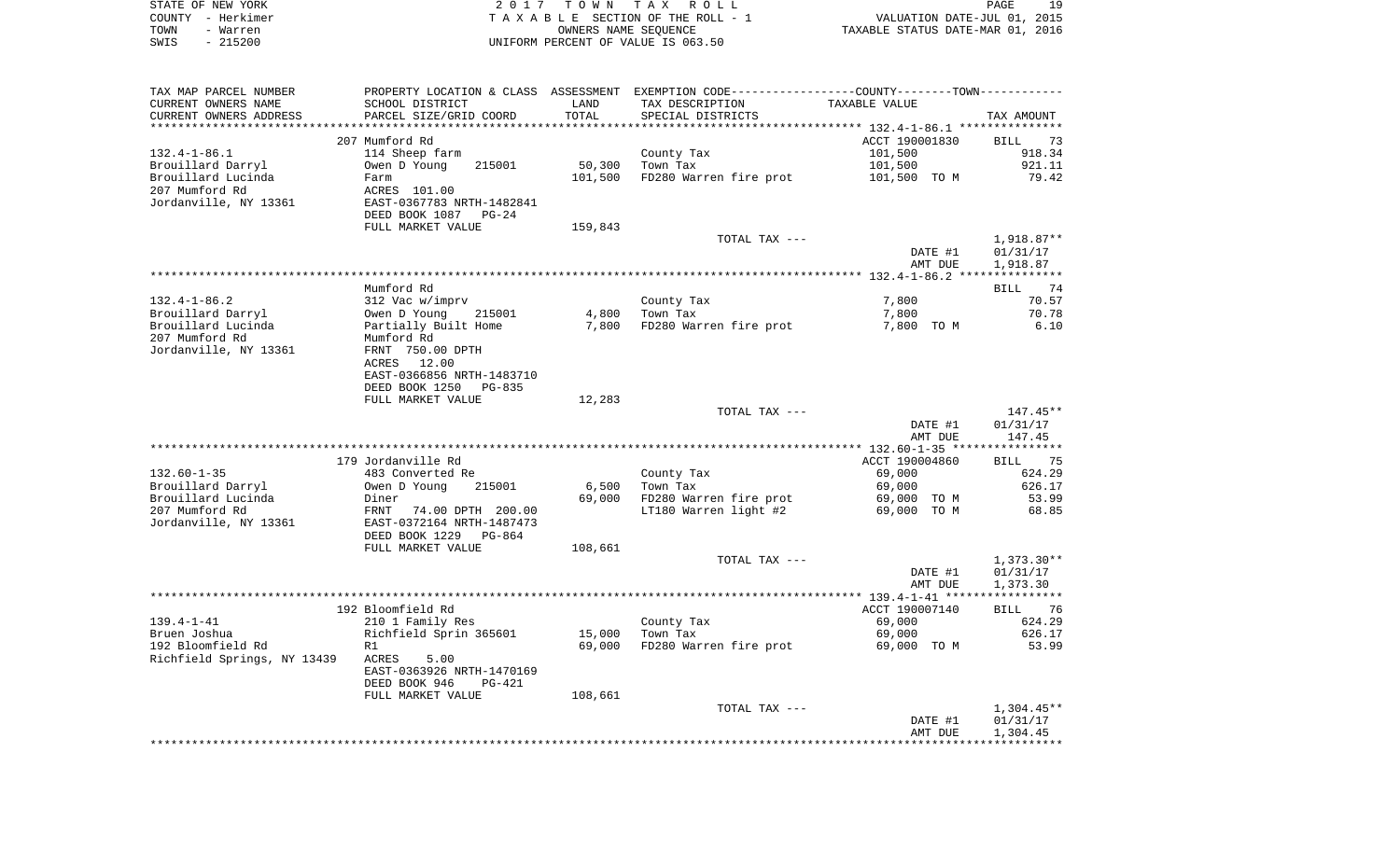|      | STATE OF NEW YORK | 2017 TOWN TAX ROLL                 | 19<br>PAGE                       |
|------|-------------------|------------------------------------|----------------------------------|
|      | COUNTY - Herkimer | TAXABLE SECTION OF THE ROLL - 1    | VALUATION DATE-JUL 01, 2015      |
| TOWN | - Warren          | OWNERS NAME SEOUENCE               | TAXABLE STATUS DATE-MAR 01, 2016 |
| SWIS | $-215200$         | UNIFORM PERCENT OF VALUE IS 063.50 |                                  |
|      |                   |                                    |                                  |
|      |                   |                                    |                                  |

| TAX MAP PARCEL NUMBER       |                            |         | PROPERTY LOCATION & CLASS ASSESSMENT EXEMPTION CODE----------------COUNTY-------TOWN--------- |                |                   |
|-----------------------------|----------------------------|---------|-----------------------------------------------------------------------------------------------|----------------|-------------------|
| CURRENT OWNERS NAME         | SCHOOL DISTRICT            | LAND    | TAX DESCRIPTION                                                                               | TAXABLE VALUE  |                   |
| CURRENT OWNERS ADDRESS      | PARCEL SIZE/GRID COORD     | TOTAL   | SPECIAL DISTRICTS                                                                             |                | TAX AMOUNT        |
| *********************       |                            |         |                                                                                               |                |                   |
|                             | 207 Mumford Rd             |         |                                                                                               | ACCT 190001830 | <b>BILL</b><br>73 |
| $132.4 - 1 - 86.1$          | 114 Sheep farm             |         | County Tax                                                                                    | 101,500        | 918.34            |
| Brouillard Darryl           | Owen D Young<br>215001     | 50,300  | Town Tax                                                                                      | 101,500        | 921.11            |
| Brouillard Lucinda          | Farm                       | 101,500 | FD280 Warren fire prot                                                                        | 101,500 TO M   | 79.42             |
| 207 Mumford Rd              | ACRES 101.00               |         |                                                                                               |                |                   |
|                             |                            |         |                                                                                               |                |                   |
| Jordanville, NY 13361       | EAST-0367783 NRTH-1482841  |         |                                                                                               |                |                   |
|                             | DEED BOOK 1087<br>$PG-24$  |         |                                                                                               |                |                   |
|                             | FULL MARKET VALUE          | 159,843 |                                                                                               |                |                   |
|                             |                            |         | TOTAL TAX ---                                                                                 |                | $1,918.87**$      |
|                             |                            |         |                                                                                               | DATE #1        | 01/31/17          |
|                             |                            |         |                                                                                               | AMT DUE        | 1,918.87          |
|                             |                            |         |                                                                                               |                |                   |
|                             | Mumford Rd                 |         |                                                                                               |                | BILL<br>74        |
| $132.4 - 1 - 86.2$          | 312 Vac w/imprv            |         | County Tax                                                                                    | 7,800          | 70.57             |
| Brouillard Darryl           | Owen D Young<br>215001     | 4,800   | Town Tax                                                                                      | 7,800          | 70.78             |
| Brouillard Lucinda          | Partially Built Home       | 7,800   | FD280 Warren fire prot                                                                        | 7,800 TO M     | 6.10              |
| 207 Mumford Rd              | Mumford Rd                 |         |                                                                                               |                |                   |
| Jordanville, NY 13361       | FRNT 750.00 DPTH           |         |                                                                                               |                |                   |
|                             | 12.00<br>ACRES             |         |                                                                                               |                |                   |
|                             | EAST-0366856 NRTH-1483710  |         |                                                                                               |                |                   |
|                             | DEED BOOK 1250<br>$PG-835$ |         |                                                                                               |                |                   |
|                             | FULL MARKET VALUE          | 12,283  |                                                                                               |                |                   |
|                             |                            |         | TOTAL TAX ---                                                                                 |                | $147.45**$        |
|                             |                            |         |                                                                                               | DATE #1        | 01/31/17          |
|                             |                            |         |                                                                                               | AMT DUE        | 147.45            |
|                             |                            |         |                                                                                               |                |                   |
|                             | 179 Jordanville Rd         |         |                                                                                               | ACCT 190004860 | BILL 75           |
| $132.60 - 1 - 35$           | 483 Converted Re           |         | County Tax                                                                                    | 69,000         | 624.29            |
| Brouillard Darryl           | Owen D Young<br>215001     | 6,500   | Town Tax                                                                                      | 69,000         | 626.17            |
| Brouillard Lucinda          | Diner                      | 69,000  | FD280 Warren fire prot                                                                        | 69,000 TO M    | 53.99             |
|                             |                            |         |                                                                                               |                |                   |
| 207 Mumford Rd              | FRNT 74.00 DPTH 200.00     |         | LT180 Warren light #2                                                                         | 69,000 TO M    | 68.85             |
| Jordanville, NY 13361       | EAST-0372164 NRTH-1487473  |         |                                                                                               |                |                   |
|                             | DEED BOOK 1229 PG-864      |         |                                                                                               |                |                   |
|                             | FULL MARKET VALUE          | 108,661 |                                                                                               |                |                   |
|                             |                            |         | TOTAL TAX ---                                                                                 |                | $1,373.30**$      |
|                             |                            |         |                                                                                               | DATE #1        | 01/31/17          |
|                             |                            |         |                                                                                               | AMT DUE        | 1,373.30          |
|                             |                            |         |                                                                                               |                |                   |
|                             | 192 Bloomfield Rd          |         |                                                                                               | ACCT 190007140 | BILL 76           |
| $139.4 - 1 - 41$            | 210 1 Family Res           |         | County Tax                                                                                    | 69,000         | 624.29            |
| Bruen Joshua                | Richfield Sprin 365601     | 15,000  | Town Tax                                                                                      | 69,000         | 626.17            |
| 192 Bloomfield Rd           | R1                         | 69,000  | FD280 Warren fire prot                                                                        | 69,000 TO M    | 53.99             |
| Richfield Springs, NY 13439 | ACRES<br>5.00              |         |                                                                                               |                |                   |
|                             | EAST-0363926 NRTH-1470169  |         |                                                                                               |                |                   |
|                             | DEED BOOK 946<br>PG-421    |         |                                                                                               |                |                   |
|                             | FULL MARKET VALUE          | 108,661 |                                                                                               |                |                   |
|                             |                            |         | TOTAL TAX ---                                                                                 |                | $1,304.45**$      |
|                             |                            |         |                                                                                               | DATE #1        | 01/31/17          |
|                             |                            |         |                                                                                               | AMT DUE        | 1,304.45          |
|                             |                            |         |                                                                                               |                |                   |
|                             |                            |         |                                                                                               |                |                   |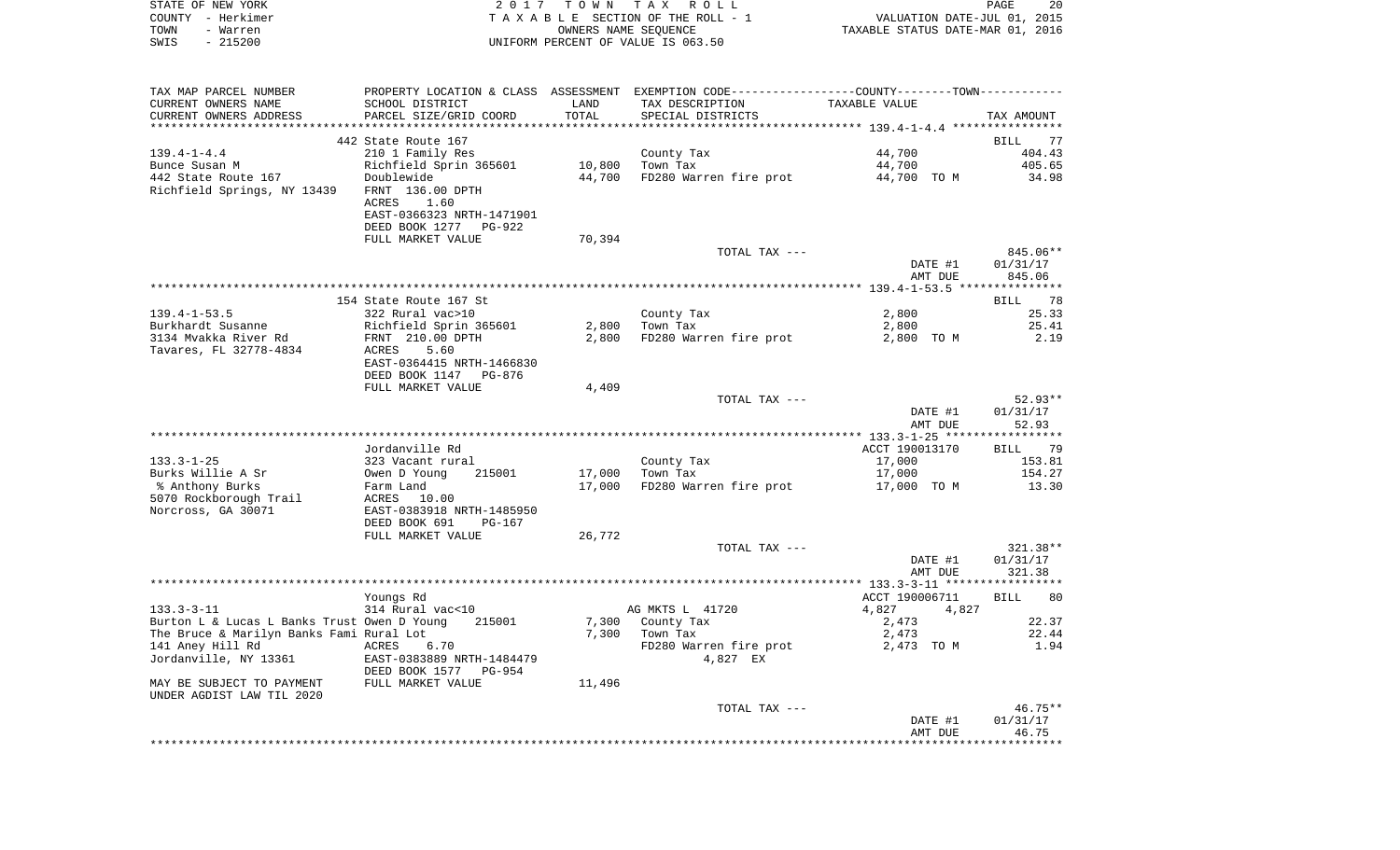| STATE OF NEW YORK                                                                       |                                                                                               |                | 2017 TOWN TAX ROLL                                                                            |                                                                 | PAGE<br>20                     |
|-----------------------------------------------------------------------------------------|-----------------------------------------------------------------------------------------------|----------------|-----------------------------------------------------------------------------------------------|-----------------------------------------------------------------|--------------------------------|
| COUNTY - Herkimer<br>TOWN<br>- Warren<br>SWIS<br>$-215200$                              |                                                                                               |                | TAXABLE SECTION OF THE ROLL - 1<br>OWNERS NAME SEQUENCE<br>UNIFORM PERCENT OF VALUE IS 063.50 | VALUATION DATE-JUL 01, 2015<br>TAXABLE STATUS DATE-MAR 01, 2016 |                                |
|                                                                                         |                                                                                               |                |                                                                                               |                                                                 |                                |
| TAX MAP PARCEL NUMBER                                                                   | PROPERTY LOCATION & CLASS ASSESSMENT EXEMPTION CODE---------------COUNTY-------TOWN---------- |                | TAX DESCRIPTION                                                                               |                                                                 |                                |
| CURRENT OWNERS NAME<br>CURRENT OWNERS ADDRESS<br>***********************                | SCHOOL DISTRICT<br>PARCEL SIZE/GRID COORD                                                     | LAND<br>TOTAL  | SPECIAL DISTRICTS                                                                             | TAXABLE VALUE                                                   | TAX AMOUNT                     |
|                                                                                         | 442 State Route 167                                                                           |                |                                                                                               |                                                                 | BILL<br>77                     |
| 139.4-1-4.4                                                                             | 210 1 Family Res                                                                              |                | County Tax                                                                                    | 44,700                                                          | 404.43                         |
| Bunce Susan M                                                                           | Richfield Sprin 365601                                                                        | 10,800         | Town Tax                                                                                      | 44,700                                                          | 405.65                         |
| 442 State Route 167                                                                     | Doublewide                                                                                    | 44,700         | FD280 Warren fire prot                                                                        | 44,700 TO M                                                     | 34.98                          |
| Richfield Springs, NY 13439                                                             | FRNT 136.00 DPTH<br>ACRES<br>1.60<br>EAST-0366323 NRTH-1471901                                |                |                                                                                               |                                                                 |                                |
|                                                                                         | DEED BOOK 1277<br>PG-922                                                                      |                |                                                                                               |                                                                 |                                |
|                                                                                         | FULL MARKET VALUE                                                                             | 70,394         |                                                                                               |                                                                 |                                |
|                                                                                         |                                                                                               |                | TOTAL TAX ---                                                                                 | DATE #1<br>AMT DUE                                              | 845.06**<br>01/31/17<br>845.06 |
|                                                                                         |                                                                                               |                |                                                                                               |                                                                 |                                |
|                                                                                         | 154 State Route 167 St                                                                        |                |                                                                                               |                                                                 | 78<br>BILL                     |
| 139.4-1-53.5                                                                            | 322 Rural vac>10                                                                              |                | County Tax                                                                                    | 2,800                                                           | 25.33                          |
| Burkhardt Susanne                                                                       | Richfield Sprin 365601                                                                        | 2,800          | Town Tax                                                                                      | 2,800                                                           | 25.41                          |
| 3134 Mvakka River Rd<br>Tavares, FL 32778-4834                                          | FRNT 210.00 DPTH                                                                              | 2,800          | FD280 Warren fire prot                                                                        | 2,800 TO M                                                      | 2.19                           |
|                                                                                         | 5.60<br>ACRES<br>EAST-0364415 NRTH-1466830<br>DEED BOOK 1147<br>PG-876                        |                |                                                                                               |                                                                 |                                |
|                                                                                         | FULL MARKET VALUE                                                                             | 4,409          |                                                                                               |                                                                 |                                |
|                                                                                         |                                                                                               |                | TOTAL TAX ---                                                                                 |                                                                 | $52.93**$                      |
|                                                                                         |                                                                                               |                |                                                                                               | DATE #1<br>AMT DUE                                              | 01/31/17<br>52.93              |
|                                                                                         | Jordanville Rd                                                                                |                |                                                                                               | ACCT 190013170                                                  |                                |
| 133.3-1-25                                                                              | 323 Vacant rural                                                                              |                | County Tax                                                                                    | 17,000                                                          | BILL<br>79<br>153.81           |
| Burks Willie A Sr                                                                       | 215001<br>Owen D Young                                                                        | 17,000         | Town Tax                                                                                      | 17,000                                                          | 154.27                         |
| % Anthony Burks                                                                         | Farm Land                                                                                     | 17,000         | FD280 Warren fire prot                                                                        | 17,000 TO M                                                     | 13.30                          |
| 5070 Rockborough Trail                                                                  | ACRES<br>10.00                                                                                |                |                                                                                               |                                                                 |                                |
| Norcross, GA 30071                                                                      | EAST-0383918 NRTH-1485950                                                                     |                |                                                                                               |                                                                 |                                |
|                                                                                         | DEED BOOK 691<br>PG-167                                                                       |                |                                                                                               |                                                                 |                                |
|                                                                                         | FULL MARKET VALUE                                                                             | 26,772         | TOTAL TAX ---                                                                                 |                                                                 | 321.38**                       |
|                                                                                         |                                                                                               |                |                                                                                               | DATE #1<br>AMT DUE                                              | 01/31/17<br>321.38             |
|                                                                                         |                                                                                               |                |                                                                                               | **** 133.3-3-11 ****                                            |                                |
|                                                                                         | Youngs Rd                                                                                     |                |                                                                                               | ACCT 190006711                                                  | 80<br>BILL                     |
| $133.3 - 3 - 11$                                                                        | 314 Rural vac<10                                                                              |                | AG MKTS L 41720                                                                               | 4,827<br>4,827                                                  |                                |
| Burton L & Lucas L Banks Trust Owen D Young<br>The Bruce & Marilyn Banks Fami Rural Lot | 215001                                                                                        | 7,300<br>7,300 | County Tax<br>Town Tax                                                                        | 2,473<br>2,473                                                  | 22.37<br>22.44                 |
| 141 Aney Hill Rd                                                                        | 6.70<br>ACRES                                                                                 |                | FD280 Warren fire prot                                                                        | 2,473 TO M                                                      | 1.94                           |
| Jordanville, NY 13361                                                                   | EAST-0383889 NRTH-1484479<br>DEED BOOK 1577 PG-954                                            |                | 4,827 EX                                                                                      |                                                                 |                                |
| MAY BE SUBJECT TO PAYMENT<br>UNDER AGDIST LAW TIL 2020                                  | FULL MARKET VALUE                                                                             | 11,496         |                                                                                               |                                                                 |                                |
|                                                                                         |                                                                                               |                | TOTAL TAX ---                                                                                 |                                                                 | $46.75**$                      |
|                                                                                         |                                                                                               |                |                                                                                               | DATE #1                                                         | 01/31/17                       |
|                                                                                         |                                                                                               |                |                                                                                               | AMT DUE                                                         | 46.75                          |

\*\*\*\*\*\*\*\*\*\*\*\*\*\*\*\*\*\*\*\*\*\*\*\*\*\*\*\*\*\*\*\*\*\*\*\*\*\*\*\*\*\*\*\*\*\*\*\*\*\*\*\*\*\*\*\*\*\*\*\*\*\*\*\*\*\*\*\*\*\*\*\*\*\*\*\*\*\*\*\*\*\*\*\*\*\*\*\*\*\*\*\*\*\*\*\*\*\*\*\*\*\*\*\*\*\*\*\*\*\*\*\*\*\*\*\*\*\*\*\*\*\*\*\*\*\*\*\*\*\*\*\*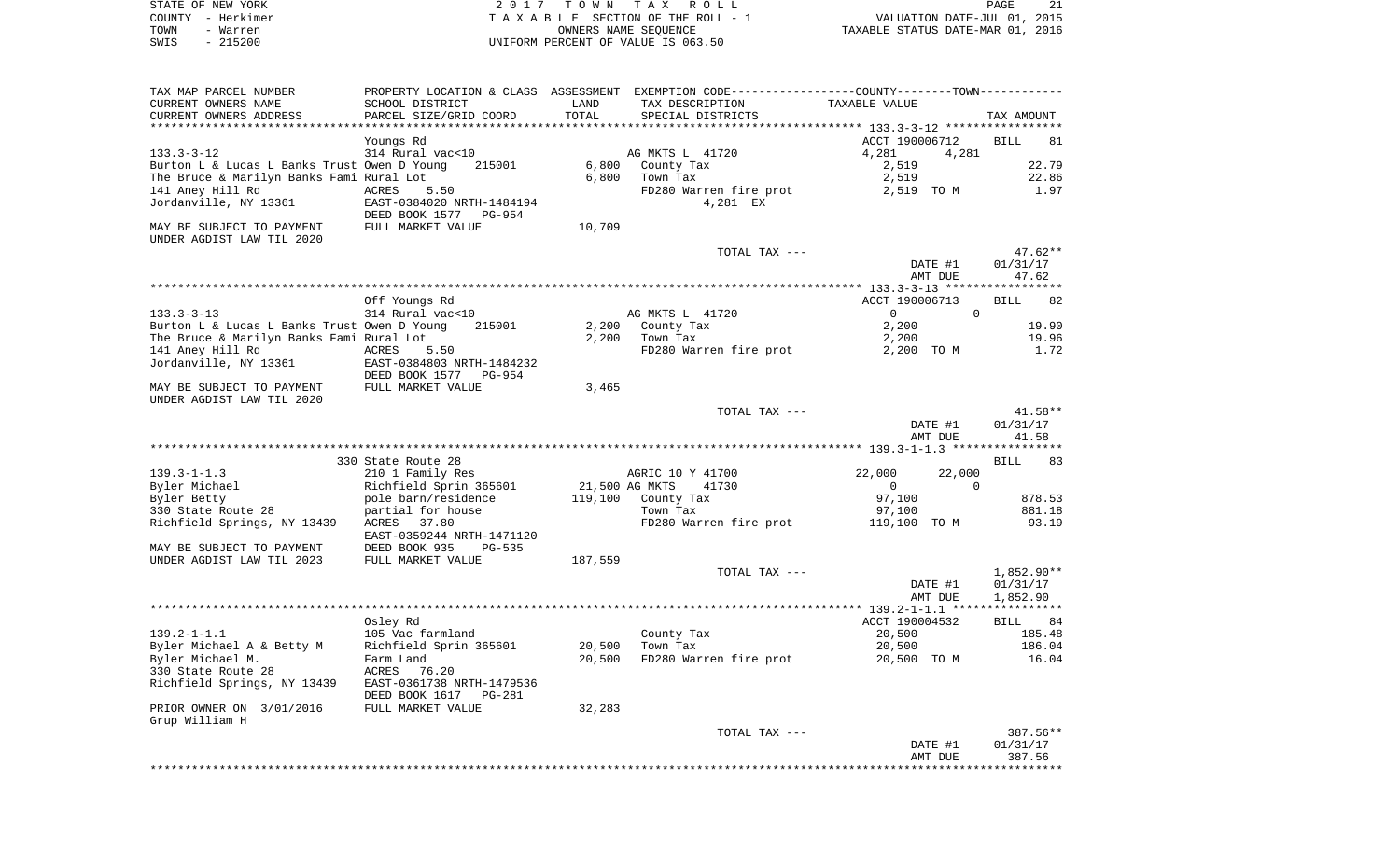|      | STATE OF NEW YORK | 2017 TOWN TAX ROLL                 | -21<br>PAGE                      |
|------|-------------------|------------------------------------|----------------------------------|
|      | COUNTY - Herkimer | TAXABLE SECTION OF THE ROLL - 1    | VALUATION DATE-JUL 01, 2015      |
| TOWN | - Warren          | OWNERS NAME SEOUENCE               | TAXABLE STATUS DATE-MAR 01, 2016 |
| SWIS | - 215200          | UNIFORM PERCENT OF VALUE IS 063.50 |                                  |

| TAX MAP PARCEL NUMBER                       | PROPERTY LOCATION & CLASS | ASSESSMENT | EXEMPTION CODE-----------------COUNTY-------TOWN----------- |                                     |                   |
|---------------------------------------------|---------------------------|------------|-------------------------------------------------------------|-------------------------------------|-------------------|
| CURRENT OWNERS NAME                         | SCHOOL DISTRICT           | LAND       | TAX DESCRIPTION                                             | TAXABLE VALUE                       |                   |
| CURRENT OWNERS ADDRESS                      | PARCEL SIZE/GRID COORD    | TOTAL      | SPECIAL DISTRICTS                                           |                                     | TAX AMOUNT        |
|                                             |                           |            |                                                             | ************ 133.3-3-12 *********** |                   |
|                                             | Youngs Rd                 |            |                                                             | ACCT 190006712                      | <b>BILL</b><br>81 |
| $133.3 - 3 - 12$                            | 314 Rural vac<10          |            | AG MKTS L 41720                                             | 4,281<br>4,281                      |                   |
| Burton L & Lucas L Banks Trust Owen D Young | 215001                    | 6,800      | County Tax                                                  | 2,519                               | 22.79             |
| The Bruce & Marilyn Banks Fami Rural Lot    |                           | 6,800      | Town Tax                                                    | 2,519                               | 22.86             |
| 141 Aney Hill Rd                            | ACRES<br>5.50             |            | FD280 Warren fire prot                                      | 2,519 TO M                          | 1.97              |
| Jordanville, NY 13361                       | EAST-0384020 NRTH-1484194 |            | 4,281 EX                                                    |                                     |                   |
|                                             | DEED BOOK 1577<br>PG-954  |            |                                                             |                                     |                   |
| MAY BE SUBJECT TO PAYMENT                   | FULL MARKET VALUE         | 10,709     |                                                             |                                     |                   |
| UNDER AGDIST LAW TIL 2020                   |                           |            |                                                             |                                     |                   |
|                                             |                           |            | TOTAL TAX ---                                               |                                     | $47.62**$         |
|                                             |                           |            |                                                             | DATE #1                             | 01/31/17          |
|                                             |                           |            |                                                             | AMT DUE                             | 47.62             |
|                                             |                           |            |                                                             |                                     |                   |
|                                             | Off Youngs Rd             |            |                                                             | ACCT 190006713                      | 82<br><b>BILL</b> |
| $133.3 - 3 - 13$                            | 314 Rural vac<10          |            | AG MKTS L 41720                                             | $\overline{0}$                      | 0                 |
| Burton L & Lucas L Banks Trust Owen D Young | 215001                    | 2,200      | County Tax                                                  | 2,200                               | 19.90             |
| The Bruce & Marilyn Banks Fami Rural Lot    |                           | 2,200      | Town Tax                                                    | 2,200                               | 19.96             |
| 141 Aney Hill Rd                            | ACRES<br>5.50             |            | FD280 Warren fire prot                                      | 2,200 TO M                          | 1.72              |
| Jordanville, NY 13361                       | EAST-0384803 NRTH-1484232 |            |                                                             |                                     |                   |
|                                             | DEED BOOK 1577<br>PG-954  |            |                                                             |                                     |                   |
| MAY BE SUBJECT TO PAYMENT                   | FULL MARKET VALUE         | 3,465      |                                                             |                                     |                   |
| UNDER AGDIST LAW TIL 2020                   |                           |            |                                                             |                                     |                   |
|                                             |                           |            | TOTAL TAX ---                                               |                                     | $41.58**$         |
|                                             |                           |            |                                                             | DATE #1                             | 01/31/17          |
|                                             |                           |            |                                                             | AMT DUE                             | 41.58             |
|                                             |                           |            |                                                             |                                     |                   |
|                                             | 330 State Route 28        |            |                                                             |                                     | 83<br>BILL        |
| $139.3 - 1 - 1.3$                           | 210 1 Family Res          |            | AGRIC 10 Y 41700                                            | 22,000<br>22,000                    |                   |
| Byler Michael                               | Richfield Sprin 365601    |            | 21,500 AG MKTS<br>41730                                     | $\circ$                             | $\Omega$          |
| Byler Betty                                 | pole barn/residence       | 119,100    | County Tax                                                  | 97,100                              | 878.53            |
| 330 State Route 28                          | partial for house         |            | Town Tax                                                    | 97,100                              | 881.18            |
| Richfield Springs, NY 13439                 | 37.80<br>ACRES            |            | FD280 Warren fire prot                                      | 119,100 TO M                        | 93.19             |
|                                             | EAST-0359244 NRTH-1471120 |            |                                                             |                                     |                   |
| MAY BE SUBJECT TO PAYMENT                   | DEED BOOK 935<br>PG-535   |            |                                                             |                                     |                   |
| UNDER AGDIST LAW TIL 2023                   | FULL MARKET VALUE         | 187,559    |                                                             |                                     |                   |
|                                             |                           |            | TOTAL TAX ---                                               |                                     | $1,852.90**$      |
|                                             |                           |            |                                                             | DATE #1                             | 01/31/17          |
|                                             |                           |            |                                                             | AMT DUE                             | 1,852.90          |
|                                             |                           |            |                                                             |                                     |                   |
|                                             | Osley Rd                  |            |                                                             | ACCT 190004532                      | 84<br>BILL        |
| $139.2 - 1 - 1.1$                           | 105 Vac farmland          |            | County Tax                                                  | 20,500                              | 185.48            |
| Byler Michael A & Betty M                   | Richfield Sprin 365601    | 20,500     | Town Tax                                                    | 20,500                              | 186.04            |
| Byler Michael M.                            | Farm Land                 | 20,500     | FD280 Warren fire prot                                      | 20,500 TO M                         | 16.04             |
| 330 State Route 28                          | ACRES<br>76.20            |            |                                                             |                                     |                   |
| Richfield Springs, NY 13439                 | EAST-0361738 NRTH-1479536 |            |                                                             |                                     |                   |
|                                             | DEED BOOK 1617<br>PG-281  |            |                                                             |                                     |                   |
| PRIOR OWNER ON 3/01/2016                    | FULL MARKET VALUE         | 32,283     |                                                             |                                     |                   |
| Grup William H                              |                           |            |                                                             |                                     |                   |
|                                             |                           |            | TOTAL TAX ---                                               |                                     | 387.56**          |
|                                             |                           |            |                                                             | DATE #1                             | 01/31/17          |
|                                             |                           |            |                                                             | AMT DUE                             | 387.56            |
|                                             |                           |            |                                                             |                                     |                   |
|                                             |                           |            |                                                             |                                     |                   |
|                                             |                           |            |                                                             |                                     |                   |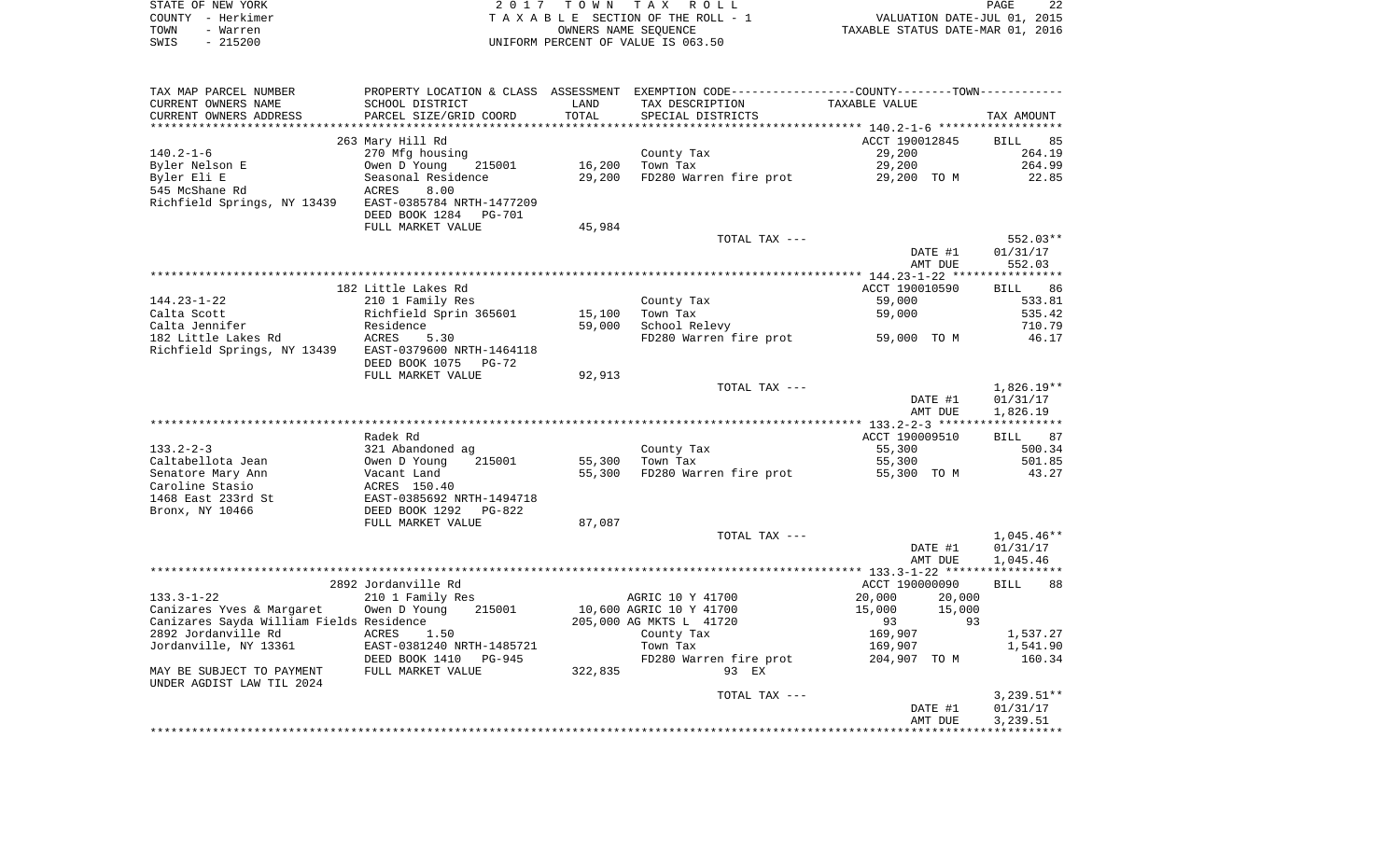|      | STATE OF NEW YORK | 2017 TOWN TAX ROLL                 | PAGE                             | 22 |
|------|-------------------|------------------------------------|----------------------------------|----|
|      | COUNTY – Herkimer | TAXABLE SECTION OF THE ROLL - 1    | VALUATION DATE-JUL 01, 2015      |    |
| TOWN | - Warren          | OWNERS NAME SEOUENCE               | TAXABLE STATUS DATE-MAR 01, 2016 |    |
| SWIS | - 215200          | UNIFORM PERCENT OF VALUE IS 063.50 |                                  |    |

| TAX MAP PARCEL NUMBER                    |                                 |         | PROPERTY LOCATION & CLASS ASSESSMENT EXEMPTION CODE----------------COUNTY-------TOWN---------- |                                                   |                   |
|------------------------------------------|---------------------------------|---------|------------------------------------------------------------------------------------------------|---------------------------------------------------|-------------------|
| CURRENT OWNERS NAME                      | SCHOOL DISTRICT                 | LAND    | TAX DESCRIPTION                                                                                | TAXABLE VALUE                                     |                   |
| CURRENT OWNERS ADDRESS                   | PARCEL SIZE/GRID COORD          | TOTAL   | SPECIAL DISTRICTS                                                                              |                                                   | TAX AMOUNT        |
|                                          |                                 |         |                                                                                                | ******************* 140.2-1-6 ******************* |                   |
|                                          | 263 Mary Hill Rd                |         |                                                                                                | ACCT 190012845                                    | <b>BILL</b><br>85 |
| $140.2 - 1 - 6$                          | 270 Mfg housing                 |         | County Tax                                                                                     | 29,200                                            | 264.19            |
| Byler Nelson E                           | Owen D Young<br>215001          | 16,200  | Town Tax                                                                                       | 29,200                                            | 264.99            |
| Byler Eli E                              | Seasonal Residence              | 29,200  | FD280 Warren fire prot 29,200 TO M                                                             |                                                   | 22.85             |
| 545 McShane Rd                           | ACRES<br>8.00                   |         |                                                                                                |                                                   |                   |
| Richfield Springs, NY 13439              | EAST-0385784 NRTH-1477209       |         |                                                                                                |                                                   |                   |
|                                          | DEED BOOK 1284<br><b>PG-701</b> |         |                                                                                                |                                                   |                   |
|                                          | FULL MARKET VALUE               | 45,984  |                                                                                                |                                                   |                   |
|                                          |                                 |         | TOTAL TAX ---                                                                                  |                                                   | 552.03**          |
|                                          |                                 |         |                                                                                                | DATE #1                                           |                   |
|                                          |                                 |         |                                                                                                |                                                   | 01/31/17          |
|                                          |                                 |         |                                                                                                | AMT DUE                                           | 552.03            |
|                                          |                                 |         |                                                                                                |                                                   |                   |
|                                          | 182 Little Lakes Rd             |         |                                                                                                | ACCT 190010590                                    | BILL 86           |
| $144.23 - 1 - 22$                        | 210 1 Family Res                |         | County Tax                                                                                     | 59,000                                            | 533.81            |
| Calta Scott                              | Richfield Sprin 365601          | 15,100  | Town Tax                                                                                       | 59,000                                            | 535.42            |
| Calta Jennifer                           | Residence                       | 59,000  | School Relevy                                                                                  |                                                   | 710.79            |
| 182 Little Lakes Rd                      | <b>ACRES</b><br>5.30            |         | FD280 Warren fire prot                                                                         | 59,000 TO M                                       | 46.17             |
| Richfield Springs, NY 13439              | EAST-0379600 NRTH-1464118       |         |                                                                                                |                                                   |                   |
|                                          | DEED BOOK 1075<br>$PG-72$       |         |                                                                                                |                                                   |                   |
|                                          | FULL MARKET VALUE               | 92,913  |                                                                                                |                                                   |                   |
|                                          |                                 |         | TOTAL TAX ---                                                                                  |                                                   | $1,826.19**$      |
|                                          |                                 |         |                                                                                                | DATE #1                                           | 01/31/17          |
|                                          |                                 |         |                                                                                                | AMT DUE                                           | 1,826.19          |
|                                          |                                 |         |                                                                                                |                                                   |                   |
|                                          | Radek Rd                        |         |                                                                                                | ACCT 190009510                                    | BILL 87           |
| $133.2 - 2 - 3$                          | 321 Abandoned ag                |         | County Tax                                                                                     | 55,300                                            | 500.34            |
| Caltabellota Jean                        | 215001<br>Owen D Young          | 55,300  | Town Tax                                                                                       | 55,300                                            | 501.85            |
| Senatore Mary Ann                        | Vacant Land                     | 55,300  | FD280 Warren fire prot 55,300 TO M                                                             |                                                   | 43.27             |
| Caroline Stasio                          | ACRES 150.40                    |         |                                                                                                |                                                   |                   |
| 1468 East 233rd St                       | EAST-0385692 NRTH-1494718       |         |                                                                                                |                                                   |                   |
| Bronx, NY 10466                          | DEED BOOK 1292<br>$PG-822$      |         |                                                                                                |                                                   |                   |
|                                          |                                 | 87,087  |                                                                                                |                                                   |                   |
|                                          | FULL MARKET VALUE               |         |                                                                                                |                                                   | $1,045.46**$      |
|                                          |                                 |         | TOTAL TAX ---                                                                                  |                                                   |                   |
|                                          |                                 |         |                                                                                                | DATE #1                                           | 01/31/17          |
|                                          |                                 |         |                                                                                                | AMT DUE                                           | 1,045.46          |
|                                          |                                 |         |                                                                                                |                                                   |                   |
|                                          | 2892 Jordanville Rd             |         |                                                                                                | ACCT 190000090                                    | <b>BILL</b><br>88 |
| $133.3 - 1 - 22$                         | 210 1 Family Res                |         | AGRIC 10 Y 41700                                                                               | 20,000<br>20,000                                  |                   |
| Canizares Yves & Margaret                | Owen D Young<br>215001          |         | 10,600 AGRIC 10 Y 41700                                                                        | 15,000<br>15,000                                  |                   |
| Canizares Sayda William Fields Residence |                                 |         | 205,000 AG MKTS L 41720                                                                        | 93<br>93                                          |                   |
| 2892 Jordanville Rd                      | ACRES<br>1.50                   |         | County Tax                                                                                     | 169,907                                           | 1,537.27          |
| Jordanville, NY 13361                    | EAST-0381240 NRTH-1485721       |         | Town Tax                                                                                       | 169,907                                           | 1,541.90          |
|                                          | DEED BOOK 1410<br>PG-945        |         | FD280 Warren fire prot                                                                         | 204,907 TO M                                      | 160.34            |
| MAY BE SUBJECT TO PAYMENT                | FULL MARKET VALUE               | 322,835 | 93 EX                                                                                          |                                                   |                   |
| UNDER AGDIST LAW TIL 2024                |                                 |         |                                                                                                |                                                   |                   |
|                                          |                                 |         | TOTAL TAX ---                                                                                  |                                                   | $3,239.51**$      |
|                                          |                                 |         |                                                                                                | DATE #1                                           | 01/31/17          |
|                                          |                                 |         |                                                                                                | AMT DUE                                           | 3,239.51          |
|                                          |                                 |         |                                                                                                |                                                   |                   |
|                                          |                                 |         |                                                                                                |                                                   |                   |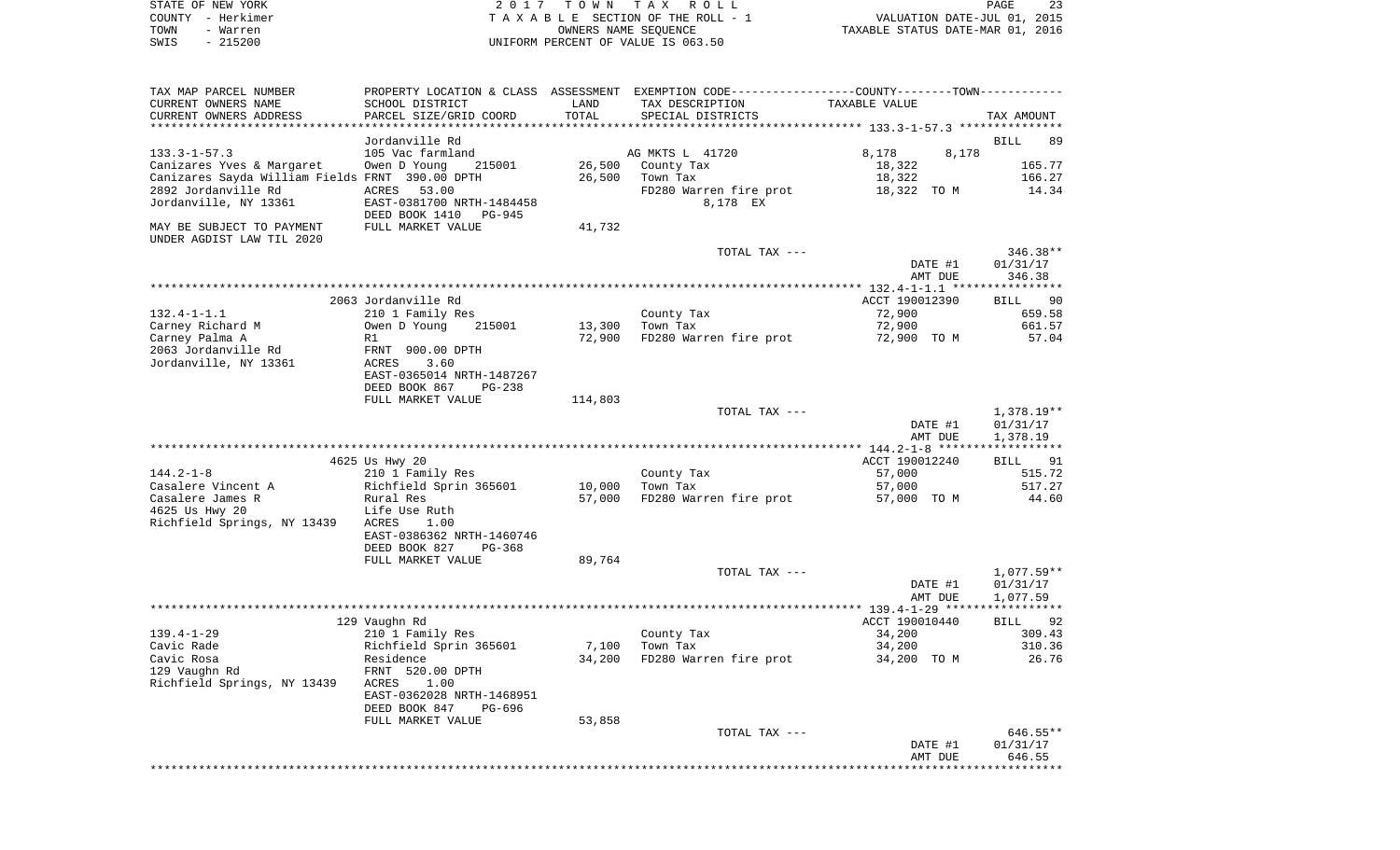|      | STATE OF NEW YORK | 2017 TOWN TAX ROLL                 | PAGE                             | 23 |
|------|-------------------|------------------------------------|----------------------------------|----|
|      | COUNTY - Herkimer | TAXABLE SECTION OF THE ROLL - 1    | VALUATION DATE-JUL 01, 2015      |    |
| TOWN | - Warren          | OWNERS NAME SEOUENCE               | TAXABLE STATUS DATE-MAR 01, 2016 |    |
| SWIS | $-215200$         | UNIFORM PERCENT OF VALUE IS 063.50 |                                  |    |

| TAX MAP PARCEL NUMBER                           |                                |         | PROPERTY LOCATION & CLASS ASSESSMENT EXEMPTION CODE---------------COUNTY-------TOWN--------- |                |                   |
|-------------------------------------------------|--------------------------------|---------|----------------------------------------------------------------------------------------------|----------------|-------------------|
| CURRENT OWNERS NAME                             | SCHOOL DISTRICT                | LAND    | TAX DESCRIPTION                                                                              | TAXABLE VALUE  |                   |
| CURRENT OWNERS ADDRESS                          | PARCEL SIZE/GRID COORD         | TOTAL   | SPECIAL DISTRICTS                                                                            |                | TAX AMOUNT        |
|                                                 |                                |         |                                                                                              |                |                   |
|                                                 | Jordanville Rd                 |         |                                                                                              |                | <b>BILL</b><br>89 |
| $133.3 - 1 - 57.3$                              | 105 Vac farmland               |         | AG MKTS L 41720                                                                              | 8,178<br>8,178 |                   |
| Canizares Yves & Margaret                       | Owen D Young<br>215001         | 26,500  | County Tax                                                                                   | 18,322         | 165.77            |
| Canizares Sayda William Fields FRNT 390.00 DPTH |                                | 26,500  | Town Tax                                                                                     | 18,322         | 166.27            |
| 2892 Jordanville Rd                             | ACRES<br>53.00                 |         | FD280 Warren fire prot                                                                       | 18,322 TO M    | 14.34             |
| Jordanville, NY 13361                           | EAST-0381700 NRTH-1484458      |         | 8,178 EX                                                                                     |                |                   |
|                                                 | DEED BOOK 1410<br>PG-945       |         |                                                                                              |                |                   |
|                                                 |                                |         |                                                                                              |                |                   |
| MAY BE SUBJECT TO PAYMENT                       | FULL MARKET VALUE              | 41,732  |                                                                                              |                |                   |
| UNDER AGDIST LAW TIL 2020                       |                                |         |                                                                                              |                |                   |
|                                                 |                                |         | TOTAL TAX ---                                                                                |                | 346.38**          |
|                                                 |                                |         |                                                                                              | DATE #1        | 01/31/17          |
|                                                 |                                |         |                                                                                              | AMT DUE        | 346.38            |
|                                                 |                                |         |                                                                                              |                |                   |
|                                                 | 2063 Jordanville Rd            |         |                                                                                              | ACCT 190012390 | BILL 90           |
| $132.4 - 1 - 1.1$                               | 210 1 Family Res               |         | County Tax                                                                                   | 72,900         | 659.58            |
| Carney Richard M                                | Owen D Young<br>215001         | 13,300  | Town Tax                                                                                     | 72,900         | 661.57            |
| Carney Palma A                                  | R1                             | 72,900  | FD280 Warren fire prot                                                                       | 72,900 TO M    | 57.04             |
| 2063 Jordanville Rd                             | FRNT 900.00 DPTH               |         |                                                                                              |                |                   |
| Jordanville, NY 13361                           | 3.60<br>ACRES                  |         |                                                                                              |                |                   |
|                                                 | EAST-0365014 NRTH-1487267      |         |                                                                                              |                |                   |
|                                                 | DEED BOOK 867<br><b>PG-238</b> |         |                                                                                              |                |                   |
|                                                 | FULL MARKET VALUE              | 114,803 |                                                                                              |                |                   |
|                                                 |                                |         | TOTAL TAX ---                                                                                |                | 1,378.19**        |
|                                                 |                                |         |                                                                                              | DATE #1        | 01/31/17          |
|                                                 |                                |         |                                                                                              | AMT DUE        | 1,378.19          |
|                                                 | ******************             |         |                                                                                              |                |                   |
|                                                 | 4625 Us Hwy 20                 |         |                                                                                              | ACCT 190012240 | BILL 91           |
| $144.2 - 1 - 8$                                 | 210 1 Family Res               |         | County Tax                                                                                   | 57,000         | 515.72            |
| Casalere Vincent A                              | Richfield Sprin 365601         | 10,000  | Town Tax                                                                                     | 57,000         | 517.27            |
|                                                 |                                |         |                                                                                              |                |                   |
| Casalere James R                                | Rural Res                      | 57,000  | FD280 Warren fire prot                                                                       | 57,000 TO M    | 44.60             |
| 4625 Us Hwy 20                                  | Life Use Ruth                  |         |                                                                                              |                |                   |
| Richfield Springs, NY 13439 ACRES               | 1.00                           |         |                                                                                              |                |                   |
|                                                 | EAST-0386362 NRTH-1460746      |         |                                                                                              |                |                   |
|                                                 | DEED BOOK 827<br>PG-368        |         |                                                                                              |                |                   |
|                                                 | FULL MARKET VALUE              | 89,764  |                                                                                              |                |                   |
|                                                 |                                |         | TOTAL TAX ---                                                                                |                | 1,077.59**        |
|                                                 |                                |         |                                                                                              | DATE #1        | 01/31/17          |
|                                                 |                                |         |                                                                                              | AMT DUE        | 1,077.59          |
|                                                 |                                |         |                                                                                              |                |                   |
|                                                 | 129 Vaughn Rd                  |         |                                                                                              | ACCT 190010440 | BILL 92           |
| $139.4 - 1 - 29$                                | 210 1 Family Res               |         | County Tax                                                                                   | 34,200         | 309.43            |
| Cavic Rade                                      | Richfield Sprin 365601         | 7,100   | Town Tax                                                                                     | 34,200         | 310.36            |
| Cavic Rosa                                      | Residence                      | 34,200  | FD280 Warren fire prot                                                                       | 34,200 TO M    | 26.76             |
| 129 Vaughn Rd                                   | FRNT 520.00 DPTH               |         |                                                                                              |                |                   |
| Richfield Springs, NY 13439                     | ACRES<br>1.00                  |         |                                                                                              |                |                   |
|                                                 | EAST-0362028 NRTH-1468951      |         |                                                                                              |                |                   |
|                                                 | DEED BOOK 847<br>PG-696        |         |                                                                                              |                |                   |
|                                                 | FULL MARKET VALUE              | 53,858  |                                                                                              |                |                   |
|                                                 |                                |         | TOTAL TAX ---                                                                                |                | 646.55**          |
|                                                 |                                |         |                                                                                              | DATE #1        | 01/31/17          |
|                                                 |                                |         |                                                                                              | AMT DUE        | 646.55            |
|                                                 |                                |         |                                                                                              |                |                   |
|                                                 |                                |         |                                                                                              |                |                   |
|                                                 |                                |         |                                                                                              |                |                   |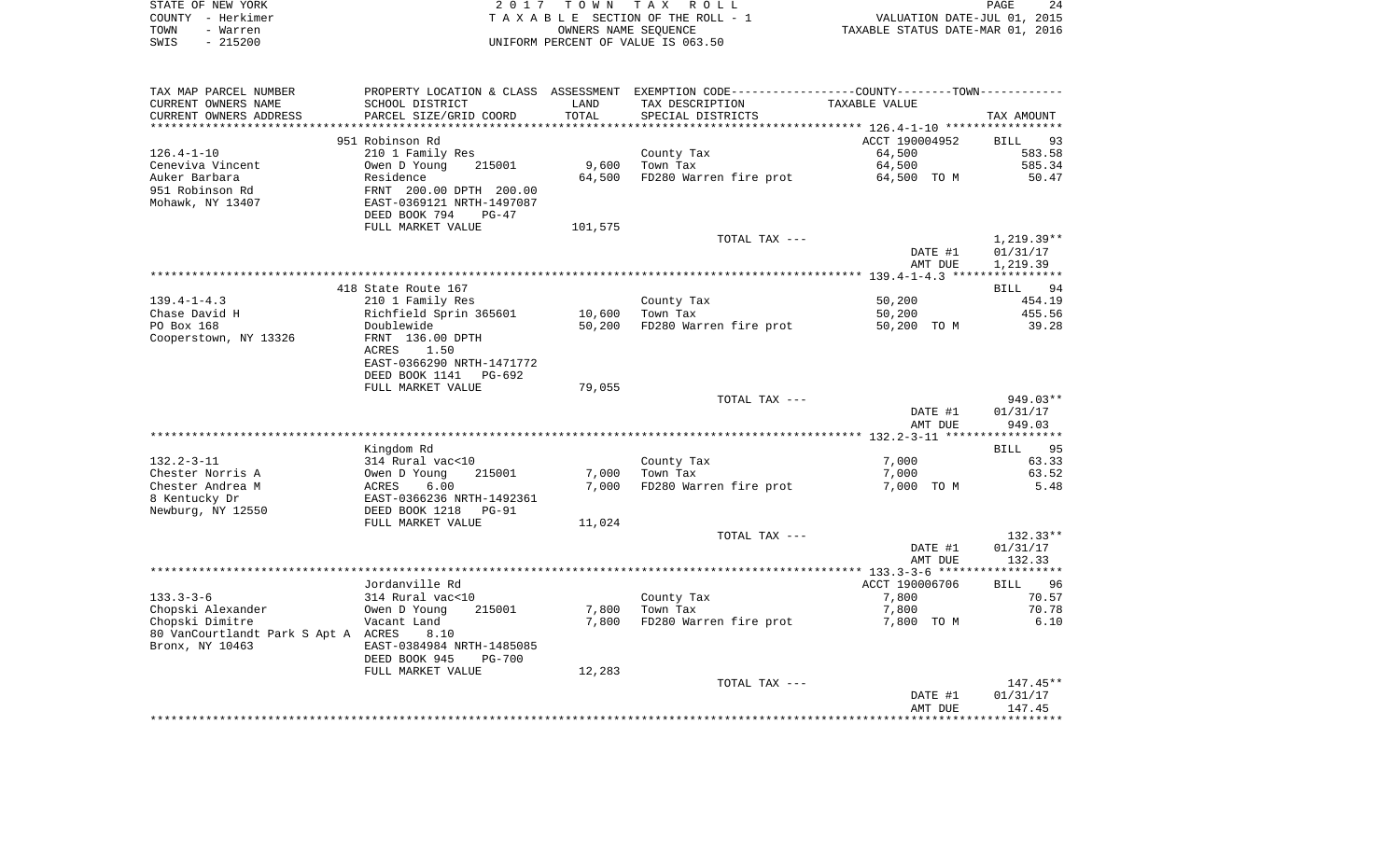| STATE OF NEW YORK | 2017 TOWN TAX ROLL                 | 24<br>PAGE                       |
|-------------------|------------------------------------|----------------------------------|
| COUNTY - Herkimer | TAXABLE SECTION OF THE ROLL - 1    | VALUATION DATE-JUL 01, 2015      |
| TOWN<br>- Warren  | OWNERS NAME SEOUENCE               | TAXABLE STATUS DATE-MAR 01, 2016 |
| $-215200$<br>SWIS | UNIFORM PERCENT OF VALUE IS 063.50 |                                  |

| TAX MAP PARCEL NUMBER               | PROPERTY LOCATION & CLASS    | ASSESSMENT | EXEMPTION CODE----------------COUNTY-------TOWN----------- |                |                   |
|-------------------------------------|------------------------------|------------|------------------------------------------------------------|----------------|-------------------|
| CURRENT OWNERS NAME                 | SCHOOL DISTRICT              | LAND       | TAX DESCRIPTION                                            | TAXABLE VALUE  |                   |
| CURRENT OWNERS ADDRESS              | PARCEL SIZE/GRID COORD       | TOTAL      | SPECIAL DISTRICTS                                          |                | TAX AMOUNT        |
| **********************              | **************************** |            |                                                            |                |                   |
|                                     | 951 Robinson Rd              |            |                                                            | ACCT 190004952 | BILL<br>93        |
| $126.4 - 1 - 10$                    | 210 1 Family Res             |            | County Tax                                                 | 64,500         | 583.58            |
| Ceneviva Vincent                    | 215001                       | 9,600      | Town Tax                                                   | 64,500         | 585.34            |
|                                     | Owen D Young                 |            |                                                            |                |                   |
| Auker Barbara                       | Residence                    | 64,500     | FD280 Warren fire prot                                     | 64,500 TO M    | 50.47             |
| 951 Robinson Rd                     | FRNT 200.00 DPTH 200.00      |            |                                                            |                |                   |
| Mohawk, NY 13407                    | EAST-0369121 NRTH-1497087    |            |                                                            |                |                   |
|                                     | DEED BOOK 794<br>$PG-47$     |            |                                                            |                |                   |
|                                     | FULL MARKET VALUE            | 101,575    |                                                            |                |                   |
|                                     |                              |            | TOTAL TAX ---                                              |                | $1,219.39**$      |
|                                     |                              |            |                                                            | DATE #1        | 01/31/17          |
|                                     |                              |            |                                                            | AMT DUE        | 1,219.39          |
|                                     |                              |            |                                                            |                |                   |
|                                     | 418 State Route 167          |            |                                                            |                | 94<br>BILL        |
| $139.4 - 1 - 4.3$                   | 210 1 Family Res             |            | County Tax                                                 | 50,200         | 454.19            |
| Chase David H                       | Richfield Sprin 365601       | 10,600     | Town Tax                                                   | 50,200         | 455.56            |
| PO Box 168                          | Doublewide                   | 50,200     | FD280 Warren fire prot                                     | 50,200 TO M    | 39.28             |
|                                     | FRNT 136.00 DPTH             |            |                                                            |                |                   |
| Cooperstown, NY 13326               |                              |            |                                                            |                |                   |
|                                     | <b>ACRES</b><br>1.50         |            |                                                            |                |                   |
|                                     | EAST-0366290 NRTH-1471772    |            |                                                            |                |                   |
|                                     | DEED BOOK 1141<br>$PG-692$   |            |                                                            |                |                   |
|                                     | FULL MARKET VALUE            | 79,055     |                                                            |                |                   |
|                                     |                              |            | TOTAL TAX ---                                              |                | 949.03**          |
|                                     |                              |            |                                                            | DATE #1        | 01/31/17          |
|                                     |                              |            |                                                            | AMT DUE        | 949.03            |
|                                     |                              |            |                                                            |                |                   |
|                                     | Kingdom Rd                   |            |                                                            |                | <b>BILL</b><br>95 |
| $132.2 - 3 - 11$                    | 314 Rural vac<10             |            | County Tax                                                 | 7,000          | 63.33             |
| Chester Norris A                    | Owen D Young<br>215001       | 7,000      | Town Tax                                                   | 7,000          | 63.52             |
| Chester Andrea M                    | 6.00<br>ACRES                | 7,000      | FD280 Warren fire prot                                     | 7,000 TO M     | 5.48              |
| 8 Kentucky Dr                       | EAST-0366236 NRTH-1492361    |            |                                                            |                |                   |
| Newburg, NY 12550                   | DEED BOOK 1218<br>$PG-91$    |            |                                                            |                |                   |
|                                     | FULL MARKET VALUE            |            |                                                            |                |                   |
|                                     |                              | 11,024     |                                                            |                |                   |
|                                     |                              |            | TOTAL TAX ---                                              |                | $132.33**$        |
|                                     |                              |            |                                                            | DATE #1        | 01/31/17          |
|                                     |                              |            |                                                            | AMT DUE        | 132.33            |
|                                     |                              |            |                                                            |                |                   |
|                                     | Jordanville Rd               |            |                                                            | ACCT 190006706 | 96<br>BILL        |
| $133.3 - 3 - 6$                     | 314 Rural vac<10             |            | County Tax                                                 | 7,800          | 70.57             |
| Chopski Alexander                   | Owen D Young<br>215001       | 7,800      | Town Tax                                                   | 7,800          | 70.78             |
| Chopski Dimitre                     | Vacant Land                  | 7,800      | FD280 Warren fire prot                                     | 7,800 TO M     | 6.10              |
| 80 VanCourtlandt Park S Apt A ACRES | 8.10                         |            |                                                            |                |                   |
| Bronx, NY 10463                     | EAST-0384984 NRTH-1485085    |            |                                                            |                |                   |
|                                     | DEED BOOK 945<br>$PG-700$    |            |                                                            |                |                   |
|                                     | FULL MARKET VALUE            | 12,283     |                                                            |                |                   |
|                                     |                              |            |                                                            |                |                   |
|                                     |                              |            | TOTAL TAX ---                                              |                | 147.45**          |
|                                     |                              |            |                                                            | DATE #1        | 01/31/17          |
|                                     |                              |            |                                                            | AMT DUE        | 147.45            |
|                                     |                              |            |                                                            |                |                   |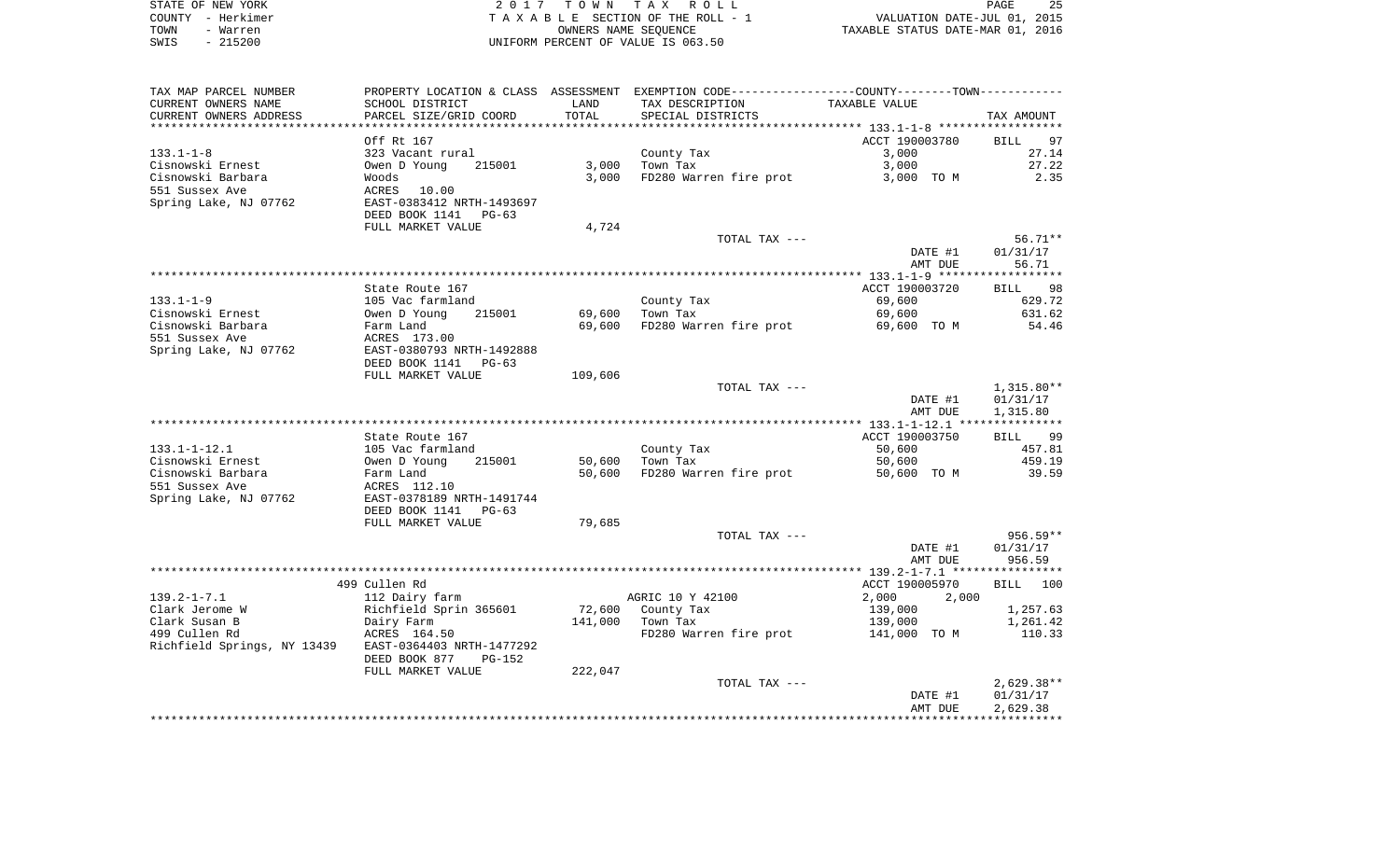| STATE OF NEW YORK | 2017 TOWN TAX ROLL                 | 25<br>PAGE                       |
|-------------------|------------------------------------|----------------------------------|
| COUNTY - Herkimer | TAXABLE SECTION OF THE ROLL - 1    | VALUATION DATE-JUL 01, 2015      |
| TOWN<br>- Warren  | OWNERS NAME SEOUENCE               | TAXABLE STATUS DATE-MAR 01, 2016 |
| - 215200<br>SWIS  | UNIFORM PERCENT OF VALUE IS 063.50 |                                  |

| CURRENT OWNERS NAME                                   |                           |         | PROPERTY LOCATION & CLASS ASSESSMENT EXEMPTION CODE---------------COUNTY-------TOWN---------- |                |                   |
|-------------------------------------------------------|---------------------------|---------|-----------------------------------------------------------------------------------------------|----------------|-------------------|
|                                                       | SCHOOL DISTRICT           | LAND    | TAX DESCRIPTION                                                                               | TAXABLE VALUE  |                   |
| CURRENT OWNERS ADDRESS                                | PARCEL SIZE/GRID COORD    | TOTAL   | SPECIAL DISTRICTS                                                                             |                | TAX AMOUNT        |
| ******************************                        |                           |         |                                                                                               |                |                   |
|                                                       | Off Rt 167                |         |                                                                                               | ACCT 190003780 | <b>BILL</b><br>97 |
| $133.1 - 1 - 8$                                       | 323 Vacant rural          |         | County Tax                                                                                    | 3,000          | 27.14             |
| Cisnowski Ernest                                      | Owen D Young<br>215001    |         | $3,000$ Town Tax                                                                              | 3,000          | 27.22             |
| Cisnowski Barbara                                     | Woods                     | 3,000   | FD280 Warren fire prot                                                                        | 3,000 TO M     | 2.35              |
| 551 Sussex Ave                                        | ACRES 10.00               |         |                                                                                               |                |                   |
| Spring Lake, NJ 07762                                 | EAST-0383412 NRTH-1493697 |         |                                                                                               |                |                   |
|                                                       | DEED BOOK 1141 PG-63      |         |                                                                                               |                |                   |
|                                                       | FULL MARKET VALUE         | 4,724   |                                                                                               |                |                   |
|                                                       |                           |         | TOTAL TAX ---                                                                                 |                | 56.71**           |
|                                                       |                           |         |                                                                                               | DATE #1        | 01/31/17          |
|                                                       |                           |         |                                                                                               | AMT DUE        | 56.71             |
|                                                       |                           |         |                                                                                               |                |                   |
|                                                       | State Route 167           |         |                                                                                               | ACCT 190003720 | BILL 98           |
| $133.1 - 1 - 9$                                       | 105 Vac farmland          |         | County Tax                                                                                    | 69,600         | 629.72            |
| Cisnowski Ernest                                      | Owen D Young<br>215001    |         | 69,600 Town Tax                                                                               | 69,600         | 631.62            |
| Cisnowski Barbara                                     | Farm Land                 |         | 69,600 FD280 Warren fire prot                                                                 | 69,600 TO M    | 54.46             |
| 551 Sussex Ave                                        | ACRES 173.00              |         |                                                                                               |                |                   |
| Spring Lake, NJ 07762                                 | EAST-0380793 NRTH-1492888 |         |                                                                                               |                |                   |
|                                                       | DEED BOOK 1141 PG-63      |         |                                                                                               |                |                   |
|                                                       | FULL MARKET VALUE         | 109,606 |                                                                                               |                |                   |
|                                                       |                           |         | TOTAL TAX ---                                                                                 |                | $1,315.80**$      |
|                                                       |                           |         |                                                                                               | DATE #1        | 01/31/17          |
|                                                       |                           |         |                                                                                               | AMT DUE        | 1,315.80          |
|                                                       |                           |         |                                                                                               |                |                   |
|                                                       | State Route 167           |         |                                                                                               | ACCT 190003750 | 99<br>BILL        |
| $133.1 - 1 - 12.1$                                    | 105 Vac farmland          |         | County Tax                                                                                    | 50,600         | 457.81            |
| Cisnowski Ernest                                      | Owen D Young<br>215001    |         | 50,600 Town Tax                                                                               | 50,600         | 459.19            |
| Cisnowski Barbara                                     | Farm Land                 |         | 50,600 FD280 Warren fire prot                                                                 | 50,600 TO M    | 39.59             |
| 551 Sussex Ave                                        | ACRES 112.10              |         |                                                                                               |                |                   |
| Spring Lake, NJ 07762                                 | EAST-0378189 NRTH-1491744 |         |                                                                                               |                |                   |
|                                                       | DEED BOOK 1141 PG-63      |         |                                                                                               |                |                   |
|                                                       | FULL MARKET VALUE         | 79,685  |                                                                                               |                |                   |
|                                                       |                           |         | TOTAL TAX ---                                                                                 |                | $956.59**$        |
|                                                       |                           |         |                                                                                               | DATE #1        | 01/31/17          |
|                                                       |                           |         |                                                                                               | AMT DUE        | 956.59            |
|                                                       |                           |         |                                                                                               |                |                   |
|                                                       | 499 Cullen Rd             |         |                                                                                               | ACCT 190005970 | BILL 100          |
| $139.2 - 1 - 7.1$                                     | 112 Dairy farm            |         | AGRIC 10 Y 42100                                                                              | 2,000<br>2,000 |                   |
| Clark Jerome W                                        | Richfield Sprin 365601    |         | 72,600 County Tax                                                                             | 139,000        | 1,257.63          |
| Clark Susan B                                         | Dairy Farm                |         | 141,000 Town Tax                                                                              | 139,000        | 1,261.42          |
|                                                       | ACRES 164.50              |         | FD280 Warren fire prot                                                                        | 141,000 TO M   | 110.33            |
| 499 Cullen Rd                                         |                           |         |                                                                                               |                |                   |
| Richfield Springs, NY 13439 EAST-0364403 NRTH-1477292 |                           |         |                                                                                               |                |                   |
|                                                       | DEED BOOK 877<br>PG-152   |         |                                                                                               |                |                   |
|                                                       | FULL MARKET VALUE         | 222,047 |                                                                                               |                |                   |
|                                                       |                           |         | TOTAL TAX ---                                                                                 |                | $2.629.38**$      |
|                                                       |                           |         |                                                                                               | DATE #1        | 01/31/17          |
|                                                       |                           |         |                                                                                               | AMT DUE        | 2,629.38          |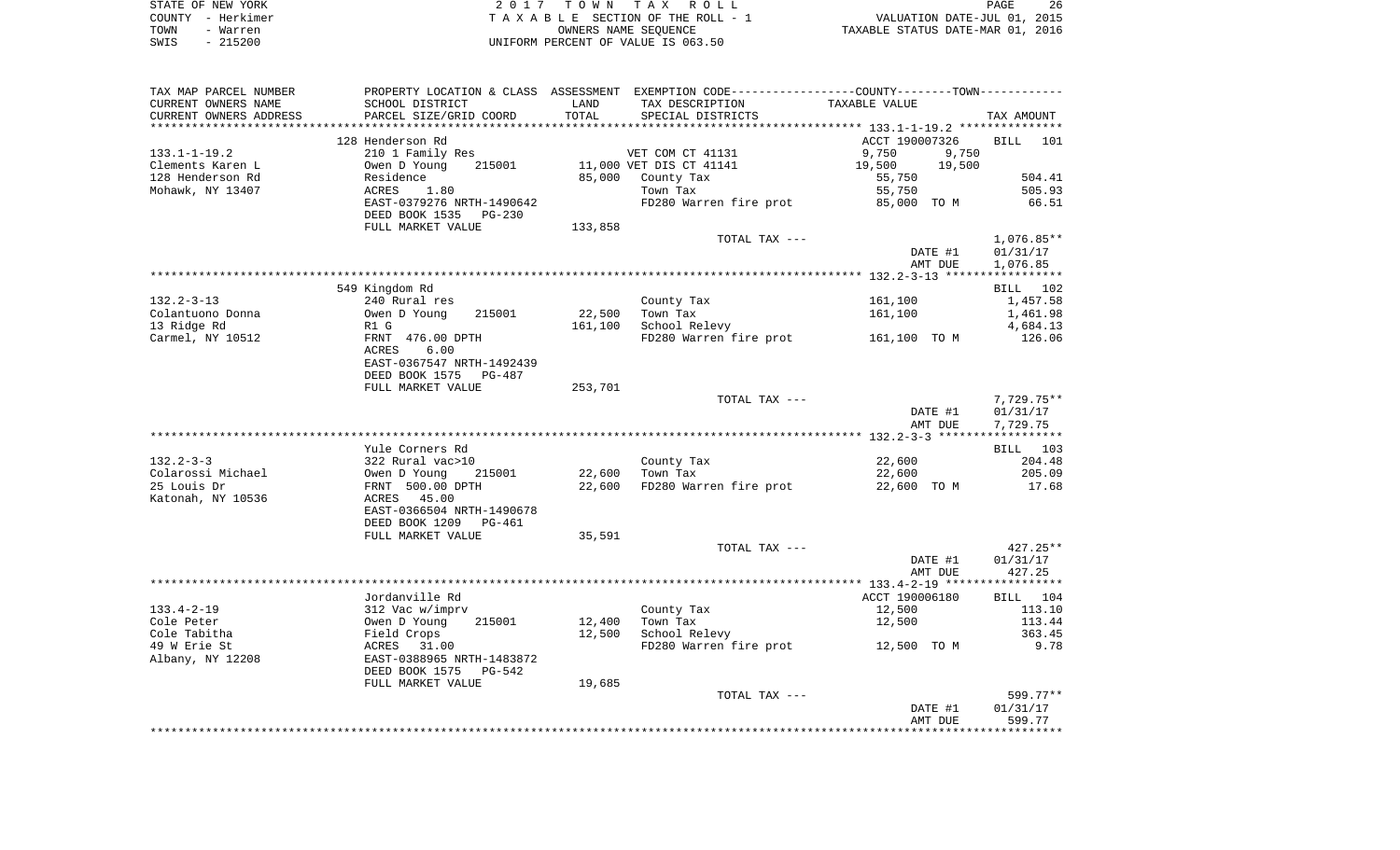| STATE OF NEW YORK | 2017 TOWN TAX ROLL                 | 26<br>PAGE                       |
|-------------------|------------------------------------|----------------------------------|
| COUNTY - Herkimer | TAXABLE SECTION OF THE ROLL - 1    | VALUATION DATE-JUL 01, 2015      |
| TOWN<br>- Warren  | OWNERS NAME SEOUENCE               | TAXABLE STATUS DATE-MAR 01, 2016 |
| - 215200<br>SWIS  | UNIFORM PERCENT OF VALUE IS 063.50 |                                  |

| TAX MAP PARCEL NUMBER  |                                   |         | PROPERTY LOCATION & CLASS ASSESSMENT EXEMPTION CODE----------------COUNTY--------TOWN----------- |                |         |                 |
|------------------------|-----------------------------------|---------|--------------------------------------------------------------------------------------------------|----------------|---------|-----------------|
| CURRENT OWNERS NAME    | SCHOOL DISTRICT                   | LAND    | TAX DESCRIPTION                                                                                  | TAXABLE VALUE  |         |                 |
| CURRENT OWNERS ADDRESS | PARCEL SIZE/GRID COORD            | TOTAL   | SPECIAL DISTRICTS                                                                                |                |         | TAX AMOUNT      |
|                        |                                   |         |                                                                                                  |                |         |                 |
|                        | 128 Henderson Rd                  |         |                                                                                                  | ACCT 190007326 |         | <b>BILL</b> 101 |
| $133.1 - 1 - 19.2$     | 210 1 Family Res                  |         | VET COM CT 41131                                                                                 | 9,750          | 9,750   |                 |
| Clements Karen L       | 215001<br>Owen D Young            |         | 11,000 VET DIS CT 41141                                                                          | 19,500         | 19,500  |                 |
| 128 Henderson Rd       | Residence                         |         | 85,000 County Tax                                                                                | 55,750         |         | 504.41          |
| Mohawk, NY 13407       | ACRES<br>1.80                     |         | Town Tax                                                                                         | 55,750         |         | 505.93          |
|                        | EAST-0379276 NRTH-1490642         |         | FD280 Warren fire prot                                                                           | 85,000 TO M    |         | 66.51           |
|                        | DEED BOOK 1535 PG-230             |         |                                                                                                  |                |         |                 |
|                        | FULL MARKET VALUE                 | 133,858 |                                                                                                  |                |         |                 |
|                        |                                   |         | TOTAL TAX ---                                                                                    |                |         | $1,076.85**$    |
|                        |                                   |         |                                                                                                  |                | DATE #1 | 01/31/17        |
|                        |                                   |         |                                                                                                  |                | AMT DUE | 1,076.85        |
|                        |                                   |         |                                                                                                  |                |         |                 |
|                        | 549 Kingdom Rd                    |         |                                                                                                  |                |         | BILL 102        |
| $132.2 - 3 - 13$       | 240 Rural res                     |         | County Tax                                                                                       | 161,100        |         | 1,457.58        |
| Colantuono Donna       | Owen D Young<br>215001            | 22,500  | Town Tax                                                                                         | 161,100        |         | 1,461.98        |
| 13 Ridge Rd            | R1 G                              | 161,100 | School Relevy                                                                                    |                |         | 4,684.13        |
| Carmel, NY 10512       | FRNT 476.00 DPTH<br>ACRES<br>6.00 |         | FD280 Warren fire prot                                                                           | 161,100 TO M   |         | 126.06          |
|                        | EAST-0367547 NRTH-1492439         |         |                                                                                                  |                |         |                 |
|                        | DEED BOOK 1575                    |         |                                                                                                  |                |         |                 |
|                        | PG-487                            |         |                                                                                                  |                |         |                 |
|                        | FULL MARKET VALUE                 | 253,701 |                                                                                                  |                |         |                 |
|                        |                                   |         | TOTAL TAX ---                                                                                    |                |         | 7,729.75**      |
|                        |                                   |         |                                                                                                  |                | DATE #1 | 01/31/17        |
|                        |                                   |         |                                                                                                  |                | AMT DUE | 7,729.75        |
|                        |                                   |         |                                                                                                  |                |         |                 |
|                        | Yule Corners Rd                   |         |                                                                                                  |                |         | BILL 103        |
| $132.2 - 3 - 3$        | 322 Rural vac>10                  |         | County Tax                                                                                       | 22,600         |         | 204.48          |
| Colarossi Michael      | 215001<br>Owen D Young            |         | 22,600   Town Tax                                                                                | 22,600         |         | 205.09          |
| 25 Louis Dr            | FRNT 500.00 DPTH                  | 22,600  | FD280 Warren fire prot                                                                           | 22,600 TO M    |         | 17.68           |
| Katonah, NY 10536      | ACRES 45.00                       |         |                                                                                                  |                |         |                 |
|                        | EAST-0366504 NRTH-1490678         |         |                                                                                                  |                |         |                 |
|                        | DEED BOOK 1209<br>PG-461          |         |                                                                                                  |                |         |                 |
|                        | FULL MARKET VALUE                 | 35,591  |                                                                                                  |                |         |                 |
|                        |                                   |         | TOTAL TAX ---                                                                                    |                |         | $427.25**$      |
|                        |                                   |         |                                                                                                  |                | DATE #1 | 01/31/17        |
|                        |                                   |         |                                                                                                  |                | AMT DUE | 427.25          |
|                        |                                   |         |                                                                                                  |                |         |                 |
|                        | Jordanville Rd                    |         |                                                                                                  | ACCT 190006180 |         | BILL 104        |
| $133.4 - 2 - 19$       | 312 Vac w/imprv                   |         | County Tax                                                                                       | 12,500         |         | 113.10          |
| Cole Peter             | Owen D Young<br>215001            | 12,400  | Town Tax                                                                                         | 12,500         |         | 113.44          |
| Cole Tabitha           | Field Crops                       | 12,500  | School Relevy                                                                                    |                |         | 363.45          |
| 49 W Erie St           | ACRES<br>31.00                    |         | FD280 Warren fire prot                                                                           | 12,500 TO M    |         | 9.78            |
| Albany, NY 12208       | EAST-0388965 NRTH-1483872         |         |                                                                                                  |                |         |                 |
|                        | DEED BOOK 1575<br>PG-542          |         |                                                                                                  |                |         |                 |
|                        | FULL MARKET VALUE                 | 19,685  |                                                                                                  |                |         |                 |
|                        |                                   |         | TOTAL TAX ---                                                                                    |                |         | 599.77**        |
|                        |                                   |         |                                                                                                  |                | DATE #1 | 01/31/17        |
|                        |                                   |         |                                                                                                  |                | AMT DUE | 599.77          |
|                        |                                   |         |                                                                                                  |                |         |                 |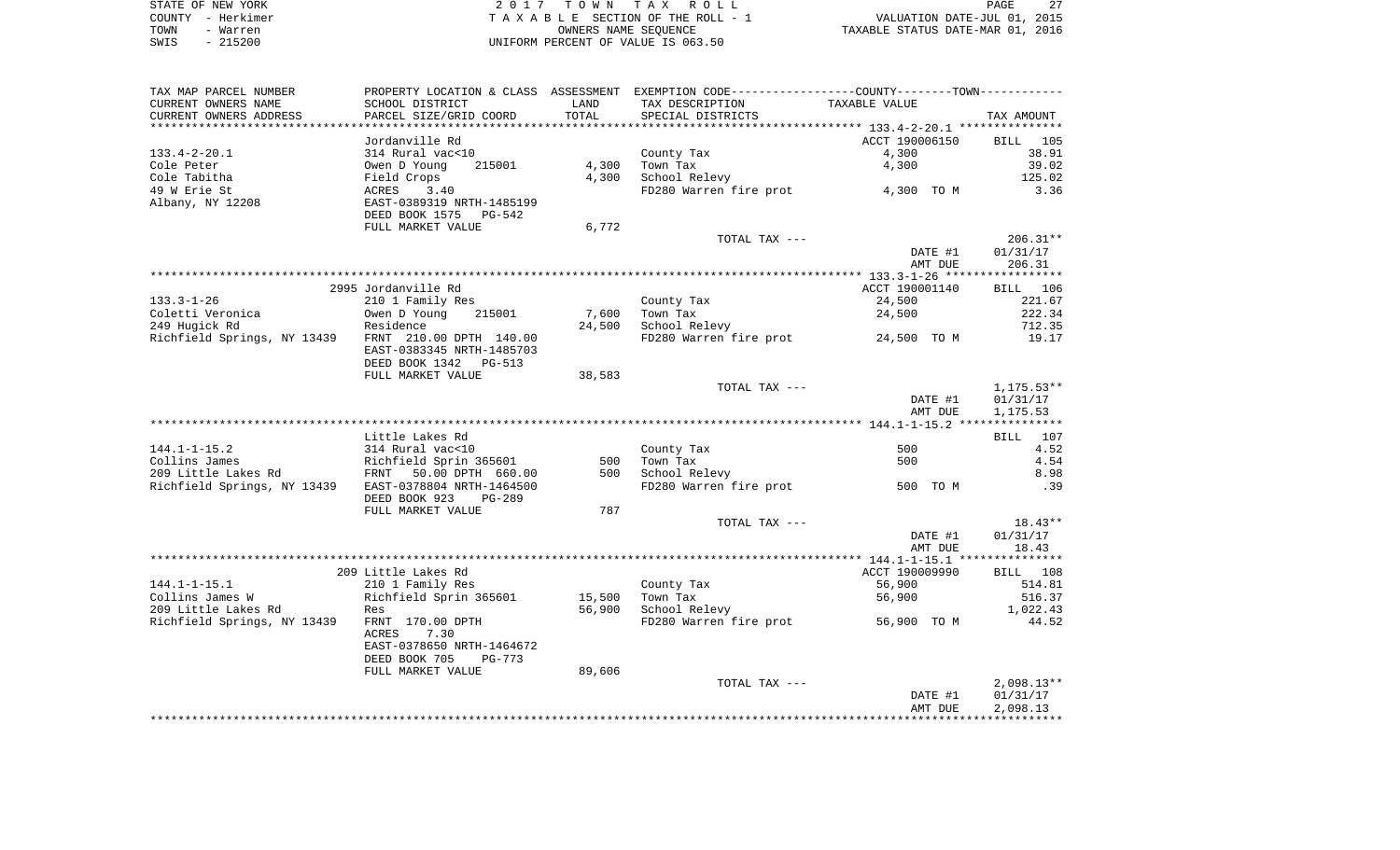|      | STATE OF NEW YORK | 2017 TOWN TAX ROLL                 | 27<br>PAGE                       |
|------|-------------------|------------------------------------|----------------------------------|
|      | COUNTY - Herkimer | TAXABLE SECTION OF THE ROLL - 1    | VALUATION DATE-JUL 01, 2015      |
| TOWN | - Warren          | OWNERS NAME SEOUENCE               | TAXABLE STATUS DATE-MAR 01, 2016 |
| SWIS | $-215200$         | UNIFORM PERCENT OF VALUE IS 063.50 |                                  |

| TAX MAP PARCEL NUMBER                                 | PROPERTY LOCATION & CLASS ASSESSMENT EXEMPTION CODE---------------COUNTY-------TOWN---------- |        |                        |                                   |                 |
|-------------------------------------------------------|-----------------------------------------------------------------------------------------------|--------|------------------------|-----------------------------------|-----------------|
| CURRENT OWNERS NAME                                   | SCHOOL DISTRICT                                                                               | LAND   | TAX DESCRIPTION        | TAXABLE VALUE                     |                 |
| CURRENT OWNERS ADDRESS                                | PARCEL SIZE/GRID COORD                                                                        | TOTAL  | SPECIAL DISTRICTS      |                                   | TAX AMOUNT      |
|                                                       |                                                                                               |        |                        |                                   |                 |
|                                                       | Jordanville Rd                                                                                |        |                        | ACCT 190006150                    | BILL 105        |
| $133.4 - 2 - 20.1$                                    | 314 Rural vac<10                                                                              |        | County Tax             | 4,300                             | 38.91           |
| Cole Peter                                            | Owen D Young<br>215001                                                                        | 4,300  | Town Tax               | 4,300                             | 39.02           |
| Cole Tabitha                                          | Field Crops                                                                                   | 4,300  | School Relevy          |                                   | 125.02          |
| 49 W Erie St                                          | ACRES<br>3.40                                                                                 |        |                        | FD280 Warren fire prot 4,300 TO M | 3.36            |
| Albany, NY 12208                                      | EAST-0389319 NRTH-1485199                                                                     |        |                        |                                   |                 |
|                                                       | DEED BOOK 1575<br>PG-542                                                                      |        |                        |                                   |                 |
|                                                       | FULL MARKET VALUE                                                                             | 6,772  |                        |                                   |                 |
|                                                       |                                                                                               |        | TOTAL TAX ---          |                                   | $206.31**$      |
|                                                       |                                                                                               |        |                        | DATE #1                           | 01/31/17        |
|                                                       |                                                                                               |        |                        | AMT DUE                           | 206.31          |
|                                                       |                                                                                               |        |                        |                                   |                 |
|                                                       | 2995 Jordanville Rd                                                                           |        |                        | ACCT 190001140                    | <b>BILL</b> 106 |
| $133.3 - 1 - 26$                                      | 210 1 Family Res                                                                              |        | County Tax             | 24,500                            | 221.67          |
| Coletti Veronica                                      | Owen D Young<br>215001                                                                        | 7,600  | Town Tax               | 24,500                            | 222.34          |
| 249 Hugick Rd                                         | Residence                                                                                     | 24,500 | School Relevy          | 24,500 TO M                       | 712.35<br>19.17 |
| Richfield Springs, NY 13439 FRNT 210.00 DPTH 140.00   | EAST-0383345 NRTH-1485703                                                                     |        | FD280 Warren fire prot |                                   |                 |
|                                                       | DEED BOOK 1342 PG-513                                                                         |        |                        |                                   |                 |
|                                                       | FULL MARKET VALUE                                                                             | 38,583 |                        |                                   |                 |
|                                                       |                                                                                               |        | TOTAL TAX ---          |                                   | $1,175.53**$    |
|                                                       |                                                                                               |        |                        | DATE #1                           | 01/31/17        |
|                                                       |                                                                                               |        |                        | AMT DUE                           | 1,175.53        |
|                                                       |                                                                                               |        |                        |                                   |                 |
|                                                       | Little Lakes Rd                                                                               |        |                        |                                   | BILL 107        |
| $144.1 - 1 - 15.2$                                    |                                                                                               |        | County Tax             | 500                               | 4.52            |
| Collins James                                         |                                                                                               | 500    | Town Tax               | 500                               | 4.54            |
| 209 Little Lakes Rd                                   | 314 Rural vac<10<br>Richfield Sprin 365601<br>FRNT 50.00 DPTH 660.00                          | 500    | School Relevy          |                                   | 8.98            |
| Richfield Springs, NY 13439 EAST-0378804 NRTH-1464500 |                                                                                               |        | FD280 Warren fire prot | 500 TO M                          | .39             |
|                                                       | DEED BOOK 923<br>$PG-289$                                                                     |        |                        |                                   |                 |
|                                                       | FULL MARKET VALUE                                                                             | 787    |                        |                                   |                 |
|                                                       |                                                                                               |        | TOTAL TAX ---          |                                   | $18.43**$       |
|                                                       |                                                                                               |        |                        | DATE #1                           | 01/31/17        |
|                                                       |                                                                                               |        |                        | AMT DUE                           | 18.43           |
|                                                       |                                                                                               |        |                        |                                   |                 |
|                                                       | 209 Little Lakes Rd                                                                           |        |                        | ACCT 190009990                    | BILL 108        |
| $144.1 - 1 - 15.1$                                    | 210 1 Family Res                                                                              |        | County Tax             | 56,900                            | 514.81          |
| Collins James W                                       | Richfield Sprin 365601                                                                        | 15,500 | Town Tax               | 56,900                            | 516.37          |
| 209 Little Lakes Rd                                   | Res                                                                                           | 56,900 | School Relevy          |                                   | 1,022.43        |
| Richfield Springs, NY 13439                           | FRNT 170.00 DPTH                                                                              |        | FD280 Warren fire prot | 56,900 TO M                       | 44.52           |
|                                                       | ACRES<br>7.30                                                                                 |        |                        |                                   |                 |
|                                                       | EAST-0378650 NRTH-1464672                                                                     |        |                        |                                   |                 |
|                                                       | DEED BOOK 705<br>$PG-773$                                                                     |        |                        |                                   |                 |
|                                                       | FULL MARKET VALUE                                                                             | 89,606 |                        |                                   |                 |
|                                                       |                                                                                               |        | TOTAL TAX ---          |                                   | $2,098.13**$    |
|                                                       |                                                                                               |        |                        | DATE #1                           | 01/31/17        |
|                                                       |                                                                                               |        |                        | AMT DUE                           | 2,098.13        |
|                                                       |                                                                                               |        |                        |                                   |                 |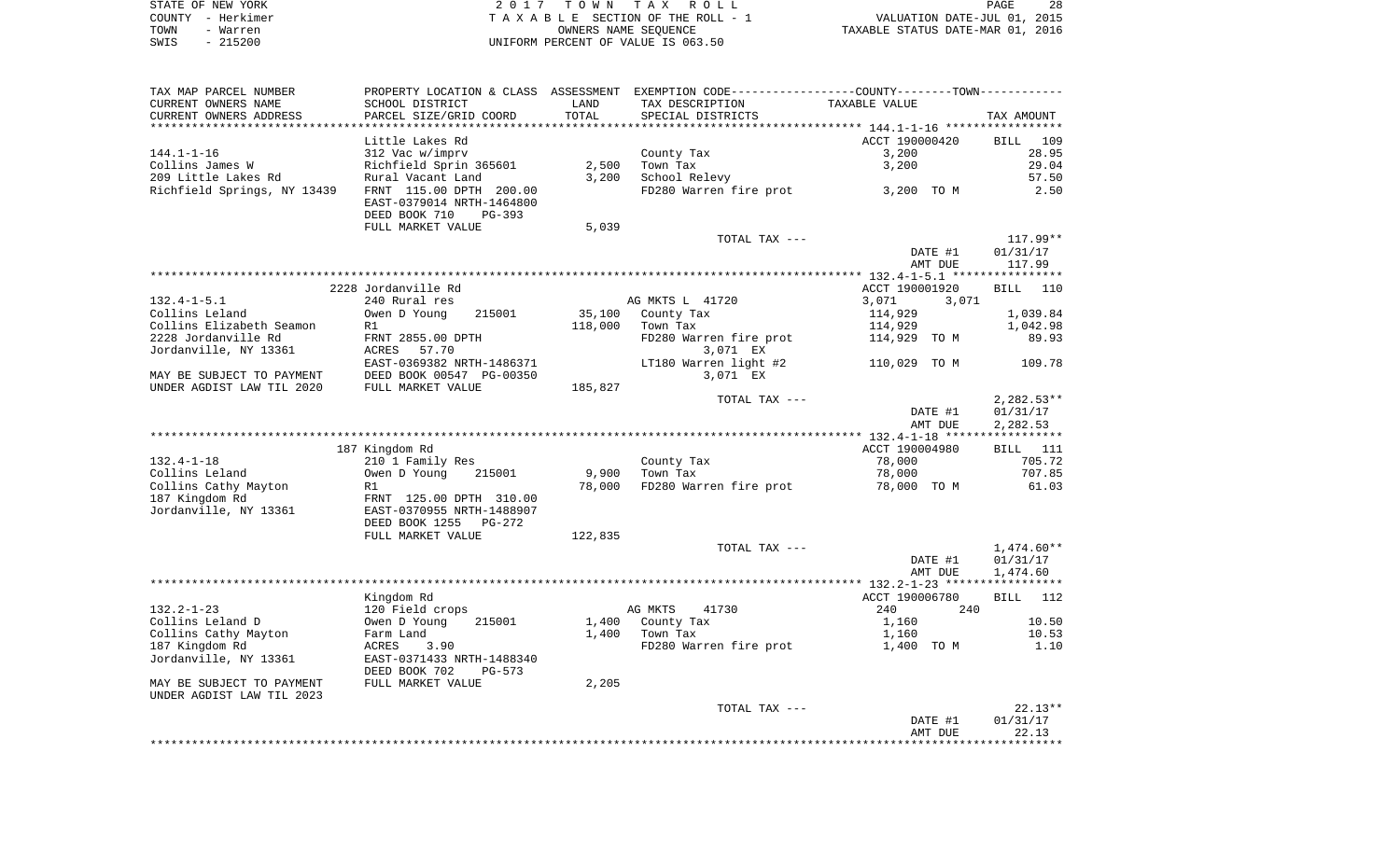| STATE OF NEW YORK | 2017 TOWN TAX ROLL                 | 28<br>PAGE                       |
|-------------------|------------------------------------|----------------------------------|
| COUNTY - Herkimer | TAXABLE SECTION OF THE ROLL - 1    | VALUATION DATE-JUL 01, 2015      |
| TOWN<br>- Warren  | OWNERS NAME SEOUENCE               | TAXABLE STATUS DATE-MAR 01, 2016 |
| $-215200$<br>SWIS | UNIFORM PERCENT OF VALUE IS 063.50 |                                  |

| ***********************<br>ACCT 190000420<br>Little Lakes Rd<br><b>BILL</b><br>109<br>312 Vac w/imprv<br>28.95<br>$144.1 - 1 - 16$<br>County Tax<br>3,200<br>29.04<br>Collins James W<br>Richfield Sprin 365601<br>2,500<br>Town Tax<br>3,200<br>3,200<br>209 Little Lakes Rd<br>Rural Vacant Land<br>School Relevy<br>57.50<br>Richfield Springs, NY 13439<br>FRNT 115.00 DPTH 200.00<br>FD280 Warren fire prot<br>2.50<br>3,200 TO M<br>EAST-0379014 NRTH-1464800<br>DEED BOOK 710<br>PG-393<br>FULL MARKET VALUE<br>5,039<br>TOTAL TAX ---<br>117.99**<br>DATE #1<br>01/31/17<br>117.99<br>AMT DUE<br>2228 Jordanville Rd<br>ACCT 190001920<br>BILL<br>110<br>240 Rural res<br>AG MKTS L 41720<br>3,071<br>3,071<br>Owen D Young<br>35,100<br>1,039.84<br>215001<br>County Tax<br>114,929<br>118,000<br>R1<br>Town Tax<br>114,929<br>1,042.98<br>FRNT 2855.00 DPTH<br>FD280 Warren fire prot<br>114,929 TO M<br>89.93<br>3,071 EX<br>ACRES<br>57.70<br>EAST-0369382 NRTH-1486371<br>LT180 Warren light #2<br>109.78<br>110,029 TO M<br>DEED BOOK 00547 PG-00350<br>3,071 EX<br>FULL MARKET VALUE<br>185,827<br>TOTAL TAX ---<br>$2,282.53**$<br>DATE #1<br>01/31/17<br>AMT DUE<br>2,282.53<br>ACCT 190004980<br>187 Kingdom Rd<br>- 111<br>BILL<br>78,000<br>705.72<br>210 1 Family Res<br>County Tax<br>Owen D Young<br>9,900<br>Town Tax<br>78,000<br>707.85<br>215001<br>78,000<br>FD280 Warren fire prot<br>61.03<br>R1<br>78,000 TO M<br>FRNT 125.00 DPTH 310.00<br>EAST-0370955 NRTH-1488907<br>DEED BOOK 1255<br>PG-272<br>122,835<br>FULL MARKET VALUE<br>$1,474.60**$<br>TOTAL TAX ---<br>DATE #1<br>01/31/17<br>AMT DUE<br>1,474.60<br>Kingdom Rd<br>ACCT 190006780<br>BILL<br>112<br>120 Field crops<br>AG MKTS<br>41730<br>240<br>240<br>10.50<br>Owen D Young<br>215001<br>1,400<br>County Tax<br>1,160<br>Farm Land<br>1,400<br>Town Tax<br>10.53<br>1,160<br>1.10<br>3.90<br>FD280 Warren fire prot<br>ACRES<br>1,400 TO M<br>EAST-0371433 NRTH-1488340<br>DEED BOOK 702<br>PG-573<br>FULL MARKET VALUE<br>2,205<br>$22.13**$<br>TOTAL TAX ---<br>01/31/17<br>DATE #1<br>22.13<br>AMT DUE | TAX MAP PARCEL NUMBER<br>CURRENT OWNERS NAME | PROPERTY LOCATION & CLASS<br>SCHOOL DISTRICT | ASSESSMENT<br>LAND | EXEMPTION CODE-----------------COUNTY-------TOWN-----------<br>TAX DESCRIPTION | TAXABLE VALUE |            |
|-------------------------------------------------------------------------------------------------------------------------------------------------------------------------------------------------------------------------------------------------------------------------------------------------------------------------------------------------------------------------------------------------------------------------------------------------------------------------------------------------------------------------------------------------------------------------------------------------------------------------------------------------------------------------------------------------------------------------------------------------------------------------------------------------------------------------------------------------------------------------------------------------------------------------------------------------------------------------------------------------------------------------------------------------------------------------------------------------------------------------------------------------------------------------------------------------------------------------------------------------------------------------------------------------------------------------------------------------------------------------------------------------------------------------------------------------------------------------------------------------------------------------------------------------------------------------------------------------------------------------------------------------------------------------------------------------------------------------------------------------------------------------------------------------------------------------------------------------------------------------------------------------------------------------------------------------------------------------------------------------------------------------------------------------------------------------------------------------------------|----------------------------------------------|----------------------------------------------|--------------------|--------------------------------------------------------------------------------|---------------|------------|
|                                                                                                                                                                                                                                                                                                                                                                                                                                                                                                                                                                                                                                                                                                                                                                                                                                                                                                                                                                                                                                                                                                                                                                                                                                                                                                                                                                                                                                                                                                                                                                                                                                                                                                                                                                                                                                                                                                                                                                                                                                                                                                             | CURRENT OWNERS ADDRESS                       | PARCEL SIZE/GRID COORD                       | TOTAL              | SPECIAL DISTRICTS                                                              |               | TAX AMOUNT |
|                                                                                                                                                                                                                                                                                                                                                                                                                                                                                                                                                                                                                                                                                                                                                                                                                                                                                                                                                                                                                                                                                                                                                                                                                                                                                                                                                                                                                                                                                                                                                                                                                                                                                                                                                                                                                                                                                                                                                                                                                                                                                                             |                                              |                                              |                    |                                                                                |               |            |
|                                                                                                                                                                                                                                                                                                                                                                                                                                                                                                                                                                                                                                                                                                                                                                                                                                                                                                                                                                                                                                                                                                                                                                                                                                                                                                                                                                                                                                                                                                                                                                                                                                                                                                                                                                                                                                                                                                                                                                                                                                                                                                             |                                              |                                              |                    |                                                                                |               |            |
|                                                                                                                                                                                                                                                                                                                                                                                                                                                                                                                                                                                                                                                                                                                                                                                                                                                                                                                                                                                                                                                                                                                                                                                                                                                                                                                                                                                                                                                                                                                                                                                                                                                                                                                                                                                                                                                                                                                                                                                                                                                                                                             |                                              |                                              |                    |                                                                                |               |            |
|                                                                                                                                                                                                                                                                                                                                                                                                                                                                                                                                                                                                                                                                                                                                                                                                                                                                                                                                                                                                                                                                                                                                                                                                                                                                                                                                                                                                                                                                                                                                                                                                                                                                                                                                                                                                                                                                                                                                                                                                                                                                                                             |                                              |                                              |                    |                                                                                |               |            |
|                                                                                                                                                                                                                                                                                                                                                                                                                                                                                                                                                                                                                                                                                                                                                                                                                                                                                                                                                                                                                                                                                                                                                                                                                                                                                                                                                                                                                                                                                                                                                                                                                                                                                                                                                                                                                                                                                                                                                                                                                                                                                                             |                                              |                                              |                    |                                                                                |               |            |
|                                                                                                                                                                                                                                                                                                                                                                                                                                                                                                                                                                                                                                                                                                                                                                                                                                                                                                                                                                                                                                                                                                                                                                                                                                                                                                                                                                                                                                                                                                                                                                                                                                                                                                                                                                                                                                                                                                                                                                                                                                                                                                             |                                              |                                              |                    |                                                                                |               |            |
|                                                                                                                                                                                                                                                                                                                                                                                                                                                                                                                                                                                                                                                                                                                                                                                                                                                                                                                                                                                                                                                                                                                                                                                                                                                                                                                                                                                                                                                                                                                                                                                                                                                                                                                                                                                                                                                                                                                                                                                                                                                                                                             |                                              |                                              |                    |                                                                                |               |            |
|                                                                                                                                                                                                                                                                                                                                                                                                                                                                                                                                                                                                                                                                                                                                                                                                                                                                                                                                                                                                                                                                                                                                                                                                                                                                                                                                                                                                                                                                                                                                                                                                                                                                                                                                                                                                                                                                                                                                                                                                                                                                                                             |                                              |                                              |                    |                                                                                |               |            |
|                                                                                                                                                                                                                                                                                                                                                                                                                                                                                                                                                                                                                                                                                                                                                                                                                                                                                                                                                                                                                                                                                                                                                                                                                                                                                                                                                                                                                                                                                                                                                                                                                                                                                                                                                                                                                                                                                                                                                                                                                                                                                                             |                                              |                                              |                    |                                                                                |               |            |
|                                                                                                                                                                                                                                                                                                                                                                                                                                                                                                                                                                                                                                                                                                                                                                                                                                                                                                                                                                                                                                                                                                                                                                                                                                                                                                                                                                                                                                                                                                                                                                                                                                                                                                                                                                                                                                                                                                                                                                                                                                                                                                             |                                              |                                              |                    |                                                                                |               |            |
|                                                                                                                                                                                                                                                                                                                                                                                                                                                                                                                                                                                                                                                                                                                                                                                                                                                                                                                                                                                                                                                                                                                                                                                                                                                                                                                                                                                                                                                                                                                                                                                                                                                                                                                                                                                                                                                                                                                                                                                                                                                                                                             |                                              |                                              |                    |                                                                                |               |            |
|                                                                                                                                                                                                                                                                                                                                                                                                                                                                                                                                                                                                                                                                                                                                                                                                                                                                                                                                                                                                                                                                                                                                                                                                                                                                                                                                                                                                                                                                                                                                                                                                                                                                                                                                                                                                                                                                                                                                                                                                                                                                                                             |                                              |                                              |                    |                                                                                |               |            |
|                                                                                                                                                                                                                                                                                                                                                                                                                                                                                                                                                                                                                                                                                                                                                                                                                                                                                                                                                                                                                                                                                                                                                                                                                                                                                                                                                                                                                                                                                                                                                                                                                                                                                                                                                                                                                                                                                                                                                                                                                                                                                                             |                                              |                                              |                    |                                                                                |               |            |
|                                                                                                                                                                                                                                                                                                                                                                                                                                                                                                                                                                                                                                                                                                                                                                                                                                                                                                                                                                                                                                                                                                                                                                                                                                                                                                                                                                                                                                                                                                                                                                                                                                                                                                                                                                                                                                                                                                                                                                                                                                                                                                             | $132.4 - 1 - 5.1$                            |                                              |                    |                                                                                |               |            |
|                                                                                                                                                                                                                                                                                                                                                                                                                                                                                                                                                                                                                                                                                                                                                                                                                                                                                                                                                                                                                                                                                                                                                                                                                                                                                                                                                                                                                                                                                                                                                                                                                                                                                                                                                                                                                                                                                                                                                                                                                                                                                                             | Collins Leland                               |                                              |                    |                                                                                |               |            |
|                                                                                                                                                                                                                                                                                                                                                                                                                                                                                                                                                                                                                                                                                                                                                                                                                                                                                                                                                                                                                                                                                                                                                                                                                                                                                                                                                                                                                                                                                                                                                                                                                                                                                                                                                                                                                                                                                                                                                                                                                                                                                                             | Collins Elizabeth Seamon                     |                                              |                    |                                                                                |               |            |
|                                                                                                                                                                                                                                                                                                                                                                                                                                                                                                                                                                                                                                                                                                                                                                                                                                                                                                                                                                                                                                                                                                                                                                                                                                                                                                                                                                                                                                                                                                                                                                                                                                                                                                                                                                                                                                                                                                                                                                                                                                                                                                             | 2228 Jordanville Rd                          |                                              |                    |                                                                                |               |            |
|                                                                                                                                                                                                                                                                                                                                                                                                                                                                                                                                                                                                                                                                                                                                                                                                                                                                                                                                                                                                                                                                                                                                                                                                                                                                                                                                                                                                                                                                                                                                                                                                                                                                                                                                                                                                                                                                                                                                                                                                                                                                                                             | Jordanville, NY 13361                        |                                              |                    |                                                                                |               |            |
|                                                                                                                                                                                                                                                                                                                                                                                                                                                                                                                                                                                                                                                                                                                                                                                                                                                                                                                                                                                                                                                                                                                                                                                                                                                                                                                                                                                                                                                                                                                                                                                                                                                                                                                                                                                                                                                                                                                                                                                                                                                                                                             |                                              |                                              |                    |                                                                                |               |            |
|                                                                                                                                                                                                                                                                                                                                                                                                                                                                                                                                                                                                                                                                                                                                                                                                                                                                                                                                                                                                                                                                                                                                                                                                                                                                                                                                                                                                                                                                                                                                                                                                                                                                                                                                                                                                                                                                                                                                                                                                                                                                                                             | MAY BE SUBJECT TO PAYMENT                    |                                              |                    |                                                                                |               |            |
|                                                                                                                                                                                                                                                                                                                                                                                                                                                                                                                                                                                                                                                                                                                                                                                                                                                                                                                                                                                                                                                                                                                                                                                                                                                                                                                                                                                                                                                                                                                                                                                                                                                                                                                                                                                                                                                                                                                                                                                                                                                                                                             | UNDER AGDIST LAW TIL 2020                    |                                              |                    |                                                                                |               |            |
|                                                                                                                                                                                                                                                                                                                                                                                                                                                                                                                                                                                                                                                                                                                                                                                                                                                                                                                                                                                                                                                                                                                                                                                                                                                                                                                                                                                                                                                                                                                                                                                                                                                                                                                                                                                                                                                                                                                                                                                                                                                                                                             |                                              |                                              |                    |                                                                                |               |            |
|                                                                                                                                                                                                                                                                                                                                                                                                                                                                                                                                                                                                                                                                                                                                                                                                                                                                                                                                                                                                                                                                                                                                                                                                                                                                                                                                                                                                                                                                                                                                                                                                                                                                                                                                                                                                                                                                                                                                                                                                                                                                                                             |                                              |                                              |                    |                                                                                |               |            |
|                                                                                                                                                                                                                                                                                                                                                                                                                                                                                                                                                                                                                                                                                                                                                                                                                                                                                                                                                                                                                                                                                                                                                                                                                                                                                                                                                                                                                                                                                                                                                                                                                                                                                                                                                                                                                                                                                                                                                                                                                                                                                                             |                                              |                                              |                    |                                                                                |               |            |
|                                                                                                                                                                                                                                                                                                                                                                                                                                                                                                                                                                                                                                                                                                                                                                                                                                                                                                                                                                                                                                                                                                                                                                                                                                                                                                                                                                                                                                                                                                                                                                                                                                                                                                                                                                                                                                                                                                                                                                                                                                                                                                             |                                              |                                              |                    |                                                                                |               |            |
|                                                                                                                                                                                                                                                                                                                                                                                                                                                                                                                                                                                                                                                                                                                                                                                                                                                                                                                                                                                                                                                                                                                                                                                                                                                                                                                                                                                                                                                                                                                                                                                                                                                                                                                                                                                                                                                                                                                                                                                                                                                                                                             |                                              |                                              |                    |                                                                                |               |            |
|                                                                                                                                                                                                                                                                                                                                                                                                                                                                                                                                                                                                                                                                                                                                                                                                                                                                                                                                                                                                                                                                                                                                                                                                                                                                                                                                                                                                                                                                                                                                                                                                                                                                                                                                                                                                                                                                                                                                                                                                                                                                                                             | $132.4 - 1 - 18$                             |                                              |                    |                                                                                |               |            |
|                                                                                                                                                                                                                                                                                                                                                                                                                                                                                                                                                                                                                                                                                                                                                                                                                                                                                                                                                                                                                                                                                                                                                                                                                                                                                                                                                                                                                                                                                                                                                                                                                                                                                                                                                                                                                                                                                                                                                                                                                                                                                                             | Collins Leland                               |                                              |                    |                                                                                |               |            |
|                                                                                                                                                                                                                                                                                                                                                                                                                                                                                                                                                                                                                                                                                                                                                                                                                                                                                                                                                                                                                                                                                                                                                                                                                                                                                                                                                                                                                                                                                                                                                                                                                                                                                                                                                                                                                                                                                                                                                                                                                                                                                                             | Collins Cathy Mayton                         |                                              |                    |                                                                                |               |            |
|                                                                                                                                                                                                                                                                                                                                                                                                                                                                                                                                                                                                                                                                                                                                                                                                                                                                                                                                                                                                                                                                                                                                                                                                                                                                                                                                                                                                                                                                                                                                                                                                                                                                                                                                                                                                                                                                                                                                                                                                                                                                                                             | 187 Kingdom Rd                               |                                              |                    |                                                                                |               |            |
|                                                                                                                                                                                                                                                                                                                                                                                                                                                                                                                                                                                                                                                                                                                                                                                                                                                                                                                                                                                                                                                                                                                                                                                                                                                                                                                                                                                                                                                                                                                                                                                                                                                                                                                                                                                                                                                                                                                                                                                                                                                                                                             | Jordanville, NY 13361                        |                                              |                    |                                                                                |               |            |
|                                                                                                                                                                                                                                                                                                                                                                                                                                                                                                                                                                                                                                                                                                                                                                                                                                                                                                                                                                                                                                                                                                                                                                                                                                                                                                                                                                                                                                                                                                                                                                                                                                                                                                                                                                                                                                                                                                                                                                                                                                                                                                             |                                              |                                              |                    |                                                                                |               |            |
|                                                                                                                                                                                                                                                                                                                                                                                                                                                                                                                                                                                                                                                                                                                                                                                                                                                                                                                                                                                                                                                                                                                                                                                                                                                                                                                                                                                                                                                                                                                                                                                                                                                                                                                                                                                                                                                                                                                                                                                                                                                                                                             |                                              |                                              |                    |                                                                                |               |            |
|                                                                                                                                                                                                                                                                                                                                                                                                                                                                                                                                                                                                                                                                                                                                                                                                                                                                                                                                                                                                                                                                                                                                                                                                                                                                                                                                                                                                                                                                                                                                                                                                                                                                                                                                                                                                                                                                                                                                                                                                                                                                                                             |                                              |                                              |                    |                                                                                |               |            |
|                                                                                                                                                                                                                                                                                                                                                                                                                                                                                                                                                                                                                                                                                                                                                                                                                                                                                                                                                                                                                                                                                                                                                                                                                                                                                                                                                                                                                                                                                                                                                                                                                                                                                                                                                                                                                                                                                                                                                                                                                                                                                                             |                                              |                                              |                    |                                                                                |               |            |
|                                                                                                                                                                                                                                                                                                                                                                                                                                                                                                                                                                                                                                                                                                                                                                                                                                                                                                                                                                                                                                                                                                                                                                                                                                                                                                                                                                                                                                                                                                                                                                                                                                                                                                                                                                                                                                                                                                                                                                                                                                                                                                             |                                              |                                              |                    |                                                                                |               |            |
|                                                                                                                                                                                                                                                                                                                                                                                                                                                                                                                                                                                                                                                                                                                                                                                                                                                                                                                                                                                                                                                                                                                                                                                                                                                                                                                                                                                                                                                                                                                                                                                                                                                                                                                                                                                                                                                                                                                                                                                                                                                                                                             |                                              |                                              |                    |                                                                                |               |            |
|                                                                                                                                                                                                                                                                                                                                                                                                                                                                                                                                                                                                                                                                                                                                                                                                                                                                                                                                                                                                                                                                                                                                                                                                                                                                                                                                                                                                                                                                                                                                                                                                                                                                                                                                                                                                                                                                                                                                                                                                                                                                                                             |                                              |                                              |                    |                                                                                |               |            |
|                                                                                                                                                                                                                                                                                                                                                                                                                                                                                                                                                                                                                                                                                                                                                                                                                                                                                                                                                                                                                                                                                                                                                                                                                                                                                                                                                                                                                                                                                                                                                                                                                                                                                                                                                                                                                                                                                                                                                                                                                                                                                                             | $132.2 - 1 - 23$                             |                                              |                    |                                                                                |               |            |
|                                                                                                                                                                                                                                                                                                                                                                                                                                                                                                                                                                                                                                                                                                                                                                                                                                                                                                                                                                                                                                                                                                                                                                                                                                                                                                                                                                                                                                                                                                                                                                                                                                                                                                                                                                                                                                                                                                                                                                                                                                                                                                             | Collins Leland D                             |                                              |                    |                                                                                |               |            |
|                                                                                                                                                                                                                                                                                                                                                                                                                                                                                                                                                                                                                                                                                                                                                                                                                                                                                                                                                                                                                                                                                                                                                                                                                                                                                                                                                                                                                                                                                                                                                                                                                                                                                                                                                                                                                                                                                                                                                                                                                                                                                                             | Collins Cathy Mayton                         |                                              |                    |                                                                                |               |            |
|                                                                                                                                                                                                                                                                                                                                                                                                                                                                                                                                                                                                                                                                                                                                                                                                                                                                                                                                                                                                                                                                                                                                                                                                                                                                                                                                                                                                                                                                                                                                                                                                                                                                                                                                                                                                                                                                                                                                                                                                                                                                                                             | 187 Kingdom Rd                               |                                              |                    |                                                                                |               |            |
|                                                                                                                                                                                                                                                                                                                                                                                                                                                                                                                                                                                                                                                                                                                                                                                                                                                                                                                                                                                                                                                                                                                                                                                                                                                                                                                                                                                                                                                                                                                                                                                                                                                                                                                                                                                                                                                                                                                                                                                                                                                                                                             | Jordanville, NY 13361                        |                                              |                    |                                                                                |               |            |
|                                                                                                                                                                                                                                                                                                                                                                                                                                                                                                                                                                                                                                                                                                                                                                                                                                                                                                                                                                                                                                                                                                                                                                                                                                                                                                                                                                                                                                                                                                                                                                                                                                                                                                                                                                                                                                                                                                                                                                                                                                                                                                             |                                              |                                              |                    |                                                                                |               |            |
|                                                                                                                                                                                                                                                                                                                                                                                                                                                                                                                                                                                                                                                                                                                                                                                                                                                                                                                                                                                                                                                                                                                                                                                                                                                                                                                                                                                                                                                                                                                                                                                                                                                                                                                                                                                                                                                                                                                                                                                                                                                                                                             | MAY BE SUBJECT TO PAYMENT                    |                                              |                    |                                                                                |               |            |
|                                                                                                                                                                                                                                                                                                                                                                                                                                                                                                                                                                                                                                                                                                                                                                                                                                                                                                                                                                                                                                                                                                                                                                                                                                                                                                                                                                                                                                                                                                                                                                                                                                                                                                                                                                                                                                                                                                                                                                                                                                                                                                             | UNDER AGDIST LAW TIL 2023                    |                                              |                    |                                                                                |               |            |
|                                                                                                                                                                                                                                                                                                                                                                                                                                                                                                                                                                                                                                                                                                                                                                                                                                                                                                                                                                                                                                                                                                                                                                                                                                                                                                                                                                                                                                                                                                                                                                                                                                                                                                                                                                                                                                                                                                                                                                                                                                                                                                             |                                              |                                              |                    |                                                                                |               |            |
|                                                                                                                                                                                                                                                                                                                                                                                                                                                                                                                                                                                                                                                                                                                                                                                                                                                                                                                                                                                                                                                                                                                                                                                                                                                                                                                                                                                                                                                                                                                                                                                                                                                                                                                                                                                                                                                                                                                                                                                                                                                                                                             |                                              |                                              |                    |                                                                                |               |            |
|                                                                                                                                                                                                                                                                                                                                                                                                                                                                                                                                                                                                                                                                                                                                                                                                                                                                                                                                                                                                                                                                                                                                                                                                                                                                                                                                                                                                                                                                                                                                                                                                                                                                                                                                                                                                                                                                                                                                                                                                                                                                                                             |                                              |                                              |                    |                                                                                |               |            |
|                                                                                                                                                                                                                                                                                                                                                                                                                                                                                                                                                                                                                                                                                                                                                                                                                                                                                                                                                                                                                                                                                                                                                                                                                                                                                                                                                                                                                                                                                                                                                                                                                                                                                                                                                                                                                                                                                                                                                                                                                                                                                                             |                                              |                                              |                    |                                                                                |               |            |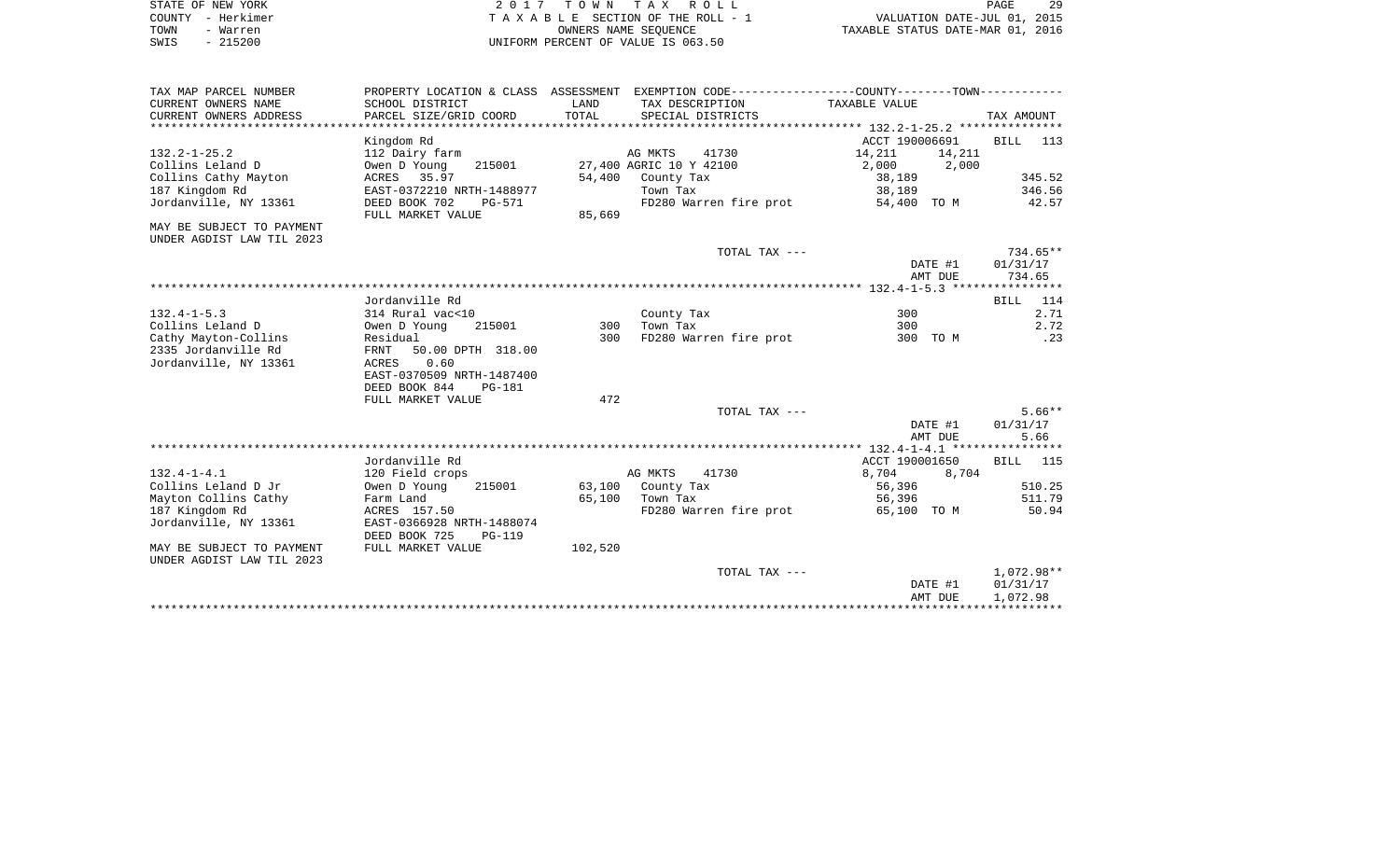|      | STATE OF NEW YORK | 2017 TOWN TAX ROLL                 | 29<br>PAGE                       |
|------|-------------------|------------------------------------|----------------------------------|
|      | COUNTY - Herkimer | TAXABLE SECTION OF THE ROLL - 1    | VALUATION DATE-JUL 01, 2015      |
| TOWN | - Warren          | OWNERS NAME SEOUENCE               | TAXABLE STATUS DATE-MAR 01, 2016 |
| SWIS | $-215200$         | UNIFORM PERCENT OF VALUE IS 063.50 |                                  |

| TAX MAP PARCEL NUMBER     |                                |         | PROPERTY LOCATION & CLASS ASSESSMENT EXEMPTION CODE---------------COUNTY--------TOWN---------- |                  |             |
|---------------------------|--------------------------------|---------|------------------------------------------------------------------------------------------------|------------------|-------------|
| CURRENT OWNERS NAME       | SCHOOL DISTRICT                | LAND    | TAX DESCRIPTION                                                                                | TAXABLE VALUE    |             |
| CURRENT OWNERS ADDRESS    | PARCEL SIZE/GRID COORD         | TOTAL   | SPECIAL DISTRICTS                                                                              |                  | TAX AMOUNT  |
|                           |                                |         |                                                                                                |                  |             |
|                           | Kingdom Rd                     |         |                                                                                                | ACCT 190006691   | BILL 113    |
| $132.2 - 1 - 25.2$        | 112 Dairy farm                 |         | AG MKTS<br>41730                                                                               | 14,211<br>14,211 |             |
| Collins Leland D          | Owen D Young<br>215001         |         | 27,400 AGRIC 10 Y 42100                                                                        | 2,000<br>2,000   |             |
| Collins Cathy Mayton      | ACRES 35.97                    | 54,400  | County Tax                                                                                     | 38,189           | 345.52      |
| 187 Kingdom Rd            | EAST-0372210 NRTH-1488977      |         | Town Tax                                                                                       | 38,189           | 346.56      |
| Jordanville, NY 13361     | DEED BOOK 702<br><b>PG-571</b> |         | FD280 Warren fire prot                                                                         | 54,400 TO M      | 42.57       |
|                           | FULL MARKET VALUE              | 85,669  |                                                                                                |                  |             |
| MAY BE SUBJECT TO PAYMENT |                                |         |                                                                                                |                  |             |
| UNDER AGDIST LAW TIL 2023 |                                |         |                                                                                                |                  |             |
|                           |                                |         | TOTAL TAX ---                                                                                  |                  | 734.65**    |
|                           |                                |         |                                                                                                | DATE #1          | 01/31/17    |
|                           |                                |         |                                                                                                | AMT DUE          | 734.65      |
|                           |                                |         |                                                                                                |                  |             |
|                           | Jordanville Rd                 |         |                                                                                                |                  | 114<br>BILL |
| $132.4 - 1 - 5.3$         | 314 Rural vac<10               |         | County Tax                                                                                     | 300              | 2.71        |
| Collins Leland D          | Owen D Young<br>215001         | 300     | Town Tax                                                                                       | 300              | 2.72        |
| Cathy Mayton-Collins      | Residual                       | 300     | FD280 Warren fire prot                                                                         | 300 TO M         | .23         |
| 2335 Jordanville Rd       | FRNT<br>50.00 DPTH 318.00      |         |                                                                                                |                  |             |
| Jordanville, NY 13361     | 0.60<br>ACRES                  |         |                                                                                                |                  |             |
|                           | EAST-0370509 NRTH-1487400      |         |                                                                                                |                  |             |
|                           | DEED BOOK 844<br><b>PG-181</b> |         |                                                                                                |                  |             |
|                           | FULL MARKET VALUE              | 472     |                                                                                                |                  |             |
|                           |                                |         | TOTAL TAX ---                                                                                  |                  | $5.66**$    |
|                           |                                |         |                                                                                                | DATE #1          | 01/31/17    |
|                           |                                |         |                                                                                                | AMT DUE          | 5.66        |
|                           |                                |         |                                                                                                |                  |             |
|                           | Jordanville Rd                 |         |                                                                                                | ACCT 190001650   | BILL 115    |
| $132.4 - 1 - 4.1$         | 120 Field crops                |         | AG MKTS<br>41730                                                                               | 8,704<br>8,704   |             |
| Collins Leland D Jr       | Owen D Young<br>215001         | 63,100  | County Tax                                                                                     | 56,396           | 510.25      |
| Mayton Collins Cathy      | Farm Land                      |         | 65,100 Town Tax                                                                                | 56,396           | 511.79      |
| 187 Kingdom Rd            | ACRES 157.50                   |         | FD280 Warren fire prot                                                                         | 65,100 TO M      | 50.94       |
| Jordanville, NY 13361     | EAST-0366928 NRTH-1488074      |         |                                                                                                |                  |             |
|                           | DEED BOOK 725<br><b>PG-119</b> |         |                                                                                                |                  |             |
| MAY BE SUBJECT TO PAYMENT | FULL MARKET VALUE              | 102,520 |                                                                                                |                  |             |
| UNDER AGDIST LAW TIL 2023 |                                |         |                                                                                                |                  |             |
|                           |                                |         | TOTAL TAX ---                                                                                  |                  | 1,072.98**  |
|                           |                                |         |                                                                                                | DATE #1          | 01/31/17    |
|                           |                                |         |                                                                                                | AMT DUE          | 1,072.98    |
|                           |                                |         |                                                                                                |                  |             |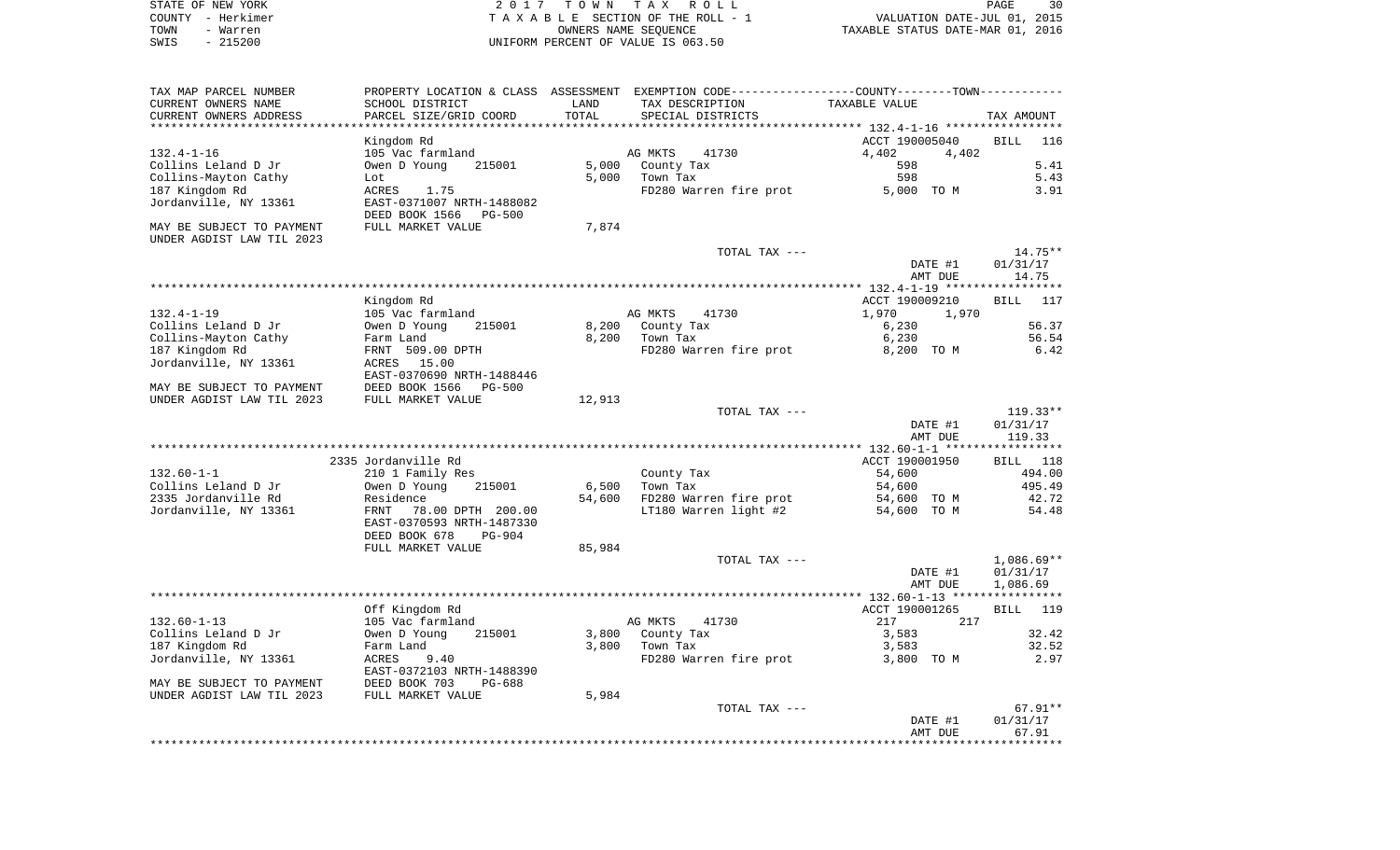| STATE OF NEW YORK | 2017 TOWN TAX ROLL                 | 30<br>PAGE                       |
|-------------------|------------------------------------|----------------------------------|
| COUNTY - Herkimer | TAXABLE SECTION OF THE ROLL - 1    | VALUATION DATE-JUL 01, 2015      |
| TOWN<br>- Warren  | OWNERS NAME SEOUENCE               | TAXABLE STATUS DATE-MAR 01, 2016 |
| $-215200$<br>SWIS | UNIFORM PERCENT OF VALUE IS 063.50 |                                  |

| TAX MAP PARCEL NUMBER<br>CURRENT OWNERS NAME<br>CURRENT OWNERS ADDRESS | PROPERTY LOCATION & CLASS ASSESSMENT<br>SCHOOL DISTRICT<br>PARCEL SIZE/GRID COORD | LAND<br>TOTAL  | EXEMPTION CODE-----------------COUNTY-------TOWN-----------<br>TAX DESCRIPTION<br>SPECIAL DISTRICTS | TAXABLE VALUE                                 |                    |
|------------------------------------------------------------------------|-----------------------------------------------------------------------------------|----------------|-----------------------------------------------------------------------------------------------------|-----------------------------------------------|--------------------|
|                                                                        |                                                                                   |                |                                                                                                     |                                               | TAX AMOUNT         |
|                                                                        | Kingdom Rd                                                                        |                |                                                                                                     | ACCT 190005040                                | <b>BILL</b><br>116 |
| $132.4 - 1 - 16$                                                       | 105 Vac farmland                                                                  |                | AG MKTS<br>41730                                                                                    | 4,402<br>4,402                                |                    |
| Collins Leland D Jr                                                    | Owen D Young<br>215001                                                            | 5,000          | County Tax                                                                                          | 598                                           | 5.41               |
| Collins-Mayton Cathy                                                   | Lot                                                                               | 5,000          | Town Tax                                                                                            | 598                                           | 5.43               |
| 187 Kingdom Rd                                                         | <b>ACRES</b><br>1.75                                                              |                | FD280 Warren fire prot                                                                              | 5,000 TO M                                    | 3.91               |
| Jordanville, NY 13361                                                  | EAST-0371007 NRTH-1488082<br>DEED BOOK 1566<br><b>PG-500</b>                      |                |                                                                                                     |                                               |                    |
| MAY BE SUBJECT TO PAYMENT<br>UNDER AGDIST LAW TIL 2023                 | FULL MARKET VALUE                                                                 | 7,874          |                                                                                                     |                                               |                    |
|                                                                        |                                                                                   |                | TOTAL TAX ---                                                                                       |                                               | 14.75**            |
|                                                                        |                                                                                   |                |                                                                                                     | DATE #1                                       | 01/31/17           |
|                                                                        |                                                                                   |                |                                                                                                     | AMT DUE                                       | 14.75              |
|                                                                        |                                                                                   |                |                                                                                                     |                                               |                    |
|                                                                        | Kingdom Rd                                                                        |                |                                                                                                     | ACCT 190009210                                | 117<br><b>BILL</b> |
| $132.4 - 1 - 19$                                                       | 105 Vac farmland                                                                  |                | AG MKTS<br>41730                                                                                    | 1,970<br>1,970                                |                    |
| Collins Leland D Jr                                                    | Owen D Young<br>215001                                                            | 8,200          | County Tax                                                                                          | 6,230                                         | 56.37              |
| Collins-Mayton Cathy                                                   | Farm Land                                                                         | 8,200          | Town Tax                                                                                            | 6,230                                         | 56.54              |
| 187 Kingdom Rd                                                         | FRNT 509.00 DPTH                                                                  |                | FD280 Warren fire prot                                                                              | 8,200 TO M                                    | 6.42               |
| Jordanville, NY 13361                                                  | ACRES<br>15.00                                                                    |                |                                                                                                     |                                               |                    |
|                                                                        | EAST-0370690 NRTH-1488446                                                         |                |                                                                                                     |                                               |                    |
| MAY BE SUBJECT TO PAYMENT                                              | DEED BOOK 1566<br>$PG - 500$                                                      |                |                                                                                                     |                                               |                    |
| UNDER AGDIST LAW TIL 2023                                              | FULL MARKET VALUE                                                                 | 12,913         |                                                                                                     |                                               |                    |
|                                                                        |                                                                                   |                | TOTAL TAX ---                                                                                       |                                               | $119.33**$         |
|                                                                        |                                                                                   |                |                                                                                                     | DATE #1<br>AMT DUE                            | 01/31/17<br>119.33 |
|                                                                        |                                                                                   |                |                                                                                                     | *************** 132.60-1-1 ****************** |                    |
|                                                                        | 2335 Jordanville Rd                                                               |                |                                                                                                     | ACCT 190001950                                | 118<br>BILL        |
| $132.60 - 1 - 1$                                                       | 210 1 Family Res                                                                  |                | County Tax                                                                                          | 54,600                                        | 494.00             |
| Collins Leland D Jr                                                    | Owen D Young<br>215001                                                            | 6,500          | Town Tax                                                                                            | 54,600                                        | 495.49             |
| 2335 Jordanville Rd                                                    | Residence                                                                         | 54,600         | FD280 Warren fire prot                                                                              | 54,600 TO M                                   | 42.72              |
| Jordanville, NY 13361                                                  | <b>FRNT</b><br>78.00 DPTH 200.00<br>EAST-0370593 NRTH-1487330                     |                | LT180 Warren light #2                                                                               | 54,600 TO M                                   | 54.48              |
|                                                                        | DEED BOOK 678<br>$PG-904$                                                         |                |                                                                                                     |                                               |                    |
|                                                                        | FULL MARKET VALUE                                                                 | 85,984         |                                                                                                     |                                               |                    |
|                                                                        |                                                                                   |                | TOTAL TAX ---                                                                                       |                                               | $1,086.69**$       |
|                                                                        |                                                                                   |                |                                                                                                     | DATE #1                                       | 01/31/17           |
|                                                                        |                                                                                   |                |                                                                                                     | AMT DUE                                       | 1,086.69           |
|                                                                        |                                                                                   |                |                                                                                                     |                                               |                    |
|                                                                        | Off Kingdom Rd                                                                    |                |                                                                                                     | ACCT 190001265                                | 119<br><b>BILL</b> |
| $132.60 - 1 - 13$                                                      | 105 Vac farmland                                                                  |                | AG MKTS<br>41730                                                                                    | 217<br>217                                    |                    |
| Collins Leland D Jr<br>187 Kingdom Rd                                  | Owen D Young<br>215001<br>Farm Land                                               | 3,800<br>3,800 | County Tax<br>Town Tax                                                                              | 3,583                                         | 32.42<br>32.52     |
| Jordanville, NY 13361                                                  | 9.40<br>ACRES                                                                     |                | FD280 Warren fire prot                                                                              | 3,583<br>3,800 TO M                           | 2.97               |
|                                                                        | EAST-0372103 NRTH-1488390                                                         |                |                                                                                                     |                                               |                    |
| MAY BE SUBJECT TO PAYMENT                                              | DEED BOOK 703<br>PG-688                                                           |                |                                                                                                     |                                               |                    |
| UNDER AGDIST LAW TIL 2023                                              | FULL MARKET VALUE                                                                 | 5,984          | TOTAL TAX ---                                                                                       |                                               | $67.91**$          |
|                                                                        |                                                                                   |                |                                                                                                     | DATE #1                                       | 01/31/17           |
|                                                                        |                                                                                   |                |                                                                                                     | AMT DUE                                       | 67.91              |
|                                                                        |                                                                                   |                |                                                                                                     |                                               |                    |
|                                                                        |                                                                                   |                |                                                                                                     |                                               |                    |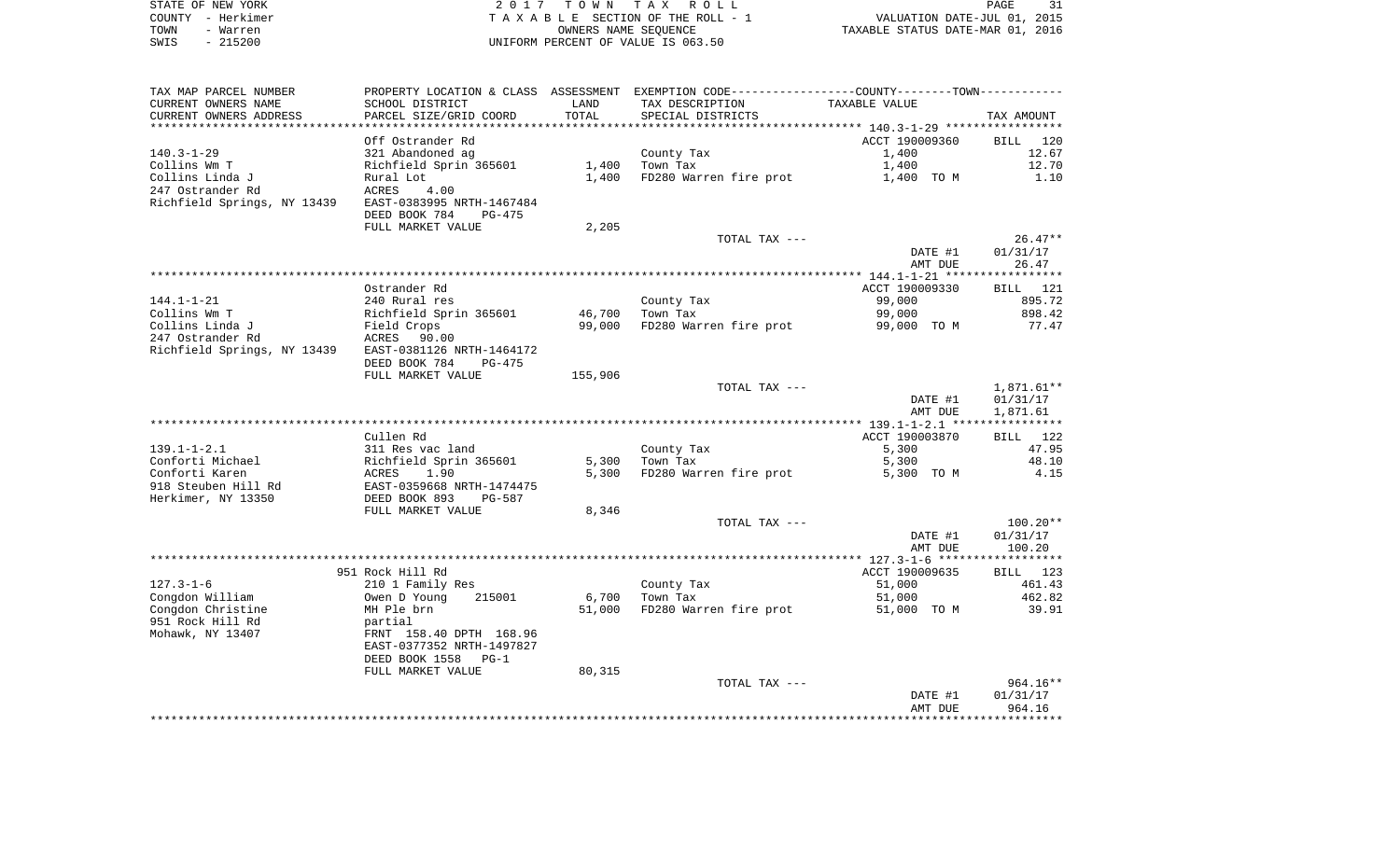| STATE OF NEW YORK | 2017 TOWN TAX ROLL                    | PAGE                             |
|-------------------|---------------------------------------|----------------------------------|
| COUNTY - Herkimer | T A X A B L E SECTION OF THE ROLL - 1 | VALUATION DATE-JUL 01, 2015      |
| TOWN<br>- Warren  | OWNERS NAME SEOUENCE                  | TAXABLE STATUS DATE-MAR 01, 2016 |
| $-215200$<br>SWIS | UNIFORM PERCENT OF VALUE IS 063.50    |                                  |

| TAX MAP PARCEL NUMBER       | PROPERTY LOCATION & CLASS ASSESSMENT EXEMPTION CODE----------------COUNTY-------TOWN---------- |         |                            |                                                    |             |
|-----------------------------|------------------------------------------------------------------------------------------------|---------|----------------------------|----------------------------------------------------|-------------|
| CURRENT OWNERS NAME         | SCHOOL DISTRICT                                                                                | LAND    | TAX DESCRIPTION            | TAXABLE VALUE                                      |             |
| CURRENT OWNERS ADDRESS      | PARCEL SIZE/GRID COORD                                                                         | TOTAL   | SPECIAL DISTRICTS          |                                                    | TAX AMOUNT  |
|                             |                                                                                                |         | ************************** | ******************** 140.3-1-29 ****************** |             |
|                             | Off Ostrander Rd                                                                               |         |                            | ACCT 190009360                                     | BILL 120    |
| $140.3 - 1 - 29$            | 321 Abandoned ag                                                                               |         | County Tax                 | 1,400                                              | 12.67       |
| Collins Wm T                | Richfield Sprin 365601                                                                         | 1,400   | Town Tax                   | 1,400                                              | 12.70       |
| Collins Linda J             | Rural Lot                                                                                      | 1,400   | FD280 Warren fire prot     | 1,400 TO M                                         | 1.10        |
| 247 Ostrander Rd            |                                                                                                |         |                            |                                                    |             |
|                             | ACRES<br>4.00                                                                                  |         |                            |                                                    |             |
| Richfield Springs, NY 13439 | EAST-0383995 NRTH-1467484                                                                      |         |                            |                                                    |             |
|                             | DEED BOOK 784<br>$PG-475$                                                                      |         |                            |                                                    |             |
|                             | FULL MARKET VALUE                                                                              | 2,205   |                            |                                                    |             |
|                             |                                                                                                |         | TOTAL TAX ---              |                                                    | $26.47**$   |
|                             |                                                                                                |         |                            | DATE #1                                            | 01/31/17    |
|                             |                                                                                                |         |                            | AMT DUE                                            | 26.47       |
|                             |                                                                                                |         |                            |                                                    |             |
|                             | Ostrander Rd                                                                                   |         |                            | ACCT 190009330                                     | BILL 121    |
| $144.1 - 1 - 21$            | 240 Rural res                                                                                  |         | County Tax                 | 99,000                                             | 895.72      |
| Collins Wm T                | Richfield Sprin 365601                                                                         | 46,700  | Town Tax                   | 99,000                                             | 898.42      |
| Collins Linda J             | Field Crops                                                                                    | 99,000  | FD280 Warren fire prot     | 99,000 TO M                                        | 77.47       |
| 247 Ostrander Rd            | ACRES 90.00                                                                                    |         |                            |                                                    |             |
| Richfield Springs, NY 13439 | EAST-0381126 NRTH-1464172                                                                      |         |                            |                                                    |             |
|                             | DEED BOOK 784<br>PG-475                                                                        |         |                            |                                                    |             |
|                             | FULL MARKET VALUE                                                                              | 155,906 |                            |                                                    |             |
|                             |                                                                                                |         |                            |                                                    |             |
|                             |                                                                                                |         | TOTAL TAX ---              |                                                    | 1,871.61**  |
|                             |                                                                                                |         |                            | DATE #1                                            | 01/31/17    |
|                             |                                                                                                |         |                            | AMT DUE                                            | 1,871.61    |
|                             |                                                                                                |         |                            |                                                    |             |
|                             | Cullen Rd                                                                                      |         |                            | ACCT 190003870                                     | BILL<br>122 |
| $139.1 - 1 - 2.1$           | 311 Res vac land                                                                               |         | County Tax                 | 5,300                                              | 47.95       |
| Conforti Michael            | Richfield Sprin 365601                                                                         | 5,300   | Town Tax                   | 5,300                                              | 48.10       |
| Conforti Karen              | ACRES<br>1.90                                                                                  | 5,300   | FD280 Warren fire prot     | 5,300 TO M                                         | 4.15        |
| 918 Steuben Hill Rd         | EAST-0359668 NRTH-1474475                                                                      |         |                            |                                                    |             |
| Herkimer, NY 13350          | DEED BOOK 893<br>PG-587                                                                        |         |                            |                                                    |             |
|                             | FULL MARKET VALUE                                                                              | 8,346   |                            |                                                    |             |
|                             |                                                                                                |         | TOTAL TAX ---              |                                                    | $100.20**$  |
|                             |                                                                                                |         |                            | DATE #1                                            | 01/31/17    |
|                             |                                                                                                |         |                            | AMT DUE                                            | 100.20      |
|                             |                                                                                                |         |                            |                                                    |             |
|                             | 951 Rock Hill Rd                                                                               |         |                            | ACCT 190009635                                     | BILL 123    |
| $127.3 - 1 - 6$             | 210 1 Family Res                                                                               |         | County Tax                 | 51,000                                             | 461.43      |
| Congdon William             | Owen D Young<br>215001                                                                         | 6,700   | Town Tax                   | 51,000                                             | 462.82      |
|                             |                                                                                                |         |                            |                                                    |             |
| Congdon Christine           | MH Ple brn                                                                                     | 51,000  | FD280 Warren fire prot     | 51,000 TO M                                        | 39.91       |
| 951 Rock Hill Rd            | partial                                                                                        |         |                            |                                                    |             |
|                             | FRNT 158.40 DPTH 168.96                                                                        |         |                            |                                                    |             |
| Mohawk, NY 13407            | EAST-0377352 NRTH-1497827                                                                      |         |                            |                                                    |             |
|                             |                                                                                                |         |                            |                                                    |             |
|                             | DEED BOOK 1558<br>$PG-1$                                                                       |         |                            |                                                    |             |
|                             | FULL MARKET VALUE                                                                              | 80,315  |                            |                                                    |             |
|                             |                                                                                                |         | TOTAL TAX ---              |                                                    | 964.16**    |
|                             |                                                                                                |         |                            | DATE #1                                            | 01/31/17    |
|                             |                                                                                                |         |                            | AMT DUE                                            | 964.16      |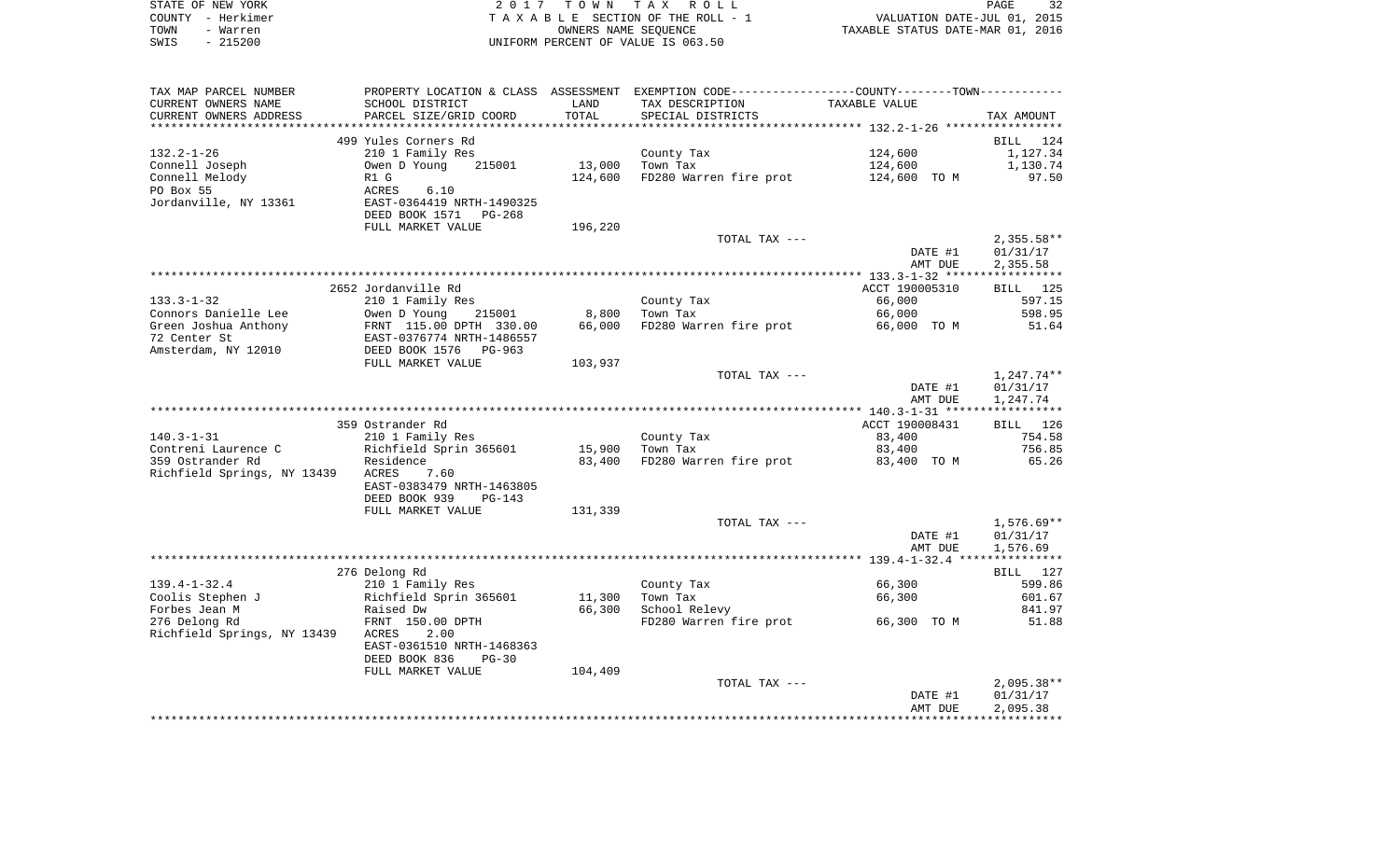|      | STATE OF NEW YORK | 2017 TOWN TAX ROLL                 | 32<br>PAGE                       |
|------|-------------------|------------------------------------|----------------------------------|
|      | COUNTY – Herkimer | TAXABLE SECTION OF THE ROLL - 1    | VALUATION DATE-JUL 01, 2015      |
| TOWN | - Warren          | OWNERS NAME SEOUENCE               | TAXABLE STATUS DATE-MAR 01, 2016 |
| SWIS | $-215200$         | UNIFORM PERCENT OF VALUE IS 063.50 |                                  |

| TAX MAP PARCEL NUMBER       |                           |         | PROPERTY LOCATION & CLASS ASSESSMENT EXEMPTION CODE----------------COUNTY--------TOWN---------- |                |              |
|-----------------------------|---------------------------|---------|-------------------------------------------------------------------------------------------------|----------------|--------------|
| CURRENT OWNERS NAME         | SCHOOL DISTRICT           | LAND    | TAX DESCRIPTION                                                                                 | TAXABLE VALUE  |              |
| CURRENT OWNERS ADDRESS      | PARCEL SIZE/GRID COORD    | TOTAL   | SPECIAL DISTRICTS                                                                               |                | TAX AMOUNT   |
|                             |                           |         |                                                                                                 |                |              |
|                             | 499 Yules Corners Rd      |         |                                                                                                 |                | BILL 124     |
| $132.2 - 1 - 26$            | 210 1 Family Res          |         | County Tax                                                                                      | 124,600        | 1,127.34     |
| Connell Joseph              | 215001<br>Owen D Young    | 13,000  | Town Tax                                                                                        | 124,600        | 1,130.74     |
| Connell Melody              | R1 G                      | 124,600 | FD280 Warren fire prot                                                                          | 124,600 TO M   | 97.50        |
| PO Box 55                   | ACRES<br>6.10             |         |                                                                                                 |                |              |
| Jordanville, NY 13361       | EAST-0364419 NRTH-1490325 |         |                                                                                                 |                |              |
|                             | DEED BOOK 1571<br>PG-268  |         |                                                                                                 |                |              |
|                             | FULL MARKET VALUE         | 196,220 |                                                                                                 |                |              |
|                             |                           |         | TOTAL TAX ---                                                                                   |                | $2,355.58**$ |
|                             |                           |         |                                                                                                 | DATE #1        | 01/31/17     |
|                             |                           |         |                                                                                                 | AMT DUE        | 2,355.58     |
|                             |                           |         |                                                                                                 |                |              |
|                             | 2652 Jordanville Rd       |         |                                                                                                 | ACCT 190005310 | BILL 125     |
| $133.3 - 1 - 32$            |                           |         |                                                                                                 | 66,000         | 597.15       |
|                             | 210 1 Family Res          |         | County Tax                                                                                      |                |              |
| Connors Danielle Lee        | Owen D Young<br>215001    | 8,800   | Town Tax                                                                                        | 66,000         | 598.95       |
| Green Joshua Anthony        | FRNT 115.00 DPTH 330.00   | 66,000  | FD280 Warren fire prot                                                                          | 66,000 TO M    | 51.64        |
| 72 Center St                | EAST-0376774 NRTH-1486557 |         |                                                                                                 |                |              |
| Amsterdam, NY 12010         | DEED BOOK 1576 PG-963     |         |                                                                                                 |                |              |
|                             | FULL MARKET VALUE         | 103,937 |                                                                                                 |                |              |
|                             |                           |         | TOTAL TAX ---                                                                                   |                | 1,247.74**   |
|                             |                           |         |                                                                                                 | DATE #1        | 01/31/17     |
|                             |                           |         |                                                                                                 | AMT DUE        | 1,247.74     |
|                             |                           |         |                                                                                                 |                |              |
|                             | 359 Ostrander Rd          |         |                                                                                                 | ACCT 190008431 | BILL 126     |
| $140.3 - 1 - 31$            | 210 1 Family Res          |         | County Tax                                                                                      | 83,400         | 754.58       |
| Contreni Laurence C         | Richfield Sprin 365601    | 15,900  | Town Tax                                                                                        | 83,400         | 756.85       |
| 359 Ostrander Rd            | Residence                 | 83,400  | FD280 Warren fire prot                                                                          | 83,400 TO M    | 65.26        |
| Richfield Springs, NY 13439 | ACRES<br>7.60             |         |                                                                                                 |                |              |
|                             | EAST-0383479 NRTH-1463805 |         |                                                                                                 |                |              |
|                             | DEED BOOK 939<br>$PG-143$ |         |                                                                                                 |                |              |
|                             | FULL MARKET VALUE         | 131,339 |                                                                                                 |                |              |
|                             |                           |         | TOTAL TAX ---                                                                                   |                | $1,576.69**$ |
|                             |                           |         |                                                                                                 | DATE #1        | 01/31/17     |
|                             |                           |         |                                                                                                 | AMT DUE        | 1,576.69     |
|                             |                           |         |                                                                                                 |                |              |
|                             | 276 Delong Rd             |         |                                                                                                 |                | BILL 127     |
| $139.4 - 1 - 32.4$          | 210 1 Family Res          |         | County Tax                                                                                      | 66,300         | 599.86       |
| Coolis Stephen J            | Richfield Sprin 365601    | 11,300  | Town Tax                                                                                        | 66,300         | 601.67       |
| Forbes Jean M               | Raised Dw                 | 66,300  | School Relevy                                                                                   |                | 841.97       |
| 276 Delong Rd               | FRNT 150.00 DPTH          |         | FD280 Warren fire prot 66,300 TO M                                                              |                | 51.88        |
| Richfield Springs, NY 13439 | ACRES<br>2.00             |         |                                                                                                 |                |              |
|                             | EAST-0361510 NRTH-1468363 |         |                                                                                                 |                |              |
|                             | DEED BOOK 836<br>$PG-30$  |         |                                                                                                 |                |              |
|                             | FULL MARKET VALUE         | 104,409 |                                                                                                 |                |              |
|                             |                           |         | TOTAL TAX ---                                                                                   |                | $2,095.38**$ |
|                             |                           |         |                                                                                                 | DATE #1        | 01/31/17     |
|                             |                           |         |                                                                                                 | AMT DUE        | 2,095.38     |
|                             |                           |         |                                                                                                 |                |              |
|                             |                           |         |                                                                                                 |                |              |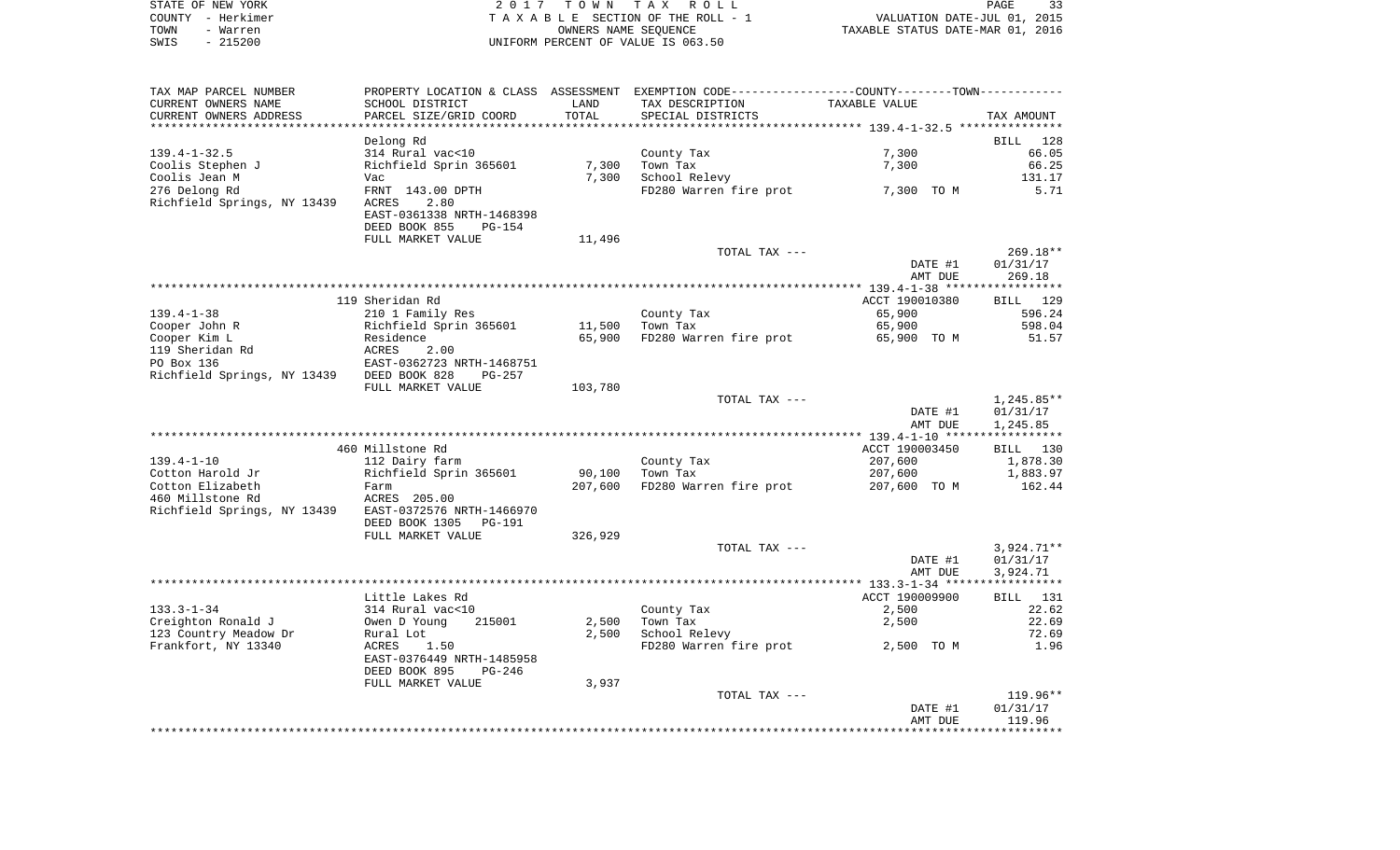|      | STATE OF NEW YORK | 2017 TOWN TAX ROLL                 |                                  | PAGE                        | -33 |
|------|-------------------|------------------------------------|----------------------------------|-----------------------------|-----|
|      | COUNTY - Herkimer | TAXABLE SECTION OF THE ROLL - 1    |                                  | VALUATION DATE-JUL 01, 2015 |     |
| TOWN | - Warren          | OWNERS NAME SEOUENCE               | TAXABLE STATUS DATE-MAR 01, 2016 |                             |     |
| SWIS | - 215200          | UNIFORM PERCENT OF VALUE IS 063.50 |                                  |                             |     |
|      |                   |                                    |                                  |                             |     |
|      |                   |                                    |                                  |                             |     |

 $\frac{33}{2015}$ <br>2016

| TAX MAP PARCEL NUMBER       | PROPERTY LOCATION & CLASS ASSESSMENT EXEMPTION CODE-----------------COUNTY-------TOWN-------- |         |                        |                |                    |
|-----------------------------|-----------------------------------------------------------------------------------------------|---------|------------------------|----------------|--------------------|
| CURRENT OWNERS NAME         | SCHOOL DISTRICT                                                                               | LAND    | TAX DESCRIPTION        | TAXABLE VALUE  |                    |
| CURRENT OWNERS ADDRESS      | PARCEL SIZE/GRID COORD                                                                        | TOTAL   | SPECIAL DISTRICTS      |                | TAX AMOUNT         |
| ********************        |                                                                                               |         |                        |                |                    |
|                             | Delong Rd                                                                                     |         |                        |                | BILL<br>128        |
| $139.4 - 1 - 32.5$          | 314 Rural vac<10                                                                              |         | County Tax             | 7,300          | 66.05              |
| Coolis Stephen J            | Richfield Sprin 365601                                                                        | 7,300   | Town Tax               | 7,300          | 66.25              |
|                             |                                                                                               |         |                        |                |                    |
| Coolis Jean M               | Vac                                                                                           | 7,300   | School Relevy          |                | 131.17             |
| 276 Delong Rd               | FRNT 143.00 DPTH                                                                              |         | FD280 Warren fire prot | 7,300 TO M     | 5.71               |
| Richfield Springs, NY 13439 | 2.80<br>ACRES                                                                                 |         |                        |                |                    |
|                             | EAST-0361338 NRTH-1468398                                                                     |         |                        |                |                    |
|                             | DEED BOOK 855<br>PG-154                                                                       |         |                        |                |                    |
|                             | FULL MARKET VALUE                                                                             | 11,496  |                        |                |                    |
|                             |                                                                                               |         | TOTAL TAX ---          |                | $269.18**$         |
|                             |                                                                                               |         |                        | DATE #1        | 01/31/17           |
|                             |                                                                                               |         |                        | AMT DUE        | 269.18             |
|                             |                                                                                               |         |                        |                |                    |
|                             |                                                                                               |         |                        |                |                    |
|                             | 119 Sheridan Rd                                                                               |         |                        | ACCT 190010380 | BILL 129           |
| $139.4 - 1 - 38$            | 210 1 Family Res                                                                              |         | County Tax             | 65,900         | 596.24             |
| Cooper John R               | Richfield Sprin 365601                                                                        | 11,500  | Town Tax               | 65,900         | 598.04             |
| Cooper Kim L                | Residence                                                                                     | 65,900  | FD280 Warren fire prot | 65,900 TO M    | 51.57              |
| 119 Sheridan Rd             | <b>ACRES</b><br>2.00                                                                          |         |                        |                |                    |
| PO Box 136                  | EAST-0362723 NRTH-1468751                                                                     |         |                        |                |                    |
| Richfield Springs, NY 13439 | DEED BOOK 828<br>$PG-257$                                                                     |         |                        |                |                    |
|                             | FULL MARKET VALUE                                                                             | 103,780 |                        |                |                    |
|                             |                                                                                               |         | TOTAL TAX ---          |                | 1,245.85**         |
|                             |                                                                                               |         |                        | DATE #1        | 01/31/17           |
|                             |                                                                                               |         |                        |                |                    |
|                             |                                                                                               |         |                        | AMT DUE        | 1,245.85           |
|                             |                                                                                               |         |                        |                |                    |
|                             | 460 Millstone Rd                                                                              |         |                        | ACCT 190003450 | BILL 130           |
| $139.4 - 1 - 10$            | 112 Dairy farm                                                                                |         | County Tax             | 207,600        | 1,878.30           |
| Cotton Harold Jr            | Richfield Sprin 365601                                                                        | 90,100  | Town Tax               | 207,600        | 1,883.97           |
| Cotton Elizabeth            | Farm                                                                                          | 207,600 | FD280 Warren fire prot | 207,600 TO M   | 162.44             |
| 460 Millstone Rd            | ACRES 205.00                                                                                  |         |                        |                |                    |
| Richfield Springs, NY 13439 | EAST-0372576 NRTH-1466970                                                                     |         |                        |                |                    |
|                             | DEED BOOK 1305<br>PG-191                                                                      |         |                        |                |                    |
|                             | FULL MARKET VALUE                                                                             | 326,929 |                        |                |                    |
|                             |                                                                                               |         |                        |                |                    |
|                             |                                                                                               |         | TOTAL TAX ---          |                | $3,924.71**$       |
|                             |                                                                                               |         |                        | DATE #1        | 01/31/17           |
|                             |                                                                                               |         |                        | AMT DUE        | 3,924.71           |
|                             |                                                                                               |         |                        |                |                    |
|                             | Little Lakes Rd                                                                               |         |                        | ACCT 190009900 | <b>BILL</b><br>131 |
| $133.3 - 1 - 34$            | 314 Rural vac<10                                                                              |         | County Tax             | 2,500          | 22.62              |
| Creighton Ronald J          | Owen D Young<br>215001                                                                        | 2,500   | Town Tax               | 2,500          | 22.69              |
| 123 Country Meadow Dr       | Rural Lot                                                                                     | 2,500   | School Relevy          |                | 72.69              |
| Frankfort, NY 13340         | ACRES<br>1.50                                                                                 |         | FD280 Warren fire prot | 2,500 TO M     | 1.96               |
|                             | EAST-0376449 NRTH-1485958                                                                     |         |                        |                |                    |
|                             | DEED BOOK 895<br>$PG-246$                                                                     |         |                        |                |                    |
|                             |                                                                                               |         |                        |                |                    |
|                             | FULL MARKET VALUE                                                                             | 3,937   |                        |                |                    |
|                             |                                                                                               |         | TOTAL TAX ---          |                | $119.96**$         |
|                             |                                                                                               |         |                        | DATE #1        | 01/31/17           |
|                             |                                                                                               |         |                        | AMT DUE        | 119.96             |
|                             |                                                                                               |         |                        |                |                    |
|                             |                                                                                               |         |                        |                |                    |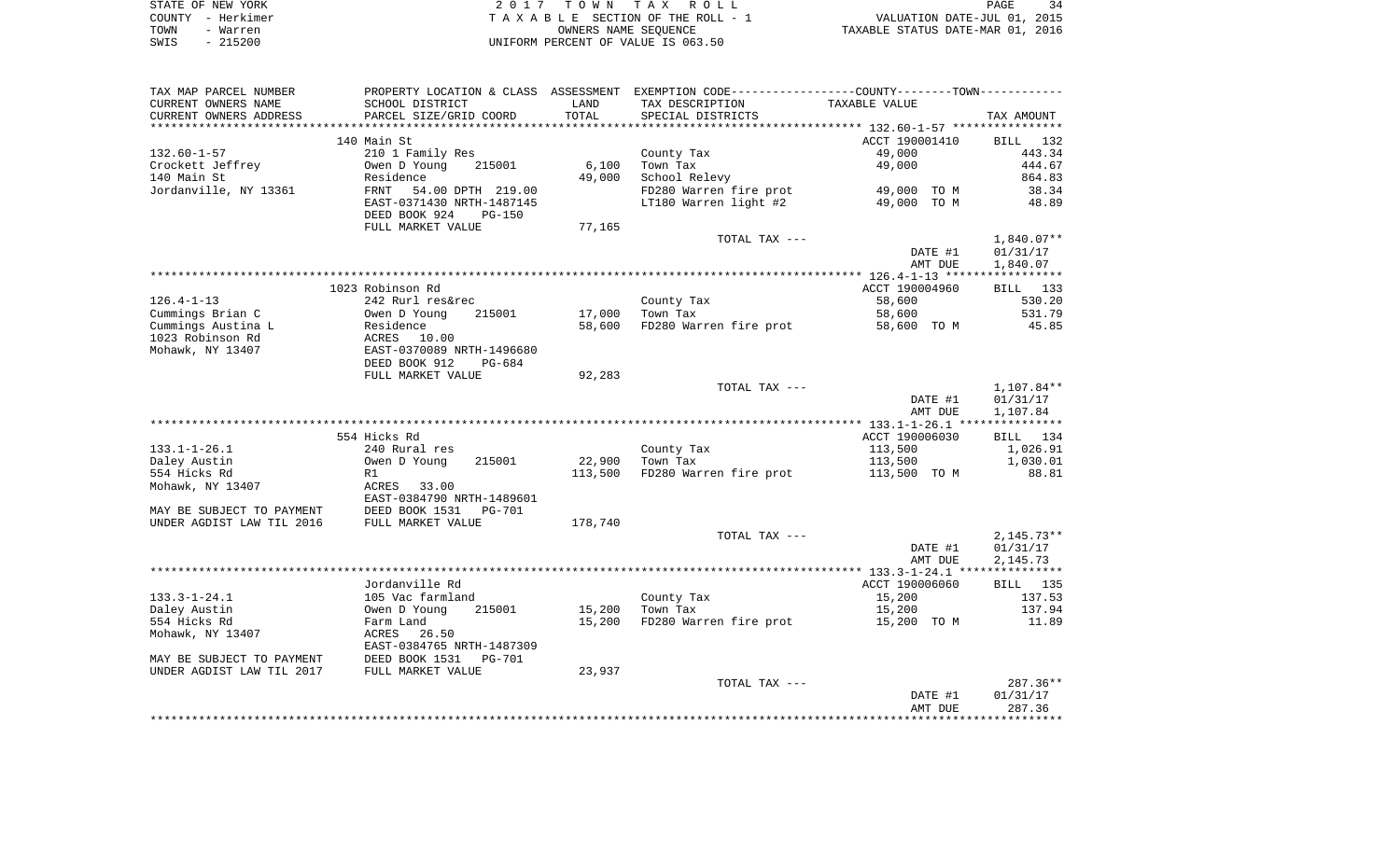| STATE OF NEW YORK | 2017 TOWN TAX ROLL                 | 34<br>PAGE                       |
|-------------------|------------------------------------|----------------------------------|
| COUNTY - Herkimer | TAXABLE SECTION OF THE ROLL - 1    | VALUATION DATE-JUL 01, 2015      |
| TOWN<br>- Warren  | OWNERS NAME SEOUENCE               | TAXABLE STATUS DATE-MAR 01, 2016 |
| $-215200$<br>SWIS | UNIFORM PERCENT OF VALUE IS 063.50 |                                  |

 $\begin{array}{c}34\\2015\\2016\end{array}$ 

| TAX MAP PARCEL NUMBER     | PROPERTY LOCATION & CLASS ASSESSMENT EXEMPTION CODE---------------COUNTY-------TOWN---------- |         |                        |                |              |
|---------------------------|-----------------------------------------------------------------------------------------------|---------|------------------------|----------------|--------------|
| CURRENT OWNERS NAME       | SCHOOL DISTRICT                                                                               | LAND    | TAX DESCRIPTION        | TAXABLE VALUE  |              |
| CURRENT OWNERS ADDRESS    | PARCEL SIZE/GRID COORD                                                                        | TOTAL   | SPECIAL DISTRICTS      |                | TAX AMOUNT   |
|                           |                                                                                               |         |                        |                |              |
|                           | 140 Main St                                                                                   |         |                        | ACCT 190001410 | BILL 132     |
| $132.60 - 1 - 57$         | 210 1 Family Res                                                                              |         | County Tax             | 49,000         | 443.34       |
| Crockett Jeffrey          | 215001<br>Owen D Young                                                                        | 6,100   | Town Tax               | 49,000         | 444.67       |
| 140 Main St               | Residence                                                                                     | 49,000  | School Relevy          |                | 864.83       |
| Jordanville, NY 13361     | FRNT<br>54.00 DPTH 219.00                                                                     |         | FD280 Warren fire prot | 49,000 TO M    | 38.34        |
|                           | EAST-0371430 NRTH-1487145                                                                     |         | LT180 Warren light #2  | 49,000 TO M    | 48.89        |
|                           | DEED BOOK 924<br>$PG-150$                                                                     |         |                        |                |              |
|                           | FULL MARKET VALUE                                                                             | 77,165  |                        |                |              |
|                           |                                                                                               |         | TOTAL TAX ---          |                | 1,840.07**   |
|                           |                                                                                               |         |                        | DATE #1        | 01/31/17     |
|                           |                                                                                               |         |                        | AMT DUE        | 1,840.07     |
|                           |                                                                                               |         |                        |                |              |
|                           | 1023 Robinson Rd                                                                              |         |                        | ACCT 190004960 | BILL 133     |
| $126.4 - 1 - 13$          | 242 Rurl res&rec                                                                              |         | County Tax             | 58,600         | 530.20       |
|                           | 215001                                                                                        |         |                        |                | 531.79       |
| Cummings Brian C          | Owen D Young                                                                                  | 17,000  | Town Tax               | 58,600         |              |
| Cummings Austina L        | Residence                                                                                     | 58,600  | FD280 Warren fire prot | 58,600 TO M    | 45.85        |
| 1023 Robinson Rd          | ACRES<br>10.00                                                                                |         |                        |                |              |
| Mohawk, NY 13407          | EAST-0370089 NRTH-1496680                                                                     |         |                        |                |              |
|                           | DEED BOOK 912<br>PG-684                                                                       |         |                        |                |              |
|                           | FULL MARKET VALUE                                                                             | 92,283  |                        |                |              |
|                           |                                                                                               |         | TOTAL TAX ---          |                | 1,107.84**   |
|                           |                                                                                               |         |                        | DATE #1        | 01/31/17     |
|                           |                                                                                               |         |                        | AMT DUE        | 1,107.84     |
|                           |                                                                                               |         |                        |                |              |
|                           | 554 Hicks Rd                                                                                  |         |                        | ACCT 190006030 | BILL 134     |
| $133.1 - 1 - 26.1$        | 240 Rural res                                                                                 |         | County Tax             | 113,500        | 1,026.91     |
| Daley Austin              | Owen D Young<br>215001                                                                        | 22,900  | Town Tax               | 113,500        | 1,030.01     |
| 554 Hicks Rd              | R1                                                                                            | 113,500 | FD280 Warren fire prot | 113,500 TO M   | 88.81        |
| Mohawk, NY 13407          | ACRES 33.00                                                                                   |         |                        |                |              |
|                           | EAST-0384790 NRTH-1489601                                                                     |         |                        |                |              |
| MAY BE SUBJECT TO PAYMENT | DEED BOOK 1531<br>PG-701                                                                      |         |                        |                |              |
| UNDER AGDIST LAW TIL 2016 | FULL MARKET VALUE                                                                             | 178,740 |                        |                |              |
|                           |                                                                                               |         | TOTAL TAX ---          |                | $2,145.73**$ |
|                           |                                                                                               |         |                        | DATE #1        | 01/31/17     |
|                           |                                                                                               |         |                        | AMT DUE        | 2,145.73     |
|                           |                                                                                               |         |                        |                |              |
|                           | Jordanville Rd                                                                                |         |                        | ACCT 190006060 | BILL 135     |
| $133.3 - 1 - 24.1$        | 105 Vac farmland                                                                              |         | County Tax             | 15,200         | 137.53       |
| Daley Austin              | 215001<br>Owen D Young                                                                        | 15,200  | Town Tax               | 15,200         | 137.94       |
| 554 Hicks Rd              | Farm Land                                                                                     | 15,200  | FD280 Warren fire prot | 15,200 TO M    | 11.89        |
| Mohawk, NY 13407          | ACRES<br>26.50                                                                                |         |                        |                |              |
|                           | EAST-0384765 NRTH-1487309                                                                     |         |                        |                |              |
|                           |                                                                                               |         |                        |                |              |
|                           |                                                                                               |         |                        |                |              |
| MAY BE SUBJECT TO PAYMENT | DEED BOOK 1531<br>PG-701                                                                      |         |                        |                |              |
| UNDER AGDIST LAW TIL 2017 | FULL MARKET VALUE                                                                             | 23,937  |                        |                |              |
|                           |                                                                                               |         | TOTAL TAX ---          |                | $287.36**$   |
|                           |                                                                                               |         |                        | DATE #1        | 01/31/17     |
|                           |                                                                                               |         |                        | AMT DUE        | 287.36       |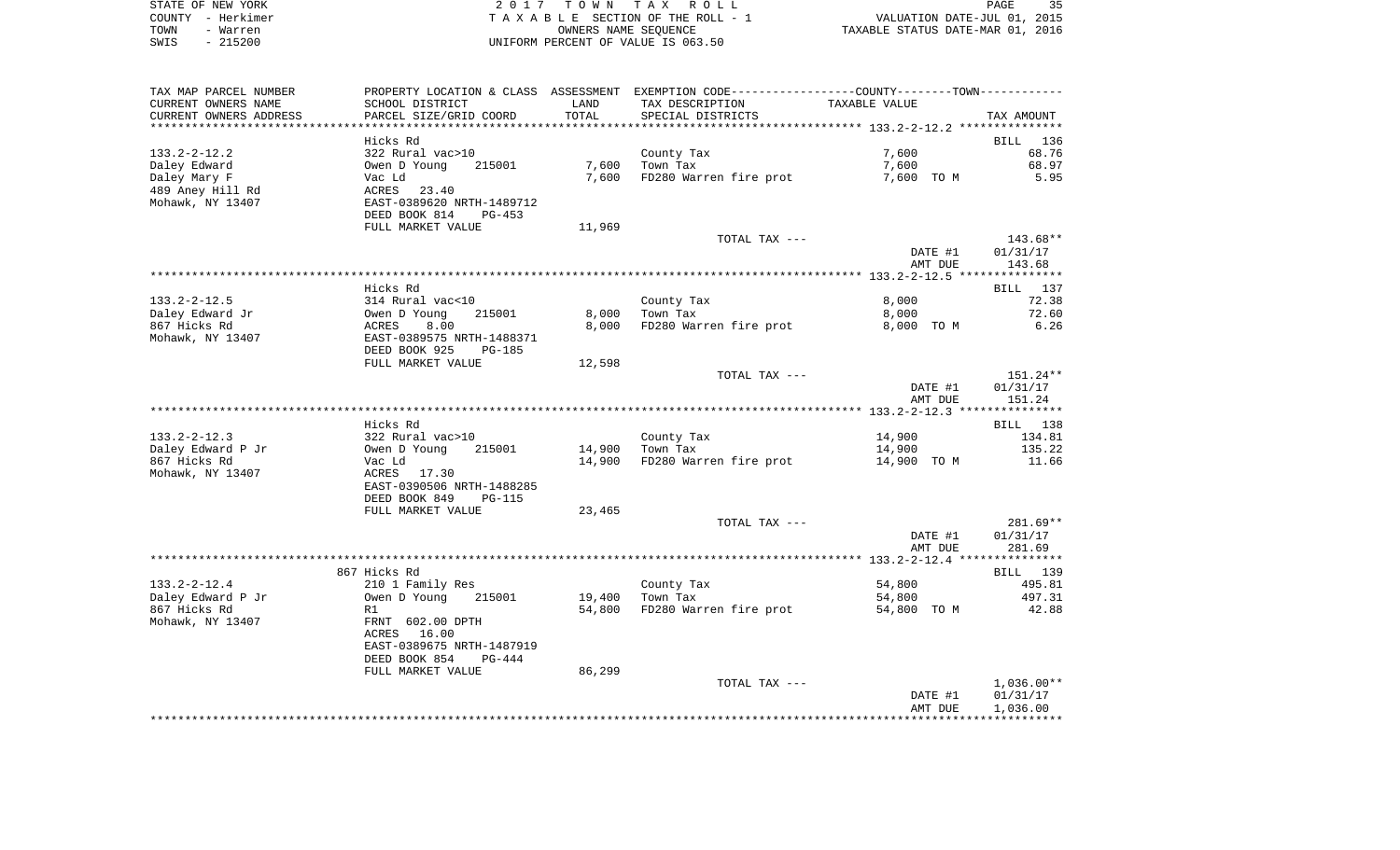| STATE OF NEW YORK | 2017 TOWN TAX ROLL                 | 35<br>PAGE                       |
|-------------------|------------------------------------|----------------------------------|
| COUNTY - Herkimer | TAXABLE SECTION OF THE ROLL - 1    | VALUATION DATE-JUL 01, 2015      |
| TOWN<br>- Warren  | OWNERS NAME SEOUENCE               | TAXABLE STATUS DATE-MAR 01, 2016 |
| $-215200$<br>SWIS | UNIFORM PERCENT OF VALUE IS 063.50 |                                  |

| TAX MAP PARCEL NUMBER            |                                |                | PROPERTY LOCATION & CLASS ASSESSMENT EXEMPTION CODE----------------COUNTY-------TOWN---------- |                     |               |
|----------------------------------|--------------------------------|----------------|------------------------------------------------------------------------------------------------|---------------------|---------------|
| CURRENT OWNERS NAME              | SCHOOL DISTRICT                | LAND           | TAX DESCRIPTION                                                                                | TAXABLE VALUE       |               |
| CURRENT OWNERS ADDRESS           | PARCEL SIZE/GRID COORD         | TOTAL          | SPECIAL DISTRICTS                                                                              |                     | TAX AMOUNT    |
|                                  |                                |                |                                                                                                |                     |               |
|                                  | Hicks Rd                       |                |                                                                                                |                     | BILL<br>136   |
| $133.2 - 2 - 12.2$               | 322 Rural vac>10               |                | County Tax                                                                                     | 7,600               | 68.76         |
| Daley Edward                     | Owen D Young<br>215001         | 7,600<br>7,600 | Town Tax                                                                                       | 7,600<br>7,600 TO M | 68.97<br>5.95 |
| Daley Mary F<br>489 Aney Hill Rd | Vac Ld<br>ACRES<br>23.40       |                | FD280 Warren fire prot                                                                         |                     |               |
| Mohawk, NY 13407                 | EAST-0389620 NRTH-1489712      |                |                                                                                                |                     |               |
|                                  | DEED BOOK 814<br>$PG-453$      |                |                                                                                                |                     |               |
|                                  | FULL MARKET VALUE              | 11,969         |                                                                                                |                     |               |
|                                  |                                |                | TOTAL TAX ---                                                                                  |                     | 143.68**      |
|                                  |                                |                |                                                                                                | DATE #1             | 01/31/17      |
|                                  |                                |                |                                                                                                | AMT DUE             | 143.68        |
|                                  |                                |                |                                                                                                |                     |               |
|                                  | Hicks Rd                       |                |                                                                                                |                     | BILL 137      |
| $133.2 - 2 - 12.5$               | 314 Rural vac<10               |                | County Tax                                                                                     | 8,000               | 72.38         |
| Daley Edward Jr                  | Owen D Young<br>215001         | 8,000          | Town Tax                                                                                       | 8,000               | 72.60         |
| 867 Hicks Rd                     | 8.00<br>ACRES                  | 8,000          | FD280 Warren fire prot                                                                         | 8,000 TO M          | 6.26          |
| Mohawk, NY 13407                 | EAST-0389575 NRTH-1488371      |                |                                                                                                |                     |               |
|                                  | DEED BOOK 925<br><b>PG-185</b> |                |                                                                                                |                     |               |
|                                  | FULL MARKET VALUE              | 12,598         | TOTAL TAX ---                                                                                  |                     | 151.24**      |
|                                  |                                |                |                                                                                                | DATE #1             | 01/31/17      |
|                                  |                                |                |                                                                                                | AMT DUE             | 151.24        |
|                                  |                                |                |                                                                                                |                     |               |
|                                  | Hicks Rd                       |                |                                                                                                |                     | BILL 138      |
| $133.2 - 2 - 12.3$               | 322 Rural vac>10               |                | County Tax                                                                                     | 14,900              | 134.81        |
| Daley Edward P Jr                | Owen D Young<br>215001         | 14,900         | Town Tax                                                                                       | 14,900              | 135.22        |
| 867 Hicks Rd                     | Vac Ld                         | 14,900         | FD280 Warren fire prot                                                                         | 14,900 TO M         | 11.66         |
| Mohawk, NY 13407                 | ACRES<br>17.30                 |                |                                                                                                |                     |               |
|                                  | EAST-0390506 NRTH-1488285      |                |                                                                                                |                     |               |
|                                  | DEED BOOK 849<br><b>PG-115</b> |                |                                                                                                |                     |               |
|                                  | FULL MARKET VALUE              | 23,465         |                                                                                                |                     |               |
|                                  |                                |                | TOTAL TAX ---                                                                                  |                     | 281.69**      |
|                                  |                                |                |                                                                                                | DATE #1             | 01/31/17      |
|                                  |                                |                |                                                                                                | AMT DUE             | 281.69        |
|                                  | 867 Hicks Rd                   |                |                                                                                                |                     | BILL 139      |
| $133.2 - 2 - 12.4$               | 210 1 Family Res               |                | County Tax                                                                                     | 54,800              | 495.81        |
| Daley Edward P Jr                | Owen D Young<br>215001         | 19,400         | Town Tax                                                                                       | 54,800              | 497.31        |
| 867 Hicks Rd                     | R1                             | 54,800         | FD280 Warren fire prot                                                                         | 54,800 TO M         | 42.88         |
| Mohawk, NY 13407                 | FRNT 602.00 DPTH               |                |                                                                                                |                     |               |
|                                  | ACRES 16.00                    |                |                                                                                                |                     |               |
|                                  | EAST-0389675 NRTH-1487919      |                |                                                                                                |                     |               |
|                                  | DEED BOOK 854<br>$PG-444$      |                |                                                                                                |                     |               |
|                                  | FULL MARKET VALUE              | 86,299         |                                                                                                |                     |               |
|                                  |                                |                | TOTAL TAX ---                                                                                  |                     | $1,036.00**$  |
|                                  |                                |                |                                                                                                | DATE #1             | 01/31/17      |
|                                  |                                |                |                                                                                                | AMT DUE             | 1,036.00      |
|                                  |                                |                |                                                                                                |                     |               |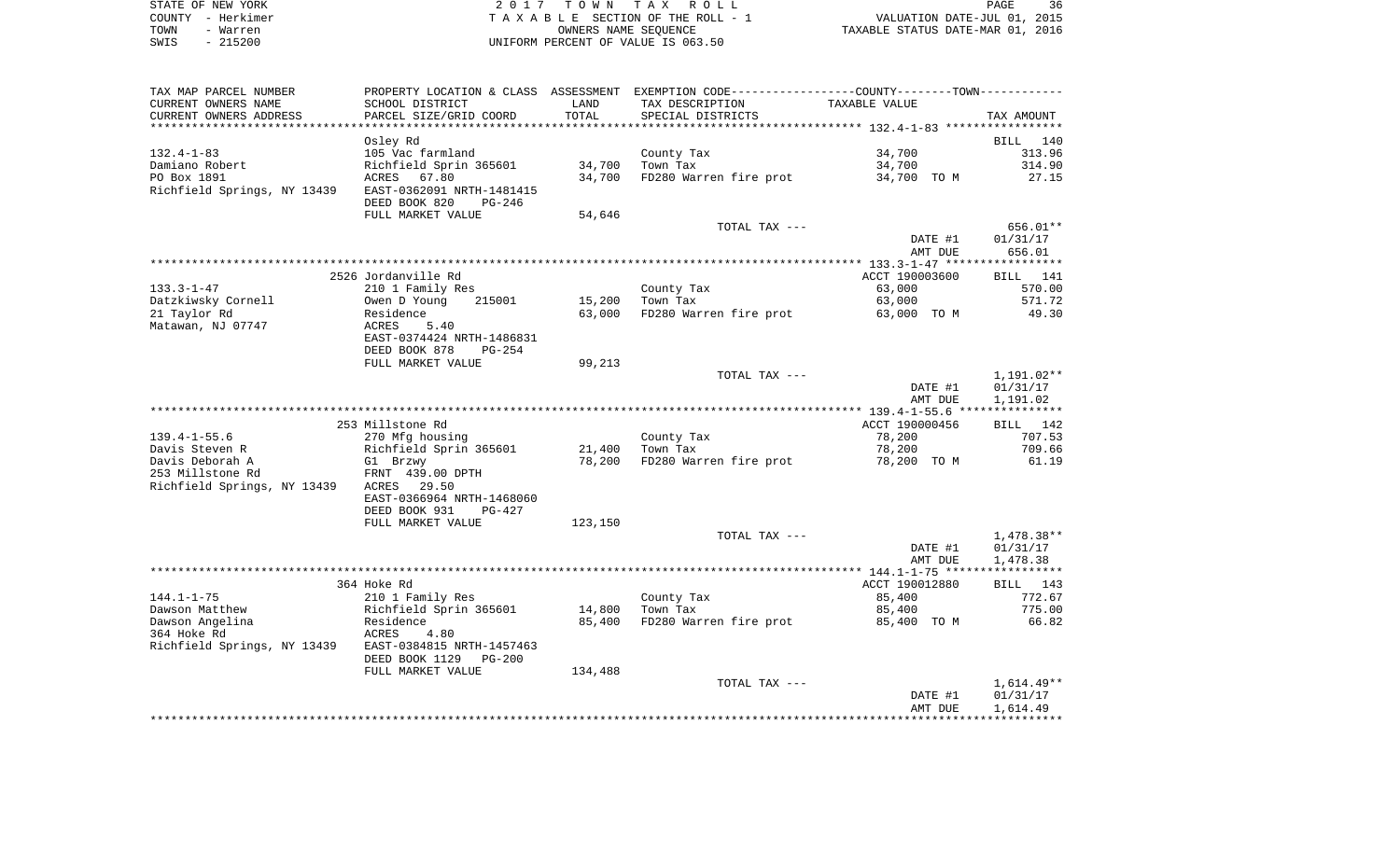| STATE OF NEW YORK | 2017 TOWN TAX ROLL                 | 36<br>PAGE                       |
|-------------------|------------------------------------|----------------------------------|
| COUNTY - Herkimer | TAXABLE SECTION OF THE ROLL - 1    | VALUATION DATE-JUL 01, 2015      |
| TOWN<br>- Warren  | OWNERS NAME SEOUENCE               | TAXABLE STATUS DATE-MAR 01, 2016 |
| $-215200$<br>SWIS | UNIFORM PERCENT OF VALUE IS 063.50 |                                  |

TAX MAP PARCEL NUMBER PROPERTY LOCATION & CLASS ASSESSMENT EXEMPTION CODE------------------COUNTY--------TOWN------------

| CURRENT OWNERS NAME         | SCHOOL DISTRICT            | LAND              | TAX DESCRIPTION        | TAXABLE VALUE                                        |              |
|-----------------------------|----------------------------|-------------------|------------------------|------------------------------------------------------|--------------|
| CURRENT OWNERS ADDRESS      | PARCEL SIZE/GRID COORD     | TOTAL             | SPECIAL DISTRICTS      |                                                      | TAX AMOUNT   |
|                             |                            | * * * * * * * * * |                        | **************************** 132.4-1-83 ************ |              |
|                             | Osley Rd                   |                   |                        |                                                      | 140<br>BILL  |
| $132.4 - 1 - 83$            | 105 Vac farmland           |                   | County Tax             | 34,700                                               | 313.96       |
| Damiano Robert              | Richfield Sprin 365601     | 34,700            | Town Tax               | 34,700                                               | 314.90       |
| PO Box 1891                 | 67.80<br>ACRES             | 34,700            | FD280 Warren fire prot | 34,700 TO M                                          | 27.15        |
| Richfield Springs, NY 13439 | EAST-0362091 NRTH-1481415  |                   |                        |                                                      |              |
|                             | DEED BOOK 820<br>PG-246    |                   |                        |                                                      |              |
|                             | FULL MARKET VALUE          | 54,646            |                        |                                                      |              |
|                             |                            |                   | TOTAL TAX ---          |                                                      | 656.01**     |
|                             |                            |                   |                        | DATE #1                                              | 01/31/17     |
|                             |                            |                   |                        | AMT DUE                                              | 656.01       |
|                             |                            |                   |                        |                                                      |              |
|                             | 2526 Jordanville Rd        |                   |                        | ACCT 190003600                                       | 141<br>BILL  |
| $133.3 - 1 - 47$            | 210 1 Family Res           |                   | County Tax             | 63,000                                               | 570.00       |
| Datzkiwsky Cornell          | Owen D Young<br>215001     | 15,200            | Town Tax               | 63,000                                               | 571.72       |
| 21 Taylor Rd                | Residence                  | 63,000            | FD280 Warren fire prot | 63,000 TO M                                          | 49.30        |
| Matawan, NJ 07747           | ACRES<br>5.40              |                   |                        |                                                      |              |
|                             | EAST-0374424 NRTH-1486831  |                   |                        |                                                      |              |
|                             | DEED BOOK 878<br>$PG-254$  |                   |                        |                                                      |              |
|                             | FULL MARKET VALUE          | 99,213            |                        |                                                      |              |
|                             |                            |                   | TOTAL TAX ---          |                                                      | 1,191.02**   |
|                             |                            |                   |                        | DATE #1                                              | 01/31/17     |
|                             |                            |                   |                        | AMT DUE                                              | 1,191.02     |
|                             |                            |                   |                        | **************** 139.4-1-55.6 ****************       |              |
|                             | 253 Millstone Rd           |                   |                        | ACCT 190000456                                       | 142<br>BILL  |
| $139.4 - 1 - 55.6$          | 270 Mfg housing            |                   | County Tax             | 78,200                                               | 707.53       |
| Davis Steven R              | Richfield Sprin 365601     | 21,400            | Town Tax               | 78,200                                               | 709.66       |
| Davis Deborah A             | G1 Brzwy                   | 78,200            | FD280 Warren fire prot | 78,200 TO M                                          | 61.19        |
| 253 Millstone Rd            | FRNT 439.00 DPTH           |                   |                        |                                                      |              |
| Richfield Springs, NY 13439 | 29.50<br>ACRES             |                   |                        |                                                      |              |
|                             | EAST-0366964 NRTH-1468060  |                   |                        |                                                      |              |
|                             | DEED BOOK 931<br>$PG-427$  |                   |                        |                                                      |              |
|                             | FULL MARKET VALUE          | 123,150           |                        |                                                      |              |
|                             |                            |                   | TOTAL TAX ---          |                                                      | $1,478.38**$ |
|                             |                            |                   |                        | DATE #1                                              | 01/31/17     |
|                             |                            |                   |                        | AMT DUE                                              | 1,478.38     |
|                             |                            |                   |                        |                                                      |              |
|                             | 364 Hoke Rd                |                   |                        | ACCT 190012880                                       | BILL 143     |
| $144.1 - 1 - 75$            | 210 1 Family Res           |                   | County Tax             | 85,400                                               | 772.67       |
| Dawson Matthew              | Richfield Sprin 365601     | 14,800            | Town Tax               | 85,400                                               | 775.00       |
| Dawson Angelina             | Residence                  | 85,400            | FD280 Warren fire prot | 85,400 TO M                                          | 66.82        |
| 364 Hoke Rd                 | ACRES<br>4.80              |                   |                        |                                                      |              |
| Richfield Springs, NY 13439 | EAST-0384815 NRTH-1457463  |                   |                        |                                                      |              |
|                             | DEED BOOK 1129<br>$PG-200$ |                   |                        |                                                      |              |
|                             | FULL MARKET VALUE          | 134,488           |                        |                                                      |              |
|                             |                            |                   | TOTAL TAX ---          |                                                      | $1,614.49**$ |
|                             |                            |                   |                        | DATE #1                                              | 01/31/17     |
|                             |                            |                   |                        | AMT DUE                                              | 1,614.49     |
|                             |                            |                   |                        |                                                      |              |
|                             |                            |                   |                        |                                                      |              |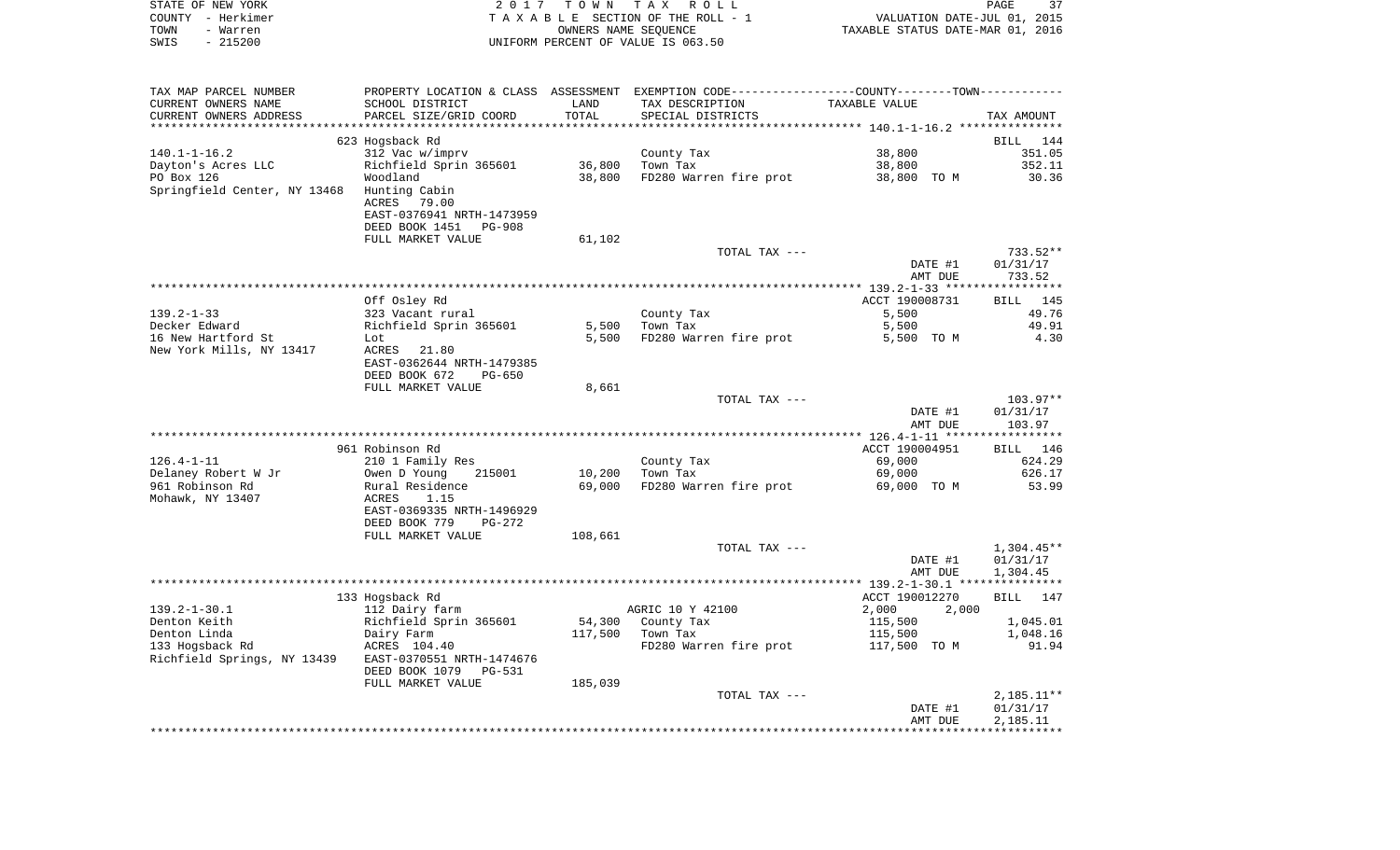| STATE OF NEW YORK     | 2017 TOWN TAX ROLL                                                                            | 37<br>PAGE                       |
|-----------------------|-----------------------------------------------------------------------------------------------|----------------------------------|
| COUNTY - Herkimer     | TAXABLE SECTION OF THE ROLL - 1                                                               | VALUATION DATE-JUL 01, 2015      |
| TOWN<br>- Warren      | OWNERS NAME SEOUENCE                                                                          | TAXABLE STATUS DATE-MAR 01, 2016 |
| $-215200$<br>SWIS     | UNIFORM PERCENT OF VALUE IS 063.50                                                            |                                  |
|                       |                                                                                               |                                  |
|                       |                                                                                               |                                  |
|                       |                                                                                               |                                  |
| TAX MAP PARCEL NUMBER | PROPERTY LOCATION & CLASS ASSESSMENT EXEMPTION CODE---------------COUNTY-------TOWN---------- |                                  |

| CURRENT OWNERS NAME                    | SCHOOL DISTRICT                                     | LAND             | TAX DESCRIPTION        | TAXABLE VALUE                              |                       |
|----------------------------------------|-----------------------------------------------------|------------------|------------------------|--------------------------------------------|-----------------------|
| CURRENT OWNERS ADDRESS                 | PARCEL SIZE/GRID COORD                              | TOTAL            | SPECIAL DISTRICTS      |                                            | TAX AMOUNT            |
| **************                         | *************************                           |                  |                        | ****************** 140.1-1-16.2 ********** |                       |
| $140.1 - 1 - 16.2$                     | 623 Hogsback Rd                                     |                  |                        |                                            | 144<br>BILL           |
| Dayton's Acres LLC                     | 312 Vac w/imprv<br>Richfield Sprin 365601           | 36,800           | County Tax<br>Town Tax | 38,800<br>38,800                           | 351.05<br>352.11      |
| PO Box 126                             | Woodland                                            | 38,800           | FD280 Warren fire prot | 38,800 TO M                                | 30.36                 |
| Springfield Center, NY 13468           | Hunting Cabin                                       |                  |                        |                                            |                       |
|                                        | <b>ACRES</b><br>79.00                               |                  |                        |                                            |                       |
|                                        | EAST-0376941 NRTH-1473959                           |                  |                        |                                            |                       |
|                                        | DEED BOOK 1451<br><b>PG-908</b>                     |                  |                        |                                            |                       |
|                                        | FULL MARKET VALUE                                   | 61,102           |                        |                                            |                       |
|                                        |                                                     |                  | TOTAL TAX ---          |                                            | 733.52**              |
|                                        |                                                     |                  |                        | DATE #1                                    | 01/31/17              |
|                                        |                                                     |                  |                        | AMT DUE                                    | 733.52                |
|                                        |                                                     |                  |                        | ************ 139.2-1-33 ******             | * * * * * * * * * * * |
|                                        | Off Osley Rd                                        |                  |                        | ACCT 190008731                             | BILL<br>145           |
| $139.2 - 1 - 33$<br>Decker Edward      | 323 Vacant rural                                    | 5,500            | County Tax<br>Town Tax | 5,500                                      | 49.76<br>49.91        |
| 16 New Hartford St                     | Richfield Sprin 365601<br>Lot                       | 5,500            | FD280 Warren fire prot | 5,500<br>5,500 TO M                        | 4.30                  |
| New York Mills, NY 13417               | ACRES<br>21.80                                      |                  |                        |                                            |                       |
|                                        | EAST-0362644 NRTH-1479385                           |                  |                        |                                            |                       |
|                                        | DEED BOOK 672<br>$PG-650$                           |                  |                        |                                            |                       |
|                                        | FULL MARKET VALUE                                   | 8,661            |                        |                                            |                       |
|                                        |                                                     |                  | TOTAL TAX ---          |                                            | 103.97**              |
|                                        |                                                     |                  |                        | DATE #1                                    | 01/31/17              |
|                                        |                                                     |                  |                        | AMT DUE                                    | 103.97                |
|                                        |                                                     |                  |                        |                                            |                       |
|                                        | 961 Robinson Rd                                     |                  |                        | ACCT 190004951                             | 146<br><b>BILL</b>    |
| $126.4 - 1 - 11$                       | 210 1 Family Res                                    |                  | County Tax             | 69,000                                     | 624.29<br>626.17      |
| Delaney Robert W Jr<br>961 Robinson Rd | Owen D Young<br>215001                              | 10,200<br>69,000 | Town Tax               | 69,000                                     |                       |
|                                        |                                                     |                  |                        |                                            |                       |
|                                        | Rural Residence                                     |                  | FD280 Warren fire prot | 69,000 TO M                                | 53.99                 |
| Mohawk, NY 13407                       | <b>ACRES</b><br>1.15                                |                  |                        |                                            |                       |
|                                        | EAST-0369335 NRTH-1496929                           |                  |                        |                                            |                       |
|                                        | DEED BOOK 779<br><b>PG-272</b><br>FULL MARKET VALUE | 108,661          |                        |                                            |                       |
|                                        |                                                     |                  | TOTAL TAX ---          |                                            | $1,304.45**$          |
|                                        |                                                     |                  |                        | DATE #1                                    | 01/31/17              |
|                                        |                                                     |                  |                        | AMT DUE                                    | 1,304.45              |
|                                        |                                                     |                  |                        |                                            |                       |
|                                        | 133 Hogsback Rd                                     |                  |                        | ACCT 190012270                             | BILL 147              |
| $139.2 - 1 - 30.1$                     | 112 Dairy farm                                      |                  | AGRIC 10 Y 42100       | 2,000<br>2,000                             |                       |
| Denton Keith                           | Richfield Sprin 365601                              | 54,300           | County Tax             | 115,500                                    | 1,045.01              |
| Denton Linda                           | Dairy Farm                                          | 117,500          | Town Tax               | 115,500                                    | 1,048.16              |
| 133 Hogsback Rd                        | ACRES 104.40                                        |                  | FD280 Warren fire prot | 117,500 TO M                               | 91.94                 |
| Richfield Springs, NY 13439            | EAST-0370551 NRTH-1474676                           |                  |                        |                                            |                       |
|                                        | DEED BOOK 1079<br>PG-531<br>FULL MARKET VALUE       | 185,039          |                        |                                            |                       |
|                                        |                                                     |                  | TOTAL TAX ---          |                                            | $2,185.11**$          |
|                                        |                                                     |                  |                        | DATE #1                                    | 01/31/17              |
|                                        |                                                     |                  |                        | AMT DUE                                    | 2,185.11              |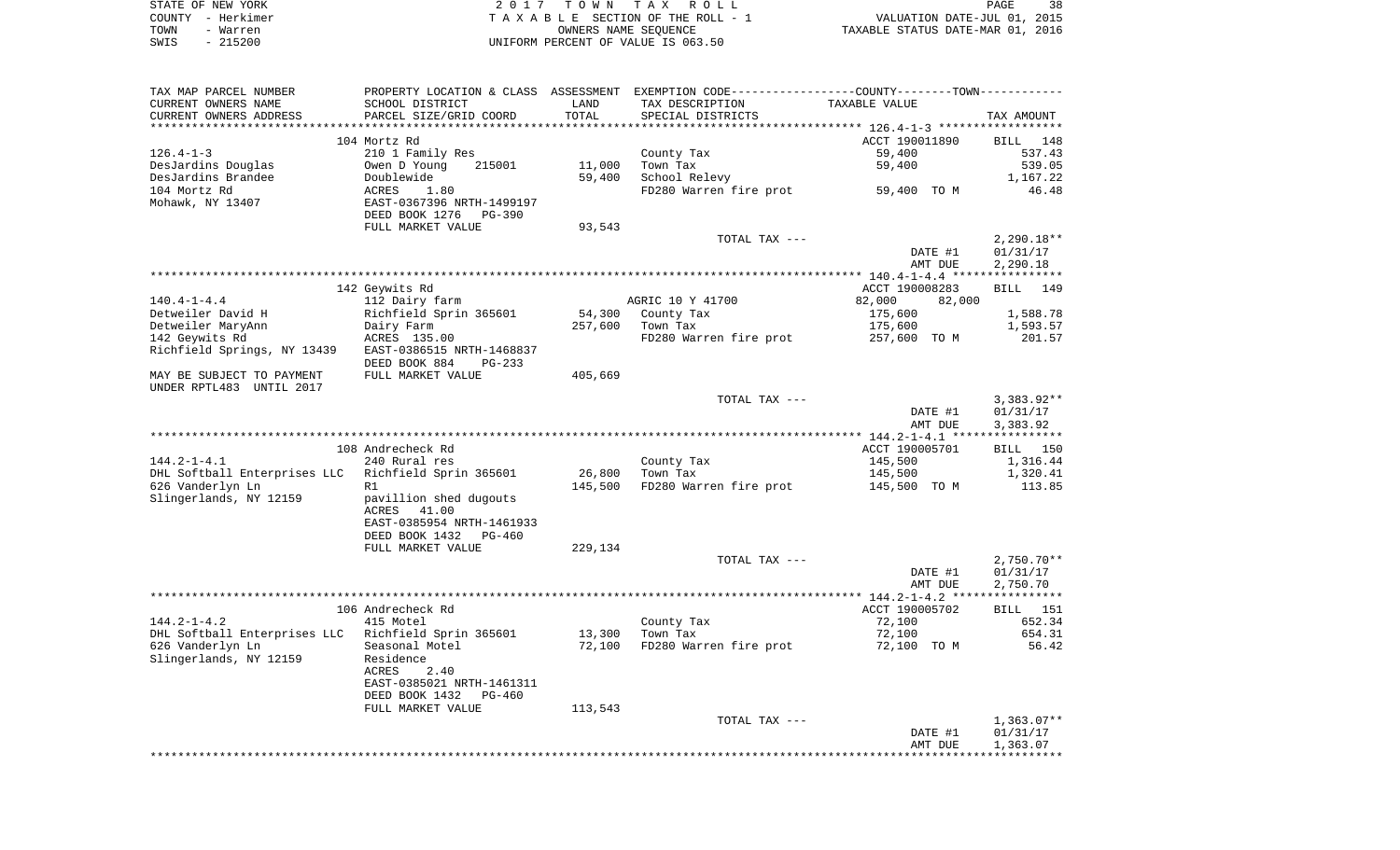|      | STATE OF NEW YORK | 2017 TOWN TAX ROLL                 | 38<br>PAGE                       |
|------|-------------------|------------------------------------|----------------------------------|
|      | COUNTY – Herkimer | TAXABLE SECTION OF THE ROLL - 1    | VALUATION DATE-JUL 01, 2015      |
| TOWN | - Warren          | OWNERS NAME SEOUENCE               | TAXABLE STATUS DATE-MAR 01, 2016 |
| SWIS | $-215200$         | UNIFORM PERCENT OF VALUE IS 063.50 |                                  |

| TAX MAP PARCEL NUMBER                                 |                            |         | PROPERTY LOCATION & CLASS ASSESSMENT EXEMPTION CODE---------------COUNTY-------TOWN--------- |                  |                    |
|-------------------------------------------------------|----------------------------|---------|----------------------------------------------------------------------------------------------|------------------|--------------------|
| CURRENT OWNERS NAME                                   | SCHOOL DISTRICT            | LAND    | TAX DESCRIPTION                                                                              | TAXABLE VALUE    |                    |
| CURRENT OWNERS ADDRESS                                | PARCEL SIZE/GRID COORD     | TOTAL   | SPECIAL DISTRICTS                                                                            |                  | TAX AMOUNT         |
| *********************                                 |                            |         |                                                                                              |                  |                    |
|                                                       | 104 Mortz Rd               |         |                                                                                              | ACCT 190011890   | BILL 148           |
| $126.4 - 1 - 3$                                       | 210 1 Family Res           |         | County Tax                                                                                   | 59,400           | 537.43             |
| DesJardins Douglas                                    | 215001<br>Owen D Young     | 11,000  | Town Tax                                                                                     | 59,400           | 539.05             |
| DesJardins Brandee                                    | Doublewide                 | 59,400  | School Relevy                                                                                |                  | 1,167.22           |
| 104 Mortz Rd                                          | ACRES<br>1.80              |         | FD280 Warren fire prot                                                                       | 59,400 TO M      | 46.48              |
| Mohawk, NY 13407                                      | EAST-0367396 NRTH-1499197  |         |                                                                                              |                  |                    |
|                                                       | DEED BOOK 1276<br>PG-390   |         |                                                                                              |                  |                    |
|                                                       | FULL MARKET VALUE          | 93,543  |                                                                                              |                  |                    |
|                                                       |                            |         | TOTAL TAX ---                                                                                |                  | $2,290.18**$       |
|                                                       |                            |         |                                                                                              | DATE #1          | 01/31/17           |
|                                                       |                            |         |                                                                                              | AMT DUE          | 2,290.18           |
|                                                       |                            |         |                                                                                              |                  |                    |
|                                                       | 142 Geywits Rd             |         |                                                                                              | ACCT 190008283   | <b>BILL</b><br>149 |
| $140.4 - 1 - 4.4$                                     | 112 Dairy farm             |         | AGRIC 10 Y 41700                                                                             | 82,000<br>82,000 |                    |
| Detweiler David H                                     | Richfield Sprin 365601     |         | 54,300 County Tax                                                                            | 175,600          | 1,588.78           |
| Detweiler MaryAnn                                     | Dairy Farm                 | 257,600 | Town Tax                                                                                     | 175,600          | 1,593.57           |
| 142 Geywits Rd                                        | ACRES 135.00               |         | FD280 Warren fire prot                                                                       | 257,600 TO M     | 201.57             |
| Richfield Springs, NY 13439 EAST-0386515 NRTH-1468837 | DEED BOOK 884<br>$PG-233$  |         |                                                                                              |                  |                    |
| MAY BE SUBJECT TO PAYMENT                             | FULL MARKET VALUE          | 405,669 |                                                                                              |                  |                    |
| UNDER RPTL483 UNTIL 2017                              |                            |         |                                                                                              |                  |                    |
|                                                       |                            |         | TOTAL TAX ---                                                                                |                  | $3,383.92**$       |
|                                                       |                            |         |                                                                                              | DATE #1          | 01/31/17           |
|                                                       |                            |         |                                                                                              | AMT DUE          | 3,383.92           |
|                                                       |                            |         |                                                                                              |                  |                    |
|                                                       | 108 Andrecheck Rd          |         |                                                                                              | ACCT 190005701   | BILL 150           |
| $144.2 - 1 - 4.1$                                     | 240 Rural res              |         | County Tax                                                                                   | 145,500          | 1,316.44           |
| DHL Softball Enterprises LLC Richfield Sprin 365601   |                            | 26,800  | Town Tax                                                                                     | 145,500          | 1,320.41           |
| 626 Vanderlyn Ln                                      | R1                         | 145,500 | FD280 Warren fire prot                                                                       | 145,500 TO M     | 113.85             |
| Slingerlands, NY 12159                                | pavillion shed dugouts     |         |                                                                                              |                  |                    |
|                                                       | ACRES 41.00                |         |                                                                                              |                  |                    |
|                                                       | EAST-0385954 NRTH-1461933  |         |                                                                                              |                  |                    |
|                                                       | DEED BOOK 1432<br>PG-460   |         |                                                                                              |                  |                    |
|                                                       | FULL MARKET VALUE          | 229,134 |                                                                                              |                  |                    |
|                                                       |                            |         | TOTAL TAX ---                                                                                |                  | $2,750.70**$       |
|                                                       |                            |         |                                                                                              | DATE #1          | 01/31/17           |
|                                                       |                            |         |                                                                                              | AMT DUE          | 2,750.70           |
|                                                       |                            |         |                                                                                              |                  |                    |
|                                                       | 106 Andrecheck Rd          |         |                                                                                              | ACCT 190005702   | BILL 151           |
| $144.2 - 1 - 4.2$                                     | 415 Motel                  |         | County Tax                                                                                   | 72,100           | 652.34             |
| DHL Softball Enterprises LLC  Richfield Sprin 365601  |                            | 13,300  | Town Tax                                                                                     | 72,100           | 654.31             |
| 626 Vanderlyn Ln                                      | Seasonal Motel             | 72,100  | FD280 Warren fire prot                                                                       | 72,100 TO M      | 56.42              |
| Slingerlands, NY 12159                                | Residence                  |         |                                                                                              |                  |                    |
|                                                       | ACRES<br>2.40              |         |                                                                                              |                  |                    |
|                                                       | EAST-0385021 NRTH-1461311  |         |                                                                                              |                  |                    |
|                                                       | DEED BOOK 1432<br>$PG-460$ |         |                                                                                              |                  |                    |
|                                                       | FULL MARKET VALUE          | 113,543 |                                                                                              |                  |                    |
|                                                       |                            |         | TOTAL TAX ---                                                                                |                  | $1,363.07**$       |
|                                                       |                            |         |                                                                                              | DATE #1          | 01/31/17           |
|                                                       |                            |         |                                                                                              | AMT DUE          | 1,363.07           |
|                                                       |                            |         |                                                                                              |                  |                    |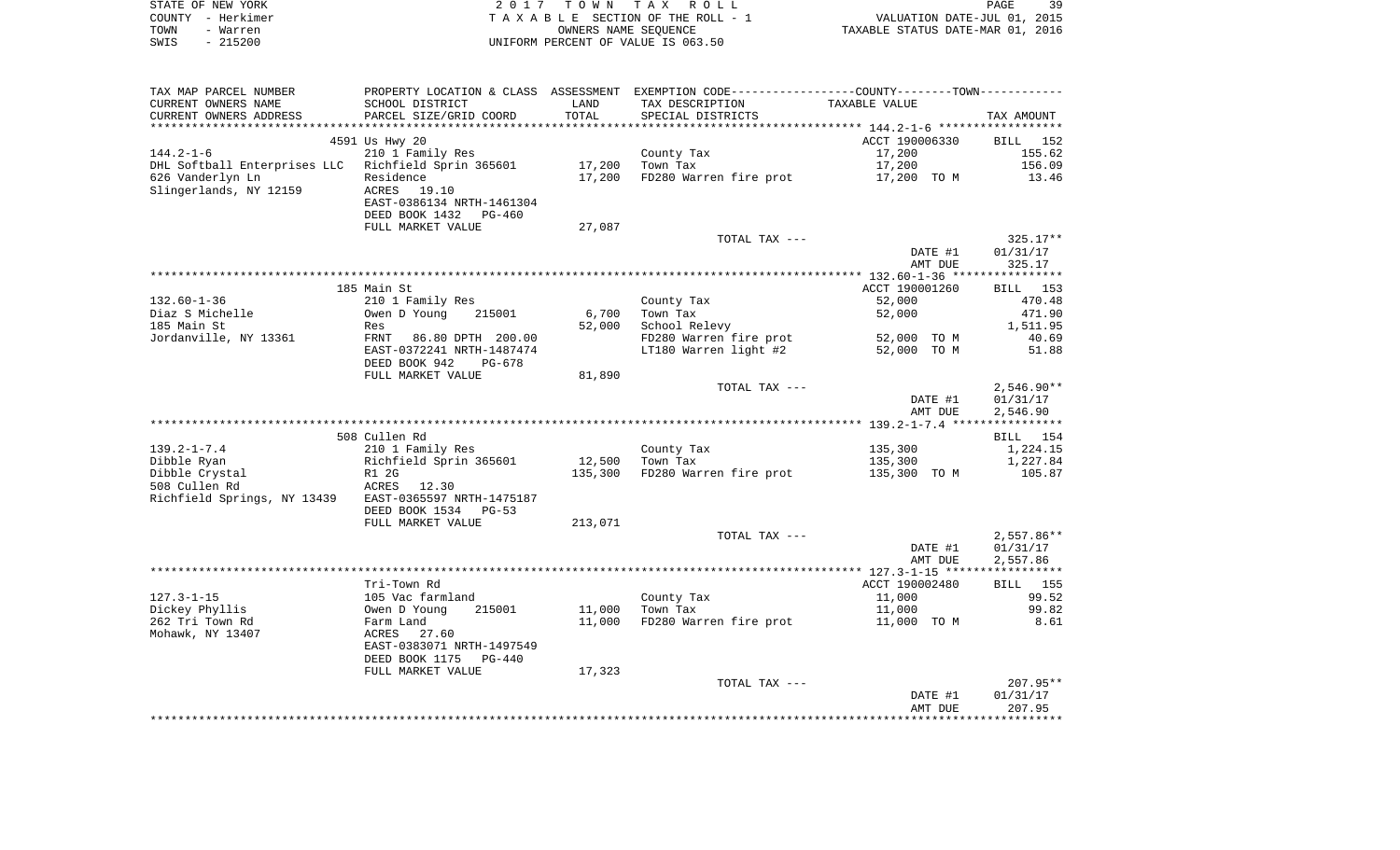|      | STATE OF NEW YORK | 2017 TOWN TAX ROLL                 |                                  | PAGE | 39 |
|------|-------------------|------------------------------------|----------------------------------|------|----|
|      | COUNTY - Herkimer | TAXABLE SECTION OF THE ROLL - 1    | VALUATION DATE-JUL 01, 2015      |      |    |
| TOWN | - Warren          | OWNERS NAME SEOUENCE               | TAXABLE STATUS DATE-MAR 01, 2016 |      |    |
| SWIS | - 215200          | UNIFORM PERCENT OF VALUE IS 063.50 |                                  |      |    |

| TAX MAP PARCEL NUMBER<br>CURRENT OWNERS NAME | PROPERTY LOCATION & CLASS ASSESSMENT<br>SCHOOL DISTRICT | LAND              | EXEMPTION CODE----------------COUNTY-------TOWN-----------<br>TAX DESCRIPTION | TAXABLE VALUE  |                 |
|----------------------------------------------|---------------------------------------------------------|-------------------|-------------------------------------------------------------------------------|----------------|-----------------|
| CURRENT OWNERS ADDRESS                       | PARCEL SIZE/GRID COORD                                  | TOTAL<br>******** | SPECIAL DISTRICTS                                                             |                | TAX AMOUNT      |
|                                              |                                                         |                   |                                                                               |                |                 |
|                                              | 4591 Us Hwy 20                                          |                   |                                                                               | ACCT 190006330 | BILL<br>152     |
| $144.2 - 1 - 6$                              | 210 1 Family Res                                        |                   | County Tax                                                                    | 17,200         | 155.62          |
| DHL Softball Enterprises LLC                 | Richfield Sprin 365601                                  | 17,200            | Town Tax                                                                      | 17,200         | 156.09          |
| 626 Vanderlyn Ln<br>Slingerlands, NY 12159   | Residence<br><b>ACRES</b><br>19.10                      | 17,200            | FD280 Warren fire prot                                                        | 17,200 TO M    | 13.46           |
|                                              | EAST-0386134 NRTH-1461304                               |                   |                                                                               |                |                 |
|                                              | DEED BOOK 1432<br>PG-460                                |                   |                                                                               |                |                 |
|                                              | FULL MARKET VALUE                                       | 27,087            |                                                                               |                |                 |
|                                              |                                                         |                   | TOTAL TAX ---                                                                 |                | $325.17**$      |
|                                              |                                                         |                   |                                                                               | DATE #1        | 01/31/17        |
|                                              |                                                         |                   |                                                                               | AMT DUE        | 325.17          |
|                                              |                                                         |                   |                                                                               |                |                 |
|                                              | 185 Main St                                             |                   |                                                                               | ACCT 190001260 | 153<br>BILL     |
| $132.60 - 1 - 36$                            | 210 1 Family Res                                        |                   | County Tax                                                                    | 52,000         | 470.48          |
| Diaz S Michelle                              | Owen D Young<br>215001                                  | 6,700             | Town Tax                                                                      | 52,000         | 471.90          |
| 185 Main St                                  | Res                                                     | 52,000            | School Relevy                                                                 |                | 1,511.95        |
| Jordanville, NY 13361                        | FRNT<br>86.80 DPTH 200.00                               |                   | FD280 Warren fire prot                                                        | 52,000 TO M    | 40.69           |
|                                              | EAST-0372241 NRTH-1487474                               |                   | LT180 Warren light #2                                                         | 52,000 TO M    | 51.88           |
|                                              | DEED BOOK 942<br>$PG-678$                               |                   |                                                                               |                |                 |
|                                              | FULL MARKET VALUE                                       | 81,890            |                                                                               |                |                 |
|                                              |                                                         |                   | TOTAL TAX ---                                                                 |                | $2,546.90**$    |
|                                              |                                                         |                   |                                                                               | DATE #1        | 01/31/17        |
|                                              |                                                         |                   |                                                                               | AMT DUE        | 2,546.90        |
|                                              |                                                         |                   |                                                                               |                |                 |
|                                              | 508 Cullen Rd                                           |                   |                                                                               |                | <b>BILL</b> 154 |
| $139.2 - 1 - 7.4$                            | 210 1 Family Res                                        |                   | County Tax                                                                    | 135,300        | 1,224.15        |
| Dibble Ryan                                  | Richfield Sprin 365601                                  | 12,500            | Town Tax                                                                      | 135,300        | 1,227.84        |
| Dibble Crystal                               | R1 2G                                                   | 135,300           | FD280 Warren fire prot                                                        | 135,300 TO M   | 105.87          |
| 508 Cullen Rd                                | ACRES 12.30<br>EAST-0365597 NRTH-1475187                |                   |                                                                               |                |                 |
| Richfield Springs, NY 13439                  | DEED BOOK 1534<br>$PG-53$                               |                   |                                                                               |                |                 |
|                                              | FULL MARKET VALUE                                       | 213,071           |                                                                               |                |                 |
|                                              |                                                         |                   | TOTAL TAX ---                                                                 |                | $2,557.86**$    |
|                                              |                                                         |                   |                                                                               | DATE #1        | 01/31/17        |
|                                              |                                                         |                   |                                                                               | AMT DUE        | 2,557.86        |
|                                              |                                                         |                   |                                                                               |                |                 |
|                                              | Tri-Town Rd                                             |                   |                                                                               | ACCT 190002480 | BILL 155        |
| $127.3 - 1 - 15$                             | 105 Vac farmland                                        |                   | County Tax                                                                    | 11,000         | 99.52           |
| Dickey Phyllis                               | Owen D Young<br>215001                                  | 11,000            | Town Tax                                                                      | 11,000         | 99.82           |
| 262 Tri Town Rd                              | Farm Land                                               | 11,000            | FD280 Warren fire prot                                                        | 11,000 TO M    | 8.61            |
| Mohawk, NY 13407                             | ACRES 27.60                                             |                   |                                                                               |                |                 |
|                                              | EAST-0383071 NRTH-1497549                               |                   |                                                                               |                |                 |
|                                              | DEED BOOK 1175<br>$PG-440$                              |                   |                                                                               |                |                 |
|                                              | FULL MARKET VALUE                                       | 17,323            |                                                                               |                |                 |
|                                              |                                                         |                   | TOTAL TAX ---                                                                 |                | 207.95**        |
|                                              |                                                         |                   |                                                                               | DATE #1        | 01/31/17        |
|                                              |                                                         |                   |                                                                               | AMT DUE        | 207.95          |
|                                              |                                                         |                   |                                                                               |                |                 |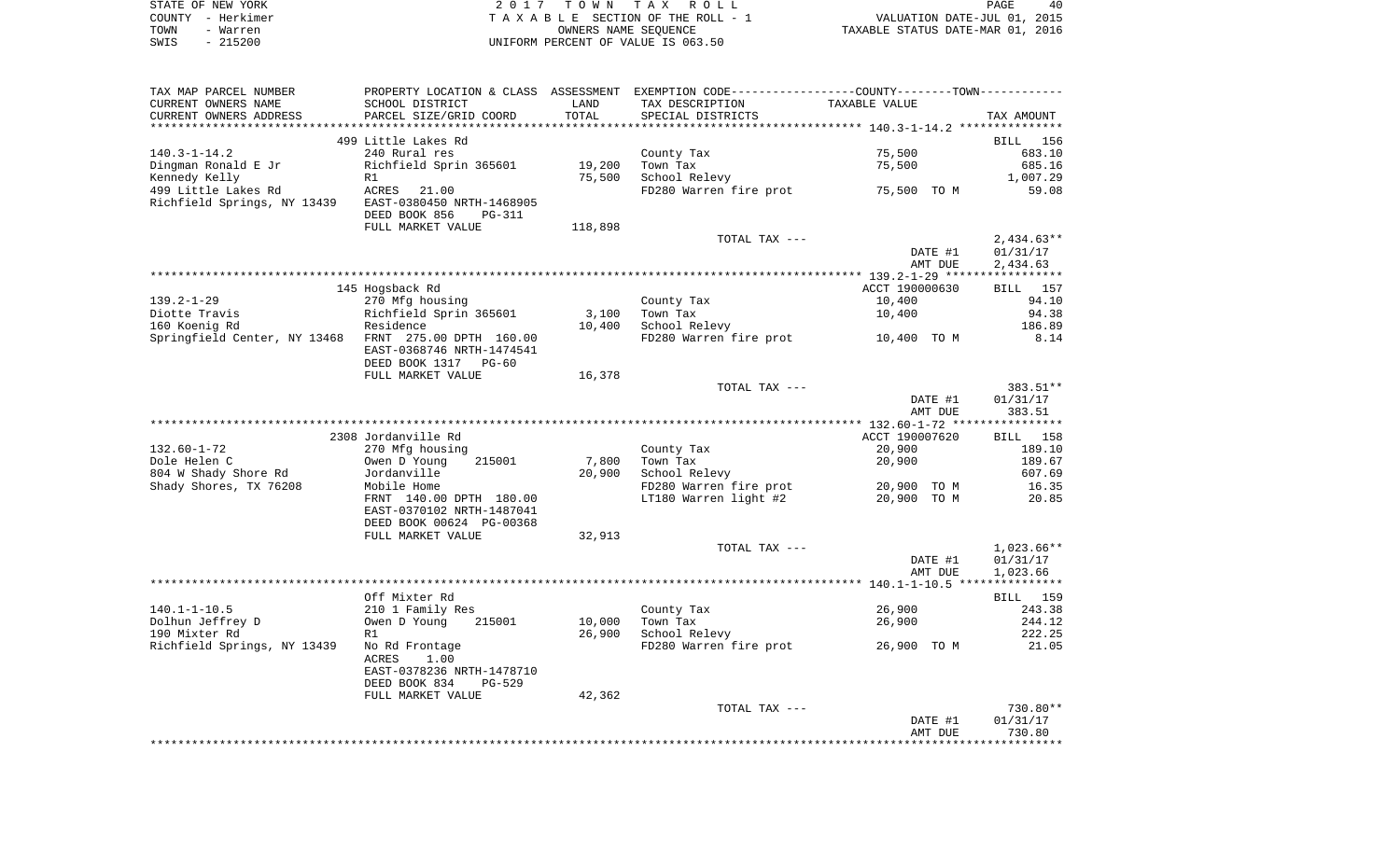|      | STATE OF NEW YORK | 2017 TOWN TAX ROLL                 |                                  | <b>PAGE</b> | 40 |
|------|-------------------|------------------------------------|----------------------------------|-------------|----|
|      | COUNTY – Herkimer | TAXABLE SECTION OF THE ROLL - 1    | VALUATION DATE-JUL 01, 2015      |             |    |
| TOWN | - Warren          | OWNERS NAME SEOUENCE               | TAXABLE STATUS DATE-MAR 01, 2016 |             |    |
| SWIS | - 215200          | UNIFORM PERCENT OF VALUE IS 063.50 |                                  |             |    |

| TAX MAP PARCEL NUMBER                                | PROPERTY LOCATION & CLASS ASSESSMENT EXEMPTION CODE---------------COUNTY-------TOWN--------- |         |                        |                |              |
|------------------------------------------------------|----------------------------------------------------------------------------------------------|---------|------------------------|----------------|--------------|
| CURRENT OWNERS NAME                                  | SCHOOL DISTRICT                                                                              | LAND    | TAX DESCRIPTION        | TAXABLE VALUE  |              |
| CURRENT OWNERS ADDRESS                               | PARCEL SIZE/GRID COORD                                                                       | TOTAL   | SPECIAL DISTRICTS      |                | TAX AMOUNT   |
|                                                      |                                                                                              |         |                        |                |              |
|                                                      | 499 Little Lakes Rd                                                                          |         |                        |                | BILL 156     |
| $140.3 - 1 - 14.2$                                   | 240 Rural res                                                                                |         | County Tax             | 75,500         | 683.10       |
| Dingman Ronald E Jr                                  | Richfield Sprin 365601                                                                       | 19,200  | Town Tax               | 75,500         | 685.16       |
| Kennedy Kelly                                        | R1                                                                                           | 75,500  | School Relevy          |                | 1,007.29     |
| 499 Little Lakes Rd                                  | ACRES<br>21.00                                                                               |         | FD280 Warren fire prot | 75,500 TO M    | 59.08        |
| Richfield Springs, NY 13439                          | EAST-0380450 NRTH-1468905                                                                    |         |                        |                |              |
|                                                      | DEED BOOK 856<br>PG-311                                                                      |         |                        |                |              |
|                                                      | FULL MARKET VALUE                                                                            | 118,898 |                        |                |              |
|                                                      |                                                                                              |         | TOTAL TAX ---          |                | $2,434.63**$ |
|                                                      |                                                                                              |         |                        | DATE #1        | 01/31/17     |
|                                                      |                                                                                              |         |                        | AMT DUE        | 2,434.63     |
|                                                      |                                                                                              |         |                        |                |              |
|                                                      | 145 Hogsback Rd                                                                              |         |                        | ACCT 190000630 | BILL 157     |
| $139.2 - 1 - 29$                                     | 270 Mfg housing                                                                              |         | County Tax             | 10,400         | 94.10        |
| Diotte Travis                                        | Richfield Sprin 365601                                                                       | 3,100   | Town Tax               | 10,400         | 94.38        |
| 160 Koenig Rd                                        | Residence                                                                                    | 10,400  | School Relevy          |                | 186.89       |
| Springfield Center, NY 13468 FRNT 275.00 DPTH 160.00 |                                                                                              |         | FD280 Warren fire prot |                | 8.14         |
|                                                      |                                                                                              |         |                        | 10,400 TO M    |              |
|                                                      | EAST-0368746 NRTH-1474541                                                                    |         |                        |                |              |
|                                                      | DEED BOOK 1317 PG-60                                                                         |         |                        |                |              |
|                                                      | FULL MARKET VALUE                                                                            | 16,378  |                        |                |              |
|                                                      |                                                                                              |         | TOTAL TAX ---          |                | 383.51**     |
|                                                      |                                                                                              |         |                        | DATE #1        | 01/31/17     |
|                                                      |                                                                                              |         |                        | AMT DUE        | 383.51       |
|                                                      |                                                                                              |         |                        |                |              |
|                                                      | 2308 Jordanville Rd                                                                          |         |                        | ACCT 190007620 | BILL 158     |
| $132.60 - 1 - 72$                                    | 270 Mfg housing                                                                              |         | County Tax             | 20,900         | 189.10       |
| Dole Helen C                                         | Owen D Young<br>215001                                                                       | 7,800   | Town Tax               | 20,900         | 189.67       |
| 804 W Shady Shore Rd                                 | Jordanville                                                                                  | 20,900  | School Relevy          |                | 607.69       |
| Shady Shores, TX 76208                               | Mobile Home                                                                                  |         | FD280 Warren fire prot | 20,900 TO M    | 16.35        |
|                                                      | FRNT 140.00 DPTH 180.00                                                                      |         | LT180 Warren light #2  | 20,900 TO M    | 20.85        |
|                                                      | EAST-0370102 NRTH-1487041                                                                    |         |                        |                |              |
|                                                      | DEED BOOK 00624 PG-00368                                                                     |         |                        |                |              |
|                                                      | FULL MARKET VALUE                                                                            | 32,913  |                        |                |              |
|                                                      |                                                                                              |         | TOTAL TAX ---          |                | $1,023.66**$ |
|                                                      |                                                                                              |         |                        | DATE #1        | 01/31/17     |
|                                                      |                                                                                              |         |                        | AMT DUE        | 1,023.66     |
|                                                      |                                                                                              |         |                        |                |              |
|                                                      | Off Mixter Rd                                                                                |         |                        |                | BILL 159     |
| $140.1 - 1 - 10.5$                                   | 210 1 Family Res                                                                             |         | County Tax             | 26,900         | 243.38       |
| Dolhun Jeffrey D                                     | Owen D Young<br>215001                                                                       | 10,000  | Town Tax               | 26,900         | 244.12       |
| 190 Mixter Rd                                        | R1                                                                                           | 26,900  | School Relevy          |                | 222.25       |
| Richfield Springs, NY 13439                          | No Rd Frontage                                                                               |         | FD280 Warren fire prot | 26,900 TO M    | 21.05        |
|                                                      | 1.00<br>ACRES                                                                                |         |                        |                |              |
|                                                      | EAST-0378236 NRTH-1478710                                                                    |         |                        |                |              |
|                                                      | DEED BOOK 834<br>$PG-529$                                                                    |         |                        |                |              |
|                                                      | FULL MARKET VALUE                                                                            | 42,362  |                        |                |              |
|                                                      |                                                                                              |         | TOTAL TAX ---          |                | 730.80**     |
|                                                      |                                                                                              |         |                        | DATE #1        | 01/31/17     |
|                                                      |                                                                                              |         |                        | AMT DUE        | 730.80       |
|                                                      |                                                                                              |         |                        |                |              |
|                                                      |                                                                                              |         |                        |                |              |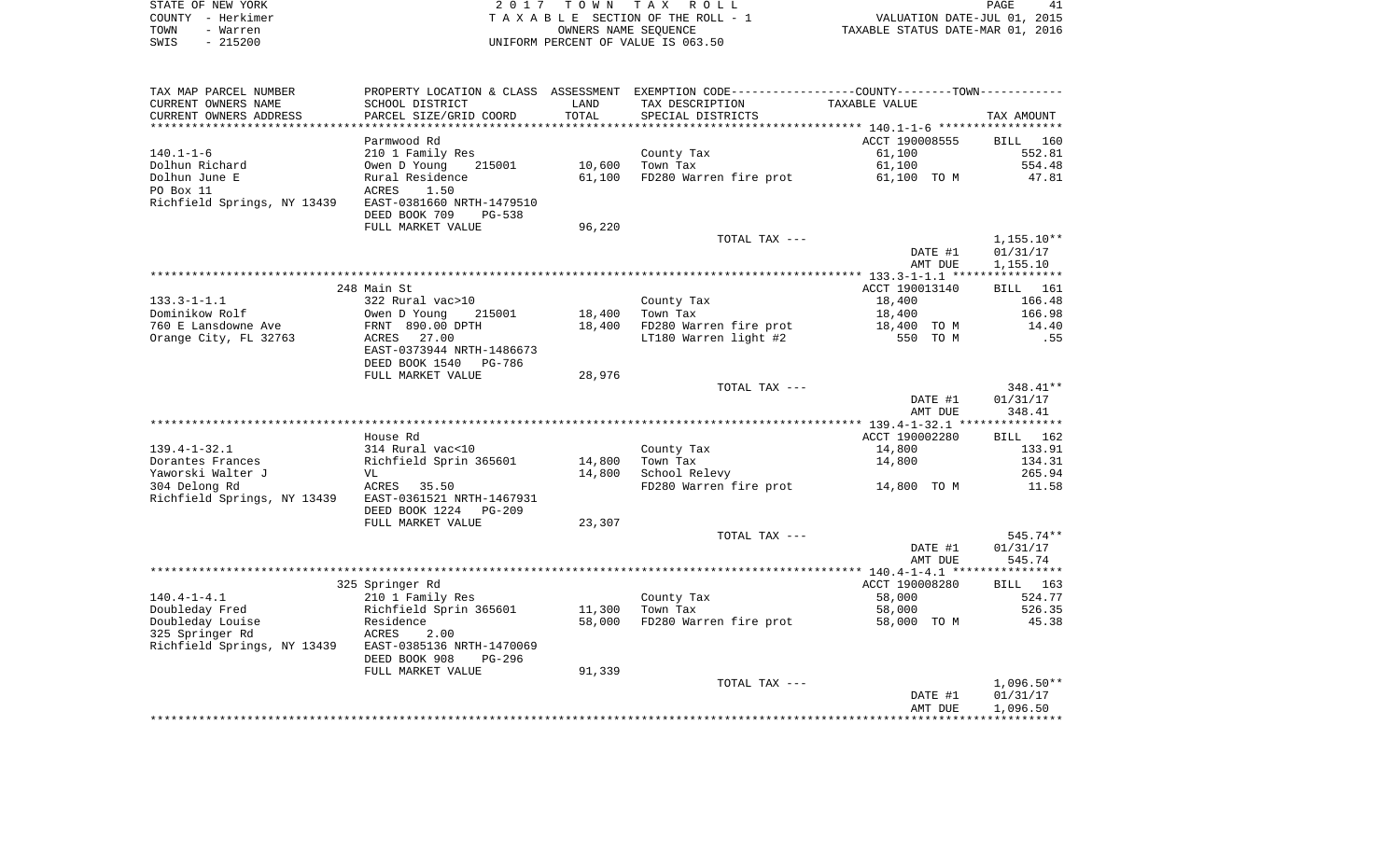|      | STATE OF NEW YORK | 2017 TOWN TAX ROLL                 | PAGE                             |
|------|-------------------|------------------------------------|----------------------------------|
|      | COUNTY - Herkimer | TAXABLE SECTION OF THE ROLL - 1    | VALUATION DATE-JUL 01, 2015      |
| TOWN | - Warren          | OWNERS NAME SEOUENCE               | TAXABLE STATUS DATE-MAR 01, 2016 |
| SWIS | $-215200$         | UNIFORM PERCENT OF VALUE IS 063.50 |                                  |

| TAX MAP PARCEL NUMBER       |                                |        | PROPERTY LOCATION & CLASS ASSESSMENT EXEMPTION CODE----------------COUNTY-------TOWN---------- |                |              |
|-----------------------------|--------------------------------|--------|------------------------------------------------------------------------------------------------|----------------|--------------|
| CURRENT OWNERS NAME         | SCHOOL DISTRICT                | LAND   | TAX DESCRIPTION                                                                                | TAXABLE VALUE  |              |
| CURRENT OWNERS ADDRESS      | PARCEL SIZE/GRID COORD         | TOTAL  | SPECIAL DISTRICTS                                                                              |                | TAX AMOUNT   |
| *************************   |                                |        |                                                                                                |                |              |
|                             | Parmwood Rd                    |        |                                                                                                | ACCT 190008555 | BILL 160     |
| $140.1 - 1 - 6$             | 210 1 Family Res               |        | County Tax                                                                                     | 61,100         | 552.81       |
| Dolhun Richard              | 215001<br>Owen D Young         | 10,600 | Town Tax                                                                                       | 61,100         | 554.48       |
| Dolhun June E               | Rural Residence                | 61,100 | FD280 Warren fire prot                                                                         | 61,100 TO M    | 47.81        |
| PO Box 11                   | ACRES<br>1.50                  |        |                                                                                                |                |              |
| Richfield Springs, NY 13439 | EAST-0381660 NRTH-1479510      |        |                                                                                                |                |              |
|                             | DEED BOOK 709<br><b>PG-538</b> |        |                                                                                                |                |              |
|                             | FULL MARKET VALUE              | 96,220 |                                                                                                |                |              |
|                             |                                |        | TOTAL TAX ---                                                                                  |                | $1,155.10**$ |
|                             |                                |        |                                                                                                | DATE #1        | 01/31/17     |
|                             |                                |        |                                                                                                | AMT DUE        | 1,155.10     |
|                             |                                |        |                                                                                                |                |              |
|                             | 248 Main St                    |        |                                                                                                | ACCT 190013140 | BILL 161     |
| $133.3 - 1 - 1.1$           | 322 Rural vac>10               |        | County Tax                                                                                     | 18,400         | 166.48       |
| Dominikow Rolf              | Owen D Young<br>215001         | 18,400 | Town Tax                                                                                       | 18,400         | 166.98       |
| 760 E Lansdowne Ave         | FRNT 890.00 DPTH               | 18,400 | FD280 Warren fire prot                                                                         | 18,400 TO M    | 14.40        |
| Orange City, FL 32763       | ACRES<br>27.00                 |        | LT180 Warren light #2                                                                          | 550 TO M       | .55          |
|                             | EAST-0373944 NRTH-1486673      |        |                                                                                                |                |              |
|                             | DEED BOOK 1540<br>PG-786       |        |                                                                                                |                |              |
|                             | FULL MARKET VALUE              | 28,976 |                                                                                                |                |              |
|                             |                                |        | TOTAL TAX ---                                                                                  |                | 348.41**     |
|                             |                                |        |                                                                                                | DATE #1        | 01/31/17     |
|                             |                                |        |                                                                                                | AMT DUE        | 348.41       |
|                             |                                |        |                                                                                                |                |              |
|                             | House Rd                       |        |                                                                                                | ACCT 190002280 | BILL 162     |
| $139.4 - 1 - 32.1$          | 314 Rural vac<10               |        | County Tax                                                                                     | 14,800         | 133.91       |
| Dorantes Frances            | Richfield Sprin 365601         | 14,800 | Town Tax                                                                                       | 14,800         | 134.31       |
| Yaworski Walter J           | VL                             | 14,800 | School Relevy                                                                                  |                | 265.94       |
|                             |                                |        |                                                                                                |                |              |
| 304 Delong Rd               | ACRES 35.50                    |        | FD280 Warren fire prot                                                                         | 14,800 TO M    | 11.58        |
| Richfield Springs, NY 13439 | EAST-0361521 NRTH-1467931      |        |                                                                                                |                |              |
|                             | DEED BOOK 1224<br>PG-209       |        |                                                                                                |                |              |
|                             | FULL MARKET VALUE              | 23,307 |                                                                                                |                |              |
|                             |                                |        | TOTAL TAX ---                                                                                  |                | 545.74**     |
|                             |                                |        |                                                                                                | DATE #1        | 01/31/17     |
|                             |                                |        |                                                                                                | AMT DUE        | 545.74       |
|                             |                                |        |                                                                                                |                |              |
|                             | 325 Springer Rd                |        |                                                                                                | ACCT 190008280 | BILL 163     |
| $140.4 - 1 - 4.1$           | 210 1 Family Res               |        | County Tax                                                                                     | 58,000         | 524.77       |
| Doubleday Fred              | Richfield Sprin 365601         | 11,300 | Town Tax                                                                                       | 58,000         | 526.35       |
| Doubleday Louise            | Residence                      | 58,000 | FD280 Warren fire prot                                                                         | 58,000 TO M    | 45.38        |
| 325 Springer Rd             | ACRES<br>2.00                  |        |                                                                                                |                |              |
| Richfield Springs, NY 13439 | EAST-0385136 NRTH-1470069      |        |                                                                                                |                |              |
|                             | DEED BOOK 908<br>PG-296        |        |                                                                                                |                |              |
|                             | FULL MARKET VALUE              | 91,339 |                                                                                                |                |              |
|                             |                                |        | TOTAL TAX ---                                                                                  |                | $1,096.50**$ |
|                             |                                |        |                                                                                                | DATE #1        | 01/31/17     |
|                             |                                |        |                                                                                                | AMT DUE        | 1,096.50     |
|                             |                                |        |                                                                                                |                |              |
|                             |                                |        |                                                                                                |                |              |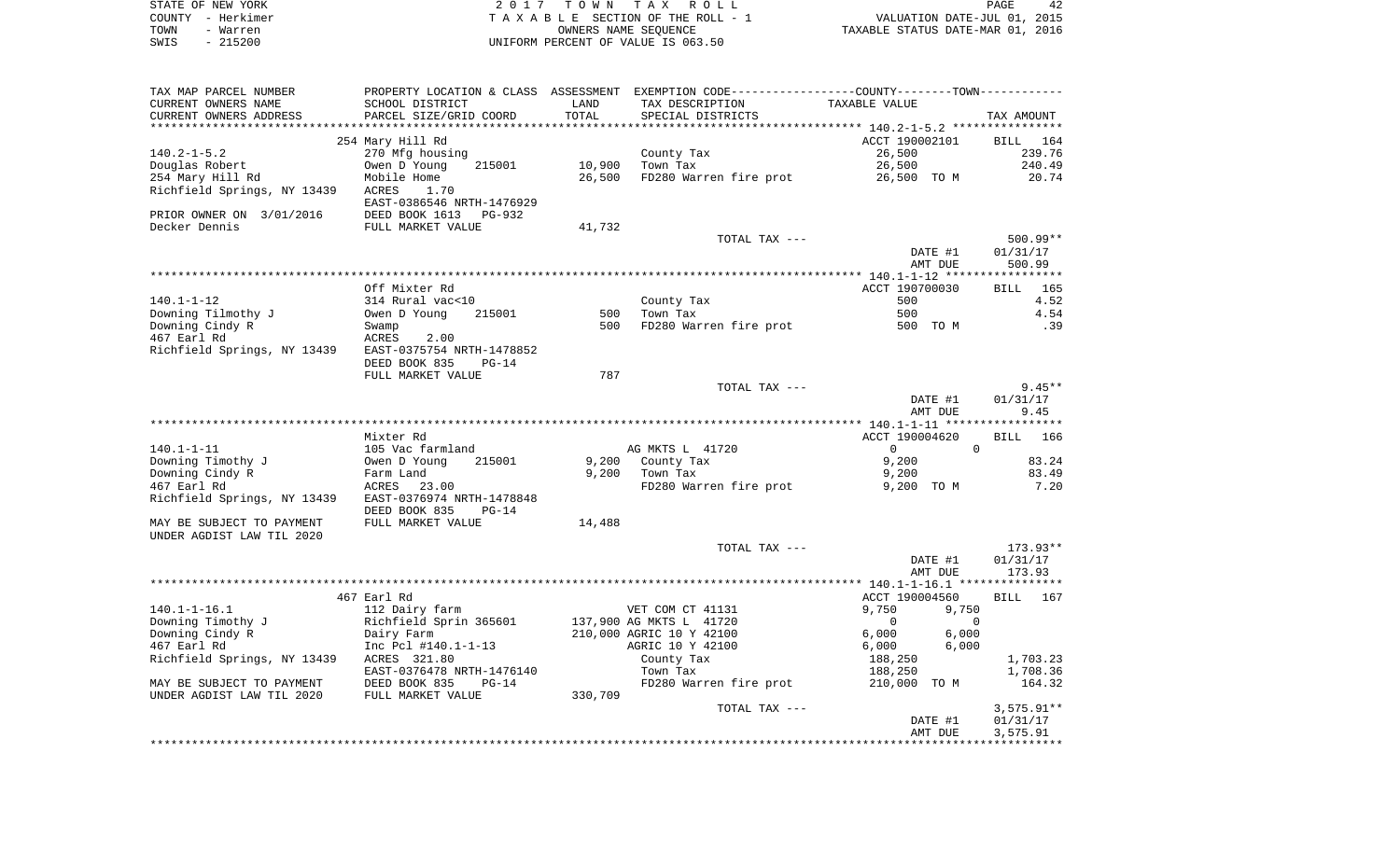|      | STATE OF NEW YORK | 2017 TOWN TAX ROLL                 | PAGE                             | 42 |
|------|-------------------|------------------------------------|----------------------------------|----|
|      | COUNTY - Herkimer | TAXABLE SECTION OF THE ROLL - 1    | VALUATION DATE-JUL 01, 2015      |    |
| TOWN | - Warren          | OWNERS NAME SEOUENCE               | TAXABLE STATUS DATE-MAR 01, 2016 |    |
| SWIS | - 215200          | UNIFORM PERCENT OF VALUE IS 063.50 |                                  |    |

| TAX MAP PARCEL NUMBER       |                           |         | PROPERTY LOCATION & CLASS ASSESSMENT EXEMPTION CODE---------------COUNTY-------TOWN---------- |                            |              |
|-----------------------------|---------------------------|---------|-----------------------------------------------------------------------------------------------|----------------------------|--------------|
| CURRENT OWNERS NAME         | SCHOOL DISTRICT           | LAND    | TAX DESCRIPTION                                                                               | TAXABLE VALUE              |              |
| CURRENT OWNERS ADDRESS      | PARCEL SIZE/GRID COORD    | TOTAL   | SPECIAL DISTRICTS                                                                             |                            | TAX AMOUNT   |
|                             |                           |         |                                                                                               |                            |              |
|                             | 254 Mary Hill Rd          |         |                                                                                               | ACCT 190002101             | BILL 164     |
| $140.2 - 1 - 5.2$           | 270 Mfg housing           |         | County Tax                                                                                    | 26,500                     | 239.76       |
| Douglas Robert              | 215001<br>Owen D Young    | 10,900  | Town Tax                                                                                      | 26,500                     | 240.49       |
| 254 Mary Hill Rd            | Mobile Home               | 26,500  | FD280 Warren fire prot                                                                        | 26,500 TO M                | 20.74        |
| Richfield Springs, NY 13439 | ACRES<br>1.70             |         |                                                                                               |                            |              |
|                             | EAST-0386546 NRTH-1476929 |         |                                                                                               |                            |              |
| PRIOR OWNER ON 3/01/2016    | DEED BOOK 1613<br>PG-932  |         |                                                                                               |                            |              |
| Decker Dennis               | FULL MARKET VALUE         | 41,732  |                                                                                               |                            |              |
|                             |                           |         | TOTAL TAX ---                                                                                 |                            | $500.99**$   |
|                             |                           |         |                                                                                               | DATE #1                    | 01/31/17     |
|                             |                           |         |                                                                                               | AMT DUE                    | 500.99       |
|                             |                           |         |                                                                                               |                            |              |
|                             | Off Mixter Rd             |         |                                                                                               |                            | 165          |
|                             |                           |         |                                                                                               | ACCT 190700030             | <b>BILL</b>  |
| $140.1 - 1 - 12$            | 314 Rural vac<10          |         | County Tax                                                                                    | 500                        | 4.52         |
| Downing Tilmothy J          | Owen D Young<br>215001    | 500     | Town Tax                                                                                      | 500                        | 4.54         |
| Downing Cindy R             | Swamp                     | 500     | FD280 Warren fire prot                                                                        | 500 TO M                   | .39          |
| 467 Earl Rd                 | ACRES<br>2.00             |         |                                                                                               |                            |              |
| Richfield Springs, NY 13439 | EAST-0375754 NRTH-1478852 |         |                                                                                               |                            |              |
|                             | DEED BOOK 835<br>$PG-14$  |         |                                                                                               |                            |              |
|                             | FULL MARKET VALUE         | 787     |                                                                                               |                            |              |
|                             |                           |         | TOTAL TAX ---                                                                                 |                            | $9.45**$     |
|                             |                           |         |                                                                                               | DATE #1                    | 01/31/17     |
|                             |                           |         |                                                                                               | AMT DUE                    | 9.45         |
|                             |                           |         |                                                                                               |                            |              |
|                             | Mixter Rd                 |         |                                                                                               | ACCT 190004620             | 166<br>BILL  |
| $140.1 - 1 - 11$            | 105 Vac farmland          |         | AG MKTS L 41720                                                                               | $\Omega$<br>$\Omega$       |              |
| Downing Timothy J           | Owen D Young<br>215001    | 9,200   | County Tax                                                                                    | 9,200                      | 83.24        |
| Downing Cindy R             | Farm Land                 |         | $9,200$ Town Tax                                                                              | 9,200                      | 83.49        |
| 467 Earl Rd                 | ACRES 23.00               |         | FD280 Warren fire prot                                                                        | 9,200 TO M                 | 7.20         |
| Richfield Springs, NY 13439 | EAST-0376974 NRTH-1478848 |         |                                                                                               |                            |              |
|                             | DEED BOOK 835<br>$PG-14$  |         |                                                                                               |                            |              |
| MAY BE SUBJECT TO PAYMENT   | FULL MARKET VALUE         | 14,488  |                                                                                               |                            |              |
| UNDER AGDIST LAW TIL 2020   |                           |         |                                                                                               |                            |              |
|                             |                           |         | TOTAL TAX ---                                                                                 |                            | 173.93**     |
|                             |                           |         |                                                                                               | DATE #1                    | 01/31/17     |
|                             |                           |         |                                                                                               | AMT DUE                    | 173.93       |
|                             |                           |         |                                                                                               |                            |              |
|                             | 467 Earl Rd               |         |                                                                                               | ACCT 190004560             | BILL 167     |
| $140.1 - 1 - 16.1$          | 112 Dairy farm            |         | VET COM CT 41131                                                                              | 9,750<br>9,750             |              |
| Downing Timothy J           | Richfield Sprin 365601    |         | 137,900 AG MKTS L 41720                                                                       | $\mathbf 0$<br>$\mathbf 0$ |              |
| Downing Cindy R             | Dairy Farm                |         | 210,000 AGRIC 10 Y 42100                                                                      | 6,000<br>6,000             |              |
| 467 Earl Rd                 | Inc Pcl #140.1-1-13       |         | AGRIC 10 Y 42100                                                                              | 6,000<br>6,000             |              |
| Richfield Springs, NY 13439 | ACRES 321.80              |         | County Tax                                                                                    | 188,250                    | 1,703.23     |
|                             | EAST-0376478 NRTH-1476140 |         | Town Tax                                                                                      | 188,250                    | 1,708.36     |
| MAY BE SUBJECT TO PAYMENT   | DEED BOOK 835<br>$PG-14$  |         | FD280 Warren fire prot 210,000 TO M                                                           |                            | 164.32       |
| UNDER AGDIST LAW TIL 2020   | FULL MARKET VALUE         | 330,709 |                                                                                               |                            |              |
|                             |                           |         | TOTAL TAX ---                                                                                 |                            | $3,575.91**$ |
|                             |                           |         |                                                                                               | DATE #1                    | 01/31/17     |
|                             |                           |         |                                                                                               | AMT DUE                    |              |
|                             |                           |         |                                                                                               |                            | 3,575.91     |
|                             |                           |         |                                                                                               |                            |              |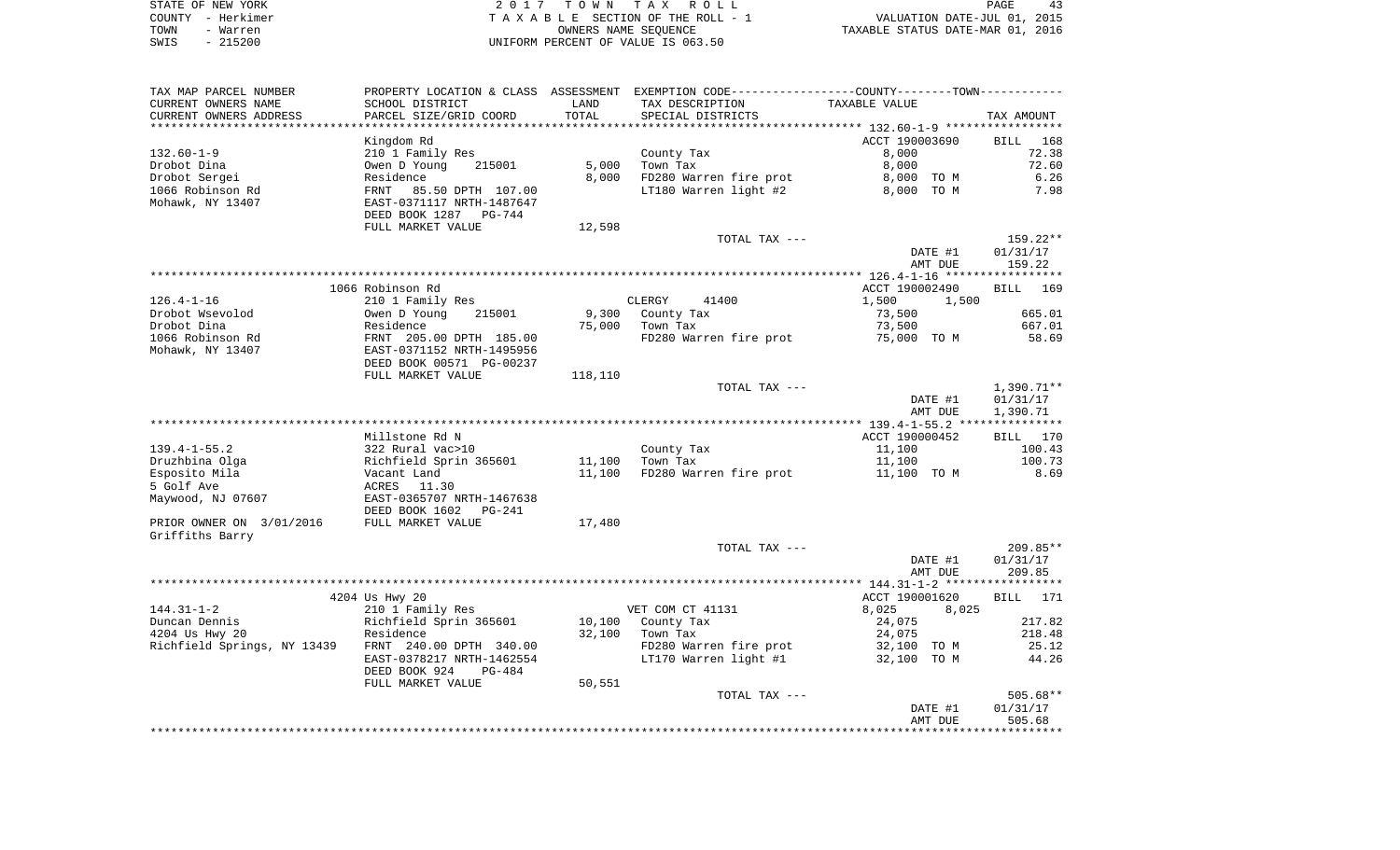|      | STATE OF NEW YORK | 2017 TOWN TAX ROLL                 | PAGE                             |
|------|-------------------|------------------------------------|----------------------------------|
|      | COUNTY - Herkimer | TAXABLE SECTION OF THE ROLL - 1    | VALUATION DATE-JUL 01, 2015      |
| TOWN | - Warren          | OWNERS NAME SEOUENCE               | TAXABLE STATUS DATE-MAR 01, 2016 |
| SWIS | $-215200$         | UNIFORM PERCENT OF VALUE IS 063.50 |                                  |

 $\begin{array}{c} 43 \\ 2015 \\ 2016 \end{array}$ 

| TAX MAP PARCEL NUMBER<br>CURRENT OWNERS NAME                                             | SCHOOL DISTRICT                                                                                                                                             | LAND           | PROPERTY LOCATION & CLASS ASSESSMENT EXEMPTION CODE---------------COUNTY-------TOWN---------<br>TAX DESCRIPTION | TAXABLE VALUE                                                |                                                      |
|------------------------------------------------------------------------------------------|-------------------------------------------------------------------------------------------------------------------------------------------------------------|----------------|-----------------------------------------------------------------------------------------------------------------|--------------------------------------------------------------|------------------------------------------------------|
| CURRENT OWNERS ADDRESS                                                                   | PARCEL SIZE/GRID COORD                                                                                                                                      | TOTAL          | SPECIAL DISTRICTS                                                                                               |                                                              | TAX AMOUNT                                           |
|                                                                                          |                                                                                                                                                             |                |                                                                                                                 |                                                              |                                                      |
| $132.60 - 1 - 9$<br>Drobot Dina<br>Drobot Sergei<br>1066 Robinson Rd<br>Mohawk, NY 13407 | Kingdom Rd<br>210 1 Family Res<br>Owen D Young<br>215001<br>Residence<br>FRNT<br>85.50 DPTH 107.00<br>EAST-0371117 NRTH-1487647<br>DEED BOOK 1287<br>PG-744 | 5,000<br>8,000 | County Tax<br>Town Tax<br>FD280 Warren fire prot<br>LT180 Warren light #2                                       | ACCT 190003690<br>8,000<br>8,000<br>8,000 TO M<br>8,000 TO M | 168<br><b>BILL</b><br>72.38<br>72.60<br>6.26<br>7.98 |
|                                                                                          | FULL MARKET VALUE                                                                                                                                           | 12,598         |                                                                                                                 |                                                              |                                                      |
|                                                                                          |                                                                                                                                                             |                | TOTAL TAX ---                                                                                                   | DATE #1<br>AMT DUE                                           | 159.22**<br>01/31/17<br>159.22                       |
|                                                                                          |                                                                                                                                                             |                |                                                                                                                 |                                                              |                                                      |
| 126.4-1-16                                                                               | 1066 Robinson Rd<br>210 1 Family Res                                                                                                                        |                | CLERGY 41400                                                                                                    | ACCT 190002490<br>1,500<br>1,500                             | <b>BILL</b><br>169                                   |
| Drobot Wsevolod                                                                          | Owen D Young<br>215001                                                                                                                                      | 9,300          | County Tax                                                                                                      | 73,500                                                       | 665.01                                               |
| Drobot Dina                                                                              | Residence                                                                                                                                                   | 75,000         | Town Tax                                                                                                        | 73,500                                                       | 667.01                                               |
| 1066 Robinson Rd<br>Mohawk, NY 13407                                                     | FRNT 205.00 DPTH 185.00<br>EAST-0371152 NRTH-1495956<br>DEED BOOK 00571 PG-00237                                                                            |                | FD280 Warren fire prot                                                                                          | 75,000 TO M                                                  | 58.69                                                |
|                                                                                          | FULL MARKET VALUE                                                                                                                                           | 118,110        |                                                                                                                 |                                                              |                                                      |
|                                                                                          |                                                                                                                                                             |                | TOTAL TAX ---                                                                                                   | DATE #1<br>AMT DUE                                           | $1,390.71**$<br>01/31/17<br>1,390.71                 |
|                                                                                          |                                                                                                                                                             |                |                                                                                                                 |                                                              |                                                      |
|                                                                                          | Millstone Rd N                                                                                                                                              |                |                                                                                                                 | ACCT 190000452                                               | BILL 170                                             |
| $139.4 - 1 - 55.2$                                                                       | 322 Rural vac>10                                                                                                                                            |                | County Tax                                                                                                      | 11,100                                                       | 100.43                                               |
| Druzhbina Olga                                                                           | Richfield Sprin 365601                                                                                                                                      | 11,100         | Town Tax                                                                                                        | 11,100                                                       | 100.73                                               |
| Esposito Mila                                                                            | Vacant Land                                                                                                                                                 | 11,100         | FD280 Warren fire prot                                                                                          | 11,100 TO M                                                  | 8.69                                                 |
| 5 Golf Ave                                                                               | ACRES<br>11.30                                                                                                                                              |                |                                                                                                                 |                                                              |                                                      |
| Maywood, NJ 07607                                                                        | EAST-0365707 NRTH-1467638<br>DEED BOOK 1602<br>PG-241                                                                                                       |                |                                                                                                                 |                                                              |                                                      |
| PRIOR OWNER ON 3/01/2016<br>Griffiths Barry                                              | FULL MARKET VALUE                                                                                                                                           | 17,480         |                                                                                                                 |                                                              |                                                      |
|                                                                                          |                                                                                                                                                             |                | TOTAL TAX ---                                                                                                   |                                                              | 209.85**                                             |
|                                                                                          |                                                                                                                                                             |                |                                                                                                                 | DATE #1<br>AMT DUE                                           | 01/31/17<br>209.85                                   |
|                                                                                          |                                                                                                                                                             |                |                                                                                                                 |                                                              |                                                      |
|                                                                                          | 4204 Us Hwy 20                                                                                                                                              |                |                                                                                                                 | ACCT 190001620                                               | BILL 171                                             |
| $144.31 - 1 - 2$                                                                         | 210 1 Family Res                                                                                                                                            |                | VET COM CT 41131                                                                                                | 8,025<br>8,025                                               |                                                      |
| Duncan Dennis<br>4204 Us Hwy 20                                                          | Richfield Sprin 365601<br>Residence                                                                                                                         | 32,100         | 10,100 County Tax<br>Town Tax                                                                                   | 24,075<br>24,075                                             | 217.82<br>218.48                                     |
| Richfield Springs, NY 13439 FRNT 240.00 DPTH 340.00                                      |                                                                                                                                                             |                | FD280 Warren fire prot                                                                                          | 32,100 TO M                                                  | 25.12                                                |
|                                                                                          | EAST-0378217 NRTH-1462554<br>DEED BOOK 924<br>PG-484                                                                                                        |                | LT170 Warren light #1                                                                                           | 32,100 TO M                                                  | 44.26                                                |
|                                                                                          | FULL MARKET VALUE                                                                                                                                           | 50,551         |                                                                                                                 |                                                              |                                                      |
|                                                                                          |                                                                                                                                                             |                | TOTAL TAX ---                                                                                                   |                                                              | $505.68**$                                           |
|                                                                                          |                                                                                                                                                             |                |                                                                                                                 | DATE #1<br>AMT DUE                                           | 01/31/17<br>505.68                                   |
|                                                                                          |                                                                                                                                                             |                |                                                                                                                 |                                                              | **************                                       |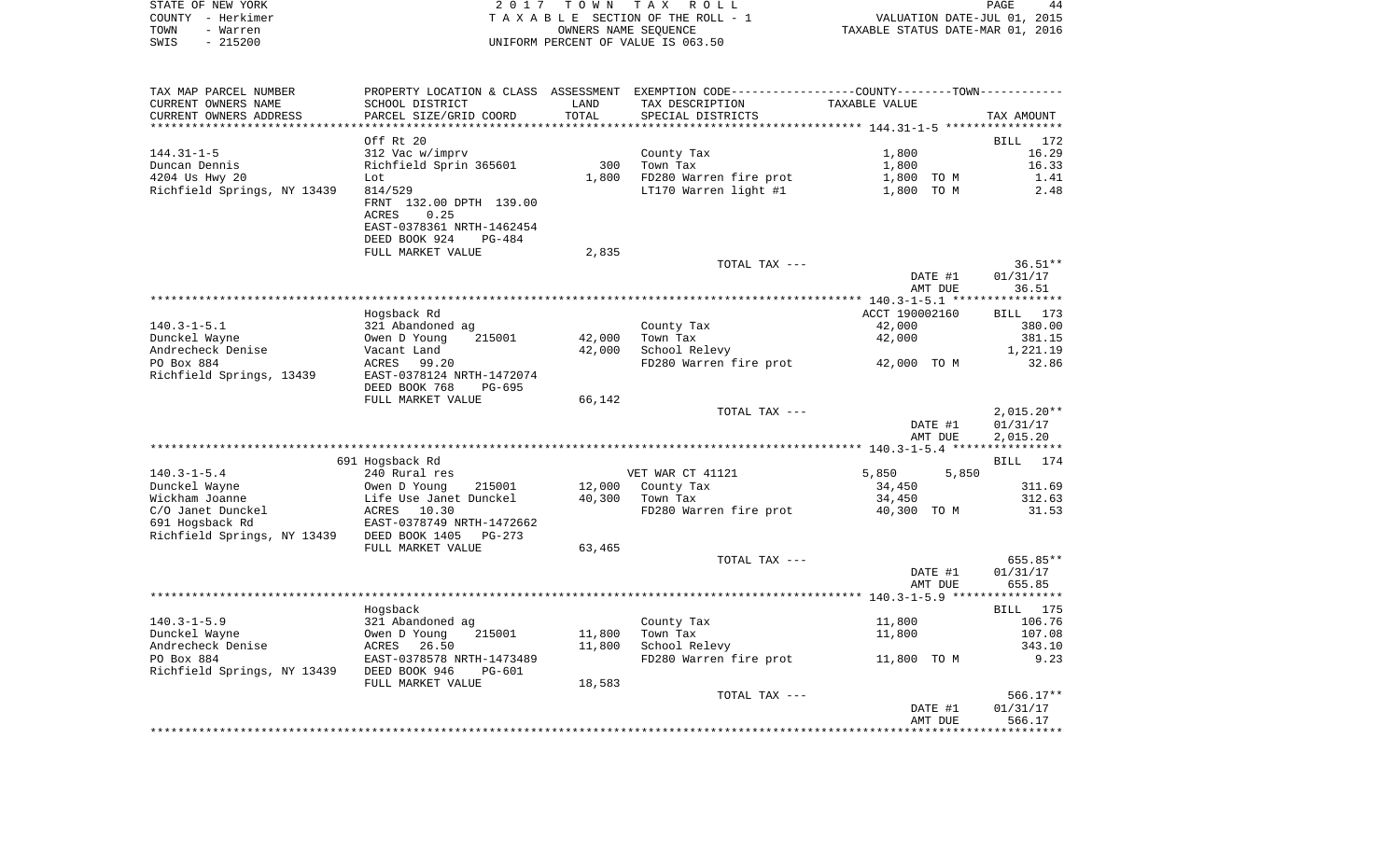| STATE OF NEW YORK | 2017 TOWN TAX ROLL                 | 44<br>PAGE                       |
|-------------------|------------------------------------|----------------------------------|
| COUNTY - Herkimer | TAXABLE SECTION OF THE ROLL - 1    | VALUATION DATE-JUL 01, 2015      |
| TOWN<br>- Warren  | OWNERS NAME SEOUENCE               | TAXABLE STATUS DATE-MAR 01, 2016 |
| $-215200$<br>SWIS | UNIFORM PERCENT OF VALUE IS 063.50 |                                  |

| TAX MAP PARCEL NUMBER                      | PROPERTY LOCATION & CLASS ASSESSMENT |              | EXEMPTION CODE-----------------COUNTY--------TOWN----------- |                |              |
|--------------------------------------------|--------------------------------------|--------------|--------------------------------------------------------------|----------------|--------------|
| CURRENT OWNERS NAME                        | SCHOOL DISTRICT                      | LAND         | TAX DESCRIPTION                                              | TAXABLE VALUE  |              |
| CURRENT OWNERS ADDRESS                     | PARCEL SIZE/GRID COORD               | TOTAL        | SPECIAL DISTRICTS                                            |                | TAX AMOUNT   |
|                                            |                                      | ************ |                                                              |                |              |
|                                            | Off Rt 20                            |              |                                                              |                | BILL<br>172  |
| $144.31 - 1 - 5$                           | 312 Vac w/imprv                      |              | County Tax                                                   | 1,800          | 16.29        |
| Duncan Dennis                              | Richfield Sprin 365601               | 300          | Town Tax                                                     | 1,800          | 16.33        |
| 4204 Us Hwy 20                             | Lot                                  | 1,800        | FD280 Warren fire prot                                       | 1,800 TO M     | 1.41         |
| Richfield Springs, NY 13439                | 814/529                              |              | LT170 Warren light #1                                        | 1,800 TO M     | 2.48         |
|                                            | FRNT 132.00 DPTH 139.00              |              |                                                              |                |              |
|                                            | <b>ACRES</b><br>0.25                 |              |                                                              |                |              |
|                                            | EAST-0378361 NRTH-1462454            |              |                                                              |                |              |
|                                            | DEED BOOK 924<br>PG-484              |              |                                                              |                |              |
|                                            | FULL MARKET VALUE                    | 2,835        | TOTAL TAX ---                                                |                | $36.51**$    |
|                                            |                                      |              |                                                              | DATE #1        | 01/31/17     |
|                                            |                                      |              |                                                              | AMT DUE        | 36.51        |
|                                            |                                      |              |                                                              |                |              |
|                                            | Hogsback Rd                          |              |                                                              | ACCT 190002160 | BILL 173     |
| $140.3 - 1 - 5.1$                          | 321 Abandoned ag                     |              | County Tax                                                   | 42,000         | 380.00       |
| Dunckel Wayne                              | 215001<br>Owen D Young               | 42,000       | Town Tax                                                     | 42,000         | 381.15       |
| Andrecheck Denise                          | Vacant Land                          | 42,000       | School Relevy                                                |                | 1,221.19     |
| PO Box 884                                 | ACRES<br>99.20                       |              | FD280 Warren fire prot                                       | 42,000 TO M    | 32.86        |
| Richfield Springs, 13439                   | EAST-0378124 NRTH-1472074            |              |                                                              |                |              |
|                                            | DEED BOOK 768<br>PG-695              |              |                                                              |                |              |
|                                            | FULL MARKET VALUE                    | 66,142       |                                                              |                |              |
|                                            |                                      |              | TOTAL TAX ---                                                |                | $2,015.20**$ |
|                                            |                                      |              |                                                              | DATE #1        | 01/31/17     |
|                                            |                                      |              |                                                              | AMT DUE        | 2,015.20     |
|                                            | 691 Hogsback Rd                      |              |                                                              |                | BILL 174     |
| $140.3 - 1 - 5.4$                          | 240 Rural res                        |              | VET WAR CT 41121                                             | 5,850<br>5,850 |              |
| Dunckel Wayne                              | Owen D Young<br>215001               | 12,000       | County Tax                                                   | 34,450         | 311.69       |
| Wickham Joanne                             | Life Use Janet Dunckel               | 40,300       | Town Tax                                                     | 34,450         | 312.63       |
| C/O Janet Dunckel                          | 10.30<br>ACRES                       |              | FD280 Warren fire prot                                       | 40,300 TO M    | 31.53        |
| 691 Hogsback Rd                            | EAST-0378749 NRTH-1472662            |              |                                                              |                |              |
| Richfield Springs, NY 13439 DEED BOOK 1405 | $PG-273$                             |              |                                                              |                |              |
|                                            | FULL MARKET VALUE                    | 63,465       |                                                              |                |              |
|                                            |                                      |              | TOTAL TAX ---                                                |                | 655.85**     |
|                                            |                                      |              |                                                              | DATE #1        | 01/31/17     |
|                                            |                                      |              |                                                              | AMT DUE        | 655.85       |
|                                            | Hogsback                             |              |                                                              |                | BILL 175     |
| $140.3 - 1 - 5.9$                          | 321 Abandoned ag                     |              | County Tax                                                   | 11,800         | 106.76       |
| Dunckel Wayne                              | 215001<br>Owen D Young               | 11,800       | Town Tax                                                     | 11,800         | 107.08       |
| Andrecheck Denise                          | 26.50<br>ACRES                       | 11,800       | School Relevy                                                |                | 343.10       |
| PO Box 884                                 | EAST-0378578 NRTH-1473489            |              | FD280 Warren fire prot                                       | 11,800 TO M    | 9.23         |
| Richfield Springs, NY 13439 DEED BOOK 946  | PG-601                               |              |                                                              |                |              |
|                                            | FULL MARKET VALUE                    | 18,583       |                                                              |                |              |
|                                            |                                      |              | TOTAL TAX ---                                                |                | $566.17**$   |
|                                            |                                      |              |                                                              | DATE #1        | 01/31/17     |
|                                            |                                      |              |                                                              | AMT DUE        | 566.17       |
|                                            |                                      |              |                                                              |                |              |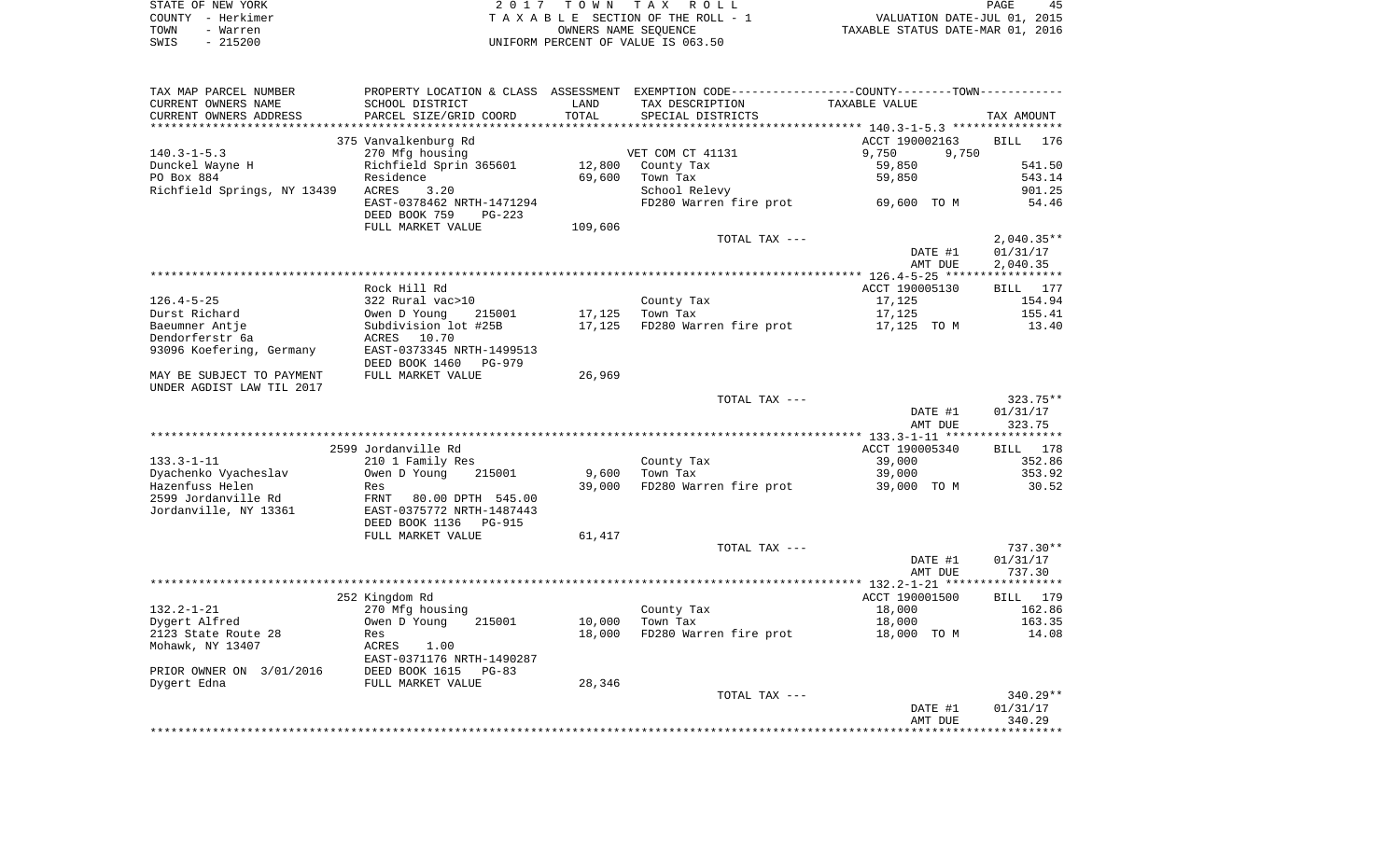| STATE OF NEW YORK |           | 2017 TOWN TAX ROLL                 | PAGE                             | 45 |
|-------------------|-----------|------------------------------------|----------------------------------|----|
| COUNTY - Herkimer |           | TAXABLE SECTION OF THE ROLL - 1    | VALUATION DATE-JUL 01, 2015      |    |
| TOWN              | - Warren  | OWNERS NAME SEOUENCE               | TAXABLE STATUS DATE-MAR 01, 2016 |    |
| SWIS              | $-215200$ | UNIFORM PERCENT OF VALUE IS 063.50 |                                  |    |

| TAX MAP PARCEL NUMBER       |                           |         | PROPERTY LOCATION & CLASS ASSESSMENT EXEMPTION CODE----------------COUNTY--------TOWN----------- |                                                  |              |
|-----------------------------|---------------------------|---------|--------------------------------------------------------------------------------------------------|--------------------------------------------------|--------------|
| CURRENT OWNERS NAME         | SCHOOL DISTRICT           | LAND    | TAX DESCRIPTION                                                                                  | TAXABLE VALUE                                    |              |
| CURRENT OWNERS ADDRESS      | PARCEL SIZE/GRID COORD    | TOTAL   | SPECIAL DISTRICTS                                                                                |                                                  | TAX AMOUNT   |
|                             |                           |         |                                                                                                  | ****************** 140.3-1-5.3 ***************** |              |
|                             | 375 Vanvalkenburg Rd      |         |                                                                                                  | ACCT 190002163                                   | BILL<br>176  |
| $140.3 - 1 - 5.3$           | 270 Mfg housing           |         | VET COM CT 41131                                                                                 | 9,750<br>9,750                                   |              |
| Dunckel Wayne H             | Richfield Sprin 365601    | 12,800  | County Tax                                                                                       | 59,850                                           | 541.50       |
| PO Box 884                  | Residence                 | 69,600  | Town Tax                                                                                         | 59,850                                           | 543.14       |
| Richfield Springs, NY 13439 | ACRES<br>3.20             |         | School Relevy                                                                                    |                                                  | 901.25       |
|                             | EAST-0378462 NRTH-1471294 |         | FD280 Warren fire prot                                                                           | 69,600 TO M                                      | 54.46        |
|                             | DEED BOOK 759<br>$PG-223$ |         |                                                                                                  |                                                  |              |
|                             | FULL MARKET VALUE         | 109,606 |                                                                                                  |                                                  |              |
|                             |                           |         | TOTAL TAX ---                                                                                    |                                                  | $2,040.35**$ |
|                             |                           |         |                                                                                                  | DATE #1                                          | 01/31/17     |
|                             |                           |         |                                                                                                  | AMT DUE                                          | 2,040.35     |
|                             |                           |         |                                                                                                  |                                                  |              |
|                             | Rock Hill Rd              |         |                                                                                                  | ACCT 190005130                                   | BILL 177     |
| $126.4 - 5 - 25$            | 322 Rural vac>10          |         | County Tax                                                                                       | 17,125                                           | 154.94       |
| Durst Richard               | Owen D Young<br>215001    | 17,125  | Town Tax                                                                                         | 17,125                                           | 155.41       |
| Baeumner Antje              | Subdivision lot #25B      | 17,125  | FD280 Warren fire prot                                                                           | 17,125 TO M                                      | 13.40        |
| Dendorferstr 6a             | ACRES<br>10.70            |         |                                                                                                  |                                                  |              |
| 93096 Koefering, Germany    | EAST-0373345 NRTH-1499513 |         |                                                                                                  |                                                  |              |
|                             | DEED BOOK 1460<br>PG-979  |         |                                                                                                  |                                                  |              |
| MAY BE SUBJECT TO PAYMENT   | FULL MARKET VALUE         | 26,969  |                                                                                                  |                                                  |              |
| UNDER AGDIST LAW TIL 2017   |                           |         |                                                                                                  |                                                  |              |
|                             |                           |         | TOTAL TAX ---                                                                                    |                                                  | $323.75**$   |
|                             |                           |         |                                                                                                  | DATE #1                                          | 01/31/17     |
|                             |                           |         |                                                                                                  | AMT DUE                                          | 323.75       |
|                             |                           |         |                                                                                                  |                                                  |              |
|                             | 2599 Jordanville Rd       |         |                                                                                                  | ACCT 190005340                                   | BILL 178     |
| $133.3 - 1 - 11$            | 210 1 Family Res          |         | County Tax                                                                                       | 39,000                                           | 352.86       |
|                             |                           | 9,600   |                                                                                                  | 39,000                                           | 353.92       |
| Dyachenko Vyacheslav        | Owen D Young<br>215001    |         | Town Tax                                                                                         |                                                  |              |
| Hazenfuss Helen             | Res                       | 39,000  | FD280 Warren fire prot                                                                           | 39,000 TO M                                      | 30.52        |
| 2599 Jordanville Rd         | FRNT<br>80.00 DPTH 545.00 |         |                                                                                                  |                                                  |              |
| Jordanville, NY 13361       | EAST-0375772 NRTH-1487443 |         |                                                                                                  |                                                  |              |
|                             | DEED BOOK 1136<br>PG-915  |         |                                                                                                  |                                                  |              |
|                             | FULL MARKET VALUE         | 61,417  |                                                                                                  |                                                  |              |
|                             |                           |         | TOTAL TAX ---                                                                                    |                                                  | $737.30**$   |
|                             |                           |         |                                                                                                  | DATE #1                                          | 01/31/17     |
|                             |                           |         |                                                                                                  | AMT DUE                                          | 737.30       |
|                             |                           |         |                                                                                                  |                                                  |              |
|                             | 252 Kingdom Rd            |         |                                                                                                  | ACCT 190001500                                   | BILL 179     |
| $132.2 - 1 - 21$            | 270 Mfg housing           |         | County Tax                                                                                       | 18,000                                           | 162.86       |
| Dygert Alfred               | Owen D Young<br>215001    | 10,000  | Town Tax                                                                                         | 18,000                                           | 163.35       |
| 2123 State Route 28         | Res                       | 18,000  | FD280 Warren fire prot                                                                           | 18,000 TO M                                      | 14.08        |
| Mohawk, NY 13407            | ACRES<br>1.00             |         |                                                                                                  |                                                  |              |
|                             | EAST-0371176 NRTH-1490287 |         |                                                                                                  |                                                  |              |
| PRIOR OWNER ON 3/01/2016    | DEED BOOK 1615<br>$PG-83$ |         |                                                                                                  |                                                  |              |
| Dygert Edna                 | FULL MARKET VALUE         | 28,346  |                                                                                                  |                                                  |              |
|                             |                           |         | TOTAL TAX ---                                                                                    |                                                  | 340.29**     |
|                             |                           |         |                                                                                                  | DATE #1                                          | 01/31/17     |
|                             |                           |         |                                                                                                  | AMT DUE                                          | 340.29       |
|                             |                           |         |                                                                                                  |                                                  |              |
|                             |                           |         |                                                                                                  |                                                  |              |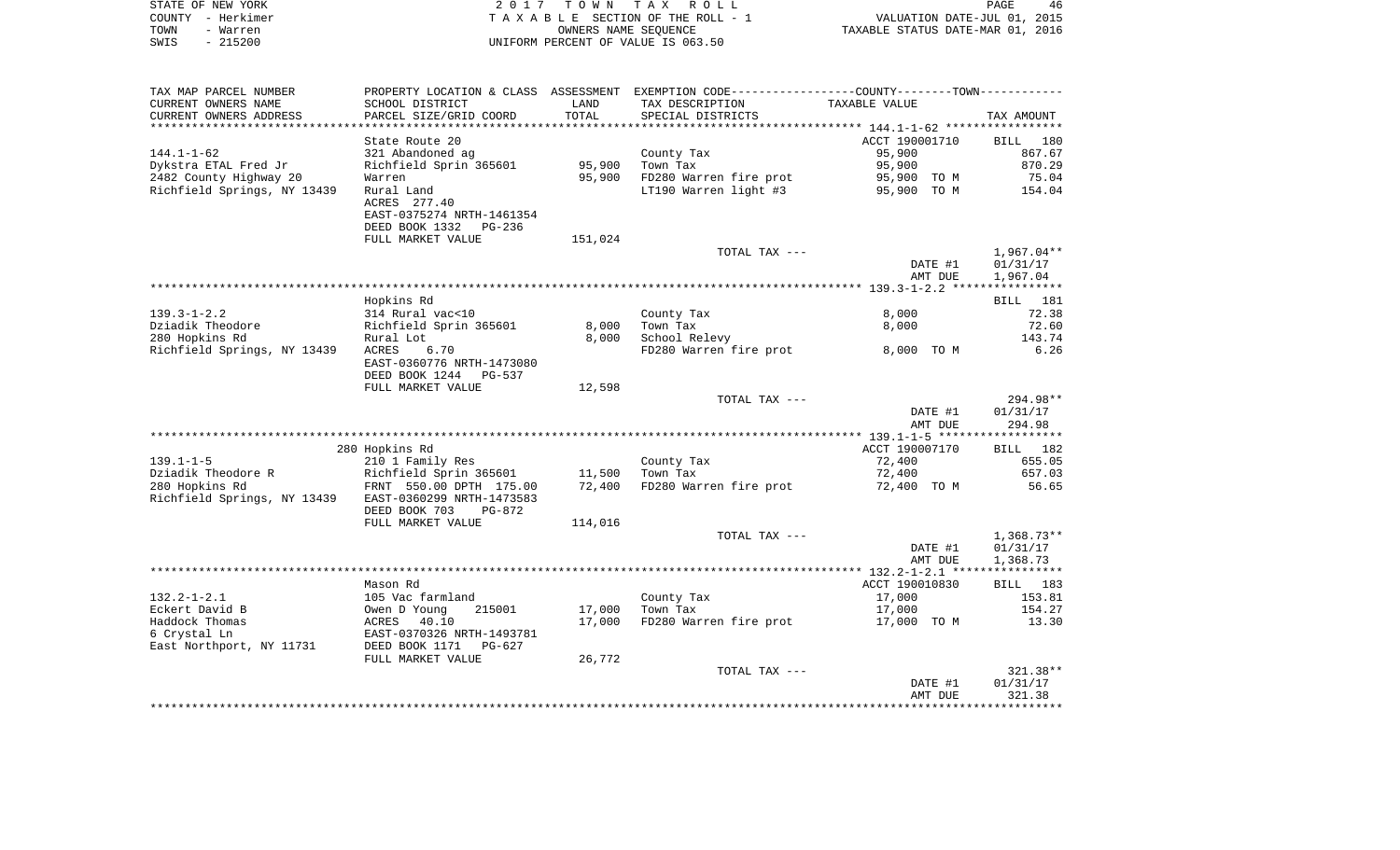| STATE OF NEW YORK |                   | 2017 TOWN TAX ROLL                 | 46<br>PAGE                       |
|-------------------|-------------------|------------------------------------|----------------------------------|
|                   | COUNTY - Herkimer | TAXABLE SECTION OF THE ROLL - 1    | VALUATION DATE-JUL 01, 2015      |
| TOWN              | - Warren          | OWNERS NAME SEOUENCE               | TAXABLE STATUS DATE-MAR 01, 2016 |
| SWIS              | - 215200          | UNIFORM PERCENT OF VALUE IS 063.50 |                                  |

| CURRENT OWNERS NAME<br>SCHOOL DISTRICT<br>TAXABLE VALUE<br>LAND<br>TAX DESCRIPTION<br>PARCEL SIZE/GRID COORD<br>TOTAL<br>CURRENT OWNERS ADDRESS<br>SPECIAL DISTRICTS<br>************************<br>***********************<br>ACCT 190001710<br>State Route 20<br>BILL<br>321 Abandoned ag<br>$144.1 - 1 - 62$<br>County Tax<br>95,900<br>Richfield Sprin 365601<br>95,900<br>95,900<br>Dykstra ETAL Fred Jr<br>Town Tax<br>95,900<br>FD280 Warren fire prot<br>2482 County Highway 20<br>Warren<br>95,900 TO M<br>Richfield Springs, NY 13439<br>LT190 Warren light #3<br>Rural Land<br>95,900 TO M<br>ACRES 277.40<br>EAST-0375274 NRTH-1461354<br>DEED BOOK 1332 PG-236<br>FULL MARKET VALUE<br>151,024<br>TOTAL TAX ---<br>DATE #1<br>AMT DUE<br>Hopkins Rd<br>314 Rural vac<10<br>$139.3 - 1 - 2.2$<br>County Tax<br>8,000<br>Dziadik Theodore<br>Richfield Sprin 365601<br>8,000<br>Town Tax<br>8,000<br>280 Hopkins Rd<br>8,000<br>School Relevy<br>Rural Lot<br>Richfield Springs, NY 13439<br>ACRES<br>6.70<br>FD280 Warren fire prot<br>8,000 TO M<br>EAST-0360776 NRTH-1473080<br>DEED BOOK 1244 PG-537<br>FULL MARKET VALUE<br>12,598<br>TOTAL TAX ---<br>DATE #1<br>AMT DUE<br>280 Hopkins Rd<br>ACCT 190007170<br>$139.1 - 1 - 5$<br>210 1 Family Res<br>72,400<br>County Tax<br>Dziadik Theodore R<br>Richfield Sprin 365601<br>11,500<br>Town Tax<br>72,400<br>280 Hopkins Rd<br>FRNT 550.00 DPTH 175.00<br>72,400<br>FD280 Warren fire prot<br>72,400 TO M<br>Richfield Springs, NY 13439<br>EAST-0360299 NRTH-1473583<br>DEED BOOK 703<br>PG-872<br>FULL MARKET VALUE<br>114,016 | TAX MAP PARCEL NUMBER |  | PROPERTY LOCATION & CLASS ASSESSMENT EXEMPTION CODE----------------COUNTY-------TOWN----------- |              |
|-----------------------------------------------------------------------------------------------------------------------------------------------------------------------------------------------------------------------------------------------------------------------------------------------------------------------------------------------------------------------------------------------------------------------------------------------------------------------------------------------------------------------------------------------------------------------------------------------------------------------------------------------------------------------------------------------------------------------------------------------------------------------------------------------------------------------------------------------------------------------------------------------------------------------------------------------------------------------------------------------------------------------------------------------------------------------------------------------------------------------------------------------------------------------------------------------------------------------------------------------------------------------------------------------------------------------------------------------------------------------------------------------------------------------------------------------------------------------------------------------------------------------------------------------------------------------------------------------------|-----------------------|--|-------------------------------------------------------------------------------------------------|--------------|
|                                                                                                                                                                                                                                                                                                                                                                                                                                                                                                                                                                                                                                                                                                                                                                                                                                                                                                                                                                                                                                                                                                                                                                                                                                                                                                                                                                                                                                                                                                                                                                                                     |                       |  |                                                                                                 |              |
|                                                                                                                                                                                                                                                                                                                                                                                                                                                                                                                                                                                                                                                                                                                                                                                                                                                                                                                                                                                                                                                                                                                                                                                                                                                                                                                                                                                                                                                                                                                                                                                                     |                       |  |                                                                                                 | TAX AMOUNT   |
|                                                                                                                                                                                                                                                                                                                                                                                                                                                                                                                                                                                                                                                                                                                                                                                                                                                                                                                                                                                                                                                                                                                                                                                                                                                                                                                                                                                                                                                                                                                                                                                                     |                       |  |                                                                                                 |              |
|                                                                                                                                                                                                                                                                                                                                                                                                                                                                                                                                                                                                                                                                                                                                                                                                                                                                                                                                                                                                                                                                                                                                                                                                                                                                                                                                                                                                                                                                                                                                                                                                     |                       |  |                                                                                                 | 180          |
|                                                                                                                                                                                                                                                                                                                                                                                                                                                                                                                                                                                                                                                                                                                                                                                                                                                                                                                                                                                                                                                                                                                                                                                                                                                                                                                                                                                                                                                                                                                                                                                                     |                       |  |                                                                                                 | 867.67       |
|                                                                                                                                                                                                                                                                                                                                                                                                                                                                                                                                                                                                                                                                                                                                                                                                                                                                                                                                                                                                                                                                                                                                                                                                                                                                                                                                                                                                                                                                                                                                                                                                     |                       |  |                                                                                                 | 870.29       |
|                                                                                                                                                                                                                                                                                                                                                                                                                                                                                                                                                                                                                                                                                                                                                                                                                                                                                                                                                                                                                                                                                                                                                                                                                                                                                                                                                                                                                                                                                                                                                                                                     |                       |  |                                                                                                 | 75.04        |
|                                                                                                                                                                                                                                                                                                                                                                                                                                                                                                                                                                                                                                                                                                                                                                                                                                                                                                                                                                                                                                                                                                                                                                                                                                                                                                                                                                                                                                                                                                                                                                                                     |                       |  |                                                                                                 | 154.04       |
|                                                                                                                                                                                                                                                                                                                                                                                                                                                                                                                                                                                                                                                                                                                                                                                                                                                                                                                                                                                                                                                                                                                                                                                                                                                                                                                                                                                                                                                                                                                                                                                                     |                       |  |                                                                                                 |              |
|                                                                                                                                                                                                                                                                                                                                                                                                                                                                                                                                                                                                                                                                                                                                                                                                                                                                                                                                                                                                                                                                                                                                                                                                                                                                                                                                                                                                                                                                                                                                                                                                     |                       |  |                                                                                                 |              |
|                                                                                                                                                                                                                                                                                                                                                                                                                                                                                                                                                                                                                                                                                                                                                                                                                                                                                                                                                                                                                                                                                                                                                                                                                                                                                                                                                                                                                                                                                                                                                                                                     |                       |  |                                                                                                 |              |
|                                                                                                                                                                                                                                                                                                                                                                                                                                                                                                                                                                                                                                                                                                                                                                                                                                                                                                                                                                                                                                                                                                                                                                                                                                                                                                                                                                                                                                                                                                                                                                                                     |                       |  |                                                                                                 |              |
|                                                                                                                                                                                                                                                                                                                                                                                                                                                                                                                                                                                                                                                                                                                                                                                                                                                                                                                                                                                                                                                                                                                                                                                                                                                                                                                                                                                                                                                                                                                                                                                                     |                       |  |                                                                                                 | $1,967.04**$ |
|                                                                                                                                                                                                                                                                                                                                                                                                                                                                                                                                                                                                                                                                                                                                                                                                                                                                                                                                                                                                                                                                                                                                                                                                                                                                                                                                                                                                                                                                                                                                                                                                     |                       |  |                                                                                                 | 01/31/17     |
|                                                                                                                                                                                                                                                                                                                                                                                                                                                                                                                                                                                                                                                                                                                                                                                                                                                                                                                                                                                                                                                                                                                                                                                                                                                                                                                                                                                                                                                                                                                                                                                                     |                       |  |                                                                                                 | 1,967.04     |
|                                                                                                                                                                                                                                                                                                                                                                                                                                                                                                                                                                                                                                                                                                                                                                                                                                                                                                                                                                                                                                                                                                                                                                                                                                                                                                                                                                                                                                                                                                                                                                                                     |                       |  |                                                                                                 |              |
|                                                                                                                                                                                                                                                                                                                                                                                                                                                                                                                                                                                                                                                                                                                                                                                                                                                                                                                                                                                                                                                                                                                                                                                                                                                                                                                                                                                                                                                                                                                                                                                                     |                       |  |                                                                                                 | BILL 181     |
|                                                                                                                                                                                                                                                                                                                                                                                                                                                                                                                                                                                                                                                                                                                                                                                                                                                                                                                                                                                                                                                                                                                                                                                                                                                                                                                                                                                                                                                                                                                                                                                                     |                       |  |                                                                                                 | 72.38        |
|                                                                                                                                                                                                                                                                                                                                                                                                                                                                                                                                                                                                                                                                                                                                                                                                                                                                                                                                                                                                                                                                                                                                                                                                                                                                                                                                                                                                                                                                                                                                                                                                     |                       |  |                                                                                                 | 72.60        |
|                                                                                                                                                                                                                                                                                                                                                                                                                                                                                                                                                                                                                                                                                                                                                                                                                                                                                                                                                                                                                                                                                                                                                                                                                                                                                                                                                                                                                                                                                                                                                                                                     |                       |  |                                                                                                 | 143.74       |
|                                                                                                                                                                                                                                                                                                                                                                                                                                                                                                                                                                                                                                                                                                                                                                                                                                                                                                                                                                                                                                                                                                                                                                                                                                                                                                                                                                                                                                                                                                                                                                                                     |                       |  |                                                                                                 | 6.26         |
|                                                                                                                                                                                                                                                                                                                                                                                                                                                                                                                                                                                                                                                                                                                                                                                                                                                                                                                                                                                                                                                                                                                                                                                                                                                                                                                                                                                                                                                                                                                                                                                                     |                       |  |                                                                                                 |              |
|                                                                                                                                                                                                                                                                                                                                                                                                                                                                                                                                                                                                                                                                                                                                                                                                                                                                                                                                                                                                                                                                                                                                                                                                                                                                                                                                                                                                                                                                                                                                                                                                     |                       |  |                                                                                                 |              |
|                                                                                                                                                                                                                                                                                                                                                                                                                                                                                                                                                                                                                                                                                                                                                                                                                                                                                                                                                                                                                                                                                                                                                                                                                                                                                                                                                                                                                                                                                                                                                                                                     |                       |  |                                                                                                 |              |
|                                                                                                                                                                                                                                                                                                                                                                                                                                                                                                                                                                                                                                                                                                                                                                                                                                                                                                                                                                                                                                                                                                                                                                                                                                                                                                                                                                                                                                                                                                                                                                                                     |                       |  |                                                                                                 | 294.98**     |
|                                                                                                                                                                                                                                                                                                                                                                                                                                                                                                                                                                                                                                                                                                                                                                                                                                                                                                                                                                                                                                                                                                                                                                                                                                                                                                                                                                                                                                                                                                                                                                                                     |                       |  |                                                                                                 | 01/31/17     |
|                                                                                                                                                                                                                                                                                                                                                                                                                                                                                                                                                                                                                                                                                                                                                                                                                                                                                                                                                                                                                                                                                                                                                                                                                                                                                                                                                                                                                                                                                                                                                                                                     |                       |  |                                                                                                 | 294.98       |
|                                                                                                                                                                                                                                                                                                                                                                                                                                                                                                                                                                                                                                                                                                                                                                                                                                                                                                                                                                                                                                                                                                                                                                                                                                                                                                                                                                                                                                                                                                                                                                                                     |                       |  |                                                                                                 |              |
|                                                                                                                                                                                                                                                                                                                                                                                                                                                                                                                                                                                                                                                                                                                                                                                                                                                                                                                                                                                                                                                                                                                                                                                                                                                                                                                                                                                                                                                                                                                                                                                                     |                       |  |                                                                                                 | BILL 182     |
|                                                                                                                                                                                                                                                                                                                                                                                                                                                                                                                                                                                                                                                                                                                                                                                                                                                                                                                                                                                                                                                                                                                                                                                                                                                                                                                                                                                                                                                                                                                                                                                                     |                       |  |                                                                                                 | 655.05       |
|                                                                                                                                                                                                                                                                                                                                                                                                                                                                                                                                                                                                                                                                                                                                                                                                                                                                                                                                                                                                                                                                                                                                                                                                                                                                                                                                                                                                                                                                                                                                                                                                     |                       |  |                                                                                                 | 657.03       |
|                                                                                                                                                                                                                                                                                                                                                                                                                                                                                                                                                                                                                                                                                                                                                                                                                                                                                                                                                                                                                                                                                                                                                                                                                                                                                                                                                                                                                                                                                                                                                                                                     |                       |  |                                                                                                 | 56.65        |
|                                                                                                                                                                                                                                                                                                                                                                                                                                                                                                                                                                                                                                                                                                                                                                                                                                                                                                                                                                                                                                                                                                                                                                                                                                                                                                                                                                                                                                                                                                                                                                                                     |                       |  |                                                                                                 |              |
|                                                                                                                                                                                                                                                                                                                                                                                                                                                                                                                                                                                                                                                                                                                                                                                                                                                                                                                                                                                                                                                                                                                                                                                                                                                                                                                                                                                                                                                                                                                                                                                                     |                       |  |                                                                                                 |              |
|                                                                                                                                                                                                                                                                                                                                                                                                                                                                                                                                                                                                                                                                                                                                                                                                                                                                                                                                                                                                                                                                                                                                                                                                                                                                                                                                                                                                                                                                                                                                                                                                     |                       |  |                                                                                                 |              |
|                                                                                                                                                                                                                                                                                                                                                                                                                                                                                                                                                                                                                                                                                                                                                                                                                                                                                                                                                                                                                                                                                                                                                                                                                                                                                                                                                                                                                                                                                                                                                                                                     |                       |  | TOTAL TAX ---                                                                                   | $1,368.73**$ |
| DATE #1                                                                                                                                                                                                                                                                                                                                                                                                                                                                                                                                                                                                                                                                                                                                                                                                                                                                                                                                                                                                                                                                                                                                                                                                                                                                                                                                                                                                                                                                                                                                                                                             |                       |  |                                                                                                 | 01/31/17     |
| AMT DUE                                                                                                                                                                                                                                                                                                                                                                                                                                                                                                                                                                                                                                                                                                                                                                                                                                                                                                                                                                                                                                                                                                                                                                                                                                                                                                                                                                                                                                                                                                                                                                                             |                       |  |                                                                                                 | 1,368.73     |
|                                                                                                                                                                                                                                                                                                                                                                                                                                                                                                                                                                                                                                                                                                                                                                                                                                                                                                                                                                                                                                                                                                                                                                                                                                                                                                                                                                                                                                                                                                                                                                                                     |                       |  |                                                                                                 |              |
| Mason Rd<br>ACCT 190010830                                                                                                                                                                                                                                                                                                                                                                                                                                                                                                                                                                                                                                                                                                                                                                                                                                                                                                                                                                                                                                                                                                                                                                                                                                                                                                                                                                                                                                                                                                                                                                          |                       |  |                                                                                                 | BILL 183     |
| $132.2 - 1 - 2.1$<br>105 Vac farmland<br>County Tax<br>17,000                                                                                                                                                                                                                                                                                                                                                                                                                                                                                                                                                                                                                                                                                                                                                                                                                                                                                                                                                                                                                                                                                                                                                                                                                                                                                                                                                                                                                                                                                                                                       |                       |  |                                                                                                 | 153.81       |
| Eckert David B<br>Town Tax<br>Owen D Young<br>215001<br>17,000<br>17,000                                                                                                                                                                                                                                                                                                                                                                                                                                                                                                                                                                                                                                                                                                                                                                                                                                                                                                                                                                                                                                                                                                                                                                                                                                                                                                                                                                                                                                                                                                                            |                       |  |                                                                                                 | 154.27       |
| Haddock Thomas<br>40.10<br>17,000<br>FD280 Warren fire prot<br>ACRES<br>17,000 TO M                                                                                                                                                                                                                                                                                                                                                                                                                                                                                                                                                                                                                                                                                                                                                                                                                                                                                                                                                                                                                                                                                                                                                                                                                                                                                                                                                                                                                                                                                                                 |                       |  |                                                                                                 | 13.30        |
| 6 Crystal Ln<br>EAST-0370326 NRTH-1493781                                                                                                                                                                                                                                                                                                                                                                                                                                                                                                                                                                                                                                                                                                                                                                                                                                                                                                                                                                                                                                                                                                                                                                                                                                                                                                                                                                                                                                                                                                                                                           |                       |  |                                                                                                 |              |
| East Northport, NY 11731<br>DEED BOOK 1171<br>PG-627                                                                                                                                                                                                                                                                                                                                                                                                                                                                                                                                                                                                                                                                                                                                                                                                                                                                                                                                                                                                                                                                                                                                                                                                                                                                                                                                                                                                                                                                                                                                                |                       |  |                                                                                                 |              |
| FULL MARKET VALUE<br>26,772                                                                                                                                                                                                                                                                                                                                                                                                                                                                                                                                                                                                                                                                                                                                                                                                                                                                                                                                                                                                                                                                                                                                                                                                                                                                                                                                                                                                                                                                                                                                                                         |                       |  |                                                                                                 |              |
| TOTAL TAX ---                                                                                                                                                                                                                                                                                                                                                                                                                                                                                                                                                                                                                                                                                                                                                                                                                                                                                                                                                                                                                                                                                                                                                                                                                                                                                                                                                                                                                                                                                                                                                                                       |                       |  |                                                                                                 | $321.38**$   |
| DATE #1                                                                                                                                                                                                                                                                                                                                                                                                                                                                                                                                                                                                                                                                                                                                                                                                                                                                                                                                                                                                                                                                                                                                                                                                                                                                                                                                                                                                                                                                                                                                                                                             |                       |  |                                                                                                 | 01/31/17     |
| AMT DUE                                                                                                                                                                                                                                                                                                                                                                                                                                                                                                                                                                                                                                                                                                                                                                                                                                                                                                                                                                                                                                                                                                                                                                                                                                                                                                                                                                                                                                                                                                                                                                                             |                       |  |                                                                                                 | 321.38       |
|                                                                                                                                                                                                                                                                                                                                                                                                                                                                                                                                                                                                                                                                                                                                                                                                                                                                                                                                                                                                                                                                                                                                                                                                                                                                                                                                                                                                                                                                                                                                                                                                     |                       |  |                                                                                                 |              |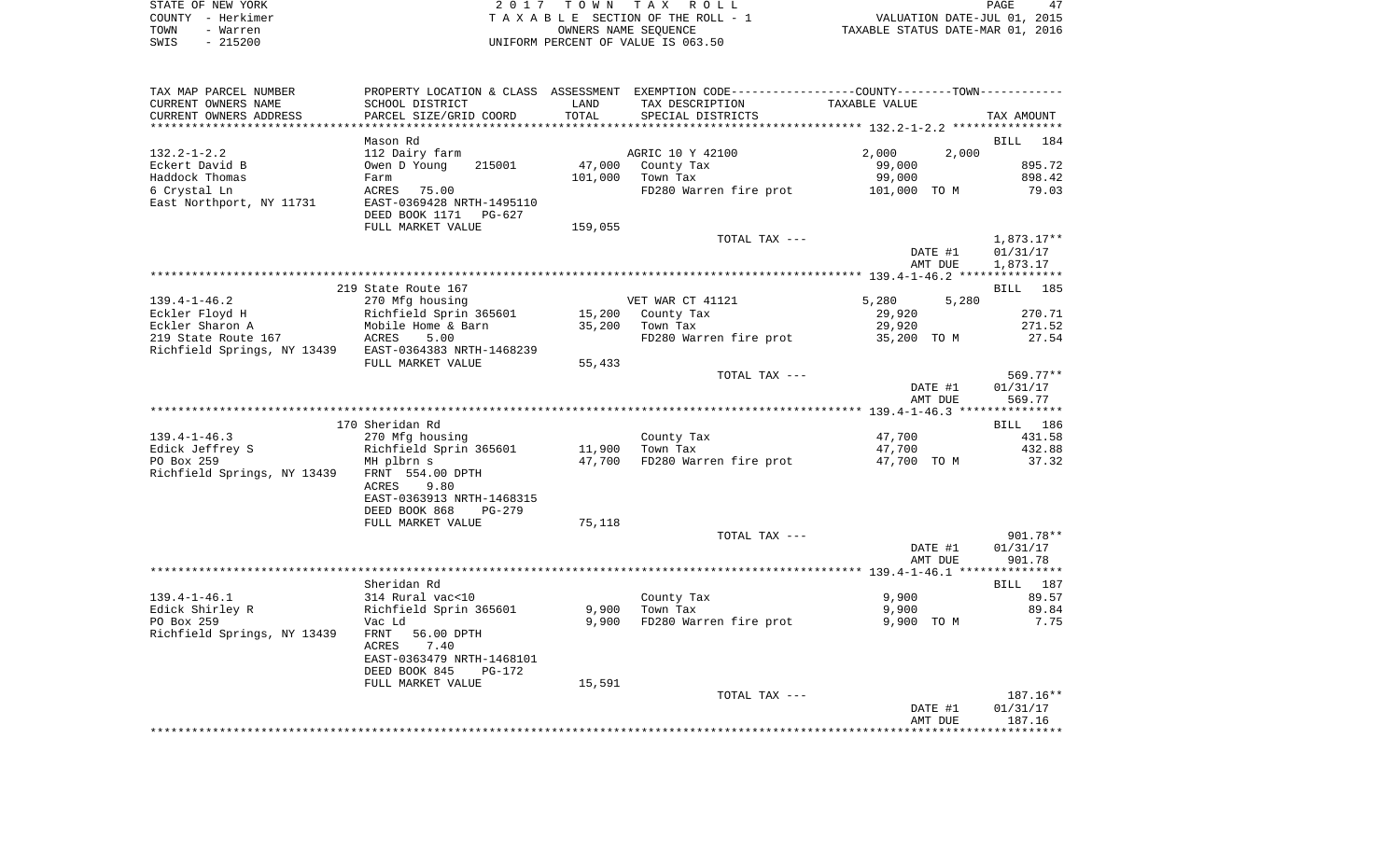| STATE OF NEW YORK | 2017 TOWN TAX ROLL                 | 47<br><b>PAGE</b>                |
|-------------------|------------------------------------|----------------------------------|
| COUNTY - Herkimer | TAXABLE SECTION OF THE ROLL - 1    | VALUATION DATE-JUL 01, 2015      |
| TOWN<br>- Warren  | OWNERS NAME SEOUENCE               | TAXABLE STATUS DATE-MAR 01, 2016 |
| $-215200$<br>SWIS | UNIFORM PERCENT OF VALUE IS 063.50 |                                  |

| TAX MAP PARCEL NUMBER       | PROPERTY LOCATION & CLASS ASSESSMENT EXEMPTION CODE-----------------COUNTY-------TOWN---------- |         |                        |                |              |
|-----------------------------|-------------------------------------------------------------------------------------------------|---------|------------------------|----------------|--------------|
| CURRENT OWNERS NAME         | SCHOOL DISTRICT                                                                                 | LAND    | TAX DESCRIPTION        | TAXABLE VALUE  |              |
| CURRENT OWNERS ADDRESS      | PARCEL SIZE/GRID COORD                                                                          | TOTAL   | SPECIAL DISTRICTS      |                | TAX AMOUNT   |
|                             |                                                                                                 |         |                        |                |              |
|                             | Mason Rd                                                                                        |         |                        |                | BILL 184     |
| $132.2 - 1 - 2.2$           | 112 Dairy farm                                                                                  |         | AGRIC 10 Y 42100       | 2,000<br>2,000 |              |
|                             |                                                                                                 |         |                        |                |              |
| Eckert David B              | Owen D Young<br>215001                                                                          | 47,000  | County Tax             | 99,000         | 895.72       |
| Haddock Thomas              | Farm                                                                                            | 101,000 | Town Tax               | 99,000         | 898.42       |
| 6 Crystal Ln                | ACRES 75.00                                                                                     |         | FD280 Warren fire prot | 101,000 TO M   | 79.03        |
| East Northport, NY 11731    | EAST-0369428 NRTH-1495110                                                                       |         |                        |                |              |
|                             | DEED BOOK 1171<br>PG-627                                                                        |         |                        |                |              |
|                             | FULL MARKET VALUE                                                                               | 159,055 |                        |                |              |
|                             |                                                                                                 |         | TOTAL TAX ---          |                | $1,873.17**$ |
|                             |                                                                                                 |         |                        | DATE #1        | 01/31/17     |
|                             |                                                                                                 |         |                        | AMT DUE        | 1,873.17     |
|                             |                                                                                                 |         |                        |                |              |
|                             |                                                                                                 |         |                        |                |              |
|                             | 219 State Route 167                                                                             |         |                        |                | BILL 185     |
| $139.4 - 1 - 46.2$          | 270 Mfg housing                                                                                 |         | VET WAR CT 41121       | 5,280<br>5,280 |              |
| Eckler Floyd H              | Richfield Sprin 365601                                                                          |         | 15,200 County Tax      | 29,920         | 270.71       |
| Eckler Sharon A             | Mobile Home & Barn                                                                              | 35,200  | Town Tax               | 29,920         | 271.52       |
| 219 State Route 167 ACRES   | 5.00                                                                                            |         | FD280 Warren fire prot | 35,200 TO M    | 27.54        |
| Richfield Springs, NY 13439 | EAST-0364383 NRTH-1468239                                                                       |         |                        |                |              |
|                             | FULL MARKET VALUE                                                                               | 55,433  |                        |                |              |
|                             |                                                                                                 |         | TOTAL TAX ---          |                | 569.77**     |
|                             |                                                                                                 |         |                        | DATE #1        | 01/31/17     |
|                             |                                                                                                 |         |                        | AMT DUE        | 569.77       |
|                             |                                                                                                 |         |                        |                |              |
|                             |                                                                                                 |         |                        |                |              |
|                             | 170 Sheridan Rd                                                                                 |         |                        |                | BILL 186     |
| $139.4 - 1 - 46.3$          | 270 Mfg housing                                                                                 |         | County Tax             | 47,700         | 431.58       |
| Edick Jeffrey S             | Richfield Sprin 365601                                                                          | 11,900  | Town Tax               | 47,700         | 432.88       |
| PO Box 259                  | MH plbrn s                                                                                      | 47,700  | FD280 Warren fire prot | 47,700 TO M    | 37.32        |
| Richfield Springs, NY 13439 | FRNT 554.00 DPTH                                                                                |         |                        |                |              |
|                             | ACRES<br>9.80                                                                                   |         |                        |                |              |
|                             | EAST-0363913 NRTH-1468315                                                                       |         |                        |                |              |
|                             | DEED BOOK 868<br>PG-279                                                                         |         |                        |                |              |
|                             | FULL MARKET VALUE                                                                               | 75,118  |                        |                |              |
|                             |                                                                                                 |         | TOTAL TAX ---          |                | 901.78**     |
|                             |                                                                                                 |         |                        | DATE #1        | 01/31/17     |
|                             |                                                                                                 |         |                        | AMT DUE        | 901.78       |
|                             |                                                                                                 |         |                        |                |              |
|                             |                                                                                                 |         |                        |                |              |
|                             | Sheridan Rd                                                                                     |         |                        |                | BILL 187     |
| $139.4 - 1 - 46.1$          | 314 Rural vac<10                                                                                |         | County Tax             | 9,900          | 89.57        |
| Edick Shirley R             | Richfield Sprin 365601                                                                          | 9,900   | Town Tax               | 9,900          | 89.84        |
| PO Box 259                  | Vac Ld                                                                                          | 9,900   | FD280 Warren fire prot | 9,900 TO M     | 7.75         |
| Richfield Springs, NY 13439 | FRNT<br>56.00 DPTH                                                                              |         |                        |                |              |
|                             | 7.40<br>ACRES                                                                                   |         |                        |                |              |
|                             | EAST-0363479 NRTH-1468101                                                                       |         |                        |                |              |
|                             | DEED BOOK 845<br><b>PG-172</b>                                                                  |         |                        |                |              |
|                             | FULL MARKET VALUE                                                                               | 15,591  |                        |                |              |
|                             |                                                                                                 |         | TOTAL TAX ---          |                | $187.16**$   |
|                             |                                                                                                 |         |                        |                |              |
|                             |                                                                                                 |         |                        | DATE #1        | 01/31/17     |
|                             |                                                                                                 |         |                        | AMT DUE        | 187.16       |
|                             |                                                                                                 |         |                        |                |              |
|                             |                                                                                                 |         |                        |                |              |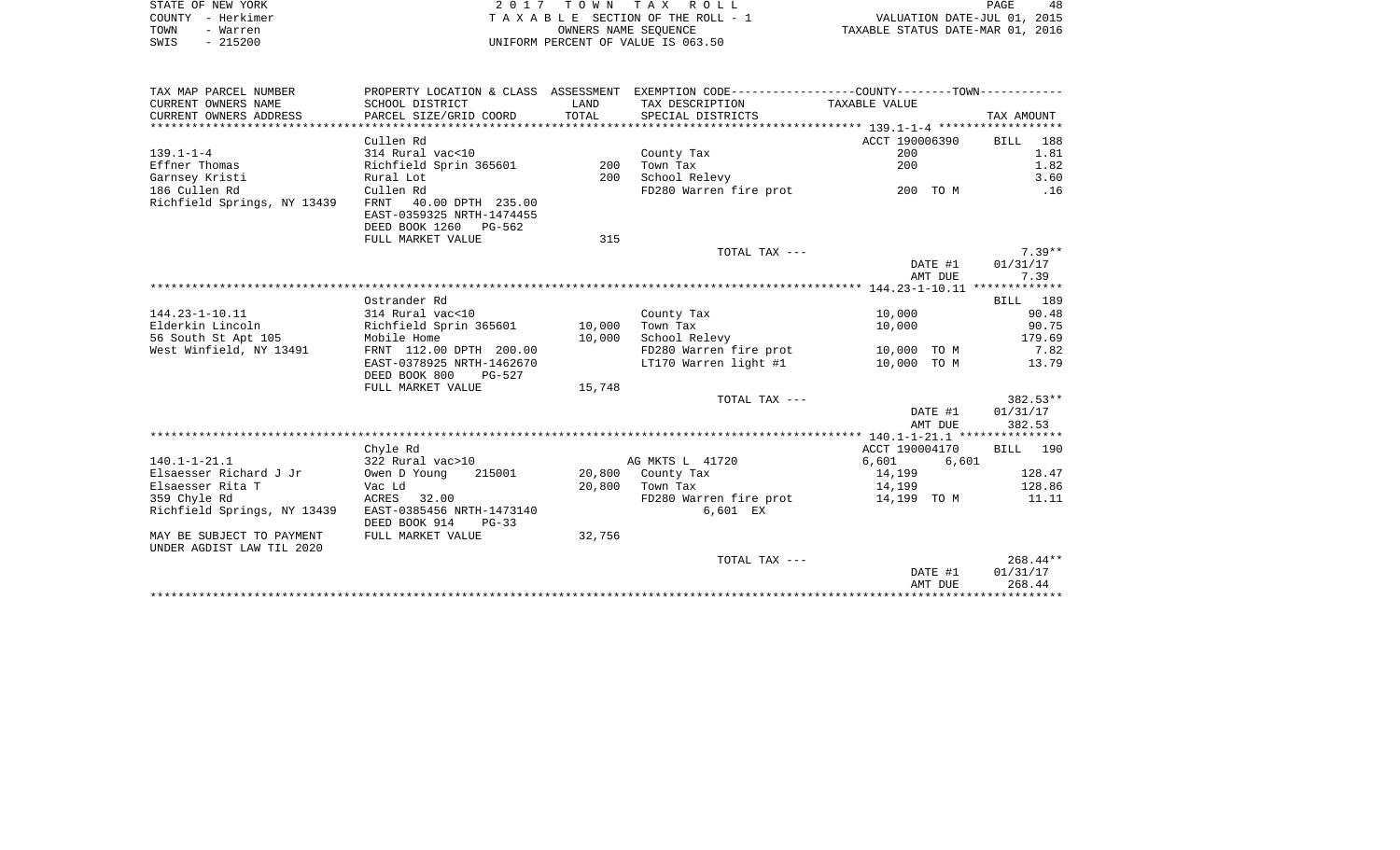|      | STATE OF NEW YORK | 2017 TOWN TAX ROLL                 | 48<br>PAGE                       |
|------|-------------------|------------------------------------|----------------------------------|
|      | COUNTY - Herkimer | TAXABLE SECTION OF THE ROLL - 1    | VALUATION DATE-JUL 01, 2015      |
| TOWN | - Warren          | OWNERS NAME SEOUENCE               | TAXABLE STATUS DATE-MAR 01, 2016 |
| SWIS | $-215200$         | UNIFORM PERCENT OF VALUE IS 063.50 |                                  |

| TAX MAP PARCEL NUMBER       |                           |        | PROPERTY LOCATION & CLASS ASSESSMENT EXEMPTION CODE----------------COUNTY--------TOWN---------- |                                                                                                                |            |
|-----------------------------|---------------------------|--------|-------------------------------------------------------------------------------------------------|----------------------------------------------------------------------------------------------------------------|------------|
| CURRENT OWNERS NAME         | SCHOOL DISTRICT           | LAND   | TAX DESCRIPTION                                                                                 | TAXABLE VALUE                                                                                                  |            |
| CURRENT OWNERS ADDRESS      | PARCEL SIZE/GRID COORD    | TOTAL  | SPECIAL DISTRICTS                                                                               |                                                                                                                | TAX AMOUNT |
|                             |                           |        |                                                                                                 |                                                                                                                |            |
|                             | Cullen Rd                 |        |                                                                                                 | ACCT 190006390                                                                                                 | BILL 188   |
| $139.1 - 1 - 4$             | 314 Rural vac<10          |        | County Tax                                                                                      | 200                                                                                                            | 1.81       |
| Effner Thomas               | Richfield Sprin 365601    | 200    | Town Tax                                                                                        | 200                                                                                                            | 1.82       |
| Garnsey Kristi              | Rural Lot                 | 200    | School Relevy                                                                                   |                                                                                                                | 3.60       |
| 186 Cullen Rd               | Cullen Rd                 |        | FD280 Warren fire prot                                                                          | ли пространите 200 година и 200 година и 10 км. в 10 км. и 10 км. и 10 км. и 10 км. и 10 км. и 10 км. и 10 км. | .16        |
| Richfield Springs, NY 13439 | FRNT 40.00 DPTH 235.00    |        |                                                                                                 |                                                                                                                |            |
|                             | EAST-0359325 NRTH-1474455 |        |                                                                                                 |                                                                                                                |            |
|                             | DEED BOOK 1260 PG-562     |        |                                                                                                 |                                                                                                                |            |
|                             | FULL MARKET VALUE         | 315    |                                                                                                 |                                                                                                                |            |
|                             |                           |        | TOTAL TAX ---                                                                                   |                                                                                                                | $7.39**$   |
|                             |                           |        |                                                                                                 | DATE #1                                                                                                        | 01/31/17   |
|                             |                           |        |                                                                                                 | AMT DUE                                                                                                        | 7.39       |
|                             |                           |        |                                                                                                 |                                                                                                                |            |
|                             | Ostrander Rd              |        |                                                                                                 |                                                                                                                | BILL 189   |
| 144.23-1-10.11              | 314 Rural vac<10          |        | County Tax                                                                                      | 10,000                                                                                                         | 90.48      |
| Elderkin Lincoln            | Richfield Sprin 365601    | 10,000 | Town Tax                                                                                        | 10,000                                                                                                         | 90.75      |
| 56 South St Apt 105         | Mobile Home               | 10,000 | School Relevy                                                                                   |                                                                                                                | 179.69     |
| West Winfield, NY 13491     | FRNT 112.00 DPTH 200.00   |        | FD280 Warren fire prot                                                                          | 10,000 TO M                                                                                                    | 7.82       |
|                             | EAST-0378925 NRTH-1462670 |        | LT170 Warren light #1                                                                           | 10,000 TO M                                                                                                    | 13.79      |
|                             | DEED BOOK 800<br>PG-527   |        |                                                                                                 |                                                                                                                |            |
|                             | FULL MARKET VALUE         | 15,748 |                                                                                                 |                                                                                                                |            |
|                             |                           |        | TOTAL TAX ---                                                                                   |                                                                                                                | 382.53**   |
|                             |                           |        |                                                                                                 | DATE #1                                                                                                        | 01/31/17   |
|                             |                           |        |                                                                                                 | AMT DUE                                                                                                        | 382.53     |
|                             |                           |        |                                                                                                 |                                                                                                                |            |
|                             | Chyle Rd                  |        |                                                                                                 | ACCT 190004170                                                                                                 | BILL 190   |
| $140.1 - 1 - 21.1$          | 322 Rural vac>10          |        | AG MKTS L 41720                                                                                 | 6,601<br>6,601                                                                                                 |            |
| Elsaesser Richard J Jr      | Owen D Young<br>215001    |        | 20,800 County Tax                                                                               | 14,199                                                                                                         | 128.47     |
| Elsaesser Rita T            | Vac Ld                    | 20,800 | Town Tax                                                                                        | 14,199                                                                                                         | 128.86     |
| 359 Chyle Rd                | ACRES 32.00               |        | FD280 Warren fire prot                                                                          | 14,199 TO M                                                                                                    | 11.11      |
| Richfield Springs, NY 13439 | EAST-0385456 NRTH-1473140 |        | 6,601 EX                                                                                        |                                                                                                                |            |
|                             | DEED BOOK 914<br>$PG-33$  |        |                                                                                                 |                                                                                                                |            |
| MAY BE SUBJECT TO PAYMENT   | FULL MARKET VALUE         | 32,756 |                                                                                                 |                                                                                                                |            |
| UNDER AGDIST LAW TIL 2020   |                           |        |                                                                                                 |                                                                                                                |            |
|                             |                           |        | TOTAL TAX ---                                                                                   |                                                                                                                | $268.44**$ |
|                             |                           |        |                                                                                                 | DATE #1                                                                                                        | 01/31/17   |
|                             |                           |        |                                                                                                 | AMT DUE                                                                                                        | 268.44     |
|                             |                           |        |                                                                                                 |                                                                                                                |            |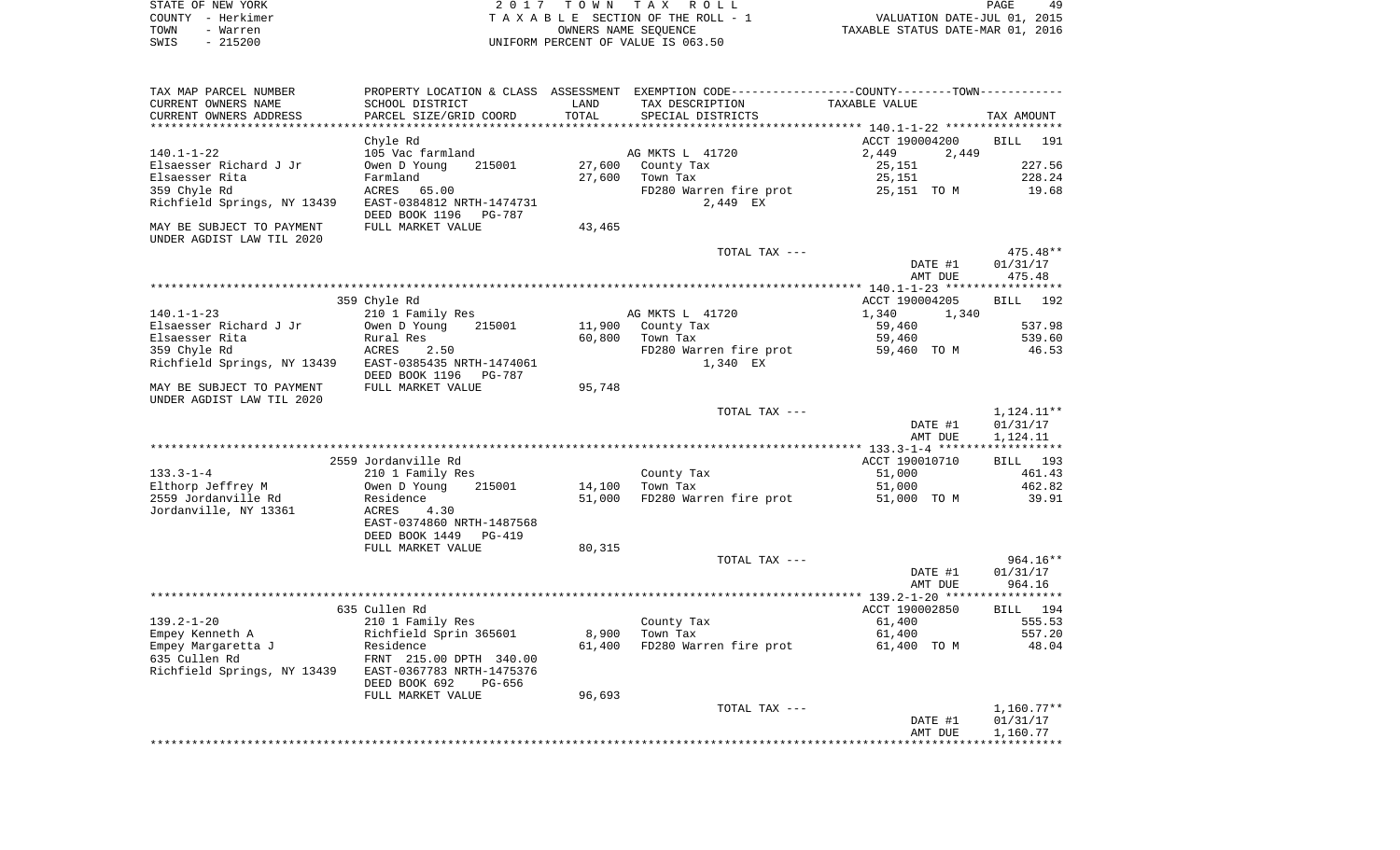| STATE OF NEW YORK                                      |                                                         |                 | 2017 TOWN TAX ROLL                                                                                               |                                  | PAGE<br>49           |
|--------------------------------------------------------|---------------------------------------------------------|-----------------|------------------------------------------------------------------------------------------------------------------|----------------------------------|----------------------|
| COUNTY - Herkimer                                      |                                                         |                 | TAXABLE SECTION OF THE ROLL - 1                                                                                  | VALUATION DATE-JUL 01, 2015      |                      |
| TOWN<br>- Warren                                       |                                                         |                 | OWNERS NAME SEQUENCE                                                                                             | TAXABLE STATUS DATE-MAR 01, 2016 |                      |
| $-215200$<br>SWIS                                      |                                                         |                 | UNIFORM PERCENT OF VALUE IS 063.50                                                                               |                                  |                      |
|                                                        |                                                         |                 |                                                                                                                  |                                  |                      |
| TAX MAP PARCEL NUMBER<br>CURRENT OWNERS NAME           | SCHOOL DISTRICT                                         | LAND            | PROPERTY LOCATION & CLASS ASSESSMENT EXEMPTION CODE---------------COUNTY-------TOWN----------<br>TAX DESCRIPTION | TAXABLE VALUE                    |                      |
| CURRENT OWNERS ADDRESS                                 | PARCEL SIZE/GRID COORD                                  | TOTAL           | SPECIAL DISTRICTS                                                                                                |                                  | TAX AMOUNT           |
|                                                        | Chyle Rd                                                |                 |                                                                                                                  | ACCT 190004200                   | BILL 191             |
| $140.1 - 1 - 22$                                       | 105 Vac farmland                                        |                 | AG MKTS L 41720                                                                                                  | 2,449<br>2,449                   |                      |
| Elsaesser Richard J Jr                                 | 215001<br>Owen D Young                                  |                 | 27,600 County Tax                                                                                                | 25,151                           | 227.56               |
| Elsaesser Rita                                         | Farmland                                                | 27,600          | Town Tax                                                                                                         | 25,151                           | 228.24               |
| 359 Chyle Rd                                           | ACRES<br>65.00                                          |                 | FD280 Warren fire prot                                                                                           | 25,151 TO M                      | 19.68                |
| Richfield Springs, NY 13439                            | EAST-0384812 NRTH-1474731<br>DEED BOOK 1196<br>PG-787   |                 | 2,449 EX                                                                                                         |                                  |                      |
| MAY BE SUBJECT TO PAYMENT<br>UNDER AGDIST LAW TIL 2020 | FULL MARKET VALUE                                       | 43,465          |                                                                                                                  |                                  |                      |
|                                                        |                                                         |                 | TOTAL TAX ---                                                                                                    |                                  | $475.48**$           |
|                                                        |                                                         |                 |                                                                                                                  | DATE #1<br>AMT DUE               | 01/31/17<br>475.48   |
|                                                        |                                                         |                 |                                                                                                                  |                                  |                      |
|                                                        | 359 Chyle Rd<br>210 1 Family Res                        |                 |                                                                                                                  | ACCT 190004205                   | 192<br>BILL          |
| 140.1-1-23<br>Elsaesser Richard J Jr                   | 215001<br>Owen D Young                                  |                 | AG MKTS L 41720<br>11,900 County Tax                                                                             | 1,340<br>1,340<br>59,460         | 537.98               |
| Elsaesser Rita                                         | Rural Res                                               | 60,800          | Town Tax                                                                                                         | 59,460                           | 539.60               |
| 359 Chyle Rd                                           | ACRES<br>2.50                                           |                 | FD280 Warren fire prot                                                                                           | 59,460 TO M                      | 46.53                |
| Richfield Springs, NY 13439 EAST-0385435 NRTH-1474061  | DEED BOOK 1196<br>PG-787                                |                 | 1,340 EX                                                                                                         |                                  |                      |
| MAY BE SUBJECT TO PAYMENT<br>UNDER AGDIST LAW TIL 2020 | FULL MARKET VALUE                                       | 95,748          |                                                                                                                  |                                  |                      |
|                                                        |                                                         |                 | TOTAL TAX ---                                                                                                    |                                  | 1,124.11**           |
|                                                        |                                                         |                 |                                                                                                                  | DATE #1<br>AMT DUE               | 01/31/17<br>1,124.11 |
|                                                        |                                                         |                 |                                                                                                                  |                                  |                      |
|                                                        | 2559 Jordanville Rd                                     |                 |                                                                                                                  | ACCT 190010710                   | BILL 193             |
| $133.3 - 1 - 4$                                        | 210 1 Family Res                                        |                 | County Tax                                                                                                       | 51,000                           | 461.43               |
| Elthorp Jeffrey M                                      | 215001<br>Owen D Young                                  | 14,100          | Town Tax                                                                                                         | 51,000                           | 462.82               |
| 2559 Jordanville Rd<br>Jordanville, NY 13361           | Residence<br>ACRES<br>4.30<br>EAST-0374860 NRTH-1487568 | 51,000          | FD280 Warren fire prot                                                                                           | 51,000 TO M                      | 39.91                |
|                                                        | DEED BOOK 1449<br>PG-419                                |                 |                                                                                                                  |                                  |                      |
|                                                        | FULL MARKET VALUE                                       | 80,315          |                                                                                                                  |                                  |                      |
|                                                        |                                                         |                 | TOTAL TAX ---                                                                                                    |                                  | 964.16**             |
|                                                        |                                                         |                 |                                                                                                                  | DATE #1                          | 01/31/17             |
|                                                        |                                                         |                 |                                                                                                                  | AMT DUE                          | 964.16               |
|                                                        |                                                         |                 |                                                                                                                  |                                  |                      |
|                                                        | 635 Cullen Rd                                           |                 |                                                                                                                  | ACCT 190002850                   | <b>BILL</b><br>194   |
| $139.2 - 1 - 20$                                       | 210 1 Family Res                                        |                 | County Tax                                                                                                       | 61,400                           | 555.53               |
| Empey Kenneth A<br>Empey Margaretta J                  | Richfield Sprin 365601<br>Residence                     | 8,900<br>61,400 | Town Tax<br>FD280 Warren fire prot                                                                               | 61,400<br>61,400 TO M            | 557.20<br>48.04      |
| 635 Cullen Rd                                          | FRNT 215.00 DPTH 340.00                                 |                 |                                                                                                                  |                                  |                      |
| Richfield Springs, NY 13439                            | EAST-0367783 NRTH-1475376<br>DEED BOOK 692<br>PG-656    |                 |                                                                                                                  |                                  |                      |
|                                                        | FULL MARKET VALUE                                       | 96,693          |                                                                                                                  |                                  |                      |
|                                                        |                                                         |                 | TOTAL TAX ---                                                                                                    |                                  | $1,160.77**$         |
|                                                        |                                                         |                 |                                                                                                                  | DATE #1                          | 01/31/17             |
|                                                        |                                                         |                 |                                                                                                                  | AMT DUE                          | 1,160.77             |
|                                                        |                                                         |                 |                                                                                                                  |                                  | **********           |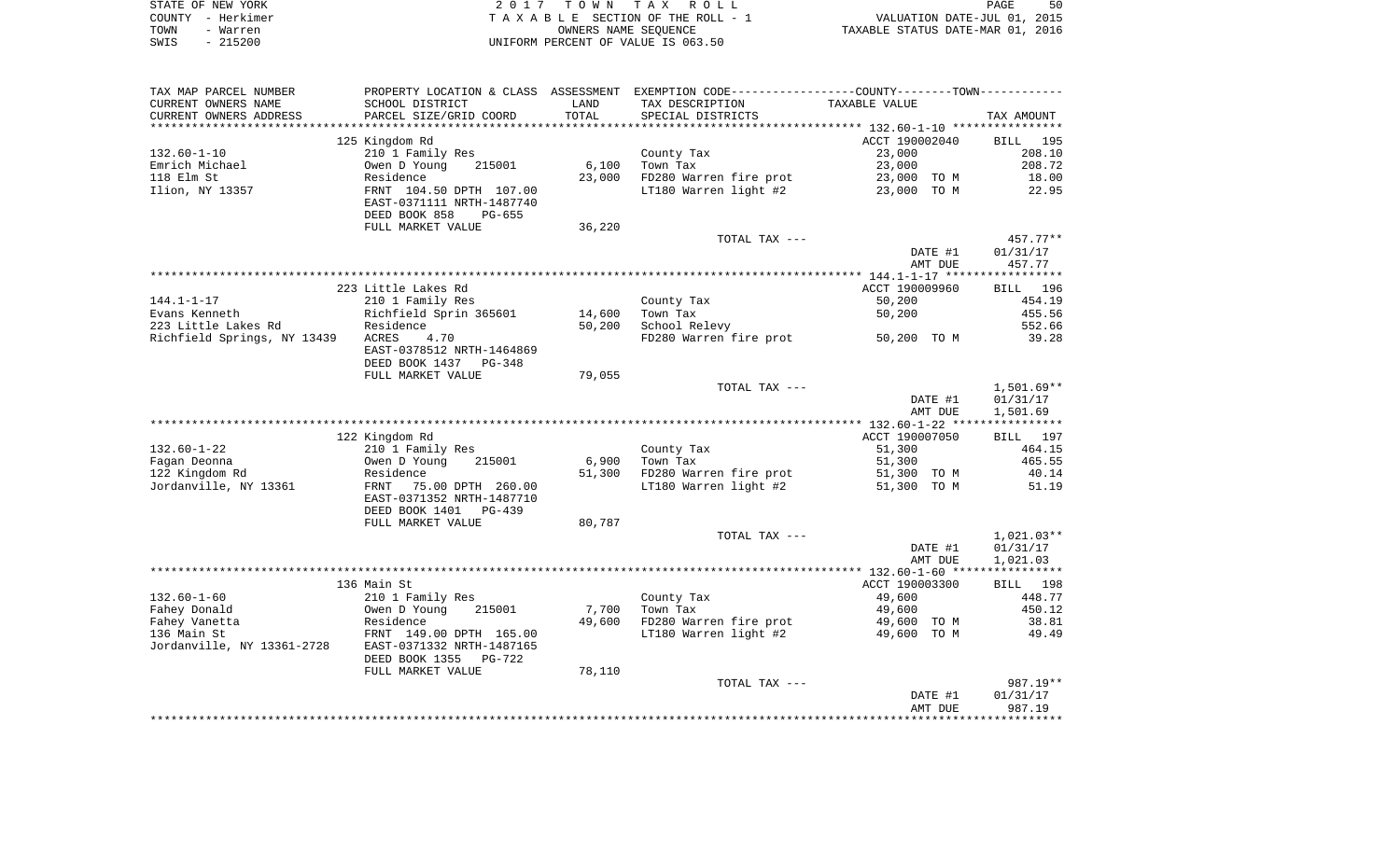|      | STATE OF NEW YORK | 2017 TOWN TAX ROLL                 | 50<br><b>PAGE</b>                |
|------|-------------------|------------------------------------|----------------------------------|
|      | COUNTY - Herkimer | TAXABLE SECTION OF THE ROLL - 1    | VALUATION DATE-JUL 01, 2015      |
| TOWN | - Warren          | OWNERS NAME SEOUENCE               | TAXABLE STATUS DATE-MAR 01, 2016 |
| SWIS | $-215200$         | UNIFORM PERCENT OF VALUE IS 063.50 |                                  |

| TAX MAP PARCEL NUMBER       | PROPERTY LOCATION & CLASS ASSESSMENT EXEMPTION CODE----------------COUNTY--------TOWN----------- |        |                        |                |              |
|-----------------------------|--------------------------------------------------------------------------------------------------|--------|------------------------|----------------|--------------|
| CURRENT OWNERS NAME         | SCHOOL DISTRICT                                                                                  | LAND   | TAX DESCRIPTION        | TAXABLE VALUE  |              |
| CURRENT OWNERS ADDRESS      | PARCEL SIZE/GRID COORD                                                                           | TOTAL  | SPECIAL DISTRICTS      |                | TAX AMOUNT   |
|                             |                                                                                                  |        |                        |                |              |
|                             | 125 Kingdom Rd                                                                                   |        |                        | ACCT 190002040 | BILL<br>195  |
| $132.60 - 1 - 10$           | 210 1 Family Res                                                                                 |        | County Tax             | 23,000         | 208.10       |
| Emrich Michael              | 215001<br>Owen D Young                                                                           | 6,100  | Town Tax               | 23,000         | 208.72       |
| 118 Elm St                  | Residence                                                                                        | 23,000 | FD280 Warren fire prot | 23,000 TO M    | 18.00        |
| Ilion, NY 13357             | FRNT 104.50 DPTH 107.00                                                                          |        | LT180 Warren light #2  | 23,000 TO M    | 22.95        |
|                             | EAST-0371111 NRTH-1487740                                                                        |        |                        |                |              |
|                             | DEED BOOK 858<br>$PG-655$                                                                        |        |                        |                |              |
|                             | FULL MARKET VALUE                                                                                | 36,220 |                        |                |              |
|                             |                                                                                                  |        | TOTAL TAX ---          |                | 457.77**     |
|                             |                                                                                                  |        |                        | DATE #1        | 01/31/17     |
|                             |                                                                                                  |        |                        | AMT DUE        | 457.77       |
|                             |                                                                                                  |        |                        |                |              |
|                             | 223 Little Lakes Rd                                                                              |        |                        | ACCT 190009960 | BILL 196     |
| $144.1 - 1 - 17$            | 210 1 Family Res                                                                                 |        | County Tax             | 50,200         | 454.19       |
| Evans Kenneth               | Richfield Sprin 365601                                                                           | 14,600 | Town Tax               | 50,200         | 455.56       |
| 223 Little Lakes Rd         | Residence                                                                                        | 50,200 | School Relevy          |                | 552.66       |
| Richfield Springs, NY 13439 | <b>ACRES</b><br>4.70                                                                             |        | FD280 Warren fire prot | 50,200 TO M    | 39.28        |
|                             | EAST-0378512 NRTH-1464869                                                                        |        |                        |                |              |
|                             | DEED BOOK 1437<br>PG-348                                                                         |        |                        |                |              |
|                             | FULL MARKET VALUE                                                                                | 79,055 |                        |                |              |
|                             |                                                                                                  |        | TOTAL TAX ---          |                | $1,501.69**$ |
|                             |                                                                                                  |        |                        | DATE #1        | 01/31/17     |
|                             |                                                                                                  |        |                        | AMT DUE        | 1,501.69     |
|                             |                                                                                                  |        |                        |                |              |
|                             | 122 Kingdom Rd                                                                                   |        |                        | ACCT 190007050 | BILL 197     |
| $132.60 - 1 - 22$           | 210 1 Family Res                                                                                 |        | County Tax             | 51,300         | 464.15       |
| Fagan Deonna                | Owen D Young<br>215001                                                                           | 6,900  | Town Tax               | 51,300         | 465.55       |
| 122 Kingdom Rd              | Residence                                                                                        | 51,300 | FD280 Warren fire prot | 51,300 TO M    | 40.14        |
| Jordanville, NY 13361       | FRNT<br>75.00 DPTH 260.00                                                                        |        | LT180 Warren light #2  | 51,300 TO M    | 51.19        |
|                             | EAST-0371352 NRTH-1487710                                                                        |        |                        |                |              |
|                             | DEED BOOK 1401<br>$PG-439$                                                                       |        |                        |                |              |
|                             | FULL MARKET VALUE                                                                                | 80,787 |                        |                |              |
|                             |                                                                                                  |        | TOTAL TAX ---          |                | $1,021.03**$ |
|                             |                                                                                                  |        |                        | DATE #1        | 01/31/17     |
|                             |                                                                                                  |        |                        | AMT DUE        | 1,021.03     |
|                             | 136 Main St                                                                                      |        |                        | ACCT 190003300 | BILL 198     |
| $132.60 - 1 - 60$           | 210 1 Family Res                                                                                 |        | County Tax             | 49,600         | 448.77       |
| Fahey Donald                | Owen D Young<br>215001                                                                           | 7,700  | Town Tax               | 49,600         | 450.12       |
| Fahey Vanetta               | Residence                                                                                        | 49,600 | FD280 Warren fire prot | 49,600 TO M    | 38.81        |
| 136 Main St                 | FRNT 149.00 DPTH 165.00                                                                          |        | LT180 Warren light #2  | 49,600 TO M    | 49.49        |
| Jordanville, NY 13361-2728  | EAST-0371332 NRTH-1487165                                                                        |        |                        |                |              |
|                             | DEED BOOK 1355<br>PG-722                                                                         |        |                        |                |              |
|                             | FULL MARKET VALUE                                                                                | 78,110 |                        |                |              |
|                             |                                                                                                  |        | TOTAL TAX ---          |                | 987.19**     |
|                             |                                                                                                  |        |                        | DATE #1        | 01/31/17     |
|                             |                                                                                                  |        |                        | AMT DUE        | 987.19       |
|                             |                                                                                                  |        |                        |                |              |
|                             |                                                                                                  |        |                        |                |              |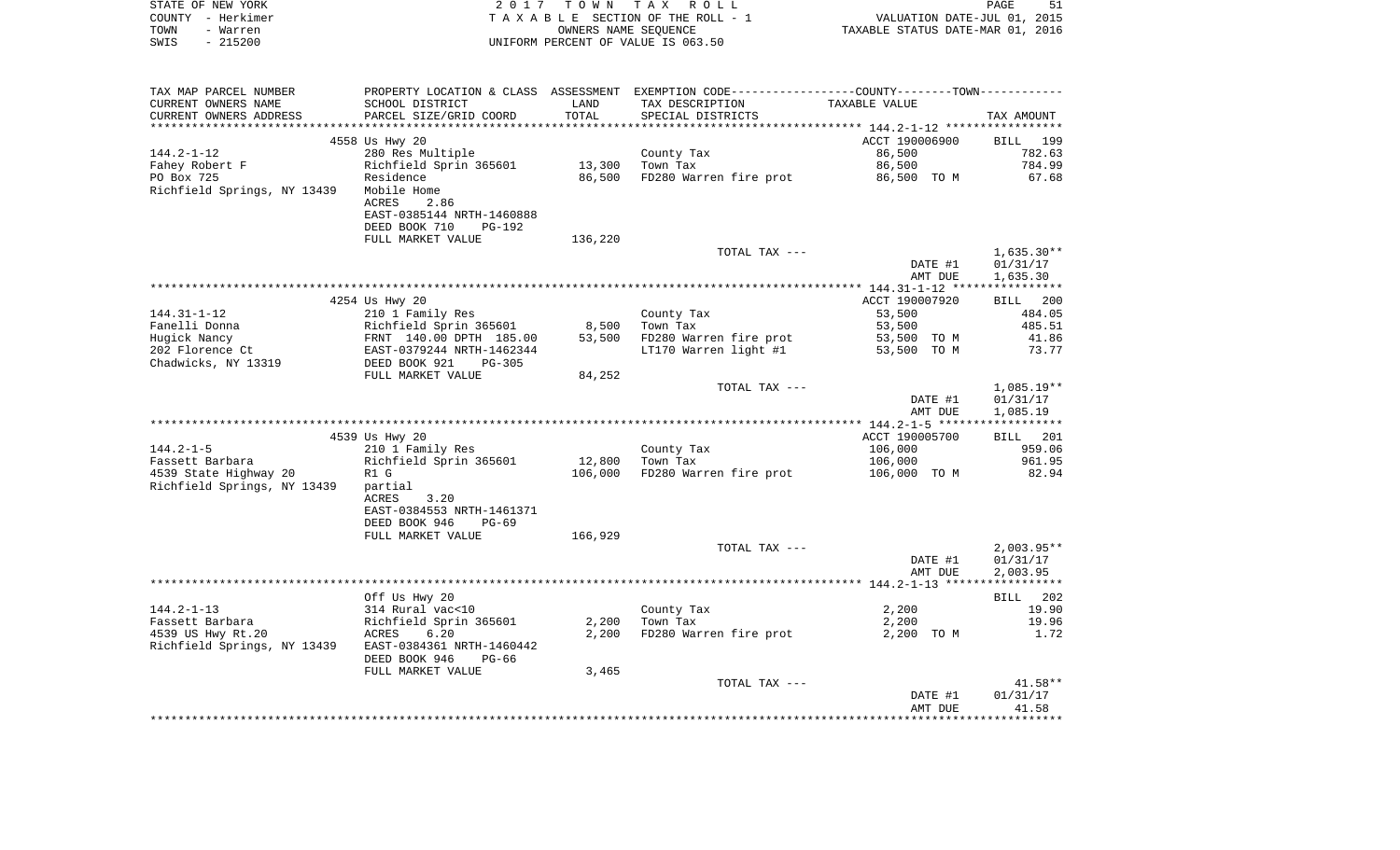| STATE OF NEW YORK<br>COUNTY - Herkimer                                                  |                                                                                                        |         | 2017 TOWN TAX ROLL                                                                            | PAGE 51<br>VALUATION DATE-JUL 01, 2015<br>TAXABLE STATUS DATE-MAR 01, 2016 | PAGE<br>51        |
|-----------------------------------------------------------------------------------------|--------------------------------------------------------------------------------------------------------|---------|-----------------------------------------------------------------------------------------------|----------------------------------------------------------------------------|-------------------|
| TOWN<br>- Warren                                                                        |                                                                                                        |         | TAXABLE SECTION OF THE ROLL - 1<br>OWNERS NAME SEQUENCE                                       |                                                                            |                   |
| $-215200$<br>SWIS                                                                       |                                                                                                        |         | UNIFORM PERCENT OF VALUE IS 063.50                                                            |                                                                            |                   |
|                                                                                         |                                                                                                        |         |                                                                                               |                                                                            |                   |
| TAX MAP PARCEL NUMBER                                                                   |                                                                                                        |         | PROPERTY LOCATION & CLASS ASSESSMENT EXEMPTION CODE---------------COUNTY-------TOWN---------- |                                                                            |                   |
| CURRENT OWNERS NAME                                                                     | SCHOOL DISTRICT                                                                                        | LAND    | TAX DESCRIPTION                                                                               | TAXABLE VALUE                                                              |                   |
| CURRENT OWNERS ADDRESS                                                                  | PARCEL SIZE/GRID COORD                                                                                 | TOTAL   | SPECIAL DISTRICTS                                                                             |                                                                            | TAX AMOUNT        |
|                                                                                         |                                                                                                        |         |                                                                                               |                                                                            |                   |
|                                                                                         | 4558 Us Hwy 20                                                                                         |         |                                                                                               | ACCT 190006900                                                             | BILL 199          |
| $144.2 - 1 - 12$<br>Fahey Robert F                                                      | 280 Res Multiple<br>Richfield Sprin 365601                                                             |         | County Tax<br>13,300   Town Tax                                                               | 86,500<br>86,500                                                           | 782.63<br>784.99  |
| PO Box 725                                                                              | Residence                                                                                              |         | 86,500 FD280 Warren fire prot                                                                 | 86,500 TO M                                                                | 67.68             |
| Richfield Springs, NY 13439                                                             | Mobile Home                                                                                            |         |                                                                                               |                                                                            |                   |
|                                                                                         | ACRES 2.86                                                                                             |         |                                                                                               |                                                                            |                   |
|                                                                                         | EAST-0385144 NRTH-1460888                                                                              |         |                                                                                               |                                                                            |                   |
|                                                                                         | DEED BOOK 710<br>PG-192                                                                                |         |                                                                                               |                                                                            |                   |
|                                                                                         | FULL MARKET VALUE                                                                                      | 136,220 |                                                                                               |                                                                            |                   |
|                                                                                         |                                                                                                        |         | TOTAL TAX ---                                                                                 |                                                                            | $1,635.30**$      |
|                                                                                         |                                                                                                        |         |                                                                                               | DATE #1                                                                    | 01/31/17          |
|                                                                                         |                                                                                                        |         |                                                                                               | AMT DUE                                                                    | 1,635.30          |
|                                                                                         |                                                                                                        |         |                                                                                               |                                                                            |                   |
|                                                                                         | 4254 Us Hwy 20                                                                                         |         |                                                                                               | ACCT 190007920                                                             | BILL 200          |
| $144.31 - 1 - 12$                                                                       | 210 1 Family Res                                                                                       |         | County Tax<br>Town Tax                                                                        | 53,500                                                                     | 484.05            |
| Fanelli Donna                                                                           | County Tax<br>Richfield Sprin 365601 8,500 Town Tax                                                    |         |                                                                                               | 53,500                                                                     | 485.51            |
| Hugick Nancy                                                                            |                                                                                                        |         | 53,500 FD280 Warren fire prot                                                                 | 53,500 TO M                                                                | 41.86             |
| 202 Florence Ct                                                                         |                                                                                                        |         | LT170 Warren light #1                                                                         | 53,500 TO M                                                                | 73.77             |
| Chadwicks, NY 13319                                                                     | Richfield Sprin 365601<br>FRNT 140.00 DPTH 185.00<br>EAST-0379244 NRTH-1462344<br>DEED BOOK 921 PG-305 |         |                                                                                               |                                                                            |                   |
|                                                                                         | FULL MARKET VALUE                                                                                      | 84,252  |                                                                                               |                                                                            |                   |
|                                                                                         |                                                                                                        |         | TOTAL TAX ---                                                                                 |                                                                            | $1,085.19**$      |
|                                                                                         |                                                                                                        |         |                                                                                               | DATE #1                                                                    | 01/31/17          |
|                                                                                         |                                                                                                        |         |                                                                                               | AMT DUE                                                                    | 1,085.19          |
|                                                                                         |                                                                                                        |         |                                                                                               |                                                                            | BILL 201          |
| $144.2 - 1 - 5$                                                                         | 4539 Us Hwy 20<br>210 1 Family Res                                                                     |         | County Tax                                                                                    | ACCT 190005700<br>106,000                                                  | 959.06            |
| Fassett Barbara                                                                         | Richfield Sprin 365601                                                                                 |         | 12,800 Town Tax                                                                               | 106,000                                                                    | 961.95            |
| 4539 State Highway 20                                                                   | R1 G                                                                                                   | 106,000 | FD280 Warren fire prot                                                                        | 106,000 TO M                                                               | 82.94             |
| Richfield Springs, NY 13439                                                             | partial                                                                                                |         |                                                                                               |                                                                            |                   |
|                                                                                         | ACRES<br>3.20                                                                                          |         |                                                                                               |                                                                            |                   |
|                                                                                         | EAST-0384553 NRTH-1461371                                                                              |         |                                                                                               |                                                                            |                   |
|                                                                                         | DEED BOOK 946<br>$PG-69$                                                                               |         |                                                                                               |                                                                            |                   |
|                                                                                         | FULL MARKET VALUE                                                                                      | 166,929 |                                                                                               |                                                                            |                   |
|                                                                                         |                                                                                                        |         | TOTAL TAX $---$                                                                               |                                                                            | $2,003.95**$      |
|                                                                                         |                                                                                                        |         |                                                                                               | DATE #1                                                                    | 01/31/17          |
|                                                                                         |                                                                                                        |         |                                                                                               | AMT DUE                                                                    | 2,003.95          |
|                                                                                         |                                                                                                        |         |                                                                                               |                                                                            |                   |
|                                                                                         |                                                                                                        |         |                                                                                               |                                                                            | BILL 202          |
|                                                                                         | Off Us Hwy 20                                                                                          |         |                                                                                               | 2,200                                                                      | 19.90             |
|                                                                                         |                                                                                                        |         | County Tax                                                                                    |                                                                            |                   |
|                                                                                         | 314 Rural vac<10<br>Richfield Sprin 365601                                                             | 2,200   | $T^{\text{conv}}$ $T^{\text{conv}}$                                                           | 2,200                                                                      |                   |
|                                                                                         | ACRES<br>6.20                                                                                          | 2,200   | FD280 Warren fire prot                                                                        | 2,200 TO M                                                                 |                   |
|                                                                                         | EAST-0384361 NRTH-1460442                                                                              |         |                                                                                               |                                                                            |                   |
|                                                                                         | DEED BOOK 946<br>PG-66                                                                                 |         |                                                                                               |                                                                            | 19.96<br>1.72     |
| $144.2 - 1 - 13$<br>Fassett Barbara<br>4539 US Hwy Rt.20<br>Richfield Springs, NY 13439 | FULL MARKET VALUE                                                                                      | 3,465   |                                                                                               |                                                                            |                   |
|                                                                                         |                                                                                                        |         | TOTAL TAX ---                                                                                 |                                                                            | $41.58**$         |
|                                                                                         |                                                                                                        |         |                                                                                               | DATE #1<br>AMT DUE                                                         | 01/31/17<br>41.58 |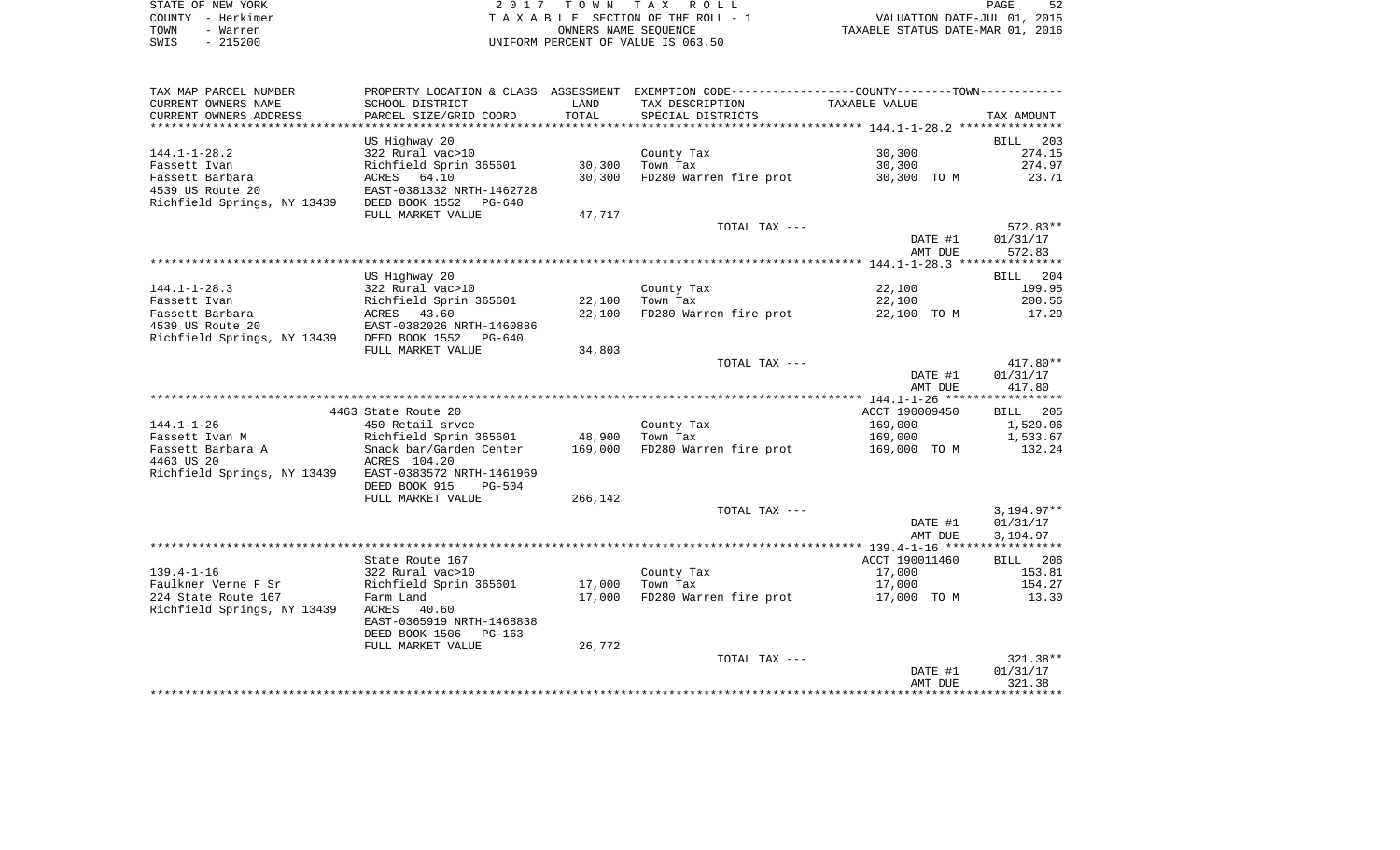| STATE OF NEW YORK | 2017 TOWN TAX ROLL                 | PAGE                             |
|-------------------|------------------------------------|----------------------------------|
| COUNTY - Herkimer | TAXABLE SECTION OF THE ROLL - 1    | VALUATION DATE-JUL 01, 2015      |
| TOWN<br>- Warren  | OWNERS NAME SEOUENCE               | TAXABLE STATUS DATE-MAR 01, 2016 |
| $-215200$<br>SWIS | UNIFORM PERCENT OF VALUE IS 063.50 |                                  |

| TAX MAP PARCEL NUMBER                      | PROPERTY LOCATION & CLASS ASSESSMENT EXEMPTION CODE----------------COUNTY-------TOWN---------- |         |                        |                |              |
|--------------------------------------------|------------------------------------------------------------------------------------------------|---------|------------------------|----------------|--------------|
| CURRENT OWNERS NAME                        | SCHOOL DISTRICT                                                                                | LAND    | TAX DESCRIPTION        | TAXABLE VALUE  |              |
| CURRENT OWNERS ADDRESS                     | PARCEL SIZE/GRID COORD                                                                         | TOTAL   | SPECIAL DISTRICTS      |                | TAX AMOUNT   |
|                                            |                                                                                                |         |                        |                |              |
|                                            | US Highway 20                                                                                  |         |                        |                | BILL<br>203  |
| $144.1 - 1 - 28.2$                         | 322 Rural vac>10                                                                               |         | County Tax             | 30,300         | 274.15       |
| Fassett Ivan                               | Richfield Sprin 365601                                                                         | 30,300  | Town Tax               | 30,300         | 274.97       |
| Fassett Barbara                            | ACRES 64.10                                                                                    | 30,300  | FD280 Warren fire prot | 30,300 TO M    | 23.71        |
| 4539 US Route 20                           | EAST-0381332 NRTH-1462728                                                                      |         |                        |                |              |
| Richfield Springs, NY 13439 DEED BOOK 1552 | PG-640                                                                                         |         |                        |                |              |
|                                            | FULL MARKET VALUE                                                                              | 47,717  |                        |                |              |
|                                            |                                                                                                |         | TOTAL TAX ---          |                | 572.83**     |
|                                            |                                                                                                |         |                        | DATE #1        | 01/31/17     |
|                                            |                                                                                                |         |                        | AMT DUE        | 572.83       |
|                                            |                                                                                                |         |                        |                |              |
|                                            |                                                                                                |         |                        |                |              |
|                                            | US Highway 20                                                                                  |         |                        |                | BILL 204     |
| $144.1 - 1 - 28.3$                         | 322 Rural vac>10                                                                               |         | County Tax             | 22,100         | 199.95       |
| Fassett Ivan                               | Richfield Sprin 365601                                                                         | 22,100  | Town Tax               | 22,100         | 200.56       |
| Fassett Barbara                            | ACRES 43.60                                                                                    | 22,100  | FD280 Warren fire prot | 22,100 TO M    | 17.29        |
| 4539 US Route 20                           | EAST-0382026 NRTH-1460886                                                                      |         |                        |                |              |
| Richfield Springs, NY 13439 DEED BOOK 1552 | PG-640                                                                                         |         |                        |                |              |
|                                            | FULL MARKET VALUE                                                                              | 34,803  |                        |                |              |
|                                            |                                                                                                |         | TOTAL TAX ---          |                | 417.80**     |
|                                            |                                                                                                |         |                        | DATE #1        | 01/31/17     |
|                                            |                                                                                                |         |                        | AMT DUE        | 417.80       |
|                                            |                                                                                                |         |                        |                |              |
|                                            | 4463 State Route 20                                                                            |         |                        | ACCT 190009450 | 205<br>BILL  |
| $144.1 - 1 - 26$                           | 450 Retail srvce                                                                               |         | County Tax             | 169,000        | 1,529.06     |
| Fassett Ivan M                             | Richfield Sprin 365601                                                                         | 48,900  | Town Tax               | 169,000        | 1,533.67     |
| Fassett Barbara A                          | Snack bar/Garden Center                                                                        | 169,000 | FD280 Warren fire prot | 169,000 TO M   | 132.24       |
| 4463 US 20                                 | ACRES 104.20                                                                                   |         |                        |                |              |
| Richfield Springs, NY 13439                | EAST-0383572 NRTH-1461969                                                                      |         |                        |                |              |
|                                            | DEED BOOK 915<br>$PG-504$                                                                      |         |                        |                |              |
|                                            | FULL MARKET VALUE                                                                              | 266,142 |                        |                |              |
|                                            |                                                                                                |         | TOTAL TAX ---          |                | $3,194.97**$ |
|                                            |                                                                                                |         |                        | DATE #1        | 01/31/17     |
|                                            |                                                                                                |         |                        | AMT DUE        | 3,194.97     |
|                                            |                                                                                                |         |                        |                |              |
|                                            | State Route 167                                                                                |         |                        | ACCT 190011460 | BILL 206     |
| $139.4 - 1 - 16$                           | 322 Rural vac>10                                                                               |         | County Tax             | 17,000         | 153.81       |
| Faulkner Verne F Sr                        | Richfield Sprin 365601                                                                         | 17,000  | Town Tax               | 17,000         | 154.27       |
| 224 State Route 167                        | Farm Land                                                                                      | 17,000  | FD280 Warren fire prot | 17,000 TO M    | 13.30        |
| Richfield Springs, NY 13439                | ACRES<br>40.60                                                                                 |         |                        |                |              |
|                                            | EAST-0365919 NRTH-1468838                                                                      |         |                        |                |              |
|                                            | DEED BOOK 1506<br>PG-163                                                                       |         |                        |                |              |
|                                            | FULL MARKET VALUE                                                                              | 26,772  |                        |                |              |
|                                            |                                                                                                |         | TOTAL TAX ---          |                | $321.38**$   |
|                                            |                                                                                                |         |                        | DATE #1        | 01/31/17     |
|                                            |                                                                                                |         |                        | AMT DUE        | 321.38       |
|                                            |                                                                                                |         |                        |                |              |
|                                            |                                                                                                |         |                        |                |              |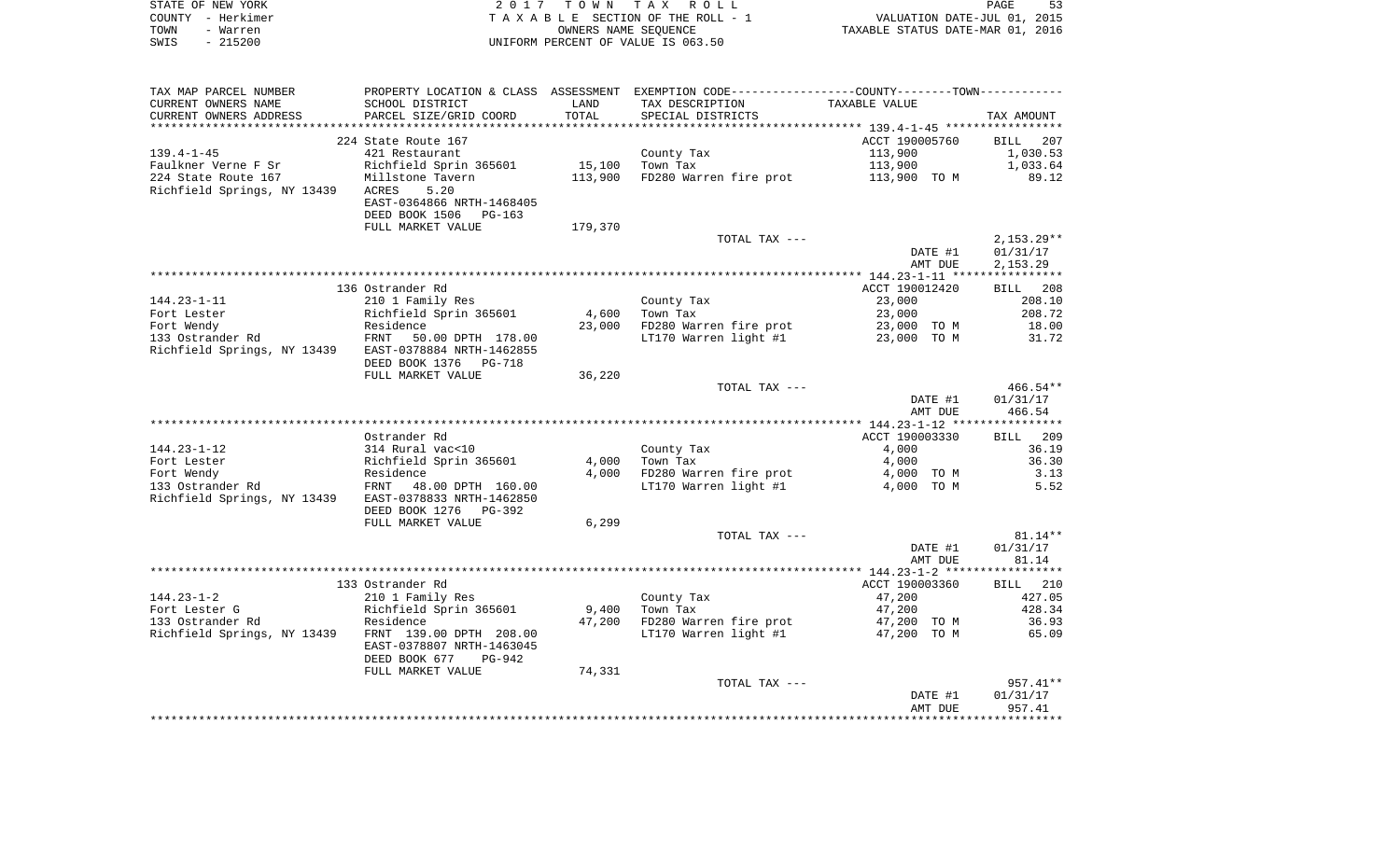|      | STATE OF NEW YORK | 2017 TOWN TAX ROLL                 | PAGE                             | 53 |
|------|-------------------|------------------------------------|----------------------------------|----|
|      | COUNTY - Herkimer | TAXABLE SECTION OF THE ROLL - 1    | VALUATION DATE-JUL 01, 2015      |    |
| TOWN | - Warren          | OWNERS NAME SEOUENCE               | TAXABLE STATUS DATE-MAR 01, 2016 |    |
| SWIS | $-215200$         | UNIFORM PERCENT OF VALUE IS 063.50 |                                  |    |

| TAX MAP PARCEL NUMBER                                 |                           |         | PROPERTY LOCATION & CLASS ASSESSMENT EXEMPTION CODE---------------COUNTY-------TOWN---------- |                |                 |
|-------------------------------------------------------|---------------------------|---------|-----------------------------------------------------------------------------------------------|----------------|-----------------|
| CURRENT OWNERS NAME                                   | SCHOOL DISTRICT           | LAND    | TAX DESCRIPTION                                                                               | TAXABLE VALUE  |                 |
| CURRENT OWNERS ADDRESS                                | PARCEL SIZE/GRID COORD    | TOTAL   | SPECIAL DISTRICTS                                                                             |                | TAX AMOUNT      |
|                                                       |                           |         |                                                                                               |                |                 |
|                                                       | 224 State Route 167       |         |                                                                                               | ACCT 190005760 | BILL 207        |
| $139.4 - 1 - 45$                                      | 421 Restaurant            |         | County Tax                                                                                    | 113,900        | 1,030.53        |
| Faulkner Verne F Sr                                   | Richfield Sprin 365601    | 15,100  | Town Tax                                                                                      | 113,900        | 1,033.64        |
| 224 State Route 167                                   | Millstone Tavern          | 113,900 | FD280 Warren fire prot                                                                        | 113,900 TO M   | 89.12           |
| Richfield Springs, NY 13439                           | ACRES<br>5.20             |         |                                                                                               |                |                 |
|                                                       |                           |         |                                                                                               |                |                 |
|                                                       | EAST-0364866 NRTH-1468405 |         |                                                                                               |                |                 |
|                                                       | DEED BOOK 1506<br>PG-163  |         |                                                                                               |                |                 |
|                                                       | FULL MARKET VALUE         | 179,370 |                                                                                               |                |                 |
|                                                       |                           |         | TOTAL TAX ---                                                                                 |                | $2,153.29**$    |
|                                                       |                           |         |                                                                                               | DATE #1        | 01/31/17        |
|                                                       |                           |         |                                                                                               | AMT DUE        | 2,153.29        |
|                                                       |                           |         |                                                                                               |                |                 |
|                                                       | 136 Ostrander Rd          |         |                                                                                               | ACCT 190012420 | 208<br>BILL     |
| 144.23-1-11                                           | 210 1 Family Res          |         | County Tax                                                                                    | 23,000         | 208.10          |
|                                                       |                           | 4,600   | Town Tax                                                                                      | 23,000         | 208.72          |
|                                                       |                           | 23,000  | FD280 Warren fire prot                                                                        | 23,000 TO M    | 18.00           |
|                                                       |                           |         | LT170 Warren light #1 23,000 TO M                                                             |                | 31.72           |
| Richfield Springs, NY 13439 EAST-0378884 NRTH-1462855 |                           |         |                                                                                               |                |                 |
|                                                       | DEED BOOK 1376<br>PG-718  |         |                                                                                               |                |                 |
|                                                       |                           |         |                                                                                               |                |                 |
|                                                       | FULL MARKET VALUE         | 36,220  |                                                                                               |                |                 |
|                                                       |                           |         | TOTAL TAX ---                                                                                 |                | $466.54***$     |
|                                                       |                           |         |                                                                                               | DATE #1        | 01/31/17        |
|                                                       |                           |         |                                                                                               | AMT DUE        | 466.54          |
|                                                       |                           |         |                                                                                               |                |                 |
|                                                       | Ostrander Rd              |         |                                                                                               | ACCT 190003330 | <b>BILL</b> 209 |
| 144.23-1-12                                           | 314 Rural vac<10          |         | County Tax                                                                                    | 4,000          | 36.19           |
| Fort Lester                                           | Richfield Sprin 365601    | 4,000   | Town Tax                                                                                      | 4,000          | 36.30           |
| Fort Wendy                                            | Residence                 | 4,000   | FD280 Warren fire prot                                                                        | 4,000 TO M     | 3.13            |
| 133 Ostrander Rd                                      | FRNT 48.00 DPTH 160.00    |         | LT170 Warren light #1                                                                         | 4,000 TO M     | 5.52            |
| Richfield Springs, NY 13439 EAST-0378833 NRTH-1462850 |                           |         |                                                                                               |                |                 |
|                                                       | DEED BOOK 1276<br>PG-392  |         |                                                                                               |                |                 |
|                                                       | FULL MARKET VALUE         | 6,299   |                                                                                               |                |                 |
|                                                       |                           |         | TOTAL TAX ---                                                                                 |                | $81.14**$       |
|                                                       |                           |         |                                                                                               | DATE #1        | 01/31/17        |
|                                                       |                           |         |                                                                                               | AMT DUE        | 81.14           |
|                                                       |                           |         |                                                                                               |                |                 |
|                                                       |                           |         |                                                                                               |                |                 |
|                                                       | 133 Ostrander Rd          |         |                                                                                               | ACCT 190003360 | BILL 210        |
| $144.23 - 1 - 2$                                      | 210 1 Family Res          |         | County Tax                                                                                    | 47,200         | 427.05          |
| Fort Lester G                                         | Richfield Sprin 365601    |         | $9,400$ Town Tax                                                                              | 47,200         | 428.34          |
| 133 Ostrander Rd                                      | Residence                 | 47,200  | FD280 Warren fire prot                                                                        | 47,200 TO M    | 36.93           |
| Richfield Springs, NY 13439 FRNT 139.00 DPTH 208.00   |                           |         | LT170 Warren light #1                                                                         | 47,200 TO M    | 65.09           |
|                                                       | EAST-0378807 NRTH-1463045 |         |                                                                                               |                |                 |
|                                                       | DEED BOOK 677<br>PG-942   |         |                                                                                               |                |                 |
|                                                       | FULL MARKET VALUE         | 74,331  |                                                                                               |                |                 |
|                                                       |                           |         | TOTAL TAX ---                                                                                 |                | $957.41**$      |
|                                                       |                           |         |                                                                                               | DATE #1        | 01/31/17        |
|                                                       |                           |         |                                                                                               | AMT DUE        | 957.41          |
|                                                       |                           |         |                                                                                               |                |                 |
|                                                       |                           |         |                                                                                               |                |                 |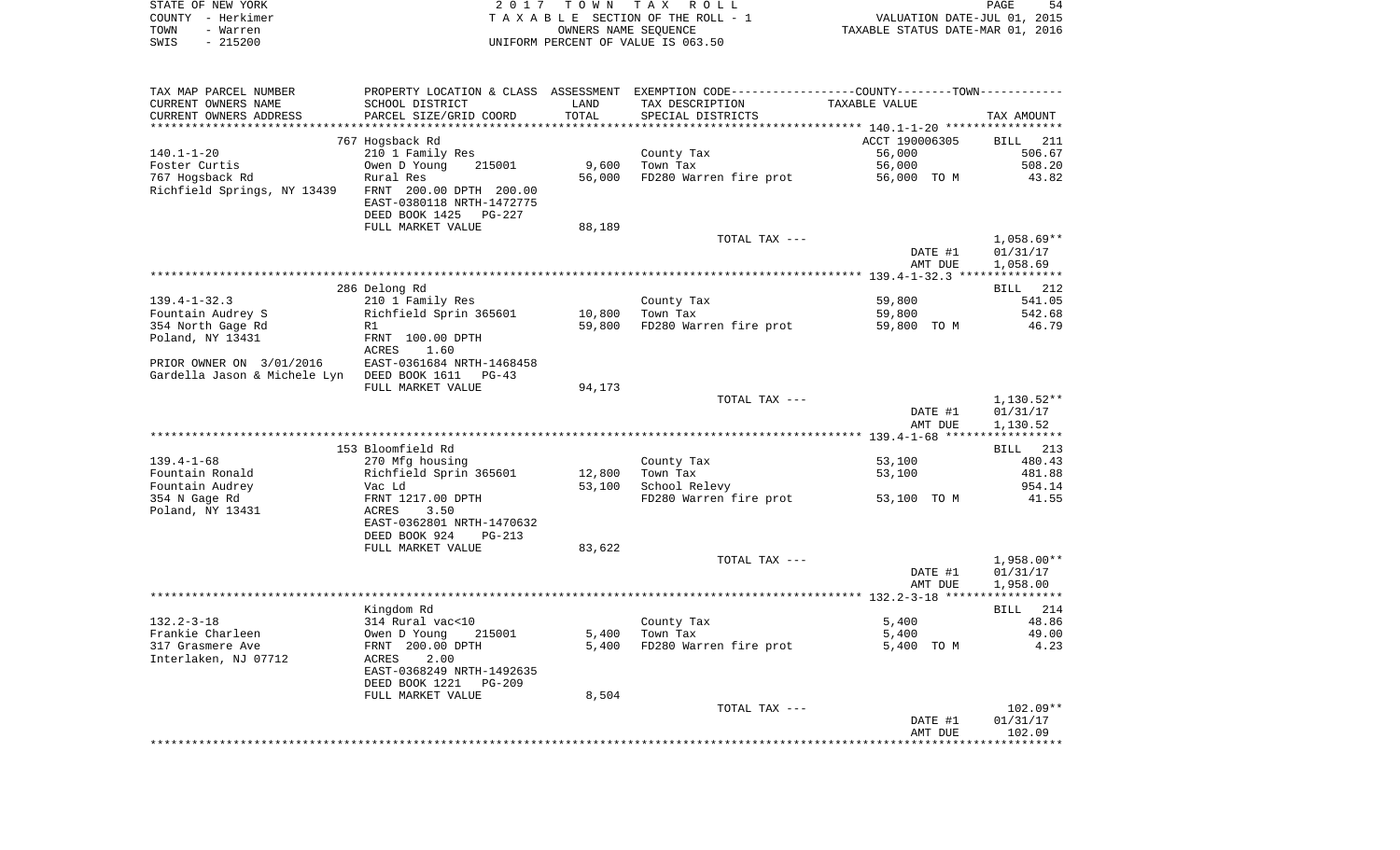|      | STATE OF NEW YORK | 2017 TOWN TAX ROLL                 | 54<br>PAGE                       |
|------|-------------------|------------------------------------|----------------------------------|
|      | COUNTY - Herkimer | TAXABLE SECTION OF THE ROLL - 1    | VALUATION DATE-JUL 01, 2015      |
| TOWN | - Warren          | OWNERS NAME SEOUENCE               | TAXABLE STATUS DATE-MAR 01, 2016 |
| SWIS | - 215200          | UNIFORM PERCENT OF VALUE IS 063.50 |                                  |

| TAX MAP PARCEL NUMBER                                  |                                                                                                   |        | PROPERTY LOCATION & CLASS ASSESSMENT EXEMPTION CODE---------------COUNTY--------TOWN---------- |                    |                                      |
|--------------------------------------------------------|---------------------------------------------------------------------------------------------------|--------|------------------------------------------------------------------------------------------------|--------------------|--------------------------------------|
| CURRENT OWNERS NAME                                    | SCHOOL DISTRICT                                                                                   | LAND   | TAX DESCRIPTION                                                                                | TAXABLE VALUE      |                                      |
| CURRENT OWNERS ADDRESS                                 | PARCEL SIZE/GRID COORD                                                                            | TOTAL  | SPECIAL DISTRICTS                                                                              |                    | TAX AMOUNT                           |
|                                                        |                                                                                                   |        |                                                                                                |                    |                                      |
|                                                        | 767 Hogsback Rd                                                                                   |        |                                                                                                | ACCT 190006305     | BILL 211                             |
| 140.1-1-20                                             | 210 1 Family Res                                                                                  |        | County Tax                                                                                     | 56,000             | 506.67                               |
| Foster Curtis                                          | Owen D Young<br>215001                                                                            | 9,600  | Town Tax                                                                                       | 56,000             | 508.20                               |
| 767 Hogsback Rd                                        | Rural Res                                                                                         | 56,000 | FD280 Warren fire prot                                                                         | 56,000 TO M        | 43.82                                |
| Richfield Springs, NY 13439    FRNT 200.00 DPTH 200.00 | EAST-0380118 NRTH-1472775<br>DEED BOOK 1425<br>PG-227                                             |        |                                                                                                |                    |                                      |
|                                                        | FULL MARKET VALUE                                                                                 | 88,189 |                                                                                                |                    |                                      |
|                                                        |                                                                                                   |        | TOTAL TAX ---                                                                                  | DATE #1<br>AMT DUE | $1,058.69**$<br>01/31/17<br>1,058.69 |
|                                                        |                                                                                                   |        |                                                                                                |                    |                                      |
|                                                        | 286 Delong Rd                                                                                     |        |                                                                                                |                    | BILL 212                             |
| $139.4 - 1 - 32.3$                                     | 210 1 Family Res                                                                                  |        | County Tax                                                                                     | 59,800             | 541.05                               |
| Fountain Audrey S                                      | Richfield Sprin 365601                                                                            | 10,800 | Town Tax                                                                                       | 59,800             | 542.68                               |
| 354 North Gage Rd                                      | R1                                                                                                | 59,800 | FD280 Warren fire prot                                                                         | 59,800 TO M        | 46.79                                |
| Poland, NY 13431                                       | FRNT 100.00 DPTH                                                                                  |        |                                                                                                |                    |                                      |
| PRIOR OWNER ON 3/01/2016                               | ACRES<br>1.60<br>EAST-0361684 NRTH-1468458                                                        |        |                                                                                                |                    |                                      |
| Gardella Jason & Michele Lyn DEED BOOK 1611 PG-43      |                                                                                                   |        |                                                                                                |                    |                                      |
|                                                        | FULL MARKET VALUE                                                                                 | 94,173 |                                                                                                |                    |                                      |
|                                                        |                                                                                                   |        | TOTAL TAX ---                                                                                  |                    | $1,130.52**$                         |
|                                                        |                                                                                                   |        |                                                                                                | DATE #1            | 01/31/17                             |
|                                                        |                                                                                                   |        |                                                                                                | AMT DUE            | 1,130.52                             |
|                                                        |                                                                                                   |        |                                                                                                |                    |                                      |
|                                                        | 153 Bloomfield Rd                                                                                 |        |                                                                                                |                    | BILL 213                             |
| $139.4 - 1 - 68$                                       | 270 Mfg housing                                                                                   |        | County Tax                                                                                     | 53,100             | 480.43                               |
| Fountain Ronald                                        | Richfield Sprin 365601                                                                            | 12,800 | Town Tax                                                                                       | 53,100             | 481.88                               |
| Fountain Audrey                                        | Vac Ld                                                                                            | 53,100 | School Relevy                                                                                  |                    | 954.14                               |
| 354 N Gage Rd<br>Poland, NY 13431                      | FRNT 1217.00 DPTH<br>ACRES<br>3.50<br>EAST-0362801 NRTH-1470632<br>DEED BOOK 924<br><b>PG-213</b> |        | FD280 Warren fire prot                                                                         | 53,100 TO M        | 41.55                                |
|                                                        | FULL MARKET VALUE                                                                                 | 83,622 |                                                                                                |                    |                                      |
|                                                        |                                                                                                   |        | TOTAL TAX ---                                                                                  | DATE #1<br>AMT DUE | 1,958.00**<br>01/31/17<br>1,958.00   |
|                                                        |                                                                                                   |        |                                                                                                |                    |                                      |
|                                                        | Kingdom Rd                                                                                        |        |                                                                                                |                    | BILL 214                             |
| $132.2 - 3 - 18$                                       | 314 Rural vac<10                                                                                  |        | County Tax                                                                                     | 5,400              | 48.86                                |
| Frankie Charleen                                       | Owen D Young<br>215001                                                                            | 5,400  | Town Tax                                                                                       | 5,400              | 49.00                                |
| 317 Grasmere Ave                                       | FRNT 200.00 DPTH                                                                                  | 5,400  | FD280 Warren fire prot                                                                         | 5,400 TO M         | 4.23                                 |
| Interlaken, NJ 07712                                   | ACRES<br>2.00<br>EAST-0368249 NRTH-1492635<br>DEED BOOK 1221<br>PG-209                            |        |                                                                                                |                    |                                      |
|                                                        | FULL MARKET VALUE                                                                                 | 8,504  |                                                                                                |                    |                                      |
|                                                        |                                                                                                   |        | TOTAL TAX ---                                                                                  |                    | $102.09**$                           |
|                                                        |                                                                                                   |        |                                                                                                | DATE #1<br>AMT DUE | 01/31/17<br>102.09                   |
|                                                        |                                                                                                   |        |                                                                                                |                    |                                      |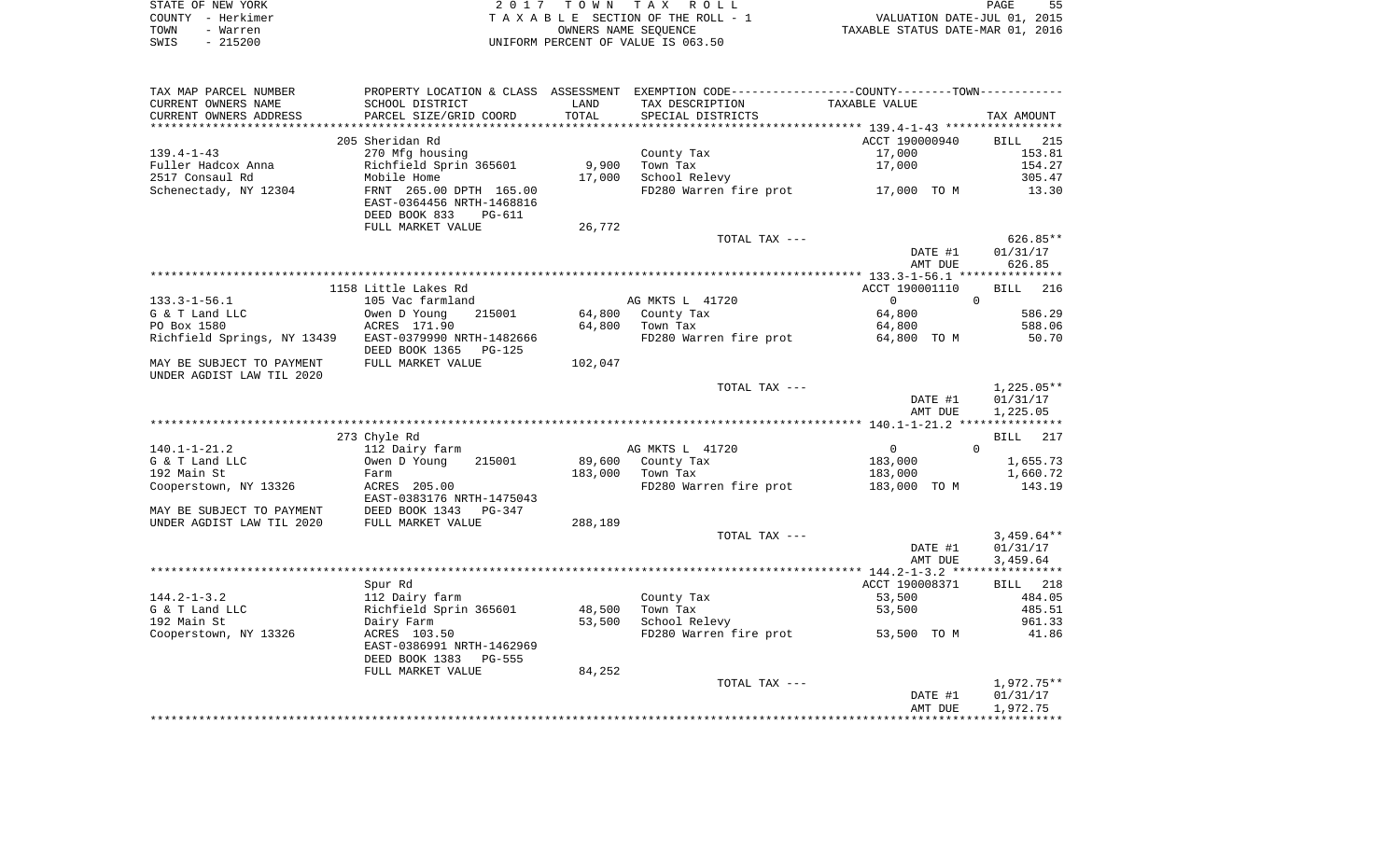|      | STATE OF NEW YORK | 2017 TOWN TAX ROLL                 | 55<br><b>PAGE</b>                |
|------|-------------------|------------------------------------|----------------------------------|
|      | COUNTY - Herkimer | TAXABLE SECTION OF THE ROLL - 1    | VALUATION DATE-JUL 01, 2015      |
| TOWN | - Warren          | OWNERS NAME SEOUENCE               | TAXABLE STATUS DATE-MAR 01, 2016 |
| SWIS | $-215200$         | UNIFORM PERCENT OF VALUE IS 063.50 |                                  |

| TAX MAP PARCEL NUMBER                                    |                           |         |                        | PROPERTY LOCATION & CLASS ASSESSMENT EXEMPTION CODE---------------COUNTY-------TOWN---------- |                |
|----------------------------------------------------------|---------------------------|---------|------------------------|-----------------------------------------------------------------------------------------------|----------------|
| CURRENT OWNERS NAME                                      | SCHOOL DISTRICT           | LAND    | TAX DESCRIPTION        | TAXABLE VALUE                                                                                 |                |
| CURRENT OWNERS ADDRESS                                   | PARCEL SIZE/GRID COORD    | TOTAL   | SPECIAL DISTRICTS      |                                                                                               | TAX AMOUNT     |
|                                                          |                           |         |                        |                                                                                               |                |
|                                                          | 205 Sheridan Rd           |         |                        | ACCT 190000940                                                                                | BILL 215       |
| $139.4 - 1 - 43$                                         | 270 Mfg housing           |         | County Tax             | 17,000                                                                                        | 153.81         |
| Fuller Hadcox Anna                                       | Richfield Sprin 365601    | 9,900   | Town Tax               | 17,000                                                                                        | 154.27         |
| 2517 Consaul Rd                                          | Mobile Home               | 17,000  | School Relevy          |                                                                                               | 305.47         |
| Schenectady, NY 12304                                    | FRNT 265.00 DPTH 165.00   |         |                        | FD280 Warren fire prot 17,000 TO M                                                            | 13.30          |
|                                                          | EAST-0364456 NRTH-1468816 |         |                        |                                                                                               |                |
|                                                          | DEED BOOK 833<br>PG-611   |         |                        |                                                                                               |                |
|                                                          | FULL MARKET VALUE         | 26,772  |                        |                                                                                               |                |
|                                                          |                           |         | TOTAL TAX ---          |                                                                                               | 626.85**       |
|                                                          |                           |         |                        | DATE #1                                                                                       | 01/31/17       |
|                                                          |                           |         |                        | AMT DUE                                                                                       | 626.85         |
|                                                          |                           |         |                        |                                                                                               |                |
|                                                          | 1158 Little Lakes Rd      |         |                        | ACCT 190001110                                                                                | BILL 216       |
| 133.3-1-56.1                                             | 105 Vac farmland          |         | AG MKTS L 41720        | $\overline{0}$                                                                                | $\overline{0}$ |
| G & T Land LLC                                           | 215001<br>Owen D Young    | 64,800  | County Tax             | 64,800                                                                                        | 586.29         |
| PO Box 1580                                              | ACRES 171.90              |         | 64,800 Town Tax        | 64,800                                                                                        | 588.06         |
| Richfield Springs, NY 13439    EAST-0379990 NRTH-1482666 |                           |         | FD280 Warren fire prot | 64,800 TO M                                                                                   | 50.70          |
|                                                          | DEED BOOK 1365 PG-125     |         |                        |                                                                                               |                |
| MAY BE SUBJECT TO PAYMENT                                | FULL MARKET VALUE         | 102,047 |                        |                                                                                               |                |
| UNDER AGDIST LAW TIL 2020                                |                           |         |                        |                                                                                               |                |
|                                                          |                           |         | TOTAL TAX ---          |                                                                                               | 1,225.05**     |
|                                                          |                           |         |                        | DATE #1                                                                                       | 01/31/17       |
|                                                          |                           |         |                        | AMT DUE                                                                                       | 1,225.05       |
|                                                          |                           |         |                        |                                                                                               |                |
|                                                          |                           |         |                        |                                                                                               | 217<br>BILL    |
|                                                          | 273 Chyle Rd              |         |                        | $\overline{0}$                                                                                | $\Omega$       |
| 140.1-1-21.2                                             | 112 Dairy farm            |         | AG MKTS L 41720        |                                                                                               |                |
| G & T Land LLC                                           | Owen D Young<br>215001    |         | 89,600 County Tax      | 183,000                                                                                       | 1,655.73       |
| 192 Main St                                              | Farm                      | 183,000 | Town Tax               | 183,000                                                                                       | 1,660.72       |
| Cooperstown, NY 13326                                    | ACRES 205.00              |         | FD280 Warren fire prot | 183,000 TO M                                                                                  | 143.19         |
|                                                          | EAST-0383176 NRTH-1475043 |         |                        |                                                                                               |                |
| MAY BE SUBJECT TO PAYMENT                                | DEED BOOK 1343<br>PG-347  |         |                        |                                                                                               |                |
| UNDER AGDIST LAW TIL 2020                                | FULL MARKET VALUE         | 288,189 |                        |                                                                                               |                |
|                                                          |                           |         | TOTAL TAX ---          |                                                                                               | $3,459.64**$   |
|                                                          |                           |         |                        | DATE #1                                                                                       | 01/31/17       |
|                                                          |                           |         |                        | AMT DUE                                                                                       | 3,459.64       |
|                                                          |                           |         |                        |                                                                                               |                |
|                                                          | Spur Rd                   |         |                        | ACCT 190008371                                                                                | BILL 218       |
| $144.2 - 1 - 3.2$                                        | 112 Dairy farm            |         | County Tax             | 53,500                                                                                        | 484.05         |
| G & T Land LLC                                           | Richfield Sprin 365601    | 48,500  | Town Tax               | 53,500                                                                                        | 485.51         |
| 192 Main St                                              | Dairy Farm                | 53,500  | School Relevy          |                                                                                               | 961.33         |
| Cooperstown, NY 13326                                    | ACRES 103.50              |         | FD280 Warren fire prot | 53,500 TO M                                                                                   | 41.86          |
|                                                          | EAST-0386991 NRTH-1462969 |         |                        |                                                                                               |                |
|                                                          | DEED BOOK 1383 PG-555     |         |                        |                                                                                               |                |
|                                                          | FULL MARKET VALUE         | 84,252  |                        |                                                                                               |                |
|                                                          |                           |         | TOTAL TAX ---          |                                                                                               | 1,972.75**     |
|                                                          |                           |         |                        | DATE #1                                                                                       | 01/31/17       |
|                                                          |                           |         |                        | AMT DUE                                                                                       | 1,972.75       |
|                                                          |                           |         |                        |                                                                                               |                |
|                                                          |                           |         |                        |                                                                                               |                |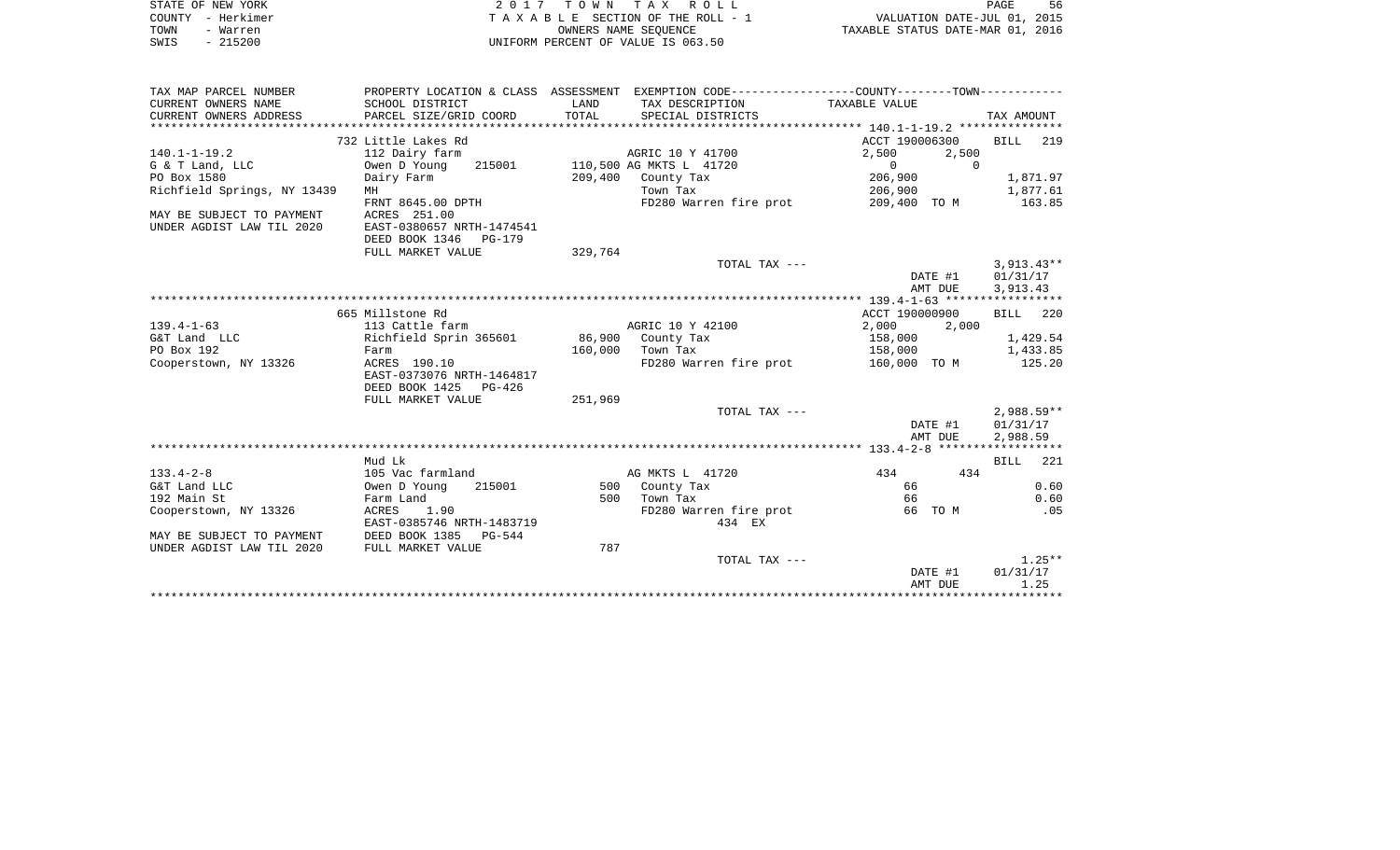| STATE OF NEW YORK              |                           |         | 2017 TOWN TAX ROLL                                                                           |                                                                 | PAGE<br>56         |
|--------------------------------|---------------------------|---------|----------------------------------------------------------------------------------------------|-----------------------------------------------------------------|--------------------|
| COUNTY - Herkimer              |                           |         | TAXABLE SECTION OF THE ROLL - 1                                                              | VALUATION DATE-JUL 01, 2015<br>TAXABLE STATUS DATE-MAR 01, 2016 |                    |
| TOWN<br>- Warren               |                           |         | OWNERS NAME SEQUENCE                                                                         |                                                                 |                    |
| SWIS<br>$-215200$              |                           |         | UNIFORM PERCENT OF VALUE IS 063.50                                                           |                                                                 |                    |
|                                |                           |         |                                                                                              |                                                                 |                    |
|                                |                           |         |                                                                                              |                                                                 |                    |
| TAX MAP PARCEL NUMBER          |                           |         | PROPERTY LOCATION & CLASS ASSESSMENT EXEMPTION CODE---------------COUNTY-------TOWN--------- |                                                                 |                    |
| CURRENT OWNERS NAME            | SCHOOL DISTRICT           | LAND    | TAX DESCRIPTION                                                                              | TAXABLE VALUE                                                   |                    |
| CURRENT OWNERS ADDRESS         | PARCEL SIZE/GRID COORD    | TOTAL   | SPECIAL DISTRICTS                                                                            |                                                                 | TAX AMOUNT         |
|                                |                           |         |                                                                                              |                                                                 |                    |
|                                | 732 Little Lakes Rd       |         |                                                                                              | ACCT 190006300                                                  | BILL 219           |
| $140.1 - 1 - 19.2$             | 112 Dairy farm            |         | AGRIC 10 Y 41700<br>110,500 AG MKTS L 41720                                                  | 2,500<br>2,500<br>$\Omega$<br>$\Omega$                          |                    |
| G & T Land, LLC<br>PO Box 1580 | Owen D Young<br>215001    |         |                                                                                              |                                                                 |                    |
| Richfield Springs, NY 13439    | Dairy Farm<br>MH          |         | 209,400 County Tax<br>Town Tax                                                               | 206,900                                                         | 1,871.97           |
|                                | FRNT 8645.00 DPTH         |         | FD280 Warren fire prot                                                                       | 206,900<br>209,400 TO M                                         | 1,877.61<br>163.85 |
| MAY BE SUBJECT TO PAYMENT      | ACRES 251.00              |         |                                                                                              |                                                                 |                    |
| UNDER AGDIST LAW TIL 2020      | EAST-0380657 NRTH-1474541 |         |                                                                                              |                                                                 |                    |
|                                | DEED BOOK 1346<br>PG-179  |         |                                                                                              |                                                                 |                    |
|                                | FULL MARKET VALUE         | 329,764 |                                                                                              |                                                                 |                    |
|                                |                           |         | TOTAL TAX ---                                                                                |                                                                 | $3,913.43**$       |
|                                |                           |         |                                                                                              | DATE #1                                                         | 01/31/17           |
|                                |                           |         |                                                                                              | AMT DUE                                                         | 3,913.43           |
|                                |                           |         |                                                                                              |                                                                 |                    |
|                                | 665 Millstone Rd          |         |                                                                                              | ACCT 190000900                                                  | 220<br>BILL        |
| $139.4 - 1 - 63$               | 113 Cattle farm           |         | AGRIC 10 Y 42100                                                                             | 2,000<br>2,000                                                  |                    |
| G&T Land LLC                   | Richfield Sprin 365601    | 86,900  | County Tax                                                                                   | 158,000                                                         | 1,429.54           |
| PO Box 192                     | Farm                      | 160,000 | Town Tax                                                                                     | 158,000                                                         | 1,433.85           |
| Cooperstown, NY 13326          | ACRES 190.10              |         | FD280 Warren fire prot                                                                       | 160,000 TO M                                                    | 125.20             |
|                                | EAST-0373076 NRTH-1464817 |         |                                                                                              |                                                                 |                    |
|                                | DEED BOOK 1425<br>PG-426  |         |                                                                                              |                                                                 |                    |
|                                | FULL MARKET VALUE         | 251,969 |                                                                                              |                                                                 |                    |
|                                |                           |         | TOTAL TAX ---                                                                                |                                                                 | $2,988.59**$       |
|                                |                           |         |                                                                                              | DATE #1                                                         | 01/31/17           |
|                                |                           |         |                                                                                              | AMT DUE                                                         | 2,988.59           |
|                                |                           |         |                                                                                              |                                                                 |                    |
|                                | Mud Lk                    |         |                                                                                              |                                                                 | <b>BILL</b><br>221 |
| $133.4 - 2 - 8$                | 105 Vac farmland          |         | AG MKTS L 41720                                                                              | 434<br>434                                                      |                    |
| G&T Land LLC                   | Owen D Young<br>215001    |         | 500 County Tax                                                                               | 66                                                              | 0.60               |
| 192 Main St                    | Farm Land                 | 500     | Town Tax                                                                                     | 66                                                              | 0.60               |
| Cooperstown, NY 13326          | ACRES<br>1.90             |         | FD280 Warren fire prot                                                                       | 66 TO M                                                         | .05                |
|                                | EAST-0385746 NRTH-1483719 |         | 434 EX                                                                                       |                                                                 |                    |
| MAY BE SUBJECT TO PAYMENT      | DEED BOOK 1385<br>PG-544  |         |                                                                                              |                                                                 |                    |
| UNDER AGDIST LAW TIL 2020      | FULL MARKET VALUE         | 787     |                                                                                              |                                                                 |                    |
|                                |                           |         | TOTAL TAX ---                                                                                |                                                                 | $1.25**$           |
|                                |                           |         |                                                                                              | DATE #1                                                         | 01/31/17           |
|                                |                           |         |                                                                                              | AMT DUE                                                         | 1.25               |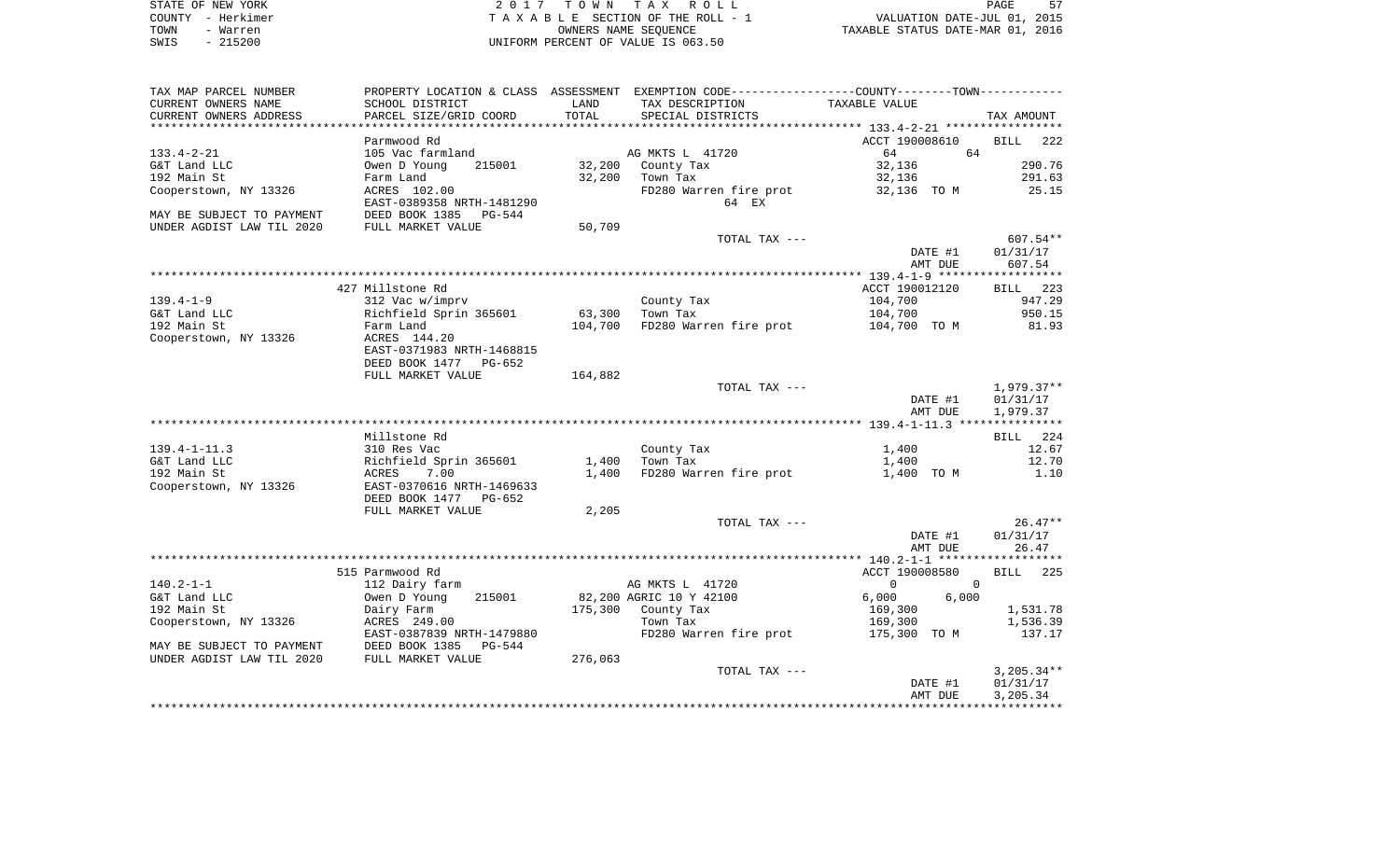|      | STATE OF NEW YORK | 2017 TOWN TAX ROLL                 | PAGE                             |
|------|-------------------|------------------------------------|----------------------------------|
|      | COUNTY - Herkimer | TAXABLE SECTION OF THE ROLL - 1    | VALUATION DATE-JUL 01, 2015      |
| TOWN | - Warren          | OWNERS NAME SEOUENCE               | TAXABLE STATUS DATE-MAR 01, 2016 |
| SWIS | $-215200$         | UNIFORM PERCENT OF VALUE IS 063.50 |                                  |

| TAX MAP PARCEL NUMBER     |                           |         |                         | PROPERTY LOCATION & CLASS ASSESSMENT EXEMPTION CODE----------------COUNTY-------TOWN----------- |                    |
|---------------------------|---------------------------|---------|-------------------------|-------------------------------------------------------------------------------------------------|--------------------|
| CURRENT OWNERS NAME       | SCHOOL DISTRICT           | LAND    | TAX DESCRIPTION         | TAXABLE VALUE                                                                                   |                    |
| CURRENT OWNERS ADDRESS    | PARCEL SIZE/GRID COORD    | TOTAL   | SPECIAL DISTRICTS       |                                                                                                 | TAX AMOUNT         |
|                           |                           |         |                         |                                                                                                 |                    |
|                           | Parmwood Rd               |         |                         | ACCT 190008610                                                                                  | <b>BILL</b><br>222 |
| $133.4 - 2 - 21$          | 105 Vac farmland          |         | AG MKTS L 41720         | 64<br>64                                                                                        |                    |
| G&T Land LLC              | Owen D Young<br>215001    | 32,200  | County Tax              | 32,136                                                                                          | 290.76             |
| 192 Main St               | Farm Land                 | 32,200  | Town Tax                | 32,136                                                                                          | 291.63             |
| Cooperstown, NY 13326     | ACRES 102.00              |         | FD280 Warren fire prot  | 32,136 TO M                                                                                     | 25.15              |
|                           | EAST-0389358 NRTH-1481290 |         | 64 EX                   |                                                                                                 |                    |
| MAY BE SUBJECT TO PAYMENT | DEED BOOK 1385<br>PG-544  |         |                         |                                                                                                 |                    |
| UNDER AGDIST LAW TIL 2020 | FULL MARKET VALUE         | 50,709  |                         |                                                                                                 |                    |
|                           |                           |         | TOTAL TAX ---           |                                                                                                 | 607.54**           |
|                           |                           |         |                         | DATE #1                                                                                         | 01/31/17           |
|                           |                           |         |                         | AMT DUE                                                                                         | 607.54             |
|                           |                           |         |                         |                                                                                                 |                    |
|                           | 427 Millstone Rd          |         |                         | ACCT 190012120                                                                                  | BILL 223           |
| $139.4 - 1 - 9$           | 312 Vac w/imprv           |         | County Tax              | 104,700                                                                                         | 947.29             |
| G&T Land LLC              | Richfield Sprin 365601    | 63,300  | Town Tax                | 104,700                                                                                         | 950.15             |
| 192 Main St               | Farm Land                 | 104,700 | FD280 Warren fire prot  | 104,700 TO M                                                                                    | 81.93              |
| Cooperstown, NY 13326     | ACRES 144.20              |         |                         |                                                                                                 |                    |
|                           | EAST-0371983 NRTH-1468815 |         |                         |                                                                                                 |                    |
|                           | DEED BOOK 1477<br>PG-652  |         |                         |                                                                                                 |                    |
|                           | FULL MARKET VALUE         | 164,882 |                         |                                                                                                 |                    |
|                           |                           |         | TOTAL TAX ---           |                                                                                                 |                    |
|                           |                           |         |                         |                                                                                                 | $1,979.37**$       |
|                           |                           |         |                         | DATE #1                                                                                         | 01/31/17           |
|                           |                           |         |                         | AMT DUE                                                                                         | 1,979.37           |
|                           | Millstone Rd              |         |                         |                                                                                                 | 224<br>BILL        |
|                           |                           |         |                         |                                                                                                 |                    |
| $139.4 - 1 - 11.3$        | 310 Res Vac               |         | County Tax              | 1,400                                                                                           | 12.67              |
| G&T Land LLC              | Richfield Sprin 365601    | 1,400   | Town Tax                | 1,400                                                                                           | 12.70              |
| 192 Main St               | 7.00<br>ACRES             | 1,400   | FD280 Warren fire prot  | 1,400 TO M                                                                                      | 1.10               |
| Cooperstown, NY 13326     | EAST-0370616 NRTH-1469633 |         |                         |                                                                                                 |                    |
|                           | DEED BOOK 1477<br>PG-652  |         |                         |                                                                                                 |                    |
|                           | FULL MARKET VALUE         | 2,205   |                         |                                                                                                 |                    |
|                           |                           |         | TOTAL TAX ---           |                                                                                                 | $26.47**$          |
|                           |                           |         |                         | DATE #1                                                                                         | 01/31/17           |
|                           |                           |         |                         | AMT DUE                                                                                         | 26.47              |
|                           |                           |         |                         |                                                                                                 |                    |
|                           | 515 Parmwood Rd           |         |                         | ACCT 190008580                                                                                  | 225<br>BILL        |
| $140.2 - 1 - 1$           | 112 Dairy farm            |         | AG MKTS L 41720         | $\mathbf{0}$<br>$\Omega$                                                                        |                    |
| G&T Land LLC              | 215001<br>Owen D Young    |         | 82,200 AGRIC 10 Y 42100 | 6,000<br>6,000                                                                                  |                    |
| 192 Main St               | Dairy Farm                | 175,300 | County Tax              | 169,300                                                                                         | 1,531.78           |
| Cooperstown, NY 13326     | ACRES 249.00              |         | Town Tax                | 169,300                                                                                         | 1,536.39           |
|                           | EAST-0387839 NRTH-1479880 |         | FD280 Warren fire prot  | 175,300 TO M                                                                                    | 137.17             |
| MAY BE SUBJECT TO PAYMENT | DEED BOOK 1385<br>PG-544  |         |                         |                                                                                                 |                    |
| UNDER AGDIST LAW TIL 2020 | FULL MARKET VALUE         | 276,063 |                         |                                                                                                 |                    |
|                           |                           |         | TOTAL TAX ---           |                                                                                                 | $3,205.34**$       |
|                           |                           |         |                         | DATE #1                                                                                         | 01/31/17           |
|                           |                           |         |                         | AMT DUE                                                                                         | 3,205.34           |
|                           |                           |         |                         |                                                                                                 |                    |
|                           |                           |         |                         |                                                                                                 |                    |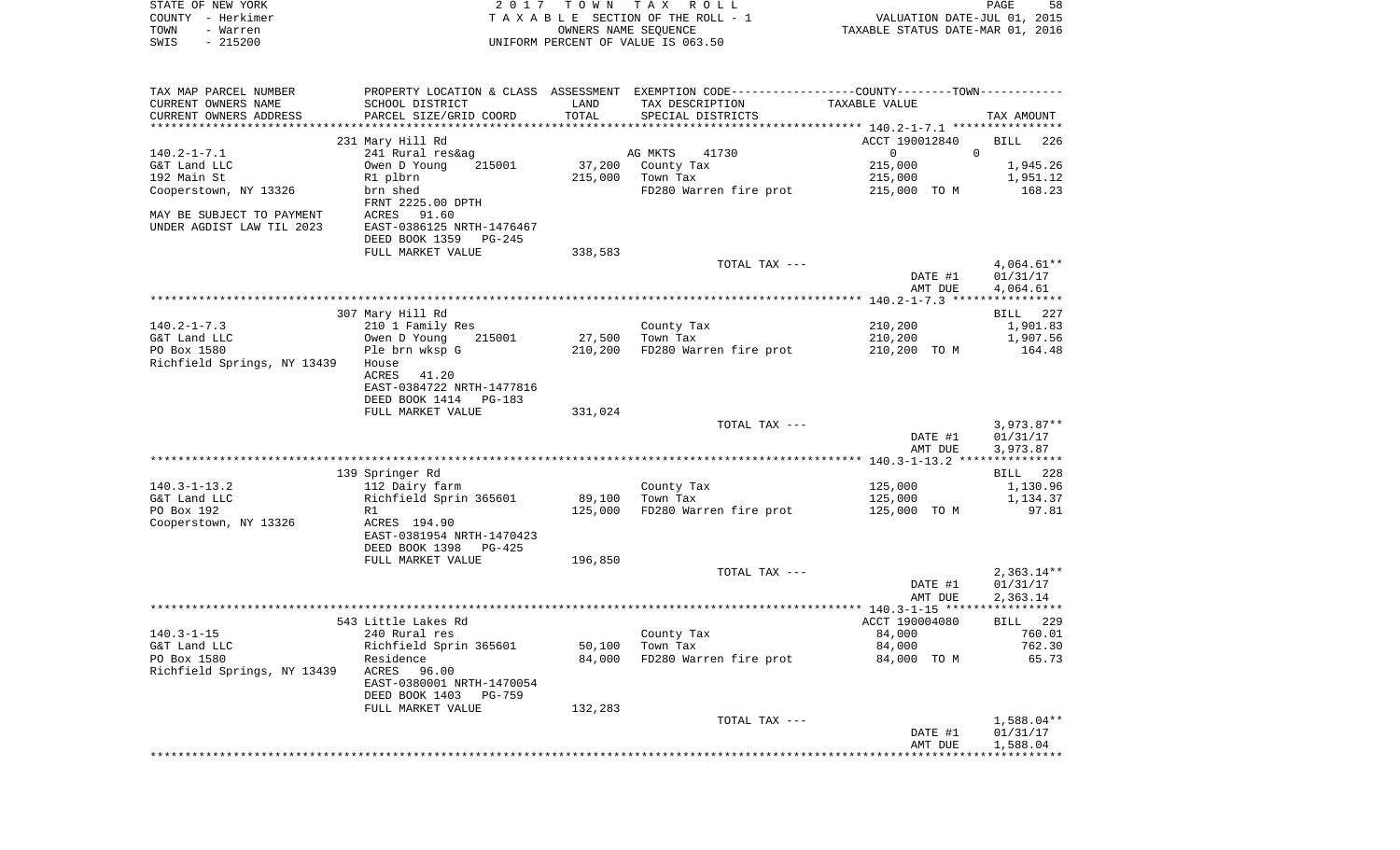| STATE OF NEW YORK<br>COUNTY - Herkimer<br>TOWN<br>- Warren<br>$-215200$<br>SWIS | 2017                                                  | T O W N<br>OWNERS NAME SEQUENCE | TAX ROLL<br>TAXABLE SECTION OF THE ROLL - 1<br>UNIFORM PERCENT OF VALUE IS 063.50             | VALUATION DATE-JUL 01, 2015<br>TAXABLE STATUS DATE-MAR 01, 2016 | PAGE<br>58             |
|---------------------------------------------------------------------------------|-------------------------------------------------------|---------------------------------|-----------------------------------------------------------------------------------------------|-----------------------------------------------------------------|------------------------|
|                                                                                 |                                                       |                                 |                                                                                               |                                                                 |                        |
| TAX MAP PARCEL NUMBER                                                           |                                                       |                                 | PROPERTY LOCATION & CLASS ASSESSMENT EXEMPTION CODE---------------COUNTY-------TOWN---------- |                                                                 |                        |
| CURRENT OWNERS NAME                                                             | SCHOOL DISTRICT                                       | LAND                            | TAX DESCRIPTION                                                                               | TAXABLE VALUE                                                   |                        |
| CURRENT OWNERS ADDRESS<br>**********************                                | PARCEL SIZE/GRID COORD                                | TOTAL                           | SPECIAL DISTRICTS                                                                             |                                                                 | TAX AMOUNT             |
|                                                                                 | 231 Mary Hill Rd                                      |                                 |                                                                                               | ACCT 190012840                                                  | BILL<br>226            |
| $140.2 - 1 - 7.1$                                                               | 241 Rural res&ag                                      |                                 | AG MKTS<br>41730                                                                              | $\mathbf{0}$                                                    | $\overline{0}$         |
| G&T Land LLC                                                                    | Owen D Young<br>215001                                | 37,200                          | County Tax                                                                                    | 215,000                                                         | 1,945.26               |
| 192 Main St                                                                     | R1 plbrn                                              | 215,000                         | Town Tax                                                                                      | 215,000                                                         | 1,951.12               |
| Cooperstown, NY 13326                                                           | brn shed                                              |                                 | FD280 Warren fire prot                                                                        | 215,000 TO M                                                    | 168.23                 |
| MAY BE SUBJECT TO PAYMENT                                                       | FRNT 2225.00 DPTH<br>ACRES 91.60                      |                                 |                                                                                               |                                                                 |                        |
| UNDER AGDIST LAW TIL 2023                                                       | EAST-0386125 NRTH-1476467                             |                                 |                                                                                               |                                                                 |                        |
|                                                                                 | DEED BOOK 1359<br>PG-245                              |                                 |                                                                                               |                                                                 |                        |
|                                                                                 | FULL MARKET VALUE                                     | 338,583                         |                                                                                               |                                                                 |                        |
|                                                                                 |                                                       |                                 | TOTAL TAX ---                                                                                 | DATE #1                                                         | 4,064.61**<br>01/31/17 |
|                                                                                 |                                                       |                                 |                                                                                               | AMT DUE                                                         | 4,064.61               |
|                                                                                 | 307 Mary Hill Rd                                      |                                 |                                                                                               |                                                                 | 227<br>BILL            |
| $140.2 - 1 - 7.3$                                                               | 210 1 Family Res                                      |                                 | County Tax                                                                                    | 210,200                                                         | 1,901.83               |
| G&T Land LLC                                                                    | Owen D Young<br>215001                                | 27,500                          | Town Tax                                                                                      | 210,200                                                         | 1,907.56               |
| PO Box 1580                                                                     | Ple brn wksp G                                        | 210,200                         | FD280 Warren fire prot                                                                        | 210,200 TO M                                                    | 164.48                 |
| Richfield Springs, NY 13439                                                     | House<br>ACRES<br>41.20                               |                                 |                                                                                               |                                                                 |                        |
|                                                                                 | EAST-0384722 NRTH-1477816                             |                                 |                                                                                               |                                                                 |                        |
|                                                                                 | DEED BOOK 1414<br>PG-183                              |                                 |                                                                                               |                                                                 |                        |
|                                                                                 | FULL MARKET VALUE                                     | 331,024                         |                                                                                               |                                                                 |                        |
|                                                                                 |                                                       |                                 | TOTAL TAX ---                                                                                 |                                                                 | $3,973.87**$           |
|                                                                                 |                                                       |                                 |                                                                                               | DATE #1                                                         | 01/31/17               |
|                                                                                 |                                                       |                                 |                                                                                               | AMT DUE                                                         | 3,973.87               |
|                                                                                 | 139 Springer Rd                                       |                                 |                                                                                               |                                                                 | 228<br>BILL            |
| $140.3 - 1 - 13.2$                                                              | 112 Dairy farm                                        |                                 | County Tax                                                                                    | 125,000                                                         | 1,130.96               |
| G&T Land LLC                                                                    | Richfield Sprin 365601                                | 89,100                          | Town Tax                                                                                      | 125,000                                                         | 1,134.37               |
| PO Box 192                                                                      | R1                                                    | 125,000                         | FD280 Warren fire prot                                                                        | 125,000 TO M                                                    | 97.81                  |
| Cooperstown, NY 13326                                                           | ACRES 194.90                                          |                                 |                                                                                               |                                                                 |                        |
|                                                                                 | EAST-0381954 NRTH-1470423<br>DEED BOOK 1398<br>PG-425 |                                 |                                                                                               |                                                                 |                        |
|                                                                                 | FULL MARKET VALUE                                     | 196,850                         |                                                                                               |                                                                 |                        |
|                                                                                 |                                                       |                                 | TOTAL TAX ---                                                                                 |                                                                 | $2,363.14**$           |
|                                                                                 |                                                       |                                 |                                                                                               | DATE #1                                                         | 01/31/17               |
|                                                                                 |                                                       |                                 |                                                                                               | AMT DUE                                                         | 2,363.14               |
|                                                                                 | 543 Little Lakes Rd                                   |                                 |                                                                                               |                                                                 |                        |
| $140.3 - 1 - 15$                                                                | 240 Rural res                                         |                                 | County Tax                                                                                    | ACCT 190004080<br>84,000                                        | BILL 229<br>760.01     |
| G&T Land LLC                                                                    | Richfield Sprin 365601                                | 50,100                          | Town Tax                                                                                      | 84,000                                                          | 762.30                 |
| PO Box 1580                                                                     | Residence                                             | 84,000                          | FD280 Warren fire prot                                                                        | 84,000 TO M                                                     | 65.73                  |
| Richfield Springs, NY 13439                                                     | ACRES<br>96.00                                        |                                 |                                                                                               |                                                                 |                        |
|                                                                                 | EAST-0380001 NRTH-1470054                             |                                 |                                                                                               |                                                                 |                        |
|                                                                                 | DEED BOOK 1403<br>PG-759<br>FULL MARKET VALUE         | 132,283                         |                                                                                               |                                                                 |                        |
|                                                                                 |                                                       |                                 | TOTAL TAX ---                                                                                 |                                                                 | $1,588.04**$           |
|                                                                                 |                                                       |                                 |                                                                                               | DATE #1                                                         | 01/31/17               |
|                                                                                 |                                                       |                                 |                                                                                               | AMT DUE                                                         | 1,588.04               |
|                                                                                 |                                                       |                                 |                                                                                               |                                                                 |                        |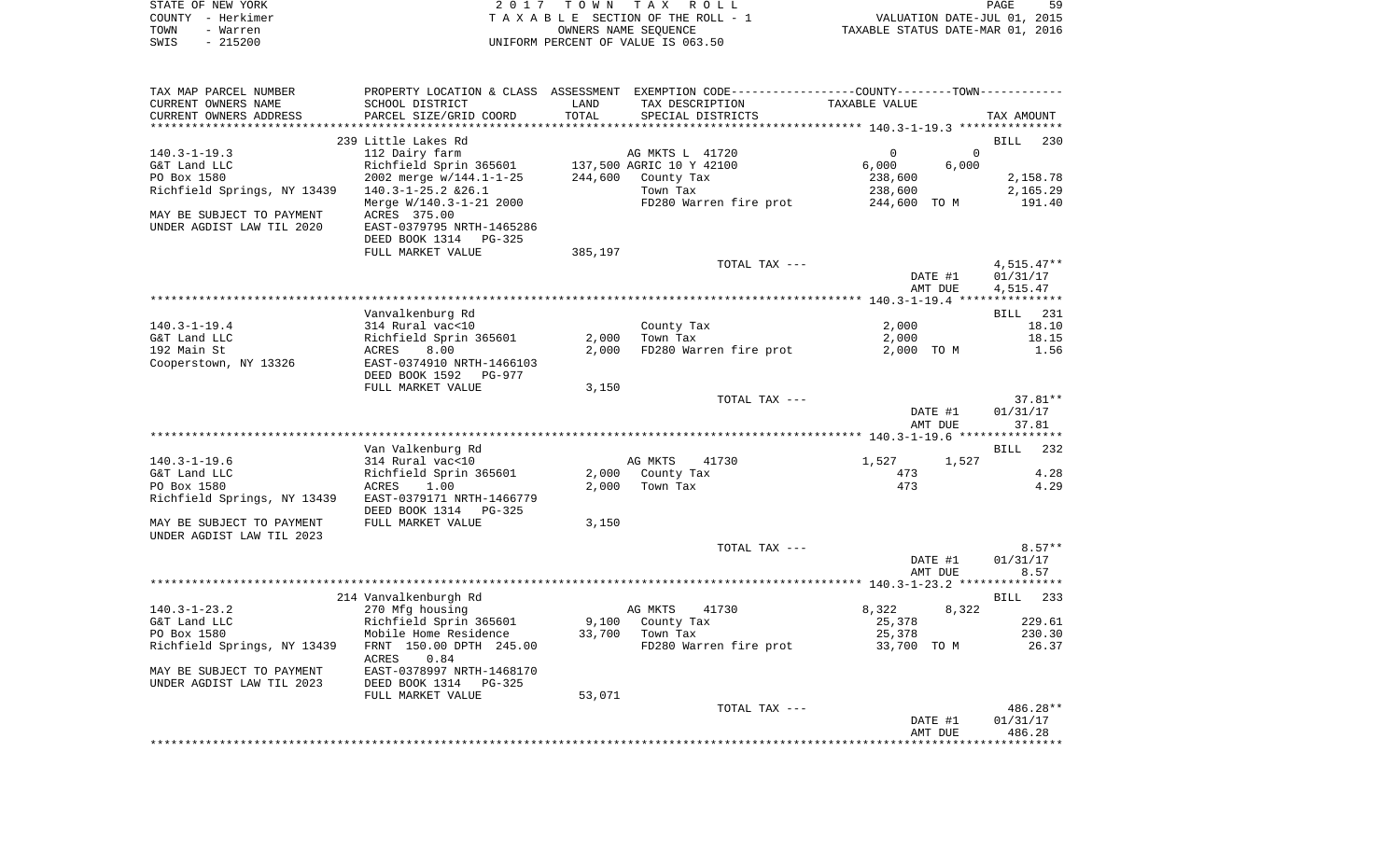|      | STATE OF NEW YORK | 2017 TOWN TAX ROLL                 | PAGE                             | 59 |
|------|-------------------|------------------------------------|----------------------------------|----|
|      | COUNTY - Herkimer | TAXABLE SECTION OF THE ROLL - 1    | VALUATION DATE-JUL 01, 2015      |    |
| TOWN | - Warren          | OWNERS NAME SEOUENCE               | TAXABLE STATUS DATE-MAR 01, 2016 |    |
| SWIS | $-215200$         | UNIFORM PERCENT OF VALUE IS 063.50 |                                  |    |

| TAX MAP PARCEL NUMBER       |                                                 |         |                        | PROPERTY LOCATION & CLASS ASSESSMENT EXEMPTION CODE----------------COUNTY-------TOWN--------- |                    |
|-----------------------------|-------------------------------------------------|---------|------------------------|-----------------------------------------------------------------------------------------------|--------------------|
| CURRENT OWNERS NAME         | SCHOOL DISTRICT                                 | LAND    | TAX DESCRIPTION        | TAXABLE VALUE                                                                                 |                    |
| CURRENT OWNERS ADDRESS      | PARCEL SIZE/GRID COORD                          | TOTAL   | SPECIAL DISTRICTS      |                                                                                               | TAX AMOUNT         |
|                             |                                                 |         |                        |                                                                                               |                    |
|                             | 239 Little Lakes Rd                             |         |                        |                                                                                               | <b>BILL</b><br>230 |
| $140.3 - 1 - 19.3$          | 112 Dairy farm                                  |         | AG MKTS L 41720        | $\mathbf 0$<br>$\overline{0}$                                                                 |                    |
| G&T Land LLC                | Richfield Sprin 365601 137,500 AGRIC 10 Y 42100 |         |                        | 6,000<br>6,000                                                                                |                    |
| PO Box 1580                 | 2002 merge w/144.1-1-25                         | 244,600 | County Tax             | 238,600                                                                                       | 2,158.78           |
| Richfield Springs, NY 13439 | $140.3 - 1 - 25.2$ & 26.1                       |         | Town Tax               | 238,600                                                                                       | 2,165.29           |
|                             | Merge W/140.3-1-21 2000                         |         | FD280 Warren fire prot | 244,600 TO M                                                                                  | 191.40             |
| MAY BE SUBJECT TO PAYMENT   | ACRES 375.00                                    |         |                        |                                                                                               |                    |
| UNDER AGDIST LAW TIL 2020   | EAST-0379795 NRTH-1465286                       |         |                        |                                                                                               |                    |
|                             | DEED BOOK 1314 PG-325                           |         |                        |                                                                                               |                    |
|                             | FULL MARKET VALUE                               | 385,197 |                        |                                                                                               |                    |
|                             |                                                 |         | TOTAL TAX ---          |                                                                                               | $4,515.47**$       |
|                             |                                                 |         |                        | DATE #1                                                                                       | 01/31/17           |
|                             |                                                 |         |                        | AMT DUE                                                                                       |                    |
|                             |                                                 |         |                        |                                                                                               | 4,515.47           |
|                             |                                                 |         |                        |                                                                                               |                    |
|                             | Vanvalkenburg Rd                                |         |                        |                                                                                               | BILL 231           |
| $140.3 - 1 - 19.4$          | 314 Rural vac<10                                |         | County Tax             | 2,000                                                                                         | 18.10              |
| G&T Land LLC                | Richfield Sprin 365601                          | 2,000   | Town Tax               | 2,000                                                                                         | 18.15              |
| 192 Main St                 | 8.00<br>ACRES                                   | 2,000   | FD280 Warren fire prot | 2,000 TO M                                                                                    | 1.56               |
| Cooperstown, NY 13326       | EAST-0374910 NRTH-1466103                       |         |                        |                                                                                               |                    |
|                             | DEED BOOK 1592 PG-977                           |         |                        |                                                                                               |                    |
|                             | FULL MARKET VALUE                               | 3,150   |                        |                                                                                               |                    |
|                             |                                                 |         | TOTAL TAX ---          |                                                                                               | 37.81**            |
|                             |                                                 |         |                        | DATE #1                                                                                       | 01/31/17           |
|                             |                                                 |         |                        | AMT DUE                                                                                       | 37.81              |
|                             |                                                 |         |                        |                                                                                               |                    |
|                             |                                                 |         |                        |                                                                                               |                    |
|                             | Van Valkenburg Rd                               |         |                        |                                                                                               | <b>BILL</b><br>232 |
| $140.3 - 1 - 19.6$          | 314 Rural vac<10                                |         | AG MKTS<br>41730       | 1,527<br>1,527                                                                                |                    |
| G&T Land LLC                | Richfield Sprin 365601                          | 2,000   | County Tax             | 473                                                                                           | 4.28               |
| PO Box 1580                 | ACRES<br>1.00                                   | 2,000   | Town Tax               | 473                                                                                           | 4.29               |
|                             |                                                 |         |                        |                                                                                               |                    |
| Richfield Springs, NY 13439 | EAST-0379171 NRTH-1466779                       |         |                        |                                                                                               |                    |
|                             | DEED BOOK 1314<br>PG-325                        |         |                        |                                                                                               |                    |
| MAY BE SUBJECT TO PAYMENT   | FULL MARKET VALUE                               | 3,150   |                        |                                                                                               |                    |
| UNDER AGDIST LAW TIL 2023   |                                                 |         |                        |                                                                                               |                    |
|                             |                                                 |         | TOTAL TAX ---          |                                                                                               | $8.57**$           |
|                             |                                                 |         |                        | DATE #1                                                                                       | 01/31/17           |
|                             |                                                 |         |                        | AMT DUE                                                                                       | 8.57               |
|                             |                                                 |         |                        |                                                                                               |                    |
|                             | 214 Vanvalkenburgh Rd                           |         |                        |                                                                                               | BILL 233           |
| $140.3 - 1 - 23.2$          | 270 Mfg housing                                 |         | AG MKTS<br>41730       | 8,322<br>8,322                                                                                |                    |
| G&T Land LLC                | Richfield Sprin 365601                          |         | 9,100 County Tax       | 25,378                                                                                        | 229.61             |
| PO Box 1580                 | Mobile Home Residence                           |         | 33,700 Town Tax        | 25,378                                                                                        | 230.30             |
| Richfield Springs, NY 13439 | FRNT 150.00 DPTH 245.00                         |         | FD280 Warren fire prot | 33,700 TO M                                                                                   | 26.37              |
|                             | ACRES<br>0.84                                   |         |                        |                                                                                               |                    |
| MAY BE SUBJECT TO PAYMENT   | EAST-0378997 NRTH-1468170                       |         |                        |                                                                                               |                    |
| UNDER AGDIST LAW TIL 2023   | DEED BOOK 1314 PG-325                           |         |                        |                                                                                               |                    |
|                             | FULL MARKET VALUE                               | 53,071  |                        |                                                                                               |                    |
|                             |                                                 |         | TOTAL TAX ---          |                                                                                               | 486.28**           |
|                             |                                                 |         |                        | DATE #1                                                                                       | 01/31/17           |
|                             |                                                 |         |                        | AMT DUE                                                                                       | 486.28             |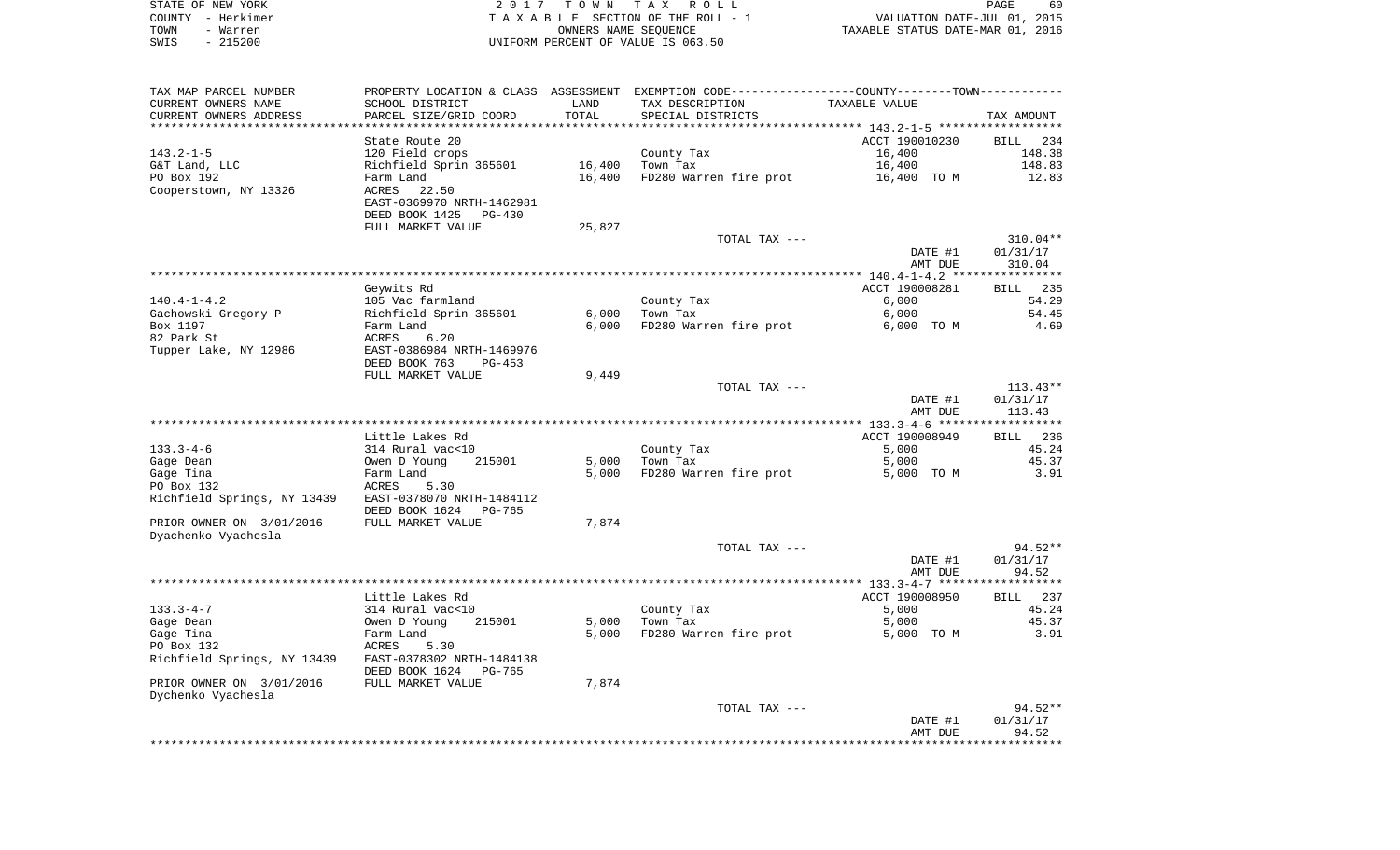| STATE OF NEW YORK | 2017 TOWN TAX ROLL                 | 60<br>PAGE                       |
|-------------------|------------------------------------|----------------------------------|
| COUNTY - Herkimer | TAXABLE SECTION OF THE ROLL - 1    | VALUATION DATE-JUL 01, 2015      |
| TOWN<br>- Warren  | OWNERS NAME SEOUENCE               | TAXABLE STATUS DATE-MAR 01, 2016 |
| $-215200$<br>SWIS | UNIFORM PERCENT OF VALUE IS 063.50 |                                  |

 $60$ <br>2015<br>2016

| TAX MAP PARCEL NUMBER<br>CURRENT OWNERS NAME          | SCHOOL DISTRICT                     | LAND   | PROPERTY LOCATION & CLASS ASSESSMENT EXEMPTION CODE---------------COUNTY-------TOWN----------<br>TAX DESCRIPTION | TAXABLE VALUE       |               |
|-------------------------------------------------------|-------------------------------------|--------|------------------------------------------------------------------------------------------------------------------|---------------------|---------------|
| CURRENT OWNERS ADDRESS                                | PARCEL SIZE/GRID COORD              | TOTAL  | SPECIAL DISTRICTS                                                                                                |                     | TAX AMOUNT    |
|                                                       |                                     |        |                                                                                                                  |                     |               |
|                                                       | State Route 20                      |        |                                                                                                                  | ACCT 190010230      | BILL 234      |
| 143.2-1-5                                             | 120 Field crops                     |        | County Tax                                                                                                       | 16,400              | 148.38        |
| G&T Land, LLC<br>PO Box 192                           | Richfield Sprin 365601              | 16,400 | Town Tax                                                                                                         | 16,400              | 148.83        |
| Cooperstown, NY 13326                                 | Farm Land<br>ACRES 22.50            |        | 16,400 FD280 Warren fire prot                                                                                    | 16,400 TO M         | 12.83         |
|                                                       | EAST-0369970 NRTH-1462981           |        |                                                                                                                  |                     |               |
|                                                       | DEED BOOK 1425 PG-430               |        |                                                                                                                  |                     |               |
|                                                       | FULL MARKET VALUE                   | 25,827 |                                                                                                                  |                     |               |
|                                                       |                                     |        | TOTAL TAX ---                                                                                                    |                     | $310.04**$    |
|                                                       |                                     |        |                                                                                                                  | DATE #1             | 01/31/17      |
|                                                       |                                     |        |                                                                                                                  | AMT DUE             | 310.04        |
|                                                       |                                     |        |                                                                                                                  |                     |               |
|                                                       | Geywits Rd                          |        |                                                                                                                  | ACCT 190008281      | BILL 235      |
| $140.4 - 1 - 4.2$                                     | 105 Vac farmland                    |        | County Tax                                                                                                       | 6,000               | 54.29         |
| Gachowski Gregory P                                   | Richfield Sprin 365601              | 6,000  | Town Tax                                                                                                         | 6,000               | 54.45         |
| Box 1197<br>82 Park St                                | Farm Land<br>ACRES                  | 6,000  | FD280 Warren fire prot                                                                                           | 6,000 TO M          | 4.69          |
| Tupper Lake, NY 12986                                 | 6.20<br>EAST-0386984 NRTH-1469976   |        |                                                                                                                  |                     |               |
|                                                       | DEED BOOK 763<br>PG-453             |        |                                                                                                                  |                     |               |
|                                                       | FULL MARKET VALUE                   | 9,449  |                                                                                                                  |                     |               |
|                                                       |                                     |        | TOTAL TAX ---                                                                                                    |                     | $113.43**$    |
|                                                       |                                     |        |                                                                                                                  | DATE #1             | 01/31/17      |
|                                                       |                                     |        |                                                                                                                  | AMT DUE             | 113.43        |
|                                                       |                                     |        |                                                                                                                  |                     |               |
|                                                       | Little Lakes Rd                     |        |                                                                                                                  | ACCT 190008949      | BILL 236      |
| $133.3 - 4 - 6$                                       | 314 Rural vac<10                    |        | County Tax                                                                                                       | 5,000               | 45.24         |
| Gage Dean                                             | Owen D Young<br>215001              | 5,000  | Town Tax<br>5,000 FD280 Warren fire prot                                                                         | 5,000               | 45.37<br>3.91 |
| Gage Tina<br>PO Box 132                               | Farm Land<br>ACRES<br>5.30          |        |                                                                                                                  | 5,000 TO M          |               |
| Richfield Springs, NY 13439 EAST-0378070 NRTH-1484112 |                                     |        |                                                                                                                  |                     |               |
|                                                       | DEED BOOK 1624<br>PG-765            |        |                                                                                                                  |                     |               |
| PRIOR OWNER ON 3/01/2016                              | FULL MARKET VALUE                   | 7,874  |                                                                                                                  |                     |               |
| Dyachenko Vyachesla                                   |                                     |        |                                                                                                                  |                     |               |
|                                                       |                                     |        | TOTAL TAX ---                                                                                                    |                     | 94.52**       |
|                                                       |                                     |        |                                                                                                                  | DATE #1             | 01/31/17      |
|                                                       |                                     |        |                                                                                                                  | AMT DUE             | 94.52         |
|                                                       |                                     |        |                                                                                                                  |                     |               |
|                                                       | Little Lakes Rd                     |        |                                                                                                                  | ACCT 190008950      | BILL 237      |
| $133.3 - 4 - 7$                                       | 314 Rural vac<10                    |        | County Tax                                                                                                       | 5,000               | 45.24         |
| Gage Dean<br>Gage Tina                                | 215001<br>Owen D Young<br>Farm Land | 5,000  | Town Tax<br>5,000 FD280 Warren fire prot                                                                         | 5,000<br>5,000 TO M | 45.37<br>3.91 |
| PO Box 132                                            | ACRES<br>5.30                       |        |                                                                                                                  |                     |               |
| Richfield Springs, NY 13439 EAST-0378302 NRTH-1484138 |                                     |        |                                                                                                                  |                     |               |
|                                                       | DEED BOOK 1624<br>PG-765            |        |                                                                                                                  |                     |               |
| PRIOR OWNER ON 3/01/2016                              | FULL MARKET VALUE                   | 7,874  |                                                                                                                  |                     |               |
| Dychenko Vyachesla                                    |                                     |        |                                                                                                                  |                     |               |
|                                                       |                                     |        | TOTAL TAX ---                                                                                                    |                     | $94.52**$     |
|                                                       |                                     |        |                                                                                                                  | DATE #1             | 01/31/17      |
|                                                       |                                     |        |                                                                                                                  | AMT DUE             | 94.52         |
|                                                       |                                     |        |                                                                                                                  |                     |               |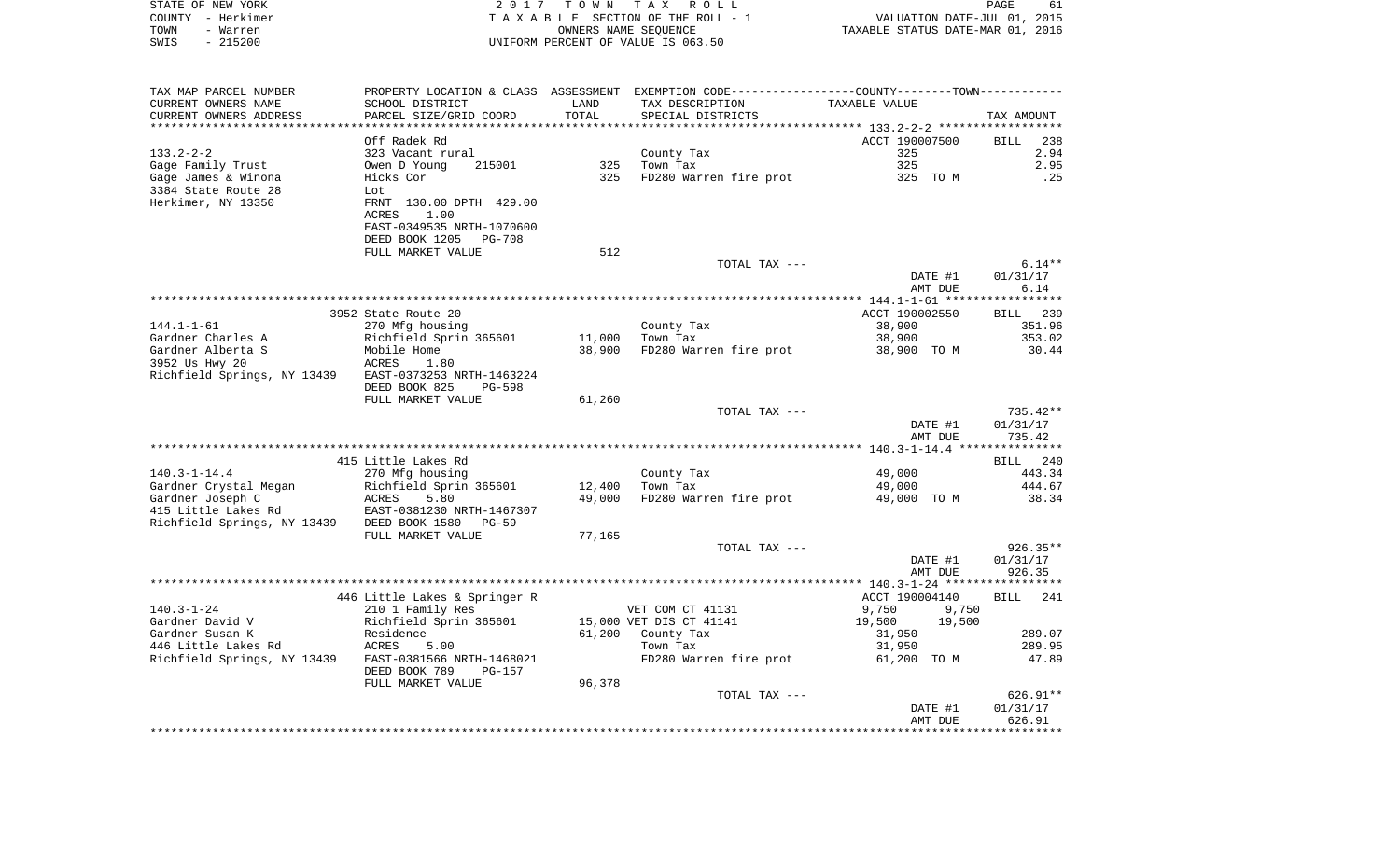|      | STATE OF NEW YORK | 2017 TOWN TAX ROLL                 | 61<br>PAGE                       |  |
|------|-------------------|------------------------------------|----------------------------------|--|
|      | COUNTY - Herkimer | TAXABLE SECTION OF THE ROLL - 1    | VALUATION DATE-JUL 01, 2015      |  |
| TOWN | - Warren          | OWNERS NAME SEOUENCE               | TAXABLE STATUS DATE-MAR 01, 2016 |  |
| SWIS | $-215200$         | UNIFORM PERCENT OF VALUE IS 063.50 |                                  |  |

| TAX MAP PARCEL NUMBER                                                   | PROPERTY LOCATION & CLASS ASSESSMENT |        | EXEMPTION CODE----------------COUNTY-------TOWN----------- |                                            |                    |
|-------------------------------------------------------------------------|--------------------------------------|--------|------------------------------------------------------------|--------------------------------------------|--------------------|
| CURRENT OWNERS NAME                                                     | SCHOOL DISTRICT                      | LAND   | TAX DESCRIPTION                                            | TAXABLE VALUE                              |                    |
| CURRENT OWNERS ADDRESS                                                  | PARCEL SIZE/GRID COORD               | TOTAL  | SPECIAL DISTRICTS                                          |                                            | TAX AMOUNT         |
|                                                                         |                                      |        | ****************************                               | ******************* 133.2-2-2 ************ |                    |
|                                                                         | Off Radek Rd                         |        |                                                            | ACCT 190007500                             | <b>BILL</b><br>238 |
| $133.2 - 2 - 2$                                                         | 323 Vacant rural                     |        | County Tax                                                 | 325                                        | 2.94               |
| Gage Family Trust                                                       | Owen D Young<br>215001               | 325    | Town Tax                                                   | 325                                        | 2.95               |
| Gage James & Winona                                                     | Hicks Cor                            | 325    | FD280 Warren fire prot                                     | 325 TO M                                   | .25                |
| 3384 State Route 28                                                     | Lot                                  |        |                                                            |                                            |                    |
| Herkimer, NY 13350                                                      | FRNT 130.00 DPTH 429.00              |        |                                                            |                                            |                    |
|                                                                         | ACRES<br>1.00                        |        |                                                            |                                            |                    |
|                                                                         | EAST-0349535 NRTH-1070600            |        |                                                            |                                            |                    |
|                                                                         | PG-708                               |        |                                                            |                                            |                    |
|                                                                         | DEED BOOK 1205                       | 512    |                                                            |                                            |                    |
|                                                                         | FULL MARKET VALUE                    |        |                                                            |                                            |                    |
|                                                                         |                                      |        | TOTAL TAX ---                                              |                                            | $6.14**$           |
|                                                                         |                                      |        |                                                            | DATE #1                                    | 01/31/17           |
|                                                                         |                                      |        |                                                            | AMT DUE                                    | 6.14               |
|                                                                         |                                      |        |                                                            |                                            |                    |
|                                                                         | 3952 State Route 20                  |        |                                                            | ACCT 190002550                             | BILL 239           |
| $144.1 - 1 - 61$                                                        | 270 Mfg housing                      |        | County Tax                                                 | 38,900                                     | 351.96             |
| Gardner Charles A                                                       | Richfield Sprin 365601               | 11,000 | $\mathbf{X} = \mathbf{X} \times \mathbf{X}$<br>Town Tax    | 38,900                                     | 353.02             |
| Gardner Alberta S                                                       | Mobile Home                          | 38,900 | FD280 Warren fire prot                                     | 38,900 TO M                                | 30.44              |
| 3952 Us Hwy 20                                                          | ACRES<br>1.80                        |        |                                                            |                                            |                    |
| Richfield Springs, NY 13439 EAST-0373253 NRTH-1463224                   |                                      |        |                                                            |                                            |                    |
|                                                                         | DEED BOOK 825<br>PG-598              |        |                                                            |                                            |                    |
|                                                                         | FULL MARKET VALUE                    | 61,260 |                                                            |                                            |                    |
|                                                                         |                                      |        | TOTAL TAX ---                                              |                                            | 735.42**           |
|                                                                         |                                      |        |                                                            | DATE #1                                    | 01/31/17           |
|                                                                         |                                      |        |                                                            | AMT DUE                                    | 735.42             |
|                                                                         |                                      |        |                                                            |                                            |                    |
|                                                                         | 415 Little Lakes Rd                  |        |                                                            |                                            | BILL 240           |
| $140.3 - 1 - 14.4$                                                      | 270 Mfg housing                      |        | County Tax                                                 | 49,000                                     | 443.34             |
| Gardner Crystal Megan                                                   | Richfield Sprin 365601               | 12,400 | Town Tax                                                   | 49,000                                     | 444.67             |
| Gardner Joseph C                                                        | ACRES<br>5.80                        | 49,000 | FD280 Warren fire prot                                     | 49,000 TO M                                | 38.34              |
|                                                                         |                                      |        |                                                            |                                            |                    |
| 415 Little Lakes Rd<br>Richfield Springs, NY 13439 DEED BOOK 1580 PG-59 |                                      |        |                                                            |                                            |                    |
|                                                                         | FULL MARKET VALUE                    | 77,165 |                                                            |                                            |                    |
|                                                                         |                                      |        | TOTAL TAX ---                                              |                                            | $926.35**$         |
|                                                                         |                                      |        |                                                            | DATE #1                                    | 01/31/17           |
|                                                                         |                                      |        |                                                            | AMT DUE                                    | 926.35             |
|                                                                         |                                      |        |                                                            |                                            |                    |
|                                                                         |                                      |        |                                                            |                                            |                    |
|                                                                         | 446 Little Lakes & Springer R        |        |                                                            | ACCT 190004140                             | BILL 241           |
| $140.3 - 1 - 24$                                                        | 210 1 Family Res                     |        | VET COM CT 41131                                           | 9,750<br>9,750                             |                    |
| Gardner David V                                                         | Richfield Sprin 365601               |        | 15,000 VET DIS CT 41141                                    | 19,500<br>19,500                           |                    |
| Gardner Susan K                                                         | Residence                            |        | 61,200 County Tax                                          | 31,950                                     | 289.07             |
| 446 Little Lakes Rd                                                     | <b>ACRES</b><br>5.00                 |        | Town Tax                                                   | 31,950                                     | 289.95             |
| Richfield Springs, NY 13439                                             | EAST-0381566 NRTH-1468021            |        | FD280 Warren fire prot                                     | 61,200 TO M                                | 47.89              |
|                                                                         | DEED BOOK 789<br>PG-157              |        |                                                            |                                            |                    |
|                                                                         | FULL MARKET VALUE                    | 96,378 |                                                            |                                            |                    |
|                                                                         |                                      |        | TOTAL TAX ---                                              |                                            | $626.91**$         |
|                                                                         |                                      |        |                                                            | DATE #1                                    | 01/31/17           |
|                                                                         |                                      |        |                                                            | AMT DUE                                    | 626.91             |
|                                                                         |                                      |        |                                                            |                                            |                    |
|                                                                         |                                      |        |                                                            |                                            |                    |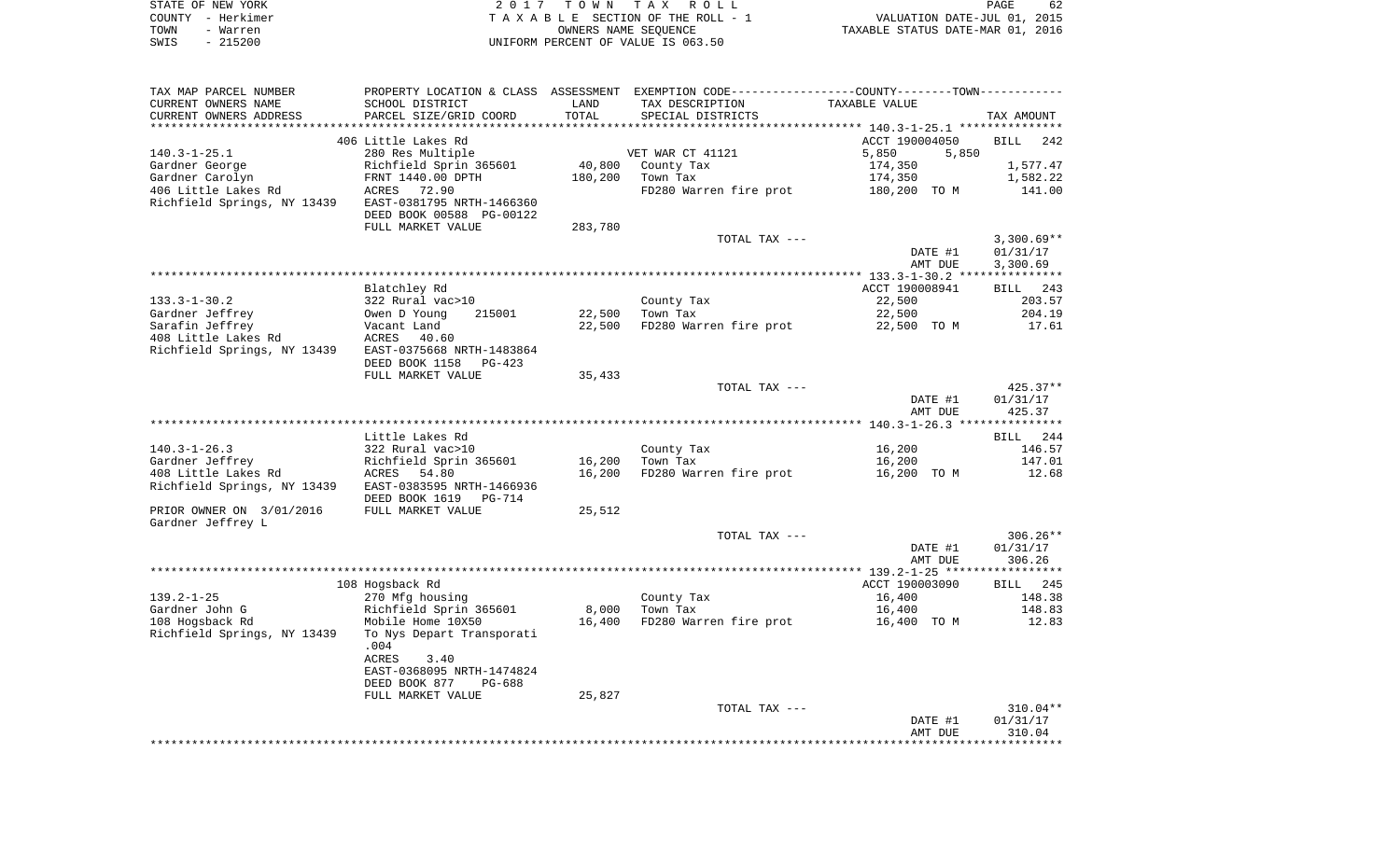| STATE OF NEW YORK |          | 2017 TOWN TAX ROLL                 | PAGE                             | 62 |
|-------------------|----------|------------------------------------|----------------------------------|----|
| COUNTY – Herkimer |          | TAXABLE SECTION OF THE ROLL - 1    | VALUATION DATE-JUL 01, 2015      |    |
| TOWN              | - Warren | OWNERS NAME SEOUENCE               | TAXABLE STATUS DATE-MAR 01, 2016 |    |
| SWIS              | - 215200 | UNIFORM PERCENT OF VALUE IS 063.50 |                                  |    |

| TAX MAP PARCEL NUMBER                                 | PROPERTY LOCATION & CLASS ASSESSMENT EXEMPTION CODE----------------COUNTY-------TOWN---------- |         |                        |                                                    |              |
|-------------------------------------------------------|------------------------------------------------------------------------------------------------|---------|------------------------|----------------------------------------------------|--------------|
| CURRENT OWNERS NAME                                   | SCHOOL DISTRICT                                                                                | LAND    | TAX DESCRIPTION        | TAXABLE VALUE                                      |              |
| CURRENT OWNERS ADDRESS                                | PARCEL SIZE/GRID COORD                                                                         | TOTAL   | SPECIAL DISTRICTS      |                                                    | TAX AMOUNT   |
|                                                       |                                                                                                |         |                        | ******************** 140.3-1-25.1 **************** |              |
|                                                       | 406 Little Lakes Rd                                                                            |         |                        | ACCT 190004050                                     | BILL<br>242  |
| $140.3 - 1 - 25.1$                                    | 280 Res Multiple                                                                               |         | VET WAR CT 41121       | 5,850<br>5,850                                     |              |
| Gardner George                                        | Richfield Sprin 365601                                                                         | 40,800  | County Tax             | 174,350                                            | 1,577.47     |
| Gardner Carolyn                                       |                                                                                                |         | Town Tax               |                                                    |              |
|                                                       | FRNT 1440.00 DPTH                                                                              | 180,200 |                        | 174,350                                            | 1,582.22     |
| 406 Little Lakes Rd                                   | ACRES 72.90                                                                                    |         | FD280 Warren fire prot | 180,200 TO M                                       | 141.00       |
| Richfield Springs, NY 13439                           | EAST-0381795 NRTH-1466360                                                                      |         |                        |                                                    |              |
|                                                       | DEED BOOK 00588 PG-00122                                                                       |         |                        |                                                    |              |
|                                                       | FULL MARKET VALUE                                                                              | 283,780 |                        |                                                    |              |
|                                                       |                                                                                                |         | TOTAL TAX ---          |                                                    | $3,300.69**$ |
|                                                       |                                                                                                |         |                        | DATE #1                                            | 01/31/17     |
|                                                       |                                                                                                |         |                        | AMT DUE                                            | 3,300.69     |
|                                                       |                                                                                                |         |                        |                                                    |              |
|                                                       | Blatchley Rd                                                                                   |         |                        | ACCT 190008941                                     | BILL 243     |
| $133.3 - 1 - 30.2$                                    | 322 Rural vac>10                                                                               |         | County Tax             | 22,500                                             | 203.57       |
| Gardner Jeffrey                                       | 215001<br>Owen D Young                                                                         | 22,500  | Town Tax               | 22,500                                             | 204.19       |
| Sarafin Jeffrey                                       |                                                                                                | 22,500  | FD280 Warren fire prot | 22,500 TO M                                        | 17.61        |
|                                                       | Vacant Land<br>ACRES                                                                           |         |                        |                                                    |              |
| 408 Little Lakes Rd                                   | 40.60                                                                                          |         |                        |                                                    |              |
| Richfield Springs, NY 13439 EAST-0375668 NRTH-1483864 |                                                                                                |         |                        |                                                    |              |
|                                                       | DEED BOOK 1158<br>$PG-423$                                                                     |         |                        |                                                    |              |
|                                                       | FULL MARKET VALUE                                                                              | 35,433  |                        |                                                    |              |
|                                                       |                                                                                                |         | TOTAL TAX ---          |                                                    | $425.37**$   |
|                                                       |                                                                                                |         |                        | DATE #1                                            | 01/31/17     |
|                                                       |                                                                                                |         |                        | AMT DUE                                            | 425.37       |
|                                                       |                                                                                                |         |                        |                                                    |              |
|                                                       | Little Lakes Rd                                                                                |         |                        |                                                    | BILL 244     |
| $140.3 - 1 - 26.3$                                    | 322 Rural vac>10                                                                               |         | County Tax             | 16,200                                             | 146.57       |
| Gardner Jeffrey                                       | Richfield Sprin 365601                                                                         | 16,200  | Town Tax               | 16,200                                             | 147.01       |
| 408 Little Lakes Rd                                   | ACRES 54.80                                                                                    | 16,200  | FD280 Warren fire prot | 16,200 TO M                                        | 12.68        |
| Richfield Springs, NY 13439 EAST-0383595 NRTH-1466936 |                                                                                                |         |                        |                                                    |              |
|                                                       | DEED BOOK 1619 PG-714                                                                          |         |                        |                                                    |              |
| PRIOR OWNER ON 3/01/2016                              | FULL MARKET VALUE                                                                              |         |                        |                                                    |              |
|                                                       |                                                                                                | 25,512  |                        |                                                    |              |
| Gardner Jeffrey L                                     |                                                                                                |         |                        |                                                    |              |
|                                                       |                                                                                                |         | TOTAL TAX ---          |                                                    | $306.26**$   |
|                                                       |                                                                                                |         |                        | DATE #1                                            | 01/31/17     |
|                                                       |                                                                                                |         |                        | AMT DUE                                            | 306.26       |
|                                                       |                                                                                                |         |                        |                                                    |              |
|                                                       | 108 Hogsback Rd                                                                                |         |                        | ACCT 190003090                                     | BILL 245     |
| $139.2 - 1 - 25$                                      | 270 Mfg housing                                                                                |         | County Tax             | 16,400                                             | 148.38       |
| Gardner John G                                        | Richfield Sprin 365601                                                                         | 8,000   | Town Tax               | 16,400                                             | 148.83       |
| 108 Hogsback Rd                                       | Mobile Home 10X50                                                                              | 16,400  | FD280 Warren fire prot | 16,400 TO M                                        | 12.83        |
| Richfield Springs, NY 13439                           | To Nys Depart Transporati                                                                      |         |                        |                                                    |              |
|                                                       | .004                                                                                           |         |                        |                                                    |              |
|                                                       | ACRES<br>3.40                                                                                  |         |                        |                                                    |              |
|                                                       | EAST-0368095 NRTH-1474824                                                                      |         |                        |                                                    |              |
|                                                       | DEED BOOK 877<br>PG-688                                                                        |         |                        |                                                    |              |
|                                                       |                                                                                                | 25,827  |                        |                                                    |              |
|                                                       | FULL MARKET VALUE                                                                              |         | TOTAL TAX ---          |                                                    | $310.04**$   |
|                                                       |                                                                                                |         |                        |                                                    |              |
|                                                       |                                                                                                |         |                        | DATE #1                                            | 01/31/17     |
|                                                       |                                                                                                |         |                        | AMT DUE                                            | 310.04       |
|                                                       |                                                                                                |         |                        |                                                    |              |
|                                                       |                                                                                                |         |                        |                                                    |              |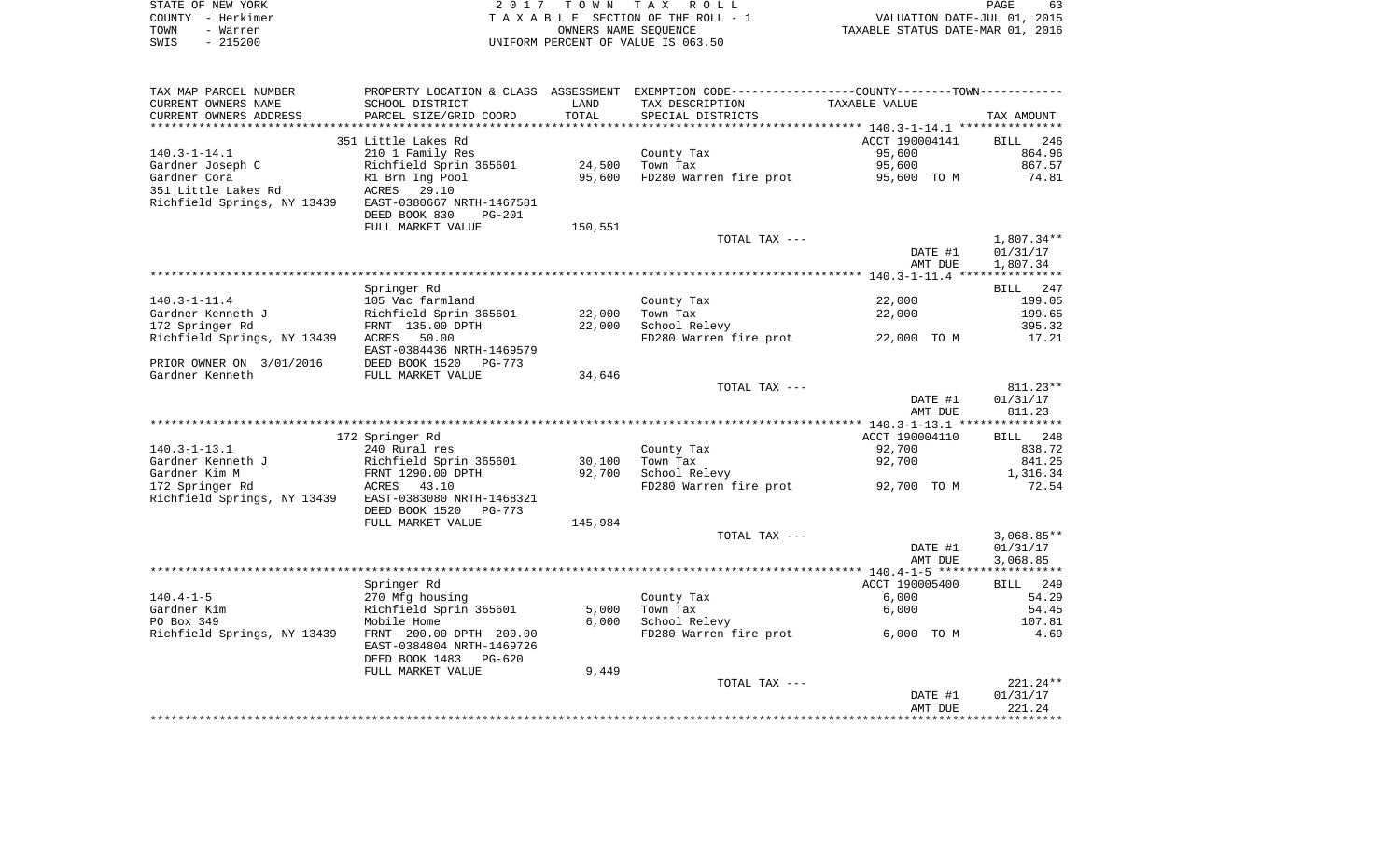| STATE OF NEW YORK | 2017 TOWN TAX ROLL<br>PAGE                                     | 63 |
|-------------------|----------------------------------------------------------------|----|
| COUNTY - Herkimer | VALUATION DATE-JUL 01, 2015<br>TAXABLE SECTION OF THE ROLL - 1 |    |
| TOWN<br>- Warren  | TAXABLE STATUS DATE-MAR 01, 2016<br>OWNERS NAME SEOUENCE       |    |
| SWIS<br>- 215200  | UNIFORM PERCENT OF VALUE IS 063.50                             |    |

| TAX MAP PARCEL NUMBER<br>CURRENT OWNERS NAME<br>CURRENT OWNERS ADDRESS | SCHOOL DISTRICT<br>PARCEL SIZE/GRID COORD | LAND<br>TOTAL    | PROPERTY LOCATION & CLASS ASSESSMENT EXEMPTION CODE----------------COUNTY-------TOWN----------<br>TAX DESCRIPTION<br>SPECIAL DISTRICTS | TAXABLE VALUE  | TAX AMOUNT         |
|------------------------------------------------------------------------|-------------------------------------------|------------------|----------------------------------------------------------------------------------------------------------------------------------------|----------------|--------------------|
| ********************                                                   |                                           |                  |                                                                                                                                        |                |                    |
|                                                                        | 351 Little Lakes Rd                       |                  |                                                                                                                                        | ACCT 190004141 | 246<br>BILL        |
| $140.3 - 1 - 14.1$                                                     | 210 1 Family Res                          |                  | County Tax                                                                                                                             | 95,600         | 864.96             |
| Gardner Joseph C                                                       | Richfield Sprin 365601                    | 24,500           | Town Tax                                                                                                                               | 95,600         | 867.57             |
| Gardner Cora                                                           | R1 Brn Ing Pool                           | 95,600           | FD280 Warren fire prot                                                                                                                 | 95,600 TO M    | 74.81              |
| 351 Little Lakes Rd                                                    | ACRES<br>29.10                            |                  |                                                                                                                                        |                |                    |
| Richfield Springs, NY 13439                                            | EAST-0380667 NRTH-1467581                 |                  |                                                                                                                                        |                |                    |
|                                                                        | DEED BOOK 830<br><b>PG-201</b>            |                  |                                                                                                                                        |                |                    |
|                                                                        | FULL MARKET VALUE                         | 150,551          |                                                                                                                                        |                |                    |
|                                                                        |                                           |                  | TOTAL TAX ---                                                                                                                          |                | 1,807.34**         |
|                                                                        |                                           |                  |                                                                                                                                        | DATE #1        | 01/31/17           |
|                                                                        |                                           |                  |                                                                                                                                        | AMT DUE        | 1,807.34           |
|                                                                        |                                           |                  |                                                                                                                                        |                |                    |
|                                                                        | Springer Rd                               |                  |                                                                                                                                        |                | BILL 247           |
| $140.3 - 1 - 11.4$                                                     | 105 Vac farmland                          |                  | County Tax                                                                                                                             | 22,000         | 199.05             |
| Gardner Kenneth J                                                      | Richfield Sprin 365601                    | 22,000<br>22,000 | Town Tax                                                                                                                               | 22,000         | 199.65<br>395.32   |
| 172 Springer Rd<br>Richfield Springs, NY 13439                         | FRNT 135.00 DPTH<br>50.00<br>ACRES        |                  | School Relevy<br>FD280 Warren fire prot                                                                                                | 22,000 TO M    | 17.21              |
|                                                                        | EAST-0384436 NRTH-1469579                 |                  |                                                                                                                                        |                |                    |
| PRIOR OWNER ON 3/01/2016                                               | DEED BOOK 1520 PG-773                     |                  |                                                                                                                                        |                |                    |
| Gardner Kenneth                                                        | FULL MARKET VALUE                         | 34,646           |                                                                                                                                        |                |                    |
|                                                                        |                                           |                  | TOTAL TAX ---                                                                                                                          |                | $811.23**$         |
|                                                                        |                                           |                  |                                                                                                                                        | DATE #1        | 01/31/17           |
|                                                                        |                                           |                  |                                                                                                                                        | AMT DUE        | 811.23             |
|                                                                        |                                           |                  |                                                                                                                                        |                |                    |
|                                                                        | 172 Springer Rd                           |                  |                                                                                                                                        | ACCT 190004110 | 248<br><b>BILL</b> |
| $140.3 - 1 - 13.1$                                                     | 240 Rural res                             |                  | County Tax                                                                                                                             | 92,700         | 838.72             |
| Gardner Kenneth J                                                      | Richfield Sprin 365601                    | 30,100           | Town Tax                                                                                                                               | 92,700         | 841.25             |
| Gardner Kim M                                                          | FRNT 1290.00 DPTH                         | 92,700           | School Relevy                                                                                                                          |                | 1,316.34           |
| 172 Springer Rd                                                        | ACRES<br>43.10                            |                  | FD280 Warren fire prot                                                                                                                 | 92,700 TO M    | 72.54              |
| Richfield Springs, NY 13439                                            | EAST-0383080 NRTH-1468321                 |                  |                                                                                                                                        |                |                    |
|                                                                        | DEED BOOK 1520<br>PG-773                  |                  |                                                                                                                                        |                |                    |
|                                                                        | FULL MARKET VALUE                         | 145,984          | TOTAL TAX ---                                                                                                                          |                | $3,068.85**$       |
|                                                                        |                                           |                  |                                                                                                                                        | DATE #1        | 01/31/17           |
|                                                                        |                                           |                  |                                                                                                                                        | AMT DUE        | 3,068.85           |
|                                                                        |                                           |                  |                                                                                                                                        |                |                    |
|                                                                        | Springer Rd                               |                  |                                                                                                                                        | ACCT 190005400 | BILL 249           |
| $140.4 - 1 - 5$                                                        | 270 Mfg housing                           |                  | County Tax                                                                                                                             | 6,000          | 54.29              |
| Gardner Kim                                                            | Richfield Sprin 365601                    | 5,000            | Town Tax                                                                                                                               | 6,000          | 54.45              |
| PO Box 349                                                             | Mobile Home                               | 6,000            | School Relevy                                                                                                                          |                | 107.81             |
| Richfield Springs, NY 13439                                            | FRNT 200.00 DPTH 200.00                   |                  | FD280 Warren fire prot                                                                                                                 | 6,000 TO M     | 4.69               |
|                                                                        | EAST-0384804 NRTH-1469726                 |                  |                                                                                                                                        |                |                    |
|                                                                        | DEED BOOK 1483 PG-620                     |                  |                                                                                                                                        |                |                    |
|                                                                        | FULL MARKET VALUE                         | 9,449            |                                                                                                                                        |                |                    |
|                                                                        |                                           |                  | TOTAL TAX ---                                                                                                                          |                | $221.24**$         |
|                                                                        |                                           |                  |                                                                                                                                        |                |                    |
|                                                                        |                                           |                  |                                                                                                                                        | DATE #1        | 01/31/17           |
|                                                                        |                                           |                  |                                                                                                                                        | AMT DUE        | 221.24             |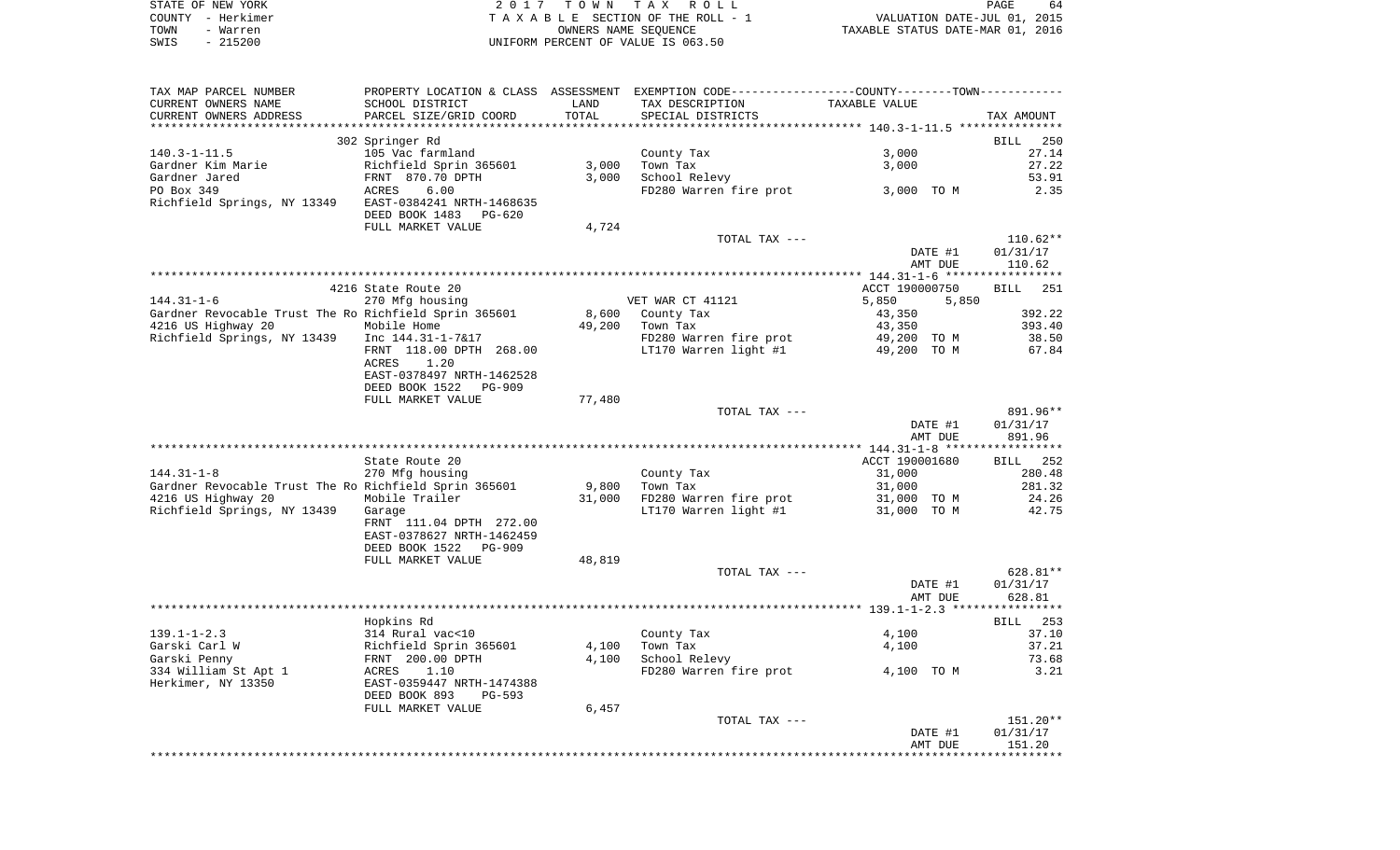| STATE OF NEW YORK | 2017 TOWN TAX ROLL                 | 64<br>PAGE                       |
|-------------------|------------------------------------|----------------------------------|
| COUNTY - Herkimer | TAXABLE SECTION OF THE ROLL - 1    | VALUATION DATE-JUL 01, 2015      |
| TOWN<br>- Warren  | OWNERS NAME SEOUENCE               | TAXABLE STATUS DATE-MAR 01, 2016 |
| - 215200<br>SWIS  | UNIFORM PERCENT OF VALUE IS 063.50 |                                  |

| TAX MAP PARCEL NUMBER                                 | PROPERTY LOCATION & CLASS ASSESSMENT EXEMPTION CODE---------------COUNTY-------TOWN----------             |        |                                     |                |                    |
|-------------------------------------------------------|-----------------------------------------------------------------------------------------------------------|--------|-------------------------------------|----------------|--------------------|
| CURRENT OWNERS NAME                                   | SCHOOL DISTRICT                                                                                           | LAND   | TAX DESCRIPTION                     | TAXABLE VALUE  |                    |
| CURRENT OWNERS ADDRESS                                | PARCEL SIZE/GRID COORD                                                                                    | TOTAL  | SPECIAL DISTRICTS                   |                | TAX AMOUNT         |
|                                                       |                                                                                                           |        |                                     |                |                    |
|                                                       | 302 Springer Rd                                                                                           |        |                                     |                | BILL 250           |
| 140.3-1-11.5                                          | 105 Vac farmland                                                                                          |        | County Tax                          | 3,000          | 27.14              |
| Gardner Kim Marie                                     |                                                                                                           | 3,000  | Town Tax                            | 3,000          | 27.22              |
| Gardner Jared                                         | Richfield Sprin 365601<br>FRNT 870.70 DPTH<br>ACRES 6.00                                                  | 3,000  | School Relevy                       |                | 53.91              |
| PO Box 349                                            |                                                                                                           |        | FD280 Warren fire prot 3,000 TO M   |                | 2.35               |
| Richfield Springs, NY 13349 EAST-0384241 NRTH-1468635 |                                                                                                           |        |                                     |                |                    |
|                                                       | DEED BOOK 1483 PG-620                                                                                     |        |                                     |                |                    |
|                                                       | FULL MARKET VALUE                                                                                         | 4,724  |                                     |                |                    |
|                                                       |                                                                                                           |        | TOTAL TAX ---                       |                | $110.62**$         |
|                                                       |                                                                                                           |        |                                     | DATE #1        | 01/31/17           |
|                                                       |                                                                                                           |        |                                     | AMT DUE        | 110.62             |
|                                                       |                                                                                                           |        |                                     |                |                    |
|                                                       | 4216 State Route 20                                                                                       |        |                                     | ACCT 190000750 | <b>BILL</b><br>251 |
| 144.31-1-6                                            | 270 Mfg housing                                                                                           |        | VET WAR CT 41121                    | 5,850          | 5,850              |
| Gardner Revocable Trust The Ro Richfield Sprin 365601 |                                                                                                           |        | 8,600 County Tax                    | 43,350         | 392.22             |
| 4216 US Highway 20                                    | Mobile Home                                                                                               | 49,200 | Town Tax<br>FD280 Warren fire prot  | 43,350         | 393.40             |
| Richfield Springs, NY 13439                           | Inc 144.31-1-7&17                                                                                         |        | LT170 Warren light $#1$ 49,200 TO M | 49,200 TO M    | 38.50              |
|                                                       | FRNT 118.00 DPTH 268.00<br>ACRES<br>1.20                                                                  |        |                                     |                | 67.84              |
|                                                       | EAST-0378497 NRTH-1462528                                                                                 |        |                                     |                |                    |
|                                                       | DEED BOOK 1522<br>PG-909                                                                                  |        |                                     |                |                    |
|                                                       | FULL MARKET VALUE                                                                                         | 77,480 |                                     |                |                    |
|                                                       |                                                                                                           |        | TOTAL TAX ---                       |                | 891.96**           |
|                                                       |                                                                                                           |        |                                     | DATE #1        | 01/31/17           |
|                                                       |                                                                                                           |        |                                     | AMT DUE        | 891.96             |
|                                                       |                                                                                                           |        |                                     |                |                    |
|                                                       | State Route 20                                                                                            |        |                                     | ACCT 190001680 | BILL 252           |
| $144.31 - 1 - 8$                                      | 270 Mfg housing                                                                                           |        | County Tax                          | 31,000         | 280.48             |
| Gardner Revocable Trust The Ro Richfield Sprin 365601 |                                                                                                           | 9,800  | Town Tax                            | 31,000         | 281.32             |
| 4216 US Highway 20                                    | Mobile Trailer                                                                                            | 31,000 | FD280 Warren fire prot              | 31,000 TO M    | 24.26              |
| Richfield Springs, NY 13439 Garage                    |                                                                                                           |        | LT170 Warren light #1               | 31,000 TO M    | 42.75              |
|                                                       | FRNT 111.04 DPTH 272.00                                                                                   |        |                                     |                |                    |
|                                                       | EAST-0378627 NRTH-1462459                                                                                 |        |                                     |                |                    |
|                                                       | DEED BOOK 1522 PG-909                                                                                     |        |                                     |                |                    |
|                                                       | FULL MARKET VALUE                                                                                         | 48,819 |                                     |                |                    |
|                                                       |                                                                                                           |        | TOTAL TAX ---                       |                | 628.81**           |
|                                                       |                                                                                                           |        |                                     | DATE #1        | 01/31/17           |
|                                                       |                                                                                                           |        |                                     | AMT DUE        | 628.81             |
|                                                       |                                                                                                           |        |                                     |                |                    |
|                                                       | Hopkins Rd                                                                                                |        |                                     |                | BILL 253           |
| 139.1-1-2.3                                           |                                                                                                           |        | County Tax                          | 4,100          | 37.10              |
| Garski Carl W                                         | 314 Rural vac<10<br>Richfield Sprin 365601<br>FRNT 200.00 DPTH<br>ACRES 1.10<br>EAST-0359447 NRTH-1474388 | 4,100  | Town Tax                            | 4,100          | 37.21              |
| Garski Penny                                          |                                                                                                           | 4,100  | School Relevy                       |                | 73.68              |
| 334 William St Apt 1                                  |                                                                                                           |        | FD280 Warren fire prot 4,100 TO M   |                | 3.21               |
| Herkimer, NY 13350                                    |                                                                                                           |        |                                     |                |                    |
|                                                       | DEED BOOK 893<br>PG-593                                                                                   |        |                                     |                |                    |
|                                                       | FULL MARKET VALUE                                                                                         | 6,457  | TOTAL TAX ---                       |                | $151.20**$         |
|                                                       |                                                                                                           |        |                                     | DATE #1        | 01/31/17           |
|                                                       |                                                                                                           |        |                                     | AMT DUE        | 151.20             |
|                                                       |                                                                                                           |        |                                     |                |                    |
|                                                       |                                                                                                           |        |                                     |                |                    |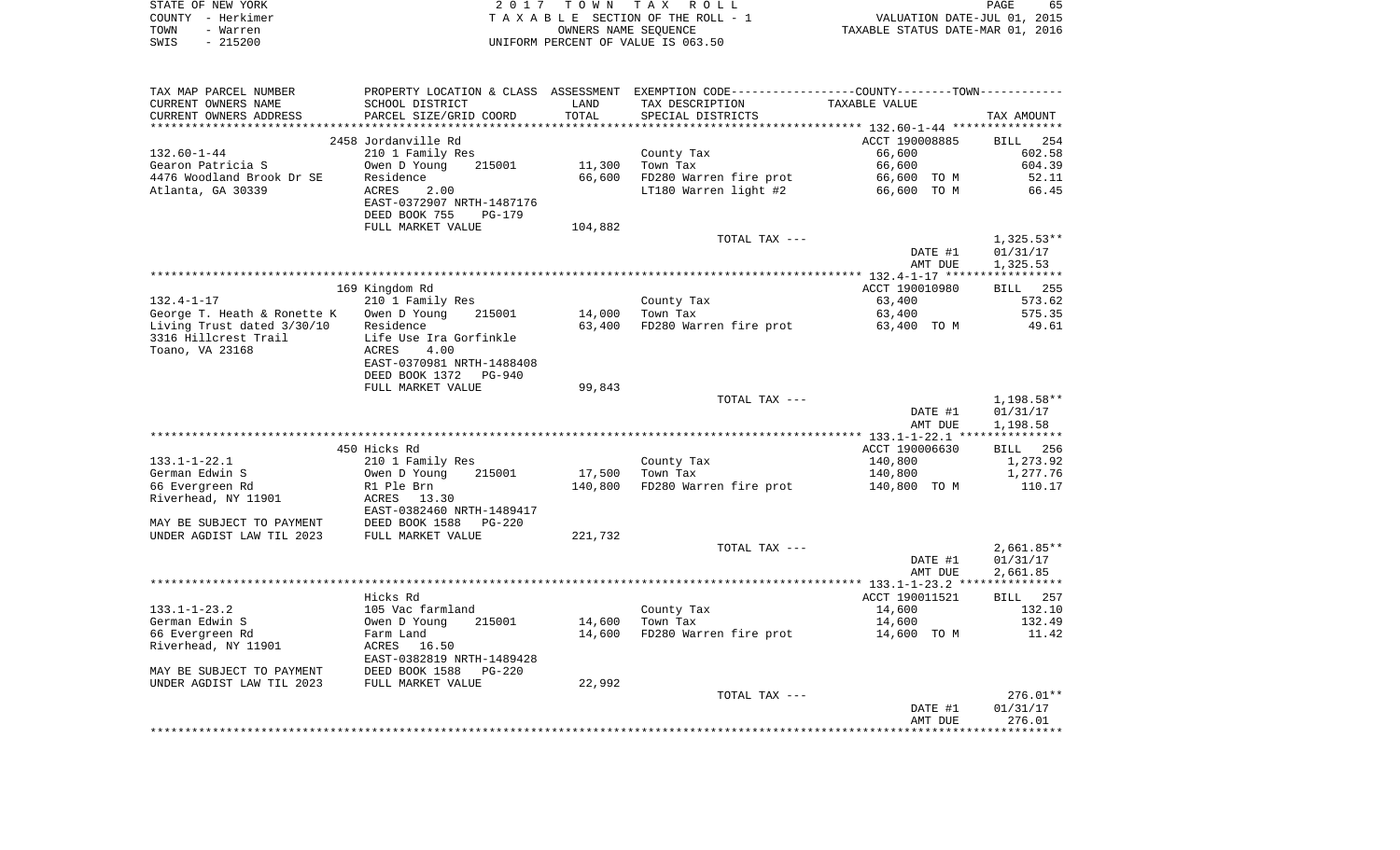|      | STATE OF NEW YORK | 2017 TOWN TAX ROLL                 | PAGE                             | 65 |
|------|-------------------|------------------------------------|----------------------------------|----|
|      | COUNTY - Herkimer | TAXABLE SECTION OF THE ROLL - 1    | VALUATION DATE-JUL 01, 2015      |    |
| TOWN | - Warren          | OWNERS NAME SEOUENCE               | TAXABLE STATUS DATE-MAR 01, 2016 |    |
| SWIS | - 215200          | UNIFORM PERCENT OF VALUE IS 063.50 |                                  |    |

| TAX MAP PARCEL NUMBER       |                            |         | PROPERTY LOCATION & CLASS ASSESSMENT EXEMPTION CODE----------------COUNTY-------TOWN----------- |                    |                      |
|-----------------------------|----------------------------|---------|-------------------------------------------------------------------------------------------------|--------------------|----------------------|
| CURRENT OWNERS NAME         | SCHOOL DISTRICT            | LAND    | TAX DESCRIPTION                                                                                 | TAXABLE VALUE      |                      |
| CURRENT OWNERS ADDRESS      | PARCEL SIZE/GRID COORD     | TOTAL   | SPECIAL DISTRICTS                                                                               |                    | TAX AMOUNT           |
|                             |                            |         |                                                                                                 |                    |                      |
|                             | 2458 Jordanville Rd        |         |                                                                                                 | ACCT 190008885     | <b>BILL</b><br>254   |
| $132.60 - 1 - 44$           | 210 1 Family Res           |         | County Tax                                                                                      | 66,600             | 602.58               |
| Gearon Patricia S           | Owen D Young<br>215001     | 11,300  | Town Tax                                                                                        | 66,600             | 604.39               |
| 4476 Woodland Brook Dr SE   | Residence                  | 66,600  | FD280 Warren fire prot                                                                          | 66,600 TO M        | 52.11                |
| Atlanta, GA 30339           | ACRES<br>2.00              |         | LT180 Warren light #2                                                                           | 66,600 TO M        | 66.45                |
|                             | EAST-0372907 NRTH-1487176  |         |                                                                                                 |                    |                      |
|                             | DEED BOOK 755<br>PG-179    |         |                                                                                                 |                    |                      |
|                             | FULL MARKET VALUE          | 104,882 |                                                                                                 |                    |                      |
|                             |                            |         | TOTAL TAX ---                                                                                   |                    | $1,325.53**$         |
|                             |                            |         |                                                                                                 | DATE #1            | 01/31/17             |
|                             |                            |         |                                                                                                 | AMT DUE            | 1,325.53             |
|                             |                            |         |                                                                                                 |                    |                      |
|                             | 169 Kingdom Rd             |         |                                                                                                 | ACCT 190010980     | BILL 255             |
| $132.4 - 1 - 17$            | 210 1 Family Res           |         | County Tax                                                                                      | 63,400             | 573.62               |
| George T. Heath & Ronette K | Owen D Young<br>215001     | 14,000  | Town Tax                                                                                        | 63,400             | 575.35               |
| Living Trust dated 3/30/10  | Residence                  | 63,400  | FD280 Warren fire prot                                                                          | 63,400 TO M        | 49.61                |
| 3316 Hillcrest Trail        | Life Use Ira Gorfinkle     |         |                                                                                                 |                    |                      |
| Toano, VA 23168             | ACRES<br>4.00              |         |                                                                                                 |                    |                      |
|                             | EAST-0370981 NRTH-1488408  |         |                                                                                                 |                    |                      |
|                             | DEED BOOK 1372<br>PG-940   |         |                                                                                                 |                    |                      |
|                             | FULL MARKET VALUE          | 99,843  |                                                                                                 |                    |                      |
|                             |                            |         | TOTAL TAX ---                                                                                   |                    | 1,198.58**           |
|                             |                            |         |                                                                                                 | DATE #1            | 01/31/17             |
|                             |                            |         |                                                                                                 | AMT DUE            | 1,198.58             |
|                             |                            |         |                                                                                                 |                    |                      |
|                             | 450 Hicks Rd               |         |                                                                                                 | ACCT 190006630     | 256<br>BILL          |
| $133.1 - 1 - 22.1$          | 210 1 Family Res           |         | County Tax                                                                                      | 140,800            | 1,273.92             |
| German Edwin S              | 215001<br>Owen D Young     | 17,500  | Town Tax                                                                                        | 140,800            | 1,277.76             |
| 66 Evergreen Rd             | R1 Ple Brn                 | 140,800 | FD280 Warren fire prot                                                                          | 140,800 TO M       | 110.17               |
| Riverhead, NY 11901         | ACRES<br>13.30             |         |                                                                                                 |                    |                      |
|                             | EAST-0382460 NRTH-1489417  |         |                                                                                                 |                    |                      |
| MAY BE SUBJECT TO PAYMENT   | DEED BOOK 1588<br>PG-220   |         |                                                                                                 |                    |                      |
| UNDER AGDIST LAW TIL 2023   | FULL MARKET VALUE          | 221,732 |                                                                                                 |                    |                      |
|                             |                            |         | TOTAL TAX ---                                                                                   |                    | $2,661.85**$         |
|                             |                            |         |                                                                                                 | DATE #1<br>AMT DUE | 01/31/17<br>2,661.85 |
|                             |                            |         |                                                                                                 |                    |                      |
|                             | Hicks Rd                   |         |                                                                                                 | ACCT 190011521     | BILL 257             |
| $133.1 - 1 - 23.2$          | 105 Vac farmland           |         | County Tax                                                                                      | 14,600             | 132.10               |
| German Edwin S              | Owen D Young<br>215001     | 14,600  | Town Tax                                                                                        | 14,600             | 132.49               |
| 66 Evergreen Rd             | Farm Land                  | 14,600  | FD280 Warren fire prot                                                                          | 14,600 TO M        | 11.42                |
| Riverhead, NY 11901         | ACRES<br>16.50             |         |                                                                                                 |                    |                      |
|                             | EAST-0382819 NRTH-1489428  |         |                                                                                                 |                    |                      |
| MAY BE SUBJECT TO PAYMENT   | DEED BOOK 1588<br>$PG-220$ |         |                                                                                                 |                    |                      |
| UNDER AGDIST LAW TIL 2023   | FULL MARKET VALUE          | 22,992  |                                                                                                 |                    |                      |
|                             |                            |         | TOTAL TAX ---                                                                                   |                    | $276.01**$           |
|                             |                            |         |                                                                                                 | DATE #1            | 01/31/17             |
|                             |                            |         |                                                                                                 | AMT DUE            | 276.01               |
|                             |                            |         |                                                                                                 |                    |                      |
|                             |                            |         |                                                                                                 |                    |                      |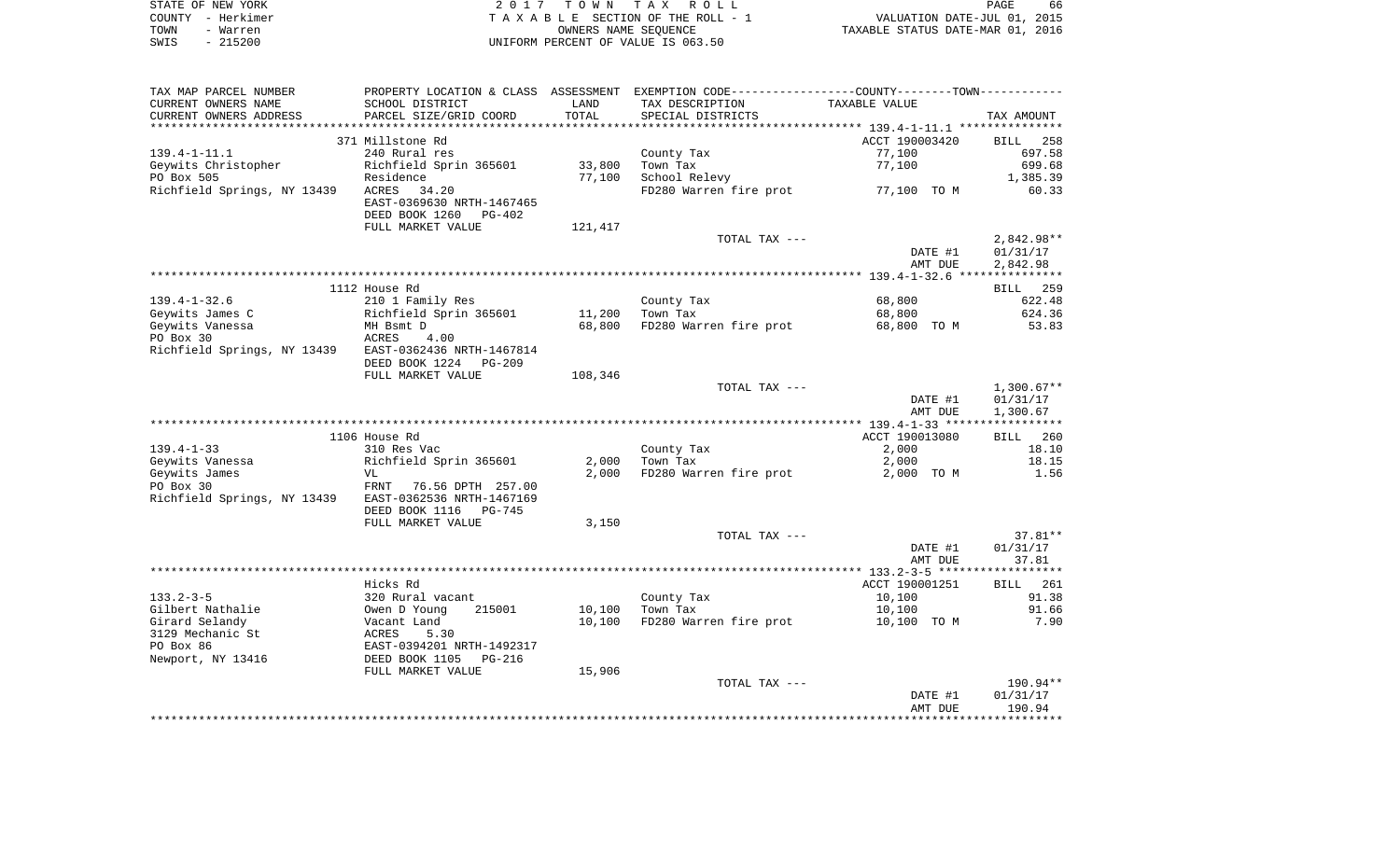|      | STATE OF NEW YORK | 2017 TOWN TAX ROLL                 | 66<br><b>PAGE</b>                |
|------|-------------------|------------------------------------|----------------------------------|
|      | COUNTY - Herkimer | TAXABLE SECTION OF THE ROLL - 1    | VALUATION DATE-JUL 01, 2015      |
| TOWN | - Warren          | OWNERS NAME SEOUENCE               | TAXABLE STATUS DATE-MAR 01, 2016 |
| SWIS | $-215200$         | UNIFORM PERCENT OF VALUE IS 063.50 |                                  |

 $66\n2015\n2016$ 

| CURRENT OWNERS NAME<br>CURRENT OWNERS ADDRESS         |                           |         | PROPERTY LOCATION & CLASS ASSESSMENT EXEMPTION CODE---------------COUNTY-------TOWN---------- |                    |                    |
|-------------------------------------------------------|---------------------------|---------|-----------------------------------------------------------------------------------------------|--------------------|--------------------|
|                                                       | SCHOOL DISTRICT           | LAND    | TAX DESCRIPTION                                                                               | TAXABLE VALUE      |                    |
|                                                       | PARCEL SIZE/GRID COORD    | TOTAL   | SPECIAL DISTRICTS                                                                             |                    | TAX AMOUNT         |
|                                                       |                           |         |                                                                                               |                    |                    |
| 371 Millstone Rd                                      |                           |         |                                                                                               | ACCT 190003420     | BILL 258           |
| $139.4 - 1 - 11.1$<br>240 Rural res                   |                           |         | County Tax                                                                                    | 77,100             | 697.58             |
| Geywits Christopher                                   | Richfield Sprin 365601    | 33,800  | Town Tax                                                                                      | 77,100             | 699.68             |
| PO Box 505<br>Residence                               |                           | 77,100  | School Relevy                                                                                 |                    | 1,385.39           |
| Richfield Springs, NY 13439<br>ACRES 34.20            |                           |         | FD280 Warren fire prot                                                                        | 77,100 TO M        | 60.33              |
|                                                       | EAST-0369630 NRTH-1467465 |         |                                                                                               |                    |                    |
| DEED BOOK 1260                                        | $PG-402$                  |         |                                                                                               |                    |                    |
|                                                       | FULL MARKET VALUE         | 121,417 |                                                                                               |                    |                    |
|                                                       |                           |         | TOTAL TAX ---                                                                                 |                    | $2,842.98**$       |
|                                                       |                           |         |                                                                                               | DATE #1            | 01/31/17           |
|                                                       |                           |         |                                                                                               | AMT DUE            | 2,842.98           |
|                                                       |                           |         |                                                                                               |                    |                    |
| 1112 House Rd                                         |                           |         |                                                                                               |                    | BILL 259           |
| $139.4 - 1 - 32.6$                                    | 210 1 Family Res          |         | County Tax                                                                                    | 68,800             | 622.48             |
| Geywits James C                                       | Richfield Sprin 365601    | 11,200  | Town Tax                                                                                      | 68,800             | 624.36             |
| Geywits Vanessa<br>MH Bsmt D                          |                           | 68,800  | FD280 Warren fire prot                                                                        | 68,800 TO M        | 53.83              |
| PO Box 30<br>ACRES                                    | 4.00                      |         |                                                                                               |                    |                    |
| Richfield Springs, NY 13439 EAST-0362436 NRTH-1467814 |                           |         |                                                                                               |                    |                    |
|                                                       | DEED BOOK 1224 PG-209     |         |                                                                                               |                    |                    |
|                                                       | FULL MARKET VALUE         | 108,346 |                                                                                               |                    |                    |
|                                                       |                           |         | TOTAL TAX ---                                                                                 |                    | $1,300.67**$       |
|                                                       |                           |         |                                                                                               | DATE #1            | 01/31/17           |
|                                                       |                           |         |                                                                                               | AMT DUE            | 1,300.67           |
|                                                       |                           |         |                                                                                               |                    |                    |
| 1106 House Rd                                         |                           |         |                                                                                               | ACCT 190013080     | BILL 260           |
| $139.4 - 1 - 33$<br>310 Res Vac                       |                           |         | County Tax                                                                                    | 2,000              | 18.10              |
| Geywits Vanessa                                       | Richfield Sprin 365601    | 2,000   | Town Tax                                                                                      | 2,000              | 18.15              |
| Geywits James<br>VL                                   |                           | 2,000   | FD280 Warren fire prot                                                                        | 2,000 TO M         | 1.56               |
| PO Box 30                                             | FRNT 76.56 DPTH 257.00    |         |                                                                                               |                    |                    |
| Richfield Springs, NY 13439                           | EAST-0362536 NRTH-1467169 |         |                                                                                               |                    |                    |
| DEED BOOK 1116                                        | PG-745                    |         |                                                                                               |                    |                    |
|                                                       | FULL MARKET VALUE         | 3,150   |                                                                                               |                    |                    |
|                                                       |                           |         | TOTAL TAX ---                                                                                 |                    | 37.81**            |
|                                                       |                           |         |                                                                                               | DATE #1            | 01/31/17           |
|                                                       |                           |         |                                                                                               | AMT DUE            | 37.81              |
|                                                       |                           |         |                                                                                               |                    |                    |
| Hicks Rd                                              |                           |         |                                                                                               | ACCT 190001251     | BILL 261           |
| $133.2 - 3 - 5$                                       | 320 Rural vacant          |         | County Tax                                                                                    | 10,100             | 91.38              |
|                                                       | 215001                    | 10,100  | Town Tax                                                                                      | 10,100             | 91.66              |
| Gilbert Nathalie<br>Owen D Young                      |                           | 10,100  | FD280 Warren fire prot                                                                        | 10,100 TO M        | 7.90               |
| Girard Selandy<br>Vacant Land                         |                           |         |                                                                                               |                    |                    |
| 3129 Mechanic St<br>ACRES                             | 5.30                      |         |                                                                                               |                    |                    |
| PO Box 86                                             | EAST-0394201 NRTH-1492317 |         |                                                                                               |                    |                    |
| DEED BOOK 1105<br>Newport, NY 13416                   | PG-216                    |         |                                                                                               |                    |                    |
|                                                       | FULL MARKET VALUE         | 15,906  |                                                                                               |                    |                    |
|                                                       |                           |         | TOTAL TAX ---                                                                                 |                    | 190.94**           |
|                                                       |                           |         |                                                                                               | DATE #1<br>AMT DUE | 01/31/17<br>190.94 |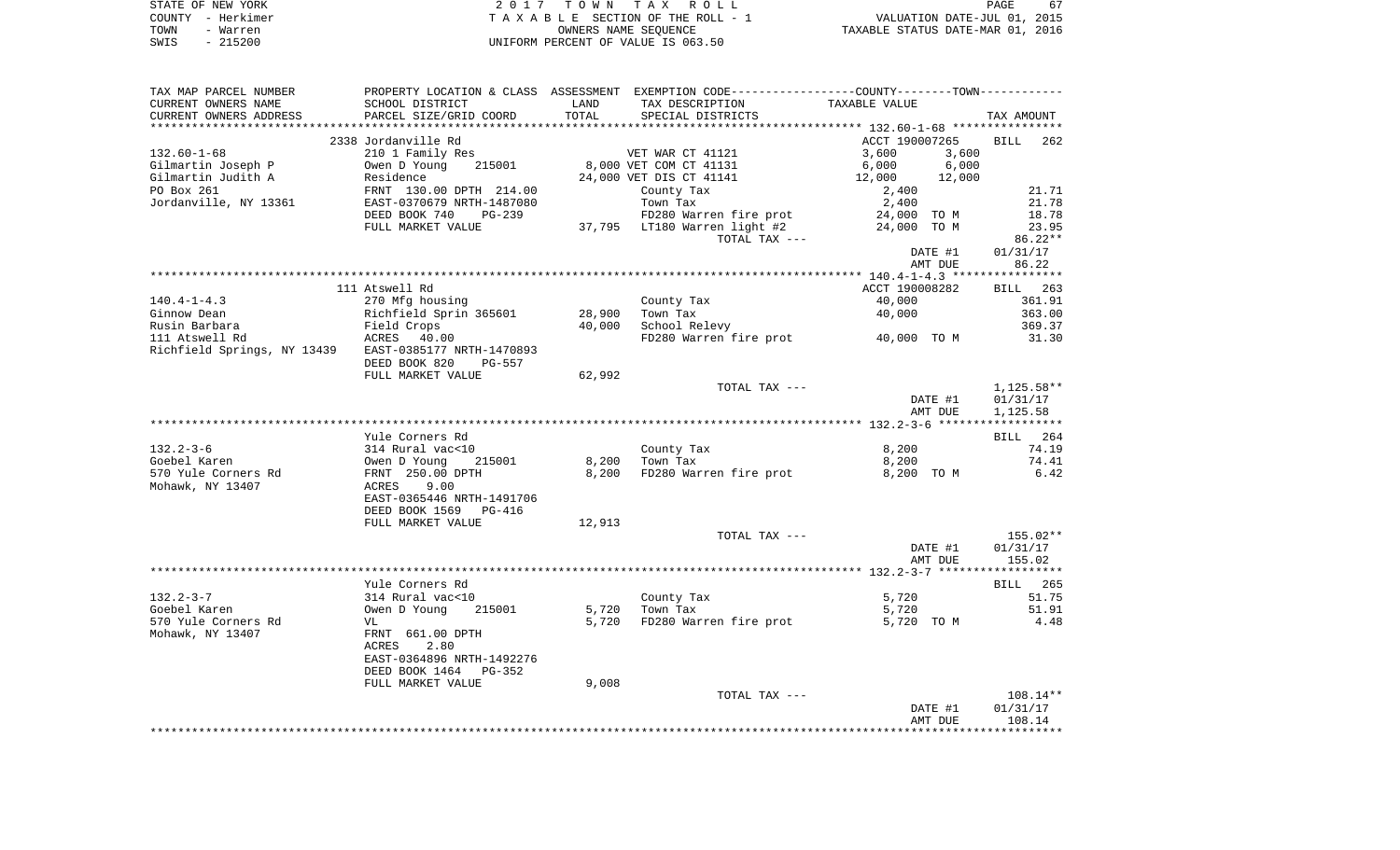| STATE OF NEW YORK | 2017 TOWN TAX ROLL                 | 67<br>PAGE                       |
|-------------------|------------------------------------|----------------------------------|
| COUNTY - Herkimer | TAXABLE SECTION OF THE ROLL - 1    | VALUATION DATE-JUL 01, 2015      |
| TOWN<br>- Warren  | OWNERS NAME SEOUENCE               | TAXABLE STATUS DATE-MAR 01, 2016 |
| $-215200$<br>SWIS | UNIFORM PERCENT OF VALUE IS 063.50 |                                  |

| TAX MAP PARCEL NUMBER                                 |                                                                                          |        | PROPERTY LOCATION & CLASS ASSESSMENT EXEMPTION CODE---------------COUNTY-------TOWN--------- |                  |                      |
|-------------------------------------------------------|------------------------------------------------------------------------------------------|--------|----------------------------------------------------------------------------------------------|------------------|----------------------|
| CURRENT OWNERS NAME                                   | SCHOOL DISTRICT                                                                          | LAND   | TAX DESCRIPTION                                                                              | TAXABLE VALUE    |                      |
| CURRENT OWNERS ADDRESS                                | PARCEL SIZE/GRID COORD                                                                   | TOTAL  | SPECIAL DISTRICTS                                                                            |                  | TAX AMOUNT           |
|                                                       |                                                                                          |        |                                                                                              |                  |                      |
|                                                       | 2338 Jordanville Rd                                                                      |        |                                                                                              | ACCT 190007265   | <b>BILL</b><br>262   |
| $132.60 - 1 - 68$                                     | 210 1 Family Res                                                                         |        | VET WAR CT 41121                                                                             | 3,600<br>3,600   |                      |
| Gilmartin Joseph P                                    |                                                                                          |        | 8,000 VET COM CT 41131                                                                       | 6,000<br>6,000   |                      |
| Gilmartin Judith A                                    |                                                                                          |        | 24,000 VET DIS CT 41141                                                                      | 12,000<br>12,000 |                      |
| PO Box 261                                            | Owen D Young 215001<br>Residence<br>FRNT 130.00 DPTH 214.00<br>EAST-0370679 NRTH-1487080 |        | County Tax                                                                                   | 2,400            | 21.71                |
| Jordanville, NY 13361                                 |                                                                                          |        | Town Tax                                                                                     | 2,400            | 21.78                |
|                                                       | DEED BOOK 740<br>PG-239                                                                  |        | FD280 Warren fire prot                                                                       | 24,000 TO M      | 18.78                |
|                                                       | FULL MARKET VALUE                                                                        |        | 37,795 LT180 Warren light #2                                                                 | 24,000 TO M      | 23.95                |
|                                                       |                                                                                          |        | TOTAL TAX ---                                                                                |                  | 86.22**              |
|                                                       |                                                                                          |        |                                                                                              | DATE #1          | 01/31/17             |
|                                                       |                                                                                          |        |                                                                                              | AMT DUE          | 86.22                |
|                                                       |                                                                                          |        |                                                                                              |                  |                      |
|                                                       | 111 Atswell Rd                                                                           |        |                                                                                              | ACCT 190008282   | BILL 263             |
| $140.4 - 1 - 4.3$                                     | 270 Mfg housing                                                                          |        | County Tax                                                                                   | 40,000           | 361.91               |
| Ginnow Dean                                           | -- All Alexandr -- 2014<br>Field Crops<br>Partial Crops<br>Partia                        | 28,900 | Town Tax                                                                                     | 40,000           | 363.00               |
| Rusin Barbara                                         |                                                                                          | 40,000 | School Relevy                                                                                |                  | 369.37               |
| 111 Atswell Rd                                        | ACRES 40.00                                                                              |        | FD280 Warren fire prot 40,000 TO M                                                           |                  | 31.30                |
| Richfield Springs, NY 13439 EAST-0385177 NRTH-1470893 |                                                                                          |        |                                                                                              |                  |                      |
|                                                       | DEED BOOK 820<br>PG-557                                                                  |        |                                                                                              |                  |                      |
|                                                       | FULL MARKET VALUE                                                                        | 62,992 |                                                                                              |                  |                      |
|                                                       |                                                                                          |        | TOTAL TAX ---                                                                                |                  | 1,125.58**           |
|                                                       |                                                                                          |        |                                                                                              | DATE #1          | 01/31/17             |
|                                                       |                                                                                          |        |                                                                                              | AMT DUE          | 1,125.58             |
|                                                       |                                                                                          |        |                                                                                              |                  |                      |
|                                                       | Yule Corners Rd                                                                          |        |                                                                                              |                  | BILL 264             |
| $132.2 - 3 - 6$                                       |                                                                                          |        | County Tax                                                                                   | 8,200            | 74.19                |
| Goebel Karen                                          | 314 Rural vac<10<br>Owen D Young 21<br>FRNT 250.00 DPTH<br>215001                        | 8,200  | Town Tax<br>FD280 Warren fire prot                                                           | 8,200            | 74.41                |
| 570 Yule Corners Rd                                   |                                                                                          | 8,200  |                                                                                              | 8,200 TO M       | 6.42                 |
| Mohawk, NY 13407                                      | ACRES<br>9.00                                                                            |        |                                                                                              |                  |                      |
|                                                       | EAST-0365446 NRTH-1491706                                                                |        |                                                                                              |                  |                      |
|                                                       | DEED BOOK 1569 PG-416                                                                    |        |                                                                                              |                  |                      |
|                                                       | FULL MARKET VALUE                                                                        | 12,913 |                                                                                              |                  |                      |
|                                                       |                                                                                          |        | TOTAL TAX ---                                                                                | DATE #1          | 155.02**<br>01/31/17 |
|                                                       |                                                                                          |        |                                                                                              | AMT DUE          | 155.02               |
|                                                       |                                                                                          |        |                                                                                              |                  |                      |
|                                                       | Yule Corners Rd                                                                          |        |                                                                                              |                  |                      |
| $132.2 - 3 - 7$                                       | 314 Rural vac<10                                                                         |        | County Tax                                                                                   | 5,720            | BILL 265<br>51.75    |
| Goebel Karen                                          | Owen D Young<br>215001                                                                   |        | 5,720 Town Tax                                                                               | 5,720            | 51.91                |
| 570 Yule Corners Rd                                   |                                                                                          | 5,720  | FD280 Warren fire prot                                                                       | 5,720 TO M       | 4.48                 |
| Mohawk, NY 13407                                      | VL<br>FRNT 661.00 DPTH                                                                   |        |                                                                                              |                  |                      |
|                                                       | 2.80<br>ACRES                                                                            |        |                                                                                              |                  |                      |
|                                                       | EAST-0364896 NRTH-1492276                                                                |        |                                                                                              |                  |                      |
|                                                       | DEED BOOK 1464 PG-352                                                                    |        |                                                                                              |                  |                      |
|                                                       | FULL MARKET VALUE                                                                        | 9,008  |                                                                                              |                  |                      |
|                                                       |                                                                                          |        | TOTAL TAX ---                                                                                |                  | $108.14**$           |
|                                                       |                                                                                          |        |                                                                                              | DATE #1          | 01/31/17             |
|                                                       |                                                                                          |        |                                                                                              | AMT DUE          | 108.14               |
|                                                       |                                                                                          |        |                                                                                              |                  |                      |
|                                                       |                                                                                          |        |                                                                                              |                  |                      |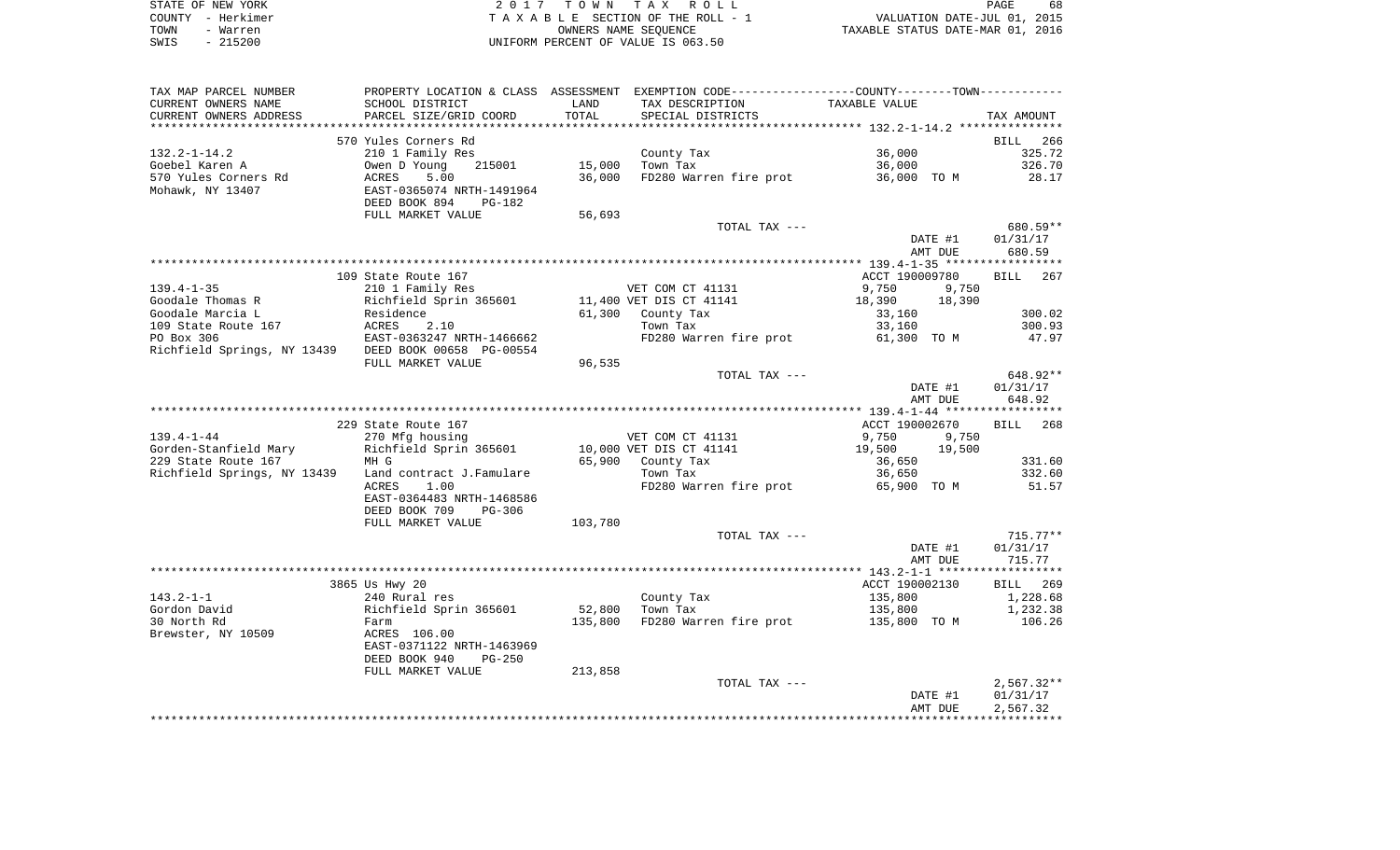|      | STATE OF NEW YORK | 2017 TOWN TAX ROLL                 | 68<br>PAGE                       |
|------|-------------------|------------------------------------|----------------------------------|
|      | COUNTY - Herkimer | TAXABLE SECTION OF THE ROLL - 1    | VALUATION DATE-JUL 01, 2015      |
| TOWN | - Warren          | OWNERS NAME SEOUENCE               | TAXABLE STATUS DATE-MAR 01, 2016 |
| SWIS | $-215200$         | UNIFORM PERCENT OF VALUE IS 063.50 |                                  |

| TAX MAP PARCEL NUMBER                                |                           |         | PROPERTY LOCATION & CLASS ASSESSMENT EXEMPTION CODE----------------COUNTY--------TOWN---------- |                  |                    |
|------------------------------------------------------|---------------------------|---------|-------------------------------------------------------------------------------------------------|------------------|--------------------|
| CURRENT OWNERS NAME                                  | SCHOOL DISTRICT           | LAND    | TAX DESCRIPTION                                                                                 | TAXABLE VALUE    |                    |
| CURRENT OWNERS ADDRESS                               | PARCEL SIZE/GRID COORD    | TOTAL   | SPECIAL DISTRICTS                                                                               |                  | TAX AMOUNT         |
| ************************                             |                           |         |                                                                                                 |                  |                    |
|                                                      | 570 Yules Corners Rd      |         |                                                                                                 |                  | BILL<br>266        |
| $132.2 - 1 - 14.2$                                   | 210 1 Family Res          |         | County Tax                                                                                      | 36,000           | 325.72             |
| Goebel Karen A                                       | Owen D Young<br>215001    | 15,000  | Town Tax                                                                                        | 36,000           | 326.70             |
| 570 Yules Corners Rd                                 | ACRES<br>5.00             | 36,000  | FD280 Warren fire prot                                                                          | 36,000 TO M      | 28.17              |
| Mohawk, NY 13407                                     | EAST-0365074 NRTH-1491964 |         |                                                                                                 |                  |                    |
|                                                      | DEED BOOK 894<br>PG-182   |         |                                                                                                 |                  |                    |
|                                                      | FULL MARKET VALUE         | 56,693  |                                                                                                 |                  |                    |
|                                                      |                           |         | TOTAL TAX ---                                                                                   |                  | 680.59**           |
|                                                      |                           |         |                                                                                                 | DATE #1          | 01/31/17           |
|                                                      |                           |         |                                                                                                 | AMT DUE          | 680.59             |
|                                                      |                           |         |                                                                                                 |                  |                    |
|                                                      | 109 State Route 167       |         |                                                                                                 | ACCT 190009780   | <b>BILL</b><br>267 |
| $139.4 - 1 - 35$                                     | 210 1 Family Res          |         | VET COM CT 41131                                                                                | 9,750<br>9,750   |                    |
| Goodale Thomas R                                     | Richfield Sprin 365601    |         | 11,400 VET DIS CT 41141                                                                         | 18,390<br>18,390 |                    |
| Goodale Marcia L                                     | Residence                 | 61,300  | County Tax                                                                                      | 33,160           | 300.02             |
| 109 State Route 167                                  | ACRES<br>2.10             |         | Town Tax                                                                                        | 33,160           | 300.93             |
| PO Box 306                                           | EAST-0363247 NRTH-1466662 |         | FD280 Warren fire prot                                                                          | 61,300 TO M      | 47.97              |
| Richfield Springs, NY 13439 DEED BOOK 00658 PG-00554 |                           |         |                                                                                                 |                  |                    |
|                                                      | FULL MARKET VALUE         | 96,535  |                                                                                                 |                  |                    |
|                                                      |                           |         | TOTAL TAX ---                                                                                   |                  | 648.92**           |
|                                                      |                           |         |                                                                                                 | DATE #1          | 01/31/17           |
|                                                      |                           |         |                                                                                                 | AMT DUE          | 648.92             |
|                                                      |                           |         |                                                                                                 |                  |                    |
|                                                      | 229 State Route 167       |         |                                                                                                 | ACCT 190002670   | BILL<br>268        |
| $139.4 - 1 - 44$                                     | 270 Mfg housing           |         | VET COM CT 41131                                                                                | 9,750<br>9,750   |                    |
| Gorden-Stanfield Mary                                | Richfield Sprin 365601    |         | 10,000 VET DIS CT 41141                                                                         | 19,500<br>19,500 |                    |
| 229 State Route 167                                  | MH G                      |         | 65,900 County Tax                                                                               | 36,650           | 331.60             |
| Richfield Springs, NY 13439                          | Land contract J.Famulare  |         | Town Tax                                                                                        | 36,650           | 332.60             |
|                                                      | 1.00<br>ACRES             |         | FD280 Warren fire prot                                                                          | 65,900 TO M      | 51.57              |
|                                                      | EAST-0364483 NRTH-1468586 |         |                                                                                                 |                  |                    |
|                                                      | DEED BOOK 709<br>PG-306   |         |                                                                                                 |                  |                    |
|                                                      | FULL MARKET VALUE         | 103,780 |                                                                                                 |                  |                    |
|                                                      |                           |         | TOTAL TAX ---                                                                                   |                  | $715.77**$         |
|                                                      |                           |         |                                                                                                 | DATE #1          | 01/31/17           |
|                                                      |                           |         |                                                                                                 | AMT DUE          | 715.77             |
|                                                      |                           |         |                                                                                                 |                  |                    |
|                                                      | 3865 Us Hwy 20            |         |                                                                                                 | ACCT 190002130   | BILL 269           |
| $143.2 - 1 - 1$                                      | 240 Rural res             |         | County Tax                                                                                      | 135,800          | 1,228.68           |
| Gordon David                                         | Richfield Sprin 365601    | 52,800  | Town Tax                                                                                        | 135,800          | 1,232.38           |
| 30 North Rd                                          | Farm                      | 135,800 | FD280 Warren fire prot                                                                          | 135,800 TO M     | 106.26             |
| Brewster, NY 10509                                   | ACRES 106.00              |         |                                                                                                 |                  |                    |
|                                                      | EAST-0371122 NRTH-1463969 |         |                                                                                                 |                  |                    |
|                                                      |                           |         |                                                                                                 |                  |                    |
|                                                      | DEED BOOK 940<br>$PG-250$ |         |                                                                                                 |                  |                    |
|                                                      | FULL MARKET VALUE         | 213,858 |                                                                                                 |                  |                    |
|                                                      |                           |         | TOTAL TAX ---                                                                                   |                  | $2,567.32**$       |
|                                                      |                           |         |                                                                                                 | DATE #1          | 01/31/17           |
|                                                      |                           |         |                                                                                                 | AMT DUE          | 2,567.32           |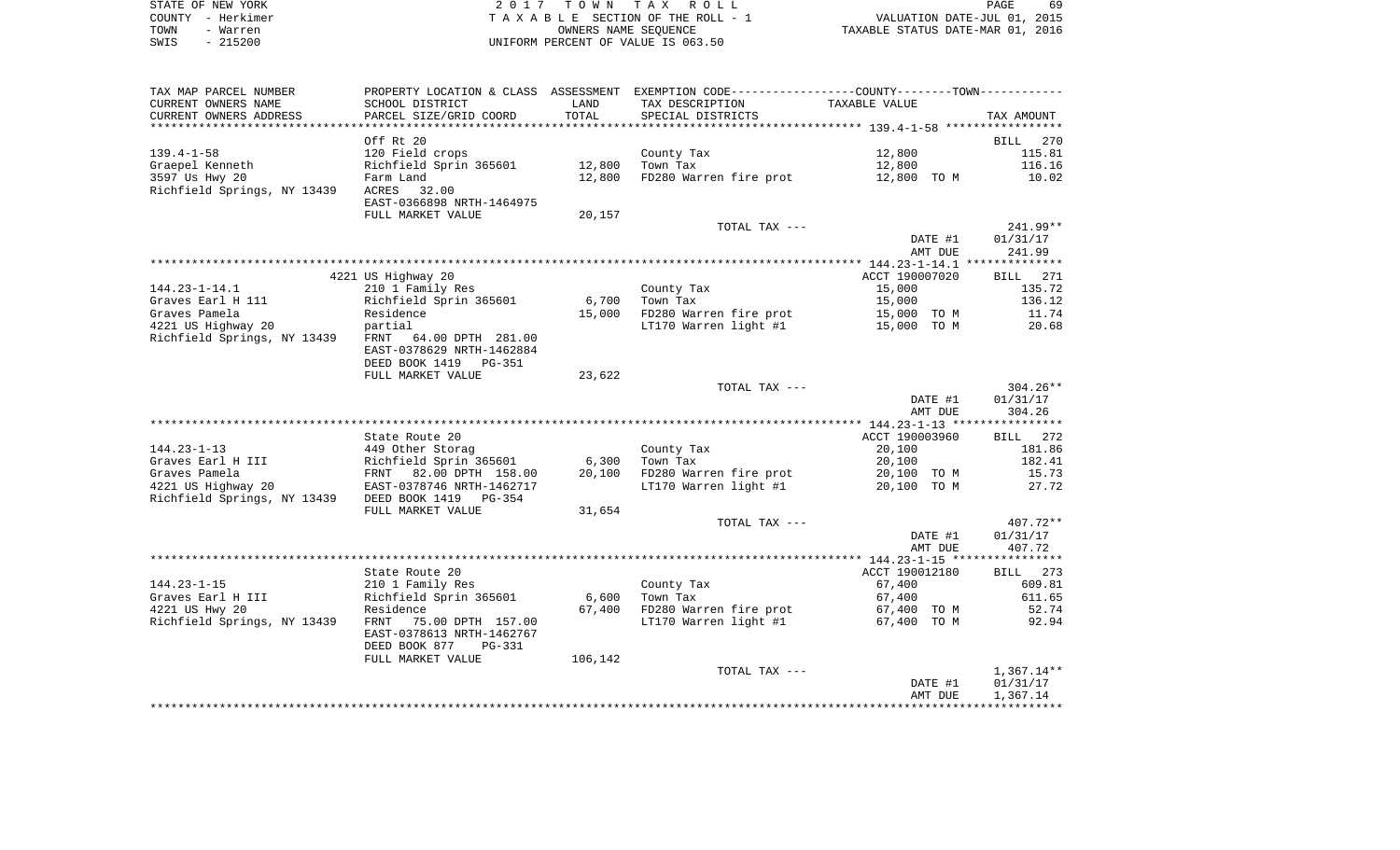| STATE OF NEW YORK | 2017 TOWN TAX ROLL                 | 69<br>PAGE                       |
|-------------------|------------------------------------|----------------------------------|
| COUNTY - Herkimer | TAXABLE SECTION OF THE ROLL - 1    | VALUATION DATE-JUL 01, 2015      |
| TOWN<br>- Warren  | OWNERS NAME SEOUENCE               | TAXABLE STATUS DATE-MAR 01, 2016 |
| $-215200$<br>SWIS | UNIFORM PERCENT OF VALUE IS 063.50 |                                  |

69<br>2015<br>2016

| TAX MAP PARCEL NUMBER                             | PROPERTY LOCATION & CLASS ASSESSMENT EXEMPTION CODE---------------COUNTY-------TOWN---------- |         |                        |                |              |
|---------------------------------------------------|-----------------------------------------------------------------------------------------------|---------|------------------------|----------------|--------------|
| CURRENT OWNERS NAME                               | SCHOOL DISTRICT                                                                               | LAND    | TAX DESCRIPTION        | TAXABLE VALUE  |              |
| CURRENT OWNERS ADDRESS                            | PARCEL SIZE/GRID COORD                                                                        | TOTAL   | SPECIAL DISTRICTS      |                | TAX AMOUNT   |
|                                                   |                                                                                               |         |                        |                |              |
|                                                   | Off Rt 20                                                                                     |         |                        |                | BILL 270     |
| $139.4 - 1 - 58$                                  | 120 Field crops                                                                               |         | County Tax             | 12,800         | 115.81       |
| Graepel Kenneth                                   | Richfield Sprin 365601                                                                        | 12,800  | Town Tax               | 12,800         | 116.16       |
| 3597 Us Hwy 20                                    | Farm Land                                                                                     | 12,800  | FD280 Warren fire prot | 12,800 TO M    | 10.02        |
| Richfield Springs, NY 13439                       | ACRES<br>32.00                                                                                |         |                        |                |              |
|                                                   | EAST-0366898 NRTH-1464975                                                                     |         |                        |                |              |
|                                                   | FULL MARKET VALUE                                                                             | 20,157  |                        |                |              |
|                                                   |                                                                                               |         | TOTAL TAX ---          |                | $241.99**$   |
|                                                   |                                                                                               |         |                        | DATE #1        | 01/31/17     |
|                                                   |                                                                                               |         |                        | AMT DUE        | 241.99       |
|                                                   |                                                                                               |         |                        |                |              |
|                                                   | 4221 US Highway 20                                                                            |         |                        | ACCT 190007020 | BILL 271     |
| $144.23 - 1 - 14.1$                               | 210 1 Family Res                                                                              |         | County Tax             | 15,000         | 135.72       |
| Graves Earl H 111                                 | Richfield Sprin 365601                                                                        | 6,700   | Town Tax               |                | 136.12       |
|                                                   |                                                                                               |         |                        | 15,000         |              |
| Graves Pamela                                     | Residence                                                                                     | 15,000  | FD280 Warren fire prot | 15,000 TO M    | 11.74        |
| 4221 US Highway 20                                | partial                                                                                       |         | LT170 Warren light #1  | 15,000 TO M    | 20.68        |
| Richfield Springs, NY 13439                       | FRNT 64.00 DPTH 281.00                                                                        |         |                        |                |              |
|                                                   | EAST-0378629 NRTH-1462884                                                                     |         |                        |                |              |
|                                                   | DEED BOOK 1419<br>PG-351                                                                      |         |                        |                |              |
|                                                   | FULL MARKET VALUE                                                                             | 23,622  |                        |                |              |
|                                                   |                                                                                               |         | TOTAL TAX ---          |                | $304.26**$   |
|                                                   |                                                                                               |         |                        | DATE #1        | 01/31/17     |
|                                                   |                                                                                               |         |                        | AMT DUE        | 304.26       |
|                                                   |                                                                                               |         |                        |                |              |
|                                                   | State Route 20                                                                                |         |                        | ACCT 190003960 | BILL 272     |
| $144.23 - 1 - 13$                                 | 449 Other Storag                                                                              |         | County Tax             | 20,100         | 181.86       |
| Graves Earl H III                                 | Richfield Sprin 365601                                                                        | 6,300   | Town Tax               | 20,100         | 182.41       |
| Graves Pamela                                     | FRNT 82.00 DPTH 158.00                                                                        | 20,100  | FD280 Warren fire prot | 20,100 TO M    | 15.73        |
| 4221 US Highway 20                                | EAST-0378746 NRTH-1462717                                                                     |         | LT170 Warren light #1  | 20,100 TO M    | 27.72        |
| Richfield Springs, NY 13439 DEED BOOK 1419 PG-354 |                                                                                               |         |                        |                |              |
|                                                   | FULL MARKET VALUE                                                                             | 31,654  |                        |                |              |
|                                                   |                                                                                               |         | TOTAL TAX ---          |                | 407.72**     |
|                                                   |                                                                                               |         |                        | DATE #1        | 01/31/17     |
|                                                   |                                                                                               |         |                        | AMT DUE        | 407.72       |
|                                                   |                                                                                               |         |                        |                |              |
|                                                   | State Route 20                                                                                |         |                        | ACCT 190012180 | BILL 273     |
| $144.23 - 1 - 15$                                 | 210 1 Family Res                                                                              |         | County Tax             | 67,400         | 609.81       |
| Graves Earl H III                                 | Richfield Sprin 365601                                                                        | 6,600   | Town Tax               | 67,400         | 611.65       |
| 4221 US Hwy 20                                    | Residence                                                                                     | 67,400  | FD280 Warren fire prot | 67,400 TO M    | 52.74        |
| Richfield Springs, NY 13439                       | FRNT<br>75.00 DPTH 157.00                                                                     |         | LT170 Warren light #1  | 67,400 TO M    | 92.94        |
|                                                   | EAST-0378613 NRTH-1462767                                                                     |         |                        |                |              |
|                                                   | DEED BOOK 877<br>PG-331                                                                       |         |                        |                |              |
|                                                   | FULL MARKET VALUE                                                                             | 106,142 |                        |                |              |
|                                                   |                                                                                               |         | TOTAL TAX ---          |                | $1,367.14**$ |
|                                                   |                                                                                               |         |                        | DATE #1        | 01/31/17     |
|                                                   |                                                                                               |         |                        | AMT DUE        | 1,367.14     |
|                                                   |                                                                                               |         |                        |                |              |
|                                                   |                                                                                               |         |                        |                |              |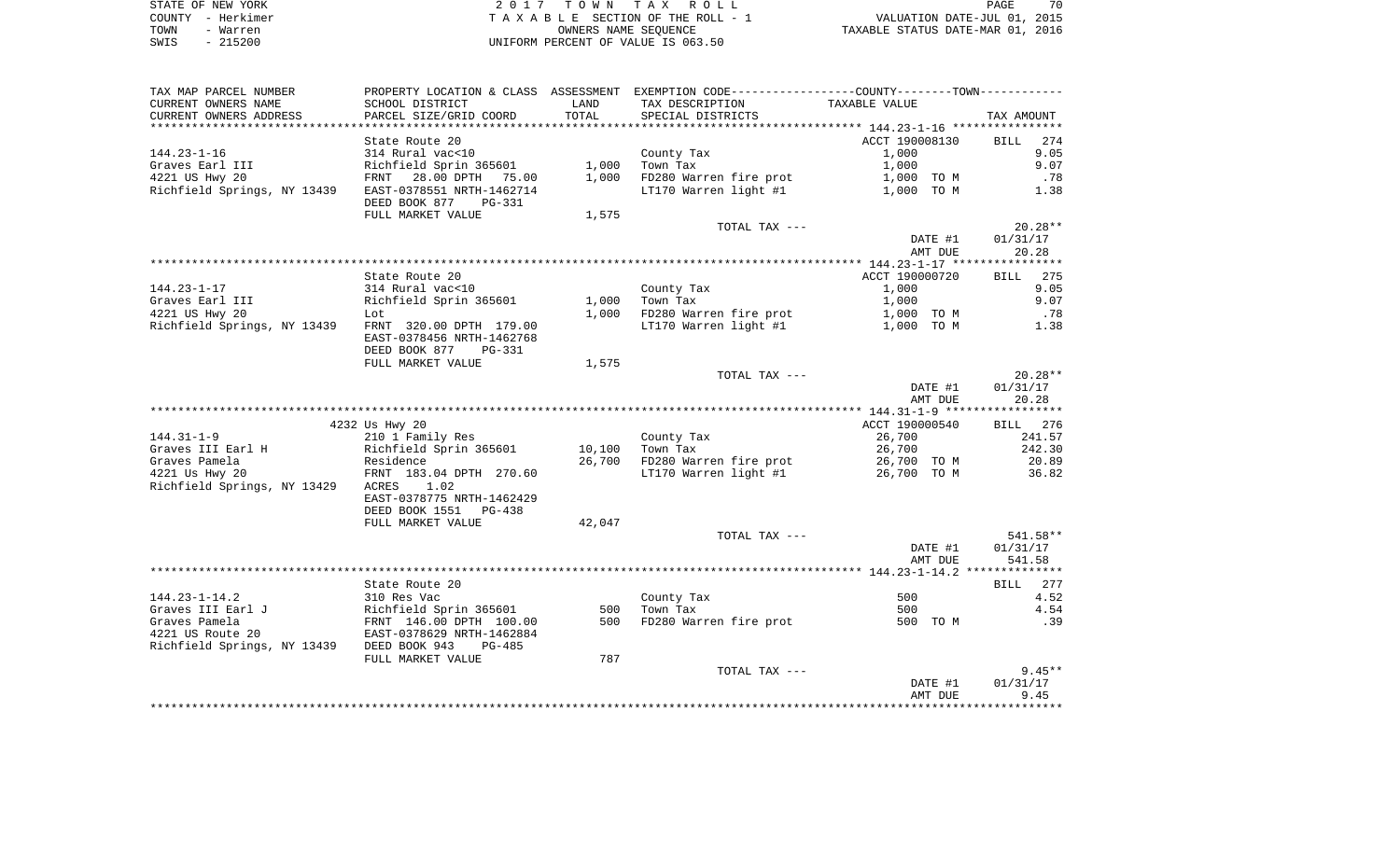| STATE OF NEW YORK | 2017 TOWN TAX ROLL                 | 70<br>PAGE                       |
|-------------------|------------------------------------|----------------------------------|
| COUNTY - Herkimer | TAXABLE SECTION OF THE ROLL - 1    | VALUATION DATE-JUL 01, 2015      |
| TOWN<br>- Warren  | OWNERS NAME SEOUENCE               | TAXABLE STATUS DATE-MAR 01, 2016 |
| $-215200$<br>SWIS | UNIFORM PERCENT OF VALUE IS 063.50 |                                  |

| TAX MAP PARCEL NUMBER                                 |                                                                                |        | PROPERTY LOCATION & CLASS ASSESSMENT EXEMPTION CODE----------------COUNTY--------TOWN---------- |                |                    |
|-------------------------------------------------------|--------------------------------------------------------------------------------|--------|-------------------------------------------------------------------------------------------------|----------------|--------------------|
| CURRENT OWNERS NAME                                   | SCHOOL DISTRICT                                                                | LAND   | TAX DESCRIPTION                                                                                 | TAXABLE VALUE  |                    |
| CURRENT OWNERS ADDRESS                                | PARCEL SIZE/GRID COORD                                                         | TOTAL  | SPECIAL DISTRICTS                                                                               |                | TAX AMOUNT         |
|                                                       |                                                                                |        |                                                                                                 |                |                    |
|                                                       | State Route 20                                                                 |        |                                                                                                 | ACCT 190008130 | <b>BILL</b><br>274 |
| $144.23 - 1 - 16$                                     | 314 Rural vac<10                                                               |        | County Tax                                                                                      | 1,000          | 9.05               |
| Graves Earl III                                       | Richfield Sprin 365601                                                         | 1,000  | Town Tax                                                                                        | 1,000          | 9.07               |
| 4221 US Hwy 20                                        | FRNT 28.00 DPTH 75.00                                                          | 1,000  | FD280 Warren fire prot                                                                          | 1,000 TO M     | .78                |
| Richfield Springs, NY 13439 EAST-0378551 NRTH-1462714 |                                                                                |        | LT170 Warren light #1                                                                           | 1,000 TO M     | 1.38               |
|                                                       | DEED BOOK 877<br>PG-331                                                        |        |                                                                                                 |                |                    |
|                                                       | FULL MARKET VALUE                                                              | 1,575  |                                                                                                 |                |                    |
|                                                       |                                                                                |        | TOTAL TAX ---                                                                                   |                | $20.28**$          |
|                                                       |                                                                                |        |                                                                                                 | DATE #1        | 01/31/17           |
|                                                       |                                                                                |        |                                                                                                 | AMT DUE        | 20.28              |
|                                                       |                                                                                |        |                                                                                                 |                |                    |
|                                                       | State Route 20                                                                 |        |                                                                                                 | ACCT 190000720 | 275<br>BILL        |
| $144.23 - 1 - 17$                                     | 314 Rural vac<10                                                               |        | County Tax                                                                                      | 1,000          | 9.05               |
| Graves Earl III                                       | Richfield Sprin 365601                                                         | 1,000  | Town Tax                                                                                        | 1,000          | 9.07               |
| 4221 US Hwy 20                                        | Lot                                                                            | 1,000  | FD280 Warren fire prot                                                                          | 1,000 TO M     | .78                |
| Richfield Springs, NY 13439 FRNT 320.00 DPTH 179.00   |                                                                                |        | LT170 Warren light #1                                                                           | 1,000 TO M     | 1.38               |
|                                                       | EAST-0378456 NRTH-1462768                                                      |        |                                                                                                 |                |                    |
|                                                       | DEED BOOK 877<br>$PG-331$<br>FULL MARKET VALUE                                 | 1,575  |                                                                                                 |                |                    |
|                                                       |                                                                                |        | TOTAL TAX ---                                                                                   |                | $20.28**$          |
|                                                       |                                                                                |        |                                                                                                 | DATE #1        | 01/31/17           |
|                                                       |                                                                                |        |                                                                                                 | AMT DUE        | 20.28              |
|                                                       |                                                                                |        |                                                                                                 |                |                    |
|                                                       | 4232 Us Hwy 20                                                                 |        |                                                                                                 | ACCT 190000540 | BILL 276           |
| $144.31 - 1 - 9$                                      | 210 1 Family Res                                                               |        | County Tax                                                                                      | 26,700         | 241.57             |
| Graves III Earl H                                     | Richfield Sprin 365601                                                         | 10,100 | Town Tax                                                                                        | 26,700         | 242.30             |
| Graves Pamela                                         |                                                                                | 26,700 | FD280 Warren fire prot                                                                          | 26,700 TO M    | 20.89              |
| 4221 Us Hwy 20                                        | Residence<br>FRNT 183.04 DPTH 270.60                                           |        | LT170 Warren light #1                                                                           | 26,700 TO M    | 36.82              |
| Richfield Springs, NY 13429                           | ACRES<br>1.02                                                                  |        |                                                                                                 |                |                    |
|                                                       | EAST-0378775 NRTH-1462429                                                      |        |                                                                                                 |                |                    |
|                                                       | DEED BOOK 1551<br>PG-438                                                       |        |                                                                                                 |                |                    |
|                                                       | FULL MARKET VALUE                                                              | 42,047 |                                                                                                 |                |                    |
|                                                       |                                                                                |        | TOTAL TAX ---                                                                                   |                | 541.58**           |
|                                                       |                                                                                |        |                                                                                                 | DATE #1        | 01/31/17           |
|                                                       |                                                                                |        |                                                                                                 | AMT DUE        | 541.58             |
|                                                       |                                                                                |        |                                                                                                 |                |                    |
|                                                       | State Route 20                                                                 |        |                                                                                                 |                | 277<br><b>BILL</b> |
| $144.23 - 1 - 14.2$                                   | 310 Res Vac                                                                    |        | County Tax                                                                                      | 500            | 4.52               |
| Graves III Earl J                                     |                                                                                | 500    | Town Tax                                                                                        | 500            | 4.54               |
| Graves Pamela                                         | Richfield Sprin 365601<br>FRNT 146.00 DPTH 100.00<br>EAST-0378629 NRTH-1462884 | 500    | FD280 Warren fire prot                                                                          | 500 TO M       | .39                |
| 4221 US Route 20                                      |                                                                                |        |                                                                                                 |                |                    |
| Richfield Springs, NY 13439 DEED BOOK 943             | $PG-485$                                                                       |        |                                                                                                 |                |                    |
|                                                       | FULL MARKET VALUE                                                              | 787    |                                                                                                 |                |                    |
|                                                       |                                                                                |        | TOTAL TAX ---                                                                                   |                | $9.45**$           |
|                                                       |                                                                                |        |                                                                                                 | DATE #1        | 01/31/17           |
|                                                       |                                                                                |        |                                                                                                 | AMT DUE        | 9.45               |
|                                                       |                                                                                |        |                                                                                                 |                |                    |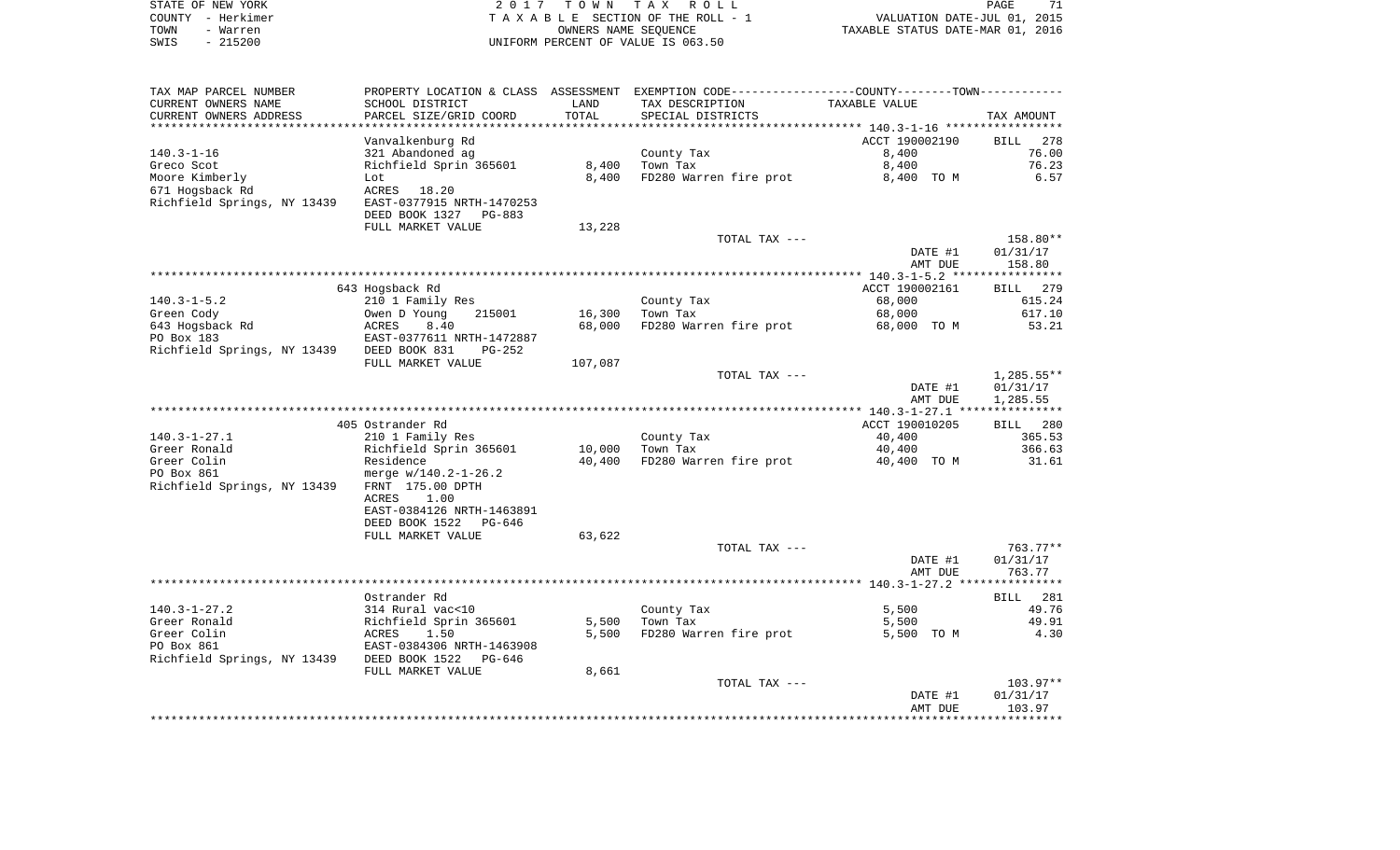| STATE OF NEW YORK | 2017 TOWN TAX ROLL                 | PAGE                             |
|-------------------|------------------------------------|----------------------------------|
| COUNTY - Herkimer | TAXABLE SECTION OF THE ROLL - 1    | VALUATION DATE-JUL 01, 2015      |
| TOWN<br>- Warren  | OWNERS NAME SEOUENCE               | TAXABLE STATUS DATE-MAR 01, 2016 |
| $-215200$<br>SWIS | UNIFORM PERCENT OF VALUE IS 063.50 |                                  |

| TAX MAP PARCEL NUMBER                      |                                               |         | PROPERTY LOCATION & CLASS ASSESSMENT EXEMPTION CODE----------------COUNTY-------TOWN---------- |                |                    |
|--------------------------------------------|-----------------------------------------------|---------|------------------------------------------------------------------------------------------------|----------------|--------------------|
| CURRENT OWNERS NAME                        | SCHOOL DISTRICT                               | LAND    | TAX DESCRIPTION                                                                                | TAXABLE VALUE  |                    |
| CURRENT OWNERS ADDRESS                     | PARCEL SIZE/GRID COORD                        | TOTAL   | SPECIAL DISTRICTS                                                                              |                | TAX AMOUNT         |
|                                            |                                               |         |                                                                                                |                |                    |
|                                            | Vanvalkenburg Rd                              |         |                                                                                                | ACCT 190002190 | <b>BILL</b><br>278 |
| $140.3 - 1 - 16$                           | 321 Abandoned ag                              |         | County Tax                                                                                     | 8,400          | 76.00              |
| Greco Scot                                 | Richfield Sprin 365601                        | 8,400   | Town Tax                                                                                       | 8,400          | 76.23              |
| Moore Kimberly                             | Lot                                           | 8,400   | FD280 Warren fire prot                                                                         | 8,400 TO M     | 6.57               |
| 671 Hogsback Rd                            | ACRES 18.20                                   |         |                                                                                                |                |                    |
| Richfield Springs, NY 13439                | EAST-0377915 NRTH-1470253                     |         |                                                                                                |                |                    |
|                                            | DEED BOOK 1327<br>PG-883<br>FULL MARKET VALUE |         |                                                                                                |                |                    |
|                                            |                                               | 13,228  | TOTAL TAX ---                                                                                  |                | 158.80**           |
|                                            |                                               |         |                                                                                                | DATE #1        | 01/31/17           |
|                                            |                                               |         |                                                                                                | AMT DUE        | 158.80             |
|                                            |                                               |         |                                                                                                |                |                    |
|                                            | 643 Hogsback Rd                               |         |                                                                                                | ACCT 190002161 | BILL<br>279        |
| $140.3 - 1 - 5.2$                          | 210 1 Family Res                              |         | County Tax                                                                                     | 68,000         | 615.24             |
| Green Cody                                 | Owen D Young<br>215001                        | 16,300  | Town Tax                                                                                       | 68,000         | 617.10             |
| 643 Hogsback Rd                            | ACRES<br>8.40                                 | 68,000  | FD280 Warren fire prot                                                                         | 68,000 TO M    | 53.21              |
| PO Box 183                                 | EAST-0377611 NRTH-1472887                     |         |                                                                                                |                |                    |
| Richfield Springs, NY 13439 DEED BOOK 831  | $PG-252$                                      |         |                                                                                                |                |                    |
|                                            | FULL MARKET VALUE                             | 107,087 |                                                                                                |                |                    |
|                                            |                                               |         | TOTAL TAX ---                                                                                  |                | $1,285.55**$       |
|                                            |                                               |         |                                                                                                | DATE #1        | 01/31/17           |
|                                            |                                               |         |                                                                                                | AMT DUE        | 1,285.55           |
|                                            |                                               |         |                                                                                                |                |                    |
|                                            | 405 Ostrander Rd                              |         |                                                                                                | ACCT 190010205 | BILL<br>280        |
| $140.3 - 1 - 27.1$                         | 210 1 Family Res                              |         | County Tax                                                                                     | 40,400         | 365.53             |
| Greer Ronald                               | Richfield Sprin 365601                        | 10,000  | Town Tax                                                                                       | 40,400         | 366.63             |
| Greer Colin                                | Residence                                     | 40,400  | FD280 Warren fire prot                                                                         | 40,400 TO M    | 31.61              |
| PO Box 861                                 | merge $w/140.2 - 1 - 26.2$                    |         |                                                                                                |                |                    |
| Richfield Springs, NY 13439                | FRNT 175.00 DPTH                              |         |                                                                                                |                |                    |
|                                            | ACRES<br>1.00                                 |         |                                                                                                |                |                    |
|                                            | EAST-0384126 NRTH-1463891                     |         |                                                                                                |                |                    |
|                                            | DEED BOOK 1522<br>PG-646                      |         |                                                                                                |                |                    |
|                                            | FULL MARKET VALUE                             | 63,622  |                                                                                                |                |                    |
|                                            |                                               |         | TOTAL TAX ---                                                                                  |                | 763.77**           |
|                                            |                                               |         |                                                                                                | DATE #1        | 01/31/17           |
|                                            |                                               |         |                                                                                                | AMT DUE        | 763.77             |
|                                            | Ostrander Rd                                  |         |                                                                                                |                | <b>BILL</b> 281    |
| $140.3 - 1 - 27.2$                         | 314 Rural vac<10                              |         | County Tax                                                                                     | 5,500          | 49.76              |
| Greer Ronald                               | Richfield Sprin 365601                        | 5,500   | Town Tax                                                                                       | 5,500          | 49.91              |
| Greer Colin                                | ACRES<br>1.50                                 | 5,500   | FD280 Warren fire prot                                                                         | 5,500 TO M     | 4.30               |
| PO Box 861                                 | EAST-0384306 NRTH-1463908                     |         |                                                                                                |                |                    |
| Richfield Springs, NY 13439 DEED BOOK 1522 | PG-646                                        |         |                                                                                                |                |                    |
|                                            | FULL MARKET VALUE                             | 8,661   |                                                                                                |                |                    |
|                                            |                                               |         | TOTAL TAX ---                                                                                  |                | $103.97**$         |
|                                            |                                               |         |                                                                                                | DATE #1        | 01/31/17           |
|                                            |                                               |         |                                                                                                | AMT DUE        | 103.97             |
|                                            |                                               |         |                                                                                                |                |                    |
|                                            |                                               |         |                                                                                                |                |                    |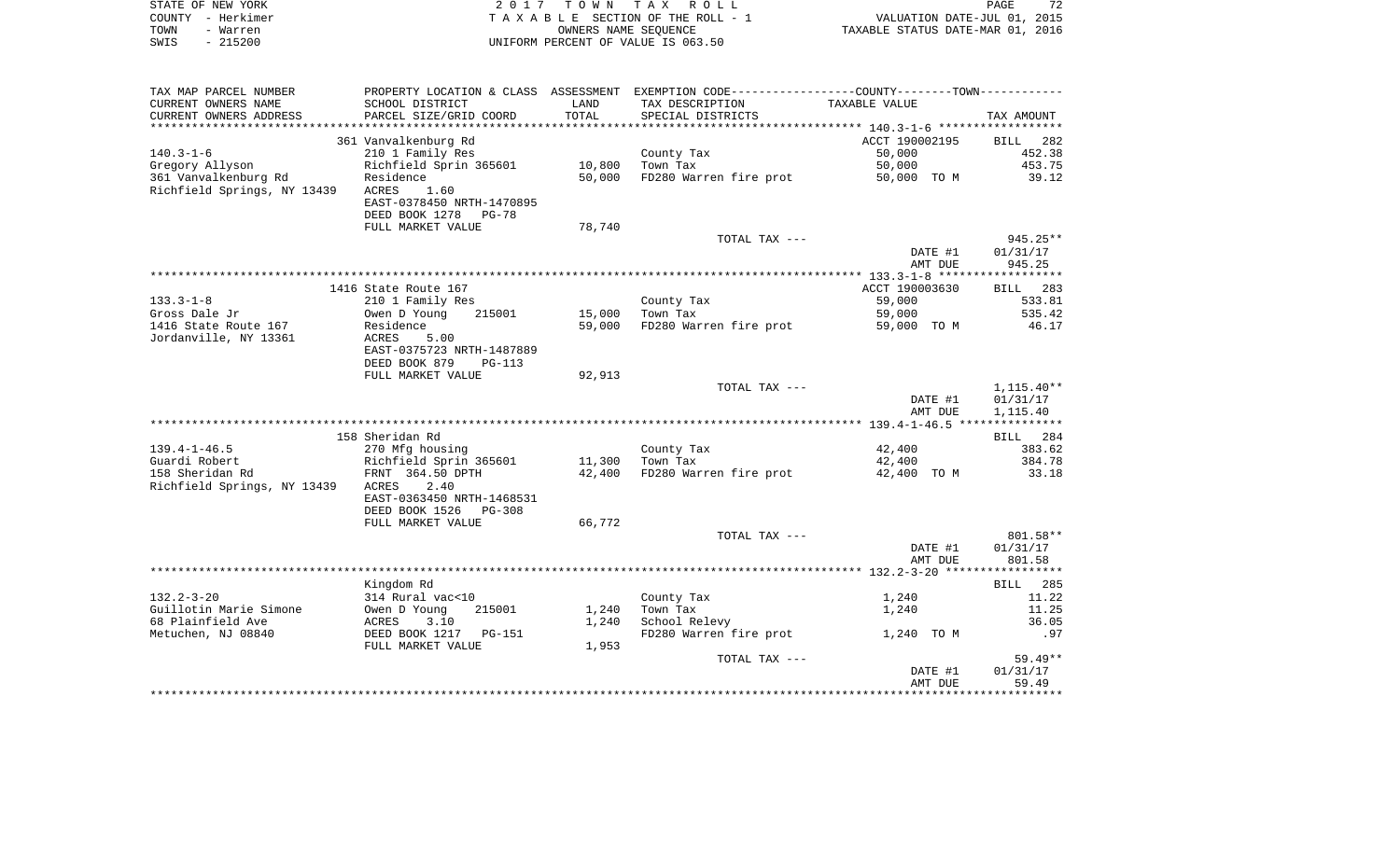|      | STATE OF NEW YORK | 2017 TOWN TAX ROLL                 | 72<br>PAGE                       |
|------|-------------------|------------------------------------|----------------------------------|
|      | COUNTY - Herkimer | TAXABLE SECTION OF THE ROLL - 1    | VALUATION DATE-JUL 01, 2015      |
| TOWN | - Warren          | OWNERS NAME SEOUENCE               | TAXABLE STATUS DATE-MAR 01, 2016 |
| SWIS | $-215200$         | UNIFORM PERCENT OF VALUE IS 063.50 |                                  |

| SCHOOL DISTRICT<br>TAX DESCRIPTION<br>TAXABLE VALUE<br>LAND<br>PARCEL SIZE/GRID COORD<br>TOTAL<br>CURRENT OWNERS ADDRESS<br>SPECIAL DISTRICTS<br>TAX AMOUNT<br>361 Vanvalkenburg Rd<br>ACCT 190002195<br>BILL 282<br>$140.3 - 1 - 6$<br>210 1 Family Res<br>County Tax<br>50,000<br>452.38<br>Richfield Sprin 365601<br>10,800<br>Town Tax<br>50,000<br>453.75<br>Gregory Allyson<br>361 Vanvalkenburg Rd<br>50,000<br>FD280 Warren fire prot<br>39.12<br>Residence<br>50,000 TO M<br>Richfield Springs, NY 13439<br>ACRES<br>1.60<br>EAST-0378450 NRTH-1470895<br>DEED BOOK 1278<br>PG-78<br>FULL MARKET VALUE<br>78,740<br>$945.25**$<br>TOTAL TAX ---<br>DATE #1<br>01/31/17<br>945.25<br>AMT DUE<br>ACCT 190003630<br>1416 State Route 167<br>BILL 283<br>$133.3 - 1 - 8$<br>County Tax<br>59,000<br>533.81<br>210 1 Family Res<br>15,000<br>59,000<br>535.42<br>Gross Dale Jr<br>Owen D Young<br>215001<br>Town Tax<br>FD280 Warren fire prot<br>1416 State Route 167<br>Residence<br>59,000<br>46.17<br>59,000 TO M<br>Jordanville, NY 13361<br>ACRES<br>5.00<br>EAST-0375723 NRTH-1487889<br>DEED BOOK 879<br>$PG-113$<br>92,913<br>FULL MARKET VALUE<br>TOTAL TAX ---<br>$1,115.40**$<br>DATE #1<br>01/31/17<br>AMT DUE<br>1,115.40<br>158 Sheridan Rd<br>BILL 284<br>42,400<br>$139.4 - 1 - 46.5$<br>270 Mfg housing<br>County Tax<br>383.62<br>384.78<br>Guardi Robert<br>11,300<br>Town Tax<br>42,400<br>158 Sheridan Rd<br>42,400<br>FD280 Warren fire prot<br>33.18<br>42,400 TO M<br>Richfield Springs, NY 13439<br>ACRES<br>2.40<br>EAST-0363450 NRTH-1468531<br>DEED BOOK 1526<br>PG-308<br>FULL MARKET VALUE<br>66,772<br>TOTAL TAX ---<br>801.58**<br>01/31/17<br>DATE #1<br>AMT DUE<br>801.58<br>Kingdom Rd<br>BILL 285<br>$132.2 - 3 - 20$<br>314 Rural vac<10<br>County Tax<br>1,240<br>11.22<br>Guillotin Marie Simone<br>Owen D Young<br>Town Tax<br>215001<br>1,240<br>1,240<br>11.25<br>68 Plainfield Ave<br>School Relevy<br>ACRES<br>3.10<br>1,240<br>36.05<br>Metuchen, NJ 08840<br>DEED BOOK 1217 PG-151<br>FD280 Warren fire prot<br>1,240 TO M<br>.97<br>1,953<br>FULL MARKET VALUE<br>$59.49**$<br>TOTAL TAX ---<br>DATE #1<br>01/31/17<br>AMT DUE<br>59.49 | TAX MAP PARCEL NUMBER | PROPERTY LOCATION & CLASS ASSESSMENT EXEMPTION CODE--------------COUNTY-------TOWN--------- |  |  |
|---------------------------------------------------------------------------------------------------------------------------------------------------------------------------------------------------------------------------------------------------------------------------------------------------------------------------------------------------------------------------------------------------------------------------------------------------------------------------------------------------------------------------------------------------------------------------------------------------------------------------------------------------------------------------------------------------------------------------------------------------------------------------------------------------------------------------------------------------------------------------------------------------------------------------------------------------------------------------------------------------------------------------------------------------------------------------------------------------------------------------------------------------------------------------------------------------------------------------------------------------------------------------------------------------------------------------------------------------------------------------------------------------------------------------------------------------------------------------------------------------------------------------------------------------------------------------------------------------------------------------------------------------------------------------------------------------------------------------------------------------------------------------------------------------------------------------------------------------------------------------------------------------------------------------------------------------------------------------------------------------------------------------------------------------------------------------------------------------------------------------------------------------------------------------------------------|-----------------------|---------------------------------------------------------------------------------------------|--|--|
|                                                                                                                                                                                                                                                                                                                                                                                                                                                                                                                                                                                                                                                                                                                                                                                                                                                                                                                                                                                                                                                                                                                                                                                                                                                                                                                                                                                                                                                                                                                                                                                                                                                                                                                                                                                                                                                                                                                                                                                                                                                                                                                                                                                             | CURRENT OWNERS NAME   |                                                                                             |  |  |
|                                                                                                                                                                                                                                                                                                                                                                                                                                                                                                                                                                                                                                                                                                                                                                                                                                                                                                                                                                                                                                                                                                                                                                                                                                                                                                                                                                                                                                                                                                                                                                                                                                                                                                                                                                                                                                                                                                                                                                                                                                                                                                                                                                                             |                       |                                                                                             |  |  |
|                                                                                                                                                                                                                                                                                                                                                                                                                                                                                                                                                                                                                                                                                                                                                                                                                                                                                                                                                                                                                                                                                                                                                                                                                                                                                                                                                                                                                                                                                                                                                                                                                                                                                                                                                                                                                                                                                                                                                                                                                                                                                                                                                                                             |                       |                                                                                             |  |  |
|                                                                                                                                                                                                                                                                                                                                                                                                                                                                                                                                                                                                                                                                                                                                                                                                                                                                                                                                                                                                                                                                                                                                                                                                                                                                                                                                                                                                                                                                                                                                                                                                                                                                                                                                                                                                                                                                                                                                                                                                                                                                                                                                                                                             |                       |                                                                                             |  |  |
|                                                                                                                                                                                                                                                                                                                                                                                                                                                                                                                                                                                                                                                                                                                                                                                                                                                                                                                                                                                                                                                                                                                                                                                                                                                                                                                                                                                                                                                                                                                                                                                                                                                                                                                                                                                                                                                                                                                                                                                                                                                                                                                                                                                             |                       |                                                                                             |  |  |
|                                                                                                                                                                                                                                                                                                                                                                                                                                                                                                                                                                                                                                                                                                                                                                                                                                                                                                                                                                                                                                                                                                                                                                                                                                                                                                                                                                                                                                                                                                                                                                                                                                                                                                                                                                                                                                                                                                                                                                                                                                                                                                                                                                                             |                       |                                                                                             |  |  |
|                                                                                                                                                                                                                                                                                                                                                                                                                                                                                                                                                                                                                                                                                                                                                                                                                                                                                                                                                                                                                                                                                                                                                                                                                                                                                                                                                                                                                                                                                                                                                                                                                                                                                                                                                                                                                                                                                                                                                                                                                                                                                                                                                                                             |                       |                                                                                             |  |  |
|                                                                                                                                                                                                                                                                                                                                                                                                                                                                                                                                                                                                                                                                                                                                                                                                                                                                                                                                                                                                                                                                                                                                                                                                                                                                                                                                                                                                                                                                                                                                                                                                                                                                                                                                                                                                                                                                                                                                                                                                                                                                                                                                                                                             |                       |                                                                                             |  |  |
|                                                                                                                                                                                                                                                                                                                                                                                                                                                                                                                                                                                                                                                                                                                                                                                                                                                                                                                                                                                                                                                                                                                                                                                                                                                                                                                                                                                                                                                                                                                                                                                                                                                                                                                                                                                                                                                                                                                                                                                                                                                                                                                                                                                             |                       |                                                                                             |  |  |
|                                                                                                                                                                                                                                                                                                                                                                                                                                                                                                                                                                                                                                                                                                                                                                                                                                                                                                                                                                                                                                                                                                                                                                                                                                                                                                                                                                                                                                                                                                                                                                                                                                                                                                                                                                                                                                                                                                                                                                                                                                                                                                                                                                                             |                       |                                                                                             |  |  |
|                                                                                                                                                                                                                                                                                                                                                                                                                                                                                                                                                                                                                                                                                                                                                                                                                                                                                                                                                                                                                                                                                                                                                                                                                                                                                                                                                                                                                                                                                                                                                                                                                                                                                                                                                                                                                                                                                                                                                                                                                                                                                                                                                                                             |                       |                                                                                             |  |  |
|                                                                                                                                                                                                                                                                                                                                                                                                                                                                                                                                                                                                                                                                                                                                                                                                                                                                                                                                                                                                                                                                                                                                                                                                                                                                                                                                                                                                                                                                                                                                                                                                                                                                                                                                                                                                                                                                                                                                                                                                                                                                                                                                                                                             |                       |                                                                                             |  |  |
|                                                                                                                                                                                                                                                                                                                                                                                                                                                                                                                                                                                                                                                                                                                                                                                                                                                                                                                                                                                                                                                                                                                                                                                                                                                                                                                                                                                                                                                                                                                                                                                                                                                                                                                                                                                                                                                                                                                                                                                                                                                                                                                                                                                             |                       |                                                                                             |  |  |
|                                                                                                                                                                                                                                                                                                                                                                                                                                                                                                                                                                                                                                                                                                                                                                                                                                                                                                                                                                                                                                                                                                                                                                                                                                                                                                                                                                                                                                                                                                                                                                                                                                                                                                                                                                                                                                                                                                                                                                                                                                                                                                                                                                                             |                       |                                                                                             |  |  |
|                                                                                                                                                                                                                                                                                                                                                                                                                                                                                                                                                                                                                                                                                                                                                                                                                                                                                                                                                                                                                                                                                                                                                                                                                                                                                                                                                                                                                                                                                                                                                                                                                                                                                                                                                                                                                                                                                                                                                                                                                                                                                                                                                                                             |                       |                                                                                             |  |  |
|                                                                                                                                                                                                                                                                                                                                                                                                                                                                                                                                                                                                                                                                                                                                                                                                                                                                                                                                                                                                                                                                                                                                                                                                                                                                                                                                                                                                                                                                                                                                                                                                                                                                                                                                                                                                                                                                                                                                                                                                                                                                                                                                                                                             |                       |                                                                                             |  |  |
|                                                                                                                                                                                                                                                                                                                                                                                                                                                                                                                                                                                                                                                                                                                                                                                                                                                                                                                                                                                                                                                                                                                                                                                                                                                                                                                                                                                                                                                                                                                                                                                                                                                                                                                                                                                                                                                                                                                                                                                                                                                                                                                                                                                             |                       |                                                                                             |  |  |
|                                                                                                                                                                                                                                                                                                                                                                                                                                                                                                                                                                                                                                                                                                                                                                                                                                                                                                                                                                                                                                                                                                                                                                                                                                                                                                                                                                                                                                                                                                                                                                                                                                                                                                                                                                                                                                                                                                                                                                                                                                                                                                                                                                                             |                       |                                                                                             |  |  |
|                                                                                                                                                                                                                                                                                                                                                                                                                                                                                                                                                                                                                                                                                                                                                                                                                                                                                                                                                                                                                                                                                                                                                                                                                                                                                                                                                                                                                                                                                                                                                                                                                                                                                                                                                                                                                                                                                                                                                                                                                                                                                                                                                                                             |                       |                                                                                             |  |  |
|                                                                                                                                                                                                                                                                                                                                                                                                                                                                                                                                                                                                                                                                                                                                                                                                                                                                                                                                                                                                                                                                                                                                                                                                                                                                                                                                                                                                                                                                                                                                                                                                                                                                                                                                                                                                                                                                                                                                                                                                                                                                                                                                                                                             |                       |                                                                                             |  |  |
|                                                                                                                                                                                                                                                                                                                                                                                                                                                                                                                                                                                                                                                                                                                                                                                                                                                                                                                                                                                                                                                                                                                                                                                                                                                                                                                                                                                                                                                                                                                                                                                                                                                                                                                                                                                                                                                                                                                                                                                                                                                                                                                                                                                             |                       |                                                                                             |  |  |
|                                                                                                                                                                                                                                                                                                                                                                                                                                                                                                                                                                                                                                                                                                                                                                                                                                                                                                                                                                                                                                                                                                                                                                                                                                                                                                                                                                                                                                                                                                                                                                                                                                                                                                                                                                                                                                                                                                                                                                                                                                                                                                                                                                                             |                       |                                                                                             |  |  |
|                                                                                                                                                                                                                                                                                                                                                                                                                                                                                                                                                                                                                                                                                                                                                                                                                                                                                                                                                                                                                                                                                                                                                                                                                                                                                                                                                                                                                                                                                                                                                                                                                                                                                                                                                                                                                                                                                                                                                                                                                                                                                                                                                                                             |                       |                                                                                             |  |  |
|                                                                                                                                                                                                                                                                                                                                                                                                                                                                                                                                                                                                                                                                                                                                                                                                                                                                                                                                                                                                                                                                                                                                                                                                                                                                                                                                                                                                                                                                                                                                                                                                                                                                                                                                                                                                                                                                                                                                                                                                                                                                                                                                                                                             |                       |                                                                                             |  |  |
|                                                                                                                                                                                                                                                                                                                                                                                                                                                                                                                                                                                                                                                                                                                                                                                                                                                                                                                                                                                                                                                                                                                                                                                                                                                                                                                                                                                                                                                                                                                                                                                                                                                                                                                                                                                                                                                                                                                                                                                                                                                                                                                                                                                             |                       |                                                                                             |  |  |
|                                                                                                                                                                                                                                                                                                                                                                                                                                                                                                                                                                                                                                                                                                                                                                                                                                                                                                                                                                                                                                                                                                                                                                                                                                                                                                                                                                                                                                                                                                                                                                                                                                                                                                                                                                                                                                                                                                                                                                                                                                                                                                                                                                                             |                       |                                                                                             |  |  |
|                                                                                                                                                                                                                                                                                                                                                                                                                                                                                                                                                                                                                                                                                                                                                                                                                                                                                                                                                                                                                                                                                                                                                                                                                                                                                                                                                                                                                                                                                                                                                                                                                                                                                                                                                                                                                                                                                                                                                                                                                                                                                                                                                                                             |                       |                                                                                             |  |  |
|                                                                                                                                                                                                                                                                                                                                                                                                                                                                                                                                                                                                                                                                                                                                                                                                                                                                                                                                                                                                                                                                                                                                                                                                                                                                                                                                                                                                                                                                                                                                                                                                                                                                                                                                                                                                                                                                                                                                                                                                                                                                                                                                                                                             |                       |                                                                                             |  |  |
|                                                                                                                                                                                                                                                                                                                                                                                                                                                                                                                                                                                                                                                                                                                                                                                                                                                                                                                                                                                                                                                                                                                                                                                                                                                                                                                                                                                                                                                                                                                                                                                                                                                                                                                                                                                                                                                                                                                                                                                                                                                                                                                                                                                             |                       |                                                                                             |  |  |
|                                                                                                                                                                                                                                                                                                                                                                                                                                                                                                                                                                                                                                                                                                                                                                                                                                                                                                                                                                                                                                                                                                                                                                                                                                                                                                                                                                                                                                                                                                                                                                                                                                                                                                                                                                                                                                                                                                                                                                                                                                                                                                                                                                                             |                       |                                                                                             |  |  |
|                                                                                                                                                                                                                                                                                                                                                                                                                                                                                                                                                                                                                                                                                                                                                                                                                                                                                                                                                                                                                                                                                                                                                                                                                                                                                                                                                                                                                                                                                                                                                                                                                                                                                                                                                                                                                                                                                                                                                                                                                                                                                                                                                                                             |                       |                                                                                             |  |  |
|                                                                                                                                                                                                                                                                                                                                                                                                                                                                                                                                                                                                                                                                                                                                                                                                                                                                                                                                                                                                                                                                                                                                                                                                                                                                                                                                                                                                                                                                                                                                                                                                                                                                                                                                                                                                                                                                                                                                                                                                                                                                                                                                                                                             |                       |                                                                                             |  |  |
|                                                                                                                                                                                                                                                                                                                                                                                                                                                                                                                                                                                                                                                                                                                                                                                                                                                                                                                                                                                                                                                                                                                                                                                                                                                                                                                                                                                                                                                                                                                                                                                                                                                                                                                                                                                                                                                                                                                                                                                                                                                                                                                                                                                             |                       |                                                                                             |  |  |
|                                                                                                                                                                                                                                                                                                                                                                                                                                                                                                                                                                                                                                                                                                                                                                                                                                                                                                                                                                                                                                                                                                                                                                                                                                                                                                                                                                                                                                                                                                                                                                                                                                                                                                                                                                                                                                                                                                                                                                                                                                                                                                                                                                                             |                       |                                                                                             |  |  |
|                                                                                                                                                                                                                                                                                                                                                                                                                                                                                                                                                                                                                                                                                                                                                                                                                                                                                                                                                                                                                                                                                                                                                                                                                                                                                                                                                                                                                                                                                                                                                                                                                                                                                                                                                                                                                                                                                                                                                                                                                                                                                                                                                                                             |                       |                                                                                             |  |  |
|                                                                                                                                                                                                                                                                                                                                                                                                                                                                                                                                                                                                                                                                                                                                                                                                                                                                                                                                                                                                                                                                                                                                                                                                                                                                                                                                                                                                                                                                                                                                                                                                                                                                                                                                                                                                                                                                                                                                                                                                                                                                                                                                                                                             |                       |                                                                                             |  |  |
|                                                                                                                                                                                                                                                                                                                                                                                                                                                                                                                                                                                                                                                                                                                                                                                                                                                                                                                                                                                                                                                                                                                                                                                                                                                                                                                                                                                                                                                                                                                                                                                                                                                                                                                                                                                                                                                                                                                                                                                                                                                                                                                                                                                             |                       |                                                                                             |  |  |
|                                                                                                                                                                                                                                                                                                                                                                                                                                                                                                                                                                                                                                                                                                                                                                                                                                                                                                                                                                                                                                                                                                                                                                                                                                                                                                                                                                                                                                                                                                                                                                                                                                                                                                                                                                                                                                                                                                                                                                                                                                                                                                                                                                                             |                       |                                                                                             |  |  |
|                                                                                                                                                                                                                                                                                                                                                                                                                                                                                                                                                                                                                                                                                                                                                                                                                                                                                                                                                                                                                                                                                                                                                                                                                                                                                                                                                                                                                                                                                                                                                                                                                                                                                                                                                                                                                                                                                                                                                                                                                                                                                                                                                                                             |                       |                                                                                             |  |  |
|                                                                                                                                                                                                                                                                                                                                                                                                                                                                                                                                                                                                                                                                                                                                                                                                                                                                                                                                                                                                                                                                                                                                                                                                                                                                                                                                                                                                                                                                                                                                                                                                                                                                                                                                                                                                                                                                                                                                                                                                                                                                                                                                                                                             |                       |                                                                                             |  |  |
|                                                                                                                                                                                                                                                                                                                                                                                                                                                                                                                                                                                                                                                                                                                                                                                                                                                                                                                                                                                                                                                                                                                                                                                                                                                                                                                                                                                                                                                                                                                                                                                                                                                                                                                                                                                                                                                                                                                                                                                                                                                                                                                                                                                             |                       |                                                                                             |  |  |
|                                                                                                                                                                                                                                                                                                                                                                                                                                                                                                                                                                                                                                                                                                                                                                                                                                                                                                                                                                                                                                                                                                                                                                                                                                                                                                                                                                                                                                                                                                                                                                                                                                                                                                                                                                                                                                                                                                                                                                                                                                                                                                                                                                                             |                       |                                                                                             |  |  |
|                                                                                                                                                                                                                                                                                                                                                                                                                                                                                                                                                                                                                                                                                                                                                                                                                                                                                                                                                                                                                                                                                                                                                                                                                                                                                                                                                                                                                                                                                                                                                                                                                                                                                                                                                                                                                                                                                                                                                                                                                                                                                                                                                                                             |                       |                                                                                             |  |  |
|                                                                                                                                                                                                                                                                                                                                                                                                                                                                                                                                                                                                                                                                                                                                                                                                                                                                                                                                                                                                                                                                                                                                                                                                                                                                                                                                                                                                                                                                                                                                                                                                                                                                                                                                                                                                                                                                                                                                                                                                                                                                                                                                                                                             |                       |                                                                                             |  |  |
|                                                                                                                                                                                                                                                                                                                                                                                                                                                                                                                                                                                                                                                                                                                                                                                                                                                                                                                                                                                                                                                                                                                                                                                                                                                                                                                                                                                                                                                                                                                                                                                                                                                                                                                                                                                                                                                                                                                                                                                                                                                                                                                                                                                             |                       |                                                                                             |  |  |
|                                                                                                                                                                                                                                                                                                                                                                                                                                                                                                                                                                                                                                                                                                                                                                                                                                                                                                                                                                                                                                                                                                                                                                                                                                                                                                                                                                                                                                                                                                                                                                                                                                                                                                                                                                                                                                                                                                                                                                                                                                                                                                                                                                                             |                       |                                                                                             |  |  |
|                                                                                                                                                                                                                                                                                                                                                                                                                                                                                                                                                                                                                                                                                                                                                                                                                                                                                                                                                                                                                                                                                                                                                                                                                                                                                                                                                                                                                                                                                                                                                                                                                                                                                                                                                                                                                                                                                                                                                                                                                                                                                                                                                                                             |                       |                                                                                             |  |  |
|                                                                                                                                                                                                                                                                                                                                                                                                                                                                                                                                                                                                                                                                                                                                                                                                                                                                                                                                                                                                                                                                                                                                                                                                                                                                                                                                                                                                                                                                                                                                                                                                                                                                                                                                                                                                                                                                                                                                                                                                                                                                                                                                                                                             |                       |                                                                                             |  |  |
|                                                                                                                                                                                                                                                                                                                                                                                                                                                                                                                                                                                                                                                                                                                                                                                                                                                                                                                                                                                                                                                                                                                                                                                                                                                                                                                                                                                                                                                                                                                                                                                                                                                                                                                                                                                                                                                                                                                                                                                                                                                                                                                                                                                             |                       |                                                                                             |  |  |
|                                                                                                                                                                                                                                                                                                                                                                                                                                                                                                                                                                                                                                                                                                                                                                                                                                                                                                                                                                                                                                                                                                                                                                                                                                                                                                                                                                                                                                                                                                                                                                                                                                                                                                                                                                                                                                                                                                                                                                                                                                                                                                                                                                                             |                       |                                                                                             |  |  |
|                                                                                                                                                                                                                                                                                                                                                                                                                                                                                                                                                                                                                                                                                                                                                                                                                                                                                                                                                                                                                                                                                                                                                                                                                                                                                                                                                                                                                                                                                                                                                                                                                                                                                                                                                                                                                                                                                                                                                                                                                                                                                                                                                                                             |                       |                                                                                             |  |  |
|                                                                                                                                                                                                                                                                                                                                                                                                                                                                                                                                                                                                                                                                                                                                                                                                                                                                                                                                                                                                                                                                                                                                                                                                                                                                                                                                                                                                                                                                                                                                                                                                                                                                                                                                                                                                                                                                                                                                                                                                                                                                                                                                                                                             |                       |                                                                                             |  |  |
|                                                                                                                                                                                                                                                                                                                                                                                                                                                                                                                                                                                                                                                                                                                                                                                                                                                                                                                                                                                                                                                                                                                                                                                                                                                                                                                                                                                                                                                                                                                                                                                                                                                                                                                                                                                                                                                                                                                                                                                                                                                                                                                                                                                             |                       |                                                                                             |  |  |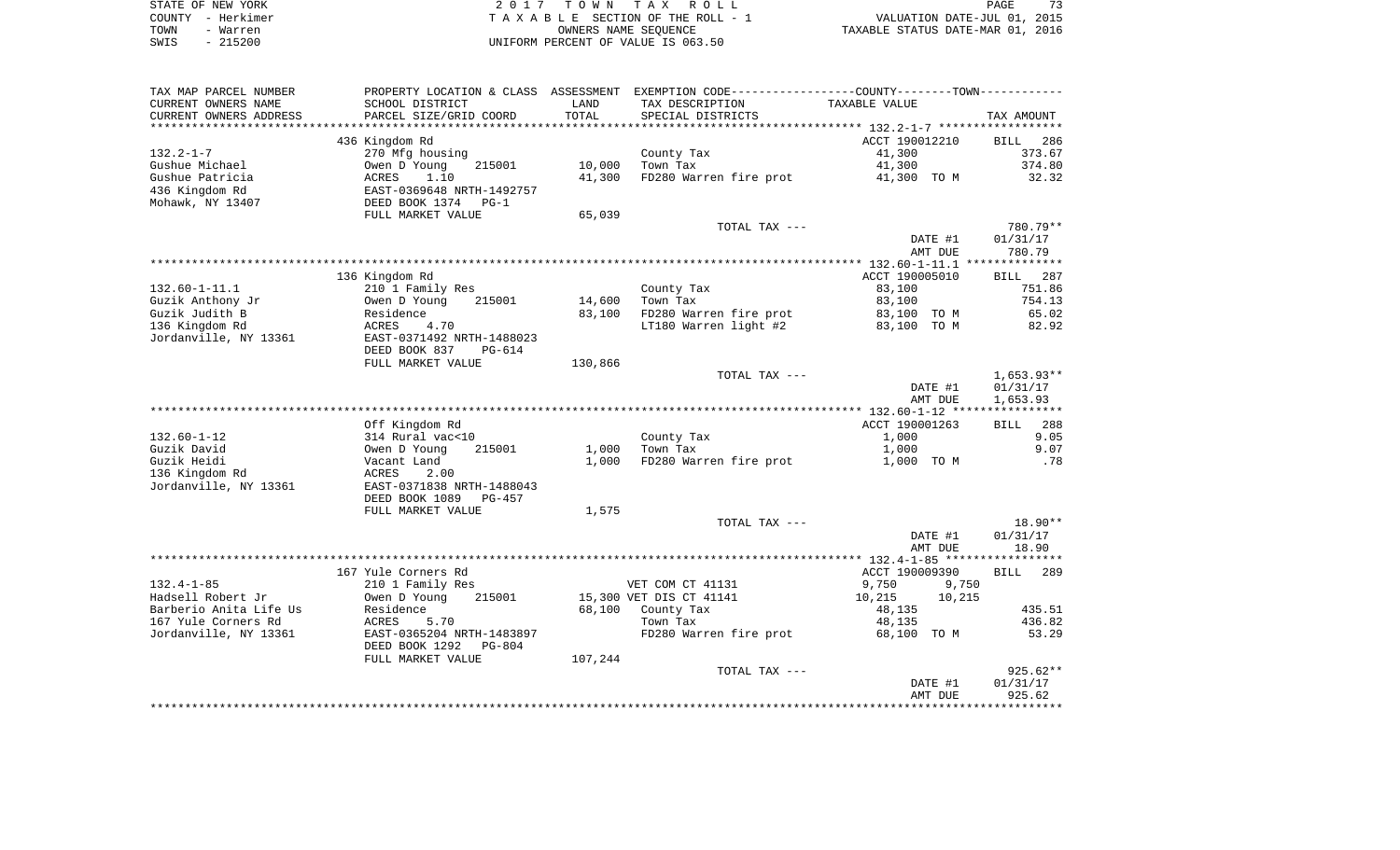| STATE OF NEW YORK | 2017 TOWN TAX ROLL                 | PAGE                             |
|-------------------|------------------------------------|----------------------------------|
| COUNTY - Herkimer | TAXABLE SECTION OF THE ROLL - 1    | VALUATION DATE-JUL 01, 2015      |
| TOWN<br>- Warren  | OWNERS NAME SEOUENCE               | TAXABLE STATUS DATE-MAR 01, 2016 |
| $-215200$<br>SWIS | UNIFORM PERCENT OF VALUE IS 063.50 |                                  |

| TAX MAP PARCEL NUMBER  |                                              |         | PROPERTY LOCATION & CLASS ASSESSMENT EXEMPTION CODE---------------COUNTY-------TOWN---------- |                  |             |
|------------------------|----------------------------------------------|---------|-----------------------------------------------------------------------------------------------|------------------|-------------|
| CURRENT OWNERS NAME    | SCHOOL DISTRICT                              | LAND    | TAX DESCRIPTION                                                                               | TAXABLE VALUE    |             |
| CURRENT OWNERS ADDRESS | PARCEL SIZE/GRID COORD                       | TOTAL   | SPECIAL DISTRICTS                                                                             |                  | TAX AMOUNT  |
| *****************      | **************************                   |         |                                                                                               |                  |             |
|                        | 436 Kingdom Rd                               |         |                                                                                               | ACCT 190012210   | BILL<br>286 |
| $132.2 - 1 - 7$        | 270 Mfg housing                              |         | County Tax                                                                                    | 41,300           | 373.67      |
| Gushue Michael         | 215001<br>Owen D Young                       | 10,000  | Town Tax                                                                                      | 41,300           | 374.80      |
| Gushue Patricia        | ACRES 1.10<br>EAST-0369648 NRTH-1492757      | 41,300  | FD280 Warren fire prot                                                                        | 41,300 TO M      | 32.32       |
| 436 Kingdom Rd         |                                              |         |                                                                                               |                  |             |
| Mohawk, NY 13407       | DEED BOOK 1374 PG-1                          |         |                                                                                               |                  |             |
|                        | FULL MARKET VALUE                            | 65,039  |                                                                                               |                  |             |
|                        |                                              |         | TOTAL TAX ---                                                                                 |                  | 780.79**    |
|                        |                                              |         |                                                                                               | DATE #1          | 01/31/17    |
|                        |                                              |         |                                                                                               | AMT DUE          | 780.79      |
|                        |                                              |         |                                                                                               |                  |             |
|                        | 136 Kingdom Rd                               |         |                                                                                               | ACCT 190005010   | BILL<br>287 |
| 132.60-1-11.1          | 210 1 Family Res                             |         | County Tax                                                                                    | 83,100           | 751.86      |
| Guzik Anthony Jr       | Owen D Young<br>215001                       | 14,600  | Town Tax                                                                                      | 83,100           | 754.13      |
| Guzik Judith B         | Residence                                    | 83,100  | FD280 Warren fire prot                                                                        | 83,100 TO M      | 65.02       |
| 136 Kingdom Rd         | ACRES<br>4.70                                |         | LT180 Warren light #2                                                                         | 83,100 TO M      | 82.92       |
| Jordanville, NY 13361  | EAST-0371492 NRTH-1488023                    |         |                                                                                               |                  |             |
|                        | DEED BOOK 837<br>PG-614<br>FULL MARKET VALUE | 130,866 |                                                                                               |                  |             |
|                        |                                              |         | TOTAL TAX ---                                                                                 |                  | 1,653.93**  |
|                        |                                              |         |                                                                                               | DATE #1          | 01/31/17    |
|                        |                                              |         |                                                                                               | AMT DUE          | 1,653.93    |
|                        |                                              |         |                                                                                               |                  |             |
|                        | Off Kingdom Rd                               |         |                                                                                               | ACCT 190001263   | BILL 288    |
| 132.60-1-12            | 314 Rural vac<10                             |         | County Tax                                                                                    | 1,000            | 9.05        |
| Guzik David            | 215001<br>Owen D Young                       | 1,000   | Town Tax                                                                                      | 1,000            | 9.07        |
| Guzik Heidi            | Vacant Land                                  | 1,000   | FD280 Warren fire prot                                                                        | 1,000 TO M       | .78         |
| 136 Kingdom Rd         | ACRES<br>2.00                                |         |                                                                                               |                  |             |
| Jordanville, NY 13361  | EAST-0371838 NRTH-1488043                    |         |                                                                                               |                  |             |
|                        | DEED BOOK 1089<br>PG-457                     |         |                                                                                               |                  |             |
|                        | FULL MARKET VALUE                            | 1,575   |                                                                                               |                  |             |
|                        |                                              |         | TOTAL TAX ---                                                                                 |                  | 18.90**     |
|                        |                                              |         |                                                                                               | DATE #1          | 01/31/17    |
|                        |                                              |         |                                                                                               | AMT DUE          | 18.90       |
|                        |                                              |         |                                                                                               |                  |             |
|                        | 167 Yule Corners Rd                          |         |                                                                                               | ACCT 190009390   | BILL 289    |
| $132.4 - 1 - 85$       | 210 1 Family Res                             |         | VET COM CT 41131                                                                              | 9,750<br>9,750   |             |
| Hadsell Robert Jr      | 215001<br>Owen D Young                       |         | 15,300 VET DIS CT 41141                                                                       | 10,215<br>10,215 |             |
| Barberio Anita Life Us | Residence                                    |         | 68,100 County Tax                                                                             | 48,135           | 435.51      |
| 167 Yule Corners Rd    | ACRES<br>5.70                                |         | Town Tax                                                                                      | 48,135           | 436.82      |
| Jordanville, NY 13361  | EAST-0365204 NRTH-1483897                    |         | FD280 Warren fire prot                                                                        | 68,100 TO M      | 53.29       |
|                        | DEED BOOK 1292<br>PG-804                     |         |                                                                                               |                  |             |
|                        | FULL MARKET VALUE                            | 107,244 |                                                                                               |                  |             |
|                        |                                              |         | TOTAL TAX ---                                                                                 |                  | $925.62**$  |
|                        |                                              |         |                                                                                               | DATE #1          | 01/31/17    |
|                        |                                              |         |                                                                                               | AMT DUE          | 925.62      |
|                        |                                              |         |                                                                                               |                  |             |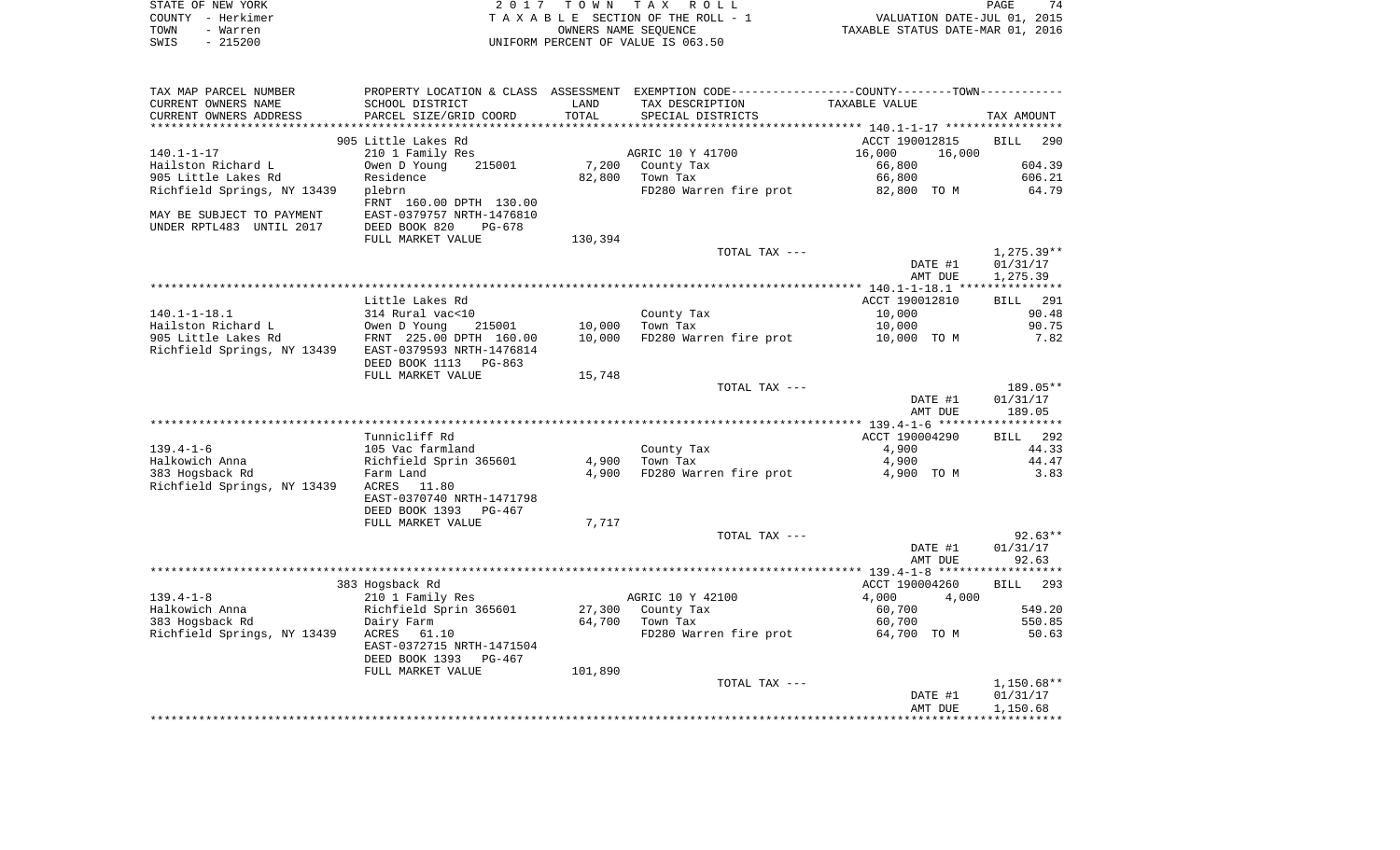| STATE OF NEW YORK                                | 2 0 1 7                                       | T O W N | T A X<br>ROLL                                                                                    |                                                                         | 74<br>PAGE         |
|--------------------------------------------------|-----------------------------------------------|---------|--------------------------------------------------------------------------------------------------|-------------------------------------------------------------------------|--------------------|
| COUNTY - Herkimer                                |                                               |         | TAXABLE SECTION OF THE ROLL - 1                                                                  | PAGE<br>VALUATION DATE-JUL 01, 2015<br>TAXABLE STATUS DATE-MAR 01, 2016 |                    |
| TOWN<br>- Warren                                 |                                               |         | OWNERS NAME SEQUENCE                                                                             |                                                                         |                    |
| SWIS<br>$-215200$                                |                                               |         | UNIFORM PERCENT OF VALUE IS 063.50                                                               |                                                                         |                    |
| TAX MAP PARCEL NUMBER                            |                                               |         | PROPERTY LOCATION & CLASS ASSESSMENT EXEMPTION CODE----------------COUNTY--------TOWN----------- |                                                                         |                    |
| CURRENT OWNERS NAME                              | SCHOOL DISTRICT                               | LAND    | TAX DESCRIPTION                                                                                  | TAXABLE VALUE                                                           |                    |
| CURRENT OWNERS ADDRESS<br>********************** | PARCEL SIZE/GRID COORD                        | TOTAL   | SPECIAL DISTRICTS                                                                                |                                                                         | TAX AMOUNT         |
|                                                  | 905 Little Lakes Rd                           |         |                                                                                                  | ACCT 190012815                                                          | <b>BILL</b><br>290 |
| $140.1 - 1 - 17$                                 | 210 1 Family Res                              |         | AGRIC 10 Y 41700                                                                                 | 16,000<br>16,000                                                        |                    |
| Hailston Richard L                               | Owen D Young<br>215001                        | 7,200   | County Tax                                                                                       | 66,800                                                                  | 604.39             |
| 905 Little Lakes Rd                              | Residence                                     | 82,800  | Town Tax                                                                                         | 66,800                                                                  | 606.21             |
| Richfield Springs, NY 13439                      | plebrn                                        |         | FD280 Warren fire prot                                                                           | 82,800 TO M                                                             | 64.79              |
|                                                  | FRNT 160.00 DPTH 130.00                       |         |                                                                                                  |                                                                         |                    |
| MAY BE SUBJECT TO PAYMENT                        | EAST-0379757 NRTH-1476810                     |         |                                                                                                  |                                                                         |                    |
| UNDER RPTL483 UNTIL 2017                         | DEED BOOK 820<br>PG-678                       |         |                                                                                                  |                                                                         |                    |
|                                                  | FULL MARKET VALUE                             | 130,394 | TOTAL TAX ---                                                                                    |                                                                         | $1,275.39**$       |
|                                                  |                                               |         |                                                                                                  | DATE #1                                                                 | 01/31/17           |
|                                                  |                                               |         |                                                                                                  | AMT DUE                                                                 | 1,275.39           |
|                                                  |                                               |         |                                                                                                  |                                                                         |                    |
|                                                  | Little Lakes Rd                               |         |                                                                                                  | ACCT 190012810                                                          | 291<br>BILL        |
| $140.1 - 1 - 18.1$                               | 314 Rural vac<10                              |         | County Tax                                                                                       | 10,000                                                                  | 90.48              |
| Hailston Richard L                               | Owen D Young<br>215001                        | 10,000  | Town Tax                                                                                         | 10,000                                                                  | 90.75              |
| 905 Little Lakes Rd                              | FRNT 225.00 DPTH 160.00                       | 10,000  | FD280 Warren fire prot                                                                           | 10,000 TO M                                                             | 7.82               |
| Richfield Springs, NY 13439                      | EAST-0379593 NRTH-1476814                     |         |                                                                                                  |                                                                         |                    |
|                                                  | DEED BOOK 1113<br>PG-863                      |         |                                                                                                  |                                                                         |                    |
|                                                  | FULL MARKET VALUE                             | 15,748  | TOTAL TAX ---                                                                                    |                                                                         | 189.05**           |
|                                                  |                                               |         |                                                                                                  | DATE #1                                                                 | 01/31/17           |
|                                                  |                                               |         |                                                                                                  | AMT DUE                                                                 | 189.05             |
|                                                  |                                               |         |                                                                                                  |                                                                         |                    |
|                                                  | Tunnicliff Rd                                 |         |                                                                                                  | ACCT 190004290                                                          | BILL 292           |
| $139.4 - 1 - 6$                                  | 105 Vac farmland                              |         | County Tax                                                                                       | 4,900                                                                   | 44.33              |
| Halkowich Anna                                   | Richfield Sprin 365601                        | 4,900   | Town Tax                                                                                         | 4,900                                                                   | 44.47              |
| 383 Hogsback Rd                                  | Farm Land                                     | 4,900   | FD280 Warren fire prot                                                                           | 4,900 TO M                                                              | 3.83               |
| Richfield Springs, NY 13439                      | ACRES 11.80                                   |         |                                                                                                  |                                                                         |                    |
|                                                  | EAST-0370740 NRTH-1471798                     |         |                                                                                                  |                                                                         |                    |
|                                                  | DEED BOOK 1393<br>PG-467                      | 7,717   |                                                                                                  |                                                                         |                    |
|                                                  | FULL MARKET VALUE                             |         | TOTAL TAX ---                                                                                    |                                                                         | $92.63**$          |
|                                                  |                                               |         |                                                                                                  | DATE #1                                                                 | 01/31/17           |
|                                                  |                                               |         |                                                                                                  | AMT DUE                                                                 | 92.63              |
|                                                  |                                               |         |                                                                                                  |                                                                         |                    |
|                                                  | 383 Hogsback Rd                               |         |                                                                                                  | ACCT 190004260                                                          | BILL 293           |
| $139.4 - 1 - 8$                                  | 210 1 Family Res                              |         | AGRIC 10 Y 42100                                                                                 | 4,000<br>4,000                                                          |                    |
| Halkowich Anna                                   | Richfield Sprin 365601                        | 27,300  | County Tax                                                                                       | 60,700                                                                  | 549.20             |
| 383 Hogsback Rd                                  | Dairy Farm                                    | 64,700  | Town Tax                                                                                         | 60,700                                                                  | 550.85             |
| Richfield Springs, NY 13439                      | ACRES<br>61.10                                |         | FD280 Warren fire prot                                                                           | 64,700 TO M                                                             | 50.63              |
|                                                  | EAST-0372715 NRTH-1471504                     |         |                                                                                                  |                                                                         |                    |
|                                                  | DEED BOOK 1393<br>PG-467<br>FULL MARKET VALUE | 101,890 |                                                                                                  |                                                                         |                    |
|                                                  |                                               |         | TOTAL TAX ---                                                                                    |                                                                         | 1,150.68**         |
|                                                  |                                               |         |                                                                                                  | DATE #1                                                                 | 01/31/17           |
|                                                  |                                               |         |                                                                                                  | AMT DUE                                                                 | 1,150.68           |
|                                                  |                                               |         |                                                                                                  |                                                                         |                    |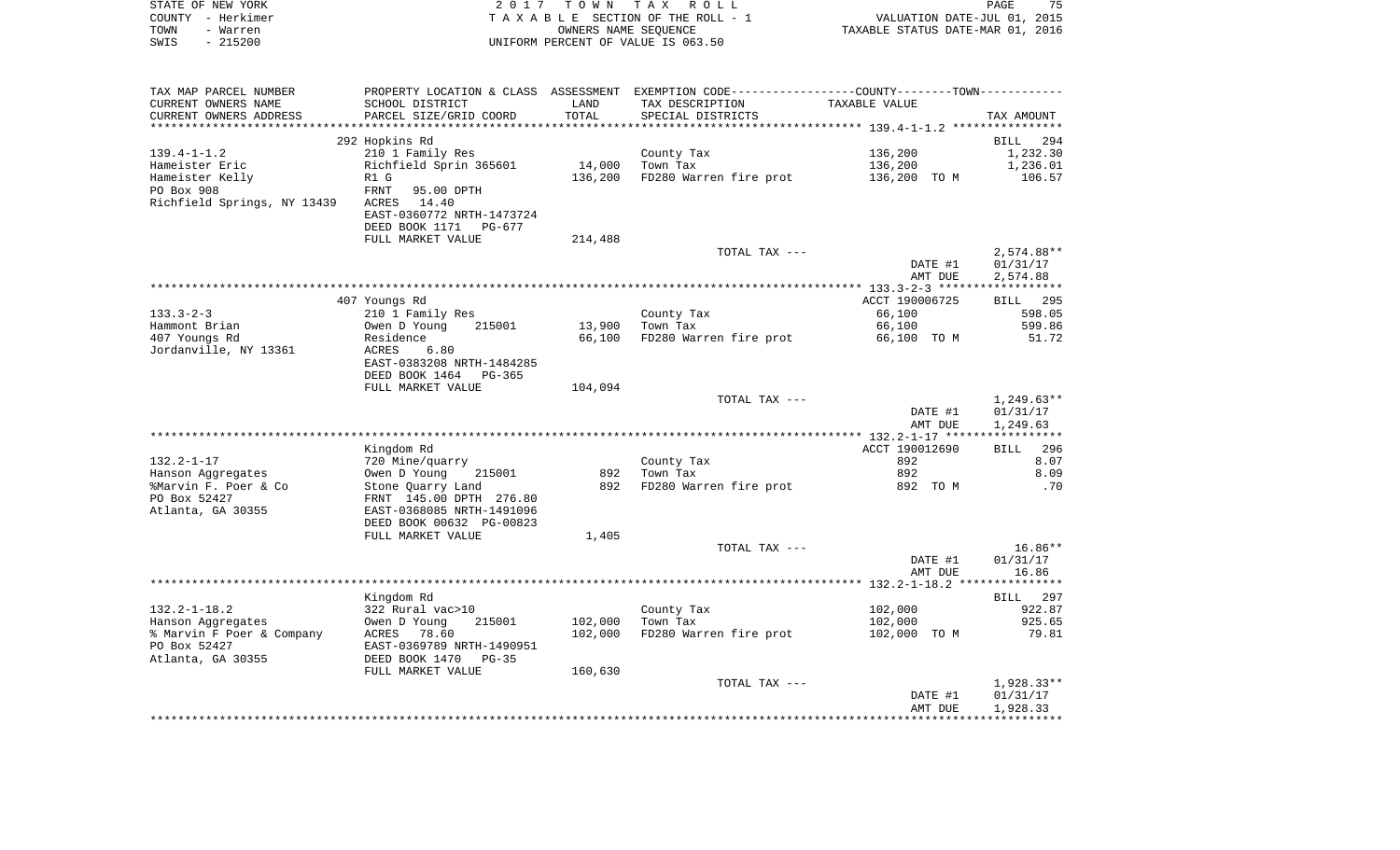| STATE OF NEW YORK                                                                                                                                                                                                                                       |                                                                                                                                                                                 |         |                                                                                                                                                                                                                                                                                                                                                         |                |              |
|---------------------------------------------------------------------------------------------------------------------------------------------------------------------------------------------------------------------------------------------------------|---------------------------------------------------------------------------------------------------------------------------------------------------------------------------------|---------|---------------------------------------------------------------------------------------------------------------------------------------------------------------------------------------------------------------------------------------------------------------------------------------------------------------------------------------------------------|----------------|--------------|
| COUNTY - Herkimer                                                                                                                                                                                                                                       |                                                                                                                                                                                 |         | $\begin{tabular}{cccccc} $\textbf{2}\  \  \, 0\  \  \, 1\  \  \, $7\quad \  \, $T\  \  \, 0\  \  \, $M$ & $\textbf{3}\  \  \, $T\  \  \, $A\  \  \, $B\  \  \, $E\  \  \, $SECTION\  \  \, $T\  \  \, $A\  \  \, $B\  \  \, $E\  \  \, $SECTION\  \  \, $T\  \  \, $M$ & $\textbf{5}\  \  \, $C\  \  \, $C\  \  \, $C\  \  \, $C\  \  \, $C\  \  \, $C$ |                |              |
| TOWN - Warren                                                                                                                                                                                                                                           |                                                                                                                                                                                 |         |                                                                                                                                                                                                                                                                                                                                                         |                |              |
| $-215200$<br>SWIS                                                                                                                                                                                                                                       |                                                                                                                                                                                 |         | UNIFORM PERCENT OF VALUE IS 063.50                                                                                                                                                                                                                                                                                                                      |                |              |
|                                                                                                                                                                                                                                                         |                                                                                                                                                                                 |         |                                                                                                                                                                                                                                                                                                                                                         |                |              |
| TAX MAP PARCEL NUMBER                                                                                                                                                                                                                                   | PROPERTY LOCATION & CLASS ASSESSMENT EXEMPTION CODE----------------COUNTY--------TOWN----------                                                                                 |         |                                                                                                                                                                                                                                                                                                                                                         |                |              |
| CURRENT OWNERS NAME                                                                                                                                                                                                                                     | SCHOOL DISTRICT                                                                                                                                                                 | LAND    | TAX DESCRIPTION TAXABLE VALUE                                                                                                                                                                                                                                                                                                                           |                |              |
| CURRENT OWNERS ADDRESS                                                                                                                                                                                                                                  | PARCEL SIZE/GRID COORD                                                                                                                                                          | TOTAL   | SPECIAL DISTRICTS                                                                                                                                                                                                                                                                                                                                       |                | TAX AMOUNT   |
|                                                                                                                                                                                                                                                         |                                                                                                                                                                                 |         |                                                                                                                                                                                                                                                                                                                                                         |                |              |
|                                                                                                                                                                                                                                                         | 292 Hopkins Rd                                                                                                                                                                  |         |                                                                                                                                                                                                                                                                                                                                                         |                | BILL 294     |
| 139.4-1-1.2                                                                                                                                                                                                                                             | 210 1 Family Res                                                                                                                                                                |         | County Tax<br>14,000 Town Tax                                                                                                                                                                                                                                                                                                                           | 136,200        | 1,232.30     |
|                                                                                                                                                                                                                                                         |                                                                                                                                                                                 |         | FD280 Warren fire prot 136,200 TO M 106.57                                                                                                                                                                                                                                                                                                              | 136,200        | 1,236.01     |
|                                                                                                                                                                                                                                                         |                                                                                                                                                                                 | 136,200 |                                                                                                                                                                                                                                                                                                                                                         |                |              |
| Richfield Springs, NY 13439 ACRES 14.40                                                                                                                                                                                                                 |                                                                                                                                                                                 |         |                                                                                                                                                                                                                                                                                                                                                         |                |              |
|                                                                                                                                                                                                                                                         | EAST-0360772 NRTH-1473724                                                                                                                                                       |         |                                                                                                                                                                                                                                                                                                                                                         |                |              |
|                                                                                                                                                                                                                                                         | DEED BOOK 1171 PG-677                                                                                                                                                           |         |                                                                                                                                                                                                                                                                                                                                                         |                |              |
|                                                                                                                                                                                                                                                         | FULL MARKET VALUE                                                                                                                                                               | 214,488 |                                                                                                                                                                                                                                                                                                                                                         |                |              |
|                                                                                                                                                                                                                                                         |                                                                                                                                                                                 |         | TOTAL TAX ---                                                                                                                                                                                                                                                                                                                                           |                | $2,574.88**$ |
|                                                                                                                                                                                                                                                         |                                                                                                                                                                                 |         |                                                                                                                                                                                                                                                                                                                                                         | DATE #1        | 01/31/17     |
|                                                                                                                                                                                                                                                         |                                                                                                                                                                                 |         |                                                                                                                                                                                                                                                                                                                                                         | AMT DUE        | 2,574.88     |
|                                                                                                                                                                                                                                                         |                                                                                                                                                                                 |         |                                                                                                                                                                                                                                                                                                                                                         |                |              |
|                                                                                                                                                                                                                                                         | 407 Youngs Rd                                                                                                                                                                   |         |                                                                                                                                                                                                                                                                                                                                                         | ACCT 190006725 | BILL 295     |
| $133.3 - 2 - 3$                                                                                                                                                                                                                                         | 210 1 Family Res                                                                                                                                                                |         | County Tax<br>Town Tax                                                                                                                                                                                                                                                                                                                                  | 66,100         | 598.05       |
| Hammont Brian<br>407 Youngs Rd                                                                                                                                                                                                                          | 215001<br>Owen D Young                                                                                                                                                          | 13,900  |                                                                                                                                                                                                                                                                                                                                                         | 66,100         | 599.86       |
| 407 Youngs Rd                                                                                                                                                                                                                                           | Residence                                                                                                                                                                       | 66,100  | FD280 Warren fire prot 66,100 TO M                                                                                                                                                                                                                                                                                                                      |                | 51.72        |
| Jordanville, NY 13361                                                                                                                                                                                                                                   | ACRES 6.80                                                                                                                                                                      |         |                                                                                                                                                                                                                                                                                                                                                         |                |              |
|                                                                                                                                                                                                                                                         | EAST-0383208 NRTH-1484285                                                                                                                                                       |         |                                                                                                                                                                                                                                                                                                                                                         |                |              |
|                                                                                                                                                                                                                                                         | DEED BOOK 1464 PG-365                                                                                                                                                           |         |                                                                                                                                                                                                                                                                                                                                                         |                |              |
|                                                                                                                                                                                                                                                         | FULL MARKET VALUE                                                                                                                                                               | 104,094 |                                                                                                                                                                                                                                                                                                                                                         |                |              |
|                                                                                                                                                                                                                                                         |                                                                                                                                                                                 |         | TOTAL TAX ---                                                                                                                                                                                                                                                                                                                                           |                | $1,249.63**$ |
|                                                                                                                                                                                                                                                         |                                                                                                                                                                                 |         |                                                                                                                                                                                                                                                                                                                                                         | DATE #1        | 01/31/17     |
|                                                                                                                                                                                                                                                         |                                                                                                                                                                                 |         |                                                                                                                                                                                                                                                                                                                                                         | AMT DUE        | 1,249.63     |
|                                                                                                                                                                                                                                                         |                                                                                                                                                                                 |         |                                                                                                                                                                                                                                                                                                                                                         |                |              |
|                                                                                                                                                                                                                                                         | Kingdom Rd                                                                                                                                                                      |         |                                                                                                                                                                                                                                                                                                                                                         | ACCT 190012690 | BILL 296     |
| $132.2 - 1 - 17$<br>Hanson Aggregates                                                                                                                                                                                                                   | Tripsom national metropology<br>720 Mine/quarry<br>0wen D Young 215001<br>Stone Quarry Land<br>FRNT 145.00 DPTH 276.80<br>EAST-0368085 NRTH-1491096<br>DEED BOOK 00632 PG-00823 | 892     | County Tax<br>Town Tax                                                                                                                                                                                                                                                                                                                                  | 892<br>892     | 8.07<br>8.09 |
| %Marvin F. Poer & Co                                                                                                                                                                                                                                    |                                                                                                                                                                                 |         | 892 FD280 Warren fire prot                                                                                                                                                                                                                                                                                                                              | 892 TO M       | .70          |
| PO Box 52427                                                                                                                                                                                                                                            |                                                                                                                                                                                 |         |                                                                                                                                                                                                                                                                                                                                                         |                |              |
| Atlanta, GA 30355                                                                                                                                                                                                                                       |                                                                                                                                                                                 |         |                                                                                                                                                                                                                                                                                                                                                         |                |              |
|                                                                                                                                                                                                                                                         |                                                                                                                                                                                 |         |                                                                                                                                                                                                                                                                                                                                                         |                |              |
|                                                                                                                                                                                                                                                         | FULL MARKET VALUE                                                                                                                                                               | 1,405   |                                                                                                                                                                                                                                                                                                                                                         |                |              |
|                                                                                                                                                                                                                                                         |                                                                                                                                                                                 |         | TOTAL TAX ---                                                                                                                                                                                                                                                                                                                                           |                | 16.86**      |
|                                                                                                                                                                                                                                                         |                                                                                                                                                                                 |         |                                                                                                                                                                                                                                                                                                                                                         | DATE #1        | 01/31/17     |
|                                                                                                                                                                                                                                                         |                                                                                                                                                                                 |         |                                                                                                                                                                                                                                                                                                                                                         | AMT DUE        | 16.86        |
|                                                                                                                                                                                                                                                         |                                                                                                                                                                                 |         |                                                                                                                                                                                                                                                                                                                                                         |                |              |
|                                                                                                                                                                                                                                                         | Kingdom Rd                                                                                                                                                                      |         |                                                                                                                                                                                                                                                                                                                                                         |                | BILL 297     |
|                                                                                                                                                                                                                                                         |                                                                                                                                                                                 |         |                                                                                                                                                                                                                                                                                                                                                         | 102,000        | 922.87       |
|                                                                                                                                                                                                                                                         |                                                                                                                                                                                 | 102,000 | County Tax<br>Town Tax<br>Town Tax                                                                                                                                                                                                                                                                                                                      | 102,000        | 925.65       |
|                                                                                                                                                                                                                                                         |                                                                                                                                                                                 | 102,000 | FD280 Warren fire prot 102,000 TO M                                                                                                                                                                                                                                                                                                                     |                | 79.81        |
|                                                                                                                                                                                                                                                         |                                                                                                                                                                                 |         |                                                                                                                                                                                                                                                                                                                                                         |                |              |
|                                                                                                                                                                                                                                                         |                                                                                                                                                                                 |         |                                                                                                                                                                                                                                                                                                                                                         |                |              |
| 132.2-1-18.2<br>Hanson Aggregates<br>* Marvin F Poer & Company<br>78.60<br>79 Box 52427<br>78.60<br>79 Box 52427<br>79 BAST-0369789 NRTH-1490951<br>79 BAST-0369789 NRTH-1490951<br>79 BEED BOOK 1470<br>79-35<br>79 DEED BOOK 1470<br>79-35<br>79 FULL |                                                                                                                                                                                 | 160,630 |                                                                                                                                                                                                                                                                                                                                                         |                |              |
|                                                                                                                                                                                                                                                         |                                                                                                                                                                                 |         | TOTAL TAX ---                                                                                                                                                                                                                                                                                                                                           |                | $1,928.33**$ |
|                                                                                                                                                                                                                                                         |                                                                                                                                                                                 |         |                                                                                                                                                                                                                                                                                                                                                         | DATE #1        | 01/31/17     |
|                                                                                                                                                                                                                                                         |                                                                                                                                                                                 |         |                                                                                                                                                                                                                                                                                                                                                         | AMT DUE        | 1,928.33     |
|                                                                                                                                                                                                                                                         |                                                                                                                                                                                 |         |                                                                                                                                                                                                                                                                                                                                                         |                |              |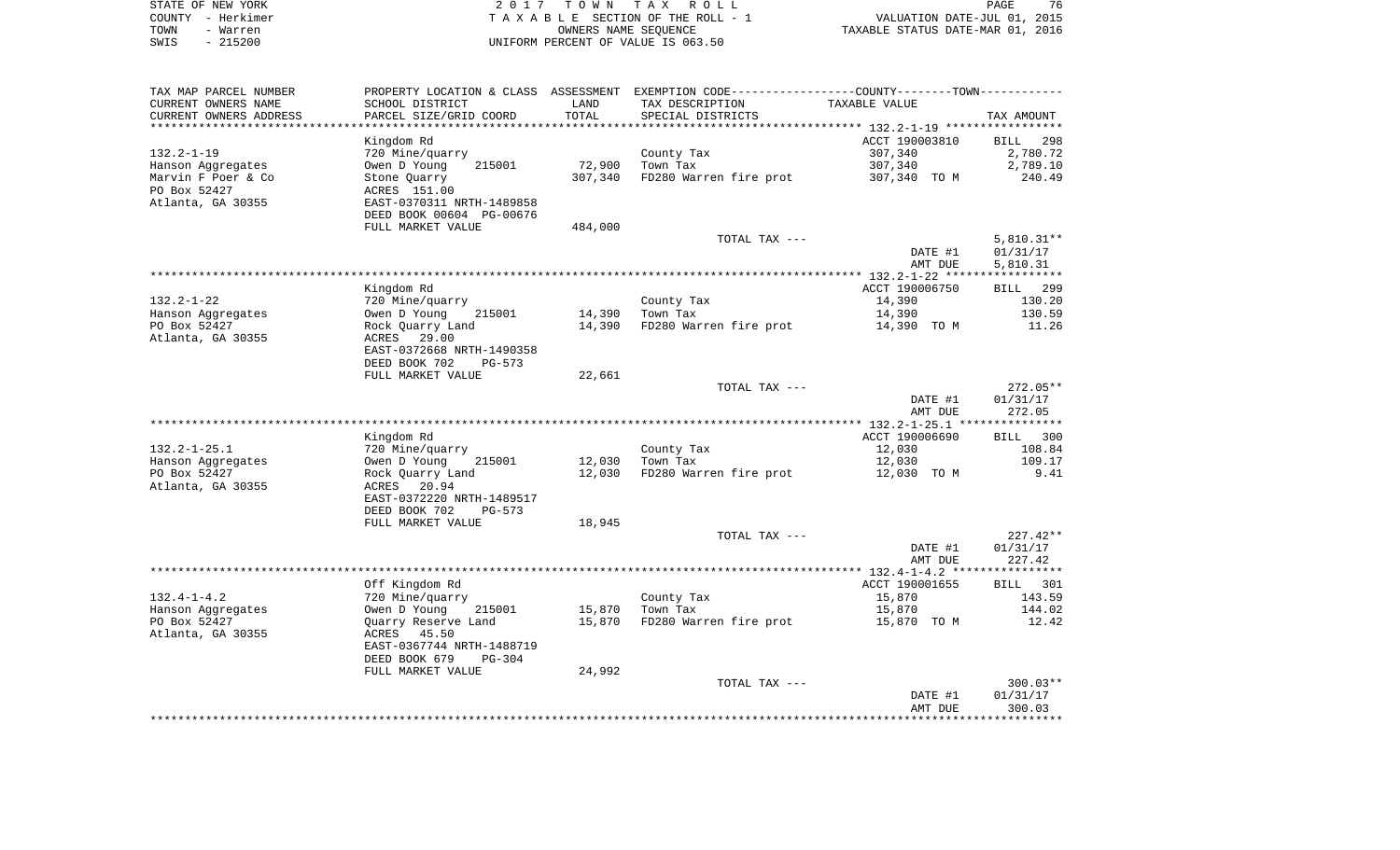| STATE OF NEW YORK | 2017 TOWN TAX ROLL                 | 76<br>PAGE                       |
|-------------------|------------------------------------|----------------------------------|
| COUNTY - Herkimer | TAXABLE SECTION OF THE ROLL - 1    | VALUATION DATE-JUL 01, 2015      |
| TOWN<br>- Warren  | OWNERS NAME SEOUENCE               | TAXABLE STATUS DATE-MAR 01, 2016 |
| $-215200$<br>SWIS | UNIFORM PERCENT OF VALUE IS 063.50 |                                  |

| TAX MAP PARCEL NUMBER  |                           |         | PROPERTY LOCATION & CLASS ASSESSMENT EXEMPTION CODE---------------COUNTY-------TOWN---------- |                |              |
|------------------------|---------------------------|---------|-----------------------------------------------------------------------------------------------|----------------|--------------|
| CURRENT OWNERS NAME    | SCHOOL DISTRICT           | LAND    | TAX DESCRIPTION                                                                               | TAXABLE VALUE  |              |
| CURRENT OWNERS ADDRESS | PARCEL SIZE/GRID COORD    | TOTAL   | SPECIAL DISTRICTS                                                                             |                | TAX AMOUNT   |
|                        |                           |         |                                                                                               |                |              |
|                        | Kingdom Rd                |         |                                                                                               | ACCT 190003810 | BILL 298     |
| 132.2-1-19             | 720 Mine/quarry           |         | County Tax                                                                                    | 307,340        | 2,780.72     |
| Hanson Aqqreqates      | Owen D Young<br>215001    | 72,900  | Town Tax                                                                                      | 307,340        | 2,789.10     |
| Marvin F Poer & Co     | Stone Quarry              | 307,340 | FD280 Warren fire prot                                                                        | 307,340 TO M   | 240.49       |
| PO Box 52427           | ACRES 151.00              |         |                                                                                               |                |              |
| Atlanta, GA 30355      | EAST-0370311 NRTH-1489858 |         |                                                                                               |                |              |
|                        | DEED BOOK 00604 PG-00676  |         |                                                                                               |                |              |
|                        | FULL MARKET VALUE         | 484,000 |                                                                                               |                |              |
|                        |                           |         | TOTAL TAX ---                                                                                 |                | $5,810.31**$ |
|                        |                           |         |                                                                                               | DATE #1        | 01/31/17     |
|                        |                           |         |                                                                                               | AMT DUE        | 5,810.31     |
|                        |                           |         |                                                                                               |                |              |
|                        | Kingdom Rd                |         |                                                                                               | ACCT 190006750 | BILL 299     |
| 132.2-1-22             | 720 Mine/quarry           |         | County Tax                                                                                    | 14,390         | 130.20       |
| Hanson Aqqreqates      | Owen D Young<br>215001    | 14,390  | Town Tax                                                                                      | 14,390         | 130.59       |
| PO Box 52427           | Rock Quarry Land          | 14,390  | FD280 Warren fire prot                                                                        | 14,390 TO M    | 11.26        |
| Atlanta, GA 30355      | ACRES 29.00               |         |                                                                                               |                |              |
|                        | EAST-0372668 NRTH-1490358 |         |                                                                                               |                |              |
|                        | DEED BOOK 702<br>PG-573   |         |                                                                                               |                |              |
|                        | FULL MARKET VALUE         | 22,661  |                                                                                               |                |              |
|                        |                           |         | TOTAL TAX ---                                                                                 |                | 272.05**     |
|                        |                           |         |                                                                                               | DATE #1        | 01/31/17     |
|                        |                           |         |                                                                                               | AMT DUE        | 272.05       |
|                        |                           |         |                                                                                               |                |              |
|                        |                           |         |                                                                                               |                |              |
|                        | Kingdom Rd                |         |                                                                                               | ACCT 190006690 | BILL 300     |
| $132.2 - 1 - 25.1$     | 720 Mine/quarry           |         | County Tax                                                                                    | 12,030         | 108.84       |
| Hanson Aggregates      | Owen D Young<br>215001    | 12,030  | Town Tax                                                                                      | 12,030         | 109.17       |
| PO Box 52427           | Rock Quarry Land          | 12,030  | FD280 Warren fire prot                                                                        | 12,030 TO M    | 9.41         |
| Atlanta, GA 30355      | ACRES 20.94               |         |                                                                                               |                |              |
|                        | EAST-0372220 NRTH-1489517 |         |                                                                                               |                |              |
|                        | DEED BOOK 702<br>PG-573   |         |                                                                                               |                |              |
|                        | FULL MARKET VALUE         | 18,945  |                                                                                               |                |              |
|                        |                           |         | TOTAL TAX ---                                                                                 |                | $227.42**$   |
|                        |                           |         |                                                                                               | DATE #1        | 01/31/17     |
|                        |                           |         |                                                                                               | AMT DUE        | 227.42       |
|                        |                           |         |                                                                                               |                |              |
|                        | Off Kingdom Rd            |         |                                                                                               | ACCT 190001655 | BILL 301     |
| $132.4 - 1 - 4.2$      | 720 Mine/quarry           |         | County Tax                                                                                    | 15,870         | 143.59       |
| Hanson Aggregates      | Owen D Young<br>215001    | 15,870  | Town Tax                                                                                      | 15,870         | 144.02       |
| PO Box 52427           | Quarry Reserve Land       | 15,870  | FD280 Warren fire prot                                                                        | 15,870 TO M    | 12.42        |
| Atlanta, GA 30355      | ACRES<br>45.50            |         |                                                                                               |                |              |
|                        | EAST-0367744 NRTH-1488719 |         |                                                                                               |                |              |
|                        | DEED BOOK 679<br>PG-304   |         |                                                                                               |                |              |
|                        | FULL MARKET VALUE         | 24,992  |                                                                                               |                |              |
|                        |                           |         | TOTAL TAX ---                                                                                 |                | $300.03**$   |
|                        |                           |         |                                                                                               | DATE #1        | 01/31/17     |
|                        |                           |         |                                                                                               | AMT DUE        | 300.03       |
|                        |                           |         |                                                                                               |                |              |
|                        |                           |         |                                                                                               |                |              |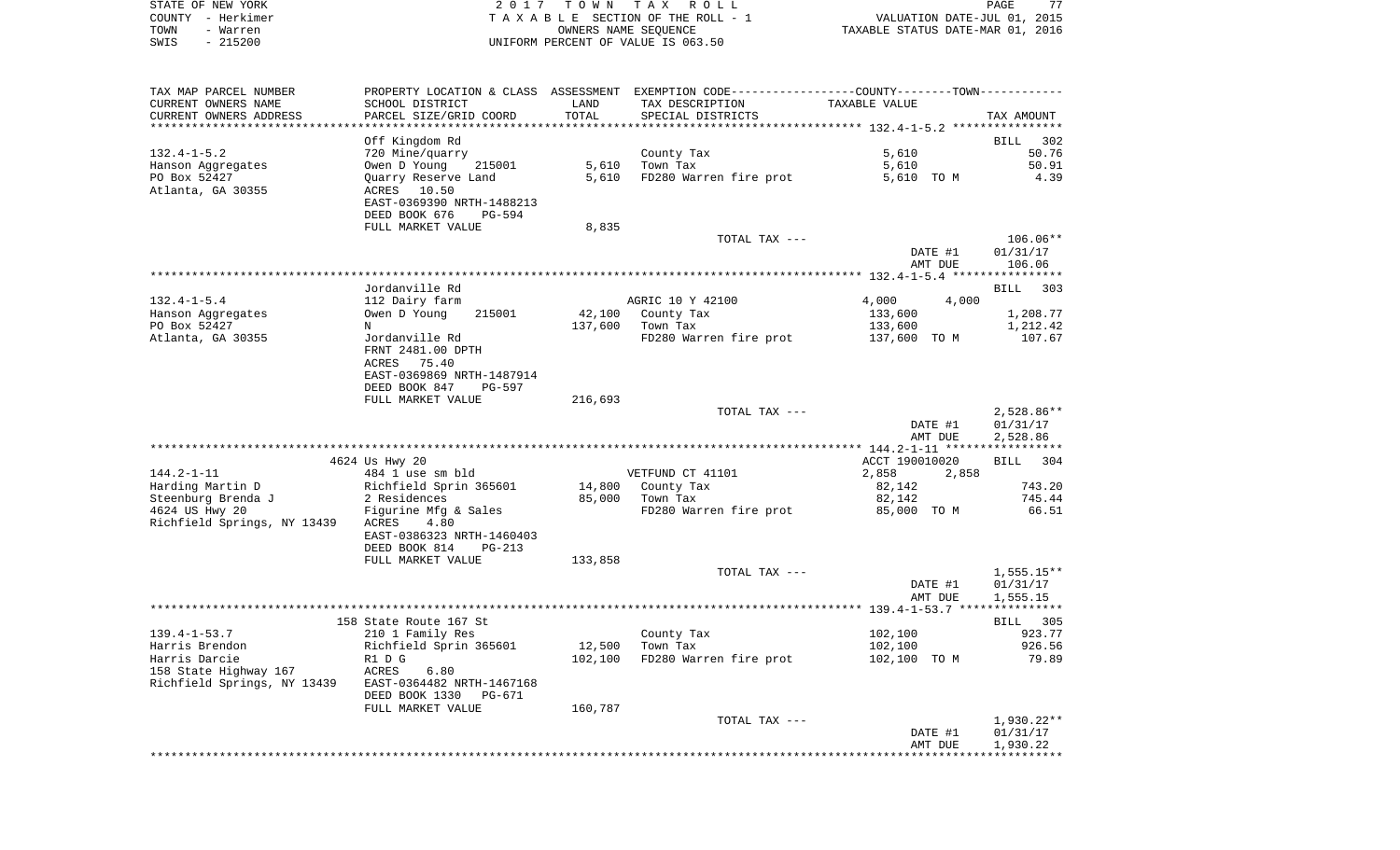|      | STATE OF NEW YORK | 2017 TOWN TAX ROLL                    | 77<br>PAGE                       |  |
|------|-------------------|---------------------------------------|----------------------------------|--|
|      | COUNTY - Herkimer | T A X A B L E SECTION OF THE ROLL - 1 | VALUATION DATE-JUL 01, 2015      |  |
| TOWN | - Warren          | OWNERS NAME SEOUENCE                  | TAXABLE STATUS DATE-MAR 01, 2016 |  |
| SWIS | $-215200$         | UNIFORM PERCENT OF VALUE IS 063.50    |                                  |  |

| TAX MAP PARCEL NUMBER<br>CURRENT OWNERS NAME         | SCHOOL DISTRICT                                                                    | LAND    | PROPERTY LOCATION & CLASS ASSESSMENT EXEMPTION CODE----------------COUNTY--------TOWN-----------<br>TAX DESCRIPTION | TAXABLE VALUE      |                                      |
|------------------------------------------------------|------------------------------------------------------------------------------------|---------|---------------------------------------------------------------------------------------------------------------------|--------------------|--------------------------------------|
| CURRENT OWNERS ADDRESS                               | PARCEL SIZE/GRID COORD                                                             | TOTAL   | SPECIAL DISTRICTS                                                                                                   |                    | TAX AMOUNT                           |
|                                                      | Off Kingdom Rd                                                                     |         |                                                                                                                     |                    | 302<br>BILL                          |
| $132.4 - 1 - 5.2$                                    | 720 Mine/quarry                                                                    |         | County Tax                                                                                                          | 5,610              | 50.76                                |
| Hanson Aggregates                                    | Owen D Young<br>215001                                                             | 5,610   | Town Tax                                                                                                            | 5,610              | 50.91                                |
| PO Box 52427                                         | Quarry Reserve Land                                                                | 5,610   | FD280 Warren fire prot                                                                                              | 5,610 TO M         | 4.39                                 |
| Atlanta, GA 30355                                    | ACRES<br>10.50<br>EAST-0369390 NRTH-1488213<br>DEED BOOK 676<br>$PG-594$           |         |                                                                                                                     |                    |                                      |
|                                                      | FULL MARKET VALUE                                                                  | 8,835   |                                                                                                                     |                    |                                      |
|                                                      |                                                                                    |         | TOTAL TAX ---                                                                                                       | DATE #1<br>AMT DUE | $106.06**$<br>01/31/17<br>106.06     |
|                                                      |                                                                                    |         |                                                                                                                     |                    |                                      |
|                                                      | Jordanville Rd                                                                     |         |                                                                                                                     |                    | <b>BILL</b><br>303                   |
| $132.4 - 1 - 5.4$                                    | 112 Dairy farm                                                                     |         | AGRIC 10 Y 42100                                                                                                    | 4,000<br>4,000     |                                      |
| Hanson Aggregates                                    | Owen D Young<br>215001                                                             | 42,100  | County Tax                                                                                                          | 133,600            | 1,208.77                             |
| PO Box 52427                                         | N                                                                                  | 137,600 | Town Tax                                                                                                            | 133,600            | 1,212.42                             |
| Atlanta, GA 30355                                    | Jordanville Rd<br>FRNT 2481.00 DPTH<br>75.40<br>ACRES<br>EAST-0369869 NRTH-1487914 |         | FD280 Warren fire prot                                                                                              | 137,600 TO M       | 107.67                               |
|                                                      | DEED BOOK 847<br>PG-597                                                            |         |                                                                                                                     |                    |                                      |
|                                                      | FULL MARKET VALUE                                                                  | 216,693 |                                                                                                                     |                    |                                      |
|                                                      |                                                                                    |         | TOTAL TAX ---                                                                                                       | DATE #1<br>AMT DUE | $2,528.86**$<br>01/31/17<br>2,528.86 |
|                                                      |                                                                                    |         |                                                                                                                     |                    |                                      |
|                                                      | 4624 Us Hwy 20                                                                     |         |                                                                                                                     | ACCT 190010020     | <b>BILL</b><br>304                   |
| $144.2 - 1 - 11$<br>Harding Martin D                 | 484 1 use sm bld<br>Richfield Sprin 365601                                         | 14,800  | VETFUND CT 41101<br>County Tax                                                                                      | 2,858<br>2,858     | 743.20                               |
| Steenburg Brenda J                                   | 2 Residences                                                                       | 85,000  | Town Tax                                                                                                            | 82,142<br>82,142   | 745.44                               |
| 4624 US Hwy 20                                       | Figurine Mfg & Sales                                                               |         | FD280 Warren fire prot                                                                                              | 85,000 TO M        | 66.51                                |
| Richfield Springs, NY 13439                          | ACRES<br>4.80<br>EAST-0386323 NRTH-1460403<br>DEED BOOK 814<br>$PG-213$            |         |                                                                                                                     |                    |                                      |
|                                                      | FULL MARKET VALUE                                                                  | 133,858 |                                                                                                                     |                    |                                      |
|                                                      |                                                                                    |         | TOTAL TAX ---                                                                                                       |                    | $1,555.15**$                         |
|                                                      |                                                                                    |         |                                                                                                                     | DATE #1            | 01/31/17                             |
|                                                      |                                                                                    |         |                                                                                                                     | AMT DUE            | 1,555.15                             |
|                                                      | 158 State Route 167 St                                                             |         |                                                                                                                     |                    | <b>BILL</b> 305                      |
| $139.4 - 1 - 53.7$                                   | 210 1 Family Res                                                                   |         | County Tax                                                                                                          | 102,100            | 923.77                               |
| Harris Brendon                                       | Richfield Sprin 365601                                                             | 12,500  | Town Tax                                                                                                            | 102,100            | 926.56                               |
| Harris Darcie                                        | R1 D G                                                                             | 102,100 | FD280 Warren fire prot                                                                                              | 102,100 TO M       | 79.89                                |
| 158 State Highway 167<br>Richfield Springs, NY 13439 | ACRES<br>6.80<br>EAST-0364482 NRTH-1467168<br><b>PG-671</b>                        |         |                                                                                                                     |                    |                                      |
|                                                      | DEED BOOK 1330<br>FULL MARKET VALUE                                                | 160,787 |                                                                                                                     |                    |                                      |
|                                                      |                                                                                    |         | TOTAL TAX ---                                                                                                       |                    | 1,930.22**                           |
|                                                      |                                                                                    |         |                                                                                                                     | DATE #1<br>AMT DUE | 01/31/17<br>1,930.22                 |
|                                                      |                                                                                    |         |                                                                                                                     |                    |                                      |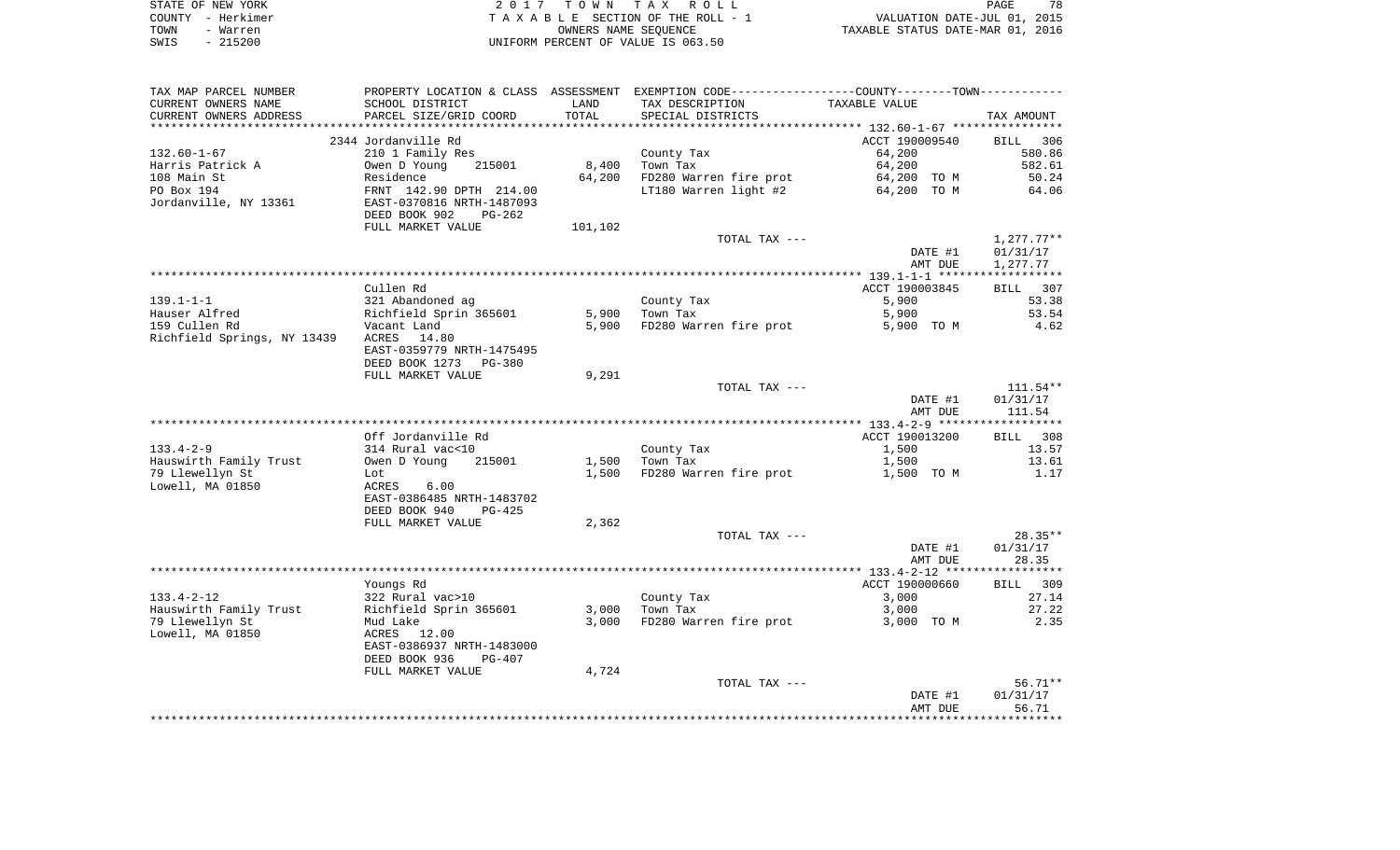| STATE OF NEW YORK | 2017 TOWN TAX ROLL                 | 78<br>PAGE                       |
|-------------------|------------------------------------|----------------------------------|
| COUNTY - Herkimer | TAXABLE SECTION OF THE ROLL - 1    | VALUATION DATE-JUL 01, 2015      |
| TOWN<br>- Warren  | OWNERS NAME SEOUENCE               | TAXABLE STATUS DATE-MAR 01, 2016 |
| $-215200$<br>SWIS | UNIFORM PERCENT OF VALUE IS 063.50 |                                  |

| TAX MAP PARCEL NUMBER       | PROPERTY LOCATION & CLASS ASSESSMENT EXEMPTION CODE----------------COUNTY--------TOWN---------- |         |                        |                |              |
|-----------------------------|-------------------------------------------------------------------------------------------------|---------|------------------------|----------------|--------------|
| CURRENT OWNERS NAME         | SCHOOL DISTRICT                                                                                 | LAND    | TAX DESCRIPTION        | TAXABLE VALUE  |              |
| CURRENT OWNERS ADDRESS      | PARCEL SIZE/GRID COORD                                                                          | TOTAL   | SPECIAL DISTRICTS      |                | TAX AMOUNT   |
|                             |                                                                                                 |         |                        |                |              |
|                             | 2344 Jordanville Rd                                                                             |         |                        | ACCT 190009540 | BILL 306     |
| $132.60 - 1 - 67$           | 210 1 Family Res                                                                                |         | County Tax             | 64,200         | 580.86       |
| Harris Patrick A            | 215001<br>Owen D Young                                                                          | 8,400   | Town Tax               | 64,200         | 582.61       |
| 108 Main St                 | Residence                                                                                       | 64,200  | FD280 Warren fire prot | 64,200 TO M    | 50.24        |
| PO Box 194                  | FRNT 142.90 DPTH 214.00                                                                         |         | LT180 Warren light #2  | 64,200 TO M    | 64.06        |
| Jordanville, NY 13361       | EAST-0370816 NRTH-1487093                                                                       |         |                        |                |              |
|                             | DEED BOOK 902<br>$PG-262$                                                                       |         |                        |                |              |
|                             | FULL MARKET VALUE                                                                               | 101,102 |                        |                |              |
|                             |                                                                                                 |         | TOTAL TAX ---          |                | $1,277.77**$ |
|                             |                                                                                                 |         |                        | DATE #1        | 01/31/17     |
|                             |                                                                                                 |         |                        | AMT DUE        | 1,277.77     |
|                             |                                                                                                 |         |                        |                |              |
|                             | Cullen Rd                                                                                       |         |                        | ACCT 190003845 | BILL 307     |
| $139.1 - 1 - 1$             | 321 Abandoned ag                                                                                |         | County Tax             | 5,900          | 53.38        |
| Hauser Alfred               | Richfield Sprin 365601                                                                          | 5,900   | Town Tax               | 5,900          | 53.54        |
| 159 Cullen Rd               | Vacant Land                                                                                     | 5,900   | FD280 Warren fire prot | 5,900 TO M     | 4.62         |
| Richfield Springs, NY 13439 | ACRES<br>14.80                                                                                  |         |                        |                |              |
|                             |                                                                                                 |         |                        |                |              |
|                             | EAST-0359779 NRTH-1475495                                                                       |         |                        |                |              |
|                             | DEED BOOK 1273<br>PG-380                                                                        |         |                        |                |              |
|                             | FULL MARKET VALUE                                                                               | 9,291   |                        |                |              |
|                             |                                                                                                 |         | TOTAL TAX ---          |                | $111.54***$  |
|                             |                                                                                                 |         |                        | DATE #1        | 01/31/17     |
|                             |                                                                                                 |         |                        | AMT DUE        | 111.54       |
|                             |                                                                                                 |         |                        |                |              |
|                             | Off Jordanville Rd                                                                              |         |                        | ACCT 190013200 | BILL 308     |
| $133.4 - 2 - 9$             | 314 Rural vac<10                                                                                |         | County Tax             | 1,500          | 13.57        |
| Hauswirth Family Trust      | Owen D Young<br>215001                                                                          | 1,500   | Town Tax               | 1,500          | 13.61        |
| 79 Llewellyn St             | Lot                                                                                             | 1,500   | FD280 Warren fire prot | 1,500 TO M     | 1.17         |
| Lowell, MA 01850            | 6.00<br>ACRES                                                                                   |         |                        |                |              |
|                             | EAST-0386485 NRTH-1483702                                                                       |         |                        |                |              |
|                             | DEED BOOK 940<br>$PG-425$                                                                       |         |                        |                |              |
|                             | FULL MARKET VALUE                                                                               | 2,362   |                        |                |              |
|                             |                                                                                                 |         | TOTAL TAX ---          |                | $28.35**$    |
|                             |                                                                                                 |         |                        | DATE #1        | 01/31/17     |
|                             |                                                                                                 |         |                        | AMT DUE        | 28.35        |
|                             |                                                                                                 |         |                        |                |              |
|                             | Youngs Rd                                                                                       |         |                        | ACCT 190000660 | BILL 309     |
| $133.4 - 2 - 12$            | 322 Rural vac>10                                                                                |         | County Tax             | 3,000          | 27.14        |
| Hauswirth Family Trust      | Richfield Sprin 365601                                                                          | 3,000   | Town Tax               | 3,000          | 27.22        |
| 79 Llewellyn St             | Mud Lake                                                                                        | 3,000   | FD280 Warren fire prot | 3,000 TO M     | 2.35         |
| Lowell, MA 01850            | ACRES 12.00                                                                                     |         |                        |                |              |
|                             | EAST-0386937 NRTH-1483000                                                                       |         |                        |                |              |
|                             | DEED BOOK 936<br>PG-407                                                                         |         |                        |                |              |
|                             | FULL MARKET VALUE                                                                               | 4,724   |                        |                |              |
|                             |                                                                                                 |         | TOTAL TAX ---          |                | $56.71**$    |
|                             |                                                                                                 |         |                        | DATE #1        | 01/31/17     |
|                             |                                                                                                 |         |                        |                |              |
|                             |                                                                                                 |         |                        |                |              |
|                             |                                                                                                 |         |                        | AMT DUE        | 56.71        |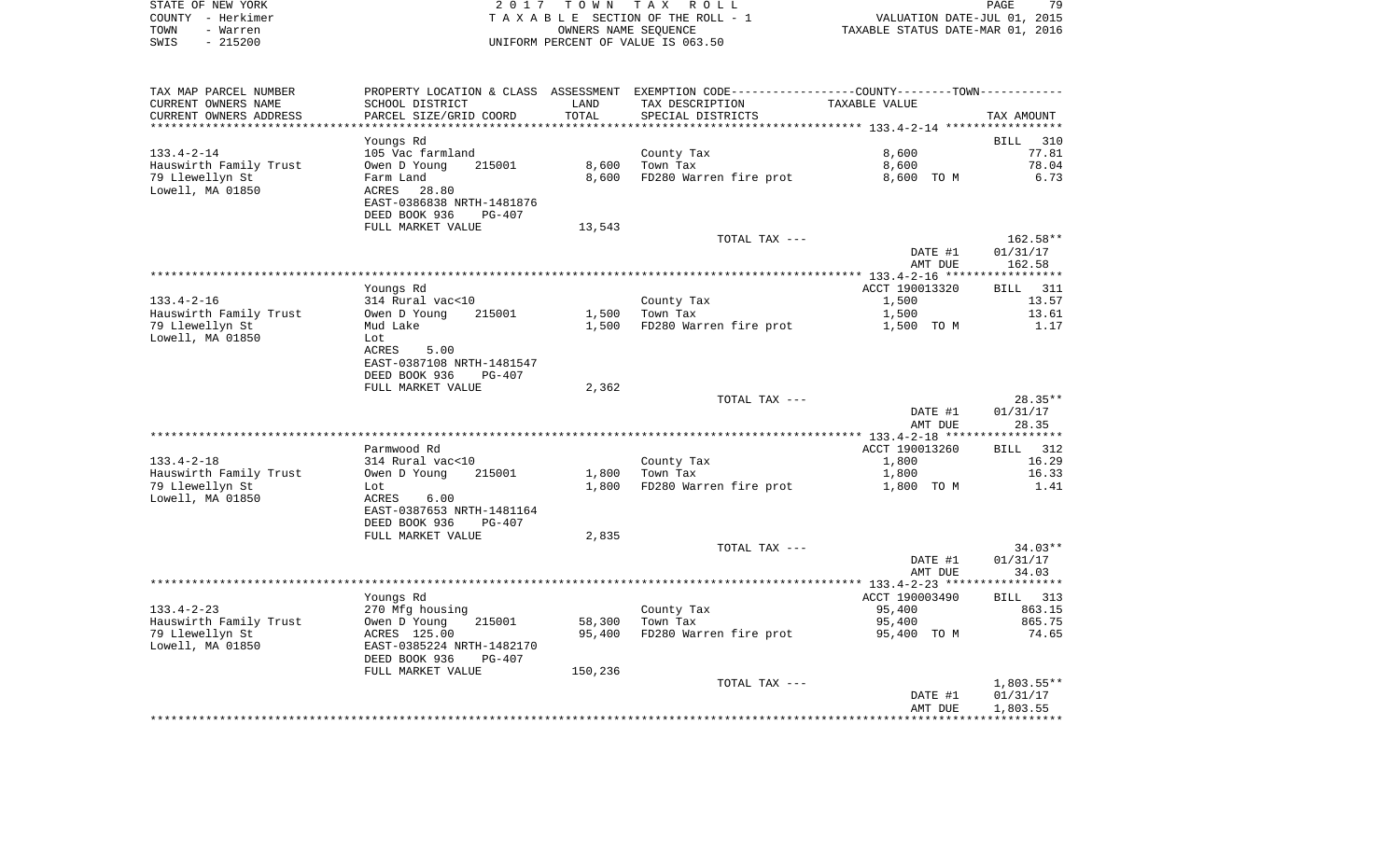| STATE OF NEW YORK | 2017 TOWN TAX ROLL                 | 79<br>PAGE                       |
|-------------------|------------------------------------|----------------------------------|
| COUNTY – Herkimer | TAXABLE SECTION OF THE ROLL - 1    | VALUATION DATE-JUL 01, 2015      |
| TOWN<br>- Warren  | OWNERS NAME SEOUENCE               | TAXABLE STATUS DATE-MAR 01, 2016 |
| $-215200$<br>SWIS | UNIFORM PERCENT OF VALUE IS 063.50 |                                  |

| TAX MAP PARCEL NUMBER  | PROPERTY LOCATION & CLASS ASSESSMENT EXEMPTION CODE----------------COUNTY-------TOWN---------- |         |                        |                |                    |
|------------------------|------------------------------------------------------------------------------------------------|---------|------------------------|----------------|--------------------|
| CURRENT OWNERS NAME    | SCHOOL DISTRICT                                                                                | LAND    | TAX DESCRIPTION        | TAXABLE VALUE  |                    |
| CURRENT OWNERS ADDRESS | PARCEL SIZE/GRID COORD                                                                         | TOTAL   | SPECIAL DISTRICTS      |                | TAX AMOUNT         |
| *******************    | ********************                                                                           |         |                        |                |                    |
|                        | Youngs Rd                                                                                      |         |                        |                | <b>BILL</b><br>310 |
| $133.4 - 2 - 14$       | 105 Vac farmland                                                                               |         | County Tax             | 8,600          | 77.81              |
| Hauswirth Family Trust | Owen D Young<br>215001                                                                         | 8,600   | Town Tax               | 8,600          | 78.04              |
| 79 Llewellyn St        | Farm Land                                                                                      | 8,600   | FD280 Warren fire prot | 8,600 TO M     | 6.73               |
| Lowell, MA 01850       | ACRES<br>28.80                                                                                 |         |                        |                |                    |
|                        | EAST-0386838 NRTH-1481876                                                                      |         |                        |                |                    |
|                        | DEED BOOK 936<br>$PG-407$                                                                      |         |                        |                |                    |
|                        | FULL MARKET VALUE                                                                              | 13,543  |                        |                |                    |
|                        |                                                                                                |         | TOTAL TAX ---          |                | 162.58**           |
|                        |                                                                                                |         |                        | DATE #1        | 01/31/17           |
|                        |                                                                                                |         |                        | AMT DUE        | 162.58             |
|                        |                                                                                                |         |                        |                |                    |
|                        | Youngs Rd                                                                                      |         |                        | ACCT 190013320 | BILL<br>311        |
| $133.4 - 2 - 16$       | 314 Rural vac<10                                                                               |         | County Tax             | 1,500          | 13.57              |
| Hauswirth Family Trust | Owen D Young<br>215001                                                                         | 1,500   | Town Tax               | 1,500          | 13.61              |
| 79 Llewellyn St        | Mud Lake                                                                                       | 1,500   | FD280 Warren fire prot | 1,500 TO M     | 1.17               |
| Lowell, MA 01850       | Lot                                                                                            |         |                        |                |                    |
|                        | ACRES<br>5.00                                                                                  |         |                        |                |                    |
|                        | EAST-0387108 NRTH-1481547                                                                      |         |                        |                |                    |
|                        | DEED BOOK 936<br>$PG-407$                                                                      |         |                        |                |                    |
|                        | FULL MARKET VALUE                                                                              | 2,362   |                        |                |                    |
|                        |                                                                                                |         | TOTAL TAX ---          |                | $28.35**$          |
|                        |                                                                                                |         |                        | DATE #1        | 01/31/17           |
|                        |                                                                                                |         |                        | AMT DUE        | 28.35              |
|                        |                                                                                                |         |                        |                |                    |
|                        | Parmwood Rd                                                                                    |         |                        | ACCT 190013260 | 312<br>BILL        |
| $133.4 - 2 - 18$       | 314 Rural vac<10                                                                               |         | County Tax             | 1,800          | 16.29              |
| Hauswirth Family Trust | Owen D Young<br>215001                                                                         | 1,800   | Town Tax               | 1,800          | 16.33              |
| 79 Llewellyn St        | Lot                                                                                            | 1,800   | FD280 Warren fire prot | 1,800 TO M     | 1.41               |
| Lowell, MA 01850       | ACRES<br>6.00                                                                                  |         |                        |                |                    |
|                        | EAST-0387653 NRTH-1481164<br>DEED BOOK 936<br>$PG-407$                                         |         |                        |                |                    |
|                        | FULL MARKET VALUE                                                                              | 2,835   |                        |                |                    |
|                        |                                                                                                |         | TOTAL TAX ---          |                | $34.03**$          |
|                        |                                                                                                |         |                        | DATE #1        | 01/31/17           |
|                        |                                                                                                |         |                        | AMT DUE        | 34.03              |
|                        |                                                                                                |         |                        |                |                    |
|                        | Youngs Rd                                                                                      |         |                        | ACCT 190003490 | BILL 313           |
| $133.4 - 2 - 23$       | 270 Mfg housing                                                                                |         | County Tax             | 95,400         | 863.15             |
| Hauswirth Family Trust | 215001<br>Owen D Young                                                                         | 58,300  | Town Tax               | 95,400         | 865.75             |
| 79 Llewellyn St        | ACRES 125.00                                                                                   | 95,400  | FD280 Warren fire prot | 95,400 TO M    | 74.65              |
| Lowell, MA 01850       | EAST-0385224 NRTH-1482170                                                                      |         |                        |                |                    |
|                        | DEED BOOK 936<br>$PG-407$                                                                      |         |                        |                |                    |
|                        | FULL MARKET VALUE                                                                              | 150,236 |                        |                |                    |
|                        |                                                                                                |         | TOTAL TAX ---          |                | $1,803.55**$       |
|                        |                                                                                                |         |                        | DATE #1        | 01/31/17           |
|                        |                                                                                                |         |                        | AMT DUE        | 1,803.55           |
|                        |                                                                                                |         |                        |                |                    |
|                        |                                                                                                |         |                        |                |                    |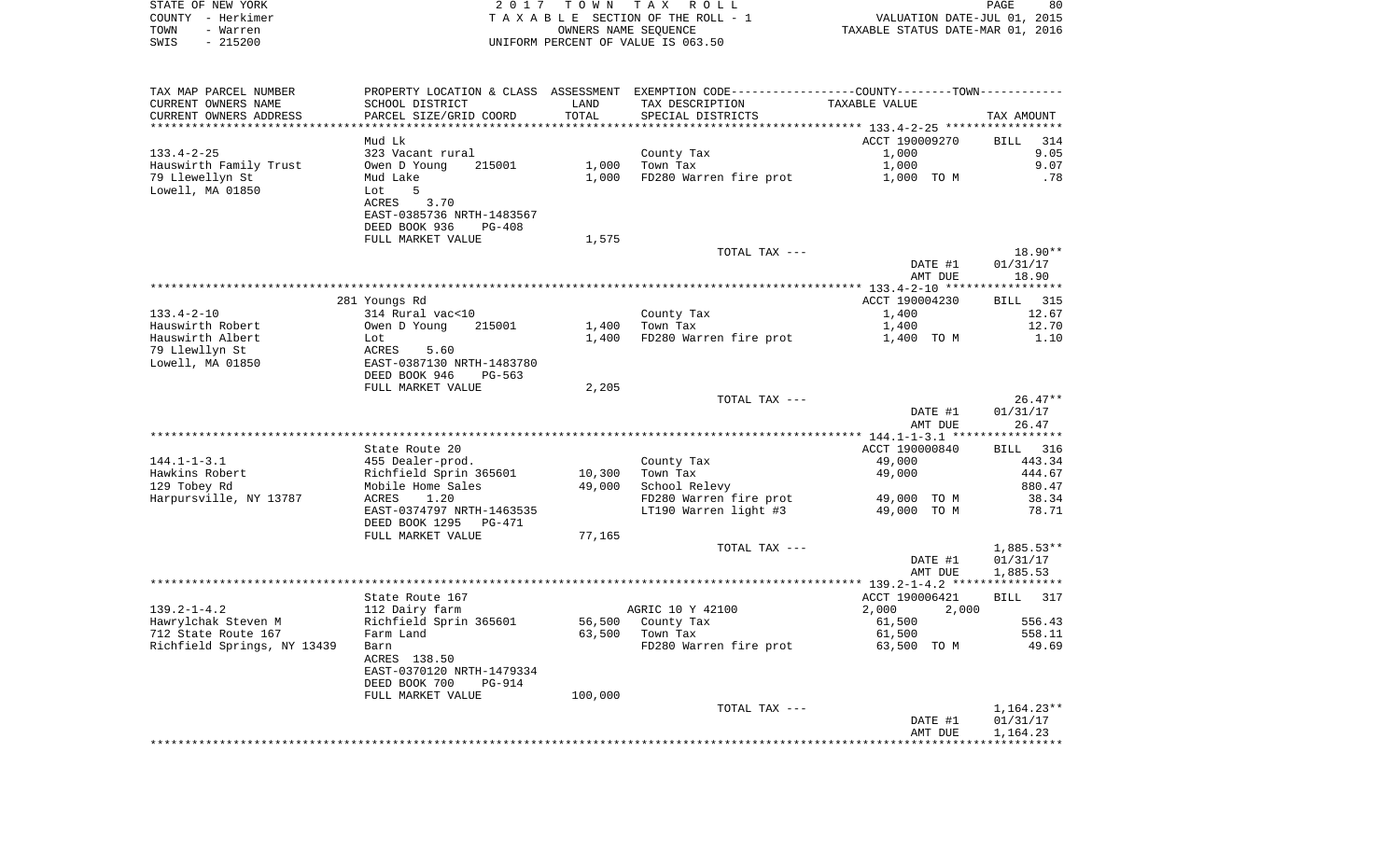| STATE OF NEW YORK<br>COUNTY - Herkimer | 2017                                                        | T O W N | TAX ROLL<br>TAXABLE SECTION OF THE ROLL - 1                 | VALUATION DATE-JUL 01, 2015                | PAGE<br>80               |
|----------------------------------------|-------------------------------------------------------------|---------|-------------------------------------------------------------|--------------------------------------------|--------------------------|
| TOWN<br>- Warren                       |                                                             |         | OWNERS NAME SEQUENCE                                        | TAXABLE STATUS DATE-MAR 01, 2016           |                          |
| $-215200$<br>SWIS                      |                                                             |         | UNIFORM PERCENT OF VALUE IS 063.50                          |                                            |                          |
|                                        |                                                             |         |                                                             |                                            |                          |
|                                        |                                                             |         |                                                             |                                            |                          |
| TAX MAP PARCEL NUMBER                  | PROPERTY LOCATION & CLASS ASSESSMENT                        |         | EXEMPTION CODE-----------------COUNTY-------TOWN----------- |                                            |                          |
| CURRENT OWNERS NAME                    | SCHOOL DISTRICT                                             | LAND    | TAX DESCRIPTION                                             | TAXABLE VALUE                              |                          |
| CURRENT OWNERS ADDRESS                 | PARCEL SIZE/GRID COORD                                      | TOTAL   | SPECIAL DISTRICTS                                           |                                            | TAX AMOUNT               |
| **********************                 | ************************                                    |         |                                                             |                                            |                          |
|                                        | Mud Lk                                                      |         |                                                             | ACCT 190009270                             | <b>BILL</b><br>314       |
| $133.4 - 2 - 25$                       | 323 Vacant rural                                            |         | County Tax                                                  | 1,000                                      | 9.05                     |
| Hauswirth Family Trust                 | Owen D Young<br>215001                                      | 1,000   | Town Tax                                                    | 1,000                                      | 9.07                     |
| 79 Llewellyn St                        | Mud Lake                                                    | 1,000   | FD280 Warren fire prot                                      | 1,000 TO M                                 | .78                      |
| Lowell, MA 01850                       | Lot<br>5                                                    |         |                                                             |                                            |                          |
|                                        | 3.70<br>ACRES                                               |         |                                                             |                                            |                          |
|                                        | EAST-0385736 NRTH-1483567<br>DEED BOOK 936<br><b>PG-408</b> |         |                                                             |                                            |                          |
|                                        | FULL MARKET VALUE                                           | 1,575   |                                                             |                                            |                          |
|                                        |                                                             |         | TOTAL TAX ---                                               |                                            | 18.90**                  |
|                                        |                                                             |         |                                                             | DATE #1                                    | 01/31/17                 |
|                                        |                                                             |         |                                                             | AMT DUE                                    | 18.90                    |
|                                        |                                                             |         |                                                             |                                            |                          |
|                                        | 281 Youngs Rd                                               |         |                                                             | ACCT 190004230                             | 315<br>BILL              |
| $133.4 - 2 - 10$                       | 314 Rural vac<10                                            |         | County Tax                                                  | 1,400                                      | 12.67                    |
| Hauswirth Robert                       | Owen D Young<br>215001                                      | 1,400   | Town Tax                                                    | 1,400                                      | 12.70                    |
| Hauswirth Albert                       | Lot                                                         | 1,400   | FD280 Warren fire prot                                      | 1,400 TO M                                 | 1.10                     |
| 79 Llewllyn St                         | ACRES<br>5.60                                               |         |                                                             |                                            |                          |
| Lowell, MA 01850                       | EAST-0387130 NRTH-1483780                                   |         |                                                             |                                            |                          |
|                                        | DEED BOOK 946<br>PG-563                                     |         |                                                             |                                            |                          |
|                                        | FULL MARKET VALUE                                           | 2,205   | TOTAL TAX ---                                               |                                            | $26.47**$                |
|                                        |                                                             |         |                                                             | DATE #1                                    | 01/31/17                 |
|                                        |                                                             |         |                                                             | AMT DUE                                    | 26.47                    |
|                                        |                                                             |         |                                                             | ************ 144.1-1-3.1 ***************** |                          |
|                                        | State Route 20                                              |         |                                                             | ACCT 190000840                             | <b>BILL</b><br>316       |
| $144.1 - 1 - 3.1$                      | 455 Dealer-prod.                                            |         | County Tax                                                  | 49,000                                     | 443.34                   |
| Hawkins Robert                         | Richfield Sprin 365601                                      | 10,300  | Town Tax                                                    | 49,000                                     | 444.67                   |
| 129 Tobey Rd                           | Mobile Home Sales                                           | 49,000  | School Relevy                                               |                                            | 880.47                   |
| Harpursville, NY 13787                 | 1.20<br>ACRES                                               |         | FD280 Warren fire prot                                      | 49,000 TO M                                | 38.34                    |
|                                        | EAST-0374797 NRTH-1463535                                   |         | LT190 Warren light #3                                       | 49,000 TO M                                | 78.71                    |
|                                        | DEED BOOK 1295 PG-471                                       |         |                                                             |                                            |                          |
|                                        | FULL MARKET VALUE                                           | 77,165  |                                                             |                                            |                          |
|                                        |                                                             |         | TOTAL TAX ---                                               | DATE #1                                    | $1,885.53**$<br>01/31/17 |
|                                        |                                                             |         |                                                             | AMT DUE                                    | 1,885.53                 |
|                                        |                                                             |         |                                                             |                                            |                          |
|                                        | State Route 167                                             |         |                                                             | ACCT 190006421                             | 317<br><b>BILL</b>       |
| $139.2 - 1 - 4.2$                      | 112 Dairy farm                                              |         | AGRIC 10 Y 42100                                            | 2,000<br>2,000                             |                          |
| Hawrylchak Steven M                    | Richfield Sprin 365601                                      |         | 56,500 County Tax                                           | 61,500                                     | 556.43                   |
| 712 State Route 167                    | Farm Land                                                   | 63,500  | Town Tax                                                    | 61,500                                     | 558.11                   |
| Richfield Springs, NY 13439            | Barn                                                        |         | FD280 Warren fire prot                                      | 63,500 TO M                                | 49.69                    |
|                                        | ACRES 138.50                                                |         |                                                             |                                            |                          |
|                                        | EAST-0370120 NRTH-1479334                                   |         |                                                             |                                            |                          |
|                                        | DEED BOOK 700<br>PG-914                                     |         |                                                             |                                            |                          |
|                                        | FULL MARKET VALUE                                           | 100,000 |                                                             |                                            |                          |
|                                        |                                                             |         | TOTAL TAX ---                                               |                                            | $1,164.23**$             |
|                                        |                                                             |         |                                                             | DATE #1                                    | 01/31/17                 |
|                                        |                                                             |         |                                                             | AMT DUE                                    | 1,164.23                 |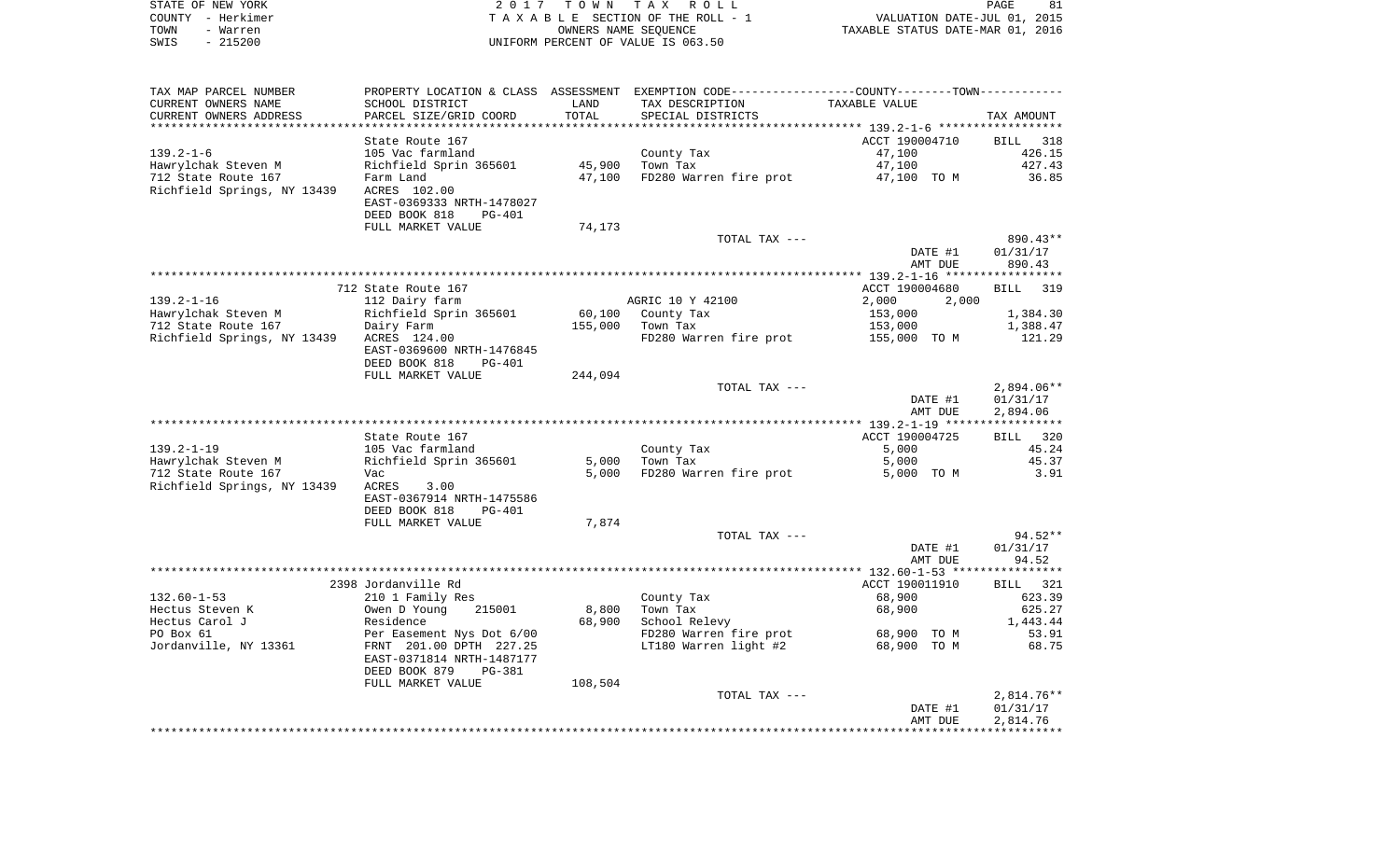| STATE OF NEW YORK | 2017 TOWN TAX ROLL                 | 81<br>PAGE                       |
|-------------------|------------------------------------|----------------------------------|
| COUNTY - Herkimer | TAXABLE SECTION OF THE ROLL - 1    | VALUATION DATE-JUL 01, 2015      |
| TOWN<br>- Warren  | OWNERS NAME SEOUENCE               | TAXABLE STATUS DATE-MAR 01, 2016 |
| - 215200<br>SWIS  | UNIFORM PERCENT OF VALUE IS 063.50 |                                  |

| TAX MAP PARCEL NUMBER                    |                                            |         | PROPERTY LOCATION & CLASS ASSESSMENT EXEMPTION CODE----------------COUNTY--------TOWN----------- |                |                      |
|------------------------------------------|--------------------------------------------|---------|--------------------------------------------------------------------------------------------------|----------------|----------------------|
| CURRENT OWNERS NAME                      | SCHOOL DISTRICT                            | LAND    | TAX DESCRIPTION                                                                                  | TAXABLE VALUE  |                      |
| CURRENT OWNERS ADDRESS                   | PARCEL SIZE/GRID COORD                     | TOTAL   | SPECIAL DISTRICTS                                                                                |                | TAX AMOUNT           |
|                                          |                                            |         |                                                                                                  |                |                      |
|                                          | State Route 167                            |         |                                                                                                  | ACCT 190004710 | BILL 318             |
| $139.2 - 1 - 6$                          | 105 Vac farmland                           |         | County Tax                                                                                       | 47,100         | 426.15               |
| Hawrylchak Steven M                      | Richfield Sprin 365601                     | 45,900  | Town Tax                                                                                         | 47,100         | 427.43               |
| 712 State Route 167                      | Farm Land                                  | 47,100  | FD280 Warren fire prot                                                                           | 47,100 TO M    | 36.85                |
| Richfield Springs, NY 13439              | ACRES 102.00                               |         |                                                                                                  |                |                      |
|                                          | EAST-0369333 NRTH-1478027                  |         |                                                                                                  |                |                      |
|                                          | DEED BOOK 818<br>$PG-401$                  |         |                                                                                                  |                |                      |
|                                          | FULL MARKET VALUE                          | 74,173  |                                                                                                  |                |                      |
|                                          |                                            |         | TOTAL TAX ---                                                                                    | DATE #1        | 890.43**<br>01/31/17 |
|                                          |                                            |         |                                                                                                  | AMT DUE        | 890.43               |
|                                          |                                            |         |                                                                                                  |                |                      |
|                                          | 712 State Route 167                        |         |                                                                                                  | ACCT 190004680 | BILL 319             |
| $139.2 - 1 - 16$                         | 112 Dairy farm                             |         | AGRIC 10 Y 42100                                                                                 | 2,000<br>2,000 |                      |
| Hawrylchak Steven M                      | Richfield Sprin 365601                     |         | 60,100 County Tax                                                                                | 153,000        | 1,384.30             |
| 712 State Route 167                      | Dairy Farm                                 | 155,000 | Town Tax                                                                                         | 153,000        | 1,388.47             |
| Richfield Springs, NY 13439 ACRES 124.00 |                                            |         | FD280 Warren fire prot                                                                           | 155,000 TO M   | 121.29               |
|                                          | EAST-0369600 NRTH-1476845                  |         |                                                                                                  |                |                      |
|                                          | DEED BOOK 818<br><b>PG-401</b>             |         |                                                                                                  |                |                      |
|                                          | FULL MARKET VALUE                          | 244,094 |                                                                                                  |                |                      |
|                                          |                                            |         | TOTAL TAX ---                                                                                    |                | $2,894.06**$         |
|                                          |                                            |         |                                                                                                  | DATE #1        | 01/31/17             |
|                                          |                                            |         |                                                                                                  | AMT DUE        | 2,894.06             |
|                                          |                                            |         |                                                                                                  |                |                      |
|                                          | State Route 167                            |         |                                                                                                  | ACCT 190004725 | BILL 320             |
| $139.2 - 1 - 19$                         | 105 Vac farmland                           |         | County Tax                                                                                       | 5,000          | 45.24                |
| Hawrylchak Steven M                      | Richfield Sprin 365601                     | 5,000   | Town Tax                                                                                         | 5,000          | 45.37                |
| 712 State Route 167                      | Vac                                        | 5,000   | FD280 Warren fire prot                                                                           | 5,000 TO M     | 3.91                 |
| Richfield Springs, NY 13439              | ACRES<br>3.00<br>EAST-0367914 NRTH-1475586 |         |                                                                                                  |                |                      |
|                                          | DEED BOOK 818<br>PG-401                    |         |                                                                                                  |                |                      |
|                                          | FULL MARKET VALUE                          | 7,874   |                                                                                                  |                |                      |
|                                          |                                            |         | TOTAL TAX ---                                                                                    |                | $94.52**$            |
|                                          |                                            |         |                                                                                                  | DATE #1        | 01/31/17             |
|                                          |                                            |         |                                                                                                  | AMT DUE        | 94.52                |
|                                          |                                            |         |                                                                                                  |                |                      |
|                                          | 2398 Jordanville Rd                        |         |                                                                                                  | ACCT 190011910 | BILL 321             |
| $132.60 - 1 - 53$                        | 210 1 Family Res                           |         | County Tax                                                                                       | 68,900         | 623.39               |
| Hectus Steven K                          | Owen D Young<br>215001                     | 8,800   | Town Tax                                                                                         | 68,900         | 625.27               |
| Hectus Carol J                           | Residence                                  | 68,900  | School Relevy                                                                                    |                | 1,443.44             |
| PO Box 61                                | Per Easement Nys Dot 6/00                  |         | FD280 Warren fire prot                                                                           | 68,900 TO M    | 53.91                |
| Jordanville, NY 13361                    | FRNT 201.00 DPTH 227.25                    |         | LT180 Warren light #2                                                                            | 68,900 TO M    | 68.75                |
|                                          | EAST-0371814 NRTH-1487177                  |         |                                                                                                  |                |                      |
|                                          | DEED BOOK 879<br><b>PG-381</b>             |         |                                                                                                  |                |                      |
|                                          | FULL MARKET VALUE                          | 108,504 |                                                                                                  |                |                      |
|                                          |                                            |         | TOTAL TAX ---                                                                                    |                | $2,814.76**$         |
|                                          |                                            |         |                                                                                                  | DATE #1        | 01/31/17             |
|                                          |                                            |         |                                                                                                  | AMT DUE        | 2,814.76             |
|                                          |                                            |         |                                                                                                  |                |                      |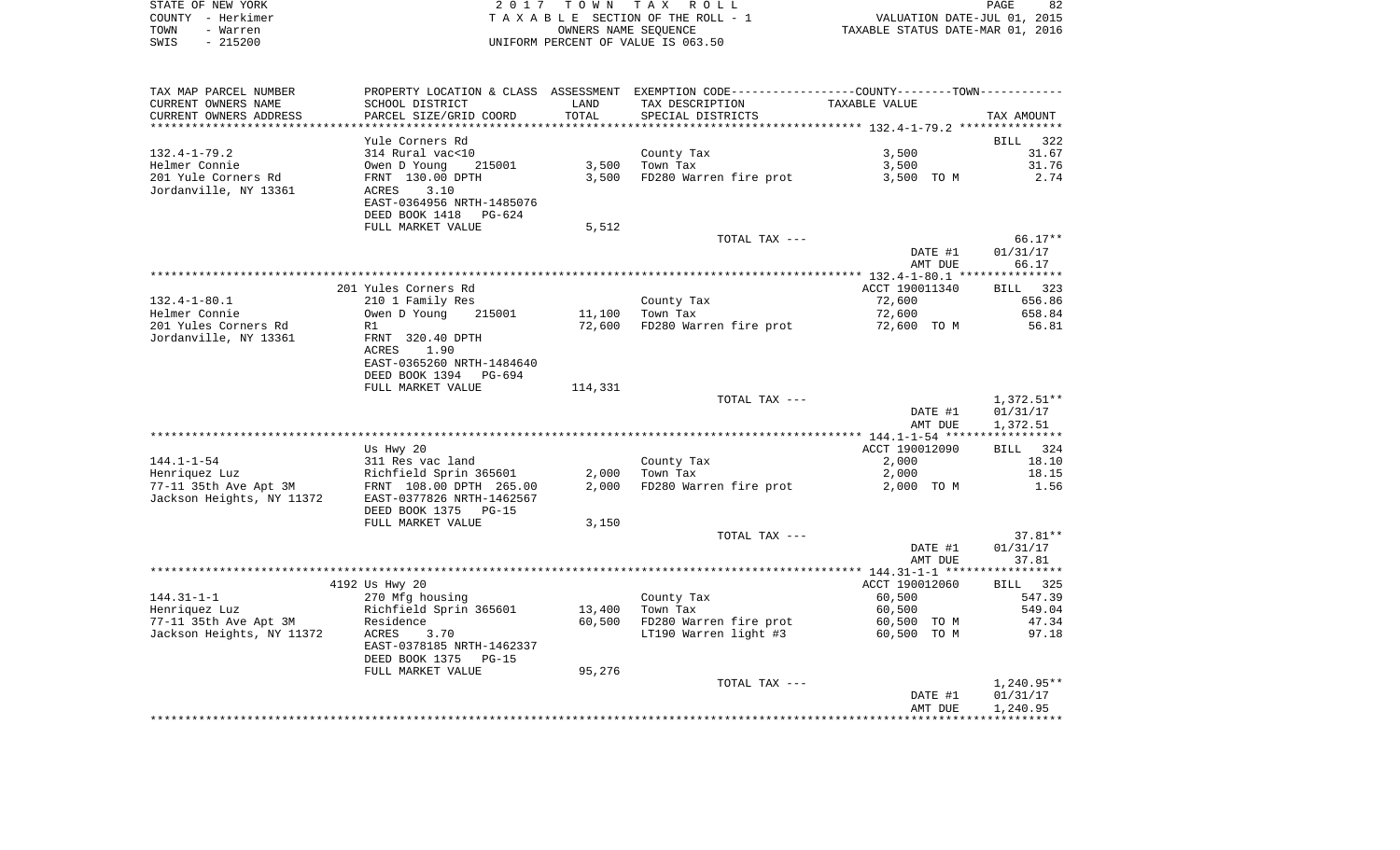| STATE OF NEW YORK | 2017 TOWN TAX ROLL                 | 82<br>PAGE                       |
|-------------------|------------------------------------|----------------------------------|
| COUNTY - Herkimer | TAXABLE SECTION OF THE ROLL - 1    | VALUATION DATE-JUL 01, 2015      |
| TOWN<br>- Warren  | OWNERS NAME SEOUENCE               | TAXABLE STATUS DATE-MAR 01, 2016 |
| $-215200$<br>SWIS | UNIFORM PERCENT OF VALUE IS 063.50 |                                  |

| SCHOOL DISTRICT<br>TAX DESCRIPTION<br>TAXABLE VALUE<br>LAND<br>PARCEL SIZE/GRID COORD<br>TOTAL<br>SPECIAL DISTRICTS<br>TAX AMOUNT<br>**********************<br>Yule Corners Rd<br><b>BILL</b><br>322<br>314 Rural vac<10<br>3,500<br>31.67<br>County Tax<br>Town Tax<br>Owen D Young<br>3,500<br>3,500<br>31.76<br>215001<br>201 Yule Corners Rd<br>FD280 Warren fire prot<br>2.74<br>FRNT 130.00 DPTH<br>3,500<br>3,500 TO M<br>Jordanville, NY 13361<br>3.10<br>ACRES<br>EAST-0364956 NRTH-1485076<br>DEED BOOK 1418<br>PG-624<br>5,512<br>FULL MARKET VALUE<br>$66.17**$<br>TOTAL TAX ---<br>01/31/17<br>DATE #1<br>AMT DUE<br>66.17<br>201 Yules Corners Rd<br>ACCT 190011340<br>BILL 323<br>$132.4 - 1 - 80.1$<br>210 1 Family Res<br>County Tax<br>72,600<br>656.86<br>Helmer Connie<br>Owen D Young<br>11,100<br>Town Tax<br>72,600<br>658.84<br>215001<br>201 Yules Corners Rd<br>72,600<br>FD280 Warren fire prot<br>56.81<br>72,600 TO M<br>R1<br>Jordanville, NY 13361<br>FRNT 320.40 DPTH<br>ACRES<br>1.90<br>EAST-0365260 NRTH-1484640<br>DEED BOOK 1394<br>PG-694<br>FULL MARKET VALUE<br>114,331<br>TOTAL TAX ---<br>$1,372.51**$<br>DATE #1<br>01/31/17<br>1,372.51<br>AMT DUE<br>ACCT 190012090<br>Us Hwy 20<br><b>BILL</b><br>324<br>County Tax<br>18.10<br>311 Res vac land<br>2,000<br>Richfield Sprin 365601<br>2,000<br>Town Tax<br>2,000<br>18.15<br>2,000<br>FD280 Warren fire prot<br>1.56<br>FRNT 108.00 DPTH 265.00<br>2,000 TO M<br>Jackson Heights, NY 11372<br>EAST-0377826 NRTH-1462567<br>DEED BOOK 1375<br>$PG-15$<br>FULL MARKET VALUE<br>3,150<br>TOTAL TAX ---<br>$37.81**$<br>DATE #1<br>01/31/17<br>AMT DUE<br>37.81<br>4192 Us Hwy 20<br>ACCT 190012060<br>BILL 325<br>$144.31 - 1 - 1$<br>County Tax<br>60,500<br>547.39<br>270 Mfg housing<br>Henriquez Luz<br>Richfield Sprin 365601<br>13,400<br>Town Tax<br>60,500<br>549.04<br>77-11 35th Ave Apt 3M<br>FD280 Warren fire prot<br>47.34<br>Residence<br>60,500<br>60,500 TO M<br>LT190 Warren light #3<br>Jackson Heights, NY 11372<br>ACRES<br>3.70<br>60,500 TO M<br>97.18<br>EAST-0378185 NRTH-1462337<br>DEED BOOK 1375<br>PG-15<br>95,276<br>FULL MARKET VALUE<br>$1,240.95**$<br>TOTAL TAX ---<br>DATE #1<br>01/31/17<br>AMT DUE<br>1,240.95 | TAX MAP PARCEL NUMBER  |  | PROPERTY LOCATION & CLASS ASSESSMENT EXEMPTION CODE----------------COUNTY-------TOWN---------- |  |
|-------------------------------------------------------------------------------------------------------------------------------------------------------------------------------------------------------------------------------------------------------------------------------------------------------------------------------------------------------------------------------------------------------------------------------------------------------------------------------------------------------------------------------------------------------------------------------------------------------------------------------------------------------------------------------------------------------------------------------------------------------------------------------------------------------------------------------------------------------------------------------------------------------------------------------------------------------------------------------------------------------------------------------------------------------------------------------------------------------------------------------------------------------------------------------------------------------------------------------------------------------------------------------------------------------------------------------------------------------------------------------------------------------------------------------------------------------------------------------------------------------------------------------------------------------------------------------------------------------------------------------------------------------------------------------------------------------------------------------------------------------------------------------------------------------------------------------------------------------------------------------------------------------------------------------------------------------------------------------------------------------------------------------------------------------------------------------------------------------------------------------------------------------------------------------------------------------------------------------------------------|------------------------|--|------------------------------------------------------------------------------------------------|--|
|                                                                                                                                                                                                                                                                                                                                                                                                                                                                                                                                                                                                                                                                                                                                                                                                                                                                                                                                                                                                                                                                                                                                                                                                                                                                                                                                                                                                                                                                                                                                                                                                                                                                                                                                                                                                                                                                                                                                                                                                                                                                                                                                                                                                                                                 | CURRENT OWNERS NAME    |  |                                                                                                |  |
|                                                                                                                                                                                                                                                                                                                                                                                                                                                                                                                                                                                                                                                                                                                                                                                                                                                                                                                                                                                                                                                                                                                                                                                                                                                                                                                                                                                                                                                                                                                                                                                                                                                                                                                                                                                                                                                                                                                                                                                                                                                                                                                                                                                                                                                 | CURRENT OWNERS ADDRESS |  |                                                                                                |  |
|                                                                                                                                                                                                                                                                                                                                                                                                                                                                                                                                                                                                                                                                                                                                                                                                                                                                                                                                                                                                                                                                                                                                                                                                                                                                                                                                                                                                                                                                                                                                                                                                                                                                                                                                                                                                                                                                                                                                                                                                                                                                                                                                                                                                                                                 |                        |  |                                                                                                |  |
|                                                                                                                                                                                                                                                                                                                                                                                                                                                                                                                                                                                                                                                                                                                                                                                                                                                                                                                                                                                                                                                                                                                                                                                                                                                                                                                                                                                                                                                                                                                                                                                                                                                                                                                                                                                                                                                                                                                                                                                                                                                                                                                                                                                                                                                 |                        |  |                                                                                                |  |
|                                                                                                                                                                                                                                                                                                                                                                                                                                                                                                                                                                                                                                                                                                                                                                                                                                                                                                                                                                                                                                                                                                                                                                                                                                                                                                                                                                                                                                                                                                                                                                                                                                                                                                                                                                                                                                                                                                                                                                                                                                                                                                                                                                                                                                                 | $132.4 - 1 - 79.2$     |  |                                                                                                |  |
|                                                                                                                                                                                                                                                                                                                                                                                                                                                                                                                                                                                                                                                                                                                                                                                                                                                                                                                                                                                                                                                                                                                                                                                                                                                                                                                                                                                                                                                                                                                                                                                                                                                                                                                                                                                                                                                                                                                                                                                                                                                                                                                                                                                                                                                 | Helmer Connie          |  |                                                                                                |  |
|                                                                                                                                                                                                                                                                                                                                                                                                                                                                                                                                                                                                                                                                                                                                                                                                                                                                                                                                                                                                                                                                                                                                                                                                                                                                                                                                                                                                                                                                                                                                                                                                                                                                                                                                                                                                                                                                                                                                                                                                                                                                                                                                                                                                                                                 |                        |  |                                                                                                |  |
|                                                                                                                                                                                                                                                                                                                                                                                                                                                                                                                                                                                                                                                                                                                                                                                                                                                                                                                                                                                                                                                                                                                                                                                                                                                                                                                                                                                                                                                                                                                                                                                                                                                                                                                                                                                                                                                                                                                                                                                                                                                                                                                                                                                                                                                 |                        |  |                                                                                                |  |
|                                                                                                                                                                                                                                                                                                                                                                                                                                                                                                                                                                                                                                                                                                                                                                                                                                                                                                                                                                                                                                                                                                                                                                                                                                                                                                                                                                                                                                                                                                                                                                                                                                                                                                                                                                                                                                                                                                                                                                                                                                                                                                                                                                                                                                                 |                        |  |                                                                                                |  |
|                                                                                                                                                                                                                                                                                                                                                                                                                                                                                                                                                                                                                                                                                                                                                                                                                                                                                                                                                                                                                                                                                                                                                                                                                                                                                                                                                                                                                                                                                                                                                                                                                                                                                                                                                                                                                                                                                                                                                                                                                                                                                                                                                                                                                                                 |                        |  |                                                                                                |  |
|                                                                                                                                                                                                                                                                                                                                                                                                                                                                                                                                                                                                                                                                                                                                                                                                                                                                                                                                                                                                                                                                                                                                                                                                                                                                                                                                                                                                                                                                                                                                                                                                                                                                                                                                                                                                                                                                                                                                                                                                                                                                                                                                                                                                                                                 |                        |  |                                                                                                |  |
|                                                                                                                                                                                                                                                                                                                                                                                                                                                                                                                                                                                                                                                                                                                                                                                                                                                                                                                                                                                                                                                                                                                                                                                                                                                                                                                                                                                                                                                                                                                                                                                                                                                                                                                                                                                                                                                                                                                                                                                                                                                                                                                                                                                                                                                 |                        |  |                                                                                                |  |
|                                                                                                                                                                                                                                                                                                                                                                                                                                                                                                                                                                                                                                                                                                                                                                                                                                                                                                                                                                                                                                                                                                                                                                                                                                                                                                                                                                                                                                                                                                                                                                                                                                                                                                                                                                                                                                                                                                                                                                                                                                                                                                                                                                                                                                                 |                        |  |                                                                                                |  |
|                                                                                                                                                                                                                                                                                                                                                                                                                                                                                                                                                                                                                                                                                                                                                                                                                                                                                                                                                                                                                                                                                                                                                                                                                                                                                                                                                                                                                                                                                                                                                                                                                                                                                                                                                                                                                                                                                                                                                                                                                                                                                                                                                                                                                                                 |                        |  |                                                                                                |  |
|                                                                                                                                                                                                                                                                                                                                                                                                                                                                                                                                                                                                                                                                                                                                                                                                                                                                                                                                                                                                                                                                                                                                                                                                                                                                                                                                                                                                                                                                                                                                                                                                                                                                                                                                                                                                                                                                                                                                                                                                                                                                                                                                                                                                                                                 |                        |  |                                                                                                |  |
|                                                                                                                                                                                                                                                                                                                                                                                                                                                                                                                                                                                                                                                                                                                                                                                                                                                                                                                                                                                                                                                                                                                                                                                                                                                                                                                                                                                                                                                                                                                                                                                                                                                                                                                                                                                                                                                                                                                                                                                                                                                                                                                                                                                                                                                 |                        |  |                                                                                                |  |
|                                                                                                                                                                                                                                                                                                                                                                                                                                                                                                                                                                                                                                                                                                                                                                                                                                                                                                                                                                                                                                                                                                                                                                                                                                                                                                                                                                                                                                                                                                                                                                                                                                                                                                                                                                                                                                                                                                                                                                                                                                                                                                                                                                                                                                                 |                        |  |                                                                                                |  |
|                                                                                                                                                                                                                                                                                                                                                                                                                                                                                                                                                                                                                                                                                                                                                                                                                                                                                                                                                                                                                                                                                                                                                                                                                                                                                                                                                                                                                                                                                                                                                                                                                                                                                                                                                                                                                                                                                                                                                                                                                                                                                                                                                                                                                                                 |                        |  |                                                                                                |  |
|                                                                                                                                                                                                                                                                                                                                                                                                                                                                                                                                                                                                                                                                                                                                                                                                                                                                                                                                                                                                                                                                                                                                                                                                                                                                                                                                                                                                                                                                                                                                                                                                                                                                                                                                                                                                                                                                                                                                                                                                                                                                                                                                                                                                                                                 |                        |  |                                                                                                |  |
|                                                                                                                                                                                                                                                                                                                                                                                                                                                                                                                                                                                                                                                                                                                                                                                                                                                                                                                                                                                                                                                                                                                                                                                                                                                                                                                                                                                                                                                                                                                                                                                                                                                                                                                                                                                                                                                                                                                                                                                                                                                                                                                                                                                                                                                 |                        |  |                                                                                                |  |
|                                                                                                                                                                                                                                                                                                                                                                                                                                                                                                                                                                                                                                                                                                                                                                                                                                                                                                                                                                                                                                                                                                                                                                                                                                                                                                                                                                                                                                                                                                                                                                                                                                                                                                                                                                                                                                                                                                                                                                                                                                                                                                                                                                                                                                                 |                        |  |                                                                                                |  |
|                                                                                                                                                                                                                                                                                                                                                                                                                                                                                                                                                                                                                                                                                                                                                                                                                                                                                                                                                                                                                                                                                                                                                                                                                                                                                                                                                                                                                                                                                                                                                                                                                                                                                                                                                                                                                                                                                                                                                                                                                                                                                                                                                                                                                                                 |                        |  |                                                                                                |  |
|                                                                                                                                                                                                                                                                                                                                                                                                                                                                                                                                                                                                                                                                                                                                                                                                                                                                                                                                                                                                                                                                                                                                                                                                                                                                                                                                                                                                                                                                                                                                                                                                                                                                                                                                                                                                                                                                                                                                                                                                                                                                                                                                                                                                                                                 |                        |  |                                                                                                |  |
|                                                                                                                                                                                                                                                                                                                                                                                                                                                                                                                                                                                                                                                                                                                                                                                                                                                                                                                                                                                                                                                                                                                                                                                                                                                                                                                                                                                                                                                                                                                                                                                                                                                                                                                                                                                                                                                                                                                                                                                                                                                                                                                                                                                                                                                 |                        |  |                                                                                                |  |
|                                                                                                                                                                                                                                                                                                                                                                                                                                                                                                                                                                                                                                                                                                                                                                                                                                                                                                                                                                                                                                                                                                                                                                                                                                                                                                                                                                                                                                                                                                                                                                                                                                                                                                                                                                                                                                                                                                                                                                                                                                                                                                                                                                                                                                                 |                        |  |                                                                                                |  |
|                                                                                                                                                                                                                                                                                                                                                                                                                                                                                                                                                                                                                                                                                                                                                                                                                                                                                                                                                                                                                                                                                                                                                                                                                                                                                                                                                                                                                                                                                                                                                                                                                                                                                                                                                                                                                                                                                                                                                                                                                                                                                                                                                                                                                                                 |                        |  |                                                                                                |  |
|                                                                                                                                                                                                                                                                                                                                                                                                                                                                                                                                                                                                                                                                                                                                                                                                                                                                                                                                                                                                                                                                                                                                                                                                                                                                                                                                                                                                                                                                                                                                                                                                                                                                                                                                                                                                                                                                                                                                                                                                                                                                                                                                                                                                                                                 |                        |  |                                                                                                |  |
|                                                                                                                                                                                                                                                                                                                                                                                                                                                                                                                                                                                                                                                                                                                                                                                                                                                                                                                                                                                                                                                                                                                                                                                                                                                                                                                                                                                                                                                                                                                                                                                                                                                                                                                                                                                                                                                                                                                                                                                                                                                                                                                                                                                                                                                 |                        |  |                                                                                                |  |
|                                                                                                                                                                                                                                                                                                                                                                                                                                                                                                                                                                                                                                                                                                                                                                                                                                                                                                                                                                                                                                                                                                                                                                                                                                                                                                                                                                                                                                                                                                                                                                                                                                                                                                                                                                                                                                                                                                                                                                                                                                                                                                                                                                                                                                                 | $144.1 - 1 - 54$       |  |                                                                                                |  |
|                                                                                                                                                                                                                                                                                                                                                                                                                                                                                                                                                                                                                                                                                                                                                                                                                                                                                                                                                                                                                                                                                                                                                                                                                                                                                                                                                                                                                                                                                                                                                                                                                                                                                                                                                                                                                                                                                                                                                                                                                                                                                                                                                                                                                                                 | Henriquez Luz          |  |                                                                                                |  |
|                                                                                                                                                                                                                                                                                                                                                                                                                                                                                                                                                                                                                                                                                                                                                                                                                                                                                                                                                                                                                                                                                                                                                                                                                                                                                                                                                                                                                                                                                                                                                                                                                                                                                                                                                                                                                                                                                                                                                                                                                                                                                                                                                                                                                                                 | 77-11 35th Ave Apt 3M  |  |                                                                                                |  |
|                                                                                                                                                                                                                                                                                                                                                                                                                                                                                                                                                                                                                                                                                                                                                                                                                                                                                                                                                                                                                                                                                                                                                                                                                                                                                                                                                                                                                                                                                                                                                                                                                                                                                                                                                                                                                                                                                                                                                                                                                                                                                                                                                                                                                                                 |                        |  |                                                                                                |  |
|                                                                                                                                                                                                                                                                                                                                                                                                                                                                                                                                                                                                                                                                                                                                                                                                                                                                                                                                                                                                                                                                                                                                                                                                                                                                                                                                                                                                                                                                                                                                                                                                                                                                                                                                                                                                                                                                                                                                                                                                                                                                                                                                                                                                                                                 |                        |  |                                                                                                |  |
|                                                                                                                                                                                                                                                                                                                                                                                                                                                                                                                                                                                                                                                                                                                                                                                                                                                                                                                                                                                                                                                                                                                                                                                                                                                                                                                                                                                                                                                                                                                                                                                                                                                                                                                                                                                                                                                                                                                                                                                                                                                                                                                                                                                                                                                 |                        |  |                                                                                                |  |
|                                                                                                                                                                                                                                                                                                                                                                                                                                                                                                                                                                                                                                                                                                                                                                                                                                                                                                                                                                                                                                                                                                                                                                                                                                                                                                                                                                                                                                                                                                                                                                                                                                                                                                                                                                                                                                                                                                                                                                                                                                                                                                                                                                                                                                                 |                        |  |                                                                                                |  |
|                                                                                                                                                                                                                                                                                                                                                                                                                                                                                                                                                                                                                                                                                                                                                                                                                                                                                                                                                                                                                                                                                                                                                                                                                                                                                                                                                                                                                                                                                                                                                                                                                                                                                                                                                                                                                                                                                                                                                                                                                                                                                                                                                                                                                                                 |                        |  |                                                                                                |  |
|                                                                                                                                                                                                                                                                                                                                                                                                                                                                                                                                                                                                                                                                                                                                                                                                                                                                                                                                                                                                                                                                                                                                                                                                                                                                                                                                                                                                                                                                                                                                                                                                                                                                                                                                                                                                                                                                                                                                                                                                                                                                                                                                                                                                                                                 |                        |  |                                                                                                |  |
|                                                                                                                                                                                                                                                                                                                                                                                                                                                                                                                                                                                                                                                                                                                                                                                                                                                                                                                                                                                                                                                                                                                                                                                                                                                                                                                                                                                                                                                                                                                                                                                                                                                                                                                                                                                                                                                                                                                                                                                                                                                                                                                                                                                                                                                 |                        |  |                                                                                                |  |
|                                                                                                                                                                                                                                                                                                                                                                                                                                                                                                                                                                                                                                                                                                                                                                                                                                                                                                                                                                                                                                                                                                                                                                                                                                                                                                                                                                                                                                                                                                                                                                                                                                                                                                                                                                                                                                                                                                                                                                                                                                                                                                                                                                                                                                                 |                        |  |                                                                                                |  |
|                                                                                                                                                                                                                                                                                                                                                                                                                                                                                                                                                                                                                                                                                                                                                                                                                                                                                                                                                                                                                                                                                                                                                                                                                                                                                                                                                                                                                                                                                                                                                                                                                                                                                                                                                                                                                                                                                                                                                                                                                                                                                                                                                                                                                                                 |                        |  |                                                                                                |  |
|                                                                                                                                                                                                                                                                                                                                                                                                                                                                                                                                                                                                                                                                                                                                                                                                                                                                                                                                                                                                                                                                                                                                                                                                                                                                                                                                                                                                                                                                                                                                                                                                                                                                                                                                                                                                                                                                                                                                                                                                                                                                                                                                                                                                                                                 |                        |  |                                                                                                |  |
|                                                                                                                                                                                                                                                                                                                                                                                                                                                                                                                                                                                                                                                                                                                                                                                                                                                                                                                                                                                                                                                                                                                                                                                                                                                                                                                                                                                                                                                                                                                                                                                                                                                                                                                                                                                                                                                                                                                                                                                                                                                                                                                                                                                                                                                 |                        |  |                                                                                                |  |
|                                                                                                                                                                                                                                                                                                                                                                                                                                                                                                                                                                                                                                                                                                                                                                                                                                                                                                                                                                                                                                                                                                                                                                                                                                                                                                                                                                                                                                                                                                                                                                                                                                                                                                                                                                                                                                                                                                                                                                                                                                                                                                                                                                                                                                                 |                        |  |                                                                                                |  |
|                                                                                                                                                                                                                                                                                                                                                                                                                                                                                                                                                                                                                                                                                                                                                                                                                                                                                                                                                                                                                                                                                                                                                                                                                                                                                                                                                                                                                                                                                                                                                                                                                                                                                                                                                                                                                                                                                                                                                                                                                                                                                                                                                                                                                                                 |                        |  |                                                                                                |  |
|                                                                                                                                                                                                                                                                                                                                                                                                                                                                                                                                                                                                                                                                                                                                                                                                                                                                                                                                                                                                                                                                                                                                                                                                                                                                                                                                                                                                                                                                                                                                                                                                                                                                                                                                                                                                                                                                                                                                                                                                                                                                                                                                                                                                                                                 |                        |  |                                                                                                |  |
|                                                                                                                                                                                                                                                                                                                                                                                                                                                                                                                                                                                                                                                                                                                                                                                                                                                                                                                                                                                                                                                                                                                                                                                                                                                                                                                                                                                                                                                                                                                                                                                                                                                                                                                                                                                                                                                                                                                                                                                                                                                                                                                                                                                                                                                 |                        |  |                                                                                                |  |
|                                                                                                                                                                                                                                                                                                                                                                                                                                                                                                                                                                                                                                                                                                                                                                                                                                                                                                                                                                                                                                                                                                                                                                                                                                                                                                                                                                                                                                                                                                                                                                                                                                                                                                                                                                                                                                                                                                                                                                                                                                                                                                                                                                                                                                                 |                        |  |                                                                                                |  |
|                                                                                                                                                                                                                                                                                                                                                                                                                                                                                                                                                                                                                                                                                                                                                                                                                                                                                                                                                                                                                                                                                                                                                                                                                                                                                                                                                                                                                                                                                                                                                                                                                                                                                                                                                                                                                                                                                                                                                                                                                                                                                                                                                                                                                                                 |                        |  |                                                                                                |  |
|                                                                                                                                                                                                                                                                                                                                                                                                                                                                                                                                                                                                                                                                                                                                                                                                                                                                                                                                                                                                                                                                                                                                                                                                                                                                                                                                                                                                                                                                                                                                                                                                                                                                                                                                                                                                                                                                                                                                                                                                                                                                                                                                                                                                                                                 |                        |  |                                                                                                |  |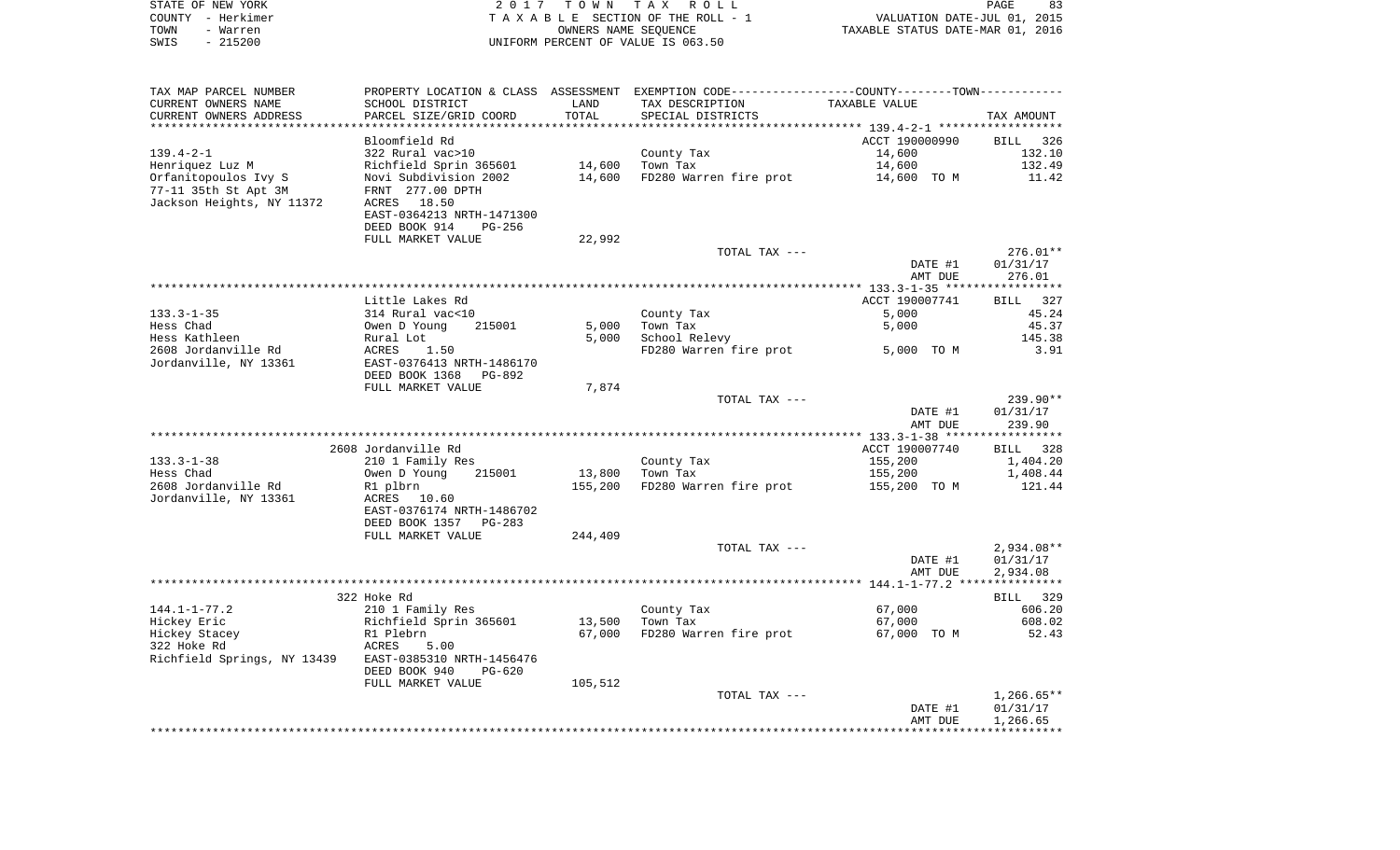| STATE OF NEW YORK<br>COUNTY - Herkimer<br>- Warren<br>TOWN |                                            | 2017 TOWN | TAX ROLL<br>TAXABLE SECTION OF THE ROLL - 1<br>OWNERS NAME SEQUENCE                             | VALUATION DATE-JUL 01, 2015<br>TAXABLE STATUS DATE-MAR 01, 2016 | PAGE<br>83       |
|------------------------------------------------------------|--------------------------------------------|-----------|-------------------------------------------------------------------------------------------------|-----------------------------------------------------------------|------------------|
| $-215200$<br>SWIS                                          |                                            |           | UNIFORM PERCENT OF VALUE IS 063.50                                                              |                                                                 |                  |
| TAX MAP PARCEL NUMBER                                      |                                            |           | PROPERTY LOCATION & CLASS ASSESSMENT EXEMPTION CODE----------------COUNTY--------TOWN---------- |                                                                 |                  |
| CURRENT OWNERS NAME                                        | SCHOOL DISTRICT                            | LAND      | TAX DESCRIPTION                                                                                 | TAXABLE VALUE                                                   |                  |
| CURRENT OWNERS ADDRESS                                     | PARCEL SIZE/GRID COORD                     | TOTAL     | SPECIAL DISTRICTS                                                                               |                                                                 | TAX AMOUNT       |
| **************************                                 |                                            |           |                                                                                                 |                                                                 |                  |
|                                                            | Bloomfield Rd                              |           |                                                                                                 | ACCT 190000990                                                  | 326<br>BILL      |
| $139.4 - 2 - 1$                                            | 322 Rural vac>10<br>Richfield Sprin 365601 | 14,600    | County Tax<br>Town Tax                                                                          | 14,600<br>14,600                                                | 132.10<br>132.49 |
| Henriquez Luz M<br>Orfanitopoulos Ivy S                    | Novi Subdivision 2002                      | 14,600    | FD280 Warren fire prot                                                                          | 14,600 TO M                                                     | 11.42            |
| 77-11 35th St Apt 3M                                       | FRNT 277.00 DPTH                           |           |                                                                                                 |                                                                 |                  |
| Jackson Heights, NY 11372                                  | ACRES 18.50                                |           |                                                                                                 |                                                                 |                  |
|                                                            | EAST-0364213 NRTH-1471300                  |           |                                                                                                 |                                                                 |                  |
|                                                            | DEED BOOK 914<br>PG-256                    |           |                                                                                                 |                                                                 |                  |
|                                                            | FULL MARKET VALUE                          | 22,992    |                                                                                                 |                                                                 |                  |
|                                                            |                                            |           | TOTAL TAX ---                                                                                   |                                                                 | $276.01**$       |
|                                                            |                                            |           |                                                                                                 | DATE #1                                                         | 01/31/17         |
|                                                            |                                            |           |                                                                                                 | AMT DUE                                                         | 276.01           |
|                                                            |                                            |           |                                                                                                 |                                                                 |                  |
|                                                            | Little Lakes Rd                            |           |                                                                                                 | ACCT 190007741                                                  | BILL 327         |
| $133.3 - 1 - 35$                                           | 314 Rural vac<10                           |           | County Tax                                                                                      | 5,000                                                           | 45.24            |
| Hess Chad                                                  | Owen D Young<br>215001                     | 5,000     | Town Tax                                                                                        | 5,000                                                           | 45.37            |
| Hess Kathleen                                              | Rural Lot                                  | 5,000     | School Relevy<br>FD280 Warren fire prot                                                         |                                                                 | 145.38<br>3.91   |
| 2608 Jordanville Rd<br>Jordanville, NY 13361               | ACRES<br>1.50<br>EAST-0376413 NRTH-1486170 |           |                                                                                                 | 5,000 TO M                                                      |                  |
|                                                            | DEED BOOK 1368 PG-892                      |           |                                                                                                 |                                                                 |                  |
|                                                            | FULL MARKET VALUE                          | 7,874     |                                                                                                 |                                                                 |                  |
|                                                            |                                            |           | TOTAL TAX ---                                                                                   |                                                                 | 239.90**         |
|                                                            |                                            |           |                                                                                                 | DATE #1                                                         | 01/31/17         |
|                                                            |                                            |           |                                                                                                 | AMT DUE                                                         | 239.90           |
|                                                            |                                            |           |                                                                                                 |                                                                 |                  |
|                                                            | 2608 Jordanville Rd                        |           |                                                                                                 | ACCT 190007740                                                  | BILL 328         |
| $133.3 - 1 - 38$                                           | 210 1 Family Res                           |           | County Tax                                                                                      | 155,200                                                         | 1,404.20         |
| Hess Chad                                                  | 215001<br>Owen D Young                     | 13,800    | Town Tax                                                                                        | 155,200                                                         | 1,408.44         |
| 2608 Jordanville Rd                                        | R1 plbrn                                   | 155,200   | FD280 Warren fire prot                                                                          | 155,200 TO M                                                    | 121.44           |
| Jordanville, NY 13361                                      | ACRES 10.60                                |           |                                                                                                 |                                                                 |                  |
|                                                            | EAST-0376174 NRTH-1486702                  |           |                                                                                                 |                                                                 |                  |
|                                                            | DEED BOOK 1357 PG-283                      |           |                                                                                                 |                                                                 |                  |
|                                                            | FULL MARKET VALUE                          | 244,409   | TOTAL TAX ---                                                                                   |                                                                 | $2.934.08**$     |
|                                                            |                                            |           |                                                                                                 | DATE #1                                                         | 01/31/17         |
|                                                            |                                            |           |                                                                                                 | AMT DUE                                                         | 2,934.08         |
|                                                            |                                            |           |                                                                                                 |                                                                 |                  |
|                                                            | 322 Hoke Rd                                |           |                                                                                                 |                                                                 | BILL 329         |
| $144.1 - 1 - 77.2$                                         | 210 1 Family Res                           |           | County Tax                                                                                      | 67,000                                                          | 606.20           |
| Hickey Eric                                                | Richfield Sprin 365601                     |           | 13,500 Town Tax                                                                                 | 67,000                                                          | 608.02           |
| Hickey Stacey                                              | R1 Plebrn                                  | 67,000    | FD280 Warren fire prot                                                                          | 67,000 TO M                                                     | 52.43            |
| 322 Hoke Rd                                                | ACRES<br>5.00                              |           |                                                                                                 |                                                                 |                  |
| Richfield Springs, NY 13439                                | EAST-0385310 NRTH-1456476                  |           |                                                                                                 |                                                                 |                  |
|                                                            | DEED BOOK 940<br>PG-620                    |           |                                                                                                 |                                                                 |                  |
|                                                            | FULL MARKET VALUE                          | 105,512   |                                                                                                 |                                                                 |                  |
|                                                            |                                            |           | TOTAL TAX ---                                                                                   |                                                                 | $1,266.65**$     |
|                                                            |                                            |           |                                                                                                 | DATE #1                                                         | 01/31/17         |
|                                                            |                                            |           |                                                                                                 | AMT DUE                                                         | 1,266.65         |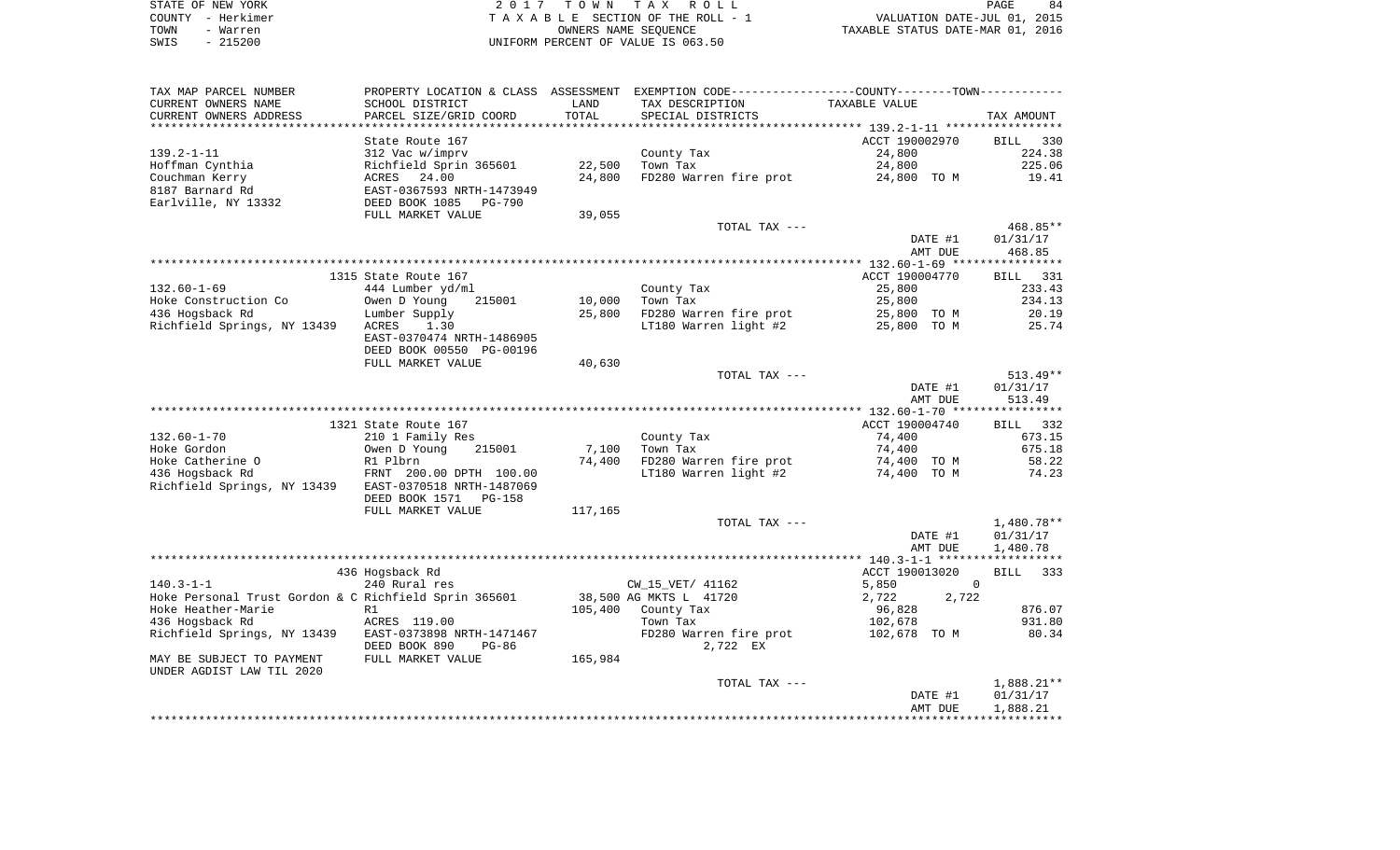| STATE OF NEW YORK | 2017 TOWN TAX ROLL                 | 84<br>PAGE                       |
|-------------------|------------------------------------|----------------------------------|
| COUNTY - Herkimer | TAXABLE SECTION OF THE ROLL - 1    | VALUATION DATE-JUL 01, 2015      |
| TOWN<br>- Warren  | OWNERS NAME SEOUENCE               | TAXABLE STATUS DATE-MAR 01, 2016 |
| $-215200$<br>SWIS | UNIFORM PERCENT OF VALUE IS 063.50 |                                  |

 $\begin{array}{c} 84 \\ 2015 \end{array}$ 

| TAX MAP PARCEL NUMBER                                 |                           |         | PROPERTY LOCATION & CLASS ASSESSMENT EXEMPTION CODE---------------COUNTY-------TOWN---------- |                |                    |                      |
|-------------------------------------------------------|---------------------------|---------|-----------------------------------------------------------------------------------------------|----------------|--------------------|----------------------|
| CURRENT OWNERS NAME                                   | SCHOOL DISTRICT           | LAND    | TAX DESCRIPTION                                                                               | TAXABLE VALUE  |                    |                      |
| CURRENT OWNERS ADDRESS                                | PARCEL SIZE/GRID COORD    | TOTAL   | SPECIAL DISTRICTS                                                                             |                |                    | TAX AMOUNT           |
|                                                       |                           |         |                                                                                               |                |                    |                      |
|                                                       | State Route 167           |         |                                                                                               | ACCT 190002970 |                    | 330<br>BILL          |
| $139.2 - 1 - 11$                                      | 312 Vac w/imprv           |         | County Tax                                                                                    | 24,800         |                    | 224.38               |
| Hoffman Cynthia                                       | Richfield Sprin 365601    | 22,500  | Town Tax                                                                                      | 24,800         |                    | 225.06               |
| Couchman Kerry                                        | ACRES 24.00               | 24,800  | FD280 Warren fire prot                                                                        | 24,800 TO M    |                    | 19.41                |
| 8187 Barnard Rd                                       | EAST-0367593 NRTH-1473949 |         |                                                                                               |                |                    |                      |
| Earlville, NY 13332                                   | DEED BOOK 1085 PG-790     |         |                                                                                               |                |                    |                      |
|                                                       | FULL MARKET VALUE         | 39,055  |                                                                                               |                |                    |                      |
|                                                       |                           |         | TOTAL TAX ---                                                                                 |                |                    | 468.85**             |
|                                                       |                           |         |                                                                                               |                | DATE #1            | 01/31/17             |
|                                                       |                           |         |                                                                                               |                | AMT DUE            | 468.85               |
|                                                       | 1315 State Route 167      |         |                                                                                               | ACCT 190004770 |                    | BILL 331             |
| $132.60 - 1 - 69$                                     | 444 Lumber yd/ml          |         | County Tax                                                                                    | 25,800         |                    | 233.43               |
| Hoke Construction Co                                  | 215001<br>Owen D Young    | 10,000  | Town Tax                                                                                      | 25,800         |                    | 234.13               |
| 436 Hogsback Rd                                       | Lumber Supply             | 25,800  | FD280 Warren fire prot                                                                        | 25,800 TO M    |                    | 20.19                |
| Richfield Springs, NY 13439                           | ACRES<br>1.30             |         | LT180 Warren light #2                                                                         | 25,800 TO M    |                    | 25.74                |
|                                                       | EAST-0370474 NRTH-1486905 |         |                                                                                               |                |                    |                      |
|                                                       | DEED BOOK 00550 PG-00196  |         |                                                                                               |                |                    |                      |
|                                                       | FULL MARKET VALUE         | 40,630  |                                                                                               |                |                    |                      |
|                                                       |                           |         | TOTAL TAX ---                                                                                 |                |                    | $513.49**$           |
|                                                       |                           |         |                                                                                               |                | DATE #1            | 01/31/17             |
|                                                       |                           |         |                                                                                               |                | AMT DUE            | 513.49               |
|                                                       |                           |         |                                                                                               |                |                    |                      |
|                                                       | 1321 State Route 167      |         |                                                                                               | ACCT 190004740 |                    | BILL 332             |
| $132.60 - 1 - 70$                                     | 210 1 Family Res          |         | County Tax                                                                                    | 74,400         |                    | 673.15               |
| Hoke Gordon                                           | Owen D Young<br>215001    | 7,100   | Town Tax                                                                                      | 74,400         |                    | 675.18               |
| Hoke Catherine O                                      | R1 Plbrn                  |         | 74,400 FD280 Warren fire prot                                                                 | 74,400 TO M    |                    | 58.22                |
| 436 Hogsback Rd                                       | FRNT 200.00 DPTH 100.00   |         | LT180 Warren light #2                                                                         | 74,400 TO M    |                    | 74.23                |
| Richfield Springs, NY 13439                           | EAST-0370518 NRTH-1487069 |         |                                                                                               |                |                    |                      |
|                                                       | DEED BOOK 1571 PG-158     |         |                                                                                               |                |                    |                      |
|                                                       | FULL MARKET VALUE         | 117,165 |                                                                                               |                |                    |                      |
|                                                       |                           |         | TOTAL TAX ---                                                                                 |                |                    | 1,480.78**           |
|                                                       |                           |         |                                                                                               |                | DATE #1<br>AMT DUE | 01/31/17<br>1,480.78 |
|                                                       |                           |         |                                                                                               |                |                    |                      |
|                                                       | 436 Hogsback Rd           |         |                                                                                               | ACCT 190013020 |                    | 333<br>BILL          |
| $140.3 - 1 - 1$                                       | 240 Rural res             |         | CW 15 VET/ 41162                                                                              | 5,850          |                    | $\Omega$             |
| Hoke Personal Trust Gordon & C Richfield Sprin 365601 |                           |         | 38,500 AG MKTS L 41720                                                                        | 2,722          | 2,722              |                      |
| Hoke Heather-Marie                                    | R1                        |         | 105,400 County Tax                                                                            | 96,828         |                    | 876.07               |
| 436 Hogsback Rd                                       | ACRES 119.00              |         | Town Tax                                                                                      | 102,678        |                    | 931.80               |
| Richfield Springs, NY 13439                           | EAST-0373898 NRTH-1471467 |         | FD280 Warren fire prot 102,678 TO M                                                           |                |                    | 80.34                |
|                                                       | DEED BOOK 890<br>PG-86    |         | 2,722 EX                                                                                      |                |                    |                      |
| MAY BE SUBJECT TO PAYMENT                             | FULL MARKET VALUE         | 165,984 |                                                                                               |                |                    |                      |
| UNDER AGDIST LAW TIL 2020                             |                           |         |                                                                                               |                |                    |                      |
|                                                       |                           |         | TOTAL TAX ---                                                                                 |                |                    | 1,888.21**           |
|                                                       |                           |         |                                                                                               |                | DATE #1            | 01/31/17             |
|                                                       |                           |         |                                                                                               |                | AMT DUE            | 1,888.21             |
|                                                       |                           |         |                                                                                               |                |                    |                      |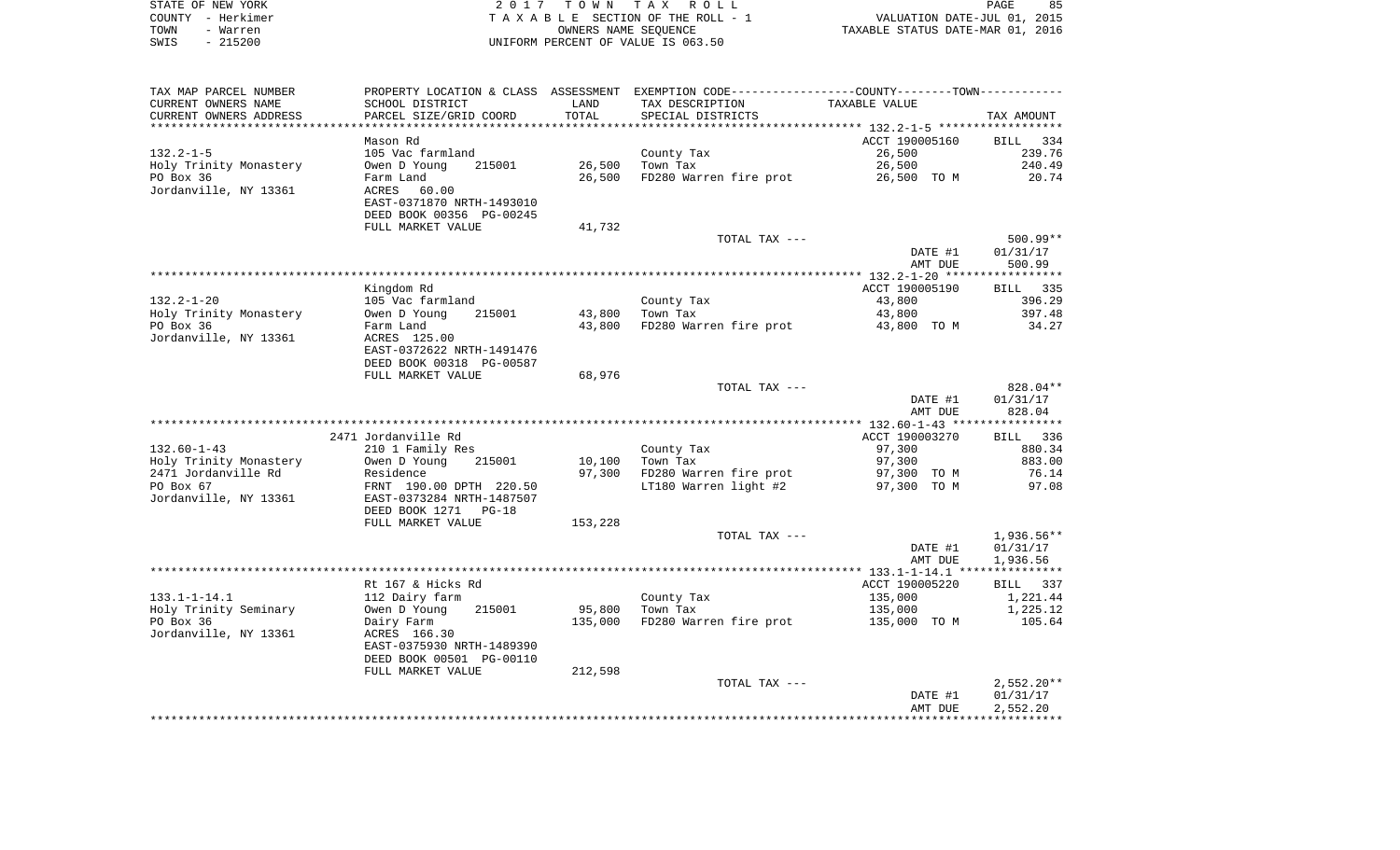| STATE OF NEW YORK | 2017 TOWN TAX ROLL                 | 85<br>PAGE                       |
|-------------------|------------------------------------|----------------------------------|
| COUNTY - Herkimer | TAXABLE SECTION OF THE ROLL - 1    | VALUATION DATE-JUL 01, 2015      |
| TOWN<br>- Warren  | OWNERS NAME SEOUENCE               | TAXABLE STATUS DATE-MAR 01, 2016 |
| - 215200<br>SWIS  | UNIFORM PERCENT OF VALUE IS 063.50 |                                  |

| TAX MAP PARCEL NUMBER              |                                |         | PROPERTY LOCATION & CLASS ASSESSMENT EXEMPTION CODE----------------COUNTY--------TOWN----------- |                |                           |
|------------------------------------|--------------------------------|---------|--------------------------------------------------------------------------------------------------|----------------|---------------------------|
| CURRENT OWNERS NAME                | SCHOOL DISTRICT                | LAND    | TAX DESCRIPTION                                                                                  | TAXABLE VALUE  |                           |
| CURRENT OWNERS ADDRESS             | PARCEL SIZE/GRID COORD         | TOTAL   | SPECIAL DISTRICTS                                                                                |                | TAX AMOUNT                |
|                                    |                                |         |                                                                                                  |                |                           |
|                                    | Mason Rd                       |         |                                                                                                  | ACCT 190005160 | BILL 334                  |
| $132.2 - 1 - 5$                    | 105 Vac farmland               |         | County Tax                                                                                       | 26,500         | 239.76                    |
| Holy Trinity Monastery             | Owen D Young<br>215001         | 26,500  | Town Tax                                                                                         | 26,500         | 240.49                    |
| PO Box 36                          | Farm Land                      | 26,500  | FD280 Warren fire prot                                                                           | 26,500 TO M    | 20.74                     |
| Jordanville, NY 13361              | ACRES<br>60.00                 |         |                                                                                                  |                |                           |
|                                    | EAST-0371870 NRTH-1493010      |         |                                                                                                  |                |                           |
|                                    | DEED BOOK 00356 PG-00245       |         |                                                                                                  |                |                           |
|                                    | FULL MARKET VALUE              | 41,732  |                                                                                                  |                |                           |
|                                    |                                |         | TOTAL TAX ---                                                                                    |                | $500.99**$                |
|                                    |                                |         |                                                                                                  | DATE #1        | 01/31/17                  |
|                                    |                                |         |                                                                                                  | AMT DUE        | 500.99                    |
|                                    |                                |         |                                                                                                  | ACCT 190005190 |                           |
| 132.2-1-20                         | Kingdom Rd<br>105 Vac farmland |         | County Tax                                                                                       | 43,800         | <b>BILL</b> 335<br>396.29 |
| Holy Trinity Monastery             | Owen D Young<br>215001         | 43,800  | Town Tax                                                                                         | 43,800         | 397.48                    |
| PO Box 36                          | Farm Land                      | 43,800  | FD280 Warren fire prot                                                                           | 43,800 TO M    | 34.27                     |
| Jordanville, NY 13361              | ACRES 125.00                   |         |                                                                                                  |                |                           |
|                                    | EAST-0372622 NRTH-1491476      |         |                                                                                                  |                |                           |
|                                    | DEED BOOK 00318 PG-00587       |         |                                                                                                  |                |                           |
|                                    | FULL MARKET VALUE              | 68,976  |                                                                                                  |                |                           |
|                                    |                                |         | TOTAL TAX ---                                                                                    |                | 828.04**                  |
|                                    |                                |         |                                                                                                  | DATE #1        | 01/31/17                  |
|                                    |                                |         |                                                                                                  | AMT DUE        | 828.04                    |
|                                    |                                |         |                                                                                                  |                |                           |
|                                    | 2471 Jordanville Rd            |         |                                                                                                  | ACCT 190003270 | BILL 336                  |
| $132.60 - 1 - 43$                  | 210 1 Family Res               |         | County Tax                                                                                       | 97,300         | 880.34                    |
| Holy Trinity Monastery             | Owen D Young<br>215001         | 10,100  | Town Tax                                                                                         | 97,300         | 883.00                    |
| 2471 Jordanville Rd                | Residence                      | 97,300  | FD280 Warren fire prot                                                                           | 97,300 TO M    | 76.14                     |
| PO Box 67                          | FRNT 190.00 DPTH 220.50        |         | LT180 Warren light #2                                                                            | 97,300 TO M    | 97.08                     |
| Jordanville, NY 13361              | EAST-0373284 NRTH-1487507      |         |                                                                                                  |                |                           |
|                                    | DEED BOOK 1271 PG-18           |         |                                                                                                  |                |                           |
|                                    | FULL MARKET VALUE              | 153,228 |                                                                                                  |                |                           |
|                                    |                                |         | TOTAL TAX ---                                                                                    |                | 1,936.56**                |
|                                    |                                |         |                                                                                                  | DATE #1        | 01/31/17                  |
|                                    |                                |         |                                                                                                  | AMT DUE        | 1,936.56                  |
|                                    |                                |         |                                                                                                  |                |                           |
|                                    | Rt 167 & Hicks Rd              |         |                                                                                                  | ACCT 190005220 | BILL 337                  |
| $133.1 - 1 - 14.1$                 | 112 Dairy farm                 |         | County Tax                                                                                       | 135,000        | 1,221.44                  |
| Holy Trinity Seminary<br>PO Box 36 | Owen D Young<br>215001         | 95,800  | Town Tax<br>FD280 Warren fire prot                                                               | 135,000        | 1,225.12<br>105.64        |
| Jordanville, NY 13361              | Dairy Farm<br>ACRES 166.30     | 135,000 |                                                                                                  | 135,000 TO M   |                           |
|                                    | EAST-0375930 NRTH-1489390      |         |                                                                                                  |                |                           |
|                                    | DEED BOOK 00501 PG-00110       |         |                                                                                                  |                |                           |
|                                    | FULL MARKET VALUE              | 212,598 |                                                                                                  |                |                           |
|                                    |                                |         | TOTAL TAX ---                                                                                    |                | 2,552.20**                |
|                                    |                                |         |                                                                                                  | DATE #1        | 01/31/17                  |
|                                    |                                |         |                                                                                                  | AMT DUE        | 2,552.20                  |
|                                    |                                |         |                                                                                                  |                |                           |
|                                    |                                |         |                                                                                                  |                |                           |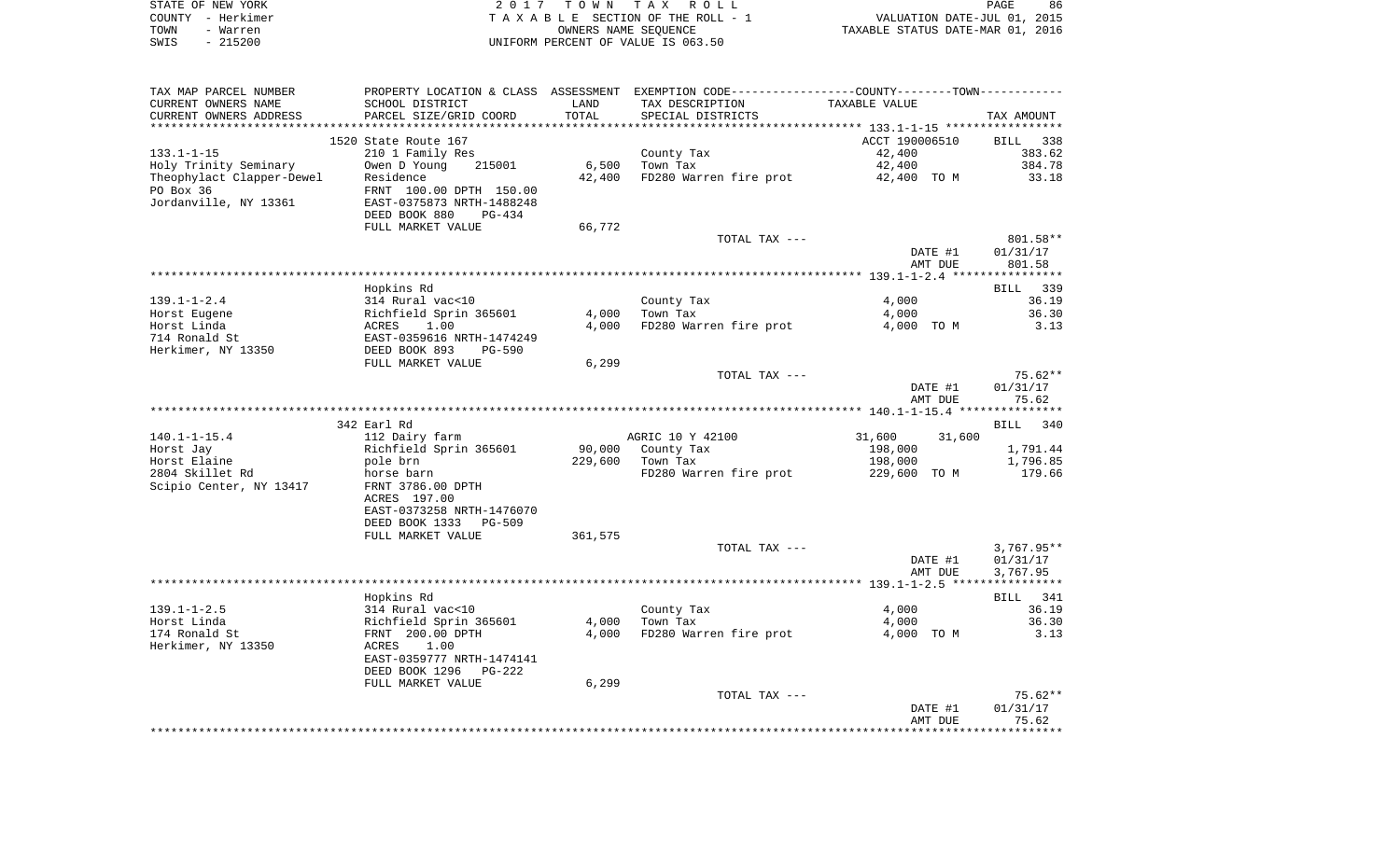|      | STATE OF NEW YORK | 2017 TOWN TAX ROLL                 | PAGE                             | 86 |
|------|-------------------|------------------------------------|----------------------------------|----|
|      | COUNTY – Herkimer | TAXABLE SECTION OF THE ROLL - 1    | VALUATION DATE-JUL 01, 2015      |    |
| TOWN | - Warren          | OWNERS NAME SEOUENCE               | TAXABLE STATUS DATE-MAR 01, 2016 |    |
| SWIS | - 215200          | UNIFORM PERCENT OF VALUE IS 063.50 |                                  |    |

| TAX MAP PARCEL NUMBER     |                                                                   |         | PROPERTY LOCATION & CLASS ASSESSMENT EXEMPTION CODE---------------COUNTY-------TOWN---------- |                  |                    |
|---------------------------|-------------------------------------------------------------------|---------|-----------------------------------------------------------------------------------------------|------------------|--------------------|
| CURRENT OWNERS NAME       | SCHOOL DISTRICT                                                   | LAND    | TAX DESCRIPTION                                                                               | TAXABLE VALUE    |                    |
| CURRENT OWNERS ADDRESS    | PARCEL SIZE/GRID COORD                                            | TOTAL   | SPECIAL DISTRICTS                                                                             |                  | TAX AMOUNT         |
|                           |                                                                   |         |                                                                                               |                  |                    |
|                           | 1520 State Route 167                                              |         |                                                                                               | ACCT 190006510   | BILL 338           |
| $133.1 - 1 - 15$          | 210 1 Family Res                                                  |         | County Tax                                                                                    | 42,400           | 383.62             |
|                           | 215001                                                            |         | Town Tax                                                                                      | 42,400           | 384.78             |
| Holy Trinity Seminary     | Owen D Young                                                      | 6,500   |                                                                                               |                  |                    |
| Theophylact Clapper-Dewel | Residence                                                         | 42,400  | FD280 Warren fire prot                                                                        | 42,400 TO M      | 33.18              |
| PO Box 36                 | FRNT 100.00 DPTH 150.00                                           |         |                                                                                               |                  |                    |
| Jordanville, NY 13361     | EAST-0375873 NRTH-1488248                                         |         |                                                                                               |                  |                    |
|                           | DEED BOOK 880<br>$PG-434$                                         |         |                                                                                               |                  |                    |
|                           | FULL MARKET VALUE                                                 | 66,772  |                                                                                               |                  |                    |
|                           |                                                                   |         | TOTAL TAX ---                                                                                 |                  | 801.58**           |
|                           |                                                                   |         |                                                                                               | DATE #1          | 01/31/17           |
|                           |                                                                   |         |                                                                                               | AMT DUE          | 801.58             |
|                           |                                                                   |         |                                                                                               |                  |                    |
|                           | Hopkins Rd                                                        |         |                                                                                               |                  | BILL 339           |
| $139.1 - 1 - 2.4$         | 314 Rural vac<10                                                  |         | County Tax                                                                                    | 4,000            | 36.19              |
| Horst Eugene              |                                                                   | 4,000   | Town Tax                                                                                      | 4,000            | 36.30              |
| Horst Linda               | Richfield Sprin 365601<br>ACRES 1.00<br>EAST-0359616 NRTH-1474249 | 4,000   | FD280 Warren fire prot                                                                        | 4,000 TO M       | 3.13               |
|                           |                                                                   |         |                                                                                               |                  |                    |
| 714 Ronald St             |                                                                   |         |                                                                                               |                  |                    |
| Herkimer, NY 13350        | DEED BOOK 893<br><b>PG-590</b>                                    |         |                                                                                               |                  |                    |
|                           | FULL MARKET VALUE                                                 | 6,299   |                                                                                               |                  |                    |
|                           |                                                                   |         | TOTAL TAX ---                                                                                 |                  | $75.62**$          |
|                           |                                                                   |         |                                                                                               | DATE #1          | 01/31/17           |
|                           |                                                                   |         |                                                                                               | AMT DUE          | 75.62              |
|                           |                                                                   |         |                                                                                               |                  |                    |
|                           | 342 Earl Rd                                                       |         |                                                                                               |                  | <b>BILL</b><br>340 |
| $140.1 - 1 - 15.4$        | 112 Dairy farm                                                    |         | AGRIC 10 Y 42100                                                                              | 31,600<br>31,600 |                    |
| Horst Jay                 | Richfield Sprin 365601                                            | 90,000  | County Tax                                                                                    | 198,000          | 1,791.44           |
| Horst Elaine              | pole brn                                                          | 229,600 | Town Tax                                                                                      | 198,000          | 1,796.85           |
| 2804 Skillet Rd           | horse barn                                                        |         | FD280 Warren fire prot                                                                        | 229,600 TO M     | 179.66             |
| Scipio Center, NY 13417   | FRNT 3786.00 DPTH                                                 |         |                                                                                               |                  |                    |
|                           | ACRES 197.00                                                      |         |                                                                                               |                  |                    |
|                           | EAST-0373258 NRTH-1476070                                         |         |                                                                                               |                  |                    |
|                           | DEED BOOK 1333<br>PG-509                                          |         |                                                                                               |                  |                    |
|                           |                                                                   |         |                                                                                               |                  |                    |
|                           | FULL MARKET VALUE                                                 | 361,575 |                                                                                               |                  |                    |
|                           |                                                                   |         | TOTAL TAX ---                                                                                 |                  | $3,767.95**$       |
|                           |                                                                   |         |                                                                                               | DATE #1          | 01/31/17           |
|                           |                                                                   |         |                                                                                               | AMT DUE          | 3,767.95           |
|                           |                                                                   |         |                                                                                               |                  |                    |
|                           | Hopkins Rd                                                        |         |                                                                                               |                  | BILL 341           |
| $139.1 - 1 - 2.5$         | 314 Rural vac<10                                                  |         | County Tax                                                                                    | 4,000            | 36.19              |
| Horst Linda               | Richfield Sprin 365601                                            | 4,000   | Town Tax                                                                                      | 4,000            | 36.30              |
| 174 Ronald St             | FRNT 200.00 DPTH                                                  | 4,000   | FD280 Warren fire prot                                                                        | 4,000 TO M       | 3.13               |
| Herkimer, NY 13350        | 1.00<br>ACRES                                                     |         |                                                                                               |                  |                    |
|                           | EAST-0359777 NRTH-1474141                                         |         |                                                                                               |                  |                    |
|                           | DEED BOOK 1296<br>PG-222                                          |         |                                                                                               |                  |                    |
|                           | FULL MARKET VALUE                                                 | 6,299   |                                                                                               |                  |                    |
|                           |                                                                   |         | TOTAL TAX ---                                                                                 |                  | $75.62**$          |
|                           |                                                                   |         |                                                                                               | DATE #1          | 01/31/17           |
|                           |                                                                   |         |                                                                                               |                  |                    |
|                           |                                                                   |         |                                                                                               | AMT DUE          | 75.62              |
|                           |                                                                   |         |                                                                                               |                  |                    |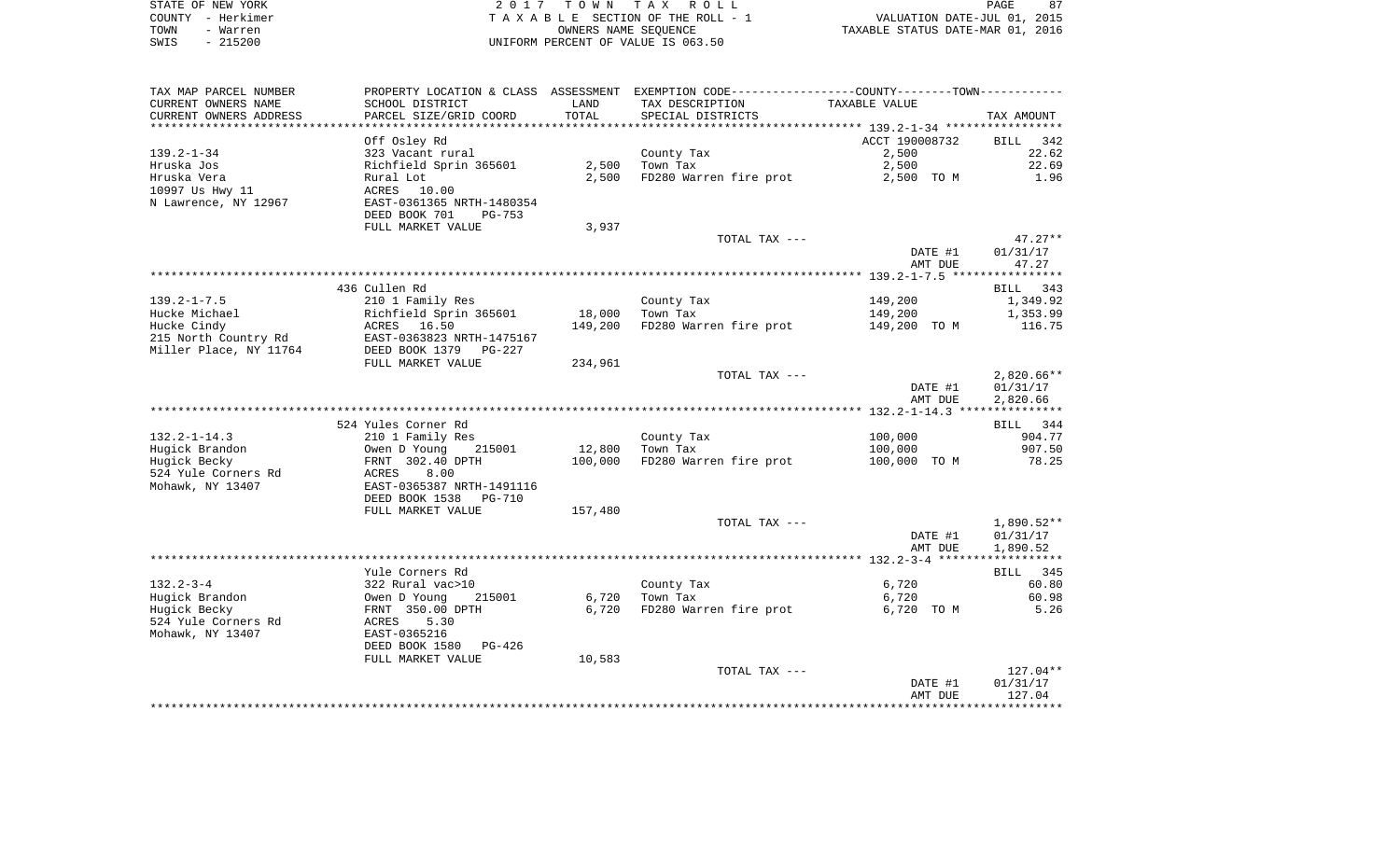| STATE OF NEW YORK | 2017 TOWN TAX ROLL                 | 87<br>PAGE                       |
|-------------------|------------------------------------|----------------------------------|
| COUNTY - Herkimer | TAXABLE SECTION OF THE ROLL - 1    | VALUATION DATE-JUL 01, 2015      |
| TOWN<br>- Warren  | OWNERS NAME SEOUENCE               | TAXABLE STATUS DATE-MAR 01, 2016 |
| $-215200$<br>SWIS | UNIFORM PERCENT OF VALUE IS 063.50 |                                  |

| TAX MAP PARCEL NUMBER  |                                               |         | PROPERTY LOCATION & CLASS ASSESSMENT EXEMPTION CODE----------------COUNTY-------TOWN---------- |                |              |
|------------------------|-----------------------------------------------|---------|------------------------------------------------------------------------------------------------|----------------|--------------|
| CURRENT OWNERS NAME    | SCHOOL DISTRICT                               | LAND    | TAX DESCRIPTION                                                                                | TAXABLE VALUE  |              |
| CURRENT OWNERS ADDRESS | PARCEL SIZE/GRID COORD                        | TOTAL   | SPECIAL DISTRICTS                                                                              |                | TAX AMOUNT   |
|                        |                                               |         |                                                                                                |                |              |
|                        | Off Osley Rd                                  |         |                                                                                                | ACCT 190008732 | BILL 342     |
| $139.2 - 1 - 34$       | 323 Vacant rural                              |         | County Tax                                                                                     | 2,500          | 22.62        |
| Hruska Jos             | Richfield Sprin 365601                        | 2,500   | Town Tax                                                                                       | 2,500          | 22.69        |
| Hruska Vera            | Rural Lot                                     | 2,500   | FD280 Warren fire prot                                                                         | 2,500 TO M     | 1.96         |
| 10997 Us Hwy 11        | 10.00<br>ACRES                                |         |                                                                                                |                |              |
| N Lawrence, NY 12967   | EAST-0361365 NRTH-1480354                     |         |                                                                                                |                |              |
|                        | DEED BOOK 701<br>$PG-753$                     |         |                                                                                                |                |              |
|                        | FULL MARKET VALUE                             | 3,937   |                                                                                                |                |              |
|                        |                                               |         | TOTAL TAX ---                                                                                  |                | $47.27**$    |
|                        |                                               |         |                                                                                                | DATE #1        | 01/31/17     |
|                        |                                               |         |                                                                                                | AMT DUE        | 47.27        |
|                        |                                               |         |                                                                                                |                |              |
|                        | 436 Cullen Rd                                 |         |                                                                                                |                | BILL 343     |
| $139.2 - 1 - 7.5$      | 210 1 Family Res                              |         | County Tax                                                                                     | 149,200        | 1,349.92     |
| Hucke Michael          | Richfield Sprin 365601                        | 18,000  | Town Tax                                                                                       | 149,200        | 1,353.99     |
| Hucke Cindy            | ACRES 16.50                                   | 149,200 | FD280 Warren fire prot                                                                         | 149,200 TO M   | 116.75       |
| 215 North Country Rd   | EAST-0363823 NRTH-1475167                     |         |                                                                                                |                |              |
| Miller Place, NY 11764 | DEED BOOK 1379<br>PG-227<br>FULL MARKET VALUE | 234,961 |                                                                                                |                |              |
|                        |                                               |         | TOTAL TAX ---                                                                                  |                | $2,820.66**$ |
|                        |                                               |         |                                                                                                | DATE #1        | 01/31/17     |
|                        |                                               |         |                                                                                                | AMT DUE        | 2,820.66     |
|                        |                                               |         |                                                                                                |                |              |
|                        | 524 Yules Corner Rd                           |         |                                                                                                |                | BILL 344     |
| $132.2 - 1 - 14.3$     | 210 1 Family Res                              |         | County Tax                                                                                     | 100,000        | 904.77       |
| Hugick Brandon         | Owen D Young<br>215001                        | 12,800  | Town Tax                                                                                       | 100,000        | 907.50       |
| Hugick Becky           | FRNT 302.40 DPTH                              | 100,000 | FD280 Warren fire prot                                                                         | 100,000 TO M   | 78.25        |
| 524 Yule Corners Rd    | ACRES<br>8.00                                 |         |                                                                                                |                |              |
| Mohawk, NY 13407       | EAST-0365387 NRTH-1491116                     |         |                                                                                                |                |              |
|                        | DEED BOOK 1538<br>PG-710                      |         |                                                                                                |                |              |
|                        | FULL MARKET VALUE                             | 157,480 |                                                                                                |                |              |
|                        |                                               |         | TOTAL TAX ---                                                                                  |                | 1,890.52**   |
|                        |                                               |         |                                                                                                | DATE #1        | 01/31/17     |
|                        |                                               |         |                                                                                                | AMT DUE        | 1,890.52     |
|                        |                                               |         |                                                                                                |                |              |
|                        | Yule Corners Rd                               |         |                                                                                                |                | BILL 345     |
| $132.2 - 3 - 4$        | 322 Rural vac>10                              |         | County Tax                                                                                     | 6,720          | 60.80        |
| Hugick Brandon         | 215001<br>Owen D Young                        | 6,720   | Town Tax                                                                                       | 6,720          | 60.98        |
| Hugick Becky           | FRNT 350.00 DPTH                              | 6,720   | FD280 Warren fire prot                                                                         | 6,720 TO M     | 5.26         |
| 524 Yule Corners Rd    | ACRES<br>5.30                                 |         |                                                                                                |                |              |
| Mohawk, NY 13407       | EAST-0365216                                  |         |                                                                                                |                |              |
|                        | DEED BOOK 1580<br>PG-426                      |         |                                                                                                |                |              |
|                        | FULL MARKET VALUE                             | 10,583  |                                                                                                |                |              |
|                        |                                               |         | TOTAL TAX ---                                                                                  |                | 127.04**     |
|                        |                                               |         |                                                                                                | DATE #1        | 01/31/17     |
|                        |                                               |         |                                                                                                | AMT DUE        | 127.04       |
|                        |                                               |         |                                                                                                |                |              |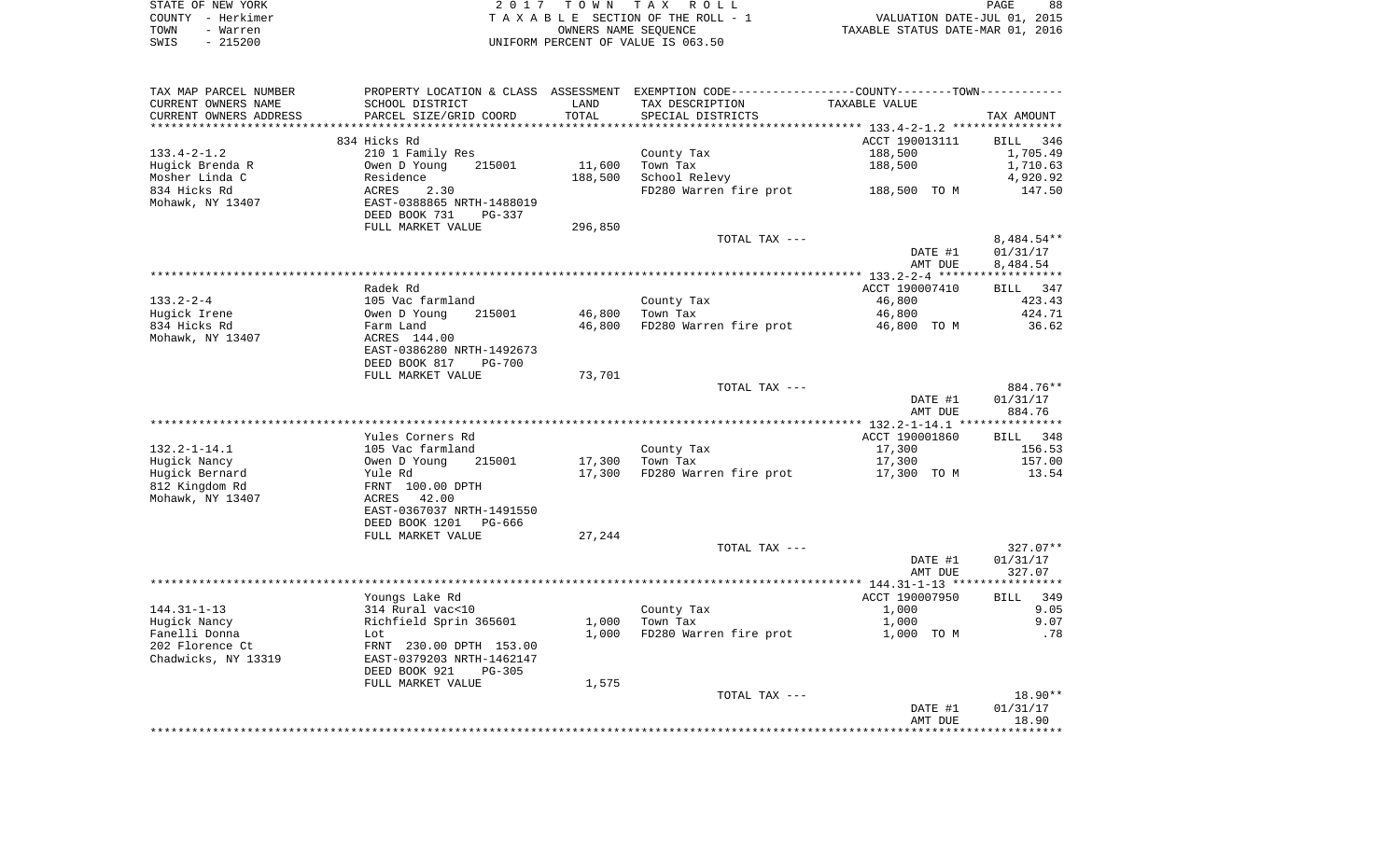| STATE OF NEW YORK | 2017 TOWN TAX ROLL                 | 88<br>PAGE                       |
|-------------------|------------------------------------|----------------------------------|
| COUNTY - Herkimer | TAXABLE SECTION OF THE ROLL - 1    | VALUATION DATE-JUL 01, 2015      |
| TOWN<br>- Warren  | OWNERS NAME SEOUENCE               | TAXABLE STATUS DATE-MAR 01, 2016 |
| $-215200$<br>SWIS | UNIFORM PERCENT OF VALUE IS 063.50 |                                  |

| TAX MAP PARCEL NUMBER  |                                                      |         | PROPERTY LOCATION & CLASS ASSESSMENT EXEMPTION CODE---------------COUNTY-------TOWN---------- |                |                        |
|------------------------|------------------------------------------------------|---------|-----------------------------------------------------------------------------------------------|----------------|------------------------|
| CURRENT OWNERS NAME    | SCHOOL DISTRICT                                      | LAND    | TAX DESCRIPTION                                                                               | TAXABLE VALUE  |                        |
| CURRENT OWNERS ADDRESS | PARCEL SIZE/GRID COORD                               | TOTAL   | SPECIAL DISTRICTS                                                                             |                | TAX AMOUNT             |
|                        |                                                      |         |                                                                                               |                |                        |
|                        | 834 Hicks Rd                                         |         |                                                                                               | ACCT 190013111 | BILL 346               |
| $133.4 - 2 - 1.2$      | 210 1 Family Res                                     |         | County Tax                                                                                    | 188,500        | 1,705.49               |
| Hugick Brenda R        | 215001<br>Owen D Young                               | 11,600  | Town Tax                                                                                      | 188,500        | 1,710.63               |
| Mosher Linda C         | Residence                                            | 188,500 | School Relevy                                                                                 |                | 4,920.92               |
| 834 Hicks Rd           | 2.30<br>ACRES                                        |         | FD280 Warren fire prot                                                                        | 188,500 TO M   | 147.50                 |
| Mohawk, NY 13407       | EAST-0388865 NRTH-1488019<br>DEED BOOK 731<br>PG-337 |         |                                                                                               |                |                        |
|                        | FULL MARKET VALUE                                    | 296,850 |                                                                                               |                |                        |
|                        |                                                      |         | TOTAL TAX ---                                                                                 |                | 8,484.54**             |
|                        |                                                      |         |                                                                                               | DATE #1        | 01/31/17               |
|                        |                                                      |         |                                                                                               | AMT DUE        | 8,484.54               |
|                        |                                                      |         |                                                                                               |                |                        |
|                        | Radek Rd                                             |         |                                                                                               | ACCT 190007410 | BILL 347               |
| $133.2 - 2 - 4$        | 105 Vac farmland                                     |         | County Tax                                                                                    | 46,800         | 423.43                 |
| Hugick Irene           | Owen D Young<br>215001                               | 46,800  | Town Tax                                                                                      | 46,800         | 424.71                 |
| 834 Hicks Rd           | Farm Land                                            | 46,800  | FD280 Warren fire prot                                                                        | 46,800 TO M    | 36.62                  |
| Mohawk, NY 13407       | ACRES 144.00                                         |         |                                                                                               |                |                        |
|                        | EAST-0386280 NRTH-1492673                            |         |                                                                                               |                |                        |
|                        | DEED BOOK 817<br><b>PG-700</b>                       |         |                                                                                               |                |                        |
|                        | FULL MARKET VALUE                                    | 73,701  |                                                                                               |                |                        |
|                        |                                                      |         | TOTAL TAX ---                                                                                 |                | 884.76**               |
|                        |                                                      |         |                                                                                               | DATE #1        | 01/31/17               |
|                        |                                                      |         |                                                                                               | AMT DUE        | 884.76                 |
|                        |                                                      |         |                                                                                               |                |                        |
|                        | Yules Corners Rd                                     |         |                                                                                               | ACCT 190001860 | BILL 348               |
| $132.2 - 1 - 14.1$     | 105 Vac farmland                                     |         | County Tax                                                                                    | 17,300         | 156.53                 |
| Hugick Nancy           | Owen D Young<br>215001                               | 17,300  | Town Tax                                                                                      | 17,300         | 157.00                 |
| Hugick Bernard         | Yule Rd                                              | 17,300  | FD280 Warren fire prot                                                                        | 17,300 TO M    | 13.54                  |
| 812 Kingdom Rd         | FRNT 100.00 DPTH                                     |         |                                                                                               |                |                        |
| Mohawk, NY 13407       | 42.00<br>ACRES                                       |         |                                                                                               |                |                        |
|                        | EAST-0367037 NRTH-1491550                            |         |                                                                                               |                |                        |
|                        | DEED BOOK 1201<br>PG-666                             |         |                                                                                               |                |                        |
|                        | FULL MARKET VALUE                                    | 27,244  |                                                                                               |                |                        |
|                        |                                                      |         | TOTAL TAX ---                                                                                 | DATE #1        | $327.07**$<br>01/31/17 |
|                        |                                                      |         |                                                                                               |                | 327.07                 |
|                        |                                                      |         |                                                                                               | AMT DUE        |                        |
|                        | Youngs Lake Rd                                       |         |                                                                                               | ACCT 190007950 | BILL 349               |
| $144.31 - 1 - 13$      | 314 Rural vac<10                                     |         | County Tax                                                                                    | 1,000          | 9.05                   |
| Hugick Nancy           | Richfield Sprin 365601                               | 1,000   | Town Tax                                                                                      | 1,000          | 9.07                   |
| Fanelli Donna          | Lot                                                  | 1,000   | FD280 Warren fire prot                                                                        | 1,000 TO M     | .78                    |
| 202 Florence Ct        | FRNT 230.00 DPTH 153.00                              |         |                                                                                               |                |                        |
| Chadwicks, NY 13319    | EAST-0379203 NRTH-1462147                            |         |                                                                                               |                |                        |
|                        | DEED BOOK 921<br>$PG-305$                            |         |                                                                                               |                |                        |
|                        | FULL MARKET VALUE                                    | 1,575   |                                                                                               |                |                        |
|                        |                                                      |         | TOTAL TAX ---                                                                                 |                | 18.90**                |
|                        |                                                      |         |                                                                                               | DATE #1        | 01/31/17               |
|                        |                                                      |         |                                                                                               | AMT DUE        | 18.90                  |
|                        |                                                      |         |                                                                                               |                |                        |
|                        |                                                      |         |                                                                                               |                |                        |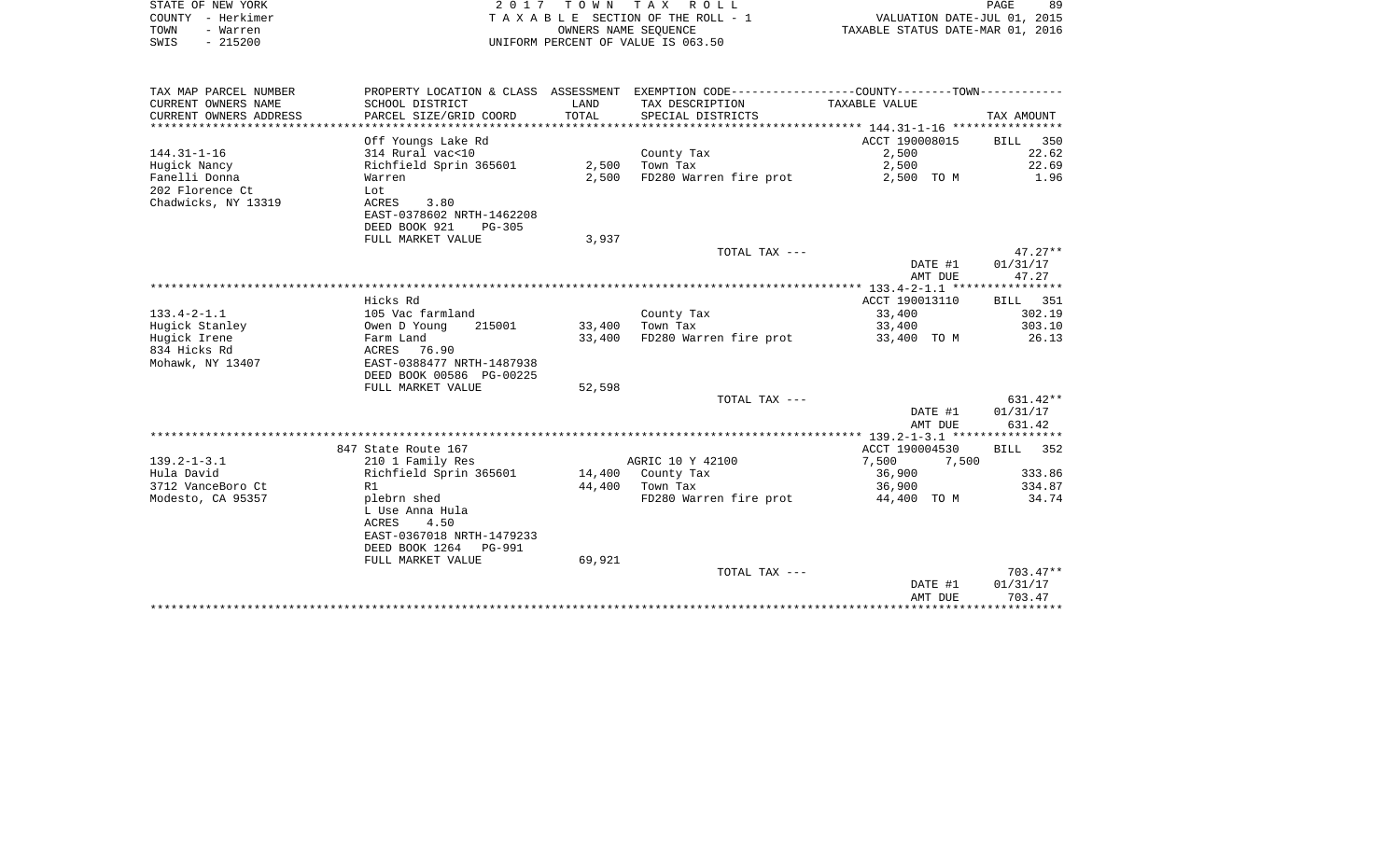| COUNTY - Herkimer<br>TOWN<br>- Warren<br>$-215200$<br>SWIS |                                          |        | TAXABLE SECTION OF THE ROLL - 1<br>OWNERS NAME SEQUENCE<br>UNIFORM PERCENT OF VALUE IS 063.50 | VALUATION DATE-JUL 01, 2015<br>TAXABLE STATUS DATE-MAR 01, 2016 |            |
|------------------------------------------------------------|------------------------------------------|--------|-----------------------------------------------------------------------------------------------|-----------------------------------------------------------------|------------|
| TAX MAP PARCEL NUMBER                                      |                                          |        | PROPERTY LOCATION & CLASS ASSESSMENT EXEMPTION CODE---------------COUNTY-------TOWN---------- |                                                                 |            |
| CURRENT OWNERS NAME                                        | SCHOOL DISTRICT                          | LAND   | TAX DESCRIPTION                                                                               | TAXABLE VALUE                                                   |            |
| CURRENT OWNERS ADDRESS                                     | PARCEL SIZE/GRID COORD                   | TOTAL  | SPECIAL DISTRICTS                                                                             |                                                                 | TAX AMOUNT |
|                                                            |                                          |        |                                                                                               |                                                                 |            |
|                                                            | Off Youngs Lake Rd                       |        |                                                                                               | ACCT 190008015                                                  | BILL 350   |
| 144.31-1-16                                                | 314 Rural vac<10                         |        | County Tax                                                                                    | 2,500                                                           | 22.62      |
| Hugick Nancy                                               | Richfield Sprin 365601                   |        | $2,500$ Town Tax                                                                              | 2,500                                                           | 22.69      |
| Fanelli Donna<br>202 Florence Ct                           | Warren<br>Lot                            | 2,500  | FD280 Warren fire prot                                                                        | 2,500 TO M                                                      | 1.96       |
| Chadwicks, NY 13319                                        | ACRES<br>3.80                            |        |                                                                                               |                                                                 |            |
|                                                            | EAST-0378602 NRTH-1462208                |        |                                                                                               |                                                                 |            |
|                                                            | DEED BOOK 921<br>$PG-305$                |        |                                                                                               |                                                                 |            |
|                                                            | FULL MARKET VALUE                        | 3,937  |                                                                                               |                                                                 |            |
|                                                            |                                          |        | TOTAL TAX ---                                                                                 |                                                                 | $47.27**$  |
|                                                            |                                          |        |                                                                                               | DATE #1                                                         | 01/31/17   |
|                                                            |                                          |        |                                                                                               | AMT DUE                                                         | 47.27      |
|                                                            |                                          |        |                                                                                               |                                                                 |            |
|                                                            | Hicks Rd                                 |        |                                                                                               | ACCT 190013110                                                  | BILL 351   |
| $133.4 - 2 - 1.1$                                          | 105 Vac farmland                         |        | County Tax                                                                                    | 33,400                                                          | 302.19     |
| Hugick Stanley                                             | Owen D Young<br>215001                   |        | 33,400 Town Tax                                                                               | 33,400                                                          | 303.10     |
| Huqick Irene                                               | Farm Land                                | 33,400 | FD280 Warren fire prot                                                                        | 33,400 TO M                                                     | 26.13      |
| 834 Hicks Rd<br>Mohawk, NY 13407                           | ACRES 76.90<br>EAST-0388477 NRTH-1487938 |        |                                                                                               |                                                                 |            |
|                                                            | DEED BOOK 00586 PG-00225                 |        |                                                                                               |                                                                 |            |
|                                                            | FULL MARKET VALUE                        | 52,598 |                                                                                               |                                                                 |            |
|                                                            |                                          |        | TOTAL TAX ---                                                                                 |                                                                 | $631.42**$ |
|                                                            |                                          |        |                                                                                               | DATE #1                                                         | 01/31/17   |
|                                                            |                                          |        |                                                                                               | AMT DUE                                                         | 631.42     |
|                                                            |                                          |        |                                                                                               |                                                                 |            |
|                                                            | 847 State Route 167                      |        |                                                                                               | ACCT 190004530                                                  | BILL 352   |
| 139.2-1-3.1                                                | 210 1 Family Res                         |        | AGRIC 10 Y 42100                                                                              | 7,500<br>7,500                                                  |            |
| Hula David                                                 | Richfield Sprin 365601                   |        | 14,400 County Tax                                                                             | 36,900                                                          | 333.86     |
| 3712 VanceBoro Ct                                          | R1                                       |        | 44,400 Town Tax                                                                               | 36,900                                                          | 334.87     |
| Modesto, CA 95357                                          | plebrn shed                              |        | FD280 Warren fire prot                                                                        | 44,400 TO M                                                     | 34.74      |
|                                                            | L Use Anna Hula<br>4.50<br>ACRES         |        |                                                                                               |                                                                 |            |
|                                                            | EAST-0367018 NRTH-1479233                |        |                                                                                               |                                                                 |            |
|                                                            | DEED BOOK 1264 PG-991                    |        |                                                                                               |                                                                 |            |
|                                                            | FULL MARKET VALUE                        | 69,921 |                                                                                               |                                                                 |            |
|                                                            |                                          |        | TOTAL TAX ---                                                                                 |                                                                 | $703.47**$ |
|                                                            |                                          |        |                                                                                               | DATE #1                                                         | 01/31/17   |
|                                                            |                                          |        |                                                                                               | AMT DUE                                                         | 703.47     |
|                                                            |                                          |        |                                                                                               |                                                                 |            |

PAGE 89

STATE OF NEW YORK **EXECUTE:** TOWN TAX ROLL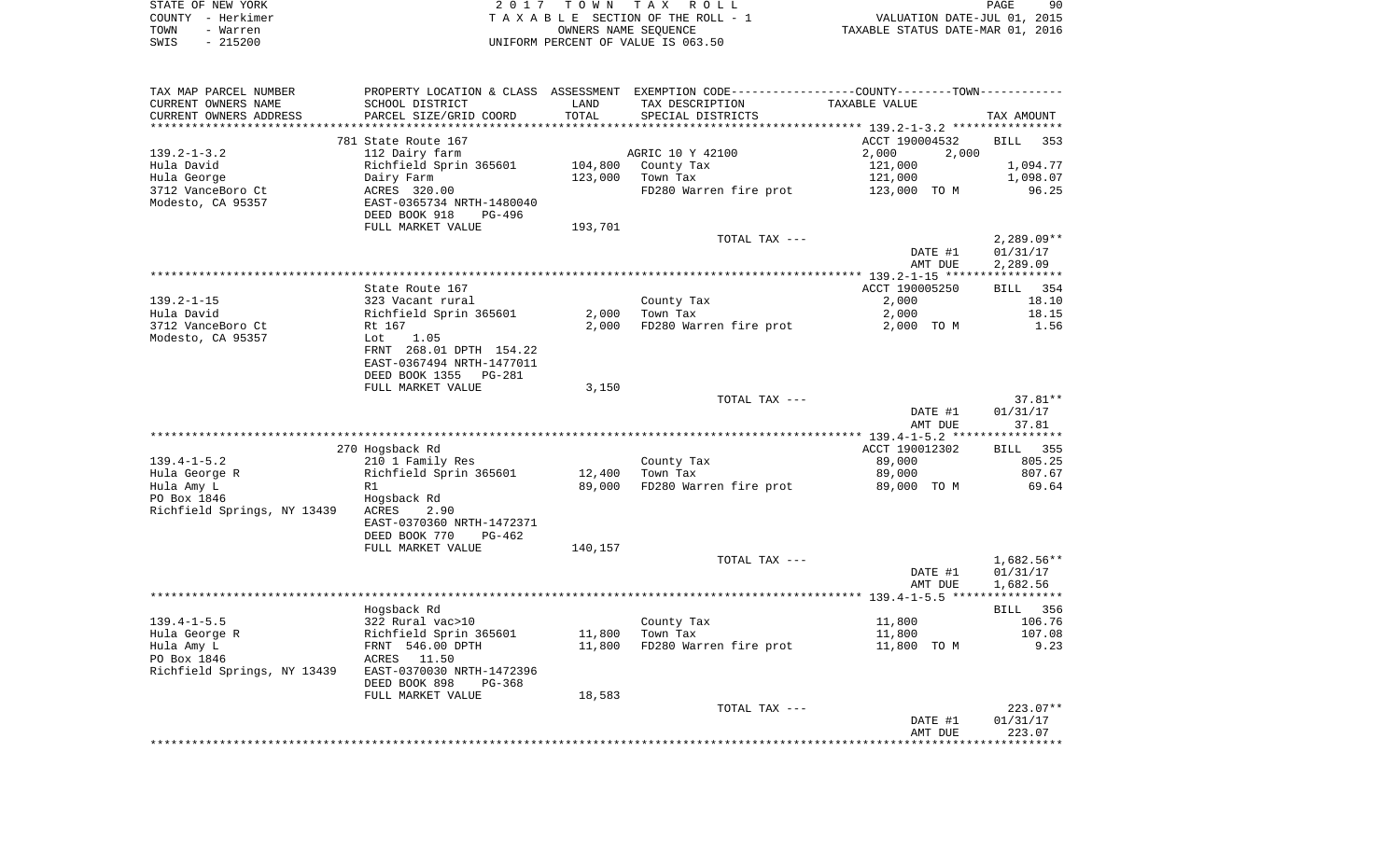|      | STATE OF NEW YORK | 2017 TOWN TAX ROLL                 | PAGE                             | 90 |
|------|-------------------|------------------------------------|----------------------------------|----|
|      | COUNTY - Herkimer | TAXABLE SECTION OF THE ROLL - 1    | VALUATION DATE-JUL 01, 2015      |    |
| TOWN | - Warren          | OWNERS NAME SEOUENCE               | TAXABLE STATUS DATE-MAR 01, 2016 |    |
| SWIS | - 215200          | UNIFORM PERCENT OF VALUE IS 063.50 |                                  |    |

| TAX MAP PARCEL NUMBER       |                           |         | PROPERTY LOCATION & CLASS ASSESSMENT EXEMPTION CODE---------------COUNTY-------TOWN---------- |                |              |
|-----------------------------|---------------------------|---------|-----------------------------------------------------------------------------------------------|----------------|--------------|
| CURRENT OWNERS NAME         | SCHOOL DISTRICT           | LAND    | TAX DESCRIPTION                                                                               | TAXABLE VALUE  |              |
| CURRENT OWNERS ADDRESS      | PARCEL SIZE/GRID COORD    | TOTAL   | SPECIAL DISTRICTS                                                                             |                | TAX AMOUNT   |
|                             |                           |         |                                                                                               |                |              |
|                             | 781 State Route 167       |         |                                                                                               | ACCT 190004532 | BILL 353     |
| $139.2 - 1 - 3.2$           | 112 Dairy farm            |         | AGRIC 10 Y 42100                                                                              | 2,000<br>2,000 |              |
| Hula David                  | Richfield Sprin 365601    | 104,800 | County Tax                                                                                    | 121,000        | 1,094.77     |
| Hula George                 | Dairy Farm                | 123,000 | Town Tax                                                                                      | 121,000        | 1,098.07     |
| 3712 VanceBoro Ct           | ACRES 320.00              |         | FD280 Warren fire prot                                                                        | 123,000 TO M   | 96.25        |
| Modesto, CA 95357           | EAST-0365734 NRTH-1480040 |         |                                                                                               |                |              |
|                             |                           |         |                                                                                               |                |              |
|                             | DEED BOOK 918<br>PG-496   |         |                                                                                               |                |              |
|                             | FULL MARKET VALUE         | 193,701 |                                                                                               |                |              |
|                             |                           |         | TOTAL TAX ---                                                                                 |                | $2,289.09**$ |
|                             |                           |         |                                                                                               | DATE #1        | 01/31/17     |
|                             |                           |         |                                                                                               | AMT DUE        | 2,289.09     |
|                             |                           |         |                                                                                               |                |              |
|                             | State Route 167           |         |                                                                                               | ACCT 190005250 | 354<br>BILL  |
| $139.2 - 1 - 15$            | 323 Vacant rural          |         | County Tax                                                                                    | 2,000          | 18.10        |
| Hula David                  | Richfield Sprin 365601    | 2,000   | Town Tax                                                                                      | 2,000          | 18.15        |
| 3712 VanceBoro Ct           | Rt 167                    | 2,000   | FD280 Warren fire prot                                                                        | 2,000 TO M     | 1.56         |
| Modesto, CA 95357           | Lot<br>1.05               |         |                                                                                               |                |              |
|                             | FRNT 268.01 DPTH 154.22   |         |                                                                                               |                |              |
|                             | EAST-0367494 NRTH-1477011 |         |                                                                                               |                |              |
|                             | DEED BOOK 1355 PG-281     |         |                                                                                               |                |              |
|                             | FULL MARKET VALUE         | 3,150   |                                                                                               |                |              |
|                             |                           |         | TOTAL TAX ---                                                                                 |                | $37.81**$    |
|                             |                           |         |                                                                                               |                | 01/31/17     |
|                             |                           |         |                                                                                               | DATE #1        |              |
|                             |                           |         |                                                                                               | AMT DUE        | 37.81        |
|                             |                           |         |                                                                                               |                |              |
|                             | 270 Hogsback Rd           |         |                                                                                               | ACCT 190012302 | BILL 355     |
| $139.4 - 1 - 5.2$           | 210 1 Family Res          |         | County Tax                                                                                    | 89,000         | 805.25       |
| Hula George R               | Richfield Sprin 365601    | 12,400  | Town Tax                                                                                      | 89,000         | 807.67       |
| Hula Amy L                  | R1                        | 89,000  | FD280 Warren fire prot                                                                        | 89,000 TO M    | 69.64        |
| PO Box 1846                 | Hogsback Rd               |         |                                                                                               |                |              |
| Richfield Springs, NY 13439 | ACRES<br>2.90             |         |                                                                                               |                |              |
|                             | EAST-0370360 NRTH-1472371 |         |                                                                                               |                |              |
|                             | DEED BOOK 770<br>PG-462   |         |                                                                                               |                |              |
|                             | FULL MARKET VALUE         | 140,157 |                                                                                               |                |              |
|                             |                           |         | TOTAL TAX ---                                                                                 |                | $1,682.56**$ |
|                             |                           |         |                                                                                               | DATE #1        | 01/31/17     |
|                             |                           |         |                                                                                               | AMT DUE        | 1,682.56     |
|                             |                           |         |                                                                                               |                |              |
|                             | Hogsback Rd               |         |                                                                                               |                | BILL 356     |
| $139.4 - 1 - 5.5$           | 322 Rural vac>10          |         | County Tax                                                                                    | 11,800         | 106.76       |
|                             |                           | 11,800  | Town Tax                                                                                      | 11,800         | 107.08       |
| Hula George R               | Richfield Sprin 365601    |         |                                                                                               |                |              |
| Hula Amy L                  | FRNT 546.00 DPTH          | 11,800  | FD280 Warren fire prot                                                                        | 11,800 TO M    | 9.23         |
| PO Box 1846                 | ACRES 11.50               |         |                                                                                               |                |              |
| Richfield Springs, NY 13439 | EAST-0370030 NRTH-1472396 |         |                                                                                               |                |              |
|                             | DEED BOOK 898<br>PG-368   |         |                                                                                               |                |              |
|                             | FULL MARKET VALUE         | 18,583  |                                                                                               |                |              |
|                             |                           |         | TOTAL TAX ---                                                                                 |                | $223.07**$   |
|                             |                           |         |                                                                                               | DATE #1        | 01/31/17     |
|                             |                           |         |                                                                                               | AMT DUE        | 223.07       |
|                             |                           |         |                                                                                               |                |              |
|                             |                           |         |                                                                                               |                |              |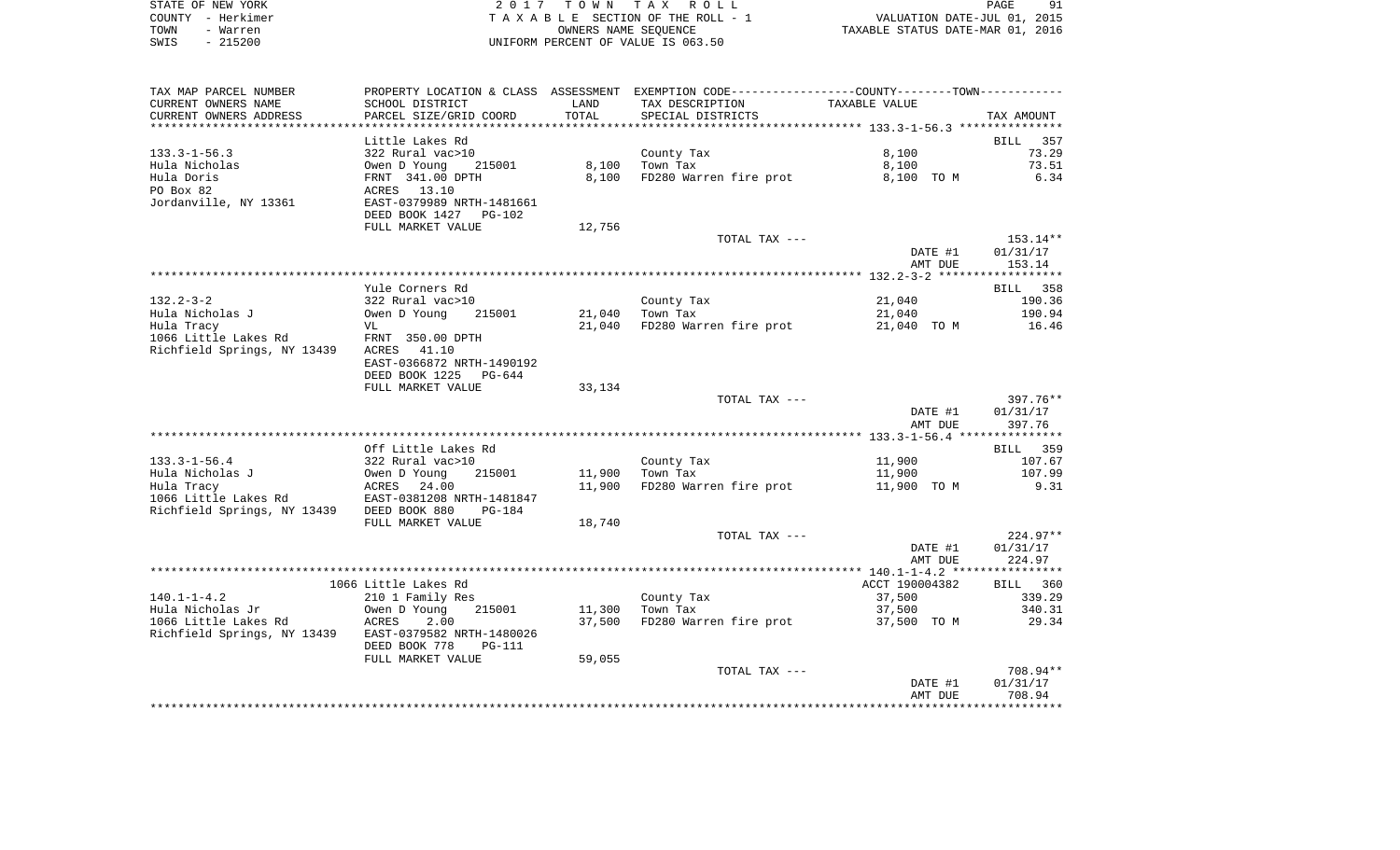| STATE OF NEW YORK | 2017 TOWN TAX ROLL                 | 91<br>PAGE                       |
|-------------------|------------------------------------|----------------------------------|
| COUNTY – Herkimer | TAXABLE SECTION OF THE ROLL - 1    | VALUATION DATE-JUL 01, 2015      |
| TOWN<br>- Warren  | OWNERS NAME SEOUENCE               | TAXABLE STATUS DATE-MAR 01, 2016 |
| $-215200$<br>SWIS | UNIFORM PERCENT OF VALUE IS 063.50 |                                  |

| TAX MAP PARCEL NUMBER                                 |                                                                        |        | PROPERTY LOCATION & CLASS ASSESSMENT EXEMPTION CODE---------------COUNTY-------TOWN---------- |                |            |
|-------------------------------------------------------|------------------------------------------------------------------------|--------|-----------------------------------------------------------------------------------------------|----------------|------------|
| CURRENT OWNERS NAME                                   | SCHOOL DISTRICT                                                        | LAND   | TAX DESCRIPTION                                                                               | TAXABLE VALUE  |            |
| CURRENT OWNERS ADDRESS                                | PARCEL SIZE/GRID COORD                                                 | TOTAL  | SPECIAL DISTRICTS                                                                             |                | TAX AMOUNT |
|                                                       |                                                                        |        |                                                                                               |                |            |
|                                                       | Little Lakes Rd                                                        |        |                                                                                               |                | BILL 357   |
| $133.3 - 1 - 56.3$                                    |                                                                        |        | County Tax                                                                                    | 8,100          | 73.29      |
| Hula Nicholas                                         | 215001                                                                 | 8,100  | Town Tax                                                                                      | 8,100          | 73.51      |
| Hula Doris                                            |                                                                        | 8,100  | FD280 Warren fire prot                                                                        | 8,100 TO M     | 6.34       |
| PO Box 82                                             | 322 Rural vac>10<br>0wen D Young 21<br>FRNT 341.00 DPTH<br>ACRES 13.10 |        |                                                                                               |                |            |
| Jordanville, NY 13361                                 | EAST-0379989 NRTH-1481661                                              |        |                                                                                               |                |            |
|                                                       | DEED BOOK 1427 PG-102                                                  |        |                                                                                               |                |            |
|                                                       | FULL MARKET VALUE                                                      | 12,756 |                                                                                               |                |            |
|                                                       |                                                                        |        | TOTAL TAX ---                                                                                 |                | 153.14**   |
|                                                       |                                                                        |        |                                                                                               | DATE #1        | 01/31/17   |
|                                                       |                                                                        |        |                                                                                               | AMT DUE        | 153.14     |
|                                                       |                                                                        |        |                                                                                               |                |            |
|                                                       | Yule Corners Rd                                                        |        |                                                                                               |                | BILL 358   |
| $132.2 - 3 - 2$                                       | 322 Rural vac>10                                                       |        | County Tax                                                                                    | 21,040         | 190.36     |
| Hula Nicholas J<br>Hula Nicholas J                    | Owen D Young<br>215001                                                 |        | 21,040 Town Tax                                                                               | 21,040         | 190.94     |
| Hula Tracy                                            | VL                                                                     | 21,040 | FD280 Warren fire prot                                                                        | 21,040 TO M    | 16.46      |
| 1066 Little Lakes Rd                                  | FRNT 350.00 DPTH                                                       |        |                                                                                               |                |            |
| Richfield Springs, NY 13439 ACRES 41.10               |                                                                        |        |                                                                                               |                |            |
|                                                       | EAST-0366872 NRTH-1490192                                              |        |                                                                                               |                |            |
|                                                       | DEED BOOK 1225 PG-644                                                  |        |                                                                                               |                |            |
|                                                       | FULL MARKET VALUE                                                      | 33,134 |                                                                                               |                |            |
|                                                       |                                                                        |        | TOTAL TAX ---                                                                                 |                | 397.76**   |
|                                                       |                                                                        |        |                                                                                               | DATE #1        | 01/31/17   |
|                                                       |                                                                        |        |                                                                                               | AMT DUE        | 397.76     |
|                                                       |                                                                        |        |                                                                                               |                |            |
|                                                       | Off Little Lakes Rd                                                    |        |                                                                                               |                | BILL 359   |
| 133.3-1-56.4                                          | 322 Rural vac>10                                                       |        | County Tax                                                                                    | 11,900         | 107.67     |
|                                                       |                                                                        |        | 11,900 Town Tax                                                                               | 11,900         | 107.99     |
|                                                       |                                                                        | 11,900 | FD280 Warren fire prot                                                                        | 11,900 TO M    | 9.31       |
|                                                       |                                                                        |        |                                                                                               |                |            |
| Richfield Springs, NY 13439 DEED BOOK 880             | $PG-184$                                                               |        |                                                                                               |                |            |
|                                                       | FULL MARKET VALUE                                                      | 18,740 |                                                                                               |                |            |
|                                                       |                                                                        |        | TOTAL TAX ---                                                                                 |                | $224.97**$ |
|                                                       |                                                                        |        |                                                                                               | DATE #1        | 01/31/17   |
|                                                       |                                                                        |        |                                                                                               | AMT DUE        | 224.97     |
|                                                       |                                                                        |        |                                                                                               |                |            |
|                                                       | 1066 Little Lakes Rd                                                   |        |                                                                                               | ACCT 190004382 | BILL 360   |
| $140.1 - 1 - 4.2$                                     | 210 1 Family Res                                                       |        | County Tax                                                                                    | 37,500         | 339.29     |
|                                                       |                                                                        |        | 11,300 Town Tax                                                                               | 37,500         | 340.31     |
|                                                       |                                                                        |        | 37,500 FD280 Warren fire prot 37,500 TO M                                                     |                | 29.34      |
| Richfield Springs, NY 13439 EAST-0379582 NRTH-1480026 |                                                                        |        |                                                                                               |                |            |
|                                                       | DEED BOOK 778<br>PG-111                                                |        |                                                                                               |                |            |
|                                                       | FULL MARKET VALUE                                                      | 59,055 |                                                                                               |                |            |
|                                                       |                                                                        |        | TOTAL TAX ---                                                                                 |                | 708.94**   |
|                                                       |                                                                        |        |                                                                                               | DATE #1        | 01/31/17   |
|                                                       |                                                                        |        |                                                                                               | AMT DUE        | 708.94     |
|                                                       |                                                                        |        |                                                                                               |                |            |
|                                                       |                                                                        |        |                                                                                               |                |            |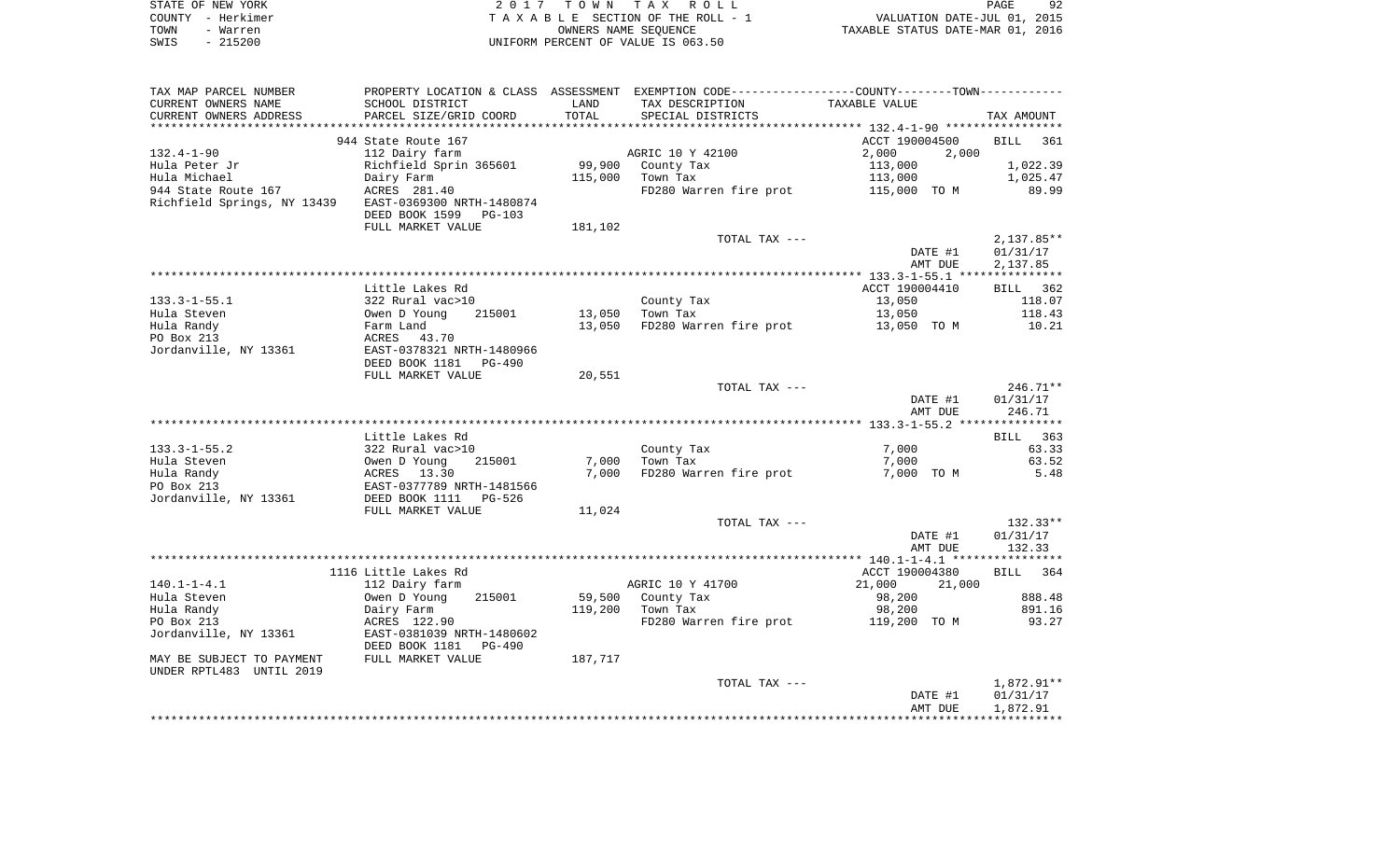|      | STATE OF NEW YORK | 2017 TOWN TAX ROLL                 | PAGE                             | 92 |
|------|-------------------|------------------------------------|----------------------------------|----|
|      | COUNTY – Herkimer | TAXABLE SECTION OF THE ROLL - 1    | VALUATION DATE-JUL 01, 2015      |    |
| TOWN | - Warren          | OWNERS NAME SEOUENCE               | TAXABLE STATUS DATE-MAR 01, 2016 |    |
| SWIS | - 215200          | UNIFORM PERCENT OF VALUE IS 063.50 |                                  |    |

| TAX MAP PARCEL NUMBER       |                                 |         | PROPERTY LOCATION & CLASS ASSESSMENT EXEMPTION CODE---------------COUNTY-------TOWN---------- |                  |                 |
|-----------------------------|---------------------------------|---------|-----------------------------------------------------------------------------------------------|------------------|-----------------|
| CURRENT OWNERS NAME         | SCHOOL DISTRICT                 | LAND    | TAX DESCRIPTION                                                                               | TAXABLE VALUE    |                 |
| CURRENT OWNERS ADDRESS      | PARCEL SIZE/GRID COORD          | TOTAL   | SPECIAL DISTRICTS                                                                             |                  | TAX AMOUNT      |
|                             |                                 |         |                                                                                               |                  |                 |
|                             | 944 State Route 167             |         |                                                                                               | ACCT 190004500   | <b>BILL</b> 361 |
| $132.4 - 1 - 90$            | 112 Dairy farm                  |         | AGRIC 10 Y 42100                                                                              | 2,000<br>2,000   |                 |
| Hula Peter Jr               | Richfield Sprin 365601          |         | 99,900 County Tax                                                                             | 113,000          | 1,022.39        |
| Hula Michael                | Dairy Farm                      | 115,000 | Town Tax                                                                                      | 113,000          | 1,025.47        |
| 944 State Route 167         | ACRES 281.40                    |         | FD280 Warren fire prot                                                                        | 115,000 TO M     | 89.99           |
| Richfield Springs, NY 13439 | EAST-0369300 NRTH-1480874       |         |                                                                                               |                  |                 |
|                             |                                 |         |                                                                                               |                  |                 |
|                             | DEED BOOK 1599 PG-103           |         |                                                                                               |                  |                 |
|                             | FULL MARKET VALUE               | 181,102 |                                                                                               |                  |                 |
|                             |                                 |         | TOTAL TAX ---                                                                                 |                  | $2,137.85**$    |
|                             |                                 |         |                                                                                               | DATE #1          | 01/31/17        |
|                             |                                 |         |                                                                                               | AMT DUE          | 2,137.85        |
|                             |                                 |         |                                                                                               |                  |                 |
|                             | Little Lakes Rd                 |         |                                                                                               | ACCT 190004410   | BILL 362        |
| $133.3 - 1 - 55.1$          | 322 Rural vac>10                |         | County Tax                                                                                    | 13,050           | 118.07          |
| Hula Steven                 | Owen D Young<br>215001          | 13,050  | Town Tax                                                                                      | 13,050           | 118.43          |
| Hula Randy                  | Farm Land                       | 13,050  | FD280 Warren fire prot                                                                        | 13,050 TO M      | 10.21           |
| PO Box 213                  | ACRES 43.70                     |         |                                                                                               |                  |                 |
| Jordanville, NY 13361       | EAST-0378321 NRTH-1480966       |         |                                                                                               |                  |                 |
|                             | DEED BOOK 1181 PG-490           |         |                                                                                               |                  |                 |
|                             | FULL MARKET VALUE               | 20,551  |                                                                                               |                  |                 |
|                             |                                 |         |                                                                                               |                  | $246.71**$      |
|                             |                                 |         | TOTAL TAX ---                                                                                 |                  |                 |
|                             |                                 |         |                                                                                               | DATE #1          | 01/31/17        |
|                             |                                 |         |                                                                                               | AMT DUE          | 246.71          |
|                             |                                 |         |                                                                                               |                  |                 |
|                             | Little Lakes Rd                 |         |                                                                                               |                  | BILL 363        |
| $133.3 - 1 - 55.2$          | 322 Rural vac>10                |         | County Tax                                                                                    | 7,000            | 63.33           |
| Hula Steven                 | Owen D Young<br>215001          | 7,000   | Town Tax                                                                                      | 7,000            | 63.52           |
| Hula Randy                  | ACRES 13.30                     | 7,000   | FD280 Warren fire prot                                                                        | 7,000 TO M       | 5.48            |
| PO Box 213                  | EAST-0377789 NRTH-1481566       |         |                                                                                               |                  |                 |
| Jordanville, NY 13361       | DEED BOOK 1111 PG-526           |         |                                                                                               |                  |                 |
|                             | FULL MARKET VALUE               | 11,024  |                                                                                               |                  |                 |
|                             |                                 |         | TOTAL TAX ---                                                                                 |                  | $132.33**$      |
|                             |                                 |         |                                                                                               | DATE #1          | 01/31/17        |
|                             |                                 |         |                                                                                               | AMT DUE          | 132.33          |
|                             |                                 |         |                                                                                               |                  |                 |
|                             | 1116 Little Lakes Rd            |         |                                                                                               | ACCT 190004380   | BILL 364        |
| $140.1 - 1 - 4.1$           | 112 Dairy farm                  |         | AGRIC 10 Y 41700                                                                              | 21,000<br>21,000 |                 |
| Hula Steven                 | Owen D Young<br>215001          | 59,500  | County Tax                                                                                    | 98,200           | 888.48          |
|                             |                                 |         |                                                                                               |                  | 891.16          |
| Hula Randy                  | Dairy Farm                      | 119,200 | Town Tax                                                                                      | 98,200           |                 |
| PO Box 213                  | ACRES 122.90                    |         | FD280 Warren fire prot                                                                        | 119,200 TO M     | 93.27           |
| Jordanville, NY 13361       | EAST-0381039 NRTH-1480602       |         |                                                                                               |                  |                 |
|                             | DEED BOOK 1181<br><b>PG-490</b> |         |                                                                                               |                  |                 |
| MAY BE SUBJECT TO PAYMENT   | FULL MARKET VALUE               | 187,717 |                                                                                               |                  |                 |
| UNDER RPTL483 UNTIL 2019    |                                 |         |                                                                                               |                  |                 |
|                             |                                 |         | TOTAL TAX ---                                                                                 |                  | 1,872.91**      |
|                             |                                 |         |                                                                                               | DATE #1          | 01/31/17        |
|                             |                                 |         |                                                                                               | AMT DUE          | 1,872.91        |
|                             |                                 |         |                                                                                               |                  |                 |
|                             |                                 |         |                                                                                               |                  |                 |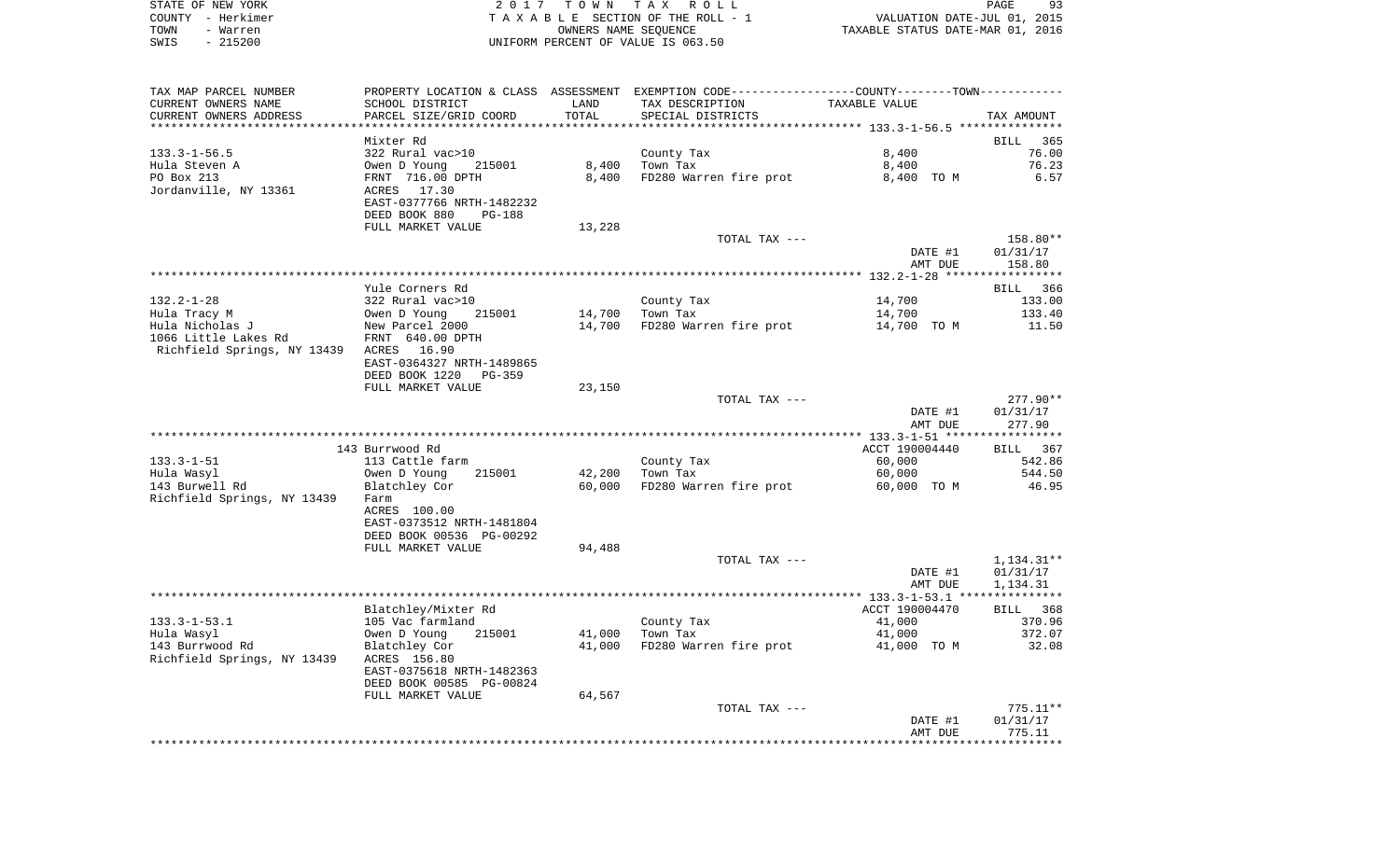|      | STATE OF NEW YORK | 2017 TOWN TAX ROLL                 | PAGE                             | 93 |
|------|-------------------|------------------------------------|----------------------------------|----|
|      | COUNTY - Herkimer | TAXABLE SECTION OF THE ROLL - 1    | VALUATION DATE-JUL 01, 2015      |    |
| TOWN | - Warren          | OWNERS NAME SEOUENCE               | TAXABLE STATUS DATE-MAR 01, 2016 |    |
| SWIS | $-215200$         | UNIFORM PERCENT OF VALUE IS 063.50 |                                  |    |

| TAX MAP PARCEL NUMBER                             |                                           |        | PROPERTY LOCATION & CLASS ASSESSMENT EXEMPTION CODE---------------COUNTY-------TOWN---------- |                                  |                      |
|---------------------------------------------------|-------------------------------------------|--------|-----------------------------------------------------------------------------------------------|----------------------------------|----------------------|
| CURRENT OWNERS NAME                               | SCHOOL DISTRICT                           | LAND   | TAX DESCRIPTION                                                                               | TAXABLE VALUE                    |                      |
| CURRENT OWNERS ADDRESS<br>*********************** | PARCEL SIZE/GRID COORD                    | TOTAL  | SPECIAL DISTRICTS                                                                             |                                  | TAX AMOUNT           |
|                                                   |                                           |        |                                                                                               |                                  |                      |
| $133.3 - 1 - 56.5$                                | Mixter Rd<br>322 Rural vac>10             |        | County Tax                                                                                    | 8,400                            | BILL<br>365<br>76.00 |
| Hula Steven A                                     | Owen D Young<br>215001                    | 8,400  | Town Tax                                                                                      | 8,400                            | 76.23                |
| PO Box 213                                        | FRNT 716.00 DPTH                          | 8,400  | FD280 Warren fire prot                                                                        | 8,400 TO M                       | 6.57                 |
| Jordanville, NY 13361                             | 17.30<br>ACRES                            |        |                                                                                               |                                  |                      |
|                                                   | EAST-0377766 NRTH-1482232                 |        |                                                                                               |                                  |                      |
|                                                   | DEED BOOK 880<br>$PG-188$                 |        |                                                                                               |                                  |                      |
|                                                   | FULL MARKET VALUE                         | 13,228 |                                                                                               |                                  |                      |
|                                                   |                                           |        | TOTAL TAX ---                                                                                 |                                  | 158.80**             |
|                                                   |                                           |        |                                                                                               | DATE #1                          | 01/31/17             |
|                                                   |                                           |        |                                                                                               | AMT DUE                          | 158.80               |
|                                                   | Yule Corners Rd                           |        |                                                                                               |                                  | 366<br>BILL          |
| $132.2 - 1 - 28$                                  | 322 Rural vac>10                          |        | County Tax                                                                                    | 14,700                           | 133.00               |
| Hula Tracy M                                      | Owen D Young<br>215001                    | 14,700 | Town Tax                                                                                      | 14,700                           | 133.40               |
| Hula Nicholas J                                   | New Parcel 2000                           | 14,700 | FD280 Warren fire prot                                                                        | 14,700 TO M                      | 11.50                |
| 1066 Little Lakes Rd                              | FRNT 640.00 DPTH                          |        |                                                                                               |                                  |                      |
| Richfield Springs, NY 13439 ACRES                 | 16.90                                     |        |                                                                                               |                                  |                      |
|                                                   | EAST-0364327 NRTH-1489865                 |        |                                                                                               |                                  |                      |
|                                                   | DEED BOOK 1220<br>$PG-359$                |        |                                                                                               |                                  |                      |
|                                                   | FULL MARKET VALUE                         | 23,150 |                                                                                               |                                  |                      |
|                                                   |                                           |        | TOTAL TAX ---                                                                                 |                                  | $277.90**$           |
|                                                   |                                           |        |                                                                                               | DATE #1<br>AMT DUE               | 01/31/17<br>277.90   |
|                                                   |                                           |        |                                                                                               | ***************** 133.3-1-51 *** | **********           |
|                                                   | 143 Burrwood Rd                           |        |                                                                                               | ACCT 190004440                   | BILL 367             |
| $133.3 - 1 - 51$                                  | 113 Cattle farm                           |        | County Tax                                                                                    | 60,000                           | 542.86               |
| Hula Wasyl                                        | 215001<br>Owen D Young                    | 42,200 | Town Tax                                                                                      | 60,000                           | 544.50               |
| 143 Burwell Rd                                    | Blatchley Cor                             | 60,000 | FD280 Warren fire prot                                                                        | 60,000 TO M                      | 46.95                |
| Richfield Springs, NY 13439                       | Farm                                      |        |                                                                                               |                                  |                      |
|                                                   | ACRES 100.00                              |        |                                                                                               |                                  |                      |
|                                                   | EAST-0373512 NRTH-1481804                 |        |                                                                                               |                                  |                      |
|                                                   | DEED BOOK 00536 PG-00292                  |        |                                                                                               |                                  |                      |
|                                                   | FULL MARKET VALUE                         | 94,488 | TOTAL TAX ---                                                                                 |                                  | $1,134.31**$         |
|                                                   |                                           |        |                                                                                               | DATE #1                          | 01/31/17             |
|                                                   |                                           |        |                                                                                               | AMT DUE                          | 1,134.31             |
|                                                   |                                           |        |                                                                                               |                                  |                      |
|                                                   | Blatchley/Mixter Rd                       |        |                                                                                               | ACCT 190004470                   | BILL 368             |
| $133.3 - 1 - 53.1$                                | 105 Vac farmland                          |        | County Tax                                                                                    | 41,000                           | 370.96               |
| Hula Wasyl                                        | Owen D Young<br>215001                    | 41,000 | Town Tax                                                                                      | 41,000                           | 372.07               |
| 143 Burrwood Rd                                   | Blatchley Cor                             | 41,000 | FD280 Warren fire prot                                                                        | 41,000 TO M                      | 32.08                |
| Richfield Springs, NY 13439                       | ACRES 156.80<br>EAST-0375618 NRTH-1482363 |        |                                                                                               |                                  |                      |
|                                                   | DEED BOOK 00585 PG-00824                  |        |                                                                                               |                                  |                      |
|                                                   | FULL MARKET VALUE                         | 64,567 |                                                                                               |                                  |                      |
|                                                   |                                           |        | TOTAL TAX ---                                                                                 |                                  | $775.11**$           |
|                                                   |                                           |        |                                                                                               | DATE #1                          | 01/31/17             |
|                                                   |                                           |        |                                                                                               | AMT DUE                          | 775.11               |
|                                                   |                                           |        |                                                                                               |                                  |                      |
|                                                   |                                           |        |                                                                                               |                                  |                      |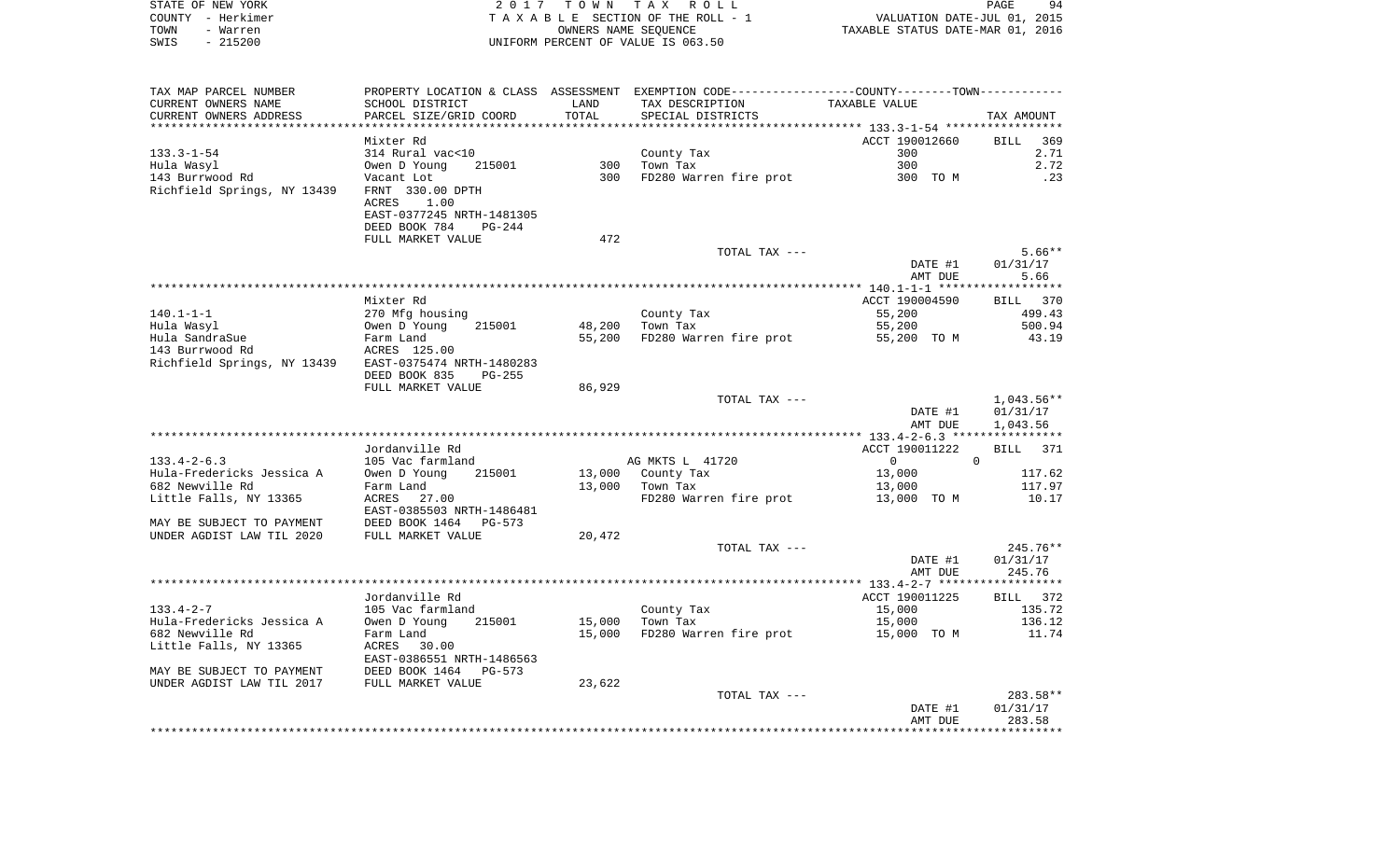| STATE OF NEW YORK | 2017 TOWN TAX ROLL                 |                                  | PAGE<br>94 |
|-------------------|------------------------------------|----------------------------------|------------|
| COUNTY - Herkimer | TAXABLE SECTION OF THE ROLL - 1    | VALUATION DATE-JUL 01, 2015      |            |
| TOWN<br>- Warren  | OWNERS NAME SEOUENCE               | TAXABLE STATUS DATE-MAR 01, 2016 |            |
| SWIS<br>- 215200  | UNIFORM PERCENT OF VALUE IS 063.50 |                                  |            |

| TAX MAP PARCEL NUMBER       |                           |        | PROPERTY LOCATION & CLASS ASSESSMENT EXEMPTION CODE----------------COUNTY-------TOWN---------- |                                              |              |
|-----------------------------|---------------------------|--------|------------------------------------------------------------------------------------------------|----------------------------------------------|--------------|
| CURRENT OWNERS NAME         | SCHOOL DISTRICT           | LAND   | TAX DESCRIPTION                                                                                | TAXABLE VALUE                                |              |
| CURRENT OWNERS ADDRESS      | PARCEL SIZE/GRID COORD    | TOTAL  | SPECIAL DISTRICTS                                                                              |                                              | TAX AMOUNT   |
|                             |                           |        |                                                                                                | ******************** 133.3-1-54 ************ |              |
|                             | Mixter Rd                 |        |                                                                                                | ACCT 190012660                               | BILL<br>369  |
| $133.3 - 1 - 54$            | 314 Rural vac<10          |        | County Tax                                                                                     | 300                                          | 2.71         |
| Hula Wasyl                  | Owen D Young<br>215001    | 300    | Town Tax                                                                                       | 300                                          | 2.72         |
| 143 Burrwood Rd             | Vacant Lot                | 300    | FD280 Warren fire prot                                                                         | 300 TO M                                     | .23          |
| Richfield Springs, NY 13439 | FRNT 330.00 DPTH          |        |                                                                                                |                                              |              |
|                             | ACRES<br>1.00             |        |                                                                                                |                                              |              |
|                             | EAST-0377245 NRTH-1481305 |        |                                                                                                |                                              |              |
|                             |                           |        |                                                                                                |                                              |              |
|                             | DEED BOOK 784<br>$PG-244$ |        |                                                                                                |                                              |              |
|                             | FULL MARKET VALUE         | 472    |                                                                                                |                                              |              |
|                             |                           |        | TOTAL TAX ---                                                                                  |                                              | $5.66**$     |
|                             |                           |        |                                                                                                | DATE #1                                      | 01/31/17     |
|                             |                           |        |                                                                                                | AMT DUE                                      | 5.66         |
|                             |                           |        |                                                                                                |                                              |              |
|                             | Mixter Rd                 |        |                                                                                                | ACCT 190004590                               | BILL 370     |
| $140.1 - 1 - 1$             | 270 Mfg housing           |        | County Tax                                                                                     | 55,200                                       | 499.43       |
| Hula Wasyl                  | Owen D Young<br>215001    | 48,200 | Town Tax                                                                                       | 55,200                                       | 500.94       |
| Hula SandraSue              | Farm Land                 | 55,200 | FD280 Warren fire prot                                                                         | 55,200 TO M                                  | 43.19        |
| 143 Burrwood Rd             | ACRES 125.00              |        |                                                                                                |                                              |              |
| Richfield Springs, NY 13439 | EAST-0375474 NRTH-1480283 |        |                                                                                                |                                              |              |
|                             | DEED BOOK 835<br>$PG-255$ |        |                                                                                                |                                              |              |
|                             | FULL MARKET VALUE         | 86,929 |                                                                                                |                                              |              |
|                             |                           |        | TOTAL TAX ---                                                                                  |                                              | $1,043.56**$ |
|                             |                           |        |                                                                                                | DATE #1                                      | 01/31/17     |
|                             |                           |        |                                                                                                | AMT DUE                                      | 1,043.56     |
|                             |                           |        |                                                                                                |                                              |              |
|                             | Jordanville Rd            |        |                                                                                                | ACCT 190011222                               | 371<br>BILL  |
| $133.4 - 2 - 6.3$           | 105 Vac farmland          |        | AG MKTS L 41720                                                                                | $\Omega$                                     | $\Omega$     |
|                             | 215001                    | 13,000 |                                                                                                |                                              | 117.62       |
| Hula-Fredericks Jessica A   | Owen D Young              |        | County Tax                                                                                     | 13,000                                       |              |
| 682 Newville Rd             | Farm Land                 | 13,000 | Town Tax                                                                                       | 13,000                                       | 117.97       |
| Little Falls, NY 13365      | ACRES 27.00               |        | FD280 Warren fire prot                                                                         | 13,000 TO M                                  | 10.17        |
|                             | EAST-0385503 NRTH-1486481 |        |                                                                                                |                                              |              |
| MAY BE SUBJECT TO PAYMENT   | DEED BOOK 1464 PG-573     |        |                                                                                                |                                              |              |
| UNDER AGDIST LAW TIL 2020   | FULL MARKET VALUE         | 20,472 |                                                                                                |                                              |              |
|                             |                           |        | TOTAL TAX ---                                                                                  |                                              | 245.76**     |
|                             |                           |        |                                                                                                | DATE #1                                      | 01/31/17     |
|                             |                           |        |                                                                                                | AMT DUE                                      | 245.76       |
|                             |                           |        |                                                                                                |                                              |              |
|                             | Jordanville Rd            |        |                                                                                                | ACCT 190011225                               | BILL 372     |
| $133.4 - 2 - 7$             | 105 Vac farmland          |        | County Tax                                                                                     | 15,000                                       | 135.72       |
| Hula-Fredericks Jessica A   | Owen D Young<br>215001    | 15,000 | Town Tax                                                                                       | 15,000                                       | 136.12       |
| 682 Newville Rd             | Farm Land                 | 15,000 | FD280 Warren fire prot                                                                         | 15,000 TO M                                  | 11.74        |
| Little Falls, NY 13365      | ACRES 30.00               |        |                                                                                                |                                              |              |
|                             | EAST-0386551 NRTH-1486563 |        |                                                                                                |                                              |              |
| MAY BE SUBJECT TO PAYMENT   | DEED BOOK 1464 PG-573     |        |                                                                                                |                                              |              |
| UNDER AGDIST LAW TIL 2017   | FULL MARKET VALUE         | 23,622 |                                                                                                |                                              |              |
|                             |                           |        | TOTAL TAX ---                                                                                  |                                              | 283.58**     |
|                             |                           |        |                                                                                                | DATE #1                                      | 01/31/17     |
|                             |                           |        |                                                                                                | AMT DUE                                      | 283.58       |
|                             |                           |        |                                                                                                |                                              |              |
|                             |                           |        |                                                                                                |                                              |              |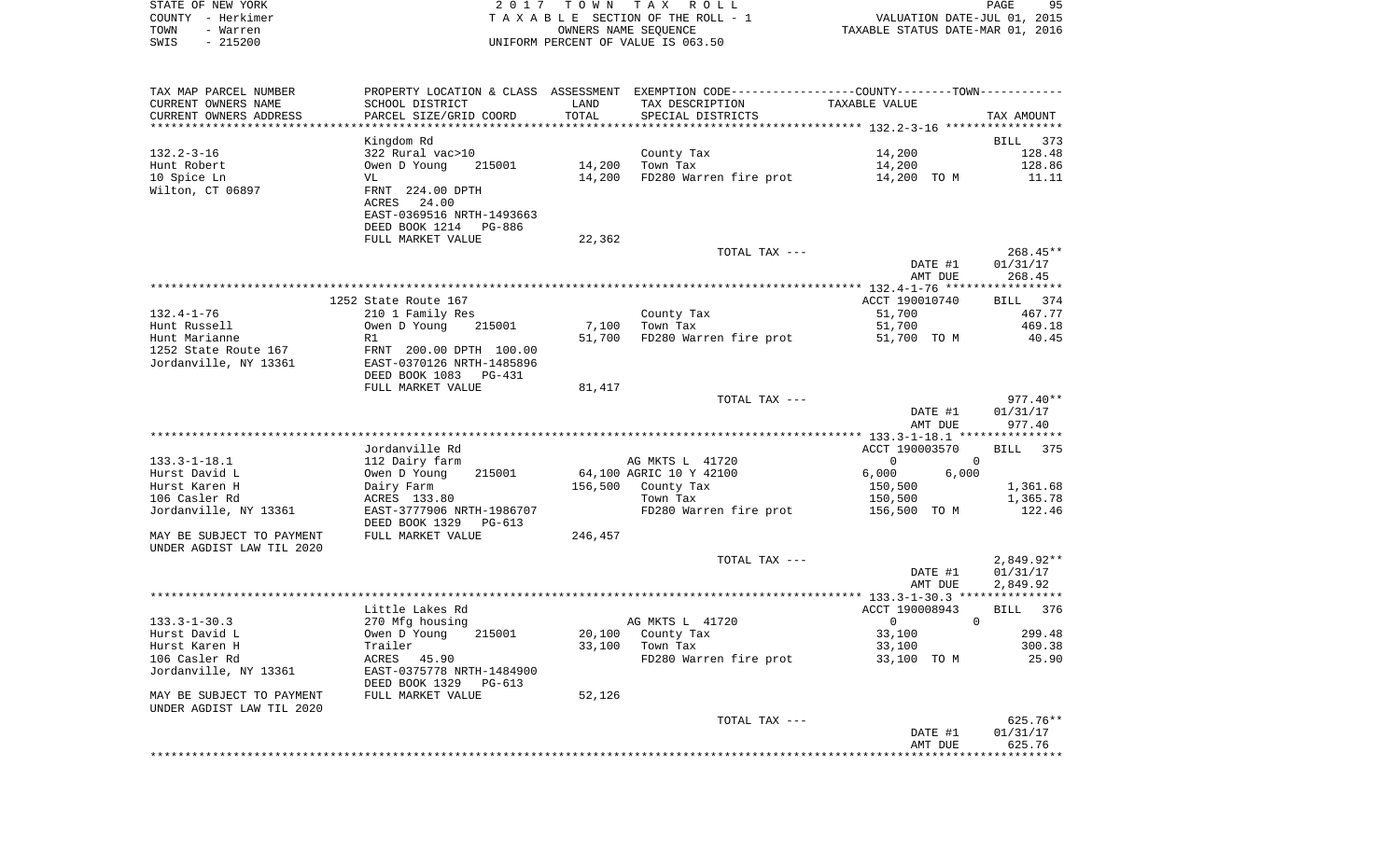| STATE OF NEW YORK<br>2017 TOWN TAX ROLL                                             | PAGE | 95 |
|-------------------------------------------------------------------------------------|------|----|
| VALUATION DATE-JUL 01, 2015<br>COUNTY - Herkimer<br>TAXABLE SECTION OF THE ROLL - 1 |      |    |
| TAXABLE STATUS DATE-MAR 01, 2016<br>OWNERS NAME SEOUENCE<br>TOWN<br>- Warren        |      |    |
| SWIS - 215200<br>UNIFORM PERCENT OF VALUE IS 063.50                                 |      |    |

| TAX MAP PARCEL NUMBER     |                           |         | PROPERTY LOCATION & CLASS ASSESSMENT EXEMPTION CODE----------------COUNTY--------TOWN----------- |                            |                 |
|---------------------------|---------------------------|---------|--------------------------------------------------------------------------------------------------|----------------------------|-----------------|
| CURRENT OWNERS NAME       | SCHOOL DISTRICT           | LAND    | TAX DESCRIPTION                                                                                  | TAXABLE VALUE              |                 |
| CURRENT OWNERS ADDRESS    | PARCEL SIZE/GRID COORD    | TOTAL   | SPECIAL DISTRICTS                                                                                |                            | TAX AMOUNT      |
|                           |                           |         |                                                                                                  |                            |                 |
|                           | Kingdom Rd                |         |                                                                                                  |                            | BILL 373        |
| $132.2 - 3 - 16$          | 322 Rural vac>10          |         | County Tax                                                                                       | 14,200                     | 128.48          |
| Hunt Robert               | Owen D Young<br>215001    | 14,200  | Town Tax                                                                                         | 14,200                     | 128.86          |
| 10 Spice Ln               | VL                        | 14,200  | FD280 Warren fire prot                                                                           | 14,200 TO M                | 11.11           |
| Wilton, CT 06897          | FRNT 224.00 DPTH          |         |                                                                                                  |                            |                 |
|                           | 24.00<br>ACRES            |         |                                                                                                  |                            |                 |
|                           | EAST-0369516 NRTH-1493663 |         |                                                                                                  |                            |                 |
|                           | DEED BOOK 1214<br>PG-886  |         |                                                                                                  |                            |                 |
|                           | FULL MARKET VALUE         | 22,362  |                                                                                                  |                            |                 |
|                           |                           |         | TOTAL TAX ---                                                                                    |                            | $268.45**$      |
|                           |                           |         |                                                                                                  | DATE #1                    | 01/31/17        |
|                           |                           |         |                                                                                                  | AMT DUE                    | 268.45          |
|                           |                           |         |                                                                                                  |                            |                 |
|                           | 1252 State Route 167      |         |                                                                                                  | ACCT 190010740             | BILL 374        |
| $132.4 - 1 - 76$          | 210 1 Family Res          |         | County Tax                                                                                       | 51,700                     | 467.77          |
| Hunt Russell              | Owen D Young<br>215001    | 7,100   | Town Tax                                                                                         | 51,700                     | 469.18          |
| Hunt Marianne             | R1                        | 51,700  | FD280 Warren fire prot                                                                           | 51,700 TO M                | 40.45           |
| 1252 State Route 167      | FRNT 200.00 DPTH 100.00   |         |                                                                                                  |                            |                 |
| Jordanville, NY 13361     | EAST-0370126 NRTH-1485896 |         |                                                                                                  |                            |                 |
|                           | DEED BOOK 1083<br>PG-431  |         |                                                                                                  |                            |                 |
|                           | FULL MARKET VALUE         | 81,417  |                                                                                                  |                            |                 |
|                           |                           |         | TOTAL TAX ---                                                                                    |                            | $977.40**$      |
|                           |                           |         |                                                                                                  | DATE #1                    | 01/31/17        |
|                           |                           |         |                                                                                                  | AMT DUE                    | 977.40          |
|                           |                           |         |                                                                                                  |                            |                 |
|                           | Jordanville Rd            |         |                                                                                                  | ACCT 190003570             | <b>BILL</b> 375 |
| $133.3 - 1 - 18.1$        | 112 Dairy farm            |         | AG MKTS L 41720                                                                                  | $\Omega$<br>$\Omega$       |                 |
| Hurst David L             | 215001<br>Owen D Young    |         | 64,100 AGRIC 10 Y 42100                                                                          | 6,000<br>6,000             |                 |
| Hurst Karen H             | Dairy Farm                | 156,500 | County Tax                                                                                       | 150,500                    | 1,361.68        |
| 106 Casler Rd             | ACRES 133.80              |         | Town Tax                                                                                         | 150,500                    | 1,365.78        |
| Jordanville, NY 13361     | EAST-3777906 NRTH-1986707 |         | FD280 Warren fire prot                                                                           | 156,500 TO M               | 122.46          |
|                           | DEED BOOK 1329<br>PG-613  |         |                                                                                                  |                            |                 |
| MAY BE SUBJECT TO PAYMENT | FULL MARKET VALUE         | 246,457 |                                                                                                  |                            |                 |
| UNDER AGDIST LAW TIL 2020 |                           |         |                                                                                                  |                            |                 |
|                           |                           |         | TOTAL TAX ---                                                                                    |                            | $2,849.92**$    |
|                           |                           |         |                                                                                                  | DATE #1                    | 01/31/17        |
|                           |                           |         |                                                                                                  | AMT DUE                    | 2,849.92        |
|                           |                           |         |                                                                                                  |                            |                 |
|                           | Little Lakes Rd           |         |                                                                                                  | ACCT 190008943             | BILL<br>376     |
| $133.3 - 1 - 30.3$        | 270 Mfg housing           |         | AG MKTS L 41720                                                                                  | $\overline{0}$<br>$\Omega$ |                 |
| Hurst David L             | 215001<br>Owen D Young    | 20,100  | County Tax                                                                                       | 33,100                     | 299.48          |
| Hurst Karen H             | Trailer                   | 33,100  | Town Tax                                                                                         | 33,100                     | 300.38          |
| 106 Casler Rd             | ACRES 45.90               |         | FD280 Warren fire prot                                                                           | 33,100 TO M                | 25.90           |
| Jordanville, NY 13361     | EAST-0375778 NRTH-1484900 |         |                                                                                                  |                            |                 |
|                           | DEED BOOK 1329<br>PG-613  |         |                                                                                                  |                            |                 |
| MAY BE SUBJECT TO PAYMENT | FULL MARKET VALUE         | 52,126  |                                                                                                  |                            |                 |
| UNDER AGDIST LAW TIL 2020 |                           |         |                                                                                                  |                            |                 |
|                           |                           |         | TOTAL TAX ---                                                                                    |                            | 625.76**        |
|                           |                           |         |                                                                                                  | DATE #1                    | 01/31/17        |
|                           |                           |         |                                                                                                  | AMT DUE                    | 625.76          |
|                           |                           |         |                                                                                                  |                            |                 |
|                           |                           |         |                                                                                                  |                            |                 |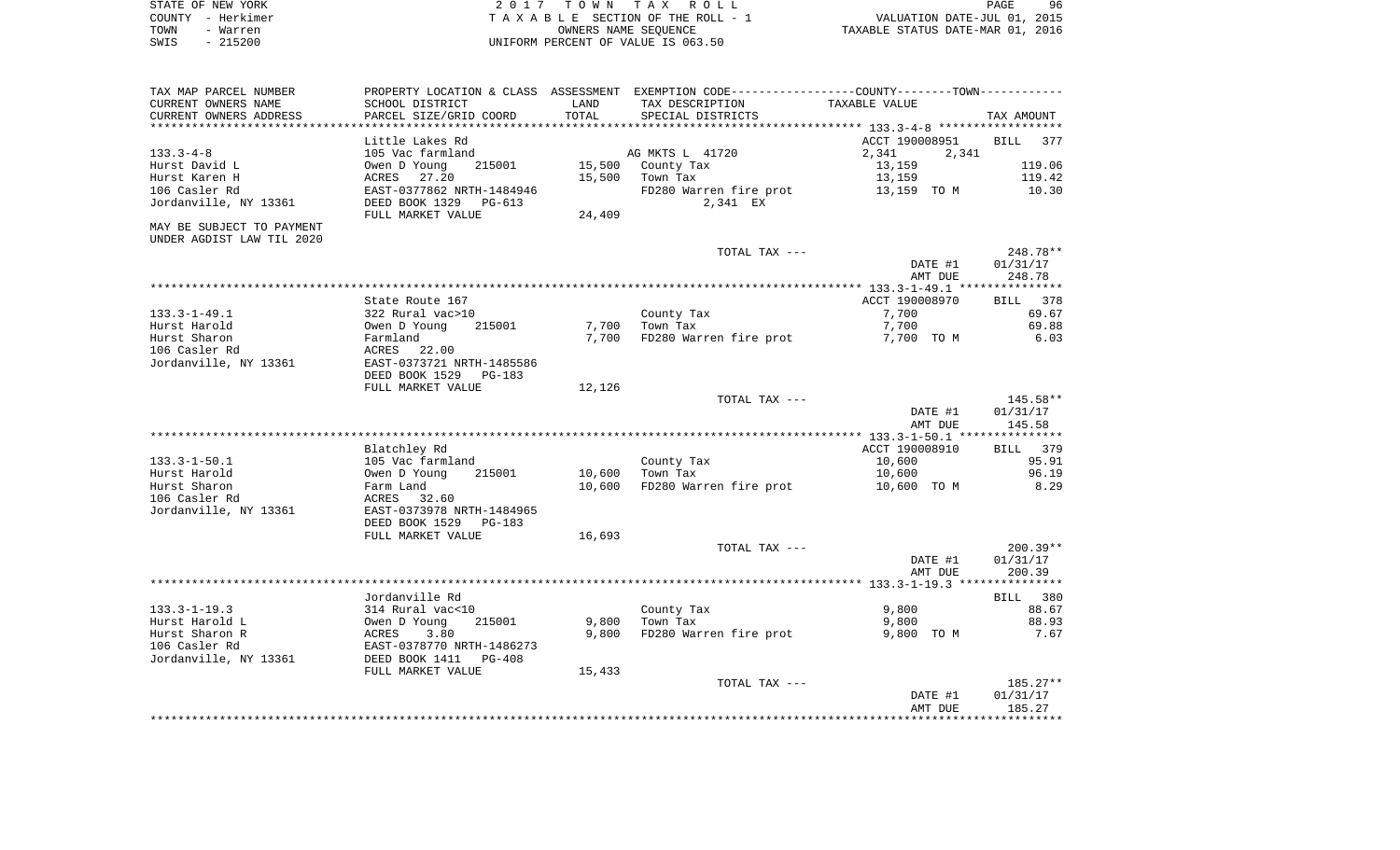| STATE OF NEW YORK | 2017 TOWN TAX ROLL                 | 96<br>PAGE                       |
|-------------------|------------------------------------|----------------------------------|
| COUNTY - Herkimer | TAXABLE SECTION OF THE ROLL - 1    | VALUATION DATE-JUL 01, 2015      |
| TOWN<br>- Warren  | OWNERS NAME SEOUENCE               | TAXABLE STATUS DATE-MAR 01, 2016 |
| $-215200$<br>SWIS | UNIFORM PERCENT OF VALUE IS 063.50 |                                  |

| CURRENT OWNERS NAME       | PROPERTY LOCATION & CLASS ASSESSMENT<br>SCHOOL DISTRICT | LAND   | EXEMPTION CODE----------------COUNTY-------TOWN-----------<br>TAX DESCRIPTION | TAXABLE VALUE                              |                                                  |
|---------------------------|---------------------------------------------------------|--------|-------------------------------------------------------------------------------|--------------------------------------------|--------------------------------------------------|
| CURRENT OWNERS ADDRESS    | PARCEL SIZE/GRID COORD                                  | TOTAL  | SPECIAL DISTRICTS                                                             |                                            | TAX AMOUNT                                       |
| ********************      |                                                         |        |                                                                               | ****************** 133.3-4-8 ************* |                                                  |
|                           | Little Lakes Rd                                         |        |                                                                               | ACCT 190008951                             | BILL<br>377                                      |
| $133.3 - 4 - 8$           | 105 Vac farmland                                        |        | AG MKTS L 41720                                                               | 2,341<br>2,341                             |                                                  |
| Hurst David L             | Owen D Young<br>215001                                  | 15,500 | County Tax                                                                    | 13,159                                     | 119.06                                           |
| Hurst Karen H             | ACRES<br>27.20                                          | 15,500 | Town Tax                                                                      | 13,159                                     | 119.42                                           |
| 106 Casler Rd             | EAST-0377862 NRTH-1484946                               |        | FD280 Warren fire prot                                                        | 13,159 TO M                                | 10.30                                            |
| Jordanville, NY 13361     | DEED BOOK 1329 PG-613                                   |        | 2,341 EX                                                                      |                                            |                                                  |
|                           | FULL MARKET VALUE                                       | 24,409 |                                                                               |                                            |                                                  |
| MAY BE SUBJECT TO PAYMENT |                                                         |        |                                                                               |                                            |                                                  |
| UNDER AGDIST LAW TIL 2020 |                                                         |        |                                                                               |                                            |                                                  |
|                           |                                                         |        | TOTAL TAX ---                                                                 |                                            | 248.78**                                         |
|                           |                                                         |        |                                                                               | DATE #1                                    | 01/31/17                                         |
|                           |                                                         |        |                                                                               | AMT DUE                                    | 248.78                                           |
|                           |                                                         |        |                                                                               |                                            |                                                  |
|                           | State Route 167                                         |        |                                                                               | ACCT 190008970                             | BILL 378                                         |
| $133.3 - 1 - 49.1$        | 322 Rural vac>10                                        |        | County Tax                                                                    | 7,700                                      | 69.67                                            |
| Hurst Harold              | 215001<br>Owen D Young                                  |        | 7,700 Town Tax                                                                | 7,700                                      | 69.88                                            |
| Hurst Sharon              | Farmland                                                |        | 7,700 FD280 Warren fire prot                                                  | 7,700 TO M                                 | 6.03                                             |
| 106 Casler Rd             | ACRES 22.00                                             |        |                                                                               |                                            |                                                  |
| Jordanville, NY 13361     | EAST-0373721 NRTH-1485586                               |        |                                                                               |                                            |                                                  |
|                           | DEED BOOK 1529 PG-183                                   |        |                                                                               |                                            |                                                  |
|                           | FULL MARKET VALUE                                       | 12,126 |                                                                               |                                            |                                                  |
|                           |                                                         |        | TOTAL TAX ---                                                                 |                                            | 145.58**                                         |
|                           |                                                         |        |                                                                               | DATE #1                                    | 01/31/17                                         |
|                           |                                                         |        |                                                                               | AMT DUE                                    | 145.58                                           |
|                           |                                                         |        |                                                                               |                                            |                                                  |
|                           | Blatchley Rd                                            |        |                                                                               | ACCT 190008910                             | BILL 379                                         |
| $133.3 - 1 - 50.1$        | 105 Vac farmland                                        |        | County Tax                                                                    | 10,600                                     | 95.91                                            |
| Hurst Harold              | 215001<br>Owen D Young                                  | 10,600 | Town Tax                                                                      | 10,600                                     | 96.19                                            |
| Hurst Sharon              | Farm Land                                               | 10,600 | FD280 Warren fire prot                                                        | 10,600 TO M                                | 8.29                                             |
| 106 Casler Rd             | ACRES<br>32.60                                          |        |                                                                               |                                            |                                                  |
|                           | EAST-0373978 NRTH-1484965                               |        |                                                                               |                                            |                                                  |
| Jordanville, NY 13361     | DEED BOOK 1529<br>PG-183                                |        |                                                                               |                                            |                                                  |
|                           |                                                         |        |                                                                               |                                            |                                                  |
|                           | FULL MARKET VALUE                                       | 16,693 |                                                                               |                                            | $200.39**$                                       |
|                           |                                                         |        | TOTAL TAX ---                                                                 |                                            |                                                  |
|                           |                                                         |        |                                                                               |                                            |                                                  |
|                           |                                                         |        |                                                                               | DATE #1                                    | 01/31/17                                         |
|                           |                                                         |        |                                                                               | AMT DUE                                    | 200.39                                           |
|                           |                                                         |        |                                                                               |                                            |                                                  |
|                           | Jordanville Rd                                          |        |                                                                               |                                            |                                                  |
| $133.3 - 1 - 19.3$        | 314 Rural vac<10                                        |        | County Tax                                                                    | 9,800                                      |                                                  |
| Hurst Harold L            | Owen D Young<br>215001                                  | 9,800  | Town Tax                                                                      | 9,800                                      |                                                  |
| Hurst Sharon R            | 3.80<br>ACRES                                           | 9.800  | FD280 Warren fire prot                                                        | 9,800 TO M                                 |                                                  |
| 106 Casler Rd             | EAST-0378770 NRTH-1486273                               |        |                                                                               |                                            |                                                  |
| Jordanville, NY 13361     | DEED BOOK 1411    PG-408                                |        |                                                                               |                                            |                                                  |
|                           | FULL MARKET VALUE                                       | 15,433 |                                                                               |                                            |                                                  |
|                           |                                                         |        | TOTAL TAX ---                                                                 |                                            | BILL 380<br>88.67<br>88.93<br>7.67<br>$185.27**$ |
|                           |                                                         |        |                                                                               | DATE #1<br>AMT DUE                         | 01/31/17<br>185.27                               |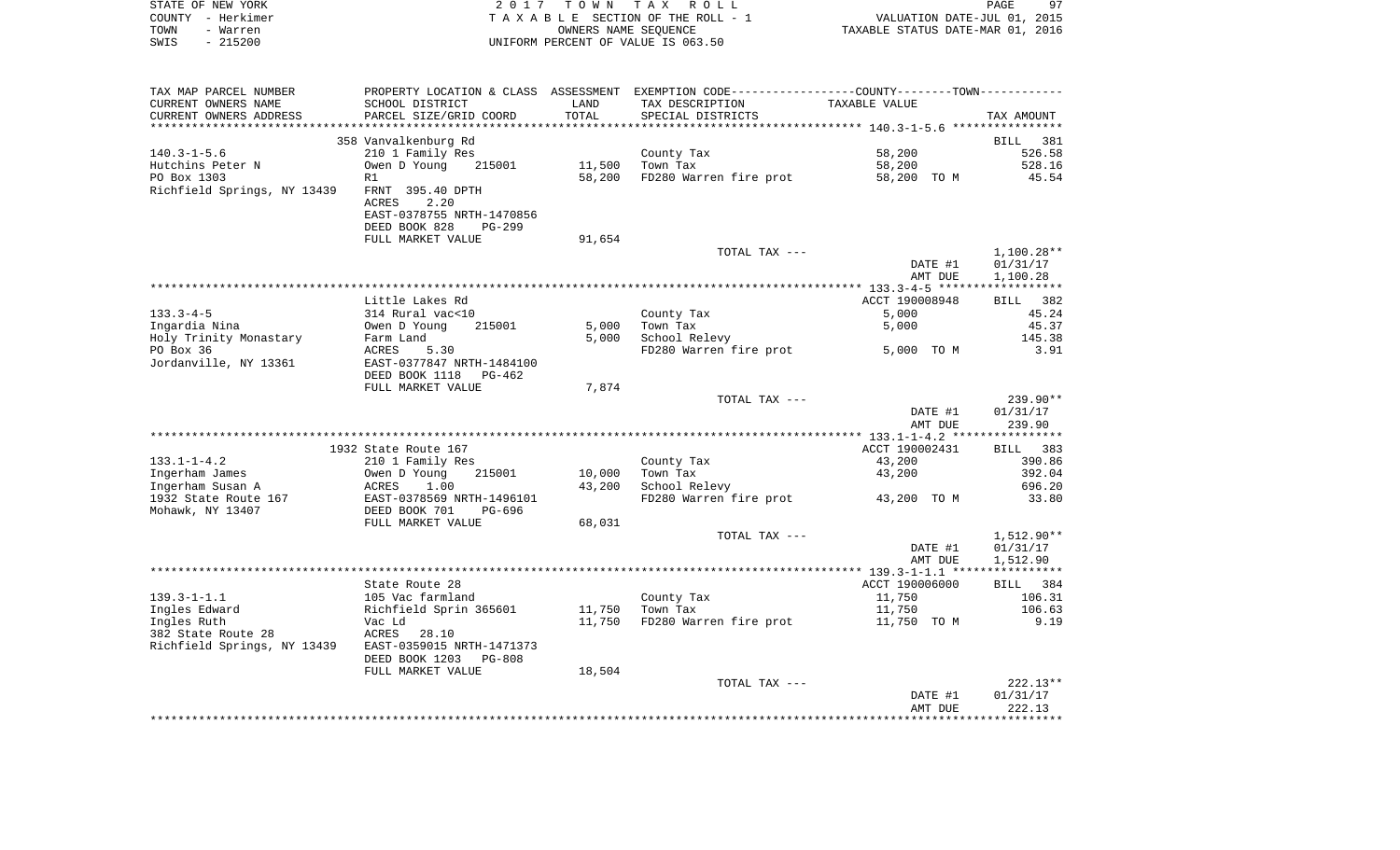|      | STATE OF NEW YORK | 2017 TOWN TAX ROLL                 |                                  | PAGE                        | 97 |
|------|-------------------|------------------------------------|----------------------------------|-----------------------------|----|
|      | COUNTY - Herkimer | TAXABLE SECTION OF THE ROLL - 1    |                                  | VALUATION DATE-JUL 01, 2015 |    |
| TOWN | - Warren          | OWNERS NAME SEOUENCE               | TAXABLE STATUS DATE-MAR 01, 2016 |                             |    |
| SWIS | - 215200          | UNIFORM PERCENT OF VALUE IS 063.50 |                                  |                             |    |

| TAX MAP PARCEL NUMBER       | PROPERTY LOCATION & CLASS ASSESSMENT EXEMPTION CODE-----------------COUNTY-------TOWN- |        |                        |                |              |
|-----------------------------|----------------------------------------------------------------------------------------|--------|------------------------|----------------|--------------|
| CURRENT OWNERS NAME         | SCHOOL DISTRICT                                                                        | LAND   | TAX DESCRIPTION        | TAXABLE VALUE  |              |
| CURRENT OWNERS ADDRESS      | PARCEL SIZE/GRID COORD                                                                 | TOTAL  | SPECIAL DISTRICTS      |                | TAX AMOUNT   |
|                             |                                                                                        |        |                        |                |              |
|                             | 358 Vanvalkenburg Rd                                                                   |        |                        |                | BILL 381     |
| $140.3 - 1 - 5.6$           | 210 1 Family Res                                                                       |        | County Tax             | 58,200         | 526.58       |
| Hutchins Peter N            | Owen D Young<br>215001                                                                 | 11,500 | Town Tax               | 58,200         | 528.16       |
| PO Box 1303                 | R1                                                                                     | 58,200 | FD280 Warren fire prot | 58,200 TO M    | 45.54        |
| Richfield Springs, NY 13439 | FRNT 395.40 DPTH                                                                       |        |                        |                |              |
|                             | <b>ACRES</b><br>2.20                                                                   |        |                        |                |              |
|                             |                                                                                        |        |                        |                |              |
|                             | EAST-0378755 NRTH-1470856                                                              |        |                        |                |              |
|                             | DEED BOOK 828<br>$PG-299$                                                              |        |                        |                |              |
|                             | FULL MARKET VALUE                                                                      | 91,654 |                        |                |              |
|                             |                                                                                        |        | TOTAL TAX ---          |                | $1,100.28**$ |
|                             |                                                                                        |        |                        | DATE #1        | 01/31/17     |
|                             |                                                                                        |        |                        | AMT DUE        | 1,100.28     |
|                             |                                                                                        |        |                        |                |              |
|                             | Little Lakes Rd                                                                        |        |                        | ACCT 190008948 | 382<br>BILL  |
| $133.3 - 4 - 5$             | 314 Rural vac<10                                                                       |        | County Tax             | 5,000          | 45.24        |
| Ingardia Nina               | Owen D Young<br>215001                                                                 | 5,000  | Town Tax               | 5,000          | 45.37        |
| Holy Trinity Monastary      | Farm Land                                                                              | 5,000  | School Relevy          |                | 145.38       |
| PO Box 36                   | ACRES<br>5.30                                                                          |        | FD280 Warren fire prot | 5,000 TO M     | 3.91         |
| Jordanville, NY 13361       | EAST-0377847 NRTH-1484100                                                              |        |                        |                |              |
|                             | DEED BOOK 1118 PG-462                                                                  |        |                        |                |              |
|                             | FULL MARKET VALUE                                                                      | 7,874  |                        |                |              |
|                             |                                                                                        |        | TOTAL TAX ---          |                | $239.90**$   |
|                             |                                                                                        |        |                        | DATE #1        | 01/31/17     |
|                             |                                                                                        |        |                        |                |              |
|                             |                                                                                        |        |                        | AMT DUE        | 239.90       |
|                             |                                                                                        |        |                        |                |              |
|                             | 1932 State Route 167                                                                   |        |                        | ACCT 190002431 | BILL 383     |
| $133.1 - 1 - 4.2$           | 210 1 Family Res                                                                       |        | County Tax             | 43,200         | 390.86       |
| Ingerham James              | Owen D Young<br>215001                                                                 | 10,000 | Town Tax               | 43,200         | 392.04       |
| Ingerham Susan A            | 1.00<br>ACRES                                                                          | 43,200 | School Relevy          |                | 696.20       |
| 1932 State Route 167        | EAST-0378569 NRTH-1496101                                                              |        | FD280 Warren fire prot | 43,200 TO M    | 33.80        |
| Mohawk, NY 13407            | DEED BOOK 701<br>PG-696                                                                |        |                        |                |              |
|                             | FULL MARKET VALUE                                                                      | 68,031 |                        |                |              |
|                             |                                                                                        |        | TOTAL TAX ---          |                | 1,512.90**   |
|                             |                                                                                        |        |                        | DATE #1        | 01/31/17     |
|                             |                                                                                        |        |                        | AMT DUE        | 1,512.90     |
|                             |                                                                                        |        |                        |                |              |
|                             | State Route 28                                                                         |        |                        | ACCT 190006000 | BILL 384     |
| $139.3 - 1 - 1.1$           | 105 Vac farmland                                                                       |        | County Tax             | 11,750         | 106.31       |
| Ingles Edward               | Richfield Sprin 365601                                                                 | 11,750 | Town Tax               | 11,750         | 106.63       |
| Ingles Ruth                 | Vac Ld                                                                                 | 11,750 | FD280 Warren fire prot | 11,750 TO M    | 9.19         |
| 382 State Route 28          | ACRES<br>28.10                                                                         |        |                        |                |              |
| Richfield Springs, NY 13439 | EAST-0359015 NRTH-1471373                                                              |        |                        |                |              |
|                             |                                                                                        |        |                        |                |              |
|                             | DEED BOOK 1203<br><b>PG-808</b>                                                        |        |                        |                |              |
|                             | FULL MARKET VALUE                                                                      | 18,504 |                        |                |              |
|                             |                                                                                        |        | TOTAL TAX ---          |                | $222.13**$   |
|                             |                                                                                        |        |                        | DATE #1        | 01/31/17     |
|                             |                                                                                        |        |                        | AMT DUE        | 222.13       |
|                             |                                                                                        |        |                        |                |              |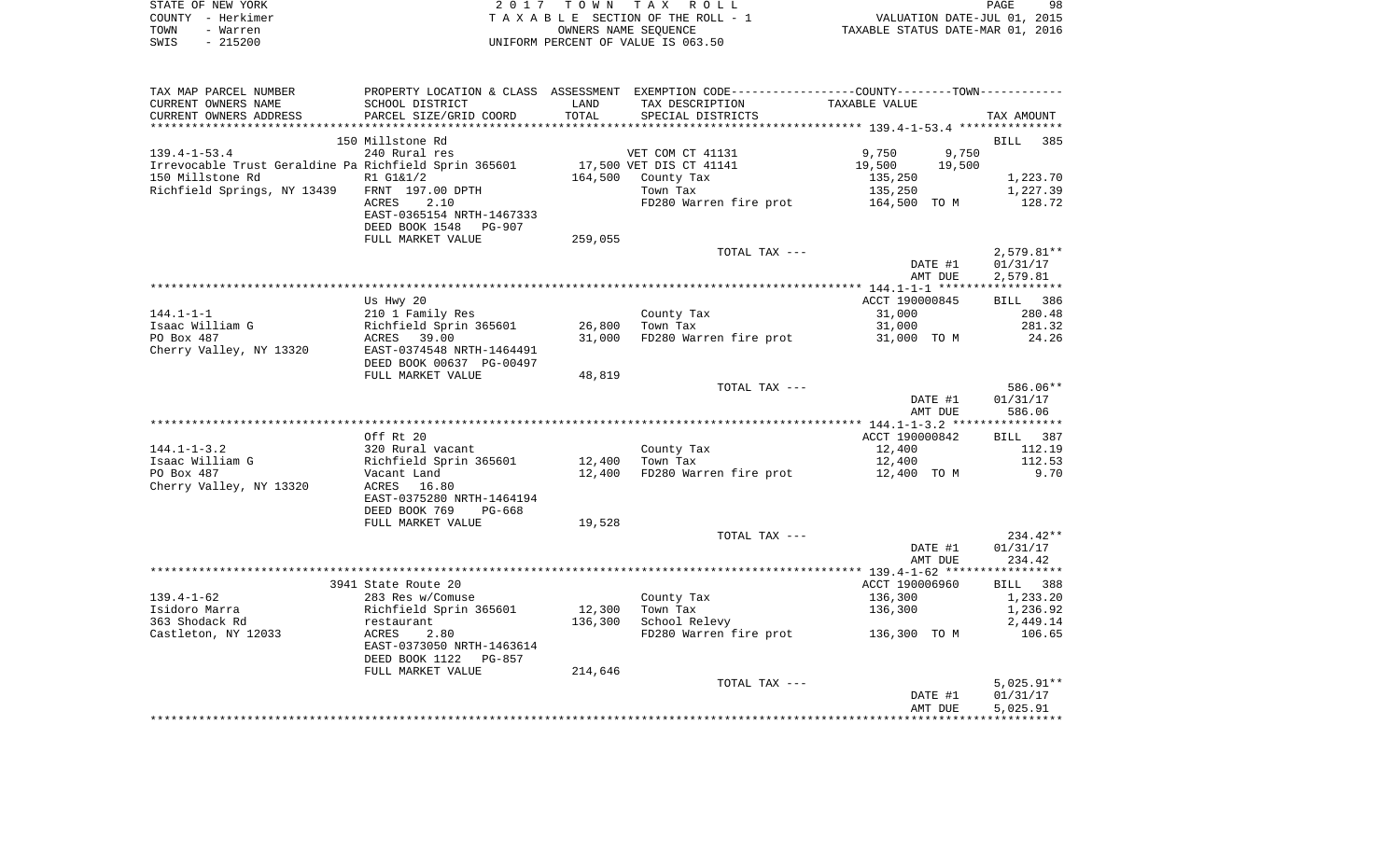| STATE OF NEW YORK | 2017 TOWN TAX ROLL                 | 98<br>PAGE                       |
|-------------------|------------------------------------|----------------------------------|
| COUNTY - Herkimer | TAXABLE SECTION OF THE ROLL - 1    | VALUATION DATE-JUL 01, 2015      |
| TOWN<br>- Warren  | OWNERS NAME SEOUENCE               | TAXABLE STATUS DATE-MAR 01, 2016 |
| - 215200<br>SWIS  | UNIFORM PERCENT OF VALUE IS 063.50 |                                  |

| TAX MAP PARCEL NUMBER                                 |                                                |         | PROPERTY LOCATION & CLASS ASSESSMENT EXEMPTION CODE---------------COUNTY-------TOWN---------- |                  |                 |
|-------------------------------------------------------|------------------------------------------------|---------|-----------------------------------------------------------------------------------------------|------------------|-----------------|
| CURRENT OWNERS NAME                                   | SCHOOL DISTRICT                                | LAND    | TAX DESCRIPTION                                                                               | TAXABLE VALUE    |                 |
| CURRENT OWNERS ADDRESS                                | PARCEL SIZE/GRID COORD                         | TOTAL   | SPECIAL DISTRICTS                                                                             |                  | TAX AMOUNT      |
|                                                       |                                                |         |                                                                                               |                  |                 |
|                                                       | 150 Millstone Rd                               |         |                                                                                               |                  | BILL 385        |
| $139.4 - 1 - 53.4$                                    | 240 Rural res                                  |         | VET COM CT 41131                                                                              | 9,750<br>9,750   |                 |
| Irrevocable Trust Geraldine Pa Richfield Sprin 365601 |                                                |         | 17,500 VET DIS CT 41141                                                                       | 19,500<br>19,500 |                 |
| 150 Millstone Rd                                      | R1 G1&1/2                                      |         | 164,500 County Tax                                                                            | 135,250          | 1,223.70        |
| Richfield Springs, NY 13439                           | FRNT 197.00 DPTH                               |         | Town Tax                                                                                      | 135,250          | 1,227.39        |
|                                                       | 2.10<br>ACRES                                  |         | FD280 Warren fire prot 164,500 TO M                                                           |                  | 128.72          |
|                                                       | EAST-0365154 NRTH-1467333                      |         |                                                                                               |                  |                 |
|                                                       | DEED BOOK 1548 PG-907                          |         |                                                                                               |                  |                 |
|                                                       | FULL MARKET VALUE                              | 259,055 |                                                                                               |                  |                 |
|                                                       |                                                |         | TOTAL TAX ---                                                                                 |                  | $2,579.81**$    |
|                                                       |                                                |         |                                                                                               | DATE #1          | 01/31/17        |
|                                                       |                                                |         |                                                                                               |                  |                 |
|                                                       |                                                |         |                                                                                               | AMT DUE          | 2,579.81        |
|                                                       |                                                |         |                                                                                               |                  |                 |
|                                                       | Us Hwy 20                                      |         |                                                                                               | ACCT 190000845   | <b>BILL</b> 386 |
| $144.1 - 1 - 1$                                       | 210 1 Family Res                               |         | County Tax                                                                                    | 31,000           | 280.48          |
| Isaac William G                                       | Richfield Sprin 365601                         |         | 26,800 Town Tax                                                                               | 31,000           | 281.32          |
| PO Box 487                                            | ACRES 39.00                                    | 31,000  | FD280 Warren fire prot 31,000 TO M 24.26                                                      |                  |                 |
| Cherry Valley, NY 13320                               | EAST-0374548 NRTH-1464491                      |         |                                                                                               |                  |                 |
|                                                       | DEED BOOK 00637 PG-00497                       |         |                                                                                               |                  |                 |
|                                                       | FULL MARKET VALUE                              | 48,819  |                                                                                               |                  |                 |
|                                                       |                                                |         | TOTAL TAX ---                                                                                 |                  | 586.06**        |
|                                                       |                                                |         |                                                                                               | DATE #1          | 01/31/17        |
|                                                       |                                                |         |                                                                                               | AMT DUE          | 586.06          |
|                                                       |                                                |         |                                                                                               |                  |                 |
|                                                       | Off Rt 20                                      |         |                                                                                               | ACCT 190000842   | BILL 387        |
| $144.1 - 1 - 3.2$                                     |                                                |         |                                                                                               | 12,400           | 112.19          |
| Isaac William G<br>PO Box 487                         | 320 Rural vacant<br>Richfield Sprin 365601<br> |         | County Tax<br>Tarm Tax<br>12,400 Town Tax                                                     | 12,400           | 112.53          |
| PO Box 487                                            | Vacant Land                                    |         | 12,400 FD280 Warren fire prot 12,400 TO M                                                     |                  | 9.70            |
| Cherry Valley, NY 13320                               | ACRES 16.80                                    |         |                                                                                               |                  |                 |
|                                                       | EAST-0375280 NRTH-1464194                      |         |                                                                                               |                  |                 |
|                                                       | DEED BOOK 769<br>PG-668                        |         |                                                                                               |                  |                 |
|                                                       | FULL MARKET VALUE                              | 19,528  |                                                                                               |                  |                 |
|                                                       |                                                |         | TOTAL TAX ---                                                                                 |                  | 234.42**        |
|                                                       |                                                |         |                                                                                               | DATE #1          | 01/31/17        |
|                                                       |                                                |         |                                                                                               | AMT DUE          | 234.42          |
|                                                       |                                                |         |                                                                                               |                  |                 |
|                                                       | 3941 State Route 20                            |         |                                                                                               | ACCT 190006960   | BILL 388        |
| $139.4 - 1 - 62$                                      |                                                |         |                                                                                               |                  |                 |
|                                                       | 283 Res w/Comuse<br>Richfield Sprin 365601     |         | County Tax                                                                                    | 136,300          | 1,233.20        |
| Isidoro Marra                                         |                                                | 12,300  | Town Tax                                                                                      | 136,300          | 1,236.92        |
| 363 Shodack Rd                                        | restaurant<br>ACRES 2.80                       | 136,300 | School Relevy<br>FD280 Warren fire prot 136,300 TO M                                          |                  | 2,449.14        |
| Castleton, NY 12033                                   |                                                |         |                                                                                               |                  | 106.65          |
|                                                       | EAST-0373050 NRTH-1463614                      |         |                                                                                               |                  |                 |
|                                                       | DEED BOOK 1122 PG-857                          |         |                                                                                               |                  |                 |
|                                                       | FULL MARKET VALUE                              | 214,646 |                                                                                               |                  |                 |
|                                                       |                                                |         | TOTAL TAX ---                                                                                 |                  | $5,025.91**$    |
|                                                       |                                                |         |                                                                                               | DATE #1          | 01/31/17        |
|                                                       |                                                |         |                                                                                               | AMT DUE          | 5,025.91        |
|                                                       |                                                |         |                                                                                               |                  |                 |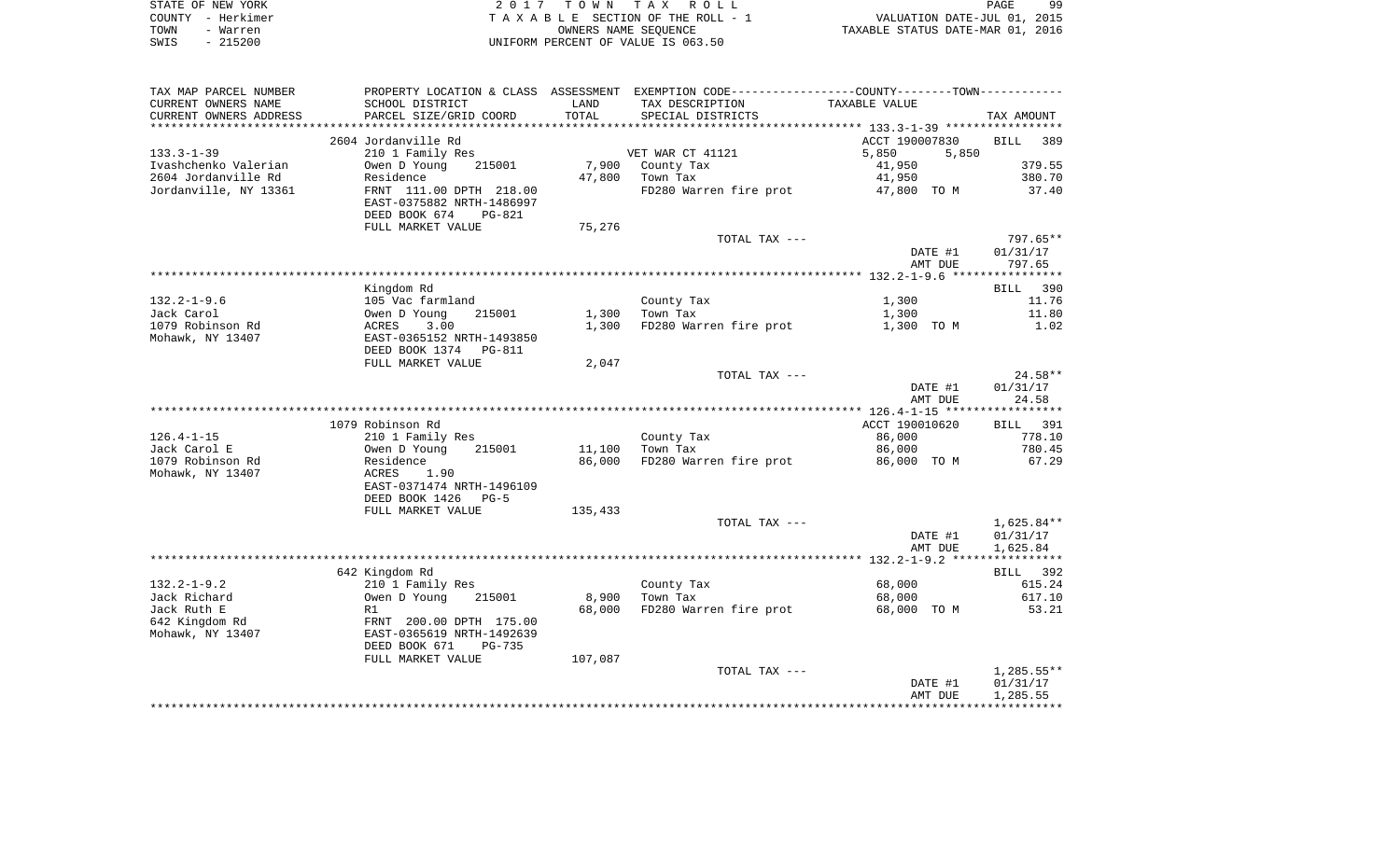|      | STATE OF NEW YORK | 2017 TOWN TAX ROLL                 | PAGE                             | 99 |
|------|-------------------|------------------------------------|----------------------------------|----|
|      | COUNTY - Herkimer | TAXABLE SECTION OF THE ROLL - 1    | VALUATION DATE-JUL 01, 2015      |    |
| TOWN | - Warren          | OWNERS NAME SEOUENCE               | TAXABLE STATUS DATE-MAR 01, 2016 |    |
| SWIS | - 215200          | UNIFORM PERCENT OF VALUE IS 063.50 |                                  |    |

| TAX MAP PARCEL NUMBER  | PROPERTY LOCATION & CLASS ASSESSMENT EXEMPTION CODE---------------COUNTY-------TOWN---------- |         |                        |                |                    |
|------------------------|-----------------------------------------------------------------------------------------------|---------|------------------------|----------------|--------------------|
| CURRENT OWNERS NAME    | SCHOOL DISTRICT                                                                               | LAND    | TAX DESCRIPTION        | TAXABLE VALUE  |                    |
| CURRENT OWNERS ADDRESS | PARCEL SIZE/GRID COORD                                                                        | TOTAL   | SPECIAL DISTRICTS      |                | TAX AMOUNT         |
|                        |                                                                                               |         |                        |                |                    |
|                        | 2604 Jordanville Rd                                                                           |         |                        | ACCT 190007830 | <b>BILL</b><br>389 |
| $133.3 - 1 - 39$       | 210 1 Family Res                                                                              |         | VET WAR CT 41121       | 5,850<br>5,850 |                    |
| Ivashchenko Valerian   | Owen D Young<br>215001                                                                        | 7,900   | County Tax             | 41,950         | 379.55             |
| 2604 Jordanville Rd    | Residence                                                                                     | 47,800  | Town Tax               | 41,950         | 380.70             |
| Jordanville, NY 13361  | FRNT 111.00 DPTH 218.00                                                                       |         | FD280 Warren fire prot | 47,800 TO M    | 37.40              |
|                        | EAST-0375882 NRTH-1486997                                                                     |         |                        |                |                    |
|                        | DEED BOOK 674<br>$PG-821$                                                                     |         |                        |                |                    |
|                        | FULL MARKET VALUE                                                                             | 75,276  |                        |                |                    |
|                        |                                                                                               |         | TOTAL TAX ---          |                | $797.65**$         |
|                        |                                                                                               |         |                        | DATE #1        | 01/31/17           |
|                        |                                                                                               |         |                        | AMT DUE        | 797.65             |
|                        |                                                                                               |         |                        |                |                    |
|                        | Kingdom Rd                                                                                    |         |                        |                | BILL 390           |
| $132.2 - 1 - 9.6$      | 105 Vac farmland                                                                              |         | County Tax             | 1,300          | 11.76              |
| Jack Carol             | Owen D Young<br>215001                                                                        | 1,300   | Town Tax               | 1,300          | 11.80              |
| 1079 Robinson Rd       | ACRES<br>3.00                                                                                 | 1,300   | FD280 Warren fire prot | 1,300 TO M     | 1.02               |
| Mohawk, NY 13407       | EAST-0365152 NRTH-1493850                                                                     |         |                        |                |                    |
|                        | DEED BOOK 1374<br><b>PG-811</b>                                                               |         |                        |                |                    |
|                        | FULL MARKET VALUE                                                                             | 2,047   |                        |                |                    |
|                        |                                                                                               |         | TOTAL TAX ---          |                | 24.58**            |
|                        |                                                                                               |         |                        | DATE #1        | 01/31/17           |
|                        |                                                                                               |         |                        | AMT DUE        | 24.58              |
|                        |                                                                                               |         |                        |                |                    |
|                        | 1079 Robinson Rd                                                                              |         |                        | ACCT 190010620 | BILL 391           |
| $126.4 - 1 - 15$       | 210 1 Family Res                                                                              |         | County Tax             | 86,000         | 778.10             |
| Jack Carol E           | Owen D Young<br>215001                                                                        | 11,100  | Town Tax               | 86,000         | 780.45             |
| 1079 Robinson Rd       | Residence                                                                                     | 86,000  | FD280 Warren fire prot | 86,000 TO M    | 67.29              |
| Mohawk, NY 13407       | ACRES<br>1.90                                                                                 |         |                        |                |                    |
|                        | EAST-0371474 NRTH-1496109                                                                     |         |                        |                |                    |
|                        | DEED BOOK 1426<br>$PG-5$                                                                      |         |                        |                |                    |
|                        | FULL MARKET VALUE                                                                             | 135,433 |                        |                |                    |
|                        |                                                                                               |         | TOTAL TAX ---          |                | 1,625.84**         |
|                        |                                                                                               |         |                        | DATE #1        | 01/31/17           |
|                        |                                                                                               |         |                        | AMT DUE        | 1,625.84           |
|                        |                                                                                               |         |                        |                |                    |
|                        | 642 Kingdom Rd                                                                                |         |                        |                | BILL 392           |
| $132.2 - 1 - 9.2$      | 210 1 Family Res                                                                              |         | County Tax             | 68,000         | 615.24             |
| Jack Richard           | Owen D Young<br>215001                                                                        | 8,900   | Town Tax               | 68,000         | 617.10             |
| Jack Ruth E            | R1                                                                                            | 68,000  | FD280 Warren fire prot | 68,000 TO M    | 53.21              |
| 642 Kingdom Rd         | FRNT 200.00 DPTH 175.00                                                                       |         |                        |                |                    |
| Mohawk, NY 13407       | EAST-0365619 NRTH-1492639                                                                     |         |                        |                |                    |
|                        | DEED BOOK 671<br>PG-735                                                                       |         |                        |                |                    |
|                        | FULL MARKET VALUE                                                                             | 107,087 |                        |                |                    |
|                        |                                                                                               |         | TOTAL TAX ---          |                | $1,285.55**$       |
|                        |                                                                                               |         |                        | DATE #1        | 01/31/17           |
|                        |                                                                                               |         |                        | AMT DUE        | 1,285.55           |
|                        |                                                                                               |         |                        |                |                    |
|                        |                                                                                               |         |                        |                |                    |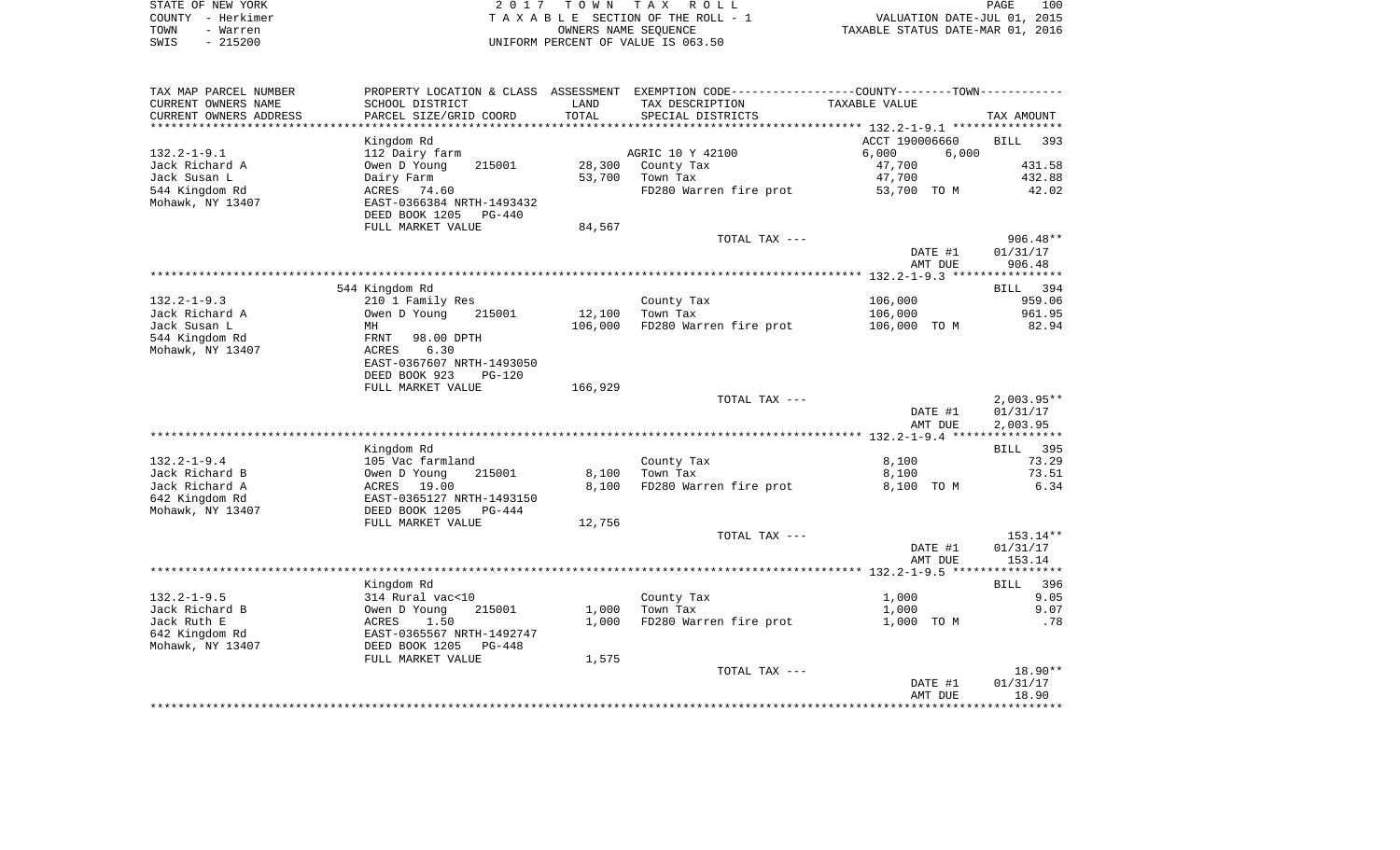| STATE OF NEW YORK | 2017 TOWN TAX ROLL                 | 100<br>PAGE                      |
|-------------------|------------------------------------|----------------------------------|
| COUNTY - Herkimer | TAXABLE SECTION OF THE ROLL - 1    | VALUATION DATE-JUL 01, 2015      |
| TOWN<br>- Warren  | OWNERS NAME SEOUENCE               | TAXABLE STATUS DATE-MAR 01, 2016 |
| - 215200<br>SWIS  | UNIFORM PERCENT OF VALUE IS 063.50 |                                  |

| PROPERTY LOCATION & CLASS |                                                                                                                                                                                                                                                                                                                                                                                                           |                                                                              | ASSESSMENT EXEMPTION CODE-----------------COUNTY-------TOWN----------                                                                                                                |                                                                                                                                              |
|---------------------------|-----------------------------------------------------------------------------------------------------------------------------------------------------------------------------------------------------------------------------------------------------------------------------------------------------------------------------------------------------------------------------------------------------------|------------------------------------------------------------------------------|--------------------------------------------------------------------------------------------------------------------------------------------------------------------------------------|----------------------------------------------------------------------------------------------------------------------------------------------|
| SCHOOL DISTRICT           | LAND                                                                                                                                                                                                                                                                                                                                                                                                      | TAX DESCRIPTION                                                              | TAXABLE VALUE                                                                                                                                                                        |                                                                                                                                              |
| PARCEL SIZE/GRID COORD    | TOTAL                                                                                                                                                                                                                                                                                                                                                                                                     | SPECIAL DISTRICTS                                                            |                                                                                                                                                                                      | TAX AMOUNT                                                                                                                                   |
|                           |                                                                                                                                                                                                                                                                                                                                                                                                           |                                                                              |                                                                                                                                                                                      |                                                                                                                                              |
| Kingdom Rd                |                                                                                                                                                                                                                                                                                                                                                                                                           |                                                                              | ACCT 190006660                                                                                                                                                                       | <b>BILL</b><br>393                                                                                                                           |
| 112 Dairy farm            |                                                                                                                                                                                                                                                                                                                                                                                                           |                                                                              | 6,000                                                                                                                                                                                |                                                                                                                                              |
| 215001                    |                                                                                                                                                                                                                                                                                                                                                                                                           |                                                                              |                                                                                                                                                                                      | 431.58                                                                                                                                       |
|                           |                                                                                                                                                                                                                                                                                                                                                                                                           |                                                                              |                                                                                                                                                                                      | 432.88                                                                                                                                       |
|                           |                                                                                                                                                                                                                                                                                                                                                                                                           |                                                                              |                                                                                                                                                                                      | 42.02                                                                                                                                        |
|                           |                                                                                                                                                                                                                                                                                                                                                                                                           |                                                                              |                                                                                                                                                                                      |                                                                                                                                              |
|                           |                                                                                                                                                                                                                                                                                                                                                                                                           |                                                                              |                                                                                                                                                                                      |                                                                                                                                              |
|                           |                                                                                                                                                                                                                                                                                                                                                                                                           |                                                                              |                                                                                                                                                                                      |                                                                                                                                              |
|                           |                                                                                                                                                                                                                                                                                                                                                                                                           |                                                                              |                                                                                                                                                                                      | $906.48**$                                                                                                                                   |
|                           |                                                                                                                                                                                                                                                                                                                                                                                                           |                                                                              |                                                                                                                                                                                      | 01/31/17                                                                                                                                     |
|                           |                                                                                                                                                                                                                                                                                                                                                                                                           |                                                                              |                                                                                                                                                                                      | 906.48                                                                                                                                       |
|                           |                                                                                                                                                                                                                                                                                                                                                                                                           |                                                                              |                                                                                                                                                                                      |                                                                                                                                              |
|                           |                                                                                                                                                                                                                                                                                                                                                                                                           |                                                                              |                                                                                                                                                                                      | BILL 394                                                                                                                                     |
|                           |                                                                                                                                                                                                                                                                                                                                                                                                           |                                                                              |                                                                                                                                                                                      | 959.06                                                                                                                                       |
|                           |                                                                                                                                                                                                                                                                                                                                                                                                           |                                                                              |                                                                                                                                                                                      | 961.95                                                                                                                                       |
|                           |                                                                                                                                                                                                                                                                                                                                                                                                           |                                                                              |                                                                                                                                                                                      | 82.94                                                                                                                                        |
|                           |                                                                                                                                                                                                                                                                                                                                                                                                           |                                                                              |                                                                                                                                                                                      |                                                                                                                                              |
|                           |                                                                                                                                                                                                                                                                                                                                                                                                           |                                                                              |                                                                                                                                                                                      |                                                                                                                                              |
|                           |                                                                                                                                                                                                                                                                                                                                                                                                           |                                                                              |                                                                                                                                                                                      |                                                                                                                                              |
|                           |                                                                                                                                                                                                                                                                                                                                                                                                           |                                                                              |                                                                                                                                                                                      |                                                                                                                                              |
|                           |                                                                                                                                                                                                                                                                                                                                                                                                           |                                                                              |                                                                                                                                                                                      |                                                                                                                                              |
|                           |                                                                                                                                                                                                                                                                                                                                                                                                           |                                                                              |                                                                                                                                                                                      |                                                                                                                                              |
|                           |                                                                                                                                                                                                                                                                                                                                                                                                           |                                                                              |                                                                                                                                                                                      | $2,003.95**$                                                                                                                                 |
|                           |                                                                                                                                                                                                                                                                                                                                                                                                           |                                                                              |                                                                                                                                                                                      | 01/31/17                                                                                                                                     |
|                           |                                                                                                                                                                                                                                                                                                                                                                                                           |                                                                              |                                                                                                                                                                                      | 2,003.95                                                                                                                                     |
|                           |                                                                                                                                                                                                                                                                                                                                                                                                           |                                                                              |                                                                                                                                                                                      |                                                                                                                                              |
|                           |                                                                                                                                                                                                                                                                                                                                                                                                           |                                                                              |                                                                                                                                                                                      | <b>BILL</b> 395                                                                                                                              |
|                           |                                                                                                                                                                                                                                                                                                                                                                                                           |                                                                              |                                                                                                                                                                                      | 73.29                                                                                                                                        |
|                           |                                                                                                                                                                                                                                                                                                                                                                                                           |                                                                              |                                                                                                                                                                                      | 73.51                                                                                                                                        |
|                           |                                                                                                                                                                                                                                                                                                                                                                                                           | FD280 Warren fire prot                                                       |                                                                                                                                                                                      |                                                                                                                                              |
|                           |                                                                                                                                                                                                                                                                                                                                                                                                           |                                                                              | 8,100 TO M                                                                                                                                                                           | 6.34                                                                                                                                         |
| EAST-0365127 NRTH-1493150 |                                                                                                                                                                                                                                                                                                                                                                                                           |                                                                              |                                                                                                                                                                                      |                                                                                                                                              |
| DEED BOOK 1205<br>PG-444  |                                                                                                                                                                                                                                                                                                                                                                                                           |                                                                              |                                                                                                                                                                                      |                                                                                                                                              |
| FULL MARKET VALUE         | 12,756                                                                                                                                                                                                                                                                                                                                                                                                    |                                                                              |                                                                                                                                                                                      |                                                                                                                                              |
|                           |                                                                                                                                                                                                                                                                                                                                                                                                           | TOTAL TAX ---                                                                |                                                                                                                                                                                      | 153.14**                                                                                                                                     |
|                           |                                                                                                                                                                                                                                                                                                                                                                                                           |                                                                              | DATE #1                                                                                                                                                                              | 01/31/17                                                                                                                                     |
|                           |                                                                                                                                                                                                                                                                                                                                                                                                           |                                                                              | AMT DUE                                                                                                                                                                              | 153.14                                                                                                                                       |
|                           |                                                                                                                                                                                                                                                                                                                                                                                                           |                                                                              |                                                                                                                                                                                      |                                                                                                                                              |
| Kingdom Rd                |                                                                                                                                                                                                                                                                                                                                                                                                           |                                                                              |                                                                                                                                                                                      | 396<br><b>BILL</b>                                                                                                                           |
| 314 Rural vac<10          |                                                                                                                                                                                                                                                                                                                                                                                                           | County Tax                                                                   | 1,000                                                                                                                                                                                | 9.05                                                                                                                                         |
| Owen D Young<br>215001    | 1,000                                                                                                                                                                                                                                                                                                                                                                                                     | Town Tax                                                                     | 1,000                                                                                                                                                                                | 9.07                                                                                                                                         |
| ACRES<br>1.50             | 1,000                                                                                                                                                                                                                                                                                                                                                                                                     | FD280 Warren fire prot                                                       | 1,000 TO M                                                                                                                                                                           | .78                                                                                                                                          |
| EAST-0365567 NRTH-1492747 |                                                                                                                                                                                                                                                                                                                                                                                                           |                                                                              |                                                                                                                                                                                      |                                                                                                                                              |
| DEED BOOK 1205<br>PG-448  |                                                                                                                                                                                                                                                                                                                                                                                                           |                                                                              |                                                                                                                                                                                      |                                                                                                                                              |
| FULL MARKET VALUE         | 1,575                                                                                                                                                                                                                                                                                                                                                                                                     |                                                                              |                                                                                                                                                                                      |                                                                                                                                              |
|                           |                                                                                                                                                                                                                                                                                                                                                                                                           | TOTAL TAX ---                                                                |                                                                                                                                                                                      | $18.90**$                                                                                                                                    |
|                           |                                                                                                                                                                                                                                                                                                                                                                                                           |                                                                              | DATE #1                                                                                                                                                                              | 01/31/17                                                                                                                                     |
|                           | Owen D Young<br>Dairy Farm<br>ACRES<br>74.60<br>EAST-0366384 NRTH-1493432<br>DEED BOOK 1205<br>PG-440<br>FULL MARKET VALUE<br>544 Kingdom Rd<br>210 1 Family Res<br>Owen D Young<br>215001<br>MH<br>FRNT<br>98.00 DPTH<br>ACRES<br>6.30<br>EAST-0367607 NRTH-1493050<br>DEED BOOK 923<br><b>PG-120</b><br>FULL MARKET VALUE<br>Kingdom Rd<br>105 Vac farmland<br>Owen D Young<br>215001<br>ACRES<br>19.00 | 28,300<br>53,700<br>84,567<br>12,100<br>106,000<br>166,929<br>8,100<br>8,100 | AGRIC 10 Y 42100<br>County Tax<br>Town Tax<br>FD280 Warren fire prot<br>TOTAL TAX ---<br>County Tax<br>Town Tax<br>FD280 Warren fire prot<br>TOTAL TAX ---<br>County Tax<br>Town Tax | 6,000<br>47,700<br>47,700<br>53,700 TO M<br>DATE #1<br>AMT DUE<br>106,000<br>106,000<br>106,000 TO M<br>DATE #1<br>AMT DUE<br>8,100<br>8,100 |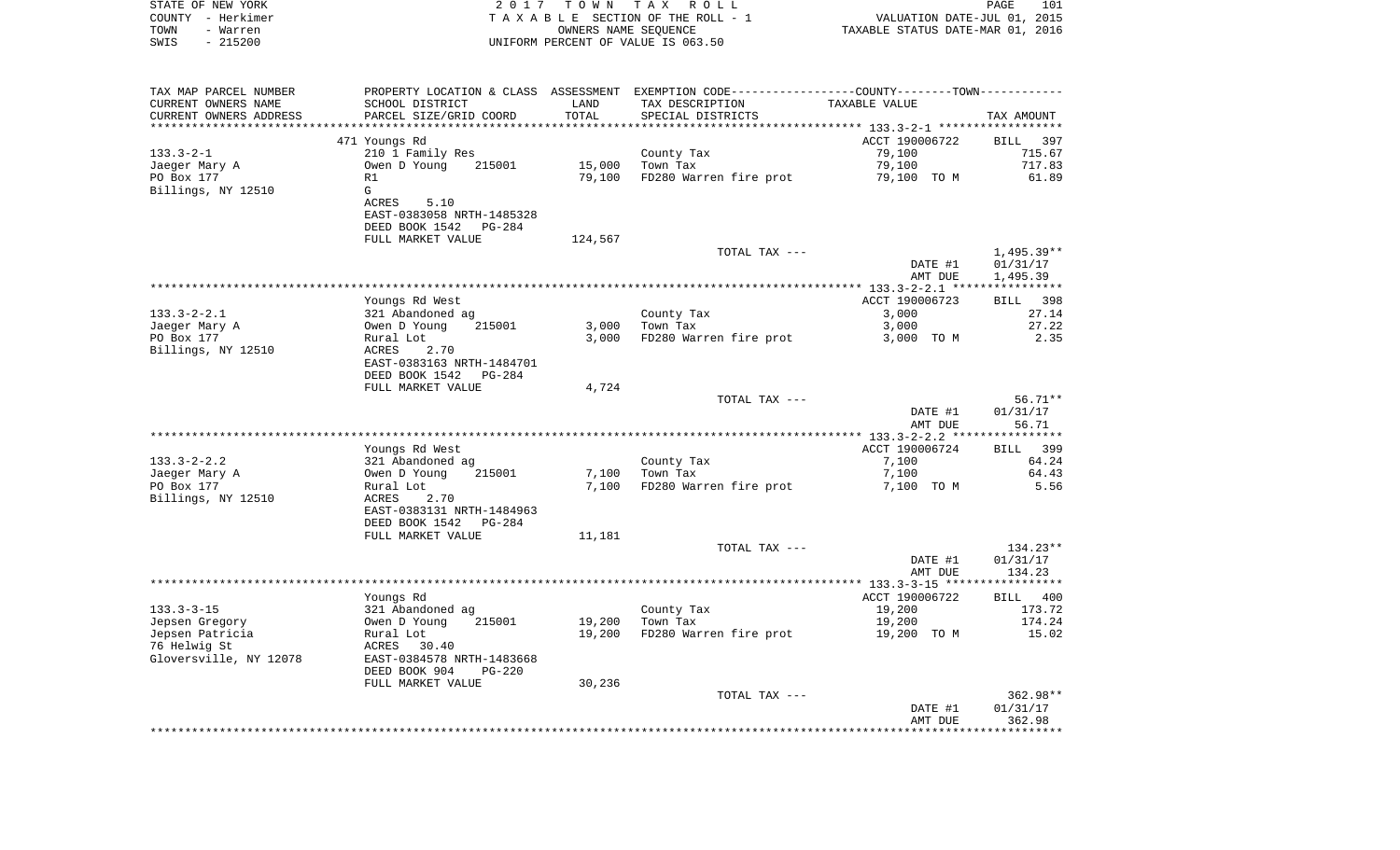| STATE OF NEW YORK<br>COUNTY - Herkimer<br>TOWN<br>- Warren<br>SWIS<br>$-215200$ |                                           | 2017 TOWN<br>OWNERS NAME SEQUENCE | TAX ROLL<br>TAXABLE SECTION OF THE ROLL - 1<br>UNIFORM PERCENT OF VALUE IS 063.50              | VALUATION DATE-JUL 01, 2015<br>TAXABLE STATUS DATE-MAR 01, 2016 | PAGE<br>101          |
|---------------------------------------------------------------------------------|-------------------------------------------|-----------------------------------|------------------------------------------------------------------------------------------------|-----------------------------------------------------------------|----------------------|
|                                                                                 |                                           |                                   |                                                                                                |                                                                 |                      |
| TAX MAP PARCEL NUMBER                                                           |                                           |                                   | PROPERTY LOCATION & CLASS ASSESSMENT EXEMPTION CODE----------------COUNTY-------TOWN---------- |                                                                 |                      |
| CURRENT OWNERS NAME<br>CURRENT OWNERS ADDRESS                                   | SCHOOL DISTRICT<br>PARCEL SIZE/GRID COORD | LAND<br>TOTAL                     | TAX DESCRIPTION<br>SPECIAL DISTRICTS                                                           | TAXABLE VALUE                                                   | TAX AMOUNT           |
| *************************                                                       |                                           |                                   |                                                                                                |                                                                 |                      |
|                                                                                 | 471 Youngs Rd                             |                                   |                                                                                                | ACCT 190006722                                                  | BILL<br>397          |
| $133.3 - 2 - 1$                                                                 | 210 1 Family Res                          |                                   | County Tax                                                                                     | 79,100                                                          | 715.67               |
| Jaeger Mary A                                                                   | Owen D Young<br>215001                    | 15,000                            | Town Tax                                                                                       | 79,100                                                          | 717.83               |
| PO Box 177                                                                      | R1                                        | 79,100                            | FD280 Warren fire prot                                                                         | 79,100 TO M                                                     | 61.89                |
| Billings, NY 12510                                                              | G                                         |                                   |                                                                                                |                                                                 |                      |
|                                                                                 | ACRES<br>5.10                             |                                   |                                                                                                |                                                                 |                      |
|                                                                                 | EAST-0383058 NRTH-1485328                 |                                   |                                                                                                |                                                                 |                      |
|                                                                                 | DEED BOOK 1542 PG-284                     |                                   |                                                                                                |                                                                 |                      |
|                                                                                 | FULL MARKET VALUE                         | 124,567                           |                                                                                                |                                                                 |                      |
|                                                                                 |                                           |                                   | TOTAL TAX ---                                                                                  |                                                                 | $1,495.39**$         |
|                                                                                 |                                           |                                   |                                                                                                | DATE #1<br>AMT DUE                                              | 01/31/17<br>1,495.39 |
|                                                                                 |                                           |                                   |                                                                                                |                                                                 |                      |
|                                                                                 | Youngs Rd West                            |                                   |                                                                                                | ACCT 190006723                                                  | BILL 398             |
| $133.3 - 2 - 2.1$                                                               | 321 Abandoned ag                          |                                   | County Tax                                                                                     | 3,000                                                           | 27.14                |
| Jaeger Mary A                                                                   | 215001<br>Owen D Young                    | 3,000                             | Town Tax                                                                                       | 3,000                                                           | 27.22                |
| PO Box 177                                                                      | Rural Lot                                 | 3,000                             | FD280 Warren fire prot                                                                         | 3,000 TO M                                                      | 2.35                 |
| Billings, NY 12510                                                              | ACRES<br>2.70                             |                                   |                                                                                                |                                                                 |                      |
|                                                                                 | EAST-0383163 NRTH-1484701                 |                                   |                                                                                                |                                                                 |                      |
|                                                                                 | DEED BOOK 1542 PG-284                     |                                   |                                                                                                |                                                                 |                      |
|                                                                                 | FULL MARKET VALUE                         | 4,724                             |                                                                                                |                                                                 |                      |
|                                                                                 |                                           |                                   | TOTAL TAX ---                                                                                  |                                                                 | 56.71**              |
|                                                                                 |                                           |                                   |                                                                                                | DATE #1<br>AMT DUE                                              | 01/31/17<br>56.71    |
|                                                                                 |                                           |                                   |                                                                                                |                                                                 |                      |
|                                                                                 | Youngs Rd West                            |                                   |                                                                                                | ACCT 190006724                                                  | 399<br>BILL          |
| $133.3 - 2 - 2.2$                                                               | 321 Abandoned ag                          |                                   | County Tax                                                                                     | 7,100                                                           | 64.24                |
| Jaeger Mary A                                                                   | Owen D Young<br>215001                    | 7,100                             | Town Tax                                                                                       | 7,100                                                           | 64.43                |
| PO Box 177                                                                      | Rural Lot                                 | 7,100                             | FD280 Warren fire prot                                                                         | 7,100 TO M                                                      | 5.56                 |
| Billings, NY 12510                                                              | ACRES<br>2.70                             |                                   |                                                                                                |                                                                 |                      |
|                                                                                 | EAST-0383131 NRTH-1484963                 |                                   |                                                                                                |                                                                 |                      |
|                                                                                 | DEED BOOK 1542 PG-284                     |                                   |                                                                                                |                                                                 |                      |
|                                                                                 | FULL MARKET VALUE                         | 11,181                            |                                                                                                |                                                                 |                      |
|                                                                                 |                                           |                                   | TOTAL TAX ---                                                                                  |                                                                 | $134.23**$           |
|                                                                                 |                                           |                                   |                                                                                                | DATE #1                                                         | 01/31/17             |
|                                                                                 |                                           |                                   |                                                                                                | AMT DUE                                                         | 134.23               |
|                                                                                 | Youngs Rd                                 |                                   |                                                                                                | ACCT 190006722                                                  | BILL 400             |
| $133.3 - 3 - 15$                                                                | 321 Abandoned ag                          |                                   | County Tax                                                                                     | 19,200                                                          | 173.72               |
| Jepsen Gregory                                                                  | 215001<br>Owen D Young                    |                                   | 19,200 Town Tax                                                                                | 19,200                                                          | 174.24               |
| Jepsen Patricia                                                                 | Rural Lot                                 | 19,200                            | FD280 Warren fire prot                                                                         | 19,200 TO M                                                     | 15.02                |
| 76 Helwig St                                                                    | ACRES<br>30.40                            |                                   |                                                                                                |                                                                 |                      |
| Gloversville, NY 12078                                                          | EAST-0384578 NRTH-1483668                 |                                   |                                                                                                |                                                                 |                      |
|                                                                                 | DEED BOOK 904<br><b>PG-220</b>            |                                   |                                                                                                |                                                                 |                      |
|                                                                                 | FULL MARKET VALUE                         | 30,236                            |                                                                                                |                                                                 |                      |
|                                                                                 |                                           |                                   | TOTAL TAX ---                                                                                  |                                                                 | $362.98**$           |
|                                                                                 |                                           |                                   |                                                                                                |                                                                 |                      |
|                                                                                 |                                           |                                   |                                                                                                | DATE #1<br>AMT DUE                                              | 01/31/17<br>362.98   |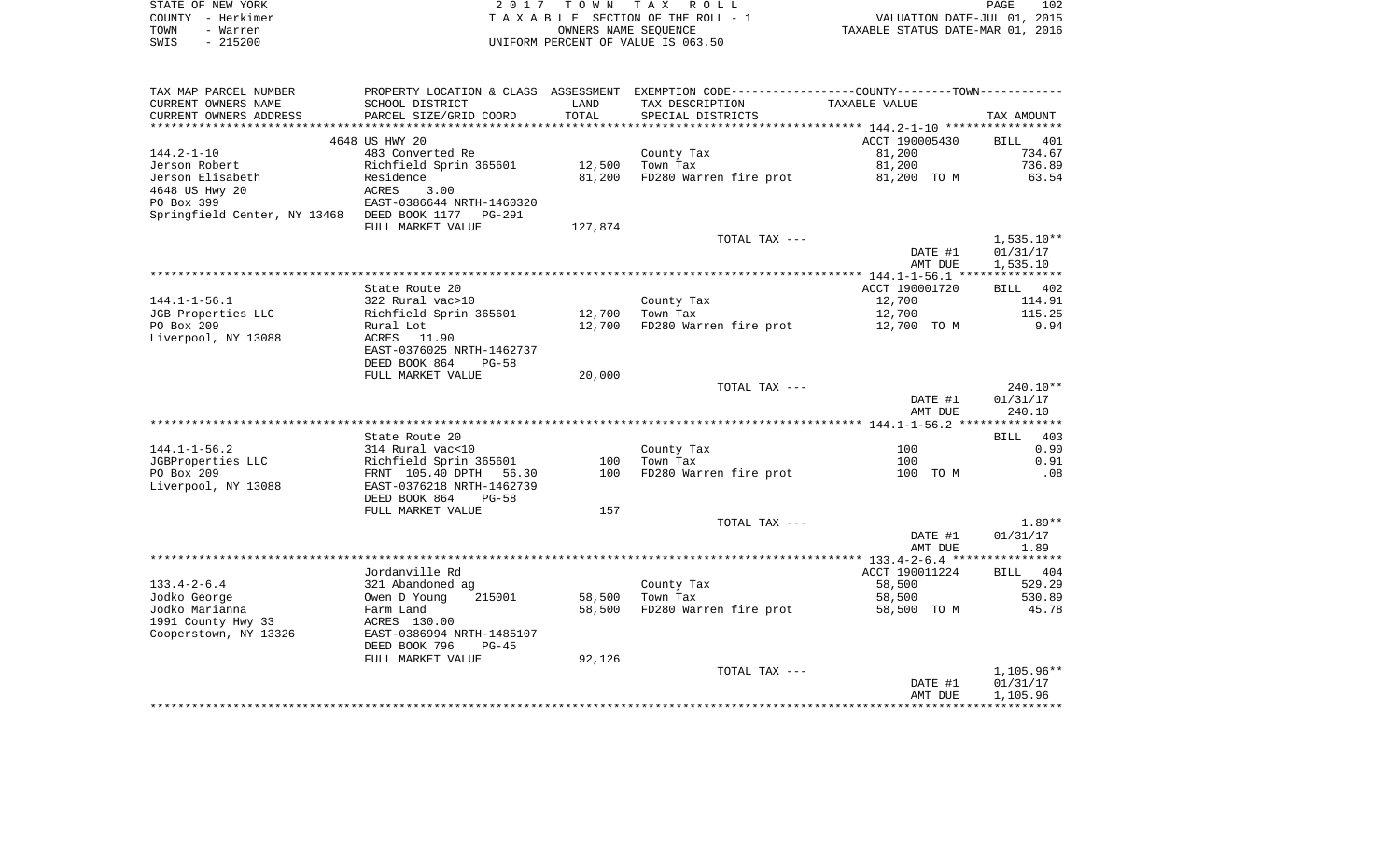|      | STATE OF NEW YORK | 2017 TOWN TAX ROLL                 | <b>PAGE</b>                      | 102 |
|------|-------------------|------------------------------------|----------------------------------|-----|
|      | COUNTY - Herkimer | TAXABLE SECTION OF THE ROLL - 1    | VALUATION DATE-JUL 01, 2015      |     |
| TOWN | - Warren          | OWNERS NAME SEOUENCE               | TAXABLE STATUS DATE-MAR 01, 2016 |     |
| SWIS | - 215200          | UNIFORM PERCENT OF VALUE IS 063.50 |                                  |     |

| TAX MAP PARCEL NUMBER                              |                           |         | PROPERTY LOCATION & CLASS ASSESSMENT EXEMPTION CODE-----------------COUNTY--------TOWN--------- |                |              |
|----------------------------------------------------|---------------------------|---------|-------------------------------------------------------------------------------------------------|----------------|--------------|
| CURRENT OWNERS NAME                                | SCHOOL DISTRICT           | LAND    | TAX DESCRIPTION                                                                                 | TAXABLE VALUE  |              |
| CURRENT OWNERS ADDRESS                             | PARCEL SIZE/GRID COORD    | TOTAL   | SPECIAL DISTRICTS                                                                               |                | TAX AMOUNT   |
|                                                    |                           |         |                                                                                                 |                |              |
|                                                    | 4648 US HWY 20            |         |                                                                                                 | ACCT 190005430 | BILL 401     |
| $144.2 - 1 - 10$                                   | 483 Converted Re          |         | County Tax                                                                                      | 81,200         | 734.67       |
| Jerson Robert                                      | Richfield Sprin 365601    | 12,500  | Town Tax                                                                                        | 81,200         | 736.89       |
| Jerson Elisabeth                                   | Residence                 | 81,200  | FD280 Warren fire prot                                                                          | 81,200 TO M    | 63.54        |
| 4648 US Hwy 20                                     | ACRES<br>3.00             |         |                                                                                                 |                |              |
| PO Box 399                                         | EAST-0386644 NRTH-1460320 |         |                                                                                                 |                |              |
| Springfield Center, NY 13468 DEED BOOK 1177 PG-291 |                           |         |                                                                                                 |                |              |
|                                                    | FULL MARKET VALUE         | 127,874 |                                                                                                 |                |              |
|                                                    |                           |         | TOTAL TAX ---                                                                                   |                | $1,535.10**$ |
|                                                    |                           |         |                                                                                                 | DATE #1        | 01/31/17     |
|                                                    |                           |         |                                                                                                 | AMT DUE        | 1,535.10     |
|                                                    |                           |         |                                                                                                 |                |              |
|                                                    | State Route 20            |         |                                                                                                 | ACCT 190001720 | BILL 402     |
| $144.1 - 1 - 56.1$                                 | 322 Rural vac>10          |         | County Tax                                                                                      | 12,700         | 114.91       |
| JGB Properties LLC                                 | Richfield Sprin 365601    | 12,700  | Town Tax                                                                                        | 12,700         | 115.25       |
| PO Box 209                                         | Rural Lot                 | 12,700  | FD280 Warren fire prot                                                                          | 12,700 TO M    | 9.94         |
| Liverpool, NY 13088                                | 11.90<br>ACRES            |         |                                                                                                 |                |              |
|                                                    | EAST-0376025 NRTH-1462737 |         |                                                                                                 |                |              |
|                                                    | DEED BOOK 864<br>$PG-58$  |         |                                                                                                 |                |              |
|                                                    | FULL MARKET VALUE         | 20,000  |                                                                                                 |                |              |
|                                                    |                           |         | TOTAL TAX ---                                                                                   |                | $240.10**$   |
|                                                    |                           |         |                                                                                                 | DATE #1        | 01/31/17     |
|                                                    |                           |         |                                                                                                 | AMT DUE        | 240.10       |
|                                                    |                           |         |                                                                                                 |                |              |
|                                                    | State Route 20            |         |                                                                                                 |                | BILL 403     |
| $144.1 - 1 - 56.2$                                 | 314 Rural vac<10          |         | County Tax                                                                                      | 100            | 0.90         |
| JGBProperties LLC                                  | Richfield Sprin 365601    | 100     | Town Tax                                                                                        | 100            | 0.91         |
| PO Box 209                                         | FRNT 105.40 DPTH<br>56.30 | 100     | FD280 Warren fire prot                                                                          | 100 TO M       | .08          |
| Liverpool, NY 13088                                | EAST-0376218 NRTH-1462739 |         |                                                                                                 |                |              |
|                                                    | DEED BOOK 864<br>$PG-58$  |         |                                                                                                 |                |              |
|                                                    | FULL MARKET VALUE         | 157     |                                                                                                 |                |              |
|                                                    |                           |         | TOTAL TAX ---                                                                                   |                | $1.89**$     |
|                                                    |                           |         |                                                                                                 | DATE #1        | 01/31/17     |
|                                                    |                           |         |                                                                                                 | AMT DUE        | 1.89         |
|                                                    |                           |         |                                                                                                 |                |              |
|                                                    | Jordanville Rd            |         |                                                                                                 | ACCT 190011224 | BILL 404     |
| $133.4 - 2 - 6.4$                                  | 321 Abandoned ag          |         | County Tax                                                                                      | 58,500         | 529.29       |
| Jodko George                                       | Owen D Young<br>215001    | 58,500  | Town Tax                                                                                        | 58,500         | 530.89       |
| Jodko Marianna                                     | Farm Land                 | 58,500  | FD280 Warren fire prot                                                                          | 58,500 TO M    | 45.78        |
| 1991 County Hwy 33                                 | ACRES 130.00              |         |                                                                                                 |                |              |
| Cooperstown, NY 13326                              | EAST-0386994 NRTH-1485107 |         |                                                                                                 |                |              |
|                                                    | DEED BOOK 796<br>$PG-45$  |         |                                                                                                 |                |              |
|                                                    | FULL MARKET VALUE         | 92,126  |                                                                                                 |                |              |
|                                                    |                           |         | TOTAL TAX ---                                                                                   |                | $1,105.96**$ |
|                                                    |                           |         |                                                                                                 | DATE #1        | 01/31/17     |
|                                                    |                           |         |                                                                                                 | AMT DUE        | 1,105.96     |
|                                                    |                           |         |                                                                                                 |                |              |
|                                                    |                           |         |                                                                                                 |                |              |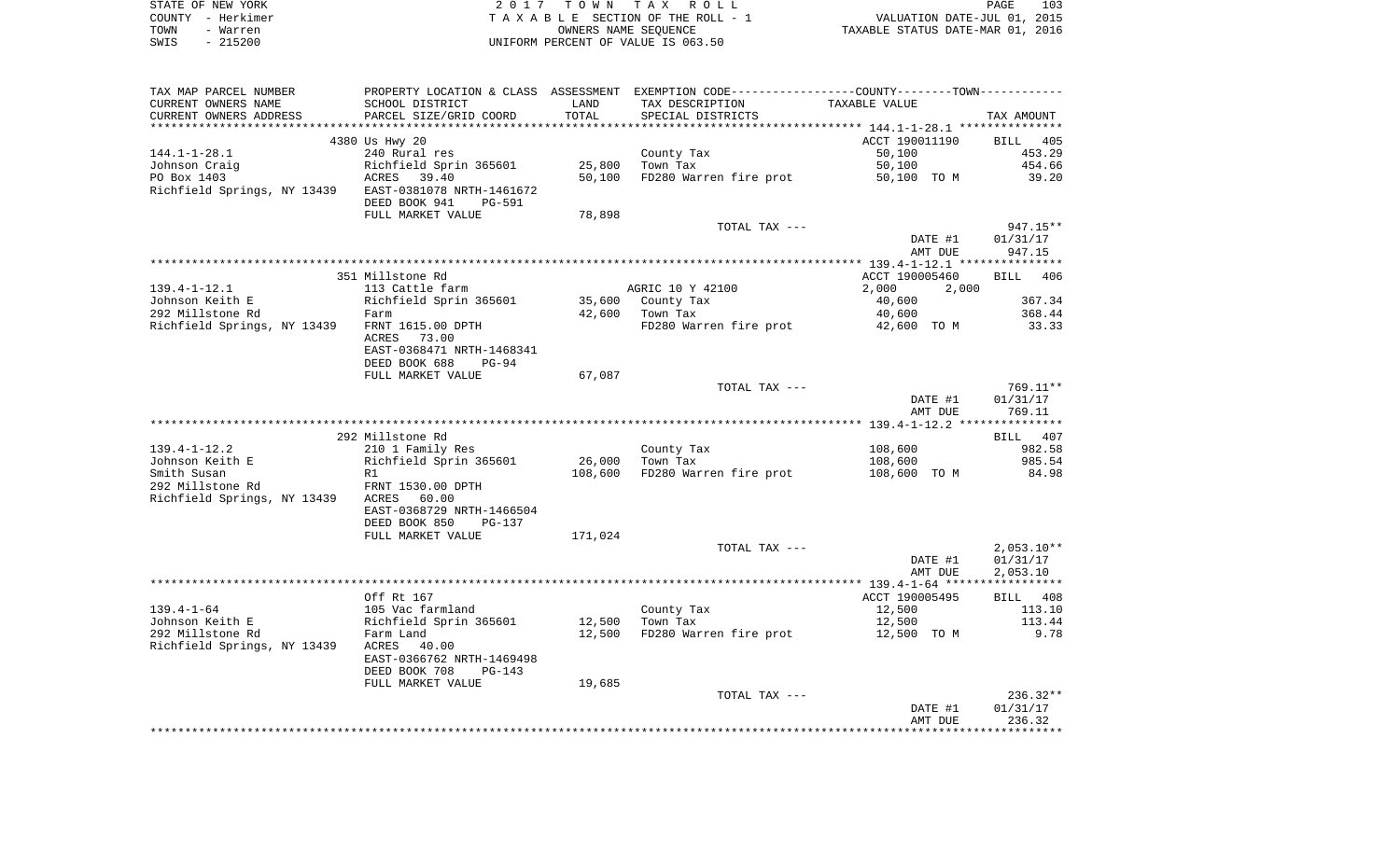|      | STATE OF NEW YORK | 2017 TOWN TAX ROLL                 | PAGE                             | 103 |
|------|-------------------|------------------------------------|----------------------------------|-----|
|      | COUNTY - Herkimer | TAXABLE SECTION OF THE ROLL - 1    | VALUATION DATE-JUL 01, 2015      |     |
| TOWN | - Warren          | OWNERS NAME SEOUENCE               | TAXABLE STATUS DATE-MAR 01, 2016 |     |
| SWIS | $-215200$         | UNIFORM PERCENT OF VALUE IS 063.50 |                                  |     |

| TAX MAP PARCEL NUMBER                                 |                                                                          |         | PROPERTY LOCATION & CLASS ASSESSMENT EXEMPTION CODE---------------COUNTY-------TOWN---------- |                    |                                      |
|-------------------------------------------------------|--------------------------------------------------------------------------|---------|-----------------------------------------------------------------------------------------------|--------------------|--------------------------------------|
| CURRENT OWNERS NAME                                   | SCHOOL DISTRICT                                                          | LAND    | TAX DESCRIPTION                                                                               | TAXABLE VALUE      |                                      |
| CURRENT OWNERS ADDRESS                                | PARCEL SIZE/GRID COORD                                                   | TOTAL   | SPECIAL DISTRICTS                                                                             |                    | TAX AMOUNT                           |
|                                                       |                                                                          |         |                                                                                               |                    |                                      |
|                                                       | 4380 Us Hwy 20                                                           |         |                                                                                               | ACCT 190011190     | BILL 405                             |
| $144.1 - 1 - 28.1$                                    | 240 Rural res                                                            |         | County Tax                                                                                    | 50,100             | 453.29                               |
| Johnson Craig                                         | Richfield Sprin 365601                                                   | 25,800  | Town Tax                                                                                      | 50,100             | 454.66                               |
| PO Box 1403                                           | ACRES<br>39.40                                                           | 50,100  | FD280 Warren fire prot                                                                        | 50,100 TO M        | 39.20                                |
| Richfield Springs, NY 13439 EAST-0381078 NRTH-1461672 | DEED BOOK 941<br>PG-591                                                  |         |                                                                                               |                    |                                      |
|                                                       | FULL MARKET VALUE                                                        | 78,898  |                                                                                               |                    |                                      |
|                                                       |                                                                          |         | TOTAL TAX ---                                                                                 |                    | 947.15**                             |
|                                                       |                                                                          |         |                                                                                               | DATE #1<br>AMT DUE | 01/31/17<br>947.15                   |
|                                                       |                                                                          |         |                                                                                               |                    |                                      |
|                                                       | 351 Millstone Rd                                                         |         |                                                                                               | ACCT 190005460     | BILL 406                             |
| $139.4 - 1 - 12.1$                                    | 113 Cattle farm                                                          |         | AGRIC 10 Y 42100                                                                              | 2,000<br>2,000     |                                      |
| Johnson Keith E                                       | Richfield Sprin 365601                                                   | 35,600  | County Tax                                                                                    | 40,600             | 367.34                               |
| 292 Millstone Rd                                      | Farm                                                                     | 42,600  | Town Tax                                                                                      | 40,600             | 368.44                               |
| Richfield Springs, NY 13439                           | FRNT 1615.00 DPTH<br>ACRES<br>73.00<br>EAST-0368471 NRTH-1468341         |         | FD280 Warren fire prot                                                                        | 42,600 TO M        | 33.33                                |
|                                                       | DEED BOOK 688<br>$PG-94$                                                 |         |                                                                                               |                    |                                      |
|                                                       | FULL MARKET VALUE                                                        | 67,087  |                                                                                               |                    |                                      |
|                                                       |                                                                          |         | TOTAL TAX ---                                                                                 | DATE #1<br>AMT DUE | 769.11**<br>01/31/17<br>769.11       |
|                                                       |                                                                          |         |                                                                                               |                    |                                      |
|                                                       | 292 Millstone Rd                                                         |         |                                                                                               |                    | BILL 407                             |
| $139.4 - 1 - 12.2$                                    | 210 1 Family Res                                                         |         | County Tax                                                                                    | 108,600            | 982.58                               |
| Johnson Keith E                                       | Richfield Sprin 365601                                                   | 26,000  | Town Tax                                                                                      | 108,600            | 985.54                               |
| Smith Susan                                           | R1                                                                       | 108,600 | FD280 Warren fire prot                                                                        | 108,600 TO M       | 84.98                                |
| 292 Millstone Rd                                      | FRNT 1530.00 DPTH                                                        |         |                                                                                               |                    |                                      |
| Richfield Springs, NY 13439                           | ACRES<br>60.00<br>EAST-0368729 NRTH-1466504                              |         |                                                                                               |                    |                                      |
|                                                       | DEED BOOK 850<br>PG-137                                                  |         |                                                                                               |                    |                                      |
|                                                       | FULL MARKET VALUE                                                        | 171,024 |                                                                                               |                    |                                      |
|                                                       |                                                                          |         | TOTAL TAX ---                                                                                 | DATE #1<br>AMT DUE | $2,053.10**$<br>01/31/17<br>2,053.10 |
|                                                       |                                                                          |         |                                                                                               |                    |                                      |
|                                                       | Off Rt 167                                                               |         |                                                                                               | ACCT 190005495     | BILL 408                             |
| $139.4 - 1 - 64$                                      | 105 Vac farmland                                                         |         | County Tax                                                                                    | 12,500             | 113.10                               |
| Johnson Keith E                                       | Richfield Sprin 365601                                                   | 12,500  | Town Tax                                                                                      | 12,500             | 113.44                               |
| 292 Millstone Rd                                      | Farm Land                                                                | 12,500  | FD280 Warren fire prot                                                                        | 12,500 TO M        | 9.78                                 |
| Richfield Springs, NY 13439                           | 40.00<br>ACRES<br>EAST-0366762 NRTH-1469498<br>DEED BOOK 708<br>$PG-143$ |         |                                                                                               |                    |                                      |
|                                                       | FULL MARKET VALUE                                                        | 19,685  |                                                                                               |                    |                                      |
|                                                       |                                                                          |         | TOTAL TAX ---                                                                                 |                    | $236.32**$                           |
|                                                       |                                                                          |         |                                                                                               | DATE #1            | 01/31/17                             |
|                                                       |                                                                          |         |                                                                                               | AMT DUE            | 236.32                               |
|                                                       |                                                                          |         |                                                                                               |                    |                                      |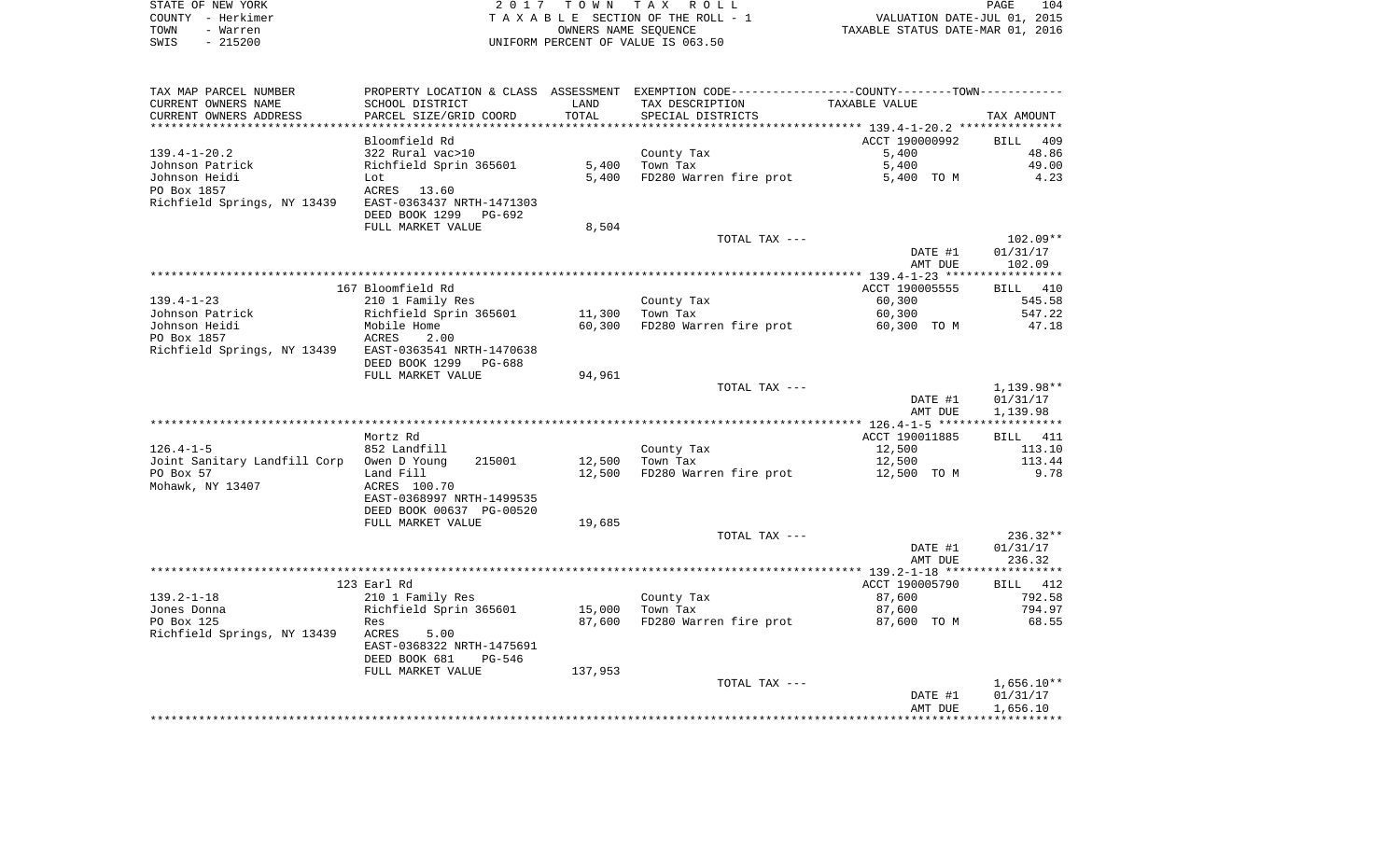| STATE OF NEW YORK | 2017 TOWN TAX ROLL                 | PAGE                             | 104 |
|-------------------|------------------------------------|----------------------------------|-----|
| COUNTY - Herkimer | TAXABLE SECTION OF THE ROLL - 1    | VALUATION DATE-JUL 01, 2015      |     |
| TOWN<br>- Warren  | OWNERS NAME SEOUENCE               | TAXABLE STATUS DATE-MAR 01, 2016 |     |
| $-215200$<br>SWIS | UNIFORM PERCENT OF VALUE IS 063.50 |                                  |     |

| TAX MAP PARCEL NUMBER                                 | PROPERTY LOCATION & CLASS ASSESSMENT EXEMPTION CODE---------------COUNTY-------TOWN---------- |         |                        |                |                 |
|-------------------------------------------------------|-----------------------------------------------------------------------------------------------|---------|------------------------|----------------|-----------------|
| CURRENT OWNERS NAME                                   | SCHOOL DISTRICT                                                                               | LAND    | TAX DESCRIPTION        | TAXABLE VALUE  |                 |
| CURRENT OWNERS ADDRESS                                | PARCEL SIZE/GRID COORD                                                                        | TOTAL   | SPECIAL DISTRICTS      |                | TAX AMOUNT      |
|                                                       |                                                                                               |         |                        |                |                 |
|                                                       | Bloomfield Rd                                                                                 |         |                        | ACCT 190000992 | BILL 409        |
|                                                       |                                                                                               |         |                        |                |                 |
| $139.4 - 1 - 20.2$                                    | 322 Rural vac>10                                                                              |         | County Tax             | 5,400          | 48.86           |
| Johnson Patrick                                       | Richfield Sprin 365601                                                                        | 5,400   | Town Tax               | 5,400          | 49.00           |
| Johnson Heidi                                         | Lot                                                                                           | 5,400   | FD280 Warren fire prot | 5,400 TO M     | 4.23            |
| PO Box 1857                                           | ACRES 13.60                                                                                   |         |                        |                |                 |
| Richfield Springs, NY 13439 EAST-0363437 NRTH-1471303 |                                                                                               |         |                        |                |                 |
|                                                       | DEED BOOK 1299 PG-692                                                                         |         |                        |                |                 |
|                                                       | FULL MARKET VALUE                                                                             | 8,504   |                        |                |                 |
|                                                       |                                                                                               |         | TOTAL TAX ---          |                | $102.09**$      |
|                                                       |                                                                                               |         |                        | DATE #1        | 01/31/17        |
|                                                       |                                                                                               |         |                        |                |                 |
|                                                       |                                                                                               |         |                        | AMT DUE        | 102.09          |
|                                                       |                                                                                               |         |                        |                |                 |
|                                                       | 167 Bloomfield Rd                                                                             |         |                        | ACCT 190005555 | BILL 410        |
| $139.4 - 1 - 23$                                      | 210 1 Family Res                                                                              |         | County Tax             | 60,300         | 545.58          |
| Johnson Patrick                                       | Richfield Sprin 365601                                                                        | 11,300  | Town Tax               | 60,300         | 547.22          |
| Johnson Heidi                                         | Mobile Home                                                                                   | 60,300  | FD280 Warren fire prot | 60,300 TO M    | 47.18           |
| PO Box 1857                                           | ACRES<br>2.00                                                                                 |         |                        |                |                 |
| Richfield Springs, NY 13439 EAST-0363541 NRTH-1470638 |                                                                                               |         |                        |                |                 |
|                                                       |                                                                                               |         |                        |                |                 |
|                                                       | DEED BOOK 1299 PG-688                                                                         |         |                        |                |                 |
|                                                       | FULL MARKET VALUE                                                                             | 94,961  |                        |                |                 |
|                                                       |                                                                                               |         | TOTAL TAX ---          |                | 1,139.98**      |
|                                                       |                                                                                               |         |                        | DATE #1        | 01/31/17        |
|                                                       |                                                                                               |         |                        | AMT DUE        | 1,139.98        |
|                                                       |                                                                                               |         |                        |                |                 |
|                                                       | Mortz Rd                                                                                      |         |                        | ACCT 190011885 | <b>BILL</b> 411 |
| $126.4 - 1 - 5$                                       | 852 Landfill                                                                                  |         | County Tax             | 12,500         | 113.10          |
| Joint Sanitary Landfill Corp Owen D Young             | 215001                                                                                        | 12,500  | Town Tax               | 12,500         | 113.44          |
| PO Box 57                                             |                                                                                               | 12,500  |                        |                | 9.78            |
|                                                       | Land Fill                                                                                     |         | FD280 Warren fire prot | 12,500 TO M    |                 |
| Mohawk, NY 13407                                      | ACRES 100.70                                                                                  |         |                        |                |                 |
|                                                       | EAST-0368997 NRTH-1499535                                                                     |         |                        |                |                 |
|                                                       | DEED BOOK 00637 PG-00520                                                                      |         |                        |                |                 |
|                                                       | FULL MARKET VALUE                                                                             | 19,685  |                        |                |                 |
|                                                       |                                                                                               |         | TOTAL TAX ---          |                | $236.32**$      |
|                                                       |                                                                                               |         |                        | DATE #1        | 01/31/17        |
|                                                       |                                                                                               |         |                        | AMT DUE        | 236.32          |
|                                                       |                                                                                               |         |                        |                |                 |
|                                                       | 123 Earl Rd                                                                                   |         |                        | ACCT 190005790 | BILL 412        |
|                                                       |                                                                                               |         |                        |                |                 |
| $139.2 - 1 - 18$                                      | 210 1 Family Res                                                                              |         | County Tax             | 87,600         | 792.58          |
| Jones Donna                                           | Richfield Sprin 365601                                                                        | 15,000  | Town Tax               | 87,600         | 794.97          |
| PO Box 125                                            | Res                                                                                           | 87,600  | FD280 Warren fire prot | 87,600 TO M    | 68.55           |
| Richfield Springs, NY 13439 ACRES                     | 5.00                                                                                          |         |                        |                |                 |
|                                                       | EAST-0368322 NRTH-1475691                                                                     |         |                        |                |                 |
|                                                       | DEED BOOK 681<br>PG-546                                                                       |         |                        |                |                 |
|                                                       | FULL MARKET VALUE                                                                             | 137,953 |                        |                |                 |
|                                                       |                                                                                               |         |                        |                | $1,656.10**$    |
|                                                       |                                                                                               |         | TOTAL TAX ---          |                |                 |
|                                                       |                                                                                               |         |                        | DATE #1        | 01/31/17        |
|                                                       |                                                                                               |         |                        | AMT DUE        | 1,656.10        |
|                                                       |                                                                                               |         |                        |                |                 |
|                                                       |                                                                                               |         |                        |                |                 |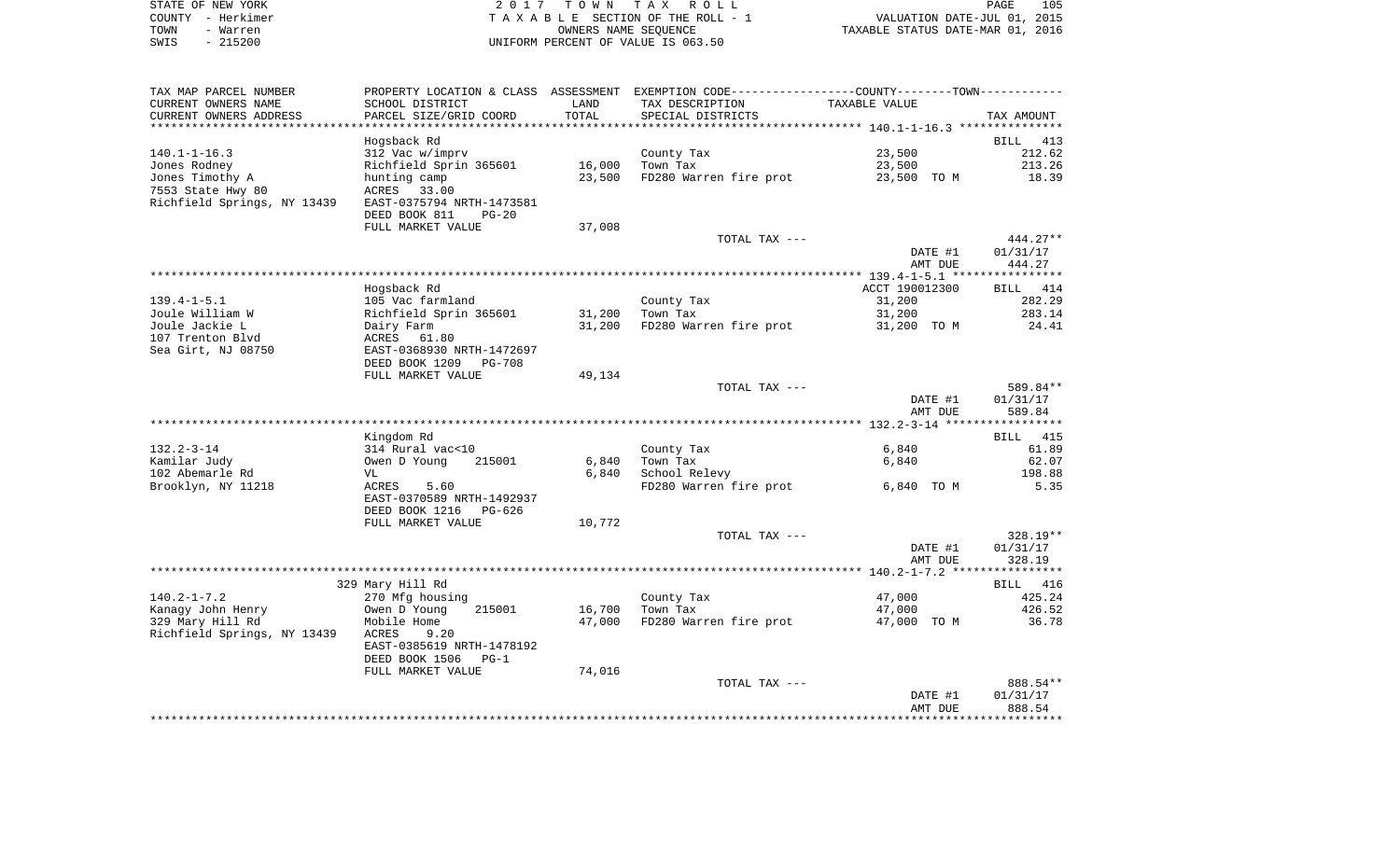| STATE OF NEW YORK | 2017 TOWN TAX ROLL                 | 105<br>PAGE                      |
|-------------------|------------------------------------|----------------------------------|
| COUNTY – Herkimer | TAXABLE SECTION OF THE ROLL - 1    | VALUATION DATE-JUL 01, 2015      |
| TOWN<br>- Warren  | OWNERS NAME SEOUENCE               | TAXABLE STATUS DATE-MAR 01, 2016 |
| - 215200<br>SWIS  | UNIFORM PERCENT OF VALUE IS 063.50 |                                  |

| TAX MAP PARCEL NUMBER       | PROPERTY LOCATION & CLASS ASSESSMENT EXEMPTION CODE---------------COUNTY-------TOWN---------- |        |                        |                |                      |
|-----------------------------|-----------------------------------------------------------------------------------------------|--------|------------------------|----------------|----------------------|
| CURRENT OWNERS NAME         | SCHOOL DISTRICT                                                                               | LAND   | TAX DESCRIPTION        | TAXABLE VALUE  |                      |
| CURRENT OWNERS ADDRESS      | PARCEL SIZE/GRID COORD                                                                        | TOTAL  | SPECIAL DISTRICTS      |                | TAX AMOUNT           |
|                             |                                                                                               |        |                        |                |                      |
|                             | Hogsback Rd                                                                                   |        |                        |                | BILL 413             |
| $140.1 - 1 - 16.3$          | 312 Vac w/imprv                                                                               |        | County Tax             | 23,500         | 212.62               |
| Jones Rodney                | Richfield Sprin 365601                                                                        | 16,000 | Town Tax               | 23,500         | 213.26               |
| Jones Timothy A             | hunting camp                                                                                  | 23,500 | FD280 Warren fire prot | 23,500 TO M    | 18.39                |
| 7553 State Hwy 80           | ACRES<br>33.00                                                                                |        |                        |                |                      |
| Richfield Springs, NY 13439 | EAST-0375794 NRTH-1473581                                                                     |        |                        |                |                      |
|                             | DEED BOOK 811<br>$PG-20$                                                                      |        |                        |                |                      |
|                             | FULL MARKET VALUE                                                                             | 37,008 |                        |                |                      |
|                             |                                                                                               |        | TOTAL TAX ---          |                | $444.27**$           |
|                             |                                                                                               |        |                        | DATE #1        | 01/31/17             |
|                             |                                                                                               |        |                        | AMT DUE        | 444.27               |
|                             |                                                                                               |        |                        |                |                      |
|                             | Hogsback Rd                                                                                   |        |                        | ACCT 190012300 | BILL 414             |
| $139.4 - 1 - 5.1$           | 105 Vac farmland                                                                              |        | County Tax             | 31,200         | 282.29               |
| Joule William W             | Richfield Sprin 365601                                                                        | 31,200 | Town Tax               | 31,200         | 283.14               |
| Joule Jackie L              | Dairy Farm                                                                                    | 31,200 | FD280 Warren fire prot | 31,200 TO M    | 24.41                |
| 107 Trenton Blvd            | ACRES<br>61.80                                                                                |        |                        |                |                      |
| Sea Girt, NJ 08750          | EAST-0368930 NRTH-1472697                                                                     |        |                        |                |                      |
|                             | DEED BOOK 1209<br><b>PG-708</b>                                                               |        |                        |                |                      |
|                             | FULL MARKET VALUE                                                                             | 49,134 |                        |                |                      |
|                             |                                                                                               |        | TOTAL TAX ---          | DATE #1        | 589.84**<br>01/31/17 |
|                             |                                                                                               |        |                        | AMT DUE        | 589.84               |
|                             |                                                                                               |        |                        |                |                      |
|                             | Kingdom Rd                                                                                    |        |                        |                | 415<br><b>BILL</b>   |
| $132.2 - 3 - 14$            | 314 Rural vac<10                                                                              |        | County Tax             | 6,840          | 61.89                |
| Kamilar Judy                | Owen D Young<br>215001                                                                        | 6,840  | Town Tax               | 6,840          | 62.07                |
| 102 Abemarle Rd             | VL                                                                                            | 6,840  | School Relevy          |                | 198.88               |
| Brooklyn, NY 11218          | 5.60<br>ACRES                                                                                 |        | FD280 Warren fire prot | 6,840 TO M     | 5.35                 |
|                             | EAST-0370589 NRTH-1492937                                                                     |        |                        |                |                      |
|                             | DEED BOOK 1216<br>$PG-626$                                                                    |        |                        |                |                      |
|                             | FULL MARKET VALUE                                                                             | 10,772 |                        |                |                      |
|                             |                                                                                               |        | TOTAL TAX ---          |                | 328.19**             |
|                             |                                                                                               |        |                        | DATE #1        | 01/31/17             |
|                             |                                                                                               |        |                        | AMT DUE        | 328.19               |
|                             |                                                                                               |        |                        |                |                      |
|                             | 329 Mary Hill Rd                                                                              |        |                        |                | BILL 416             |
| $140.2 - 1 - 7.2$           | 270 Mfg housing                                                                               |        | County Tax             | 47,000         | 425.24               |
| Kanagy John Henry           | Owen D Young<br>215001                                                                        | 16,700 | Town Tax               | 47,000         | 426.52               |
| 329 Mary Hill Rd            | Mobile Home                                                                                   | 47,000 | FD280 Warren fire prot | 47,000 TO M    | 36.78                |
| Richfield Springs, NY 13439 | ACRES<br>9.20                                                                                 |        |                        |                |                      |
|                             | EAST-0385619 NRTH-1478192                                                                     |        |                        |                |                      |
|                             | DEED BOOK 1506<br>$PG-1$                                                                      |        |                        |                |                      |
|                             | FULL MARKET VALUE                                                                             | 74,016 |                        |                |                      |
|                             |                                                                                               |        | TOTAL TAX ---          |                | 888.54**             |
|                             |                                                                                               |        |                        | DATE #1        | 01/31/17             |
|                             |                                                                                               |        |                        | AMT DUE        | 888.54               |
|                             |                                                                                               |        |                        |                |                      |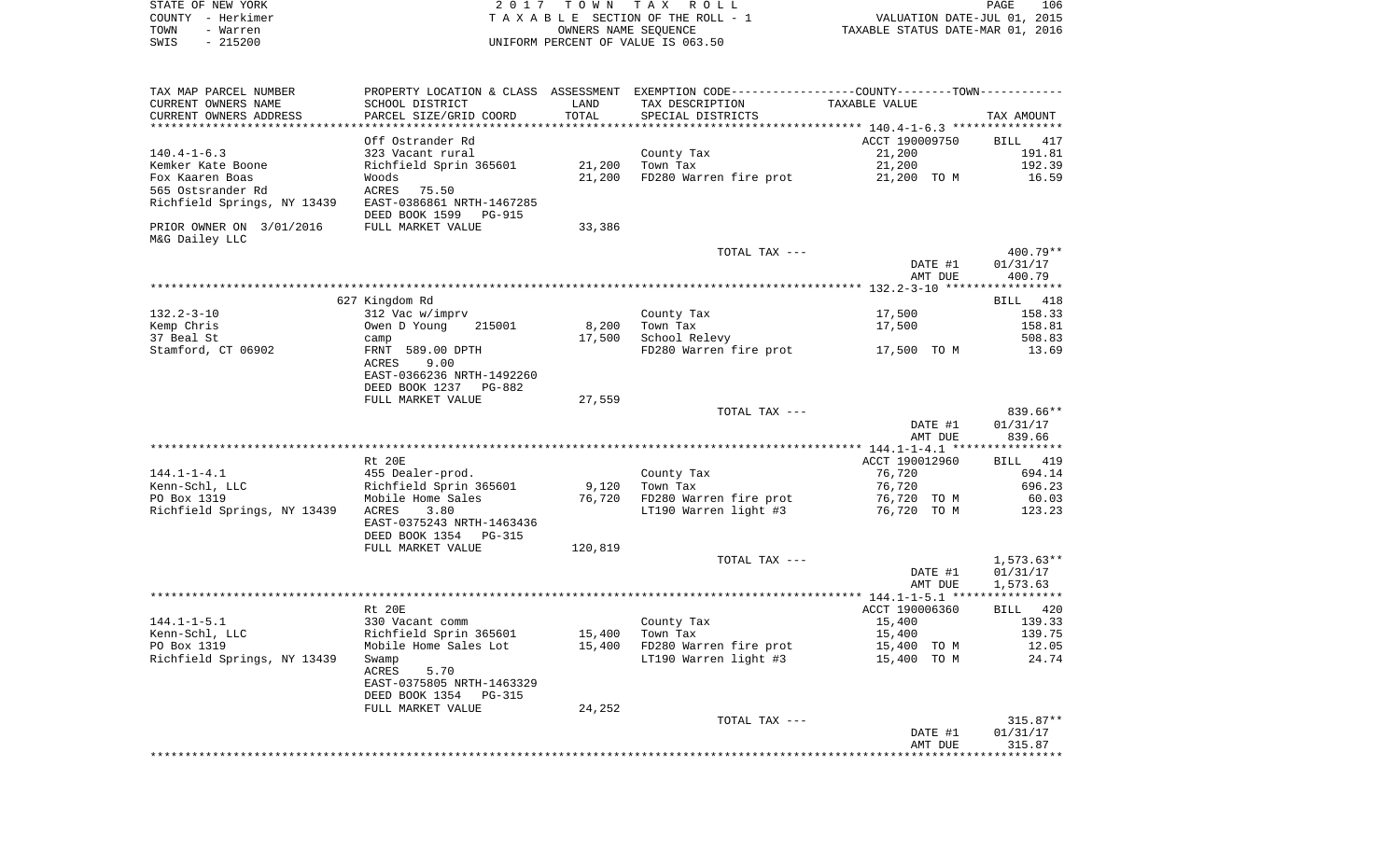|      | STATE OF NEW YORK | 2017 TOWN TAX ROLL                 | PAGE                             | 106 |
|------|-------------------|------------------------------------|----------------------------------|-----|
|      | COUNTY - Herkimer | TAXABLE SECTION OF THE ROLL - 1    | VALUATION DATE-JUL 01, 2015      |     |
| TOWN | - Warren          | OWNERS NAME SEOUENCE               | TAXABLE STATUS DATE-MAR 01, 2016 |     |
| SWIS | - 215200          | UNIFORM PERCENT OF VALUE IS 063.50 |                                  |     |

| TAX MAP PARCEL NUMBER       |                                 |         | PROPERTY LOCATION & CLASS ASSESSMENT EXEMPTION CODE---------------COUNTY-------TOWN---------- |                |              |
|-----------------------------|---------------------------------|---------|-----------------------------------------------------------------------------------------------|----------------|--------------|
| CURRENT OWNERS NAME         | SCHOOL DISTRICT                 | LAND    | TAX DESCRIPTION                                                                               | TAXABLE VALUE  |              |
| CURRENT OWNERS ADDRESS      | PARCEL SIZE/GRID COORD          | TOTAL   | SPECIAL DISTRICTS                                                                             |                | TAX AMOUNT   |
|                             |                                 |         |                                                                                               |                |              |
|                             | Off Ostrander Rd                |         |                                                                                               | ACCT 190009750 | BILL 417     |
| $140.4 - 1 - 6.3$           | 323 Vacant rural                |         | County Tax                                                                                    | 21,200         | 191.81       |
| Kemker Kate Boone           | Richfield Sprin 365601          | 21,200  | Town Tax                                                                                      | 21,200         | 192.39       |
| Fox Kaaren Boas             | Woods                           | 21,200  | FD280 Warren fire prot                                                                        | 21,200 TO M    | 16.59        |
| 565 Ostsrander Rd           | ACRES<br>75.50                  |         |                                                                                               |                |              |
| Richfield Springs, NY 13439 | EAST-0386861 NRTH-1467285       |         |                                                                                               |                |              |
|                             | DEED BOOK 1599<br>PG-915        |         |                                                                                               |                |              |
| PRIOR OWNER ON 3/01/2016    | FULL MARKET VALUE               | 33,386  |                                                                                               |                |              |
| M&G Dailey LLC              |                                 |         |                                                                                               |                |              |
|                             |                                 |         | TOTAL TAX ---                                                                                 |                | 400.79**     |
|                             |                                 |         |                                                                                               | DATE #1        | 01/31/17     |
|                             |                                 |         |                                                                                               | AMT DUE        | 400.79       |
|                             |                                 |         |                                                                                               |                |              |
|                             | 627 Kingdom Rd                  |         |                                                                                               |                | BILL 418     |
| $132.2 - 3 - 10$            | 312 Vac w/imprv                 |         | County Tax                                                                                    | 17,500         | 158.33       |
| Kemp Chris                  | Owen D Young<br>215001          | 8,200   | Town Tax                                                                                      | 17,500         | 158.81       |
| 37 Beal St                  | camp                            | 17,500  | School Relevy                                                                                 |                | 508.83       |
| Stamford, CT 06902          | FRNT 589.00 DPTH                |         | FD280 Warren fire prot                                                                        | 17,500 TO M    | 13.69        |
|                             | ACRES<br>9.00                   |         |                                                                                               |                |              |
|                             | EAST-0366236 NRTH-1492260       |         |                                                                                               |                |              |
|                             | DEED BOOK 1237<br>PG-882        |         |                                                                                               |                |              |
|                             | FULL MARKET VALUE               | 27,559  |                                                                                               |                |              |
|                             |                                 |         | TOTAL TAX ---                                                                                 |                | 839.66**     |
|                             |                                 |         |                                                                                               | DATE #1        | 01/31/17     |
|                             |                                 |         |                                                                                               | AMT DUE        | 839.66       |
|                             |                                 |         |                                                                                               |                |              |
|                             | Rt 20E                          |         |                                                                                               | ACCT 190012960 | BILL 419     |
| $144.1 - 1 - 4.1$           | 455 Dealer-prod.                |         | County Tax                                                                                    | 76,720         | 694.14       |
| Kenn-Schl, LLC              | Richfield Sprin 365601          | 9,120   | Town Tax                                                                                      | 76,720         | 696.23       |
| PO Box 1319                 | Mobile Home Sales               | 76,720  | FD280 Warren fire prot                                                                        | 76,720 TO M    | 60.03        |
| Richfield Springs, NY 13439 | ACRES<br>3.80                   |         | LT190 Warren light #3                                                                         | 76,720 TO M    | 123.23       |
|                             | EAST-0375243 NRTH-1463436       |         |                                                                                               |                |              |
|                             | DEED BOOK 1354<br><b>PG-315</b> |         |                                                                                               |                |              |
|                             | FULL MARKET VALUE               | 120,819 |                                                                                               |                |              |
|                             |                                 |         | TOTAL TAX ---                                                                                 |                | $1,573.63**$ |
|                             |                                 |         |                                                                                               | DATE #1        | 01/31/17     |
|                             |                                 |         |                                                                                               | AMT DUE        | 1,573.63     |
|                             |                                 |         |                                                                                               |                |              |
|                             | Rt 20E                          |         |                                                                                               | ACCT 190006360 | BILL 420     |
| $144.1 - 1 - 5.1$           | 330 Vacant comm                 |         | County Tax                                                                                    | 15,400         | 139.33       |
| Kenn-Schl, LLC              | Richfield Sprin 365601          | 15,400  | Town Tax                                                                                      | 15,400         | 139.75       |
| PO Box 1319                 | Mobile Home Sales Lot           | 15,400  | FD280 Warren fire prot                                                                        | 15,400 TO M    | 12.05        |
| Richfield Springs, NY 13439 | Swamp                           |         | LT190 Warren light #3                                                                         | 15,400 TO M    | 24.74        |
|                             | ACRES<br>5.70                   |         |                                                                                               |                |              |
|                             | EAST-0375805 NRTH-1463329       |         |                                                                                               |                |              |
|                             | DEED BOOK 1354<br><b>PG-315</b> |         |                                                                                               |                |              |
|                             | FULL MARKET VALUE               | 24,252  |                                                                                               |                |              |
|                             |                                 |         | TOTAL TAX ---                                                                                 |                | 315.87**     |
|                             |                                 |         |                                                                                               | DATE #1        | 01/31/17     |
|                             |                                 |         |                                                                                               | AMT DUE        | 315.87       |
|                             |                                 |         |                                                                                               |                |              |
|                             |                                 |         |                                                                                               |                |              |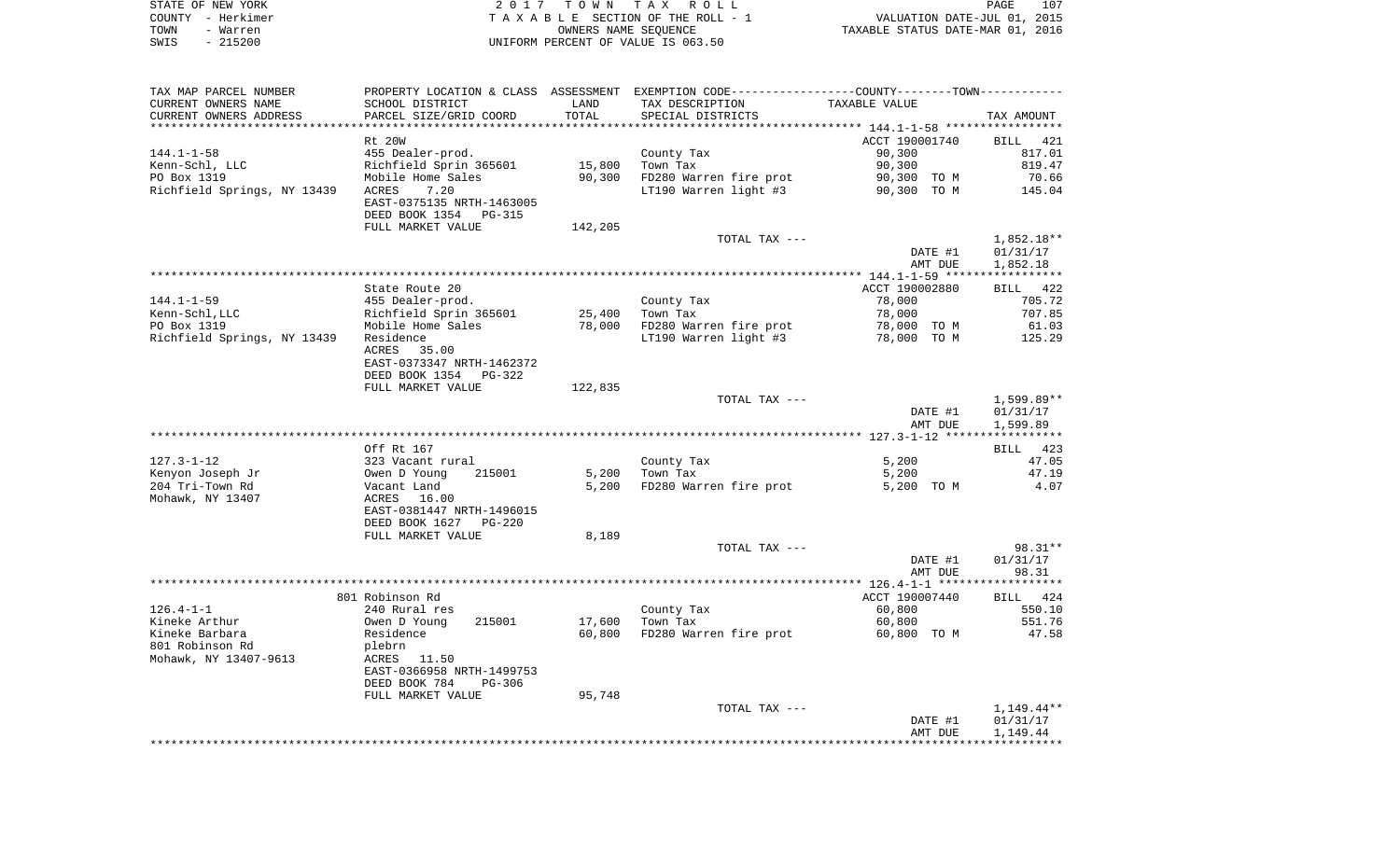|      | STATE OF NEW YORK | 2017 TOWN TAX ROLL                 | PAGE                             | 107 |
|------|-------------------|------------------------------------|----------------------------------|-----|
|      | COUNTY - Herkimer | TAXABLE SECTION OF THE ROLL - 1    | VALUATION DATE-JUL 01, 2015      |     |
| TOWN | - Warren          | OWNERS NAME SEOUENCE               | TAXABLE STATUS DATE-MAR 01, 2016 |     |
| SWIS | - 215200          | UNIFORM PERCENT OF VALUE IS 063.50 |                                  |     |

 $\frac{107}{2015}$ <br>2016

| TAX MAP PARCEL NUMBER            |                           |         | PROPERTY LOCATION & CLASS ASSESSMENT EXEMPTION CODE---------------COUNTY-------TOWN---------- |                  |              |
|----------------------------------|---------------------------|---------|-----------------------------------------------------------------------------------------------|------------------|--------------|
| CURRENT OWNERS NAME              | SCHOOL DISTRICT           | LAND    | TAX DESCRIPTION                                                                               | TAXABLE VALUE    |              |
| CURRENT OWNERS ADDRESS           | PARCEL SIZE/GRID COORD    | TOTAL   | SPECIAL DISTRICTS                                                                             |                  | TAX AMOUNT   |
|                                  |                           |         |                                                                                               |                  |              |
|                                  | Rt 20W                    |         |                                                                                               | ACCT 190001740   | BILL<br>421  |
| $144.1 - 1 - 58$                 | 455 Dealer-prod.          |         | County Tax                                                                                    | 90,300           | 817.01       |
| Kenn-Schl, LLC                   | Richfield Sprin 365601    | 15,800  | Town Tax                                                                                      | 90,300           | 819.47       |
| PO Box 1319                      | Mobile Home Sales         | 90,300  | FD280 Warren fire prot                                                                        | 90,300 TO M      | 70.66        |
| Richfield Springs, NY 13439      | ACRES<br>7.20             |         | LT190 Warren light #3                                                                         | 90,300 TO M      | 145.04       |
|                                  | EAST-0375135 NRTH-1463005 |         |                                                                                               |                  |              |
|                                  | DEED BOOK 1354<br>PG-315  |         |                                                                                               |                  |              |
|                                  | FULL MARKET VALUE         | 142,205 |                                                                                               |                  |              |
|                                  |                           |         | TOTAL TAX ---                                                                                 |                  | $1,852.18**$ |
|                                  |                           |         |                                                                                               | DATE #1          | 01/31/17     |
|                                  |                           |         |                                                                                               | AMT DUE          | 1,852.18     |
|                                  |                           |         |                                                                                               |                  |              |
|                                  | State Route 20            |         |                                                                                               | ACCT 190002880   | BILL 422     |
| $144.1 - 1 - 59$                 | 455 Dealer-prod.          |         | County Tax                                                                                    | 78,000           | 705.72       |
| Kenn-Schl, LLC                   | Richfield Sprin 365601    | 25,400  | Town Tax                                                                                      | 78,000           | 707.85       |
| PO Box 1319                      | Mobile Home Sales         | 78,000  | FD280 Warren fire prot                                                                        | 78,000 TO M      | 61.03        |
| Richfield Springs, NY 13439      | Residence                 |         | LT190 Warren light #3                                                                         | 78,000 TO M      | 125.29       |
|                                  | ACRES<br>35.00            |         |                                                                                               |                  |              |
|                                  | EAST-0373347 NRTH-1462372 |         |                                                                                               |                  |              |
|                                  | DEED BOOK 1354 PG-322     |         |                                                                                               |                  |              |
|                                  | FULL MARKET VALUE         | 122,835 |                                                                                               |                  |              |
|                                  |                           |         | TOTAL TAX ---                                                                                 |                  | 1,599.89**   |
|                                  |                           |         |                                                                                               | DATE #1          | 01/31/17     |
|                                  |                           |         |                                                                                               | AMT DUE          | 1,599.89     |
|                                  |                           |         |                                                                                               |                  |              |
|                                  | Off Rt 167                |         |                                                                                               |                  | BILL 423     |
| $127.3 - 1 - 12$                 | 323 Vacant rural          |         | County Tax                                                                                    | 5,200            | 47.05        |
| Kenyon Joseph Jr                 | 215001<br>Owen D Young    | 5,200   | Town Tax                                                                                      | 5,200            | 47.19        |
| 204 Tri-Town Rd                  | Vacant Land               | 5,200   | FD280 Warren fire prot                                                                        | 5,200 TO M       | 4.07         |
| Mohawk, NY 13407                 | ACRES<br>16.00            |         |                                                                                               |                  |              |
|                                  | EAST-0381447 NRTH-1496015 |         |                                                                                               |                  |              |
|                                  | DEED BOOK 1627<br>PG-220  |         |                                                                                               |                  |              |
|                                  | FULL MARKET VALUE         | 8,189   |                                                                                               |                  |              |
|                                  |                           |         | TOTAL TAX ---                                                                                 |                  | $98.31**$    |
|                                  |                           |         |                                                                                               | DATE #1          | 01/31/17     |
|                                  |                           |         |                                                                                               | AMT DUE          | 98.31        |
|                                  | 801 Robinson Rd           |         |                                                                                               | ACCT 190007440   | BILL 424     |
|                                  |                           |         |                                                                                               |                  | 550.10       |
| $126.4 - 1 - 1$<br>Kineke Arthur | 240 Rural res<br>215001   | 17,600  | County Tax<br>Town Tax                                                                        | 60,800<br>60,800 | 551.76       |
| Kineke Barbara                   | Owen D Young<br>Residence | 60,800  | FD280 Warren fire prot                                                                        | 60,800 TO M      | 47.58        |
| 801 Robinson Rd                  | plebrn                    |         |                                                                                               |                  |              |
| Mohawk, NY 13407-9613            | ACRES<br>11.50            |         |                                                                                               |                  |              |
|                                  | EAST-0366958 NRTH-1499753 |         |                                                                                               |                  |              |
|                                  | DEED BOOK 784<br>PG-306   |         |                                                                                               |                  |              |
|                                  |                           | 95,748  |                                                                                               |                  |              |
|                                  | FULL MARKET VALUE         |         | TOTAL TAX ---                                                                                 |                  | $1,149.44**$ |
|                                  |                           |         |                                                                                               | DATE #1          | 01/31/17     |
|                                  |                           |         |                                                                                               |                  |              |
|                                  |                           |         |                                                                                               |                  |              |
|                                  |                           |         |                                                                                               | AMT DUE          | 1,149.44     |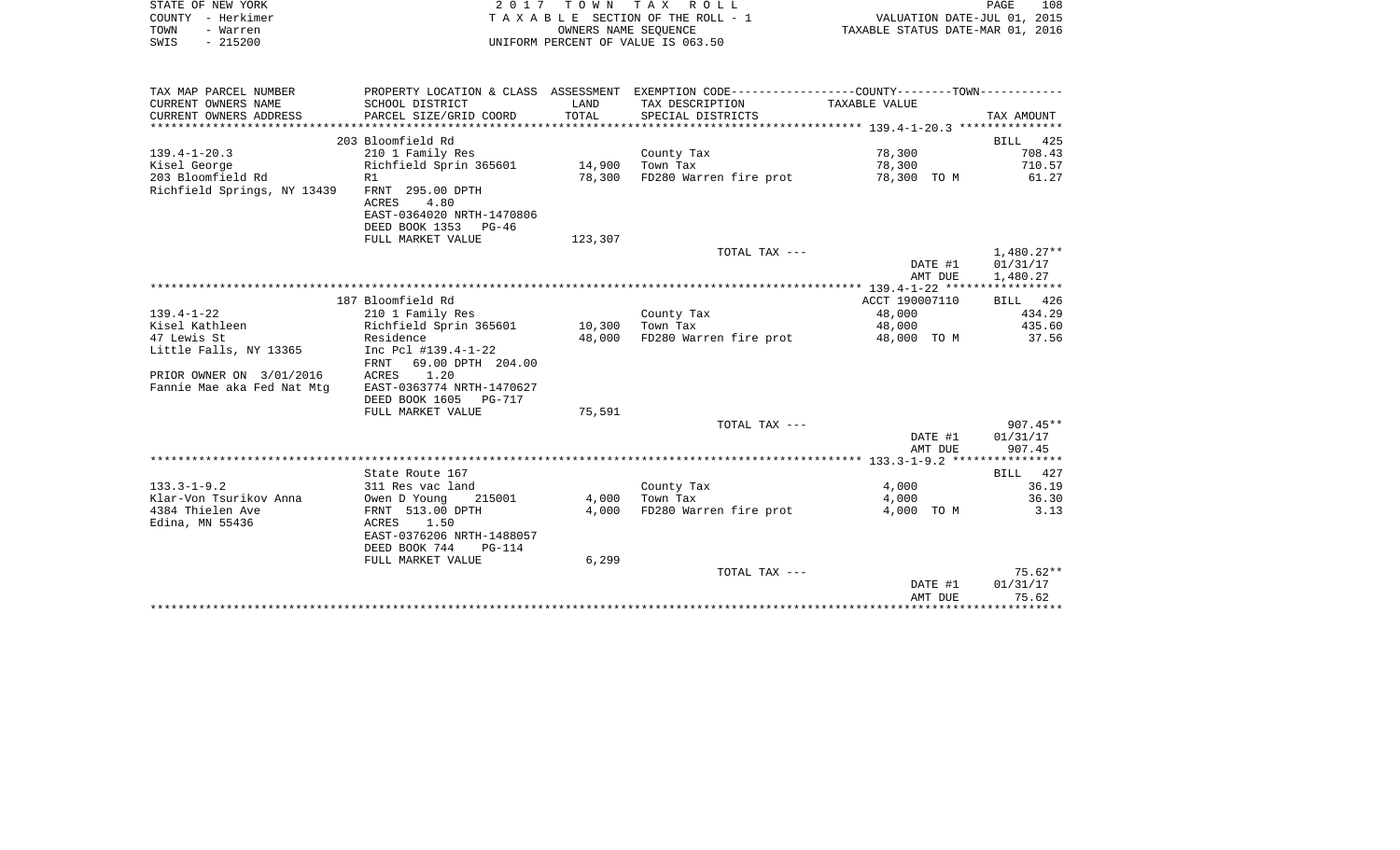| TAXABLE SECTION OF THE ROLL - 1<br>VALUATION DATE-JUL 01, 2015<br>OWNERS NAME SEQUENCE<br>TAXABLE STATUS DATE-MAR 01, 2016<br>UNIFORM PERCENT OF VALUE IS 063.50<br>PROPERTY LOCATION & CLASS ASSESSMENT EXEMPTION CODE----------------COUNTY-------TOWN----------<br>TAX DESCRIPTION<br>TAXABLE VALUE<br>SPECIAL DISTRICTS<br>TAX AMOUNT<br>BILL 425 |
|-------------------------------------------------------------------------------------------------------------------------------------------------------------------------------------------------------------------------------------------------------------------------------------------------------------------------------------------------------|
|                                                                                                                                                                                                                                                                                                                                                       |
|                                                                                                                                                                                                                                                                                                                                                       |
|                                                                                                                                                                                                                                                                                                                                                       |
|                                                                                                                                                                                                                                                                                                                                                       |
|                                                                                                                                                                                                                                                                                                                                                       |
|                                                                                                                                                                                                                                                                                                                                                       |
|                                                                                                                                                                                                                                                                                                                                                       |
|                                                                                                                                                                                                                                                                                                                                                       |
| 78,300<br>708.43<br>County Tax                                                                                                                                                                                                                                                                                                                        |
| 14,900<br>Town Tax<br>78,300<br>710.57                                                                                                                                                                                                                                                                                                                |
| 78,300<br>FD280 Warren fire prot<br>78,300 TO M<br>61.27                                                                                                                                                                                                                                                                                              |
|                                                                                                                                                                                                                                                                                                                                                       |
|                                                                                                                                                                                                                                                                                                                                                       |
|                                                                                                                                                                                                                                                                                                                                                       |
| 123,307                                                                                                                                                                                                                                                                                                                                               |
| TOTAL TAX ---<br>1,480.27**<br>01/31/17<br>DATE #1                                                                                                                                                                                                                                                                                                    |
| AMT DUE<br>1,480.27                                                                                                                                                                                                                                                                                                                                   |
|                                                                                                                                                                                                                                                                                                                                                       |
| ACCT 190007110<br>BILL 426                                                                                                                                                                                                                                                                                                                            |
| County Tax<br>48,000<br>434.29                                                                                                                                                                                                                                                                                                                        |
| 10,300<br>Town Tax<br>435.60<br>48,000                                                                                                                                                                                                                                                                                                                |
| 48,000<br>FD280 Warren fire prot<br>37.56<br>48,000 TO M                                                                                                                                                                                                                                                                                              |
|                                                                                                                                                                                                                                                                                                                                                       |
|                                                                                                                                                                                                                                                                                                                                                       |
|                                                                                                                                                                                                                                                                                                                                                       |
|                                                                                                                                                                                                                                                                                                                                                       |
|                                                                                                                                                                                                                                                                                                                                                       |
| 75,591                                                                                                                                                                                                                                                                                                                                                |
| $907.45**$<br>TOTAL TAX ---                                                                                                                                                                                                                                                                                                                           |
| DATE #1<br>01/31/17                                                                                                                                                                                                                                                                                                                                   |
| 907.45<br>AMT DUE                                                                                                                                                                                                                                                                                                                                     |
|                                                                                                                                                                                                                                                                                                                                                       |
| BILL 427                                                                                                                                                                                                                                                                                                                                              |
| County Tax<br>36.19<br>4,000                                                                                                                                                                                                                                                                                                                          |
| Town Tax<br>36.30<br>4,000<br>4,000                                                                                                                                                                                                                                                                                                                   |
| FD280 Warren fire prot<br>4,000<br>4,000 TO M<br>3.13                                                                                                                                                                                                                                                                                                 |
|                                                                                                                                                                                                                                                                                                                                                       |
|                                                                                                                                                                                                                                                                                                                                                       |
| 6,299                                                                                                                                                                                                                                                                                                                                                 |
| $75.62**$<br>TOTAL TAX ---                                                                                                                                                                                                                                                                                                                            |
| 01/31/17<br>DATE #1                                                                                                                                                                                                                                                                                                                                   |
| 75.62<br>AMT DUE                                                                                                                                                                                                                                                                                                                                      |
|                                                                                                                                                                                                                                                                                                                                                       |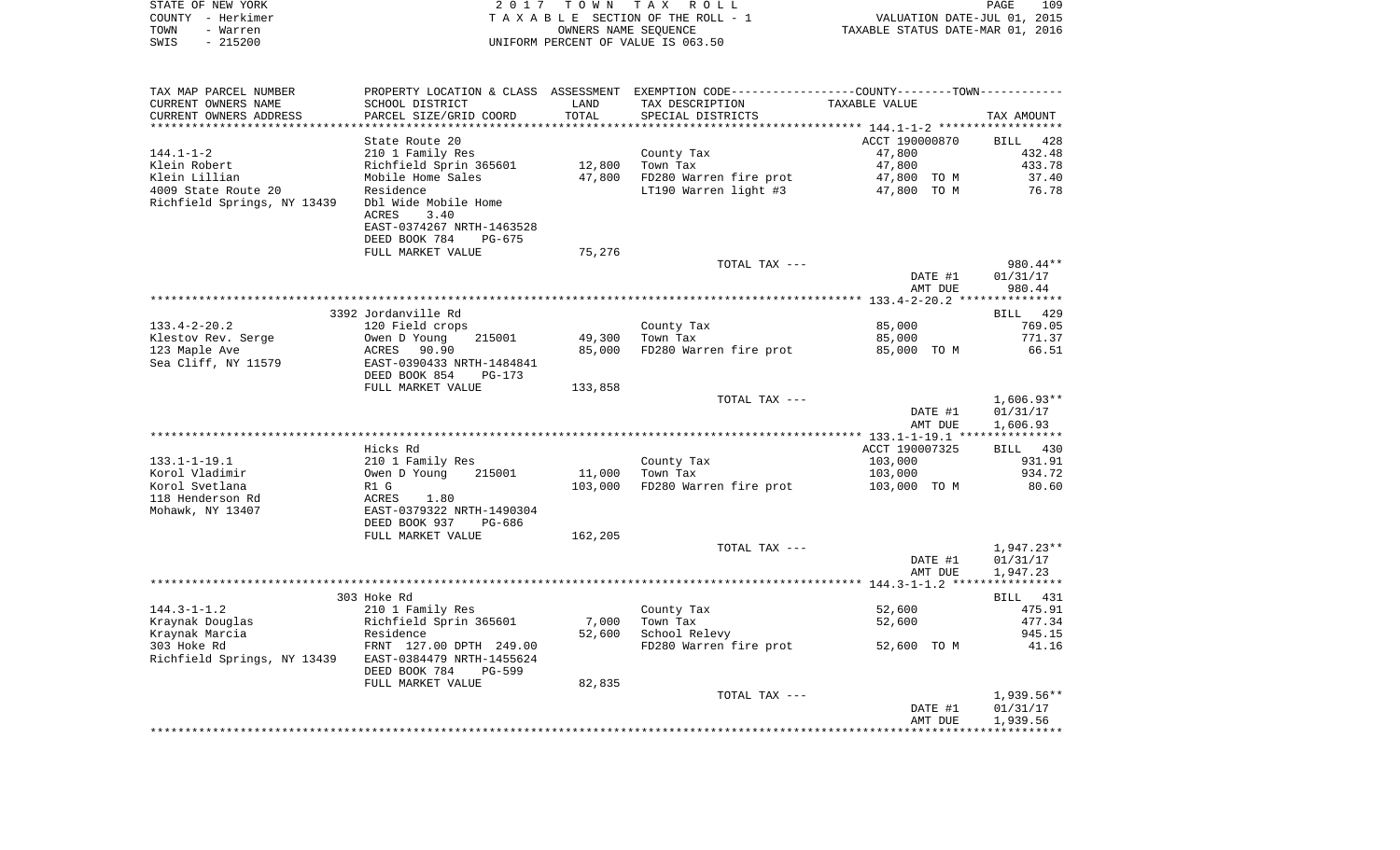| STATE OF NEW YORK<br>COUNTY - Herkimer<br>TOWN<br>- Warren<br>$-215200$<br>SWIS | 2017                                                        | T O W N<br>OWNERS NAME SEQUENCE | TAX ROLL<br>TAXABLE SECTION OF THE ROLL - 1<br>UNIFORM PERCENT OF VALUE IS 063.50 | VALUATION DATE-JUL 01, 2015<br>TAXABLE STATUS DATE-MAR 01, 2016 | PAGE<br>109                          |
|---------------------------------------------------------------------------------|-------------------------------------------------------------|---------------------------------|-----------------------------------------------------------------------------------|-----------------------------------------------------------------|--------------------------------------|
| TAX MAP PARCEL NUMBER                                                           | PROPERTY LOCATION & CLASS ASSESSMENT                        |                                 | EXEMPTION CODE-----------------COUNTY--------TOWN-----------                      |                                                                 |                                      |
| CURRENT OWNERS NAME                                                             | SCHOOL DISTRICT                                             | LAND                            | TAX DESCRIPTION                                                                   | TAXABLE VALUE                                                   |                                      |
| CURRENT OWNERS ADDRESS                                                          | PARCEL SIZE/GRID COORD                                      | TOTAL                           | SPECIAL DISTRICTS                                                                 |                                                                 | TAX AMOUNT                           |
| ************************                                                        | ************************                                    |                                 |                                                                                   |                                                                 |                                      |
| $144.1 - 1 - 2$                                                                 | State Route 20<br>210 1 Family Res                          |                                 | County Tax                                                                        | ACCT 190000870<br>47,800                                        | BILL<br>-428<br>432.48               |
| Klein Robert                                                                    | Richfield Sprin 365601                                      | 12,800                          | Town Tax                                                                          | 47,800                                                          | 433.78                               |
| Klein Lillian                                                                   | Mobile Home Sales                                           | 47,800                          | FD280 Warren fire prot                                                            | 47,800<br>TO M                                                  | 37.40                                |
| 4009 State Route 20<br>Richfield Springs, NY 13439                              | Residence<br>Dbl Wide Mobile Home                           |                                 | LT190 Warren light #3                                                             | 47,800 TO M                                                     | 76.78                                |
|                                                                                 | 3.40<br>ACRES<br>EAST-0374267 NRTH-1463528                  |                                 |                                                                                   |                                                                 |                                      |
|                                                                                 | DEED BOOK 784<br>PG-675                                     |                                 |                                                                                   |                                                                 |                                      |
|                                                                                 | FULL MARKET VALUE                                           | 75,276                          | TOTAL TAX ---                                                                     |                                                                 | 980.44**                             |
|                                                                                 |                                                             |                                 |                                                                                   | DATE #1<br>AMT DUE                                              | 01/31/17<br>980.44                   |
|                                                                                 |                                                             |                                 |                                                                                   |                                                                 |                                      |
|                                                                                 | 3392 Jordanville Rd                                         |                                 |                                                                                   |                                                                 | 429<br>BILL                          |
| $133.4 - 2 - 20.2$                                                              | 120 Field crops                                             |                                 | County Tax                                                                        | 85,000                                                          | 769.05                               |
| Klestov Rev. Serge<br>123 Maple Ave                                             | Owen D Young<br>215001<br>ACRES<br>90.90                    | 49,300<br>85,000                | Town Tax<br>FD280 Warren fire prot                                                | 85,000                                                          | 771.37<br>66.51                      |
| Sea Cliff, NY 11579                                                             | EAST-0390433 NRTH-1484841<br>DEED BOOK 854<br>PG-173        |                                 |                                                                                   | 85,000 TO M                                                     |                                      |
|                                                                                 | FULL MARKET VALUE                                           | 133,858                         |                                                                                   |                                                                 |                                      |
|                                                                                 |                                                             |                                 | TOTAL TAX ---                                                                     | DATE #1<br>AMT DUE                                              | $1,606.93**$<br>01/31/17<br>1,606.93 |
|                                                                                 |                                                             |                                 |                                                                                   |                                                                 |                                      |
|                                                                                 | Hicks Rd                                                    |                                 |                                                                                   | ACCT 190007325                                                  | BILL 430                             |
| $133.1 - 1 - 19.1$                                                              | 210 1 Family Res                                            |                                 | County Tax                                                                        | 103,000                                                         | 931.91                               |
| Korol Vladimir                                                                  | Owen D Young<br>215001                                      | 11,000                          | Town Tax                                                                          | 103,000                                                         | 934.72                               |
| Korol Svetlana                                                                  | R1 G                                                        | 103,000                         | FD280 Warren fire prot                                                            | 103,000 TO M                                                    | 80.60                                |
| 118 Henderson Rd<br>Mohawk, NY 13407                                            | ACRES<br>1.80<br>EAST-0379322 NRTH-1490304                  |                                 |                                                                                   |                                                                 |                                      |
|                                                                                 | DEED BOOK 937<br>PG-686<br>FULL MARKET VALUE                | 162,205                         |                                                                                   |                                                                 |                                      |
|                                                                                 |                                                             |                                 | TOTAL TAX ---                                                                     |                                                                 | 1,947.23**                           |
|                                                                                 |                                                             |                                 |                                                                                   | DATE #1<br>AMT DUE                                              | 01/31/17<br>1,947.23                 |
|                                                                                 |                                                             |                                 |                                                                                   |                                                                 |                                      |
|                                                                                 | 303 Hoke Rd                                                 |                                 |                                                                                   |                                                                 | BILL 431                             |
| $144.3 - 1 - 1.2$                                                               | 210 1 Family Res                                            |                                 | County Tax                                                                        | 52,600                                                          | 475.91                               |
| Kraynak Douglas                                                                 | Richfield Sprin 365601                                      |                                 | 7,000 Town Tax                                                                    | 52,600                                                          | 477.34                               |
| Kraynak Marcia<br>303 Hoke Rd                                                   | Residence<br>FRNT 127.00 DPTH 249.00                        | 52,600                          | School Relevy<br>FD280 Warren fire prot                                           | 52,600 TO M                                                     | 945.15<br>41.16                      |
| Richfield Springs, NY 13439                                                     | EAST-0384479 NRTH-1455624<br>DEED BOOK 784<br><b>PG-599</b> |                                 |                                                                                   |                                                                 |                                      |
|                                                                                 | FULL MARKET VALUE                                           | 82,835                          |                                                                                   |                                                                 |                                      |
|                                                                                 |                                                             |                                 | TOTAL TAX ---                                                                     |                                                                 | $1,939.56**$                         |
|                                                                                 |                                                             |                                 |                                                                                   | DATE #1<br>AMT DUE                                              | 01/31/17<br>1,939.56                 |
|                                                                                 |                                                             |                                 |                                                                                   |                                                                 |                                      |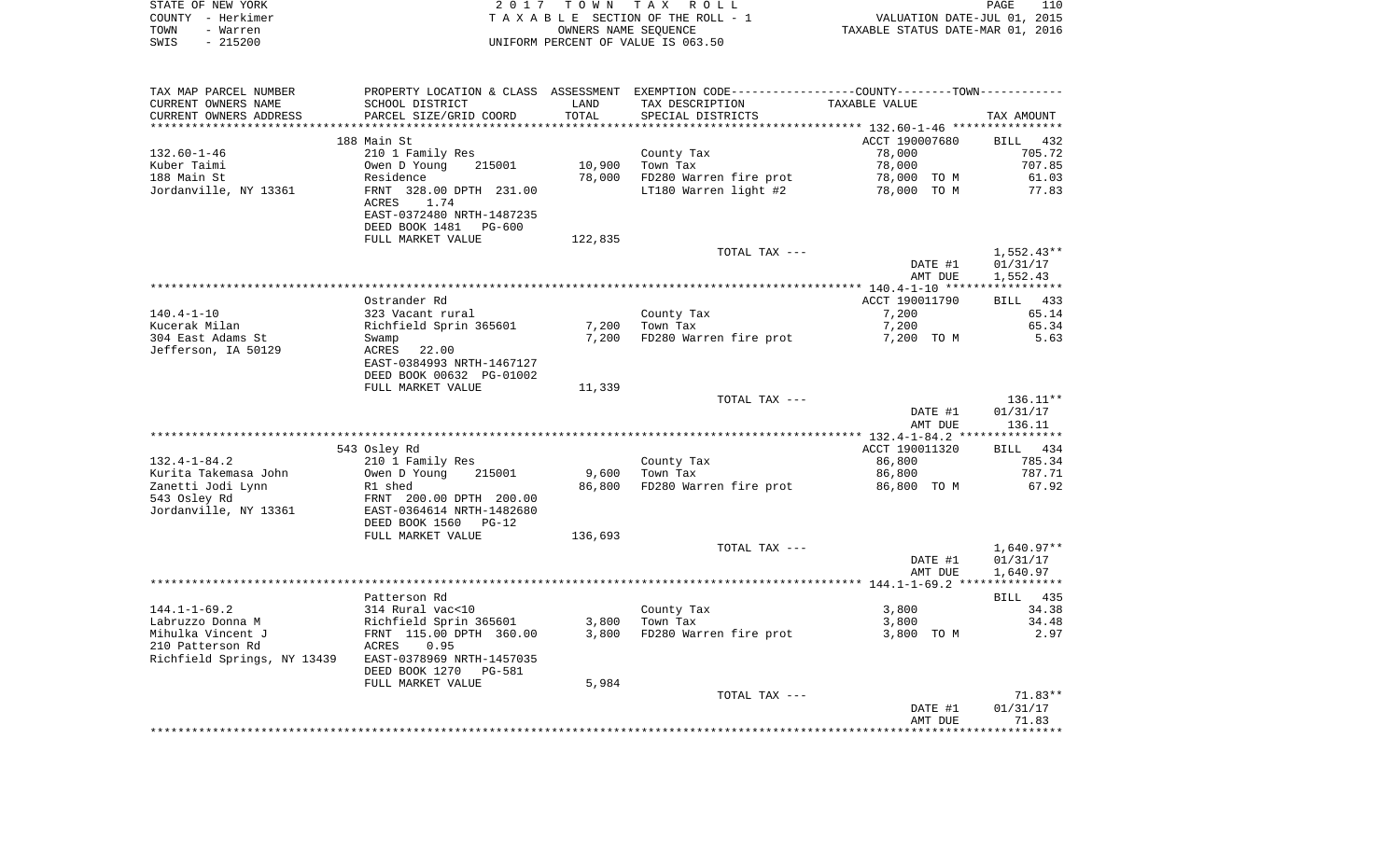| STATE OF NEW YORK | 2017 TOWN TAX ROLL                 | 110<br>PAGE                      |
|-------------------|------------------------------------|----------------------------------|
| COUNTY - Herkimer | TAXABLE SECTION OF THE ROLL - 1    | VALUATION DATE-JUL 01, 2015      |
| TOWN<br>- Warren  | OWNERS NAME SEOUENCE               | TAXABLE STATUS DATE-MAR 01, 2016 |
| - 215200<br>SWIS  | UNIFORM PERCENT OF VALUE IS 063.50 |                                  |

| TAX MAP PARCEL NUMBER                     | PROPERTY LOCATION & CLASS ASSESSMENT EXEMPTION CODE---------------COUNTY-------TOWN---------- |         |                        |                          |                    |
|-------------------------------------------|-----------------------------------------------------------------------------------------------|---------|------------------------|--------------------------|--------------------|
| CURRENT OWNERS NAME                       | SCHOOL DISTRICT                                                                               | LAND    | TAX DESCRIPTION        | TAXABLE VALUE            |                    |
| CURRENT OWNERS ADDRESS                    | PARCEL SIZE/GRID COORD                                                                        | TOTAL   | SPECIAL DISTRICTS      |                          | TAX AMOUNT         |
|                                           |                                                                                               |         |                        |                          |                    |
|                                           | 188 Main St                                                                                   |         |                        | ACCT 190007680           | BILL 432           |
| $132.60 - 1 - 46$                         | 210 1 Family Res                                                                              |         | County Tax             | 78,000                   | 705.72             |
| Kuber Taimi                               | 215001<br>Owen D Young                                                                        | 10,900  | Town Tax               | 78,000                   | 707.85             |
| 188 Main St                               | Residence                                                                                     | 78,000  | FD280 Warren fire prot | 78,000 TO M              | 61.03              |
| Jordanville, NY 13361                     | FRNT 328.00 DPTH 231.00                                                                       |         | LT180 Warren light #2  | 78,000 TO M              | 77.83              |
|                                           | ACRES<br>1.74                                                                                 |         |                        |                          |                    |
|                                           | EAST-0372480 NRTH-1487235                                                                     |         |                        |                          |                    |
|                                           | DEED BOOK 1481<br><b>PG-600</b><br>FULL MARKET VALUE                                          | 122,835 |                        |                          |                    |
|                                           |                                                                                               |         | TOTAL TAX ---          |                          | $1,552.43**$       |
|                                           |                                                                                               |         |                        | DATE #1                  | 01/31/17           |
|                                           |                                                                                               |         |                        | AMT DUE                  | 1,552.43           |
|                                           |                                                                                               |         |                        |                          |                    |
|                                           | Ostrander Rd                                                                                  |         |                        | ACCT 190011790           | BILL 433           |
| $140.4 - 1 - 10$                          | 323 Vacant rural                                                                              |         | County Tax             | 7,200                    | 65.14              |
| Kucerak Milan                             | Richfield Sprin 365601                                                                        | 7,200   | Town Tax               | 7,200                    | 65.34              |
| 304 East Adams St                         | Swamp                                                                                         | 7,200   | FD280 Warren fire prot | 7,200 TO M               | 5.63               |
| Jefferson, IA 50129                       | ACRES<br>22.00                                                                                |         |                        |                          |                    |
|                                           | EAST-0384993 NRTH-1467127                                                                     |         |                        |                          |                    |
|                                           | DEED BOOK 00632 PG-01002                                                                      |         |                        |                          |                    |
|                                           | FULL MARKET VALUE                                                                             | 11,339  |                        |                          |                    |
|                                           |                                                                                               |         | TOTAL TAX ---          |                          | $136.11**$         |
|                                           |                                                                                               |         |                        | DATE #1                  | 01/31/17           |
|                                           |                                                                                               |         |                        | AMT DUE                  | 136.11             |
|                                           |                                                                                               |         |                        |                          |                    |
| $132.4 - 1 - 84.2$                        | 543 Osley Rd                                                                                  |         |                        | ACCT 190011320<br>86,800 | BILL 434<br>785.34 |
|                                           | 210 1 Family Res<br>215001                                                                    | 9,600   | County Tax<br>Town Tax | 86,800                   | 787.71             |
| Kurita Takemasa John<br>Zanetti Jodi Lynn | Owen D Young<br>R1 shed                                                                       | 86,800  | FD280 Warren fire prot | 86,800 TO M              | 67.92              |
| 543 Osley Rd                              | FRNT 200.00 DPTH 200.00                                                                       |         |                        |                          |                    |
| Jordanville, NY 13361                     | EAST-0364614 NRTH-1482680                                                                     |         |                        |                          |                    |
|                                           | DEED BOOK 1560<br>$PG-12$                                                                     |         |                        |                          |                    |
|                                           | FULL MARKET VALUE                                                                             | 136,693 |                        |                          |                    |
|                                           |                                                                                               |         | TOTAL TAX ---          |                          | $1,640.97**$       |
|                                           |                                                                                               |         |                        | DATE #1                  | 01/31/17           |
|                                           |                                                                                               |         |                        | AMT DUE                  | 1,640.97           |
|                                           |                                                                                               |         |                        |                          |                    |
|                                           | Patterson Rd                                                                                  |         |                        |                          | BILL 435           |
| $144.1 - 1 - 69.2$                        | 314 Rural vac<10                                                                              |         | County Tax             | 3,800                    | 34.38              |
| Labruzzo Donna M                          | Richfield Sprin 365601                                                                        | 3,800   | Town Tax               | 3,800                    | 34.48              |
| Mihulka Vincent J                         | FRNT 115.00 DPTH 360.00                                                                       | 3,800   | FD280 Warren fire prot | 3,800 TO M               | 2.97               |
| 210 Patterson Rd                          | 0.95<br>ACRES                                                                                 |         |                        |                          |                    |
| Richfield Springs, NY 13439               | EAST-0378969 NRTH-1457035                                                                     |         |                        |                          |                    |
|                                           | DEED BOOK 1270<br>PG-581                                                                      |         |                        |                          |                    |
|                                           | FULL MARKET VALUE                                                                             | 5,984   |                        |                          |                    |
|                                           |                                                                                               |         | TOTAL TAX ---          |                          | $71.83**$          |
|                                           |                                                                                               |         |                        | DATE #1<br>AMT DUE       | 01/31/17<br>71.83  |
|                                           |                                                                                               |         |                        |                          |                    |
|                                           |                                                                                               |         |                        |                          |                    |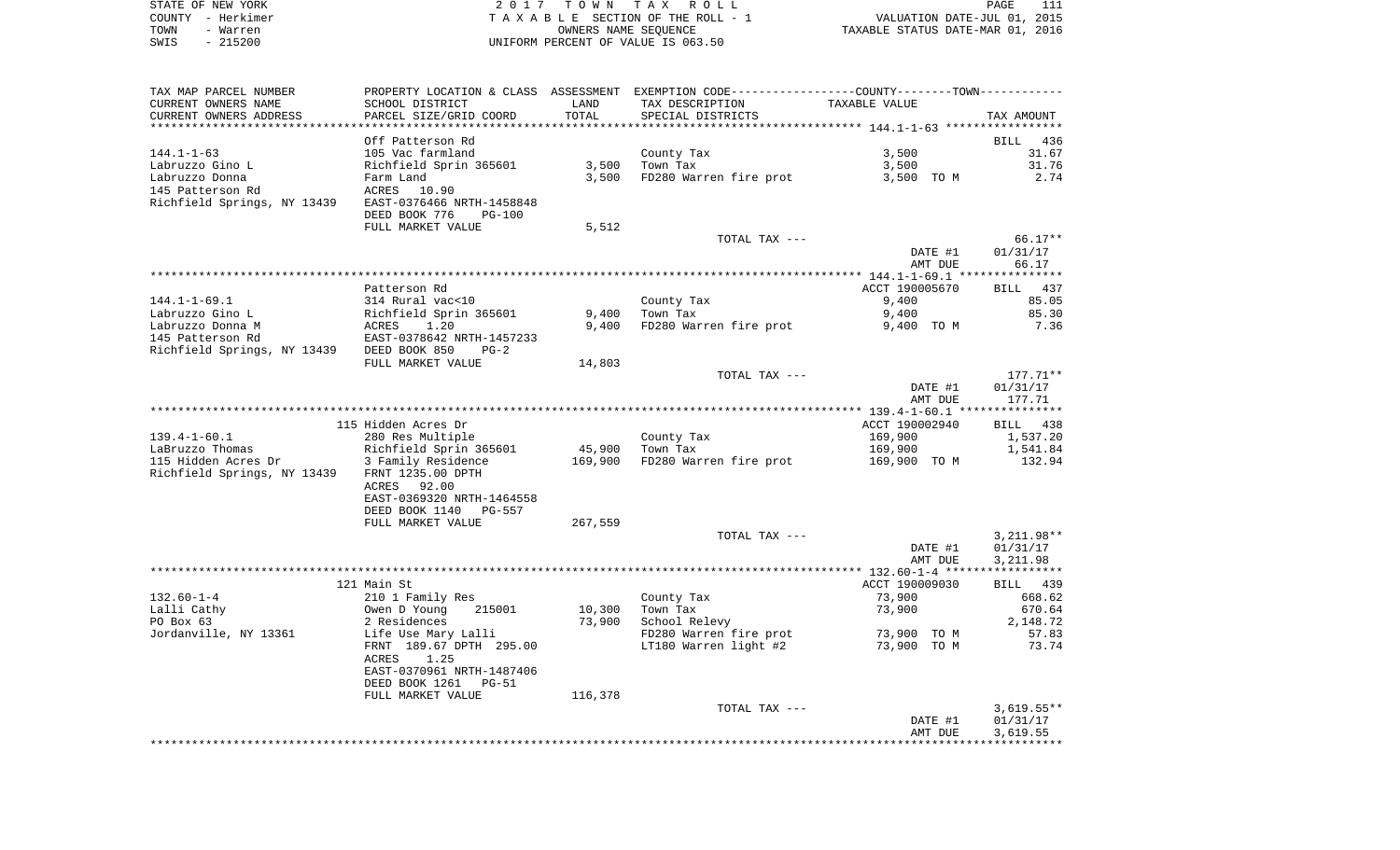| STATE OF NEW YORK | 2017 TOWN TAX ROLL                 | PAGE                             |
|-------------------|------------------------------------|----------------------------------|
| COUNTY – Herkimer | TAXABLE SECTION OF THE ROLL - 1    | VALUATION DATE-JUL 01, 2015      |
| TOWN<br>- Warren  | OWNERS NAME SEOUENCE               | TAXABLE STATUS DATE-MAR 01, 2016 |
| - 215200<br>SWIS  | UNIFORM PERCENT OF VALUE IS 063.50 |                                  |

| TAX MAP PARCEL NUMBER                                 |                                              |         | PROPERTY LOCATION & CLASS ASSESSMENT EXEMPTION CODE---------------COUNTY-------TOWN----------                                                            |                |              |
|-------------------------------------------------------|----------------------------------------------|---------|----------------------------------------------------------------------------------------------------------------------------------------------------------|----------------|--------------|
| CURRENT OWNERS NAME                                   | SCHOOL DISTRICT                              | LAND    | TAX DESCRIPTION                                                                                                                                          | TAXABLE VALUE  |              |
| CURRENT OWNERS ADDRESS                                | PARCEL SIZE/GRID COORD                       | TOTAL   | SPECIAL DISTRICTS                                                                                                                                        |                | TAX AMOUNT   |
|                                                       |                                              |         |                                                                                                                                                          |                |              |
|                                                       | Off Patterson Rd                             |         |                                                                                                                                                          |                | BILL 436     |
| $144.1 - 1 - 63$                                      | 105 Vac farmland                             |         | County Tax                                                                                                                                               | 3,500          | 31.67        |
| Labruzzo Gino L                                       | Richfield Sprin 365601                       | 3,500   | Town Tax                                                                                                                                                 | 3,500          | 31.76        |
| Labruzzo Donna                                        | Farm Land                                    | 3,500   | FD280 Warren fire prot                                                                                                                                   | 3,500 TO M     | 2.74         |
| 145 Patterson Rd                                      | ACRES<br>10.90                               |         |                                                                                                                                                          |                |              |
| Richfield Springs, NY 13439 EAST-0376466 NRTH-1458848 |                                              |         |                                                                                                                                                          |                |              |
|                                                       |                                              |         |                                                                                                                                                          |                |              |
|                                                       | DEED BOOK 776<br><b>PG-100</b>               |         |                                                                                                                                                          |                |              |
|                                                       | FULL MARKET VALUE                            | 5,512   |                                                                                                                                                          |                |              |
|                                                       |                                              |         | TOTAL TAX ---                                                                                                                                            |                | $66.17**$    |
|                                                       |                                              |         |                                                                                                                                                          | DATE #1        | 01/31/17     |
|                                                       |                                              |         |                                                                                                                                                          | AMT DUE        | 66.17        |
|                                                       |                                              |         |                                                                                                                                                          |                |              |
|                                                       | Patterson Rd                                 |         |                                                                                                                                                          | ACCT 190005670 | BILL 437     |
| $144.1 - 1 - 69.1$                                    | 314 Rural vac<10                             |         | County Tax                                                                                                                                               | 9,400          | 85.05        |
| Labruzzo Gino L                                       | Richfield Sprin 365601<br>ACRES 1.20         | 9,400   | Town Tax                                                                                                                                                 | 9,400          | 85.30        |
| Labruzzo Donna M                                      |                                              | 9,400   | FD280 Warren fire prot                                                                                                                                   | 9,400 TO M     | 7.36         |
| 145 Patterson Rd                                      | EAST-0378642 NRTH-1457233                    |         |                                                                                                                                                          |                |              |
| Richfield Springs, NY 13439 DEED BOOK 850             | $PG-2$                                       |         |                                                                                                                                                          |                |              |
|                                                       | FULL MARKET VALUE                            | 14,803  |                                                                                                                                                          |                |              |
|                                                       |                                              |         | TOTAL TAX ---                                                                                                                                            |                | $177.71**$   |
|                                                       |                                              |         |                                                                                                                                                          | DATE #1        | 01/31/17     |
|                                                       |                                              |         |                                                                                                                                                          | AMT DUE        | 177.71       |
|                                                       |                                              |         |                                                                                                                                                          |                |              |
|                                                       | 115 Hidden Acres Dr                          |         |                                                                                                                                                          | ACCT 190002940 | BILL 438     |
| $139.4 - 1 - 60.1$                                    | 280 Res Multiple                             |         | County Tax                                                                                                                                               | 169,900        | 1,537.20     |
| LaBruzzo Thomas                                       |                                              | 45,900  | and a strong of the state.<br>The strong of the strong of the strong of the strong of the strong of the strong of the strong of the strong o<br>Town Tax | 169,900        | 1,541.84     |
| 115 Hidden Acres Dr                                   | Richfield Sprin 365601<br>3 Family Residence |         | 169,900 FD280 Warren fire prot                                                                                                                           | 169,900 TO M   | 132.94       |
| Richfield Springs, NY 13439 FRNT 1235.00 DPTH         |                                              |         |                                                                                                                                                          |                |              |
|                                                       | ACRES<br>92.00                               |         |                                                                                                                                                          |                |              |
|                                                       |                                              |         |                                                                                                                                                          |                |              |
|                                                       | EAST-0369320 NRTH-1464558                    |         |                                                                                                                                                          |                |              |
|                                                       | DEED BOOK 1140<br>PG-557                     |         |                                                                                                                                                          |                |              |
|                                                       | FULL MARKET VALUE                            | 267,559 |                                                                                                                                                          |                |              |
|                                                       |                                              |         | TOTAL TAX ---                                                                                                                                            |                | $3,211.98**$ |
|                                                       |                                              |         |                                                                                                                                                          | DATE #1        | 01/31/17     |
|                                                       |                                              |         |                                                                                                                                                          | AMT DUE        | 3,211.98     |
|                                                       |                                              |         |                                                                                                                                                          |                |              |
|                                                       | 121 Main St                                  |         |                                                                                                                                                          | ACCT 190009030 | BILL 439     |
| $132.60 - 1 - 4$                                      | 210 1 Family Res                             |         | County Tax                                                                                                                                               | 73,900         | 668.62       |
| Lalli Cathy                                           | 215001<br>Owen D Young                       | 10,300  | Town Tax                                                                                                                                                 | 73,900         | 670.64       |
| PO Box 63                                             | 2 Residences                                 | 73,900  | School Relevy                                                                                                                                            |                | 2,148.72     |
| Jordanville, NY 13361                                 | Life Use Mary Lalli                          |         | FD280 Warren fire prot                                                                                                                                   | 73,900 TO M    | 57.83        |
|                                                       | FRNT 189.67 DPTH 295.00                      |         | LT180 Warren light #2                                                                                                                                    | 73,900 TO M    | 73.74        |
|                                                       | ACRES<br>1.25                                |         |                                                                                                                                                          |                |              |
|                                                       | EAST-0370961 NRTH-1487406                    |         |                                                                                                                                                          |                |              |
|                                                       | DEED BOOK 1261<br>PG-51                      |         |                                                                                                                                                          |                |              |
|                                                       | FULL MARKET VALUE                            | 116,378 |                                                                                                                                                          |                |              |
|                                                       |                                              |         | TOTAL TAX ---                                                                                                                                            |                | $3,619.55**$ |
|                                                       |                                              |         |                                                                                                                                                          | DATE #1        | 01/31/17     |
|                                                       |                                              |         |                                                                                                                                                          | AMT DUE        | 3,619.55     |
|                                                       |                                              |         |                                                                                                                                                          |                |              |
|                                                       |                                              |         |                                                                                                                                                          |                |              |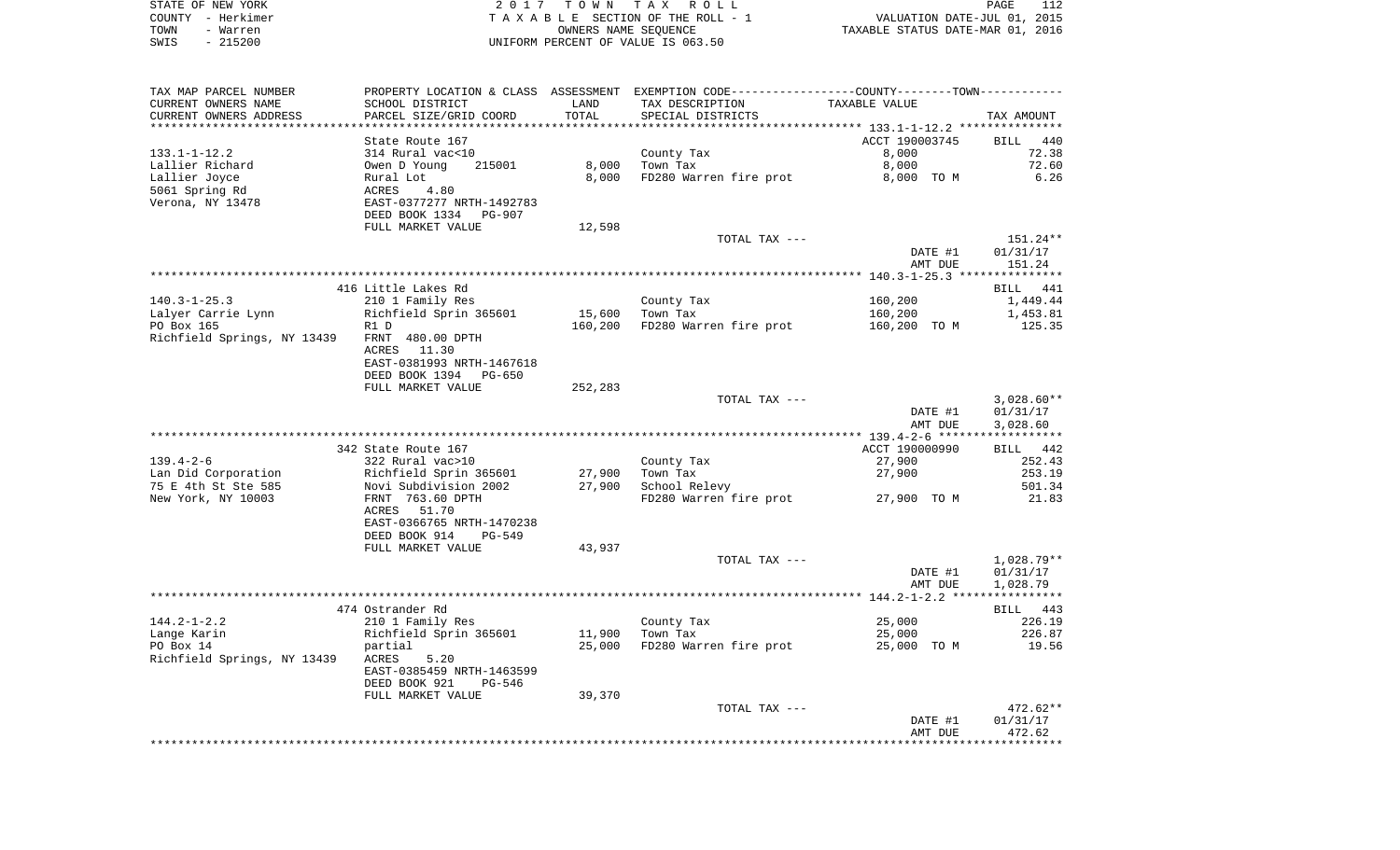|      | STATE OF NEW YORK | 2017 TOWN TAX ROLL                 | PAGE                             | 112 |
|------|-------------------|------------------------------------|----------------------------------|-----|
|      | COUNTY - Herkimer | TAXABLE SECTION OF THE ROLL - 1    | VALUATION DATE-JUL 01, 2015      |     |
| TOWN | - Warren          | OWNERS NAME SEOUENCE               | TAXABLE STATUS DATE-MAR 01, 2016 |     |
| SWIS | - 215200          | UNIFORM PERCENT OF VALUE IS 063.50 |                                  |     |

| TAX MAP PARCEL NUMBER                        | PROPERTY LOCATION & CLASS ASSESSMENT EXEMPTION CODE----------------COUNTY--------TOWN---------- |         |                        |                |              |
|----------------------------------------------|-------------------------------------------------------------------------------------------------|---------|------------------------|----------------|--------------|
| CURRENT OWNERS NAME                          | SCHOOL DISTRICT                                                                                 | LAND    | TAX DESCRIPTION        | TAXABLE VALUE  |              |
| CURRENT OWNERS ADDRESS                       | PARCEL SIZE/GRID COORD                                                                          | TOTAL   | SPECIAL DISTRICTS      |                | TAX AMOUNT   |
|                                              |                                                                                                 |         |                        |                |              |
|                                              | State Route 167                                                                                 |         |                        | ACCT 190003745 | BILL 440     |
| $133.1 - 1 - 12.2$                           | 314 Rural vac<10                                                                                |         | County Tax             | 8,000          | 72.38        |
| Lallier Richard                              | 215001<br>Owen D Young                                                                          | 8,000   | Town Tax               | 8,000          | 72.60        |
| Lallier Joyce                                | Rural Lot                                                                                       | 8,000   | FD280 Warren fire prot | 8,000 TO M     | 6.26         |
| 5061 Spring Rd                               | ACRES<br>4.80                                                                                   |         |                        |                |              |
| Verona, NY 13478                             | EAST-0377277 NRTH-1492783                                                                       |         |                        |                |              |
|                                              | DEED BOOK 1334 PG-907                                                                           |         |                        |                |              |
|                                              | FULL MARKET VALUE                                                                               | 12,598  |                        |                |              |
|                                              |                                                                                                 |         | TOTAL TAX ---          |                | 151.24**     |
|                                              |                                                                                                 |         |                        | DATE #1        | 01/31/17     |
|                                              |                                                                                                 |         |                        | AMT DUE        | 151.24       |
|                                              |                                                                                                 |         |                        |                |              |
|                                              | 416 Little Lakes Rd                                                                             |         |                        |                | BILL 441     |
| $140.3 - 1 - 25.3$                           |                                                                                                 |         |                        | 160,200        | 1,449.44     |
|                                              | 210 1 Family Res                                                                                |         | County Tax             |                |              |
| Lalyer Carrie Lynn                           | Richfield Sprin 365601                                                                          |         | 15,600 Town Tax        | 160,200        | 1,453.81     |
| PO Box 165                                   | R1 D                                                                                            | 160,200 | FD280 Warren fire prot | 160,200 TO M   | 125.35       |
| Richfield Springs, NY 13439 FRNT 480.00 DPTH |                                                                                                 |         |                        |                |              |
|                                              | ACRES 11.30                                                                                     |         |                        |                |              |
|                                              | EAST-0381993 NRTH-1467618                                                                       |         |                        |                |              |
|                                              | DEED BOOK 1394 PG-650                                                                           |         |                        |                |              |
|                                              | FULL MARKET VALUE                                                                               | 252,283 |                        |                |              |
|                                              |                                                                                                 |         | TOTAL TAX ---          |                | $3,028.60**$ |
|                                              |                                                                                                 |         |                        | DATE #1        | 01/31/17     |
|                                              |                                                                                                 |         |                        | AMT DUE        | 3,028.60     |
|                                              |                                                                                                 |         |                        |                |              |
|                                              | 342 State Route 167                                                                             |         |                        | ACCT 190000990 | BILL 442     |
| $139.4 - 2 - 6$                              | 322 Rural vac>10                                                                                |         | County Tax             | 27,900         | 252.43       |
| Lan Did Corporation                          | Richfield Sprin 365601<br>Novi Subdivision 2002                                                 | 27,900  | Town Tax               | 27,900         | 253.19       |
| 75 E 4th St Ste 585                          |                                                                                                 | 27,900  | School Relevy          |                | 501.34       |
| New York, NY 10003                           | FRNT 763.60 DPTH                                                                                |         | FD280 Warren fire prot | 27,900 TO M    | 21.83        |
|                                              | 51.70<br>ACRES                                                                                  |         |                        |                |              |
|                                              | EAST-0366765 NRTH-1470238                                                                       |         |                        |                |              |
|                                              | DEED BOOK 914<br>PG-549                                                                         |         |                        |                |              |
|                                              | FULL MARKET VALUE                                                                               | 43,937  |                        |                |              |
|                                              |                                                                                                 |         | TOTAL TAX ---          |                | 1,028.79**   |
|                                              |                                                                                                 |         |                        | DATE #1        | 01/31/17     |
|                                              |                                                                                                 |         |                        | AMT DUE        | 1,028.79     |
|                                              |                                                                                                 |         |                        |                |              |
|                                              | 474 Ostrander Rd                                                                                |         |                        |                | BILL 443     |
| $144.2 - 1 - 2.2$                            | 210 1 Family Res                                                                                |         | County Tax             | 25,000         | 226.19       |
| Lange Karin                                  | Richfield Sprin 365601                                                                          | 11,900  | Town Tax               | 25,000         | 226.87       |
| PO Box 14                                    | partial                                                                                         | 25,000  | FD280 Warren fire prot | 25,000 TO M    | 19.56        |
| Richfield Springs, NY 13439                  | 5.20<br>ACRES                                                                                   |         |                        |                |              |
|                                              | EAST-0385459 NRTH-1463599                                                                       |         |                        |                |              |
|                                              | DEED BOOK 921<br>PG-546                                                                         |         |                        |                |              |
|                                              | FULL MARKET VALUE                                                                               | 39,370  |                        |                |              |
|                                              |                                                                                                 |         | TOTAL TAX ---          |                | $472.62**$   |
|                                              |                                                                                                 |         |                        | DATE #1        | 01/31/17     |
|                                              |                                                                                                 |         |                        | AMT DUE        | 472.62       |
|                                              |                                                                                                 |         |                        |                |              |
|                                              |                                                                                                 |         |                        |                |              |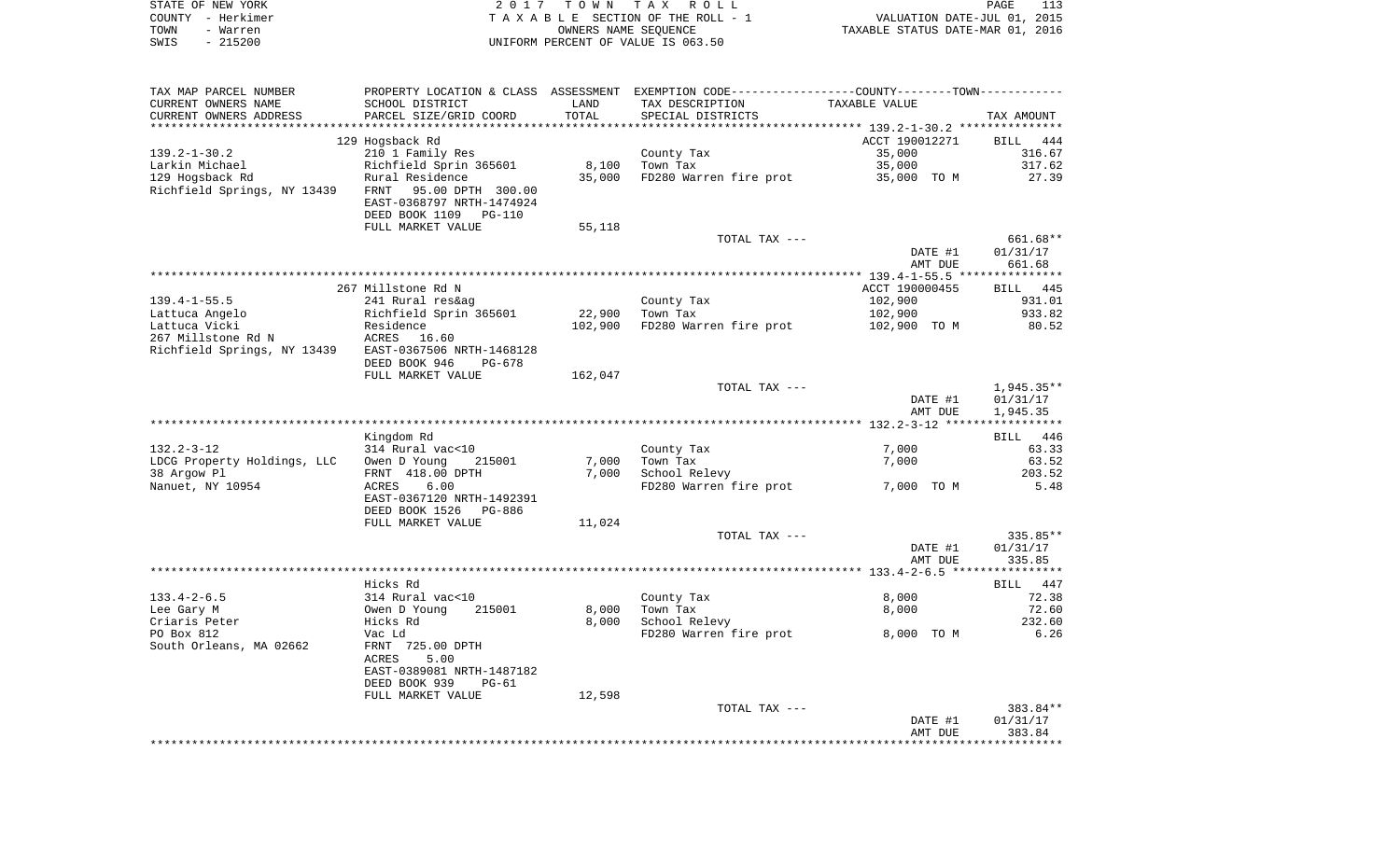|      | STATE OF NEW YORK | 2017 TOWN TAX ROLL                 | 113<br>PAGE                      |
|------|-------------------|------------------------------------|----------------------------------|
|      | COUNTY - Herkimer | TAXABLE SECTION OF THE ROLL - 1    | VALUATION DATE-JUL 01, 2015      |
| TOWN | - Warren          | OWNERS NAME SEOUENCE               | TAXABLE STATUS DATE-MAR 01, 2016 |
| SWIS | - 215200          | UNIFORM PERCENT OF VALUE IS 063.50 |                                  |

| SCHOOL DISTRICT<br>PARCEL SIZE/GRID COORD<br>129 Hogsback Rd<br>210 1 Family Res<br>Richfield Sprin 365601<br>Rural Residence<br>Richfield Springs, NY 13439 FRNT 95.00 DPTH 300.00 | LAND<br>TOTAL<br>8,100                                                                                                                                                                                                                                                                                                                                                                                                                                                                                                     | TAX DESCRIPTION<br>SPECIAL DISTRICTS<br>County Tax                         | TAXABLE VALUE<br>ACCT 190012271                                                                              | TAX AMOUNT<br>BILL 444                                                                                                                                                                                                                |
|-------------------------------------------------------------------------------------------------------------------------------------------------------------------------------------|----------------------------------------------------------------------------------------------------------------------------------------------------------------------------------------------------------------------------------------------------------------------------------------------------------------------------------------------------------------------------------------------------------------------------------------------------------------------------------------------------------------------------|----------------------------------------------------------------------------|--------------------------------------------------------------------------------------------------------------|---------------------------------------------------------------------------------------------------------------------------------------------------------------------------------------------------------------------------------------|
|                                                                                                                                                                                     |                                                                                                                                                                                                                                                                                                                                                                                                                                                                                                                            |                                                                            |                                                                                                              |                                                                                                                                                                                                                                       |
|                                                                                                                                                                                     |                                                                                                                                                                                                                                                                                                                                                                                                                                                                                                                            |                                                                            |                                                                                                              |                                                                                                                                                                                                                                       |
|                                                                                                                                                                                     |                                                                                                                                                                                                                                                                                                                                                                                                                                                                                                                            |                                                                            |                                                                                                              |                                                                                                                                                                                                                                       |
|                                                                                                                                                                                     |                                                                                                                                                                                                                                                                                                                                                                                                                                                                                                                            |                                                                            |                                                                                                              |                                                                                                                                                                                                                                       |
|                                                                                                                                                                                     |                                                                                                                                                                                                                                                                                                                                                                                                                                                                                                                            |                                                                            | 35,000                                                                                                       | 316.67                                                                                                                                                                                                                                |
|                                                                                                                                                                                     |                                                                                                                                                                                                                                                                                                                                                                                                                                                                                                                            | Town Tax                                                                   | 35,000                                                                                                       | 317.62                                                                                                                                                                                                                                |
|                                                                                                                                                                                     | 35,000                                                                                                                                                                                                                                                                                                                                                                                                                                                                                                                     | FD280 Warren fire prot                                                     | 35,000 TO M                                                                                                  | 27.39                                                                                                                                                                                                                                 |
| EAST-0368797 NRTH-1474924<br>DEED BOOK 1109 PG-110                                                                                                                                  |                                                                                                                                                                                                                                                                                                                                                                                                                                                                                                                            |                                                                            |                                                                                                              |                                                                                                                                                                                                                                       |
|                                                                                                                                                                                     |                                                                                                                                                                                                                                                                                                                                                                                                                                                                                                                            |                                                                            |                                                                                                              |                                                                                                                                                                                                                                       |
|                                                                                                                                                                                     |                                                                                                                                                                                                                                                                                                                                                                                                                                                                                                                            |                                                                            | DATE #1<br>AMT DUE                                                                                           | 661.68**<br>01/31/17<br>661.68                                                                                                                                                                                                        |
|                                                                                                                                                                                     |                                                                                                                                                                                                                                                                                                                                                                                                                                                                                                                            |                                                                            |                                                                                                              |                                                                                                                                                                                                                                       |
|                                                                                                                                                                                     |                                                                                                                                                                                                                                                                                                                                                                                                                                                                                                                            |                                                                            | ACCT 190000455                                                                                               | BILL 445                                                                                                                                                                                                                              |
|                                                                                                                                                                                     |                                                                                                                                                                                                                                                                                                                                                                                                                                                                                                                            | County Tax                                                                 | 102,900                                                                                                      | 931.01                                                                                                                                                                                                                                |
|                                                                                                                                                                                     |                                                                                                                                                                                                                                                                                                                                                                                                                                                                                                                            | Town Tax                                                                   |                                                                                                              | 933.82                                                                                                                                                                                                                                |
|                                                                                                                                                                                     |                                                                                                                                                                                                                                                                                                                                                                                                                                                                                                                            |                                                                            |                                                                                                              | 80.52                                                                                                                                                                                                                                 |
|                                                                                                                                                                                     |                                                                                                                                                                                                                                                                                                                                                                                                                                                                                                                            |                                                                            |                                                                                                              |                                                                                                                                                                                                                                       |
| PG-678                                                                                                                                                                              |                                                                                                                                                                                                                                                                                                                                                                                                                                                                                                                            |                                                                            |                                                                                                              |                                                                                                                                                                                                                                       |
|                                                                                                                                                                                     |                                                                                                                                                                                                                                                                                                                                                                                                                                                                                                                            |                                                                            |                                                                                                              |                                                                                                                                                                                                                                       |
|                                                                                                                                                                                     |                                                                                                                                                                                                                                                                                                                                                                                                                                                                                                                            |                                                                            |                                                                                                              | $1,945.35**$                                                                                                                                                                                                                          |
|                                                                                                                                                                                     |                                                                                                                                                                                                                                                                                                                                                                                                                                                                                                                            |                                                                            |                                                                                                              | 01/31/17                                                                                                                                                                                                                              |
|                                                                                                                                                                                     |                                                                                                                                                                                                                                                                                                                                                                                                                                                                                                                            |                                                                            |                                                                                                              | 1,945.35                                                                                                                                                                                                                              |
|                                                                                                                                                                                     |                                                                                                                                                                                                                                                                                                                                                                                                                                                                                                                            |                                                                            |                                                                                                              |                                                                                                                                                                                                                                       |
|                                                                                                                                                                                     |                                                                                                                                                                                                                                                                                                                                                                                                                                                                                                                            |                                                                            |                                                                                                              | BILL 446<br>63.33                                                                                                                                                                                                                     |
|                                                                                                                                                                                     |                                                                                                                                                                                                                                                                                                                                                                                                                                                                                                                            |                                                                            |                                                                                                              | 63.52                                                                                                                                                                                                                                 |
|                                                                                                                                                                                     |                                                                                                                                                                                                                                                                                                                                                                                                                                                                                                                            |                                                                            |                                                                                                              | 203.52                                                                                                                                                                                                                                |
|                                                                                                                                                                                     |                                                                                                                                                                                                                                                                                                                                                                                                                                                                                                                            |                                                                            |                                                                                                              | 5.48                                                                                                                                                                                                                                  |
| PG-886                                                                                                                                                                              |                                                                                                                                                                                                                                                                                                                                                                                                                                                                                                                            |                                                                            |                                                                                                              |                                                                                                                                                                                                                                       |
|                                                                                                                                                                                     | 11,024                                                                                                                                                                                                                                                                                                                                                                                                                                                                                                                     |                                                                            |                                                                                                              |                                                                                                                                                                                                                                       |
|                                                                                                                                                                                     |                                                                                                                                                                                                                                                                                                                                                                                                                                                                                                                            |                                                                            | DATE #1                                                                                                      | 335.85**<br>01/31/17                                                                                                                                                                                                                  |
|                                                                                                                                                                                     |                                                                                                                                                                                                                                                                                                                                                                                                                                                                                                                            |                                                                            | AMT DUE                                                                                                      | 335.85                                                                                                                                                                                                                                |
|                                                                                                                                                                                     |                                                                                                                                                                                                                                                                                                                                                                                                                                                                                                                            |                                                                            |                                                                                                              |                                                                                                                                                                                                                                       |
|                                                                                                                                                                                     |                                                                                                                                                                                                                                                                                                                                                                                                                                                                                                                            |                                                                            |                                                                                                              | BILL 447                                                                                                                                                                                                                              |
|                                                                                                                                                                                     |                                                                                                                                                                                                                                                                                                                                                                                                                                                                                                                            |                                                                            |                                                                                                              | 72.38                                                                                                                                                                                                                                 |
|                                                                                                                                                                                     |                                                                                                                                                                                                                                                                                                                                                                                                                                                                                                                            |                                                                            |                                                                                                              | 72.60                                                                                                                                                                                                                                 |
|                                                                                                                                                                                     |                                                                                                                                                                                                                                                                                                                                                                                                                                                                                                                            |                                                                            |                                                                                                              | 232.60<br>6.26                                                                                                                                                                                                                        |
|                                                                                                                                                                                     |                                                                                                                                                                                                                                                                                                                                                                                                                                                                                                                            |                                                                            |                                                                                                              |                                                                                                                                                                                                                                       |
|                                                                                                                                                                                     |                                                                                                                                                                                                                                                                                                                                                                                                                                                                                                                            |                                                                            |                                                                                                              |                                                                                                                                                                                                                                       |
| $PG-61$                                                                                                                                                                             |                                                                                                                                                                                                                                                                                                                                                                                                                                                                                                                            |                                                                            |                                                                                                              |                                                                                                                                                                                                                                       |
|                                                                                                                                                                                     | 12,598                                                                                                                                                                                                                                                                                                                                                                                                                                                                                                                     |                                                                            |                                                                                                              |                                                                                                                                                                                                                                       |
|                                                                                                                                                                                     |                                                                                                                                                                                                                                                                                                                                                                                                                                                                                                                            |                                                                            |                                                                                                              | 383.84**                                                                                                                                                                                                                              |
|                                                                                                                                                                                     |                                                                                                                                                                                                                                                                                                                                                                                                                                                                                                                            |                                                                            | DATE #1<br>AMT DUE                                                                                           | 01/31/17<br>383.84                                                                                                                                                                                                                    |
|                                                                                                                                                                                     | FULL MARKET VALUE<br>267 Millstone Rd N<br>241 Rural res&ag<br>Richfield Sprin 365601<br>ACRES 16.60<br>Richfield Springs, NY 13439 EAST-0367506 NRTH-1468128<br>DEED BOOK 946<br>FULL MARKET VALUE<br>314 Rural vac<10<br>LDCG Property Holdings, LLC Owen D Young<br>215001<br>FRNT 418.00 DPTH<br>6.00<br>EAST-0367120 NRTH-1492391<br>DEED BOOK 1526<br>FULL MARKET VALUE<br>314 Rural vac<10<br>215001<br>Owen D Young<br>FRNT 725.00 DPTH<br>5.00<br>EAST-0389081 NRTH-1487182<br>DEED BOOK 939<br>FULL MARKET VALUE | 55,118<br>22,900<br>102,900<br>162,047<br>7,000<br>7,000<br>8,000<br>8,000 | County Tax<br>Town Tax<br>School Relevy<br>County Tax<br>Town Tax<br>School Relevy<br>FD280 Warren fire prot | TOTAL TAX ---<br>102,900<br>FD280 Warren fire prot<br>102,900 TO M<br>TOTAL TAX ---<br>DATE #1<br>AMT DUE<br>7,000<br>7,000<br>FD280 Warren fire prot<br>7,000 TO M<br>TOTAL TAX ---<br>8,000<br>8,000<br>8,000 TO M<br>TOTAL TAX --- |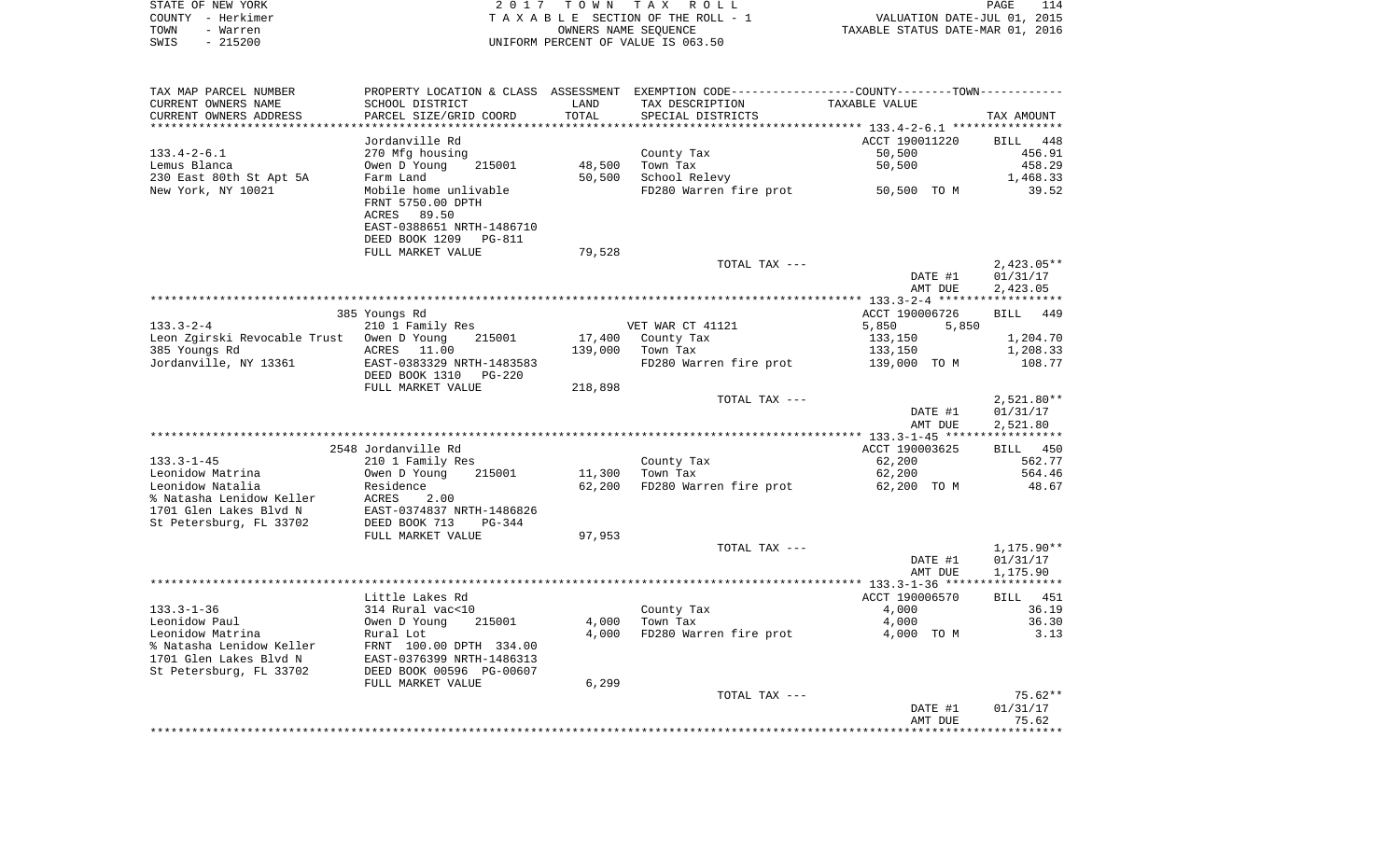|      | STATE OF NEW YORK | 2017 TOWN TAX ROLL                 | 114<br>PAGE                      |
|------|-------------------|------------------------------------|----------------------------------|
|      | COUNTY - Herkimer | TAXABLE SECTION OF THE ROLL - 1    | VALUATION DATE-JUL 01, 2015      |
| TOWN | – Warren          | OWNERS NAME SEOUENCE               | TAXABLE STATUS DATE-MAR 01, 2016 |
| SWIS | - 215200          | UNIFORM PERCENT OF VALUE IS 063.50 |                                  |

| TAX MAP PARCEL NUMBER        |                                            |         | PROPERTY LOCATION & CLASS ASSESSMENT EXEMPTION CODE----------------COUNTY-------TOWN---------- |                      |                    |
|------------------------------|--------------------------------------------|---------|------------------------------------------------------------------------------------------------|----------------------|--------------------|
| CURRENT OWNERS NAME          | SCHOOL DISTRICT                            | LAND    | TAX DESCRIPTION                                                                                | <b>TAXABLE VALUE</b> |                    |
| CURRENT OWNERS ADDRESS       | PARCEL SIZE/GRID COORD                     | TOTAL   | SPECIAL DISTRICTS                                                                              |                      | TAX AMOUNT         |
|                              |                                            |         |                                                                                                |                      |                    |
|                              | Jordanville Rd                             |         |                                                                                                | ACCT 190011220       | <b>BILL</b><br>448 |
| $133.4 - 2 - 6.1$            | 270 Mfg housing                            |         | County Tax                                                                                     | 50,500               | 456.91             |
| Lemus Blanca                 | Owen D Young<br>215001                     | 48,500  | Town Tax                                                                                       | 50,500               | 458.29             |
| 230 East 80th St Apt 5A      | Farm Land                                  | 50,500  | School Relevy                                                                                  |                      | 1,468.33           |
| New York, NY 10021           | Mobile home unlivable                      |         | FD280 Warren fire prot                                                                         | 50,500 TO M          | 39.52              |
|                              | FRNT 5750.00 DPTH                          |         |                                                                                                |                      |                    |
|                              | 89.50<br>ACRES                             |         |                                                                                                |                      |                    |
|                              | EAST-0388651 NRTH-1486710                  |         |                                                                                                |                      |                    |
|                              | DEED BOOK 1209<br><b>PG-811</b>            |         |                                                                                                |                      |                    |
|                              | FULL MARKET VALUE                          | 79,528  |                                                                                                |                      |                    |
|                              |                                            |         | TOTAL TAX ---                                                                                  |                      | $2,423.05**$       |
|                              |                                            |         |                                                                                                | DATE #1              | 01/31/17           |
|                              |                                            |         |                                                                                                | AMT DUE              | 2,423.05           |
|                              |                                            |         |                                                                                                |                      |                    |
|                              | 385 Youngs Rd                              |         |                                                                                                | ACCT 190006726       | 449<br>BILL        |
| $133.3 - 2 - 4$              | 210 1 Family Res                           |         | VET WAR CT 41121                                                                               | 5,850<br>5,850       |                    |
| Leon Zgirski Revocable Trust | Owen D Young<br>215001                     | 17,400  | County Tax                                                                                     | 133,150              | 1,204.70           |
| 385 Youngs Rd                | ACRES<br>11.00                             | 139,000 | Town Tax                                                                                       | 133,150              | 1,208.33           |
| Jordanville, NY 13361        | EAST-0383329 NRTH-1483583                  |         | FD280 Warren fire prot                                                                         | 139,000 TO M         | 108.77             |
|                              | DEED BOOK 1310<br><b>PG-220</b>            |         |                                                                                                |                      |                    |
|                              | FULL MARKET VALUE                          | 218,898 |                                                                                                |                      |                    |
|                              |                                            |         | TOTAL TAX ---                                                                                  |                      | $2,521.80**$       |
|                              |                                            |         |                                                                                                | DATE #1              | 01/31/17           |
|                              |                                            |         |                                                                                                | AMT DUE              | 2,521.80           |
|                              | 2548 Jordanville Rd                        |         |                                                                                                | ACCT 190003625       | BILL               |
| $133.3 - 1 - 45$             |                                            |         |                                                                                                | 62,200               | 450<br>562.77      |
| Leonidow Matrina             | 210 1 Family Res<br>Owen D Young<br>215001 | 11,300  | County Tax<br>Town Tax                                                                         | 62,200               | 564.46             |
| Leonidow Natalia             | Residence                                  | 62,200  | FD280 Warren fire prot                                                                         | 62,200 TO M          | 48.67              |
| % Natasha Lenidow Keller     | ACRES<br>2.00                              |         |                                                                                                |                      |                    |
| 1701 Glen Lakes Blvd N       | EAST-0374837 NRTH-1486826                  |         |                                                                                                |                      |                    |
| St Petersburg, FL 33702      | DEED BOOK 713<br>PG-344                    |         |                                                                                                |                      |                    |
|                              | FULL MARKET VALUE                          | 97,953  |                                                                                                |                      |                    |
|                              |                                            |         | TOTAL TAX ---                                                                                  |                      | $1,175.90**$       |
|                              |                                            |         |                                                                                                | DATE #1              | 01/31/17           |
|                              |                                            |         |                                                                                                | AMT DUE              | 1,175.90           |
|                              |                                            |         |                                                                                                |                      |                    |
|                              | Little Lakes Rd                            |         |                                                                                                | ACCT 190006570       | 451<br>BILL        |
| $133.3 - 1 - 36$             | 314 Rural vac<10                           |         | County Tax                                                                                     | 4,000                | 36.19              |
| Leonidow Paul                | Owen D Young<br>215001                     | 4,000   | Town Tax                                                                                       | 4,000                | 36.30              |
| Leonidow Matrina             | Rural Lot                                  | 4,000   | FD280 Warren fire prot                                                                         | 4,000 TO M           | 3.13               |
| % Natasha Lenidow Keller     | FRNT 100.00 DPTH 334.00                    |         |                                                                                                |                      |                    |
| 1701 Glen Lakes Blvd N       | EAST-0376399 NRTH-1486313                  |         |                                                                                                |                      |                    |
| St Petersburg, FL 33702      | DEED BOOK 00596 PG-00607                   |         |                                                                                                |                      |                    |
|                              | FULL MARKET VALUE                          | 6,299   |                                                                                                |                      |                    |
|                              |                                            |         | TOTAL TAX ---                                                                                  |                      | $75.62**$          |
|                              |                                            |         |                                                                                                | DATE #1              | 01/31/17           |
|                              |                                            |         |                                                                                                | AMT DUE              | 75.62              |
|                              |                                            |         |                                                                                                |                      |                    |
|                              |                                            |         |                                                                                                |                      |                    |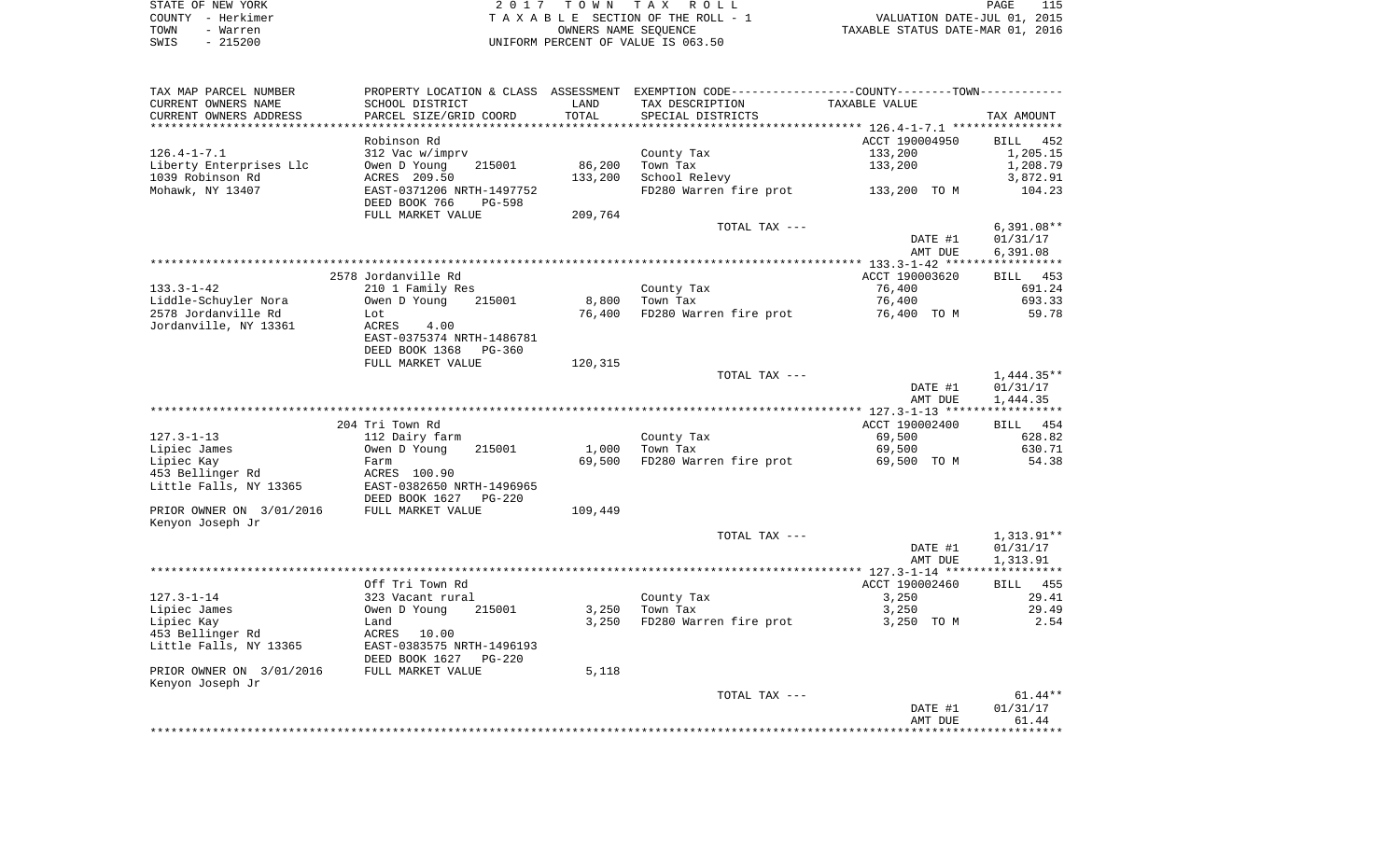|      | STATE OF NEW YORK | 2017 TOWN TAX ROLL                 | PAGE                             |
|------|-------------------|------------------------------------|----------------------------------|
|      | COUNTY - Herkimer | TAXABLE SECTION OF THE ROLL - 1    | VALUATION DATE-JUL 01, 2015      |
| TOWN | - Warren          | OWNERS NAME SEOUENCE               | TAXABLE STATUS DATE-MAR 01, 2016 |
| SWIS | $-215200$         | UNIFORM PERCENT OF VALUE IS 063.50 |                                  |

| TAX MAP PARCEL NUMBER<br>CURRENT OWNERS NAME                                                                             | SCHOOL DISTRICT                                                                                                                                                       | LAND                    | PROPERTY LOCATION & CLASS ASSESSMENT EXEMPTION CODE---------------COUNTY-------TOWN----------<br>TAX DESCRIPTION | TAXABLE VALUE                                        |                                                        |
|--------------------------------------------------------------------------------------------------------------------------|-----------------------------------------------------------------------------------------------------------------------------------------------------------------------|-------------------------|------------------------------------------------------------------------------------------------------------------|------------------------------------------------------|--------------------------------------------------------|
| CURRENT OWNERS ADDRESS                                                                                                   | PARCEL SIZE/GRID COORD                                                                                                                                                | TOTAL                   | SPECIAL DISTRICTS                                                                                                |                                                      | TAX AMOUNT                                             |
|                                                                                                                          |                                                                                                                                                                       | **********              |                                                                                                                  |                                                      |                                                        |
| $126.4 - 1 - 7.1$<br>Liberty Enterprises Llc<br>1039 Robinson Rd<br>Mohawk, NY 13407                                     | Robinson Rd<br>312 Vac w/imprv<br>Owen D Young<br>215001<br>ACRES 209.50<br>EAST-0371206 NRTH-1497752                                                                 | 86,200<br>133,200       | County Tax<br>Town Tax<br>School Relevy<br>FD280 Warren fire prot                                                | ACCT 190004950<br>133,200<br>133,200<br>133,200 TO M | BILL 452<br>1,205.15<br>1,208.79<br>3,872.91<br>104.23 |
|                                                                                                                          | DEED BOOK 766<br>PG-598<br>FULL MARKET VALUE                                                                                                                          | 209,764                 |                                                                                                                  |                                                      |                                                        |
|                                                                                                                          |                                                                                                                                                                       |                         | TOTAL TAX ---                                                                                                    | DATE #1<br>AMT DUE                                   | $6,391.08**$<br>01/31/17<br>6,391.08                   |
|                                                                                                                          |                                                                                                                                                                       |                         |                                                                                                                  |                                                      |                                                        |
| $133.3 - 1 - 42$<br>Liddle-Schuyler Nora<br>2578 Jordanville Rd<br>Jordanville, NY 13361                                 | 2578 Jordanville Rd<br>210 1 Family Res<br>Owen D Young<br>215001<br>Lot<br>ACRES<br>4.00<br>EAST-0375374 NRTH-1486781<br>DEED BOOK 1368<br>PG-360                    | 8,800<br>76,400         | County Tax<br>Town Tax<br>FD280 Warren fire prot                                                                 | ACCT 190003620<br>76,400<br>76,400<br>76,400 TO M    | BILL 453<br>691.24<br>693.33<br>59.78                  |
|                                                                                                                          | FULL MARKET VALUE                                                                                                                                                     | 120,315                 |                                                                                                                  |                                                      |                                                        |
|                                                                                                                          |                                                                                                                                                                       |                         | TOTAL TAX ---                                                                                                    | DATE #1<br>AMT DUE                                   | $1,444.35**$<br>01/31/17<br>1,444.35                   |
|                                                                                                                          |                                                                                                                                                                       |                         |                                                                                                                  |                                                      |                                                        |
| 127.3-1-13<br>Lipiec James<br>Lipiec Kay<br>453 Bellinger Rd                                                             | 204 Tri Town Rd<br>112 Dairy farm<br>Owen D Young<br>215001<br>Farm<br>ACRES 100.90                                                                                   | 1,000<br>69,500         | County Tax<br>Town Tax<br>FD280 Warren fire prot                                                                 | ACCT 190002400<br>69,500<br>69,500<br>69,500 TO M    | BILL 454<br>628.82<br>630.71<br>54.38                  |
| Little Falls, NY 13365<br>PRIOR OWNER ON 3/01/2016<br>Kenyon Joseph Jr                                                   | EAST-0382650 NRTH-1496965<br>DEED BOOK 1627<br>PG-220<br>FULL MARKET VALUE                                                                                            | 109,449                 |                                                                                                                  |                                                      |                                                        |
|                                                                                                                          |                                                                                                                                                                       |                         | TOTAL TAX ---                                                                                                    | DATE #1<br>AMT DUE                                   | 1,313.91**<br>01/31/17<br>1,313.91                     |
|                                                                                                                          |                                                                                                                                                                       |                         |                                                                                                                  |                                                      |                                                        |
| $127.3 - 1 - 14$<br>Lipiec James<br>Lipiec Kay<br>453 Bellinger Rd<br>Little Falls, NY 13365<br>PRIOR OWNER ON 3/01/2016 | Off Tri Town Rd<br>323 Vacant rural<br>Owen D Young<br>215001<br>Land<br>10.00<br>ACRES<br>EAST-0383575 NRTH-1496193<br>DEED BOOK 1627<br>PG-220<br>FULL MARKET VALUE | 3,250<br>3,250<br>5,118 | County Tax<br>Town Tax<br>FD280 Warren fire prot                                                                 | ACCT 190002460<br>3,250<br>3,250<br>3,250 TO M       | <b>BILL</b> 455<br>29.41<br>29.49<br>2.54              |
| Kenyon Joseph Jr                                                                                                         |                                                                                                                                                                       |                         | TOTAL TAX ---                                                                                                    | DATE #1<br>AMT DUE                                   | $61.44**$<br>01/31/17<br>61.44                         |
|                                                                                                                          |                                                                                                                                                                       |                         |                                                                                                                  |                                                      |                                                        |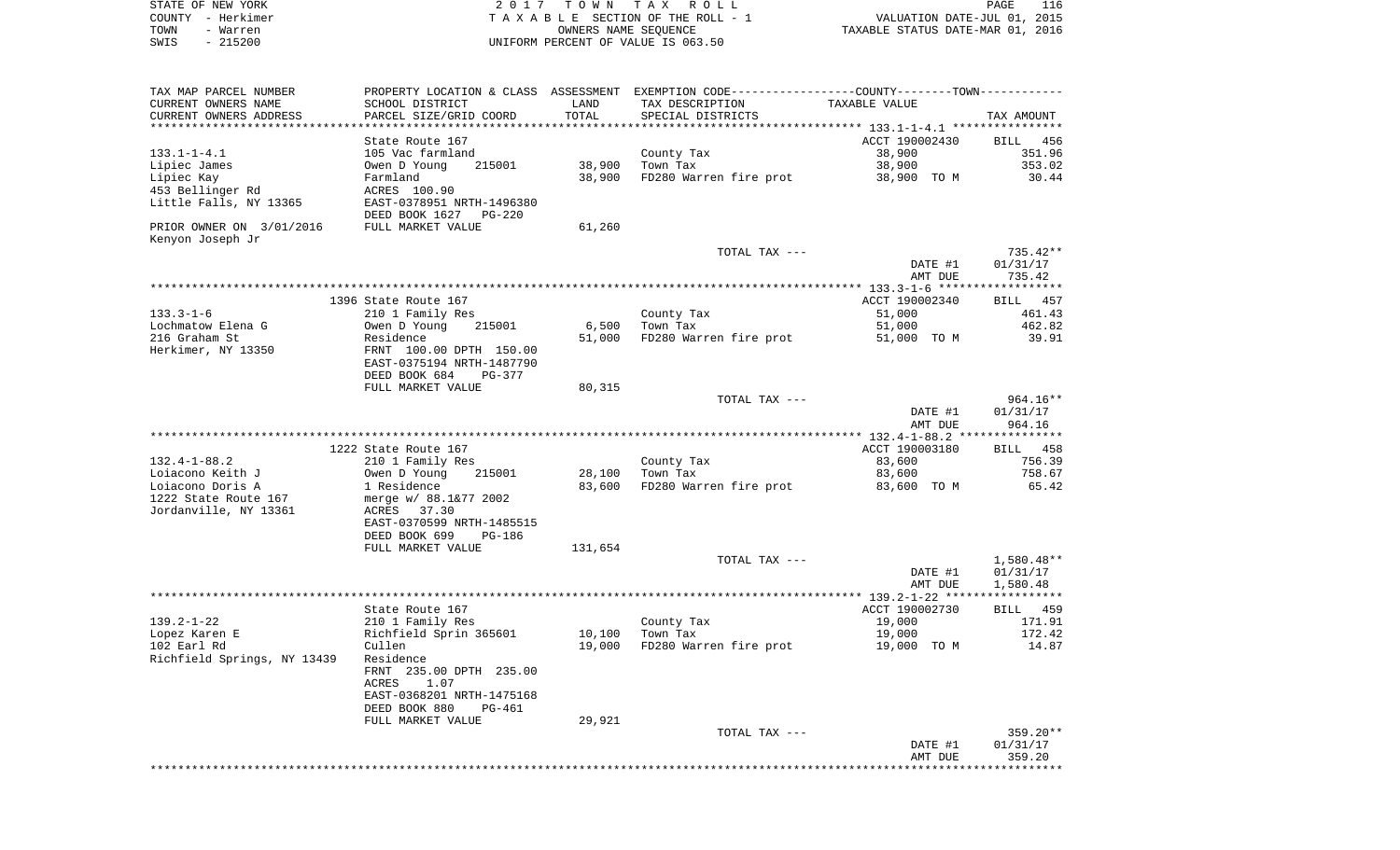|      | STATE OF NEW YORK | 2017 TOWN TAX ROLL                 | PAGE                             | 116 |
|------|-------------------|------------------------------------|----------------------------------|-----|
|      | COUNTY - Herkimer | TAXABLE SECTION OF THE ROLL - 1    | VALUATION DATE-JUL 01, 2015      |     |
| TOWN | - Warren          | OWNERS NAME SEOUENCE               | TAXABLE STATUS DATE-MAR 01, 2016 |     |
| SWIS | - 215200          | UNIFORM PERCENT OF VALUE IS 063.50 |                                  |     |

| TAX MAP PARCEL NUMBER        | PROPERTY LOCATION & CLASS        | ASSESSMENT      |                        | EXEMPTION CODE-----------------COUNTY-------TOWN----------- |                  |
|------------------------------|----------------------------------|-----------------|------------------------|-------------------------------------------------------------|------------------|
| CURRENT OWNERS NAME          | SCHOOL DISTRICT                  | LAND            | TAX DESCRIPTION        | TAXABLE VALUE                                               |                  |
| CURRENT OWNERS ADDRESS       | PARCEL SIZE/GRID COORD           | TOTAL           | SPECIAL DISTRICTS      |                                                             | TAX AMOUNT       |
|                              | *************************        | *************** |                        |                                                             |                  |
|                              | State Route 167                  |                 |                        | ACCT 190002430                                              | BILL<br>456      |
| $133.1 - 1 - 4.1$            | 105 Vac farmland                 |                 | County Tax             | 38,900                                                      | 351.96           |
| Lipiec James                 | Owen D Young<br>215001           | 38,900          | Town Tax               | 38,900                                                      | 353.02           |
| Lipiec Kay                   | Farmland                         | 38,900          | FD280 Warren fire prot | 38,900 TO M                                                 | 30.44            |
| 453 Bellinger Rd             | ACRES 100.90                     |                 |                        |                                                             |                  |
| Little Falls, NY 13365       | EAST-0378951 NRTH-1496380        |                 |                        |                                                             |                  |
|                              | DEED BOOK 1627<br>PG-220         |                 |                        |                                                             |                  |
| PRIOR OWNER ON 3/01/2016     | FULL MARKET VALUE                | 61,260          |                        |                                                             |                  |
| Kenyon Joseph Jr             |                                  |                 |                        |                                                             |                  |
|                              |                                  |                 | TOTAL TAX ---          |                                                             | 735.42**         |
|                              |                                  |                 |                        | DATE #1                                                     | 01/31/17         |
|                              |                                  |                 |                        | AMT DUE                                                     | 735.42           |
|                              |                                  |                 |                        | *************** 133.3-1-6 ****                              | **********       |
|                              | 1396 State Route 167             |                 |                        | ACCT 190002340                                              | BILL 457         |
| $133.3 - 1 - 6$              | 210 1 Family Res                 |                 |                        | 51,000                                                      | 461.43           |
| Lochmatow Elena G            | Owen D Young<br>215001           | 6,500           | County Tax<br>Town Tax | 51,000                                                      | 462.82           |
| 216 Graham St                |                                  |                 |                        |                                                             | 39.91            |
|                              | Residence                        | 51,000          | FD280 Warren fire prot | 51,000 TO M                                                 |                  |
| Herkimer, NY 13350           | FRNT 100.00 DPTH 150.00          |                 |                        |                                                             |                  |
|                              | EAST-0375194 NRTH-1487790        |                 |                        |                                                             |                  |
|                              | DEED BOOK 684<br>PG-377          |                 |                        |                                                             |                  |
|                              | FULL MARKET VALUE                | 80,315          |                        |                                                             |                  |
|                              |                                  |                 | TOTAL TAX ---          |                                                             | 964.16**         |
|                              |                                  |                 |                        | DATE #1                                                     | 01/31/17         |
|                              |                                  |                 |                        | AMT DUE                                                     | 964.16           |
|                              |                                  |                 |                        |                                                             |                  |
|                              | 1222 State Route 167             |                 |                        | ACCT 190003180                                              | BILL 458         |
| $132.4 - 1 - 88.2$           | 210 1 Family Res                 |                 | County Tax             | 83,600                                                      | 756.39           |
| Loiacono Keith J             | Owen D Young<br>215001           | 28,100          | Town Tax               | 83,600                                                      | 758.67           |
| Loiacono Doris A             | 1 Residence                      | 83,600          | FD280 Warren fire prot | 83,600 TO M                                                 | 65.42            |
| 1222 State Route 167         | merge w/ 88.1&77 2002            |                 |                        |                                                             |                  |
| Jordanville, NY 13361        | ACRES<br>37.30                   |                 |                        |                                                             |                  |
|                              | EAST-0370599 NRTH-1485515        |                 |                        |                                                             |                  |
|                              | DEED BOOK 699<br>PG-186          |                 |                        |                                                             |                  |
|                              | FULL MARKET VALUE                | 131,654         |                        |                                                             |                  |
|                              |                                  |                 | TOTAL TAX ---          |                                                             | 1,580.48**       |
|                              |                                  |                 |                        | DATE #1                                                     | 01/31/17         |
|                              |                                  |                 |                        | AMT DUE<br>*********** 139.2-1-22 ***                       | 1,580.48         |
|                              | State Route 167                  |                 |                        | ACCT 190002730                                              | BILL 459         |
|                              |                                  |                 |                        |                                                             |                  |
| $139.2 - 1 - 22$             | 210 1 Family Res                 |                 | County Tax             | 19,000                                                      | 171.91<br>172.42 |
| Lopez Karen E<br>102 Earl Rd | Richfield Sprin 365601<br>Cullen | 10,100          | Town Tax               | 19,000                                                      | 14.87            |
|                              |                                  | 19,000          | FD280 Warren fire prot | 19,000 TO M                                                 |                  |
| Richfield Springs, NY 13439  | Residence                        |                 |                        |                                                             |                  |
|                              | FRNT 235.00 DPTH 235.00          |                 |                        |                                                             |                  |
|                              | ACRES<br>1.07                    |                 |                        |                                                             |                  |
|                              | EAST-0368201 NRTH-1475168        |                 |                        |                                                             |                  |
|                              | DEED BOOK 880<br>PG-461          |                 |                        |                                                             |                  |
|                              | FULL MARKET VALUE                | 29,921          |                        |                                                             |                  |
|                              |                                  |                 | TOTAL TAX ---          |                                                             | 359.20**         |
|                              |                                  |                 |                        | DATE #1                                                     | 01/31/17         |
|                              |                                  |                 |                        | AMT DUE                                                     | 359.20           |
|                              |                                  |                 |                        |                                                             |                  |
|                              |                                  |                 |                        |                                                             |                  |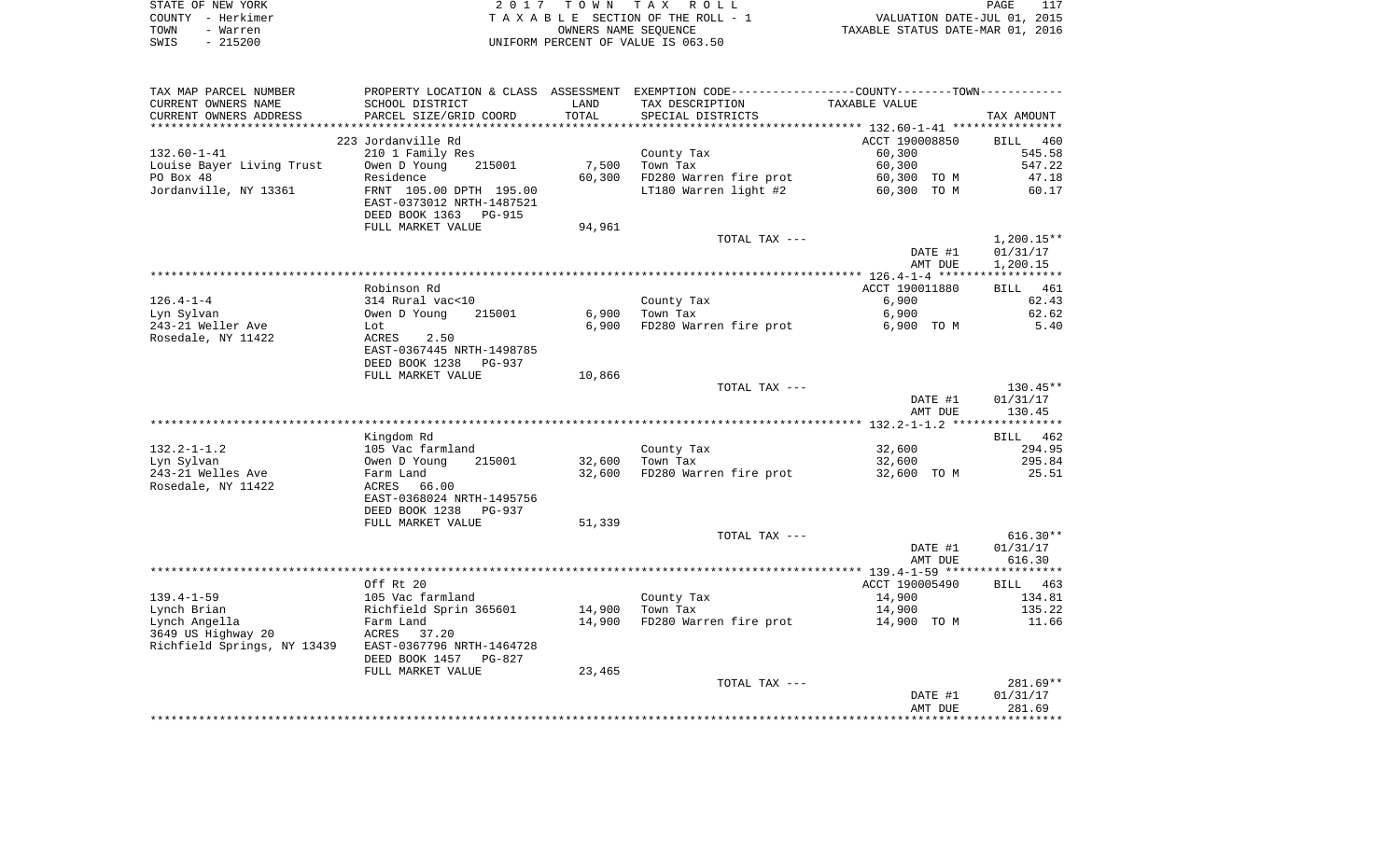|      | STATE OF NEW YORK | 2017 TOWN TAX ROLL                 | PAGE                             |  |
|------|-------------------|------------------------------------|----------------------------------|--|
|      | COUNTY - Herkimer | TAXABLE SECTION OF THE ROLL - 1    | VALUATION DATE-JUL 01, 2015      |  |
| TOWN | - Warren          | OWNERS NAME SEOUENCE               | TAXABLE STATUS DATE-MAR 01, 2016 |  |
|      | SWIS - 215200     | UNIFORM PERCENT OF VALUE IS 063.50 |                                  |  |

| TAX MAP PARCEL NUMBER                                 | PROPERTY LOCATION & CLASS ASSESSMENT EXEMPTION CODE---------------COUNTY-------TOWN---------- |        |                        |                |              |
|-------------------------------------------------------|-----------------------------------------------------------------------------------------------|--------|------------------------|----------------|--------------|
| CURRENT OWNERS NAME                                   | SCHOOL DISTRICT                                                                               | LAND   | TAX DESCRIPTION        | TAXABLE VALUE  |              |
| CURRENT OWNERS ADDRESS                                | PARCEL SIZE/GRID COORD                                                                        | TOTAL  | SPECIAL DISTRICTS      |                | TAX AMOUNT   |
|                                                       |                                                                                               |        |                        |                |              |
|                                                       | 223 Jordanville Rd                                                                            |        |                        | ACCT 190008850 | BILL 460     |
| $132.60 - 1 - 41$                                     | 210 1 Family Res                                                                              |        | County Tax             | 60,300         | 545.58       |
| Louise Bayer Living Trust                             | 215001<br>Owen D Young                                                                        | 7,500  | Town Tax               | 60,300         | 547.22       |
| PO Box 48                                             | Residence                                                                                     | 60,300 | FD280 Warren fire prot | 60,300 TO M    | 47.18        |
| Jordanville, NY 13361                                 | FRNT 105.00 DPTH 195.00                                                                       |        | LT180 Warren light #2  | 60,300 TO M    | 60.17        |
|                                                       | EAST-0373012 NRTH-1487521                                                                     |        |                        |                |              |
|                                                       | DEED BOOK 1363<br>PG-915                                                                      |        |                        |                |              |
|                                                       | FULL MARKET VALUE                                                                             | 94,961 |                        |                |              |
|                                                       |                                                                                               |        | TOTAL TAX ---          |                | $1,200.15**$ |
|                                                       |                                                                                               |        |                        | DATE #1        | 01/31/17     |
|                                                       |                                                                                               |        |                        | AMT DUE        | 1,200.15     |
|                                                       |                                                                                               |        |                        |                |              |
|                                                       | Robinson Rd                                                                                   |        |                        | ACCT 190011880 | BILL 461     |
| $126.4 - 1 - 4$                                       | 314 Rural vac<10                                                                              |        | County Tax             | 6,900          | 62.43        |
| Lyn Sylvan                                            | Owen D Young<br>215001                                                                        | 6,900  | Town Tax               | 6,900          | 62.62        |
|                                                       |                                                                                               | 6,900  | FD280 Warren fire prot | 6,900 TO M     | 5.40         |
| 243-21 Weller Ave                                     | Lot                                                                                           |        |                        |                |              |
| Rosedale, NY 11422                                    | ACRES<br>2.50                                                                                 |        |                        |                |              |
|                                                       | EAST-0367445 NRTH-1498785                                                                     |        |                        |                |              |
|                                                       | DEED BOOK 1238<br>PG-937                                                                      |        |                        |                |              |
|                                                       | FULL MARKET VALUE                                                                             | 10,866 |                        |                |              |
|                                                       |                                                                                               |        | TOTAL TAX ---          |                | $130.45**$   |
|                                                       |                                                                                               |        |                        | DATE #1        | 01/31/17     |
|                                                       |                                                                                               |        |                        | AMT DUE        | 130.45       |
|                                                       |                                                                                               |        |                        |                |              |
|                                                       | Kingdom Rd                                                                                    |        |                        |                | BILL 462     |
| $132.2 - 1 - 1.2$                                     | 105 Vac farmland                                                                              |        | County Tax             | 32,600         | 294.95       |
| Lyn Sylvan                                            | 215001<br>Owen D Young                                                                        | 32,600 | Town Tax               | 32,600         | 295.84       |
| 243-21 Welles Ave                                     | Farm Land                                                                                     | 32,600 | FD280 Warren fire prot | 32,600 TO M    | 25.51        |
| Rosedale, NY 11422                                    | ACRES<br>66.00                                                                                |        |                        |                |              |
|                                                       | EAST-0368024 NRTH-1495756                                                                     |        |                        |                |              |
|                                                       | DEED BOOK 1238<br>PG-937                                                                      |        |                        |                |              |
|                                                       | FULL MARKET VALUE                                                                             | 51,339 |                        |                |              |
|                                                       |                                                                                               |        | TOTAL TAX ---          |                | $616.30**$   |
|                                                       |                                                                                               |        |                        | DATE #1        | 01/31/17     |
|                                                       |                                                                                               |        |                        | AMT DUE        | 616.30       |
|                                                       |                                                                                               |        |                        |                |              |
|                                                       | Off Rt 20                                                                                     |        |                        | ACCT 190005490 | BILL 463     |
| $139.4 - 1 - 59$                                      | 105 Vac farmland                                                                              |        | County Tax             | 14,900         | 134.81       |
| Lynch Brian                                           | Richfield Sprin 365601                                                                        | 14,900 | Town Tax               | 14,900         | 135.22       |
| Lynch Angella                                         | Farm Land                                                                                     | 14,900 | FD280 Warren fire prot | 14,900 TO M    | 11.66        |
| 3649 US Highway 20                                    | ACRES 37.20                                                                                   |        |                        |                |              |
| Richfield Springs, NY 13439 EAST-0367796 NRTH-1464728 |                                                                                               |        |                        |                |              |
|                                                       | DEED BOOK 1457<br>PG-827                                                                      |        |                        |                |              |
|                                                       | FULL MARKET VALUE                                                                             | 23,465 |                        |                |              |
|                                                       |                                                                                               |        | TOTAL TAX ---          |                | $281.69**$   |
|                                                       |                                                                                               |        |                        | DATE #1        | 01/31/17     |
|                                                       |                                                                                               |        |                        | AMT DUE        | 281.69       |
|                                                       |                                                                                               |        |                        |                |              |
|                                                       |                                                                                               |        |                        |                |              |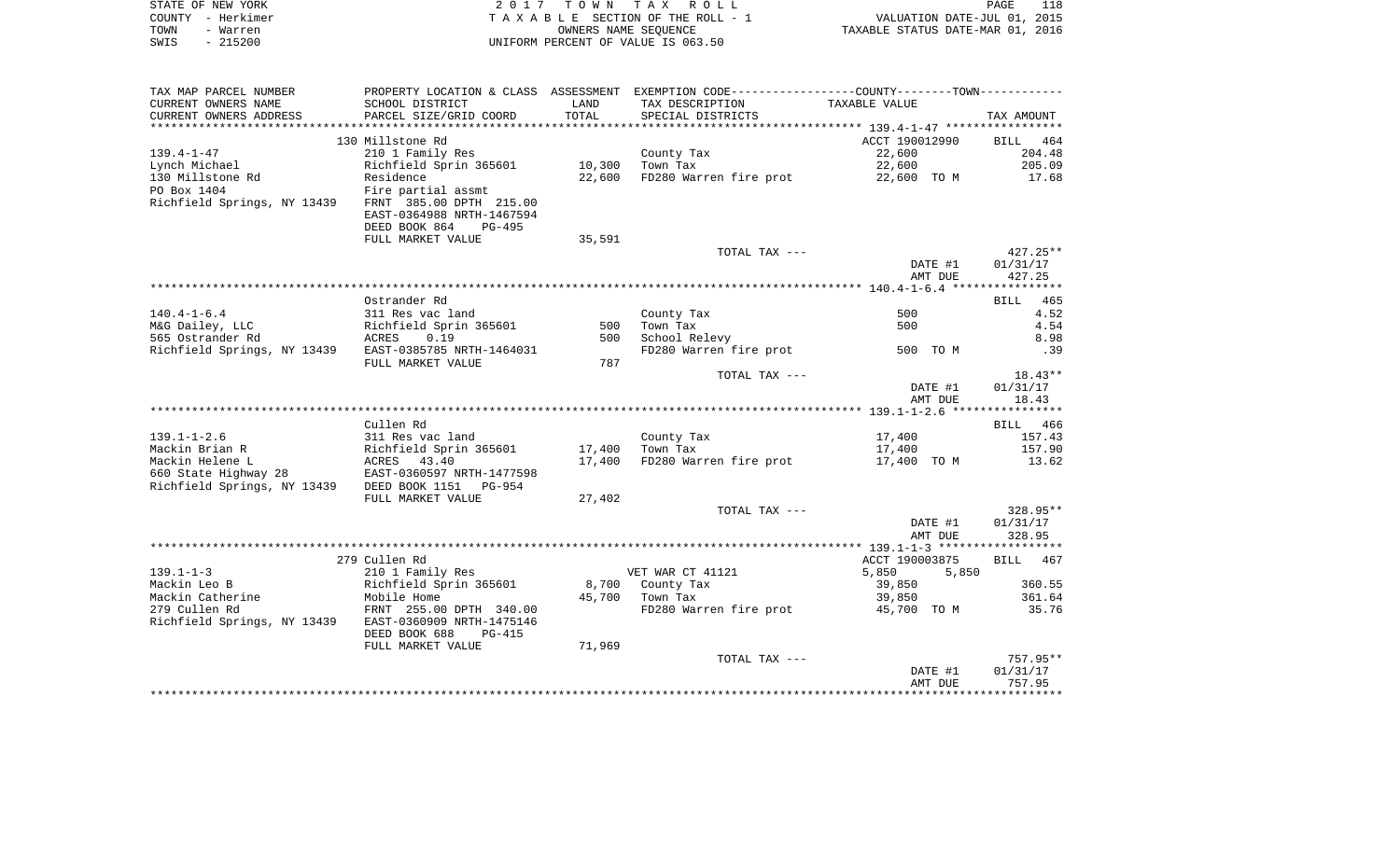| STATE OF NEW YORK | 2017 TOWN TAX ROLL                 | PAGE                             | 118 |
|-------------------|------------------------------------|----------------------------------|-----|
| COUNTY - Herkimer | TAXABLE SECTION OF THE ROLL - 1    | VALUATION DATE-JUL 01, 2015      |     |
| TOWN<br>- Warren  | OWNERS NAME SEOUENCE               | TAXABLE STATUS DATE-MAR 01, 2016 |     |
| $-215200$<br>SWIS | UNIFORM PERCENT OF VALUE IS 063.50 |                                  |     |

| TAX MAP PARCEL NUMBER                             |                                                                       |        |                                    | PROPERTY LOCATION & CLASS ASSESSMENT EXEMPTION CODE----------------COUNTY--------TOWN----------- |            |
|---------------------------------------------------|-----------------------------------------------------------------------|--------|------------------------------------|--------------------------------------------------------------------------------------------------|------------|
| CURRENT OWNERS NAME                               | SCHOOL DISTRICT                                                       | LAND   | TAX DESCRIPTION                    | TAXABLE VALUE                                                                                    |            |
| CURRENT OWNERS ADDRESS                            | PARCEL SIZE/GRID COORD                                                | TOTAL  | SPECIAL DISTRICTS                  |                                                                                                  | TAX AMOUNT |
|                                                   |                                                                       |        |                                    |                                                                                                  |            |
|                                                   | 130 Millstone Rd                                                      |        |                                    | ACCT 190012990                                                                                   | BILL 464   |
| $139.4 - 1 - 47$                                  | 210 1 Family Res                                                      |        | County Tax                         | 22,600                                                                                           | 204.48     |
| Lynch Michael                                     | Richfield Sprin 365601                                                | 10,300 | Town Tax                           | 22,600                                                                                           | 205.09     |
| 130 Millstone Rd                                  | Residence                                                             | 22,600 | FD280 Warren fire prot             | 22,600 TO M                                                                                      | 17.68      |
| PO Box 1404                                       | Fire partial assmt                                                    |        |                                    |                                                                                                  |            |
| Richfield Springs, NY 13439                       | FRNT 385.00 DPTH 215.00                                               |        |                                    |                                                                                                  |            |
|                                                   | EAST-0364988 NRTH-1467594                                             |        |                                    |                                                                                                  |            |
|                                                   | DEED BOOK 864<br>$PG-495$                                             |        |                                    |                                                                                                  |            |
|                                                   | FULL MARKET VALUE                                                     | 35,591 |                                    |                                                                                                  |            |
|                                                   |                                                                       |        | TOTAL TAX ---                      |                                                                                                  | $427.25**$ |
|                                                   |                                                                       |        |                                    |                                                                                                  |            |
|                                                   |                                                                       |        |                                    | DATE #1                                                                                          | 01/31/17   |
|                                                   |                                                                       |        |                                    | AMT DUE                                                                                          | 427.25     |
|                                                   |                                                                       |        |                                    |                                                                                                  |            |
|                                                   | Ostrander Rd                                                          |        |                                    |                                                                                                  | BILL 465   |
| $140.4 - 1 - 6.4$                                 | 311 Res vac land                                                      |        | County Tax                         | 500                                                                                              | 4.52       |
| M&G Dailey, LLC                                   | Sil Kes vac Ianu<br>Richfield Sprin 365601                            | 500    | Town Tax                           | 500                                                                                              | 4.54       |
| 565 Ostrander Rd                                  | ACRES 0.19                                                            | 500    | School Relevy                      |                                                                                                  | 8.98       |
| Richfield Springs, NY 13439                       | EAST-0385785 NRTH-1464031                                             |        | FD280 Warren fire prot             | 500 TO M                                                                                         | .39        |
|                                                   | FULL MARKET VALUE                                                     | 787    |                                    |                                                                                                  |            |
|                                                   |                                                                       |        | TOTAL TAX ---                      |                                                                                                  | $18.43**$  |
|                                                   |                                                                       |        |                                    | DATE #1                                                                                          | 01/31/17   |
|                                                   |                                                                       |        |                                    | AMT DUE                                                                                          | 18.43      |
|                                                   |                                                                       |        |                                    |                                                                                                  |            |
|                                                   | Cullen Rd                                                             |        |                                    |                                                                                                  | BILL 466   |
| $139.1 - 1 - 2.6$                                 | 311 Res vac land                                                      |        | County Tax                         | 17,400                                                                                           | 157.43     |
| Mackin Brian R                                    |                                                                       | 17,400 | Town Tax                           | 17,400                                                                                           | 157.90     |
| Mackin Helene L                                   | Richfield Sprin 365601<br>ACRES 43.40<br>28 EAST-0360597 NRTH-1477598 | 17,400 | FD280 Warren fire prot 17,400 TO M |                                                                                                  | 13.62      |
| 660 State Highway 28                              |                                                                       |        |                                    |                                                                                                  |            |
| Richfield Springs, NY 13439 DEED BOOK 1151 PG-954 |                                                                       |        |                                    |                                                                                                  |            |
|                                                   | FULL MARKET VALUE                                                     | 27,402 |                                    |                                                                                                  |            |
|                                                   |                                                                       |        | TOTAL TAX ---                      |                                                                                                  | $328.95**$ |
|                                                   |                                                                       |        |                                    | DATE #1                                                                                          | 01/31/17   |
|                                                   |                                                                       |        |                                    | AMT DUE                                                                                          | 328.95     |
|                                                   |                                                                       |        |                                    |                                                                                                  |            |
|                                                   | 279 Cullen Rd                                                         |        |                                    | ACCT 190003875                                                                                   |            |
|                                                   |                                                                       |        |                                    |                                                                                                  | BILL 467   |
| $139.1 - 1 - 3$                                   | 210 1 Family Res                                                      |        | VET WAR CT 41121                   | 5,850<br>5,850                                                                                   |            |
| Mackin Leo B                                      | Richfield Sprin 365601                                                |        | 8,700 County Tax                   | 39,850                                                                                           | 360.55     |
| Mackin Catherine                                  | Mobile Home                                                           |        |                                    | 39,850                                                                                           | 361.64     |
| 279 Cullen Rd                                     | FRNT 255.00 DPTH 340.00                                               |        | FD280 Warren fire prot 45,700 TO M |                                                                                                  | 35.76      |
| Richfield Springs, NY 13439                       | EAST-0360909 NRTH-1475146                                             |        |                                    |                                                                                                  |            |
|                                                   | DEED BOOK 688<br>PG-415                                               |        |                                    |                                                                                                  |            |
|                                                   | FULL MARKET VALUE                                                     | 71,969 |                                    |                                                                                                  |            |
|                                                   |                                                                       |        | TOTAL TAX ---                      |                                                                                                  | 757.95**   |
|                                                   |                                                                       |        |                                    | DATE #1                                                                                          | 01/31/17   |
|                                                   |                                                                       |        |                                    | AMT DUE                                                                                          | 757.95     |
|                                                   |                                                                       |        |                                    |                                                                                                  |            |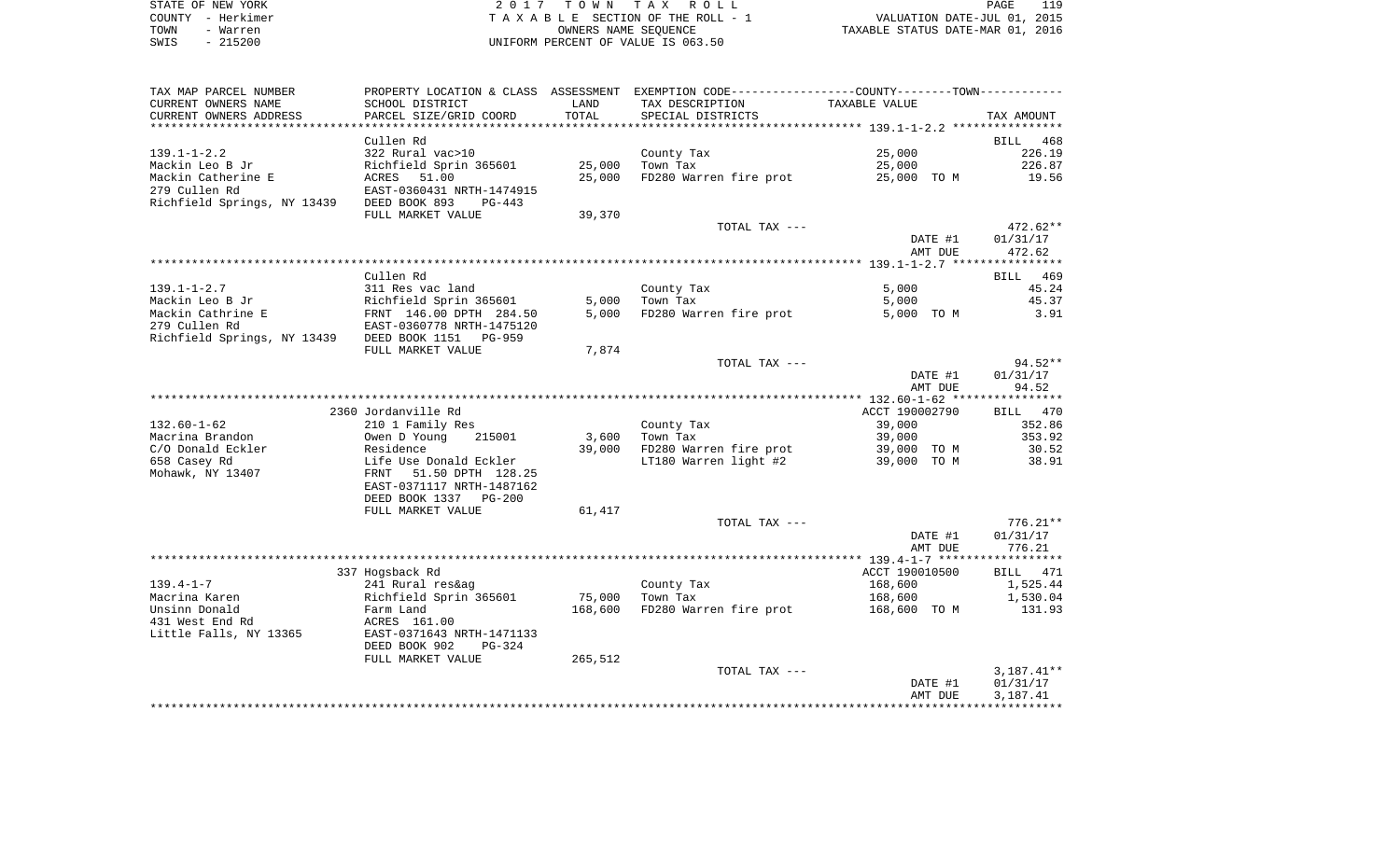| STATE OF NEW YORK | 2017 TOWN TAX ROLL                 | PAGE                             |
|-------------------|------------------------------------|----------------------------------|
| COUNTY - Herkimer | TAXABLE SECTION OF THE ROLL - 1    | VALUATION DATE-JUL 01, 2015      |
| TOWN<br>- Warren  | OWNERS NAME SEOUENCE               | TAXABLE STATUS DATE-MAR 01, 2016 |
| $-215200$<br>SWIS | UNIFORM PERCENT OF VALUE IS 063.50 |                                  |

| TAX MAP PARCEL NUMBER<br>CURRENT OWNERS NAME      | SCHOOL DISTRICT                                      | LAND    | PROPERTY LOCATION & CLASS ASSESSMENT EXEMPTION CODE----------------COUNTY--------TOWN-----------<br>TAX DESCRIPTION | TAXABLE VALUE  |            |
|---------------------------------------------------|------------------------------------------------------|---------|---------------------------------------------------------------------------------------------------------------------|----------------|------------|
| CURRENT OWNERS ADDRESS                            | PARCEL SIZE/GRID COORD                               | TOTAL   | SPECIAL DISTRICTS                                                                                                   |                | TAX AMOUNT |
|                                                   |                                                      |         |                                                                                                                     |                |            |
|                                                   | Cullen Rd                                            |         |                                                                                                                     |                | BILL 468   |
| $139.1 - 1 - 2.2$                                 | 322 Rural vac>10                                     |         | County Tax                                                                                                          | 25,000         | 226.19     |
| Mackin Leo B Jr                                   | Richfield Sprin 365601                               | 25,000  | Town Tax                                                                                                            | 25,000         | 226.87     |
| Mackin Catherine E                                | ACRES 51.00                                          | 25,000  | FD280 Warren fire prot                                                                                              | 25,000 TO M    | 19.56      |
| 279 Cullen Rd                                     | EAST-0360431 NRTH-1474915                            |         |                                                                                                                     |                |            |
| Richfield Springs, NY 13439 DEED BOOK 893         | PG-443                                               |         |                                                                                                                     |                |            |
|                                                   | FULL MARKET VALUE                                    | 39,370  |                                                                                                                     |                |            |
|                                                   |                                                      |         | TOTAL TAX ---                                                                                                       |                | $472.62**$ |
|                                                   |                                                      |         |                                                                                                                     | DATE #1        | 01/31/17   |
|                                                   |                                                      |         |                                                                                                                     | AMT DUE        | 472.62     |
|                                                   |                                                      |         |                                                                                                                     |                |            |
|                                                   | Cullen Rd                                            |         |                                                                                                                     |                | BILL 469   |
| 139.1-1-2.7                                       | 311 Res vac land                                     |         | County Tax                                                                                                          | 5,000          | 45.24      |
| Mackin Leo B Jr                                   | Richfield Sprin 365601                               | 5,000   | Town Tax                                                                                                            | 5,000          | 45.37      |
| Mackin Cathrine E                                 |                                                      | 5,000   | FD280 Warren fire prot                                                                                              | 5,000 TO M     | 3.91       |
| 279 Cullen Rd                                     | FRNT 146.00 DPTH 284.50<br>EAST-0360778 NRTH-1475120 |         |                                                                                                                     |                |            |
| Richfield Springs, NY 13439 DEED BOOK 1151 PG-959 |                                                      |         |                                                                                                                     |                |            |
|                                                   | FULL MARKET VALUE                                    | 7,874   |                                                                                                                     |                |            |
|                                                   |                                                      |         | TOTAL TAX ---                                                                                                       |                | 94.52**    |
|                                                   |                                                      |         |                                                                                                                     | DATE #1        | 01/31/17   |
|                                                   |                                                      |         |                                                                                                                     | AMT DUE        | 94.52      |
|                                                   |                                                      |         |                                                                                                                     |                |            |
|                                                   | 2360 Jordanville Rd                                  |         |                                                                                                                     | ACCT 190002790 | BILL 470   |
| $132.60 - 1 - 62$                                 | 210 1 Family Res                                     |         | County Tax                                                                                                          | 39,000         | 352.86     |
| Macrina Brandon                                   | 215001<br>Owen D Young                               | 3,600   | Town Tax                                                                                                            | 39,000         | 353.92     |
| C/O Donald Eckler                                 | Residence                                            | 39,000  | FD280 Warren fire prot                                                                                              | 39,000 TO M    | 30.52      |
| 658 Casey Rd                                      |                                                      |         | LT180 Warren light #2                                                                                               | 39,000 TO M    | 38.91      |
| Mohawk, NY 13407                                  | Life Use Donald Eckler<br>FRNT   51.50 DPTH  128.25  |         |                                                                                                                     |                |            |
|                                                   | EAST-0371117 NRTH-1487162                            |         |                                                                                                                     |                |            |
|                                                   | DEED BOOK 1337 PG-200                                |         |                                                                                                                     |                |            |
|                                                   | FULL MARKET VALUE                                    | 61,417  |                                                                                                                     |                |            |
|                                                   |                                                      |         | TOTAL TAX ---                                                                                                       |                | $776.21**$ |
|                                                   |                                                      |         |                                                                                                                     | DATE #1        | 01/31/17   |
|                                                   |                                                      |         |                                                                                                                     | AMT DUE        | 776.21     |
|                                                   |                                                      |         |                                                                                                                     |                |            |
|                                                   | 337 Hogsback Rd                                      |         |                                                                                                                     | ACCT 190010500 | BILL 471   |
| 139.4-1-7                                         | 241 Rural res&ag                                     |         | County Tax<br>Town Tax                                                                                              | 168,600        | 1,525.44   |
| Macrina Karen                                     | Richfield Sprin 365601                               | 75,000  |                                                                                                                     | 168,600        | 1,530.04   |
| Unsinn Donald                                     | Farm Land                                            |         | 168,600 FD280 Warren fire prot                                                                                      | 168,600 TO M   | 131.93     |
| 431 West End Rd                                   | ACRES 161.00                                         |         |                                                                                                                     |                |            |
| Little Falls, NY 13365                            | EAST-0371643 NRTH-1471133                            |         |                                                                                                                     |                |            |
|                                                   | DEED BOOK 902<br>PG-324                              |         |                                                                                                                     |                |            |
|                                                   | FULL MARKET VALUE                                    | 265,512 |                                                                                                                     |                |            |
|                                                   |                                                      |         | TOTAL TAX ---                                                                                                       |                | 3,187.41** |
|                                                   |                                                      |         |                                                                                                                     | DATE #1        | 01/31/17   |
|                                                   |                                                      |         |                                                                                                                     | AMT DUE        | 3,187.41   |
|                                                   |                                                      |         |                                                                                                                     |                |            |
|                                                   |                                                      |         |                                                                                                                     |                |            |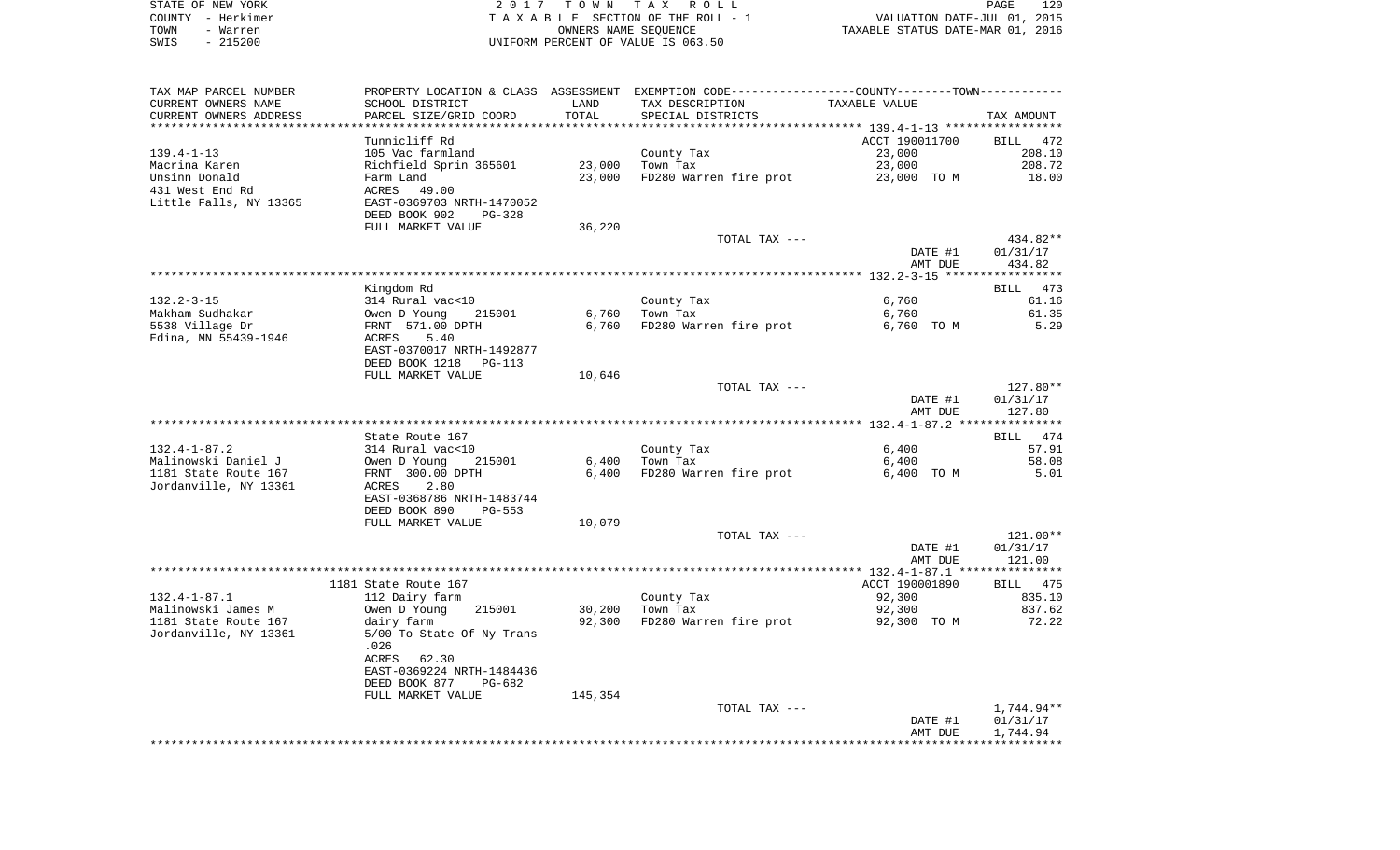| STATE OF NEW YORK |                                    | 2017 TOWN TAX ROLL              |                                  | <b>PAGE</b> | 120 |
|-------------------|------------------------------------|---------------------------------|----------------------------------|-------------|-----|
| COUNTY - Herkimer |                                    | TAXABLE SECTION OF THE ROLL - 1 | VALUATION DATE-JUL 01, 2015      |             |     |
| TOWN<br>- Warren  | OWNERS NAME SEOUENCE               |                                 | TAXABLE STATUS DATE-MAR 01, 2016 |             |     |
| - 215200<br>SWIS  | UNIFORM PERCENT OF VALUE IS 063.50 |                                 |                                  |             |     |

| TAX MAP PARCEL NUMBER  | PROPERTY LOCATION & CLASS ASSESSMENT EXEMPTION CODE----------------COUNTY-------TOWN---------- |         |                        |                |                    |
|------------------------|------------------------------------------------------------------------------------------------|---------|------------------------|----------------|--------------------|
| CURRENT OWNERS NAME    | SCHOOL DISTRICT                                                                                | LAND    | TAX DESCRIPTION        | TAXABLE VALUE  |                    |
| CURRENT OWNERS ADDRESS | PARCEL SIZE/GRID COORD                                                                         | TOTAL   | SPECIAL DISTRICTS      |                | TAX AMOUNT         |
|                        |                                                                                                |         |                        |                |                    |
|                        | Tunnicliff Rd                                                                                  |         |                        | ACCT 190011700 | BILL 472           |
| $139.4 - 1 - 13$       | 105 Vac farmland                                                                               |         | County Tax             | 23,000         | 208.10             |
| Macrina Karen          | Richfield Sprin 365601                                                                         | 23,000  | Town Tax               | 23,000         | 208.72             |
| Unsinn Donald          | Farm Land                                                                                      | 23,000  | FD280 Warren fire prot | 23,000 TO M    | 18.00              |
| 431 West End Rd        | 49.00<br>ACRES                                                                                 |         |                        |                |                    |
| Little Falls, NY 13365 | EAST-0369703 NRTH-1470052                                                                      |         |                        |                |                    |
|                        | DEED BOOK 902<br>PG-328                                                                        |         |                        |                |                    |
|                        | FULL MARKET VALUE                                                                              | 36,220  |                        |                |                    |
|                        |                                                                                                |         | TOTAL TAX ---          |                | 434.82**           |
|                        |                                                                                                |         |                        | DATE #1        | 01/31/17           |
|                        |                                                                                                |         |                        | AMT DUE        | 434.82             |
|                        |                                                                                                |         |                        |                | **********         |
|                        | Kingdom Rd                                                                                     |         |                        |                | <b>BILL</b><br>473 |
| $132.2 - 3 - 15$       |                                                                                                |         |                        |                | 61.16              |
| Makham Sudhakar        | 314 Rural vac<10                                                                               | 6,760   | County Tax<br>Town Tax | 6,760          | 61.35              |
|                        | Owen D Young<br>215001                                                                         |         |                        | 6,760          | 5.29               |
| 5538 Village Dr        | FRNT 571.00 DPTH                                                                               | 6,760   | FD280 Warren fire prot | 6,760 TO M     |                    |
| Edina, MN 55439-1946   | ACRES<br>5.40                                                                                  |         |                        |                |                    |
|                        | EAST-0370017 NRTH-1492877                                                                      |         |                        |                |                    |
|                        | DEED BOOK 1218<br>PG-113                                                                       |         |                        |                |                    |
|                        | FULL MARKET VALUE                                                                              | 10,646  |                        |                |                    |
|                        |                                                                                                |         | TOTAL TAX ---          |                | 127.80**           |
|                        |                                                                                                |         |                        | DATE #1        | 01/31/17           |
|                        |                                                                                                |         |                        | AMT DUE        | 127.80             |
|                        |                                                                                                |         |                        |                |                    |
|                        | State Route 167                                                                                |         |                        |                | BILL 474           |
| $132.4 - 1 - 87.2$     | 314 Rural vac<10                                                                               |         | County Tax             | 6,400          | 57.91              |
| Malinowski Daniel J    | Owen D Young<br>215001                                                                         | 6,400   | Town Tax               | 6,400          | 58.08              |
| 1181 State Route 167   | FRNT 300.00 DPTH                                                                               | 6,400   | FD280 Warren fire prot | 6,400 TO M     | 5.01               |
| Jordanville, NY 13361  | ACRES<br>2.80                                                                                  |         |                        |                |                    |
|                        | EAST-0368786 NRTH-1483744                                                                      |         |                        |                |                    |
|                        | DEED BOOK 890<br><b>PG-553</b>                                                                 |         |                        |                |                    |
|                        | FULL MARKET VALUE                                                                              | 10,079  |                        |                |                    |
|                        |                                                                                                |         | TOTAL TAX ---          |                | 121.00**           |
|                        |                                                                                                |         |                        | DATE #1        | 01/31/17           |
|                        |                                                                                                |         |                        | AMT DUE        | 121.00             |
|                        |                                                                                                |         |                        |                |                    |
|                        | 1181 State Route 167                                                                           |         |                        | ACCT 190001890 | <b>BILL</b> 475    |
| $132.4 - 1 - 87.1$     | 112 Dairy farm                                                                                 |         | County Tax             | 92,300         | 835.10             |
| Malinowski James M     | Owen D Young<br>215001                                                                         | 30,200  | Town Tax               | 92,300         | 837.62             |
| 1181 State Route 167   | dairy farm                                                                                     | 92,300  | FD280 Warren fire prot | 92,300 TO M    | 72.22              |
| Jordanville, NY 13361  | 5/00 To State Of Ny Trans                                                                      |         |                        |                |                    |
|                        | .026                                                                                           |         |                        |                |                    |
|                        | ACRES<br>62.30                                                                                 |         |                        |                |                    |
|                        | EAST-0369224 NRTH-1484436                                                                      |         |                        |                |                    |
|                        | DEED BOOK 877<br>PG-682                                                                        |         |                        |                |                    |
|                        | FULL MARKET VALUE                                                                              | 145,354 |                        |                |                    |
|                        |                                                                                                |         | TOTAL TAX ---          |                | 1,744.94**         |
|                        |                                                                                                |         |                        | DATE #1        | 01/31/17           |
|                        |                                                                                                |         |                        | AMT DUE        | 1,744.94           |
|                        |                                                                                                |         |                        |                |                    |
|                        |                                                                                                |         |                        |                |                    |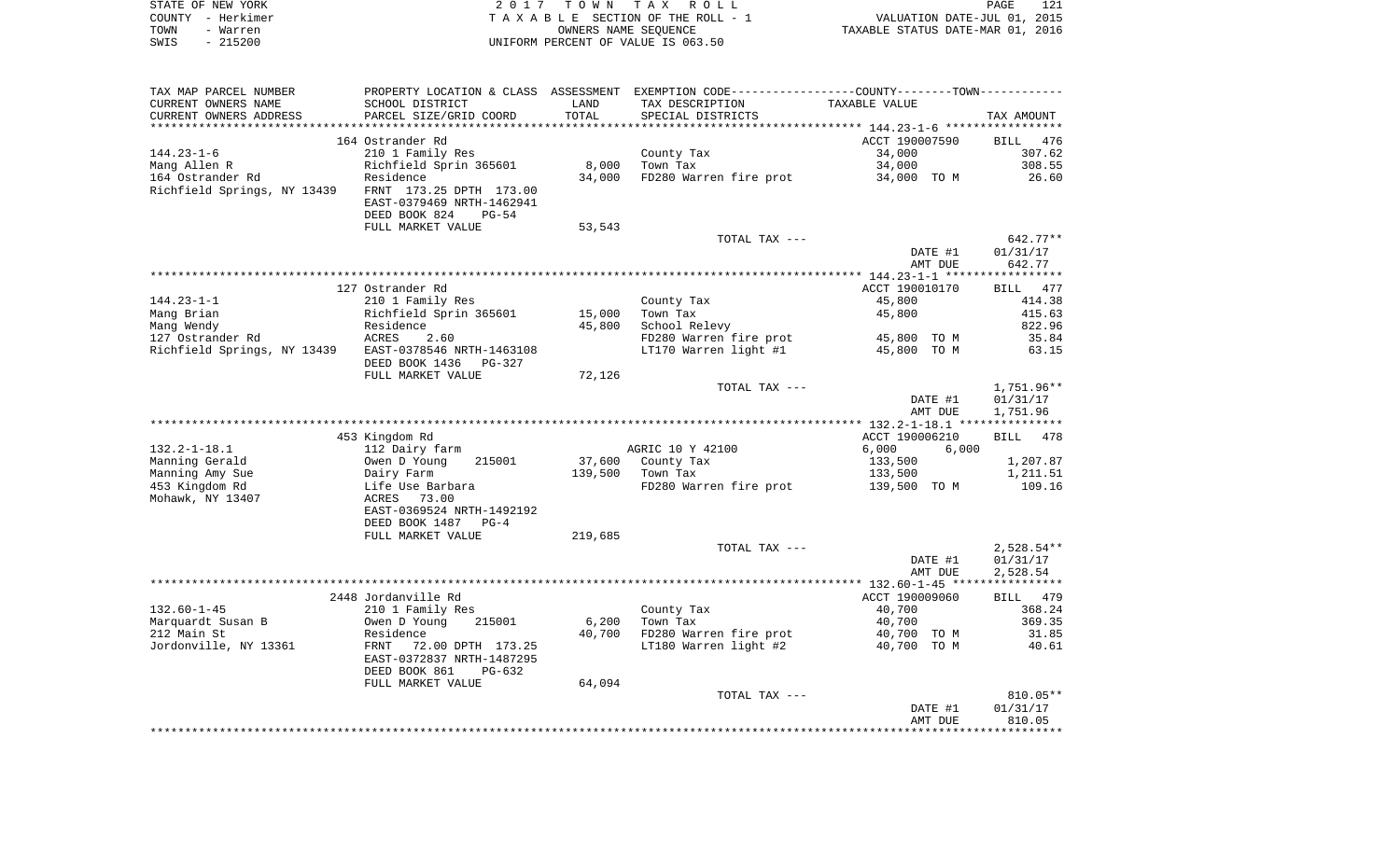|      | STATE OF NEW YORK | 2017 TOWN TAX ROLL                 | PAGE                             | 121 |
|------|-------------------|------------------------------------|----------------------------------|-----|
|      | COUNTY - Herkimer | TAXABLE SECTION OF THE ROLL - 1    | VALUATION DATE-JUL 01, 2015      |     |
| TOWN | - Warren          | OWNERS NAME SEOUENCE               | TAXABLE STATUS DATE-MAR 01, 2016 |     |
| SWIS | - 215200          | UNIFORM PERCENT OF VALUE IS 063.50 |                                  |     |

| TAX MAP PARCEL NUMBER                                 |                                                                                   |         | PROPERTY LOCATION & CLASS ASSESSMENT EXEMPTION CODE----------------COUNTY--------TOWN----------- |                |                          |
|-------------------------------------------------------|-----------------------------------------------------------------------------------|---------|--------------------------------------------------------------------------------------------------|----------------|--------------------------|
| CURRENT OWNERS NAME                                   | SCHOOL DISTRICT                                                                   | LAND    | TAX DESCRIPTION                                                                                  | TAXABLE VALUE  |                          |
| CURRENT OWNERS ADDRESS                                | PARCEL SIZE/GRID COORD                                                            | TOTAL   | SPECIAL DISTRICTS                                                                                |                | TAX AMOUNT               |
|                                                       |                                                                                   |         |                                                                                                  |                |                          |
|                                                       | 164 Ostrander Rd                                                                  |         |                                                                                                  | ACCT 190007590 | BILL 476                 |
| $144.23 - 1 - 6$                                      | 210 1 Family Res                                                                  |         | County Tax                                                                                       | 34,000         | 307.62                   |
| Mang Allen R                                          | Richfield Sprin 365601                                                            | 8,000   | Town Tax                                                                                         | 34,000         | 308.55                   |
| 164 Ostrander Rd                                      | Residence                                                                         | 34,000  | FD280 Warren fire prot                                                                           | 34,000 TO M    | 26.60                    |
| Richfield Springs, NY 13439                           | FRNT 173.25 DPTH 173.00<br>EAST-0379469 NRTH-1462941<br>DEED BOOK 824<br>$PG-54$  |         |                                                                                                  |                |                          |
|                                                       | FULL MARKET VALUE                                                                 | 53,543  |                                                                                                  |                |                          |
|                                                       |                                                                                   |         | TOTAL TAX ---                                                                                    |                | 642.77**                 |
|                                                       |                                                                                   |         |                                                                                                  | DATE #1        | 01/31/17                 |
|                                                       |                                                                                   |         |                                                                                                  | AMT DUE        | 642.77                   |
|                                                       | 127 Ostrander Rd                                                                  |         |                                                                                                  | ACCT 190010170 | BILL 477                 |
| $144.23 - 1 - 1$                                      |                                                                                   |         |                                                                                                  | 45,800         | 414.38                   |
| Mang Brian                                            | 210 1 Family Res<br>Richfield Sprin 365601                                        | 15,000  | County Tax<br>Town Tax                                                                           | 45,800         | 415.63                   |
| Mang Wendy                                            | Residence                                                                         | 45,800  | School Relevy                                                                                    |                | 822.96                   |
| 127 Ostrander Rd                                      | <b>ACRES</b><br>2.60                                                              |         | FD280 Warren fire prot                                                                           | 45,800 TO M    | 35.84                    |
| Richfield Springs, NY 13439 EAST-0378546 NRTH-1463108 |                                                                                   |         | LT170 Warren light #1                                                                            | 45,800 TO M    | 63.15                    |
|                                                       | DEED BOOK 1436<br>PG-327                                                          |         |                                                                                                  |                |                          |
|                                                       | FULL MARKET VALUE                                                                 | 72,126  |                                                                                                  |                |                          |
|                                                       |                                                                                   |         | TOTAL TAX ---                                                                                    | DATE #1        | $1,751.96**$<br>01/31/17 |
|                                                       |                                                                                   |         |                                                                                                  | AMT DUE        | 1,751.96                 |
|                                                       | 453 Kingdom Rd                                                                    |         |                                                                                                  | ACCT 190006210 | BILL 478                 |
| $132.2 - 1 - 18.1$                                    | 112 Dairy farm                                                                    |         | AGRIC 10 Y 42100                                                                                 | 6,000          | 6,000                    |
| Manning Gerald                                        | Owen D Young<br>215001                                                            | 37,600  | County Tax                                                                                       | 133,500        | 1,207.87                 |
| Manning Amy Sue                                       | Dairy Farm                                                                        | 139,500 | Town Tax                                                                                         | 133,500        | 1,211.51                 |
| 453 Kingdom Rd                                        | Life Use Barbara                                                                  |         | FD280 Warren fire prot                                                                           | 139,500 TO M   | 109.16                   |
| Mohawk, NY 13407                                      | ACRES<br>73.00<br>EAST-0369524 NRTH-1492192<br>DEED BOOK 1487<br>$PG-4$           |         |                                                                                                  |                |                          |
|                                                       | FULL MARKET VALUE                                                                 | 219,685 |                                                                                                  |                |                          |
|                                                       |                                                                                   |         | TOTAL TAX ---                                                                                    |                | $2,528.54**$             |
|                                                       |                                                                                   |         |                                                                                                  | DATE #1        | 01/31/17                 |
|                                                       |                                                                                   |         |                                                                                                  | AMT DUE        | 2,528.54                 |
|                                                       |                                                                                   |         |                                                                                                  |                |                          |
|                                                       | 2448 Jordanville Rd                                                               |         |                                                                                                  | ACCT 190009060 | BILL 479                 |
| $132.60 - 1 - 45$                                     | 210 1 Family Res                                                                  |         | County Tax                                                                                       | 40,700         | 368.24                   |
| Marquardt Susan B                                     | 215001<br>Owen D Young                                                            | 6,200   | Town Tax                                                                                         | 40,700         | 369.35                   |
| 212 Main St                                           | Residence                                                                         | 40,700  | FD280 Warren fire prot                                                                           | 40,700 TO M    | 31.85                    |
| Jordonville, NY 13361                                 | FRNT<br>72.00 DPTH 173.25<br>EAST-0372837 NRTH-1487295<br>DEED BOOK 861<br>PG-632 |         | LT180 Warren light #2                                                                            | 40,700 TO M    | 40.61                    |
|                                                       | FULL MARKET VALUE                                                                 | 64,094  |                                                                                                  |                |                          |
|                                                       |                                                                                   |         | TOTAL TAX ---                                                                                    |                | 810.05**                 |
|                                                       |                                                                                   |         |                                                                                                  | DATE #1        | 01/31/17                 |
|                                                       |                                                                                   |         |                                                                                                  | AMT DUE        | 810.05                   |
|                                                       |                                                                                   |         |                                                                                                  |                |                          |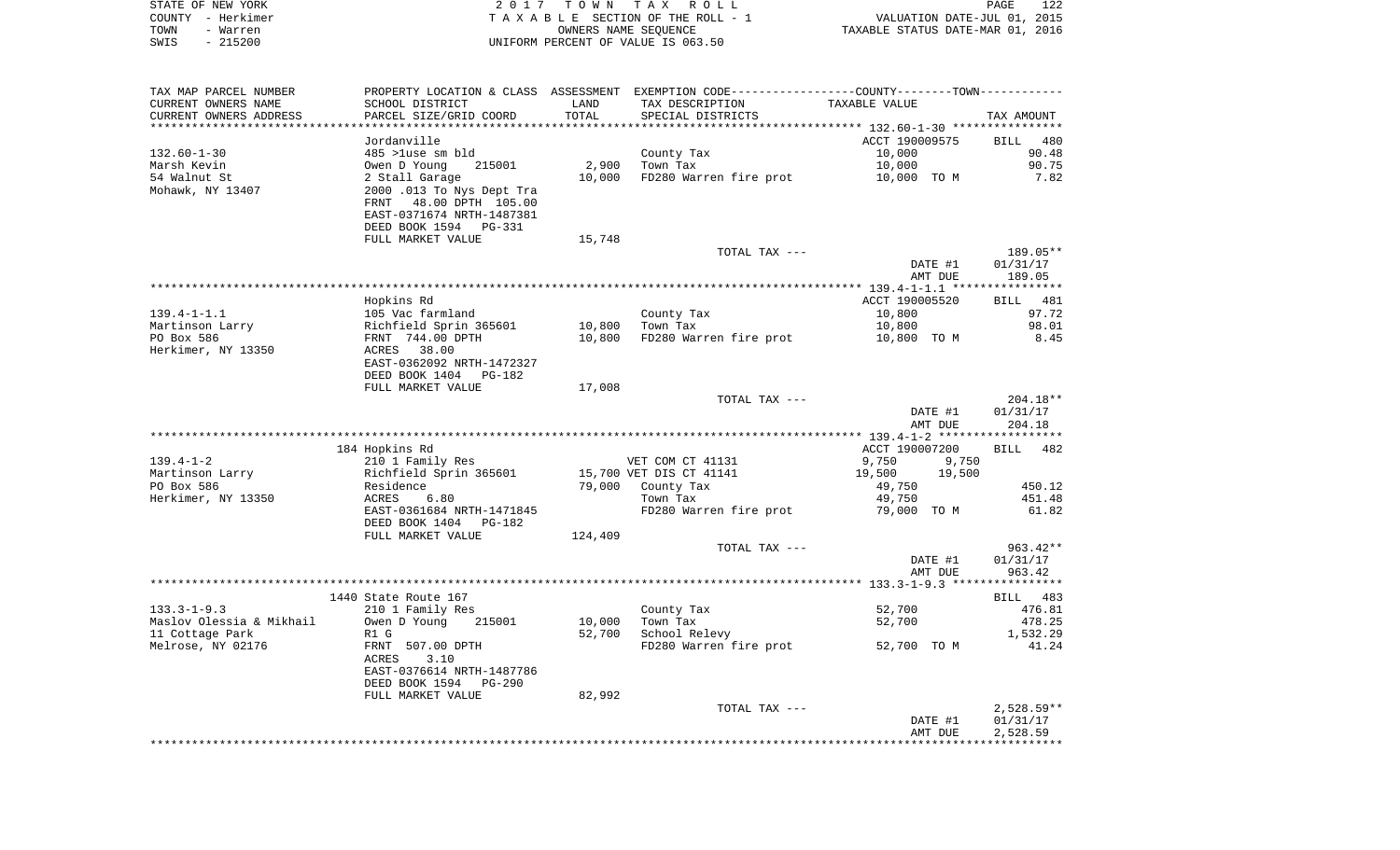| STATE OF NEW YORK | 2017 TOWN TAX ROLL                 | 122<br><b>PAGE</b>               |
|-------------------|------------------------------------|----------------------------------|
| COUNTY - Herkimer | TAXABLE SECTION OF THE ROLL - 1    | VALUATION DATE-JUL 01, 2015      |
| TOWN<br>- Warren  | OWNERS NAME SEOUENCE               | TAXABLE STATUS DATE-MAR 01, 2016 |
| $-215200$<br>SWIS | UNIFORM PERCENT OF VALUE IS 063.50 |                                  |

| TAX MAP PARCEL NUMBER    |                                                                                                                |         |                         | PROPERTY LOCATION & CLASS ASSESSMENT EXEMPTION CODE---------------COUNTY-------TOWN---------- |                                  |
|--------------------------|----------------------------------------------------------------------------------------------------------------|---------|-------------------------|-----------------------------------------------------------------------------------------------|----------------------------------|
| CURRENT OWNERS NAME      | SCHOOL DISTRICT                                                                                                | LAND    | TAX DESCRIPTION         | TAXABLE VALUE                                                                                 |                                  |
| CURRENT OWNERS ADDRESS   | PARCEL SIZE/GRID COORD                                                                                         | TOTAL   | SPECIAL DISTRICTS       |                                                                                               | TAX AMOUNT                       |
|                          |                                                                                                                |         |                         |                                                                                               |                                  |
|                          | Jordanville                                                                                                    |         |                         | ACCT 190009575                                                                                | BILL<br>480                      |
| $132.60 - 1 - 30$        | 485 >luse sm bld                                                                                               |         | County Tax              | 10,000                                                                                        | 90.48                            |
| Marsh Kevin              | Owen D Young<br>215001                                                                                         | 2,900   | Town Tax                | 10,000                                                                                        | 90.75                            |
| 54 Walnut St             | 2 Stall Garage                                                                                                 | 10,000  | FD280 Warren fire prot  | 10,000 TO M                                                                                   | 7.82                             |
| Mohawk, NY 13407         | 2000.013 To Nys Dept Tra<br>48.00 DPTH 105.00<br>FRNT<br>EAST-0371674 NRTH-1487381<br>DEED BOOK 1594<br>PG-331 |         |                         |                                                                                               |                                  |
|                          | FULL MARKET VALUE                                                                                              | 15,748  |                         |                                                                                               |                                  |
|                          |                                                                                                                |         | TOTAL TAX ---           |                                                                                               | 189.05**                         |
|                          |                                                                                                                |         |                         | DATE #1                                                                                       | 01/31/17                         |
|                          |                                                                                                                |         |                         | AMT DUE                                                                                       | 189.05                           |
|                          |                                                                                                                |         |                         | ***************** 139.4-1-1.1 ****************                                                |                                  |
|                          | Hopkins Rd                                                                                                     |         |                         | ACCT 190005520                                                                                | <b>BILL</b> 481                  |
| $139.4 - 1 - 1.1$        | 105 Vac farmland                                                                                               |         | County Tax              | 10,800                                                                                        | 97.72                            |
| Martinson Larry          | Richfield Sprin 365601                                                                                         | 10,800  | Town Tax                | 10,800                                                                                        | 98.01                            |
| PO Box 586               | FRNT 744.00 DPTH                                                                                               | 10,800  | FD280 Warren fire prot  | 10,800 TO M                                                                                   | 8.45                             |
| Herkimer, NY 13350       | 38.00<br>ACRES<br>EAST-0362092 NRTH-1472327                                                                    |         |                         |                                                                                               |                                  |
|                          | DEED BOOK 1404<br><b>PG-182</b>                                                                                |         |                         |                                                                                               |                                  |
|                          | FULL MARKET VALUE                                                                                              | 17,008  |                         |                                                                                               |                                  |
|                          |                                                                                                                |         | TOTAL TAX ---           |                                                                                               | $204.18**$                       |
|                          |                                                                                                                |         |                         | DATE #1<br>AMT DUE                                                                            | 01/31/17<br>204.18               |
|                          |                                                                                                                |         |                         |                                                                                               | *********                        |
|                          | 184 Hopkins Rd                                                                                                 |         |                         | ACCT 190007200                                                                                | 482<br><b>BILL</b>               |
| $139.4 - 1 - 2$          | 210 1 Family Res                                                                                               |         | VET COM CT 41131        | 9,750<br>9,750                                                                                |                                  |
| Martinson Larry          | Richfield Sprin 365601                                                                                         |         | 15,700 VET DIS CT 41141 | 19,500<br>19,500                                                                              |                                  |
| PO Box 586               | Residence                                                                                                      | 79,000  | County Tax              | 49,750                                                                                        | 450.12                           |
| Herkimer, NY 13350       | 6.80<br>ACRES                                                                                                  |         | Town Tax                | 49,750                                                                                        | 451.48                           |
|                          | EAST-0361684 NRTH-1471845<br>DEED BOOK 1404 PG-182                                                             |         | FD280 Warren fire prot  | 79,000 TO M                                                                                   | 61.82                            |
|                          | FULL MARKET VALUE                                                                                              | 124,409 |                         |                                                                                               |                                  |
|                          |                                                                                                                |         | TOTAL TAX ---           | DATE #1<br>AMT DUE                                                                            | $963.42**$<br>01/31/17<br>963.42 |
|                          |                                                                                                                |         |                         |                                                                                               | ***********                      |
|                          | 1440 State Route 167                                                                                           |         |                         |                                                                                               | BILL 483                         |
| $133.3 - 1 - 9.3$        | 210 1 Family Res                                                                                               |         | County Tax              | 52,700                                                                                        | 476.81                           |
| Maslov Olessia & Mikhail | Owen D Young<br>215001                                                                                         | 10,000  | Town Tax                | 52,700                                                                                        | 478.25                           |
| 11 Cottage Park          | R1 G                                                                                                           | 52,700  | School Relevy           |                                                                                               | 1,532.29                         |
| Melrose, NY 02176        | FRNT 507.00 DPTH<br>ACRES<br>3.10<br>EAST-0376614 NRTH-1487786<br>DEED BOOK 1594<br>PG-290                     |         | FD280 Warren fire prot  | 52,700 TO M                                                                                   | 41.24                            |
|                          | FULL MARKET VALUE                                                                                              | 82,992  |                         |                                                                                               |                                  |
|                          |                                                                                                                |         | TOTAL TAX ---           |                                                                                               | $2,528.59**$                     |
|                          |                                                                                                                |         |                         | DATE #1                                                                                       | 01/31/17                         |
|                          |                                                                                                                |         |                         | AMT DUE                                                                                       | 2,528.59                         |
|                          |                                                                                                                |         |                         |                                                                                               |                                  |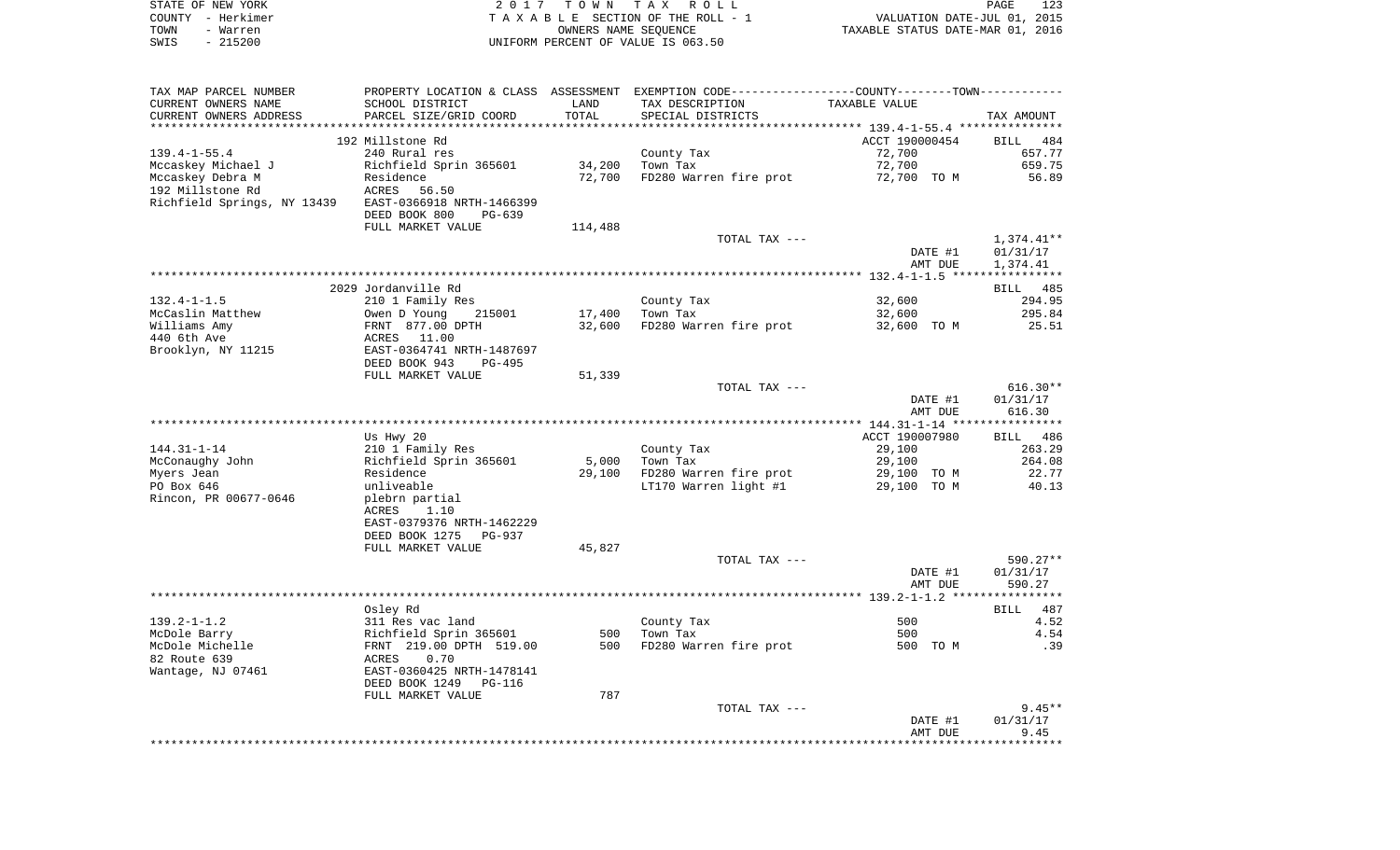|      | STATE OF NEW YORK | 2017 TOWN TAX ROLL                 | PAGE                             | 123 |
|------|-------------------|------------------------------------|----------------------------------|-----|
|      | COUNTY - Herkimer | TAXABLE SECTION OF THE ROLL - 1    | VALUATION DATE-JUL 01, 2015      |     |
| TOWN | - Warren          | OWNERS NAME SEOUENCE               | TAXABLE STATUS DATE-MAR 01, 2016 |     |
| SWIS | - 215200          | UNIFORM PERCENT OF VALUE IS 063.50 |                                  |     |

| TAX MAP PARCEL NUMBER       | PROPERTY LOCATION & CLASS ASSESSMENT EXEMPTION CODE---------------COUNTY-------TOWN--------- |         |                        |                |              |
|-----------------------------|----------------------------------------------------------------------------------------------|---------|------------------------|----------------|--------------|
| CURRENT OWNERS NAME         | SCHOOL DISTRICT                                                                              | LAND    | TAX DESCRIPTION        | TAXABLE VALUE  |              |
| CURRENT OWNERS ADDRESS      | PARCEL SIZE/GRID COORD                                                                       | TOTAL   | SPECIAL DISTRICTS      |                | TAX AMOUNT   |
|                             |                                                                                              |         |                        |                |              |
|                             | 192 Millstone Rd                                                                             |         |                        | ACCT 190000454 | BILL 484     |
| $139.4 - 1 - 55.4$          | 240 Rural res                                                                                |         | County Tax             | 72,700         | 657.77       |
| Mccaskey Michael J          | Richfield Sprin 365601                                                                       | 34,200  | Town Tax               | 72,700         | 659.75       |
| Mccaskey Debra M            | Residence                                                                                    | 72,700  | FD280 Warren fire prot | 72,700 TO M    | 56.89        |
| 192 Millstone Rd            | ACRES<br>56.50                                                                               |         |                        |                |              |
| Richfield Springs, NY 13439 | EAST-0366918 NRTH-1466399                                                                    |         |                        |                |              |
|                             | DEED BOOK 800<br>PG-639                                                                      |         |                        |                |              |
|                             | FULL MARKET VALUE                                                                            | 114,488 |                        |                |              |
|                             |                                                                                              |         | TOTAL TAX ---          |                | $1,374.41**$ |
|                             |                                                                                              |         |                        | DATE #1        | 01/31/17     |
|                             |                                                                                              |         |                        | AMT DUE        | 1,374.41     |
|                             |                                                                                              |         |                        |                |              |
|                             | 2029 Jordanville Rd                                                                          |         |                        |                | BILL 485     |
| $132.4 - 1 - 1.5$           | 210 1 Family Res                                                                             |         | County Tax             | 32,600         | 294.95       |
| McCaslin Matthew            | Owen D Young<br>215001                                                                       | 17,400  | Town Tax               | 32,600         | 295.84       |
| Williams Amy                | FRNT 877.00 DPTH                                                                             | 32,600  | FD280 Warren fire prot | 32,600 TO M    | 25.51        |
| 440 6th Ave                 | ACRES 11.00                                                                                  |         |                        |                |              |
|                             | EAST-0364741 NRTH-1487697                                                                    |         |                        |                |              |
| Brooklyn, NY 11215          |                                                                                              |         |                        |                |              |
|                             | DEED BOOK 943<br>PG-495                                                                      |         |                        |                |              |
|                             | FULL MARKET VALUE                                                                            | 51,339  |                        |                |              |
|                             |                                                                                              |         | TOTAL TAX ---          |                | $616.30**$   |
|                             |                                                                                              |         |                        | DATE #1        | 01/31/17     |
|                             |                                                                                              |         |                        | AMT DUE        | 616.30       |
|                             |                                                                                              |         |                        |                |              |
|                             | Us Hwy 20                                                                                    |         |                        | ACCT 190007980 | BILL 486     |
| $144.31 - 1 - 14$           | 210 1 Family Res                                                                             |         | County Tax             | 29,100         | 263.29       |
| McConaughy John             | Richfield Sprin 365601                                                                       | 5,000   | Town Tax               | 29,100         | 264.08       |
| Myers Jean                  | Residence                                                                                    | 29,100  | FD280 Warren fire prot | 29,100 TO M    | 22.77        |
| PO Box 646                  | unliveable                                                                                   |         | LT170 Warren light #1  | 29,100 TO M    | 40.13        |
| Rincon, PR 00677-0646       | plebrn partial                                                                               |         |                        |                |              |
|                             | 1.10<br>ACRES                                                                                |         |                        |                |              |
|                             | EAST-0379376 NRTH-1462229                                                                    |         |                        |                |              |
|                             | DEED BOOK 1275<br>PG-937                                                                     |         |                        |                |              |
|                             | FULL MARKET VALUE                                                                            | 45,827  |                        |                |              |
|                             |                                                                                              |         | TOTAL TAX ---          |                | 590.27**     |
|                             |                                                                                              |         |                        | DATE #1        | 01/31/17     |
|                             |                                                                                              |         |                        | AMT DUE        | 590.27       |
|                             |                                                                                              |         |                        |                |              |
|                             | Osley Rd                                                                                     |         |                        |                | BILL 487     |
| $139.2 - 1 - 1.2$           | 311 Res vac land                                                                             |         | County Tax             | 500            | 4.52         |
| McDole Barry                | Richfield Sprin 365601                                                                       | 500     | Town Tax               | 500            | 4.54         |
| McDole Michelle             | FRNT 219.00 DPTH 519.00                                                                      | 500     | FD280 Warren fire prot | 500 TO M       | .39          |
| 82 Route 639                | 0.70<br>ACRES                                                                                |         |                        |                |              |
| Wantage, NJ 07461           | EAST-0360425 NRTH-1478141                                                                    |         |                        |                |              |
|                             | DEED BOOK 1249<br>PG-116                                                                     |         |                        |                |              |
|                             | FULL MARKET VALUE                                                                            | 787     |                        |                |              |
|                             |                                                                                              |         | TOTAL TAX ---          |                | $9.45**$     |
|                             |                                                                                              |         |                        | DATE #1        | 01/31/17     |
|                             |                                                                                              |         |                        | AMT DUE        | 9.45         |
|                             |                                                                                              |         |                        |                |              |
|                             |                                                                                              |         |                        |                |              |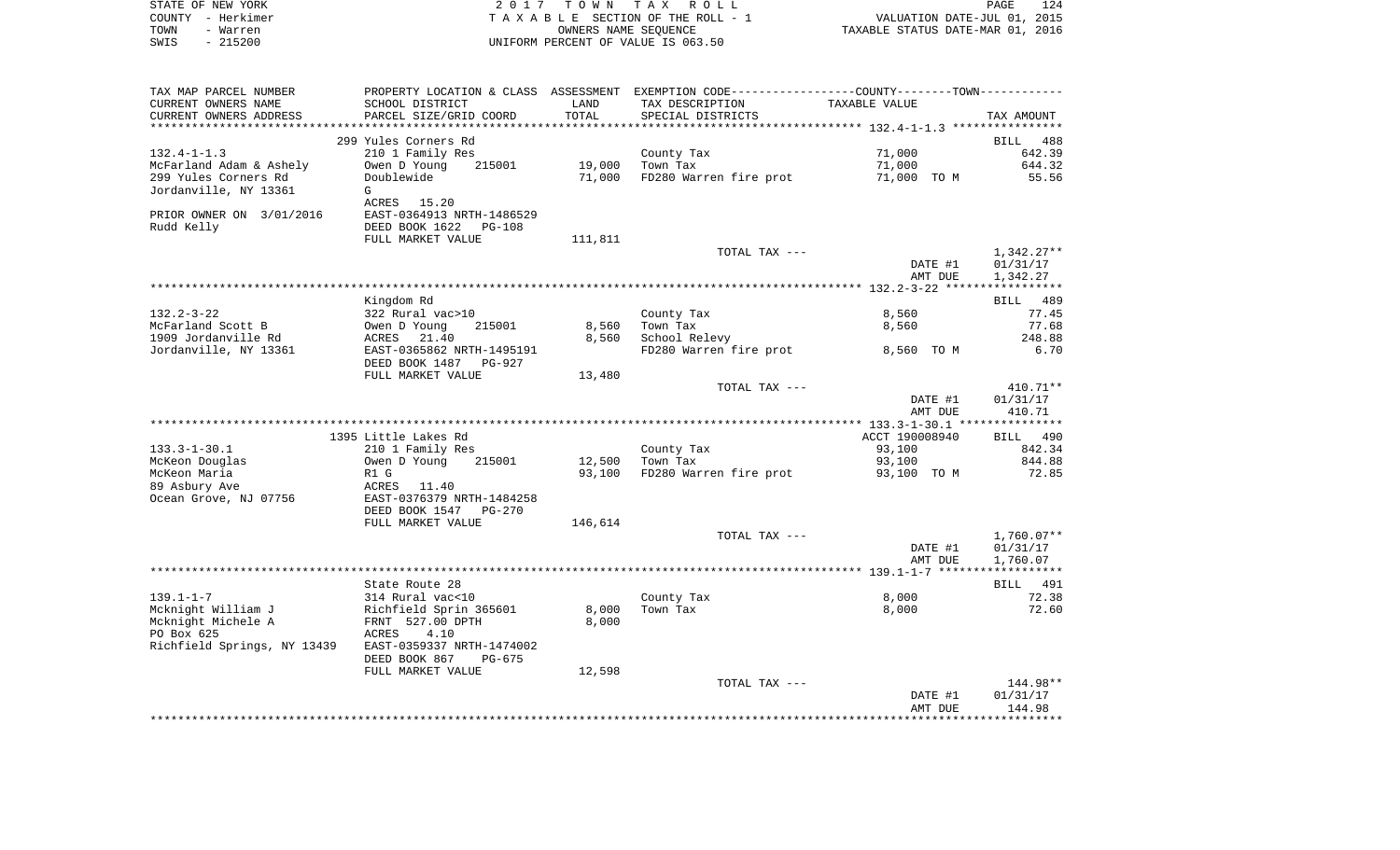| STATE OF NEW YORK<br>– Herkimer<br>COUNTY<br>TOWN<br>- Warren<br>SWIS<br>$-215200$ | T O W N<br>2017<br>TAX ROLL<br>TAXABLE SECTION OF THE ROLL - 1<br>OWNERS NAME SEOUENCE<br>UNIFORM PERCENT OF VALUE IS 063.50                                                                                |         |                                                    | VALUATION DATE-JUL 01, 2015<br>TAXABLE STATUS DATE-MAR 01, 2016 | 124<br>PAGE  |
|------------------------------------------------------------------------------------|-------------------------------------------------------------------------------------------------------------------------------------------------------------------------------------------------------------|---------|----------------------------------------------------|-----------------------------------------------------------------|--------------|
| TAX MAP PARCEL NUMBER<br>CURRENT OWNERS NAME<br>CURRENT OWNERS ADDRESS             | PROPERTY LOCATION & CLASS ASSESSMENT<br>SCHOOL DISTRICT<br><b>EXAMPLE SERVICE SERVICE SERVICE SERVICE SERVICE SERVICE SERVICE SERVICE SERVICE SERVICE SERVICE SERVICE SERVICE</b><br>PARCEL SIZE/GRID COORD | TOTAL   | TAX DESCRIPTION TAXABLE VALUE<br>SPECIAL DISTRICTS | EXEMPTION CODE----------------COUNTY-------TOWN-----------      | TAX AMOUNT   |
|                                                                                    | 299 Yules Corners Rd                                                                                                                                                                                        |         |                                                    |                                                                 | BILL 488     |
| $132.4 - 1 - 1.3$                                                                  | 210 1 Family Res                                                                                                                                                                                            |         | County Tax                                         | 71,000                                                          | 642.39       |
| McFarland Adam & Ashely                                                            | Owen D Young 215001 19,000                                                                                                                                                                                  |         | Town Tax                                           |                                                                 | 644.32       |
| 299 Yules Corners Rd                                                               | Doublewide                                                                                                                                                                                                  | 71,000  | FD280 Warren fire prot                             | 71,000 TO M                                                     | 55.56        |
| Jordanville, NY 13361                                                              | G                                                                                                                                                                                                           |         |                                                    |                                                                 |              |
|                                                                                    | 15.20<br>ACRES                                                                                                                                                                                              |         |                                                    |                                                                 |              |
| PRIOR OWNER ON 3/01/2016                                                           | EAST-0364913 NRTH-1486529<br>PG-108                                                                                                                                                                         |         |                                                    |                                                                 |              |
| Rudd Kelly                                                                         | DEED BOOK 1622<br>FULL MARKET VALUE                                                                                                                                                                         | 111,811 |                                                    |                                                                 |              |
|                                                                                    |                                                                                                                                                                                                             |         | TOTAL TAX ---                                      |                                                                 | $1.342.27**$ |

|                       |                           |        | TO TUTTE TUTT          |            |         | 1 <i>1 J 1 4 . 4 l</i> |
|-----------------------|---------------------------|--------|------------------------|------------|---------|------------------------|
|                       |                           |        |                        |            | DATE #1 | 01/31/17               |
|                       |                           |        |                        |            | AMT DUE | 1,342.27               |
|                       |                           |        |                        |            |         |                        |
|                       | Kingdom Rd                |        |                        |            |         | 489<br>BILL            |
| $132.2 - 3 - 22$      | 322 Rural vac>10          |        | County Tax             | 8,560      |         | 77.45                  |
| McFarland Scott B     | 215001<br>Owen D Young    | 8,560  | Town Tax               | 8,560      |         | 77.68                  |
| 1909 Jordanville Rd   | 21.40<br>ACRES            | 8,560  | School Relevy          |            |         | 248.88                 |
| Jordanville, NY 13361 | EAST-0365862 NRTH-1495191 |        | FD280 Warren fire prot | 8,560 TO M |         | 6.70                   |
|                       | DEED BOOK 1487<br>PG-927  |        |                        |            |         |                        |
|                       | FULL MARKET VALUE         | 13,480 |                        |            |         |                        |

|                             |                                 |         | TOTAL TAX ---          |                | $410.71**$   |
|-----------------------------|---------------------------------|---------|------------------------|----------------|--------------|
|                             |                                 |         |                        | DATE #1        | 01/31/17     |
|                             |                                 |         |                        | AMT DUE        | 410.71       |
|                             |                                 |         |                        |                |              |
|                             | 1395 Little Lakes Rd            |         |                        | ACCT 190008940 | BILL 490     |
| $133.3 - 1 - 30.1$          | 210 1 Family Res                |         | County Tax             | 93,100         | 842.34       |
| McKeon Douglas              | 215001<br>Owen D Young          | 12,500  | Town Tax               | 93,100         | 844.88       |
| McKeon Maria                | R1 G                            | 93,100  | FD280 Warren fire prot | 93,100 TO M    | 72.85        |
| 89 Asbury Ave               | ACRES<br>11.40                  |         |                        |                |              |
| Ocean Grove, NJ 07756       | EAST-0376379 NRTH-1484258       |         |                        |                |              |
|                             | DEED BOOK 1547<br><b>PG-270</b> |         |                        |                |              |
|                             | FULL MARKET VALUE               | 146,614 |                        |                |              |
|                             |                                 |         | TOTAL TAX ---          |                | $1,760.07**$ |
|                             |                                 |         |                        | DATE #1        | 01/31/17     |
|                             |                                 |         |                        | AMT DUE        | 1,760.07     |
|                             |                                 |         |                        |                |              |
|                             | State Route 28                  |         |                        |                | 491<br>BILL  |
| $139.1 - 1 - 7$             | 314 Rural vac<10                |         | County Tax             | 8,000          | 72.38        |
| Mcknight William J          | Richfield Sprin 365601          | 8,000   | Town Tax               | 8,000          | 72.60        |
| Mcknight Michele A          | FRNT 527.00 DPTH                | 8,000   |                        |                |              |
| PO Box 625                  | 4.10<br>ACRES                   |         |                        |                |              |
| Richfield Springs, NY 13439 | EAST-0359337 NRTH-1474002       |         |                        |                |              |
|                             | DEED BOOK 867<br>PG-675         |         |                        |                |              |
|                             | FULL MARKET VALUE               | 12,598  |                        |                |              |
|                             |                                 |         | TOTAL TAX ---          |                | 144.98**     |
|                             |                                 |         |                        | DATE #1        | 01/31/17     |
|                             |                                 |         |                        | AMT DUE        | 144.98       |
|                             |                                 |         |                        |                |              |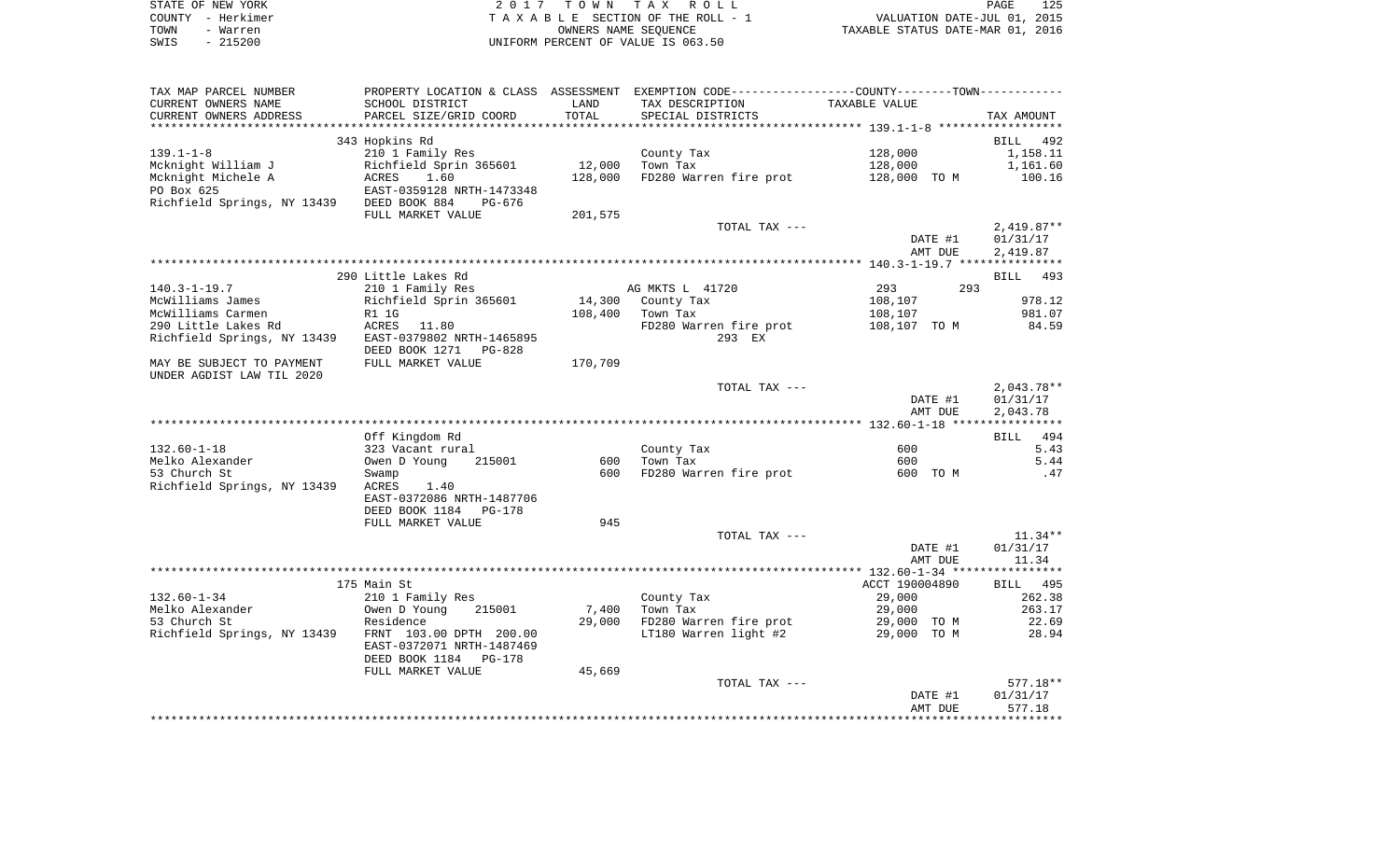| STATE OF NEW YORK | 2017 TOWN TAX ROLL                 | 125<br>PAGE                      |
|-------------------|------------------------------------|----------------------------------|
| COUNTY - Herkimer | TAXABLE SECTION OF THE ROLL - 1    | VALUATION DATE-JUL 01, 2015      |
| TOWN<br>- Warren  | OWNERS NAME SEOUENCE               | TAXABLE STATUS DATE-MAR 01, 2016 |
| $-215200$<br>SWIS | UNIFORM PERCENT OF VALUE IS 063.50 |                                  |

125<br>2015

| TAX MAP PARCEL NUMBER                                 |                           |         | PROPERTY LOCATION & CLASS ASSESSMENT EXEMPTION CODE---------------COUNTY-------TOWN---------- |                |              |
|-------------------------------------------------------|---------------------------|---------|-----------------------------------------------------------------------------------------------|----------------|--------------|
| CURRENT OWNERS NAME                                   | SCHOOL DISTRICT           | LAND    | TAX DESCRIPTION                                                                               | TAXABLE VALUE  |              |
| CURRENT OWNERS ADDRESS                                | PARCEL SIZE/GRID COORD    | TOTAL   | SPECIAL DISTRICTS                                                                             |                | TAX AMOUNT   |
|                                                       |                           |         |                                                                                               |                |              |
|                                                       | 343 Hopkins Rd            |         |                                                                                               |                | BILL 492     |
|                                                       |                           |         |                                                                                               |                |              |
| $139.1 - 1 - 8$                                       | 210 1 Family Res          |         | County Tax                                                                                    | 128,000        | 1,158.11     |
| Mcknight William J                                    | Richfield Sprin 365601    | 12,000  | Town Tax                                                                                      | 128,000        | 1,161.60     |
| Mcknight Michele A                                    | <b>ACRES</b><br>1.60      | 128,000 | FD280 Warren fire prot                                                                        | 128,000 TO M   | 100.16       |
| PO Box 625                                            | EAST-0359128 NRTH-1473348 |         |                                                                                               |                |              |
| Richfield Springs, NY 13439 DEED BOOK 884             | PG-676                    |         |                                                                                               |                |              |
|                                                       | FULL MARKET VALUE         | 201,575 |                                                                                               |                |              |
|                                                       |                           |         | TOTAL TAX ---                                                                                 |                | $2,419.87**$ |
|                                                       |                           |         |                                                                                               | DATE #1        | 01/31/17     |
|                                                       |                           |         |                                                                                               | AMT DUE        |              |
|                                                       |                           |         |                                                                                               |                | 2,419.87     |
|                                                       |                           |         |                                                                                               |                |              |
|                                                       | 290 Little Lakes Rd       |         |                                                                                               |                | BILL 493     |
| $140.3 - 1 - 19.7$                                    | 210 1 Family Res          |         | AG MKTS L 41720                                                                               | 293<br>293     |              |
| McWilliams James                                      | Richfield Sprin 365601    | 14,300  | County Tax                                                                                    | 108,107        | 978.12       |
| McWilliams Carmen                                     | R1 1G                     | 108,400 | Town Tax                                                                                      | 108,107        | 981.07       |
| 290 Little Lakes Rd                                   | ACRES 11.80               |         | FD280 Warren fire prot                                                                        | 108,107 TO M   | 84.59        |
| Richfield Springs, NY 13439 EAST-0379802 NRTH-1465895 |                           |         | 293 EX                                                                                        |                |              |
|                                                       | DEED BOOK 1271<br>PG-828  |         |                                                                                               |                |              |
|                                                       | FULL MARKET VALUE         | 170,709 |                                                                                               |                |              |
| MAY BE SUBJECT TO PAYMENT                             |                           |         |                                                                                               |                |              |
| UNDER AGDIST LAW TIL 2020                             |                           |         |                                                                                               |                |              |
|                                                       |                           |         | TOTAL TAX ---                                                                                 |                | $2,043.78**$ |
|                                                       |                           |         |                                                                                               | DATE #1        | 01/31/17     |
|                                                       |                           |         |                                                                                               | AMT DUE        | 2,043.78     |
|                                                       |                           |         |                                                                                               |                |              |
|                                                       | Off Kingdom Rd            |         |                                                                                               |                | BILL 494     |
| $132.60 - 1 - 18$                                     | 323 Vacant rural          |         | County Tax                                                                                    | 600            | 5.43         |
| Melko Alexander                                       | 215001<br>Owen D Young    | 600     | Town Tax                                                                                      | 600            | 5.44         |
| 53 Church St                                          | Swamp                     | 600     | FD280 Warren fire prot                                                                        | 600 TO M       | .47          |
|                                                       |                           |         |                                                                                               |                |              |
| Richfield Springs, NY 13439                           | ACRES<br>1.40             |         |                                                                                               |                |              |
|                                                       | EAST-0372086 NRTH-1487706 |         |                                                                                               |                |              |
|                                                       | DEED BOOK 1184<br>PG-178  |         |                                                                                               |                |              |
|                                                       | FULL MARKET VALUE         | 945     |                                                                                               |                |              |
|                                                       |                           |         | TOTAL TAX ---                                                                                 |                | $11.34**$    |
|                                                       |                           |         |                                                                                               | DATE #1        | 01/31/17     |
|                                                       |                           |         |                                                                                               | AMT DUE        | 11.34        |
|                                                       |                           |         |                                                                                               |                |              |
|                                                       | 175 Main St               |         |                                                                                               | ACCT 190004890 | BILL 495     |
| $132.60 - 1 - 34$                                     | 210 1 Family Res          |         | County Tax                                                                                    | 29,000         | 262.38       |
| Melko Alexander                                       | 215001                    | 7,400   | Town Tax                                                                                      |                | 263.17       |
|                                                       | Owen D Young              |         |                                                                                               | 29,000         |              |
| 53 Church St                                          | Residence                 | 29,000  | FD280 Warren fire prot                                                                        | 29,000 TO M    | 22.69        |
| Richfield Springs, NY 13439 FRNT 103.00 DPTH 200.00   |                           |         | LT180 Warren light #2                                                                         | 29,000 TO M    | 28.94        |
|                                                       | EAST-0372071 NRTH-1487469 |         |                                                                                               |                |              |
|                                                       | DEED BOOK 1184<br>PG-178  |         |                                                                                               |                |              |
|                                                       | FULL MARKET VALUE         | 45,669  |                                                                                               |                |              |
|                                                       |                           |         | TOTAL TAX ---                                                                                 |                | $577.18**$   |
|                                                       |                           |         |                                                                                               | DATE #1        | 01/31/17     |
|                                                       |                           |         |                                                                                               | AMT DUE        | 577.18       |
|                                                       |                           |         |                                                                                               |                |              |
|                                                       |                           |         |                                                                                               |                |              |
|                                                       |                           |         |                                                                                               |                |              |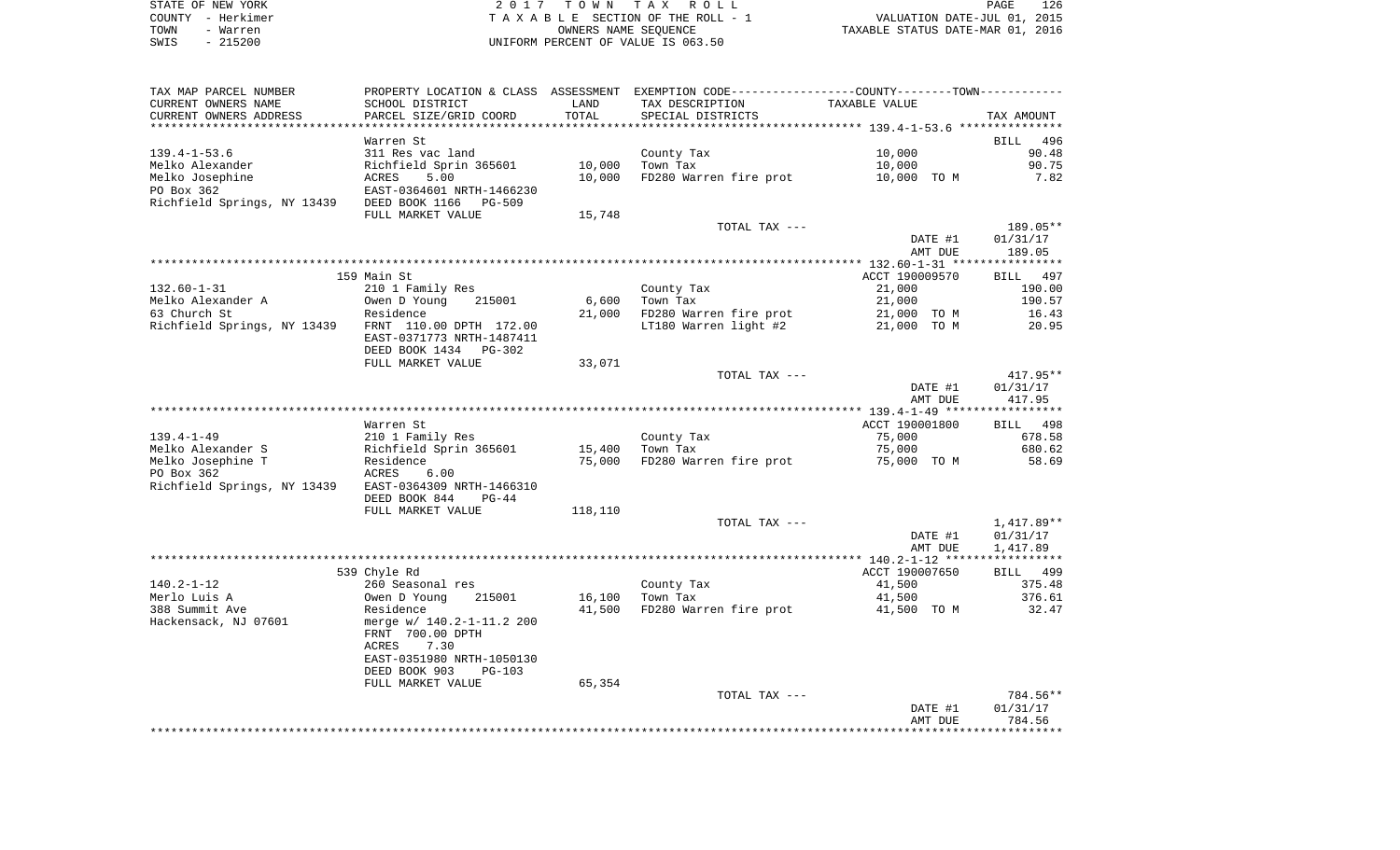| STATE OF NEW YORK |           | 2017 TOWN TAX ROLL                 |                      |  |                                  | PAGE | 126 |
|-------------------|-----------|------------------------------------|----------------------|--|----------------------------------|------|-----|
| COUNTY - Herkimer |           | TAXABLE SECTION OF THE ROLL - 1    |                      |  | VALUATION DATE-JUL 01, 2015      |      |     |
| TOWN              | - Warren  |                                    | OWNERS NAME SEOUENCE |  | TAXABLE STATUS DATE-MAR 01, 2016 |      |     |
| SWIS              | $-215200$ | UNIFORM PERCENT OF VALUE IS 063.50 |                      |  |                                  |      |     |

| TAX MAP PARCEL NUMBER                               |                           |         | PROPERTY LOCATION & CLASS ASSESSMENT EXEMPTION CODE----------------COUNTY-------TOWN---------- |                    |                    |
|-----------------------------------------------------|---------------------------|---------|------------------------------------------------------------------------------------------------|--------------------|--------------------|
| CURRENT OWNERS NAME                                 | SCHOOL DISTRICT           | LAND    | TAX DESCRIPTION                                                                                | TAXABLE VALUE      |                    |
| CURRENT OWNERS ADDRESS                              | PARCEL SIZE/GRID COORD    | TOTAL   | SPECIAL DISTRICTS                                                                              |                    | TAX AMOUNT         |
|                                                     |                           |         |                                                                                                |                    |                    |
|                                                     | Warren St                 |         |                                                                                                |                    | BILL<br>496        |
| $139.4 - 1 - 53.6$                                  | 311 Res vac land          |         | County Tax                                                                                     | 10,000             | 90.48              |
| Melko Alexander                                     | Richfield Sprin 365601    | 10,000  | Town Tax                                                                                       | 10,000             | 90.75              |
| Melko Josephine                                     | 5.00<br>ACRES             | 10,000  | FD280 Warren fire prot                                                                         | 10,000 TO M        | 7.82               |
| PO Box 362                                          | EAST-0364601 NRTH-1466230 |         |                                                                                                |                    |                    |
| Richfield Springs, NY 13439                         | DEED BOOK 1166<br>PG-509  |         |                                                                                                |                    |                    |
|                                                     | FULL MARKET VALUE         | 15,748  |                                                                                                |                    |                    |
|                                                     |                           |         | TOTAL TAX ---                                                                                  |                    | 189.05**           |
|                                                     |                           |         |                                                                                                | DATE #1            | 01/31/17           |
|                                                     |                           |         |                                                                                                | AMT DUE            | 189.05             |
|                                                     |                           |         |                                                                                                |                    |                    |
|                                                     | 159 Main St               |         |                                                                                                | ACCT 190009570     | BILL 497           |
| $132.60 - 1 - 31$                                   | 210 1 Family Res          |         | County Tax                                                                                     | 21,000             | 190.00             |
| Melko Alexander A                                   | Owen D Young<br>215001    | 6,600   | Town Tax                                                                                       | 21,000             | 190.57             |
| 63 Church St                                        | Residence                 | 21,000  | FD280 Warren fire prot                                                                         | 21,000 TO M        | 16.43              |
| Richfield Springs, NY 13439 FRNT 110.00 DPTH 172.00 |                           |         | LT180 Warren light #2                                                                          | 21,000 TO M        | 20.95              |
|                                                     | EAST-0371773 NRTH-1487411 |         |                                                                                                |                    |                    |
|                                                     | DEED BOOK 1434<br>PG-302  |         |                                                                                                |                    |                    |
|                                                     | FULL MARKET VALUE         | 33,071  |                                                                                                |                    |                    |
|                                                     |                           |         | TOTAL TAX ---                                                                                  |                    | $417.95**$         |
|                                                     |                           |         |                                                                                                | DATE #1<br>AMT DUE | 01/31/17<br>417.95 |
|                                                     |                           |         |                                                                                                |                    |                    |
|                                                     | Warren St                 |         |                                                                                                | ACCT 190001800     | BILL 498           |
| $139.4 - 1 - 49$                                    | 210 1 Family Res          |         | County Tax                                                                                     | 75,000             | 678.58             |
| Melko Alexander S                                   | Richfield Sprin 365601    | 15,400  | Town Tax                                                                                       | 75,000             | 680.62             |
| Melko Josephine T                                   | Residence                 | 75,000  | FD280 Warren fire prot                                                                         | 75,000 TO M        | 58.69              |
| PO Box 362                                          | ACRES<br>6.00             |         |                                                                                                |                    |                    |
| Richfield Springs, NY 13439                         | EAST-0364309 NRTH-1466310 |         |                                                                                                |                    |                    |
|                                                     | DEED BOOK 844<br>$PG-44$  |         |                                                                                                |                    |                    |
|                                                     | FULL MARKET VALUE         | 118,110 |                                                                                                |                    |                    |
|                                                     |                           |         | TOTAL TAX ---                                                                                  |                    | 1,417.89**         |
|                                                     |                           |         |                                                                                                | DATE #1            | 01/31/17           |
|                                                     |                           |         |                                                                                                | AMT DUE            | 1,417.89           |
|                                                     |                           |         |                                                                                                |                    |                    |
|                                                     | 539 Chyle Rd              |         |                                                                                                | ACCT 190007650     | BILL 499           |
| 140.2-1-12                                          | 260 Seasonal res          |         | County Tax                                                                                     | 41,500             | 375.48             |
| Merlo Luis A                                        | Owen D Young<br>215001    | 16,100  | Town Tax                                                                                       | 41,500             | 376.61             |
| 388 Summit Ave                                      | Residence                 | 41,500  | FD280 Warren fire prot                                                                         | 41,500 TO M        | 32.47              |
| Hackensack, NJ 07601                                | merge w/ 140.2-1-11.2 200 |         |                                                                                                |                    |                    |
|                                                     | FRNT 700.00 DPTH          |         |                                                                                                |                    |                    |
|                                                     | 7.30<br>ACRES             |         |                                                                                                |                    |                    |
|                                                     | EAST-0351980 NRTH-1050130 |         |                                                                                                |                    |                    |
|                                                     | DEED BOOK 903<br>PG-103   |         |                                                                                                |                    |                    |
|                                                     | FULL MARKET VALUE         | 65,354  |                                                                                                |                    |                    |
|                                                     |                           |         | TOTAL TAX ---                                                                                  |                    | 784.56**           |
|                                                     |                           |         |                                                                                                | DATE #1            | 01/31/17           |
|                                                     |                           |         |                                                                                                | AMT DUE            | 784.56             |
|                                                     |                           |         |                                                                                                |                    |                    |
|                                                     |                           |         |                                                                                                |                    |                    |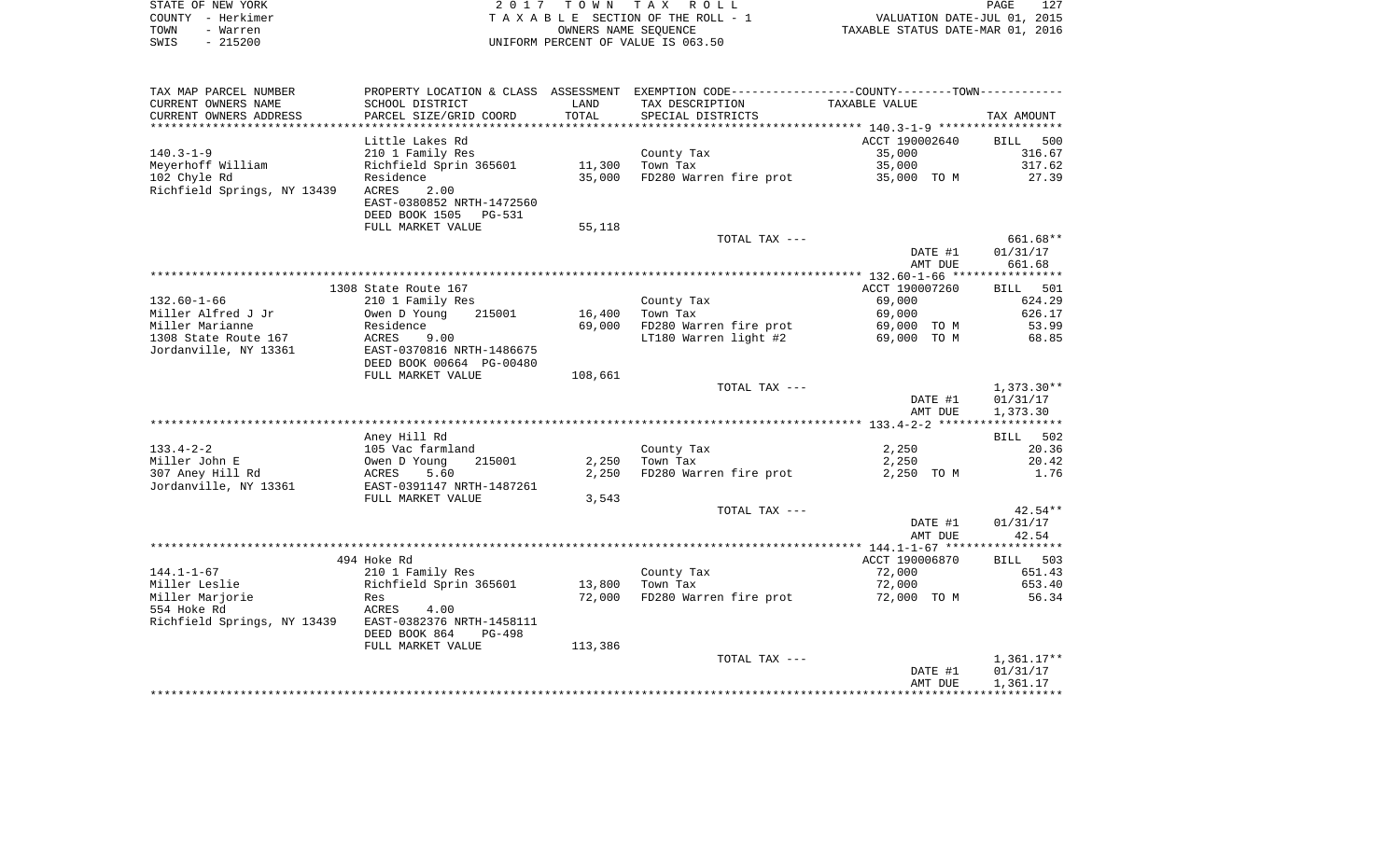|      | STATE OF NEW YORK | 2017 TOWN TAX ROLL                 | PAGE                             | 127 |
|------|-------------------|------------------------------------|----------------------------------|-----|
|      | COUNTY - Herkimer | TAXABLE SECTION OF THE ROLL - 1    | VALUATION DATE-JUL 01, 2015      |     |
| TOWN | - Warren          | OWNERS NAME SEOUENCE               | TAXABLE STATUS DATE-MAR 01, 2016 |     |
| SWIS | - 215200          | UNIFORM PERCENT OF VALUE IS 063.50 |                                  |     |

| TAX MAP PARCEL NUMBER       |                           |         | PROPERTY LOCATION & CLASS ASSESSMENT EXEMPTION CODE---------------COUNTY-------TOWN---------- |                |              |
|-----------------------------|---------------------------|---------|-----------------------------------------------------------------------------------------------|----------------|--------------|
| CURRENT OWNERS NAME         | SCHOOL DISTRICT           | LAND    | TAX DESCRIPTION                                                                               | TAXABLE VALUE  |              |
| CURRENT OWNERS ADDRESS      | PARCEL SIZE/GRID COORD    | TOTAL   | SPECIAL DISTRICTS                                                                             |                | TAX AMOUNT   |
|                             |                           |         |                                                                                               |                |              |
|                             | Little Lakes Rd           |         |                                                                                               | ACCT 190002640 | BILL<br>500  |
| $140.3 - 1 - 9$             | 210 1 Family Res          |         | County Tax                                                                                    | 35,000         | 316.67       |
| Meyerhoff William           | Richfield Sprin 365601    | 11,300  | Town Tax                                                                                      | 35,000         | 317.62       |
| 102 Chyle Rd                | Residence                 | 35,000  | FD280 Warren fire prot                                                                        | 35,000 TO M    | 27.39        |
| Richfield Springs, NY 13439 | 2.00<br>ACRES             |         |                                                                                               |                |              |
|                             | EAST-0380852 NRTH-1472560 |         |                                                                                               |                |              |
|                             | DEED BOOK 1505 PG-531     |         |                                                                                               |                |              |
|                             | FULL MARKET VALUE         | 55,118  |                                                                                               |                |              |
|                             |                           |         | TOTAL TAX ---                                                                                 |                | 661.68**     |
|                             |                           |         |                                                                                               | DATE #1        | 01/31/17     |
|                             |                           |         |                                                                                               | AMT DUE        | 661.68       |
|                             |                           |         |                                                                                               |                |              |
|                             | 1308 State Route 167      |         |                                                                                               | ACCT 190007260 | BILL 501     |
| $132.60 - 1 - 66$           | 210 1 Family Res          |         | County Tax                                                                                    | 69,000         | 624.29       |
| Miller Alfred J Jr          | 215001<br>Owen D Young    | 16,400  | Town Tax                                                                                      | 69,000         | 626.17       |
| Miller Marianne             | Residence                 | 69,000  | FD280 Warren fire prot                                                                        | 69,000 TO M    | 53.99        |
| 1308 State Route 167        | ACRES<br>9.00             |         | LT180 Warren light #2                                                                         | 69,000 TO M    | 68.85        |
| Jordanville, NY 13361       | EAST-0370816 NRTH-1486675 |         |                                                                                               |                |              |
|                             | DEED BOOK 00664 PG-00480  |         |                                                                                               |                |              |
|                             | FULL MARKET VALUE         | 108,661 |                                                                                               |                |              |
|                             |                           |         | TOTAL TAX ---                                                                                 |                | 1,373.30**   |
|                             |                           |         |                                                                                               | DATE #1        | 01/31/17     |
|                             |                           |         |                                                                                               | AMT DUE        | 1,373.30     |
|                             |                           |         |                                                                                               |                |              |
|                             | Aney Hill Rd              |         |                                                                                               |                | BILL 502     |
| $133.4 - 2 - 2$             | 105 Vac farmland          |         | County Tax                                                                                    | 2,250          | 20.36        |
| Miller John E               | 215001<br>Owen D Young    | 2,250   | Town Tax                                                                                      | 2,250          | 20.42        |
| 307 Aney Hill Rd            | ACRES<br>5.60             | 2,250   | FD280 Warren fire prot                                                                        | 2,250 TO M     | 1.76         |
| Jordanville, NY 13361       | EAST-0391147 NRTH-1487261 |         |                                                                                               |                |              |
|                             | FULL MARKET VALUE         | 3,543   |                                                                                               |                |              |
|                             |                           |         | TOTAL TAX ---                                                                                 |                | $42.54**$    |
|                             |                           |         |                                                                                               | DATE #1        | 01/31/17     |
|                             |                           |         |                                                                                               | AMT DUE        | 42.54        |
|                             |                           |         |                                                                                               |                |              |
|                             | 494 Hoke Rd               |         |                                                                                               | ACCT 190006870 | BILL 503     |
| $144.1 - 1 - 67$            | 210 1 Family Res          |         | County Tax                                                                                    | 72,000         | 651.43       |
| Miller Leslie               | Richfield Sprin 365601    | 13,800  | Town Tax                                                                                      | 72,000         | 653.40       |
| Miller Marjorie             | Res                       | 72,000  | FD280 Warren fire prot                                                                        | 72,000 TO M    | 56.34        |
| 554 Hoke Rd                 | ACRES<br>4.00             |         |                                                                                               |                |              |
| Richfield Springs, NY 13439 | EAST-0382376 NRTH-1458111 |         |                                                                                               |                |              |
|                             | DEED BOOK 864<br>PG-498   |         |                                                                                               |                |              |
|                             | FULL MARKET VALUE         | 113,386 |                                                                                               |                |              |
|                             |                           |         | TOTAL TAX ---                                                                                 |                | $1,361.17**$ |
|                             |                           |         |                                                                                               | DATE #1        | 01/31/17     |
|                             |                           |         |                                                                                               | AMT DUE        | 1,361.17     |
|                             |                           |         |                                                                                               |                |              |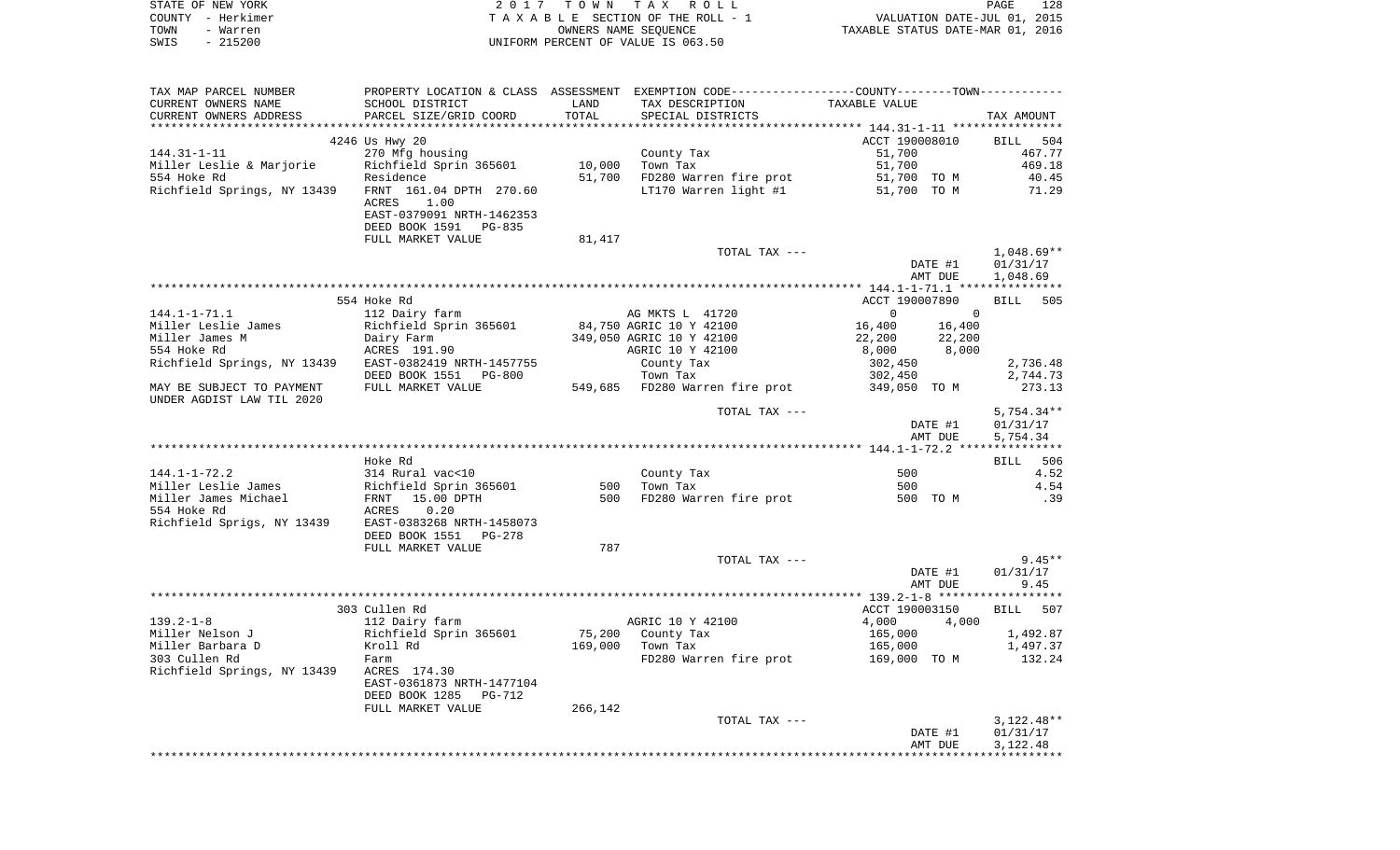| STATE OF NEW YORK | 2017 TOWN TAX ROLL                 | 128<br>PAGE                      |
|-------------------|------------------------------------|----------------------------------|
| COUNTY - Herkimer | TAXABLE SECTION OF THE ROLL - 1    | VALUATION DATE-JUL 01, 2015      |
| TOWN<br>- Warren  | OWNERS NAME SEOUENCE               | TAXABLE STATUS DATE-MAR 01, 2016 |
| - 215200<br>SWIS  | UNIFORM PERCENT OF VALUE IS 063.50 |                                  |

| TAX MAP PARCEL NUMBER                       |                                              |            |                                    | PROPERTY LOCATION & CLASS ASSESSMENT EXEMPTION CODE---------------COUNTY--------TOWN---------- |                      |
|---------------------------------------------|----------------------------------------------|------------|------------------------------------|------------------------------------------------------------------------------------------------|----------------------|
| CURRENT OWNERS NAME                         | SCHOOL DISTRICT                              | LAND       | TAX DESCRIPTION                    | TAXABLE VALUE                                                                                  |                      |
| CURRENT OWNERS ADDRESS                      | PARCEL SIZE/GRID COORD                       | TOTAL      | SPECIAL DISTRICTS                  |                                                                                                | TAX AMOUNT           |
|                                             |                                              |            |                                    |                                                                                                |                      |
|                                             | 4246 Us Hwy 20                               |            |                                    | ACCT 190008010                                                                                 | BILL<br>504          |
| $144.31 - 1 - 11$                           | 270 Mfg housing                              |            | County Tax                         | 51,700                                                                                         | 467.77               |
| Miller Leslie & Marjorie                    | Richfield Sprin 365601                       | 10,000     | Town Tax                           | 51,700                                                                                         | 469.18               |
| 554 Hoke Rd                                 | Residence                                    | 51,700     | FD280 Warren fire prot             | 51,700 TO M                                                                                    | 40.45                |
| Richfield Springs, NY 13439                 | FRNT 161.04 DPTH 270.60                      |            | LT170 Warren light #1              | 51,700 TO M                                                                                    | 71.29                |
|                                             | ACRES<br>1.00                                |            |                                    |                                                                                                |                      |
|                                             | EAST-0379091 NRTH-1462353                    |            |                                    |                                                                                                |                      |
|                                             | DEED BOOK 1591 PG-835<br>FULL MARKET VALUE   | 81,417     |                                    |                                                                                                |                      |
|                                             |                                              |            | TOTAL TAX ---                      |                                                                                                | $1,048.69**$         |
|                                             |                                              |            |                                    | DATE #1                                                                                        | 01/31/17             |
|                                             |                                              |            |                                    | AMT DUE                                                                                        | 1,048.69             |
|                                             |                                              |            |                                    |                                                                                                |                      |
|                                             | 554 Hoke Rd                                  |            |                                    | ACCT 190007890                                                                                 | 505<br>BILL          |
| $144.1 - 1 - 71.1$                          | 112 Dairy farm                               |            | AG MKTS L 41720                    | $\mathbf{0}$<br>$\Omega$                                                                       |                      |
| Miller Leslie James                         | Richfield Sprin 365601                       |            | 84,750 AGRIC 10 Y 42100            | 16,400<br>16,400                                                                               |                      |
| Miller James M                              | Dairy Farm                                   |            | 349,050 AGRIC 10 Y 42100           | 22,200<br>22,200                                                                               |                      |
| 554 Hoke Rd                                 | ACRES 191.90                                 |            | AGRIC 10 Y 42100                   | 8,000<br>8,000                                                                                 |                      |
| Richfield Springs, NY 13439                 | EAST-0382419 NRTH-1457755                    |            | County Tax                         | 302,450                                                                                        | 2,736.48             |
|                                             | DEED BOOK 1551 PG-800                        |            | Town Tax                           | 302,450                                                                                        | 2,744.73             |
| MAY BE SUBJECT TO PAYMENT                   | FULL MARKET VALUE                            |            | 549,685 FD280 Warren fire prot     | 349,050 TO M                                                                                   | 273.13               |
| UNDER AGDIST LAW TIL 2020                   |                                              |            |                                    |                                                                                                |                      |
|                                             |                                              |            | TOTAL TAX ---                      |                                                                                                | $5,754.34**$         |
|                                             |                                              |            |                                    | DATE #1                                                                                        | 01/31/17             |
|                                             |                                              |            |                                    | AMT DUE                                                                                        | 5,754.34             |
|                                             |                                              |            |                                    |                                                                                                |                      |
|                                             | Hoke Rd                                      |            |                                    |                                                                                                | 506<br><b>BILL</b>   |
| $144.1 - 1 - 72.2$                          | 314 Rural vac<10                             |            | County Tax                         | 500<br>500                                                                                     | 4.52<br>4.54         |
| Miller Leslie James<br>Miller James Michael | Richfield Sprin 365601<br>15.00 DPTH<br>FRNT | 500<br>500 | Town Tax<br>FD280 Warren fire prot | 500 TO M                                                                                       | .39                  |
| 554 Hoke Rd                                 | ACRES<br>0.20                                |            |                                    |                                                                                                |                      |
| Richfield Sprigs, NY 13439                  | EAST-0383268 NRTH-1458073                    |            |                                    |                                                                                                |                      |
|                                             | DEED BOOK 1551<br>PG-278                     |            |                                    |                                                                                                |                      |
|                                             | FULL MARKET VALUE                            | 787        |                                    |                                                                                                |                      |
|                                             |                                              |            | TOTAL TAX ---                      |                                                                                                | $9.45**$             |
|                                             |                                              |            |                                    | DATE #1                                                                                        | 01/31/17             |
|                                             |                                              |            |                                    | AMT DUE                                                                                        | 9.45                 |
|                                             |                                              |            |                                    |                                                                                                |                      |
|                                             | 303 Cullen Rd                                |            |                                    | ACCT 190003150                                                                                 | <b>BILL</b><br>507   |
| $139.2 - 1 - 8$                             | 112 Dairy farm                               |            | AGRIC 10 Y 42100                   | 4,000<br>4,000                                                                                 |                      |
| Miller Nelson J                             | Richfield Sprin 365601                       | 75,200     | County Tax                         | 165,000                                                                                        | 1,492.87             |
| Miller Barbara D                            | Kroll Rd                                     | 169,000    | Town Tax                           | 165,000                                                                                        | 1,497.37             |
| 303 Cullen Rd                               | Farm                                         |            | FD280 Warren fire prot             | 169,000 TO M                                                                                   | 132.24               |
| Richfield Springs, NY 13439                 | ACRES 174.30                                 |            |                                    |                                                                                                |                      |
|                                             | EAST-0361873 NRTH-1477104                    |            |                                    |                                                                                                |                      |
|                                             | DEED BOOK 1285<br><b>PG-712</b>              |            |                                    |                                                                                                |                      |
|                                             | FULL MARKET VALUE                            | 266,142    |                                    |                                                                                                |                      |
|                                             |                                              |            | TOTAL TAX ---                      |                                                                                                | $3,122.48**$         |
|                                             |                                              |            |                                    | DATE #1                                                                                        | 01/31/17<br>3,122.48 |
|                                             |                                              |            |                                    | AMT DUE                                                                                        |                      |
|                                             |                                              |            |                                    |                                                                                                |                      |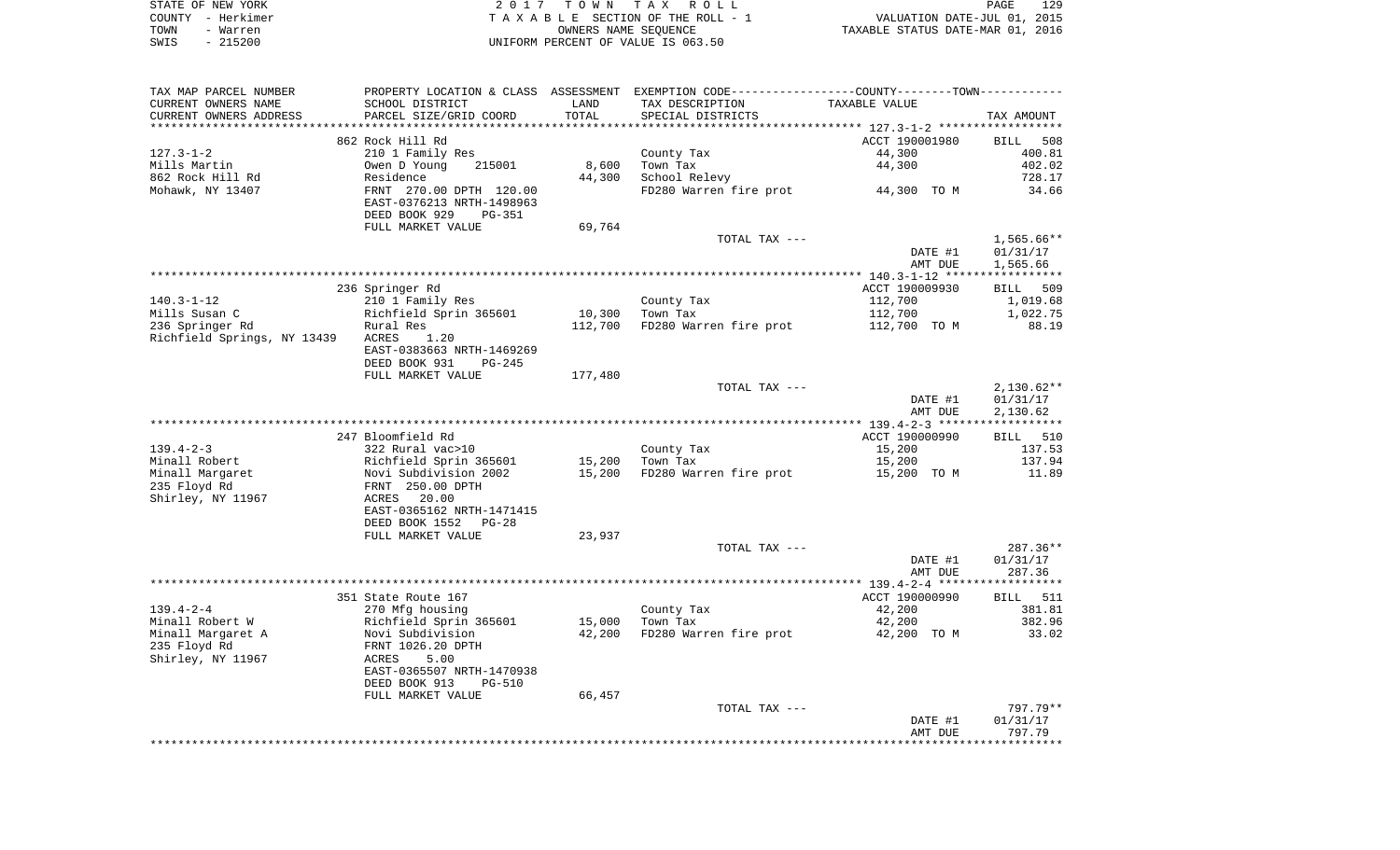| STATE OF NEW YORK | 2017 TOWN TAX ROLL                 | 129<br>PAGE                      |
|-------------------|------------------------------------|----------------------------------|
| COUNTY – Herkimer | TAXABLE SECTION OF THE ROLL - 1    | VALUATION DATE-JUL 01, 2015      |
| TOWN<br>- Warren  | OWNERS NAME SEOUENCE               | TAXABLE STATUS DATE-MAR 01, 2016 |
| - 215200<br>SWIS  | UNIFORM PERCENT OF VALUE IS 063.50 |                                  |

| CURRENT OWNERS NAME               |                                                      |                 | PROPERTY LOCATION & CLASS ASSESSMENT EXEMPTION CODE---------------COUNTY-------TOWN---------- |                |                                       |
|-----------------------------------|------------------------------------------------------|-----------------|-----------------------------------------------------------------------------------------------|----------------|---------------------------------------|
|                                   | SCHOOL DISTRICT                                      | LAND            | TAX DESCRIPTION                                                                               | TAXABLE VALUE  |                                       |
| CURRENT OWNERS ADDRESS            | PARCEL SIZE/GRID COORD                               | TOTAL           | SPECIAL DISTRICTS                                                                             |                | TAX AMOUNT                            |
|                                   |                                                      |                 |                                                                                               |                |                                       |
|                                   | 862 Rock Hill Rd                                     |                 |                                                                                               | ACCT 190001980 | BILL 508                              |
| $127.3 - 1 - 2$                   | 210 1 Family Res                                     |                 | County Tax                                                                                    | 44,300         | 400.81                                |
| Mills Martin                      | Owen D Young 215001                                  |                 | 8,600 Town Tax<br>44,300 School Relevy                                                        | 44,300         | 402.02                                |
| 862 Rock Hill Rd                  | Residence                                            |                 | FD280 Warren fire prot 44,300 TO M                                                            |                | 728.17                                |
| Mohawk, NY 13407                  | FRNT 270.00 DPTH 120.00<br>EAST-0376213 NRTH-1498963 |                 |                                                                                               |                | 34.66                                 |
|                                   | DEED BOOK 929<br>PG-351                              |                 |                                                                                               |                |                                       |
|                                   | FULL MARKET VALUE                                    | 69,764          |                                                                                               |                |                                       |
|                                   |                                                      |                 | TOTAL TAX ---                                                                                 |                | $1,565.66**$                          |
|                                   |                                                      |                 |                                                                                               | DATE #1        | 01/31/17                              |
|                                   |                                                      |                 |                                                                                               | AMT DUE        | 1,565.66                              |
|                                   |                                                      |                 |                                                                                               |                |                                       |
|                                   | 236 Springer Rd                                      |                 |                                                                                               | ACCT 190009930 | BILL 509                              |
| $140.3 - 1 - 12$                  | 210 1 Family Res                                     |                 | County Tax                                                                                    | 112,700        | 1,019.68                              |
| Mills Susan C                     | Richfield Sprin 365601                               | 10,300 Town Tax |                                                                                               | 112,700        | 1,022.75                              |
| 236 Springer Rd                   | Rural Res                                            |                 | 112,700 FD280 Warren fire prot                                                                | 112,700 TO M   | 88.19                                 |
| Richfield Springs, NY 13439       | ACRES<br>1.20                                        |                 |                                                                                               |                |                                       |
|                                   | EAST-0383663 NRTH-1469269                            |                 |                                                                                               |                |                                       |
|                                   | DEED BOOK 931<br>PG-245                              |                 |                                                                                               |                |                                       |
|                                   | FULL MARKET VALUE                                    | 177,480         |                                                                                               |                |                                       |
|                                   |                                                      |                 | TOTAL TAX ---                                                                                 |                | $2,130.62**$                          |
|                                   |                                                      |                 |                                                                                               | DATE #1        | 01/31/17                              |
|                                   |                                                      |                 |                                                                                               | AMT DUE        | 2,130.62                              |
|                                   |                                                      |                 |                                                                                               |                |                                       |
|                                   | 247 Bloomfield Rd                                    |                 |                                                                                               | ACCT 190000990 | BILL 510                              |
| $139.4 - 2 - 3$                   | 322 Rural vac>10                                     |                 | County Tax<br>15,200   Town Tax                                                               | 15,200         | 137.53                                |
|                                   | Richfield Sprin 365601                               |                 |                                                                                               | 15,200         |                                       |
| Minall Robert                     |                                                      |                 |                                                                                               |                | 137.94                                |
| Minall Margaret                   | Novi Subdivision 2002                                | 15,200          | FD280 Warren fire prot 15,200 TO M                                                            |                | 11.89                                 |
| 235 Floyd Rd                      | FRNT 250.00 DPTH                                     |                 |                                                                                               |                |                                       |
|                                   | ACRES 20.00                                          |                 |                                                                                               |                |                                       |
| Shirley, NY 11967                 | EAST-0365162 NRTH-1471415                            |                 |                                                                                               |                |                                       |
|                                   | DEED BOOK 1552 PG-28                                 |                 |                                                                                               |                |                                       |
|                                   | FULL MARKET VALUE                                    | 23,937          |                                                                                               |                |                                       |
|                                   |                                                      |                 | TOTAL TAX ---                                                                                 |                |                                       |
|                                   |                                                      |                 |                                                                                               | DATE #1        | $287.36**$<br>01/31/17                |
|                                   |                                                      |                 |                                                                                               | AMT DUE        | 287.36                                |
|                                   |                                                      |                 |                                                                                               |                |                                       |
|                                   | 351 State Route 167                                  |                 |                                                                                               | ACCT 190000990 |                                       |
| $139.4 - 2 - 4$                   | 270 Mfg housing                                      |                 | County Tax                                                                                    | 42,200         |                                       |
| Minall Robert W                   | Richfield Sprin 365601                               | 15,000 Town Tax |                                                                                               | 42,200         |                                       |
| Minall Margaret A                 | Novi Subdivision                                     |                 | 42,200 FD280 Warren fire prot                                                                 | 42,200 TO M    |                                       |
|                                   | FRNT 1026.20 DPTH                                    |                 |                                                                                               |                |                                       |
| 235 Floyd Rd<br>Shirley, NY 11967 | 5.00<br>ACRES                                        |                 |                                                                                               |                |                                       |
|                                   | EAST-0365507 NRTH-1470938                            |                 |                                                                                               |                |                                       |
|                                   | DEED BOOK 913<br><b>PG-510</b>                       |                 |                                                                                               |                |                                       |
|                                   | FULL MARKET VALUE                                    | 66,457          |                                                                                               |                | BILL 511<br>381.81<br>382.96<br>33.02 |
|                                   |                                                      |                 | TOTAL TAX ---                                                                                 | DATE #1        | 797.79**<br>01/31/17                  |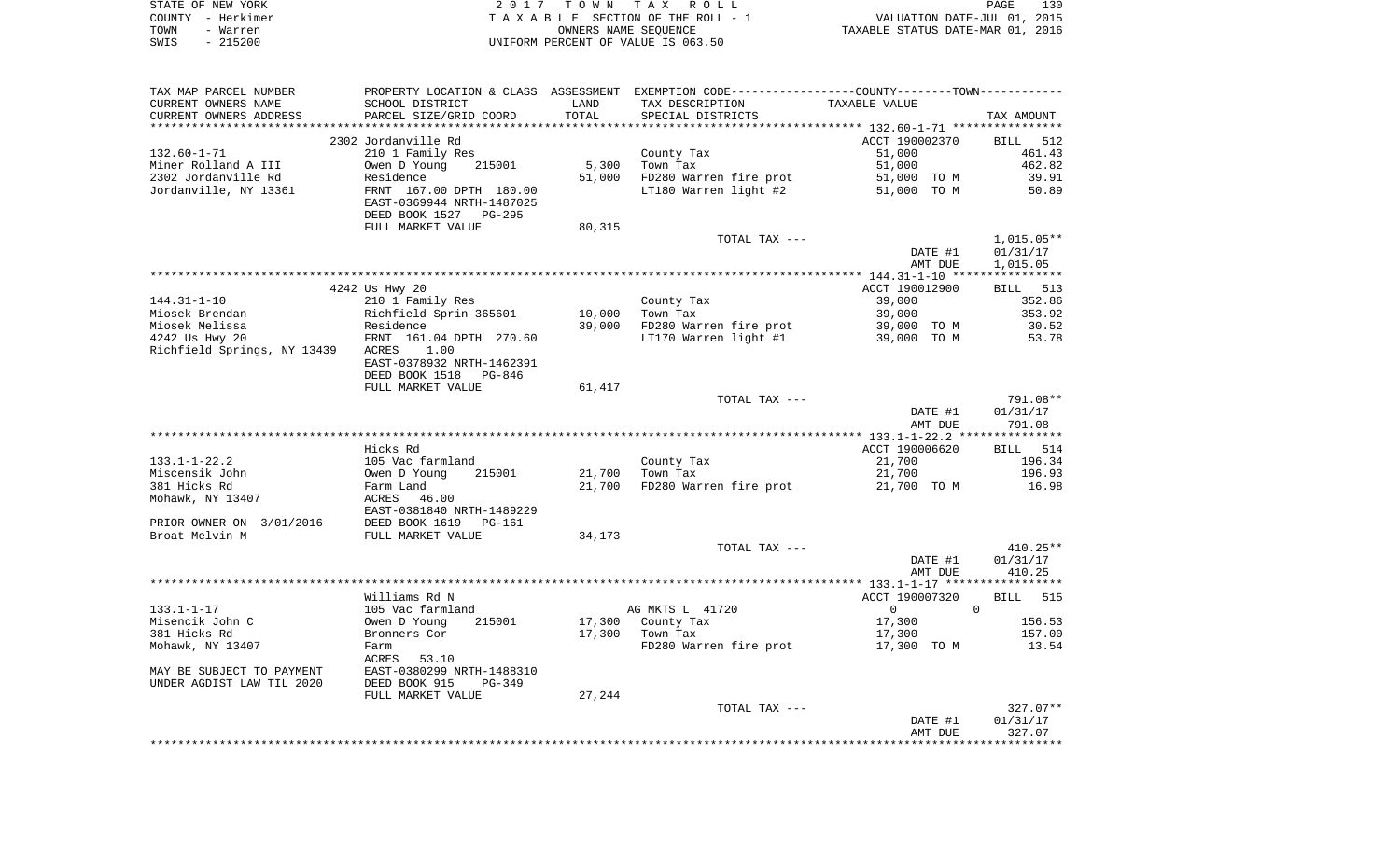|      | STATE OF NEW YORK | 2017 TOWN TAX ROLL                 | PAGE                             | 130 |
|------|-------------------|------------------------------------|----------------------------------|-----|
|      | COUNTY - Herkimer | TAXABLE SECTION OF THE ROLL - 1    | VALUATION DATE-JUL 01, 2015      |     |
| TOWN | - Warren          | OWNERS NAME SEOUENCE               | TAXABLE STATUS DATE-MAR 01, 2016 |     |
| SWIS | - 215200          | UNIFORM PERCENT OF VALUE IS 063.50 |                                  |     |

| TAX MAP PARCEL NUMBER       |                                                      |        | PROPERTY LOCATION & CLASS ASSESSMENT EXEMPTION CODE---------------COUNTY-------TOWN---------- |                    |                    |
|-----------------------------|------------------------------------------------------|--------|-----------------------------------------------------------------------------------------------|--------------------|--------------------|
| CURRENT OWNERS NAME         | SCHOOL DISTRICT                                      | LAND   | TAX DESCRIPTION                                                                               | TAXABLE VALUE      |                    |
| CURRENT OWNERS ADDRESS      | PARCEL SIZE/GRID COORD                               | TOTAL  | SPECIAL DISTRICTS                                                                             |                    | TAX AMOUNT         |
|                             |                                                      |        |                                                                                               |                    |                    |
|                             | 2302 Jordanville Rd                                  |        |                                                                                               | ACCT 190002370     | BILL 512           |
| $132.60 - 1 - 71$           | 210 1 Family Res                                     |        | County Tax                                                                                    | 51,000             | 461.43             |
| Miner Rolland A III         | Owen D Young<br>215001                               | 5,300  | Town Tax                                                                                      | 51,000             | 462.82             |
| 2302 Jordanville Rd         | Residence                                            | 51,000 | FD280 Warren fire prot                                                                        | 51,000 TO M        | 39.91              |
| Jordanville, NY 13361       | FRNT 167.00 DPTH 180.00<br>EAST-0369944 NRTH-1487025 |        | LT180 Warren light #2                                                                         | 51,000 TO M        | 50.89              |
|                             | DEED BOOK 1527 PG-295                                |        |                                                                                               |                    |                    |
|                             | FULL MARKET VALUE                                    | 80,315 |                                                                                               |                    |                    |
|                             |                                                      |        | TOTAL TAX ---                                                                                 |                    | 1,015.05**         |
|                             |                                                      |        |                                                                                               | DATE #1            | 01/31/17           |
|                             |                                                      |        |                                                                                               | AMT DUE            | 1,015.05           |
|                             |                                                      |        |                                                                                               |                    |                    |
|                             | 4242 Us Hwy 20                                       |        |                                                                                               | ACCT 190012900     | BILL 513           |
| $144.31 - 1 - 10$           | 210 1 Family Res                                     |        | County Tax                                                                                    | 39,000             | 352.86             |
| Miosek Brendan              | Richfield Sprin 365601                               | 10,000 | Town Tax                                                                                      | 39,000             | 353.92             |
| Miosek Melissa              | Residence                                            | 39,000 | FD280 Warren fire prot                                                                        | 39,000 TO M        | 30.52              |
| 4242 Us Hwy 20              | FRNT 161.04 DPTH 270.60                              |        | LT170 Warren light #1                                                                         | 39,000 TO M        | 53.78              |
| Richfield Springs, NY 13439 | ACRES<br>1.00                                        |        |                                                                                               |                    |                    |
|                             | EAST-0378932 NRTH-1462391                            |        |                                                                                               |                    |                    |
|                             | DEED BOOK 1518<br>PG-846                             |        |                                                                                               |                    |                    |
|                             | FULL MARKET VALUE                                    | 61,417 |                                                                                               |                    |                    |
|                             |                                                      |        | TOTAL TAX ---                                                                                 |                    | 791.08**           |
|                             |                                                      |        |                                                                                               | DATE #1<br>AMT DUE | 01/31/17<br>791.08 |
|                             |                                                      |        |                                                                                               |                    |                    |
|                             | Hicks Rd                                             |        |                                                                                               | ACCT 190006620     | BILL 514           |
| $133.1 - 1 - 22.2$          | 105 Vac farmland                                     |        | County Tax                                                                                    | 21,700             | 196.34             |
| Miscensik John              | 215001<br>Owen D Young                               | 21,700 | Town Tax                                                                                      | 21,700             | 196.93             |
| 381 Hicks Rd                | Farm Land                                            | 21,700 | FD280 Warren fire prot                                                                        | 21,700 TO M        | 16.98              |
| Mohawk, NY 13407            | ACRES<br>46.00                                       |        |                                                                                               |                    |                    |
|                             | EAST-0381840 NRTH-1489229                            |        |                                                                                               |                    |                    |
| PRIOR OWNER ON 3/01/2016    | DEED BOOK 1619<br>PG-161                             |        |                                                                                               |                    |                    |
| Broat Melvin M              | FULL MARKET VALUE                                    | 34,173 |                                                                                               |                    |                    |
|                             |                                                      |        | TOTAL TAX ---                                                                                 |                    | $410.25**$         |
|                             |                                                      |        |                                                                                               | DATE #1            | 01/31/17           |
|                             |                                                      |        |                                                                                               | AMT DUE            | 410.25             |
|                             | Williams Rd N                                        |        |                                                                                               | ACCT 190007320     | <b>BILL</b> 515    |
| 133.1-1-17                  | 105 Vac farmland                                     |        | AG MKTS L 41720                                                                               | $0 \qquad \qquad$  | $\overline{0}$     |
| Misencik John C             | Owen D Young<br>215001                               |        | 17,300 County Tax                                                                             | 17,300             | 156.53             |
| 381 Hicks Rd                | Bronners Cor                                         |        | 17,300 Town Tax                                                                               | 17,300             | 157.00             |
| Mohawk, NY 13407            | Farm                                                 |        | FD280 Warren fire prot                                                                        | 17,300 TO M        | 13.54              |
|                             | ACRES<br>53.10                                       |        |                                                                                               |                    |                    |
| MAY BE SUBJECT TO PAYMENT   | EAST-0380299 NRTH-1488310                            |        |                                                                                               |                    |                    |
| UNDER AGDIST LAW TIL 2020   | DEED BOOK 915<br>$PG-349$                            |        |                                                                                               |                    |                    |
|                             | FULL MARKET VALUE                                    | 27,244 |                                                                                               |                    |                    |
|                             |                                                      |        | TOTAL TAX ---                                                                                 |                    | 327.07**           |
|                             |                                                      |        |                                                                                               | DATE #1            | 01/31/17           |
|                             |                                                      |        |                                                                                               | AMT DUE            | 327.07             |
|                             |                                                      |        |                                                                                               |                    |                    |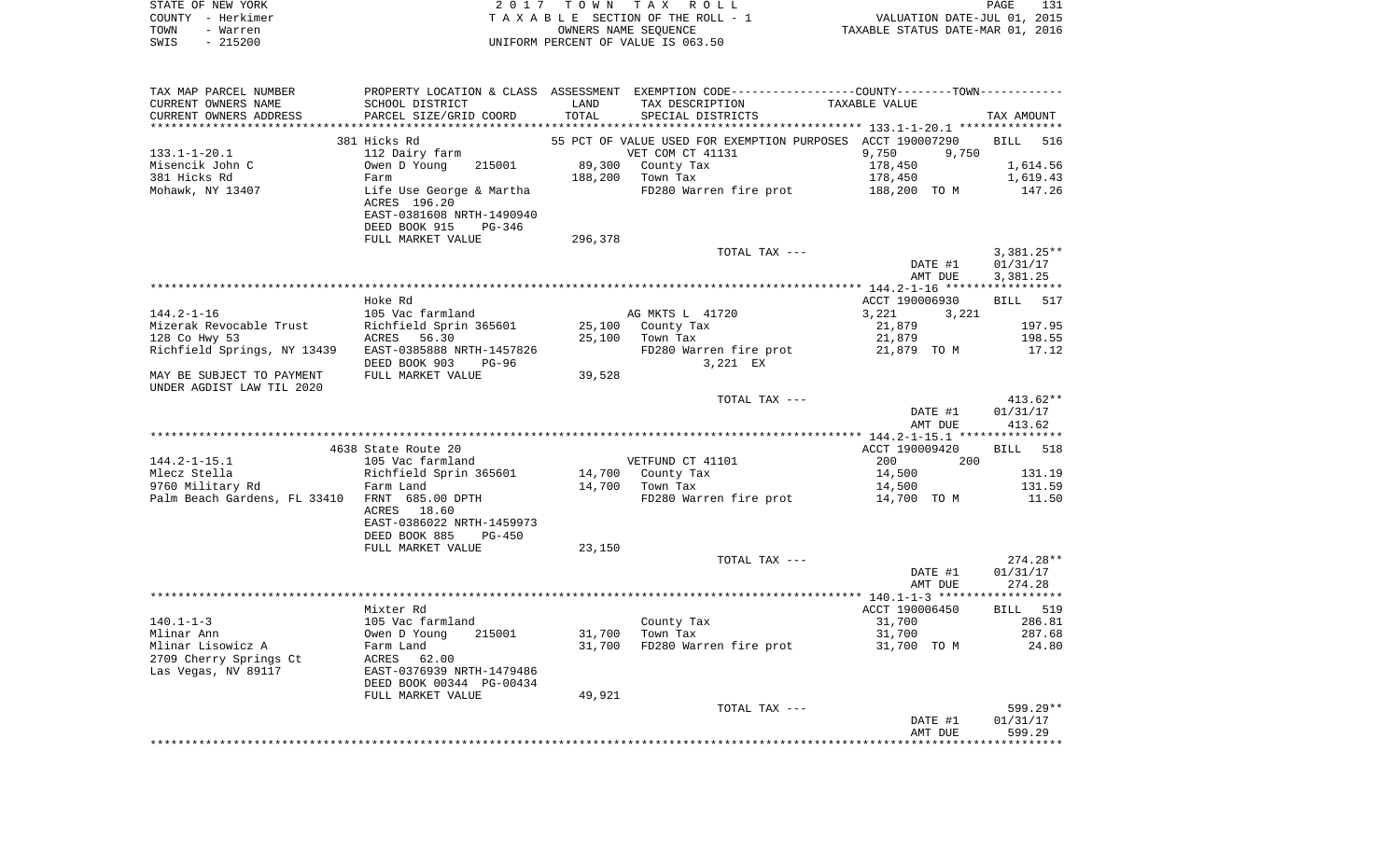|      | STATE OF NEW YORK | 2017 TOWN TAX ROLL                 | PAGE                             | 131 |
|------|-------------------|------------------------------------|----------------------------------|-----|
|      | COUNTY – Herkimer | TAXABLE SECTION OF THE ROLL - 1    | VALUATION DATE-JUL 01, 2015      |     |
| TOWN | - Warren          | OWNERS NAME SEOUENCE               | TAXABLE STATUS DATE-MAR 01, 2016 |     |
| SWIS | - 215200          | UNIFORM PERCENT OF VALUE IS 063.50 |                                  |     |

| TAX MAP PARCEL NUMBER        |                                                      |         |                                    | PROPERTY LOCATION & CLASS ASSESSMENT EXEMPTION CODE---------------COUNTY-------TOWN---------- |                    |
|------------------------------|------------------------------------------------------|---------|------------------------------------|-----------------------------------------------------------------------------------------------|--------------------|
| CURRENT OWNERS NAME          | SCHOOL DISTRICT                                      | LAND    | TAX DESCRIPTION                    | TAXABLE VALUE                                                                                 |                    |
| CURRENT OWNERS ADDRESS       | PARCEL SIZE/GRID COORD                               | TOTAL   | SPECIAL DISTRICTS                  |                                                                                               | TAX AMOUNT         |
|                              |                                                      |         |                                    |                                                                                               |                    |
|                              | 381 Hicks Rd                                         |         |                                    | 55 PCT OF VALUE USED FOR EXEMPTION PURPOSES ACCT 190007290                                    | <b>BILL</b><br>516 |
| $133.1 - 1 - 20.1$           | 112 Dairy farm                                       |         | VET COM CT 41131                   | 9,750<br>9,750                                                                                |                    |
| Misencik John C              | Owen D Young<br>215001                               |         | 89,300 County Tax                  | 178,450                                                                                       | 1,614.56           |
| 381 Hicks Rd                 | Farm                                                 |         | 188,200 Town Tax                   | 178,450                                                                                       | 1,619.43           |
| Mohawk, NY 13407             | Life Use George & Martha<br>ACRES 196.20             |         | FD280 Warren fire prot             | 188,200 TO M                                                                                  | 147.26             |
|                              | EAST-0381608 NRTH-1490940<br>DEED BOOK 915<br>PG-346 |         |                                    |                                                                                               |                    |
|                              | FULL MARKET VALUE                                    | 296,378 |                                    |                                                                                               |                    |
|                              |                                                      |         | TOTAL TAX ---                      |                                                                                               | $3,381.25**$       |
|                              |                                                      |         |                                    | DATE #1                                                                                       | 01/31/17           |
|                              |                                                      |         |                                    | AMT DUE                                                                                       | 3,381.25           |
|                              |                                                      |         |                                    |                                                                                               |                    |
|                              | Hoke Rd                                              |         |                                    | ACCT 190006930                                                                                | 517<br>BILL        |
| $144.2 - 1 - 16$             | 105 Vac farmland                                     |         | AG MKTS L 41720                    | 3,221<br>3,221                                                                                |                    |
| Mizerak Revocable Trust      | Richfield Sprin 365601                               |         | 25,100 County Tax                  | 21,879                                                                                        | 197.95             |
| 128 Co Hwy 53                | ACRES 56.30                                          |         | 25,100 Town Tax                    | 21,879                                                                                        | 198.55             |
| Richfield Springs, NY 13439  | EAST-0385888 NRTH-1457826<br>DEED BOOK 903<br>PG-96  |         | FD280 Warren fire prot<br>3,221 EX | 21,879 TO M                                                                                   | 17.12              |
| MAY BE SUBJECT TO PAYMENT    | FULL MARKET VALUE                                    | 39,528  |                                    |                                                                                               |                    |
| UNDER AGDIST LAW TIL 2020    |                                                      |         |                                    |                                                                                               |                    |
|                              |                                                      |         | TOTAL TAX ---                      |                                                                                               | $413.62**$         |
|                              |                                                      |         |                                    | DATE #1                                                                                       | 01/31/17           |
|                              |                                                      |         |                                    | AMT DUE                                                                                       | 413.62             |
|                              | 4638 State Route 20                                  |         |                                    | ACCT 190009420                                                                                | <b>BILL</b><br>518 |
| $144.2 - 1 - 15.1$           | 105 Vac farmland                                     |         | VETFUND CT 41101                   | 200<br>200                                                                                    |                    |
| Mlecz Stella                 | Richfield Sprin 365601                               |         | 14,700 County Tax                  | 14,500                                                                                        | 131.19             |
| 9760 Military Rd             | Farm Land                                            |         | 14,700 Town Tax                    | 14,500                                                                                        | 131.59             |
| Palm Beach Gardens, FL 33410 | FRNT 685.00 DPTH                                     |         | FD280 Warren fire prot             | 14,700 TO M                                                                                   | 11.50              |
|                              | ACRES 18.60<br>EAST-0386022 NRTH-1459973             |         |                                    |                                                                                               |                    |
|                              | DEED BOOK 885<br>PG-450                              |         |                                    |                                                                                               |                    |
|                              | FULL MARKET VALUE                                    | 23,150  |                                    |                                                                                               |                    |
|                              |                                                      |         | TOTAL TAX ---                      |                                                                                               | $274.28**$         |
|                              |                                                      |         |                                    | DATE #1                                                                                       | 01/31/17           |
|                              |                                                      |         |                                    | AMT DUE                                                                                       | 274.28             |
|                              |                                                      |         |                                    |                                                                                               |                    |
|                              | Mixter Rd                                            |         |                                    | ACCT 190006450                                                                                | BILL 519           |
| $140.1 - 1 - 3$              | 105 Vac farmland                                     |         | County Tax                         | 31,700                                                                                        | 286.81             |
| Mlinar Ann                   | Owen D Young<br>215001                               | 31,700  | Town Tax                           | 31,700                                                                                        | 287.68             |
| Mlinar Lisowicz A            | Farm Land                                            | 31,700  | FD280 Warren fire prot             | 31,700 TO M                                                                                   | 24.80              |
| 2709 Cherry Springs Ct       | ACRES 62.00                                          |         |                                    |                                                                                               |                    |
| Las Vegas, NV 89117          | EAST-0376939 NRTH-1479486                            |         |                                    |                                                                                               |                    |
|                              | DEED BOOK 00344 PG-00434                             | 49,921  |                                    |                                                                                               |                    |
|                              | FULL MARKET VALUE                                    |         | TOTAL TAX ---                      |                                                                                               | 599.29**           |
|                              |                                                      |         |                                    | DATE #1                                                                                       | 01/31/17           |
|                              |                                                      |         |                                    | AMT DUE                                                                                       | 599.29             |
|                              |                                                      |         |                                    |                                                                                               |                    |
|                              |                                                      |         |                                    |                                                                                               |                    |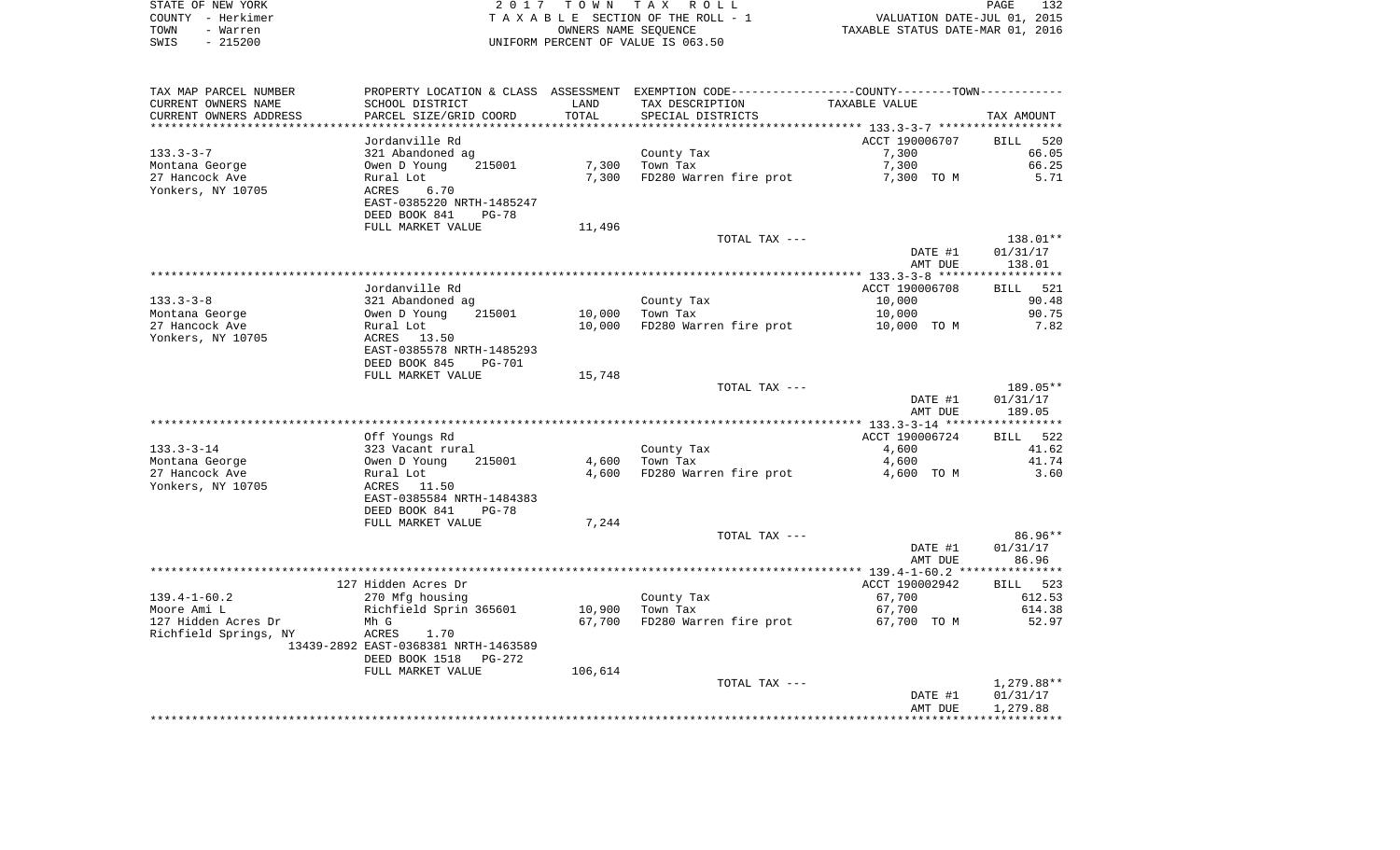| STATE OF NEW YORK | 2017 TOWN TAX ROLL                 | 132<br><b>PAGE</b>               |
|-------------------|------------------------------------|----------------------------------|
| COUNTY - Herkimer | TAXABLE SECTION OF THE ROLL - 1    | VALUATION DATE-JUL 01, 2015      |
| TOWN<br>- Warren  | OWNERS NAME SEOUENCE               | TAXABLE STATUS DATE-MAR 01, 2016 |
| $-215200$<br>SWIS | UNIFORM PERCENT OF VALUE IS 063.50 |                                  |

| TAX MAP PARCEL NUMBER            |                                      |                  | PROPERTY LOCATION & CLASS ASSESSMENT EXEMPTION CODE----------------COUNTY-------TOWN----------- |                |                    |
|----------------------------------|--------------------------------------|------------------|-------------------------------------------------------------------------------------------------|----------------|--------------------|
| CURRENT OWNERS NAME              | SCHOOL DISTRICT                      | LAND             | TAX DESCRIPTION                                                                                 | TAXABLE VALUE  |                    |
| CURRENT OWNERS ADDRESS           | PARCEL SIZE/GRID COORD               | TOTAL            | SPECIAL DISTRICTS                                                                               |                | TAX AMOUNT         |
|                                  |                                      |                  |                                                                                                 |                |                    |
|                                  | Jordanville Rd                       |                  |                                                                                                 | ACCT 190006707 | <b>BILL</b><br>520 |
| $133.3 - 3 - 7$                  | 321 Abandoned ag                     |                  | County Tax                                                                                      | 7,300          | 66.05              |
| Montana George                   | Owen D Young<br>215001               | 7,300            | Town Tax                                                                                        | 7,300          | 66.25              |
| 27 Hancock Ave                   | Rural Lot                            | 7,300            | FD280 Warren fire prot                                                                          | 7,300 TO M     | 5.71               |
| Yonkers, NY 10705                | ACRES<br>6.70                        |                  |                                                                                                 |                |                    |
|                                  | EAST-0385220 NRTH-1485247            |                  |                                                                                                 |                |                    |
|                                  | DEED BOOK 841<br>PG-78               |                  |                                                                                                 |                |                    |
|                                  | FULL MARKET VALUE                    | 11,496           |                                                                                                 |                |                    |
|                                  |                                      |                  | TOTAL TAX ---                                                                                   |                | 138.01**           |
|                                  |                                      |                  |                                                                                                 | DATE #1        | 01/31/17           |
|                                  |                                      |                  |                                                                                                 | AMT DUE        | 138.01             |
|                                  | Jordanville Rd                       |                  |                                                                                                 | ACCT 190006708 | BILL 521           |
| $133.3 - 3 - 8$                  | 321 Abandoned ag                     |                  | County Tax                                                                                      | 10,000         | 90.48              |
|                                  | Owen D Young<br>215001               |                  | Town Tax                                                                                        |                | 90.75              |
| Montana George<br>27 Hancock Ave |                                      | 10,000<br>10,000 | FD280 Warren fire prot                                                                          | 10,000         | 7.82               |
| Yonkers, NY 10705                | Rural Lot<br>ACRES<br>13.50          |                  |                                                                                                 | 10,000 TO M    |                    |
|                                  | EAST-0385578 NRTH-1485293            |                  |                                                                                                 |                |                    |
|                                  | DEED BOOK 845<br><b>PG-701</b>       |                  |                                                                                                 |                |                    |
|                                  | FULL MARKET VALUE                    | 15,748           |                                                                                                 |                |                    |
|                                  |                                      |                  | TOTAL TAX ---                                                                                   |                | 189.05**           |
|                                  |                                      |                  |                                                                                                 | DATE #1        | 01/31/17           |
|                                  |                                      |                  |                                                                                                 | AMT DUE        | 189.05             |
|                                  |                                      |                  |                                                                                                 |                |                    |
|                                  | Off Youngs Rd                        |                  |                                                                                                 | ACCT 190006724 | BILL 522           |
| $133.3 - 3 - 14$                 | 323 Vacant rural                     |                  | County Tax                                                                                      | 4,600          | 41.62              |
| Montana George                   | Owen D Young<br>215001               | 4,600            | Town Tax                                                                                        | 4,600          | 41.74              |
| 27 Hancock Ave                   | Rural Lot                            | 4,600            | FD280 Warren fire prot                                                                          | 4,600 TO M     | 3.60               |
| Yonkers, NY 10705                | ACRES<br>11.50                       |                  |                                                                                                 |                |                    |
|                                  | EAST-0385584 NRTH-1484383            |                  |                                                                                                 |                |                    |
|                                  | DEED BOOK 841<br>$PG-78$             |                  |                                                                                                 |                |                    |
|                                  | FULL MARKET VALUE                    | 7,244            |                                                                                                 |                |                    |
|                                  |                                      |                  | TOTAL TAX ---                                                                                   |                | 86.96**            |
|                                  |                                      |                  |                                                                                                 | DATE #1        | 01/31/17           |
|                                  |                                      |                  |                                                                                                 | AMT DUE        | 86.96              |
|                                  |                                      |                  |                                                                                                 |                |                    |
|                                  | 127 Hidden Acres Dr                  |                  |                                                                                                 | ACCT 190002942 | BILL 523           |
| $139.4 - 1 - 60.2$               | 270 Mfg housing                      |                  | County Tax                                                                                      | 67,700         | 612.53             |
| Moore Ami L                      | Richfield Sprin 365601               | 10,900           | Town Tax                                                                                        | 67,700         | 614.38             |
| 127 Hidden Acres Dr              | Mh G                                 | 67,700           | FD280 Warren fire prot                                                                          | 67,700 TO M    | 52.97              |
| Richfield Springs, NY            | ACRES<br>1.70                        |                  |                                                                                                 |                |                    |
|                                  | 13439-2892 EAST-0368381 NRTH-1463589 |                  |                                                                                                 |                |                    |
|                                  | DEED BOOK 1518<br>PG-272             |                  |                                                                                                 |                |                    |
|                                  | FULL MARKET VALUE                    | 106,614          |                                                                                                 |                |                    |
|                                  |                                      |                  | TOTAL TAX ---                                                                                   |                | 1,279.88**         |
|                                  |                                      |                  |                                                                                                 | DATE #1        | 01/31/17           |
|                                  |                                      |                  |                                                                                                 | AMT DUE        | 1,279.88           |
|                                  |                                      |                  |                                                                                                 |                |                    |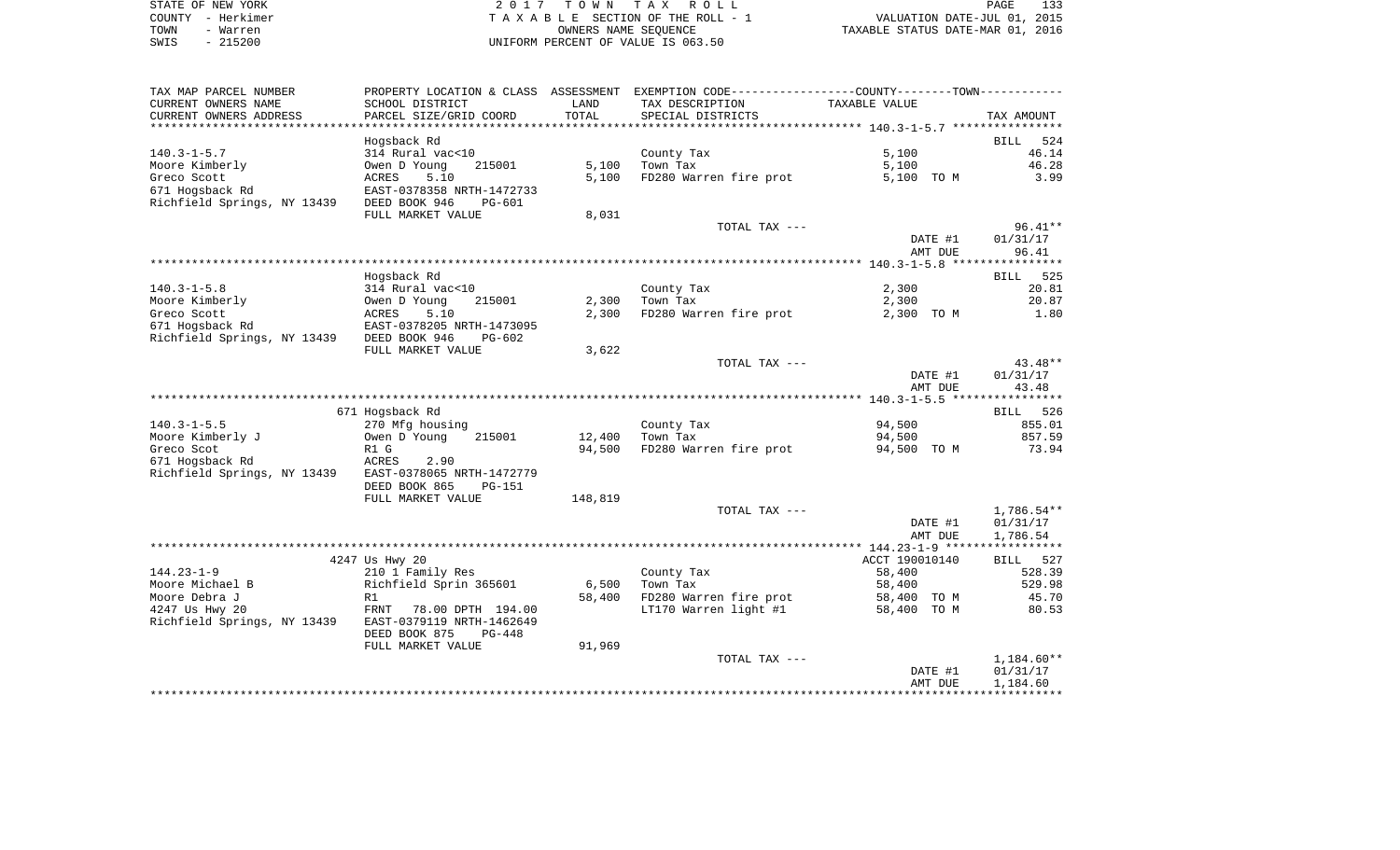| STATE OF NEW YORK | 2017 TOWN TAX ROLL                 | 133<br>PAGE                      |
|-------------------|------------------------------------|----------------------------------|
| COUNTY - Herkimer | TAXABLE SECTION OF THE ROLL - 1    | VALUATION DATE-JUL 01, 2015      |
| TOWN<br>- Warren  | OWNERS NAME SEOUENCE               | TAXABLE STATUS DATE-MAR 01, 2016 |
| $-215200$<br>SWIS | UNIFORM PERCENT OF VALUE IS 063.50 |                                  |

133<br>2015

| TAX MAP PARCEL NUMBER                                 |                                            |                | PROPERTY LOCATION & CLASS ASSESSMENT EXEMPTION CODE----------------COUNTY--------TOWN----------- |                |                    |
|-------------------------------------------------------|--------------------------------------------|----------------|--------------------------------------------------------------------------------------------------|----------------|--------------------|
| CURRENT OWNERS NAME                                   | SCHOOL DISTRICT                            | LAND           | TAX DESCRIPTION                                                                                  | TAXABLE VALUE  |                    |
| CURRENT OWNERS ADDRESS                                | PARCEL SIZE/GRID COORD                     | TOTAL          | SPECIAL DISTRICTS                                                                                |                | TAX AMOUNT         |
|                                                       |                                            | ************** |                                                                                                  |                |                    |
|                                                       | Hogsback Rd                                |                |                                                                                                  |                | <b>BILL</b><br>524 |
| $140.3 - 1 - 5.7$                                     | 314 Rural vac<10                           |                | County Tax                                                                                       | 5,100          | 46.14              |
| Moore Kimberly                                        | Owen D Young<br>215001                     | 5,100          | Town Tax                                                                                         | 5,100          | 46.28              |
| Greco Scott                                           | ACRES<br>5.10                              | 5,100          | FD280 Warren fire prot                                                                           | 5,100 TO M     | 3.99               |
| 671 Hogsback Rd                                       | EAST-0378358 NRTH-1472733                  |                |                                                                                                  |                |                    |
| Richfield Springs, NY 13439 DEED BOOK 946             | PG-601                                     |                |                                                                                                  |                |                    |
|                                                       | FULL MARKET VALUE                          | 8,031          |                                                                                                  |                |                    |
|                                                       |                                            |                | TOTAL TAX ---                                                                                    |                | $96.41**$          |
|                                                       |                                            |                |                                                                                                  | DATE #1        | 01/31/17           |
|                                                       |                                            |                |                                                                                                  | AMT DUE        | 96.41              |
|                                                       |                                            |                |                                                                                                  |                |                    |
|                                                       | Hogsback Rd                                |                |                                                                                                  |                | BILL 525           |
| $140.3 - 1 - 5.8$                                     | 314 Rural vac<10                           |                | County Tax                                                                                       | 2,300          | 20.81              |
| Moore Kimberly                                        | 215001<br>Owen D Young                     | 2,300          | Town Tax                                                                                         | 2,300          | 20.87              |
| Greco Scott                                           | 5.10<br>ACRES                              | 2,300          | FD280 Warren fire prot                                                                           | 2,300 TO M     | 1.80               |
| 671 Hogsback Rd                                       | EAST-0378205 NRTH-1473095                  |                |                                                                                                  |                |                    |
| Richfield Springs, NY 13439 DEED BOOK 946             | $PG-602$                                   |                |                                                                                                  |                |                    |
|                                                       | FULL MARKET VALUE                          | 3,622          |                                                                                                  |                |                    |
|                                                       |                                            |                | TOTAL TAX ---                                                                                    |                | $43.48**$          |
|                                                       |                                            |                |                                                                                                  | DATE #1        | 01/31/17           |
|                                                       |                                            |                |                                                                                                  | AMT DUE        | 43.48              |
|                                                       |                                            |                |                                                                                                  |                |                    |
|                                                       | 671 Hogsback Rd                            |                |                                                                                                  |                | BILL<br>526        |
| $140.3 - 1 - 5.5$                                     | 270 Mfg housing                            |                | County Tax                                                                                       | 94,500         | 855.01             |
| Moore Kimberly J                                      | 215001<br>Owen D Young                     | 12,400         | Town Tax                                                                                         | 94,500         | 857.59             |
| Greco Scot                                            | R1 G                                       | 94,500         | FD280 Warren fire prot                                                                           | 94,500 TO M    | 73.94              |
| 671 Hogsback Rd                                       | ACRES<br>2.90                              |                |                                                                                                  |                |                    |
| Richfield Springs, NY 13439 EAST-0378065 NRTH-1472779 |                                            |                |                                                                                                  |                |                    |
|                                                       | DEED BOOK 865<br><b>PG-151</b>             |                |                                                                                                  |                |                    |
|                                                       | FULL MARKET VALUE                          | 148,819        |                                                                                                  |                |                    |
|                                                       |                                            |                | TOTAL TAX ---                                                                                    |                | 1,786.54**         |
|                                                       |                                            |                |                                                                                                  | DATE #1        | 01/31/17           |
|                                                       |                                            |                |                                                                                                  | AMT DUE        | 1,786.54           |
|                                                       | 4247 Us Hwy 20                             |                |                                                                                                  | ACCT 190010140 | BILL<br>527        |
| $144.23 - 1 - 9$                                      |                                            |                |                                                                                                  | 58,400         | 528.39             |
| Moore Michael B                                       | 210 1 Family Res<br>Richfield Sprin 365601 | 6,500          | County Tax<br>Town Tax                                                                           | 58,400         | 529.98             |
| Moore Debra J                                         | R1                                         | 58,400         | FD280 Warren fire prot                                                                           | 58,400 TO M    | 45.70              |
| 4247 Us Hwy 20                                        | FRNT<br>78.00 DPTH 194.00                  |                | LT170 Warren light #1                                                                            | 58,400 TO M    | 80.53              |
| Richfield Springs, NY 13439                           | EAST-0379119 NRTH-1462649                  |                |                                                                                                  |                |                    |
|                                                       | DEED BOOK 875<br>PG-448                    |                |                                                                                                  |                |                    |
|                                                       | FULL MARKET VALUE                          | 91,969         |                                                                                                  |                |                    |
|                                                       |                                            |                | TOTAL TAX ---                                                                                    |                | 1,184.60**         |
|                                                       |                                            |                |                                                                                                  | DATE #1        | 01/31/17           |
|                                                       |                                            |                |                                                                                                  | AMT DUE        | 1,184.60           |
|                                                       |                                            |                |                                                                                                  |                |                    |
|                                                       |                                            |                |                                                                                                  |                |                    |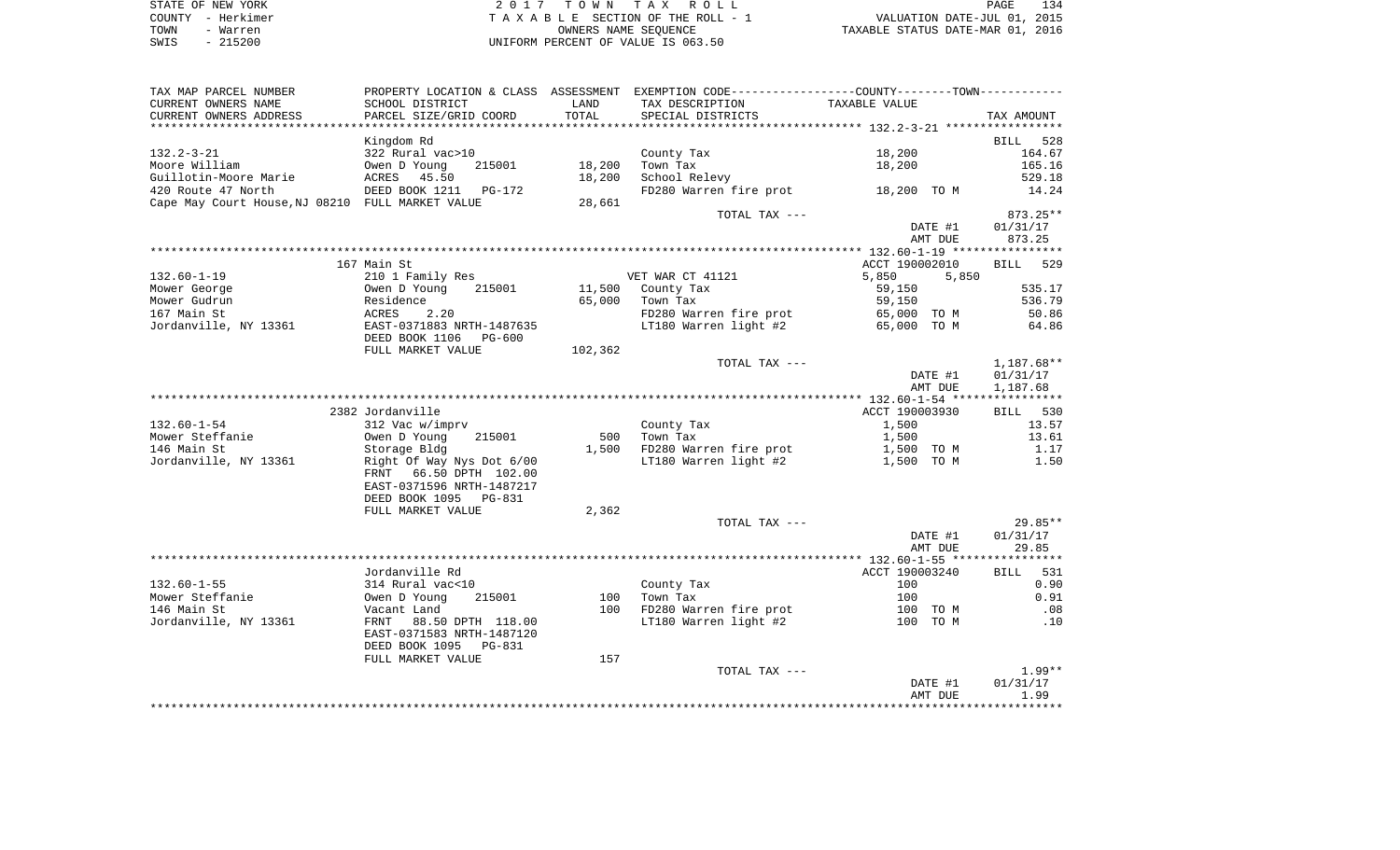| STATE OF NEW YORK | 2017 TOWN TAX ROLL                 | 134<br>PAGE                      |
|-------------------|------------------------------------|----------------------------------|
| COUNTY - Herkimer | TAXABLE SECTION OF THE ROLL - 1    | VALUATION DATE-JUL 01, 2015      |
| TOWN<br>- Warren  | OWNERS NAME SEOUENCE               | TAXABLE STATUS DATE-MAR 01, 2016 |
| $-215200$<br>SWIS | UNIFORM PERCENT OF VALUE IS 063.50 |                                  |

| TAX MAP PARCEL NUMBER                            | PROPERTY LOCATION & CLASS ASSESSMENT EXEMPTION CODE---------------COUNTY-------TOWN---------- |         |                                    |                |                    |
|--------------------------------------------------|-----------------------------------------------------------------------------------------------|---------|------------------------------------|----------------|--------------------|
| CURRENT OWNERS NAME                              | SCHOOL DISTRICT                                                                               | LAND    | TAX DESCRIPTION                    | TAXABLE VALUE  |                    |
| CURRENT OWNERS ADDRESS                           | PARCEL SIZE/GRID COORD                                                                        | TOTAL   | SPECIAL DISTRICTS                  |                | TAX AMOUNT         |
|                                                  |                                                                                               |         |                                    |                |                    |
| $132.2 - 3 - 21$                                 | Kingdom Rd<br>322 Rural vac>10                                                                |         | County Tax                         | 18,200         | BILL 528<br>164.67 |
| Moore William                                    | 215001<br>Owen D Young                                                                        | 18,200  | Town Tax                           | 18,200         | 165.16             |
| Guillotin-Moore Marie                            |                                                                                               | 18,200  | School Relevy                      |                | 529.18             |
| 420 Route 47 North                               |                                                                                               |         | FD280 Warren fire prot 18,200 TO M |                | 14.24              |
| Cape May Court House, NJ 08210 FULL MARKET VALUE |                                                                                               | 28,661  |                                    |                |                    |
|                                                  |                                                                                               |         | TOTAL TAX ---                      |                | 873.25**           |
|                                                  |                                                                                               |         |                                    | DATE #1        | 01/31/17           |
|                                                  |                                                                                               |         |                                    | AMT DUE        | 873.25             |
|                                                  |                                                                                               |         |                                    |                |                    |
|                                                  | 167 Main St                                                                                   |         |                                    | ACCT 190002010 | BILL 529           |
| $132.60 - 1 - 19$                                | 210 1 Family Res                                                                              |         | VET WAR CT 41121                   | 5,850<br>5,850 |                    |
| Mower George                                     | 215001<br>Owen D Young                                                                        |         | 11,500 County Tax                  | 59,150         | 535.17             |
| Mower Gudrun                                     | OWCH D TOO                                                                                    | 65,000  | Town Tax                           | 59,150         | 536.79             |
| 167 Main St                                      | ACRES<br>2.20                                                                                 |         | FD280 Warren fire prot             | 65,000 TO M    | 50.86              |
| Jordanville, NY 13361                            | EAST-0371883 NRTH-1487635                                                                     |         | LT180 Warren light #2              | 65,000 TO M    | 64.86              |
|                                                  | DEED BOOK 1106 PG-600                                                                         |         |                                    |                |                    |
|                                                  | FULL MARKET VALUE                                                                             | 102,362 |                                    |                |                    |
|                                                  |                                                                                               |         | TOTAL TAX ---                      |                | 1,187.68**         |
|                                                  |                                                                                               |         |                                    | DATE #1        | 01/31/17           |
|                                                  |                                                                                               |         |                                    | AMT DUE        | 1,187.68           |
|                                                  |                                                                                               |         |                                    |                |                    |
|                                                  | 2382 Jordanville                                                                              |         |                                    | ACCT 190003930 | BILL 530           |
| $132.60 - 1 - 54$                                | 312 Vac w/imprv                                                                               |         | County Tax                         | 1,500          | 13.57              |
| Mower Steffanie                                  | Owen D Young<br>215001                                                                        | 500     | Town Tax                           | 1,500          | 13.61              |
| 146 Main St                                      | Storage Bldg                                                                                  |         | 1,500 FD280 Warren fire prot       | 1,500 TO M     | 1.17               |
| Jordanville, NY 13361                            | Right Of Way Nys Dot 6/00                                                                     |         | LT180 Warren light #2              | 1,500 TO M     | 1.50               |
|                                                  | FRNT 66.50 DPTH 102.00                                                                        |         |                                    |                |                    |
|                                                  | EAST-0371596 NRTH-1487217                                                                     |         |                                    |                |                    |
|                                                  | DEED BOOK 1095 PG-831                                                                         |         |                                    |                |                    |
|                                                  | FULL MARKET VALUE                                                                             | 2,362   |                                    |                |                    |
|                                                  |                                                                                               |         | TOTAL TAX ---                      |                | 29.85**            |
|                                                  |                                                                                               |         |                                    | DATE #1        | 01/31/17           |
|                                                  |                                                                                               |         |                                    | AMT DUE        | 29.85              |
|                                                  |                                                                                               |         |                                    |                |                    |
|                                                  | Jordanville Rd                                                                                |         |                                    | ACCT 190003240 | BILL<br>531        |
| $132.60 - 1 - 55$                                | 314 Rural vac<10                                                                              |         | County Tax                         | 100            | 0.90               |
| Mower Steffanie                                  | 215001<br>Owen D Young                                                                        | 100     | Town Tax                           | 100            | 0.91               |
| 146 Main St                                      | Vacant Land                                                                                   |         | 100 FD280 Warren fire prot         | 100 TO M       | .08                |
| Jordanville, NY 13361                            | FRNT 88.50 DPTH 118.00                                                                        |         | LT180 Warren light #2              | 100 TO M       | .10                |
|                                                  | EAST-0371583 NRTH-1487120                                                                     |         |                                    |                |                    |
|                                                  | DEED BOOK 1095<br>PG-831                                                                      |         |                                    |                |                    |
|                                                  | FULL MARKET VALUE                                                                             | 157     |                                    |                |                    |
|                                                  |                                                                                               |         | TOTAL TAX ---                      |                | $1.99**$           |
|                                                  |                                                                                               |         |                                    | DATE #1        | 01/31/17           |
|                                                  |                                                                                               |         |                                    | AMT DUE        | 1.99               |
|                                                  |                                                                                               |         |                                    |                |                    |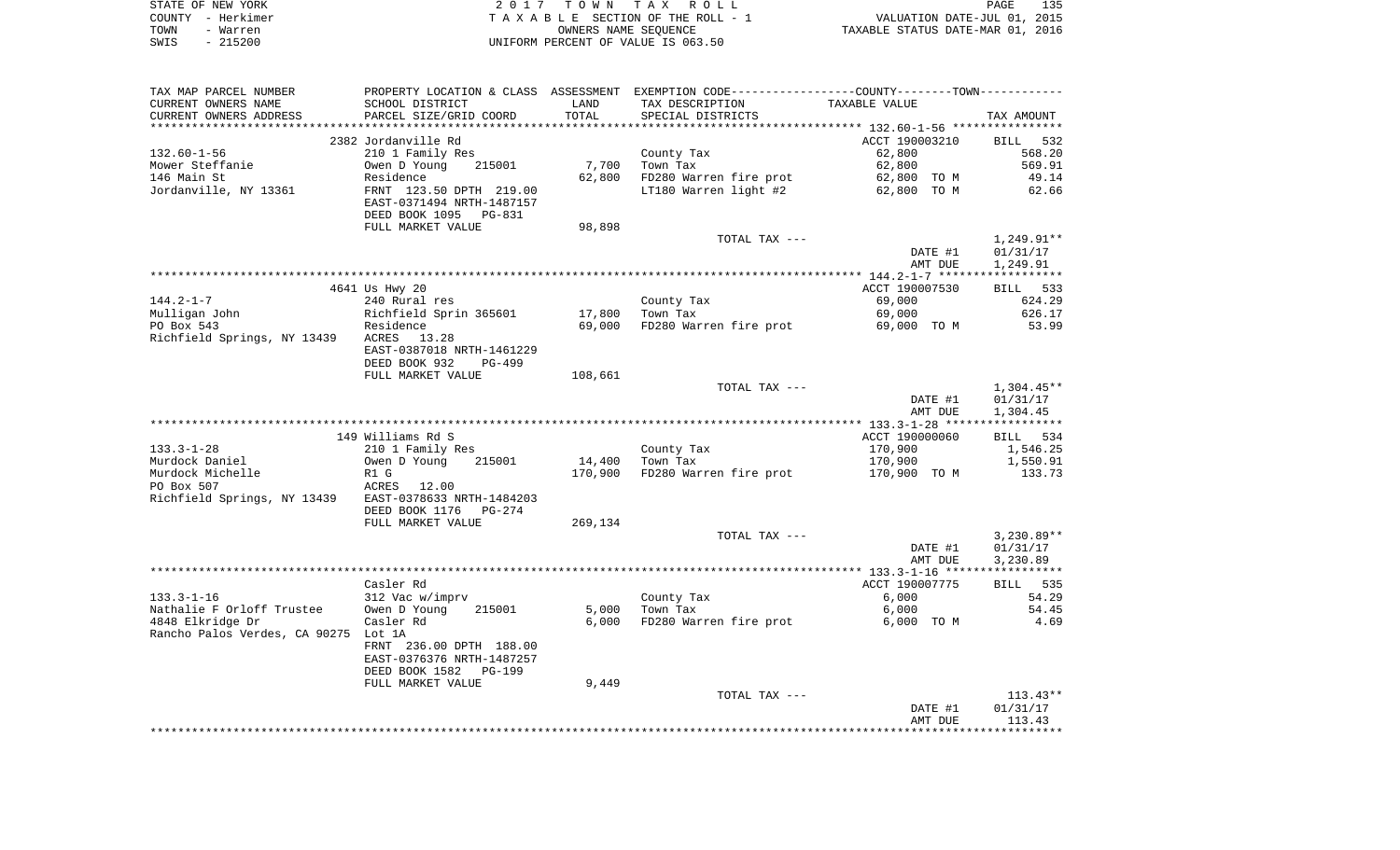| STATE OF NEW YORK | 2017 TOWN TAX ROLL                 | 135<br>PAGE                      |
|-------------------|------------------------------------|----------------------------------|
| COUNTY – Herkimer | TAXABLE SECTION OF THE ROLL - 1    | VALUATION DATE-JUL 01, 2015      |
| TOWN<br>- Warren  | OWNERS NAME SEOUENCE               | TAXABLE STATUS DATE-MAR 01, 2016 |
| - 215200<br>SWIS  | UNIFORM PERCENT OF VALUE IS 063.50 |                                  |

| TAX MAP PARCEL NUMBER                                                   | PROPERTY LOCATION & CLASS ASSESSMENT EXEMPTION CODE---------------COUNTY-------TOWN---------- |         |                                                 |                |                        |
|-------------------------------------------------------------------------|-----------------------------------------------------------------------------------------------|---------|-------------------------------------------------|----------------|------------------------|
| CURRENT OWNERS NAME                                                     | SCHOOL DISTRICT                                                                               | LAND    | TAX DESCRIPTION                                 | TAXABLE VALUE  |                        |
| CURRENT OWNERS ADDRESS                                                  | PARCEL SIZE/GRID COORD                                                                        | TOTAL   | SPECIAL DISTRICTS                               |                | TAX AMOUNT             |
|                                                                         |                                                                                               |         |                                                 |                |                        |
|                                                                         | 2382 Jordanville Rd                                                                           |         |                                                 | ACCT 190003210 | BILL 532               |
| 132.60-1-56                                                             | 210 1 Family Res                                                                              |         | County Tax                                      | 62,800         | 568.20                 |
| Nower Steffanie                                                         | Owen D Young 215001                                                                           | 7,700   | Town Tax                                        | 62,800         | 569.91                 |
| 146 Main St                                                             | Residence                                                                                     |         | 62,800 FD280 Warren fire prot                   | 62,800 TO M    | 49.14                  |
| Jordanville, NY 13361                                                   | FRNT 123.50 DPTH 219.00<br>EAST-0371494 NRTH-1487157<br>DEED BOOK 1095 PG-831                 |         | LT180 Warren light #2                           | 62,800 TO M    | 62.66                  |
|                                                                         | FULL MARKET VALUE                                                                             | 98,898  |                                                 |                |                        |
|                                                                         |                                                                                               |         | TOTAL TAX ---                                   |                | 1,249.91**             |
|                                                                         |                                                                                               |         |                                                 | DATE #1        | 01/31/17               |
|                                                                         |                                                                                               |         |                                                 | AMT DUE        | 1,249.91               |
|                                                                         |                                                                                               |         |                                                 |                |                        |
|                                                                         | 4641 Us Hwy 20                                                                                |         |                                                 | ACCT 190007530 | BILL 533               |
| $144.2 - 1 - 7$                                                         | 240 Rural res                                                                                 |         | County Tax                                      | 69,000         | 624.29                 |
| Mulligan John                                                           | Richfield Sprin 365601<br>Residence                                                           | 17,800  | Town Tax                                        | 69,000         | 626.17                 |
| PO Box 543                                                              |                                                                                               |         | 69,000 FD280 Warren fire prot 69,000 TO M 53.99 |                |                        |
| Richfield Springs, NY 13439 ACRES 13.28                                 | EAST-0387018 NRTH-1461229                                                                     |         |                                                 |                |                        |
|                                                                         | DEED BOOK 932<br>PG-499                                                                       |         |                                                 |                |                        |
|                                                                         | FULL MARKET VALUE                                                                             | 108,661 |                                                 |                |                        |
|                                                                         |                                                                                               |         | TOTAL TAX ---                                   | DATE #1        | 1,304.45**<br>01/31/17 |
|                                                                         |                                                                                               |         |                                                 | AMT DUE        | 1,304.45               |
|                                                                         |                                                                                               |         |                                                 |                |                        |
|                                                                         | 149 Williams Rd S                                                                             |         |                                                 | ACCT 190000060 | BILL 534               |
| $133.3 - 1 - 28$                                                        | 210 1 Family Res                                                                              |         |                                                 | 170,900        | 1,546.25               |
| Murdock Daniel                                                          | 215001<br>Owen D Young                                                                        |         | County Tax<br>Town Tax<br>14,400 Town Tax       | 170,900        | 1,550.91               |
| Murdock Michelle                                                        | R1 G                                                                                          |         | 170,900 FD280 Warren fire prot                  | 170,900 TO M   | 133.73                 |
|                                                                         |                                                                                               |         |                                                 |                |                        |
| PO Box 507<br>Richfield Springs, NY 13439 EAST-0378633 NRTH-1484203     |                                                                                               |         |                                                 |                |                        |
|                                                                         | DEED BOOK 1176 PG-274                                                                         |         |                                                 |                |                        |
|                                                                         | FULL MARKET VALUE                                                                             | 269,134 |                                                 |                |                        |
|                                                                         |                                                                                               |         | TOTAL TAX ---                                   |                | $3,230.89**$           |
|                                                                         |                                                                                               |         |                                                 | DATE #1        | 01/31/17               |
|                                                                         |                                                                                               |         |                                                 | AMT DUE        | 3,230.89               |
|                                                                         |                                                                                               |         |                                                 |                |                        |
|                                                                         | Casler Rd                                                                                     |         |                                                 | ACCT 190007775 | <b>BILL</b> 535        |
| 133.3-1-16                                                              | 312 Vac w/imprv                                                                               |         | County Tax                                      | 6,000          | 54.29                  |
| Nathalie F Orloff Trustee Owen D Young<br>4949 Filmidse Dr. 6 Gooley Pd | 215001                                                                                        | 5,000   | Town Tax                                        | 6,000          | 54.45                  |
| 4848 Elkridge Dr<br>Rancho Palos Verdes, CA 90275 Lot 1A                | Casler Rd                                                                                     | 6,000   | FD280 Warren fire prot                          | 6,000 TO M     | 4.69                   |
|                                                                         | FRNT 236.00 DPTH 188.00                                                                       |         |                                                 |                |                        |
|                                                                         | EAST-0376376 NRTH-1487257                                                                     |         |                                                 |                |                        |
|                                                                         | DEED BOOK 1582 PG-199                                                                         |         |                                                 |                |                        |
|                                                                         | FULL MARKET VALUE                                                                             | 9,449   |                                                 |                |                        |
|                                                                         |                                                                                               |         | TOTAL TAX ---                                   |                | $113.43**$             |
|                                                                         |                                                                                               |         |                                                 | DATE #1        | 01/31/17               |
|                                                                         |                                                                                               |         |                                                 | AMT DUE        | 113.43                 |
|                                                                         |                                                                                               |         |                                                 |                |                        |
|                                                                         |                                                                                               |         |                                                 |                |                        |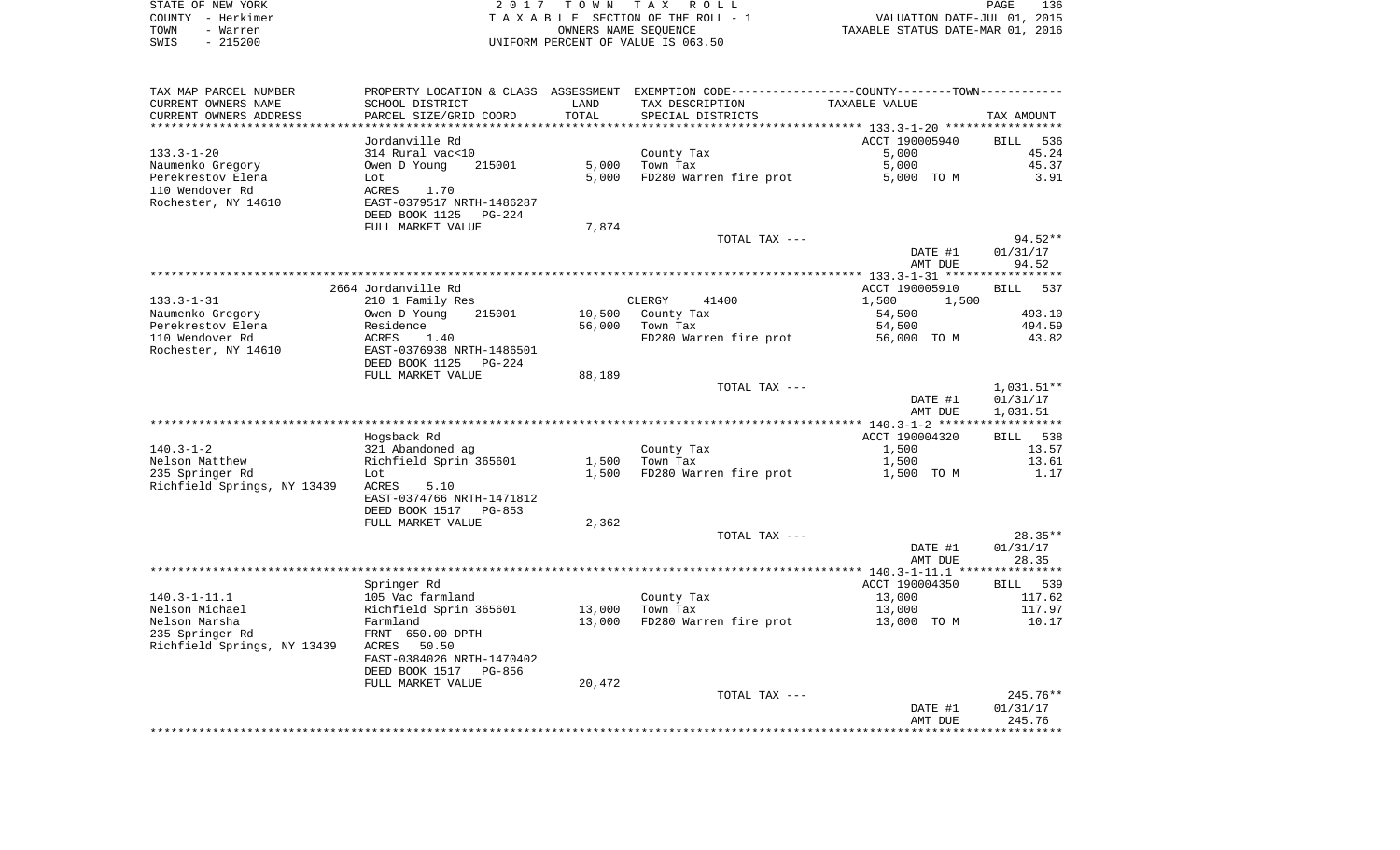|      | STATE OF NEW YORK | 2017 TOWN TAX ROLL                 | PAGE                             | 136 |
|------|-------------------|------------------------------------|----------------------------------|-----|
|      | COUNTY – Herkimer | TAXABLE SECTION OF THE ROLL - 1    | VALUATION DATE-JUL 01, 2015      |     |
| TOWN | - Warren          | OWNERS NAME SEOUENCE               | TAXABLE STATUS DATE-MAR 01, 2016 |     |
| SWIS | - 215200          | UNIFORM PERCENT OF VALUE IS 063.50 |                                  |     |

| TAX MAP PARCEL NUMBER                 |                                     |                  | PROPERTY LOCATION & CLASS ASSESSMENT EXEMPTION CODE---------------COUNTY-------TOWN---------- |                     |                    |
|---------------------------------------|-------------------------------------|------------------|-----------------------------------------------------------------------------------------------|---------------------|--------------------|
| CURRENT OWNERS NAME                   | SCHOOL DISTRICT                     | LAND             | TAX DESCRIPTION                                                                               | TAXABLE VALUE       |                    |
| CURRENT OWNERS ADDRESS                | PARCEL SIZE/GRID COORD              | TOTAL            | SPECIAL DISTRICTS                                                                             |                     | TAX AMOUNT         |
|                                       | Jordanville Rd                      |                  |                                                                                               | ACCT 190005940      | <b>BILL</b><br>536 |
| $133.3 - 1 - 20$                      | 314 Rural vac<10                    |                  | County Tax                                                                                    | 5,000               | 45.24              |
| Naumenko Gregory                      | Owen D Young<br>215001              | 5,000            | Town Tax                                                                                      | 5,000               | 45.37              |
| Perekrestov Elena                     | Lot                                 | 5,000            | FD280 Warren fire prot                                                                        | 5,000 TO M          | 3.91               |
| 110 Wendover Rd                       | ACRES<br>1.70                       |                  |                                                                                               |                     |                    |
| Rochester, NY 14610                   | EAST-0379517 NRTH-1486287           |                  |                                                                                               |                     |                    |
|                                       | DEED BOOK 1125<br>PG-224            |                  |                                                                                               |                     |                    |
|                                       | FULL MARKET VALUE                   | 7,874            |                                                                                               |                     |                    |
|                                       |                                     |                  | TOTAL TAX ---                                                                                 |                     | $94.52**$          |
|                                       |                                     |                  |                                                                                               | DATE #1             | 01/31/17           |
|                                       |                                     |                  |                                                                                               | AMT DUE             | 94.52              |
|                                       |                                     |                  |                                                                                               |                     |                    |
|                                       | 2664 Jordanville Rd                 |                  |                                                                                               | ACCT 190005910      | <b>BILL</b><br>537 |
| $133.3 - 1 - 31$                      | 210 1 Family Res                    |                  | CLERGY<br>41400                                                                               | 1,500<br>1,500      |                    |
| Naumenko Gregory<br>Perekrestov Elena | Owen D Young<br>215001<br>Residence | 10,500<br>56,000 | County Tax<br>Town Tax                                                                        | 54,500<br>54,500    | 493.10<br>494.59   |
| 110 Wendover Rd                       | ACRES<br>1.40                       |                  | FD280 Warren fire prot                                                                        | 56,000 TO M         | 43.82              |
| Rochester, NY 14610                   | EAST-0376938 NRTH-1486501           |                  |                                                                                               |                     |                    |
|                                       | DEED BOOK 1125<br>PG-224            |                  |                                                                                               |                     |                    |
|                                       | FULL MARKET VALUE                   | 88,189           |                                                                                               |                     |                    |
|                                       |                                     |                  | TOTAL TAX ---                                                                                 |                     | $1,031.51**$       |
|                                       |                                     |                  |                                                                                               | DATE #1             | 01/31/17           |
|                                       |                                     |                  |                                                                                               | AMT DUE             | 1,031.51           |
|                                       |                                     |                  |                                                                                               |                     |                    |
|                                       | Hogsback Rd                         |                  |                                                                                               | ACCT 190004320      | 538<br>BILL        |
| $140.3 - 1 - 2$                       | 321 Abandoned ag                    |                  | County Tax                                                                                    | 1,500               | 13.57              |
| Nelson Matthew<br>235 Springer Rd     | Richfield Sprin 365601              | 1,500<br>1,500   | Town Tax<br>FD280 Warren fire prot                                                            | 1,500<br>1,500 TO M | 13.61<br>1.17      |
| Richfield Springs, NY 13439           | Lot<br>ACRES<br>5.10                |                  |                                                                                               |                     |                    |
|                                       | EAST-0374766 NRTH-1471812           |                  |                                                                                               |                     |                    |
|                                       | DEED BOOK 1517<br>PG-853            |                  |                                                                                               |                     |                    |
|                                       | FULL MARKET VALUE                   | 2,362            |                                                                                               |                     |                    |
|                                       |                                     |                  | TOTAL TAX ---                                                                                 |                     | $28.35**$          |
|                                       |                                     |                  |                                                                                               | DATE #1             | 01/31/17           |
|                                       |                                     |                  |                                                                                               | AMT DUE             | 28.35              |
|                                       |                                     |                  |                                                                                               |                     |                    |
|                                       | Springer Rd                         |                  |                                                                                               | ACCT 190004350      | <b>BILL</b><br>539 |
| $140.3 - 1 - 11.1$                    | 105 Vac farmland                    |                  | County Tax                                                                                    | 13,000              | 117.62             |
| Nelson Michael                        | Richfield Sprin 365601              | 13,000           | Town Tax                                                                                      | 13,000              | 117.97             |
| Nelson Marsha<br>235 Springer Rd      | Farmland<br>FRNT 650.00 DPTH        | 13,000           | FD280 Warren fire prot                                                                        | 13,000 TO M         | 10.17              |
| Richfield Springs, NY 13439           | 50.50<br>ACRES                      |                  |                                                                                               |                     |                    |
|                                       | EAST-0384026 NRTH-1470402           |                  |                                                                                               |                     |                    |
|                                       | DEED BOOK 1517<br>PG-856            |                  |                                                                                               |                     |                    |
|                                       | FULL MARKET VALUE                   | 20,472           |                                                                                               |                     |                    |
|                                       |                                     |                  | TOTAL TAX ---                                                                                 |                     | $245.76**$         |
|                                       |                                     |                  |                                                                                               | DATE #1             | 01/31/17           |
|                                       |                                     |                  |                                                                                               | AMT DUE             | 245.76             |
|                                       |                                     |                  |                                                                                               |                     |                    |
|                                       |                                     |                  |                                                                                               |                     |                    |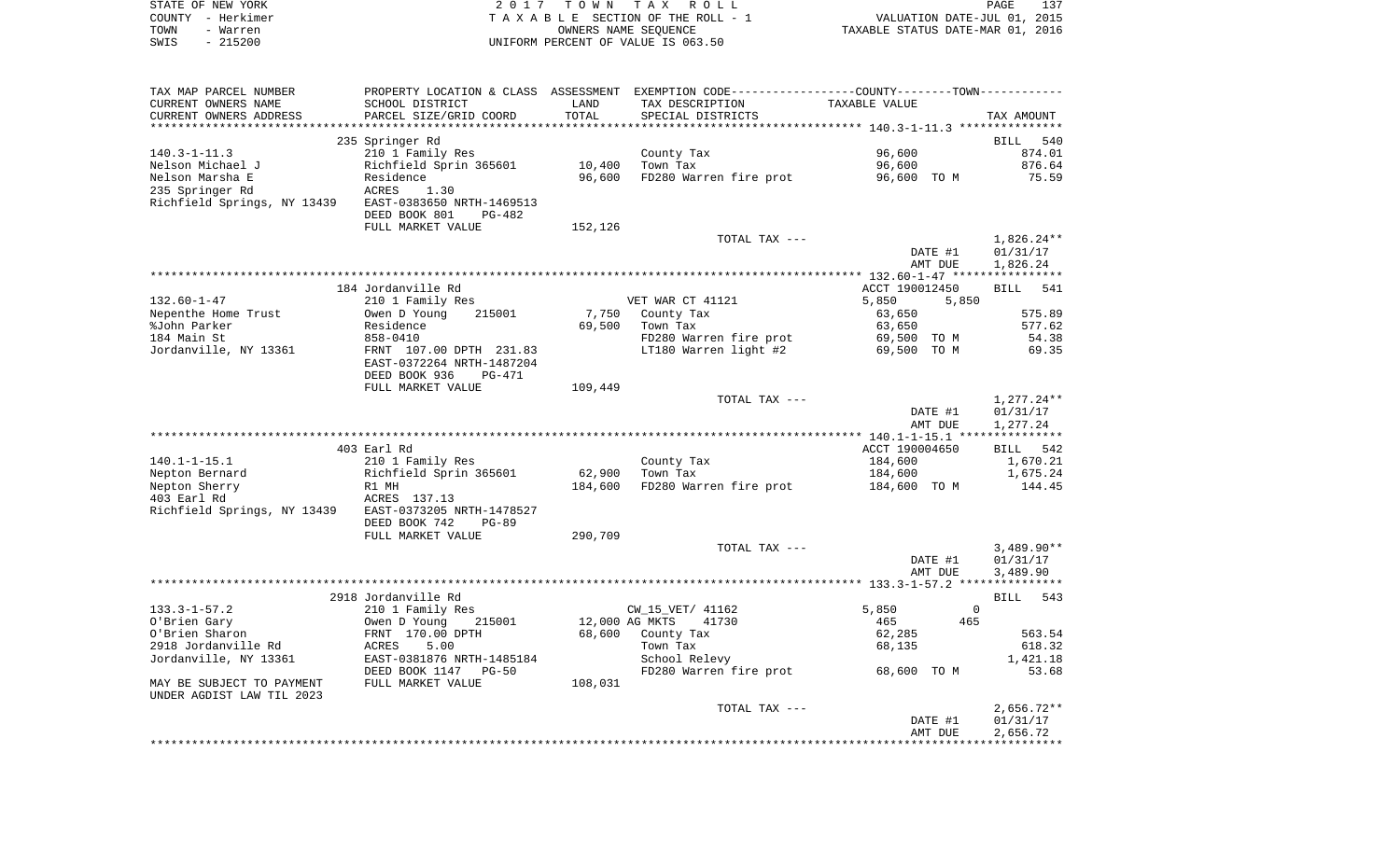|      | STATE OF NEW YORK | 2017 TOWN TAX ROLL                 | PAGE                             | 137 |
|------|-------------------|------------------------------------|----------------------------------|-----|
|      | COUNTY - Herkimer | TAXABLE SECTION OF THE ROLL - 1    | VALUATION DATE-JUL 01, 2015      |     |
| TOWN | - Warren          | OWNERS NAME SEOUENCE               | TAXABLE STATUS DATE-MAR 01, 2016 |     |
| SWIS | $-215200$         | UNIFORM PERCENT OF VALUE IS 063.50 |                                  |     |

| TAX MAP PARCEL NUMBER       |                                            |                | PROPERTY LOCATION & CLASS ASSESSMENT EXEMPTION CODE---------------COUNTY-------TOWN---------- |                |                |                    |
|-----------------------------|--------------------------------------------|----------------|-----------------------------------------------------------------------------------------------|----------------|----------------|--------------------|
| CURRENT OWNERS NAME         | SCHOOL DISTRICT                            | LAND           | TAX DESCRIPTION                                                                               | TAXABLE VALUE  |                |                    |
| CURRENT OWNERS ADDRESS      | PARCEL SIZE/GRID COORD                     | TOTAL          | SPECIAL DISTRICTS                                                                             |                |                | TAX AMOUNT         |
|                             |                                            |                |                                                                                               |                |                |                    |
|                             | 235 Springer Rd                            |                |                                                                                               |                |                | BILL 540           |
| $140.3 - 1 - 11.3$          | 210 1 Family Res                           |                | County Tax                                                                                    | 96,600         |                | 874.01             |
| Nelson Michael J            | Richfield Sprin 365601                     | 10,400         | Town Tax                                                                                      | 96,600         |                | 876.64             |
| Nelson Marsha E             | Residence                                  | 96,600         | FD280 Warren fire prot                                                                        | 96,600 TO M    |                | 75.59              |
| 235 Springer Rd             | ACRES<br>1.30                              |                |                                                                                               |                |                |                    |
| Richfield Springs, NY 13439 | EAST-0383650 NRTH-1469513                  |                |                                                                                               |                |                |                    |
|                             | DEED BOOK 801<br>PG-482                    |                |                                                                                               |                |                |                    |
|                             |                                            |                |                                                                                               |                |                |                    |
|                             | FULL MARKET VALUE                          | 152,126        |                                                                                               |                |                |                    |
|                             |                                            |                | TOTAL TAX ---                                                                                 |                |                | $1,826.24**$       |
|                             |                                            |                |                                                                                               | DATE #1        |                | 01/31/17           |
|                             |                                            |                |                                                                                               | AMT DUE        |                | 1,826.24           |
|                             |                                            |                |                                                                                               |                |                |                    |
|                             | 184 Jordanville Rd                         |                |                                                                                               | ACCT 190012450 |                | <b>BILL</b><br>541 |
| $132.60 - 1 - 47$           | 210 1 Family Res                           |                | VET WAR CT 41121                                                                              | 5,850          | 5,850          |                    |
| Nepenthe Home Trust         | 215001<br>Owen D Young                     | 7,750          | County Tax                                                                                    | 63,650         |                | 575.89             |
| %John Parker                | Residence                                  | 69,500         | Town Tax                                                                                      | 63,650         |                | 577.62             |
| 184 Main St                 | 858-0410                                   |                | FD280 Warren fire prot                                                                        | 69,500 TO M    |                | 54.38              |
| Jordanville, NY 13361       | FRNT 107.00 DPTH 231.83                    |                | LT180 Warren light #2                                                                         | 69,500 TO M    |                | 69.35              |
|                             | EAST-0372264 NRTH-1487204                  |                |                                                                                               |                |                |                    |
|                             | DEED BOOK 936<br><b>PG-471</b>             |                |                                                                                               |                |                |                    |
|                             | FULL MARKET VALUE                          | 109,449        |                                                                                               |                |                |                    |
|                             |                                            |                | TOTAL TAX ---                                                                                 |                |                | $1,277.24**$       |
|                             |                                            |                |                                                                                               | DATE #1        |                | 01/31/17           |
|                             |                                            |                |                                                                                               | AMT DUE        |                | 1,277.24           |
|                             |                                            |                |                                                                                               |                |                |                    |
|                             | 403 Earl Rd                                |                |                                                                                               | ACCT 190004650 |                | BILL<br>542        |
| $140.1 - 1 - 15.1$          | 210 1 Family Res                           |                | County Tax                                                                                    | 184,600        |                | 1,670.21           |
| Nepton Bernard              | Richfield Sprin 365601                     | 62,900         | Town Tax                                                                                      | 184,600        |                | 1,675.24           |
| Nepton Sherry               | R1 MH                                      | 184,600        | FD280 Warren fire prot                                                                        | 184,600 TO M   |                | 144.45             |
| 403 Earl Rd                 | ACRES 137.13                               |                |                                                                                               |                |                |                    |
| Richfield Springs, NY 13439 | EAST-0373205 NRTH-1478527                  |                |                                                                                               |                |                |                    |
|                             | DEED BOOK 742<br>$PG-89$                   |                |                                                                                               |                |                |                    |
|                             | FULL MARKET VALUE                          | 290,709        |                                                                                               |                |                |                    |
|                             |                                            |                | TOTAL TAX ---                                                                                 |                |                | $3,489.90**$       |
|                             |                                            |                |                                                                                               | DATE #1        |                | 01/31/17           |
|                             |                                            |                |                                                                                               | AMT DUE        |                | 3,489.90           |
|                             |                                            |                |                                                                                               |                |                |                    |
|                             | 2918 Jordanville Rd                        |                |                                                                                               |                |                | BILL<br>543        |
| $133.3 - 1 - 57.2$          | 210 1 Family Res                           |                | CW_15_VET/ 41162                                                                              | 5,850          | $\overline{0}$ |                    |
| O'Brien Gary                |                                            | 12,000 AG MKTS | 41730                                                                                         | 465            | 465            |                    |
| O'Brien Sharon              | Owen D Young<br>215001<br>FRNT 170.00 DPTH | 68,600         | County Tax                                                                                    | 62,285         |                | 563.54             |
|                             |                                            |                |                                                                                               |                |                |                    |
| 2918 Jordanville Rd         | 5.00<br>ACRES                              |                | Town Tax                                                                                      | 68,135         |                | 618.32             |
| Jordanville, NY 13361       | EAST-0381876 NRTH-1485184                  |                | School Relevy                                                                                 |                |                | 1,421.18           |
|                             | DEED BOOK 1147<br>$PG-50$                  |                | FD280 Warren fire prot                                                                        | 68,600 TO M    |                | 53.68              |
| MAY BE SUBJECT TO PAYMENT   | FULL MARKET VALUE                          | 108,031        |                                                                                               |                |                |                    |
| UNDER AGDIST LAW TIL 2023   |                                            |                |                                                                                               |                |                |                    |
|                             |                                            |                | TOTAL TAX ---                                                                                 |                |                | $2,656.72**$       |
|                             |                                            |                |                                                                                               | DATE #1        |                | 01/31/17           |
|                             |                                            |                |                                                                                               | AMT DUE        |                | 2,656.72           |
|                             |                                            |                |                                                                                               |                |                |                    |
|                             |                                            |                |                                                                                               |                |                |                    |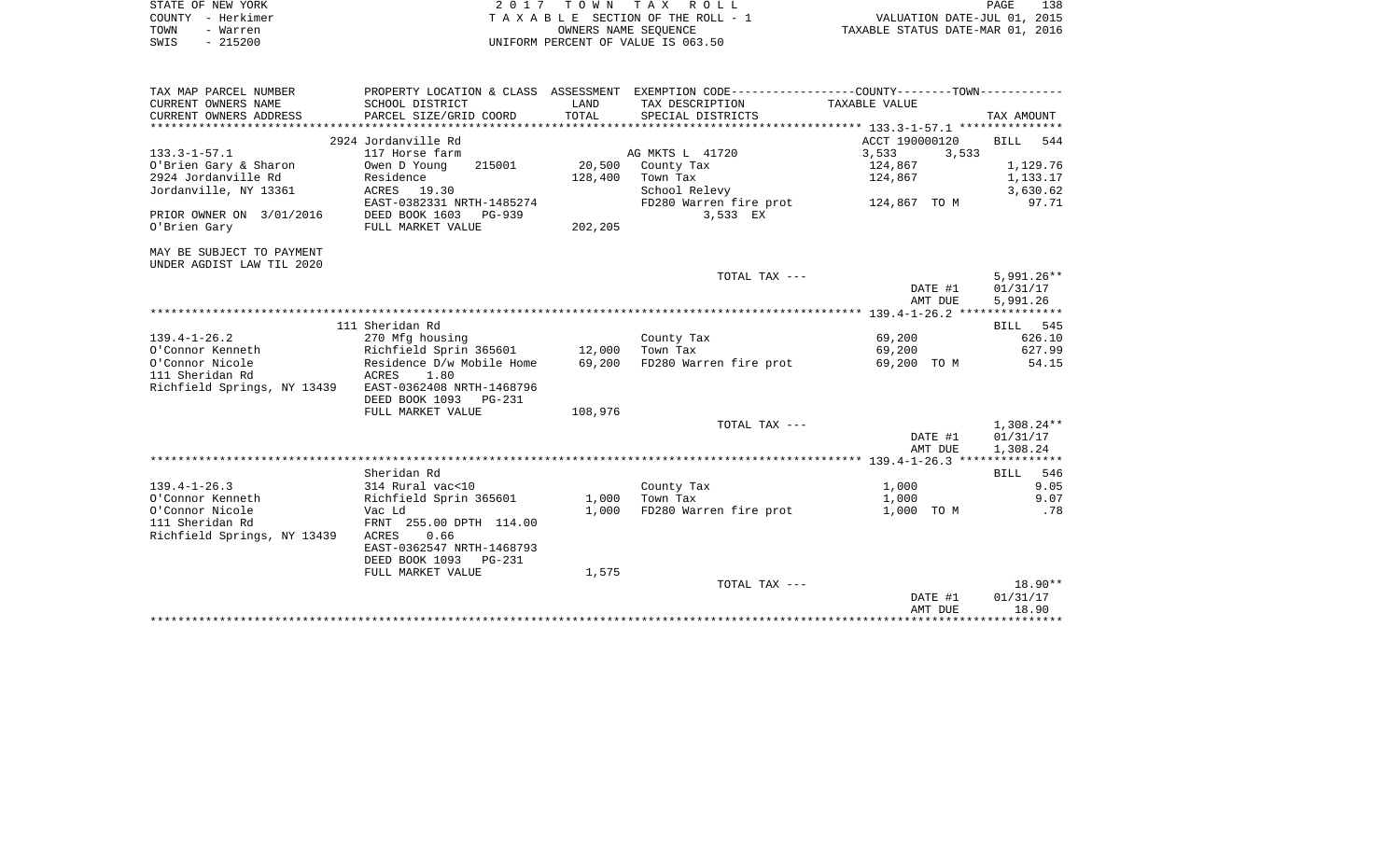| STATE OF NEW YORK<br>COUNTY - Herkimer<br>TOWN<br>- Warren<br>$-215200$<br>SWIS |                                            |               | 2017 TOWN TAX ROLL<br>TAXABLE SECTION OF THE ROLL - 1<br>OWNERS NAME SEOUENCE<br>UNIFORM PERCENT OF VALUE IS 063.50                   | VALUATION DATE-JUL 01, 2015<br>TAXABLE STATUS DATE-MAR 01, 2016 | PAGE<br>138        |
|---------------------------------------------------------------------------------|--------------------------------------------|---------------|---------------------------------------------------------------------------------------------------------------------------------------|-----------------------------------------------------------------|--------------------|
| TAX MAP PARCEL NUMBER<br>CURRENT OWNERS NAME<br>CURRENT OWNERS ADDRESS          | SCHOOL DISTRICT<br>PARCEL SIZE/GRID COORD  | LAND<br>TOTAL | PROPERTY LOCATION & CLASS ASSESSMENT EXEMPTION CODE---------------COUNTY-------TOWN----------<br>TAX DESCRIPTION<br>SPECIAL DISTRICTS | TAXABLE VALUE                                                   | TAX AMOUNT         |
|                                                                                 | 2924 Jordanville Rd                        |               |                                                                                                                                       | ACCT 190000120                                                  | <b>BILL</b><br>544 |
| $133.3 - 1 - 57.1$                                                              | 117 Horse farm                             |               | AG MKTS L 41720                                                                                                                       | 3,533<br>3,533                                                  |                    |
| O'Brien Gary & Sharon                                                           | Owen D Young<br>215001                     | 20,500        | County Tax                                                                                                                            | 124,867                                                         | 1,129.76           |
| 2924 Jordanville Rd                                                             | Residence                                  | 128,400       | Town Tax                                                                                                                              | 124,867                                                         | 1,133.17           |
| Jordanville, NY 13361                                                           | ACRES 19.30                                |               | School Relevy                                                                                                                         |                                                                 | 3,630.62           |
|                                                                                 | EAST-0382331 NRTH-1485274                  |               | FD280 Warren fire prot                                                                                                                | 124,867 TO M                                                    | 97.71              |
| PRIOR OWNER ON 3/01/2016                                                        | DEED BOOK 1603<br>PG-939                   |               | 3,533 EX                                                                                                                              |                                                                 |                    |
| O'Brien Gary                                                                    | FULL MARKET VALUE                          | 202,205       |                                                                                                                                       |                                                                 |                    |
| MAY BE SUBJECT TO PAYMENT<br>UNDER AGDIST LAW TIL 2020                          |                                            |               | TOTAL TAX ---                                                                                                                         |                                                                 | $5.991.26**$       |
|                                                                                 |                                            |               |                                                                                                                                       | DATE #1                                                         | 01/31/17           |
|                                                                                 |                                            |               |                                                                                                                                       | AMT DUE                                                         | 5,991.26           |
|                                                                                 |                                            |               |                                                                                                                                       |                                                                 |                    |
|                                                                                 | 111 Sheridan Rd                            |               |                                                                                                                                       |                                                                 | 545<br><b>BILL</b> |
| $139.4 - 1 - 26.2$                                                              | 270 Mfg housing                            |               | County Tax                                                                                                                            | 69,200                                                          | 626.10             |
| O'Connor Kenneth                                                                | Richfield Sprin 365601 12,000              |               | Town Tax                                                                                                                              | 69,200                                                          | 627.99             |
| O'Connor Nicole                                                                 | Residence D/w Mobile Home                  | 69,200        | FD280 Warren fire prot                                                                                                                | 69,200 TO M                                                     | 54.15              |
| 111 Sheridan Rd                                                                 | 1.80<br>ACRES<br>EAST-0362408 NRTH-1468796 |               |                                                                                                                                       |                                                                 |                    |
| Richfield Springs, NY 13439                                                     | DEED BOOK 1093 PG-231                      |               |                                                                                                                                       |                                                                 |                    |
|                                                                                 | FULL MARKET VALUE                          | 108,976       |                                                                                                                                       |                                                                 |                    |
|                                                                                 |                                            |               | TOTAL TAX ---                                                                                                                         |                                                                 | $1,308.24**$       |
|                                                                                 |                                            |               |                                                                                                                                       | DATE #1                                                         | 01/31/17           |

|                             |                           |       |                        | AMT DUE            | 1,308.24        |
|-----------------------------|---------------------------|-------|------------------------|--------------------|-----------------|
|                             |                           |       |                        | $139.4 - 1 - 26.3$ | *************** |
|                             | Sheridan Rd               |       |                        |                    | 546<br>BILL     |
| $139.4 - 1 - 26.3$          | 314 Rural vac<10          |       | County Tax             | 1,000              | 9.05            |
| O'Connor Kenneth            | Richfield Sprin 365601    | 1,000 | Town Tax               | 1,000              | 9.07            |
| O'Connor Nicole             | Vac Ld                    | 1,000 | FD280 Warren fire prot | 1,000<br>TO M      | .78             |
| 111 Sheridan Rd             | FRNT 255.00 DPTH 114.00   |       |                        |                    |                 |
| Richfield Springs, NY 13439 | 0.66<br>ACRES             |       |                        |                    |                 |
|                             | EAST-0362547 NRTH-1468793 |       |                        |                    |                 |
|                             | DEED BOOK 1093 PG-231     |       |                        |                    |                 |
|                             | FULL MARKET VALUE         | 1,575 |                        |                    |                 |
|                             |                           |       | TOTAL TAX ---          |                    | $18.90**$       |
|                             |                           |       |                        | DATE #1            | 01/31/17        |
|                             |                           |       |                        | AMT DUE            | 18.90           |

\*\*\*\*\*\*\*\*\*\*\*\*\*\*\*\*\*\*\*\*\*\*\*\*\*\*\*\*\*\*\*\*\*\*\*\*\*\*\*\*\*\*\*\*\*\*\*\*\*\*\*\*\*\*\*\*\*\*\*\*\*\*\*\*\*\*\*\*\*\*\*\*\*\*\*\*\*\*\*\*\*\*\*\*\*\*\*\*\*\*\*\*\*\*\*\*\*\*\*\*\*\*\*\*\*\*\*\*\*\*\*\*\*\*\*\*\*\*\*\*\*\*\*\*\*\*\*\*\*\*\*\*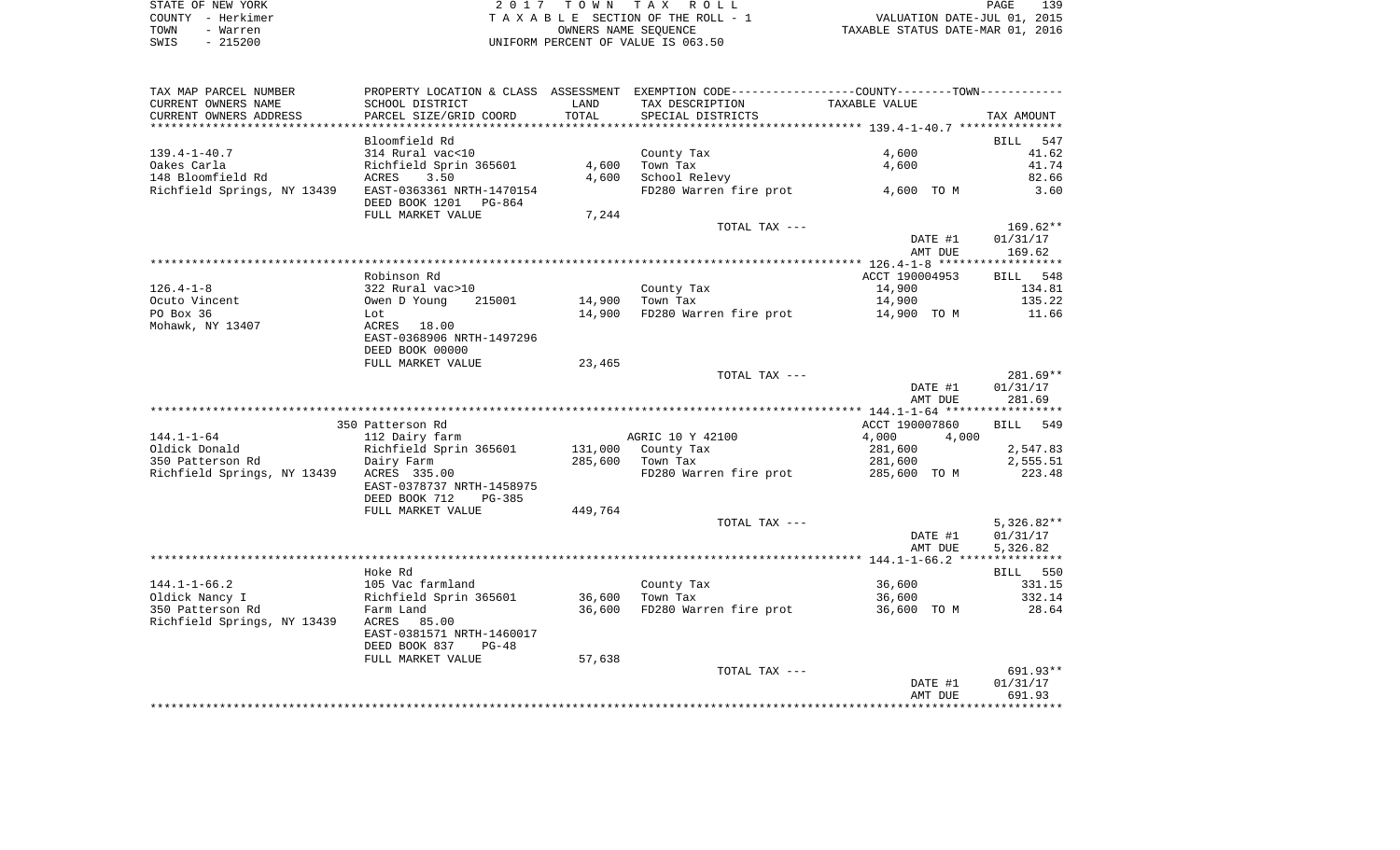| STATE OF NEW YORK | 2017 TOWN TAX ROLL                 | 139<br>PAGE                      |
|-------------------|------------------------------------|----------------------------------|
| COUNTY - Herkimer | TAXABLE SECTION OF THE ROLL - 1    | VALUATION DATE-JUL 01, 2015      |
| TOWN<br>- Warren  | OWNERS NAME SEOUENCE               | TAXABLE STATUS DATE-MAR 01, 2016 |
| $-215200$<br>SWIS | UNIFORM PERCENT OF VALUE IS 063.50 |                                  |

139<br>2015

| TAX MAP PARCEL NUMBER                                 | PROPERTY LOCATION & CLASS ASSESSMENT EXEMPTION CODE----------------COUNTY-------TOWN---------- |         |                               |                |                    |
|-------------------------------------------------------|------------------------------------------------------------------------------------------------|---------|-------------------------------|----------------|--------------------|
| CURRENT OWNERS NAME                                   | SCHOOL DISTRICT                                                                                | LAND    | TAX DESCRIPTION               | TAXABLE VALUE  |                    |
| CURRENT OWNERS ADDRESS                                | PARCEL SIZE/GRID COORD                                                                         | TOTAL   | SPECIAL DISTRICTS             |                | TAX AMOUNT         |
|                                                       |                                                                                                |         |                               |                |                    |
|                                                       | Bloomfield Rd                                                                                  |         |                               |                | 547<br><b>BILL</b> |
| $139.4 - 1 - 40.7$                                    | 314 Rural vac<10                                                                               |         | County Tax                    | 4,600          | 41.62              |
| Oakes Carla                                           | Richfield Sprin 365601                                                                         | 4,600   | Town Tax                      | 4,600          | 41.74              |
| 148 Bloomfield Rd                                     | 3.50<br>ACRES                                                                                  | 4,600   | School Relevy                 |                | 82.66              |
| Richfield Springs, NY 13439 EAST-0363361 NRTH-1470154 |                                                                                                |         | FD280 Warren fire prot        | 4,600 TO M     | 3.60               |
|                                                       | DEED BOOK 1201 PG-864                                                                          |         |                               |                |                    |
|                                                       | FULL MARKET VALUE                                                                              | 7,244   |                               |                |                    |
|                                                       |                                                                                                |         | TOTAL TAX ---                 |                | $169.62**$         |
|                                                       |                                                                                                |         |                               | DATE #1        | 01/31/17           |
|                                                       |                                                                                                |         |                               | AMT DUE        | 169.62             |
|                                                       |                                                                                                |         |                               |                |                    |
|                                                       | Robinson Rd                                                                                    |         |                               | ACCT 190004953 | BILL 548           |
| $126.4 - 1 - 8$                                       | 322 Rural vac>10                                                                               |         | County Tax                    | 14,900         | 134.81             |
| Ocuto Vincent                                         | Owen D Young<br>215001                                                                         | 14,900  | Town Tax                      | 14,900         | 135.22             |
| PO Box 36                                             | Lot                                                                                            | 14,900  | FD280 Warren fire prot        | 14,900 TO M    | 11.66              |
| Mohawk, NY 13407                                      | ACRES 18.00                                                                                    |         |                               |                |                    |
|                                                       | EAST-0368906 NRTH-1497296                                                                      |         |                               |                |                    |
|                                                       | DEED BOOK 00000                                                                                |         |                               |                |                    |
|                                                       | FULL MARKET VALUE                                                                              | 23,465  |                               |                |                    |
|                                                       |                                                                                                |         | TOTAL TAX ---                 |                | 281.69**           |
|                                                       |                                                                                                |         |                               | DATE #1        | 01/31/17           |
|                                                       |                                                                                                |         |                               | AMT DUE        | 281.69             |
|                                                       |                                                                                                |         |                               |                |                    |
|                                                       | 350 Patterson Rd                                                                               |         |                               | ACCT 190007860 | BILL 549           |
| $144.1 - 1 - 64$                                      | 112 Dairy farm                                                                                 |         | AGRIC 10 Y 42100              | 4,000<br>4,000 |                    |
| Oldick Donald                                         | Richfield Sprin 365601                                                                         | 131,000 | County Tax                    | 281,600        | 2,547.83           |
| 350 Patterson Rd                                      | Dairy Farm                                                                                     | 285,600 | Town Tax                      | 281,600        | 2,555.51           |
| Richfield Springs, NY 13439 ACRES 335.00              |                                                                                                |         | FD280 Warren fire prot        | 285,600 TO M   | 223.48             |
|                                                       | EAST-0378737 NRTH-1458975                                                                      |         |                               |                |                    |
|                                                       | DEED BOOK 712<br>PG-385                                                                        |         |                               |                |                    |
|                                                       | FULL MARKET VALUE                                                                              | 449,764 |                               |                |                    |
|                                                       |                                                                                                |         | TOTAL TAX ---                 |                | $5,326.82**$       |
|                                                       |                                                                                                |         |                               | DATE #1        | 01/31/17           |
|                                                       |                                                                                                |         |                               | AMT DUE        | 5,326.82           |
|                                                       |                                                                                                |         |                               |                |                    |
|                                                       | Hoke Rd                                                                                        |         |                               |                | BILL 550           |
| $144.1 - 1 - 66.2$                                    | 105 Vac farmland                                                                               |         | County Tax                    | 36,600         | 331.15             |
| Oldick Nancy I                                        | Richfield Sprin 365601                                                                         | 36,600  | Town Tax                      | 36,600         | 332.14             |
| 350 Patterson Rd                                      | Farm Land                                                                                      |         | 36,600 FD280 Warren fire prot | 36,600 TO M    | 28.64              |
| Richfield Springs, NY 13439                           | ACRES<br>85.00                                                                                 |         |                               |                |                    |
|                                                       | EAST-0381571 NRTH-1460017                                                                      |         |                               |                |                    |
|                                                       | DEED BOOK 837<br>$PG-48$                                                                       |         |                               |                |                    |
|                                                       | FULL MARKET VALUE                                                                              | 57,638  |                               |                |                    |
|                                                       |                                                                                                |         | TOTAL TAX ---                 |                | 691.93**           |
|                                                       |                                                                                                |         |                               | DATE #1        | 01/31/17           |
|                                                       |                                                                                                |         |                               | AMT DUE        | 691.93             |
|                                                       |                                                                                                |         |                               |                |                    |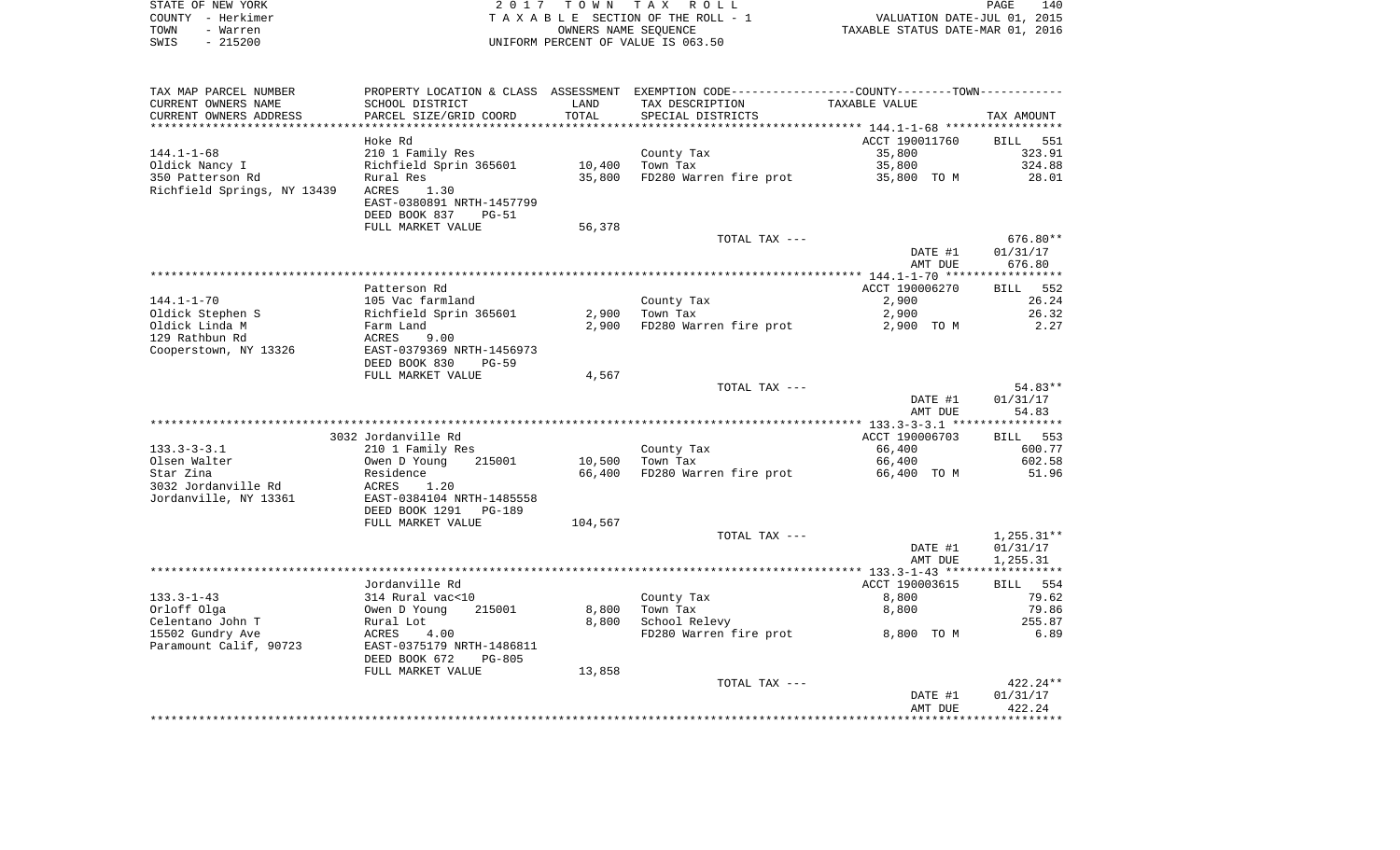| STATE OF NEW YORK | 2017 TOWN TAX ROLL                 | 140<br><b>PAGE</b>               |
|-------------------|------------------------------------|----------------------------------|
| COUNTY - Herkimer | TAXABLE SECTION OF THE ROLL - 1    | VALUATION DATE-JUL 01, 2015      |
| TOWN<br>- Warren  | OWNERS NAME SEOUENCE               | TAXABLE STATUS DATE-MAR 01, 2016 |
| $-215200$<br>SWIS | UNIFORM PERCENT OF VALUE IS 063.50 |                                  |

| TAX MAP PARCEL NUMBER       | PROPERTY LOCATION & CLASS ASSESSMENT EXEMPTION CODE----------------COUNTY-------TOWN----------- |         |                        |                |                    |
|-----------------------------|-------------------------------------------------------------------------------------------------|---------|------------------------|----------------|--------------------|
| CURRENT OWNERS NAME         | SCHOOL DISTRICT                                                                                 | LAND    | TAX DESCRIPTION        | TAXABLE VALUE  |                    |
| CURRENT OWNERS ADDRESS      | PARCEL SIZE/GRID COORD                                                                          | TOTAL   | SPECIAL DISTRICTS      |                | TAX AMOUNT         |
|                             |                                                                                                 |         |                        |                |                    |
|                             | Hoke Rd                                                                                         |         |                        | ACCT 190011760 | <b>BILL</b><br>551 |
| 144.1-1-68                  | 210 1 Family Res                                                                                |         | County Tax             | 35,800         | 323.91             |
| Oldick Nancy I              | Richfield Sprin 365601                                                                          | 10,400  | Town Tax               | 35,800         | 324.88             |
| 350 Patterson Rd            | Rural Res                                                                                       | 35,800  | FD280 Warren fire prot | 35,800 TO M    | 28.01              |
| Richfield Springs, NY 13439 | ACRES<br>1.30                                                                                   |         |                        |                |                    |
|                             | EAST-0380891 NRTH-1457799                                                                       |         |                        |                |                    |
|                             | DEED BOOK 837<br>$PG-51$                                                                        |         |                        |                |                    |
|                             | FULL MARKET VALUE                                                                               | 56,378  |                        |                |                    |
|                             |                                                                                                 |         | TOTAL TAX ---          |                | 676.80**           |
|                             |                                                                                                 |         |                        | DATE #1        | 01/31/17           |
|                             |                                                                                                 |         |                        | AMT DUE        | 676.80             |
|                             |                                                                                                 |         |                        |                |                    |
|                             | Patterson Rd                                                                                    |         |                        | ACCT 190006270 | 552<br>BILL        |
| $144.1 - 1 - 70$            | 105 Vac farmland                                                                                |         | County Tax             | 2,900          | 26.24              |
| Oldick Stephen S            | Richfield Sprin 365601                                                                          | 2,900   | Town Tax               | 2,900          | 26.32              |
| Oldick Linda M              | Farm Land                                                                                       | 2,900   | FD280 Warren fire prot | 2,900 TO M     | 2.27               |
| 129 Rathbun Rd              | ACRES<br>9.00                                                                                   |         |                        |                |                    |
| Cooperstown, NY 13326       | EAST-0379369 NRTH-1456973                                                                       |         |                        |                |                    |
|                             | DEED BOOK 830<br>PG-59                                                                          |         |                        |                |                    |
|                             | FULL MARKET VALUE                                                                               | 4,567   |                        |                |                    |
|                             |                                                                                                 |         | TOTAL TAX ---          |                | 54.83**            |
|                             |                                                                                                 |         |                        | DATE #1        | 01/31/17           |
|                             |                                                                                                 |         |                        | AMT DUE        | 54.83              |
|                             |                                                                                                 |         |                        |                |                    |
|                             | 3032 Jordanville Rd                                                                             |         |                        | ACCT 190006703 | BILL 553           |
| $133.3 - 3 - 3.1$           | 210 1 Family Res                                                                                |         | County Tax             | 66,400         | 600.77             |
| Olsen Walter                | Owen D Young<br>215001                                                                          | 10,500  | Town Tax               | 66,400         | 602.58             |
| Star Zina                   | Residence                                                                                       | 66,400  | FD280 Warren fire prot | 66,400 TO M    | 51.96              |
| 3032 Jordanville Rd         | ACRES<br>1.20                                                                                   |         |                        |                |                    |
| Jordanville, NY 13361       | EAST-0384104 NRTH-1485558                                                                       |         |                        |                |                    |
|                             | DEED BOOK 1291<br>PG-189                                                                        |         |                        |                |                    |
|                             | FULL MARKET VALUE                                                                               | 104,567 |                        |                |                    |
|                             |                                                                                                 |         | TOTAL TAX ---          |                | $1,255.31**$       |
|                             |                                                                                                 |         |                        | DATE #1        | 01/31/17           |
|                             |                                                                                                 |         |                        | AMT DUE        | 1,255.31           |
|                             |                                                                                                 |         |                        |                |                    |
|                             | Jordanville Rd                                                                                  |         |                        | ACCT 190003615 | BILL 554           |
| $133.3 - 1 - 43$            | 314 Rural vac<10                                                                                |         | County Tax             | 8,800          | 79.62              |
| Orloff Olga                 | Owen D Young<br>215001                                                                          | 8,800   | Town Tax               | 8,800          | 79.86              |
| Celentano John T            | Rural Lot                                                                                       | 8,800   | School Relevy          |                | 255.87             |
| 15502 Gundry Ave            | ACRES<br>4.00                                                                                   |         | FD280 Warren fire prot | 8,800 TO M     | 6.89               |
| Paramount Calif, 90723      | EAST-0375179 NRTH-1486811                                                                       |         |                        |                |                    |
|                             | DEED BOOK 672<br>$PG-805$                                                                       |         |                        |                |                    |
|                             | FULL MARKET VALUE                                                                               | 13,858  |                        |                |                    |
|                             |                                                                                                 |         | TOTAL TAX ---          |                | 422.24**           |
|                             |                                                                                                 |         |                        | DATE #1        | 01/31/17<br>422.24 |
|                             |                                                                                                 |         |                        | AMT DUE        |                    |
|                             |                                                                                                 |         |                        |                |                    |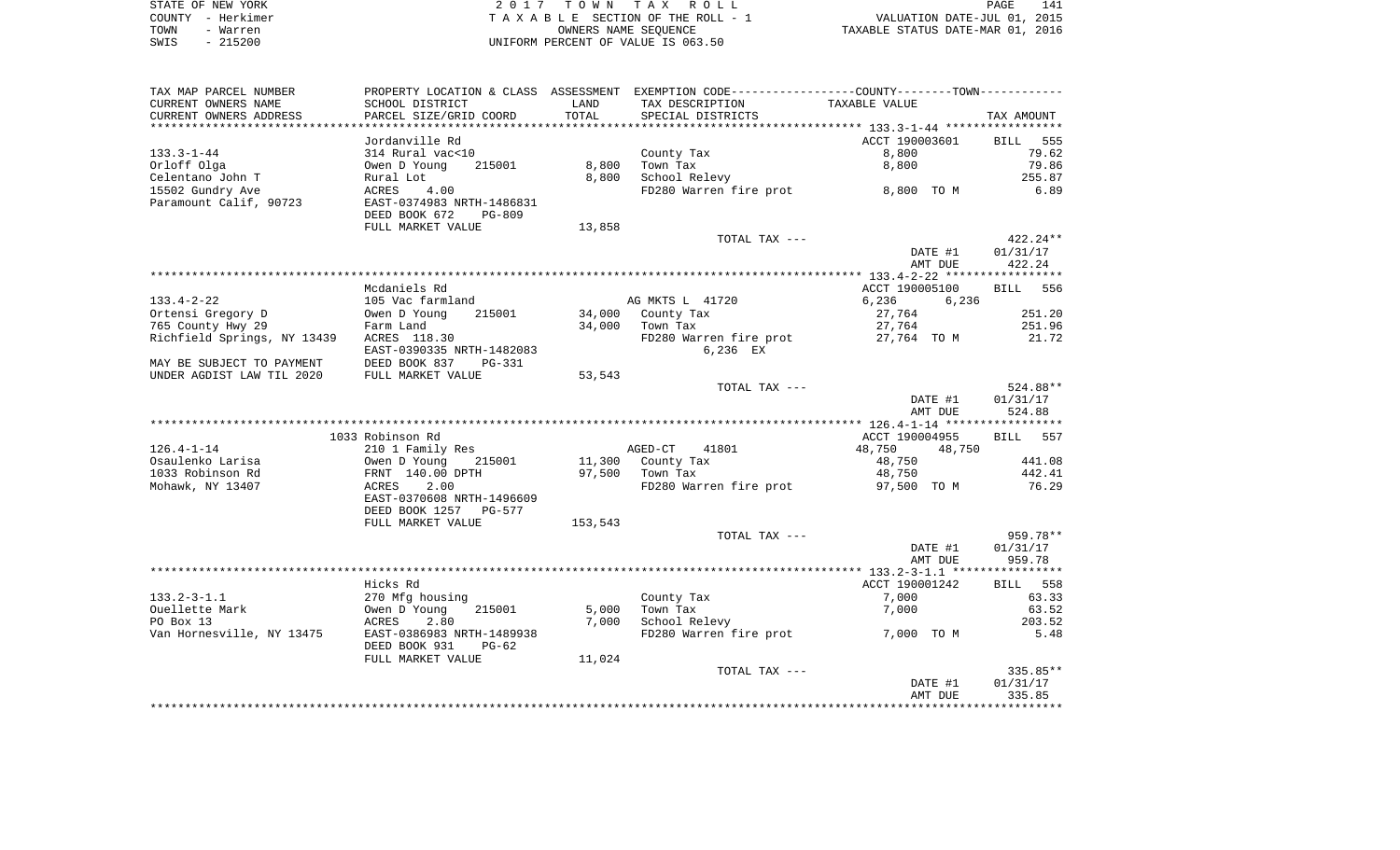|      | STATE OF NEW YORK | 2017 TOWN TAX ROLL                 | 141<br><b>PAGE</b>               |
|------|-------------------|------------------------------------|----------------------------------|
|      | COUNTY - Herkimer | TAXABLE SECTION OF THE ROLL - 1    | VALUATION DATE-JUL 01, 2015      |
| TOWN | - Warren          | OWNERS NAME SEOUENCE               | TAXABLE STATUS DATE-MAR 01, 2016 |
| SWIS | $-215200$         | UNIFORM PERCENT OF VALUE IS 063.50 |                                  |

| TAX MAP PARCEL NUMBER                                 |                                  |         | PROPERTY LOCATION & CLASS ASSESSMENT EXEMPTION CODE---------------COUNTY--------TOWN---------- |                    |                                                                                                                                     |
|-------------------------------------------------------|----------------------------------|---------|------------------------------------------------------------------------------------------------|--------------------|-------------------------------------------------------------------------------------------------------------------------------------|
| CURRENT OWNERS NAME                                   | SCHOOL DISTRICT                  | LAND    | TAX DESCRIPTION                                                                                | TAXABLE VALUE      |                                                                                                                                     |
| CURRENT OWNERS ADDRESS                                | PARCEL SIZE/GRID COORD           | TOTAL   | SPECIAL DISTRICTS                                                                              |                    | TAX AMOUNT                                                                                                                          |
|                                                       | Jordanville Rd                   |         |                                                                                                | ACCT 190003601     | BILL<br>555                                                                                                                         |
| $133.3 - 1 - 44$                                      | 314 Rural vac<10                 |         | County Tax                                                                                     | 8,800              | 79.62                                                                                                                               |
| Orloff Olga                                           | Owen D Young<br>215001           |         | 8,800 Town Tax                                                                                 | 8,800              | 79.86                                                                                                                               |
| Celentano John T                                      | Rural Lot                        |         | 8,800 School Relevy                                                                            |                    | 255.87                                                                                                                              |
| 15502 Gundry Ave                                      | 4.00<br>ACRES                    |         | FD280 Warren fire prot 8,800 TO M                                                              |                    | 6.89                                                                                                                                |
| Paramount Calif, 90723                                | EAST-0374983 NRTH-1486831        |         |                                                                                                |                    |                                                                                                                                     |
|                                                       | DEED BOOK 672 PG-809             |         |                                                                                                |                    |                                                                                                                                     |
|                                                       | FULL MARKET VALUE                | 13,858  |                                                                                                |                    |                                                                                                                                     |
|                                                       |                                  |         | TOTAL TAX ---                                                                                  |                    | $422.24**$                                                                                                                          |
|                                                       |                                  |         |                                                                                                | DATE #1            | 01/31/17                                                                                                                            |
|                                                       |                                  |         |                                                                                                | AMT DUE            | 422.24                                                                                                                              |
|                                                       |                                  |         |                                                                                                |                    |                                                                                                                                     |
|                                                       | Mcdaniels Rd                     |         |                                                                                                | ACCT 190005100     | BILL 556                                                                                                                            |
| $133.4 - 2 - 22$                                      | 105 Vac farmland                 |         | AG MKTS L 41720                                                                                | 6,236<br>6,236     |                                                                                                                                     |
| Ortensi Gregory D                                     |                                  |         | 34,000 County Tax                                                                              | 27,764             | 251.20                                                                                                                              |
| 765 County Hwy 29                                     | Owen D Young 215001<br>Farm Land |         | $34,000$ Town Tax                                                                              | 27,764             | 251.96                                                                                                                              |
| rarm Land<br>Richfield Springs, NY 13439 ACRES 118.30 |                                  |         | FD280 Warren fire prot                                                                         | 27,764 TO M        | 21.72                                                                                                                               |
|                                                       | EAST-0390335 NRTH-1482083        |         | 6,236 EX                                                                                       |                    |                                                                                                                                     |
| MAY BE SUBJECT TO PAYMENT                             | DEED BOOK 837 PG-331             |         |                                                                                                |                    |                                                                                                                                     |
| UNDER AGDIST LAW TIL 2020                             | FULL MARKET VALUE                | 53,543  |                                                                                                |                    |                                                                                                                                     |
|                                                       |                                  |         |                                                                                                |                    | 524.88**                                                                                                                            |
|                                                       |                                  |         | TOTAL TAX ---                                                                                  |                    |                                                                                                                                     |
|                                                       |                                  |         |                                                                                                | DATE #1            | 01/31/17                                                                                                                            |
|                                                       |                                  |         |                                                                                                | AMT DUE            | 524.88                                                                                                                              |
|                                                       |                                  |         |                                                                                                |                    |                                                                                                                                     |
|                                                       | 1033 Robinson Rd                 |         |                                                                                                | ACCT 190004955     |                                                                                                                                     |
| $126.4 - 1 - 14$                                      | 210 1 Family Res                 |         | AGED-CT 41801                                                                                  | 48,750<br>48,750   |                                                                                                                                     |
| Osaulenko Larisa                                      | Owen D Young 215001              |         | 11,300 County Tax                                                                              | 48,750             |                                                                                                                                     |
| 1033 Robinson Rd                                      | FRNT 140.00 DPTH                 |         | 11,300 County Tax<br>97,500 Town Tax                                                           | 48,750             |                                                                                                                                     |
| Mohawk, NY 13407                                      | 2.00<br>ACRES                    |         | FD280 Warren fire prot 97,500 TO M                                                             |                    |                                                                                                                                     |
|                                                       | EAST-0370608 NRTH-1496609        |         |                                                                                                |                    |                                                                                                                                     |
|                                                       | DEED BOOK 1257 PG-577            |         |                                                                                                |                    |                                                                                                                                     |
|                                                       | FULL MARKET VALUE                | 153,543 |                                                                                                |                    |                                                                                                                                     |
|                                                       |                                  |         | TOTAL TAX ---                                                                                  |                    |                                                                                                                                     |
|                                                       |                                  |         |                                                                                                | DATE #1            | 01/31/17                                                                                                                            |
|                                                       |                                  |         |                                                                                                | AMT DUE            | 959.78                                                                                                                              |
|                                                       |                                  |         |                                                                                                |                    |                                                                                                                                     |
|                                                       | Hicks Rd                         |         |                                                                                                | ACCT 190001242     |                                                                                                                                     |
| $133.2 - 3 - 1.1$                                     | 270 Mfg housing                  |         | County Tax                                                                                     | 7,000              |                                                                                                                                     |
| Ouellette Mark                                        | Owen D Young<br>215001           |         | 5,000 Town Tax                                                                                 | 7,000              |                                                                                                                                     |
| PO Box 13                                             | ACRES<br>2.80                    |         | 7,000 School Relevy                                                                            |                    |                                                                                                                                     |
| Van Hornesville, NY 13475                             | EAST-0386983 NRTH-1489938        |         | FD280 Warren fire prot 7,000 TO M                                                              |                    |                                                                                                                                     |
|                                                       | DEED BOOK 931 PG-62              |         |                                                                                                |                    |                                                                                                                                     |
|                                                       | FULL MARKET VALUE                | 11,024  |                                                                                                |                    |                                                                                                                                     |
|                                                       |                                  |         | TOTAL TAX ---                                                                                  |                    |                                                                                                                                     |
|                                                       |                                  |         |                                                                                                | DATE #1<br>AMT DUE | BILL 557<br>441.08<br>442.41<br>76.29<br>959.78**<br>BILL 558<br>63.33<br>63.52<br>203.52<br>5.48<br>335.85**<br>01/31/17<br>335.85 |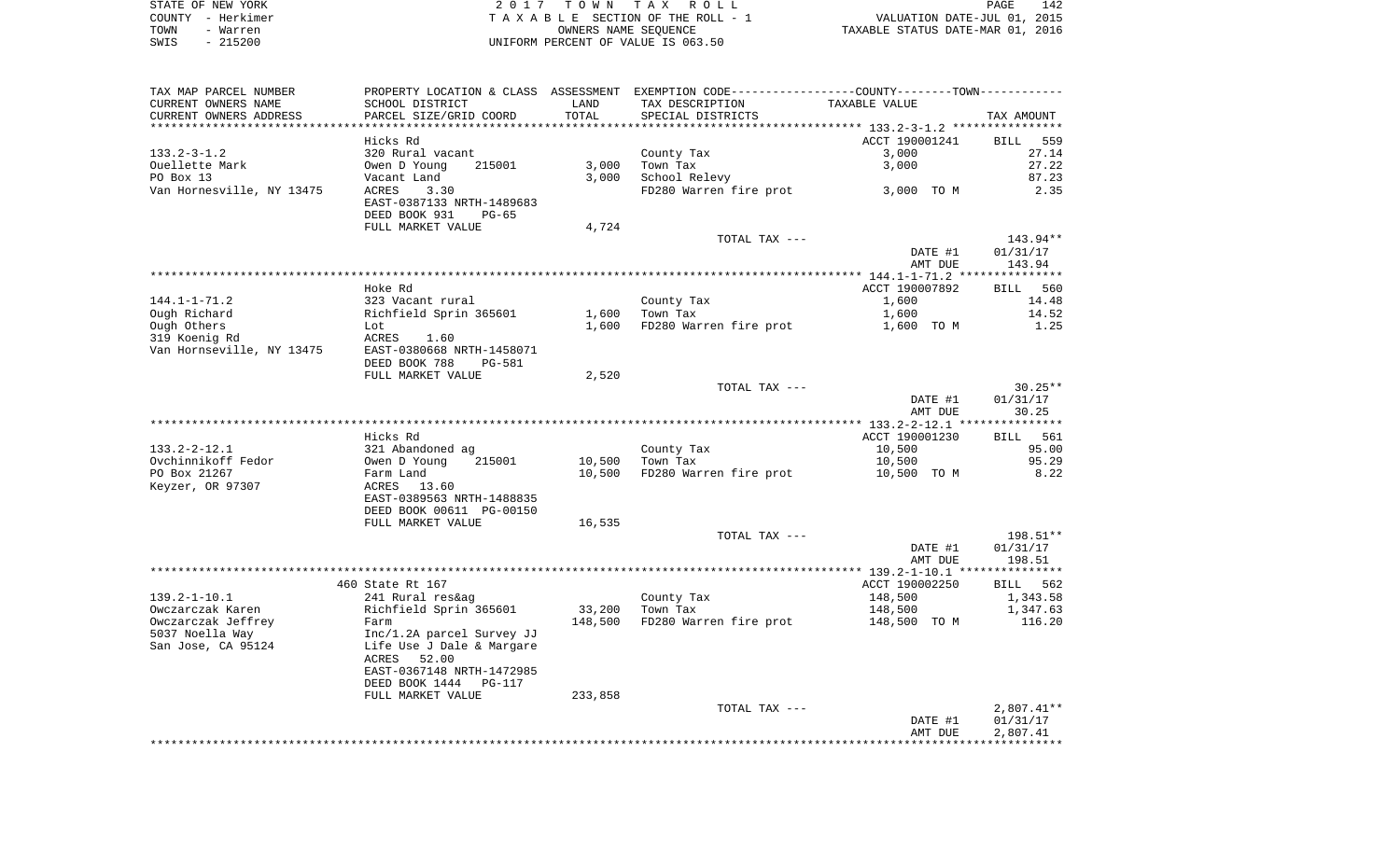|      | STATE OF NEW YORK | 2017 TOWN TAX ROLL                 | 142<br>PAGE                      |
|------|-------------------|------------------------------------|----------------------------------|
|      | COUNTY - Herkimer | TAXABLE SECTION OF THE ROLL - 1    | VALUATION DATE-JUL 01, 2015      |
| TOWN | - Warren          | OWNERS NAME SEOUENCE               | TAXABLE STATUS DATE-MAR 01, 2016 |
| SWIS | $-215200$         | UNIFORM PERCENT OF VALUE IS 063.50 |                                  |

| TAX MAP PARCEL NUMBER                      |                                                                              |                  | PROPERTY LOCATION & CLASS ASSESSMENT EXEMPTION CODE---------------COUNTY-------TOWN---------- |                       |                                |
|--------------------------------------------|------------------------------------------------------------------------------|------------------|-----------------------------------------------------------------------------------------------|-----------------------|--------------------------------|
| CURRENT OWNERS NAME                        | SCHOOL DISTRICT                                                              | LAND             | TAX DESCRIPTION                                                                               | TAXABLE VALUE         |                                |
| CURRENT OWNERS ADDRESS                     | PARCEL SIZE/GRID COORD                                                       | TOTAL            | SPECIAL DISTRICTS                                                                             |                       | TAX AMOUNT                     |
| ***********************                    |                                                                              |                  |                                                                                               |                       |                                |
|                                            | Hicks Rd                                                                     |                  |                                                                                               | ACCT 190001241        | BILL<br>559                    |
| $133.2 - 3 - 1.2$                          | 320 Rural vacant                                                             |                  | County Tax                                                                                    | 3,000                 | 27.14                          |
| Ouellette Mark                             | 215001<br>Owen D Young                                                       | 3,000            | Town Tax                                                                                      | 3,000                 | 27.22                          |
| PO Box 13                                  | Vacant Land                                                                  | 3,000            | School Relevy                                                                                 |                       | 87.23                          |
| Van Hornesville, NY 13475                  | ACRES<br>3.30<br>EAST-0387133 NRTH-1489683<br>DEED BOOK 931<br>$PG-65$       |                  | FD280 Warren fire prot                                                                        | 3,000 TO M            | 2.35                           |
|                                            | FULL MARKET VALUE                                                            | 4,724            |                                                                                               |                       |                                |
|                                            |                                                                              |                  | TOTAL TAX ---                                                                                 | DATE #1<br>AMT DUE    | 143.94**<br>01/31/17<br>143.94 |
|                                            |                                                                              |                  |                                                                                               |                       |                                |
|                                            | Hoke Rd                                                                      |                  |                                                                                               | ACCT 190007892        | <b>BILL</b><br>560             |
| $144.1 - 1 - 71.2$                         | 323 Vacant rural                                                             |                  | County Tax                                                                                    | 1,600                 | 14.48                          |
| Ough Richard                               | Richfield Sprin 365601                                                       | 1,600            | Town Tax                                                                                      | 1,600                 | 14.52                          |
| Ough Others                                | Lot                                                                          | 1,600            | FD280 Warren fire prot                                                                        | 1,600 TO M            | 1.25                           |
| 319 Koenig Rd<br>Van Hornseville, NY 13475 | ACRES<br>1.60<br>EAST-0380668 NRTH-1458071<br>DEED BOOK 788<br><b>PG-581</b> |                  |                                                                                               |                       |                                |
|                                            | FULL MARKET VALUE                                                            | 2,520            |                                                                                               |                       |                                |
|                                            |                                                                              |                  | TOTAL TAX ---                                                                                 |                       | $30.25**$                      |
|                                            |                                                                              |                  |                                                                                               | DATE #1               | 01/31/17                       |
|                                            |                                                                              |                  |                                                                                               | AMT DUE               | 30.25                          |
|                                            |                                                                              |                  |                                                                                               |                       |                                |
|                                            | Hicks Rd                                                                     |                  |                                                                                               | ACCT 190001230        | BILL 561                       |
| $133.2 - 2 - 12.1$                         | 321 Abandoned ag                                                             |                  | County Tax                                                                                    | 10,500                | 95.00<br>95.29                 |
| Ovchinnikoff Fedor<br>PO Box 21267         | Owen D Young<br>215001<br>Farm Land                                          | 10,500<br>10,500 | Town Tax<br>FD280 Warren fire prot                                                            | 10,500<br>10,500 TO M | 8.22                           |
| Keyzer, OR 97307                           | ACRES 13.60<br>EAST-0389563 NRTH-1488835                                     |                  |                                                                                               |                       |                                |
|                                            | DEED BOOK 00611 PG-00150                                                     |                  |                                                                                               |                       |                                |
|                                            | FULL MARKET VALUE                                                            | 16,535           |                                                                                               |                       | 198.51**                       |
|                                            |                                                                              |                  | TOTAL TAX ---                                                                                 | DATE #1<br>AMT DUE    | 01/31/17<br>198.51             |
|                                            |                                                                              |                  |                                                                                               |                       |                                |
|                                            | 460 State Rt 167                                                             |                  |                                                                                               | ACCT 190002250        | BILL 562                       |
| $139.2 - 1 - 10.1$                         | 241 Rural res&ag                                                             |                  | County Tax                                                                                    | 148,500               | 1,343.58                       |
| Owczarczak Karen                           | Richfield Sprin 365601                                                       | 33,200           | Town Tax                                                                                      | 148,500               | 1,347.63                       |
| Owczarczak Jeffrey                         | Farm                                                                         | 148,500          | FD280 Warren fire prot                                                                        | 148,500 TO M          | 116.20                         |
| 5037 Noella Way                            | Inc/1.2A parcel Survey JJ                                                    |                  |                                                                                               |                       |                                |
| San Jose, CA 95124                         | Life Use J Dale & Margare<br>ACRES<br>52.00<br>EAST-0367148 NRTH-1472985     |                  |                                                                                               |                       |                                |
|                                            | DEED BOOK 1444 PG-117                                                        |                  |                                                                                               |                       |                                |
|                                            | FULL MARKET VALUE                                                            | 233,858          |                                                                                               |                       |                                |
|                                            |                                                                              |                  | TOTAL TAX ---                                                                                 |                       | $2,807.41**$                   |
|                                            |                                                                              |                  |                                                                                               | DATE #1               | 01/31/17                       |
|                                            |                                                                              |                  |                                                                                               | AMT DUE               | 2,807.41                       |
|                                            |                                                                              |                  |                                                                                               |                       |                                |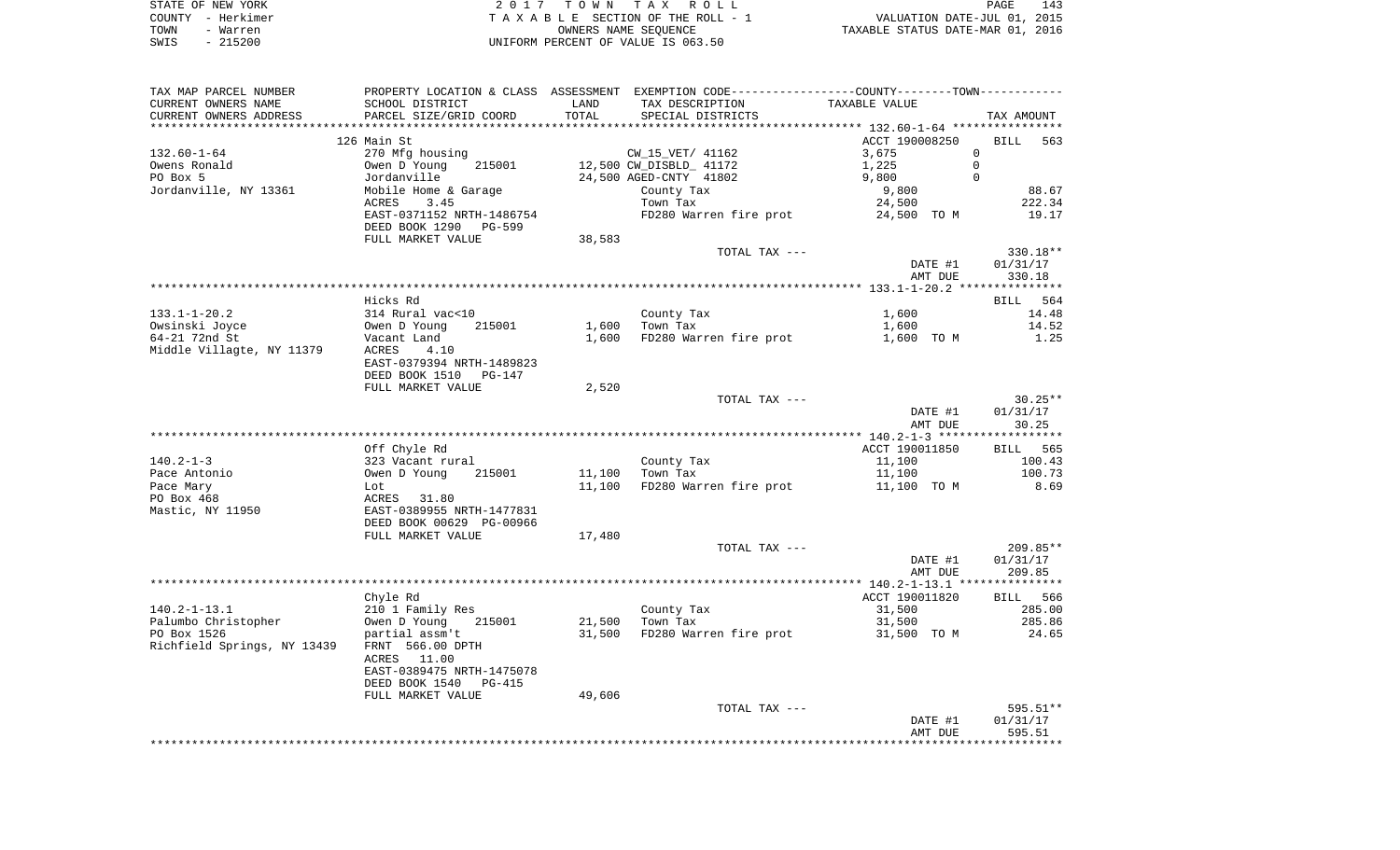| STATE OF NEW YORK | 2017 TOWN TAX ROLL<br>PAGE                                           | 143 |
|-------------------|----------------------------------------------------------------------|-----|
| COUNTY - Herkimer | VALUATION DATE-JUL 01, 2015<br>T A X A B L E SECTION OF THE ROLL - 1 |     |
| TOWN<br>- Warren  | TAXABLE STATUS DATE-MAR 01, 2016<br>OWNERS NAME SEOUENCE             |     |
| - 215200<br>SWIS  | UNIFORM PERCENT OF VALUE IS 063.50                                   |     |

| TAX MAP PARCEL NUMBER                                                                                                                                                                                                          | PROPERTY LOCATION & CLASS ASSESSMENT EXEMPTION CODE---------------COUNTY--------TOWN---------- |        |                                           |                          |                            |
|--------------------------------------------------------------------------------------------------------------------------------------------------------------------------------------------------------------------------------|------------------------------------------------------------------------------------------------|--------|-------------------------------------------|--------------------------|----------------------------|
| CURRENT OWNERS NAME                                                                                                                                                                                                            | SCHOOL DISTRICT                                                                                | LAND   | TAX DESCRIPTION                           | TAXABLE VALUE            |                            |
| CURRENT OWNERS ADDRESS                                                                                                                                                                                                         | PARCEL SIZE/GRID COORD                                                                         | TOTAL  | SPECIAL DISTRICTS                         |                          | TAX AMOUNT                 |
|                                                                                                                                                                                                                                |                                                                                                |        |                                           |                          |                            |
|                                                                                                                                                                                                                                | 126 Main St                                                                                    |        |                                           | ACCT 190008250           | BILL 563                   |
| $132.60 - 1 - 64$                                                                                                                                                                                                              | 270 Mfg housing                                                                                |        | CW_15_VET/ 41162                          | 3,675                    | $\mathbf{0}$               |
| Owens Ronald                                                                                                                                                                                                                   | Owen D Young<br>215001                                                                         |        | 12,500 CW_DISBLD_ 41172                   | 1,225<br>9,800           | $\overline{0}$<br>$\Omega$ |
| PO Box 5                                                                                                                                                                                                                       | Jordanville                                                                                    |        | 24,500 AGED-CNTY 41802                    |                          | 88.67                      |
| Jordanville, NY 13361                                                                                                                                                                                                          | Mobile Home & Garage<br>3.45<br>ACRES                                                          |        | County Tax<br>Town Tax                    | 9,800<br>24,500          | 222.34                     |
|                                                                                                                                                                                                                                | EAST-0371152 NRTH-1486754                                                                      |        | FD280 Warren fire prot 34,500 TO M        |                          | 19.17                      |
|                                                                                                                                                                                                                                | DEED BOOK 1290 PG-599                                                                          |        |                                           |                          |                            |
|                                                                                                                                                                                                                                | FULL MARKET VALUE                                                                              | 38,583 |                                           |                          |                            |
|                                                                                                                                                                                                                                |                                                                                                |        | TOTAL TAX ---                             |                          | 330.18**                   |
|                                                                                                                                                                                                                                |                                                                                                |        |                                           | DATE #1                  | 01/31/17                   |
|                                                                                                                                                                                                                                |                                                                                                |        |                                           | AMT DUE                  | 330.18                     |
|                                                                                                                                                                                                                                |                                                                                                |        |                                           |                          |                            |
|                                                                                                                                                                                                                                | Hicks Rd                                                                                       |        |                                           |                          | BILL 564                   |
|                                                                                                                                                                                                                                |                                                                                                |        | County Tax                                | 1,600                    | 14.48                      |
|                                                                                                                                                                                                                                |                                                                                                |        | $1,600$ Town Tax                          | 1,600                    | 14.52                      |
| CONSIDER THE CONSIDER SERVICE SERVICE SERVICE SERVICE SUBSTRATED SERVICE SUBSTRATED SAVING A MARGIN SALE SAVING SAVING SAVING SUPER SAVING SAVING SUPER SAVING SAVING SUPER SAVING SUPER SAVING SUPER SAVING SAVING SAVING SUP |                                                                                                |        | 1,600 FD280 Warren fire prot              | 1,600 TO M               | 1.25                       |
|                                                                                                                                                                                                                                |                                                                                                |        |                                           |                          |                            |
|                                                                                                                                                                                                                                |                                                                                                |        |                                           |                          |                            |
|                                                                                                                                                                                                                                | DEED BOOK 1510 PG-147                                                                          |        |                                           |                          |                            |
|                                                                                                                                                                                                                                | FULL MARKET VALUE                                                                              | 2,520  |                                           |                          |                            |
|                                                                                                                                                                                                                                |                                                                                                |        | TOTAL TAX ---                             |                          | $30.25**$                  |
|                                                                                                                                                                                                                                |                                                                                                |        |                                           | DATE #1                  | 01/31/17                   |
|                                                                                                                                                                                                                                |                                                                                                |        |                                           | AMT DUE                  | 30.25                      |
|                                                                                                                                                                                                                                |                                                                                                |        |                                           |                          | BILL 565                   |
| $140.2 - 1 - 3$                                                                                                                                                                                                                | Off Chyle Rd                                                                                   |        | County Tax                                | ACCT 190011850<br>11,100 | 100.43                     |
| Pace Antonio                                                                                                                                                                                                                   | 323 Vacant rural<br>Owen D Young 215<br>215001                                                 |        | 11,100 Town Tax                           | 11,100                   | 100.73                     |
| Pace Mary                                                                                                                                                                                                                      |                                                                                                |        | 11,100 FD280 Warren fire prot             | 11,100 TO M              | 8.69                       |
| PO Box 468                                                                                                                                                                                                                     | Lot<br>ACRES 31.80<br>EAST-0389955 NRTH-1477831<br>DEED BOOK 00629 PG-00966                    |        |                                           |                          |                            |
| Mastic, NY 11950                                                                                                                                                                                                               |                                                                                                |        |                                           |                          |                            |
|                                                                                                                                                                                                                                |                                                                                                |        |                                           |                          |                            |
|                                                                                                                                                                                                                                | FULL MARKET VALUE                                                                              | 17,480 |                                           |                          |                            |
|                                                                                                                                                                                                                                |                                                                                                |        | TOTAL TAX ---                             |                          | 209.85**                   |
|                                                                                                                                                                                                                                |                                                                                                |        |                                           | DATE #1                  | 01/31/17                   |
|                                                                                                                                                                                                                                |                                                                                                |        |                                           | AMT DUE                  | 209.85                     |
|                                                                                                                                                                                                                                |                                                                                                |        |                                           |                          |                            |
|                                                                                                                                                                                                                                | Chyle Rd                                                                                       |        |                                           | ACCT 190011820           | BILL 566                   |
| $140.2 - 1 - 13.1$                                                                                                                                                                                                             | 210 1 Family Res                                                                               |        | County Tax<br>Town Tax                    | 31,500                   | 285.00                     |
| Palumbo Christopher<br>PO Box 1526                                                                                                                                                                                             | Owen D Young 215001<br>partial assm't                                                          |        | 21,500 Town Tax                           | 31,500                   | 285.86                     |
|                                                                                                                                                                                                                                |                                                                                                |        | 31,500 FD280 Warren fire prot 31,500 TO M |                          | 24.65                      |
| Richfield Springs, NY 13439 FRNT 566.00 DPTH                                                                                                                                                                                   |                                                                                                |        |                                           |                          |                            |
|                                                                                                                                                                                                                                | ACRES 11.00                                                                                    |        |                                           |                          |                            |
|                                                                                                                                                                                                                                | EAST-0389475 NRTH-1475078                                                                      |        |                                           |                          |                            |
|                                                                                                                                                                                                                                | DEED BOOK 1540 PG-415                                                                          |        |                                           |                          |                            |
|                                                                                                                                                                                                                                | FULL MARKET VALUE                                                                              | 49,606 |                                           |                          |                            |
|                                                                                                                                                                                                                                |                                                                                                |        | TOTAL TAX ---                             |                          | 595.51**                   |
|                                                                                                                                                                                                                                |                                                                                                |        |                                           | DATE #1                  | 01/31/17                   |
|                                                                                                                                                                                                                                |                                                                                                |        |                                           |                          |                            |
|                                                                                                                                                                                                                                |                                                                                                |        |                                           | AMT DUE                  | 595.51                     |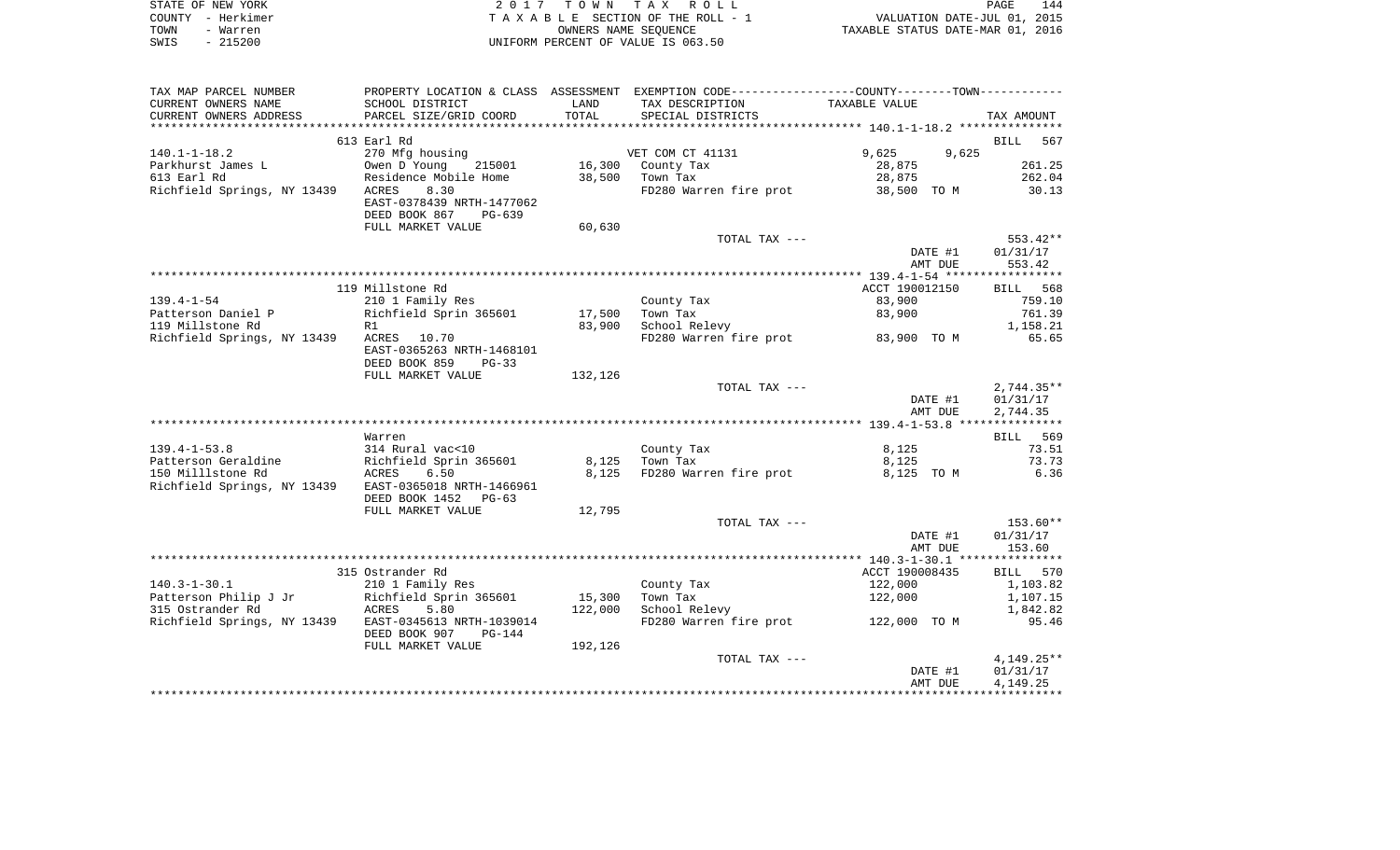|      | STATE OF NEW YORK | 2017 TOWN TAX ROLL                 | PAGE                             | 144 |
|------|-------------------|------------------------------------|----------------------------------|-----|
|      | COUNTY - Herkimer | TAXABLE SECTION OF THE ROLL - 1    | VALUATION DATE-JUL 01, 2015      |     |
| TOWN | - Warren          | OWNERS NAME SEOUENCE               | TAXABLE STATUS DATE-MAR 01, 2016 |     |
| SWIS | $-215200$         | UNIFORM PERCENT OF VALUE IS 063.50 |                                  |     |

| TAX MAP PARCEL NUMBER                                                                                        |                           |         | PROPERTY LOCATION & CLASS ASSESSMENT EXEMPTION CODE----------------COUNTY-------TOWN--------- |                    |              |
|--------------------------------------------------------------------------------------------------------------|---------------------------|---------|-----------------------------------------------------------------------------------------------|--------------------|--------------|
| CURRENT OWNERS NAME                                                                                          | SCHOOL DISTRICT           | LAND    | TAX DESCRIPTION                                                                               | TAXABLE VALUE      |              |
| CURRENT OWNERS ADDRESS                                                                                       | PARCEL SIZE/GRID COORD    | TOTAL   | SPECIAL DISTRICTS                                                                             |                    | TAX AMOUNT   |
|                                                                                                              |                           |         |                                                                                               |                    |              |
|                                                                                                              | 613 Earl Rd               |         |                                                                                               |                    | BILL 567     |
| $140.1 - 1 - 18.2$                                                                                           | 270 Mfg housing           |         | VET COM CT 41131                                                                              | 9,625 9,625        |              |
| Parkhurst James L<br>Parkhurst James L<br>613 Earl Rd<br>Residence Mok                                       | 215001                    |         |                                                                                               |                    | 261.25       |
|                                                                                                              |                           |         | 16,300 County Tax                                                                             | $28,875$<br>28,875 |              |
|                                                                                                              | Residence Mobile Home     |         |                                                                                               |                    | 262.04       |
| Richfield Springs, NY 13439                                                                                  | ACRES<br>8.30             |         | FD280 Warren fire prot 38,500 TO M 30.13                                                      |                    |              |
|                                                                                                              | EAST-0378439 NRTH-1477062 |         |                                                                                               |                    |              |
|                                                                                                              | DEED BOOK 867<br>PG-639   |         |                                                                                               |                    |              |
|                                                                                                              | FULL MARKET VALUE         | 60,630  |                                                                                               |                    |              |
|                                                                                                              |                           |         | TOTAL TAX ---                                                                                 |                    | 553.42**     |
|                                                                                                              |                           |         |                                                                                               | DATE #1            | 01/31/17     |
|                                                                                                              |                           |         |                                                                                               | AMT DUE            | 553.42       |
|                                                                                                              |                           |         |                                                                                               |                    |              |
|                                                                                                              | 119 Millstone Rd          |         |                                                                                               | ACCT 190012150     | BILL 568     |
| $139.4 - 1 - 54$                                                                                             | 210 1 Family Res          |         | County Tax                                                                                    | 83,900             | 759.10       |
|                                                                                                              |                           |         |                                                                                               |                    |              |
| Patterson Daniel P<br>Richfield Sprin 365601 17,500<br>119 Millstone Rd<br>R1 83,900                         |                           |         | Town Tax<br>School Relevy                                                                     | 83,900             | 761.39       |
|                                                                                                              |                           |         |                                                                                               |                    | 1,158.21     |
| Richfield Springs, NY 13439                                                                                  | ACRES 10.70               |         | FD280 Warren fire prot 83,900 TO M 65.65                                                      |                    |              |
|                                                                                                              | EAST-0365263 NRTH-1468101 |         |                                                                                               |                    |              |
|                                                                                                              | DEED BOOK 859<br>$PG-33$  |         |                                                                                               |                    |              |
|                                                                                                              | FULL MARKET VALUE         | 132,126 |                                                                                               |                    |              |
|                                                                                                              |                           |         | TOTAL TAX ---                                                                                 |                    | $2,744.35**$ |
|                                                                                                              |                           |         |                                                                                               | DATE #1            | 01/31/17     |
|                                                                                                              |                           |         |                                                                                               | AMT DUE            | 2,744.35     |
|                                                                                                              |                           |         |                                                                                               |                    |              |
|                                                                                                              | Warren                    |         |                                                                                               |                    | BILL 569     |
|                                                                                                              |                           |         | County Tax                                                                                    | 8,125              | 73.51        |
|                                                                                                              |                           |         | Town Tax                                                                                      | 8,125              | 73.73        |
|                                                                                                              |                           |         | FD280 Warren fire prot                                                                        |                    | 6.36         |
|                                                                                                              |                           |         |                                                                                               | 8,125 TO M         |              |
| Richfield Springs, NY 13439                                                                                  | EAST-0365018 NRTH-1466961 |         |                                                                                               |                    |              |
|                                                                                                              | DEED BOOK 1452 PG-63      |         |                                                                                               |                    |              |
|                                                                                                              | FULL MARKET VALUE         | 12,795  |                                                                                               |                    |              |
|                                                                                                              |                           |         | TOTAL TAX ---                                                                                 |                    | $153.60**$   |
|                                                                                                              |                           |         |                                                                                               | DATE #1            | 01/31/17     |
|                                                                                                              |                           |         |                                                                                               | AMT DUE            | 153.60       |
|                                                                                                              |                           |         |                                                                                               |                    |              |
|                                                                                                              | 315 Ostrander Rd          |         |                                                                                               | ACCT 190008435     | BILL 570     |
| $140.3 - 1 - 30.1$                                                                                           | 210 1 Family Res          |         | County Tax                                                                                    | 122,000            | 1,103.82     |
| 140.3-1-30.1 210 1 Family Res<br>Patterson Philip J Jr Richfield Sprin 365601<br>315 Ostrander Rd ACRES 5.80 |                           | 15,300  | Town Tax                                                                                      | 122,000            | 1,107.15     |
|                                                                                                              |                           | 122,000 | School Relevy                                                                                 |                    | 1,842.82     |
| Richfield Springs, NY 13439 EAST-0345613 NRTH-1039014                                                        |                           |         | FD280 Warren fire prot 122,000 TO M                                                           |                    | 95.46        |
|                                                                                                              |                           |         |                                                                                               |                    |              |
|                                                                                                              | DEED BOOK 907<br>PG-144   |         |                                                                                               |                    |              |
|                                                                                                              | FULL MARKET VALUE         | 192,126 |                                                                                               |                    |              |
|                                                                                                              |                           |         | TOTAL TAX ---                                                                                 |                    | $4,149.25**$ |
|                                                                                                              |                           |         |                                                                                               | DATE #1            | 01/31/17     |
|                                                                                                              |                           |         |                                                                                               | AMT DUE            | 4,149.25     |
|                                                                                                              |                           |         |                                                                                               |                    |              |
|                                                                                                              |                           |         |                                                                                               |                    |              |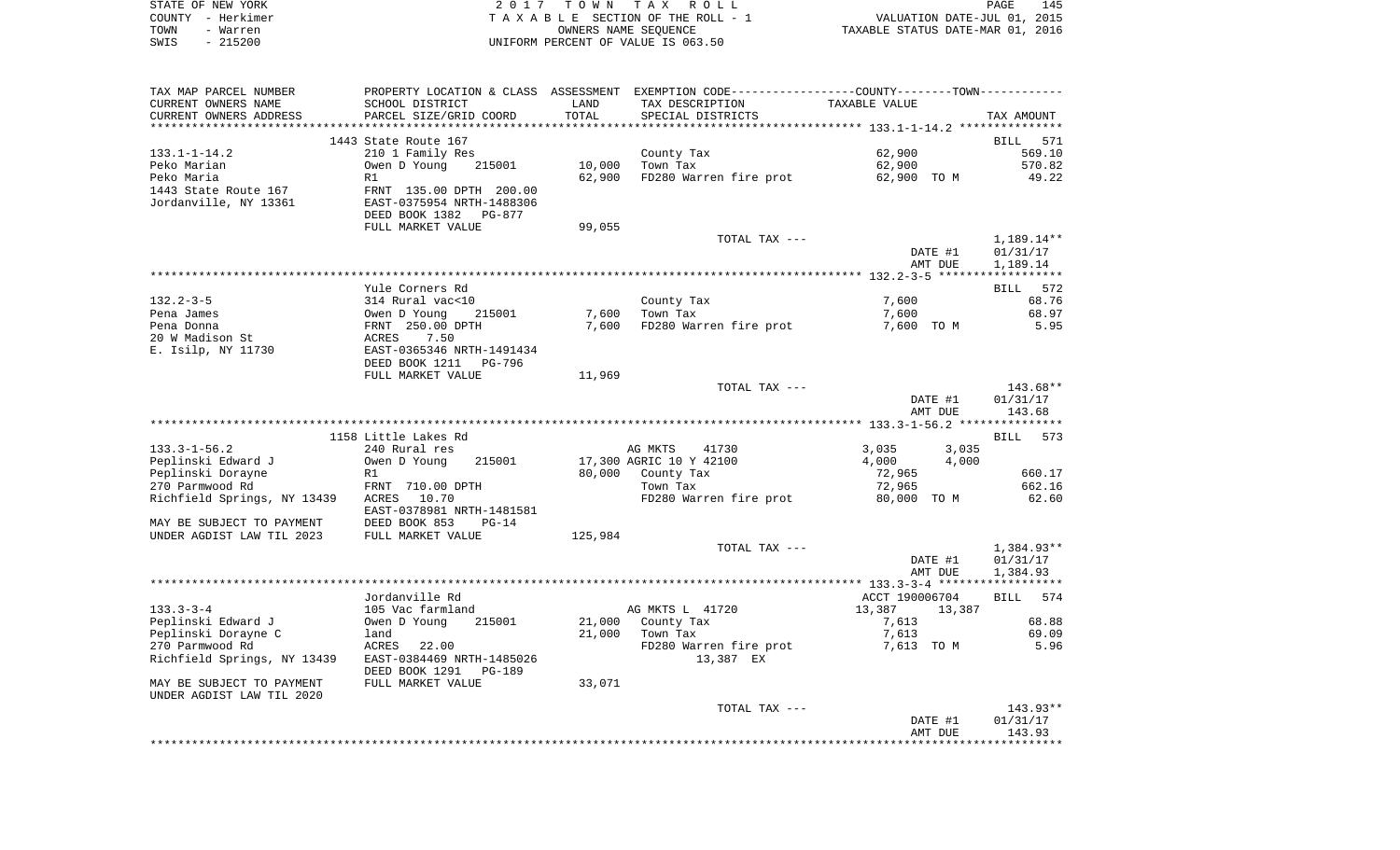| STATE OF NEW YORK |                   | 2017 TOWN TAX ROLL                 | PAGE                             | 145 |
|-------------------|-------------------|------------------------------------|----------------------------------|-----|
|                   | COUNTY - Herkimer | TAXABLE SECTION OF THE ROLL - 1    | VALUATION DATE-JUL 01, 2015      |     |
| TOWN              | - Warren          | OWNERS NAME SEOUENCE               | TAXABLE STATUS DATE-MAR 01, 2016 |     |
| SWIS              | - 215200          | UNIFORM PERCENT OF VALUE IS 063.50 |                                  |     |

| TAX MAP PARCEL NUMBER       |                           |                       | PROPERTY LOCATION & CLASS ASSESSMENT EXEMPTION CODE----------------COUNTY--------TOWN---------- |                                                  |              |
|-----------------------------|---------------------------|-----------------------|-------------------------------------------------------------------------------------------------|--------------------------------------------------|--------------|
| CURRENT OWNERS NAME         | SCHOOL DISTRICT           | LAND                  | TAX DESCRIPTION                                                                                 | TAXABLE VALUE                                    |              |
| CURRENT OWNERS ADDRESS      | PARCEL SIZE/GRID COORD    | TOTAL                 | SPECIAL DISTRICTS                                                                               |                                                  | TAX AMOUNT   |
|                             |                           | ********************* |                                                                                                 | ****************** 133.1-1-14.2 **************** |              |
|                             | 1443 State Route 167      |                       |                                                                                                 |                                                  | BILL 571     |
| $133.1 - 1 - 14.2$          | 210 1 Family Res          |                       | County Tax                                                                                      | 62,900                                           | 569.10       |
| Peko Marian                 | Owen D Young<br>215001    | 10,000                | Town Tax                                                                                        | 62,900                                           | 570.82       |
| Peko Maria                  | R1                        | 62,900                | FD280 Warren fire prot                                                                          | 62,900 TO M                                      | 49.22        |
| 1443 State Route 167        | FRNT 135.00 DPTH 200.00   |                       |                                                                                                 |                                                  |              |
| Jordanville, NY 13361       | EAST-0375954 NRTH-1488306 |                       |                                                                                                 |                                                  |              |
|                             | DEED BOOK 1382 PG-877     |                       |                                                                                                 |                                                  |              |
|                             |                           |                       |                                                                                                 |                                                  |              |
|                             | FULL MARKET VALUE         | 99,055                |                                                                                                 |                                                  |              |
|                             |                           |                       | TOTAL TAX ---                                                                                   |                                                  | $1,189.14**$ |
|                             |                           |                       |                                                                                                 | DATE #1                                          | 01/31/17     |
|                             |                           |                       |                                                                                                 | AMT DUE                                          | 1,189.14     |
|                             |                           |                       |                                                                                                 |                                                  |              |
|                             | Yule Corners Rd           |                       |                                                                                                 |                                                  | 572<br>BILL  |
| $132.2 - 3 - 5$             | 314 Rural vac<10          |                       | County Tax                                                                                      | 7,600                                            | 68.76        |
| Pena James                  | Owen D Young<br>215001    | 7,600                 | Town Tax                                                                                        | 7,600                                            | 68.97        |
| Pena Donna                  | FRNT 250.00 DPTH          | 7,600                 | FD280 Warren fire prot                                                                          | 7,600 TO M                                       | 5.95         |
| 20 W Madison St             | 7.50<br>ACRES             |                       |                                                                                                 |                                                  |              |
| E. Isilp, NY 11730          | EAST-0365346 NRTH-1491434 |                       |                                                                                                 |                                                  |              |
|                             | DEED BOOK 1211<br>PG-796  |                       |                                                                                                 |                                                  |              |
|                             | FULL MARKET VALUE         | 11,969                |                                                                                                 |                                                  |              |
|                             |                           |                       | TOTAL TAX ---                                                                                   |                                                  | 143.68**     |
|                             |                           |                       |                                                                                                 | DATE #1                                          | 01/31/17     |
|                             |                           |                       |                                                                                                 | AMT DUE                                          | 143.68       |
|                             |                           |                       |                                                                                                 |                                                  |              |
|                             | 1158 Little Lakes Rd      |                       |                                                                                                 |                                                  | BILL 573     |
| $133.3 - 1 - 56.2$          | 240 Rural res             |                       | AG MKTS<br>41730                                                                                | 3,035<br>3,035                                   |              |
| Peplinski Edward J          | Owen D Young<br>215001    |                       | 17,300 AGRIC 10 Y 42100                                                                         | 4,000<br>4,000                                   |              |
| Peplinski Dorayne           | R1                        |                       |                                                                                                 | 72,965                                           | 660.17       |
| 270 Parmwood Rd             | FRNT 710.00 DPTH          |                       | 80,000 County Tax<br>Town Tax<br>Town Tax                                                       | 72,965                                           | 662.16       |
| Richfield Springs, NY 13439 | ACRES<br>10.70            |                       | FD280 Warren fire prot                                                                          | 80,000 TO M                                      | 62.60        |
|                             | EAST-0378981 NRTH-1481581 |                       |                                                                                                 |                                                  |              |
| MAY BE SUBJECT TO PAYMENT   | DEED BOOK 853<br>$PG-14$  |                       |                                                                                                 |                                                  |              |
| UNDER AGDIST LAW TIL 2023   | FULL MARKET VALUE         | 125,984               |                                                                                                 |                                                  |              |
|                             |                           |                       | TOTAL TAX ---                                                                                   |                                                  | 1,384.93**   |
|                             |                           |                       |                                                                                                 | DATE #1                                          | 01/31/17     |
|                             |                           |                       |                                                                                                 | AMT DUE                                          | 1,384.93     |
|                             |                           |                       |                                                                                                 |                                                  |              |
|                             |                           |                       |                                                                                                 |                                                  |              |
|                             | Jordanville Rd            |                       |                                                                                                 | ACCT 190006704                                   | BILL 574     |
| $133.3 - 3 - 4$             | 105 Vac farmland          |                       | AG MKTS L 41720                                                                                 | 13,387<br>13,387                                 |              |
| Peplinski Edward J          | Owen D Young<br>215001    | 21,000                | County Tax                                                                                      | 7,613                                            | 68.88        |
| Peplinski Dorayne C         | land                      | 21,000                | Town Tax                                                                                        | 7,613                                            | 69.09        |
| 270 Parmwood Rd             | 22.00<br>ACRES            |                       | FD280 Warren fire prot                                                                          | 7,613 TO M                                       | 5.96         |
| Richfield Springs, NY 13439 | EAST-0384469 NRTH-1485026 |                       | 13,387 EX                                                                                       |                                                  |              |
|                             | DEED BOOK 1291<br>PG-189  |                       |                                                                                                 |                                                  |              |
| MAY BE SUBJECT TO PAYMENT   | FULL MARKET VALUE         | 33,071                |                                                                                                 |                                                  |              |
| UNDER AGDIST LAW TIL 2020   |                           |                       |                                                                                                 |                                                  |              |
|                             |                           |                       | TOTAL TAX ---                                                                                   |                                                  | 143.93**     |
|                             |                           |                       |                                                                                                 | DATE #1                                          | 01/31/17     |
|                             |                           |                       |                                                                                                 | AMT DUE                                          | 143.93       |
|                             |                           |                       |                                                                                                 |                                                  |              |
|                             |                           |                       |                                                                                                 |                                                  |              |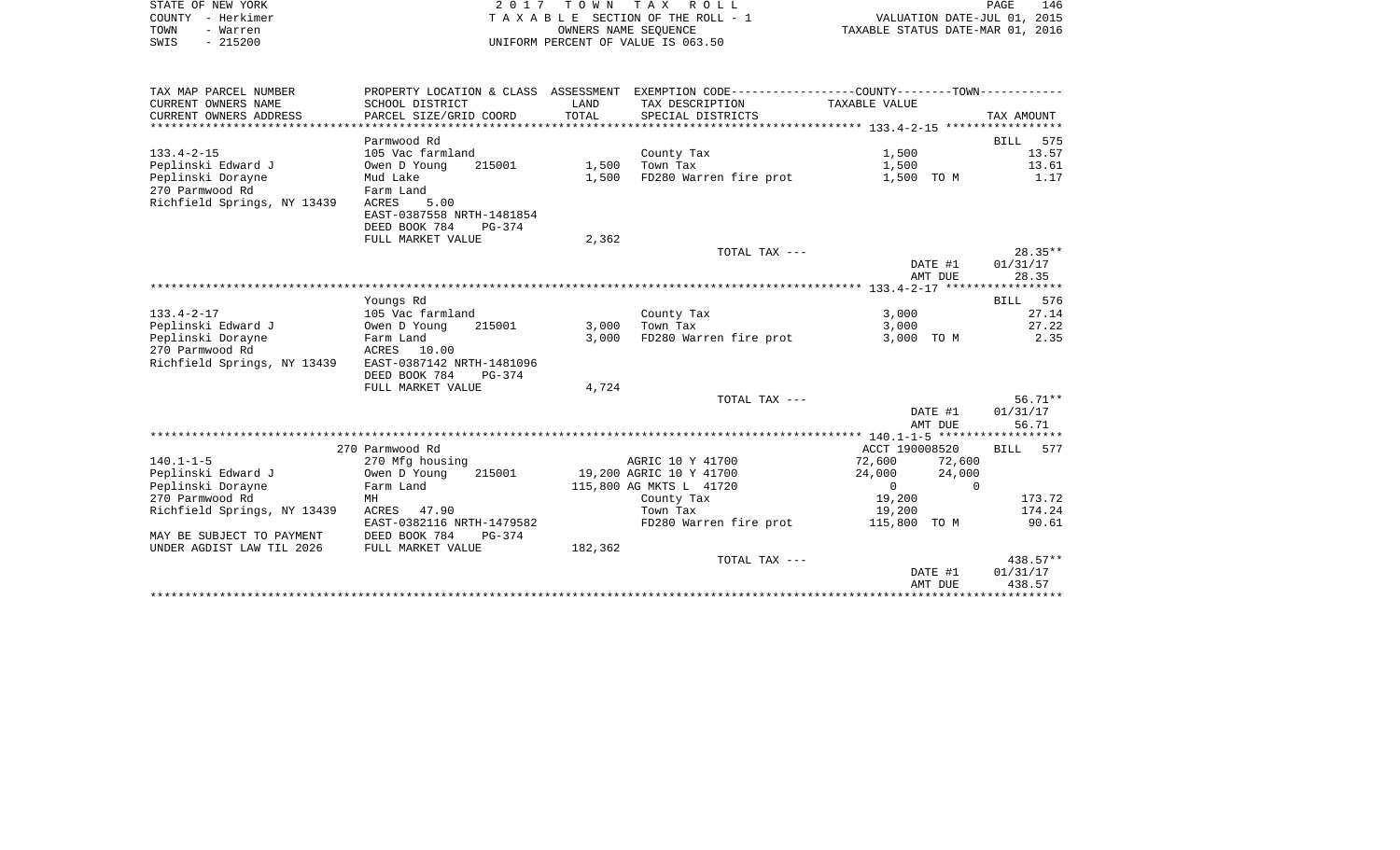|      | STATE OF NEW YORK | 2017 TOWN TAX ROLL                    | PAGE                             | 146 |
|------|-------------------|---------------------------------------|----------------------------------|-----|
|      | COUNTY - Herkimer | T A X A B L E SECTION OF THE ROLL - 1 | VALUATION DATE-JUL 01, 2015      |     |
| TOWN | - Warren          | OWNERS NAME SEOUENCE                  | TAXABLE STATUS DATE-MAR 01, 2016 |     |
| SWIS | - 215200          | UNIFORM PERCENT OF VALUE IS 063.50    |                                  |     |
|      |                   |                                       |                                  |     |
|      |                   |                                       |                                  |     |

| TAX MAP PARCEL NUMBER<br>CURRENT OWNERS NAME<br>CURRENT OWNERS ADDRESS | PROPERTY LOCATION & CLASS ASSESSMENT<br>SCHOOL DISTRICT<br>PARCEL SIZE/GRID COORD | LAND<br>TOTAL | EXEMPTION CODE-----------------COUNTY--------TOWN-----------<br>TAX DESCRIPTION TAXABLE VALUE<br>SPECIAL DISTRICTS |                  | TAX AMOUNT         |
|------------------------------------------------------------------------|-----------------------------------------------------------------------------------|---------------|--------------------------------------------------------------------------------------------------------------------|------------------|--------------------|
|                                                                        |                                                                                   |               |                                                                                                                    |                  |                    |
|                                                                        | Parmwood Rd                                                                       |               |                                                                                                                    |                  | BILL<br>575        |
| $133.4 - 2 - 15$                                                       | 105 Vac farmland                                                                  |               | County Tax                                                                                                         | 1,500            | 13.57              |
| Peplinski Edward J                                                     | 215001<br>Owen D Young                                                            |               | $1,500$ Town Tax                                                                                                   | 1,500            | 13.61              |
| Peplinski Dorayne                                                      | Mud Lake                                                                          | 1,500         | FD280 Warren fire prot                                                                                             | 1,500 TO M       | 1.17               |
| 270 Parmwood Rd                                                        | Farm Land                                                                         |               |                                                                                                                    |                  |                    |
| Richfield Springs, NY 13439                                            | ACRES<br>5.00                                                                     |               |                                                                                                                    |                  |                    |
|                                                                        | EAST-0387558 NRTH-1481854                                                         |               |                                                                                                                    |                  |                    |
|                                                                        | DEED BOOK 784<br>PG-374                                                           |               |                                                                                                                    |                  |                    |
|                                                                        | FULL MARKET VALUE                                                                 | 2,362         |                                                                                                                    |                  |                    |
|                                                                        |                                                                                   |               | TOTAL TAX ---                                                                                                      |                  | $28.35**$          |
|                                                                        |                                                                                   |               |                                                                                                                    | DATE #1          | 01/31/17           |
|                                                                        |                                                                                   |               |                                                                                                                    | AMT DUE          | 28.35              |
|                                                                        |                                                                                   |               |                                                                                                                    |                  |                    |
|                                                                        | Youngs Rd                                                                         |               |                                                                                                                    |                  | BILL 576           |
| $133.4 - 2 - 17$                                                       | 105 Vac farmland                                                                  |               | County Tax                                                                                                         | 3,000            | 27.14              |
| Peplinski Edward J                                                     | Owen D Young<br>215001                                                            | 3,000         | Town Tax                                                                                                           | 3,000            | 27.22              |
| Peplinski Dorayne                                                      | Farm Land                                                                         | 3,000         | FD280 Warren fire prot                                                                                             | 3,000 TO M       | 2.35               |
| 270 Parmwood Rd                                                        | ACRES 10.00                                                                       |               |                                                                                                                    |                  |                    |
| Richfield Springs, NY 13439                                            | EAST-0387142 NRTH-1481096                                                         |               |                                                                                                                    |                  |                    |
|                                                                        | DEED BOOK 784<br>$PG-374$                                                         |               |                                                                                                                    |                  |                    |
|                                                                        | FULL MARKET VALUE                                                                 | 4,724         | TOTAL TAX ---                                                                                                      |                  | 56.71**            |
|                                                                        |                                                                                   |               |                                                                                                                    | DATE #1          | 01/31/17           |
|                                                                        |                                                                                   |               |                                                                                                                    | AMT DUE          | 56.71              |
|                                                                        |                                                                                   |               |                                                                                                                    |                  | ****************** |
|                                                                        | 270 Parmwood Rd                                                                   |               |                                                                                                                    | ACCT 190008520   | BILL 577           |
| $140.1 - 1 - 5$                                                        | 270 Mfg housing                                                                   |               | AGRIC 10 Y 41700                                                                                                   | 72,600<br>72,600 |                    |
| Peplinski Edward J                                                     | 215001<br>Owen D Young                                                            |               | 19,200 AGRIC 10 Y 41700                                                                                            | 24,000<br>24,000 |                    |
| Peplinski Dorayne                                                      | Farm Land                                                                         |               | 115,800 AG MKTS L 41720                                                                                            | $\overline{0}$   | $\Omega$           |
| 270 Parmwood Rd                                                        | MH                                                                                |               | County Tax                                                                                                         | 19,200           | 173.72             |
| Richfield Springs, NY 13439                                            | ACRES 47.90                                                                       |               | Town Tax                                                                                                           | 19,200           | 174.24             |
|                                                                        | EAST-0382116 NRTH-1479582                                                         |               | FD280 Warren fire prot                                                                                             | 115,800 TO M     | 90.61              |
| MAY BE SUBJECT TO PAYMENT                                              | DEED BOOK 784<br>PG-374                                                           |               |                                                                                                                    |                  |                    |
| UNDER AGDIST LAW TIL 2026                                              | FULL MARKET VALUE                                                                 | 182,362       |                                                                                                                    |                  |                    |
|                                                                        |                                                                                   |               | TOTAL TAX ---                                                                                                      |                  | $438.57**$         |
|                                                                        |                                                                                   |               |                                                                                                                    | DATE #1          | 01/31/17           |
|                                                                        |                                                                                   |               |                                                                                                                    | AMT DUE          | 438.57             |
|                                                                        |                                                                                   |               |                                                                                                                    |                  |                    |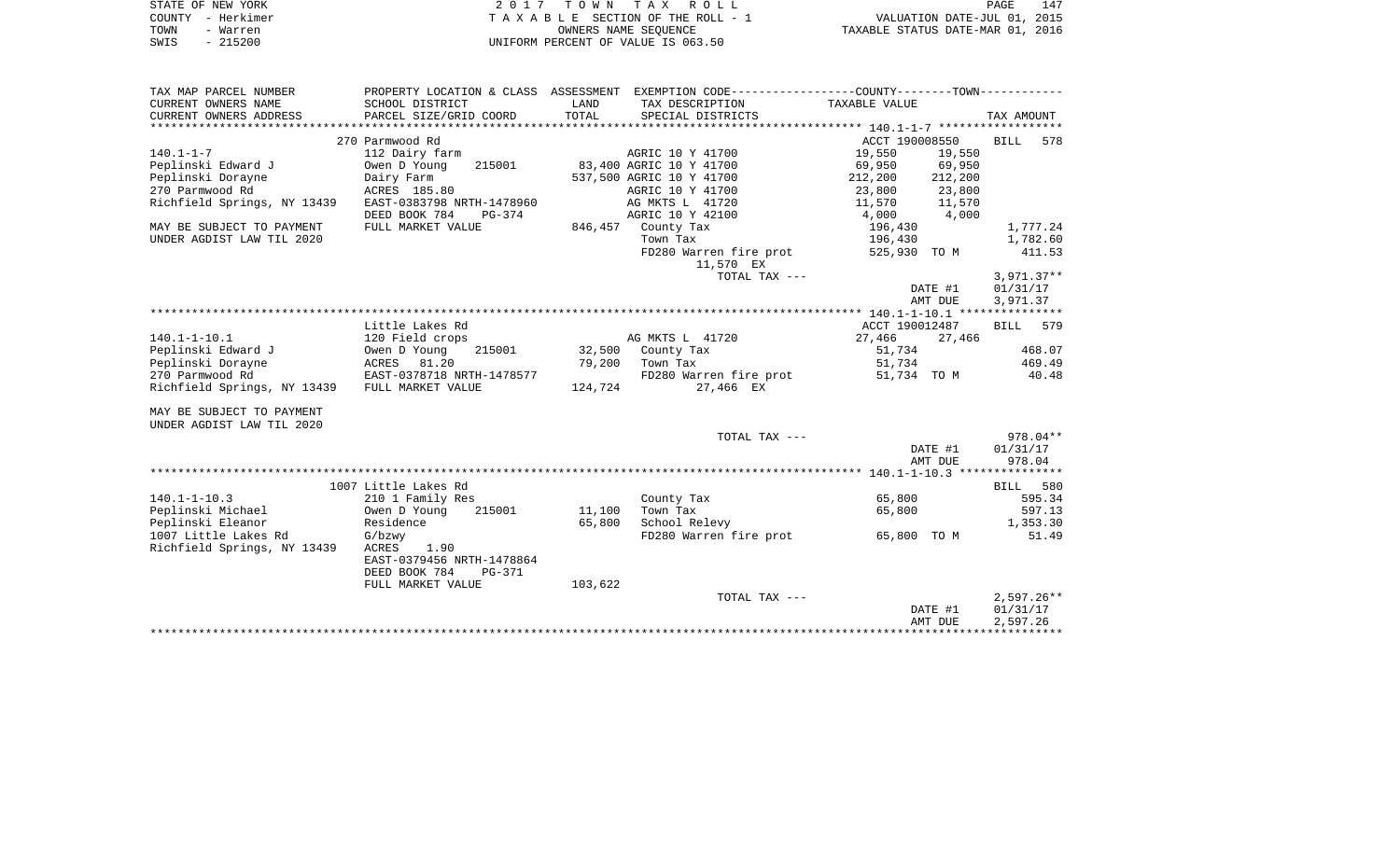| STATE OF NEW YORK | 2017 TOWN TAX ROLL<br>PAGE                                           | 147 |
|-------------------|----------------------------------------------------------------------|-----|
| COUNTY - Herkimer | VALUATION DATE-JUL 01, 2015<br>T A X A B L E SECTION OF THE ROLL - 1 |     |
| TOWN<br>- Warren  | TAXABLE STATUS DATE-MAR 01, 2016<br>OWNERS NAME SEOUENCE             |     |
| - 215200<br>SWIS  | UNIFORM PERCENT OF VALUE IS 063.50                                   |     |

| TAX MAP PARCEL NUMBER       |                           |         | PROPERTY LOCATION & CLASS ASSESSMENT EXEMPTION CODE---------------COUNTY-------TOWN---------- |                                |         |              |          |
|-----------------------------|---------------------------|---------|-----------------------------------------------------------------------------------------------|--------------------------------|---------|--------------|----------|
| CURRENT OWNERS NAME         | SCHOOL DISTRICT           | LAND    | TAX DESCRIPTION                                                                               | TAXABLE VALUE                  |         |              |          |
| CURRENT OWNERS ADDRESS      | PARCEL SIZE/GRID COORD    | TOTAL   | SPECIAL DISTRICTS                                                                             |                                |         | TAX AMOUNT   |          |
|                             |                           |         |                                                                                               |                                |         |              |          |
|                             | 270 Parmwood Rd           |         |                                                                                               | ACCT 190008550                 |         | BILL         | 578      |
| $140.1 - 1 - 7$             | 112 Dairy farm            |         | AGRIC 10 Y 41700                                                                              | 19,550                         | 19,550  |              |          |
| Peplinski Edward J          | 215001<br>Owen D Young    |         | 83,400 AGRIC 10 Y 41700                                                                       | 69,950                         | 69,950  |              |          |
| Peplinski Dorayne           | Dairy Farm                |         | 537,500 AGRIC 10 Y 41700                                                                      | 212,200                        | 212,200 |              |          |
| 270 Parmwood Rd             | ACRES 185.80              |         | AGRIC 10 Y 41700                                                                              |                                |         |              |          |
| Richfield Springs, NY 13439 | EAST-0383798 NRTH-1478960 |         | AG MKTS L 41720                                                                               | 23,800 23,800<br>11,570 11,570 |         |              |          |
|                             | DEED BOOK 784<br>PG-374   |         | AGRIC 10 Y 42100                                                                              | 4,000 4,000                    |         |              |          |
| MAY BE SUBJECT TO PAYMENT   | FULL MARKET VALUE         |         | 846,457 County Tax                                                                            | 196,430                        |         |              | 1,777.24 |
| UNDER AGDIST LAW TIL 2020   |                           |         | Town Tax                                                                                      | 196,430                        |         |              | 1,782.60 |
|                             |                           |         | FD280 Warren fire prot 525,930 TO M                                                           |                                |         |              | 411.53   |
|                             |                           |         | 11,570 EX                                                                                     |                                |         |              |          |
|                             |                           |         | TOTAL TAX ---                                                                                 |                                |         | $3,971.37**$ |          |
|                             |                           |         |                                                                                               | DATE #1                        |         | 01/31/17     |          |
|                             |                           |         |                                                                                               | AMT DUE                        |         | 3,971.37     |          |
|                             |                           |         |                                                                                               |                                |         |              |          |
|                             | Little Lakes Rd           |         |                                                                                               | ACCT 190012487                 |         | BILL 579     |          |
| $140.1 - 1 - 10.1$          | 120 Field crops           |         | AG MKTS L 41720                                                                               | 27,466                         | 27,466  |              |          |
| Peplinski Edward J          | 215001<br>Owen D Young    |         | 32,500 County Tax                                                                             | 51,734                         |         |              | 468.07   |
| Peplinski Dorayne           | ACRES 81.20               | 79,200  | Town Tax                                                                                      | 51,734                         |         |              | 469.49   |
| 270 Parmwood Rd             | EAST-0378718 NRTH-1478577 |         | FD280 Warren fire prot                                                                        | 51,734 TO M                    |         |              | 40.48    |
| Richfield Springs, NY 13439 | FULL MARKET VALUE         |         | 124,724 27,466 EX                                                                             |                                |         |              |          |
|                             |                           |         |                                                                                               |                                |         |              |          |
| MAY BE SUBJECT TO PAYMENT   |                           |         |                                                                                               |                                |         |              |          |
| UNDER AGDIST LAW TIL 2020   |                           |         |                                                                                               |                                |         |              |          |
|                             |                           |         | TOTAL TAX ---                                                                                 |                                |         |              | 978.04** |
|                             |                           |         |                                                                                               | DATE #1                        |         | 01/31/17     |          |
|                             |                           |         |                                                                                               | AMT DUE                        |         | 978.04       |          |
|                             |                           |         |                                                                                               |                                |         |              |          |
|                             | 1007 Little Lakes Rd      |         |                                                                                               |                                |         | BILL 580     |          |
| $140.1 - 1 - 10.3$          | 210 1 Family Res          |         | County Tax                                                                                    | 65,800                         |         |              | 595.34   |
| Peplinski Michael           | Owen D Young<br>215001    | 11,100  | Town Tax                                                                                      | 65,800                         |         |              | 597.13   |
| Peplinski Eleanor           | Residence                 | 65,800  | School Relevy                                                                                 |                                |         |              | 1,353.30 |
| 1007 Little Lakes Rd        | G/bzwy                    |         | FD280 Warren fire prot 65,800 TO M                                                            |                                |         |              | 51.49    |
| Richfield Springs, NY 13439 | ACRES<br>1.90             |         |                                                                                               |                                |         |              |          |
|                             | EAST-0379456 NRTH-1478864 |         |                                                                                               |                                |         |              |          |
|                             | DEED BOOK 784<br>PG-371   |         |                                                                                               |                                |         |              |          |
|                             | FULL MARKET VALUE         | 103,622 |                                                                                               |                                |         |              |          |
|                             |                           |         | TOTAL TAX ---                                                                                 |                                |         | $2,597.26**$ |          |
|                             |                           |         |                                                                                               | DATE #1                        |         | 01/31/17     |          |
|                             |                           |         |                                                                                               | AMT DUE                        |         | 2,597.26     |          |
|                             |                           |         |                                                                                               |                                |         |              |          |
|                             |                           |         |                                                                                               |                                |         |              |          |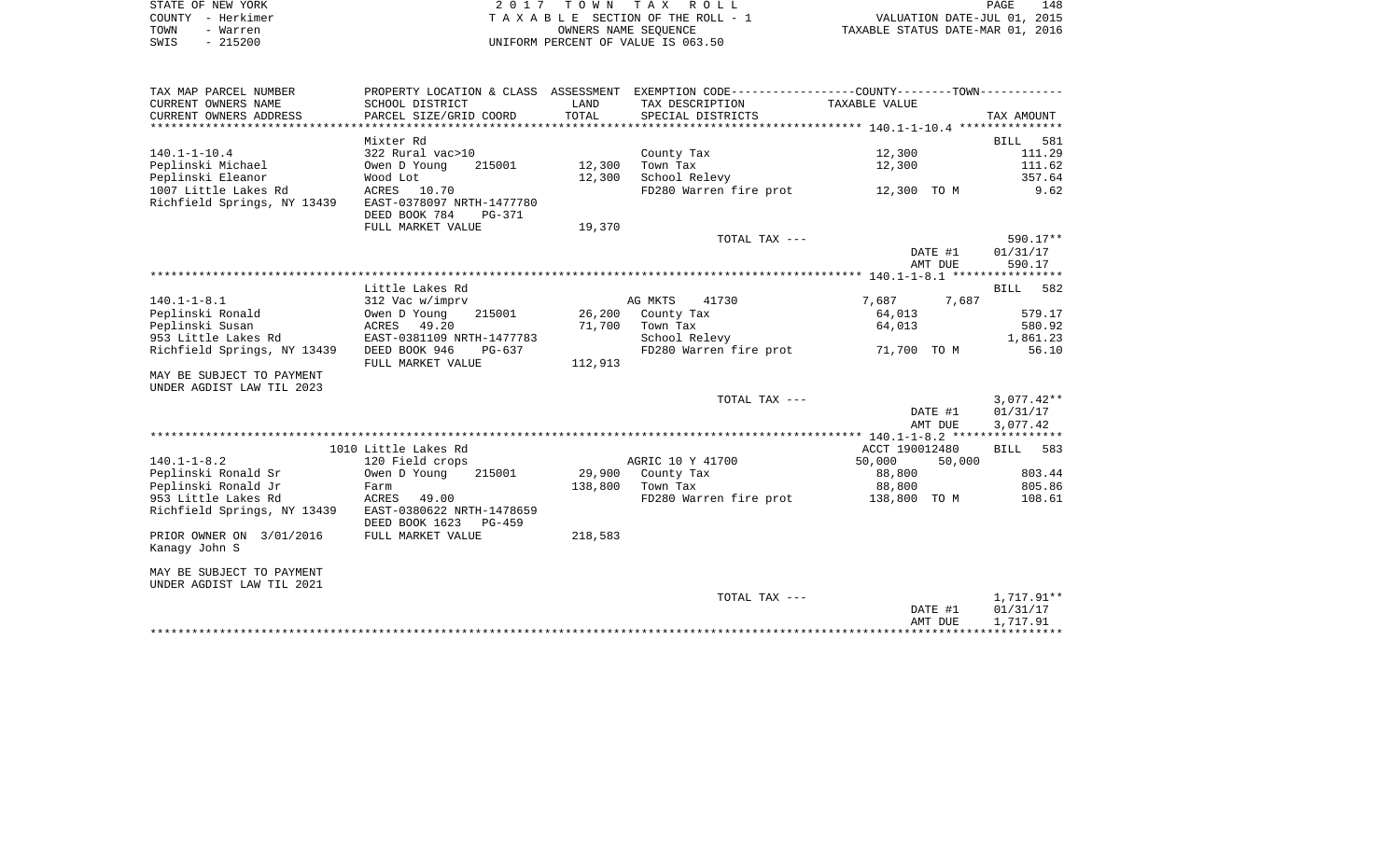| STATE OF NEW YORK | 2017 TOWN TAX ROLL                 | 148<br>PAGE                      |
|-------------------|------------------------------------|----------------------------------|
| COUNTY - Herkimer | TAXABLE SECTION OF THE ROLL - 1    | VALUATION DATE-JUL 01, 2015      |
| TOWN<br>- Warren  | OWNERS NAME SEOUENCE               | TAXABLE STATUS DATE-MAR 01, 2016 |
| - 215200<br>SWIS  | UNIFORM PERCENT OF VALUE IS 063.50 |                                  |

| TAX MAP PARCEL NUMBER       | PROPERTY LOCATION & CLASS ASSESSMENT EXEMPTION CODE----------------COUNTY--------TOWN----------- |         |                                         |                |              |
|-----------------------------|--------------------------------------------------------------------------------------------------|---------|-----------------------------------------|----------------|--------------|
| CURRENT OWNERS NAME         | SCHOOL DISTRICT                                                                                  | LAND    | TAX DESCRIPTION                         | TAXABLE VALUE  |              |
| CURRENT OWNERS ADDRESS      | PARCEL SIZE/GRID COORD                                                                           | TOTAL   | SPECIAL DISTRICTS                       |                | TAX AMOUNT   |
|                             |                                                                                                  |         |                                         |                |              |
|                             | Mixter Rd                                                                                        |         |                                         |                | BILL 581     |
| $140.1 - 1 - 10.4$          | 322 Rural vac>10                                                                                 |         | County Tax                              | 12,300         | 111.29       |
| Peplinski Michael           | 215001<br>Owen D Young                                                                           | 12,300  | Town Tax                                | 12,300         | 111.62       |
| Peplinski Eleanor           | Wood Lot                                                                                         | 12,300  | School Relevy                           |                | 357.64       |
| 1007 Little Lakes Rd        | ACRES 10.70                                                                                      |         | FD280 Warren fire prot 12,300 TO M 9.62 |                |              |
| Richfield Springs, NY 13439 | EAST-0378097 NRTH-1477780                                                                        |         |                                         |                |              |
|                             | DEED BOOK 784<br>PG-371                                                                          |         |                                         |                |              |
|                             | FULL MARKET VALUE                                                                                | 19,370  |                                         |                |              |
|                             |                                                                                                  |         | TOTAL TAX ---                           |                | 590.17**     |
|                             |                                                                                                  |         |                                         | DATE #1        | 01/31/17     |
|                             |                                                                                                  |         |                                         | AMT DUE        | 590.17       |
|                             | Little Lakes Rd                                                                                  |         |                                         |                | BILL 582     |
| $140.1 - 1 - 8.1$           | 312 Vac w/imprv                                                                                  |         | AG MKTS<br>41730                        | 7,687          | 7,687        |
| Peplinski Ronald            | Owen D Young<br>215001                                                                           |         | 26,200 County Tax                       | 64,013         | 579.17       |
| Peplinski Susan             | ACRES 49.20                                                                                      |         | 71,700 Town Tax                         | 64,013         | 580.92       |
| 953 Little Lakes Rd         | EAST-0381109 NRTH-1477783                                                                        |         | School Relevy                           |                | 1,861.23     |
| Richfield Springs, NY 13439 | DEED BOOK 946<br>PG-637                                                                          |         | FD280 Warren fire prot 71,700 TO M      |                | 56.10        |
|                             | FULL MARKET VALUE                                                                                | 112,913 |                                         |                |              |
| MAY BE SUBJECT TO PAYMENT   |                                                                                                  |         |                                         |                |              |
| UNDER AGDIST LAW TIL 2023   |                                                                                                  |         |                                         |                |              |
|                             |                                                                                                  |         | TOTAL TAX ---                           |                | $3,077.42**$ |
|                             |                                                                                                  |         |                                         | DATE #1        | 01/31/17     |
|                             |                                                                                                  |         |                                         | AMT DUE        | 3,077.42     |
|                             |                                                                                                  |         |                                         |                |              |
|                             | 1010 Little Lakes Rd                                                                             |         |                                         | ACCT 190012480 | BILL 583     |
| $140.1 - 1 - 8.2$           | 120 Field crops                                                                                  |         | AGRIC 10 Y 41700                        | 50,000         | 50,000       |
| Peplinski Ronald Sr         | Owen D Young<br>215001                                                                           |         | 29,900 County Tax                       | 88,800         | 803.44       |
| Peplinski Ronald Jr         | Farm                                                                                             |         | 138,800 Town Tax                        | 88,800         | 805.86       |
| 953 Little Lakes Rd         | ACRES 49.00                                                                                      |         | FD280 Warren fire prot 138,800 TO M     |                | 108.61       |
| Richfield Springs, NY 13439 | EAST-0380622 NRTH-1478659                                                                        |         |                                         |                |              |
|                             | DEED BOOK 1623<br>PG-459                                                                         |         |                                         |                |              |
| PRIOR OWNER ON 3/01/2016    | FULL MARKET VALUE                                                                                | 218,583 |                                         |                |              |
| Kanagy John S               |                                                                                                  |         |                                         |                |              |
| MAY BE SUBJECT TO PAYMENT   |                                                                                                  |         |                                         |                |              |
| UNDER AGDIST LAW TIL 2021   |                                                                                                  |         |                                         |                |              |
|                             |                                                                                                  |         | TOTAL TAX ---                           |                | 1,717.91**   |
|                             |                                                                                                  |         |                                         | DATE #1        | 01/31/17     |
|                             |                                                                                                  |         |                                         | AMT DUE        | 1,717.91     |
|                             |                                                                                                  |         |                                         |                |              |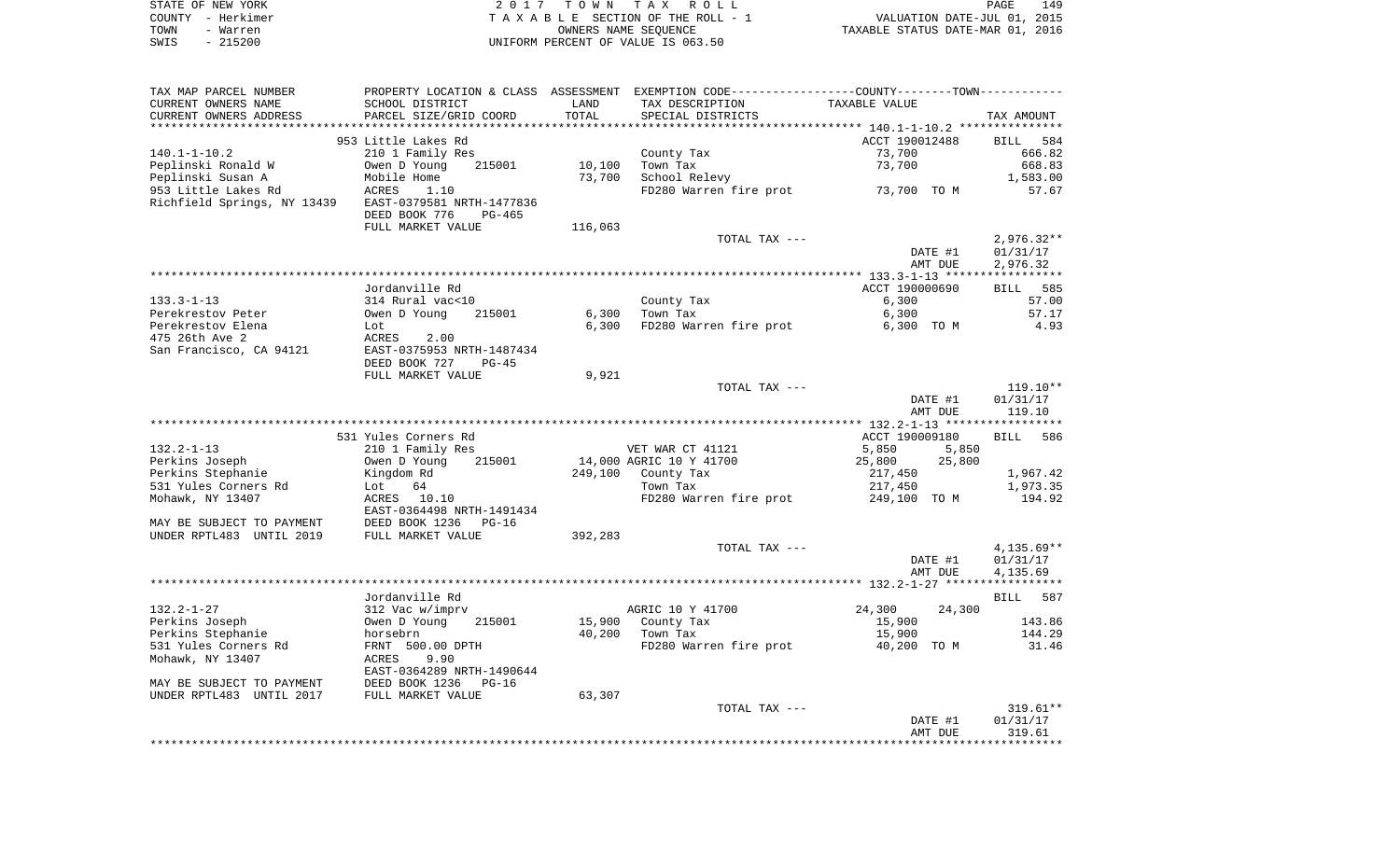| STATE OF NEW YORK | 2017 TOWN TAX ROLL                 | 149<br>PAGE                      |
|-------------------|------------------------------------|----------------------------------|
| COUNTY - Herkimer | TAXABLE SECTION OF THE ROLL - 1    | VALUATION DATE-JUL 01, 2015      |
| TOWN<br>- Warren  | OWNERS NAME SEOUENCE               | TAXABLE STATUS DATE-MAR 01, 2016 |
| $-215200$<br>SWIS | UNIFORM PERCENT OF VALUE IS 063.50 |                                  |

| TAX MAP PARCEL NUMBER       |                                                        |                 | PROPERTY LOCATION & CLASS ASSESSMENT EXEMPTION CODE---------------COUNTY-------TOWN---------- |                    |                    |
|-----------------------------|--------------------------------------------------------|-----------------|-----------------------------------------------------------------------------------------------|--------------------|--------------------|
| CURRENT OWNERS NAME         | SCHOOL DISTRICT                                        | LAND            | TAX DESCRIPTION                                                                               | TAXABLE VALUE      |                    |
| CURRENT OWNERS ADDRESS      | PARCEL SIZE/GRID COORD                                 | TOTAL           | SPECIAL DISTRICTS                                                                             |                    | TAX AMOUNT         |
| **********************      | ******************************                         | *************** |                                                                                               |                    |                    |
|                             | 953 Little Lakes Rd                                    |                 |                                                                                               | ACCT 190012488     | <b>BILL</b><br>584 |
| $140.1 - 1 - 10.2$          | 210 1 Family Res                                       |                 | County Tax                                                                                    | 73,700             | 666.82             |
| Peplinski Ronald W          | Owen D Young<br>215001                                 | 10,100          | Town Tax                                                                                      | 73,700             | 668.83             |
| Peplinski Susan A           | Mobile Home                                            | 73,700          | School Relevy                                                                                 |                    | 1,583.00           |
| 953 Little Lakes Rd         | ACRES<br>1.10                                          |                 | FD280 Warren fire prot                                                                        | 73,700 TO M        | 57.67              |
| Richfield Springs, NY 13439 | EAST-0379581 NRTH-1477836<br>DEED BOOK 776<br>$PG-465$ |                 |                                                                                               |                    |                    |
|                             | FULL MARKET VALUE                                      | 116,063         |                                                                                               |                    |                    |
|                             |                                                        |                 | TOTAL TAX ---                                                                                 |                    | $2,976.32**$       |
|                             |                                                        |                 |                                                                                               | DATE #1            | 01/31/17           |
|                             |                                                        |                 |                                                                                               | AMT DUE            | 2,976.32           |
|                             |                                                        |                 |                                                                                               |                    |                    |
|                             | Jordanville Rd                                         |                 |                                                                                               | ACCT 190000690     | 585<br><b>BILL</b> |
| $133.3 - 1 - 13$            | 314 Rural vac<10                                       |                 | County Tax                                                                                    | 6,300              | 57.00              |
| Perekrestov Peter           | Owen D Young<br>215001                                 | 6,300           | Town Tax                                                                                      | 6,300              | 57.17              |
| Perekrestov Elena           | Lot                                                    | 6,300           | FD280 Warren fire prot                                                                        | 6,300 TO M         | 4.93               |
| 475 26th Ave 2              | ACRES<br>2.00                                          |                 |                                                                                               |                    |                    |
| San Francisco, CA 94121     | EAST-0375953 NRTH-1487434<br>DEED BOOK 727<br>$PG-45$  |                 |                                                                                               |                    |                    |
|                             | FULL MARKET VALUE                                      | 9,921           |                                                                                               |                    |                    |
|                             |                                                        |                 | TOTAL TAX ---                                                                                 |                    | $119.10**$         |
|                             |                                                        |                 |                                                                                               | DATE #1<br>AMT DUE | 01/31/17<br>119.10 |
|                             |                                                        |                 |                                                                                               |                    |                    |
|                             | 531 Yules Corners Rd                                   |                 |                                                                                               | ACCT 190009180     | 586<br><b>BILL</b> |
| $132.2 - 1 - 13$            | 210 1 Family Res                                       |                 | VET WAR CT 41121                                                                              | 5,850<br>5,850     |                    |
| Perkins Joseph              | Owen D Young<br>215001                                 |                 | 14,000 AGRIC 10 Y 41700                                                                       | 25,800<br>25,800   |                    |
| Perkins Stephanie           | Kingdom Rd                                             | 249,100         | County Tax                                                                                    | 217,450            | 1,967.42           |
| 531 Yules Corners Rd        | Lot<br>64                                              |                 | Town Tax                                                                                      | 217,450            | 1,973.35           |
| Mohawk, NY 13407            | ACRES 10.10                                            |                 | FD280 Warren fire prot                                                                        | 249,100 TO M       | 194.92             |
|                             | EAST-0364498 NRTH-1491434                              |                 |                                                                                               |                    |                    |
| MAY BE SUBJECT TO PAYMENT   | DEED BOOK 1236<br>PG-16                                |                 |                                                                                               |                    |                    |
| UNDER RPTL483 UNTIL 2019    | FULL MARKET VALUE                                      | 392,283         |                                                                                               |                    |                    |
|                             |                                                        |                 | TOTAL TAX ---                                                                                 |                    | $4,135.69**$       |
|                             |                                                        |                 |                                                                                               | DATE #1            | 01/31/17           |
|                             |                                                        |                 |                                                                                               | AMT DUE            | 4,135.69           |
|                             |                                                        |                 |                                                                                               |                    |                    |
|                             | Jordanville Rd                                         |                 |                                                                                               |                    | <b>BILL</b><br>587 |
| $132.2 - 1 - 27$            | 312 Vac w/imprv                                        |                 | AGRIC 10 Y 41700                                                                              | 24,300<br>24,300   |                    |
| Perkins Joseph              | Owen D Young<br>215001                                 | 15,900          | County Tax                                                                                    | 15,900             | 143.86             |
| Perkins Stephanie           | horsebrn                                               | 40,200          | Town Tax                                                                                      | 15,900             | 144.29             |
| 531 Yules Corners Rd        | FRNT 500.00 DPTH                                       |                 | FD280 Warren fire prot                                                                        | 40,200 TO M        | 31.46              |
| Mohawk, NY 13407            | <b>ACRES</b><br>9.90<br>EAST-0364289 NRTH-1490644      |                 |                                                                                               |                    |                    |
| MAY BE SUBJECT TO PAYMENT   | DEED BOOK 1236<br>$PG-16$                              |                 |                                                                                               |                    |                    |
| UNDER RPTL483 UNTIL 2017    | FULL MARKET VALUE                                      | 63,307          |                                                                                               |                    |                    |
|                             |                                                        |                 | TOTAL TAX ---                                                                                 |                    | $319.61**$         |
|                             |                                                        |                 |                                                                                               | DATE #1            | 01/31/17           |
|                             |                                                        |                 |                                                                                               | AMT DUE            | 319.61             |
|                             |                                                        |                 |                                                                                               |                    |                    |
|                             |                                                        |                 |                                                                                               |                    |                    |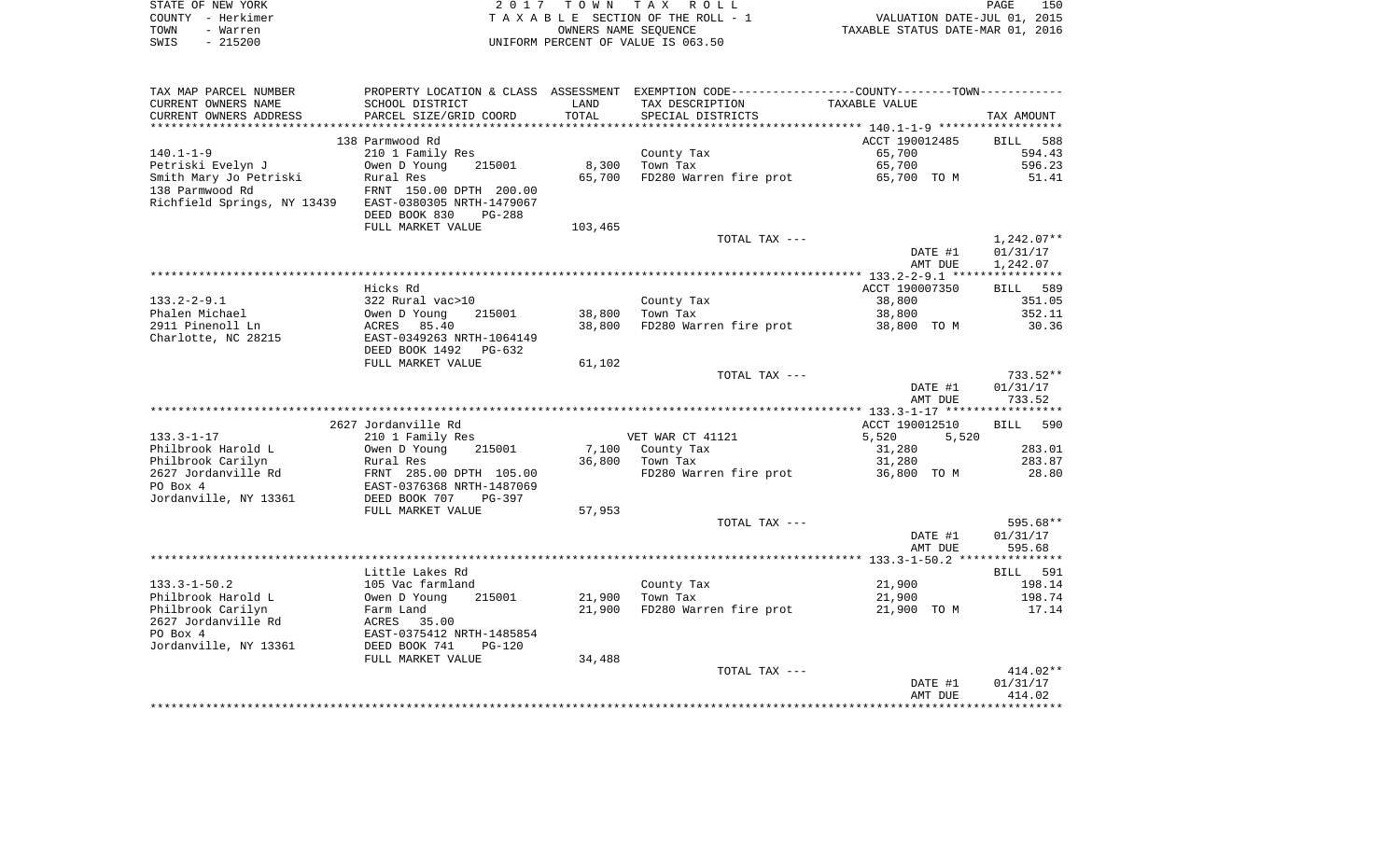| STATE OF NEW YORK | 2017 TOWN TAX ROLL                 | 150<br>PAGE                      |
|-------------------|------------------------------------|----------------------------------|
| COUNTY - Herkimer | TAXABLE SECTION OF THE ROLL - 1    | VALUATION DATE-JUL 01, 2015      |
| TOWN<br>- Warren  | OWNERS NAME SEOUENCE               | TAXABLE STATUS DATE-MAR 01, 2016 |
| - 215200<br>SWIS  | UNIFORM PERCENT OF VALUE IS 063.50 |                                  |

| TAX MAP PARCEL NUMBER       |                                |         | PROPERTY LOCATION & CLASS ASSESSMENT EXEMPTION CODE---------------COUNTY-------TOWN---------- |                |              |
|-----------------------------|--------------------------------|---------|-----------------------------------------------------------------------------------------------|----------------|--------------|
| CURRENT OWNERS NAME         | SCHOOL DISTRICT                | LAND    | TAX DESCRIPTION                                                                               | TAXABLE VALUE  |              |
| CURRENT OWNERS ADDRESS      | PARCEL SIZE/GRID COORD         | TOTAL   | SPECIAL DISTRICTS                                                                             |                | TAX AMOUNT   |
|                             |                                |         |                                                                                               |                |              |
|                             | 138 Parmwood Rd                |         |                                                                                               | ACCT 190012485 | BILL 588     |
| $140.1 - 1 - 9$             | 210 1 Family Res               |         | County Tax                                                                                    | 65,700         | 594.43       |
| Petriski Evelyn J           | Owen D Young<br>215001         | 8,300   | Town Tax                                                                                      | 65,700         | 596.23       |
| Smith Mary Jo Petriski      | Rural Res                      | 65,700  | FD280 Warren fire prot                                                                        | 65,700 TO M    | 51.41        |
| 138 Parmwood Rd             | FRNT 150.00 DPTH 200.00        |         |                                                                                               |                |              |
| Richfield Springs, NY 13439 | EAST-0380305 NRTH-1479067      |         |                                                                                               |                |              |
|                             | DEED BOOK 830<br><b>PG-288</b> |         |                                                                                               |                |              |
|                             | FULL MARKET VALUE              | 103,465 |                                                                                               |                |              |
|                             |                                |         | TOTAL TAX ---                                                                                 |                | $1,242.07**$ |
|                             |                                |         |                                                                                               | DATE #1        | 01/31/17     |
|                             |                                |         |                                                                                               | AMT DUE        | 1,242.07     |
|                             |                                |         |                                                                                               |                |              |
|                             | Hicks Rd                       |         |                                                                                               | ACCT 190007350 | BILL 589     |
| $133.2 - 2 - 9.1$           | 322 Rural vac>10               |         | County Tax                                                                                    | 38,800         | 351.05       |
| Phalen Michael              | Owen D Young<br>215001         | 38,800  | Town Tax                                                                                      | 38,800         | 352.11       |
| 2911 Pinenoll Ln            | ACRES 85.40                    | 38,800  | FD280 Warren fire prot 38,800 TO M                                                            |                | 30.36        |
| Charlotte, NC 28215         | EAST-0349263 NRTH-1064149      |         |                                                                                               |                |              |
|                             | DEED BOOK 1492<br>PG-632       |         |                                                                                               |                |              |
|                             | FULL MARKET VALUE              | 61,102  |                                                                                               |                |              |
|                             |                                |         | TOTAL TAX ---                                                                                 |                | $733.52**$   |
|                             |                                |         |                                                                                               | DATE #1        | 01/31/17     |
|                             |                                |         |                                                                                               | AMT DUE        | 733.52       |
|                             |                                |         |                                                                                               |                |              |
|                             | 2627 Jordanville Rd            |         |                                                                                               | ACCT 190012510 | BILL 590     |
| $133.3 - 1 - 17$            | 210 1 Family Res               |         | VET WAR CT 41121                                                                              | 5,520<br>5,520 |              |
| Philbrook Harold L          | Owen D Young<br>215001         |         | 7,100 County Tax                                                                              | 31,280         | 283.01       |
| Philbrook Carilyn           | Rural Res                      |         | 36,800 Town Tax                                                                               | 31,280         | 283.87       |
| 2627 Jordanville Rd         | FRNT 285.00 DPTH 105.00        |         | FD280 Warren fire prot                                                                        | 36,800 TO M    | 28.80        |
| PO Box 4                    | EAST-0376368 NRTH-1487069      |         |                                                                                               |                |              |
| Jordanville, NY 13361       | DEED BOOK 707<br>$PG-397$      |         |                                                                                               |                |              |
|                             | FULL MARKET VALUE              | 57,953  |                                                                                               |                |              |
|                             |                                |         | TOTAL TAX ---                                                                                 |                | 595.68**     |
|                             |                                |         |                                                                                               | DATE #1        | 01/31/17     |
|                             |                                |         |                                                                                               | AMT DUE        | 595.68       |
|                             |                                |         |                                                                                               |                |              |
|                             | Little Lakes Rd                |         |                                                                                               |                | BILL 591     |
| $133.3 - 1 - 50.2$          | 105 Vac farmland               |         | County Tax                                                                                    | 21,900         | 198.14       |
| Philbrook Harold L          | 215001<br>Owen D Young         | 21,900  | Town Tax                                                                                      | 21,900         | 198.74       |
| Philbrook Carilyn           | Farm Land                      | 21,900  | FD280 Warren fire prot                                                                        | 21,900 TO M    | 17.14        |
| 2627 Jordanville Rd         | ACRES 35.00                    |         |                                                                                               |                |              |
| PO Box 4                    | EAST-0375412 NRTH-1485854      |         |                                                                                               |                |              |
| Jordanville, NY 13361       | DEED BOOK 741<br>$PG-120$      |         |                                                                                               |                |              |
|                             | FULL MARKET VALUE              | 34,488  |                                                                                               |                |              |
|                             |                                |         | TOTAL TAX ---                                                                                 |                | $414.02**$   |
|                             |                                |         |                                                                                               | DATE #1        | 01/31/17     |
|                             |                                |         |                                                                                               | AMT DUE        | 414.02       |
|                             |                                |         |                                                                                               |                |              |
|                             |                                |         |                                                                                               |                |              |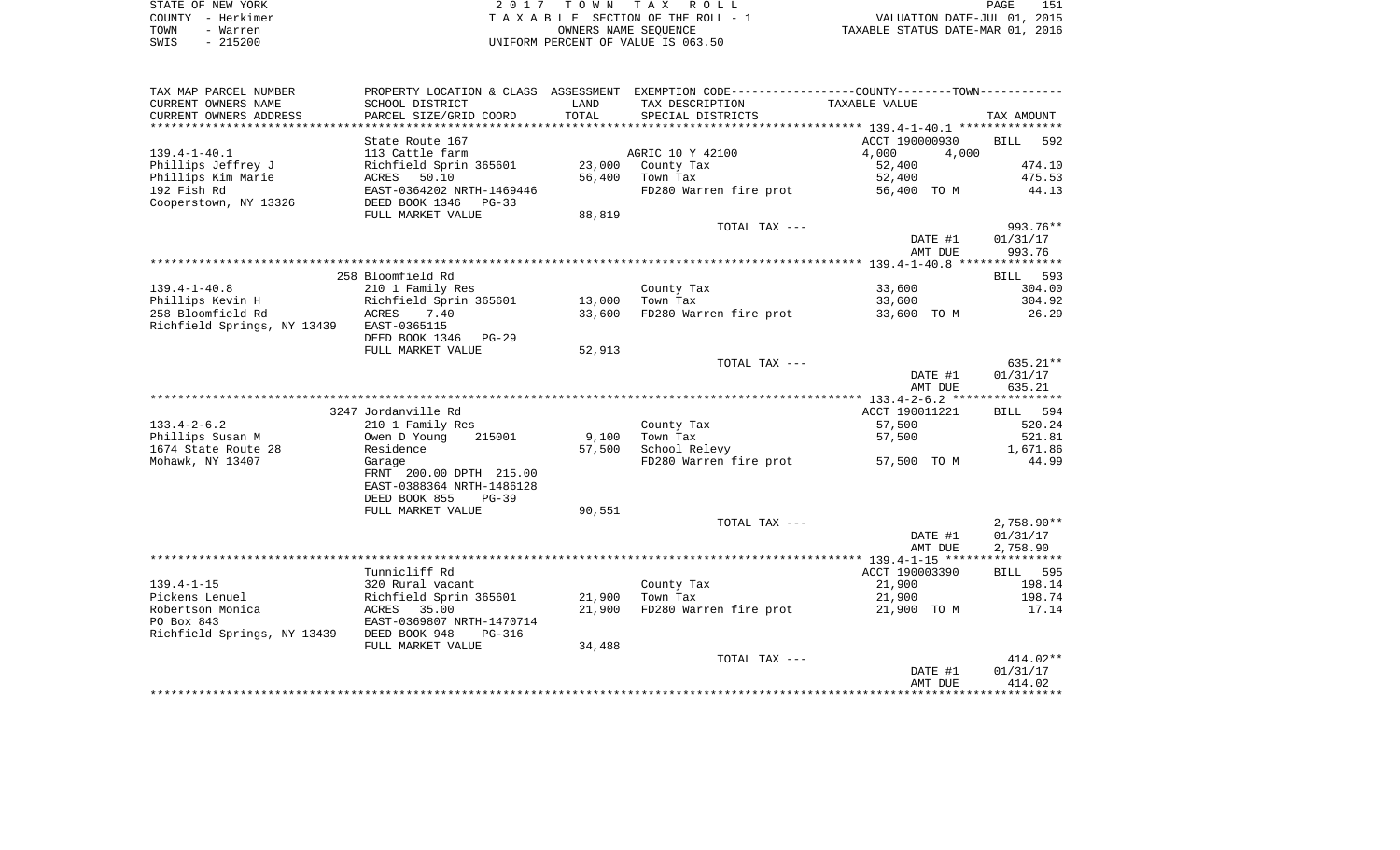| STATE OF NEW YORK | 2017 TOWN TAX ROLL                 | 151<br>PAGE                      |
|-------------------|------------------------------------|----------------------------------|
| COUNTY - Herkimer | TAXABLE SECTION OF THE ROLL - 1    | VALUATION DATE-JUL 01, 2015      |
| TOWN<br>- Warren  | OWNERS NAME SEOUENCE               | TAXABLE STATUS DATE-MAR 01, 2016 |
| $-215200$<br>SWIS | UNIFORM PERCENT OF VALUE IS 063.50 |                                  |

| TAX MAP PARCEL NUMBER                     |                             |        | PROPERTY LOCATION & CLASS ASSESSMENT EXEMPTION CODE---------------COUNTY-------TOWN--------- |                |                    |
|-------------------------------------------|-----------------------------|--------|----------------------------------------------------------------------------------------------|----------------|--------------------|
| CURRENT OWNERS NAME                       | SCHOOL DISTRICT             | LAND   | TAX DESCRIPTION                                                                              | TAXABLE VALUE  |                    |
| CURRENT OWNERS ADDRESS                    | PARCEL SIZE/GRID COORD      | TOTAL  | SPECIAL DISTRICTS                                                                            |                | TAX AMOUNT         |
| ********************                      | *************************** |        |                                                                                              |                |                    |
|                                           | State Route 167             |        |                                                                                              | ACCT 190000930 | <b>BILL</b><br>592 |
| $139.4 - 1 - 40.1$                        | 113 Cattle farm             |        | AGRIC 10 Y 42100                                                                             | 4,000<br>4,000 |                    |
| Phillips Jeffrey J                        | Richfield Sprin 365601      | 23,000 | County Tax                                                                                   | 52,400         | 474.10             |
| Phillips Kim Marie                        | ACRES 50.10                 | 56,400 | Town Tax                                                                                     | 52,400         | 475.53             |
| 192 Fish Rd                               | EAST-0364202 NRTH-1469446   |        | FD280 Warren fire prot                                                                       | 56,400 TO M    | 44.13              |
| Cooperstown, NY 13326                     | DEED BOOK 1346<br>$PG-33$   |        |                                                                                              |                |                    |
|                                           | FULL MARKET VALUE           | 88,819 |                                                                                              |                |                    |
|                                           |                             |        | TOTAL TAX ---                                                                                |                | 993.76**           |
|                                           |                             |        |                                                                                              | DATE #1        | 01/31/17           |
|                                           |                             |        |                                                                                              | AMT DUE        | 993.76             |
|                                           |                             |        |                                                                                              |                |                    |
|                                           | 258 Bloomfield Rd           |        |                                                                                              |                | BILL 593           |
| $139.4 - 1 - 40.8$                        | 210 1 Family Res            |        | County Tax                                                                                   | 33,600         | 304.00             |
|                                           |                             |        |                                                                                              |                |                    |
| Phillips Kevin H                          | Richfield Sprin 365601      | 13,000 | Town Tax                                                                                     | 33,600         | 304.92             |
| 258 Bloomfield Rd                         | 7.40<br>ACRES               | 33,600 | FD280 Warren fire prot                                                                       | 33,600 TO M    | 26.29              |
| Richfield Springs, NY 13439               | EAST-0365115                |        |                                                                                              |                |                    |
|                                           | DEED BOOK 1346<br>$PG-29$   |        |                                                                                              |                |                    |
|                                           | FULL MARKET VALUE           | 52,913 |                                                                                              |                |                    |
|                                           |                             |        | TOTAL TAX ---                                                                                |                | $635.21**$         |
|                                           |                             |        |                                                                                              | DATE #1        | 01/31/17           |
|                                           |                             |        |                                                                                              | AMT DUE        | 635.21             |
|                                           |                             |        |                                                                                              |                |                    |
|                                           | 3247 Jordanville Rd         |        |                                                                                              | ACCT 190011221 | 594<br>BILL        |
| $133.4 - 2 - 6.2$                         | 210 1 Family Res            |        | County Tax                                                                                   | 57,500         | 520.24             |
| Phillips Susan M                          | Owen D Young<br>215001      | 9,100  | Town Tax                                                                                     | 57,500         | 521.81             |
| 1674 State Route 28                       | Residence                   | 57,500 | School Relevy                                                                                |                | 1,671.86           |
| Mohawk, NY 13407                          | Garage                      |        | FD280 Warren fire prot                                                                       | 57,500 TO M    | 44.99              |
|                                           | FRNT 200.00 DPTH 215.00     |        |                                                                                              |                |                    |
|                                           | EAST-0388364 NRTH-1486128   |        |                                                                                              |                |                    |
|                                           | DEED BOOK 855<br>$PG-39$    |        |                                                                                              |                |                    |
|                                           | FULL MARKET VALUE           | 90,551 |                                                                                              |                |                    |
|                                           |                             |        | TOTAL TAX ---                                                                                |                | $2,758.90**$       |
|                                           |                             |        |                                                                                              | DATE #1        | 01/31/17           |
|                                           |                             |        |                                                                                              | AMT DUE        | 2,758.90           |
|                                           |                             |        |                                                                                              |                |                    |
|                                           | Tunnicliff Rd               |        |                                                                                              | ACCT 190003390 | BILL 595           |
| $139.4 - 1 - 15$                          | 320 Rural vacant            |        | County Tax                                                                                   | 21,900         | 198.14             |
| Pickens Lenuel                            | Richfield Sprin 365601      | 21,900 | Town Tax                                                                                     | 21,900         | 198.74             |
| Robertson Monica                          | ACRES<br>35.00              | 21,900 | FD280 Warren fire prot                                                                       | 21,900 TO M    | 17.14              |
| PO Box 843                                | EAST-0369807 NRTH-1470714   |        |                                                                                              |                |                    |
| Richfield Springs, NY 13439 DEED BOOK 948 | PG-316                      |        |                                                                                              |                |                    |
|                                           | FULL MARKET VALUE           | 34,488 |                                                                                              |                |                    |
|                                           |                             |        | TOTAL TAX ---                                                                                |                | $414.02**$         |
|                                           |                             |        |                                                                                              | DATE #1        | 01/31/17           |
|                                           |                             |        |                                                                                              | AMT DUE        | 414.02             |
|                                           |                             |        |                                                                                              |                |                    |
|                                           |                             |        |                                                                                              |                |                    |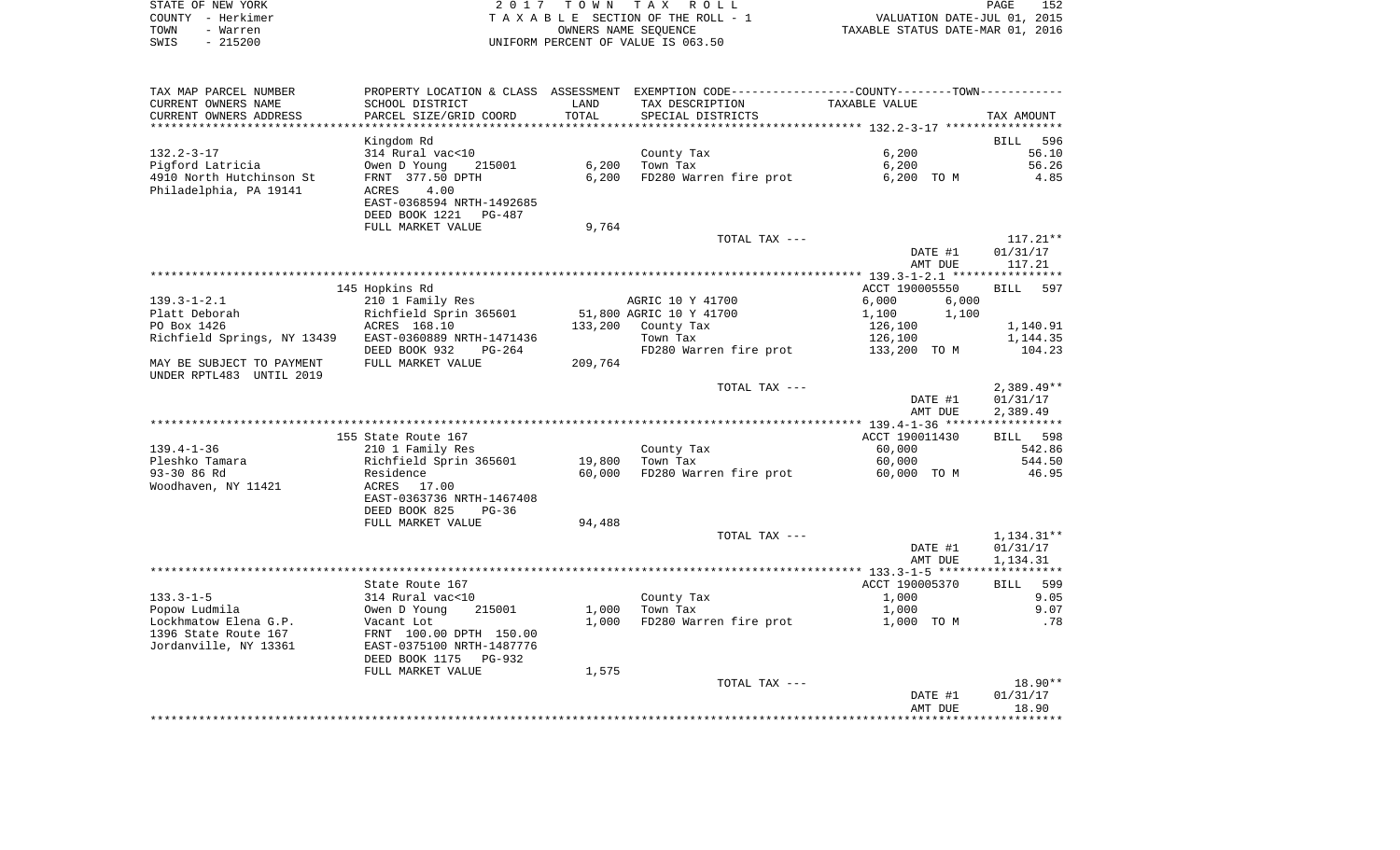| STATE OF NEW YORK | 2017 TOWN TAX ROLL                 | 152<br>PAGE                      |
|-------------------|------------------------------------|----------------------------------|
| COUNTY – Herkimer | TAXABLE SECTION OF THE ROLL - 1    | VALUATION DATE-JUL 01, 2015      |
| TOWN<br>- Warren  | OWNERS NAME SEOUENCE               | TAXABLE STATUS DATE-MAR 01, 2016 |
| - 215200<br>SWIS  | UNIFORM PERCENT OF VALUE IS 063.50 |                                  |

| TAX MAP PARCEL NUMBER       | PROPERTY LOCATION & CLASS ASSESSMENT EXEMPTION CODE----------------COUNTY-------TOWN---------- |         |                         |                    |                        |
|-----------------------------|------------------------------------------------------------------------------------------------|---------|-------------------------|--------------------|------------------------|
| CURRENT OWNERS NAME         | SCHOOL DISTRICT                                                                                | LAND    | TAX DESCRIPTION         | TAXABLE VALUE      |                        |
| CURRENT OWNERS ADDRESS      | PARCEL SIZE/GRID COORD                                                                         | TOTAL   | SPECIAL DISTRICTS       |                    | TAX AMOUNT             |
|                             |                                                                                                |         |                         |                    |                        |
|                             | Kingdom Rd                                                                                     |         |                         |                    | 596<br><b>BILL</b>     |
| $132.2 - 3 - 17$            | 314 Rural vac<10                                                                               |         | County Tax              | 6,200              | 56.10                  |
| Pigford Latricia            | Owen D Young<br>215001                                                                         | 6,200   | Town Tax                | 6,200              | 56.26                  |
| 4910 North Hutchinson St    | FRNT 377.50 DPTH                                                                               | 6,200   | FD280 Warren fire prot  | 6,200 TO M         | 4.85                   |
| Philadelphia, PA 19141      | 4.00<br>ACRES                                                                                  |         |                         |                    |                        |
|                             | EAST-0368594 NRTH-1492685                                                                      |         |                         |                    |                        |
|                             | DEED BOOK 1221<br>PG-487                                                                       |         |                         |                    |                        |
|                             | FULL MARKET VALUE                                                                              | 9,764   |                         |                    |                        |
|                             |                                                                                                |         | TOTAL TAX ---           |                    | $117.21**$<br>01/31/17 |
|                             |                                                                                                |         |                         | DATE #1<br>AMT DUE | 117.21                 |
|                             |                                                                                                |         |                         |                    |                        |
|                             | 145 Hopkins Rd                                                                                 |         |                         | ACCT 190005550     | 597<br>BILL            |
| $139.3 - 1 - 2.1$           | 210 1 Family Res                                                                               |         | AGRIC 10 Y 41700        | 6,000<br>6,000     |                        |
| Platt Deborah               | Richfield Sprin 365601                                                                         |         | 51,800 AGRIC 10 Y 41700 | 1,100<br>1,100     |                        |
| PO Box 1426                 | ACRES 168.10                                                                                   | 133,200 | County Tax              | 126,100            | 1,140.91               |
| Richfield Springs, NY 13439 | EAST-0360889 NRTH-1471436                                                                      |         | Town Tax                | 126,100            | 1,144.35               |
|                             | DEED BOOK 932<br>$PG-264$                                                                      |         | FD280 Warren fire prot  | 133,200 TO M       | 104.23                 |
| MAY BE SUBJECT TO PAYMENT   | FULL MARKET VALUE                                                                              | 209,764 |                         |                    |                        |
| UNDER RPTL483 UNTIL 2019    |                                                                                                |         |                         |                    |                        |
|                             |                                                                                                |         | TOTAL TAX ---           |                    | $2,389.49**$           |
|                             |                                                                                                |         |                         | DATE #1            | 01/31/17               |
|                             |                                                                                                |         |                         | AMT DUE            | 2,389.49               |
|                             |                                                                                                |         |                         |                    |                        |
|                             | 155 State Route 167                                                                            |         |                         | ACCT 190011430     | BILL 598               |
| $139.4 - 1 - 36$            | 210 1 Family Res                                                                               |         | County Tax              | 60,000             | 542.86                 |
| Pleshko Tamara              | Richfield Sprin 365601                                                                         | 19,800  | Town Tax                | 60,000             | 544.50                 |
| 93-30 86 Rd                 | Residence                                                                                      | 60,000  | FD280 Warren fire prot  | 60,000 TO M        | 46.95                  |
| Woodhaven, NY 11421         | ACRES 17.00                                                                                    |         |                         |                    |                        |
|                             | EAST-0363736 NRTH-1467408                                                                      |         |                         |                    |                        |
|                             | DEED BOOK 825<br>$PG-36$                                                                       |         |                         |                    |                        |
|                             | FULL MARKET VALUE                                                                              | 94,488  | TOTAL TAX ---           |                    | 1,134.31**             |
|                             |                                                                                                |         |                         | DATE #1            | 01/31/17               |
|                             |                                                                                                |         |                         | AMT DUE            | 1,134.31               |
|                             |                                                                                                |         |                         |                    |                        |
|                             | State Route 167                                                                                |         |                         | ACCT 190005370     | BILL 599               |
| $133.3 - 1 - 5$             | 314 Rural vac<10                                                                               |         | County Tax              | 1,000              | 9.05                   |
| Popow Ludmila               | Owen D Young<br>215001                                                                         | 1,000   | Town Tax                | 1,000              | 9.07                   |
| Lockhmatow Elena G.P.       | Vacant Lot                                                                                     | 1,000   | FD280 Warren fire prot  | 1,000 TO M         | .78                    |
| 1396 State Route 167        | FRNT 100.00 DPTH 150.00                                                                        |         |                         |                    |                        |
| Jordanville, NY 13361       | EAST-0375100 NRTH-1487776                                                                      |         |                         |                    |                        |
|                             | DEED BOOK 1175<br>PG-932                                                                       |         |                         |                    |                        |
|                             | FULL MARKET VALUE                                                                              | 1,575   |                         |                    |                        |
|                             |                                                                                                |         | TOTAL TAX ---           |                    | $18.90**$              |
|                             |                                                                                                |         |                         | DATE #1            | 01/31/17               |
|                             |                                                                                                |         |                         | AMT DUE            | 18.90                  |
|                             |                                                                                                |         |                         |                    |                        |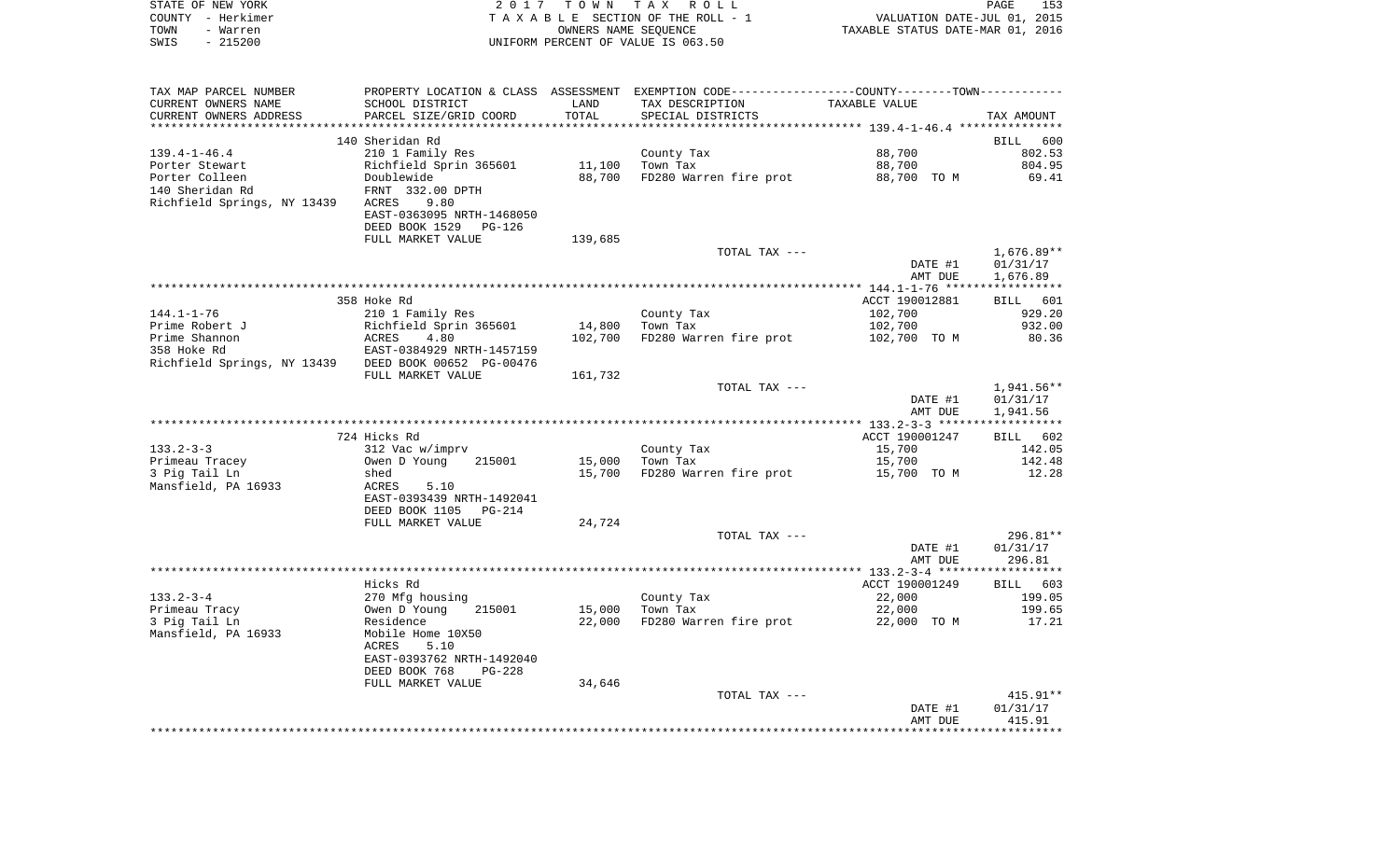| STATE OF NEW YORK                 |                                                                                               |                      | 2017 TOWN TAX ROLL                 |                                  | PAGE<br>153  |
|-----------------------------------|-----------------------------------------------------------------------------------------------|----------------------|------------------------------------|----------------------------------|--------------|
| COUNTY - Herkimer                 |                                                                                               |                      | TAXABLE SECTION OF THE ROLL - 1    | VALUATION DATE-JUL 01, 2015      |              |
| TOWN<br>- Warren                  |                                                                                               | OWNERS NAME SEOUENCE |                                    | TAXABLE STATUS DATE-MAR 01, 2016 |              |
| $-215200$<br>SWIS                 |                                                                                               |                      | UNIFORM PERCENT OF VALUE IS 063.50 |                                  |              |
|                                   |                                                                                               |                      |                                    |                                  |              |
| TAX MAP PARCEL NUMBER             | PROPERTY LOCATION & CLASS ASSESSMENT EXEMPTION CODE---------------COUNTY-------TOWN---------- |                      |                                    |                                  |              |
| CURRENT OWNERS NAME               | SCHOOL DISTRICT                                                                               | LAND                 | TAX DESCRIPTION                    | TAXABLE VALUE                    |              |
| CURRENT OWNERS ADDRESS            | PARCEL SIZE/GRID COORD                                                                        | TOTAL                | SPECIAL DISTRICTS                  |                                  | TAX AMOUNT   |
|                                   |                                                                                               |                      |                                    |                                  |              |
|                                   | 140 Sheridan Rd                                                                               |                      |                                    |                                  | BILL 600     |
| $139.4 - 1 - 46.4$                | 210 1 Family Res                                                                              |                      | County Tax                         | 88,700                           | 802.53       |
| Porter Stewart                    | Richfield Sprin 365601 11,100                                                                 |                      | Town Tax                           | 88,700                           | 804.95       |
| Porter Colleen<br>140 Sheridan Rd | Doublewide                                                                                    | 88,700               | FD280 Warren fire prot             | 88,700 TO M                      | 69.41        |
|                                   | FRNT 332.00 DPTH<br>ACRES<br>9.80                                                             |                      |                                    |                                  |              |
| Richfield Springs, NY 13439       | EAST-0363095 NRTH-1468050                                                                     |                      |                                    |                                  |              |
|                                   | DEED BOOK 1529 PG-126                                                                         |                      |                                    |                                  |              |
|                                   | FULL MARKET VALUE                                                                             | 139,685              |                                    |                                  |              |
|                                   |                                                                                               |                      | TOTAL TAX ---                      |                                  | $1,676.89**$ |
|                                   |                                                                                               |                      |                                    | DATE #1                          | 01/31/17     |
|                                   |                                                                                               |                      |                                    | AMT DUE                          | 1,676.89     |
|                                   |                                                                                               |                      |                                    |                                  |              |
|                                   | 358 Hoke Rd                                                                                   |                      |                                    | ACCT 190012881                   | 601<br>BILL  |
| $144.1 - 1 - 76$                  | 210 1 Family Res                                                                              |                      | County Tax                         | 102,700                          | 929.20       |
| Prime Robert J                    | Richfield Sprin 365601                                                                        | 14,800               | Town Tax                           | 102,700                          | 932.00       |
| Prime Shannon                     | 4.80<br>ACRES                                                                                 | 102,700              | FD280 Warren fire prot             | 102,700 TO M                     | 80.36        |
| 358 Hoke Rd                       | EAST-0384929 NRTH-1457159                                                                     |                      |                                    |                                  |              |
| Richfield Springs, NY 13439       | DEED BOOK 00652 PG-00476                                                                      |                      |                                    |                                  |              |
|                                   | FULL MARKET VALUE                                                                             | 161,732              |                                    |                                  |              |
|                                   |                                                                                               |                      | TOTAL TAX ---                      |                                  | 1,941.56**   |
|                                   |                                                                                               |                      |                                    | DATE #1                          | 01/31/17     |
|                                   |                                                                                               |                      |                                    | AMT DUE                          | 1,941.56     |
|                                   |                                                                                               |                      |                                    |                                  |              |
|                                   | 724 Hicks Rd                                                                                  |                      |                                    | ACCT 190001247                   | BILL 602     |
| $133.2 - 3 - 3$                   | 312 Vac w/imprv                                                                               |                      | County Tax                         | 15,700                           | 142.05       |

| 312 Vac w/imprv           |        | County Tax             | 15,700         | 142.05      |
|---------------------------|--------|------------------------|----------------|-------------|
| 215001<br>Owen D Young    | 15,000 | Town Tax               | 15,700         | 142.48      |
| shed                      | 15,700 | FD280 Warren fire prot | 15,700<br>TO M | 12.28       |
| 5.10<br>ACRES             |        |                        |                |             |
| EAST-0393439 NRTH-1492041 |        |                        |                |             |
| DEED BOOK 1105<br>PG-214  |        |                        |                |             |
| FULL MARKET VALUE         | 24,724 |                        |                |             |
|                           |        | TOTAL TAX ---          |                | $296.81**$  |
|                           |        |                        | DATE #1        | 01/31/17    |
|                           |        |                        | AMT DUE        | 296.81      |
|                           |        |                        |                |             |
| Hicks Rd                  |        |                        | ACCT 190001249 | 603<br>BILL |
| 270 Mfg housing           |        | County Tax             | 22,000         | 199.05      |
| 215001<br>Owen D Young    | 15,000 | Town Tax               | 22,000         | 199.65      |
| Residence                 | 22,000 | FD280 Warren fire prot | 22,000 TO M    | 17.21       |
| Mobile Home 10X50         |        |                        |                |             |
| 5.10<br>ACRES             |        |                        |                |             |
| EAST-0393762 NRTH-1492040 |        |                        |                |             |
| DEED BOOK 768<br>$PG-228$ |        |                        |                |             |
| FULL MARKET VALUE         | 34,646 |                        |                |             |
|                           |        |                        |                |             |

| TOTAL TAX --- | $415.91**$ |
|---------------|------------|
| DATE #1       | 01/31/17   |
| AMT DUE       | 415.91     |
|               |            |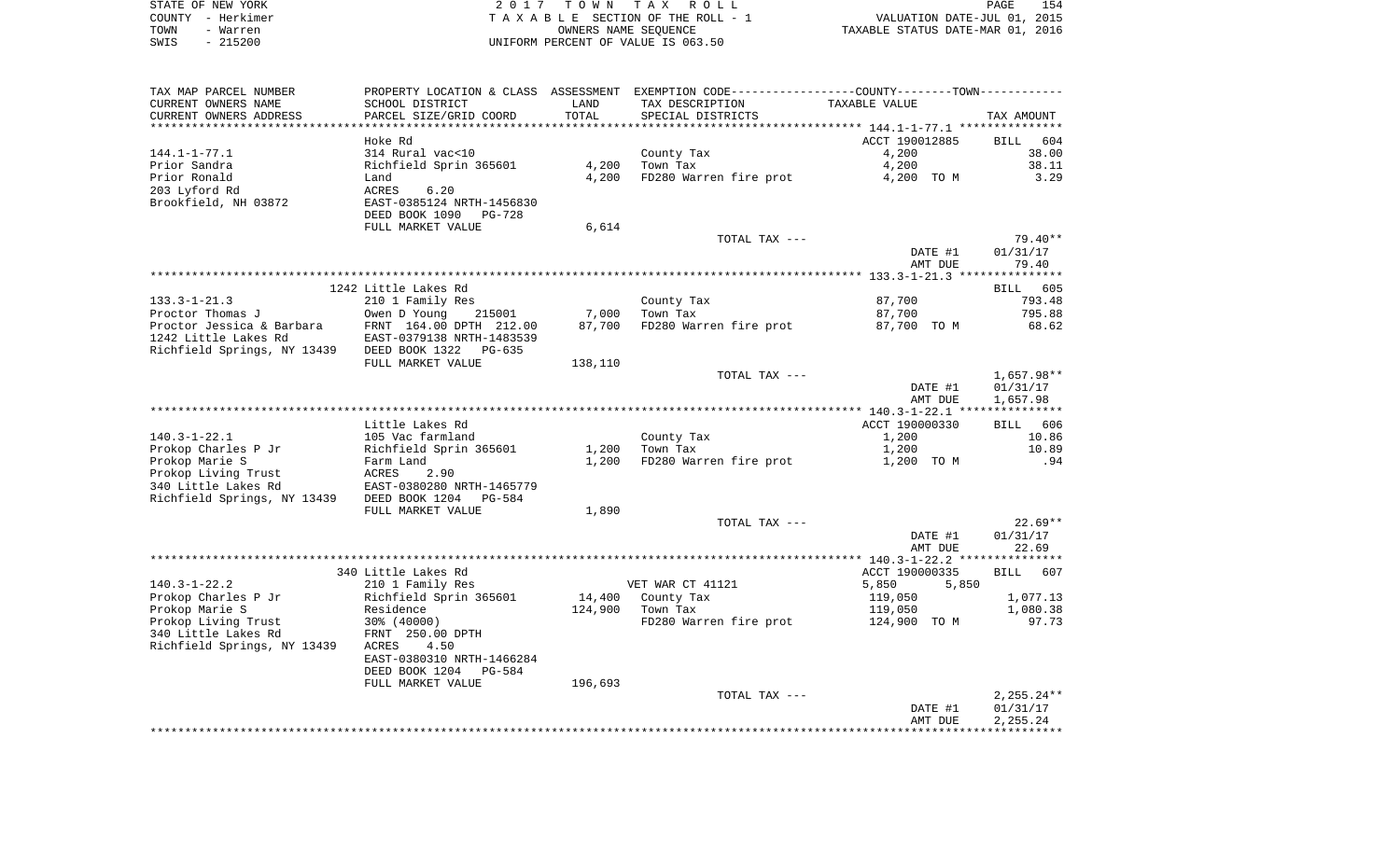| STATE OF NEW YORK | 2017 TOWN TAX ROLL                 | 154<br>PAGE                      |
|-------------------|------------------------------------|----------------------------------|
| COUNTY - Herkimer | TAXABLE SECTION OF THE ROLL - 1    | VALUATION DATE-JUL 01, 2015      |
| TOWN<br>- Warren  | OWNERS NAME SEOUENCE               | TAXABLE STATUS DATE-MAR 01, 2016 |
| $-215200$<br>SWIS | UNIFORM PERCENT OF VALUE IS 063.50 |                                  |

| TAX MAP PARCEL NUMBER                      | PROPERTY LOCATION & CLASS ASSESSMENT       |         | EXEMPTION CODE-----------------COUNTY--------TOWN---------- |                |                    |
|--------------------------------------------|--------------------------------------------|---------|-------------------------------------------------------------|----------------|--------------------|
| CURRENT OWNERS NAME                        | SCHOOL DISTRICT                            | LAND    | TAX DESCRIPTION                                             | TAXABLE VALUE  |                    |
| CURRENT OWNERS ADDRESS                     | PARCEL SIZE/GRID COORD                     | TOTAL   | SPECIAL DISTRICTS                                           |                | TAX AMOUNT         |
|                                            |                                            |         |                                                             |                |                    |
|                                            | Hoke Rd                                    |         |                                                             | ACCT 190012885 | BILL<br>604        |
| $144.1 - 1 - 77.1$                         | 314 Rural vac<10                           |         | County Tax                                                  | 4,200          | 38.00              |
| Prior Sandra                               | Richfield Sprin 365601                     | 4,200   | Town Tax                                                    | 4,200          | 38.11              |
| Prior Ronald                               | Land                                       | 4,200   | FD280 Warren fire prot                                      | 4,200 TO M     | 3.29               |
| 203 Lyford Rd                              | 6.20<br>ACRES                              |         |                                                             |                |                    |
| Brookfield, NH 03872                       | EAST-0385124 NRTH-1456830                  |         |                                                             |                |                    |
|                                            | DEED BOOK 1090<br>PG-728                   |         |                                                             |                |                    |
|                                            | FULL MARKET VALUE                          | 6,614   |                                                             |                |                    |
|                                            |                                            |         | TOTAL TAX ---                                               |                | 79.40**            |
|                                            |                                            |         |                                                             | DATE #1        | 01/31/17           |
|                                            |                                            |         |                                                             | AMT DUE        | 79.40              |
|                                            |                                            |         |                                                             |                |                    |
|                                            | 1242 Little Lakes Rd                       |         |                                                             |                | <b>BILL</b><br>605 |
| $133.3 - 1 - 21.3$                         | 210 1 Family Res                           |         | County Tax                                                  | 87,700         | 793.48             |
| Proctor Thomas J                           | Owen D Young<br>215001                     | 7,000   | Town Tax                                                    | 87,700         | 795.88             |
| Proctor Jessica & Barbara                  | FRNT 164.00 DPTH 212.00                    | 87,700  | FD280 Warren fire prot                                      | 87,700 TO M    | 68.62              |
| 1242 Little Lakes Rd                       | EAST-0379138 NRTH-1483539                  |         |                                                             |                |                    |
| Richfield Springs, NY 13439                | DEED BOOK 1322<br>PG-635                   |         |                                                             |                |                    |
|                                            | FULL MARKET VALUE                          | 138,110 |                                                             |                |                    |
|                                            |                                            |         | TOTAL TAX ---                                               |                | $1,657.98**$       |
|                                            |                                            |         |                                                             | DATE #1        | 01/31/17           |
|                                            |                                            |         |                                                             | AMT DUE        | 1,657.98           |
|                                            |                                            |         |                                                             |                | ************       |
|                                            | Little Lakes Rd                            |         |                                                             | ACCT 190000330 | BILL 606           |
| $140.3 - 1 - 22.1$                         | 105 Vac farmland                           |         | County Tax                                                  | 1,200          | 10.86              |
| Prokop Charles P Jr                        | Richfield Sprin 365601                     | 1,200   | Town Tax                                                    | 1,200          | 10.89              |
| Prokop Marie S                             |                                            |         | FD280 Warren fire prot                                      | 1,200 TO M     | .94                |
|                                            | Farm Land                                  | 1,200   |                                                             |                |                    |
| Prokop Living Trust                        | ACRES<br>2.90<br>EAST-0380280 NRTH-1465779 |         |                                                             |                |                    |
| 340 Little Lakes Rd                        |                                            |         |                                                             |                |                    |
| Richfield Springs, NY 13439 DEED BOOK 1204 | PG-584                                     |         |                                                             |                |                    |
|                                            | FULL MARKET VALUE                          | 1,890   | TOTAL TAX ---                                               |                | $22.69**$          |
|                                            |                                            |         |                                                             |                |                    |
|                                            |                                            |         |                                                             | DATE #1        | 01/31/17           |
|                                            |                                            |         |                                                             | AMT DUE        | 22.69              |
|                                            | 340 Little Lakes Rd                        |         |                                                             |                | 607                |
|                                            |                                            |         |                                                             | ACCT 190000335 | <b>BILL</b>        |
| $140.3 - 1 - 22.2$                         | 210 1 Family Res                           |         | VET WAR CT 41121                                            | 5,850<br>5,850 |                    |
| Prokop Charles P Jr                        | Richfield Sprin 365601                     | 14,400  | County Tax                                                  | 119,050        | 1,077.13           |
| Prokop Marie S                             | Residence                                  | 124,900 | Town Tax                                                    | 119,050        | 1,080.38           |
| Prokop Living Trust                        | 30% (40000)                                |         | FD280 Warren fire prot                                      | 124,900 TO M   | 97.73              |
| 340 Little Lakes Rd                        | FRNT 250.00 DPTH                           |         |                                                             |                |                    |
| Richfield Springs, NY 13439                | 4.50<br>ACRES                              |         |                                                             |                |                    |
|                                            | EAST-0380310 NRTH-1466284                  |         |                                                             |                |                    |
|                                            | DEED BOOK 1204<br>PG-584                   |         |                                                             |                |                    |
|                                            | FULL MARKET VALUE                          | 196,693 |                                                             |                |                    |
|                                            |                                            |         | TOTAL TAX ---                                               |                | $2,255.24**$       |
|                                            |                                            |         |                                                             | DATE #1        | 01/31/17           |
|                                            |                                            |         |                                                             | AMT DUE        | 2,255.24           |
|                                            |                                            |         |                                                             |                |                    |
|                                            |                                            |         |                                                             |                |                    |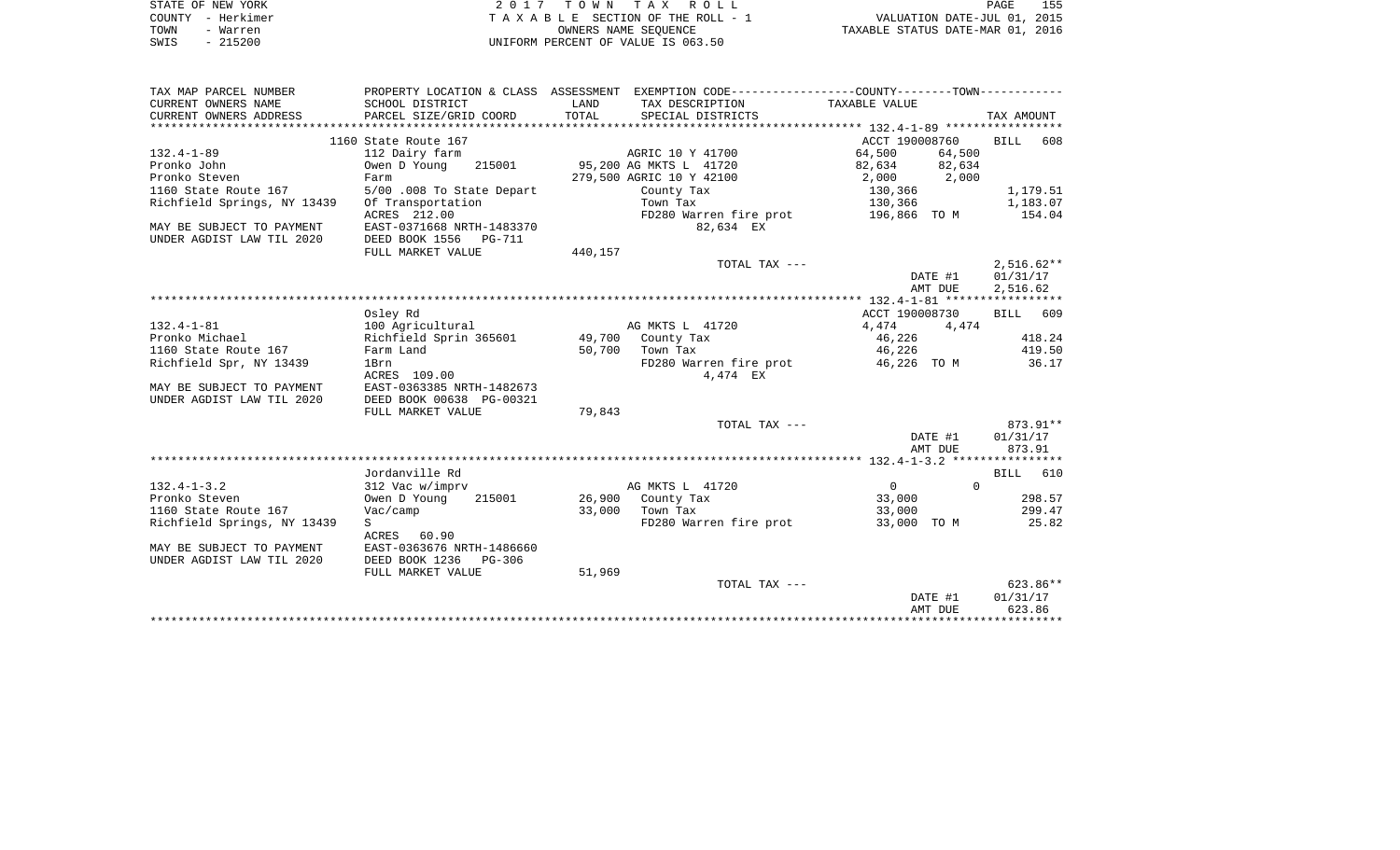| STATE OF NEW YORK<br>- Herkimer<br>COUNTY |                           |                      | 2017 TOWN TAX ROLL<br>TAXABLE SECTION OF THE ROLL - 1 |                                                             | PAGE<br>VALUATION DATE-JUL 01, 2015 | 155        |
|-------------------------------------------|---------------------------|----------------------|-------------------------------------------------------|-------------------------------------------------------------|-------------------------------------|------------|
| TOWN<br>- Warren<br>SWIS<br>$-215200$     |                           | OWNERS NAME SEOUENCE | UNIFORM PERCENT OF VALUE IS 063.50                    | TAXABLE STATUS DATE-MAR 01, 2016                            |                                     |            |
|                                           |                           |                      |                                                       |                                                             |                                     |            |
|                                           |                           |                      |                                                       |                                                             |                                     |            |
| TAX MAP PARCEL NUMBER                     | PROPERTY LOCATION & CLASS | ASSESSMENT           |                                                       | EXEMPTION CODE-----------------COUNTY-------TOWN----------- |                                     |            |
| CURRENT OWNERS NAME                       | SCHOOL DISTRICT           | LAND                 | TAX DESCRIPTION                                       | TAXABLE VALUE                                               |                                     |            |
| CURRENT OWNERS ADDRESS                    | PARCEL SIZE/GRID COORD    | TOTAL                | SPECIAL DISTRICTS                                     |                                                             |                                     | TAX AMOUNT |
|                                           |                           |                      |                                                       |                                                             |                                     |            |

|                             | 1160 State Route 167       |         |                          | ACCT 190008760 |          | <b>BILL</b>  | 608      |
|-----------------------------|----------------------------|---------|--------------------------|----------------|----------|--------------|----------|
| $132.4 - 1 - 89$            | 112 Dairy farm             |         | AGRIC 10 Y 41700         | 64,500         | 64,500   |              |          |
| Pronko John                 | Owen D Young<br>215001     |         | 95,200 AG MKTS L 41720   | 82,634         | 82,634   |              |          |
| Pronko Steven               | Farm                       |         | 279,500 AGRIC 10 Y 42100 | 2,000          | 2,000    |              |          |
| 1160 State Route 167        | 5/00 .008 To State Depart  |         | County Tax               | 130,366        |          |              | 1,179.51 |
| Richfield Springs, NY 13439 | Of Transportation          |         | Town Tax                 | 130,366        |          |              | 1,183.07 |
|                             | ACRES 212.00               |         | FD280 Warren fire prot   | 196,866 TO M   |          |              | 154.04   |
| MAY BE SUBJECT TO PAYMENT   | EAST-0371668 NRTH-1483370  |         | 82,634 EX                |                |          |              |          |
| UNDER AGDIST LAW TIL 2020   | DEED BOOK 1556<br>PG-711   |         |                          |                |          |              |          |
|                             | FULL MARKET VALUE          | 440,157 |                          |                |          |              |          |
|                             |                            |         | TOTAL TAX ---            |                |          | $2,516.62**$ |          |
|                             |                            |         |                          | DATE #1        |          | 01/31/17     |          |
|                             |                            |         |                          | AMT DUE        |          | 2,516.62     |          |
|                             |                            |         |                          |                |          |              |          |
|                             | Osley Rd                   |         |                          | ACCT 190008730 |          | <b>BILL</b>  | 609      |
| $132.4 - 1 - 81$            | 100 Agricultural           |         | AG MKTS L 41720          | 4,474          | 4,474    |              |          |
| Pronko Michael              | Richfield Sprin 365601     | 49,700  | County Tax               | 46,226         |          |              | 418.24   |
| 1160 State Route 167        | Farm Land                  | 50,700  | Town Tax                 | 46,226         |          |              | 419.50   |
| Richfield Spr, NY 13439     | 1Brn                       |         | FD280 Warren fire prot   | 46,226 TO M    |          |              | 36.17    |
|                             | ACRES 109.00               |         | 4,474 EX                 |                |          |              |          |
| MAY BE SUBJECT TO PAYMENT   | EAST-0363385 NRTH-1482673  |         |                          |                |          |              |          |
| UNDER AGDIST LAW TIL 2020   | DEED BOOK 00638 PG-00321   |         |                          |                |          |              |          |
|                             | FULL MARKET VALUE          | 79,843  |                          |                |          |              |          |
|                             |                            |         | TOTAL TAX ---            |                |          |              | 873.91** |
|                             |                            |         |                          | DATE #1        |          | 01/31/17     |          |
|                             |                            |         |                          | AMT DUE        |          | 873.91       |          |
|                             |                            |         |                          |                |          |              |          |
|                             | Jordanville Rd             |         |                          |                |          | <b>BILL</b>  | 610      |
| $132.4 - 1 - 3.2$           | 312 Vac w/imprv            |         | AG MKTS L 41720          | $\mathbf 0$    | $\Omega$ |              |          |
| Pronko Steven               | Owen D Young<br>215001     | 26,900  | County Tax               | 33,000         |          |              | 298.57   |
| 1160 State Route 167        | Vac/camp                   | 33,000  | Town Tax                 | 33,000         |          |              | 299.47   |
| Richfield Springs, NY 13439 | S                          |         | FD280 Warren fire prot   | 33,000 TO M    |          |              | 25.82    |
|                             | ACRES<br>60.90             |         |                          |                |          |              |          |
| MAY BE SUBJECT TO PAYMENT   | EAST-0363676 NRTH-1486660  |         |                          |                |          |              |          |
| UNDER AGDIST LAW TIL 2020   | DEED BOOK 1236<br>$PG-306$ |         |                          |                |          |              |          |
|                             | FULL MARKET VALUE          | 51,969  |                          |                |          |              |          |
|                             |                            |         | TOTAL TAX ---            |                |          |              | 623.86** |
|                             |                            |         |                          | DATE #1        |          | 01/31/17     |          |
|                             |                            |         |                          | AMT DUE        |          | 623.86       |          |
|                             |                            |         |                          |                |          |              |          |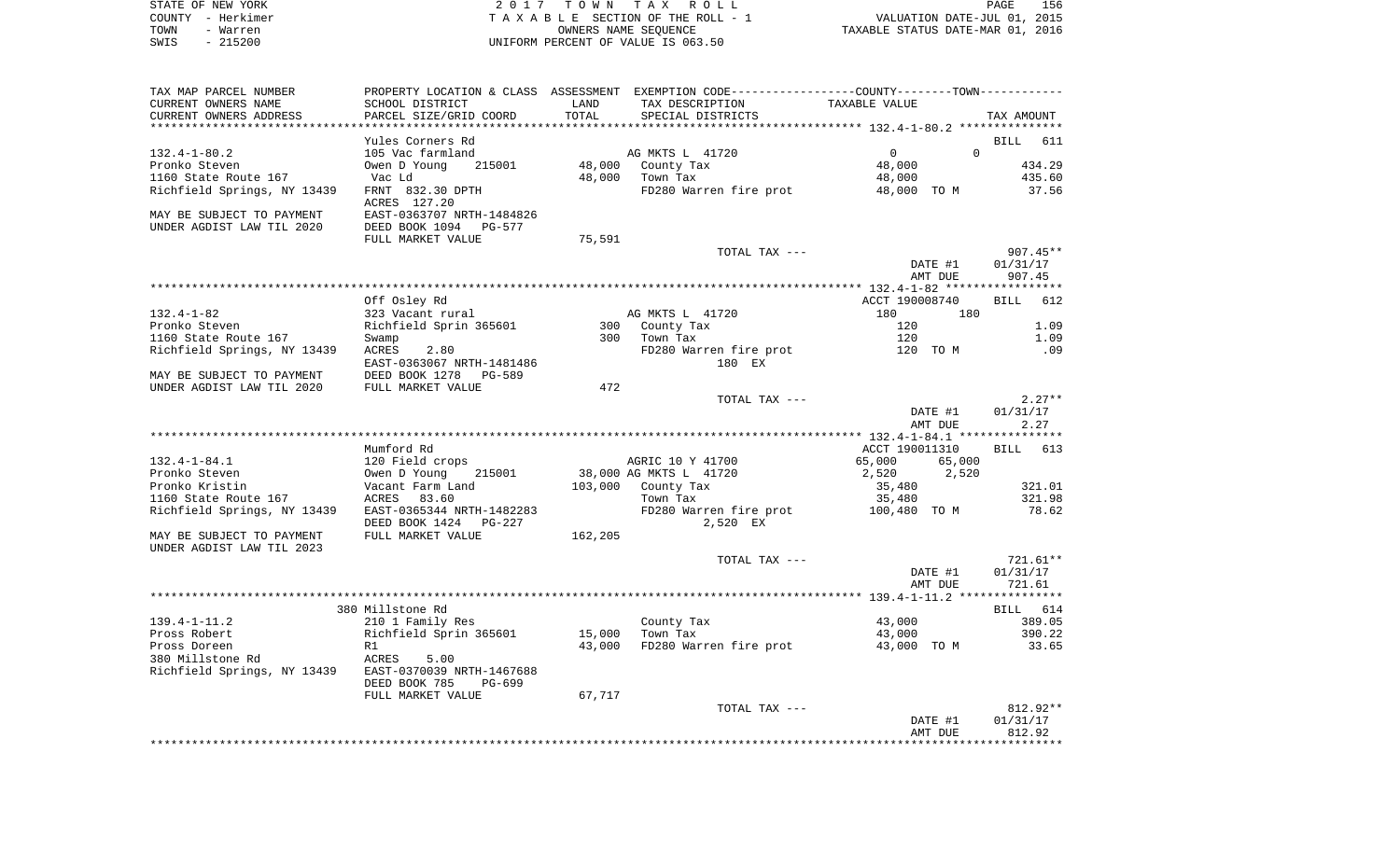| STATE OF NEW YORK                     |                                       |        | 2017 TOWN TAX ROLL                                                                            |                                  | 156<br>PAGE      |
|---------------------------------------|---------------------------------------|--------|-----------------------------------------------------------------------------------------------|----------------------------------|------------------|
| COUNTY - Herkimer                     | T A X A B L E SECTION OF THE ROLL - 1 |        |                                                                                               | VALUATION DATE-JUL 01, 2015      |                  |
| TOWN<br>- Warren                      |                                       |        | OWNERS NAME SEOUENCE                                                                          | TAXABLE STATUS DATE-MAR 01, 2016 |                  |
| $-215200$<br>SWIS                     |                                       |        | UNIFORM PERCENT OF VALUE IS 063.50                                                            |                                  |                  |
| TAX MAP PARCEL NUMBER                 |                                       |        | PROPERTY LOCATION & CLASS ASSESSMENT EXEMPTION CODE---------------COUNTY-------TOWN---------- |                                  |                  |
| CURRENT OWNERS NAME                   | SCHOOL DISTRICT                       | LAND   | TAX DESCRIPTION TAXABLE VALUE                                                                 |                                  |                  |
| CURRENT OWNERS ADDRESS                | PARCEL SIZE/GRID COORD                | TOTAL  | SPECIAL DISTRICTS                                                                             |                                  | TAX AMOUNT       |
|                                       |                                       |        |                                                                                               |                                  |                  |
|                                       | Yules Corners Rd                      |        |                                                                                               |                                  | BILL 611         |
| $132.4 - 1 - 80.2$                    | 105 Vac farmland                      |        | AG MKTS L 41720                                                                               | $\Omega$<br>$\Omega$             |                  |
| Pronko Steven<br>1160 State Route 167 | Owen D Young<br>215001<br>Vac Ld      |        | 48,000 County Tax<br>48,000 Town Tax                                                          | 48,000                           | 434.29<br>435.60 |
| Richfield Springs, NY 13439           | FRNT 832.30 DPTH                      |        | FD280 Warren fire prot                                                                        | 48,000<br>48,000 TO M            | 37.56            |
|                                       | ACRES 127.20                          |        |                                                                                               |                                  |                  |
| MAY BE SUBJECT TO PAYMENT             | EAST-0363707 NRTH-1484826             |        |                                                                                               |                                  |                  |
| UNDER AGDIST LAW TIL 2020             | DEED BOOK 1094 PG-577                 |        |                                                                                               |                                  |                  |
|                                       | FULL MARKET VALUE                     | 75,591 |                                                                                               |                                  |                  |
|                                       |                                       |        | TOTAL TAX ---                                                                                 |                                  | $907.45**$       |
|                                       |                                       |        |                                                                                               | DATE #1                          | 01/31/17         |
|                                       |                                       |        |                                                                                               | AMT DUE                          | 907.45           |
|                                       | Off Osley Rd                          |        |                                                                                               | ACCT 190008740                   | BILL 612         |
| $132.4 - 1 - 82$                      |                                       |        | AG MKTS L 41720                                                                               | 180<br>180                       |                  |
| Pronko Steven                         |                                       |        |                                                                                               | 120                              | 1.09             |
| 1160 State Route 167                  | Swamp                                 | 300    | Town Tax                                                                                      | 120                              | 1.09             |
| Richfield Springs, NY 13439           | <b>ACRES</b><br>2.80                  |        | FD280 Warren fire prot 120 TO M                                                               |                                  | .09              |
|                                       | EAST-0363067 NRTH-1481486             |        | 180 EX                                                                                        |                                  |                  |
| MAY BE SUBJECT TO PAYMENT             | DEED BOOK 1278 PG-589                 |        |                                                                                               |                                  |                  |
| UNDER AGDIST LAW TIL 2020             | FULL MARKET VALUE                     | 472    |                                                                                               |                                  |                  |
|                                       |                                       |        | TOTAL TAX ---                                                                                 |                                  | $2.27**$         |
|                                       |                                       |        |                                                                                               | DATE #1                          | 01/31/17         |
|                                       |                                       |        |                                                                                               | AMT DUE                          | 2.27             |
|                                       |                                       |        |                                                                                               |                                  |                  |
|                                       | Mumford Rd                            |        |                                                                                               | ACCT 190011310                   | BILL 613         |
| $132.4 - 1 - 84.1$                    | 120 Field crops                       |        | AGRIC 10 Y 41700                                                                              | 65,000 65,000                    |                  |
| Pronko Steven                         | 215001<br>Owen D Young                |        | 38,000 AG MKTS L 41720                                                                        | 2,520 2,520                      | .                |

| 132.4-1-84.1                                           | 120 Field crops                                    |         | AGRIC 10 Y 41700                   | 65,000       | 65,000  |            |
|--------------------------------------------------------|----------------------------------------------------|---------|------------------------------------|--------------|---------|------------|
| Pronko Steven                                          | 215001<br>Owen D Young                             |         | 38,000 AG MKTS L 41720             | 2,520        | 2,520   |            |
| Pronko Kristin                                         | Vacant Farm Land                                   | 103,000 | County Tax                         | 35,480       |         | 321.01     |
| 1160 State Route 167                                   | 83.60<br>ACRES                                     |         | Town Tax                           | 35,480       |         | 321.98     |
| Richfield Springs, NY 13439                            | EAST-0365344 NRTH-1482283<br>DEED BOOK 1424 PG-227 |         | FD280 Warren fire prot<br>2,520 EX | 100,480 TO M |         | 78.62      |
| MAY BE SUBJECT TO PAYMENT<br>UNDER AGDIST LAW TIL 2023 | FULL MARKET VALUE                                  | 162,205 |                                    |              |         |            |
|                                                        |                                                    |         | TOTAL TAX ---                      |              |         | $721.61**$ |
|                                                        |                                                    |         |                                    |              | DATE #1 | 01/31/17   |
|                                                        |                                                    |         |                                    |              | AMT DUE | 721.61     |
|                                                        |                                                    |         |                                    |              |         |            |
|                                                        | 380 Millstone Rd                                   |         |                                    |              |         | BILL 614   |
| 139.4-1-11.2                                           | 210 1 Family Res                                   |         | County Tax                         | 43,000       |         | 389.05     |
| Pross Robert                                           | Richfield Sprin 365601                             | 15,000  | Town Tax                           | 43,000       |         | 390.22     |
| Pross Doreen                                           | R1                                                 | 43,000  | FD280 Warren fire prot             | 43,000       | TO M    | 33.65      |
| 380 Millstone Rd<br>Richfield Springs, NY 13439        | 5.00<br>ACRES<br>EAST-0370039 NRTH-1467688         |         |                                    |              |         |            |
|                                                        | DEED BOOK 785<br>PG-699                            |         |                                    |              |         |            |
|                                                        | FULL MARKET VALUE                                  | 67,717  |                                    |              |         |            |
|                                                        |                                                    |         | TOTAL TAX ---                      |              |         | $812.92**$ |
|                                                        |                                                    |         |                                    |              | DATE #1 | 01/31/17   |
|                                                        |                                                    |         |                                    |              | AMT DUE | 812.92     |

\*\*\*\*\*\*\*\*\*\*\*\*\*\*\*\*\*\*\*\*\*\*\*\*\*\*\*\*\*\*\*\*\*\*\*\*\*\*\*\*\*\*\*\*\*\*\*\*\*\*\*\*\*\*\*\*\*\*\*\*\*\*\*\*\*\*\*\*\*\*\*\*\*\*\*\*\*\*\*\*\*\*\*\*\*\*\*\*\*\*\*\*\*\*\*\*\*\*\*\*\*\*\*\*\*\*\*\*\*\*\*\*\*\*\*\*\*\*\*\*\*\*\*\*\*\*\*\*\*\*\*\*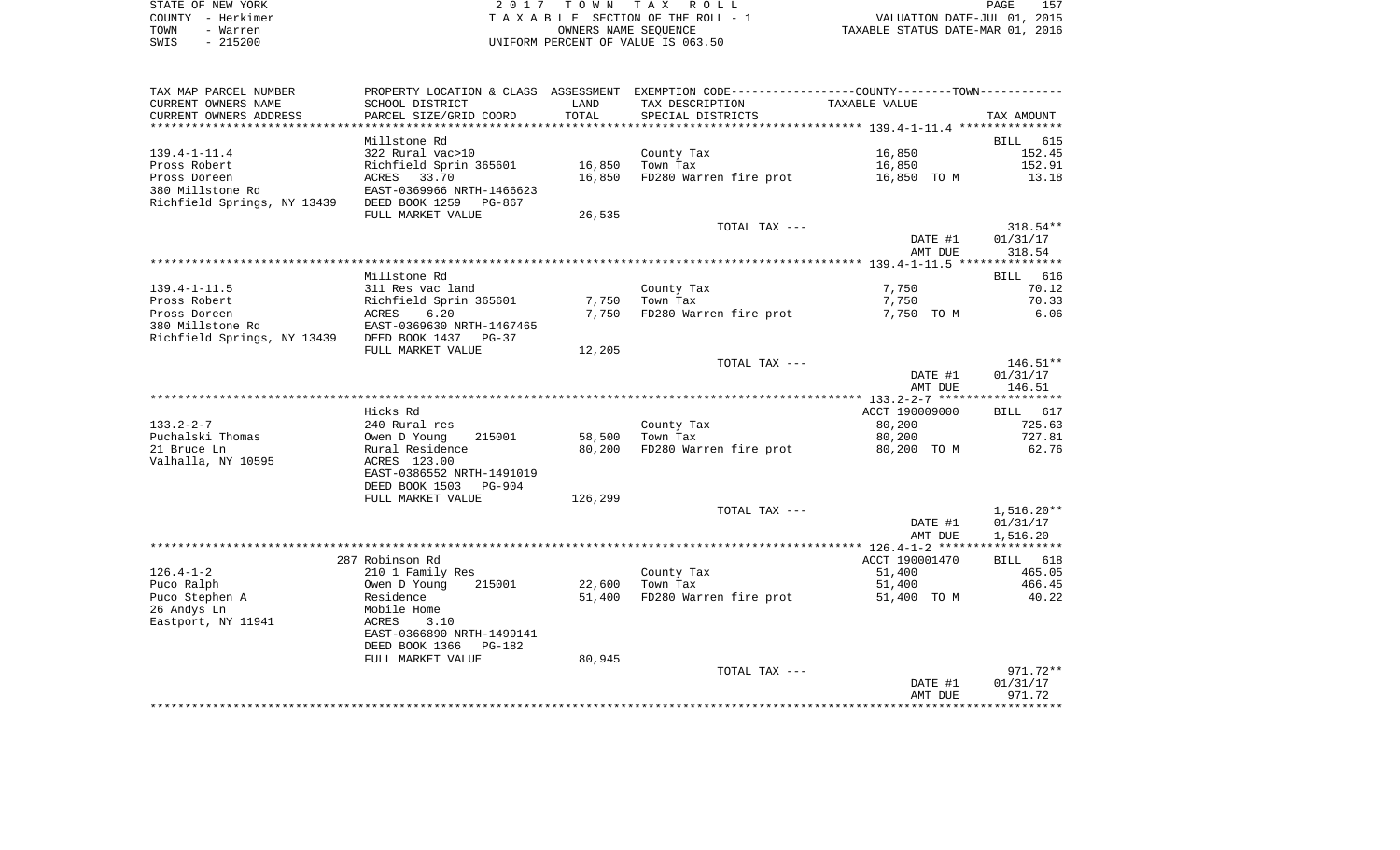| STATE OF NEW YORK | 2017 TOWN TAX ROLL                 | 157<br>PAGE                      |
|-------------------|------------------------------------|----------------------------------|
| COUNTY - Herkimer | TAXABLE SECTION OF THE ROLL - 1    | VALUATION DATE-JUL 01, 2015      |
| TOWN<br>- Warren  | OWNERS NAME SEOUENCE               | TAXABLE STATUS DATE-MAR 01, 2016 |
| $-215200$<br>SWIS | UNIFORM PERCENT OF VALUE IS 063.50 |                                  |

| TAX MAP PARCEL NUMBER                            | PROPERTY LOCATION & CLASS ASSESSMENT EXEMPTION CODE----------------COUNTY--------TOWN----------- |                |                        |                |                        |
|--------------------------------------------------|--------------------------------------------------------------------------------------------------|----------------|------------------------|----------------|------------------------|
| CURRENT OWNERS NAME                              | SCHOOL DISTRICT                                                                                  | LAND           | TAX DESCRIPTION        | TAXABLE VALUE  |                        |
| CURRENT OWNERS ADDRESS                           | PARCEL SIZE/GRID COORD                                                                           | TOTAL          | SPECIAL DISTRICTS      |                | TAX AMOUNT             |
|                                                  |                                                                                                  | ************** |                        |                |                        |
|                                                  | Millstone Rd                                                                                     |                |                        |                | BILL 615               |
| $139.4 - 1 - 11.4$                               | 322 Rural vac>10                                                                                 |                | County Tax             | 16,850         | 152.45                 |
| Pross Robert                                     | Richfield Sprin 365601                                                                           | 16,850         | Town Tax               | 16,850         | 152.91                 |
| Pross Doreen                                     | ACRES 33.70                                                                                      | 16,850         | FD280 Warren fire prot | 16,850 TO M    | 13.18                  |
| 380 Millstone Rd                                 | EAST-0369966 NRTH-1466623                                                                        |                |                        |                |                        |
| Richfield Springs, NY 13439 DEED BOOK 1259       | PG-867                                                                                           |                |                        |                |                        |
|                                                  | FULL MARKET VALUE                                                                                | 26,535         |                        |                |                        |
|                                                  |                                                                                                  |                | TOTAL TAX ---          |                | $318.54**$             |
|                                                  |                                                                                                  |                |                        | DATE #1        | 01/31/17               |
|                                                  |                                                                                                  |                |                        | AMT DUE        | 318.54                 |
|                                                  |                                                                                                  |                |                        |                |                        |
|                                                  | Millstone Rd                                                                                     |                |                        |                | BILL 616               |
| $139.4 - 1 - 11.5$                               | 311 Res vac land                                                                                 |                | County Tax             | 7,750          | 70.12                  |
| Pross Robert                                     | Richfield Sprin 365601                                                                           | 7,750          | Town Tax               | 7,750          | 70.33                  |
| Pross Doreen                                     | ACRES<br>6.20                                                                                    | 7,750          | FD280 Warren fire prot | 7,750 TO M     | 6.06                   |
| 380 Millstone Rd                                 | EAST-0369630 NRTH-1467465                                                                        |                |                        |                |                        |
| Richfield Springs, NY 13439 DEED BOOK 1437 PG-37 |                                                                                                  |                |                        |                |                        |
|                                                  | FULL MARKET VALUE                                                                                | 12,205         |                        |                |                        |
|                                                  |                                                                                                  |                | TOTAL TAX ---          | DATE #1        | $146.51**$<br>01/31/17 |
|                                                  |                                                                                                  |                |                        | AMT DUE        | 146.51                 |
|                                                  |                                                                                                  |                |                        |                |                        |
|                                                  | Hicks Rd                                                                                         |                |                        | ACCT 190009000 | BILL 617               |
| $133.2 - 2 - 7$                                  | 240 Rural res                                                                                    |                | County Tax             | 80,200         | 725.63                 |
| Puchalski Thomas                                 | Owen D Young<br>215001                                                                           | 58,500         | Town Tax               | 80,200         | 727.81                 |
| 21 Bruce Ln                                      | Rural Residence                                                                                  | 80,200         | FD280 Warren fire prot | 80,200 TO M    | 62.76                  |
| Valhalla, NY 10595                               | ACRES 123.00                                                                                     |                |                        |                |                        |
|                                                  | EAST-0386552 NRTH-1491019                                                                        |                |                        |                |                        |
|                                                  | DEED BOOK 1503<br>PG-904                                                                         |                |                        |                |                        |
|                                                  | FULL MARKET VALUE                                                                                | 126,299        |                        |                |                        |
|                                                  |                                                                                                  |                | TOTAL TAX ---          |                | $1,516.20**$           |
|                                                  |                                                                                                  |                |                        | DATE #1        | 01/31/17               |
|                                                  |                                                                                                  |                |                        | AMT DUE        | 1,516.20               |
|                                                  |                                                                                                  |                |                        |                |                        |
|                                                  | 287 Robinson Rd                                                                                  |                |                        | ACCT 190001470 | BILL 618               |
| $126.4 - 1 - 2$                                  | 210 1 Family Res                                                                                 |                | County Tax             | 51,400         | 465.05                 |
| Puco Ralph                                       | Owen D Young<br>215001                                                                           | 22,600         | Town Tax               | 51,400         | 466.45                 |
| Puco Stephen A                                   | Residence                                                                                        | 51,400         | FD280 Warren fire prot | 51,400 TO M    | 40.22                  |
| 26 Andys Ln                                      | Mobile Home                                                                                      |                |                        |                |                        |
| Eastport, NY 11941                               | ACRES<br>3.10                                                                                    |                |                        |                |                        |
|                                                  | EAST-0366890 NRTH-1499141                                                                        |                |                        |                |                        |
|                                                  | DEED BOOK 1366<br>PG-182                                                                         |                |                        |                |                        |
|                                                  | FULL MARKET VALUE                                                                                | 80,945         |                        |                |                        |
|                                                  |                                                                                                  |                | TOTAL TAX ---          |                | 971.72**               |
|                                                  |                                                                                                  |                |                        | DATE #1        | 01/31/17               |
|                                                  |                                                                                                  |                |                        | AMT DUE        | 971.72                 |
|                                                  |                                                                                                  |                |                        |                |                        |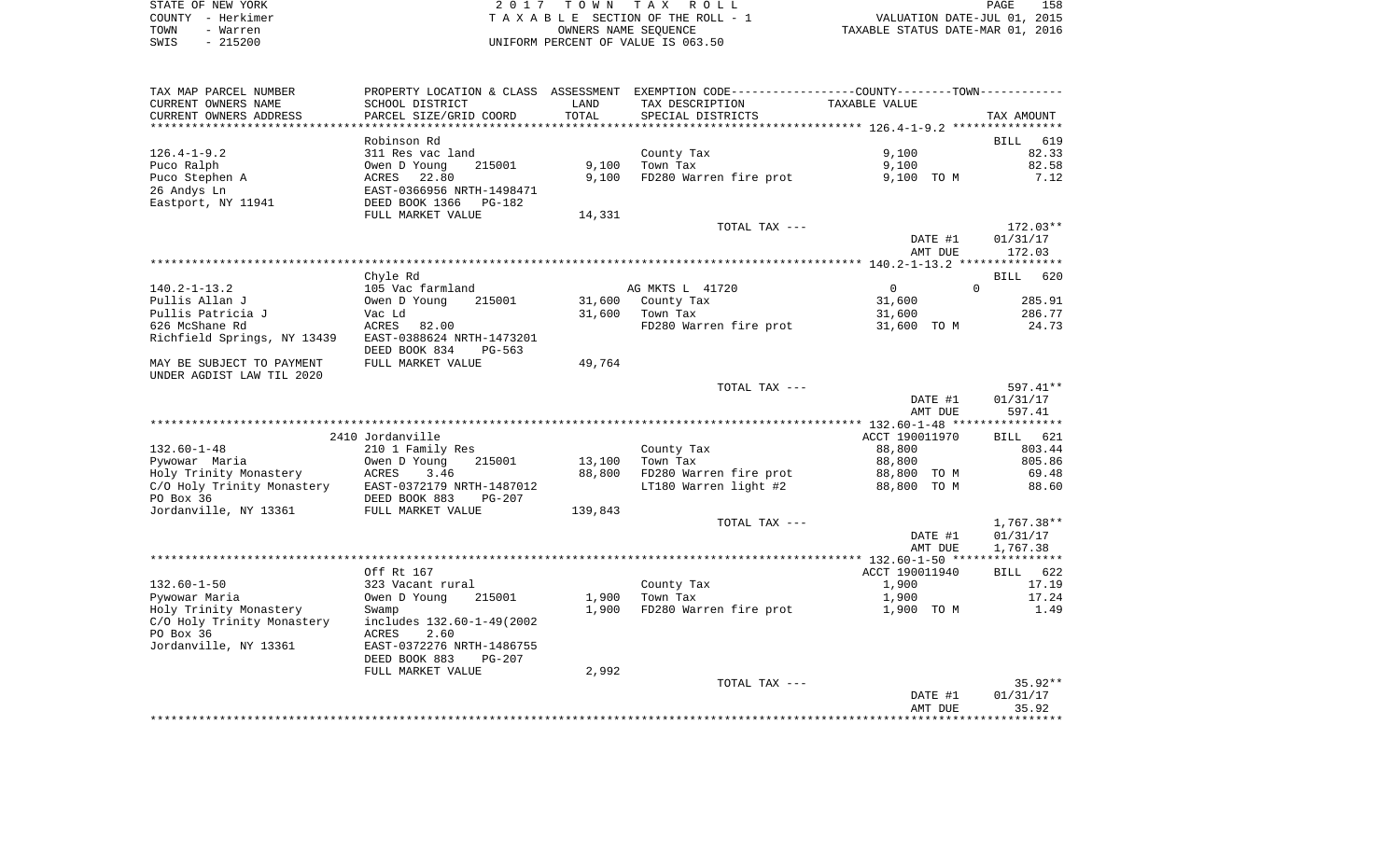| STATE OF NEW YORK | 2017 TOWN TAX ROLL                 | 158<br>PAGE                      |
|-------------------|------------------------------------|----------------------------------|
| COUNTY - Herkimer | TAXABLE SECTION OF THE ROLL - 1    | VALUATION DATE-JUL 01, 2015      |
| TOWN<br>- Warren  | OWNERS NAME SEOUENCE               | TAXABLE STATUS DATE-MAR 01, 2016 |
| $-215200$<br>SWIS | UNIFORM PERCENT OF VALUE IS 063.50 |                                  |

158<br>2015

| TAX MAP PARCEL NUMBER               | PROPERTY LOCATION & CLASS ASSESSMENT EXEMPTION CODE----------------COUNTY--------TOWN---------- |         |                                    |                       |                         |
|-------------------------------------|-------------------------------------------------------------------------------------------------|---------|------------------------------------|-----------------------|-------------------------|
| CURRENT OWNERS NAME                 | SCHOOL DISTRICT                                                                                 | LAND    | TAX DESCRIPTION                    | TAXABLE VALUE         |                         |
| CURRENT OWNERS ADDRESS              | PARCEL SIZE/GRID COORD                                                                          | TOTAL   | SPECIAL DISTRICTS                  |                       | TAX AMOUNT              |
|                                     |                                                                                                 |         |                                    |                       |                         |
|                                     | Robinson Rd                                                                                     |         |                                    |                       | <b>BILL</b><br>619      |
| $126.4 - 1 - 9.2$                   | 311 Res vac land                                                                                |         | County Tax                         | 9,100                 | 82.33                   |
| Puco Ralph                          | 215001<br>Owen D Young                                                                          | 9,100   | Town Tax                           | 9,100                 | 82.58                   |
| Puco Stephen A                      | ACRES<br>22.80                                                                                  | 9,100   | FD280 Warren fire prot             | 9,100 TO M            | 7.12                    |
| 26 Andys Ln                         | EAST-0366956 NRTH-1498471                                                                       |         |                                    |                       |                         |
| Eastport, NY 11941                  | DEED BOOK 1366<br>PG-182                                                                        |         |                                    |                       |                         |
|                                     | FULL MARKET VALUE                                                                               | 14,331  |                                    |                       |                         |
|                                     |                                                                                                 |         | TOTAL TAX ---                      |                       | $172.03**$              |
|                                     |                                                                                                 |         |                                    | DATE #1               | 01/31/17                |
|                                     |                                                                                                 |         |                                    | AMT DUE               | 172.03                  |
|                                     |                                                                                                 |         |                                    |                       |                         |
| $140.2 - 1 - 13.2$                  | Chyle Rd<br>105 Vac farmland                                                                    |         | AG MKTS L 41720                    | $\circ$               | BILL<br>620<br>$\Omega$ |
|                                     | 215001                                                                                          | 31,600  | County Tax                         |                       | 285.91                  |
| Pullis Allan J<br>Pullis Patricia J | Owen D Young<br>Vac Ld                                                                          | 31,600  |                                    | 31,600                | 286.77                  |
| 626 McShane Rd                      | ACRES<br>82.00                                                                                  |         | Town Tax<br>FD280 Warren fire prot | 31,600<br>31,600 TO M | 24.73                   |
| Richfield Springs, NY 13439         | EAST-0388624 NRTH-1473201                                                                       |         |                                    |                       |                         |
|                                     | DEED BOOK 834                                                                                   |         |                                    |                       |                         |
| MAY BE SUBJECT TO PAYMENT           | PG-563<br>FULL MARKET VALUE                                                                     | 49,764  |                                    |                       |                         |
| UNDER AGDIST LAW TIL 2020           |                                                                                                 |         |                                    |                       |                         |
|                                     |                                                                                                 |         | TOTAL TAX ---                      |                       | $597.41**$              |
|                                     |                                                                                                 |         |                                    | DATE #1               | 01/31/17                |
|                                     |                                                                                                 |         |                                    | AMT DUE               | 597.41                  |
|                                     |                                                                                                 |         |                                    |                       |                         |
|                                     | 2410 Jordanville                                                                                |         |                                    | ACCT 190011970        | 621<br>BILL             |
| $132.60 - 1 - 48$                   | 210 1 Family Res                                                                                |         | County Tax                         | 88,800                | 803.44                  |
| Pywowar Maria                       | Owen D Young<br>215001                                                                          | 13,100  | Town Tax                           | 88,800                | 805.86                  |
|                                     |                                                                                                 | 88,800  | FD280 Warren fire prot             | 88,800 TO M           | 69.48                   |
|                                     |                                                                                                 |         | LT180 Warren light #2              | 88,800 TO M           | 88.60                   |
|                                     |                                                                                                 |         |                                    |                       |                         |
| Jordanville, NY 13361               | FULL MARKET VALUE                                                                               | 139,843 |                                    |                       |                         |
|                                     |                                                                                                 |         | TOTAL TAX ---                      |                       | $1,767.38**$            |
|                                     |                                                                                                 |         |                                    | DATE #1               | 01/31/17                |
|                                     |                                                                                                 |         |                                    | AMT DUE               | 1,767.38                |
|                                     |                                                                                                 |         |                                    |                       |                         |
|                                     | Off Rt 167                                                                                      |         |                                    | ACCT 190011940        | 622<br>BILL             |
| $132.60 - 1 - 50$                   | 323 Vacant rural                                                                                |         | County Tax                         | 1,900                 | 17.19                   |
| Pywowar Maria                       | Owen D Young<br>215001                                                                          | 1,900   | Town Tax                           | 1,900                 | 17.24                   |
| Holy Trinity Monastery              | Swamp                                                                                           | 1,900   | FD280 Warren fire prot             | 1,900 TO M            | 1.49                    |
| C/O Holy Trinity Monastery          | includes 132.60-1-49(2002                                                                       |         |                                    |                       |                         |
| PO Box 36                           | ACRES<br>2.60                                                                                   |         |                                    |                       |                         |
| Jordanville, NY 13361               | EAST-0372276 NRTH-1486755                                                                       |         |                                    |                       |                         |
|                                     | DEED BOOK 883<br>$PG-207$                                                                       |         |                                    |                       |                         |
|                                     | FULL MARKET VALUE                                                                               | 2,992   |                                    |                       |                         |
|                                     |                                                                                                 |         | TOTAL TAX ---                      |                       | $35.92**$               |
|                                     |                                                                                                 |         |                                    | DATE #1               | 01/31/17                |
|                                     |                                                                                                 |         |                                    | AMT DUE               | 35.92                   |
|                                     |                                                                                                 |         |                                    |                       |                         |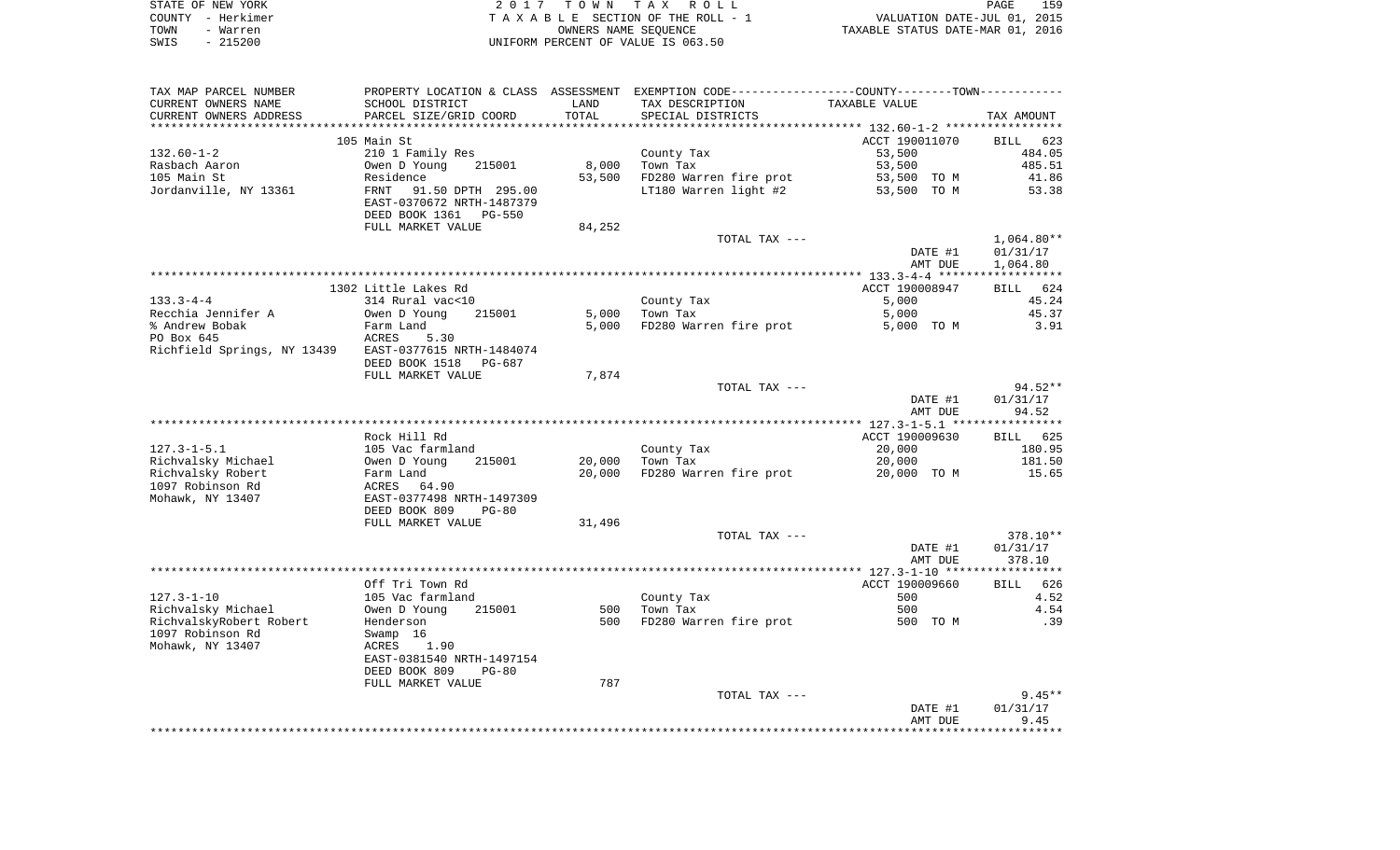|      | STATE OF NEW YORK | 2017 TOWN TAX ROLL                 | PAGE                             | 159 |
|------|-------------------|------------------------------------|----------------------------------|-----|
|      | COUNTY - Herkimer | TAXABLE SECTION OF THE ROLL - 1    | VALUATION DATE-JUL 01, 2015      |     |
| TOWN | - Warren          | OWNERS NAME SEOUENCE               | TAXABLE STATUS DATE-MAR 01, 2016 |     |
| SWIS | $-215200$         | UNIFORM PERCENT OF VALUE IS 063.50 |                                  |     |

| TAX MAP PARCEL NUMBER                                 |                           |        | PROPERTY LOCATION & CLASS ASSESSMENT EXEMPTION CODE---------------COUNTY-------TOWN---------- |                |                      |
|-------------------------------------------------------|---------------------------|--------|-----------------------------------------------------------------------------------------------|----------------|----------------------|
| CURRENT OWNERS NAME                                   | SCHOOL DISTRICT           | LAND   | TAX DESCRIPTION                                                                               | TAXABLE VALUE  |                      |
| CURRENT OWNERS ADDRESS                                | PARCEL SIZE/GRID COORD    | TOTAL  | SPECIAL DISTRICTS                                                                             |                | TAX AMOUNT           |
|                                                       |                           |        |                                                                                               |                |                      |
|                                                       | 105 Main St               |        |                                                                                               | ACCT 190011070 | BILL 623             |
| $132.60 - 1 - 2$                                      | 210 1 Family Res          |        | County Tax                                                                                    | 53,500         | 484.05               |
| Rasbach Aaron                                         | 215001<br>Owen D Young    | 8,000  | Town Tax                                                                                      | 53,500         | 485.51               |
| 105 Main St                                           | Residence                 | 53,500 | FD280 Warren fire prot                                                                        | 53,500 TO M    | 41.86                |
| Jordanville, NY 13361                                 | 91.50 DPTH 295.00<br>FRNT |        | LT180 Warren light #2                                                                         | 53,500 TO M    | 53.38                |
|                                                       | EAST-0370672 NRTH-1487379 |        |                                                                                               |                |                      |
|                                                       | DEED BOOK 1361 PG-550     |        |                                                                                               |                |                      |
|                                                       | FULL MARKET VALUE         | 84,252 |                                                                                               |                |                      |
|                                                       |                           |        | TOTAL TAX ---                                                                                 |                | $1,064.80**$         |
|                                                       |                           |        |                                                                                               | DATE #1        | 01/31/17             |
|                                                       |                           |        |                                                                                               | AMT DUE        | 1,064.80             |
|                                                       |                           |        |                                                                                               |                |                      |
|                                                       | 1302 Little Lakes Rd      |        |                                                                                               | ACCT 190008947 | BILL 624             |
| $133.3 - 4 - 4$                                       | 314 Rural vac<10          |        | County Tax                                                                                    | 5,000          | 45.24                |
| Recchia Jennifer A                                    | Owen D Young<br>215001    | 5,000  | Town Tax                                                                                      | 5,000          | 45.37                |
| % Andrew Bobak                                        | Farm Land                 | 5,000  | FD280 Warren fire prot                                                                        | 5,000 TO M     | 3.91                 |
| PO Box 645                                            | ACRES<br>5.30             |        |                                                                                               |                |                      |
| Richfield Springs, NY 13439 EAST-0377615 NRTH-1484074 |                           |        |                                                                                               |                |                      |
|                                                       | DEED BOOK 1518<br>PG-687  |        |                                                                                               |                |                      |
|                                                       | FULL MARKET VALUE         | 7,874  |                                                                                               |                |                      |
|                                                       |                           |        | TOTAL TAX ---                                                                                 |                | $94.52**$            |
|                                                       |                           |        |                                                                                               | DATE #1        | 01/31/17             |
|                                                       |                           |        |                                                                                               | AMT DUE        | 94.52                |
|                                                       |                           |        |                                                                                               |                |                      |
|                                                       | Rock Hill Rd              |        |                                                                                               | ACCT 190009630 | BILL 625             |
| $127.3 - 1 - 5.1$                                     | 105 Vac farmland          |        | County Tax                                                                                    | 20,000         | 180.95               |
| Richvalsky Michael                                    | Owen D Young<br>215001    | 20,000 | Town Tax                                                                                      | 20,000         | 181.50               |
| Richvalsky Robert                                     | Farm Land                 | 20,000 | FD280 Warren fire prot                                                                        | 20,000 TO M    | 15.65                |
| 1097 Robinson Rd                                      | ACRES<br>64.90            |        |                                                                                               |                |                      |
| Mohawk, NY 13407                                      | EAST-0377498 NRTH-1497309 |        |                                                                                               |                |                      |
|                                                       | DEED BOOK 809<br>$PG-80$  |        |                                                                                               |                |                      |
|                                                       | FULL MARKET VALUE         | 31,496 |                                                                                               |                |                      |
|                                                       |                           |        | TOTAL TAX ---                                                                                 |                | 378.10**             |
|                                                       |                           |        |                                                                                               | DATE #1        | 01/31/17             |
|                                                       |                           |        |                                                                                               | AMT DUE        | 378.10               |
|                                                       |                           |        |                                                                                               |                |                      |
|                                                       | Off Tri Town Rd           |        |                                                                                               | ACCT 190009660 | BILL 626             |
| $127.3 - 1 - 10$                                      | 105 Vac farmland          |        | County Tax                                                                                    | 500            | 4.52                 |
| Richvalsky Michael                                    | Owen D Young<br>215001    | 500    | Town Tax                                                                                      | 500            | 4.54                 |
| RichvalskyRobert Robert                               | Henderson                 | 500    | FD280 Warren fire prot                                                                        | 500 TO M       | .39                  |
| 1097 Robinson Rd                                      | Swamp 16                  |        |                                                                                               |                |                      |
| Mohawk, NY 13407                                      | 1.90<br>ACRES             |        |                                                                                               |                |                      |
|                                                       | EAST-0381540 NRTH-1497154 |        |                                                                                               |                |                      |
|                                                       | DEED BOOK 809<br>$PG-80$  | 787    |                                                                                               |                |                      |
|                                                       | FULL MARKET VALUE         |        |                                                                                               |                |                      |
|                                                       |                           |        | TOTAL TAX ---                                                                                 |                | $9.45**$<br>01/31/17 |
|                                                       |                           |        |                                                                                               | DATE #1        |                      |
|                                                       |                           |        |                                                                                               | AMT DUE        | 9.45                 |
|                                                       |                           |        |                                                                                               |                |                      |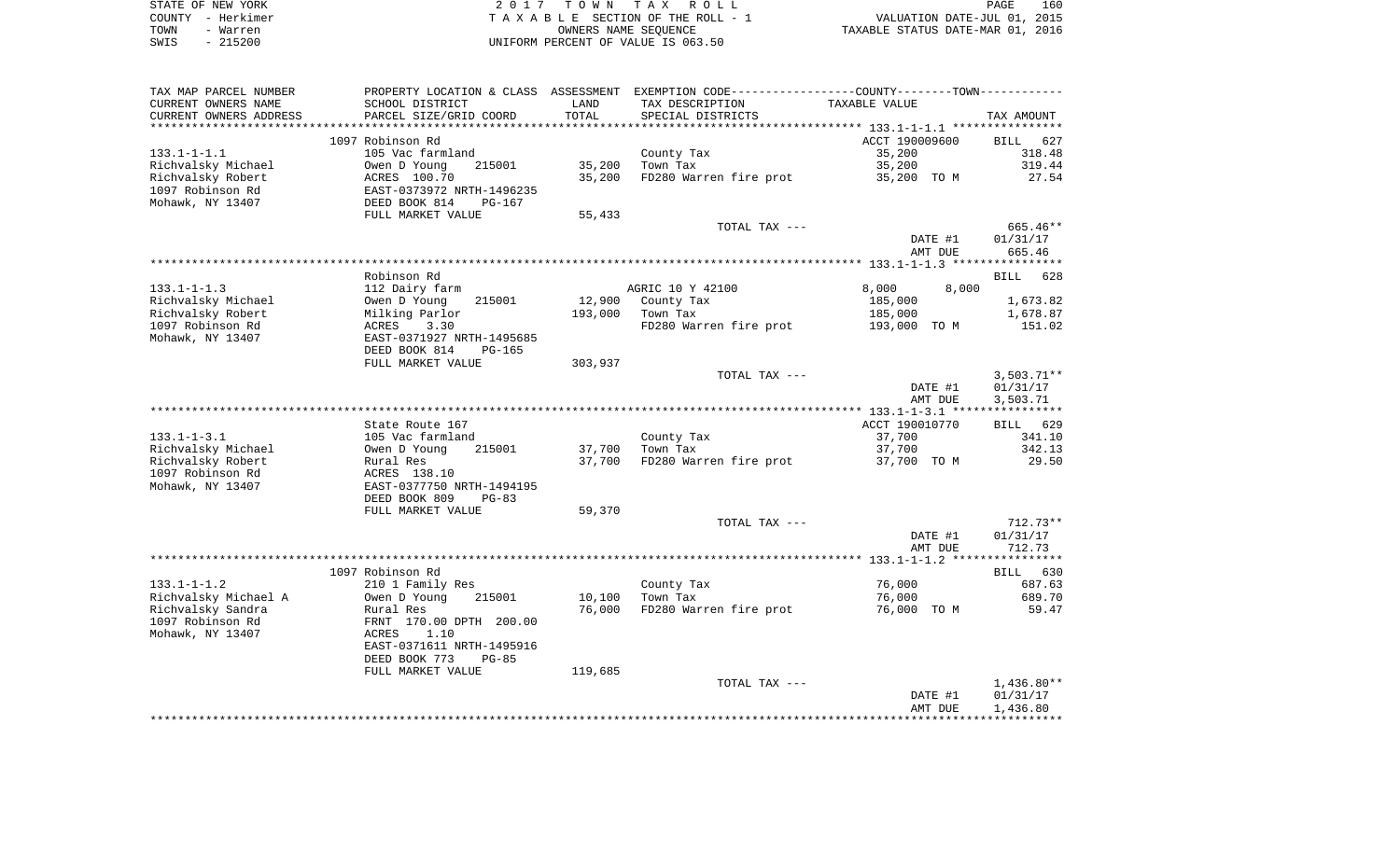| STATE OF NEW YORK | 2017 TOWN TAX ROLL                 | 160<br>PAGE                      |
|-------------------|------------------------------------|----------------------------------|
| COUNTY - Herkimer | TAXABLE SECTION OF THE ROLL - 1    | VALUATION DATE-JUL 01, 2015      |
| TOWN<br>- Warren  | OWNERS NAME SEOUENCE               | TAXABLE STATUS DATE-MAR 01, 2016 |
| $-215200$<br>SWIS | UNIFORM PERCENT OF VALUE IS 063.50 |                                  |

| TAX MAP PARCEL NUMBER   | PROPERTY LOCATION & CLASS ASSESSMENT EXEMPTION CODE----------------COUNTY--------TOWN----------- |         |                        |                |              |
|-------------------------|--------------------------------------------------------------------------------------------------|---------|------------------------|----------------|--------------|
| CURRENT OWNERS NAME     | SCHOOL DISTRICT                                                                                  | LAND    | TAX DESCRIPTION        | TAXABLE VALUE  |              |
| CURRENT OWNERS ADDRESS  | PARCEL SIZE/GRID COORD                                                                           | TOTAL   | SPECIAL DISTRICTS      |                | TAX AMOUNT   |
| *********************** |                                                                                                  |         |                        |                |              |
|                         | 1097 Robinson Rd                                                                                 |         |                        | ACCT 190009600 | BILL<br>627  |
| $133.1 - 1 - 1.1$       | 105 Vac farmland                                                                                 |         | County Tax             | 35,200         | 318.48       |
| Richvalsky Michael      | Owen D Young<br>215001                                                                           | 35,200  | Town Tax               | 35,200         | 319.44       |
| Richvalsky Robert       | ACRES 100.70                                                                                     | 35,200  | FD280 Warren fire prot | 35,200 TO M    | 27.54        |
| 1097 Robinson Rd        | EAST-0373972 NRTH-1496235                                                                        |         |                        |                |              |
| Mohawk, NY 13407        | DEED BOOK 814<br>$PG-167$                                                                        |         |                        |                |              |
|                         | FULL MARKET VALUE                                                                                | 55,433  |                        |                |              |
|                         |                                                                                                  |         | TOTAL TAX ---          |                | 665.46**     |
|                         |                                                                                                  |         |                        | DATE #1        | 01/31/17     |
|                         |                                                                                                  |         |                        | AMT DUE        | 665.46       |
|                         |                                                                                                  |         |                        |                |              |
|                         | Robinson Rd                                                                                      |         |                        |                | BILL 628     |
| $133.1 - 1 - 1.3$       | 112 Dairy farm                                                                                   |         | AGRIC 10 Y 42100       | 8,000<br>8,000 |              |
| Richvalsky Michael      | Owen D Young<br>215001                                                                           | 12,900  | County Tax             | 185,000        | 1,673.82     |
| Richvalsky Robert       | Milking Parlor                                                                                   | 193,000 | Town Tax               | 185,000        | 1,678.87     |
| 1097 Robinson Rd        | ACRES<br>3.30                                                                                    |         | FD280 Warren fire prot | 193,000 TO M   | 151.02       |
| Mohawk, NY 13407        | EAST-0371927 NRTH-1495685                                                                        |         |                        |                |              |
|                         | DEED BOOK 814<br>$PG-165$                                                                        |         |                        |                |              |
|                         | FULL MARKET VALUE                                                                                | 303,937 |                        |                |              |
|                         |                                                                                                  |         | TOTAL TAX ---          |                | $3,503.71**$ |
|                         |                                                                                                  |         |                        | DATE #1        | 01/31/17     |
|                         |                                                                                                  |         |                        | AMT DUE        | 3,503.71     |
|                         |                                                                                                  |         |                        |                |              |
|                         | State Route 167                                                                                  |         |                        | ACCT 190010770 | BILL 629     |
| $133.1 - 1 - 3.1$       | 105 Vac farmland                                                                                 |         | County Tax             | 37,700         | 341.10       |
| Richvalsky Michael      | Owen D Young<br>215001                                                                           | 37,700  | Town Tax               | 37,700         | 342.13       |
| Richvalsky Robert       | Rural Res                                                                                        | 37,700  | FD280 Warren fire prot | 37,700 TO M    | 29.50        |
| 1097 Robinson Rd        | ACRES 138.10                                                                                     |         |                        |                |              |
| Mohawk, NY 13407        | EAST-0377750 NRTH-1494195                                                                        |         |                        |                |              |
|                         | DEED BOOK 809<br>$PG-83$                                                                         |         |                        |                |              |
|                         | FULL MARKET VALUE                                                                                | 59,370  |                        |                |              |
|                         |                                                                                                  |         | TOTAL TAX ---          |                | $712.73**$   |
|                         |                                                                                                  |         |                        | DATE #1        | 01/31/17     |
|                         |                                                                                                  |         |                        | AMT DUE        | 712.73       |
|                         |                                                                                                  |         |                        |                |              |
|                         | 1097 Robinson Rd                                                                                 |         |                        |                | BILL 630     |
| $133.1 - 1 - 1.2$       | 210 1 Family Res                                                                                 |         | County Tax             | 76,000         | 687.63       |
| Richvalsky Michael A    | Owen D Young<br>215001                                                                           | 10,100  | Town Tax               | 76,000         | 689.70       |
| Richvalsky Sandra       | Rural Res                                                                                        | 76,000  | FD280 Warren fire prot | 76,000 TO M    | 59.47        |
| 1097 Robinson Rd        | FRNT 170.00 DPTH 200.00                                                                          |         |                        |                |              |
| Mohawk, NY 13407        | ACRES<br>1.10                                                                                    |         |                        |                |              |
|                         | EAST-0371611 NRTH-1495916                                                                        |         |                        |                |              |
|                         | DEED BOOK 773<br>$PG-85$                                                                         |         |                        |                |              |
|                         | FULL MARKET VALUE                                                                                | 119,685 |                        |                |              |
|                         |                                                                                                  |         | TOTAL TAX ---          |                | $1,436.80**$ |
|                         |                                                                                                  |         |                        | DATE #1        | 01/31/17     |
|                         |                                                                                                  |         |                        | AMT DUE        | 1,436.80     |
|                         |                                                                                                  |         |                        |                |              |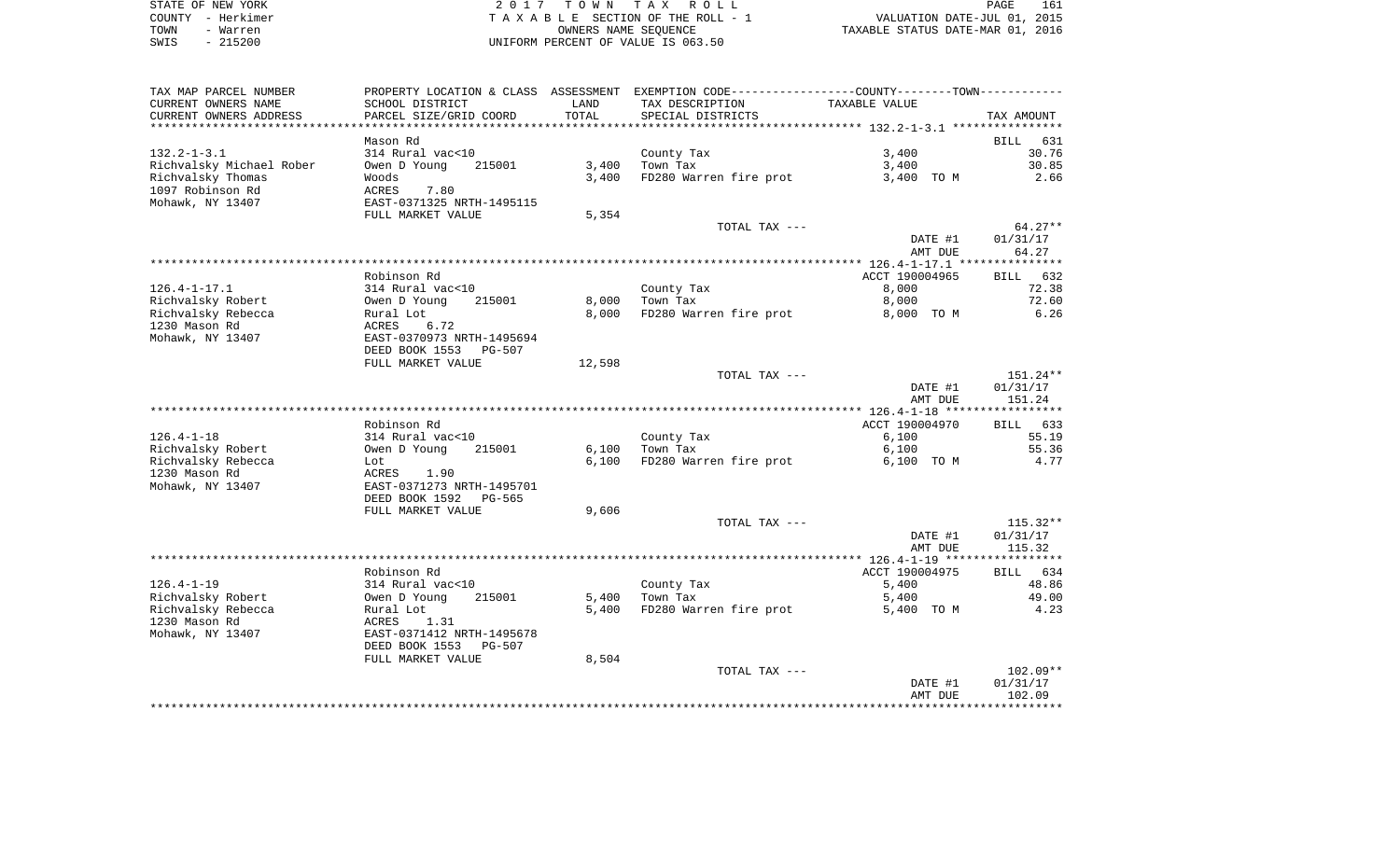|      | STATE OF NEW YORK | 2017 TOWN TAX ROLL                 | 161<br><b>PAGE</b>               |
|------|-------------------|------------------------------------|----------------------------------|
|      | COUNTY - Herkimer | TAXABLE SECTION OF THE ROLL - 1    | VALUATION DATE-JUL 01, 2015      |
| TOWN | - Warren          | OWNERS NAME SEOUENCE               | TAXABLE STATUS DATE-MAR 01, 2016 |
| SWIS | $-215200$         | UNIFORM PERCENT OF VALUE IS 063.50 |                                  |

| TAX MAP PARCEL NUMBER<br>CURRENT OWNERS NAME | SCHOOL DISTRICT                                                 | LAND                    | PROPERTY LOCATION & CLASS ASSESSMENT EXEMPTION CODE----------------COUNTY-------TOWN----------<br>TAX DESCRIPTION | TAXABLE VALUE       |                    |
|----------------------------------------------|-----------------------------------------------------------------|-------------------------|-------------------------------------------------------------------------------------------------------------------|---------------------|--------------------|
| CURRENT OWNERS ADDRESS                       | PARCEL SIZE/GRID COORD                                          | TOTAL<br>************** | SPECIAL DISTRICTS                                                                                                 |                     | TAX AMOUNT         |
|                                              | Mason Rd                                                        |                         |                                                                                                                   |                     | 631<br>BILL        |
| $132.2 - 1 - 3.1$                            | 314 Rural vac<10                                                |                         | County Tax                                                                                                        | 3,400               | 30.76              |
| Richvalsky Michael Rober                     | Owen D Young<br>215001                                          | 3,400                   | Town Tax                                                                                                          | 3,400               | 30.85              |
| Richvalsky Thomas                            | Woods                                                           | 3,400                   | FD280 Warren fire prot                                                                                            | 3,400 TO M          | 2.66               |
| 1097 Robinson Rd<br>Mohawk, NY 13407         | 7.80<br>ACRES<br>EAST-0371325 NRTH-1495115<br>FULL MARKET VALUE | 5,354                   |                                                                                                                   |                     |                    |
|                                              |                                                                 |                         | TOTAL TAX ---                                                                                                     |                     | $64.27**$          |
|                                              |                                                                 |                         |                                                                                                                   | DATE #1<br>AMT DUE  | 01/31/17<br>64.27  |
|                                              |                                                                 |                         |                                                                                                                   |                     |                    |
|                                              | Robinson Rd                                                     |                         |                                                                                                                   | ACCT 190004965      | 632<br><b>BILL</b> |
| $126.4 - 1 - 17.1$                           | 314 Rural vac<10                                                |                         | County Tax                                                                                                        | 8,000               | 72.38              |
| Richvalsky Robert<br>Richvalsky Rebecca      | Owen D Young<br>215001<br>Rural Lot                             | 8,000<br>8,000          | Town Tax<br>FD280 Warren fire prot                                                                                | 8,000<br>8,000 TO M | 72.60<br>6.26      |
| 1230 Mason Rd                                | 6.72<br>ACRES                                                   |                         |                                                                                                                   |                     |                    |
| Mohawk, NY 13407                             | EAST-0370973 NRTH-1495694                                       |                         |                                                                                                                   |                     |                    |
|                                              | DEED BOOK 1553<br><b>PG-507</b>                                 |                         |                                                                                                                   |                     |                    |
|                                              | FULL MARKET VALUE                                               | 12,598                  |                                                                                                                   |                     |                    |
|                                              |                                                                 |                         | TOTAL TAX ---                                                                                                     |                     | 151.24**           |
|                                              |                                                                 |                         |                                                                                                                   | DATE #1<br>AMT DUE  | 01/31/17<br>151.24 |
|                                              |                                                                 |                         |                                                                                                                   |                     |                    |
|                                              | Robinson Rd                                                     |                         |                                                                                                                   | ACCT 190004970      | BILL 633           |
| $126.4 - 1 - 18$                             | 314 Rural vac<10                                                |                         | County Tax                                                                                                        | 6,100               | 55.19              |
| Richvalsky Robert                            | Owen D Young<br>215001                                          | 6,100                   | Town Tax                                                                                                          | 6,100               | 55.36              |
| Richvalsky Rebecca                           | Lot                                                             | 6,100                   | FD280 Warren fire prot                                                                                            | 6,100 TO M          | 4.77               |
| 1230 Mason Rd                                | ACRES<br>1.90                                                   |                         |                                                                                                                   |                     |                    |
| Mohawk, NY 13407                             | EAST-0371273 NRTH-1495701<br>DEED BOOK 1592<br>PG-565           |                         |                                                                                                                   |                     |                    |
|                                              | FULL MARKET VALUE                                               | 9,606                   |                                                                                                                   |                     |                    |
|                                              |                                                                 |                         | TOTAL TAX ---                                                                                                     |                     | $115.32**$         |
|                                              |                                                                 |                         |                                                                                                                   | DATE #1             | 01/31/17           |
|                                              |                                                                 |                         |                                                                                                                   | AMT DUE             | 115.32             |
|                                              |                                                                 |                         |                                                                                                                   |                     |                    |
|                                              | Robinson Rd                                                     |                         |                                                                                                                   | ACCT 190004975      | 634<br>BILL        |
| $126.4 - 1 - 19$<br>Richvalsky Robert        | 314 Rural vac<10<br>215001                                      | 5,400                   | County Tax<br>Town Tax                                                                                            | 5,400<br>5,400      | 48.86<br>49.00     |
| Richvalsky Rebecca                           | Owen D Young<br>Rural Lot                                       | 5,400                   | FD280 Warren fire prot                                                                                            | 5,400 TO M          | 4.23               |
| 1230 Mason Rd                                | ACRES<br>1.31                                                   |                         |                                                                                                                   |                     |                    |
| Mohawk, NY 13407                             | EAST-0371412 NRTH-1495678                                       |                         |                                                                                                                   |                     |                    |
|                                              | DEED BOOK 1553<br>PG-507                                        |                         |                                                                                                                   |                     |                    |
|                                              | FULL MARKET VALUE                                               | 8,504                   |                                                                                                                   |                     |                    |
|                                              |                                                                 |                         | TOTAL TAX ---                                                                                                     |                     | $102.09**$         |
|                                              |                                                                 |                         |                                                                                                                   |                     |                    |
|                                              |                                                                 |                         |                                                                                                                   |                     |                    |
|                                              |                                                                 |                         |                                                                                                                   | DATE #1<br>AMT DUE  | 01/31/17<br>102.09 |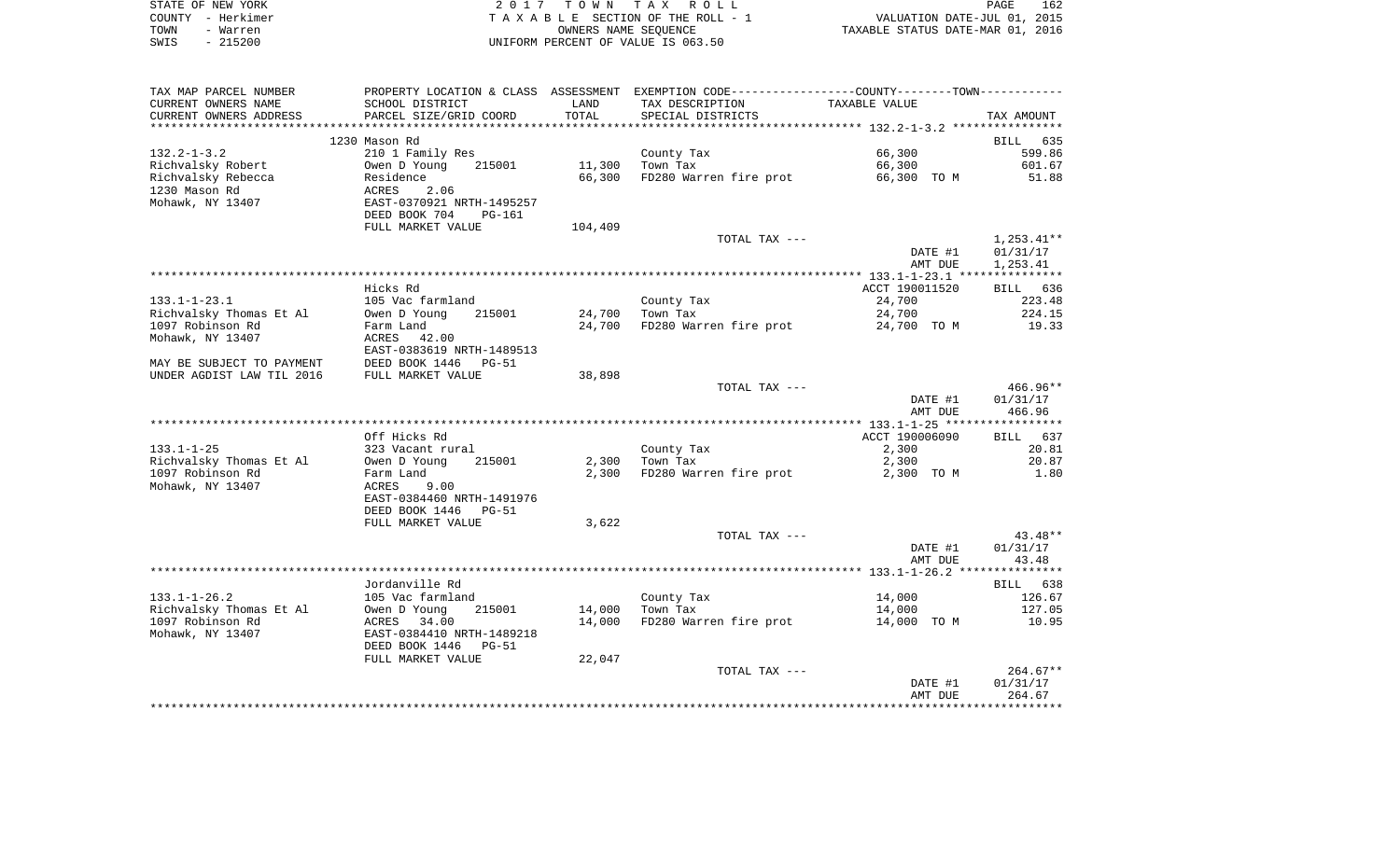| STATE OF NEW YORK | 2017 TOWN TAX ROLL                 |                      |                                  | PAGE | 162 |
|-------------------|------------------------------------|----------------------|----------------------------------|------|-----|
| COUNTY - Herkimer | TAXABLE SECTION OF THE ROLL - 1    |                      | VALUATION DATE-JUL 01, 2015      |      |     |
| TOWN<br>- Warren  |                                    | OWNERS NAME SEOUENCE | TAXABLE STATUS DATE-MAR 01, 2016 |      |     |
| SWIS<br>- 215200  | UNIFORM PERCENT OF VALUE IS 063.50 |                      |                                  |      |     |

| TAX MAP PARCEL NUMBER     |                                                             |         | PROPERTY LOCATION & CLASS ASSESSMENT EXEMPTION CODE---------------COUNTY-------TOWN---------- |                |                    |
|---------------------------|-------------------------------------------------------------|---------|-----------------------------------------------------------------------------------------------|----------------|--------------------|
| CURRENT OWNERS NAME       | SCHOOL DISTRICT                                             | LAND    | TAX DESCRIPTION                                                                               | TAXABLE VALUE  |                    |
| CURRENT OWNERS ADDRESS    | PARCEL SIZE/GRID COORD                                      | TOTAL   | SPECIAL DISTRICTS                                                                             |                | TAX AMOUNT         |
|                           |                                                             |         |                                                                                               |                |                    |
|                           | 1230 Mason Rd                                               |         |                                                                                               |                | <b>BILL</b><br>635 |
| $132.2 - 1 - 3.2$         | 210 1 Family Res                                            |         | County Tax                                                                                    | 66,300         | 599.86             |
| Richvalsky Robert         | Owen D Young<br>215001                                      | 11,300  | Town Tax                                                                                      | 66,300         | 601.67             |
| Richvalsky Rebecca        | Residence                                                   | 66,300  | FD280 Warren fire prot                                                                        | 66,300 TO M    | 51.88              |
| 1230 Mason Rd             | ACRES<br>2.06                                               |         |                                                                                               |                |                    |
| Mohawk, NY 13407          | EAST-0370921 NRTH-1495257                                   |         |                                                                                               |                |                    |
|                           | DEED BOOK 704<br><b>PG-161</b>                              |         |                                                                                               |                |                    |
|                           | FULL MARKET VALUE                                           | 104,409 |                                                                                               |                |                    |
|                           |                                                             |         | TOTAL TAX ---                                                                                 |                | $1,253.41**$       |
|                           |                                                             |         |                                                                                               | DATE #1        | 01/31/17           |
|                           |                                                             |         |                                                                                               | AMT DUE        | 1,253.41           |
|                           |                                                             |         |                                                                                               |                |                    |
|                           | Hicks Rd                                                    |         |                                                                                               | ACCT 190011520 | BILL 636           |
| $133.1 - 1 - 23.1$        | 105 Vac farmland                                            |         | County Tax                                                                                    | 24,700         | 223.48             |
| Richvalsky Thomas Et Al   | Owen D Young<br>215001                                      | 24,700  | Town Tax                                                                                      | 24,700         | 224.15             |
| 1097 Robinson Rd          | Farm Land                                                   | 24,700  | FD280 Warren fire prot                                                                        | 24,700 TO M    | 19.33              |
| Mohawk, NY 13407          | ACRES<br>42.00                                              |         |                                                                                               |                |                    |
| MAY BE SUBJECT TO PAYMENT | EAST-0383619 NRTH-1489513<br>DEED BOOK 1446<br><b>PG-51</b> |         |                                                                                               |                |                    |
| UNDER AGDIST LAW TIL 2016 | FULL MARKET VALUE                                           | 38,898  |                                                                                               |                |                    |
|                           |                                                             |         | TOTAL TAX ---                                                                                 |                | $466.96**$         |
|                           |                                                             |         |                                                                                               | DATE #1        | 01/31/17           |
|                           |                                                             |         |                                                                                               | AMT DUE        | 466.96             |
|                           |                                                             |         |                                                                                               |                |                    |
|                           | Off Hicks Rd                                                |         |                                                                                               | ACCT 190006090 | 637<br>BILL        |
| $133.1 - 1 - 25$          | 323 Vacant rural                                            |         | County Tax                                                                                    | 2,300          | 20.81              |
| Richvalsky Thomas Et Al   | 215001<br>Owen D Young                                      | 2,300   | Town Tax                                                                                      | 2,300          | 20.87              |
| 1097 Robinson Rd          | Farm Land                                                   | 2,300   | FD280 Warren fire prot                                                                        | 2,300 TO M     | 1.80               |
| Mohawk, NY 13407          | ACRES<br>9.00                                               |         |                                                                                               |                |                    |
|                           | EAST-0384460 NRTH-1491976                                   |         |                                                                                               |                |                    |
|                           | DEED BOOK 1446<br>$PG-51$                                   |         |                                                                                               |                |                    |
|                           | FULL MARKET VALUE                                           | 3,622   |                                                                                               |                |                    |
|                           |                                                             |         | TOTAL TAX ---                                                                                 |                | $43.48**$          |
|                           |                                                             |         |                                                                                               | DATE #1        | 01/31/17           |
|                           |                                                             |         |                                                                                               | AMT DUE        | 43.48              |
|                           |                                                             |         |                                                                                               |                |                    |
|                           | Jordanville Rd                                              |         |                                                                                               |                | BILL 638           |
| $133.1 - 1 - 26.2$        | 105 Vac farmland                                            |         | County Tax                                                                                    | 14,000         | 126.67             |
| Richvalsky Thomas Et Al   | 215001<br>Owen D Young                                      | 14,000  | Town Tax                                                                                      | 14,000         | 127.05             |
| 1097 Robinson Rd          | ACRES 34.00                                                 | 14,000  | FD280 Warren fire prot                                                                        | 14,000 TO M    | 10.95              |
| Mohawk, NY 13407          | EAST-0384410 NRTH-1489218                                   |         |                                                                                               |                |                    |
|                           | DEED BOOK 1446<br>PG-51                                     |         |                                                                                               |                |                    |
|                           | FULL MARKET VALUE                                           | 22,047  |                                                                                               |                |                    |
|                           |                                                             |         | TOTAL TAX ---                                                                                 |                | $264.67**$         |
|                           |                                                             |         |                                                                                               | DATE #1        | 01/31/17           |
|                           |                                                             |         |                                                                                               | AMT DUE        | 264.67             |
|                           |                                                             |         |                                                                                               |                |                    |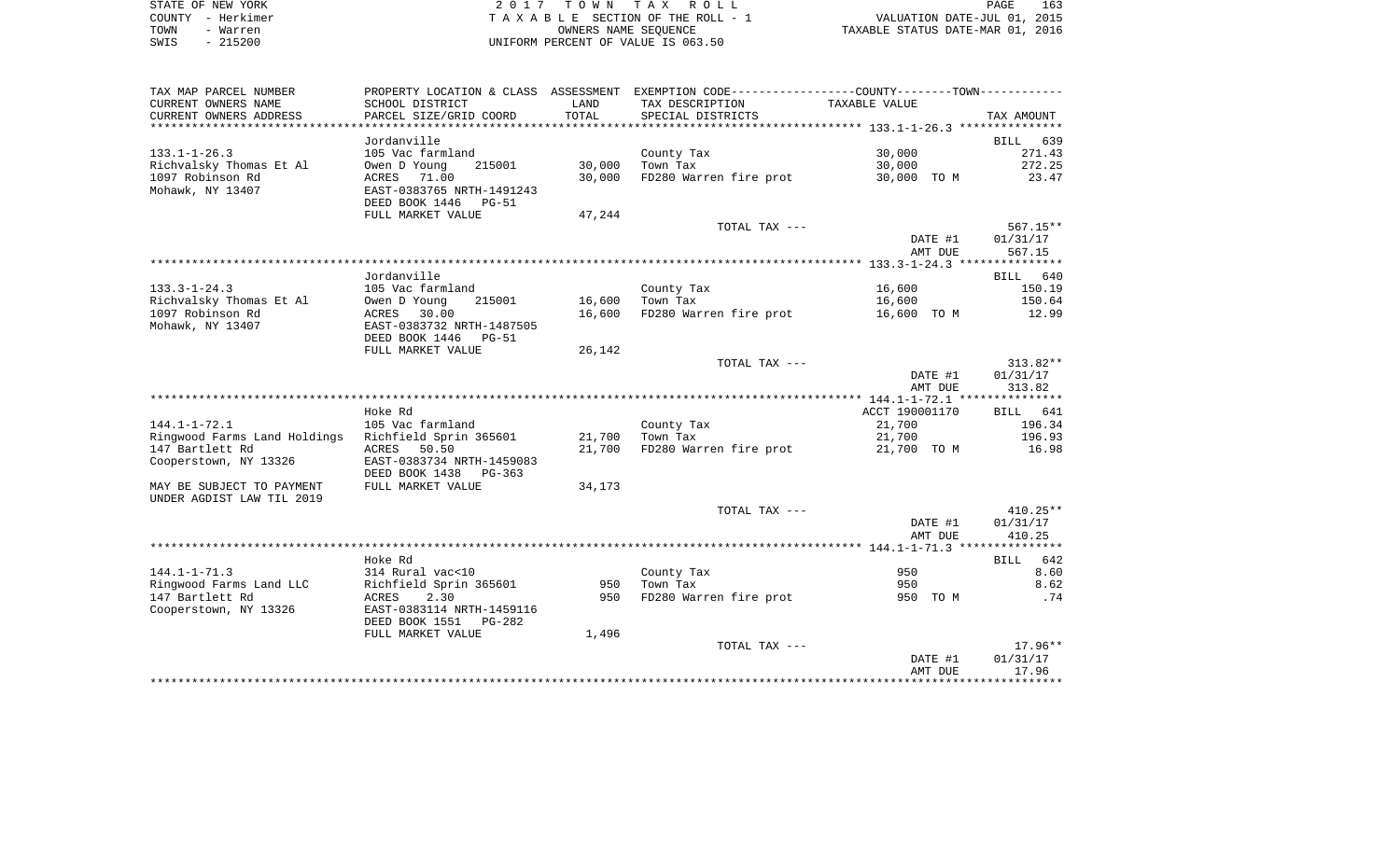| STATE OF NEW YORK |           | 2017 TOWN TAX ROLL                 |                      |                                  | PAGE | 163 |
|-------------------|-----------|------------------------------------|----------------------|----------------------------------|------|-----|
| COUNTY - Herkimer |           | TAXABLE SECTION OF THE ROLL - 1    |                      | VALUATION DATE-JUL 01, 2015      |      |     |
| TOWN              | - Warren  |                                    | OWNERS NAME SEOUENCE | TAXABLE STATUS DATE-MAR 01, 2016 |      |     |
| SWIS              | $-215200$ | UNIFORM PERCENT OF VALUE IS 063.50 |                      |                                  |      |     |

| TAX MAP PARCEL NUMBER                              | PROPERTY LOCATION & CLASS ASSESSMENT                  |        | EXEMPTION CODE----------------COUNTY-------TOWN----------- |                |                    |
|----------------------------------------------------|-------------------------------------------------------|--------|------------------------------------------------------------|----------------|--------------------|
| CURRENT OWNERS NAME                                | SCHOOL DISTRICT                                       | LAND   | TAX DESCRIPTION                                            | TAXABLE VALUE  |                    |
| CURRENT OWNERS ADDRESS<br>************************ | PARCEL SIZE/GRID COORD                                | TOTAL  | SPECIAL DISTRICTS                                          |                | TAX AMOUNT         |
|                                                    | Jordanville                                           |        |                                                            |                | 639<br><b>BILL</b> |
| $133.1 - 1 - 26.3$                                 | 105 Vac farmland                                      |        | County Tax                                                 | 30,000         | 271.43             |
| Richvalsky Thomas Et Al                            | 215001<br>Owen D Young                                | 30,000 | Town Tax                                                   | 30,000         | 272.25             |
| 1097 Robinson Rd                                   | ACRES 71.00                                           | 30,000 | FD280 Warren fire prot                                     | 30,000 TO M    | 23.47              |
| Mohawk, NY 13407                                   | EAST-0383765 NRTH-1491243                             |        |                                                            |                |                    |
|                                                    | DEED BOOK 1446<br><b>PG-51</b>                        |        |                                                            |                |                    |
|                                                    | FULL MARKET VALUE                                     | 47,244 |                                                            |                |                    |
|                                                    |                                                       |        | TOTAL TAX ---                                              |                | $567.15**$         |
|                                                    |                                                       |        |                                                            | DATE #1        | 01/31/17           |
|                                                    |                                                       |        |                                                            | AMT DUE        | 567.15             |
|                                                    | Jordanville                                           |        |                                                            |                | BILL 640           |
| $133.3 - 1 - 24.3$                                 | 105 Vac farmland                                      |        | County Tax                                                 | 16,600         | 150.19             |
| Richvalsky Thomas Et Al                            | Owen D Young<br>215001                                | 16,600 | Town Tax                                                   | 16,600         | 150.64             |
| 1097 Robinson Rd                                   | ACRES<br>30.00                                        | 16,600 | FD280 Warren fire prot                                     | 16,600 TO M    | 12.99              |
| Mohawk, NY 13407                                   | EAST-0383732 NRTH-1487505                             |        |                                                            |                |                    |
|                                                    | DEED BOOK 1446<br><b>PG-51</b>                        |        |                                                            |                |                    |
|                                                    | FULL MARKET VALUE                                     | 26,142 |                                                            |                |                    |
|                                                    |                                                       |        | TOTAL TAX ---                                              |                | $313.82**$         |
|                                                    |                                                       |        |                                                            | DATE #1        | 01/31/17           |
|                                                    |                                                       |        |                                                            | AMT DUE        | 313.82             |
|                                                    |                                                       |        |                                                            |                |                    |
|                                                    | Hoke Rd                                               |        |                                                            | ACCT 190001170 | BILL<br>641        |
| $144.1 - 1 - 72.1$                                 | 105 Vac farmland                                      |        | County Tax                                                 | 21,700         | 196.34             |
| Ringwood Farms Land Holdings                       | Richfield Sprin 365601                                | 21,700 | Town Tax                                                   | 21,700         | 196.93             |
| 147 Bartlett Rd<br>Cooperstown, NY 13326           | ACRES<br>50.50<br>EAST-0383734 NRTH-1459083           | 21,700 | FD280 Warren fire prot                                     | 21,700 TO M    | 16.98              |
|                                                    | DEED BOOK 1438<br>PG-363                              |        |                                                            |                |                    |
| MAY BE SUBJECT TO PAYMENT                          | FULL MARKET VALUE                                     | 34,173 |                                                            |                |                    |
| UNDER AGDIST LAW TIL 2019                          |                                                       |        |                                                            |                |                    |
|                                                    |                                                       |        | TOTAL TAX ---                                              |                | $410.25**$         |
|                                                    |                                                       |        |                                                            | DATE #1        | 01/31/17           |
|                                                    |                                                       |        |                                                            | AMT DUE        | 410.25             |
|                                                    |                                                       |        |                                                            |                |                    |
|                                                    | Hoke Rd                                               |        |                                                            |                | 642<br><b>BILL</b> |
| $144.1 - 1 - 71.3$                                 | 314 Rural vac<10                                      |        | County Tax                                                 | 950            | 8.60               |
| Ringwood Farms Land LLC                            | Richfield Sprin 365601                                | 950    | Town Tax                                                   | 950            | 8.62               |
| 147 Bartlett Rd                                    | 2.30<br>ACRES                                         | 950    | FD280 Warren fire prot                                     | 950 TO M       | .74                |
| Cooperstown, NY 13326                              | EAST-0383114 NRTH-1459116<br>DEED BOOK 1551<br>PG-282 |        |                                                            |                |                    |
|                                                    | FULL MARKET VALUE                                     | 1,496  |                                                            |                |                    |
|                                                    |                                                       |        | TOTAL TAX ---                                              |                | $17.96**$          |
|                                                    |                                                       |        |                                                            | DATE #1        | 01/31/17           |
|                                                    |                                                       |        |                                                            | AMT DUE        | 17.96              |
|                                                    |                                                       |        |                                                            |                |                    |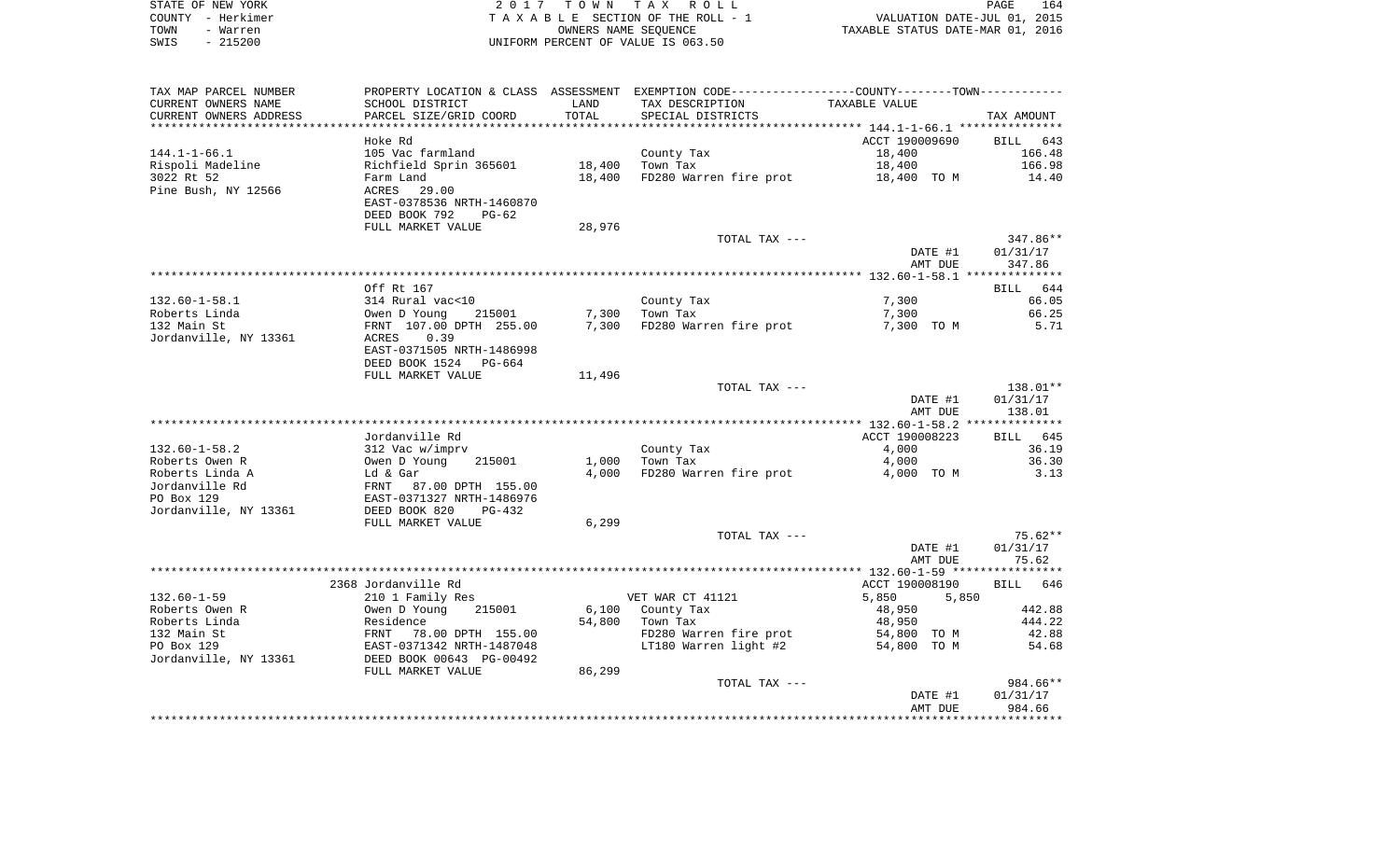| STATE OF NEW YORK | 2017 TOWN TAX ROLL                 | 164<br>PAGE                      |
|-------------------|------------------------------------|----------------------------------|
| COUNTY - Herkimer | TAXABLE SECTION OF THE ROLL - 1    | VALUATION DATE-JUL 01, 2015      |
| TOWN<br>- Warren  | OWNERS NAME SEOUENCE               | TAXABLE STATUS DATE-MAR 01, 2016 |
| $-215200$<br>SWIS | UNIFORM PERCENT OF VALUE IS 063.50 |                                  |

| TAX MAP PARCEL NUMBER   | PROPERTY LOCATION & CLASS ASSESSMENT EXEMPTION CODE----------------COUNTY-------TOWN----------- |        |                              |                |            |
|-------------------------|-------------------------------------------------------------------------------------------------|--------|------------------------------|----------------|------------|
| CURRENT OWNERS NAME     | SCHOOL DISTRICT                                                                                 | LAND   | TAX DESCRIPTION              | TAXABLE VALUE  |            |
| CURRENT OWNERS ADDRESS  | PARCEL SIZE/GRID COORD                                                                          | TOTAL  | SPECIAL DISTRICTS            |                | TAX AMOUNT |
| *********************** |                                                                                                 |        |                              |                |            |
|                         | Hoke Rd                                                                                         |        |                              | ACCT 190009690 | BILL 643   |
| $144.1 - 1 - 66.1$      | 105 Vac farmland                                                                                |        | County Tax                   | 18,400         | 166.48     |
| Rispoli Madeline        | Richfield Sprin 365601                                                                          | 18,400 | Town Tax                     | 18,400         | 166.98     |
| 3022 Rt 52              | Farm Land                                                                                       | 18,400 | FD280 Warren fire prot       | 18,400 TO M    | 14.40      |
| Pine Bush, NY 12566     | ACRES<br>29.00                                                                                  |        |                              |                |            |
|                         | EAST-0378536 NRTH-1460870                                                                       |        |                              |                |            |
|                         | DEED BOOK 792<br>$PG-62$                                                                        |        |                              |                |            |
|                         | FULL MARKET VALUE                                                                               | 28,976 |                              |                |            |
|                         |                                                                                                 |        | TOTAL TAX ---                |                | 347.86**   |
|                         |                                                                                                 |        |                              | DATE #1        | 01/31/17   |
|                         |                                                                                                 |        |                              | AMT DUE        | 347.86     |
|                         |                                                                                                 |        |                              |                |            |
|                         | Off Rt 167                                                                                      |        |                              |                | BILL 644   |
| $132.60 - 1 - 58.1$     | 314 Rural vac<10                                                                                |        | County Tax                   | 7,300          | 66.05      |
| Roberts Linda           | Owen D Young<br>215001                                                                          | 7,300  | Town Tax                     | 7,300          | 66.25      |
| 132 Main St             | FRNT 107.00 DPTH 255.00                                                                         |        | 7,300 FD280 Warren fire prot | 7,300 TO M     | 5.71       |
| Jordanville, NY 13361   | 0.39<br>ACRES                                                                                   |        |                              |                |            |
|                         | EAST-0371505 NRTH-1486998                                                                       |        |                              |                |            |
|                         | DEED BOOK 1524<br>PG-664                                                                        |        |                              |                |            |
|                         | FULL MARKET VALUE                                                                               | 11,496 |                              |                |            |
|                         |                                                                                                 |        | TOTAL TAX ---                |                | $138.01**$ |
|                         |                                                                                                 |        |                              | DATE #1        | 01/31/17   |
|                         |                                                                                                 |        |                              | AMT DUE        | 138.01     |
|                         |                                                                                                 |        |                              |                |            |
|                         | Jordanville Rd                                                                                  |        |                              | ACCT 190008223 | BILL 645   |
| $132.60 - 1 - 58.2$     | 312 Vac w/imprv                                                                                 |        | County Tax                   | 4,000          | 36.19      |
| Roberts Owen R          | Owen D Young<br>215001                                                                          | 1,000  | Town Tax                     | 4,000          | 36.30      |
| Roberts Linda A         | Ld & Gar<br>FRNT 87.00 DPTH 155.00<br>EAST-0371327 NRTH-1486976                                 | 4,000  | FD280 Warren fire prot       | 4,000 TO M     | 3.13       |
| Jordanville Rd          |                                                                                                 |        |                              |                |            |
| PO Box 129              |                                                                                                 |        |                              |                |            |
| Jordanville, NY 13361   | DEED BOOK 820<br>$PG-432$                                                                       |        |                              |                |            |
|                         | FULL MARKET VALUE                                                                               | 6,299  |                              |                |            |
|                         |                                                                                                 |        | TOTAL TAX ---                |                | 75.62**    |
|                         |                                                                                                 |        |                              | DATE #1        | 01/31/17   |
|                         |                                                                                                 |        |                              | AMT DUE        | 75.62      |
|                         |                                                                                                 |        |                              |                |            |
|                         | 2368 Jordanville Rd                                                                             |        |                              | ACCT 190008190 | BILL 646   |
| $132.60 - 1 - 59$       | 210 1 Family Res                                                                                |        | VET WAR CT 41121             | 5,850<br>5,850 |            |
| Roberts Owen R          | Owen D Young<br>215001                                                                          |        | 6,100 County Tax             | 48,950         | 442.88     |
| Roberts Linda           | Residence<br>FRNT 78.00 DPTH 155.00<br>EAST-0371342 NRTH-1487048                                | 54,800 | Town Tax                     | 48,950         | 444.22     |
| 132 Main St             |                                                                                                 |        | FD280 Warren fire prot       | 54,800 TO M    | 42.88      |
| PO Box 129              |                                                                                                 |        | LT180 Warren light #2        | 54,800 TO M    | 54.68      |
| Jordanville, NY 13361   | DEED BOOK 00643 PG-00492                                                                        |        |                              |                |            |
|                         | FULL MARKET VALUE                                                                               | 86,299 |                              |                |            |
|                         |                                                                                                 |        | TOTAL TAX ---                |                | 984.66**   |
|                         |                                                                                                 |        |                              | DATE #1        | 01/31/17   |
|                         |                                                                                                 |        |                              | AMT DUE        | 984.66     |
|                         |                                                                                                 |        |                              |                |            |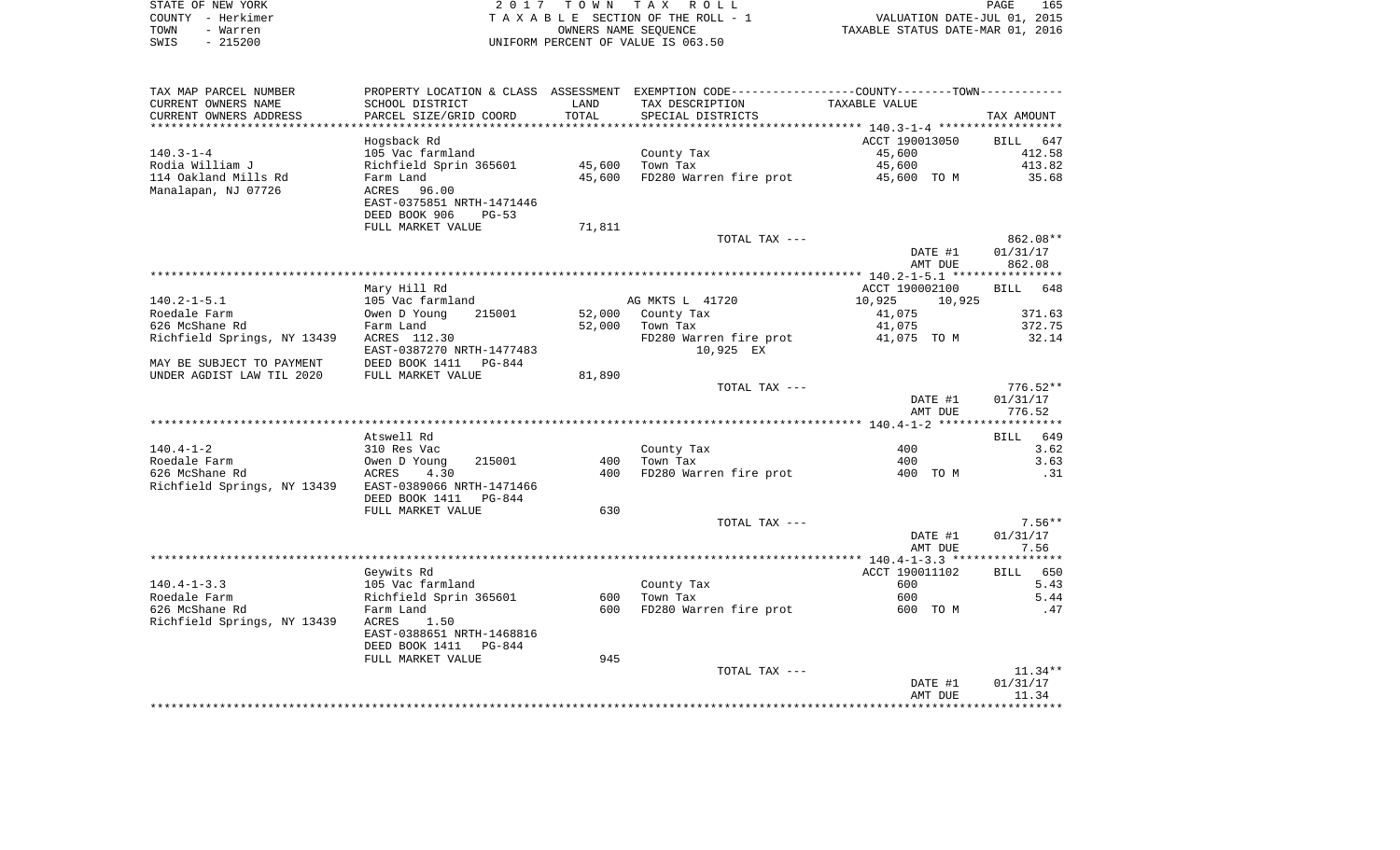| STATE OF NEW YORK |           | 2017 TOWN TAX ROLL                 |                                  | PAGE                        | 165 |
|-------------------|-----------|------------------------------------|----------------------------------|-----------------------------|-----|
| COUNTY - Herkimer |           | TAXABLE SECTION OF THE ROLL - 1    |                                  | VALUATION DATE-JUL 01, 2015 |     |
| TOWN              | - Warren  | OWNERS NAME SEOUENCE               | TAXABLE STATUS DATE-MAR 01, 2016 |                             |     |
| SWIS              | $-215200$ | UNIFORM PERCENT OF VALUE IS 063.50 |                                  |                             |     |

| TAX MAP PARCEL NUMBER                                 | PROPERTY LOCATION & CLASS ASSESSMENT EXEMPTION CODE---------------COUNTY-------TOWN---------- |                |                                    |                  |                    |
|-------------------------------------------------------|-----------------------------------------------------------------------------------------------|----------------|------------------------------------|------------------|--------------------|
| CURRENT OWNERS NAME                                   | SCHOOL DISTRICT                                                                               | LAND           | TAX DESCRIPTION                    | TAXABLE VALUE    |                    |
| CURRENT OWNERS ADDRESS                                | PARCEL SIZE/GRID COORD                                                                        | TOTAL          | SPECIAL DISTRICTS                  |                  | TAX AMOUNT         |
|                                                       | ********************                                                                          | ************** |                                    |                  |                    |
|                                                       | Hogsback Rd                                                                                   |                |                                    | ACCT 190013050   | BILL 647           |
| $140.3 - 1 - 4$                                       | 105 Vac farmland                                                                              |                | County Tax                         | 45,600           | 412.58             |
| Rodia William J                                       | Richfield Sprin 365601                                                                        | 45,600         | Town Tax                           | 45,600           | 413.82             |
| 114 Oakland Mills Rd                                  | Farm Land                                                                                     | 45,600         | FD280 Warren fire prot 45,600 TO M |                  | 35.68              |
| Manalapan, NJ 07726                                   | 96.00<br>ACRES                                                                                |                |                                    |                  |                    |
|                                                       | EAST-0375851 NRTH-1471446                                                                     |                |                                    |                  |                    |
|                                                       | DEED BOOK 906<br>$PG-53$                                                                      |                |                                    |                  |                    |
|                                                       | FULL MARKET VALUE                                                                             | 71,811         | TOTAL TAX ---                      |                  | 862.08**           |
|                                                       |                                                                                               |                |                                    | DATE #1          | 01/31/17           |
|                                                       |                                                                                               |                |                                    | AMT DUE          | 862.08             |
|                                                       |                                                                                               |                |                                    |                  |                    |
|                                                       | Mary Hill Rd                                                                                  |                |                                    | ACCT 190002100   | BILL 648           |
| $140.2 - 1 - 5.1$                                     | 105 Vac farmland                                                                              |                | AG MKTS L 41720                    | 10,925<br>10,925 |                    |
| Roedale Farm                                          | Owen D Young<br>215001                                                                        | 52,000         | County Tax                         | 41,075           | 371.63             |
| 626 McShane Rd                                        | Farm Land                                                                                     | 52,000         | Town Tax                           | 41,075           | 372.75             |
| Richfield Springs, NY 13439 ACRES 112.30              |                                                                                               |                | FD280 Warren fire prot             | 41,075 TO M      | 32.14              |
|                                                       | EAST-0387270 NRTH-1477483                                                                     |                | 10,925 EX                          |                  |                    |
| MAY BE SUBJECT TO PAYMENT                             | DEED BOOK 1411 PG-844                                                                         |                |                                    |                  |                    |
| UNDER AGDIST LAW TIL 2020                             | FULL MARKET VALUE                                                                             | 81,890         |                                    |                  |                    |
|                                                       |                                                                                               |                | TOTAL TAX ---                      |                  | $776.52**$         |
|                                                       |                                                                                               |                |                                    | DATE #1          | 01/31/17           |
|                                                       |                                                                                               |                |                                    | AMT DUE          | 776.52             |
|                                                       | Atswell Rd                                                                                    |                |                                    |                  | BILL 649           |
| $140.4 - 1 - 2$                                       | 310 Res Vac                                                                                   |                | County Tax                         | 400              | 3.62               |
| Roedale Farm                                          | Owen D Young<br>215001                                                                        | 400            | Town Tax                           | 400              | 3.63               |
| 626 McShane Rd                                        | ACRES<br>4.30                                                                                 | 400            | FD280 Warren fire prot             | 400 TO M         | .31                |
| Richfield Springs, NY 13439 EAST-0389066 NRTH-1471466 |                                                                                               |                |                                    |                  |                    |
|                                                       | DEED BOOK 1411 PG-844                                                                         |                |                                    |                  |                    |
|                                                       | FULL MARKET VALUE                                                                             | 630            |                                    |                  |                    |
|                                                       |                                                                                               |                | TOTAL TAX ---                      |                  | $7.56**$           |
|                                                       |                                                                                               |                |                                    | DATE #1          | 01/31/17           |
|                                                       |                                                                                               |                |                                    | AMT DUE          | 7.56               |
|                                                       |                                                                                               |                |                                    |                  |                    |
|                                                       | Geywits Rd                                                                                    |                |                                    | ACCT 190011102   | <b>BILL</b><br>650 |
| $140.4 - 1 - 3.3$                                     | 105 Vac farmland                                                                              |                | County Tax                         | 600              | 5.43               |
| Roedale Farm                                          | Richfield Sprin 365601                                                                        | 600            | Town Tax                           | 600              | 5.44               |
| 626 McShane Rd                                        | Farm Land                                                                                     | 600            | FD280 Warren fire prot             | 600 TO M         | .47                |
| Richfield Springs, NY 13439                           | <b>ACRES</b><br>1.50<br>EAST-0388651 NRTH-1468816                                             |                |                                    |                  |                    |
|                                                       | DEED BOOK 1411 PG-844                                                                         |                |                                    |                  |                    |
|                                                       | FULL MARKET VALUE                                                                             | 945            |                                    |                  |                    |
|                                                       |                                                                                               |                | TOTAL TAX ---                      |                  | $11.34**$          |
|                                                       |                                                                                               |                |                                    | DATE #1          | 01/31/17           |
|                                                       |                                                                                               |                |                                    | AMT DUE          | 11.34              |
|                                                       |                                                                                               |                |                                    |                  |                    |
|                                                       |                                                                                               |                |                                    |                  |                    |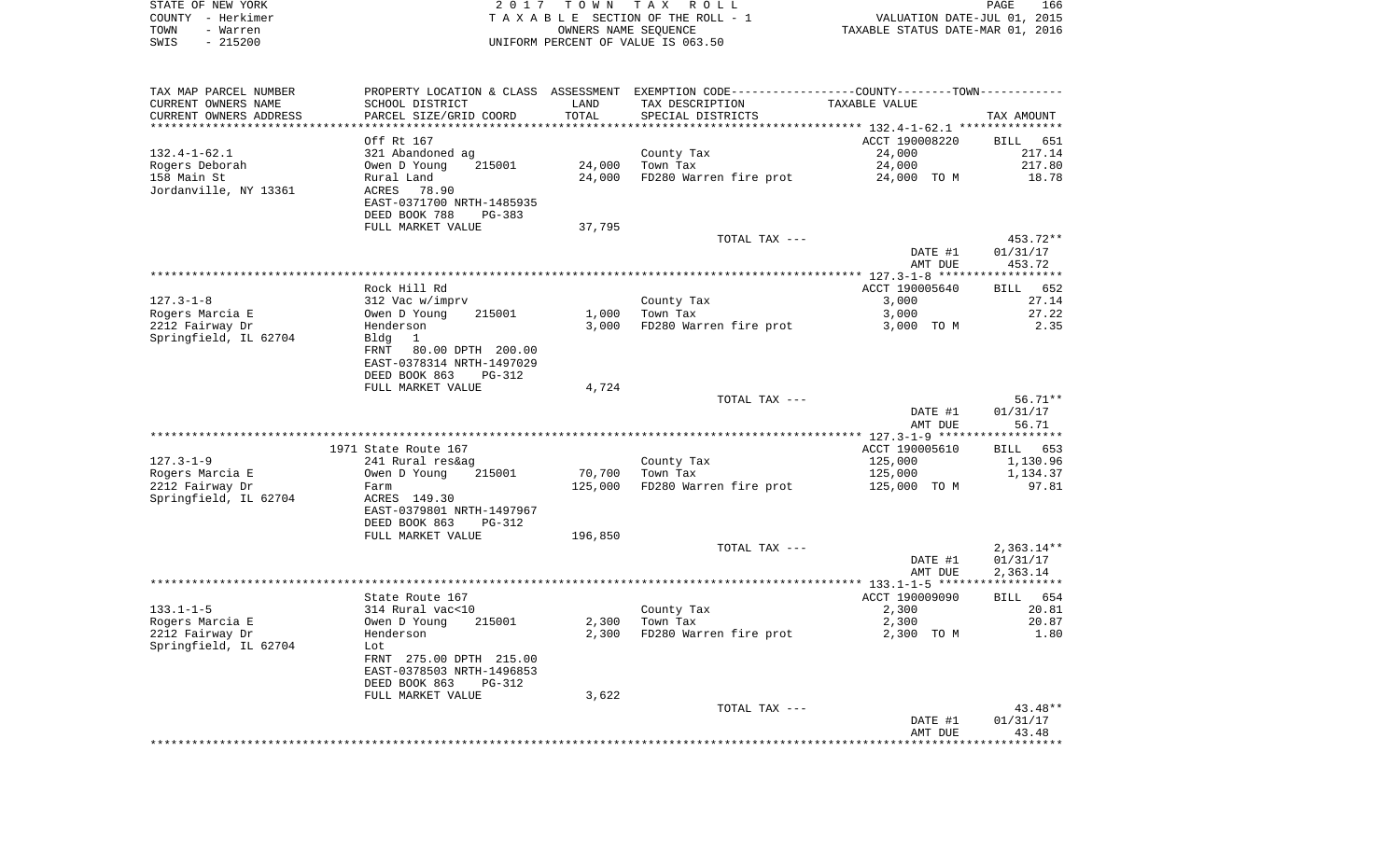| STATE OF NEW YORK | 2017 TOWN TAX ROLL                 | 166<br>PAGE                      |
|-------------------|------------------------------------|----------------------------------|
| COUNTY - Herkimer | TAXABLE SECTION OF THE ROLL - 1    | VALUATION DATE-JUL 01, 2015      |
| TOWN<br>- Warren  | OWNERS NAME SEOUENCE               | TAXABLE STATUS DATE-MAR 01, 2016 |
| - 215200<br>SWIS  | UNIFORM PERCENT OF VALUE IS 063.50 |                                  |

| TAX MAP PARCEL NUMBER  |                                             |         | PROPERTY LOCATION & CLASS ASSESSMENT EXEMPTION CODE---------------COUNTY-------TOWN---------- |                    |                    |
|------------------------|---------------------------------------------|---------|-----------------------------------------------------------------------------------------------|--------------------|--------------------|
| CURRENT OWNERS NAME    | SCHOOL DISTRICT                             | LAND    | TAX DESCRIPTION                                                                               | TAXABLE VALUE      |                    |
| CURRENT OWNERS ADDRESS | PARCEL SIZE/GRID COORD                      | TOTAL   | SPECIAL DISTRICTS                                                                             |                    | TAX AMOUNT         |
|                        |                                             |         |                                                                                               |                    |                    |
|                        | Off Rt 167                                  |         |                                                                                               | ACCT 190008220     | BILL 651           |
| $132.4 - 1 - 62.1$     | 321 Abandoned ag                            |         | County Tax                                                                                    | 24,000             | 217.14             |
| Rogers Deborah         | 215001<br>Owen D Young                      | 24,000  | Town Tax                                                                                      | 24,000             | 217.80             |
| 158 Main St            | Rural Land                                  | 24,000  | FD280 Warren fire prot                                                                        | 24,000 TO M        | 18.78              |
| Jordanville, NY 13361  | ACRES<br>78.90<br>EAST-0371700 NRTH-1485935 |         |                                                                                               |                    |                    |
|                        | DEED BOOK 788<br>$PG-383$                   |         |                                                                                               |                    |                    |
|                        | FULL MARKET VALUE                           | 37,795  |                                                                                               |                    |                    |
|                        |                                             |         | TOTAL TAX ---                                                                                 |                    | 453.72**           |
|                        |                                             |         |                                                                                               | DATE #1            | 01/31/17           |
|                        |                                             |         |                                                                                               | AMT DUE            | 453.72             |
|                        |                                             |         |                                                                                               |                    |                    |
|                        | Rock Hill Rd                                |         |                                                                                               | ACCT 190005640     | 652<br><b>BILL</b> |
| $127.3 - 1 - 8$        | 312 Vac w/imprv                             |         | County Tax                                                                                    | 3,000              | 27.14              |
| Rogers Marcia E        | Owen D Young<br>215001                      | 1,000   | Town Tax                                                                                      | 3,000              | 27.22              |
| 2212 Fairway Dr        | Henderson                                   | 3,000   | FD280 Warren fire prot                                                                        | 3,000 TO M         | 2.35               |
| Springfield, IL 62704  | Bldg<br>1                                   |         |                                                                                               |                    |                    |
|                        | FRNT<br>80.00 DPTH 200.00                   |         |                                                                                               |                    |                    |
|                        | EAST-0378314 NRTH-1497029                   |         |                                                                                               |                    |                    |
|                        | DEED BOOK 863<br><b>PG-312</b>              |         |                                                                                               |                    |                    |
|                        | FULL MARKET VALUE                           | 4,724   |                                                                                               |                    |                    |
|                        |                                             |         | TOTAL TAX ---                                                                                 |                    | $56.71**$          |
|                        |                                             |         |                                                                                               | DATE #1<br>AMT DUE | 01/31/17<br>56.71  |
|                        |                                             |         |                                                                                               |                    |                    |
|                        | 1971 State Route 167                        |         |                                                                                               | ACCT 190005610     | BILL 653           |
| $127.3 - 1 - 9$        | 241 Rural res&ag                            |         | County Tax                                                                                    | 125,000            | 1,130.96           |
| Rogers Marcia E        | Owen D Young<br>215001                      | 70,700  | Town Tax                                                                                      | 125,000            | 1,134.37           |
| 2212 Fairway Dr        | Farm                                        | 125,000 | FD280 Warren fire prot                                                                        | 125,000 TO M       | 97.81              |
| Springfield, IL 62704  | ACRES 149.30                                |         |                                                                                               |                    |                    |
|                        | EAST-0379801 NRTH-1497967                   |         |                                                                                               |                    |                    |
|                        | DEED BOOK 863<br>PG-312                     |         |                                                                                               |                    |                    |
|                        | FULL MARKET VALUE                           | 196,850 |                                                                                               |                    |                    |
|                        |                                             |         | TOTAL TAX ---                                                                                 |                    | $2,363.14**$       |
|                        |                                             |         |                                                                                               | DATE #1            | 01/31/17           |
|                        |                                             |         |                                                                                               | AMT DUE            | 2,363.14           |
|                        | State Route 167                             |         |                                                                                               | ACCT 190009090     | BILL 654           |
| $133.1 - 1 - 5$        | 314 Rural vac<10                            |         | County Tax                                                                                    | 2,300              | 20.81              |
| Rogers Marcia E        | Owen D Young<br>215001                      | 2,300   | Town Tax                                                                                      | 2,300              | 20.87              |
| 2212 Fairway Dr        | Henderson                                   | 2,300   | FD280 Warren fire prot                                                                        | 2,300 TO M         | 1.80               |
| Springfield, IL 62704  | Lot                                         |         |                                                                                               |                    |                    |
|                        | FRNT 275.00 DPTH 215.00                     |         |                                                                                               |                    |                    |
|                        | EAST-0378503 NRTH-1496853                   |         |                                                                                               |                    |                    |
|                        | DEED BOOK 863<br>PG-312                     |         |                                                                                               |                    |                    |
|                        | FULL MARKET VALUE                           | 3,622   |                                                                                               |                    |                    |
|                        |                                             |         | TOTAL TAX ---                                                                                 |                    | 43.48**            |
|                        |                                             |         |                                                                                               | DATE #1            | 01/31/17           |
|                        |                                             |         |                                                                                               | AMT DUE            | 43.48              |
|                        |                                             |         |                                                                                               |                    |                    |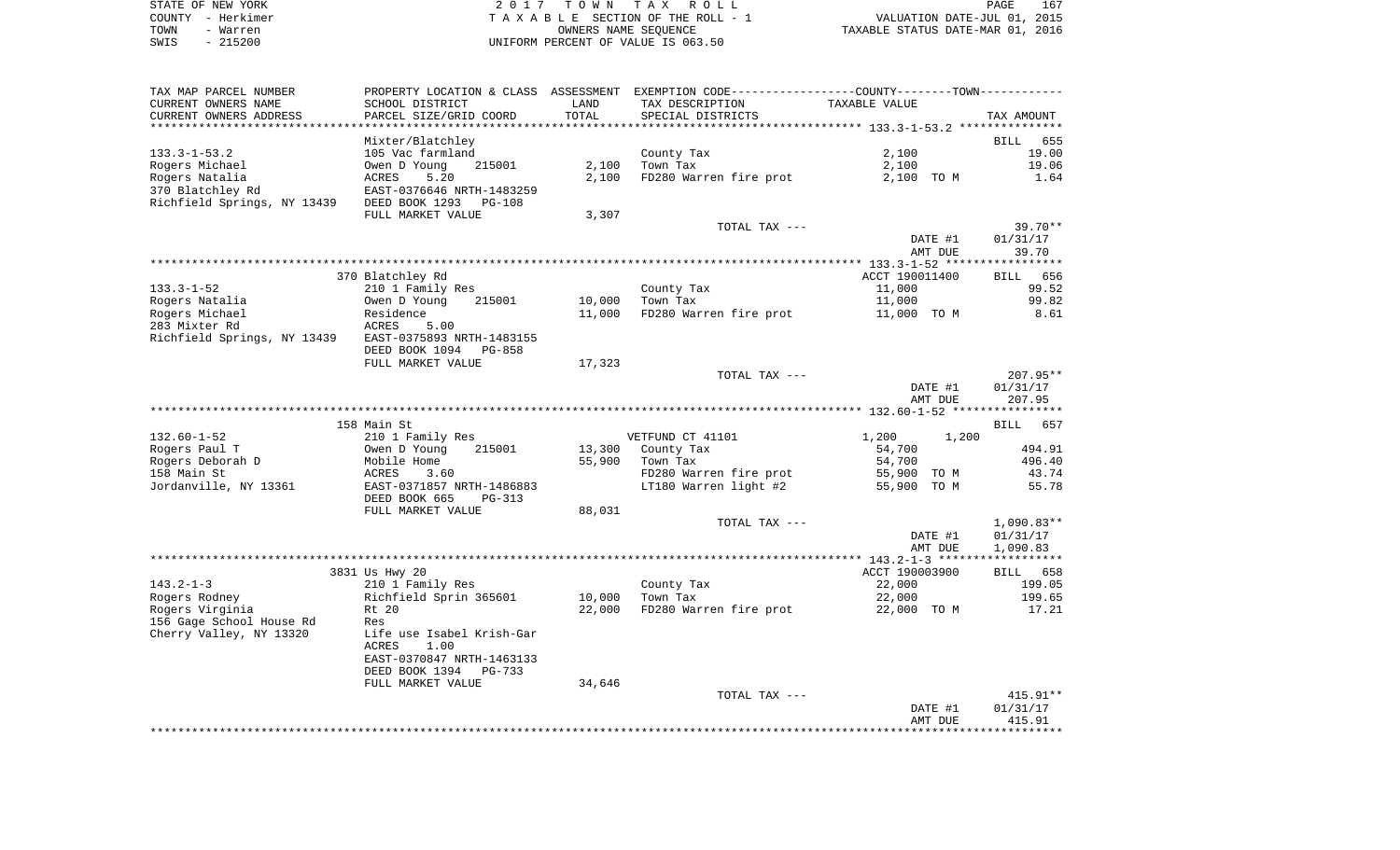|      | STATE OF NEW YORK | 2017 TOWN TAX ROLL                 | PAGE                             | 167 |
|------|-------------------|------------------------------------|----------------------------------|-----|
|      | COUNTY - Herkimer | TAXABLE SECTION OF THE ROLL - 1    | VALUATION DATE-JUL 01, 2015      |     |
| TOWN | - Warren          | OWNERS NAME SEOUENCE               | TAXABLE STATUS DATE-MAR 01, 2016 |     |
| SWIS | $-215200$         | UNIFORM PERCENT OF VALUE IS 063.50 |                                  |     |

| TAX MAP PARCEL NUMBER                                 | PROPERTY LOCATION & CLASS ASSESSMENT EXEMPTION CODE---------------COUNTY-------TOWN---------- |        |                        |                |                    |
|-------------------------------------------------------|-----------------------------------------------------------------------------------------------|--------|------------------------|----------------|--------------------|
| CURRENT OWNERS NAME                                   | SCHOOL DISTRICT                                                                               | LAND   | TAX DESCRIPTION        | TAXABLE VALUE  |                    |
| CURRENT OWNERS ADDRESS                                | PARCEL SIZE/GRID COORD                                                                        | TOTAL  | SPECIAL DISTRICTS      |                | TAX AMOUNT         |
|                                                       |                                                                                               |        |                        |                |                    |
|                                                       | Mixter/Blatchley                                                                              |        |                        |                | 655<br>BILL        |
| $133.3 - 1 - 53.2$                                    | 105 Vac farmland                                                                              |        | County Tax             | 2,100          | 19.00              |
| Rogers Michael                                        | Owen D Young<br>215001                                                                        | 2,100  | Town Tax               | 2,100          | 19.06              |
| Rogers Natalia                                        | 5.20<br>ACRES                                                                                 | 2,100  | FD280 Warren fire prot | 2,100 TO M     | 1.64               |
| 370 Blatchley Rd                                      | EAST-0376646 NRTH-1483259                                                                     |        |                        |                |                    |
| Richfield Springs, NY 13439                           | DEED BOOK 1293<br>PG-108                                                                      |        |                        |                |                    |
|                                                       | FULL MARKET VALUE                                                                             | 3,307  |                        |                |                    |
|                                                       |                                                                                               |        | TOTAL TAX ---          |                | $39.70**$          |
|                                                       |                                                                                               |        |                        | DATE #1        | 01/31/17           |
|                                                       |                                                                                               |        |                        | AMT DUE        | 39.70              |
|                                                       |                                                                                               |        |                        |                |                    |
|                                                       | 370 Blatchley Rd                                                                              |        |                        | ACCT 190011400 | BILL 656           |
| $133.3 - 1 - 52$                                      | 210 1 Family Res                                                                              |        | County Tax             | 11,000         | 99.52<br>99.82     |
| Rogers Natalia                                        | Owen D Young<br>215001                                                                        | 10,000 | Town Tax               | 11,000         |                    |
| Rogers Michael<br>283 Mixter Rd                       | Residence<br>ACRES<br>5.00                                                                    | 11,000 | FD280 Warren fire prot | 11,000 TO M    | 8.61               |
| Richfield Springs, NY 13439 EAST-0375893 NRTH-1483155 |                                                                                               |        |                        |                |                    |
|                                                       | DEED BOOK 1094<br>PG-858                                                                      |        |                        |                |                    |
|                                                       | FULL MARKET VALUE                                                                             | 17,323 |                        |                |                    |
|                                                       |                                                                                               |        | TOTAL TAX ---          |                | $207.95**$         |
|                                                       |                                                                                               |        |                        | DATE #1        | 01/31/17           |
|                                                       |                                                                                               |        |                        | AMT DUE        | 207.95             |
|                                                       |                                                                                               |        |                        |                |                    |
|                                                       | 158 Main St                                                                                   |        |                        |                | <b>BILL</b><br>657 |
| $132.60 - 1 - 52$                                     | 210 1 Family Res                                                                              |        | VETFUND CT 41101       | 1,200<br>1,200 |                    |
| Rogers Paul T                                         | Owen D Young<br>215001                                                                        | 13,300 | County Tax             | 54,700         | 494.91             |
| Rogers Deborah D                                      | Mobile Home                                                                                   | 55,900 | Town Tax               | 54,700         | 496.40             |
| 158 Main St                                           | ACRES<br>3.60                                                                                 |        | FD280 Warren fire prot | 55,900 TO M    | 43.74              |
| Jordanville, NY 13361                                 | EAST-0371857 NRTH-1486883                                                                     |        | LT180 Warren light #2  | 55,900 TO M    | 55.78              |
|                                                       | DEED BOOK 665<br>$PG-313$                                                                     |        |                        |                |                    |
|                                                       | FULL MARKET VALUE                                                                             | 88,031 |                        |                |                    |
|                                                       |                                                                                               |        | TOTAL TAX ---          |                | $1,090.83**$       |
|                                                       |                                                                                               |        |                        | DATE #1        | 01/31/17           |
|                                                       |                                                                                               |        |                        | AMT DUE        | 1,090.83           |
|                                                       |                                                                                               |        |                        |                |                    |
|                                                       | 3831 Us Hwy 20                                                                                |        |                        | ACCT 190003900 | BILL 658           |
| $143.2 - 1 - 3$                                       | 210 1 Family Res                                                                              |        | County Tax             | 22,000         | 199.05             |
| Rogers Rodney                                         | Richfield Sprin 365601                                                                        | 10,000 | Town Tax               | 22,000         | 199.65             |
| Rogers Virginia                                       | Rt 20                                                                                         | 22,000 | FD280 Warren fire prot | 22,000 TO M    | 17.21              |
| 156 Gage School House Rd<br>Cherry Valley, NY 13320   | Res<br>Life use Isabel Krish-Gar                                                              |        |                        |                |                    |
|                                                       | 1.00<br>ACRES                                                                                 |        |                        |                |                    |
|                                                       | EAST-0370847 NRTH-1463133                                                                     |        |                        |                |                    |
|                                                       | DEED BOOK 1394<br>PG-733                                                                      |        |                        |                |                    |
|                                                       | FULL MARKET VALUE                                                                             | 34,646 |                        |                |                    |
|                                                       |                                                                                               |        | TOTAL TAX ---          |                | $415.91**$         |
|                                                       |                                                                                               |        |                        | DATE #1        | 01/31/17           |
|                                                       |                                                                                               |        |                        | AMT DUE        | 415.91             |
|                                                       |                                                                                               |        |                        |                |                    |
|                                                       |                                                                                               |        |                        |                |                    |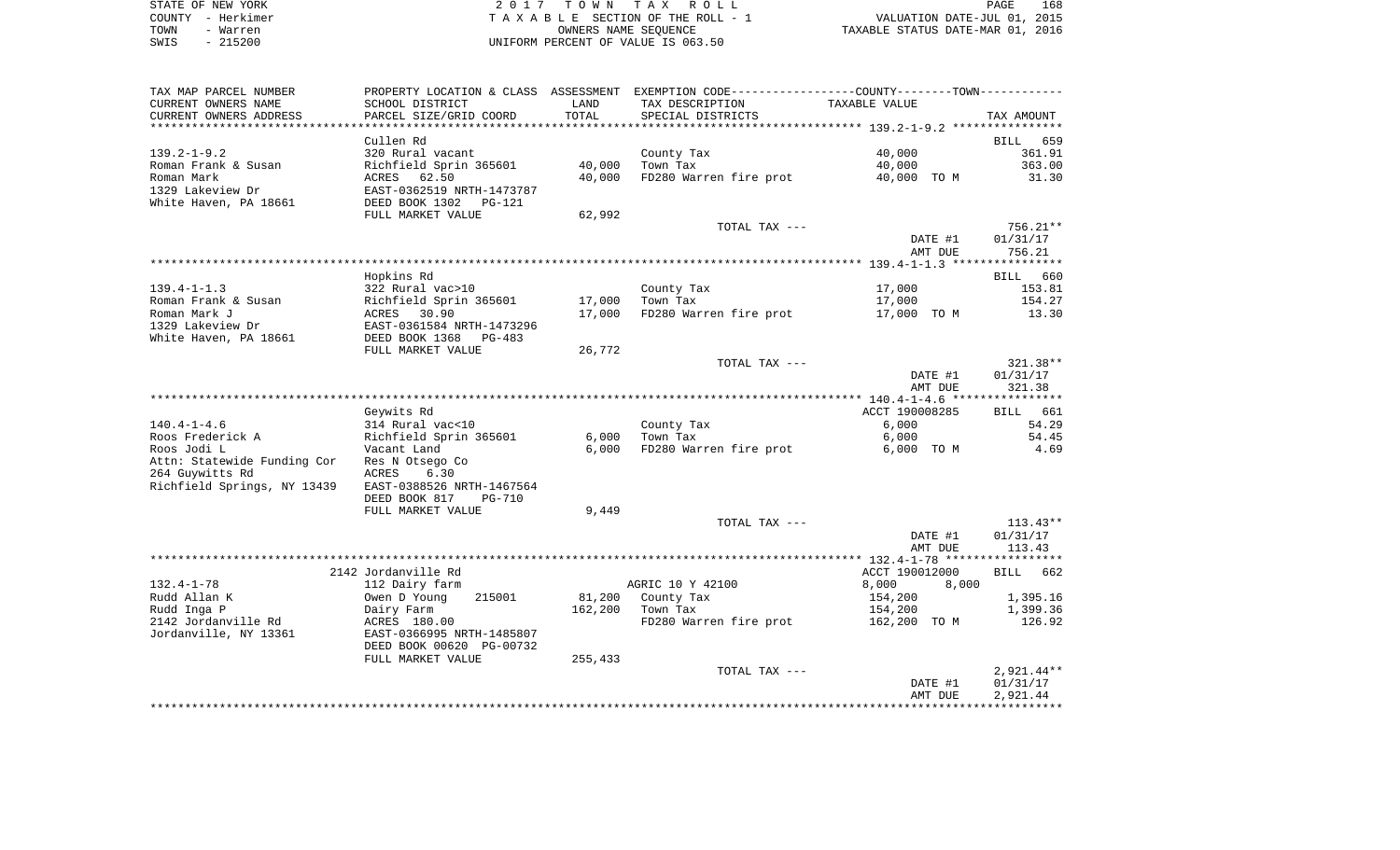| STATE OF NEW YORK | 2017 TOWN TAX ROLL                 | 168<br>PAGE                      |
|-------------------|------------------------------------|----------------------------------|
| COUNTY - Herkimer | TAXABLE SECTION OF THE ROLL - 1    | VALUATION DATE-JUL 01, 2015      |
| TOWN<br>- Warren  | OWNERS NAME SEOUENCE               | TAXABLE STATUS DATE-MAR 01, 2016 |
| $-215200$<br>SWIS | UNIFORM PERCENT OF VALUE IS 063.50 |                                  |

| TAX MAP PARCEL NUMBER<br>CURRENT OWNERS NAME       | SCHOOL DISTRICT                | LAND    | PROPERTY LOCATION & CLASS ASSESSMENT EXEMPTION CODE---------------COUNTY-------TOWN----------<br>TAX DESCRIPTION | TAXABLE VALUE      |                    |
|----------------------------------------------------|--------------------------------|---------|------------------------------------------------------------------------------------------------------------------|--------------------|--------------------|
| CURRENT OWNERS ADDRESS<br>************************ | PARCEL SIZE/GRID COORD         | TOTAL   | SPECIAL DISTRICTS                                                                                                |                    | TAX AMOUNT         |
|                                                    | Cullen Rd                      |         |                                                                                                                  |                    | 659<br><b>BILL</b> |
| $139.2 - 1 - 9.2$                                  | 320 Rural vacant               |         | County Tax                                                                                                       | 40,000             | 361.91             |
| Roman Frank & Susan                                | Richfield Sprin 365601         | 40,000  | Town Tax                                                                                                         | 40,000             | 363.00             |
| Roman Mark                                         | 62.50<br>ACRES                 | 40,000  | FD280 Warren fire prot                                                                                           | 40,000 TO M        | 31.30              |
| 1329 Lakeview Dr                                   | EAST-0362519 NRTH-1473787      |         |                                                                                                                  |                    |                    |
| White Haven, PA 18661                              | DEED BOOK 1302<br>$PG-121$     |         |                                                                                                                  |                    |                    |
|                                                    | FULL MARKET VALUE              | 62,992  |                                                                                                                  |                    |                    |
|                                                    |                                |         | TOTAL TAX ---                                                                                                    |                    | 756.21**           |
|                                                    |                                |         |                                                                                                                  | DATE #1<br>AMT DUE | 01/31/17<br>756.21 |
|                                                    |                                |         |                                                                                                                  |                    |                    |
|                                                    | Hopkins Rd                     |         |                                                                                                                  |                    | 660<br><b>BILL</b> |
| $139.4 - 1 - 1.3$                                  | 322 Rural vac>10               |         | County Tax                                                                                                       | 17,000             | 153.81             |
| Roman Frank & Susan                                | Richfield Sprin 365601         | 17,000  | Town Tax                                                                                                         | 17,000             | 154.27             |
| Roman Mark J                                       | 30.90<br>ACRES                 | 17,000  | FD280 Warren fire prot                                                                                           | 17,000 TO M        | 13.30              |
| 1329 Lakeview Dr                                   | EAST-0361584 NRTH-1473296      |         |                                                                                                                  |                    |                    |
| White Haven, PA 18661                              | DEED BOOK 1368<br>PG-483       |         |                                                                                                                  |                    |                    |
|                                                    | FULL MARKET VALUE              | 26,772  |                                                                                                                  |                    |                    |
|                                                    |                                |         | TOTAL TAX ---                                                                                                    |                    | 321.38**           |
|                                                    |                                |         |                                                                                                                  | DATE #1            | 01/31/17           |
|                                                    |                                |         |                                                                                                                  | AMT DUE            | 321.38             |
|                                                    | Geywits Rd                     |         |                                                                                                                  | ACCT 190008285     | 661<br>BILL        |
| $140.4 - 1 - 4.6$                                  | 314 Rural vac<10               |         | County Tax                                                                                                       | 6,000              | 54.29              |
| Roos Frederick A                                   | Richfield Sprin 365601         | 6,000   | Town Tax                                                                                                         | 6,000              | 54.45              |
| Roos Jodi L                                        | Vacant Land                    | 6,000   | FD280 Warren fire prot                                                                                           | 6,000 TO M         | 4.69               |
| Attn: Statewide Funding Cor                        | Res N Otsego Co                |         |                                                                                                                  |                    |                    |
| 264 Guywitts Rd                                    | ACRES<br>6.30                  |         |                                                                                                                  |                    |                    |
| Richfield Springs, NY 13439                        | EAST-0388526 NRTH-1467564      |         |                                                                                                                  |                    |                    |
|                                                    | DEED BOOK 817<br><b>PG-710</b> |         |                                                                                                                  |                    |                    |
|                                                    | FULL MARKET VALUE              | 9,449   |                                                                                                                  |                    |                    |
|                                                    |                                |         | TOTAL TAX ---                                                                                                    |                    | $113.43**$         |
|                                                    |                                |         |                                                                                                                  | DATE #1            | 01/31/17           |
|                                                    |                                |         |                                                                                                                  | AMT DUE            | 113.43             |
|                                                    | 2142 Jordanville Rd            |         |                                                                                                                  | ACCT 190012000     | <b>BILL</b><br>662 |
| $132.4 - 1 - 78$                                   | 112 Dairy farm                 |         | AGRIC 10 Y 42100                                                                                                 | 8,000<br>8,000     |                    |
| Rudd Allan K                                       | Owen D Young<br>215001         | 81,200  | County Tax                                                                                                       | 154,200            | 1,395.16           |
| Rudd Inga P                                        | Dairy Farm                     | 162,200 | Town Tax                                                                                                         | 154,200            | 1,399.36           |
| 2142 Jordanville Rd                                | ACRES 180.00                   |         | FD280 Warren fire prot                                                                                           | 162,200 TO M       | 126.92             |
| Jordanville, NY 13361                              | EAST-0366995 NRTH-1485807      |         |                                                                                                                  |                    |                    |
|                                                    | DEED BOOK 00620 PG-00732       |         |                                                                                                                  |                    |                    |
|                                                    | FULL MARKET VALUE              | 255,433 |                                                                                                                  |                    |                    |
|                                                    |                                |         | TOTAL TAX ---                                                                                                    |                    | $2,921.44**$       |
|                                                    |                                |         |                                                                                                                  | DATE #1            | 01/31/17           |
|                                                    |                                |         |                                                                                                                  | AMT DUE            | 2,921.44           |
|                                                    |                                |         |                                                                                                                  |                    |                    |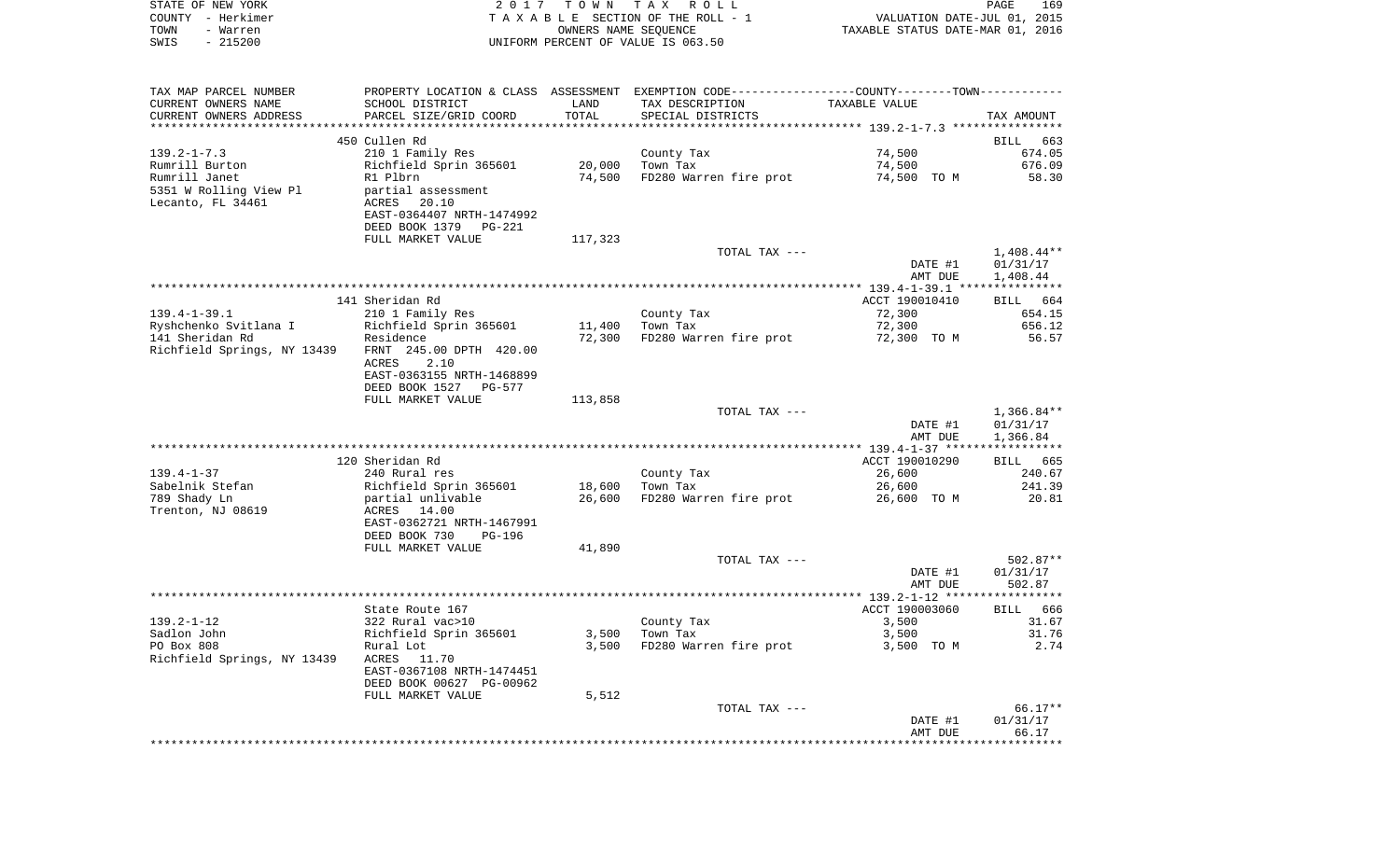| STATE OF NEW YORK<br>COUNTY - Herkimer<br>TOWN<br>- Warren<br>$-215200$<br>SWIS | 2017                                        | T O W N<br>OWNERS NAME SEQUENCE | TAX ROLL<br>TAXABLE SECTION OF THE ROLL - 1<br>UNIFORM PERCENT OF VALUE IS 063.50             | VALUATION DATE-JUL 01, 2015<br>TAXABLE STATUS DATE-MAR 01, 2016 | PAGE<br>169              |
|---------------------------------------------------------------------------------|---------------------------------------------|---------------------------------|-----------------------------------------------------------------------------------------------|-----------------------------------------------------------------|--------------------------|
| TAX MAP PARCEL NUMBER                                                           |                                             |                                 | PROPERTY LOCATION & CLASS ASSESSMENT EXEMPTION CODE---------------COUNTY-------TOWN---------- |                                                                 |                          |
| CURRENT OWNERS NAME                                                             | SCHOOL DISTRICT                             | LAND                            | TAX DESCRIPTION                                                                               | TAXABLE VALUE                                                   |                          |
| CURRENT OWNERS ADDRESS<br>************************                              | PARCEL SIZE/GRID COORD                      | TOTAL                           | SPECIAL DISTRICTS                                                                             |                                                                 | TAX AMOUNT               |
|                                                                                 | 450 Cullen Rd                               |                                 |                                                                                               |                                                                 | BILL<br>663              |
| $139.2 - 1 - 7.3$                                                               | 210 1 Family Res                            |                                 | County Tax                                                                                    | 74,500                                                          | 674.05                   |
| Rumrill Burton                                                                  | Richfield Sprin 365601                      | 20,000                          | Town Tax                                                                                      | 74,500                                                          | 676.09                   |
| Rumrill Janet                                                                   | R1 Plbrn                                    | 74,500                          | FD280 Warren fire prot                                                                        | 74,500 TO M                                                     | 58.30                    |
| 5351 W Rolling View Pl<br>Lecanto, FL 34461                                     | partial assessment<br>ACRES<br>20.10        |                                 |                                                                                               |                                                                 |                          |
|                                                                                 | EAST-0364407 NRTH-1474992                   |                                 |                                                                                               |                                                                 |                          |
|                                                                                 | DEED BOOK 1379<br>PG-221                    |                                 |                                                                                               |                                                                 |                          |
|                                                                                 | FULL MARKET VALUE                           | 117,323                         |                                                                                               |                                                                 |                          |
|                                                                                 |                                             |                                 | TOTAL TAX ---                                                                                 | DATE #1                                                         | $1,408.44**$<br>01/31/17 |
|                                                                                 |                                             |                                 |                                                                                               | AMT DUE                                                         | 1,408.44                 |
|                                                                                 |                                             |                                 |                                                                                               |                                                                 |                          |
|                                                                                 | 141 Sheridan Rd                             |                                 |                                                                                               | ACCT 190010410                                                  | BILL 664                 |
| $139.4 - 1 - 39.1$<br>Ryshchenko Svitlana I                                     | 210 1 Family Res<br>Richfield Sprin 365601  | 11,400                          | County Tax<br>Town Tax                                                                        | 72,300<br>72,300                                                | 654.15<br>656.12         |
| 141 Sheridan Rd                                                                 | Residence                                   | 72,300                          | FD280 Warren fire prot                                                                        | 72,300 TO M                                                     | 56.57                    |
| Richfield Springs, NY 13439                                                     | FRNT 245.00 DPTH 420.00                     |                                 |                                                                                               |                                                                 |                          |
|                                                                                 | ACRES<br>2.10<br>EAST-0363155 NRTH-1468899  |                                 |                                                                                               |                                                                 |                          |
|                                                                                 | DEED BOOK 1527<br>PG-577                    |                                 |                                                                                               |                                                                 |                          |
|                                                                                 | FULL MARKET VALUE                           | 113,858                         |                                                                                               |                                                                 |                          |
|                                                                                 |                                             |                                 | TOTAL TAX ---                                                                                 |                                                                 | 1,366.84**               |
|                                                                                 |                                             |                                 |                                                                                               | DATE #1<br>AMT DUE                                              | 01/31/17<br>1,366.84     |
|                                                                                 |                                             |                                 |                                                                                               |                                                                 |                          |
|                                                                                 | 120 Sheridan Rd                             |                                 |                                                                                               | ACCT 190010290                                                  | 665<br>BILL              |
| $139.4 - 1 - 37$<br>Sabelnik Stefan                                             | 240 Rural res                               |                                 | County Tax                                                                                    | 26,600                                                          | 240.67<br>241.39         |
| 789 Shady Ln                                                                    | Richfield Sprin 365601<br>partial unlivable | 18,600<br>26,600                | Town Tax<br>FD280 Warren fire prot                                                            | 26,600<br>26,600 TO M                                           | 20.81                    |
| Trenton, NJ 08619                                                               | ACRES<br>14.00                              |                                 |                                                                                               |                                                                 |                          |
|                                                                                 | EAST-0362721 NRTH-1467991                   |                                 |                                                                                               |                                                                 |                          |
|                                                                                 | DEED BOOK 730<br>PG-196                     |                                 |                                                                                               |                                                                 |                          |
|                                                                                 | FULL MARKET VALUE                           | 41,890                          | TOTAL TAX ---                                                                                 |                                                                 | 502.87**                 |
|                                                                                 |                                             |                                 |                                                                                               | DATE #1                                                         | 01/31/17                 |
|                                                                                 |                                             |                                 |                                                                                               | AMT DUE                                                         | 502.87                   |
|                                                                                 | State Route 167                             |                                 |                                                                                               | ACCT 190003060                                                  | 666<br>BILL              |
| $139.2 - 1 - 12$                                                                | 322 Rural vac>10                            |                                 | County Tax                                                                                    | 3,500                                                           | 31.67                    |
| Sadlon John                                                                     | Richfield Sprin 365601                      | 3,500                           | Town Tax                                                                                      | 3,500                                                           | 31.76                    |
| PO Box 808                                                                      | Rural Lot                                   | 3,500                           | FD280 Warren fire prot                                                                        | 3,500 TO M                                                      | 2.74                     |
| Richfield Springs, NY 13439                                                     | ACRES 11.70<br>EAST-0367108 NRTH-1474451    |                                 |                                                                                               |                                                                 |                          |
|                                                                                 | DEED BOOK 00627 PG-00962                    |                                 |                                                                                               |                                                                 |                          |
|                                                                                 | FULL MARKET VALUE                           | 5,512                           |                                                                                               |                                                                 |                          |
|                                                                                 |                                             |                                 | TOTAL TAX ---                                                                                 |                                                                 | 66.17**                  |
|                                                                                 |                                             |                                 |                                                                                               | DATE #1<br>AMT DUE                                              | 01/31/17<br>66.17        |
|                                                                                 |                                             |                                 |                                                                                               | *******************************                                 |                          |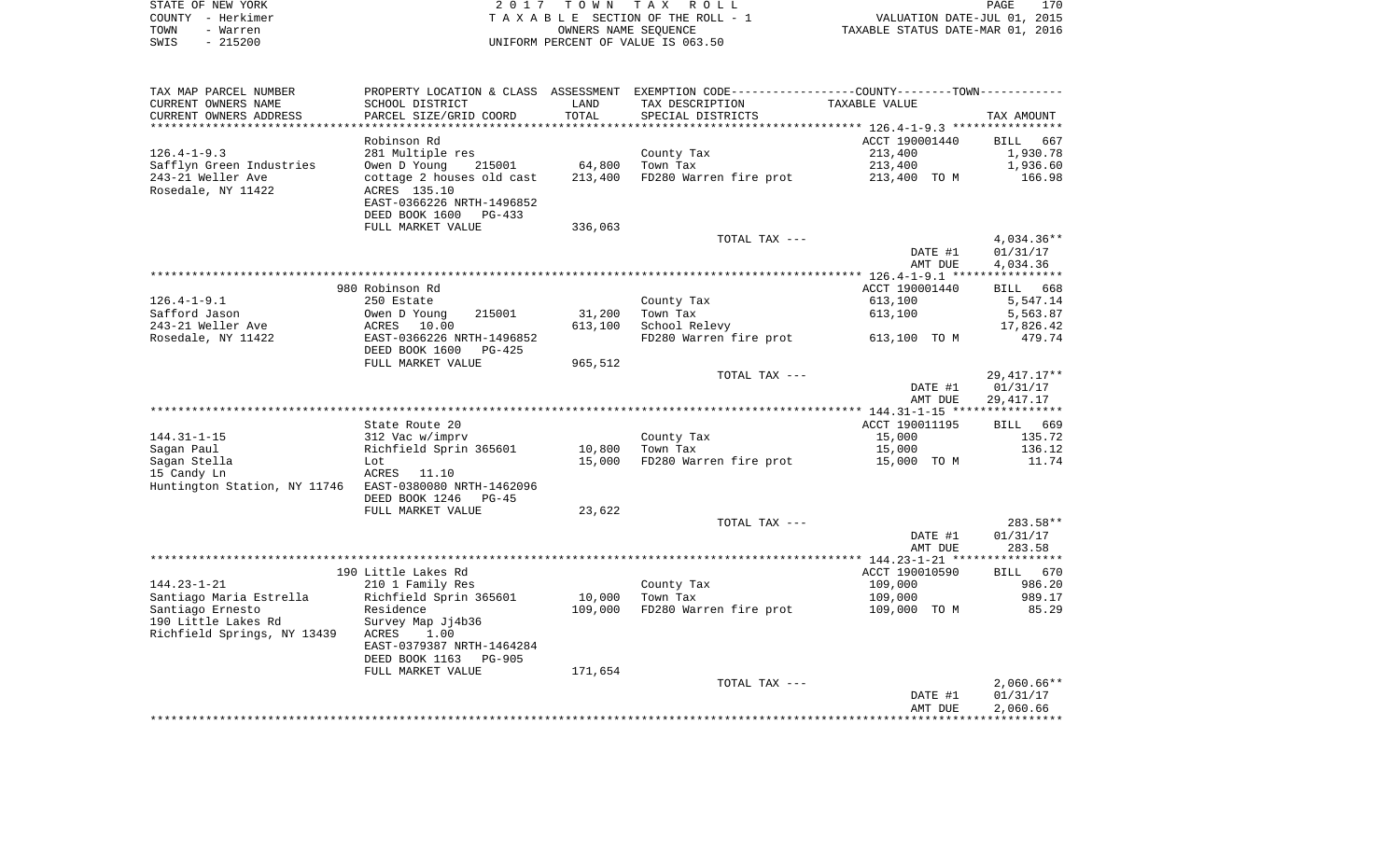|      | STATE OF NEW YORK | 2017 TOWN TAX ROLL                 | PAGE                             | 170 |
|------|-------------------|------------------------------------|----------------------------------|-----|
|      | COUNTY – Herkimer | TAXABLE SECTION OF THE ROLL - 1    | VALUATION DATE-JUL 01, 2015      |     |
| TOWN | - Warren          | OWNERS NAME SEOUENCE               | TAXABLE STATUS DATE-MAR 01, 2016 |     |
| SWIS | - 215200          | UNIFORM PERCENT OF VALUE IS 063.50 |                                  |     |

| TAX MAP PARCEL NUMBER                                  |                                 |         | PROPERTY LOCATION & CLASS ASSESSMENT EXEMPTION CODE----------------COUNTY--------TOWN----------- |                    |                          |
|--------------------------------------------------------|---------------------------------|---------|--------------------------------------------------------------------------------------------------|--------------------|--------------------------|
| CURRENT OWNERS NAME                                    | SCHOOL DISTRICT                 | LAND    | TAX DESCRIPTION                                                                                  | TAXABLE VALUE      |                          |
| CURRENT OWNERS ADDRESS                                 | PARCEL SIZE/GRID COORD          | TOTAL   | SPECIAL DISTRICTS                                                                                |                    | TAX AMOUNT               |
|                                                        |                                 |         |                                                                                                  |                    |                          |
|                                                        | Robinson Rd                     |         |                                                                                                  | ACCT 190001440     | BILL<br>667              |
| $126.4 - 1 - 9.3$                                      | 281 Multiple res                |         | County Tax                                                                                       | 213,400            | 1,930.78                 |
| Safflyn Green Industries                               | Owen D Young<br>215001          | 64,800  | Town Tax                                                                                         | 213,400            | 1,936.60                 |
| 243-21 Weller Ave                                      | cottage 2 houses old cast       | 213,400 | FD280 Warren fire prot                                                                           | 213,400 TO M       | 166.98                   |
| Rosedale, NY 11422                                     | ACRES 135.10                    |         |                                                                                                  |                    |                          |
|                                                        | EAST-0366226 NRTH-1496852       |         |                                                                                                  |                    |                          |
|                                                        | DEED BOOK 1600<br>PG-433        |         |                                                                                                  |                    |                          |
|                                                        | FULL MARKET VALUE               | 336,063 |                                                                                                  |                    |                          |
|                                                        |                                 |         | TOTAL TAX ---                                                                                    |                    | 4,034.36**               |
|                                                        |                                 |         |                                                                                                  | DATE #1            | 01/31/17                 |
|                                                        |                                 |         |                                                                                                  | AMT DUE            | 4,034.36                 |
|                                                        |                                 |         |                                                                                                  |                    |                          |
|                                                        | 980 Robinson Rd                 |         |                                                                                                  | ACCT 190001440     | 668<br>BILL              |
| $126.4 - 1 - 9.1$                                      | 250 Estate                      |         | County Tax                                                                                       | 613,100            | 5,547.14                 |
| Safford Jason                                          | Owen D Young<br>215001          | 31,200  | Town Tax                                                                                         | 613,100            | 5,563.87                 |
| 243-21 Weller Ave                                      | 10.00<br>ACRES                  | 613,100 | School Relevy                                                                                    |                    | 17,826.42                |
| Rosedale, NY 11422                                     | EAST-0366226 NRTH-1496852       |         | FD280 Warren fire prot                                                                           | 613,100 TO M       | 479.74                   |
|                                                        | DEED BOOK 1600<br>$PG-425$      |         |                                                                                                  |                    |                          |
|                                                        | FULL MARKET VALUE               | 965,512 |                                                                                                  |                    |                          |
|                                                        |                                 |         | TOTAL TAX ---                                                                                    |                    | 29, 417. 17**            |
|                                                        |                                 |         |                                                                                                  | DATE #1            | 01/31/17                 |
|                                                        |                                 |         |                                                                                                  | AMT DUE            | 29,417.17                |
|                                                        |                                 |         |                                                                                                  |                    |                          |
|                                                        | State Route 20                  |         |                                                                                                  | ACCT 190011195     | 669<br>BILL              |
| $144.31 - 1 - 15$                                      | 312 Vac w/imprv                 |         | County Tax                                                                                       | 15,000             | 135.72                   |
| Sagan Paul                                             | Richfield Sprin 365601          | 10,800  | Town Tax                                                                                         | 15,000             | 136.12                   |
| Sagan Stella                                           | Lot                             | 15,000  | FD280 Warren fire prot                                                                           | 15,000 TO M        | 11.74                    |
| 15 Candy Ln                                            | ACRES<br>11.10                  |         |                                                                                                  |                    |                          |
| Huntington Station, NY 11746 EAST-0380080 NRTH-1462096 |                                 |         |                                                                                                  |                    |                          |
|                                                        | DEED BOOK 1246<br>$PG-45$       |         |                                                                                                  |                    |                          |
|                                                        | FULL MARKET VALUE               | 23,622  |                                                                                                  |                    |                          |
|                                                        |                                 |         | TOTAL TAX ---                                                                                    |                    | 283.58**                 |
|                                                        |                                 |         |                                                                                                  | DATE #1            | 01/31/17                 |
|                                                        |                                 |         |                                                                                                  | AMT DUE            | 283.58                   |
|                                                        |                                 |         |                                                                                                  |                    |                          |
|                                                        | 190 Little Lakes Rd             |         |                                                                                                  | ACCT 190010590     | BILL 670                 |
| $144.23 - 1 - 21$                                      | 210 1 Family Res                |         | County Tax                                                                                       | 109,000            | 986.20                   |
| Santiago Maria Estrella                                | Richfield Sprin 365601          | 10,000  | Town Tax                                                                                         | 109,000            | 989.17                   |
| Santiago Ernesto                                       | Residence                       | 109,000 | FD280 Warren fire prot                                                                           | 109,000 TO M       | 85.29                    |
| 190 Little Lakes Rd                                    | Survey Map Jj4b36<br>1.00       |         |                                                                                                  |                    |                          |
| Richfield Springs, NY 13439                            | ACRES                           |         |                                                                                                  |                    |                          |
|                                                        | EAST-0379387 NRTH-1464284       |         |                                                                                                  |                    |                          |
|                                                        | DEED BOOK 1163<br><b>PG-905</b> |         |                                                                                                  |                    |                          |
|                                                        | FULL MARKET VALUE               | 171,654 | TOTAL TAX ---                                                                                    |                    |                          |
|                                                        |                                 |         |                                                                                                  |                    | $2,060.66**$<br>01/31/17 |
|                                                        |                                 |         |                                                                                                  | DATE #1<br>AMT DUE | 2,060.66                 |
|                                                        |                                 |         |                                                                                                  |                    |                          |
|                                                        |                                 |         |                                                                                                  |                    |                          |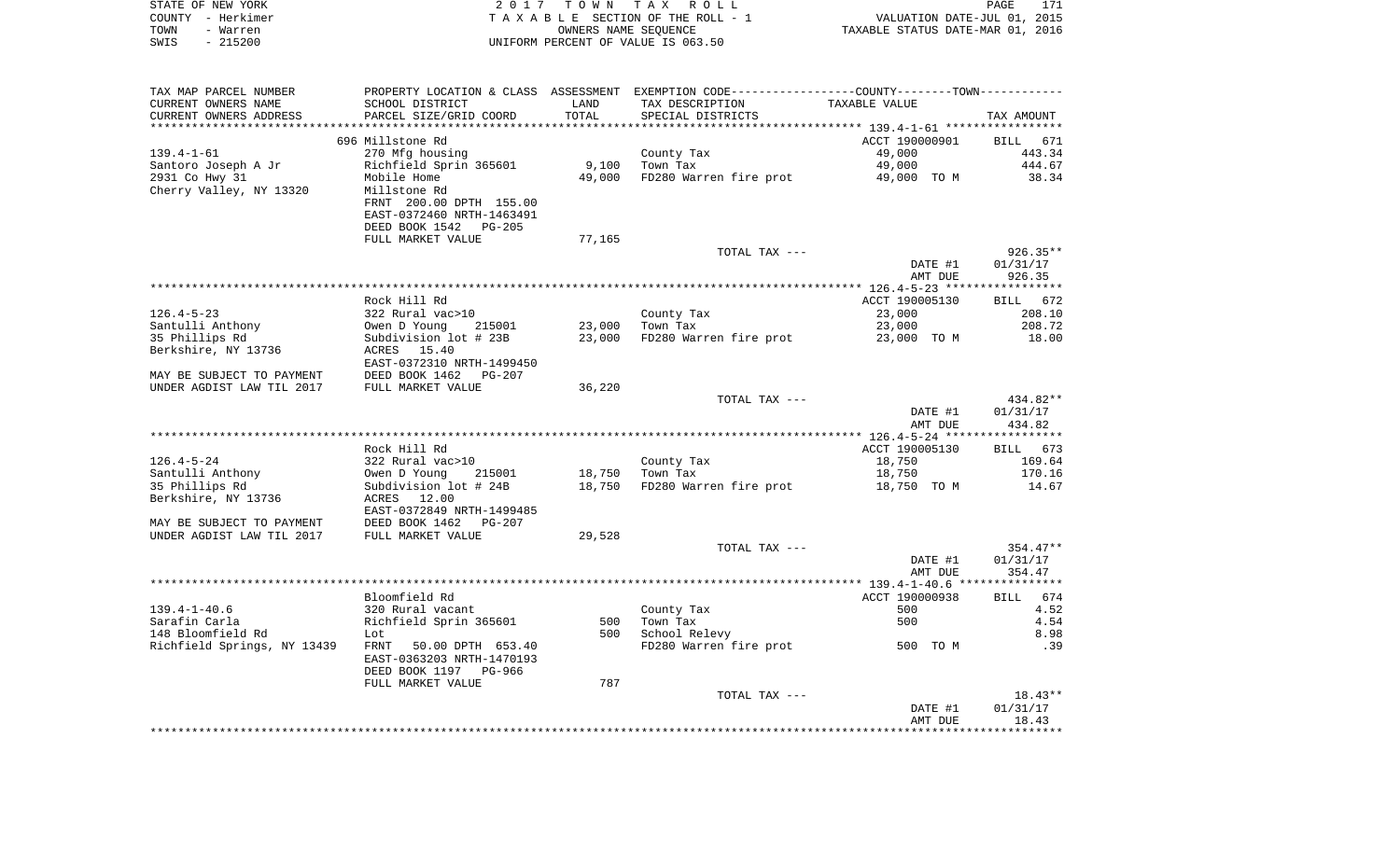|      | STATE OF NEW YORK | 2017 TOWN TAX ROLL                 | PAGE                             | 171 |
|------|-------------------|------------------------------------|----------------------------------|-----|
|      | COUNTY - Herkimer | TAXABLE SECTION OF THE ROLL - 1    | VALUATION DATE-JUL 01, 2015      |     |
| TOWN | - Warren          | OWNERS NAME SEOUENCE               | TAXABLE STATUS DATE-MAR 01, 2016 |     |
| SWIS | - 215200          | UNIFORM PERCENT OF VALUE IS 063.50 |                                  |     |
|      |                   |                                    |                                  |     |
|      |                   |                                    |                                  |     |

| TAX MAP PARCEL NUMBER       |                                               |        | PROPERTY LOCATION & CLASS ASSESSMENT EXEMPTION CODE----------------COUNTY--------TOWN---------- |                |                    |
|-----------------------------|-----------------------------------------------|--------|-------------------------------------------------------------------------------------------------|----------------|--------------------|
| CURRENT OWNERS NAME         | SCHOOL DISTRICT                               | LAND   | TAX DESCRIPTION                                                                                 | TAXABLE VALUE  |                    |
| CURRENT OWNERS ADDRESS      | PARCEL SIZE/GRID COORD                        | TOTAL  | SPECIAL DISTRICTS                                                                               |                | TAX AMOUNT         |
|                             |                                               |        |                                                                                                 |                |                    |
|                             | 696 Millstone Rd                              |        |                                                                                                 | ACCT 190000901 | <b>BILL</b><br>671 |
| $139.4 - 1 - 61$            | 270 Mfg housing                               |        | County Tax                                                                                      | 49,000         | 443.34             |
| Santoro Joseph A Jr         | Richfield Sprin 365601                        | 9,100  | Town Tax                                                                                        | 49,000         | 444.67             |
| 2931 Co Hwy 31              | Mobile Home                                   | 49,000 | FD280 Warren fire prot                                                                          | 49,000 TO M    | 38.34              |
| Cherry Valley, NY 13320     | Millstone Rd                                  |        |                                                                                                 |                |                    |
|                             | FRNT 200.00 DPTH 155.00                       |        |                                                                                                 |                |                    |
|                             | EAST-0372460 NRTH-1463491                     |        |                                                                                                 |                |                    |
|                             | DEED BOOK 1542 PG-205                         |        |                                                                                                 |                |                    |
|                             | FULL MARKET VALUE                             | 77,165 |                                                                                                 |                |                    |
|                             |                                               |        | TOTAL TAX ---                                                                                   |                | 926.35**           |
|                             |                                               |        |                                                                                                 | DATE #1        | 01/31/17           |
|                             |                                               |        |                                                                                                 | AMT DUE        | 926.35             |
|                             |                                               |        |                                                                                                 |                |                    |
|                             | Rock Hill Rd                                  |        |                                                                                                 | ACCT 190005130 | 672<br><b>BILL</b> |
| $126.4 - 5 - 23$            | 322 Rural vac>10                              |        | County Tax                                                                                      | 23,000         | 208.10             |
| Santulli Anthony            | Owen D Young<br>215001                        |        | 23,000 Town Tax                                                                                 | 23,000         | 208.72             |
| 35 Phillips Rd              | Subdivision lot # 23B                         | 23,000 | FD280 Warren fire prot                                                                          | 23,000 TO M    | 18.00              |
| Berkshire, NY 13736         | ACRES<br>15.40                                |        |                                                                                                 |                |                    |
| MAY BE SUBJECT TO PAYMENT   | EAST-0372310 NRTH-1499450                     |        |                                                                                                 |                |                    |
| UNDER AGDIST LAW TIL 2017   | DEED BOOK 1462<br>PG-207<br>FULL MARKET VALUE | 36,220 |                                                                                                 |                |                    |
|                             |                                               |        | TOTAL TAX ---                                                                                   |                | 434.82**           |
|                             |                                               |        |                                                                                                 | DATE #1        | 01/31/17           |
|                             |                                               |        |                                                                                                 | AMT DUE        | 434.82             |
|                             |                                               |        |                                                                                                 |                |                    |
|                             | Rock Hill Rd                                  |        |                                                                                                 | ACCT 190005130 | BILL 673           |
| $126.4 - 5 - 24$            | 322 Rural vac>10                              |        | County Tax                                                                                      | 18,750         | 169.64             |
| Santulli Anthony            | Owen D Young<br>215001                        | 18,750 | Town Tax                                                                                        | 18,750         | 170.16             |
| 35 Phillips Rd              | Subdivision lot # 24B                         |        | 18,750 FD280 Warren fire prot                                                                   | 18,750 TO M    | 14.67              |
| Berkshire, NY 13736         | ACRES 12.00                                   |        |                                                                                                 |                |                    |
|                             | EAST-0372849 NRTH-1499485                     |        |                                                                                                 |                |                    |
| MAY BE SUBJECT TO PAYMENT   | DEED BOOK 1462 PG-207                         |        |                                                                                                 |                |                    |
| UNDER AGDIST LAW TIL 2017   | FULL MARKET VALUE                             | 29,528 |                                                                                                 |                |                    |
|                             |                                               |        | TOTAL TAX ---                                                                                   |                | $354.47**$         |
|                             |                                               |        |                                                                                                 | DATE #1        | 01/31/17           |
|                             |                                               |        |                                                                                                 | AMT DUE        | 354.47             |
|                             |                                               |        |                                                                                                 |                |                    |
|                             | Bloomfield Rd                                 |        |                                                                                                 | ACCT 190000938 | 674<br><b>BILL</b> |
| $139.4 - 1 - 40.6$          | 320 Rural vacant                              |        | County Tax                                                                                      | 500            | 4.52               |
| Sarafin Carla               | Richfield Sprin 365601                        | 500    | Town Tax                                                                                        | 500            | 4.54               |
| 148 Bloomfield Rd           | Lot                                           | 500    | School Relevy                                                                                   |                | 8.98               |
| Richfield Springs, NY 13439 | FRNT 50.00 DPTH 653.40                        |        | FD280 Warren fire prot                                                                          | 500 TO M       | .39                |
|                             | EAST-0363203 NRTH-1470193                     |        |                                                                                                 |                |                    |
|                             | DEED BOOK 1197 PG-966                         |        |                                                                                                 |                |                    |
|                             | FULL MARKET VALUE                             | 787    |                                                                                                 |                |                    |
|                             |                                               |        | TOTAL TAX ---                                                                                   |                | $18.43**$          |
|                             |                                               |        |                                                                                                 | DATE #1        | 01/31/17           |
|                             |                                               |        |                                                                                                 | AMT DUE        | 18.43              |
|                             |                                               |        |                                                                                                 |                |                    |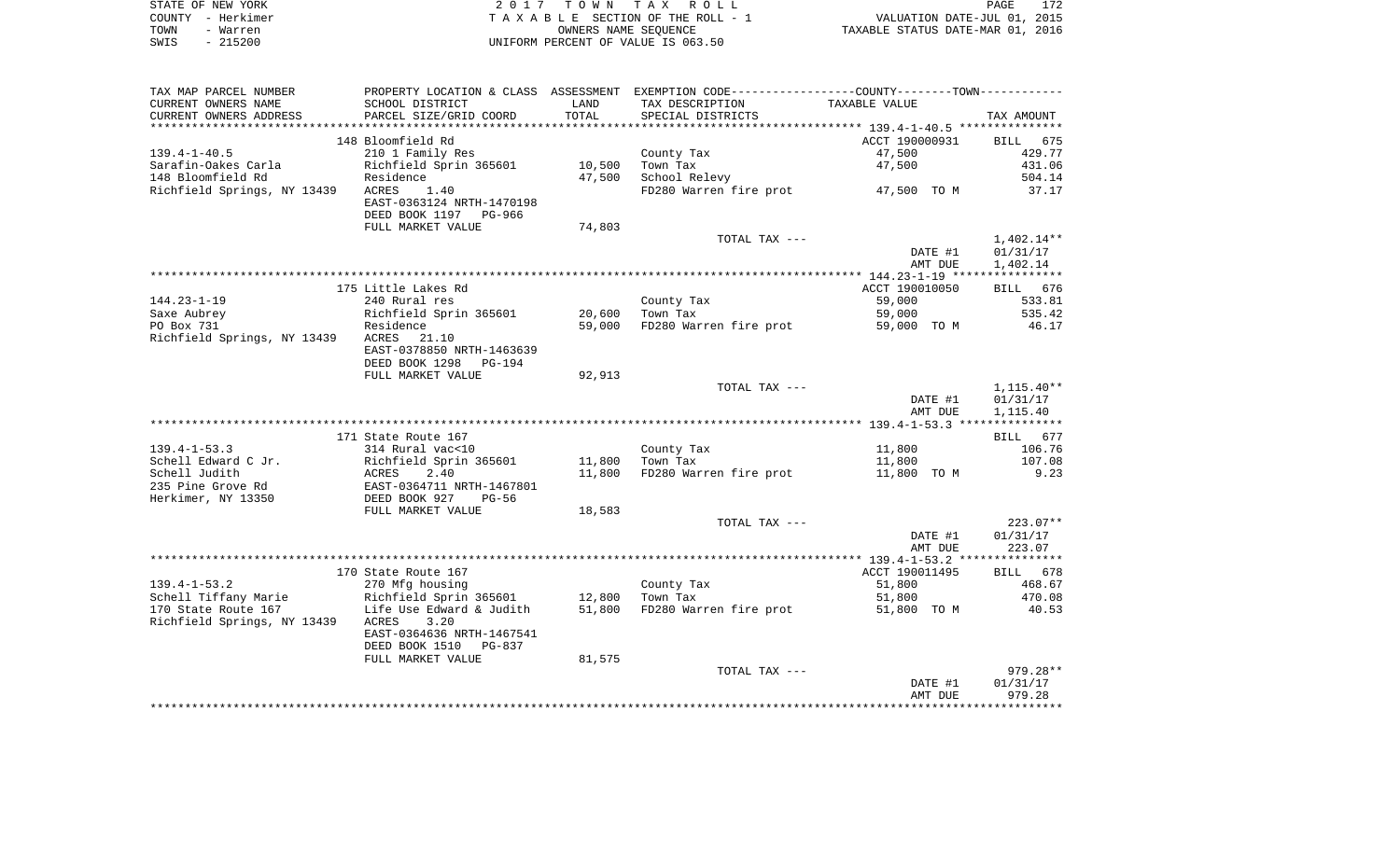|      | STATE OF NEW YORK | 2017 TOWN TAX ROLL                 | PAGE                             | 172 |
|------|-------------------|------------------------------------|----------------------------------|-----|
|      | COUNTY - Herkimer | TAXABLE SECTION OF THE ROLL - 1    | VALUATION DATE-JUL 01, 2015      |     |
| TOWN | - Warren          | OWNERS NAME SEOUENCE               | TAXABLE STATUS DATE-MAR 01, 2016 |     |
| SWIS | $-215200$         | UNIFORM PERCENT OF VALUE IS 063.50 |                                  |     |

| TAX MAP PARCEL NUMBER       | PROPERTY LOCATION & CLASS ASSESSMENT EXEMPTION CODE----------------COUNTY--------TOWN---------- |        |                        |                       |              |
|-----------------------------|-------------------------------------------------------------------------------------------------|--------|------------------------|-----------------------|--------------|
| CURRENT OWNERS NAME         | SCHOOL DISTRICT                                                                                 | LAND   | TAX DESCRIPTION        | TAXABLE VALUE         |              |
| CURRENT OWNERS ADDRESS      | PARCEL SIZE/GRID COORD                                                                          | TOTAL  | SPECIAL DISTRICTS      |                       | TAX AMOUNT   |
|                             |                                                                                                 |        |                        |                       |              |
|                             | 148 Bloomfield Rd                                                                               |        |                        | ACCT 190000931        | BILL 675     |
| $139.4 - 1 - 40.5$          | 210 1 Family Res                                                                                |        | County Tax             | 47,500                | 429.77       |
| Sarafin-Oakes Carla         | Richfield Sprin 365601                                                                          | 10,500 | Town Tax               | 47,500                | 431.06       |
| 148 Bloomfield Rd           | Residence                                                                                       | 47,500 | School Relevy          |                       | 504.14       |
| Richfield Springs, NY 13439 | ACRES<br>1.40                                                                                   |        | FD280 Warren fire prot | 47,500 TOM            | 37.17        |
|                             | EAST-0363124 NRTH-1470198                                                                       |        |                        |                       |              |
|                             | DEED BOOK 1197<br>PG-966                                                                        |        |                        |                       |              |
|                             | FULL MARKET VALUE                                                                               | 74,803 |                        |                       |              |
|                             |                                                                                                 |        | TOTAL TAX ---          |                       | $1,402.14**$ |
|                             |                                                                                                 |        |                        | DATE #1               | 01/31/17     |
|                             |                                                                                                 |        |                        | AMT DUE               | 1,402.14     |
|                             |                                                                                                 |        |                        |                       |              |
|                             | 175 Little Lakes Rd                                                                             |        |                        | ACCT 190010050        | BILL 676     |
| $144.23 - 1 - 19$           | 240 Rural res                                                                                   |        | County Tax             | 59,000                | 533.81       |
| Saxe Aubrey                 | Richfield Sprin 365601                                                                          | 20,600 | Town Tax               | 59,000                | 535.42       |
| PO Box 731                  | Residence                                                                                       | 59,000 | FD280 Warren fire prot | 59,000 TO M           | 46.17        |
| Richfield Springs, NY 13439 | 21.10<br>ACRES                                                                                  |        |                        |                       |              |
|                             | EAST-0378850 NRTH-1463639                                                                       |        |                        |                       |              |
|                             | DEED BOOK 1298<br>PG-194                                                                        |        |                        |                       |              |
|                             | FULL MARKET VALUE                                                                               | 92,913 |                        |                       |              |
|                             |                                                                                                 |        | TOTAL TAX ---          |                       | 1,115.40**   |
|                             |                                                                                                 |        |                        | DATE #1               | 01/31/17     |
|                             |                                                                                                 |        |                        | AMT DUE               | 1,115.40     |
|                             |                                                                                                 |        |                        |                       |              |
|                             | 171 State Route 167                                                                             |        |                        |                       | BILL 677     |
| $139.4 - 1 - 53.3$          | 314 Rural vac<10                                                                                |        | County Tax             | 11,800                | 106.76       |
| Schell Edward C Jr.         | Richfield Sprin 365601                                                                          | 11,800 | Town Tax               | 11,800                | 107.08       |
| Schell Judith               | ACRES<br>2.40                                                                                   | 11,800 | FD280 Warren fire prot | 11,800 TO M           | 9.23         |
| 235 Pine Grove Rd           | EAST-0364711 NRTH-1467801<br>DEED BOOK 927    PG-56                                             |        |                        |                       |              |
| Herkimer, NY 13350          |                                                                                                 |        |                        |                       |              |
|                             | FULL MARKET VALUE                                                                               | 18,583 |                        |                       |              |
|                             |                                                                                                 |        | TOTAL TAX ---          |                       | $223.07**$   |
|                             |                                                                                                 |        |                        | DATE #1               | 01/31/17     |
|                             |                                                                                                 |        |                        | AMT DUE               | 223.07       |
|                             | 170 State Route 167                                                                             |        |                        | ACCT 190011495        | BILL 678     |
| $139.4 - 1 - 53.2$          |                                                                                                 |        |                        |                       | 468.67       |
| Schell Tiffany Marie        | 270 Mfg housing<br>Richfield Sprin 365601 12,800                                                |        | County Tax<br>Town Tax | 51,800                | 470.08       |
| 170 State Route 167         | Life Use Edward & Judith                                                                        | 51,800 | FD280 Warren fire prot | 51,800<br>51,800 TO M | 40.53        |
| Richfield Springs, NY 13439 | ACRES<br>3.20                                                                                   |        |                        |                       |              |
|                             | EAST-0364636 NRTH-1467541                                                                       |        |                        |                       |              |
|                             | DEED BOOK 1510<br>PG-837                                                                        |        |                        |                       |              |
|                             | FULL MARKET VALUE                                                                               | 81,575 |                        |                       |              |
|                             |                                                                                                 |        | TOTAL TAX ---          |                       | $979.28**$   |
|                             |                                                                                                 |        |                        | DATE #1               | 01/31/17     |
|                             |                                                                                                 |        |                        | AMT DUE               | 979.28       |
|                             |                                                                                                 |        |                        |                       |              |
|                             |                                                                                                 |        |                        |                       |              |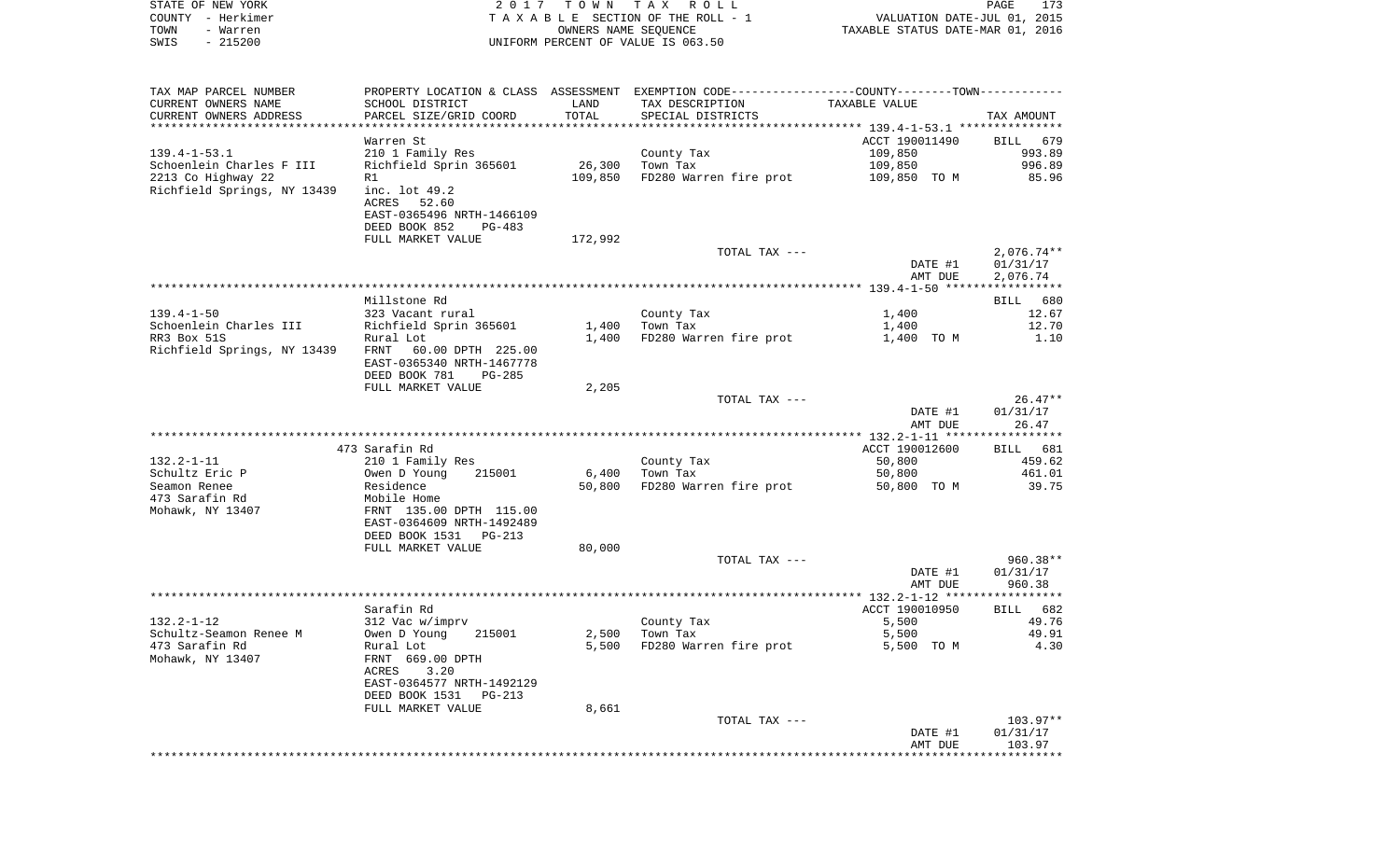| COUNTY<br>– Herkimer<br>TOWN<br>- Warren<br>SWIS<br>$-215200$ |                                                                                                                      | OWNERS NAME SEQUENCE | T A X A B L E SECTION OF THE ROLL - 1<br>UNIFORM PERCENT OF VALUE IS 063.50                   | TAXABLE STATUS DATE-MAR 01, 2016 | VALUATION DATE-JUL 01, 2015          |
|---------------------------------------------------------------|----------------------------------------------------------------------------------------------------------------------|----------------------|-----------------------------------------------------------------------------------------------|----------------------------------|--------------------------------------|
| TAX MAP PARCEL NUMBER                                         |                                                                                                                      |                      | PROPERTY LOCATION & CLASS ASSESSMENT EXEMPTION CODE---------------COUNTY-------TOWN---------- |                                  |                                      |
| CURRENT OWNERS NAME<br>CURRENT OWNERS ADDRESS                 | SCHOOL DISTRICT<br>PARCEL SIZE/GRID COORD                                                                            | LAND<br>TOTAL        | TAX DESCRIPTION<br>SPECIAL DISTRICTS                                                          | TAXABLE VALUE                    | TAX AMOUNT                           |
|                                                               |                                                                                                                      |                      |                                                                                               |                                  |                                      |
|                                                               | Warren St                                                                                                            |                      |                                                                                               | ACCT 190011490                   | 679<br>BILL                          |
| $139.4 - 1 - 53.1$                                            | 210 1 Family Res                                                                                                     |                      | County Tax                                                                                    | 109,850                          | 993.89                               |
| Schoenlein Charles F III                                      | Richfield Sprin 365601                                                                                               | 26,300               | Town Tax                                                                                      | 109,850                          | 996.89                               |
| 2213 Co Highway 22                                            | R1                                                                                                                   | 109,850              | FD280 Warren fire prot                                                                        | 109,850 TO M                     | 85.96                                |
| Richfield Springs, NY 13439                                   | inc. lot 49.2<br>ACRES<br>52.60<br>EAST-0365496 NRTH-1466109<br>DEED BOOK 852<br>PG-483                              |                      |                                                                                               |                                  |                                      |
|                                                               | FULL MARKET VALUE                                                                                                    | 172,992              |                                                                                               |                                  |                                      |
|                                                               |                                                                                                                      |                      | TOTAL TAX ---                                                                                 | DATE #1<br>AMT DUE               | $2,076.74**$<br>01/31/17<br>2,076.74 |
|                                                               |                                                                                                                      |                      |                                                                                               |                                  |                                      |
|                                                               | Millstone Rd                                                                                                         |                      |                                                                                               |                                  | BILL<br>680                          |
| $139.4 - 1 - 50$                                              | 323 Vacant rural                                                                                                     |                      | County Tax                                                                                    | 1,400                            | 12.67                                |
| Schoenlein Charles III                                        | Richfield Sprin 365601                                                                                               | 1,400                | Town Tax                                                                                      | 1,400                            | 12.70                                |
| RR3 Box 51S<br>Richfield Springs, NY 13439                    | Rural Lot<br>FRNT<br>60.00 DPTH 225.00<br>EAST-0365340 NRTH-1467778<br>DEED BOOK 781<br>PG-285                       | 1,400                | FD280 Warren fire prot                                                                        | 1,400 TO M                       | 1.10                                 |
|                                                               | FULL MARKET VALUE                                                                                                    | 2,205                |                                                                                               |                                  |                                      |
|                                                               |                                                                                                                      |                      | TOTAL TAX ---                                                                                 | DATE #1<br>AMT DUE               | $26.47**$<br>01/31/17<br>26.47       |
|                                                               |                                                                                                                      |                      |                                                                                               |                                  |                                      |
|                                                               | 473 Sarafin Rd                                                                                                       |                      |                                                                                               | ACCT 190012600                   | BILL 681                             |
| 132.2-1-11                                                    | 210 1 Family Res                                                                                                     |                      | County Tax                                                                                    | 50,800                           | 459.62                               |
| Schultz Eric P<br>Seamon Renee                                | Owen D Young<br>215001<br>Residence                                                                                  | 6,400<br>50,800      | Town Tax<br>FD280 Warren fire prot                                                            | 50,800<br>50,800 TO M            | 461.01<br>39.75                      |
| 473 Sarafin Rd<br>Mohawk, NY 13407                            | Mobile Home<br>FRNT 135.00 DPTH 115.00<br>EAST-0364609 NRTH-1492489<br>DEED BOOK 1531<br>PG-213<br>FULL MARKET VALUE | 80,000               |                                                                                               |                                  |                                      |
|                                                               |                                                                                                                      |                      | TOTAL TAX ---                                                                                 |                                  | $960.38**$                           |
|                                                               |                                                                                                                      |                      |                                                                                               | DATE #1<br>AMT DUE               | 01/31/17<br>960.38                   |
|                                                               |                                                                                                                      |                      |                                                                                               |                                  |                                      |
| $132.2 - 1 - 12$                                              | Sarafin Rd                                                                                                           |                      | County Tax                                                                                    | ACCT 190010950                   | 682<br>BILL<br>49.76                 |
| Schultz-Seamon Renee M                                        | 312 Vac w/imprv<br>215001<br>Owen D Young                                                                            | 2,500                | Town Tax                                                                                      | 5,500<br>5,500                   | 49.91                                |
| 473 Sarafin Rd                                                | Rural Lot                                                                                                            | 5,500                | FD280 Warren fire prot                                                                        | 5,500 TO M                       | 4.30                                 |
| Mohawk, NY 13407                                              | FRNT 669.00 DPTH<br>ACRES<br>3.20<br>EAST-0364577 NRTH-1492129                                                       |                      |                                                                                               |                                  |                                      |
|                                                               | DEED BOOK 1531<br>PG-213                                                                                             |                      |                                                                                               |                                  |                                      |
|                                                               | FULL MARKET VALUE                                                                                                    | 8,661                |                                                                                               |                                  |                                      |
|                                                               |                                                                                                                      |                      | TOTAL TAX ---                                                                                 | DATE #1<br>AMT DUE               | $103.97**$<br>01/31/17<br>103.97     |

PAGE 173

STATE OF NEW YORK **EXECUTE:**  $2017$  TOWN TAX ROLL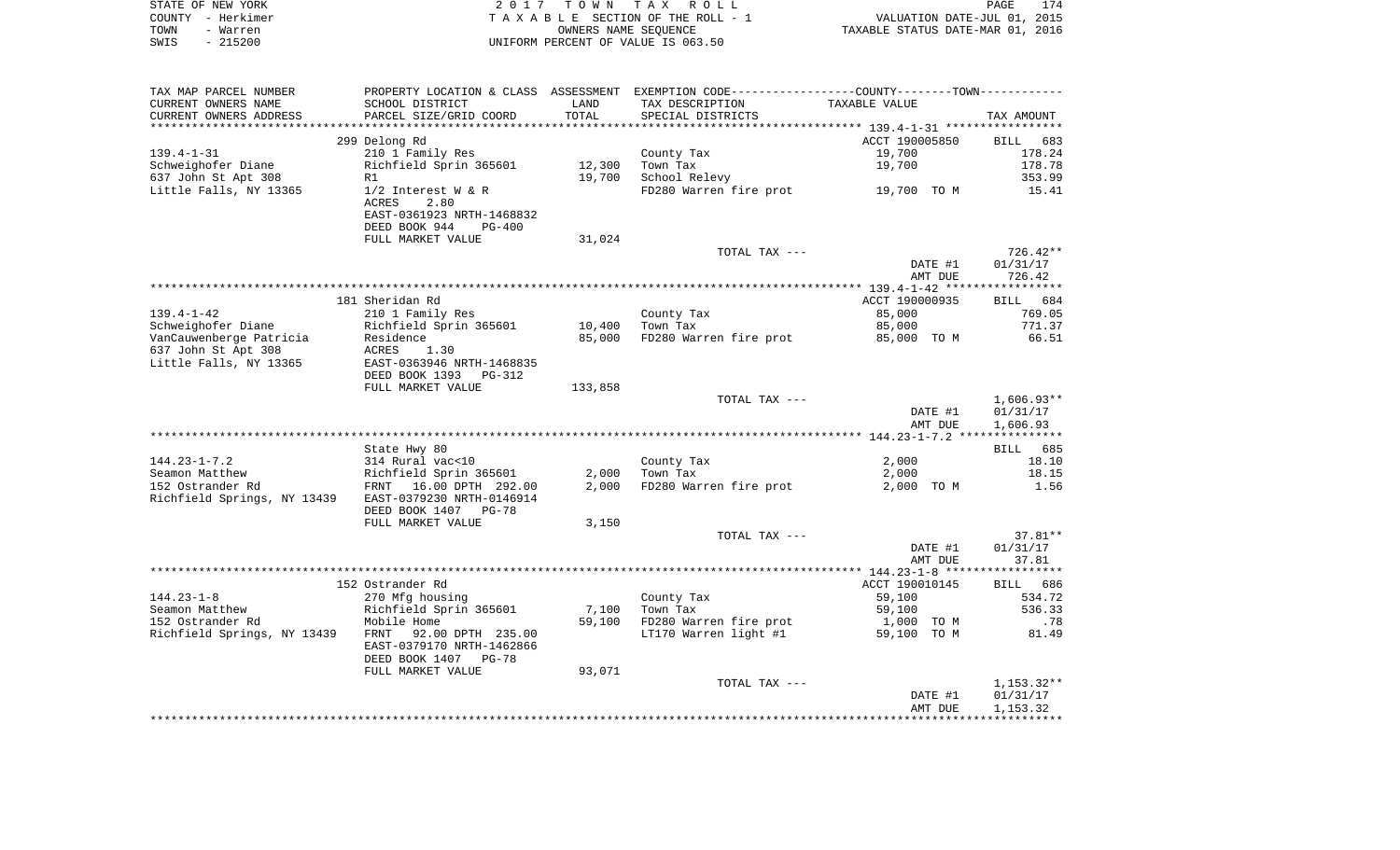| STATE OF NEW YORK | 2017 TOWN TAX ROLL                 | 174<br>PAGE                      |
|-------------------|------------------------------------|----------------------------------|
| COUNTY - Herkimer | TAXABLE SECTION OF THE ROLL - 1    | VALUATION DATE-JUL 01, 2015      |
| TOWN<br>- Warren  | OWNERS NAME SEOUENCE               | TAXABLE STATUS DATE-MAR 01, 2016 |
| SWIS - 215200     | UNIFORM PERCENT OF VALUE IS 063.50 |                                  |
|                   |                                    |                                  |
|                   |                                    |                                  |

| TAX MAP PARCEL NUMBER       | PROPERTY LOCATION & CLASS ASSESSMENT |         | EXEMPTION CODE-----------------COUNTY-------TOWN----------- |                |                    |
|-----------------------------|--------------------------------------|---------|-------------------------------------------------------------|----------------|--------------------|
| CURRENT OWNERS NAME         | SCHOOL DISTRICT                      | LAND    | TAX DESCRIPTION                                             | TAXABLE VALUE  |                    |
| CURRENT OWNERS ADDRESS      | PARCEL SIZE/GRID COORD               | TOTAL   | SPECIAL DISTRICTS                                           |                | TAX AMOUNT         |
| **********************      | ************************             |         |                                                             |                |                    |
|                             | 299 Delong Rd                        |         |                                                             | ACCT 190005850 | <b>BILL</b><br>683 |
| $139.4 - 1 - 31$            | 210 1 Family Res                     |         | County Tax                                                  | 19,700         | 178.24             |
| Schweighofer Diane          | Richfield Sprin 365601               | 12,300  | Town Tax                                                    | 19,700         | 178.78             |
| 637 John St Apt 308         | R1                                   | 19,700  | School Relevy                                               |                | 353.99             |
| Little Falls, NY 13365      | $1/2$ Interest W & R                 |         | FD280 Warren fire prot                                      | 19,700 TO M    | 15.41              |
|                             | <b>ACRES</b><br>2.80                 |         |                                                             |                |                    |
|                             | EAST-0361923 NRTH-1468832            |         |                                                             |                |                    |
|                             | DEED BOOK 944<br>$PG-400$            |         |                                                             |                |                    |
|                             | FULL MARKET VALUE                    | 31,024  |                                                             |                |                    |
|                             |                                      |         | TOTAL TAX ---                                               |                | $726.42**$         |
|                             |                                      |         |                                                             | DATE #1        | 01/31/17           |
|                             |                                      |         |                                                             | AMT DUE        | 726.42             |
|                             |                                      |         |                                                             |                |                    |
|                             | 181 Sheridan Rd                      |         |                                                             | ACCT 190000935 | 684<br><b>BILL</b> |
| $139.4 - 1 - 42$            | 210 1 Family Res                     |         | County Tax                                                  | 85,000         | 769.05             |
| Schweighofer Diane          | Richfield Sprin 365601               | 10,400  | Town Tax                                                    | 85,000         | 771.37             |
| VanCauwenberge Patricia     | Residence                            | 85,000  | FD280 Warren fire prot                                      | 85,000 TO M    | 66.51              |
| 637 John St Apt 308         | <b>ACRES</b><br>1.30                 |         |                                                             |                |                    |
| Little Falls, NY 13365      | EAST-0363946 NRTH-1468835            |         |                                                             |                |                    |
|                             | DEED BOOK 1393 PG-312                |         |                                                             |                |                    |
|                             | FULL MARKET VALUE                    | 133,858 |                                                             |                |                    |
|                             |                                      |         | TOTAL TAX ---                                               |                | $1,606.93**$       |
|                             |                                      |         |                                                             | DATE #1        | 01/31/17           |
|                             |                                      |         |                                                             | AMT DUE        | 1,606.93           |
|                             |                                      |         |                                                             |                |                    |
|                             | State Hwy 80                         |         |                                                             |                | 685<br>BILL        |
| $144.23 - 1 - 7.2$          | 314 Rural vac<10                     |         | County Tax                                                  | 2,000          | 18.10              |
| Seamon Matthew              | Richfield Sprin 365601               | 2,000   | Town Tax                                                    | 2,000          | 18.15              |
| 152 Ostrander Rd            | FRNT 16.00 DPTH 292.00               | 2,000   | FD280 Warren fire prot                                      | 2,000 TO M     | 1.56               |
| Richfield Springs, NY 13439 | EAST-0379230 NRTH-0146914            |         |                                                             |                |                    |
|                             | DEED BOOK 1407<br>$PG-78$            |         |                                                             |                |                    |
|                             | FULL MARKET VALUE                    | 3,150   |                                                             |                |                    |
|                             |                                      |         | TOTAL TAX ---                                               |                | $37.81**$          |
|                             |                                      |         |                                                             | DATE #1        | 01/31/17           |
|                             |                                      |         |                                                             | AMT DUE        | 37.81              |
|                             |                                      |         |                                                             |                |                    |
|                             | 152 Ostrander Rd                     |         |                                                             | ACCT 190010145 | 686<br><b>BILL</b> |
| $144.23 - 1 - 8$            | 270 Mfg housing                      |         | County Tax                                                  | 59,100         | 534.72             |
| Seamon Matthew              | Richfield Sprin 365601               | 7,100   | Town Tax                                                    | 59,100         | 536.33             |
| 152 Ostrander Rd            | Mobile Home                          | 59,100  | FD280 Warren fire prot                                      | 1,000<br>TO M  | .78                |
| Richfield Springs, NY 13439 | FRNT<br>92.00 DPTH 235.00            |         | LT170 Warren light #1                                       | TO M<br>59,100 | 81.49              |
|                             | EAST-0379170 NRTH-1462866            |         |                                                             |                |                    |
|                             | DEED BOOK 1407 PG-78                 |         |                                                             |                |                    |
|                             | FULL MARKET VALUE                    | 93,071  |                                                             |                |                    |
|                             |                                      |         | TOTAL TAX ---                                               |                | $1,153.32**$       |
|                             |                                      |         |                                                             | DATE #1        | 01/31/17           |
|                             |                                      |         |                                                             | AMT DUE        | 1,153.32           |
|                             |                                      |         |                                                             |                |                    |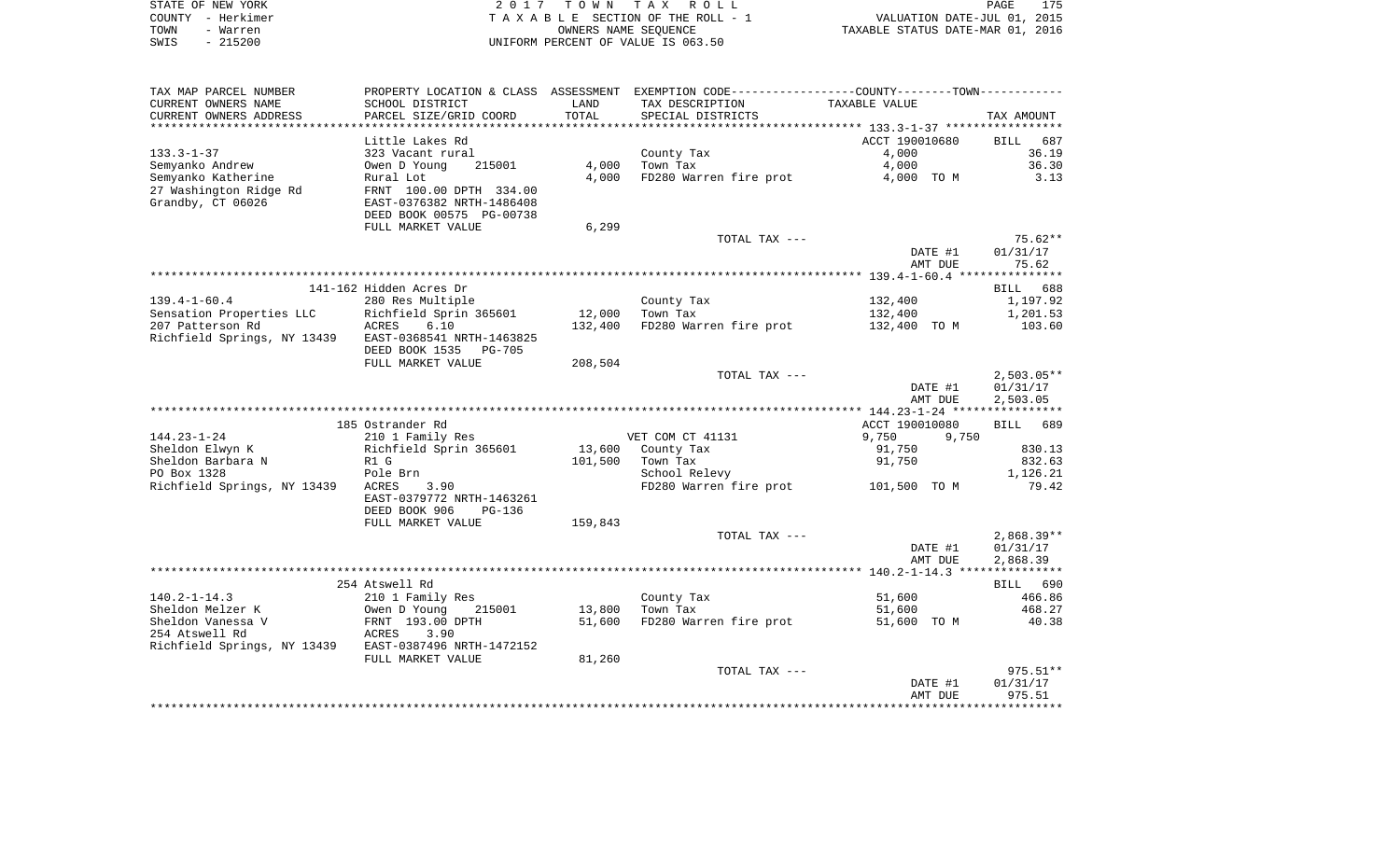|      | STATE OF NEW YORK | 2017 TOWN TAX ROLL                 | PAGE                             | 175 |
|------|-------------------|------------------------------------|----------------------------------|-----|
|      | COUNTY – Herkimer | TAXABLE SECTION OF THE ROLL - 1    | VALUATION DATE-JUL 01, 2015      |     |
| TOWN | - Warren          | OWNERS NAME SEOUENCE               | TAXABLE STATUS DATE-MAR 01, 2016 |     |
| SWIS | - 215200          | UNIFORM PERCENT OF VALUE IS 063.50 |                                  |     |

| TAX MAP PARCEL NUMBER                                 | PROPERTY LOCATION & CLASS ASSESSMENT EXEMPTION CODE----------------COUNTY--------TOWN----------- |         |                                     |                |                    |
|-------------------------------------------------------|--------------------------------------------------------------------------------------------------|---------|-------------------------------------|----------------|--------------------|
| CURRENT OWNERS NAME                                   | SCHOOL DISTRICT                                                                                  | LAND    | TAX DESCRIPTION                     | TAXABLE VALUE  |                    |
| CURRENT OWNERS ADDRESS                                | PARCEL SIZE/GRID COORD                                                                           | TOTAL   | SPECIAL DISTRICTS                   |                | TAX AMOUNT         |
|                                                       |                                                                                                  |         |                                     |                |                    |
|                                                       | Little Lakes Rd                                                                                  |         |                                     | ACCT 190010680 | <b>BILL</b><br>687 |
| $133.3 - 1 - 37$                                      | 323 Vacant rural                                                                                 |         | County Tax                          | 4,000          | 36.19              |
| Semyanko Andrew                                       | Owen D Young<br>215001                                                                           | 4,000   | Town Tax                            | 4,000          | 36.30              |
| Semyanko Katherine                                    | Rural Lot                                                                                        | 4,000   | FD280 Warren fire prot              | 4,000 TO M     | 3.13               |
| 27 Washington Ridge Rd                                | FRNT 100.00 DPTH 334.00                                                                          |         |                                     |                |                    |
| Grandby, CT 06026                                     | EAST-0376382 NRTH-1486408                                                                        |         |                                     |                |                    |
|                                                       | DEED BOOK 00575 PG-00738                                                                         |         |                                     |                |                    |
|                                                       | FULL MARKET VALUE                                                                                | 6,299   |                                     |                |                    |
|                                                       |                                                                                                  |         | TOTAL TAX ---                       |                | $75.62**$          |
|                                                       |                                                                                                  |         |                                     | DATE #1        | 01/31/17           |
|                                                       |                                                                                                  |         |                                     | AMT DUE        | 75.62              |
|                                                       |                                                                                                  |         |                                     |                |                    |
|                                                       | 141-162 Hidden Acres Dr                                                                          |         |                                     |                | BILL 688           |
| $139.4 - 1 - 60.4$                                    | 280 Res Multiple                                                                                 |         | County Tax                          | 132,400        | 1,197.92           |
| Sensation Properties LLC                              | Richfield Sprin 365601                                                                           | 12,000  | Town Tax                            | 132,400        | 1,201.53           |
| 207 Patterson Rd                                      | ACRES<br>6.10                                                                                    | 132,400 | FD280 Warren fire prot              | 132,400 TO M   | 103.60             |
| Richfield Springs, NY 13439                           | EAST-0368541 NRTH-1463825                                                                        |         |                                     |                |                    |
|                                                       | DEED BOOK 1535<br>PG-705                                                                         |         |                                     |                |                    |
|                                                       | FULL MARKET VALUE                                                                                | 208,504 |                                     |                |                    |
|                                                       |                                                                                                  |         | TOTAL TAX ---                       |                | $2,503.05**$       |
|                                                       |                                                                                                  |         |                                     | DATE #1        | 01/31/17           |
|                                                       |                                                                                                  |         |                                     | AMT DUE        | 2,503.05           |
|                                                       |                                                                                                  |         |                                     |                |                    |
|                                                       | 185 Ostrander Rd                                                                                 |         |                                     | ACCT 190010080 | BILL 689           |
| $144.23 - 1 - 24$                                     | 210 1 Family Res                                                                                 |         | VET COM CT 41131                    | 9,750<br>9,750 |                    |
| Sheldon Elwyn K                                       | Richfield Sprin 365601                                                                           |         | 13,600 County Tax                   | 91,750         | 830.13             |
| Sheldon Barbara N                                     | R1 G                                                                                             | 101,500 | Town Tax                            | 91,750         | 832.63             |
| PO Box 1328                                           | Pole Brn                                                                                         |         | School Relevy                       |                | 1,126.21           |
| Richfield Springs, NY 13439                           | ACRES<br>3.90                                                                                    |         | FD280 Warren fire prot 101,500 TO M |                | 79.42              |
|                                                       | EAST-0379772 NRTH-1463261                                                                        |         |                                     |                |                    |
|                                                       | DEED BOOK 906<br>$PG-136$                                                                        |         |                                     |                |                    |
|                                                       | FULL MARKET VALUE                                                                                | 159,843 |                                     |                |                    |
|                                                       |                                                                                                  |         | TOTAL TAX ---                       |                | $2,868.39**$       |
|                                                       |                                                                                                  |         |                                     | DATE #1        | 01/31/17           |
|                                                       |                                                                                                  |         |                                     | AMT DUE        | 2,868.39           |
|                                                       | 254 Atswell Rd                                                                                   |         |                                     |                | BILL 690           |
| $140.2 - 1 - 14.3$                                    | 210 1 Family Res                                                                                 |         | County Tax                          | 51,600         | 466.86             |
| Sheldon Melzer K                                      | Owen D Young<br>215001                                                                           | 13,800  | Town Tax                            | 51,600         | 468.27             |
| Sheldon Vanessa V                                     | FRNT 193.00 DPTH                                                                                 | 51,600  | FD280 Warren fire prot              | 51,600 TO M    | 40.38              |
| 254 Atswell Rd                                        | 3.90<br>ACRES                                                                                    |         |                                     |                |                    |
| Richfield Springs, NY 13439 EAST-0387496 NRTH-1472152 |                                                                                                  |         |                                     |                |                    |
|                                                       | FULL MARKET VALUE                                                                                | 81,260  |                                     |                |                    |
|                                                       |                                                                                                  |         | TOTAL TAX ---                       |                | $975.51**$         |
|                                                       |                                                                                                  |         |                                     | DATE #1        | 01/31/17           |
|                                                       |                                                                                                  |         |                                     | AMT DUE        | 975.51             |
|                                                       |                                                                                                  |         |                                     |                |                    |
|                                                       |                                                                                                  |         |                                     |                |                    |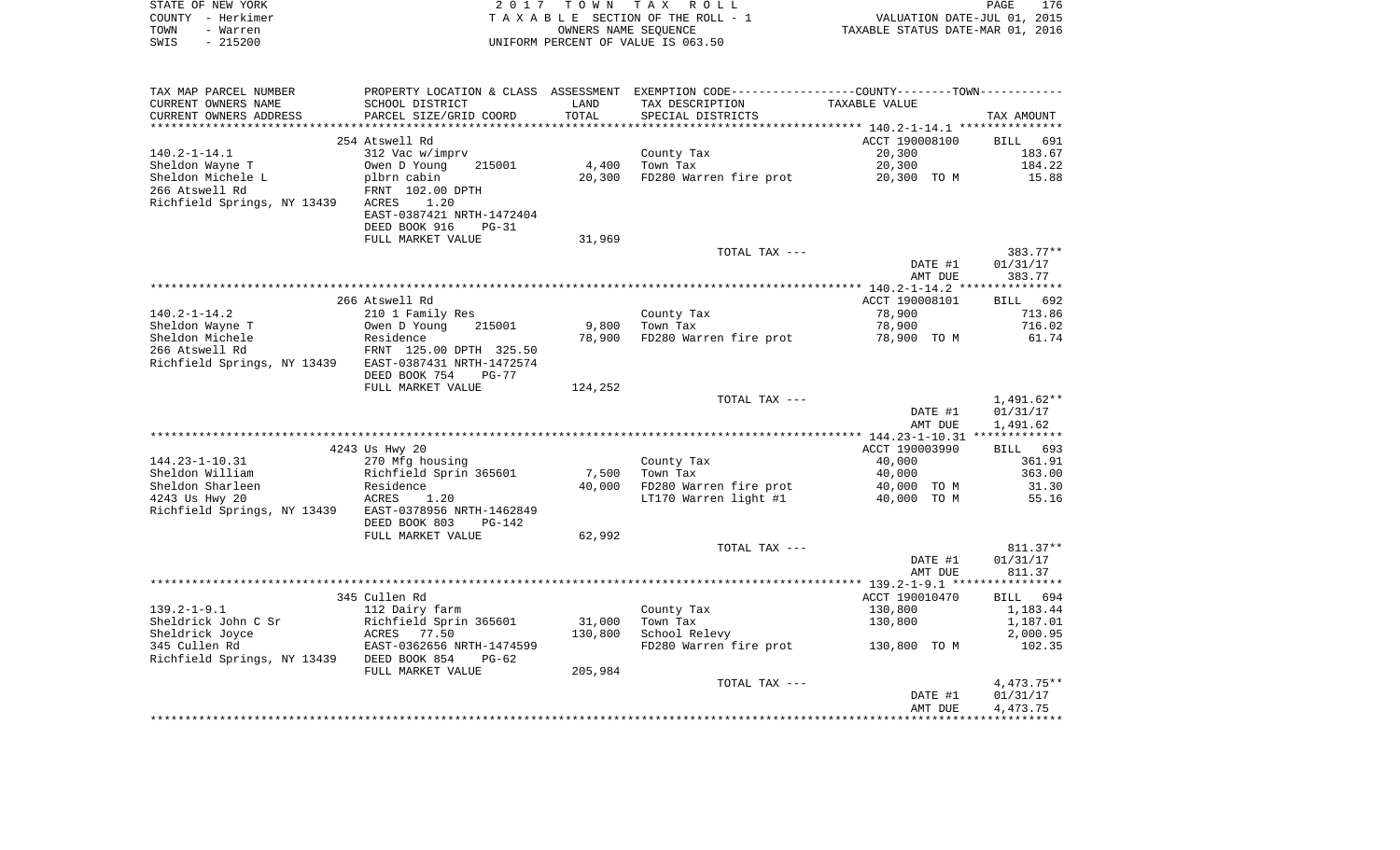| STATE OF NEW YORK<br>COUNTY - Herkimer                                                                                                                                       |                                                   |                 | 2017 TOWN TAX ROLL<br>TAXABLE SECTION OF THE ROLL - 1<br>TAXABLE SECTION OF THE ROLL - 1<br>OWNERS NAME SEQUENCE TAXABLE STATUS DATE-MAR 01, 2016 |                          | PAGE<br>176      |
|------------------------------------------------------------------------------------------------------------------------------------------------------------------------------|---------------------------------------------------|-----------------|---------------------------------------------------------------------------------------------------------------------------------------------------|--------------------------|------------------|
| TOWN - Warren                                                                                                                                                                |                                                   |                 |                                                                                                                                                   |                          |                  |
| SWIS<br>$-215200$                                                                                                                                                            |                                                   |                 | UNIFORM PERCENT OF VALUE IS 063.50                                                                                                                |                          |                  |
|                                                                                                                                                                              |                                                   |                 |                                                                                                                                                   |                          |                  |
|                                                                                                                                                                              |                                                   |                 |                                                                                                                                                   |                          |                  |
|                                                                                                                                                                              |                                                   |                 |                                                                                                                                                   |                          |                  |
|                                                                                                                                                                              |                                                   |                 |                                                                                                                                                   |                          |                  |
|                                                                                                                                                                              | 254 Atswell Rd                                    |                 |                                                                                                                                                   | ACCT 190008100           | BILL 691         |
| 140.2-1-14.1                                                                                                                                                                 | 312 Vac w/imprv                                   |                 | County Tax<br>$4,400$ Town Tax                                                                                                                    | 20,300                   | 183.67           |
|                                                                                                                                                                              |                                                   |                 |                                                                                                                                                   | 20,300                   | 184.22           |
|                                                                                                                                                                              |                                                   |                 | 20,300 FD280 Warren fire prot 20,300 TO M 15.88                                                                                                   |                          |                  |
| Richfield Springs, NY 13439 ACRES                                                                                                                                            | 1.20                                              |                 |                                                                                                                                                   |                          |                  |
|                                                                                                                                                                              | EAST-0387421 NRTH-1472404                         |                 |                                                                                                                                                   |                          |                  |
|                                                                                                                                                                              | DEED BOOK 916<br>PG-31                            |                 |                                                                                                                                                   |                          |                  |
|                                                                                                                                                                              | FULL MARKET VALUE                                 | 31,969          |                                                                                                                                                   |                          |                  |
|                                                                                                                                                                              |                                                   |                 | TOTAL TAX ---                                                                                                                                     |                          | $383.77**$       |
|                                                                                                                                                                              |                                                   |                 |                                                                                                                                                   | DATE #1                  | 01/31/17         |
|                                                                                                                                                                              |                                                   |                 |                                                                                                                                                   | AMT DUE                  | 383.77           |
|                                                                                                                                                                              |                                                   |                 |                                                                                                                                                   |                          |                  |
|                                                                                                                                                                              | 266 Atswell Rd                                    |                 |                                                                                                                                                   | ACCT 190008101           | BILL 692         |
| 140.2-1-14.2<br>Sheldon Wayne T                                                                                                                                              | 210 1 Family Res<br>Owen D Young 215001           |                 | County Tax<br>Town Tax<br>$9,800$ Town Tax                                                                                                        | 78,900<br>78,900         | 713.86<br>716.02 |
|                                                                                                                                                                              |                                                   | 78,900          | FD280 Warren fire prot 78,900 TO M                                                                                                                |                          | 61.74            |
| Sheldon wayne 1<br>Sheldon Michele Residence<br>266 Atswell Rd FRNT 125.00 DPTH 325.50<br>Richfield Springs, NY 13439 EAST-0387431 NRTH-1472574<br>ENST-0387431 NRTH-1472574 |                                                   |                 |                                                                                                                                                   |                          |                  |
|                                                                                                                                                                              |                                                   |                 |                                                                                                                                                   |                          |                  |
|                                                                                                                                                                              | DEED BOOK 754 PG-77                               |                 |                                                                                                                                                   |                          |                  |
|                                                                                                                                                                              | FULL MARKET VALUE                                 | 124,252         |                                                                                                                                                   |                          |                  |
|                                                                                                                                                                              |                                                   |                 | TOTAL TAX ---                                                                                                                                     |                          | 1,491.62**       |
|                                                                                                                                                                              |                                                   |                 |                                                                                                                                                   | DATE #1                  | 01/31/17         |
|                                                                                                                                                                              |                                                   |                 |                                                                                                                                                   | AMT DUE                  | 1,491.62         |
|                                                                                                                                                                              |                                                   |                 |                                                                                                                                                   |                          | BILL 693         |
| 144.23-1-10.31                                                                                                                                                               | 4243 Us Hwy 20<br>270 Mfg housing                 |                 |                                                                                                                                                   | ACCT 190003990<br>40,000 | 361.91           |
| Sheldon William                                                                                                                                                              |                                                   |                 | County Tax<br>Town Tax                                                                                                                            | 40,000                   | 363.00           |
| Sheldon Sharleen                                                                                                                                                             |                                                   | 7,500<br>40,000 | FD280 Warren fire prot 40,000 TO M                                                                                                                |                          | 31.30            |
| 4243 Us Hwy 20                                                                                                                                                               | Richfield Sprin 365601<br>Residence<br>ACRES 1.20 |                 | LT170 Warren light #1                                                                                                                             | 40,000 TO M              | 55.16            |
| Richfield Springs, NY 13439 EAST-0378956 NRTH-1462849                                                                                                                        |                                                   |                 |                                                                                                                                                   |                          |                  |
|                                                                                                                                                                              | DEED BOOK 803<br>PG-142                           |                 |                                                                                                                                                   |                          |                  |
|                                                                                                                                                                              | FULL MARKET VALUE                                 | 62,992          |                                                                                                                                                   |                          |                  |
|                                                                                                                                                                              |                                                   |                 | TOTAL TAX ---                                                                                                                                     |                          | $811.37**$       |
|                                                                                                                                                                              |                                                   |                 |                                                                                                                                                   | DATE #1                  | 01/31/17         |
|                                                                                                                                                                              |                                                   |                 |                                                                                                                                                   | AMT DUE                  | 811.37           |
|                                                                                                                                                                              | 345 Cullen Rd                                     |                 |                                                                                                                                                   | ACCT 190010470           | BILL 694         |
| 139.2-1-9.1                                                                                                                                                                  | 112 Dairy farm                                    |                 | County Tax                                                                                                                                        | 130,800                  | 1,183.44         |
|                                                                                                                                                                              |                                                   | 31,000          | Town Tax                                                                                                                                          | 130,800                  | 1,187.01         |
|                                                                                                                                                                              |                                                   | 130,800         | School Relevy                                                                                                                                     |                          | 2,000.95         |
|                                                                                                                                                                              |                                                   |                 | FD280 Warren fire prot 130,800 TO M                                                                                                               |                          | 102.35           |
|                                                                                                                                                                              |                                                   |                 |                                                                                                                                                   |                          |                  |
|                                                                                                                                                                              | FULL MARKET VALUE                                 | 205,984         |                                                                                                                                                   |                          |                  |
|                                                                                                                                                                              |                                                   |                 | TOTAL TAX ---                                                                                                                                     |                          | 4, 473.75**      |
|                                                                                                                                                                              |                                                   |                 |                                                                                                                                                   | DATE #1                  | 01/31/17         |

\*\*\*\*\*\*\*\*\*\*\*\*\*\*\*\*\*\*\*\*\*\*\*\*\*\*\*\*\*\*\*\*\*\*\*\*\*\*\*\*\*\*\*\*\*\*\*\*\*\*\*\*\*\*\*\*\*\*\*\*\*\*\*\*\*\*\*\*\*\*\*\*\*\*\*\*\*\*\*\*\*\*\*\*\*\*\*\*\*\*\*\*\*\*\*\*\*\*\*\*\*\*\*\*\*\*\*\*\*\*\*\*\*\*\*\*\*\*\*\*\*\*\*\*\*\*\*\*\*\*\*\*

AMT DUE 4,473.75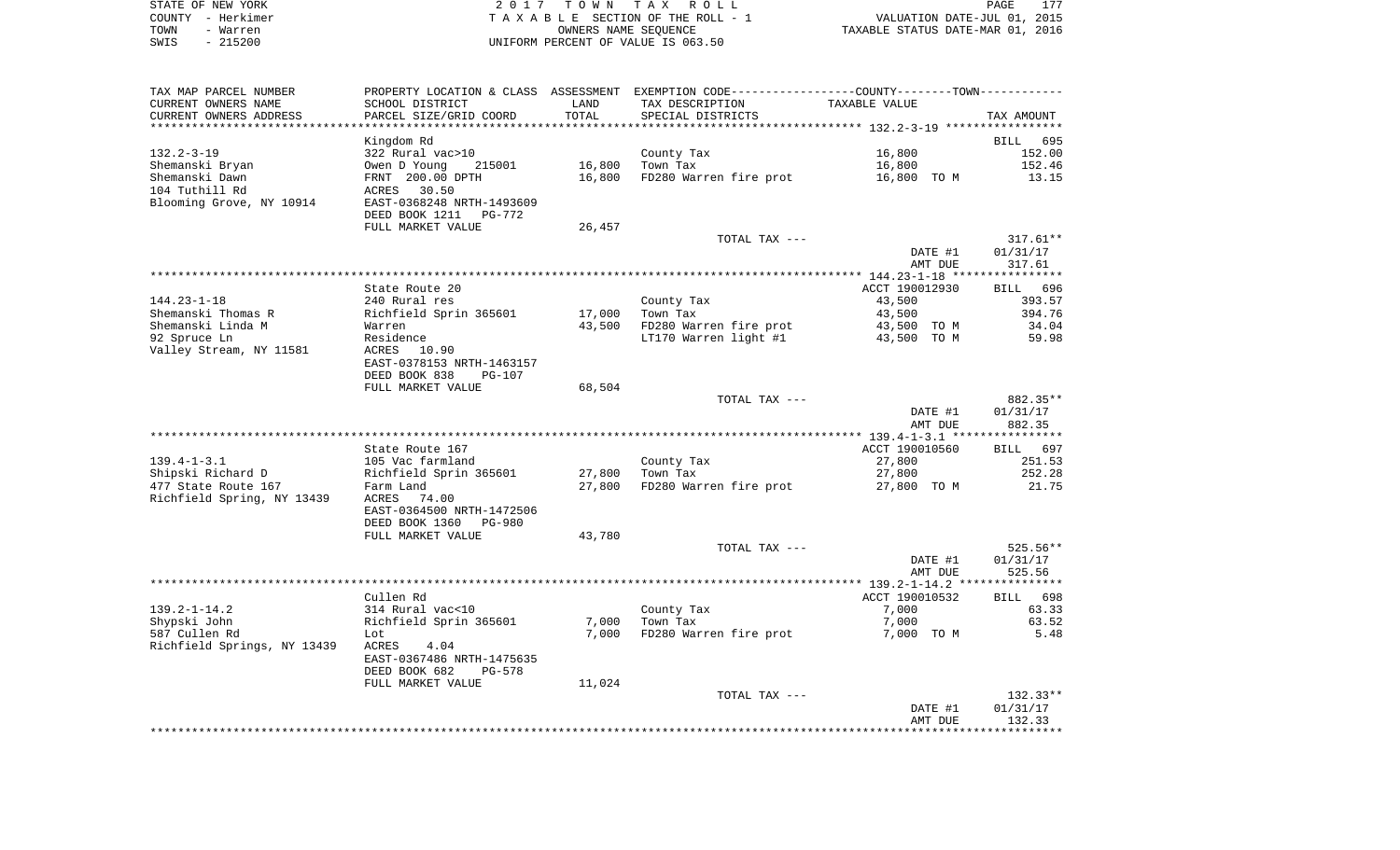| STATE OF NEW YORK |           | 2017 TOWN TAX ROLL                 | PAGE                             | 177 |
|-------------------|-----------|------------------------------------|----------------------------------|-----|
| COUNTY - Herkimer |           | TAXABLE SECTION OF THE ROLL - 1    | VALUATION DATE-JUL 01, 2015      |     |
| TOWN              | - Warren  | OWNERS NAME SEOUENCE               | TAXABLE STATUS DATE-MAR 01, 2016 |     |
| SWIS              | $-215200$ | UNIFORM PERCENT OF VALUE IS 063.50 |                                  |     |

| TAX MAP PARCEL NUMBER       |                                                    |        | PROPERTY LOCATION & CLASS ASSESSMENT EXEMPTION CODE---------------COUNTY-------TOWN---------- |                |             |
|-----------------------------|----------------------------------------------------|--------|-----------------------------------------------------------------------------------------------|----------------|-------------|
| CURRENT OWNERS NAME         | SCHOOL DISTRICT                                    | LAND   | TAX DESCRIPTION                                                                               | TAXABLE VALUE  |             |
| CURRENT OWNERS ADDRESS      | PARCEL SIZE/GRID COORD                             | TOTAL  | SPECIAL DISTRICTS                                                                             |                | TAX AMOUNT  |
|                             |                                                    |        |                                                                                               |                |             |
|                             | Kingdom Rd                                         |        |                                                                                               |                | BILL<br>695 |
| $132.2 - 3 - 19$            | 322 Rural vac>10                                   |        | County Tax                                                                                    | 16,800         | 152.00      |
| Shemanski Bryan             | Owen D Young<br>215001                             | 16,800 | Town Tax                                                                                      | 16,800         | 152.46      |
| Shemanski Dawn              | FRNT 200.00 DPTH                                   | 16,800 | FD280 Warren fire prot                                                                        | 16,800 TO M    | 13.15       |
| 104 Tuthill Rd              | 30.50<br>ACRES                                     |        |                                                                                               |                |             |
| Blooming Grove, NY 10914    | EAST-0368248 NRTH-1493609<br>DEED BOOK 1211 PG-772 |        |                                                                                               |                |             |
|                             | FULL MARKET VALUE                                  | 26,457 |                                                                                               |                |             |
|                             |                                                    |        | TOTAL TAX ---                                                                                 |                | $317.61**$  |
|                             |                                                    |        |                                                                                               | DATE #1        | 01/31/17    |
|                             |                                                    |        |                                                                                               | AMT DUE        | 317.61      |
|                             |                                                    |        |                                                                                               |                |             |
|                             | State Route 20                                     |        |                                                                                               | ACCT 190012930 | BILL 696    |
| $144.23 - 1 - 18$           | 240 Rural res                                      |        | County Tax                                                                                    | 43,500         | 393.57      |
| Shemanski Thomas R          | Richfield Sprin 365601                             | 17,000 | Town Tax                                                                                      | 43,500         | 394.76      |
| Shemanski Linda M           | Warren                                             | 43,500 | FD280 Warren fire prot                                                                        | 43,500 TO M    | 34.04       |
| 92 Spruce Ln                | Residence                                          |        | LT170 Warren light #1                                                                         | 43,500 TO M    | 59.98       |
| Valley Stream, NY 11581     | ACRES<br>10.90                                     |        |                                                                                               |                |             |
|                             | EAST-0378153 NRTH-1463157                          |        |                                                                                               |                |             |
|                             | DEED BOOK 838<br><b>PG-107</b>                     |        |                                                                                               |                |             |
|                             | FULL MARKET VALUE                                  | 68,504 | TOTAL TAX ---                                                                                 |                | 882.35**    |
|                             |                                                    |        |                                                                                               | DATE #1        | 01/31/17    |
|                             |                                                    |        |                                                                                               | AMT DUE        | 882.35      |
|                             |                                                    |        |                                                                                               |                |             |
|                             | State Route 167                                    |        |                                                                                               | ACCT 190010560 | BILL 697    |
| $139.4 - 1 - 3.1$           | 105 Vac farmland                                   |        | County Tax                                                                                    | 27,800         | 251.53      |
| Shipski Richard D           | Richfield Sprin 365601                             | 27,800 | Town Tax                                                                                      | 27,800         | 252.28      |
| 477 State Route 167         | Farm Land                                          | 27,800 | FD280 Warren fire prot                                                                        | 27,800 TO M    | 21.75       |
| Richfield Spring, NY 13439  | ACRES 74.00                                        |        |                                                                                               |                |             |
|                             | EAST-0364500 NRTH-1472506                          |        |                                                                                               |                |             |
|                             | DEED BOOK 1360<br>PG-980                           |        |                                                                                               |                |             |
|                             | FULL MARKET VALUE                                  | 43,780 |                                                                                               |                |             |
|                             |                                                    |        | TOTAL TAX ---                                                                                 |                | 525.56**    |
|                             |                                                    |        |                                                                                               | DATE #1        | 01/31/17    |
|                             |                                                    |        |                                                                                               | AMT DUE        | 525.56      |
|                             |                                                    |        |                                                                                               |                |             |
|                             | Cullen Rd                                          |        |                                                                                               | ACCT 190010532 | BILL 698    |
| $139.2 - 1 - 14.2$          | 314 Rural vac<10                                   |        | County Tax                                                                                    | 7,000          | 63.33       |
| Shypski John                | Richfield Sprin 365601                             | 7,000  | Town Tax                                                                                      | 7,000          | 63.52       |
| 587 Cullen Rd               | Lot                                                | 7,000  | FD280 Warren fire prot                                                                        | 7,000 TO M     | 5.48        |
| Richfield Springs, NY 13439 | 4.04<br>ACRES                                      |        |                                                                                               |                |             |
|                             | EAST-0367486 NRTH-1475635                          |        |                                                                                               |                |             |
|                             | DEED BOOK 682<br><b>PG-578</b>                     |        |                                                                                               |                |             |
|                             | FULL MARKET VALUE                                  | 11,024 |                                                                                               |                |             |
|                             |                                                    |        | TOTAL TAX ---                                                                                 |                | 132.33**    |
|                             |                                                    |        |                                                                                               | DATE #1        | 01/31/17    |
|                             |                                                    |        |                                                                                               | AMT DUE        | 132.33      |
|                             |                                                    |        |                                                                                               |                |             |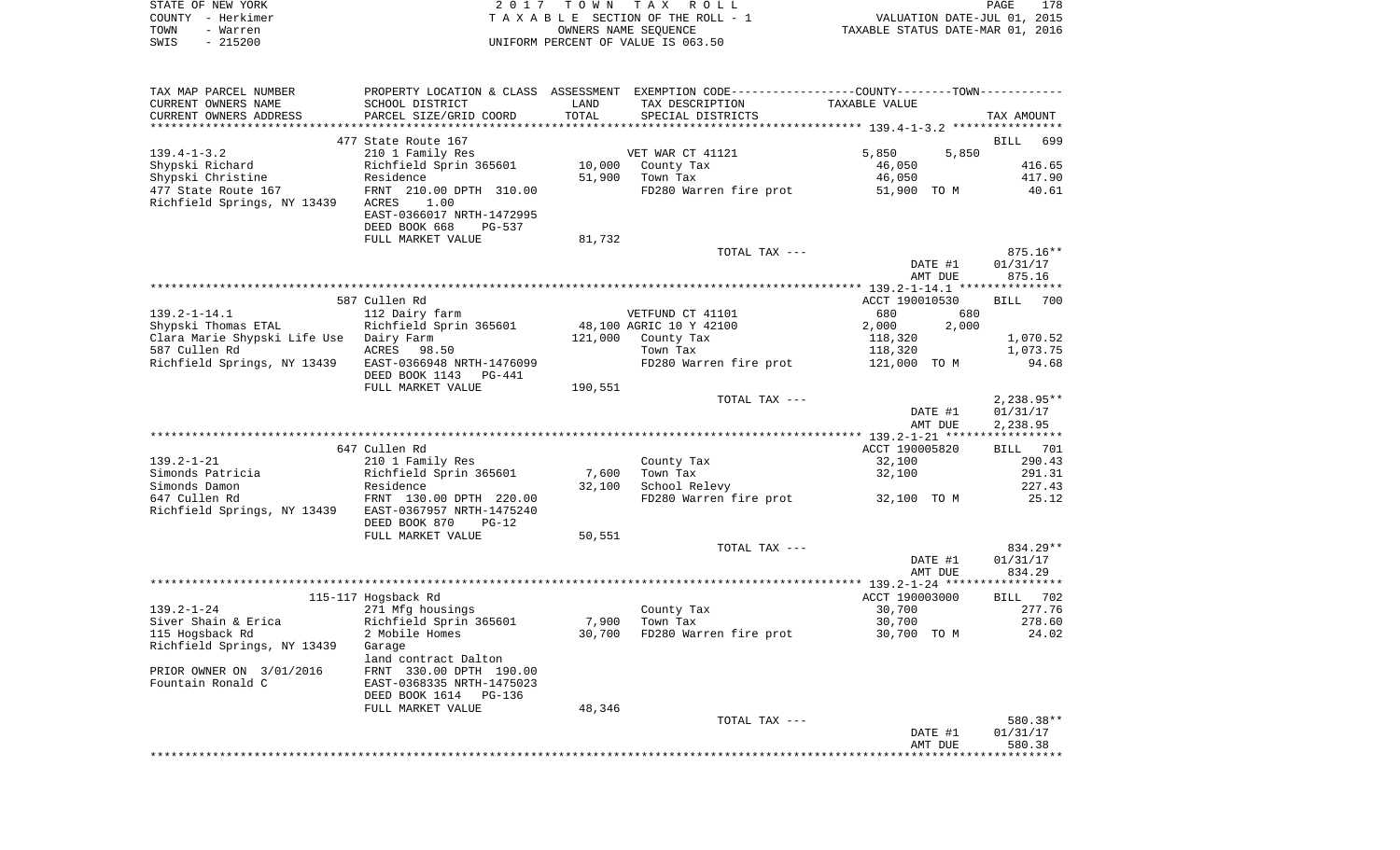|      | STATE OF NEW YORK | 2017 TOWN TAX ROLL                 | 178<br>PAGE                      |  |
|------|-------------------|------------------------------------|----------------------------------|--|
|      | COUNTY - Herkimer | TAXABLE SECTION OF THE ROLL - 1    | VALUATION DATE-JUL 01, 2015      |  |
| TOWN | - Warren          | OWNERS NAME SEOUENCE               | TAXABLE STATUS DATE-MAR 01, 2016 |  |
| SWIS | $-215200$         | UNIFORM PERCENT OF VALUE IS 063.50 |                                  |  |

| TAX MAP PARCEL NUMBER                                 |                           |         | PROPERTY LOCATION & CLASS ASSESSMENT EXEMPTION CODE----------------COUNTY-------TOWN---------- |                                    |                    |
|-------------------------------------------------------|---------------------------|---------|------------------------------------------------------------------------------------------------|------------------------------------|--------------------|
| CURRENT OWNERS NAME                                   | SCHOOL DISTRICT           | LAND    | TAX DESCRIPTION                                                                                | TAXABLE VALUE                      |                    |
| CURRENT OWNERS ADDRESS                                | PARCEL SIZE/GRID COORD    | TOTAL   | SPECIAL DISTRICTS                                                                              |                                    | TAX AMOUNT         |
|                                                       |                           |         |                                                                                                |                                    |                    |
|                                                       | 477 State Route 167       |         |                                                                                                |                                    | BILL 699           |
| $139.4 - 1 - 3.2$                                     | 210 1 Family Res          |         | VET WAR CT 41121                                                                               | 5,850<br>5,850                     |                    |
| Shypski Richard                                       | Richfield Sprin 365601    | 10,000  | County Tax                                                                                     | 46,050                             | 416.65             |
| Shypski Christine                                     | Residence                 | 51,900  | Town Tax                                                                                       | 46,050                             | 417.90             |
| 477 State Route 167                                   | FRNT 210.00 DPTH 310.00   |         |                                                                                                | FD280 Warren fire prot 51,900 TO M | 40.61              |
| Richfield Springs, NY 13439                           | 1.00<br>ACRES             |         |                                                                                                |                                    |                    |
|                                                       | EAST-0366017 NRTH-1472995 |         |                                                                                                |                                    |                    |
|                                                       | DEED BOOK 668<br>PG-537   |         |                                                                                                |                                    |                    |
|                                                       | FULL MARKET VALUE         | 81,732  |                                                                                                |                                    |                    |
|                                                       |                           |         | TOTAL TAX ---                                                                                  |                                    | $875.16**$         |
|                                                       |                           |         |                                                                                                | DATE #1                            | 01/31/17           |
|                                                       |                           |         |                                                                                                | AMT DUE                            | 875.16             |
|                                                       |                           |         |                                                                                                |                                    |                    |
|                                                       | 587 Cullen Rd             |         |                                                                                                | ACCT 190010530                     | <b>BILL</b><br>700 |
| $139.2 - 1 - 14.1$                                    | 112 Dairy farm            |         | VETFUND CT 41101                                                                               | 680<br>680                         |                    |
| Shypski Thomas ETAL                                   | Richfield Sprin 365601    |         | 48,100 AGRIC 10 Y 42100                                                                        | 2,000<br>2,000                     |                    |
| Clara Marie Shypski Life Use Dairy Farm               |                           |         | 121,000 County Tax                                                                             | 118,320                            | 1,070.52           |
| 587 Cullen Rd                                         | ACRES 98.50               |         | Town Tax                                                                                       | 118,320                            | 1,073.75           |
| Richfield Springs, NY 13439 EAST-0366948 NRTH-1476099 |                           |         | FD280 Warren fire prot 121,000 TO M                                                            |                                    | 94.68              |
|                                                       | DEED BOOK 1143 PG-441     |         |                                                                                                |                                    |                    |
|                                                       | FULL MARKET VALUE         | 190,551 |                                                                                                |                                    |                    |
|                                                       |                           |         | TOTAL TAX ---                                                                                  |                                    | $2,238.95**$       |
|                                                       |                           |         |                                                                                                | DATE #1                            | 01/31/17           |
|                                                       |                           |         |                                                                                                | AMT DUE                            | 2,238.95           |
|                                                       |                           |         |                                                                                                |                                    |                    |
|                                                       | 647 Cullen Rd             |         |                                                                                                | ACCT 190005820                     | BILL 701           |
| $139.2 - 1 - 21$                                      | 210 1 Family Res          |         | County Tax                                                                                     | 32,100                             | 290.43             |
| Simonds Patricia                                      | Richfield Sprin 365601    | 7,600   | Town Tax                                                                                       | 32,100                             | 291.31             |
| Simonds Damon                                         | Residence                 | 32,100  | School Relevy                                                                                  |                                    | 227.43             |
| 647 Cullen Rd                                         | FRNT 130.00 DPTH 220.00   |         | FD280 Warren fire prot 32,100 TO M                                                             |                                    | 25.12              |
| Richfield Springs, NY 13439 EAST-0367957 NRTH-1475240 |                           |         |                                                                                                |                                    |                    |
|                                                       | DEED BOOK 870<br>$PG-12$  |         |                                                                                                |                                    |                    |
|                                                       | FULL MARKET VALUE         | 50,551  |                                                                                                |                                    |                    |
|                                                       |                           |         | TOTAL TAX ---                                                                                  |                                    | 834.29**           |
|                                                       |                           |         |                                                                                                | DATE #1                            | 01/31/17           |
|                                                       |                           |         |                                                                                                | AMT DUE                            | 834.29             |
|                                                       |                           |         |                                                                                                |                                    |                    |
|                                                       | 115-117 Hogsback Rd       |         |                                                                                                | ACCT 190003000                     | BILL 702           |
| $139.2 - 1 - 24$                                      | 271 Mfg housings          |         |                                                                                                | 30,700                             | 277.76             |
| Siver Shain & Erica                                   | Richfield Sprin 365601    | 7,900   | County Tax<br>Town Tay<br>Town Tax                                                             | 30,700                             | 278.60             |
| 115 Hogsback Rd                                       | 2 Mobile Homes            | 30,700  | FD280 Warren fire prot 30,700 TO M                                                             |                                    | 24.02              |
| Richfield Springs, NY 13439                           | Garage                    |         |                                                                                                |                                    |                    |
|                                                       | land contract Dalton      |         |                                                                                                |                                    |                    |
| PRIOR OWNER ON 3/01/2016                              | FRNT 330.00 DPTH 190.00   |         |                                                                                                |                                    |                    |
| Fountain Ronald C                                     | EAST-0368335 NRTH-1475023 |         |                                                                                                |                                    |                    |
|                                                       | DEED BOOK 1614 PG-136     |         |                                                                                                |                                    |                    |
|                                                       | FULL MARKET VALUE         | 48,346  |                                                                                                |                                    |                    |
|                                                       |                           |         | TOTAL TAX ---                                                                                  |                                    | 580.38**           |
|                                                       |                           |         |                                                                                                | DATE #1                            | 01/31/17           |
|                                                       |                           |         |                                                                                                | AMT DUE                            | 580.38             |
|                                                       |                           |         |                                                                                                |                                    |                    |
|                                                       |                           |         |                                                                                                |                                    |                    |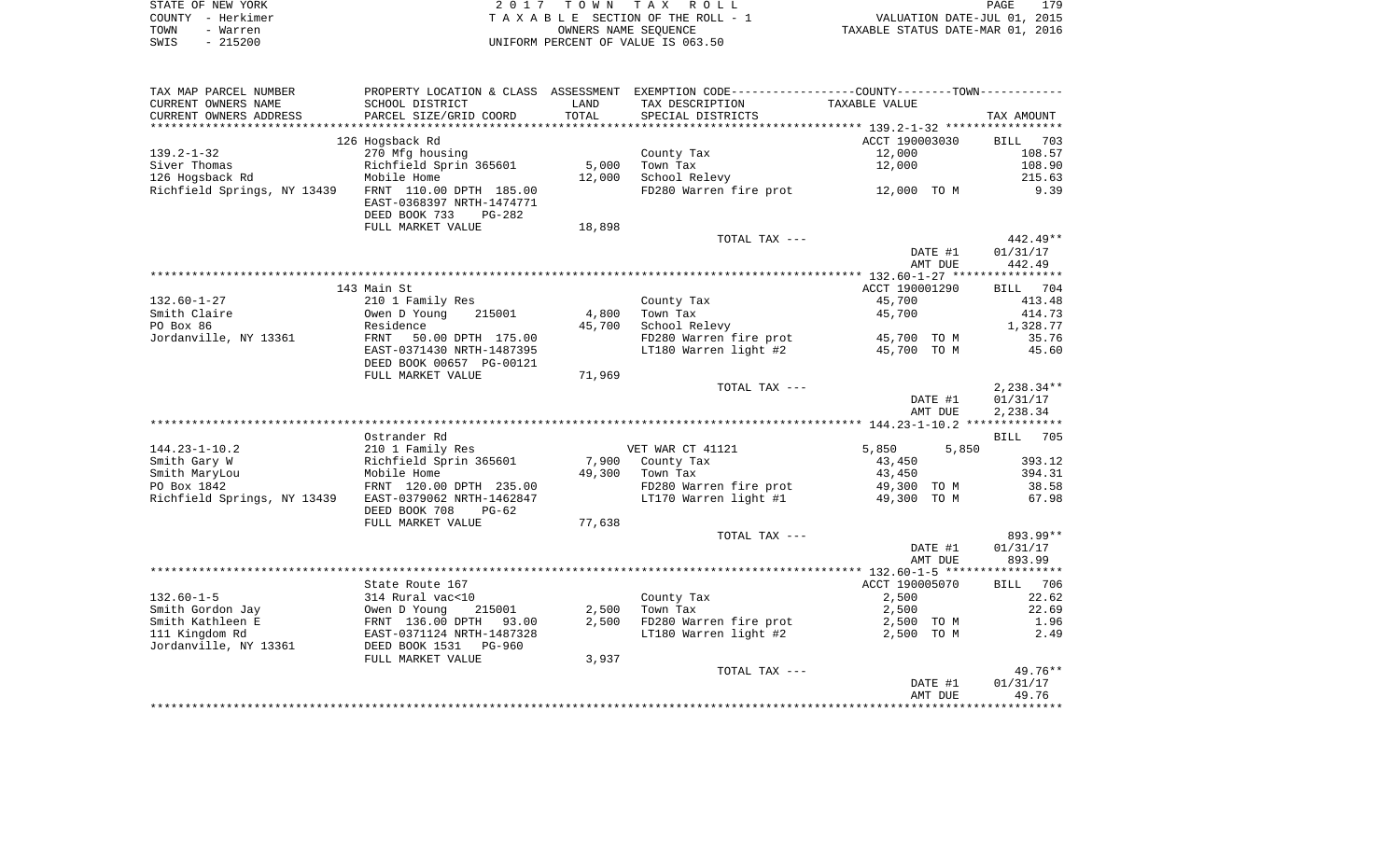| STATE OF NEW YORK | 2017 TOWN TAX ROLL                 | 179<br><b>PAGE</b>               |
|-------------------|------------------------------------|----------------------------------|
| COUNTY - Herkimer | TAXABLE SECTION OF THE ROLL - 1    | VALUATION DATE-JUL 01, 2015      |
| TOWN<br>- Warren  | OWNERS NAME SEOUENCE               | TAXABLE STATUS DATE-MAR 01, 2016 |
| SWIS<br>$-215200$ | UNIFORM PERCENT OF VALUE IS 063.50 |                                  |

| TAX MAP PARCEL NUMBER       |                           |        | PROPERTY LOCATION & CLASS ASSESSMENT EXEMPTION CODE---------------COUNTY-------TOWN---------- |                    |                    |
|-----------------------------|---------------------------|--------|-----------------------------------------------------------------------------------------------|--------------------|--------------------|
| CURRENT OWNERS NAME         | SCHOOL DISTRICT           | LAND   | TAX DESCRIPTION                                                                               | TAXABLE VALUE      |                    |
| CURRENT OWNERS ADDRESS      | PARCEL SIZE/GRID COORD    | TOTAL  | SPECIAL DISTRICTS                                                                             |                    | TAX AMOUNT         |
|                             |                           |        |                                                                                               |                    |                    |
|                             | 126 Hogsback Rd           |        |                                                                                               | ACCT 190003030     | <b>BILL</b><br>703 |
| $139.2 - 1 - 32$            | 270 Mfg housing           |        | County Tax                                                                                    | 12,000             | 108.57             |
| Siver Thomas                | Richfield Sprin 365601    | 5,000  | Town Tax                                                                                      | 12,000             | 108.90             |
| 126 Hogsback Rd             | Mobile Home               | 12,000 | School Relevy                                                                                 |                    | 215.63             |
| Richfield Springs, NY 13439 | FRNT 110.00 DPTH 185.00   |        | FD280 Warren fire prot 12,000 TO M                                                            |                    | 9.39               |
|                             | EAST-0368397 NRTH-1474771 |        |                                                                                               |                    |                    |
|                             | DEED BOOK 733<br>PG-282   |        |                                                                                               |                    |                    |
|                             | FULL MARKET VALUE         | 18,898 |                                                                                               |                    |                    |
|                             |                           |        | TOTAL TAX ---                                                                                 |                    | $442.49**$         |
|                             |                           |        |                                                                                               |                    | 01/31/17           |
|                             |                           |        |                                                                                               | DATE #1            |                    |
|                             |                           |        |                                                                                               | AMT DUE            | 442.49             |
|                             |                           |        |                                                                                               |                    |                    |
|                             | 143 Main St               |        |                                                                                               | ACCT 190001290     | BILL 704           |
| $132.60 - 1 - 27$           | 210 1 Family Res          |        | County Tax                                                                                    | 45,700             | 413.48             |
| Smith Claire                | Owen D Young<br>215001    | 4,800  | Town Tax                                                                                      | 45,700             | 414.73             |
| PO Box 86                   | Residence                 | 45,700 | School Relevy                                                                                 |                    | 1,328.77           |
| Jordanville, NY 13361       | FRNT<br>50.00 DPTH 175.00 |        | FD280 Warren fire prot                                                                        | 45,700 TO M        | 35.76              |
|                             | EAST-0371430 NRTH-1487395 |        | LT180 Warren light #2                                                                         | 45,700 TO M        | 45.60              |
|                             | DEED BOOK 00657 PG-00121  |        |                                                                                               |                    |                    |
|                             | FULL MARKET VALUE         | 71,969 |                                                                                               |                    |                    |
|                             |                           |        | TOTAL TAX ---                                                                                 |                    | $2,238.34**$       |
|                             |                           |        |                                                                                               | DATE #1            | 01/31/17           |
|                             |                           |        |                                                                                               | AMT DUE            | 2,238.34           |
|                             |                           |        |                                                                                               |                    |                    |
|                             | Ostrander Rd              |        |                                                                                               |                    | <b>BILL</b><br>705 |
| $144.23 - 1 - 10.2$         | 210 1 Family Res          |        | VET WAR CT 41121                                                                              | 5,850<br>5,850     |                    |
| Smith Gary W                | Richfield Sprin 365601    | 7,900  | County Tax                                                                                    | 43,450             | 393.12             |
| Smith MaryLou               | Mobile Home               | 49,300 | Town Tax                                                                                      | 43,450             | 394.31             |
| PO Box 1842                 | FRNT 120.00 DPTH 235.00   |        | FD280 Warren fire prot                                                                        | 49,300 TO M        | 38.58              |
| Richfield Springs, NY 13439 | EAST-0379062 NRTH-1462847 |        | LT170 Warren light #1                                                                         | 49,300 TO M        | 67.98              |
|                             | DEED BOOK 708<br>$PG-62$  |        |                                                                                               |                    |                    |
|                             | FULL MARKET VALUE         | 77,638 |                                                                                               |                    |                    |
|                             |                           |        | TOTAL TAX ---                                                                                 |                    | 893.99**           |
|                             |                           |        |                                                                                               |                    |                    |
|                             |                           |        |                                                                                               | DATE #1<br>AMT DUE | 01/31/17<br>893.99 |
|                             |                           |        |                                                                                               |                    |                    |
|                             |                           |        |                                                                                               |                    |                    |
|                             | State Route 167           |        |                                                                                               | ACCT 190005070     | BILL 706           |
| $132.60 - 1 - 5$            | 314 Rural vac<10          |        | County Tax                                                                                    | 2,500              | 22.62              |
| Smith Gordon Jay            | Owen D Young<br>215001    | 2,500  | Town Tax                                                                                      | 2,500              | 22.69              |
| Smith Kathleen E            | FRNT 136.00 DPTH<br>93.00 | 2,500  | FD280 Warren fire prot                                                                        | 2,500 TO M         | 1.96               |
| 111 Kingdom Rd              | EAST-0371124 NRTH-1487328 |        | LT180 Warren light #2                                                                         | 2,500 TO M         | 2.49               |
| Jordanville, NY 13361       | DEED BOOK 1531 PG-960     |        |                                                                                               |                    |                    |
|                             | FULL MARKET VALUE         | 3,937  |                                                                                               |                    |                    |
|                             |                           |        | TOTAL TAX ---                                                                                 |                    | $49.76**$          |
|                             |                           |        |                                                                                               | DATE #1            | 01/31/17           |
|                             |                           |        |                                                                                               | AMT DUE            | 49.76              |
|                             |                           |        |                                                                                               |                    |                    |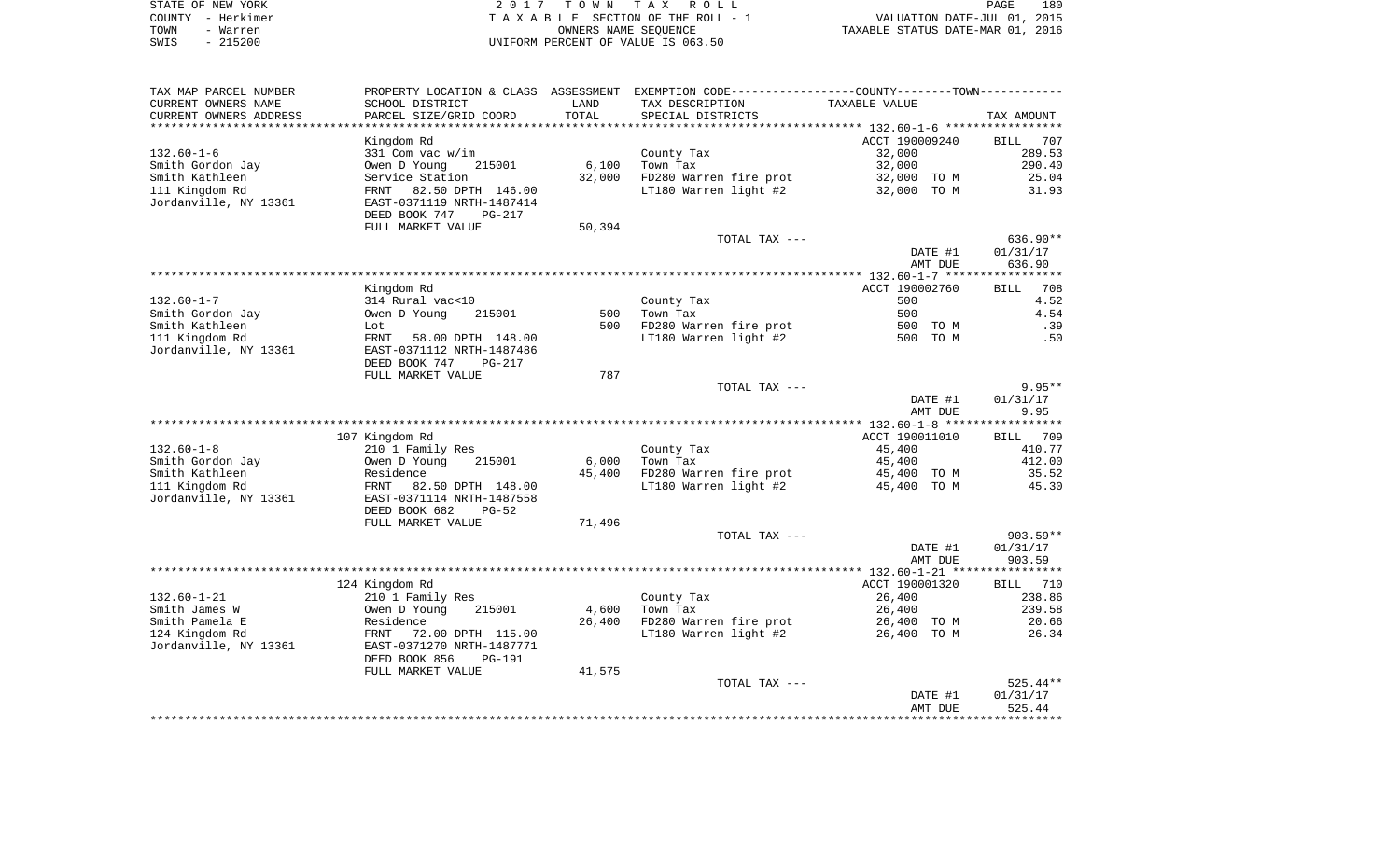| STATE OF NEW YORK |                                    | 2017 TOWN TAX ROLL              | PAGE                             | 180 |
|-------------------|------------------------------------|---------------------------------|----------------------------------|-----|
| COUNTY - Herkimer |                                    | TAXABLE SECTION OF THE ROLL - 1 | VALUATION DATE-JUL 01, 2015      |     |
| TOWN<br>- Warren  |                                    | OWNERS NAME SEOUENCE            | TAXABLE STATUS DATE-MAR 01, 2016 |     |
| $-215200$<br>SWIS | UNIFORM PERCENT OF VALUE IS 063.50 |                                 |                                  |     |

|                                         |                           |        | PROPERTY LOCATION & CLASS ASSESSMENT EXEMPTION CODE---------------COUNTY-------TOWN---------- |                    |                    |
|-----------------------------------------|---------------------------|--------|-----------------------------------------------------------------------------------------------|--------------------|--------------------|
| CURRENT OWNERS NAME                     | SCHOOL DISTRICT           | LAND   | TAX DESCRIPTION                                                                               | TAXABLE VALUE      |                    |
| CURRENT OWNERS ADDRESS                  | PARCEL SIZE/GRID COORD    | TOTAL  | SPECIAL DISTRICTS                                                                             |                    | TAX AMOUNT         |
|                                         |                           |        |                                                                                               |                    |                    |
|                                         | Kingdom Rd                |        |                                                                                               | ACCT 190009240     | BILL<br>707        |
| $132.60 - 1 - 6$                        | 331 Com vac w/im          |        | County Tax                                                                                    | 32,000             | 289.53             |
| Smith Gordon Jay                        | Owen D Young<br>215001    |        | $6,100$ Town Tax                                                                              | 32,000             | 290.40             |
| Smith Kathleen                          | Service Station           |        | 32,000 FD280 Warren fire prot                                                                 | 32,000 TO M        | 25.04              |
| 111 Kingdom Rd                          | FRNT 82.50 DPTH 146.00    |        | LT180 Warren light #2                                                                         | 32,000 TO M        | 31.93              |
| Jordanville, NY 13361                   | EAST-0371119 NRTH-1487414 |        |                                                                                               |                    |                    |
|                                         | DEED BOOK 747<br>PG-217   |        |                                                                                               |                    |                    |
|                                         | FULL MARKET VALUE         | 50,394 |                                                                                               |                    |                    |
|                                         |                           |        | TOTAL TAX ---                                                                                 |                    | $636.90**$         |
|                                         |                           |        |                                                                                               | DATE #1            | 01/31/17           |
|                                         |                           |        |                                                                                               | AMT DUE            | 636.90             |
|                                         |                           |        |                                                                                               |                    |                    |
|                                         | Kingdom Rd                |        |                                                                                               | ACCT 190002760     | 708<br><b>BILL</b> |
| $132.60 - 1 - 7$                        | 314 Rural vac<10          |        | County Tax                                                                                    | 500                | 4.52               |
| Smith Gordon Jay                        | Owen D Young<br>215001    |        | 500 Town Tax                                                                                  | 500                | 4.54               |
| Smith Kathleen                          | Lot                       |        | 500 FD280 Warren fire prot                                                                    | 500 TO M           | .39                |
| 111 Kingdom Rd                          | FRNT<br>58.00 DPTH 148.00 |        | LT180 Warren light #2                                                                         | 500 TO M           | .50                |
| Jordanville, NY 13361                   | EAST-0371112 NRTH-1487486 |        |                                                                                               |                    |                    |
|                                         | DEED BOOK 747<br>PG-217   |        |                                                                                               |                    |                    |
|                                         | FULL MARKET VALUE         | 787    |                                                                                               |                    |                    |
|                                         |                           |        | TOTAL TAX ---                                                                                 |                    | $9.95**$           |
|                                         |                           |        |                                                                                               |                    |                    |
|                                         |                           |        |                                                                                               | DATE #1            | 01/31/17           |
|                                         |                           |        |                                                                                               | AMT DUE            | 9.95               |
|                                         |                           |        |                                                                                               |                    |                    |
|                                         | 107 Kingdom Rd            |        |                                                                                               | ACCT 190011010     | BILL 709           |
| $132.60 - 1 - 8$                        | 210 1 Family Res          |        | County Tax                                                                                    | 45,400             | 410.77             |
| Smith Gordon Jay                        | Owen D Young<br>215001    |        | 6,000 Town Tax                                                                                | 45,400             | 412.00             |
| Smith Kathleen                          | Residence                 |        | 45,400 FD280 Warren fire prot                                                                 | 45,400 TO M        | 35.52              |
|                                         | FRNT<br>82.50 DPTH 148.00 |        | LT180 Warren light #2                                                                         | 45,400 TO M        | 45.30              |
| 111 Kingdom Rd<br>Jordanville, NY 13361 | EAST-0371114 NRTH-1487558 |        |                                                                                               |                    |                    |
|                                         | DEED BOOK 682<br>$PG-52$  |        |                                                                                               |                    |                    |
|                                         | FULL MARKET VALUE         | 71,496 |                                                                                               |                    |                    |
|                                         |                           |        | TOTAL TAX ---                                                                                 |                    | $903.59**$         |
|                                         |                           |        |                                                                                               | DATE #1            | 01/31/17           |
|                                         |                           |        |                                                                                               | AMT DUE            | 903.59             |
|                                         |                           |        |                                                                                               |                    |                    |
|                                         | 124 Kingdom Rd            |        |                                                                                               | ACCT 190001320     | BILL 710           |
| $132.60 - 1 - 21$                       | 210 1 Family Res          |        | County Tax                                                                                    | 26,400             | 238.86             |
| Smith James W                           | Owen D Young<br>215001    |        | 4,600 Town Tax                                                                                | 26,400             | 239.58             |
| Smith Pamela E                          | Residence                 |        | 26,400 FD280 Warren fire prot                                                                 | 26,400 TO M        | 20.66              |
| 124 Kingdom Rd                          | FRNT<br>72.00 DPTH 115.00 |        | LT180 Warren light #2                                                                         | 26,400 TO M        | 26.34              |
| Jordanville, NY 13361                   | EAST-0371270 NRTH-1487771 |        |                                                                                               |                    |                    |
|                                         | DEED BOOK 856<br>PG-191   |        |                                                                                               |                    |                    |
|                                         | FULL MARKET VALUE         | 41,575 |                                                                                               |                    |                    |
|                                         |                           |        | TOTAL TAX ---                                                                                 |                    | $525.44**$         |
|                                         |                           |        |                                                                                               | DATE #1<br>AMT DUE | 01/31/17<br>525.44 |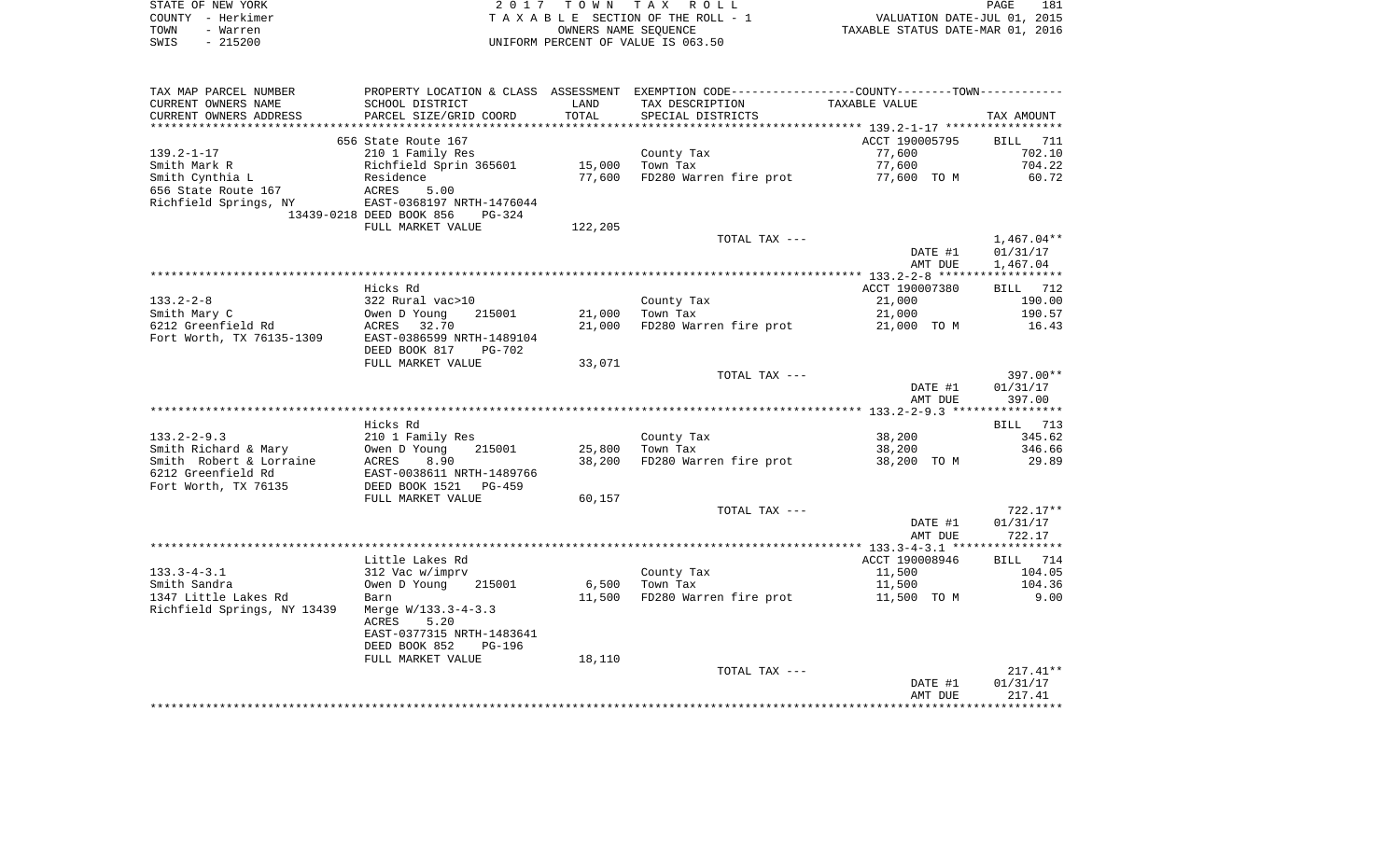|      | STATE OF NEW YORK | 2017 TOWN TAX ROLL                 | <b>PAGE</b>                      | 181 |
|------|-------------------|------------------------------------|----------------------------------|-----|
|      | COUNTY - Herkimer | TAXABLE SECTION OF THE ROLL - 1    | VALUATION DATE-JUL 01, 2015      |     |
| TOWN | - Warren          | OWNERS NAME SEOUENCE               | TAXABLE STATUS DATE-MAR 01, 2016 |     |
| SWIS | - 215200          | UNIFORM PERCENT OF VALUE IS 063.50 |                                  |     |

| CURRENT OWNERS NAME<br>SCHOOL DISTRICT<br>LAND<br>TAX DESCRIPTION<br>TAXABLE VALUE<br>TOTAL<br>CURRENT OWNERS ADDRESS<br>PARCEL SIZE/GRID COORD<br>SPECIAL DISTRICTS<br>ACCT 190005795<br>656 State Route 167<br>$139.2 - 1 - 17$<br>77,600<br>210 1 Family Res<br>County Tax<br>Richfield Sprin 365601<br>15,000<br>77,600<br>Smith Mark R<br>Town Tax<br>Smith Cynthia L<br>Residence<br>77,600<br>FD280 Warren fire prot<br>77,600 TO M<br>656 State Route 167<br>ACRES<br>5.00<br>Richfield Springs, NY<br>EAST-0368197 NRTH-1476044<br>13439-0218 DEED BOOK 856<br>$PG-324$<br>FULL MARKET VALUE<br>122,205<br>TOTAL TAX ---<br>DATE #1<br>AMT DUE<br>Hicks Rd<br>ACCT 190007380<br>$133.2 - 2 - 8$ | TAX AMOUNT<br>BILL 711<br>702.10<br>704.22<br>60.72 |
|----------------------------------------------------------------------------------------------------------------------------------------------------------------------------------------------------------------------------------------------------------------------------------------------------------------------------------------------------------------------------------------------------------------------------------------------------------------------------------------------------------------------------------------------------------------------------------------------------------------------------------------------------------------------------------------------------------|-----------------------------------------------------|
|                                                                                                                                                                                                                                                                                                                                                                                                                                                                                                                                                                                                                                                                                                          |                                                     |
|                                                                                                                                                                                                                                                                                                                                                                                                                                                                                                                                                                                                                                                                                                          |                                                     |
|                                                                                                                                                                                                                                                                                                                                                                                                                                                                                                                                                                                                                                                                                                          |                                                     |
|                                                                                                                                                                                                                                                                                                                                                                                                                                                                                                                                                                                                                                                                                                          |                                                     |
|                                                                                                                                                                                                                                                                                                                                                                                                                                                                                                                                                                                                                                                                                                          |                                                     |
|                                                                                                                                                                                                                                                                                                                                                                                                                                                                                                                                                                                                                                                                                                          |                                                     |
|                                                                                                                                                                                                                                                                                                                                                                                                                                                                                                                                                                                                                                                                                                          |                                                     |
|                                                                                                                                                                                                                                                                                                                                                                                                                                                                                                                                                                                                                                                                                                          |                                                     |
|                                                                                                                                                                                                                                                                                                                                                                                                                                                                                                                                                                                                                                                                                                          |                                                     |
|                                                                                                                                                                                                                                                                                                                                                                                                                                                                                                                                                                                                                                                                                                          |                                                     |
|                                                                                                                                                                                                                                                                                                                                                                                                                                                                                                                                                                                                                                                                                                          |                                                     |
|                                                                                                                                                                                                                                                                                                                                                                                                                                                                                                                                                                                                                                                                                                          | $1,467.04**$                                        |
|                                                                                                                                                                                                                                                                                                                                                                                                                                                                                                                                                                                                                                                                                                          | 01/31/17                                            |
|                                                                                                                                                                                                                                                                                                                                                                                                                                                                                                                                                                                                                                                                                                          | 1,467.04                                            |
|                                                                                                                                                                                                                                                                                                                                                                                                                                                                                                                                                                                                                                                                                                          |                                                     |
|                                                                                                                                                                                                                                                                                                                                                                                                                                                                                                                                                                                                                                                                                                          | BILL 712                                            |
| 322 Rural vac>10<br>County Tax<br>21,000                                                                                                                                                                                                                                                                                                                                                                                                                                                                                                                                                                                                                                                                 | 190.00                                              |
| Smith Mary C<br>21,000<br>Town Tax<br>21,000<br>Owen D Young<br>215001                                                                                                                                                                                                                                                                                                                                                                                                                                                                                                                                                                                                                                   | 190.57                                              |
| FD280 Warren fire prot<br>6212 Greenfield Rd<br>ACRES 32.70<br>21,000<br>21,000 TO M                                                                                                                                                                                                                                                                                                                                                                                                                                                                                                                                                                                                                     | 16.43                                               |
| Fort Worth, TX 76135-1309<br>EAST-0386599 NRTH-1489104                                                                                                                                                                                                                                                                                                                                                                                                                                                                                                                                                                                                                                                   |                                                     |
| DEED BOOK 817<br><b>PG-702</b>                                                                                                                                                                                                                                                                                                                                                                                                                                                                                                                                                                                                                                                                           |                                                     |
| 33,071<br>FULL MARKET VALUE                                                                                                                                                                                                                                                                                                                                                                                                                                                                                                                                                                                                                                                                              |                                                     |
| TOTAL TAX ---                                                                                                                                                                                                                                                                                                                                                                                                                                                                                                                                                                                                                                                                                            | 397.00**                                            |
| DATE #1                                                                                                                                                                                                                                                                                                                                                                                                                                                                                                                                                                                                                                                                                                  | 01/31/17                                            |
| AMT DUE                                                                                                                                                                                                                                                                                                                                                                                                                                                                                                                                                                                                                                                                                                  | 397.00                                              |
|                                                                                                                                                                                                                                                                                                                                                                                                                                                                                                                                                                                                                                                                                                          |                                                     |
| Hicks Rd                                                                                                                                                                                                                                                                                                                                                                                                                                                                                                                                                                                                                                                                                                 | BILL 713                                            |
| $133.2 - 2 - 9.3$<br>38,200<br>210 1 Family Res<br>County Tax                                                                                                                                                                                                                                                                                                                                                                                                                                                                                                                                                                                                                                            | 345.62                                              |
| Smith Richard & Mary<br>25,800<br>Town Tax<br>38,200<br>Owen D Young<br>215001                                                                                                                                                                                                                                                                                                                                                                                                                                                                                                                                                                                                                           | 346.66                                              |
| FD280 Warren fire prot<br>Smith Robert & Lorraine<br><b>ACRES</b><br>8.90<br>38,200<br>38,200 TO M                                                                                                                                                                                                                                                                                                                                                                                                                                                                                                                                                                                                       | 29.89                                               |
| 6212 Greenfield Rd<br>EAST-0038611 NRTH-1489766                                                                                                                                                                                                                                                                                                                                                                                                                                                                                                                                                                                                                                                          |                                                     |
| Fort Worth, TX 76135<br>DEED BOOK 1521<br>PG-459                                                                                                                                                                                                                                                                                                                                                                                                                                                                                                                                                                                                                                                         |                                                     |
| FULL MARKET VALUE<br>60,157                                                                                                                                                                                                                                                                                                                                                                                                                                                                                                                                                                                                                                                                              |                                                     |
| TOTAL TAX ---                                                                                                                                                                                                                                                                                                                                                                                                                                                                                                                                                                                                                                                                                            | $722.17**$                                          |
| DATE #1                                                                                                                                                                                                                                                                                                                                                                                                                                                                                                                                                                                                                                                                                                  | 01/31/17                                            |
| AMT DUE                                                                                                                                                                                                                                                                                                                                                                                                                                                                                                                                                                                                                                                                                                  | 722.17                                              |
|                                                                                                                                                                                                                                                                                                                                                                                                                                                                                                                                                                                                                                                                                                          |                                                     |
| ACCT 190008946<br>Little Lakes Rd                                                                                                                                                                                                                                                                                                                                                                                                                                                                                                                                                                                                                                                                        | BILL 714                                            |
| $133.3 - 4 - 3.1$<br>11,500<br>312 Vac w/imprv<br>County Tax                                                                                                                                                                                                                                                                                                                                                                                                                                                                                                                                                                                                                                             | 104.05                                              |
| Smith Sandra<br>Owen D Young<br>6,500<br>Town Tax<br>11,500<br>215001                                                                                                                                                                                                                                                                                                                                                                                                                                                                                                                                                                                                                                    | 104.36                                              |
| 1347 Little Lakes Rd<br>Barn<br>11,500<br>FD280 Warren fire prot<br>11,500 TO M                                                                                                                                                                                                                                                                                                                                                                                                                                                                                                                                                                                                                          | 9.00                                                |
| Richfield Springs, NY 13439<br>Merge W/133.3-4-3.3                                                                                                                                                                                                                                                                                                                                                                                                                                                                                                                                                                                                                                                       |                                                     |
| 5.20<br>ACRES                                                                                                                                                                                                                                                                                                                                                                                                                                                                                                                                                                                                                                                                                            |                                                     |
| EAST-0377315 NRTH-1483641                                                                                                                                                                                                                                                                                                                                                                                                                                                                                                                                                                                                                                                                                |                                                     |
| DEED BOOK 852<br><b>PG-196</b>                                                                                                                                                                                                                                                                                                                                                                                                                                                                                                                                                                                                                                                                           |                                                     |
| 18,110<br>FULL MARKET VALUE                                                                                                                                                                                                                                                                                                                                                                                                                                                                                                                                                                                                                                                                              |                                                     |
| TOTAL TAX ---                                                                                                                                                                                                                                                                                                                                                                                                                                                                                                                                                                                                                                                                                            | $217.41**$                                          |
| DATE #1                                                                                                                                                                                                                                                                                                                                                                                                                                                                                                                                                                                                                                                                                                  | 01/31/17                                            |
| AMT DUE                                                                                                                                                                                                                                                                                                                                                                                                                                                                                                                                                                                                                                                                                                  |                                                     |
|                                                                                                                                                                                                                                                                                                                                                                                                                                                                                                                                                                                                                                                                                                          | 217.41                                              |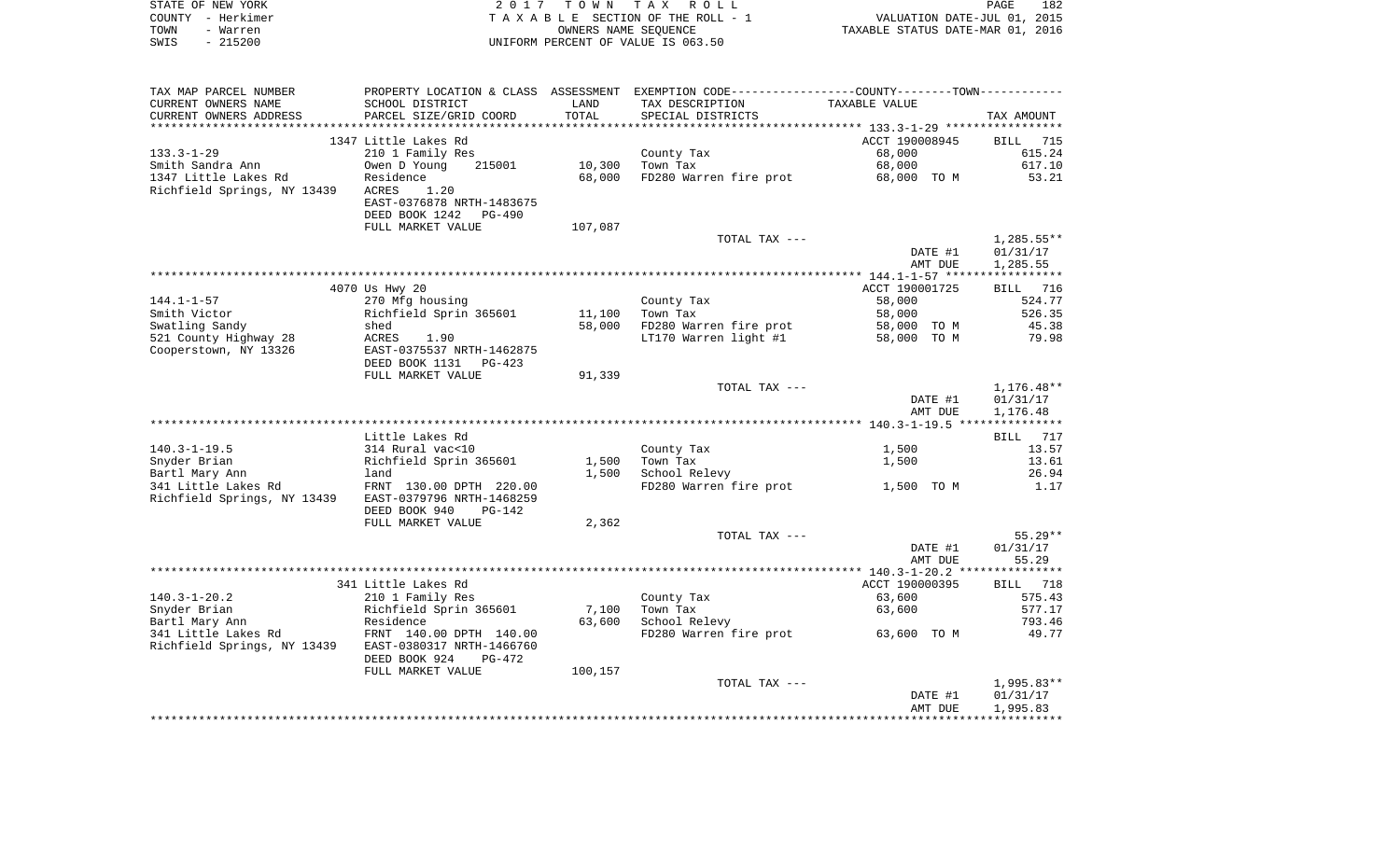|      | STATE OF NEW YORK | 2017 TOWN TAX ROLL                 |                                  | PAGE | 182 |
|------|-------------------|------------------------------------|----------------------------------|------|-----|
|      | COUNTY - Herkimer | TAXABLE SECTION OF THE ROLL - 1    | VALUATION DATE-JUL 01, 2015      |      |     |
| TOWN | - Warren          | OWNERS NAME SEOUENCE               | TAXABLE STATUS DATE-MAR 01, 2016 |      |     |
| SWIS | $-215200$         | UNIFORM PERCENT OF VALUE IS 063.50 |                                  |      |     |

| TAX MAP PARCEL NUMBER                       | PROPERTY LOCATION & CLASS ASSESSMENT                    |                 | EXEMPTION CODE-----------------COUNTY-------TOWN----------- |                                                           |                       |
|---------------------------------------------|---------------------------------------------------------|-----------------|-------------------------------------------------------------|-----------------------------------------------------------|-----------------------|
| CURRENT OWNERS NAME                         | SCHOOL DISTRICT                                         | LAND            | TAX DESCRIPTION                                             | TAXABLE VALUE                                             |                       |
| CURRENT OWNERS ADDRESS<br>***************** | PARCEL SIZE/GRID COORD<br>***************               | TOTAL<br>****** | SPECIAL DISTRICTS                                           |                                                           | TAX AMOUNT            |
|                                             |                                                         |                 |                                                             | ·*************************** 133.3-1-29 ***************** |                       |
|                                             | 1347 Little Lakes Rd                                    |                 |                                                             | ACCT 190008945                                            | BILL<br>715           |
| $133.3 - 1 - 29$                            | 210 1 Family Res                                        | 10,300          | County Tax<br>Town Tax                                      | 68,000<br>68,000                                          | 615.24<br>617.10      |
| Smith Sandra Ann<br>1347 Little Lakes Rd    | Owen D Young<br>215001<br>Residence                     | 68,000          | FD280 Warren fire prot                                      |                                                           | 53.21                 |
| Richfield Springs, NY 13439                 | 1.20<br><b>ACRES</b>                                    |                 |                                                             | 68,000 TO M                                               |                       |
|                                             | EAST-0376878 NRTH-1483675                               |                 |                                                             |                                                           |                       |
|                                             | DEED BOOK 1242<br>PG-490                                |                 |                                                             |                                                           |                       |
|                                             | FULL MARKET VALUE                                       | 107,087         |                                                             |                                                           |                       |
|                                             |                                                         |                 | TOTAL TAX ---                                               |                                                           | $1,285.55**$          |
|                                             |                                                         |                 |                                                             | DATE #1                                                   | 01/31/17              |
|                                             |                                                         |                 |                                                             | AMT DUE                                                   | 1,285.55              |
|                                             |                                                         |                 |                                                             |                                                           |                       |
|                                             | 4070 Us Hwy 20                                          |                 |                                                             | ACCT 190001725                                            | 716<br>BILL           |
| $144.1 - 1 - 57$                            | 270 Mfg housing                                         |                 | County Tax                                                  | 58,000                                                    | 524.77                |
| Smith Victor                                | Richfield Sprin 365601                                  | 11,100          | Town Tax                                                    | 58,000                                                    | 526.35                |
| Swatling Sandy                              | shed                                                    | 58,000          | FD280 Warren fire prot                                      | 58,000 TO M                                               | 45.38                 |
| 521 County Highway 28                       | <b>ACRES</b><br>1.90                                    |                 | LT170 Warren light #1                                       | 58,000 TO M                                               | 79.98                 |
| Cooperstown, NY 13326                       | EAST-0375537 NRTH-1462875<br>DEED BOOK 1131<br>$PG-423$ |                 |                                                             |                                                           |                       |
|                                             | FULL MARKET VALUE                                       | 91,339          |                                                             |                                                           |                       |
|                                             |                                                         |                 | TOTAL TAX ---                                               |                                                           | $1,176.48**$          |
|                                             |                                                         |                 |                                                             | DATE #1                                                   | 01/31/17              |
|                                             |                                                         |                 |                                                             | AMT DUE                                                   | 1,176.48              |
|                                             |                                                         |                 |                                                             |                                                           |                       |
|                                             | Little Lakes Rd                                         |                 |                                                             |                                                           | 717<br><b>BILL</b>    |
| $140.3 - 1 - 19.5$                          | 314 Rural vac<10                                        |                 | County Tax                                                  | 1,500                                                     | 13.57                 |
| Snyder Brian                                | Richfield Sprin 365601                                  | 1,500           | Town Tax                                                    | 1,500                                                     | 13.61                 |
| Bartl Mary Ann                              | land                                                    | 1,500           | School Relevy                                               |                                                           | 26.94                 |
| 341 Little Lakes Rd                         | FRNT 130.00 DPTH 220.00                                 |                 | FD280 Warren fire prot                                      | 1,500 TO M                                                | 1.17                  |
| Richfield Springs, NY 13439                 | EAST-0379796 NRTH-1468259                               |                 |                                                             |                                                           |                       |
|                                             | DEED BOOK 940<br>$PG-142$                               |                 |                                                             |                                                           |                       |
|                                             | FULL MARKET VALUE                                       | 2,362           |                                                             |                                                           |                       |
|                                             |                                                         |                 | TOTAL TAX ---                                               |                                                           | $55.29**$<br>01/31/17 |
|                                             |                                                         |                 |                                                             | DATE #1<br>AMT DUE                                        | 55.29                 |
|                                             |                                                         |                 |                                                             | **************** 140.3-1-20.2 ****************            |                       |
|                                             | 341 Little Lakes Rd                                     |                 |                                                             | ACCT 190000395                                            | BILL<br>718           |
| $140.3 - 1 - 20.2$                          | 210 1 Family Res                                        |                 | County Tax                                                  | 63,600                                                    | 575.43                |
| Snyder Brian                                | Richfield Sprin 365601                                  | 7,100           | Town Tax                                                    | 63,600                                                    | 577.17                |
| Bartl Mary Ann                              | Residence                                               | 63,600          | School Relevy                                               |                                                           | 793.46                |
| 341 Little Lakes Rd                         | FRNT 140.00 DPTH 140.00                                 |                 | FD280 Warren fire prot                                      | 63,600 TO M                                               | 49.77                 |
| Richfield Springs, NY 13439                 | EAST-0380317 NRTH-1466760                               |                 |                                                             |                                                           |                       |
|                                             | DEED BOOK 924<br>PG-472                                 |                 |                                                             |                                                           |                       |
|                                             | FULL MARKET VALUE                                       | 100,157         |                                                             |                                                           |                       |
|                                             |                                                         |                 | TOTAL TAX ---                                               |                                                           | 1,995.83**            |
|                                             |                                                         |                 |                                                             | DATE #1                                                   | 01/31/17              |
|                                             |                                                         |                 |                                                             | AMT DUE                                                   | 1,995.83              |
|                                             |                                                         |                 |                                                             |                                                           |                       |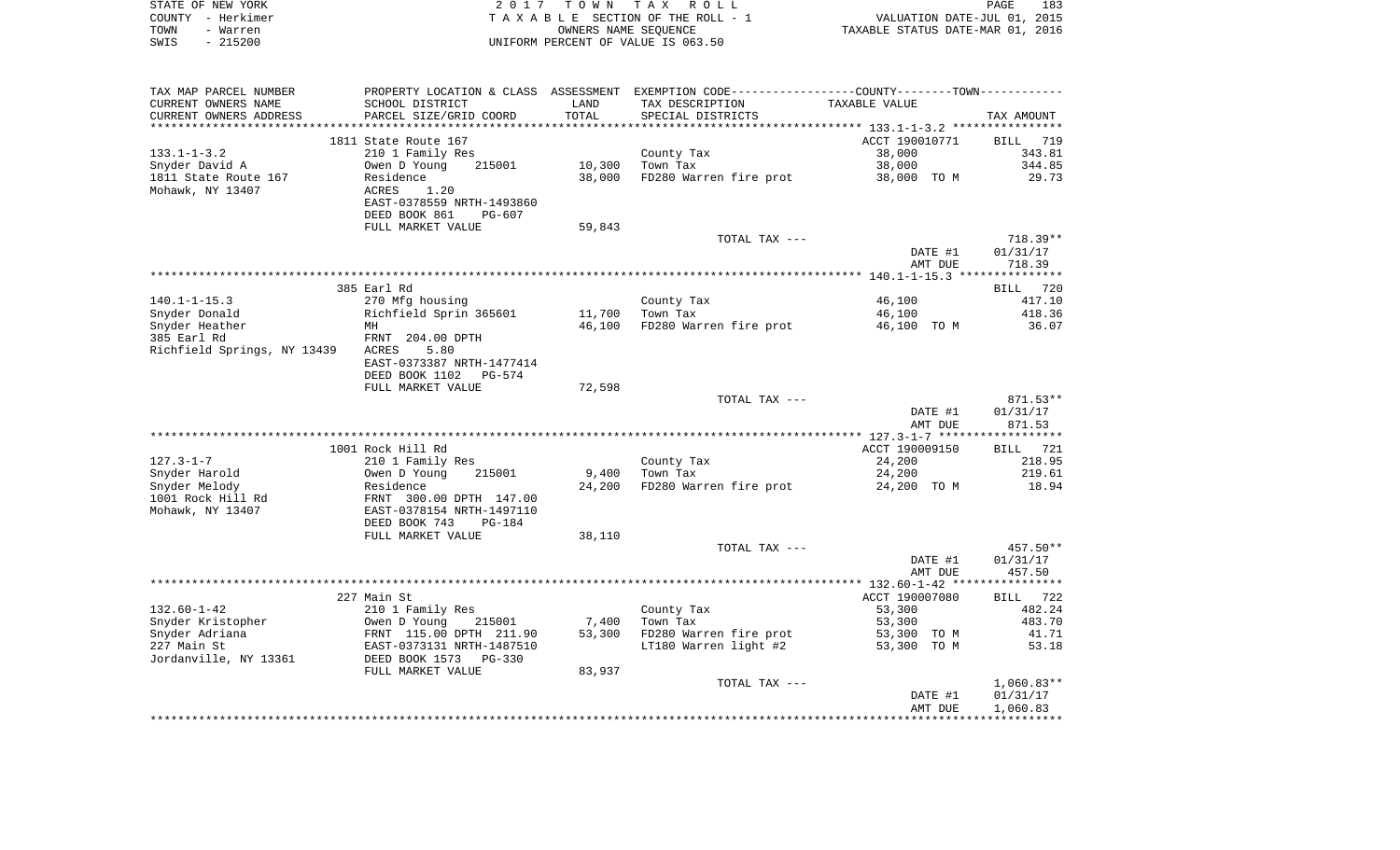|      | STATE OF NEW YORK | 2017 TOWN TAX ROLL                 | PAGE                             | 183 |
|------|-------------------|------------------------------------|----------------------------------|-----|
|      | COUNTY - Herkimer | TAXABLE SECTION OF THE ROLL - 1    | VALUATION DATE-JUL 01, 2015      |     |
| TOWN | - Warren          | OWNERS NAME SEOUENCE               | TAXABLE STATUS DATE-MAR 01, 2016 |     |
| SWIS | $-215200$         | UNIFORM PERCENT OF VALUE IS 063.50 |                                  |     |

| TAX MAP PARCEL NUMBER       | PROPERTY LOCATION & CLASS ASSESSMENT EXEMPTION CODE----------------COUNTY-------TOWN--------- |        |                        |                |              |
|-----------------------------|-----------------------------------------------------------------------------------------------|--------|------------------------|----------------|--------------|
| CURRENT OWNERS NAME         | SCHOOL DISTRICT                                                                               | LAND   | TAX DESCRIPTION        | TAXABLE VALUE  |              |
| CURRENT OWNERS ADDRESS      | PARCEL SIZE/GRID COORD                                                                        | TOTAL  | SPECIAL DISTRICTS      |                | TAX AMOUNT   |
| *****************           |                                                                                               |        |                        |                |              |
|                             | 1811 State Route 167                                                                          |        |                        | ACCT 190010771 | BILL 719     |
| $133.1 - 1 - 3.2$           | 210 1 Family Res                                                                              |        | County Tax             | 38,000         | 343.81       |
| Snyder David A              | 215001<br>Owen D Young                                                                        | 10,300 | Town Tax               | 38,000         | 344.85       |
| 1811 State Route 167        | Residence                                                                                     | 38,000 | FD280 Warren fire prot | 38,000 TO M    | 29.73        |
| Mohawk, NY 13407            | ACRES<br>1.20                                                                                 |        |                        |                |              |
|                             | EAST-0378559 NRTH-1493860                                                                     |        |                        |                |              |
|                             | DEED BOOK 861<br>$PG-607$                                                                     |        |                        |                |              |
|                             |                                                                                               |        |                        |                |              |
|                             | FULL MARKET VALUE                                                                             | 59,843 |                        |                |              |
|                             |                                                                                               |        | TOTAL TAX ---          |                | $718.39**$   |
|                             |                                                                                               |        |                        | DATE #1        | 01/31/17     |
|                             |                                                                                               |        |                        | AMT DUE        | 718.39       |
|                             |                                                                                               |        |                        |                |              |
|                             | 385 Earl Rd                                                                                   |        |                        |                | BILL 720     |
| $140.1 - 1 - 15.3$          | 270 Mfg housing                                                                               |        | County Tax             | 46,100         | 417.10       |
| Snyder Donald               | Richfield Sprin 365601                                                                        | 11,700 | Town Tax               | 46,100         | 418.36       |
| Snyder Heather              | MH                                                                                            | 46,100 | FD280 Warren fire prot | 46,100 TO M    | 36.07        |
| 385 Earl Rd                 | FRNT 204.00 DPTH                                                                              |        |                        |                |              |
| Richfield Springs, NY 13439 | ACRES<br>5.80                                                                                 |        |                        |                |              |
|                             | EAST-0373387 NRTH-1477414                                                                     |        |                        |                |              |
|                             | DEED BOOK 1102<br>PG-574                                                                      |        |                        |                |              |
|                             | FULL MARKET VALUE                                                                             | 72,598 |                        |                |              |
|                             |                                                                                               |        | TOTAL TAX ---          |                | 871.53**     |
|                             |                                                                                               |        |                        |                |              |
|                             |                                                                                               |        |                        | DATE #1        | 01/31/17     |
|                             |                                                                                               |        |                        | AMT DUE        | 871.53       |
|                             |                                                                                               |        |                        |                |              |
|                             | 1001 Rock Hill Rd                                                                             |        |                        | ACCT 190009150 | BILL 721     |
| $127.3 - 1 - 7$             | 210 1 Family Res                                                                              |        | County Tax             | 24,200         | 218.95       |
| Snyder Harold               | Owen D Young<br>215001                                                                        | 9,400  | Town Tax               | 24,200         | 219.61       |
| Snyder Melody               | Residence                                                                                     | 24,200 | FD280 Warren fire prot | 24,200 TO M    | 18.94        |
| 1001 Rock Hill Rd           | FRNT 300.00 DPTH 147.00                                                                       |        |                        |                |              |
| Mohawk, NY 13407            | EAST-0378154 NRTH-1497110                                                                     |        |                        |                |              |
|                             | DEED BOOK 743<br><b>PG-184</b>                                                                |        |                        |                |              |
|                             | FULL MARKET VALUE                                                                             | 38,110 |                        |                |              |
|                             |                                                                                               |        | TOTAL TAX ---          |                | 457.50**     |
|                             |                                                                                               |        |                        | DATE #1        | 01/31/17     |
|                             |                                                                                               |        |                        | AMT DUE        | 457.50       |
|                             |                                                                                               |        |                        |                |              |
|                             | 227 Main St                                                                                   |        |                        | ACCT 190007080 | BILL 722     |
| $132.60 - 1 - 42$           | 210 1 Family Res                                                                              |        | County Tax             | 53,300         | 482.24       |
|                             |                                                                                               |        |                        |                |              |
| Snyder Kristopher           | Owen D Young<br>215001                                                                        | 7,400  | Town Tax               | 53,300         | 483.70       |
| Snyder Adriana              | FRNT 115.00 DPTH 211.90                                                                       | 53,300 | FD280 Warren fire prot | 53,300 TO M    | 41.71        |
| 227 Main St                 | EAST-0373131 NRTH-1487510                                                                     |        | LT180 Warren light #2  | 53,300 TO M    | 53.18        |
| Jordanville, NY 13361       | DEED BOOK 1573 PG-330                                                                         |        |                        |                |              |
|                             | FULL MARKET VALUE                                                                             | 83,937 |                        |                |              |
|                             |                                                                                               |        | TOTAL TAX ---          |                | $1,060.83**$ |
|                             |                                                                                               |        |                        | DATE #1        | 01/31/17     |
|                             |                                                                                               |        |                        | AMT DUE        | 1,060.83     |
|                             |                                                                                               |        |                        |                |              |
|                             |                                                                                               |        |                        |                |              |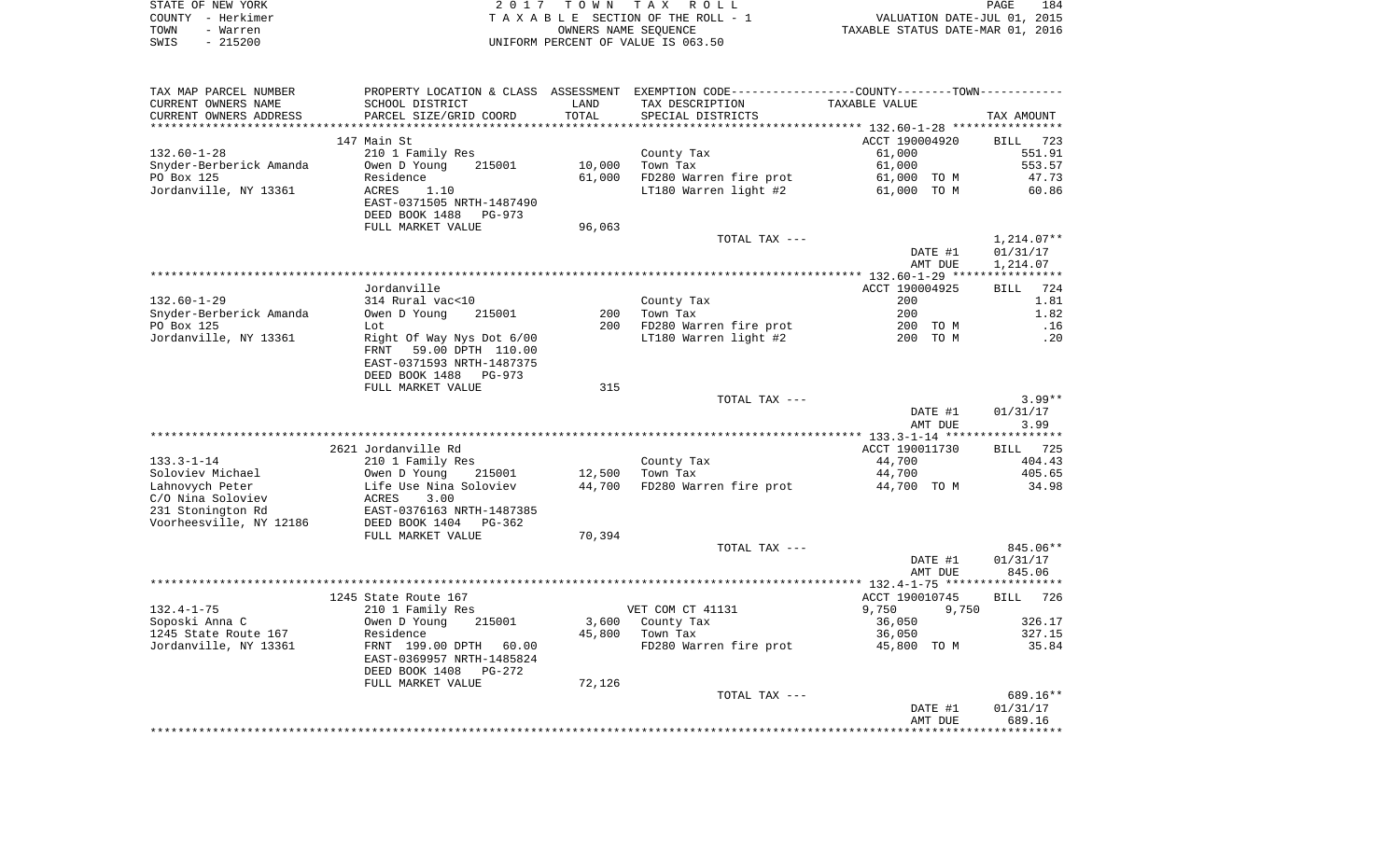|      | STATE OF NEW YORK | 2017 TOWN TAX ROLL                 | PAGE                             | 184 |
|------|-------------------|------------------------------------|----------------------------------|-----|
|      | COUNTY - Herkimer | TAXABLE SECTION OF THE ROLL - 1    | VALUATION DATE-JUL 01, 2015      |     |
| TOWN | - Warren          | OWNERS NAME SEOUENCE               | TAXABLE STATUS DATE-MAR 01, 2016 |     |
| SWIS | - 215200          | UNIFORM PERCENT OF VALUE IS 063.50 |                                  |     |
|      |                   |                                    |                                  |     |
|      |                   |                                    |                                  |     |
|      |                   |                                    |                                  |     |

TAX MAP PARCEL NUMBER PROPERTY LOCATION & CLASS ASSESSMENT EXEMPTION CODE------------------COUNTY--------TOWN------------

| CURRENT OWNERS NAME     | SCHOOL DISTRICT                  | LAND   | TAX DESCRIPTION        | TAXABLE VALUE                            |                    |
|-------------------------|----------------------------------|--------|------------------------|------------------------------------------|--------------------|
| CURRENT OWNERS ADDRESS  | PARCEL SIZE/GRID COORD           | TOTAL  | SPECIAL DISTRICTS      |                                          | TAX AMOUNT         |
|                         |                                  |        |                        | ***************** 132.60-1-28 ********** |                    |
|                         | 147 Main St                      |        |                        | ACCT 190004920                           | <b>BILL</b><br>723 |
| $132.60 - 1 - 28$       | 210 1 Family Res                 |        | County Tax             | 61,000                                   | 551.91             |
| Snyder-Berberick Amanda | Owen D Young<br>215001           | 10,000 | Town Tax               | 61,000                                   | 553.57             |
| PO Box 125              | Residence                        | 61,000 | FD280 Warren fire prot | 61,000 TO M                              | 47.73              |
| Jordanville, NY 13361   | <b>ACRES</b><br>1.10             |        | LT180 Warren light #2  | 61,000 TO M                              | 60.86              |
|                         |                                  |        |                        |                                          |                    |
|                         | EAST-0371505 NRTH-1487490        |        |                        |                                          |                    |
|                         | DEED BOOK 1488<br>$PG-973$       |        |                        |                                          |                    |
|                         | FULL MARKET VALUE                | 96,063 |                        |                                          |                    |
|                         |                                  |        | TOTAL TAX ---          |                                          | $1,214.07**$       |
|                         |                                  |        |                        | DATE #1                                  | 01/31/17           |
|                         |                                  |        |                        | AMT DUE                                  | 1,214.07           |
|                         |                                  |        |                        |                                          |                    |
|                         | Jordanville                      |        |                        | ACCT 190004925                           | 724<br>BILL        |
| $132.60 - 1 - 29$       | 314 Rural vac<10                 |        | County Tax             | 200                                      | 1.81               |
| Snyder-Berberick Amanda | Owen D Young<br>215001           | 200    | Town Tax               | 200                                      | 1.82               |
| PO Box 125              | Lot                              | 200    | FD280 Warren fire prot | 200 TO M                                 | .16                |
| Jordanville, NY 13361   | Right Of Way Nys Dot 6/00        |        | LT180 Warren light #2  | 200 TO M                                 | .20                |
|                         | 59.00 DPTH 110.00<br><b>FRNT</b> |        |                        |                                          |                    |
|                         | EAST-0371593 NRTH-1487375        |        |                        |                                          |                    |
|                         |                                  |        |                        |                                          |                    |
|                         | DEED BOOK 1488<br>$PG-973$       |        |                        |                                          |                    |
|                         | FULL MARKET VALUE                | 315    |                        |                                          |                    |
|                         |                                  |        | TOTAL TAX ---          |                                          | $3.99**$           |
|                         |                                  |        |                        | DATE #1                                  | 01/31/17           |
|                         |                                  |        |                        | AMT DUE                                  | 3.99               |
|                         |                                  |        |                        | ************ 133.3-1-14 *****            | ******             |
|                         | 2621 Jordanville Rd              |        |                        | ACCT 190011730                           | 725<br>BILL        |
| $133.3 - 1 - 14$        | 210 1 Family Res                 |        | County Tax             | 44,700                                   | 404.43             |
| Soloviev Michael        | Owen D Young<br>215001           | 12,500 | Town Tax               | 44,700                                   | 405.65             |
| Lahnovych Peter         | Life Use Nina Soloviev           | 44,700 | FD280 Warren fire prot | 44,700 TO M                              | 34.98              |
| C/O Nina Soloviev       | <b>ACRES</b><br>3.00             |        |                        |                                          |                    |
| 231 Stonington Rd       | EAST-0376163 NRTH-1487385        |        |                        |                                          |                    |
| Voorheesville, NY 12186 | DEED BOOK 1404<br>$PG-362$       |        |                        |                                          |                    |
|                         | FULL MARKET VALUE                | 70,394 |                        |                                          |                    |
|                         |                                  |        | TOTAL TAX ---          |                                          | 845.06**           |
|                         |                                  |        |                        | DATE #1                                  | 01/31/17           |
|                         |                                  |        |                        |                                          |                    |
|                         |                                  |        |                        | AMT DUE                                  | 845.06             |
|                         |                                  |        |                        |                                          |                    |
|                         | 1245 State Route 167             |        |                        | ACCT 190010745                           | BILL<br>726        |
| $132.4 - 1 - 75$        | 210 1 Family Res                 |        | VET COM CT 41131       | 9,750<br>9,750                           |                    |
| Soposki Anna C          | Owen D Young<br>215001           | 3,600  | County Tax             | 36,050                                   | 326.17             |
| 1245 State Route 167    | Residence                        | 45,800 | Town Tax               | 36,050                                   | 327.15             |
| Jordanville, NY 13361   | FRNT 199.00 DPTH<br>60.00        |        | FD280 Warren fire prot | 45,800 TO M                              | 35.84              |
|                         | EAST-0369957 NRTH-1485824        |        |                        |                                          |                    |
|                         | DEED BOOK 1408<br>$PG-272$       |        |                        |                                          |                    |
|                         | FULL MARKET VALUE                | 72,126 |                        |                                          |                    |
|                         |                                  |        | TOTAL TAX ---          |                                          | 689.16**           |
|                         |                                  |        |                        | DATE #1                                  | 01/31/17           |
|                         |                                  |        |                        | AMT DUE                                  | 689.16             |
|                         |                                  |        |                        |                                          |                    |
|                         |                                  |        |                        |                                          |                    |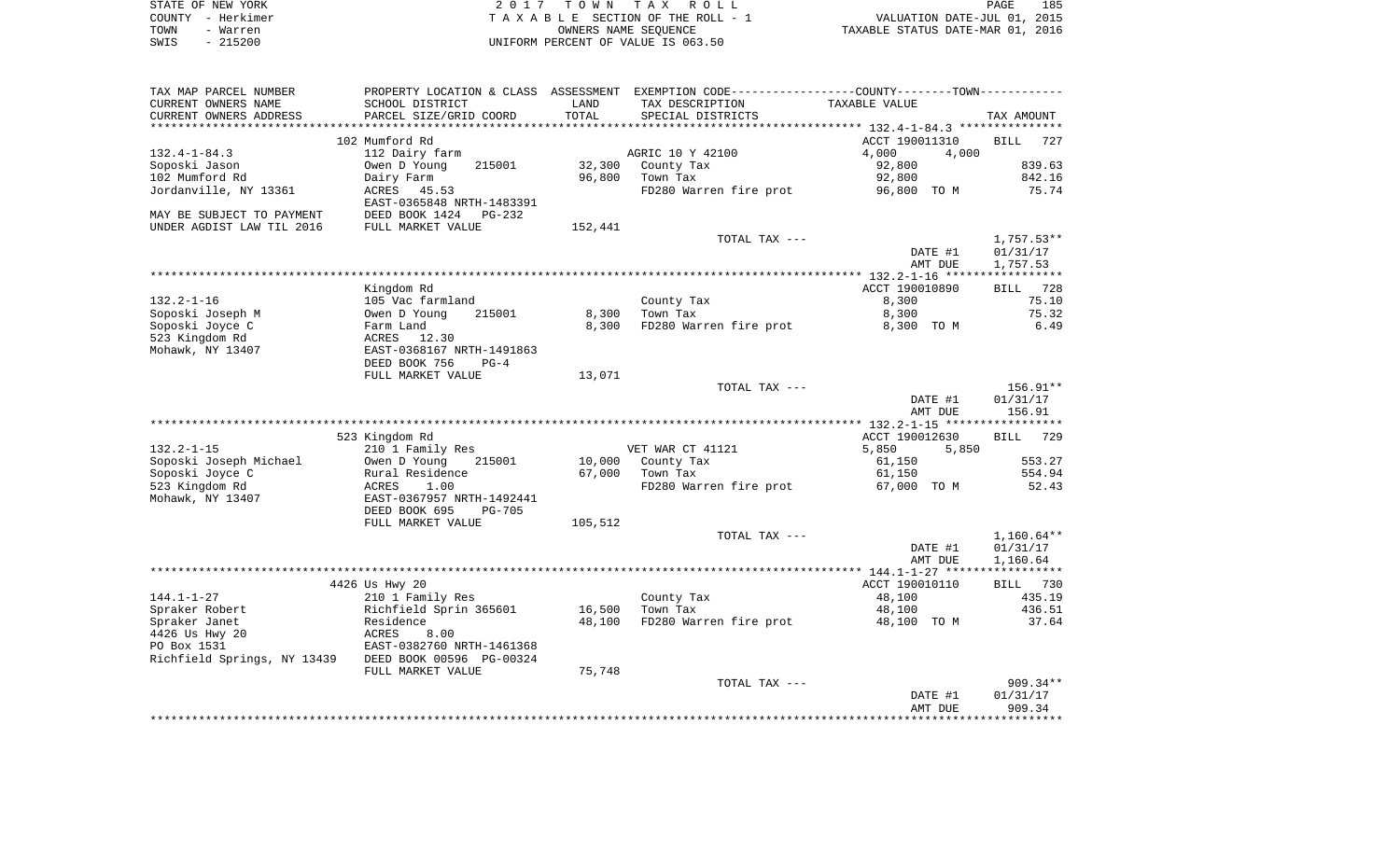|      | STATE OF NEW YORK | 2017 TOWN TAX ROLL                 | 185<br>PAGE                      |
|------|-------------------|------------------------------------|----------------------------------|
|      | COUNTY - Herkimer | TAXABLE SECTION OF THE ROLL - 1    | VALUATION DATE-JUL 01, 2015      |
| TOWN | - Warren          | OWNERS NAME SEOUENCE               | TAXABLE STATUS DATE-MAR 01, 2016 |
| SWIS | - 215200          | UNIFORM PERCENT OF VALUE IS 063.50 |                                  |

| TAX MAP PARCEL NUMBER       | PROPERTY LOCATION & CLASS                   | ASSESSMENT | EXEMPTION CODE----------------COUNTY-------TOWN----------- |                |                    |
|-----------------------------|---------------------------------------------|------------|------------------------------------------------------------|----------------|--------------------|
| CURRENT OWNERS NAME         | SCHOOL DISTRICT                             | LAND       | TAX DESCRIPTION                                            | TAXABLE VALUE  |                    |
| CURRENT OWNERS ADDRESS      | PARCEL SIZE/GRID COORD                      | TOTAL      | SPECIAL DISTRICTS                                          |                | TAX AMOUNT         |
|                             |                                             |            |                                                            |                |                    |
|                             | 102 Mumford Rd                              |            |                                                            | ACCT 190011310 | <b>BILL</b><br>727 |
| $132.4 - 1 - 84.3$          | 112 Dairy farm                              |            | AGRIC 10 Y 42100                                           | 4,000<br>4,000 |                    |
| Soposki Jason               | Owen D Young<br>215001                      | 32,300     | County Tax                                                 | 92,800         | 839.63             |
| 102 Mumford Rd              |                                             |            | Town Tax                                                   |                | 842.16             |
|                             | Dairy Farm                                  | 96,800     |                                                            | 92,800         |                    |
| Jordanville, NY 13361       | ACRES<br>45.53<br>EAST-0365848 NRTH-1483391 |            | FD280 Warren fire prot                                     | 96,800 TO M    | 75.74              |
| MAY BE SUBJECT TO PAYMENT   | DEED BOOK 1424<br>PG-232                    |            |                                                            |                |                    |
| UNDER AGDIST LAW TIL 2016   | FULL MARKET VALUE                           | 152,441    |                                                            |                |                    |
|                             |                                             |            | TOTAL TAX ---                                              |                | $1,757.53**$       |
|                             |                                             |            |                                                            | DATE #1        | 01/31/17           |
|                             |                                             |            |                                                            | AMT DUE        | 1,757.53           |
|                             |                                             |            |                                                            |                |                    |
|                             | Kingdom Rd                                  |            |                                                            | ACCT 190010890 | 728<br>BILL        |
|                             |                                             |            |                                                            |                |                    |
| $132.2 - 1 - 16$            | 105 Vac farmland                            |            | County Tax                                                 | 8,300          | 75.10              |
| Soposki Joseph M            | 215001<br>Owen D Young                      | 8,300      | Town Tax                                                   | 8,300          | 75.32              |
| Soposki Joyce C             | Farm Land                                   | 8,300      | FD280 Warren fire prot                                     | 8,300 TO M     | 6.49               |
| 523 Kingdom Rd              | ACRES<br>12.30                              |            |                                                            |                |                    |
| Mohawk, NY 13407            | EAST-0368167 NRTH-1491863                   |            |                                                            |                |                    |
|                             | DEED BOOK 756<br>$PG-4$                     |            |                                                            |                |                    |
|                             | FULL MARKET VALUE                           | 13,071     |                                                            |                |                    |
|                             |                                             |            | TOTAL TAX ---                                              |                | $156.91**$         |
|                             |                                             |            |                                                            | DATE #1        | 01/31/17           |
|                             |                                             |            |                                                            | AMT DUE        | 156.91             |
|                             |                                             |            |                                                            |                |                    |
|                             | 523 Kingdom Rd                              |            |                                                            | ACCT 190012630 | 729<br><b>BILL</b> |
| $132.2 - 1 - 15$            | 210 1 Family Res                            |            | VET WAR CT 41121                                           | 5,850<br>5,850 |                    |
|                             |                                             |            |                                                            |                |                    |
| Soposki Joseph Michael      | Owen D Young<br>215001                      | 10,000     | County Tax                                                 | 61,150         | 553.27             |
| Soposki Joyce C             | Rural Residence                             | 67,000     | Town Tax                                                   | 61,150         | 554.94             |
| 523 Kingdom Rd              | 1.00<br>ACRES                               |            | FD280 Warren fire prot                                     | 67,000 TO M    | 52.43              |
| Mohawk, NY 13407            | EAST-0367957 NRTH-1492441                   |            |                                                            |                |                    |
|                             | DEED BOOK 695<br><b>PG-705</b>              |            |                                                            |                |                    |
|                             | FULL MARKET VALUE                           | 105,512    |                                                            |                |                    |
|                             |                                             |            | TOTAL TAX ---                                              |                | $1,160.64**$       |
|                             |                                             |            |                                                            | DATE #1        | 01/31/17           |
|                             |                                             |            |                                                            | AMT DUE        | 1,160.64           |
|                             |                                             |            |                                                            |                |                    |
|                             | 4426 Us Hwy 20                              |            |                                                            | ACCT 190010110 | BILL 730           |
| $144.1 - 1 - 27$            | 210 1 Family Res                            |            | County Tax                                                 | 48,100         | 435.19             |
|                             |                                             |            |                                                            |                |                    |
| Spraker Robert              | Richfield Sprin 365601                      | 16,500     | Town Tax                                                   | 48,100         | 436.51             |
| Spraker Janet               | Residence                                   | 48,100     | FD280 Warren fire prot                                     | 48,100 TO M    | 37.64              |
| 4426 Us Hwy 20              | ACRES<br>8.00                               |            |                                                            |                |                    |
| PO Box 1531                 | EAST-0382760 NRTH-1461368                   |            |                                                            |                |                    |
| Richfield Springs, NY 13439 | DEED BOOK 00596 PG-00324                    |            |                                                            |                |                    |
|                             | FULL MARKET VALUE                           | 75,748     |                                                            |                |                    |
|                             |                                             |            | TOTAL TAX ---                                              |                | 909.34**           |
|                             |                                             |            |                                                            | DATE #1        | 01/31/17           |
|                             |                                             |            |                                                            | AMT DUE        | 909.34             |
|                             |                                             |            |                                                            |                |                    |
|                             |                                             |            |                                                            |                |                    |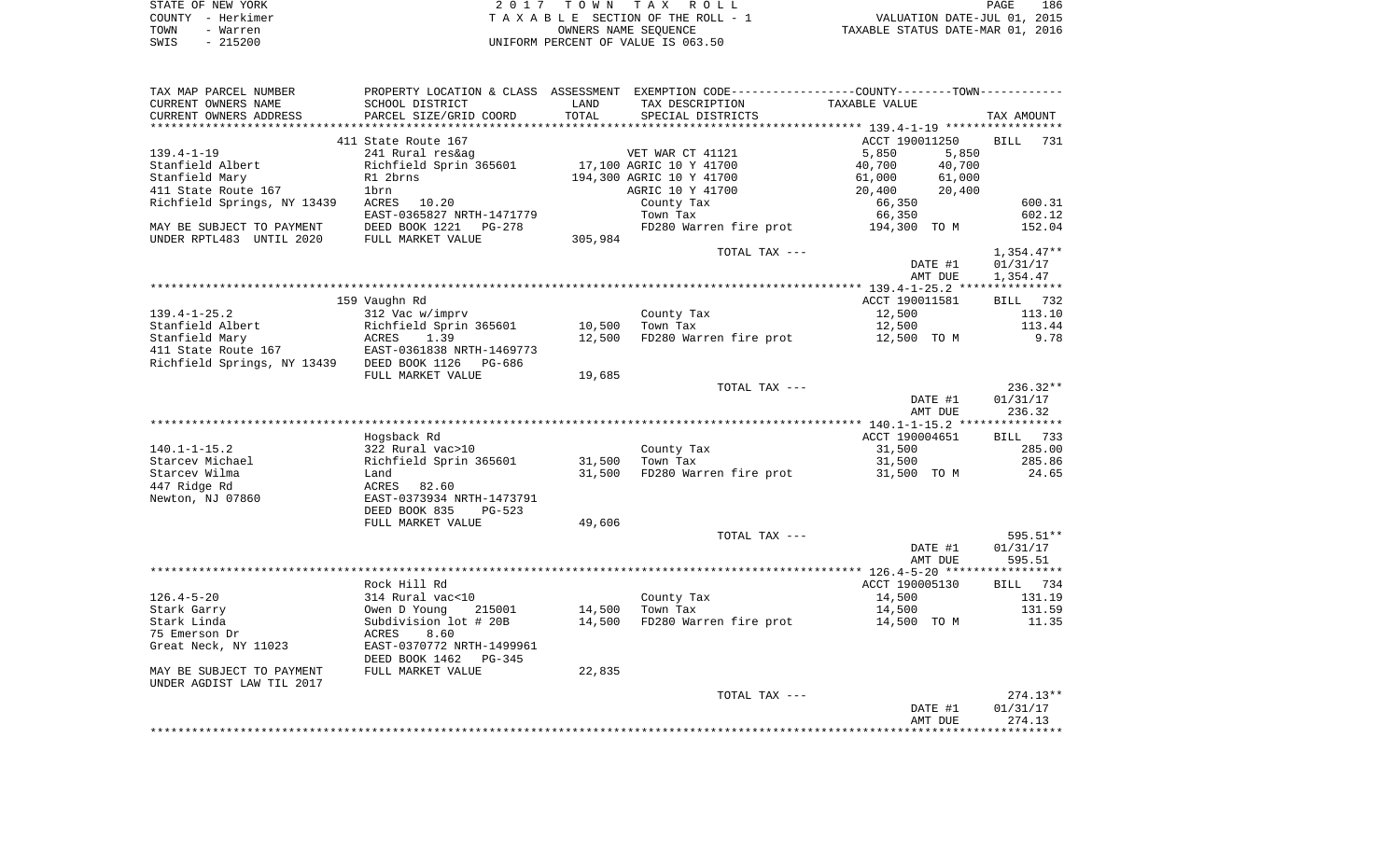|      | STATE OF NEW YORK | 2017 TOWN TAX ROLL                 | PAGE                             | 186 |
|------|-------------------|------------------------------------|----------------------------------|-----|
|      | COUNTY - Herkimer | TAXABLE SECTION OF THE ROLL - 1    | VALUATION DATE-JUL 01, 2015      |     |
| TOWN | - Warren          | OWNERS NAME SEOUENCE               | TAXABLE STATUS DATE-MAR 01, 2016 |     |
| SWIS | - 215200          | UNIFORM PERCENT OF VALUE IS 063.50 |                                  |     |

| TAX MAP PARCEL NUMBER                      |                           |         | PROPERTY LOCATION & CLASS ASSESSMENT EXEMPTION CODE---------------COUNTY-------TOWN---------- |                  |              |
|--------------------------------------------|---------------------------|---------|-----------------------------------------------------------------------------------------------|------------------|--------------|
| CURRENT OWNERS NAME                        | SCHOOL DISTRICT           | LAND    | TAX DESCRIPTION                                                                               | TAXABLE VALUE    |              |
| CURRENT OWNERS ADDRESS                     | PARCEL SIZE/GRID COORD    | TOTAL   | SPECIAL DISTRICTS                                                                             |                  | TAX AMOUNT   |
|                                            |                           |         |                                                                                               |                  |              |
|                                            | 411 State Route 167       |         |                                                                                               | ACCT 190011250   | BILL<br>731  |
| $139.4 - 1 - 19$                           | 241 Rural res&ag          |         | VET WAR CT 41121                                                                              | 5,850            | 5,850        |
| Stanfield Albert                           | Richfield Sprin 365601    |         | 17,100 AGRIC 10 Y 41700                                                                       | 40,700           | 40,700       |
| Stanfield Mary                             | R1 2brns                  |         | 194,300 AGRIC 10 Y 41700                                                                      | 61,000<br>61,000 |              |
| 411 State Route 167                        | 1brn                      |         | AGRIC 10 Y 41700                                                                              | 20,400           | 20,400       |
| Richfield Springs, NY 13439                | ACRES 10.20               |         | County Tax                                                                                    | 66,350           | 600.31       |
|                                            | EAST-0365827 NRTH-1471779 |         | Town Tax                                                                                      | 66,350           | 602.12       |
| MAY BE SUBJECT TO PAYMENT                  | DEED BOOK 1221 PG-278     |         | FD280 Warren fire prot                                                                        | 194,300 TO M     | 152.04       |
| UNDER RPTL483 UNTIL 2020                   | FULL MARKET VALUE         | 305,984 |                                                                                               |                  |              |
|                                            |                           |         | TOTAL TAX ---                                                                                 |                  | $1,354.47**$ |
|                                            |                           |         |                                                                                               |                  |              |
|                                            |                           |         |                                                                                               | DATE #1          | 01/31/17     |
|                                            |                           |         |                                                                                               | AMT DUE          | 1,354.47     |
|                                            |                           |         |                                                                                               |                  |              |
|                                            | 159 Vaughn Rd             |         |                                                                                               | ACCT 190011581   | BILL 732     |
| $139.4 - 1 - 25.2$                         | 312 Vac w/imprv           |         | County Tax                                                                                    | 12,500           | 113.10       |
| Stanfield Albert                           | Richfield Sprin 365601    | 10,500  | Town Tax                                                                                      | 12,500           | 113.44       |
| Stanfield Mary                             | ACRES<br>1.39             | 12,500  | FD280 Warren fire prot                                                                        | 12,500 TO M      | 9.78         |
| 411 State Route 167                        | EAST-0361838 NRTH-1469773 |         |                                                                                               |                  |              |
| Richfield Springs, NY 13439 DEED BOOK 1126 | PG-686                    |         |                                                                                               |                  |              |
|                                            | FULL MARKET VALUE         | 19,685  |                                                                                               |                  |              |
|                                            |                           |         | TOTAL TAX ---                                                                                 |                  | $236.32**$   |
|                                            |                           |         |                                                                                               | DATE #1          | 01/31/17     |
|                                            |                           |         |                                                                                               | AMT DUE          | 236.32       |
|                                            |                           |         |                                                                                               |                  |              |
|                                            | Hogsback Rd               |         |                                                                                               | ACCT 190004651   | BILL 733     |
| $140.1 - 1 - 15.2$                         | 322 Rural vac>10          |         | County Tax                                                                                    | 31,500           | 285.00       |
| Starcev Michael                            | Richfield Sprin 365601    | 31,500  | Town Tax                                                                                      | 31,500           | 285.86       |
| Starcev Wilma                              | Land                      | 31,500  | FD280 Warren fire prot                                                                        | 31,500 TO M      | 24.65        |
| 447 Ridge Rd                               | ACRES<br>82.60            |         |                                                                                               |                  |              |
| Newton, NJ 07860                           | EAST-0373934 NRTH-1473791 |         |                                                                                               |                  |              |
|                                            | DEED BOOK 835<br>PG-523   |         |                                                                                               |                  |              |
|                                            | FULL MARKET VALUE         | 49,606  |                                                                                               |                  |              |
|                                            |                           |         | TOTAL TAX ---                                                                                 |                  | 595.51**     |
|                                            |                           |         |                                                                                               | DATE #1          | 01/31/17     |
|                                            |                           |         |                                                                                               | AMT DUE          | 595.51       |
|                                            |                           |         |                                                                                               |                  |              |
|                                            | Rock Hill Rd              |         |                                                                                               | ACCT 190005130   | BILL 734     |
|                                            |                           |         |                                                                                               |                  |              |
| $126.4 - 5 - 20$                           | 314 Rural vac<10          |         | County Tax                                                                                    | 14,500           | 131.19       |
| Stark Garry                                | 215001<br>Owen D Young    | 14,500  | Town Tax                                                                                      | 14,500           | 131.59       |
| Stark Linda                                | Subdivision lot # 20B     | 14,500  | FD280 Warren fire prot                                                                        | 14,500 TO M      | 11.35        |
| 75 Emerson Dr                              | ACRES<br>8.60             |         |                                                                                               |                  |              |
| Great Neck, NY 11023                       | EAST-0370772 NRTH-1499961 |         |                                                                                               |                  |              |
|                                            | DEED BOOK 1462<br>PG-345  |         |                                                                                               |                  |              |
| MAY BE SUBJECT TO PAYMENT                  | FULL MARKET VALUE         | 22,835  |                                                                                               |                  |              |
| UNDER AGDIST LAW TIL 2017                  |                           |         |                                                                                               |                  |              |
|                                            |                           |         | TOTAL TAX ---                                                                                 |                  | $274.13**$   |
|                                            |                           |         |                                                                                               | DATE #1          | 01/31/17     |
|                                            |                           |         |                                                                                               | AMT DUE          | 274.13       |
|                                            |                           |         |                                                                                               |                  |              |
|                                            |                           |         |                                                                                               |                  |              |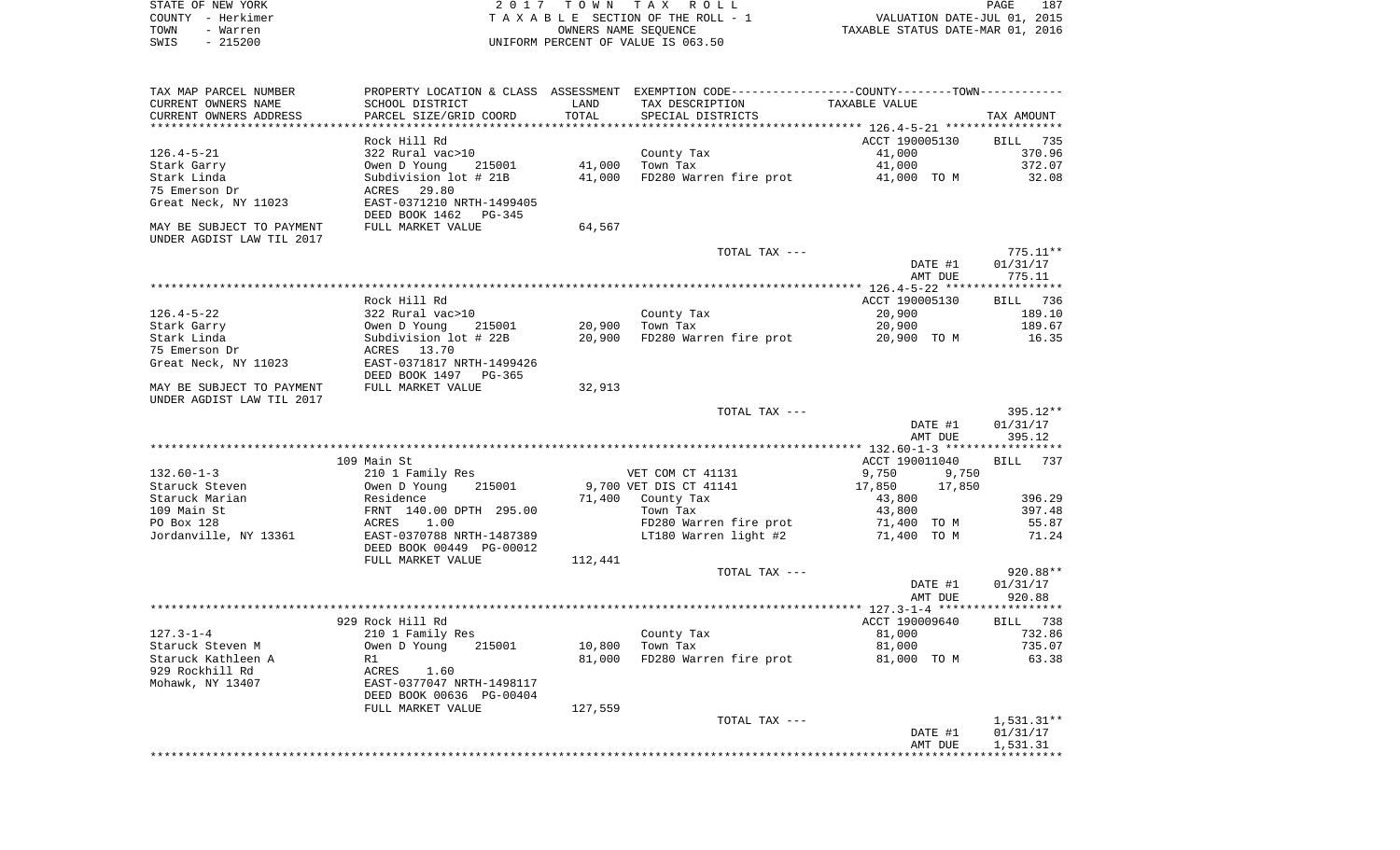| STATE OF NEW YORK | 2017 TOWN TAX ROLL                 | 187<br>PAGE                      |
|-------------------|------------------------------------|----------------------------------|
| COUNTY - Herkimer | TAXABLE SECTION OF THE ROLL - 1    | VALUATION DATE-JUL 01, 2015      |
| TOWN<br>- Warren  | OWNERS NAME SEOUENCE               | TAXABLE STATUS DATE-MAR 01, 2016 |
| - 215200<br>SWIS  | UNIFORM PERCENT OF VALUE IS 063.50 |                                  |

 $\frac{187}{2015}$ 

| TAX MAP PARCEL NUMBER     |                                          |         | PROPERTY LOCATION & CLASS ASSESSMENT EXEMPTION CODE---------------COUNTY--------TOWN---------- |                            |                    |
|---------------------------|------------------------------------------|---------|------------------------------------------------------------------------------------------------|----------------------------|--------------------|
| CURRENT OWNERS NAME       | SCHOOL DISTRICT                          | LAND    | TAX DESCRIPTION                                                                                | <b>TAXABLE VALUE</b>       |                    |
| CURRENT OWNERS ADDRESS    | PARCEL SIZE/GRID COORD                   | TOTAL   | SPECIAL DISTRICTS                                                                              |                            | TAX AMOUNT         |
|                           |                                          |         |                                                                                                |                            |                    |
|                           | Rock Hill Rd                             |         |                                                                                                | ACCT 190005130             | BILL 735           |
| $126.4 - 5 - 21$          | 322 Rural vac>10                         |         | County Tax                                                                                     | 41,000                     | 370.96             |
| Stark Garry               | Owen D Young<br>215001                   | 41,000  | Town Tax                                                                                       | 41,000                     | 372.07             |
| Stark Linda               | Subdivision lot # 21B                    | 41,000  | FD280 Warren fire prot                                                                         | 41,000 TO M                | 32.08              |
| 75 Emerson Dr             | 29.80<br>ACRES                           |         |                                                                                                |                            |                    |
| Great Neck, NY 11023      | EAST-0371210 NRTH-1499405                |         |                                                                                                |                            |                    |
|                           | DEED BOOK 1462<br>PG-345                 |         |                                                                                                |                            |                    |
| MAY BE SUBJECT TO PAYMENT | FULL MARKET VALUE                        | 64,567  |                                                                                                |                            |                    |
| UNDER AGDIST LAW TIL 2017 |                                          |         |                                                                                                |                            |                    |
|                           |                                          |         | TOTAL TAX ---                                                                                  |                            | $775.11**$         |
|                           |                                          |         |                                                                                                | DATE #1                    | 01/31/17           |
|                           |                                          |         |                                                                                                | AMT DUE                    | 775.11             |
|                           |                                          |         |                                                                                                |                            |                    |
|                           | Rock Hill Rd                             |         |                                                                                                | ACCT 190005130             | BILL 736           |
| $126.4 - 5 - 22$          | 322 Rural vac>10                         |         | County Tax                                                                                     | 20,900                     | 189.10             |
| Stark Garry               | 215001<br>Owen D Young                   | 20,900  | Town Tax                                                                                       | 20,900                     | 189.67             |
| Stark Linda               | Subdivision lot # 22B                    | 20,900  | FD280 Warren fire prot                                                                         | 20,900 TO M                | 16.35              |
| 75 Emerson Dr             | ACRES 13.70                              |         |                                                                                                |                            |                    |
| Great Neck, NY 11023      | EAST-0371817 NRTH-1499426                |         |                                                                                                |                            |                    |
|                           | DEED BOOK 1497 PG-365                    |         |                                                                                                |                            |                    |
| MAY BE SUBJECT TO PAYMENT | FULL MARKET VALUE                        | 32,913  |                                                                                                |                            |                    |
| UNDER AGDIST LAW TIL 2017 |                                          |         |                                                                                                |                            |                    |
|                           |                                          |         | TOTAL TAX ---                                                                                  |                            | 395.12**           |
|                           |                                          |         |                                                                                                | DATE #1                    | 01/31/17           |
|                           |                                          |         |                                                                                                | AMT DUE                    | 395.12             |
|                           |                                          |         |                                                                                                |                            |                    |
| $132.60 - 1 - 3$          | 109 Main St                              |         | VET COM CT 41131                                                                               | ACCT 190011040<br>9,750    | <b>BILL</b><br>737 |
|                           | 210 1 Family Res                         |         |                                                                                                | 9,750                      |                    |
| Staruck Steven            | Owen D Young<br>215001                   |         | 9,700 VET DIS CT 41141                                                                         | 17,850<br>17,850           |                    |
| Staruck Marian            | Residence                                | 71,400  | County Tax                                                                                     | 43,800                     | 396.29<br>397.48   |
| 109 Main St<br>PO Box 128 | FRNT 140.00 DPTH 295.00<br>ACRES<br>1.00 |         | Town Tax                                                                                       | 43,800                     | 55.87              |
| Jordanville, NY 13361     | EAST-0370788 NRTH-1487389                |         | FD280 Warren fire prot<br>LT180 Warren light #2                                                | 71,400 TO M<br>71,400 TO M | 71.24              |
|                           | DEED BOOK 00449 PG-00012                 |         |                                                                                                |                            |                    |
|                           | FULL MARKET VALUE                        | 112,441 |                                                                                                |                            |                    |
|                           |                                          |         | TOTAL TAX ---                                                                                  |                            | 920.88**           |
|                           |                                          |         |                                                                                                | DATE #1                    | 01/31/17           |
|                           |                                          |         |                                                                                                | AMT DUE                    | 920.88             |
|                           |                                          |         |                                                                                                |                            |                    |
|                           | 929 Rock Hill Rd                         |         |                                                                                                | ACCT 190009640             | BILL 738           |
| $127.3 - 1 - 4$           | 210 1 Family Res                         |         | County Tax                                                                                     | 81,000                     | 732.86             |
| Staruck Steven M          | Owen D Young<br>215001                   | 10,800  | Town Tax                                                                                       | 81,000                     | 735.07             |
| Staruck Kathleen A        | R1                                       | 81,000  | FD280 Warren fire prot                                                                         | 81,000 TO M                | 63.38              |
| 929 Rockhill Rd           | ACRES<br>1.60                            |         |                                                                                                |                            |                    |
| Mohawk, NY 13407          | EAST-0377047 NRTH-1498117                |         |                                                                                                |                            |                    |
|                           | DEED BOOK 00636 PG-00404                 |         |                                                                                                |                            |                    |
|                           | FULL MARKET VALUE                        | 127,559 |                                                                                                |                            |                    |
|                           |                                          |         | TOTAL TAX ---                                                                                  |                            | $1,531.31**$       |
|                           |                                          |         |                                                                                                | DATE #1                    | 01/31/17           |
|                           |                                          |         |                                                                                                | AMT DUE                    | 1,531.31           |
|                           |                                          |         |                                                                                                |                            |                    |
|                           |                                          |         |                                                                                                |                            |                    |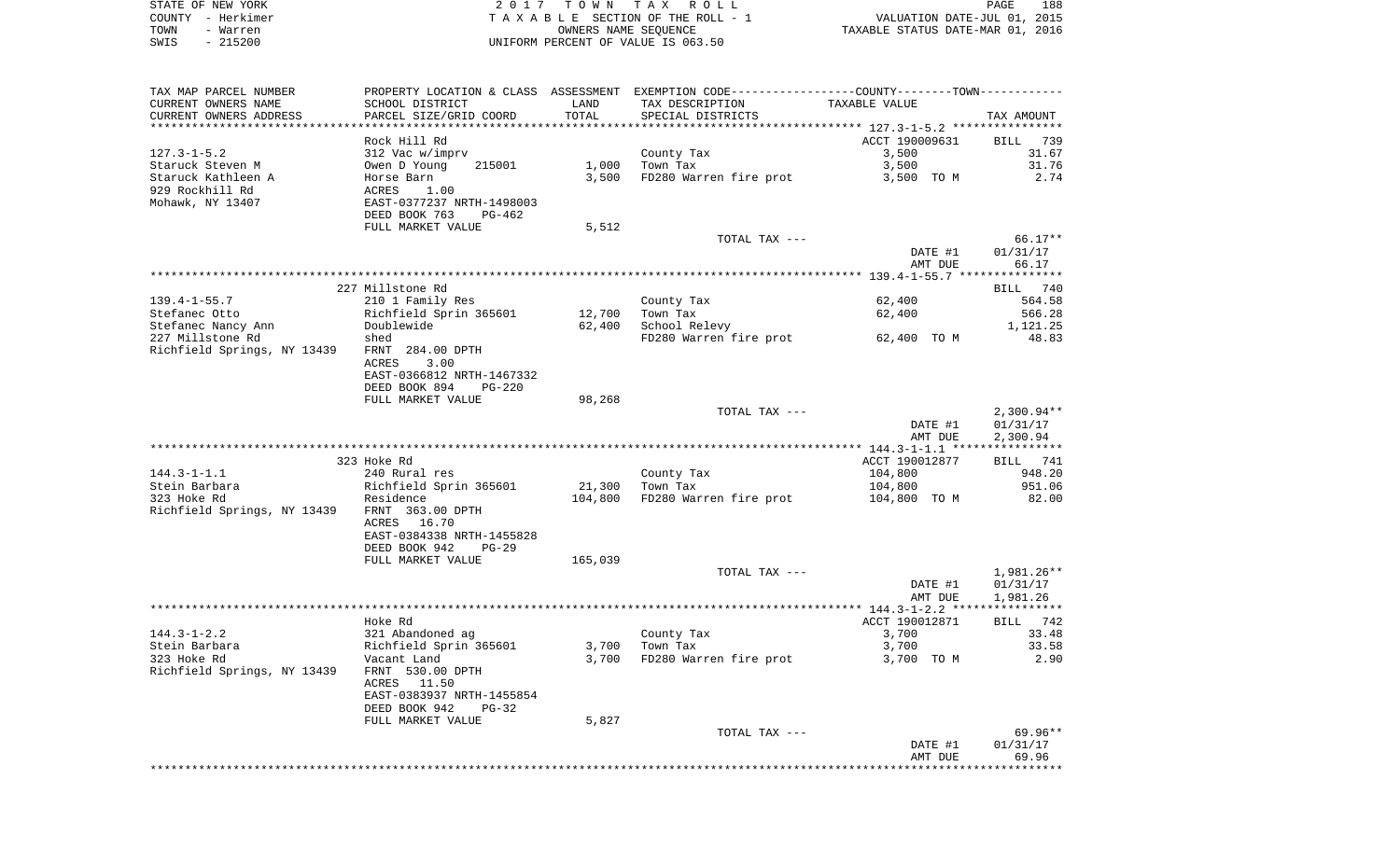|      | STATE OF NEW YORK | 2017 TOWN TAX ROLL                 | PAGE                             | 188 |
|------|-------------------|------------------------------------|----------------------------------|-----|
|      | COUNTY - Herkimer | TAXABLE SECTION OF THE ROLL - 1    | VALUATION DATE-JUL 01, 2015      |     |
| TOWN | - Warren          | OWNERS NAME SEOUENCE               | TAXABLE STATUS DATE-MAR 01, 2016 |     |
| SWIS | $-215200$         | UNIFORM PERCENT OF VALUE IS 063.50 |                                  |     |

| TAX MAP PARCEL NUMBER                        |                                |         |                        | PROPERTY LOCATION & CLASS ASSESSMENT EXEMPTION CODE----------------COUNTY-------TOWN---------- |                 |
|----------------------------------------------|--------------------------------|---------|------------------------|------------------------------------------------------------------------------------------------|-----------------|
| CURRENT OWNERS NAME                          | SCHOOL DISTRICT                | LAND    | TAX DESCRIPTION        | TAXABLE VALUE                                                                                  |                 |
| CURRENT OWNERS ADDRESS                       | PARCEL SIZE/GRID COORD         | TOTAL   | SPECIAL DISTRICTS      |                                                                                                | TAX AMOUNT      |
|                                              |                                |         |                        |                                                                                                |                 |
|                                              | Rock Hill Rd                   |         |                        | ACCT 190009631                                                                                 | BILL 739        |
| $127.3 - 1 - 5.2$                            | 312 Vac w/imprv                |         | County Tax             | 3,500                                                                                          | 31.67           |
| Staruck Steven M                             | 215001<br>Owen D Young         | 1,000   | Town Tax               | 3,500                                                                                          | 31.76           |
| Staruck Kathleen A                           | Horse Barn                     | 3,500   | FD280 Warren fire prot | 3,500 TO M                                                                                     | 2.74            |
| 929 Rockhill Rd                              | ACRES<br>1.00                  |         |                        |                                                                                                |                 |
| Mohawk, NY 13407                             | EAST-0377237 NRTH-1498003      |         |                        |                                                                                                |                 |
|                                              | DEED BOOK 763<br>PG-462        |         |                        |                                                                                                |                 |
|                                              | FULL MARKET VALUE              | 5,512   |                        |                                                                                                |                 |
|                                              |                                |         | TOTAL TAX ---          |                                                                                                | 66.17**         |
|                                              |                                |         |                        | DATE #1                                                                                        | 01/31/17        |
|                                              |                                |         |                        | AMT DUE                                                                                        | 66.17           |
|                                              |                                |         |                        |                                                                                                |                 |
|                                              | 227 Millstone Rd               |         |                        |                                                                                                | BILL 740        |
| $139.4 - 1 - 55.7$                           | 210 1 Family Res               |         | County Tax             | 62,400                                                                                         | 564.58          |
| Stefanec Otto                                | Richfield Sprin 365601         | 12,700  | Town Tax               | 62,400                                                                                         | 566.28          |
| Stefanec Nancy Ann                           | Doublewide                     | 62,400  | School Relevy          |                                                                                                | 1,121.25        |
| 227 Millstone Rd                             | shed                           |         | FD280 Warren fire prot | 62,400 TO M                                                                                    | 48.83           |
| Richfield Springs, NY 13439                  | FRNT 284.00 DPTH               |         |                        |                                                                                                |                 |
|                                              | 3.00<br>ACRES                  |         |                        |                                                                                                |                 |
|                                              | EAST-0366812 NRTH-1467332      |         |                        |                                                                                                |                 |
|                                              | DEED BOOK 894<br><b>PG-220</b> |         |                        |                                                                                                |                 |
|                                              | FULL MARKET VALUE              | 98,268  |                        |                                                                                                |                 |
|                                              |                                |         | TOTAL TAX ---          |                                                                                                | $2,300.94**$    |
|                                              |                                |         |                        | DATE #1                                                                                        | 01/31/17        |
|                                              |                                |         |                        | AMT DUE                                                                                        | 2,300.94        |
|                                              |                                |         |                        |                                                                                                |                 |
|                                              | 323 Hoke Rd                    |         |                        | ACCT 190012877                                                                                 | <b>BILL</b> 741 |
| $144.3 - 1 - 1.1$                            | 240 Rural res                  |         | County Tax             | 104,800                                                                                        | 948.20          |
| Stein Barbara                                | Richfield Sprin 365601         | 21,300  | Town Tax               | 104,800                                                                                        | 951.06          |
| 323 Hoke Rd                                  | Residence                      | 104,800 | FD280 Warren fire prot | 104,800 TO M                                                                                   | 82.00           |
| Richfield Springs, NY 13439 FRNT 363.00 DPTH |                                |         |                        |                                                                                                |                 |
|                                              | ACRES<br>16.70                 |         |                        |                                                                                                |                 |
|                                              | EAST-0384338 NRTH-1455828      |         |                        |                                                                                                |                 |
|                                              | DEED BOOK 942<br>$PG-29$       |         |                        |                                                                                                |                 |
|                                              | FULL MARKET VALUE              | 165,039 |                        |                                                                                                |                 |
|                                              |                                |         | TOTAL TAX ---          |                                                                                                | 1,981.26**      |
|                                              |                                |         |                        | DATE #1                                                                                        | 01/31/17        |
|                                              |                                |         |                        | AMT DUE                                                                                        | 1,981.26        |
|                                              |                                |         |                        |                                                                                                |                 |
|                                              | Hoke Rd                        |         |                        | ACCT 190012871                                                                                 | BILL<br>742     |
| $144.3 - 1 - 2.2$                            | 321 Abandoned ag               |         | County Tax             | 3,700                                                                                          | 33.48           |
| Stein Barbara                                | Richfield Sprin 365601         | 3,700   | Town Tax               | 3,700                                                                                          | 33.58           |
| 323 Hoke Rd                                  | Vacant Land                    | 3,700   | FD280 Warren fire prot | 3,700 TO M                                                                                     | 2.90            |
| Richfield Springs, NY 13439                  | FRNT 530.00 DPTH               |         |                        |                                                                                                |                 |
|                                              | ACRES 11.50                    |         |                        |                                                                                                |                 |
|                                              | EAST-0383937 NRTH-1455854      |         |                        |                                                                                                |                 |
|                                              | DEED BOOK 942<br>$PG-32$       |         |                        |                                                                                                |                 |
|                                              | FULL MARKET VALUE              | 5,827   |                        |                                                                                                |                 |
|                                              |                                |         | TOTAL TAX ---          |                                                                                                | 69.96**         |
|                                              |                                |         |                        | DATE #1                                                                                        | 01/31/17        |
|                                              |                                |         |                        | AMT DUE                                                                                        | 69.96           |
|                                              |                                |         |                        |                                                                                                |                 |
|                                              |                                |         |                        |                                                                                                |                 |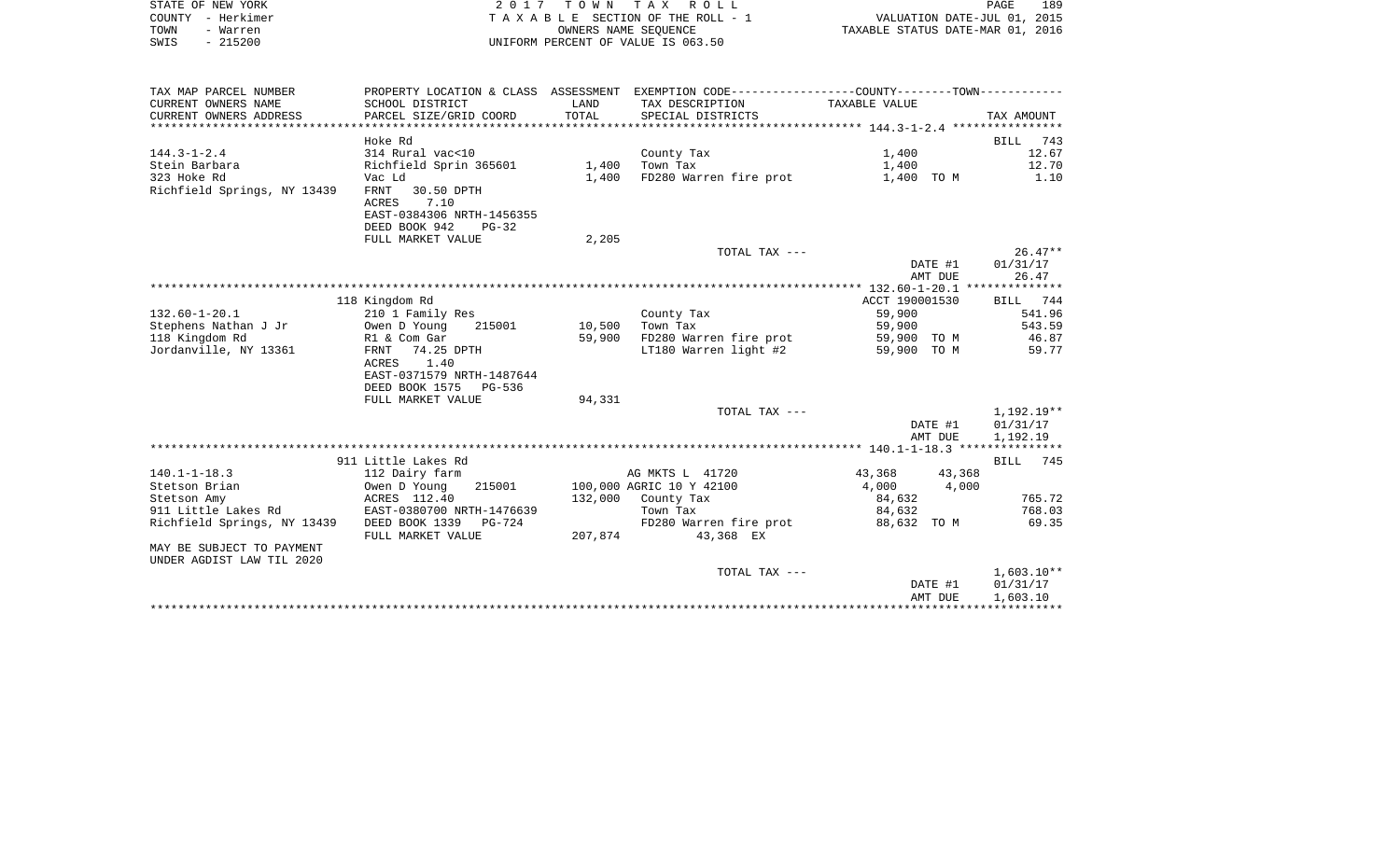| STATE OF NEW YORK                                  |                                                                                               |         | 2017 TOWN TAX ROLL                 |                                                                             | 189                      |
|----------------------------------------------------|-----------------------------------------------------------------------------------------------|---------|------------------------------------|-----------------------------------------------------------------------------|--------------------------|
| COUNTY - Herkimer                                  | TAXABLE SECTION OF THE ROLL - 1                                                               |         |                                    |                                                                             |                          |
| - Warren<br>TOWN                                   |                                                                                               |         | OWNERS NAME SEOUENCE               | PAGE 189<br>VALUATION DATE-JUL 01, 2015<br>TAXABLE STATUS DATE-MAR 01, 2016 |                          |
| $-215200$<br>SWIS                                  |                                                                                               |         | UNIFORM PERCENT OF VALUE IS 063.50 |                                                                             |                          |
|                                                    |                                                                                               |         |                                    |                                                                             |                          |
| TAX MAP PARCEL NUMBER                              | PROPERTY LOCATION & CLASS ASSESSMENT EXEMPTION CODE---------------COUNTY-------TOWN---------- |         |                                    |                                                                             |                          |
| CURRENT OWNERS NAME                                | SCHOOL DISTRICT                                                                               | LAND    | TAX DESCRIPTION                    | TAXABLE VALUE                                                               |                          |
| CURRENT OWNERS ADDRESS                             | PARCEL SIZE/GRID COORD                                                                        | TOTAL   | SPECIAL DISTRICTS                  |                                                                             | TAX AMOUNT               |
|                                                    |                                                                                               |         |                                    |                                                                             |                          |
|                                                    | Hoke Rd                                                                                       |         |                                    |                                                                             | BILL 743                 |
| $144.3 - 1 - 2.4$                                  | 314 Rural vac<10                                                                              |         | County Tax                         | 1,400                                                                       | 12.67                    |
| Stein Barbara                                      | Richfield Sprin 365601                                                                        |         | $\mathbf{r}$<br>$1,400$ Town Tax   | 1,400                                                                       | 12.70                    |
| 323 Hoke Rd                                        | Vac Ld                                                                                        |         | 1,400 FD280 Warren fire prot       | 1,400 TO M                                                                  | 1.10                     |
| Richfield Springs, NY 13439                        | FRNT<br>30.50 DPTH                                                                            |         |                                    |                                                                             |                          |
|                                                    | 7.10<br>ACRES                                                                                 |         |                                    |                                                                             |                          |
|                                                    | EAST-0384306 NRTH-1456355                                                                     |         |                                    |                                                                             |                          |
|                                                    | DEED BOOK 942<br>$PG-32$                                                                      |         |                                    |                                                                             |                          |
|                                                    | FULL MARKET VALUE                                                                             | 2,205   |                                    |                                                                             |                          |
|                                                    |                                                                                               |         | TOTAL TAX ---                      |                                                                             | $26.47**$                |
|                                                    |                                                                                               |         |                                    | DATE #1                                                                     | 01/31/17                 |
|                                                    |                                                                                               |         |                                    | AMT DUE                                                                     | 26.47                    |
|                                                    |                                                                                               |         |                                    |                                                                             |                          |
|                                                    | 118 Kingdom Rd                                                                                |         |                                    | ACCT 190001530                                                              | 744<br>BILL              |
| $132.60 - 1 - 20.1$                                | 210 1 Family Res                                                                              |         | County Tax                         | 59,900                                                                      | 541.96                   |
| Stephens Nathan J Jr                               | Owen D Young<br>215001                                                                        |         | 10,500 Town Tax                    | 59,900                                                                      | 543.59                   |
| 118 Kingdom Rd                                     | R1 & Com Gar                                                                                  |         | 59,900 FD280 Warren fire prot      | 59,900 TO M                                                                 | 46.87                    |
| Jordanville, NY 13361                              | FRNT<br>74.25 DPTH                                                                            |         | LT180 Warren light #2              | 59,900 TO M                                                                 | 59.77                    |
|                                                    | 1.40<br>ACRES                                                                                 |         |                                    |                                                                             |                          |
|                                                    | EAST-0371579 NRTH-1487644                                                                     |         |                                    |                                                                             |                          |
|                                                    | DEED BOOK 1575<br>PG-536                                                                      |         |                                    |                                                                             |                          |
|                                                    | FULL MARKET VALUE                                                                             | 94,331  |                                    |                                                                             |                          |
|                                                    |                                                                                               |         | TOTAL TAX ---                      |                                                                             | $1,192.19**$             |
|                                                    |                                                                                               |         |                                    | DATE #1                                                                     | 01/31/17                 |
|                                                    |                                                                                               |         |                                    | AMT DUE                                                                     | 1,192.19                 |
|                                                    | 911 Little Lakes Rd                                                                           |         |                                    |                                                                             | 745<br>BILL              |
| $140.1 - 1 - 18.3$                                 | 112 Dairy farm                                                                                |         | AG MKTS L 41720                    | 43,368 43,368                                                               |                          |
| Stetson Brian                                      | Owen D Young<br>215001                                                                        |         | 100,000 AGRIC 10 Y 42100           | 4,000                                                                       | 4,000                    |
| Stetson Amy                                        | ACRES 112.40                                                                                  |         | 132,000 County Tax                 | 84,632                                                                      | 765.72                   |
|                                                    |                                                                                               |         |                                    |                                                                             |                          |
| 911 Little Lakes Rd<br>Richfield Springs, NY 13439 | EAST-0380700 NRTH-1476639<br>DEED BOOK 1339 PG-724                                            |         | Town Tax<br>FD280 Warren fire prot | 84,632<br>88,632 TO M                                                       | 768.03<br>69.35          |
|                                                    | FULL MARKET VALUE                                                                             | 207,874 | 43,368 EX                          |                                                                             |                          |
| MAY BE SUBJECT TO PAYMENT                          |                                                                                               |         |                                    |                                                                             |                          |
|                                                    |                                                                                               |         |                                    |                                                                             |                          |
|                                                    |                                                                                               |         |                                    |                                                                             |                          |
| UNDER AGDIST LAW TIL 2020                          |                                                                                               |         |                                    |                                                                             |                          |
|                                                    |                                                                                               |         | TOTAL TAX ---                      | DATE #1                                                                     | $1,603.10**$<br>01/31/17 |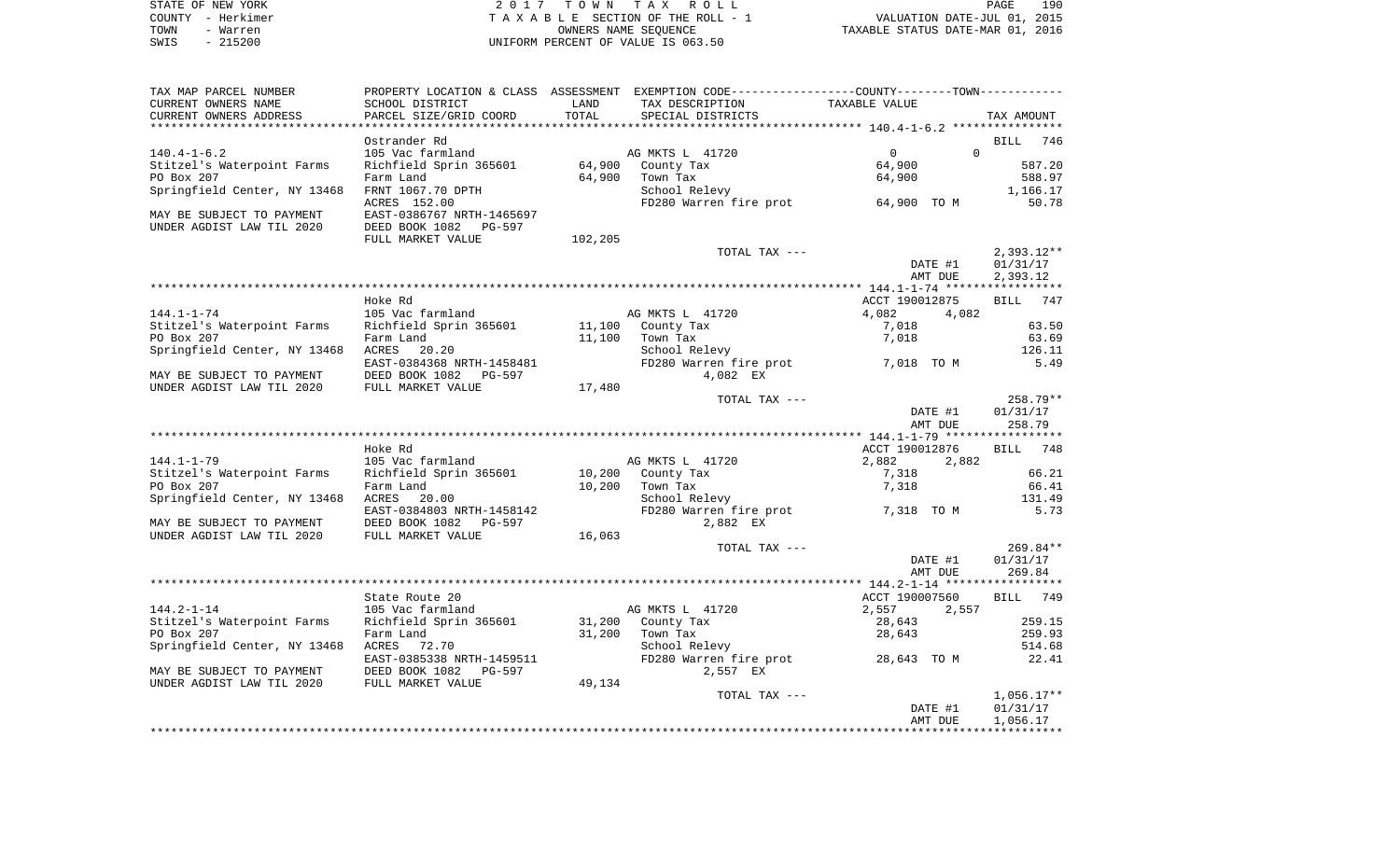| STATE OF NEW YORK | 2017 TOWN TAX ROLL                 | 190<br>PAGE                      |
|-------------------|------------------------------------|----------------------------------|
| COUNTY - Herkimer | TAXABLE SECTION OF THE ROLL - 1    | VALUATION DATE-JUL 01, 2015      |
| TOWN<br>- Warren  | OWNERS NAME SEOUENCE               | TAXABLE STATUS DATE-MAR 01, 2016 |
| - 215200<br>SWIS  | UNIFORM PERCENT OF VALUE IS 063.50 |                                  |

| TAX MAP PARCEL NUMBER                                  |                           |         | PROPERTY LOCATION & CLASS ASSESSMENT EXEMPTION CODE----------------COUNTY-------TOWN---------- |                      |                          |
|--------------------------------------------------------|---------------------------|---------|------------------------------------------------------------------------------------------------|----------------------|--------------------------|
| CURRENT OWNERS NAME                                    | SCHOOL DISTRICT           | LAND    | TAX DESCRIPTION                                                                                | TAXABLE VALUE        |                          |
| CURRENT OWNERS ADDRESS                                 | PARCEL SIZE/GRID COORD    | TOTAL   | SPECIAL DISTRICTS                                                                              |                      | TAX AMOUNT               |
|                                                        |                           |         |                                                                                                |                      |                          |
|                                                        | Ostrander Rd              |         |                                                                                                |                      | <b>BILL</b><br>746       |
| $140.4 - 1 - 6.2$                                      | 105 Vac farmland          |         | AG MKTS L 41720                                                                                | $\Omega$<br>$\Omega$ |                          |
| Stitzel's Waterpoint Farms                             | Richfield Sprin 365601    | 64,900  | County Tax                                                                                     | 64,900               | 587.20                   |
| PO Box 207                                             | Farm Land                 | 64,900  | Town Tax                                                                                       | 64,900               | 588.97                   |
| Springfield Center, NY 13468                           | FRNT 1067.70 DPTH         |         | School Relevy                                                                                  |                      | 1,166.17                 |
|                                                        | ACRES 152.00              |         | FD280 Warren fire prot                                                                         | 64,900 TO M          | 50.78                    |
| MAY BE SUBJECT TO PAYMENT<br>UNDER AGDIST LAW TIL 2020 | EAST-0386767 NRTH-1465697 |         |                                                                                                |                      |                          |
|                                                        | DEED BOOK 1082 PG-597     |         |                                                                                                |                      |                          |
|                                                        | FULL MARKET VALUE         | 102,205 | TOTAL TAX ---                                                                                  |                      | $2,393.12**$             |
|                                                        |                           |         |                                                                                                | DATE #1              | 01/31/17                 |
|                                                        |                           |         |                                                                                                | AMT DUE              | 2,393.12                 |
|                                                        |                           |         |                                                                                                |                      |                          |
|                                                        | Hoke Rd                   |         |                                                                                                | ACCT 190012875       | 747<br>BILL              |
| $144.1 - 1 - 74$                                       | 105 Vac farmland          |         | AG MKTS L 41720                                                                                | 4,082<br>4,082       |                          |
| Stitzel's Waterpoint Farms                             | Richfield Sprin 365601    | 11,100  | County Tax                                                                                     | 7,018                | 63.50                    |
| PO Box 207                                             | Farm Land                 | 11,100  | Town Tax                                                                                       | 7,018                | 63.69                    |
| Springfield Center, NY 13468                           | ACRES<br>20.20            |         | School Relevy                                                                                  |                      | 126.11                   |
|                                                        | EAST-0384368 NRTH-1458481 |         | FD280 Warren fire prot                                                                         | 7,018 TO M           | 5.49                     |
| MAY BE SUBJECT TO PAYMENT                              | DEED BOOK 1082<br>PG-597  |         | 4,082 EX                                                                                       |                      |                          |
| UNDER AGDIST LAW TIL 2020                              | FULL MARKET VALUE         | 17,480  |                                                                                                |                      |                          |
|                                                        |                           |         | TOTAL TAX ---                                                                                  |                      | 258.79**                 |
|                                                        |                           |         |                                                                                                | DATE #1              | 01/31/17                 |
|                                                        |                           |         |                                                                                                | AMT DUE              | 258.79                   |
|                                                        |                           |         |                                                                                                |                      |                          |
|                                                        | Hoke Rd                   |         |                                                                                                | ACCT 190012876       | 748<br><b>BILL</b>       |
| $144.1 - 1 - 79$                                       | 105 Vac farmland          |         | AG MKTS L 41720                                                                                | 2,882<br>2,882       |                          |
| Stitzel's Waterpoint Farms                             | Richfield Sprin 365601    | 10,200  | County Tax                                                                                     | 7,318                | 66.21                    |
| PO Box 207                                             | Farm Land                 | 10,200  | Town Tax                                                                                       | 7,318                | 66.41                    |
| Springfield Center, NY 13468                           | ACRES<br>20.00            |         | School Relevy                                                                                  |                      | 131.49                   |
|                                                        | EAST-0384803 NRTH-1458142 |         | FD280 Warren fire prot                                                                         | 7,318 TO M           | 5.73                     |
| MAY BE SUBJECT TO PAYMENT                              | DEED BOOK 1082 PG-597     |         | 2,882 EX                                                                                       |                      |                          |
| UNDER AGDIST LAW TIL 2020                              | FULL MARKET VALUE         | 16,063  |                                                                                                |                      |                          |
|                                                        |                           |         | TOTAL TAX ---                                                                                  |                      | 269.84**                 |
|                                                        |                           |         |                                                                                                | DATE #1              | 01/31/17                 |
|                                                        |                           |         |                                                                                                | AMT DUE              | 269.84                   |
|                                                        |                           |         |                                                                                                |                      |                          |
|                                                        | State Route 20            |         |                                                                                                | ACCT 190007560       | <b>BILL</b><br>749       |
| $144.2 - 1 - 14$                                       | 105 Vac farmland          |         | AG MKTS L 41720                                                                                | 2,557<br>2,557       |                          |
| Stitzel's Waterpoint Farms                             | Richfield Sprin 365601    | 31,200  | County Tax                                                                                     | 28,643               | 259.15                   |
| PO Box 207                                             | Farm Land                 | 31,200  | Town Tax                                                                                       | 28,643               | 259.93                   |
| Springfield Center, NY 13468                           | ACRES 72.70               |         | School Relevy                                                                                  |                      | 514.68                   |
|                                                        | EAST-0385338 NRTH-1459511 |         | FD280 Warren fire prot 28,643 TO M                                                             |                      | 22.41                    |
| MAY BE SUBJECT TO PAYMENT                              | DEED BOOK 1082<br>PG-597  |         | 2,557 EX                                                                                       |                      |                          |
| UNDER AGDIST LAW TIL 2020                              | FULL MARKET VALUE         | 49,134  |                                                                                                |                      |                          |
|                                                        |                           |         | TOTAL TAX ---                                                                                  | DATE #1              | $1,056.17**$<br>01/31/17 |
|                                                        |                           |         |                                                                                                | AMT DUE              | 1,056.17                 |
|                                                        |                           |         |                                                                                                |                      |                          |
|                                                        |                           |         |                                                                                                |                      |                          |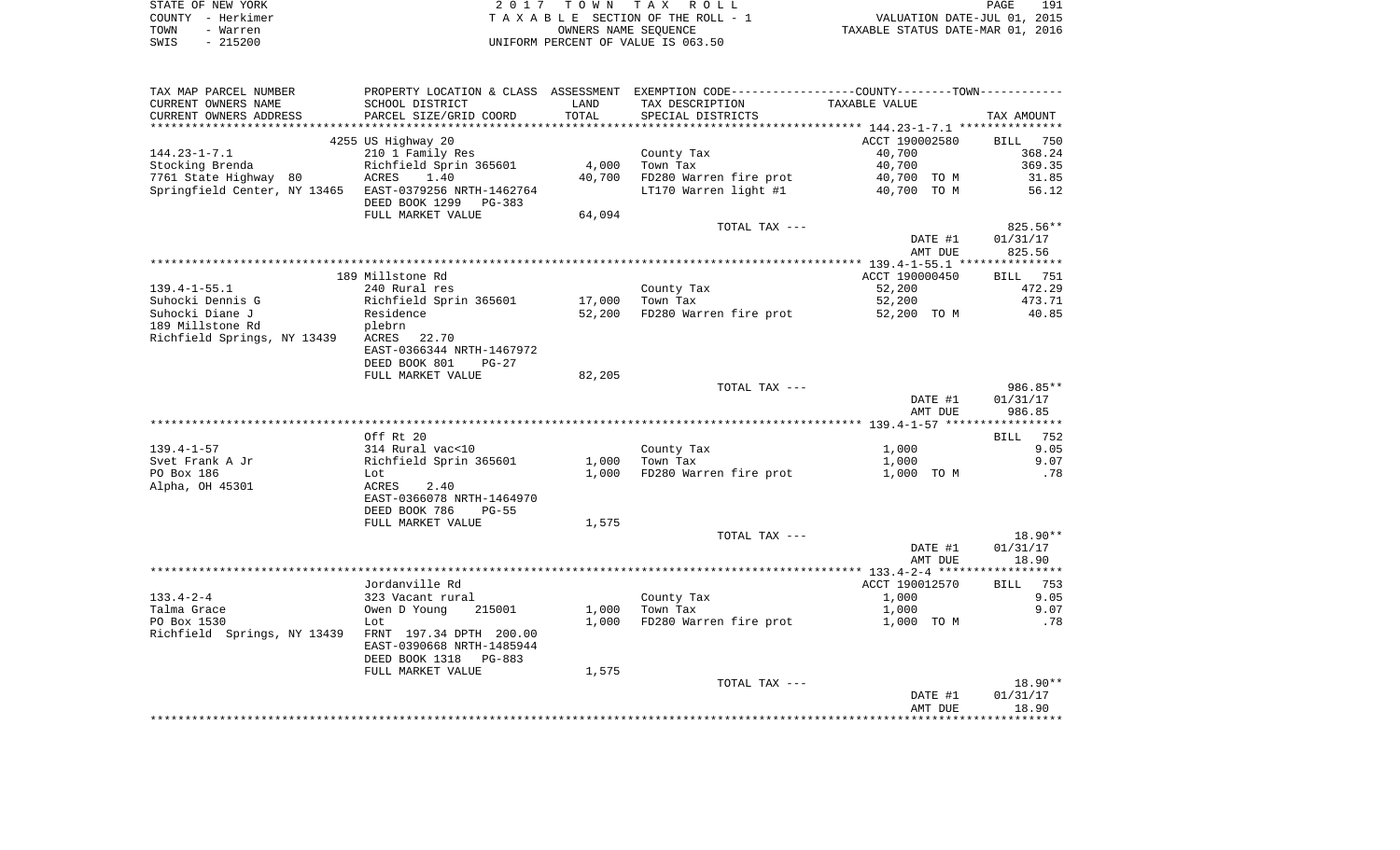| STATE OF NEW YORK |          | 2017 TOWN TAX ROLL                 | PAGE                             | 191 |
|-------------------|----------|------------------------------------|----------------------------------|-----|
| COUNTY - Herkimer |          | TAXABLE SECTION OF THE ROLL - 1    | VALUATION DATE-JUL 01, 2015      |     |
| TOWN              | - Warren | OWNERS NAME SEOUENCE               | TAXABLE STATUS DATE-MAR 01, 2016 |     |
| SWIS              | - 215200 | UNIFORM PERCENT OF VALUE IS 063.50 |                                  |     |

| TAX MAP PARCEL NUMBER                                                                                                          | PROPERTY LOCATION & CLASS ASSESSMENT EXEMPTION CODE----------------COUNTY--------TOWN---------- |        |                        |                |                 |
|--------------------------------------------------------------------------------------------------------------------------------|-------------------------------------------------------------------------------------------------|--------|------------------------|----------------|-----------------|
| CURRENT OWNERS NAME                                                                                                            | SCHOOL DISTRICT                                                                                 | LAND   | TAX DESCRIPTION        | TAXABLE VALUE  |                 |
| CURRENT OWNERS ADDRESS                                                                                                         | PARCEL SIZE/GRID COORD                                                                          | TOTAL  | SPECIAL DISTRICTS      |                | TAX AMOUNT      |
|                                                                                                                                |                                                                                                 |        |                        |                |                 |
|                                                                                                                                | 4255 US Highway 20                                                                              |        |                        | ACCT 190002580 | BILL 750        |
| 144.23-1-7.1                                                                                                                   | 210 1 Family Res                                                                                |        | County Tax             | 40,700         | 368.24          |
| ------ - ---<br>Stocking Brenda                         Richfield Sprin 365601<br>7761 State Highway 80         ACRES     1.40 |                                                                                                 | 4,000  | Town Tax               | 40,700         | 369.35          |
|                                                                                                                                |                                                                                                 | 40,700 | FD280 Warren fire prot | 40,700 TO M    | 31.85           |
| Springfield Center, NY 13465 EAST-0379256 NRTH-1462764                                                                         |                                                                                                 |        | LT170 Warren light #1  | 40,700 TO M    | 56.12           |
|                                                                                                                                | DEED BOOK 1299 PG-383                                                                           |        |                        |                |                 |
|                                                                                                                                | FULL MARKET VALUE                                                                               | 64,094 |                        |                |                 |
|                                                                                                                                |                                                                                                 |        | TOTAL TAX ---          |                | 825.56**        |
|                                                                                                                                |                                                                                                 |        |                        | DATE #1        | 01/31/17        |
|                                                                                                                                |                                                                                                 |        |                        | AMT DUE        | 825.56          |
|                                                                                                                                |                                                                                                 |        |                        |                |                 |
|                                                                                                                                | 189 Millstone Rd                                                                                |        |                        | ACCT 190000450 | <b>BILL</b> 751 |
| 139.4-1-55.1                                                                                                                   | 240 Rural res                                                                                   |        | County Tax             | 52,200         | 472.29          |
| Suhocki Dennis G                                                                                                               | Richfield Sprin 365601<br>Residence<br>plebrn                                                   | 17,000 | Town Tax               | 52,200         | 473.71          |
| Suhocki Diane J                                                                                                                |                                                                                                 | 52,200 | FD280 Warren fire prot | 52,200 TO M    | 40.85           |
| 189 Millstone Rd                                                                                                               |                                                                                                 |        |                        |                |                 |
| Richfield Springs, NY 13439 ACRES 22.70                                                                                        |                                                                                                 |        |                        |                |                 |
|                                                                                                                                | EAST-0366344 NRTH-1467972                                                                       |        |                        |                |                 |
|                                                                                                                                | DEED BOOK 801<br>PG-27                                                                          |        |                        |                |                 |
|                                                                                                                                | FULL MARKET VALUE                                                                               | 82,205 |                        |                |                 |
|                                                                                                                                |                                                                                                 |        | TOTAL TAX ---          |                | 986.85**        |
|                                                                                                                                |                                                                                                 |        |                        | DATE #1        | 01/31/17        |
|                                                                                                                                |                                                                                                 |        |                        | AMT DUE        | 986.85          |
|                                                                                                                                |                                                                                                 |        |                        |                |                 |
|                                                                                                                                | Off Rt 20                                                                                       |        |                        |                | <b>BILL</b> 752 |
| 139.4-1-57                                                                                                                     | 314 Rural vac<10                                                                                |        | County Tax             | 1,000          | 9.05            |
| Svet Frank A Jr                                                                                                                | Richfield Sprin 365601                                                                          | 1,000  | Town Tax               | 1,000          | 9.07            |
| PO Box 186                                                                                                                     | Lot                                                                                             | 1,000  | FD280 Warren fire prot | 1,000 TO M     | .78             |
| Alpha, OH 45301                                                                                                                | ACRES 2.40                                                                                      |        |                        |                |                 |
|                                                                                                                                | EAST-0366078 NRTH-1464970                                                                       |        |                        |                |                 |
|                                                                                                                                | DEED BOOK 786<br><b>PG-55</b>                                                                   |        |                        |                |                 |
|                                                                                                                                | FULL MARKET VALUE                                                                               | 1,575  |                        |                |                 |
|                                                                                                                                |                                                                                                 |        | TOTAL TAX ---          |                | 18.90**         |
|                                                                                                                                |                                                                                                 |        |                        | DATE #1        | 01/31/17        |
|                                                                                                                                |                                                                                                 |        |                        | AMT DUE        | 18.90           |
|                                                                                                                                |                                                                                                 |        |                        |                |                 |
|                                                                                                                                | Jordanville Rd                                                                                  |        |                        | ACCT 190012570 | <b>BILL</b> 753 |
| 133.4-2-4                                                                                                                      | 323 Vacant rural                                                                                |        | County Tax             | 1,000          | 9.05            |
| Talma Grace                                                                                                                    | Owen D Young 215001                                                                             | 1,000  | Town Tax               | 1,000          | 9.07            |
| PO Box 1530                                                                                                                    | Lot                                                                                             | 1,000  | FD280 Warren fire prot | 1,000 TO M     | .78             |
| Richfield Springs, NY 13439 FRNT 197.34 DPTH 200.00                                                                            |                                                                                                 |        |                        |                |                 |
|                                                                                                                                | EAST-0390668 NRTH-1485944                                                                       |        |                        |                |                 |
|                                                                                                                                | DEED BOOK 1318 PG-883                                                                           |        |                        |                |                 |
|                                                                                                                                | FULL MARKET VALUE                                                                               | 1,575  |                        |                |                 |
|                                                                                                                                |                                                                                                 |        | TOTAL TAX ---          |                | $18.90**$       |
|                                                                                                                                |                                                                                                 |        |                        | DATE #1        | 01/31/17        |
|                                                                                                                                |                                                                                                 |        |                        | AMT DUE        | 18.90           |
|                                                                                                                                |                                                                                                 |        |                        |                |                 |
|                                                                                                                                |                                                                                                 |        |                        |                |                 |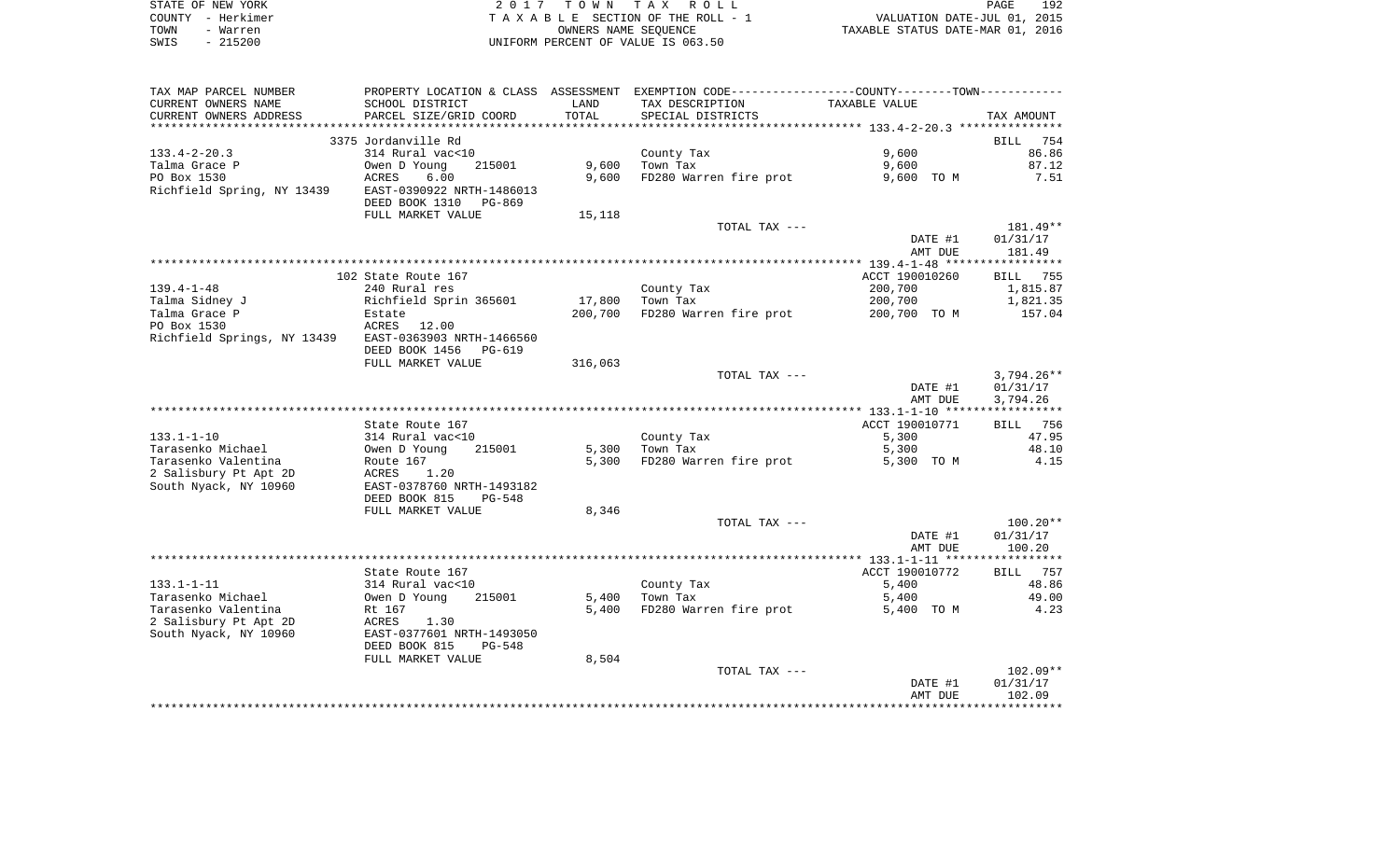|      | STATE OF NEW YORK | 2017 TOWN TAX ROLL                 | PAGE                             | 192 |
|------|-------------------|------------------------------------|----------------------------------|-----|
|      | COUNTY - Herkimer | TAXABLE SECTION OF THE ROLL - 1    | VALUATION DATE-JUL 01, 2015      |     |
| TOWN | - Warren          | OWNERS NAME SEOUENCE               | TAXABLE STATUS DATE-MAR 01, 2016 |     |
| SWIS | $-215200$         | UNIFORM PERCENT OF VALUE IS 063.50 |                                  |     |

| TAX MAP PARCEL NUMBER       | PROPERTY LOCATION & CLASS ASSESSMENT |         | EXEMPTION CODE-----------------COUNTY-------TOWN----------- |                |                    |
|-----------------------------|--------------------------------------|---------|-------------------------------------------------------------|----------------|--------------------|
| CURRENT OWNERS NAME         | SCHOOL DISTRICT                      | LAND    | TAX DESCRIPTION                                             | TAXABLE VALUE  |                    |
| CURRENT OWNERS ADDRESS      | PARCEL SIZE/GRID COORD               | TOTAL   | SPECIAL DISTRICTS                                           |                | TAX AMOUNT         |
|                             |                                      |         |                                                             |                |                    |
|                             | 3375 Jordanville Rd                  |         |                                                             |                | 754<br><b>BILL</b> |
| $133.4 - 2 - 20.3$          | 314 Rural vac<10                     |         | County Tax                                                  | 9,600          | 86.86              |
| Talma Grace P               | 215001<br>Owen D Young               | 9,600   | Town Tax                                                    | 9,600          | 87.12              |
| PO Box 1530                 | ACRES<br>6.00                        | 9,600   | FD280 Warren fire prot                                      | 9,600 TO M     | 7.51               |
| Richfield Spring, NY 13439  | EAST-0390922 NRTH-1486013            |         |                                                             |                |                    |
|                             | DEED BOOK 1310<br>PG-869             |         |                                                             |                |                    |
|                             | FULL MARKET VALUE                    | 15,118  |                                                             |                |                    |
|                             |                                      |         | TOTAL TAX ---                                               |                | 181.49**           |
|                             |                                      |         |                                                             | DATE #1        | 01/31/17           |
|                             |                                      |         |                                                             | AMT DUE        | 181.49             |
|                             |                                      |         |                                                             |                |                    |
|                             | 102 State Route 167                  |         |                                                             | ACCT 190010260 | <b>BILL</b><br>755 |
| $139.4 - 1 - 48$            | 240 Rural res                        |         | County Tax                                                  | 200,700        | 1,815.87           |
| Talma Sidney J              | Richfield Sprin 365601               | 17,800  | Town Tax                                                    | 200,700        | 1,821.35           |
| Talma Grace P               | Estate                               | 200,700 | FD280 Warren fire prot                                      | 200,700 TO M   | 157.04             |
| PO Box 1530                 | ACRES 12.00                          |         |                                                             |                |                    |
| Richfield Springs, NY 13439 | EAST-0363903 NRTH-1466560            |         |                                                             |                |                    |
|                             | DEED BOOK 1456<br>PG-619             |         |                                                             |                |                    |
|                             | FULL MARKET VALUE                    | 316,063 |                                                             |                |                    |
|                             |                                      |         | TOTAL TAX ---                                               |                | $3,794.26**$       |
|                             |                                      |         |                                                             | DATE #1        | 01/31/17           |
|                             |                                      |         |                                                             | AMT DUE        | 3,794.26           |
|                             |                                      |         |                                                             |                |                    |
|                             | State Route 167                      |         |                                                             | ACCT 190010771 | BILL 756           |
| $133.1 - 1 - 10$            | 314 Rural vac<10                     |         | County Tax                                                  | 5,300          | 47.95              |
| Tarasenko Michael           | Owen D Young<br>215001               | 5,300   | Town Tax                                                    | 5,300          | 48.10              |
| Tarasenko Valentina         | Route 167                            | 5,300   | FD280 Warren fire prot                                      | 5,300 TO M     | 4.15               |
| 2 Salisbury Pt Apt 2D       | ACRES<br>1.20                        |         |                                                             |                |                    |
| South Nyack, NY 10960       | EAST-0378760 NRTH-1493182            |         |                                                             |                |                    |
|                             | DEED BOOK 815<br>$PG-548$            |         |                                                             |                |                    |
|                             | FULL MARKET VALUE                    | 8,346   |                                                             |                |                    |
|                             |                                      |         | TOTAL TAX ---                                               |                | $100.20**$         |
|                             |                                      |         |                                                             | DATE #1        | 01/31/17           |
|                             |                                      |         |                                                             | AMT DUE        | 100.20             |
|                             |                                      |         |                                                             |                |                    |
|                             | State Route 167                      |         |                                                             | ACCT 190010772 | BILL 757           |
| $133.1 - 1 - 11$            | 314 Rural vac<10                     |         | County Tax                                                  | 5,400          | 48.86              |
| Tarasenko Michael           | 215001<br>Owen D Young               | 5,400   | Town Tax                                                    | 5,400          | 49.00              |
| Tarasenko Valentina         | Rt 167                               | 5,400   | FD280 Warren fire prot                                      | 5,400 TO M     | 4.23               |
| 2 Salisbury Pt Apt 2D       | ACRES<br>1.30                        |         |                                                             |                |                    |
| South Nyack, NY 10960       | EAST-0377601 NRTH-1493050            |         |                                                             |                |                    |
|                             | DEED BOOK 815<br>PG-548              |         |                                                             |                |                    |
|                             | FULL MARKET VALUE                    | 8,504   |                                                             |                |                    |
|                             |                                      |         | TOTAL TAX ---                                               |                | $102.09**$         |
|                             |                                      |         |                                                             | DATE #1        | 01/31/17           |
|                             |                                      |         |                                                             | AMT DUE        | 102.09             |
|                             |                                      |         |                                                             |                |                    |
|                             |                                      |         |                                                             |                |                    |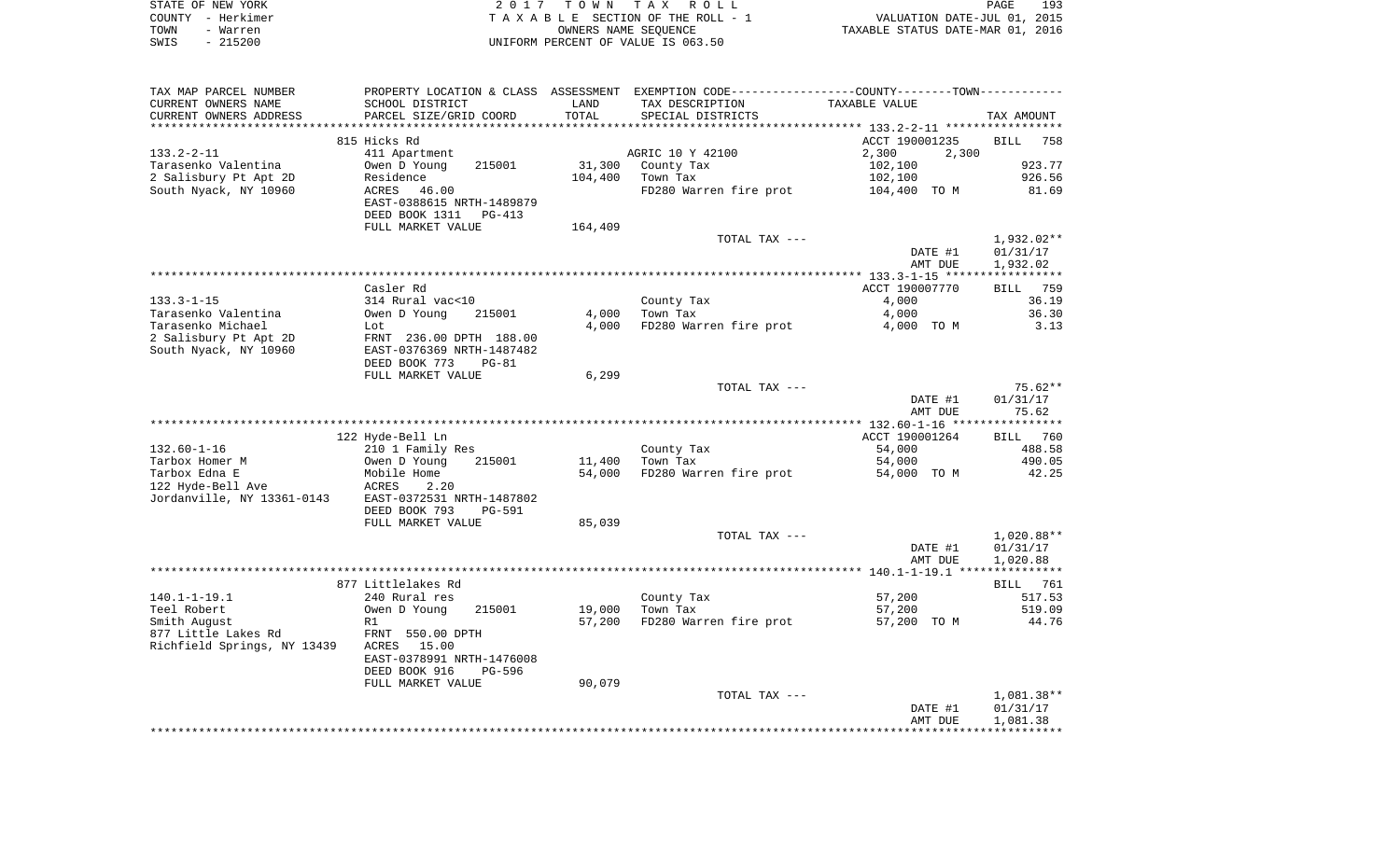|      | STATE OF NEW YORK | 2017 TOWN TAX ROLL                 | PAGE                             | 193 |
|------|-------------------|------------------------------------|----------------------------------|-----|
|      | COUNTY – Herkimer | TAXABLE SECTION OF THE ROLL - 1    | VALUATION DATE-JUL 01, 2015      |     |
| TOWN | - Warren          | OWNERS NAME SEOUENCE               | TAXABLE STATUS DATE-MAR 01, 2016 |     |
| SWIS | - 215200          | UNIFORM PERCENT OF VALUE IS 063.50 |                                  |     |

| TAX MAP PARCEL NUMBER                                                                          |                                    |         | PROPERTY LOCATION & CLASS ASSESSMENT EXEMPTION CODE---------------COUNTY-------TOWN--------- |                                                 |                 |
|------------------------------------------------------------------------------------------------|------------------------------------|---------|----------------------------------------------------------------------------------------------|-------------------------------------------------|-----------------|
| CURRENT OWNERS NAME                                                                            | SCHOOL DISTRICT                    | LAND    | TAX DESCRIPTION                                                                              | TAXABLE VALUE                                   |                 |
| CURRENT OWNERS ADDRESS                                                                         | PARCEL SIZE/GRID COORD             | TOTAL   | SPECIAL DISTRICTS                                                                            |                                                 | TAX AMOUNT      |
|                                                                                                |                                    |         |                                                                                              | ****************** 133.2-2-11 ***************** |                 |
|                                                                                                | 815 Hicks Rd                       |         |                                                                                              | ACCT 190001235                                  | BILL 758        |
| $133.2 - 2 - 11$                                                                               | 411 Apartment                      |         | AGRIC 10 Y 42100                                                                             | 2,300<br>2,300                                  |                 |
| Tarasenko Valentina                                                                            | Owen D Young<br>215001             | 31,300  | County Tax                                                                                   | 102,100                                         | 923.77          |
| 2 Salisbury Pt Apt 2D                                                                          | Residence                          | 104,400 | Town Tax                                                                                     | 102,100                                         | 926.56          |
| South Nyack, NY 10960                                                                          | ACRES<br>46.00                     |         | FD280 Warren fire prot                                                                       | 104,400 TO M                                    | 81.69           |
|                                                                                                | EAST-0388615 NRTH-1489879          |         |                                                                                              |                                                 |                 |
|                                                                                                | DEED BOOK 1311<br>PG-413           |         |                                                                                              |                                                 |                 |
|                                                                                                | FULL MARKET VALUE                  | 164,409 |                                                                                              |                                                 |                 |
|                                                                                                |                                    |         | TOTAL TAX ---                                                                                |                                                 | $1,932.02**$    |
|                                                                                                |                                    |         |                                                                                              | DATE #1                                         | 01/31/17        |
|                                                                                                |                                    |         |                                                                                              | AMT DUE                                         | 1,932.02        |
|                                                                                                |                                    |         |                                                                                              |                                                 |                 |
|                                                                                                | Casler Rd                          |         |                                                                                              | ACCT 190007770                                  | 759<br>BILL     |
| $133.3 - 1 - 15$                                                                               | 314 Rural vac<10                   |         | County Tax                                                                                   | 4,000                                           | 36.19           |
| Tarasenko Valentina                                                                            | Owen D Young<br>215001             | 4,000   | Town Tax                                                                                     | 4,000                                           | 36.30           |
| Tarasenko Michael                                                                              | Lot                                | 4,000   | FD280 Warren fire prot                                                                       | 4,000 TO M                                      | 3.13            |
| 2 Salisbury Pt Apt 2D                                                                          | FRNT 236.00 DPTH 188.00            |         |                                                                                              |                                                 |                 |
| South Nyack, NY 10960                                                                          | EAST-0376369 NRTH-1487482          |         |                                                                                              |                                                 |                 |
|                                                                                                | $PG-81$                            |         |                                                                                              |                                                 |                 |
|                                                                                                | DEED BOOK 773<br>FULL MARKET VALUE | 6,299   |                                                                                              |                                                 |                 |
|                                                                                                |                                    |         | TOTAL TAX ---                                                                                |                                                 | 75.62**         |
|                                                                                                |                                    |         |                                                                                              | DATE #1                                         | 01/31/17        |
|                                                                                                |                                    |         |                                                                                              | AMT DUE                                         | 75.62           |
|                                                                                                |                                    |         |                                                                                              |                                                 |                 |
|                                                                                                | 122 Hyde-Bell Ln                   |         |                                                                                              | ACCT 190001264                                  | BILL 760        |
|                                                                                                |                                    |         |                                                                                              |                                                 | 488.58          |
| $132.60 - 1 - 16$                                                                              | 210 1 Family Res                   |         | County Tax                                                                                   | 54,000                                          |                 |
| Tarbox Homer M                                                                                 | 215001<br>Owen D Young             | 11,400  | Town Tax                                                                                     | 54,000                                          | 490.05          |
| Tarbox Edna E                                                                                  | Mobile Home                        | 54,000  | FD280 Warren fire prot                                                                       | 54,000 TO M                                     | 42.25           |
| 122 Hyde-Bell Ave<br>122 hyde Beil Ave<br>Jordanville, NY 13361-0143 EAST-0372531 NRTH-1487802 | ACRES<br>2.20                      |         |                                                                                              |                                                 |                 |
|                                                                                                |                                    |         |                                                                                              |                                                 |                 |
|                                                                                                | DEED BOOK 793<br>PG-591            |         |                                                                                              |                                                 |                 |
|                                                                                                | FULL MARKET VALUE                  | 85,039  |                                                                                              |                                                 |                 |
|                                                                                                |                                    |         | TOTAL TAX ---                                                                                |                                                 | $1,020.88**$    |
|                                                                                                |                                    |         |                                                                                              | DATE #1                                         | 01/31/17        |
|                                                                                                |                                    |         |                                                                                              | AMT DUE                                         | 1,020.88        |
|                                                                                                |                                    |         |                                                                                              |                                                 |                 |
|                                                                                                | 877 Littlelakes Rd                 |         |                                                                                              |                                                 | <b>BILL</b> 761 |
| $140.1 - 1 - 19.1$                                                                             | 240 Rural res                      |         | County Tax                                                                                   | 57,200                                          | 517.53          |
| Teel Robert                                                                                    | Owen D Young<br>215001             | 19,000  | Town Tax                                                                                     | 57,200                                          | 519.09          |
| Smith August                                                                                   | R1                                 | 57,200  | FD280 Warren fire prot                                                                       | 57,200 TO M                                     | 44.76           |
| 877 Little Lakes Rd                                                                            | FRNT 550.00 DPTH                   |         |                                                                                              |                                                 |                 |
| Richfield Springs, NY 13439                                                                    | 15.00<br>ACRES                     |         |                                                                                              |                                                 |                 |
|                                                                                                | EAST-0378991 NRTH-1476008          |         |                                                                                              |                                                 |                 |
|                                                                                                | DEED BOOK 916<br>PG-596            |         |                                                                                              |                                                 |                 |
|                                                                                                | FULL MARKET VALUE                  | 90,079  |                                                                                              |                                                 |                 |
|                                                                                                |                                    |         | TOTAL TAX ---                                                                                |                                                 | $1,081.38**$    |
|                                                                                                |                                    |         |                                                                                              | DATE #1                                         | 01/31/17        |
|                                                                                                |                                    |         |                                                                                              | AMT DUE                                         | 1,081.38        |
|                                                                                                |                                    |         |                                                                                              |                                                 |                 |
|                                                                                                |                                    |         |                                                                                              |                                                 |                 |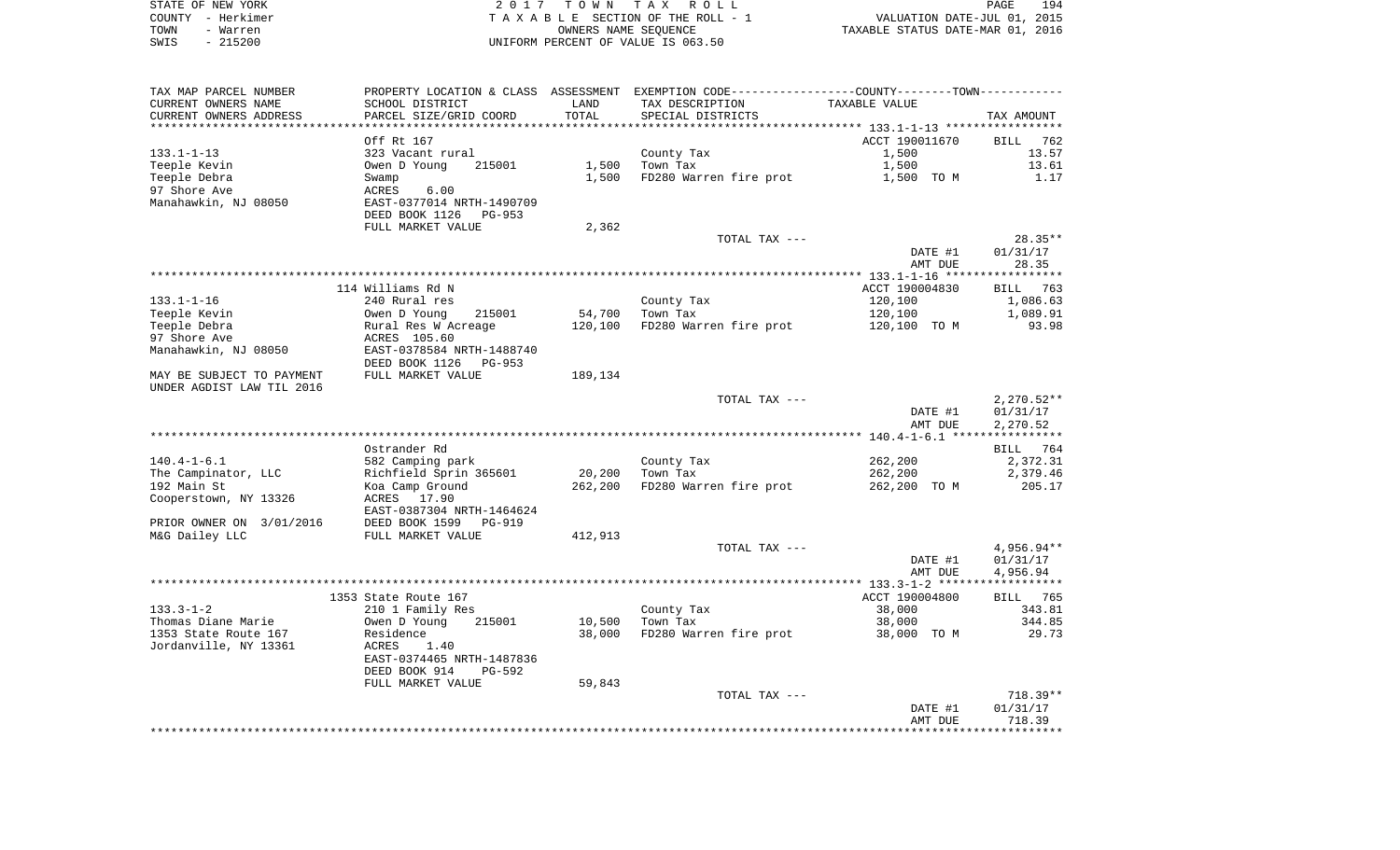| STATE OF NEW YORK | 2017 TOWN TAX ROLL                 |                                  | PAGE | 194 |
|-------------------|------------------------------------|----------------------------------|------|-----|
| COUNTY - Herkimer | TAXABLE SECTION OF THE ROLL - 1    | VALUATION DATE-JUL 01, 2015      |      |     |
| TOWN<br>- Warren  | OWNERS NAME SEOUENCE               | TAXABLE STATUS DATE-MAR 01, 2016 |      |     |
| $-215200$<br>SWIS | UNIFORM PERCENT OF VALUE IS 063.50 |                                  |      |     |

| TAX MAP PARCEL NUMBER     | PROPERTY LOCATION & CLASS ASSESSMENT |         | EXEMPTION CODE----------------COUNTY-------TOWN-----------          |                |                        |
|---------------------------|--------------------------------------|---------|---------------------------------------------------------------------|----------------|------------------------|
| CURRENT OWNERS NAME       | SCHOOL DISTRICT                      | LAND    | TAX DESCRIPTION                                                     | TAXABLE VALUE  |                        |
| CURRENT OWNERS ADDRESS    | PARCEL SIZE/GRID COORD               | TOTAL   | SPECIAL DISTRICTS                                                   |                | TAX AMOUNT             |
|                           |                                      |         | ************************************* 133.1-1-13 ****************** |                |                        |
|                           | Off Rt 167                           |         |                                                                     | ACCT 190011670 | <b>BILL</b><br>762     |
| $133.1 - 1 - 13$          | 323 Vacant rural                     |         | County Tax                                                          | 1,500          | 13.57                  |
| Teeple Kevin              | Owen D Young<br>215001               | 1,500   | Town Tax                                                            | 1,500          | 13.61                  |
| Teeple Debra              | Swamp                                | 1,500   | FD280 Warren fire prot                                              | 1,500 TO M     | 1.17                   |
| 97 Shore Ave              | ACRES<br>6.00                        |         |                                                                     |                |                        |
| Manahawkin, NJ 08050      | EAST-0377014 NRTH-1490709            |         |                                                                     |                |                        |
|                           | DEED BOOK 1126<br>PG-953             |         |                                                                     |                |                        |
|                           | FULL MARKET VALUE                    | 2,362   |                                                                     |                |                        |
|                           |                                      |         | TOTAL TAX ---                                                       |                | $28.35**$              |
|                           |                                      |         |                                                                     | DATE #1        | 01/31/17               |
|                           |                                      |         |                                                                     | AMT DUE        | 28.35                  |
|                           | 114 Williams Rd N                    |         |                                                                     | ACCT 190004830 | BILL<br>763            |
| $133.1 - 1 - 16$          | 240 Rural res                        |         | County Tax                                                          | 120,100        | 1,086.63               |
| Teeple Kevin              | Owen D Young<br>215001               | 54,700  | Town Tax                                                            | 120,100        | 1,089.91               |
| Teeple Debra              | Rural Res W Acreage                  | 120,100 | FD280 Warren fire prot                                              | 120,100 TO M   | 93.98                  |
| 97 Shore Ave              | ACRES 105.60                         |         |                                                                     |                |                        |
| Manahawkin, NJ 08050      | EAST-0378584 NRTH-1488740            |         |                                                                     |                |                        |
|                           | DEED BOOK 1126<br>PG-953             |         |                                                                     |                |                        |
| MAY BE SUBJECT TO PAYMENT | FULL MARKET VALUE                    | 189,134 |                                                                     |                |                        |
| UNDER AGDIST LAW TIL 2016 |                                      |         |                                                                     |                |                        |
|                           |                                      |         | TOTAL TAX ---                                                       |                | $2,270.52**$           |
|                           |                                      |         |                                                                     | DATE #1        | 01/31/17               |
|                           |                                      |         |                                                                     | AMT DUE        | 2,270.52               |
|                           |                                      |         |                                                                     |                |                        |
|                           | Ostrander Rd                         |         |                                                                     |                | 764<br>BILL            |
| $140.4 - 1 - 6.1$         | 582 Camping park                     |         | County Tax                                                          | 262,200        | 2,372.31               |
| The Campinator, LLC       | Richfield Sprin 365601               | 20,200  | Town Tax                                                            | 262,200        | 2,379.46               |
| 192 Main St               | Koa Camp Ground                      | 262,200 | FD280 Warren fire prot                                              | 262,200 TO M   | 205.17                 |
| Cooperstown, NY 13326     | ACRES 17.90                          |         |                                                                     |                |                        |
|                           | EAST-0387304 NRTH-1464624            |         |                                                                     |                |                        |
| PRIOR OWNER ON 3/01/2016  | DEED BOOK 1599<br>PG-919             |         |                                                                     |                |                        |
| M&G Dailey LLC            | FULL MARKET VALUE                    | 412,913 |                                                                     |                |                        |
|                           |                                      |         | TOTAL TAX ---                                                       | DATE #1        | 4,956.94**<br>01/31/17 |
|                           |                                      |         |                                                                     | AMT DUE        | 4,956.94               |
|                           |                                      |         |                                                                     |                |                        |
|                           | 1353 State Route 167                 |         |                                                                     | ACCT 190004800 | BILL 765               |
| $133.3 - 1 - 2$           | 210 1 Family Res                     |         | County Tax                                                          | 38,000         | 343.81                 |
| Thomas Diane Marie        | Owen D Young<br>215001               | 10,500  | Town Tax                                                            | 38,000         | 344.85                 |
| 1353 State Route 167      | Residence                            | 38,000  | FD280 Warren fire prot                                              | 38,000 TO M    | 29.73                  |
| Jordanville, NY 13361     | ACRES<br>1.40                        |         |                                                                     |                |                        |
|                           | EAST-0374465 NRTH-1487836            |         |                                                                     |                |                        |
|                           | DEED BOOK 914<br>PG-592              |         |                                                                     |                |                        |
|                           | FULL MARKET VALUE                    | 59,843  |                                                                     |                |                        |
|                           |                                      |         | TOTAL TAX ---                                                       |                | $718.39**$             |
|                           |                                      |         |                                                                     | DATE #1        | 01/31/17               |
|                           |                                      |         |                                                                     | AMT DUE        | 718.39                 |
|                           |                                      |         |                                                                     |                |                        |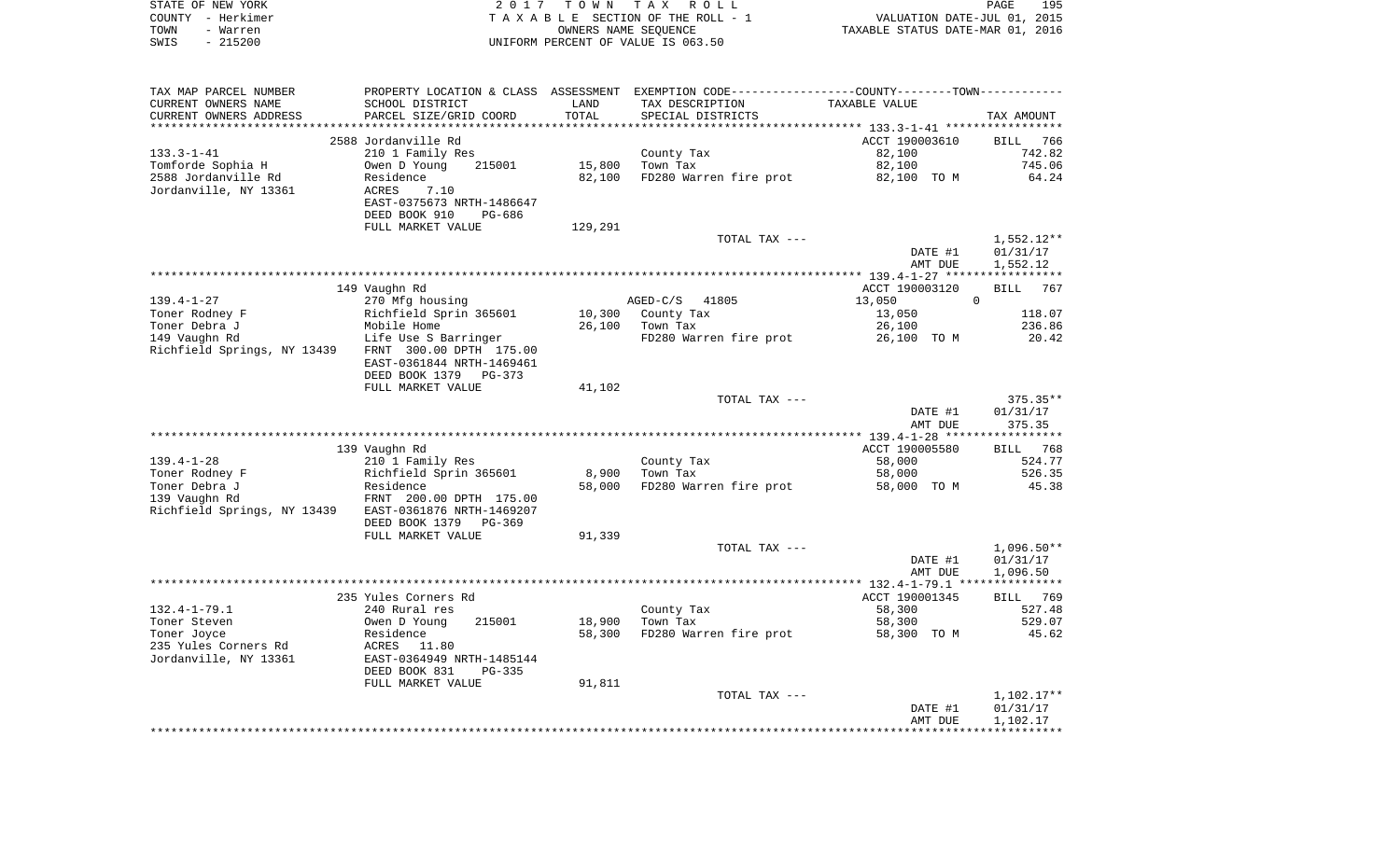|      | STATE OF NEW YORK | 2017 TOWN TAX ROLL                 | PAGE                             | 195 |
|------|-------------------|------------------------------------|----------------------------------|-----|
|      | COUNTY - Herkimer | TAXABLE SECTION OF THE ROLL - 1    | VALUATION DATE-JUL 01, 2015      |     |
| TOWN | – Warren          | OWNERS NAME SEOUENCE               | TAXABLE STATUS DATE-MAR 01, 2016 |     |
| SWIS | $-215200$         | UNIFORM PERCENT OF VALUE IS 063.50 |                                  |     |

| TAX MAP PARCEL NUMBER       |                            |         | PROPERTY LOCATION & CLASS ASSESSMENT EXEMPTION CODE---------------COUNTY-------TOWN---------- |                |              |
|-----------------------------|----------------------------|---------|-----------------------------------------------------------------------------------------------|----------------|--------------|
| CURRENT OWNERS NAME         | SCHOOL DISTRICT            | LAND    | TAX DESCRIPTION                                                                               | TAXABLE VALUE  |              |
| CURRENT OWNERS ADDRESS      | PARCEL SIZE/GRID COORD     | TOTAL   | SPECIAL DISTRICTS                                                                             |                | TAX AMOUNT   |
| ************************    |                            |         |                                                                                               |                |              |
|                             | 2588 Jordanville Rd        |         |                                                                                               | ACCT 190003610 | BILL 766     |
| $133.3 - 1 - 41$            | 210 1 Family Res           |         | County Tax                                                                                    | 82,100         | 742.82       |
| Tomforde Sophia H           | Owen D Young<br>215001     | 15,800  | Town Tax                                                                                      | 82,100         | 745.06       |
| 2588 Jordanville Rd         | Residence                  | 82,100  | FD280 Warren fire prot                                                                        | 82,100 TO M    | 64.24        |
| Jordanville, NY 13361       | <b>ACRES</b><br>7.10       |         |                                                                                               |                |              |
|                             | EAST-0375673 NRTH-1486647  |         |                                                                                               |                |              |
|                             | DEED BOOK 910<br>PG-686    |         |                                                                                               |                |              |
|                             | FULL MARKET VALUE          | 129,291 |                                                                                               |                |              |
|                             |                            |         | TOTAL TAX ---                                                                                 |                | 1,552.12**   |
|                             |                            |         |                                                                                               | DATE #1        | 01/31/17     |
|                             |                            |         |                                                                                               | AMT DUE        | 1,552.12     |
|                             |                            |         |                                                                                               |                |              |
|                             | 149 Vaughn Rd              |         |                                                                                               | ACCT 190003120 | BILL<br>767  |
|                             |                            |         |                                                                                               |                | $\mathbf 0$  |
| $139.4 - 1 - 27$            | 270 Mfg housing            |         | AGED-C/S 41805                                                                                | 13,050         |              |
| Toner Rodney F              | Richfield Sprin 365601     |         | 10,300 County Tax                                                                             | 13,050         | 118.07       |
| Toner Debra J               | Mobile Home                | 26,100  | Town Tax                                                                                      | 26,100         | 236.86       |
| 149 Vaughn Rd               | Life Use S Barringer       |         | FD280 Warren fire prot                                                                        | 26,100 TO M    | 20.42        |
| Richfield Springs, NY 13439 | FRNT 300.00 DPTH 175.00    |         |                                                                                               |                |              |
|                             | EAST-0361844 NRTH-1469461  |         |                                                                                               |                |              |
|                             | DEED BOOK 1379<br>$PG-373$ |         |                                                                                               |                |              |
|                             | FULL MARKET VALUE          | 41,102  |                                                                                               |                |              |
|                             |                            |         | TOTAL TAX ---                                                                                 |                | $375.35**$   |
|                             |                            |         |                                                                                               | DATE #1        | 01/31/17     |
|                             |                            |         |                                                                                               | AMT DUE        | 375.35       |
|                             |                            |         |                                                                                               |                |              |
|                             | 139 Vaughn Rd              |         |                                                                                               | ACCT 190005580 | BILL 768     |
| $139.4 - 1 - 28$            | 210 1 Family Res           |         | County Tax                                                                                    | 58,000         | 524.77       |
| Toner Rodney F              | Richfield Sprin 365601     | 8,900   | Town Tax                                                                                      | 58,000         | 526.35       |
| Toner Debra J               | Residence                  | 58,000  | FD280 Warren fire prot                                                                        | 58,000 TO M    | 45.38        |
| 139 Vaughn Rd               | FRNT 200.00 DPTH 175.00    |         |                                                                                               |                |              |
| Richfield Springs, NY 13439 | EAST-0361876 NRTH-1469207  |         |                                                                                               |                |              |
|                             | DEED BOOK 1379<br>PG-369   |         |                                                                                               |                |              |
|                             | FULL MARKET VALUE          | 91,339  |                                                                                               |                |              |
|                             |                            |         | TOTAL TAX ---                                                                                 |                | $1,096.50**$ |
|                             |                            |         |                                                                                               | DATE #1        | 01/31/17     |
|                             |                            |         |                                                                                               | AMT DUE        | 1,096.50     |
|                             |                            |         |                                                                                               |                |              |
|                             | 235 Yules Corners Rd       |         |                                                                                               | ACCT 190001345 | BILL 769     |
| $132.4 - 1 - 79.1$          | 240 Rural res              |         | County Tax                                                                                    | 58,300         | 527.48       |
| Toner Steven                | Owen D Young<br>215001     | 18,900  | Town Tax                                                                                      | 58,300         | 529.07       |
| Toner Joyce                 | Residence                  | 58,300  | FD280 Warren fire prot                                                                        | 58,300 TO M    | 45.62        |
| 235 Yules Corners Rd        | 11.80<br>ACRES             |         |                                                                                               |                |              |
| Jordanville, NY 13361       | EAST-0364949 NRTH-1485144  |         |                                                                                               |                |              |
|                             | DEED BOOK 831<br>PG-335    |         |                                                                                               |                |              |
|                             |                            | 91,811  |                                                                                               |                |              |
|                             | FULL MARKET VALUE          |         |                                                                                               |                |              |
|                             |                            |         | TOTAL TAX ---                                                                                 | DATE #1        | $1,102.17**$ |
|                             |                            |         |                                                                                               |                | 01/31/17     |
|                             |                            |         |                                                                                               | AMT DUE        | 1,102.17     |
|                             |                            |         |                                                                                               |                |              |
|                             |                            |         |                                                                                               |                |              |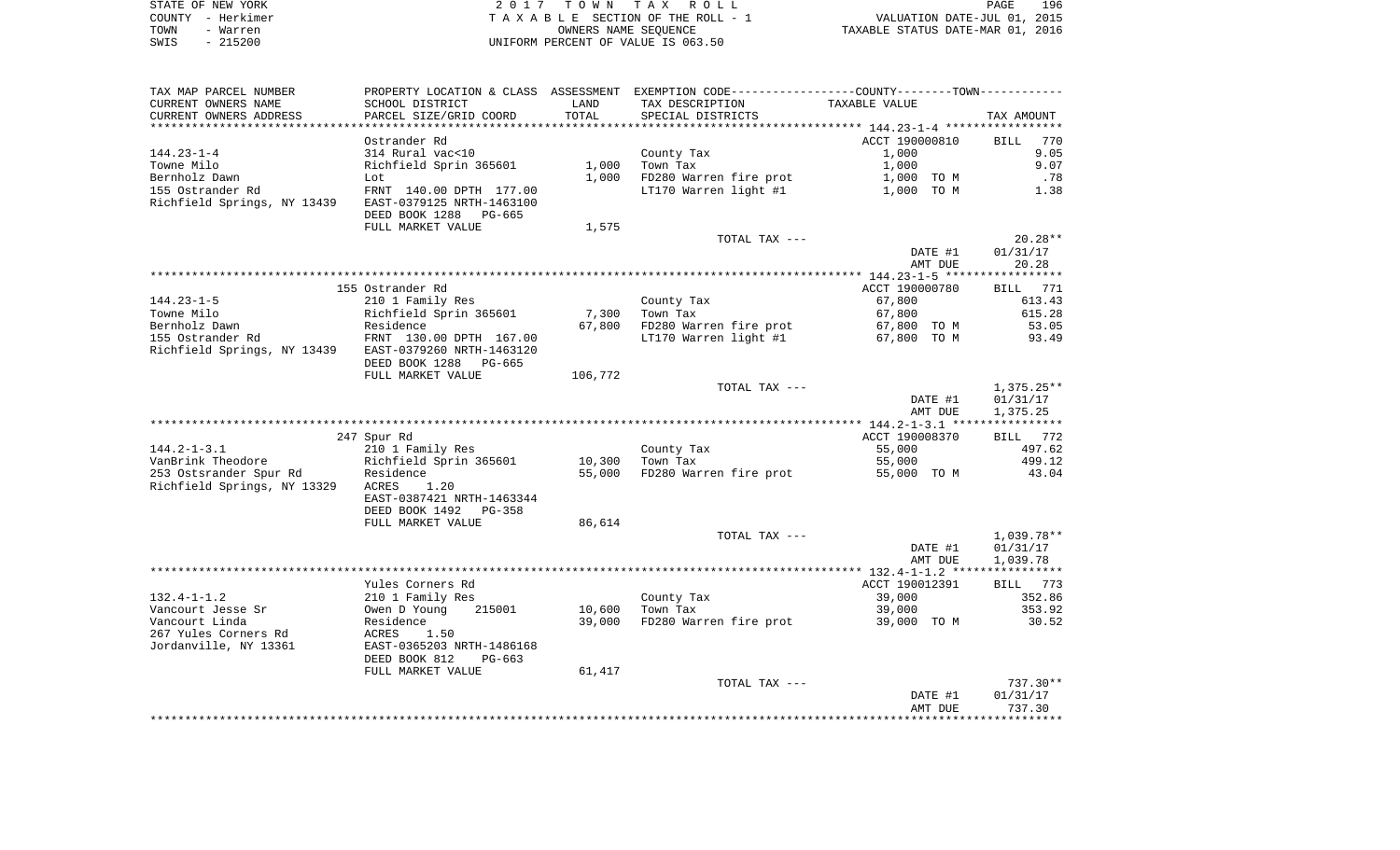| STATE OF NEW YORK | 2017 TOWN TAX ROLL                 | 196<br>PAGE                      |
|-------------------|------------------------------------|----------------------------------|
| COUNTY - Herkimer | TAXABLE SECTION OF THE ROLL - 1    | VALUATION DATE-JUL 01, 2015      |
| TOWN<br>- Warren  | OWNERS NAME SEOUENCE               | TAXABLE STATUS DATE-MAR 01, 2016 |
| $-215200$<br>SWIS | UNIFORM PERCENT OF VALUE IS 063.50 |                                  |

| TAX MAP PARCEL NUMBER                                 |                           |         | PROPERTY LOCATION & CLASS ASSESSMENT EXEMPTION CODE---------------COUNTY-------TOWN---------- |                |                    |
|-------------------------------------------------------|---------------------------|---------|-----------------------------------------------------------------------------------------------|----------------|--------------------|
| CURRENT OWNERS NAME                                   | SCHOOL DISTRICT           | LAND    | TAX DESCRIPTION                                                                               | TAXABLE VALUE  |                    |
| CURRENT OWNERS ADDRESS                                | PARCEL SIZE/GRID COORD    | TOTAL   | SPECIAL DISTRICTS                                                                             |                | TAX AMOUNT         |
|                                                       |                           |         |                                                                                               |                |                    |
|                                                       | Ostrander Rd              |         |                                                                                               | ACCT 190000810 | <b>BILL</b><br>770 |
| $144.23 - 1 - 4$                                      | 314 Rural vac<10          |         | County Tax                                                                                    | 1,000          | 9.05               |
| Towne Milo                                            | Richfield Sprin 365601    | 1,000   | Town Tax                                                                                      | 1,000          | 9.07               |
| Bernholz Dawn                                         | Lot                       | 1,000   | FD280 Warren fire prot                                                                        | 1,000 TO M     | .78                |
| 155 Ostrander Rd                                      | FRNT 140.00 DPTH 177.00   |         | LT170 Warren light #1                                                                         | 1,000 TO M     | 1.38               |
| Richfield Springs, NY 13439                           | EAST-0379125 NRTH-1463100 |         |                                                                                               |                |                    |
|                                                       | DEED BOOK 1288 PG-665     |         |                                                                                               |                |                    |
|                                                       | FULL MARKET VALUE         | 1,575   |                                                                                               |                |                    |
|                                                       |                           |         | TOTAL TAX ---                                                                                 |                | $20.28**$          |
|                                                       |                           |         |                                                                                               | DATE #1        | 01/31/17           |
|                                                       |                           |         |                                                                                               | AMT DUE        | 20.28              |
|                                                       |                           |         |                                                                                               |                |                    |
|                                                       |                           |         |                                                                                               |                |                    |
|                                                       | 155 Ostrander Rd          |         |                                                                                               | ACCT 190000780 | BILL 771           |
| $144.23 - 1 - 5$                                      | 210 1 Family Res          |         | County Tax                                                                                    | 67,800         | 613.43             |
| Towne Milo                                            | Richfield Sprin 365601    | 7,300   | Town Tax                                                                                      | 67,800         | 615.28             |
| Bernholz Dawn                                         | Residence                 | 67,800  | FD280 Warren fire prot                                                                        | 67,800 TO M    | 53.05              |
| 155 Ostrander Rd                                      | FRNT 130.00 DPTH 167.00   |         | LT170 Warren light #1                                                                         | 67,800 TO M    | 93.49              |
| Richfield Springs, NY 13439 EAST-0379260 NRTH-1463120 |                           |         |                                                                                               |                |                    |
|                                                       | DEED BOOK 1288 PG-665     |         |                                                                                               |                |                    |
|                                                       | FULL MARKET VALUE         | 106,772 |                                                                                               |                |                    |
|                                                       |                           |         | TOTAL TAX ---                                                                                 |                | 1,375.25**         |
|                                                       |                           |         |                                                                                               | DATE #1        | 01/31/17           |
|                                                       |                           |         |                                                                                               | AMT DUE        | 1,375.25           |
|                                                       |                           |         |                                                                                               |                |                    |
|                                                       | 247 Spur Rd               |         |                                                                                               | ACCT 190008370 | BILL 772           |
| $144.2 - 1 - 3.1$                                     | 210 1 Family Res          |         | County Tax                                                                                    | 55,000         | 497.62             |
|                                                       |                           | 10,300  | Town Tax                                                                                      | 55,000         | 499.12             |
|                                                       |                           | 55,000  | FD280 Warren fire prot                                                                        | 55,000 TO M    | 43.04              |
| Richfield Springs, NY 13329                           | ACRES<br>1.20             |         |                                                                                               |                |                    |
|                                                       | EAST-0387421 NRTH-1463344 |         |                                                                                               |                |                    |
|                                                       |                           |         |                                                                                               |                |                    |
|                                                       | DEED BOOK 1492<br>PG-358  |         |                                                                                               |                |                    |
|                                                       | FULL MARKET VALUE         | 86,614  |                                                                                               |                |                    |
|                                                       |                           |         | TOTAL TAX ---                                                                                 |                | 1,039.78**         |
|                                                       |                           |         |                                                                                               | DATE #1        | 01/31/17           |
|                                                       |                           |         |                                                                                               | AMT DUE        | 1,039.78           |
|                                                       |                           |         |                                                                                               |                |                    |
|                                                       | Yules Corners Rd          |         |                                                                                               | ACCT 190012391 | BILL 773           |
| $132.4 - 1 - 1.2$                                     | 210 1 Family Res          |         | County Tax                                                                                    | 39,000         | 352.86             |
| Vancourt Jesse Sr                                     | 215001<br>Owen D Young    | 10,600  | Town Tax                                                                                      | 39,000         | 353.92             |
| Vancourt Linda                                        | Residence                 | 39,000  | FD280 Warren fire prot                                                                        | 39,000 TO M    | 30.52              |
| 267 Yules Corners Rd                                  | 1.50<br>ACRES             |         |                                                                                               |                |                    |
| Jordanville, NY 13361                                 | EAST-0365203 NRTH-1486168 |         |                                                                                               |                |                    |
|                                                       | DEED BOOK 812<br>$PG-663$ |         |                                                                                               |                |                    |
|                                                       | FULL MARKET VALUE         | 61,417  |                                                                                               |                |                    |
|                                                       |                           |         | TOTAL TAX ---                                                                                 |                | 737.30**           |
|                                                       |                           |         |                                                                                               | DATE #1        | 01/31/17           |
|                                                       |                           |         |                                                                                               | AMT DUE        | 737.30             |
|                                                       |                           |         |                                                                                               |                |                    |
|                                                       |                           |         |                                                                                               |                |                    |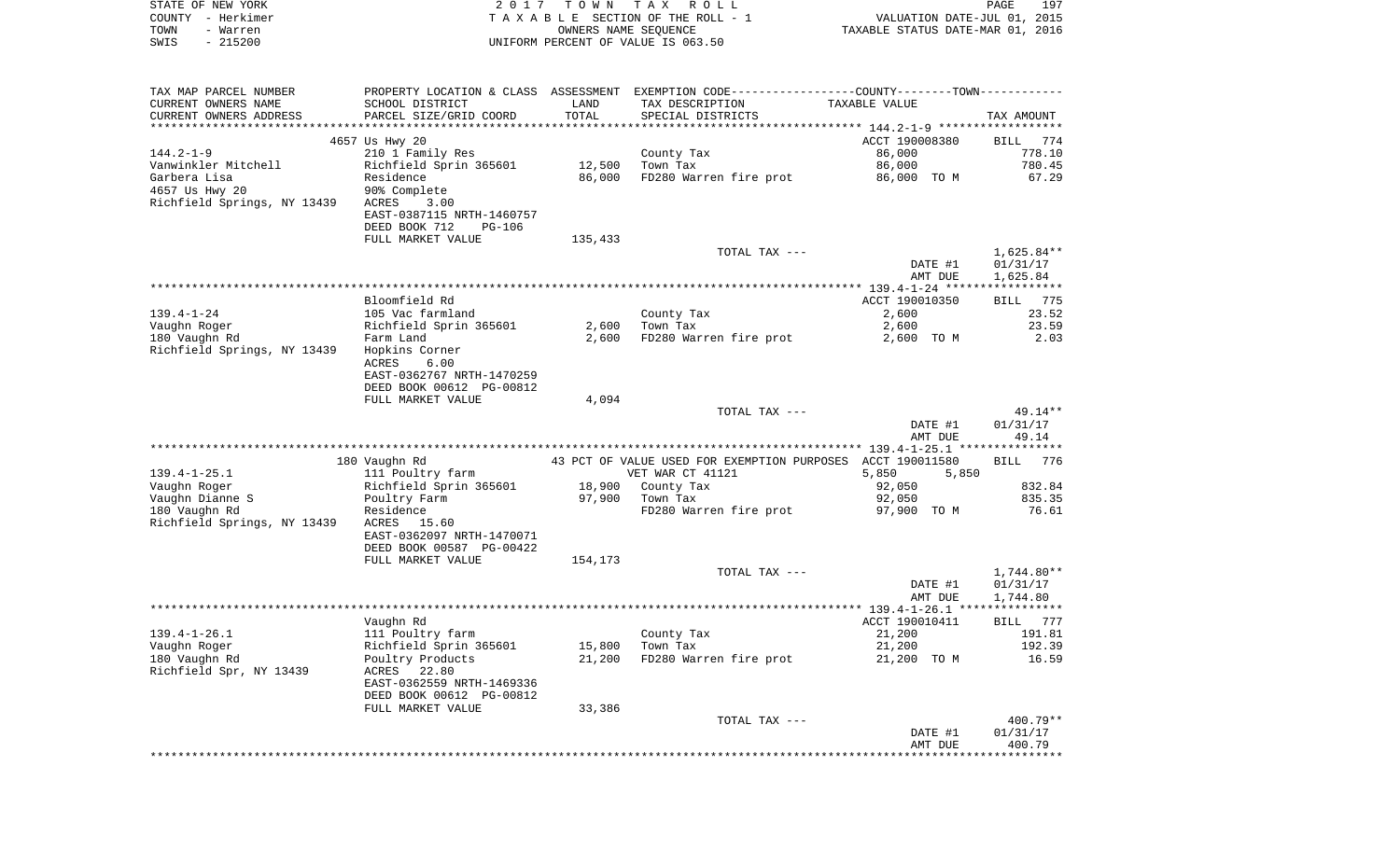| TAXABLE SECTION OF THE ROLL - 1<br>VALUATION DATE-JUL 01, 2015<br>TOWN<br>- Warren<br>OWNERS NAME SEQUENCE<br>TAXABLE STATUS DATE-MAR 01, 2016<br>$-215200$<br>SWIS<br>UNIFORM PERCENT OF VALUE IS 063.50<br>TAX MAP PARCEL NUMBER<br>PROPERTY LOCATION & CLASS ASSESSMENT EXEMPTION CODE---------------COUNTY-------TOWN----------<br>CURRENT OWNERS NAME<br>SCHOOL DISTRICT<br>LAND<br>TAX DESCRIPTION<br>TAXABLE VALUE<br>TOTAL<br>CURRENT OWNERS ADDRESS<br>PARCEL SIZE/GRID COORD<br>SPECIAL DISTRICTS<br>TAX AMOUNT<br>*************************<br>4657 Us Hwy 20<br>ACCT 190008380<br>774<br>BILL<br>86,000<br>778.10<br>210 1 Family Res<br>County Tax<br>780.45<br>Richfield Sprin 365601<br>12,500<br>Town Tax<br>86,000<br>Garbera Lisa<br>FD280 Warren fire prot<br>Residence<br>86,000<br>86,000 TO M<br>67.29<br>4657 Us Hwy 20<br>90% Complete<br>Richfield Springs, NY 13439<br>3.00<br>ACRES<br>EAST-0387115 NRTH-1460757<br>DEED BOOK 712<br><b>PG-106</b><br>FULL MARKET VALUE<br>135,433<br>TOTAL TAX ---<br>1,625.84**<br>01/31/17<br>DATE #1<br>1,625.84<br>AMT DUE<br>Bloomfield Rd<br>ACCT 190010350<br>775<br>BILL<br>23.52<br>105 Vac farmland<br>County Tax<br>2,600<br>23.59<br>Richfield Sprin 365601<br>2,600<br>Town Tax<br>2,600<br>2.03<br>Farm Land<br>2,600<br>FD280 Warren fire prot<br>2,600 TO M<br>Richfield Springs, NY 13439<br>Hopkins Corner<br>ACRES<br>6.00<br>EAST-0362767 NRTH-1470259<br>DEED BOOK 00612 PG-00812<br>FULL MARKET VALUE<br>4,094<br>49.14**<br>TOTAL TAX ---<br>DATE #1<br>01/31/17<br>AMT DUE<br>49.14<br>180 Vaughn Rd<br>43 PCT OF VALUE USED FOR EXEMPTION PURPOSES ACCT 190011580<br>776<br>BILL<br>5,850<br>111 Poultry farm<br>VET WAR CT 41121<br>5,850<br>832.84<br>Richfield Sprin 365601<br>18,900<br>County Tax<br>92,050<br>97,900<br>835.35<br>Poultry Farm<br>Town Tax<br>92,050<br>FD280 Warren fire prot<br>Residence<br>97,900 TO M<br>76.61<br>Richfield Springs, NY 13439<br>ACRES<br>15.60<br>EAST-0362097 NRTH-1470071<br>DEED BOOK 00587 PG-00422<br>FULL MARKET VALUE<br>154,173<br>TOTAL TAX ---<br>1,744.80**<br>DATE #1<br>01/31/17<br>1,744.80<br>AMT DUE<br>ACCT 190010411<br>777<br>Vaughn Rd<br>BILL<br>111 Poultry farm<br>County Tax<br>21,200<br>191.81<br>Richfield Sprin 365601<br>15,800<br>Town Tax<br>21,200<br>192.39<br>16.59<br>Poultry Products<br>FD280 Warren fire prot<br>21,200 TO M<br>21,200<br>22.80<br>ACRES<br>EAST-0362559 NRTH-1469336<br>DEED BOOK 00612 PG-00812<br>33,386<br>FULL MARKET VALUE<br>$400.79**$<br>TOTAL TAX ---<br>DATE #1<br>01/31/17<br>400.79<br>AMT DUE | STATE OF NEW YORK       | 2017 | T O W N | T A X<br>R O L L | PAGE<br>197 |
|----------------------------------------------------------------------------------------------------------------------------------------------------------------------------------------------------------------------------------------------------------------------------------------------------------------------------------------------------------------------------------------------------------------------------------------------------------------------------------------------------------------------------------------------------------------------------------------------------------------------------------------------------------------------------------------------------------------------------------------------------------------------------------------------------------------------------------------------------------------------------------------------------------------------------------------------------------------------------------------------------------------------------------------------------------------------------------------------------------------------------------------------------------------------------------------------------------------------------------------------------------------------------------------------------------------------------------------------------------------------------------------------------------------------------------------------------------------------------------------------------------------------------------------------------------------------------------------------------------------------------------------------------------------------------------------------------------------------------------------------------------------------------------------------------------------------------------------------------------------------------------------------------------------------------------------------------------------------------------------------------------------------------------------------------------------------------------------------------------------------------------------------------------------------------------------------------------------------------------------------------------------------------------------------------------------------------------------------------------------------------------------------------------------------------------------------------------------------------------------------------------------------------------------------------------------------------------------------------|-------------------------|------|---------|------------------|-------------|
|                                                                                                                                                                                                                                                                                                                                                                                                                                                                                                                                                                                                                                                                                                                                                                                                                                                                                                                                                                                                                                                                                                                                                                                                                                                                                                                                                                                                                                                                                                                                                                                                                                                                                                                                                                                                                                                                                                                                                                                                                                                                                                                                                                                                                                                                                                                                                                                                                                                                                                                                                                                                    | COUNTY - Herkimer       |      |         |                  |             |
|                                                                                                                                                                                                                                                                                                                                                                                                                                                                                                                                                                                                                                                                                                                                                                                                                                                                                                                                                                                                                                                                                                                                                                                                                                                                                                                                                                                                                                                                                                                                                                                                                                                                                                                                                                                                                                                                                                                                                                                                                                                                                                                                                                                                                                                                                                                                                                                                                                                                                                                                                                                                    |                         |      |         |                  |             |
|                                                                                                                                                                                                                                                                                                                                                                                                                                                                                                                                                                                                                                                                                                                                                                                                                                                                                                                                                                                                                                                                                                                                                                                                                                                                                                                                                                                                                                                                                                                                                                                                                                                                                                                                                                                                                                                                                                                                                                                                                                                                                                                                                                                                                                                                                                                                                                                                                                                                                                                                                                                                    |                         |      |         |                  |             |
|                                                                                                                                                                                                                                                                                                                                                                                                                                                                                                                                                                                                                                                                                                                                                                                                                                                                                                                                                                                                                                                                                                                                                                                                                                                                                                                                                                                                                                                                                                                                                                                                                                                                                                                                                                                                                                                                                                                                                                                                                                                                                                                                                                                                                                                                                                                                                                                                                                                                                                                                                                                                    |                         |      |         |                  |             |
|                                                                                                                                                                                                                                                                                                                                                                                                                                                                                                                                                                                                                                                                                                                                                                                                                                                                                                                                                                                                                                                                                                                                                                                                                                                                                                                                                                                                                                                                                                                                                                                                                                                                                                                                                                                                                                                                                                                                                                                                                                                                                                                                                                                                                                                                                                                                                                                                                                                                                                                                                                                                    |                         |      |         |                  |             |
|                                                                                                                                                                                                                                                                                                                                                                                                                                                                                                                                                                                                                                                                                                                                                                                                                                                                                                                                                                                                                                                                                                                                                                                                                                                                                                                                                                                                                                                                                                                                                                                                                                                                                                                                                                                                                                                                                                                                                                                                                                                                                                                                                                                                                                                                                                                                                                                                                                                                                                                                                                                                    |                         |      |         |                  |             |
|                                                                                                                                                                                                                                                                                                                                                                                                                                                                                                                                                                                                                                                                                                                                                                                                                                                                                                                                                                                                                                                                                                                                                                                                                                                                                                                                                                                                                                                                                                                                                                                                                                                                                                                                                                                                                                                                                                                                                                                                                                                                                                                                                                                                                                                                                                                                                                                                                                                                                                                                                                                                    |                         |      |         |                  |             |
|                                                                                                                                                                                                                                                                                                                                                                                                                                                                                                                                                                                                                                                                                                                                                                                                                                                                                                                                                                                                                                                                                                                                                                                                                                                                                                                                                                                                                                                                                                                                                                                                                                                                                                                                                                                                                                                                                                                                                                                                                                                                                                                                                                                                                                                                                                                                                                                                                                                                                                                                                                                                    |                         |      |         |                  |             |
|                                                                                                                                                                                                                                                                                                                                                                                                                                                                                                                                                                                                                                                                                                                                                                                                                                                                                                                                                                                                                                                                                                                                                                                                                                                                                                                                                                                                                                                                                                                                                                                                                                                                                                                                                                                                                                                                                                                                                                                                                                                                                                                                                                                                                                                                                                                                                                                                                                                                                                                                                                                                    |                         |      |         |                  |             |
|                                                                                                                                                                                                                                                                                                                                                                                                                                                                                                                                                                                                                                                                                                                                                                                                                                                                                                                                                                                                                                                                                                                                                                                                                                                                                                                                                                                                                                                                                                                                                                                                                                                                                                                                                                                                                                                                                                                                                                                                                                                                                                                                                                                                                                                                                                                                                                                                                                                                                                                                                                                                    | $144.2 - 1 - 9$         |      |         |                  |             |
|                                                                                                                                                                                                                                                                                                                                                                                                                                                                                                                                                                                                                                                                                                                                                                                                                                                                                                                                                                                                                                                                                                                                                                                                                                                                                                                                                                                                                                                                                                                                                                                                                                                                                                                                                                                                                                                                                                                                                                                                                                                                                                                                                                                                                                                                                                                                                                                                                                                                                                                                                                                                    | Vanwinkler Mitchell     |      |         |                  |             |
|                                                                                                                                                                                                                                                                                                                                                                                                                                                                                                                                                                                                                                                                                                                                                                                                                                                                                                                                                                                                                                                                                                                                                                                                                                                                                                                                                                                                                                                                                                                                                                                                                                                                                                                                                                                                                                                                                                                                                                                                                                                                                                                                                                                                                                                                                                                                                                                                                                                                                                                                                                                                    |                         |      |         |                  |             |
|                                                                                                                                                                                                                                                                                                                                                                                                                                                                                                                                                                                                                                                                                                                                                                                                                                                                                                                                                                                                                                                                                                                                                                                                                                                                                                                                                                                                                                                                                                                                                                                                                                                                                                                                                                                                                                                                                                                                                                                                                                                                                                                                                                                                                                                                                                                                                                                                                                                                                                                                                                                                    |                         |      |         |                  |             |
|                                                                                                                                                                                                                                                                                                                                                                                                                                                                                                                                                                                                                                                                                                                                                                                                                                                                                                                                                                                                                                                                                                                                                                                                                                                                                                                                                                                                                                                                                                                                                                                                                                                                                                                                                                                                                                                                                                                                                                                                                                                                                                                                                                                                                                                                                                                                                                                                                                                                                                                                                                                                    |                         |      |         |                  |             |
|                                                                                                                                                                                                                                                                                                                                                                                                                                                                                                                                                                                                                                                                                                                                                                                                                                                                                                                                                                                                                                                                                                                                                                                                                                                                                                                                                                                                                                                                                                                                                                                                                                                                                                                                                                                                                                                                                                                                                                                                                                                                                                                                                                                                                                                                                                                                                                                                                                                                                                                                                                                                    |                         |      |         |                  |             |
|                                                                                                                                                                                                                                                                                                                                                                                                                                                                                                                                                                                                                                                                                                                                                                                                                                                                                                                                                                                                                                                                                                                                                                                                                                                                                                                                                                                                                                                                                                                                                                                                                                                                                                                                                                                                                                                                                                                                                                                                                                                                                                                                                                                                                                                                                                                                                                                                                                                                                                                                                                                                    |                         |      |         |                  |             |
|                                                                                                                                                                                                                                                                                                                                                                                                                                                                                                                                                                                                                                                                                                                                                                                                                                                                                                                                                                                                                                                                                                                                                                                                                                                                                                                                                                                                                                                                                                                                                                                                                                                                                                                                                                                                                                                                                                                                                                                                                                                                                                                                                                                                                                                                                                                                                                                                                                                                                                                                                                                                    |                         |      |         |                  |             |
|                                                                                                                                                                                                                                                                                                                                                                                                                                                                                                                                                                                                                                                                                                                                                                                                                                                                                                                                                                                                                                                                                                                                                                                                                                                                                                                                                                                                                                                                                                                                                                                                                                                                                                                                                                                                                                                                                                                                                                                                                                                                                                                                                                                                                                                                                                                                                                                                                                                                                                                                                                                                    |                         |      |         |                  |             |
|                                                                                                                                                                                                                                                                                                                                                                                                                                                                                                                                                                                                                                                                                                                                                                                                                                                                                                                                                                                                                                                                                                                                                                                                                                                                                                                                                                                                                                                                                                                                                                                                                                                                                                                                                                                                                                                                                                                                                                                                                                                                                                                                                                                                                                                                                                                                                                                                                                                                                                                                                                                                    |                         |      |         |                  |             |
|                                                                                                                                                                                                                                                                                                                                                                                                                                                                                                                                                                                                                                                                                                                                                                                                                                                                                                                                                                                                                                                                                                                                                                                                                                                                                                                                                                                                                                                                                                                                                                                                                                                                                                                                                                                                                                                                                                                                                                                                                                                                                                                                                                                                                                                                                                                                                                                                                                                                                                                                                                                                    |                         |      |         |                  |             |
|                                                                                                                                                                                                                                                                                                                                                                                                                                                                                                                                                                                                                                                                                                                                                                                                                                                                                                                                                                                                                                                                                                                                                                                                                                                                                                                                                                                                                                                                                                                                                                                                                                                                                                                                                                                                                                                                                                                                                                                                                                                                                                                                                                                                                                                                                                                                                                                                                                                                                                                                                                                                    |                         |      |         |                  |             |
|                                                                                                                                                                                                                                                                                                                                                                                                                                                                                                                                                                                                                                                                                                                                                                                                                                                                                                                                                                                                                                                                                                                                                                                                                                                                                                                                                                                                                                                                                                                                                                                                                                                                                                                                                                                                                                                                                                                                                                                                                                                                                                                                                                                                                                                                                                                                                                                                                                                                                                                                                                                                    | $139.4 - 1 - 24$        |      |         |                  |             |
|                                                                                                                                                                                                                                                                                                                                                                                                                                                                                                                                                                                                                                                                                                                                                                                                                                                                                                                                                                                                                                                                                                                                                                                                                                                                                                                                                                                                                                                                                                                                                                                                                                                                                                                                                                                                                                                                                                                                                                                                                                                                                                                                                                                                                                                                                                                                                                                                                                                                                                                                                                                                    | Vaughn Roger            |      |         |                  |             |
|                                                                                                                                                                                                                                                                                                                                                                                                                                                                                                                                                                                                                                                                                                                                                                                                                                                                                                                                                                                                                                                                                                                                                                                                                                                                                                                                                                                                                                                                                                                                                                                                                                                                                                                                                                                                                                                                                                                                                                                                                                                                                                                                                                                                                                                                                                                                                                                                                                                                                                                                                                                                    | 180 Vaughn Rd           |      |         |                  |             |
|                                                                                                                                                                                                                                                                                                                                                                                                                                                                                                                                                                                                                                                                                                                                                                                                                                                                                                                                                                                                                                                                                                                                                                                                                                                                                                                                                                                                                                                                                                                                                                                                                                                                                                                                                                                                                                                                                                                                                                                                                                                                                                                                                                                                                                                                                                                                                                                                                                                                                                                                                                                                    |                         |      |         |                  |             |
|                                                                                                                                                                                                                                                                                                                                                                                                                                                                                                                                                                                                                                                                                                                                                                                                                                                                                                                                                                                                                                                                                                                                                                                                                                                                                                                                                                                                                                                                                                                                                                                                                                                                                                                                                                                                                                                                                                                                                                                                                                                                                                                                                                                                                                                                                                                                                                                                                                                                                                                                                                                                    |                         |      |         |                  |             |
|                                                                                                                                                                                                                                                                                                                                                                                                                                                                                                                                                                                                                                                                                                                                                                                                                                                                                                                                                                                                                                                                                                                                                                                                                                                                                                                                                                                                                                                                                                                                                                                                                                                                                                                                                                                                                                                                                                                                                                                                                                                                                                                                                                                                                                                                                                                                                                                                                                                                                                                                                                                                    |                         |      |         |                  |             |
|                                                                                                                                                                                                                                                                                                                                                                                                                                                                                                                                                                                                                                                                                                                                                                                                                                                                                                                                                                                                                                                                                                                                                                                                                                                                                                                                                                                                                                                                                                                                                                                                                                                                                                                                                                                                                                                                                                                                                                                                                                                                                                                                                                                                                                                                                                                                                                                                                                                                                                                                                                                                    |                         |      |         |                  |             |
|                                                                                                                                                                                                                                                                                                                                                                                                                                                                                                                                                                                                                                                                                                                                                                                                                                                                                                                                                                                                                                                                                                                                                                                                                                                                                                                                                                                                                                                                                                                                                                                                                                                                                                                                                                                                                                                                                                                                                                                                                                                                                                                                                                                                                                                                                                                                                                                                                                                                                                                                                                                                    |                         |      |         |                  |             |
|                                                                                                                                                                                                                                                                                                                                                                                                                                                                                                                                                                                                                                                                                                                                                                                                                                                                                                                                                                                                                                                                                                                                                                                                                                                                                                                                                                                                                                                                                                                                                                                                                                                                                                                                                                                                                                                                                                                                                                                                                                                                                                                                                                                                                                                                                                                                                                                                                                                                                                                                                                                                    |                         |      |         |                  |             |
|                                                                                                                                                                                                                                                                                                                                                                                                                                                                                                                                                                                                                                                                                                                                                                                                                                                                                                                                                                                                                                                                                                                                                                                                                                                                                                                                                                                                                                                                                                                                                                                                                                                                                                                                                                                                                                                                                                                                                                                                                                                                                                                                                                                                                                                                                                                                                                                                                                                                                                                                                                                                    |                         |      |         |                  |             |
|                                                                                                                                                                                                                                                                                                                                                                                                                                                                                                                                                                                                                                                                                                                                                                                                                                                                                                                                                                                                                                                                                                                                                                                                                                                                                                                                                                                                                                                                                                                                                                                                                                                                                                                                                                                                                                                                                                                                                                                                                                                                                                                                                                                                                                                                                                                                                                                                                                                                                                                                                                                                    |                         |      |         |                  |             |
|                                                                                                                                                                                                                                                                                                                                                                                                                                                                                                                                                                                                                                                                                                                                                                                                                                                                                                                                                                                                                                                                                                                                                                                                                                                                                                                                                                                                                                                                                                                                                                                                                                                                                                                                                                                                                                                                                                                                                                                                                                                                                                                                                                                                                                                                                                                                                                                                                                                                                                                                                                                                    |                         |      |         |                  |             |
|                                                                                                                                                                                                                                                                                                                                                                                                                                                                                                                                                                                                                                                                                                                                                                                                                                                                                                                                                                                                                                                                                                                                                                                                                                                                                                                                                                                                                                                                                                                                                                                                                                                                                                                                                                                                                                                                                                                                                                                                                                                                                                                                                                                                                                                                                                                                                                                                                                                                                                                                                                                                    | $139.4 - 1 - 25.1$      |      |         |                  |             |
|                                                                                                                                                                                                                                                                                                                                                                                                                                                                                                                                                                                                                                                                                                                                                                                                                                                                                                                                                                                                                                                                                                                                                                                                                                                                                                                                                                                                                                                                                                                                                                                                                                                                                                                                                                                                                                                                                                                                                                                                                                                                                                                                                                                                                                                                                                                                                                                                                                                                                                                                                                                                    | Vaughn Roger            |      |         |                  |             |
|                                                                                                                                                                                                                                                                                                                                                                                                                                                                                                                                                                                                                                                                                                                                                                                                                                                                                                                                                                                                                                                                                                                                                                                                                                                                                                                                                                                                                                                                                                                                                                                                                                                                                                                                                                                                                                                                                                                                                                                                                                                                                                                                                                                                                                                                                                                                                                                                                                                                                                                                                                                                    | Vaughn Dianne S         |      |         |                  |             |
|                                                                                                                                                                                                                                                                                                                                                                                                                                                                                                                                                                                                                                                                                                                                                                                                                                                                                                                                                                                                                                                                                                                                                                                                                                                                                                                                                                                                                                                                                                                                                                                                                                                                                                                                                                                                                                                                                                                                                                                                                                                                                                                                                                                                                                                                                                                                                                                                                                                                                                                                                                                                    | 180 Vaughn Rd           |      |         |                  |             |
|                                                                                                                                                                                                                                                                                                                                                                                                                                                                                                                                                                                                                                                                                                                                                                                                                                                                                                                                                                                                                                                                                                                                                                                                                                                                                                                                                                                                                                                                                                                                                                                                                                                                                                                                                                                                                                                                                                                                                                                                                                                                                                                                                                                                                                                                                                                                                                                                                                                                                                                                                                                                    |                         |      |         |                  |             |
|                                                                                                                                                                                                                                                                                                                                                                                                                                                                                                                                                                                                                                                                                                                                                                                                                                                                                                                                                                                                                                                                                                                                                                                                                                                                                                                                                                                                                                                                                                                                                                                                                                                                                                                                                                                                                                                                                                                                                                                                                                                                                                                                                                                                                                                                                                                                                                                                                                                                                                                                                                                                    |                         |      |         |                  |             |
|                                                                                                                                                                                                                                                                                                                                                                                                                                                                                                                                                                                                                                                                                                                                                                                                                                                                                                                                                                                                                                                                                                                                                                                                                                                                                                                                                                                                                                                                                                                                                                                                                                                                                                                                                                                                                                                                                                                                                                                                                                                                                                                                                                                                                                                                                                                                                                                                                                                                                                                                                                                                    |                         |      |         |                  |             |
|                                                                                                                                                                                                                                                                                                                                                                                                                                                                                                                                                                                                                                                                                                                                                                                                                                                                                                                                                                                                                                                                                                                                                                                                                                                                                                                                                                                                                                                                                                                                                                                                                                                                                                                                                                                                                                                                                                                                                                                                                                                                                                                                                                                                                                                                                                                                                                                                                                                                                                                                                                                                    |                         |      |         |                  |             |
|                                                                                                                                                                                                                                                                                                                                                                                                                                                                                                                                                                                                                                                                                                                                                                                                                                                                                                                                                                                                                                                                                                                                                                                                                                                                                                                                                                                                                                                                                                                                                                                                                                                                                                                                                                                                                                                                                                                                                                                                                                                                                                                                                                                                                                                                                                                                                                                                                                                                                                                                                                                                    |                         |      |         |                  |             |
|                                                                                                                                                                                                                                                                                                                                                                                                                                                                                                                                                                                                                                                                                                                                                                                                                                                                                                                                                                                                                                                                                                                                                                                                                                                                                                                                                                                                                                                                                                                                                                                                                                                                                                                                                                                                                                                                                                                                                                                                                                                                                                                                                                                                                                                                                                                                                                                                                                                                                                                                                                                                    |                         |      |         |                  |             |
|                                                                                                                                                                                                                                                                                                                                                                                                                                                                                                                                                                                                                                                                                                                                                                                                                                                                                                                                                                                                                                                                                                                                                                                                                                                                                                                                                                                                                                                                                                                                                                                                                                                                                                                                                                                                                                                                                                                                                                                                                                                                                                                                                                                                                                                                                                                                                                                                                                                                                                                                                                                                    |                         |      |         |                  |             |
|                                                                                                                                                                                                                                                                                                                                                                                                                                                                                                                                                                                                                                                                                                                                                                                                                                                                                                                                                                                                                                                                                                                                                                                                                                                                                                                                                                                                                                                                                                                                                                                                                                                                                                                                                                                                                                                                                                                                                                                                                                                                                                                                                                                                                                                                                                                                                                                                                                                                                                                                                                                                    |                         |      |         |                  |             |
|                                                                                                                                                                                                                                                                                                                                                                                                                                                                                                                                                                                                                                                                                                                                                                                                                                                                                                                                                                                                                                                                                                                                                                                                                                                                                                                                                                                                                                                                                                                                                                                                                                                                                                                                                                                                                                                                                                                                                                                                                                                                                                                                                                                                                                                                                                                                                                                                                                                                                                                                                                                                    | $139.4 - 1 - 26.1$      |      |         |                  |             |
|                                                                                                                                                                                                                                                                                                                                                                                                                                                                                                                                                                                                                                                                                                                                                                                                                                                                                                                                                                                                                                                                                                                                                                                                                                                                                                                                                                                                                                                                                                                                                                                                                                                                                                                                                                                                                                                                                                                                                                                                                                                                                                                                                                                                                                                                                                                                                                                                                                                                                                                                                                                                    | Vaughn Roger            |      |         |                  |             |
|                                                                                                                                                                                                                                                                                                                                                                                                                                                                                                                                                                                                                                                                                                                                                                                                                                                                                                                                                                                                                                                                                                                                                                                                                                                                                                                                                                                                                                                                                                                                                                                                                                                                                                                                                                                                                                                                                                                                                                                                                                                                                                                                                                                                                                                                                                                                                                                                                                                                                                                                                                                                    | 180 Vaughn Rd           |      |         |                  |             |
|                                                                                                                                                                                                                                                                                                                                                                                                                                                                                                                                                                                                                                                                                                                                                                                                                                                                                                                                                                                                                                                                                                                                                                                                                                                                                                                                                                                                                                                                                                                                                                                                                                                                                                                                                                                                                                                                                                                                                                                                                                                                                                                                                                                                                                                                                                                                                                                                                                                                                                                                                                                                    | Richfield Spr, NY 13439 |      |         |                  |             |
|                                                                                                                                                                                                                                                                                                                                                                                                                                                                                                                                                                                                                                                                                                                                                                                                                                                                                                                                                                                                                                                                                                                                                                                                                                                                                                                                                                                                                                                                                                                                                                                                                                                                                                                                                                                                                                                                                                                                                                                                                                                                                                                                                                                                                                                                                                                                                                                                                                                                                                                                                                                                    |                         |      |         |                  |             |
|                                                                                                                                                                                                                                                                                                                                                                                                                                                                                                                                                                                                                                                                                                                                                                                                                                                                                                                                                                                                                                                                                                                                                                                                                                                                                                                                                                                                                                                                                                                                                                                                                                                                                                                                                                                                                                                                                                                                                                                                                                                                                                                                                                                                                                                                                                                                                                                                                                                                                                                                                                                                    |                         |      |         |                  |             |
|                                                                                                                                                                                                                                                                                                                                                                                                                                                                                                                                                                                                                                                                                                                                                                                                                                                                                                                                                                                                                                                                                                                                                                                                                                                                                                                                                                                                                                                                                                                                                                                                                                                                                                                                                                                                                                                                                                                                                                                                                                                                                                                                                                                                                                                                                                                                                                                                                                                                                                                                                                                                    |                         |      |         |                  |             |
|                                                                                                                                                                                                                                                                                                                                                                                                                                                                                                                                                                                                                                                                                                                                                                                                                                                                                                                                                                                                                                                                                                                                                                                                                                                                                                                                                                                                                                                                                                                                                                                                                                                                                                                                                                                                                                                                                                                                                                                                                                                                                                                                                                                                                                                                                                                                                                                                                                                                                                                                                                                                    |                         |      |         |                  |             |
|                                                                                                                                                                                                                                                                                                                                                                                                                                                                                                                                                                                                                                                                                                                                                                                                                                                                                                                                                                                                                                                                                                                                                                                                                                                                                                                                                                                                                                                                                                                                                                                                                                                                                                                                                                                                                                                                                                                                                                                                                                                                                                                                                                                                                                                                                                                                                                                                                                                                                                                                                                                                    |                         |      |         |                  |             |
|                                                                                                                                                                                                                                                                                                                                                                                                                                                                                                                                                                                                                                                                                                                                                                                                                                                                                                                                                                                                                                                                                                                                                                                                                                                                                                                                                                                                                                                                                                                                                                                                                                                                                                                                                                                                                                                                                                                                                                                                                                                                                                                                                                                                                                                                                                                                                                                                                                                                                                                                                                                                    |                         |      |         |                  |             |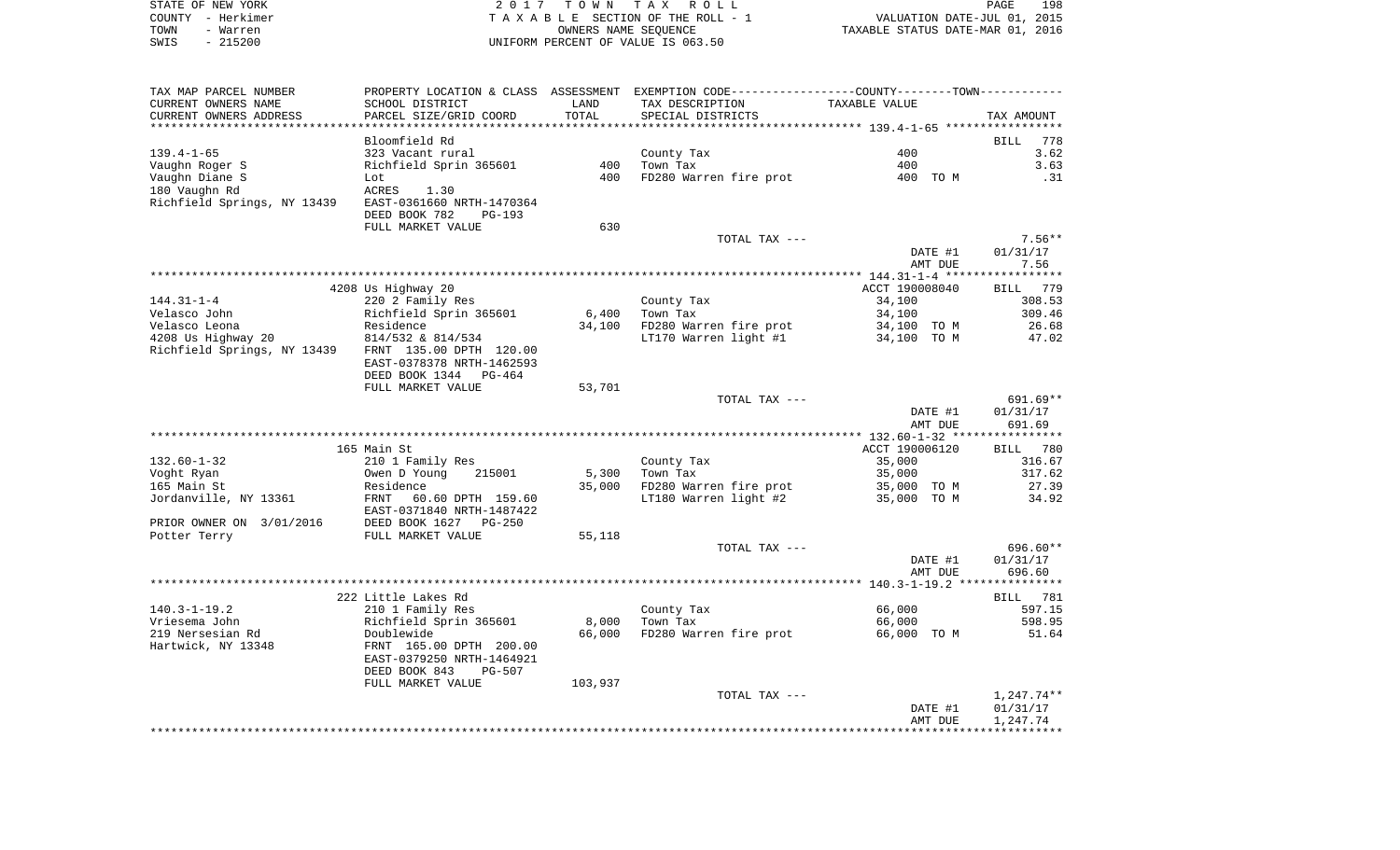|      | STATE OF NEW YORK | 2017 TOWN TAX ROLL                 | PAGE                             | 198 |
|------|-------------------|------------------------------------|----------------------------------|-----|
|      | COUNTY - Herkimer | TAXABLE SECTION OF THE ROLL - 1    | VALUATION DATE-JUL 01, 2015      |     |
| TOWN | - Warren          | OWNERS NAME SEOUENCE               | TAXABLE STATUS DATE-MAR 01, 2016 |     |
| SWIS | $-215200$         | UNIFORM PERCENT OF VALUE IS 063.50 |                                  |     |

| TAX MAP PARCEL NUMBER<br>CURRENT OWNERS NAME | SCHOOL DISTRICT                                        | LAND<br>TOTAL   | PROPERTY LOCATION & CLASS ASSESSMENT EXEMPTION CODE---------------COUNTY-------TOWN----------<br>TAX DESCRIPTION | TAXABLE VALUE         |                    |
|----------------------------------------------|--------------------------------------------------------|-----------------|------------------------------------------------------------------------------------------------------------------|-----------------------|--------------------|
| CURRENT OWNERS ADDRESS                       | PARCEL SIZE/GRID COORD                                 |                 | SPECIAL DISTRICTS                                                                                                |                       | TAX AMOUNT         |
|                                              | Bloomfield Rd                                          |                 |                                                                                                                  |                       | <b>BILL</b><br>778 |
| $139.4 - 1 - 65$                             | 323 Vacant rural                                       |                 | County Tax                                                                                                       | 400                   | 3.62               |
| Vaughn Roger S                               | Richfield Sprin 365601                                 | 400             | Town Tax                                                                                                         | 400                   | 3.63               |
| Vaughn Diane S                               | Lot                                                    | 400             | FD280 Warren fire prot                                                                                           | 400 TO M              | .31                |
| 180 Vaughn Rd                                | ACRES<br>1.30                                          |                 |                                                                                                                  |                       |                    |
| Richfield Springs, NY 13439                  | EAST-0361660 NRTH-1470364<br>DEED BOOK 782<br>$PG-193$ |                 |                                                                                                                  |                       |                    |
|                                              | FULL MARKET VALUE                                      | 630             |                                                                                                                  |                       |                    |
|                                              |                                                        |                 | TOTAL TAX ---                                                                                                    |                       | $7.56**$           |
|                                              |                                                        |                 |                                                                                                                  | DATE #1               | 01/31/17           |
|                                              |                                                        |                 |                                                                                                                  | AMT DUE               | 7.56               |
|                                              |                                                        |                 |                                                                                                                  |                       |                    |
|                                              | 4208 Us Highway 20                                     |                 |                                                                                                                  | ACCT 190008040        | BILL 779           |
| $144.31 - 1 - 4$                             | 220 2 Family Res                                       |                 | County Tax                                                                                                       | 34,100                | 308.53             |
| Velasco John<br>Velasco Leona                | Richfield Sprin 365601<br>Residence                    | 6,400<br>34,100 | Town Tax<br>FD280 Warren fire prot                                                                               | 34,100<br>34,100 TO M | 309.46<br>26.68    |
| 4208 Us Highway 20                           | 814/532 & 814/534                                      |                 | LT170 Warren light #1                                                                                            | 34,100 TO M           | 47.02              |
| Richfield Springs, NY 13439                  | FRNT 135.00 DPTH 120.00                                |                 |                                                                                                                  |                       |                    |
|                                              | EAST-0378378 NRTH-1462593                              |                 |                                                                                                                  |                       |                    |
|                                              | DEED BOOK 1344<br>PG-464                               |                 |                                                                                                                  |                       |                    |
|                                              | FULL MARKET VALUE                                      | 53,701          |                                                                                                                  |                       |                    |
|                                              |                                                        |                 | TOTAL TAX ---                                                                                                    |                       | 691.69**           |
|                                              |                                                        |                 |                                                                                                                  | DATE #1<br>AMT DUE    | 01/31/17<br>691.69 |
|                                              |                                                        |                 |                                                                                                                  |                       |                    |
|                                              | 165 Main St                                            |                 |                                                                                                                  | ACCT 190006120        | BILL<br>780        |
| $132.60 - 1 - 32$                            | 210 1 Family Res                                       |                 | County Tax                                                                                                       | 35,000                | 316.67             |
| Voght Ryan                                   | Owen D Young<br>215001                                 | 5,300           | Town Tax                                                                                                         | 35,000                | 317.62             |
| 165 Main St                                  | Residence                                              | 35,000          | FD280 Warren fire prot                                                                                           | 35,000 TO M           | 27.39              |
| Jordanville, NY 13361                        | FRNT<br>60.60 DPTH 159.60<br>EAST-0371840 NRTH-1487422 |                 | LT180 Warren light #2                                                                                            | 35,000 TO M           | 34.92              |
| PRIOR OWNER ON 3/01/2016                     | DEED BOOK 1627<br>$PG-250$                             |                 |                                                                                                                  |                       |                    |
| Potter Terry                                 | FULL MARKET VALUE                                      | 55,118          |                                                                                                                  |                       |                    |
|                                              |                                                        |                 | TOTAL TAX ---                                                                                                    |                       | 696.60**           |
|                                              |                                                        |                 |                                                                                                                  | DATE #1               | 01/31/17           |
|                                              |                                                        |                 |                                                                                                                  | AMT DUE               | 696.60             |
|                                              |                                                        |                 |                                                                                                                  |                       |                    |
|                                              | 222 Little Lakes Rd                                    |                 |                                                                                                                  |                       | 781<br>BILL        |
| $140.3 - 1 - 19.2$                           | 210 1 Family Res                                       |                 | County Tax                                                                                                       | 66,000                | 597.15             |
| Vriesema John                                | Richfield Sprin 365601                                 | 8,000           | Town Tax                                                                                                         | 66,000                | 598.95             |
| 219 Nersesian Rd                             | Doublewide                                             | 66,000          | FD280 Warren fire prot                                                                                           | 66,000 TO M           | 51.64              |
| Hartwick, NY 13348                           | FRNT 165.00 DPTH 200.00<br>EAST-0379250 NRTH-1464921   |                 |                                                                                                                  |                       |                    |
|                                              | DEED BOOK 843<br><b>PG-507</b>                         |                 |                                                                                                                  |                       |                    |
|                                              | FULL MARKET VALUE                                      | 103,937         |                                                                                                                  |                       |                    |
|                                              |                                                        |                 | TOTAL TAX ---                                                                                                    |                       | $1,247.74**$       |
|                                              |                                                        |                 |                                                                                                                  | DATE #1               | 01/31/17           |
|                                              |                                                        |                 |                                                                                                                  | AMT DUE               | 1,247.74           |
|                                              |                                                        |                 |                                                                                                                  |                       |                    |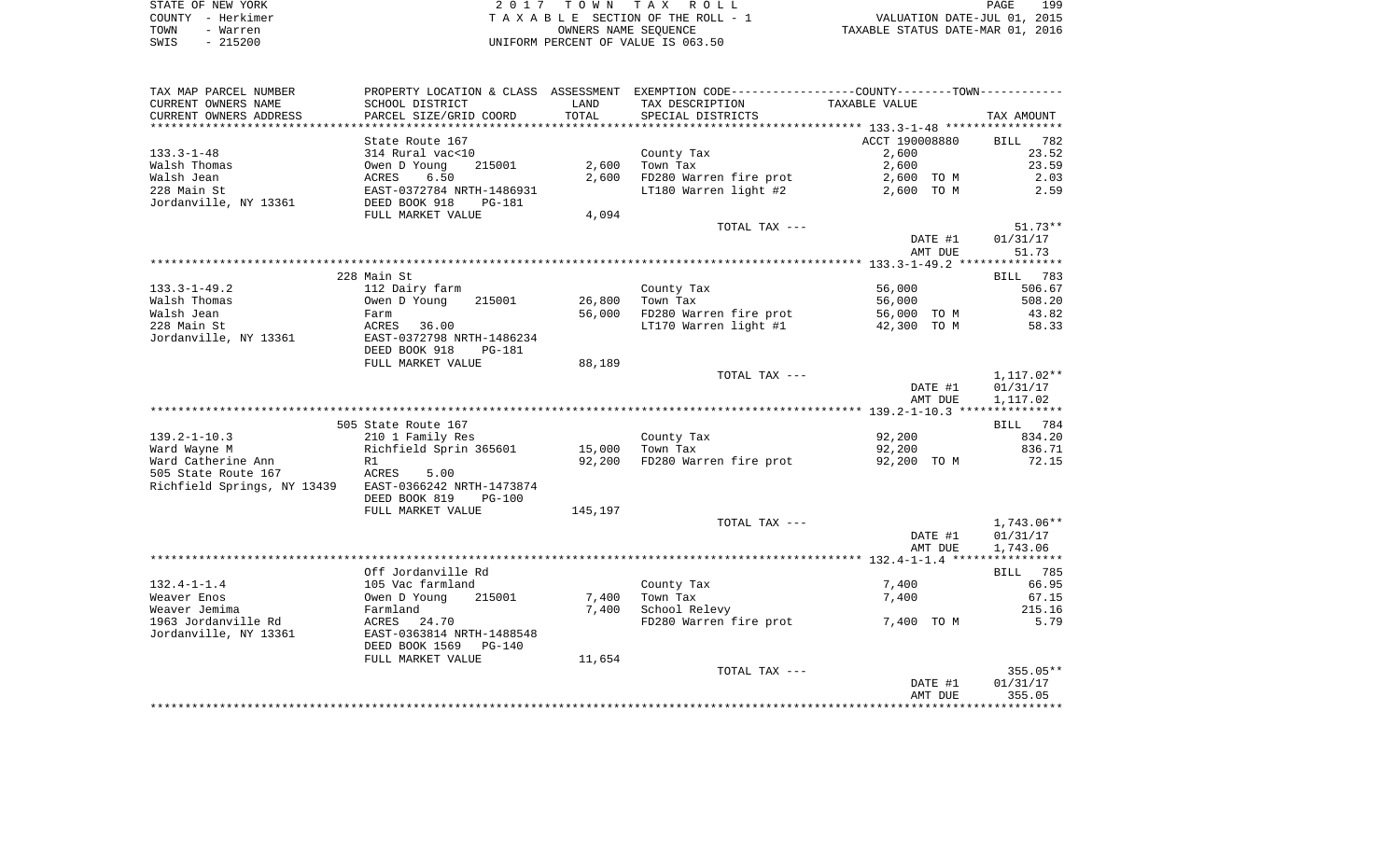| STATE OF NEW YORK | 2017 TOWN TAX ROLL                 | 199<br>PAGE                      |
|-------------------|------------------------------------|----------------------------------|
| COUNTY - Herkimer | TAXABLE SECTION OF THE ROLL - 1    | VALUATION DATE-JUL 01, 2015      |
| TOWN<br>- Warren  | OWNERS NAME SEOUENCE               | TAXABLE STATUS DATE-MAR 01, 2016 |
| $-215200$<br>SWIS | UNIFORM PERCENT OF VALUE IS 063.50 |                                  |

| TAX MAP PARCEL NUMBER                                 |                                |         | PROPERTY LOCATION & CLASS ASSESSMENT EXEMPTION CODE----------------COUNTY--------TOWN---------- |                |                        |
|-------------------------------------------------------|--------------------------------|---------|-------------------------------------------------------------------------------------------------|----------------|------------------------|
| CURRENT OWNERS NAME                                   | SCHOOL DISTRICT                | LAND    | TAX DESCRIPTION                                                                                 | TAXABLE VALUE  |                        |
| CURRENT OWNERS ADDRESS                                | PARCEL SIZE/GRID COORD         | TOTAL   | SPECIAL DISTRICTS                                                                               |                | TAX AMOUNT             |
|                                                       |                                |         |                                                                                                 |                |                        |
|                                                       | State Route 167                |         |                                                                                                 | ACCT 190008880 | BILL<br>782            |
| $133.3 - 1 - 48$                                      | 314 Rural vac<10               |         | County Tax                                                                                      | 2,600          | 23.52                  |
| Walsh Thomas                                          | 215001<br>Owen D Young         | 2,600   | Town Tax                                                                                        | 2,600          | 23.59                  |
| Walsh Jean                                            | ACRES<br>6.50                  | 2,600   | FD280 Warren fire prot                                                                          | 2,600 TO M     | 2.03                   |
| 228 Main St                                           | EAST-0372784 NRTH-1486931      |         | LT180 Warren light #2                                                                           | 2,600 TO M     | 2.59                   |
| Jordanville, NY 13361                                 | DEED BOOK 918<br>PG-181        |         |                                                                                                 |                |                        |
|                                                       | FULL MARKET VALUE              | 4,094   |                                                                                                 |                |                        |
|                                                       |                                |         | TOTAL TAX ---                                                                                   |                | $51.73**$              |
|                                                       |                                |         |                                                                                                 | DATE #1        | 01/31/17               |
|                                                       |                                |         |                                                                                                 | AMT DUE        | 51.73                  |
|                                                       |                                |         |                                                                                                 |                |                        |
|                                                       | 228 Main St                    |         |                                                                                                 |                | BILL 783               |
| $133.3 - 1 - 49.2$                                    | 112 Dairy farm                 |         | County Tax                                                                                      | 56,000         | 506.67                 |
| Walsh Thomas                                          | 215001<br>Owen D Young         | 26,800  | Town Tax                                                                                        | 56,000         | 508.20                 |
| Walsh Jean                                            | Farm                           | 56,000  | FD280 Warren fire prot                                                                          | 56,000 TO M    | 43.82                  |
| 228 Main St                                           | ACRES<br>36.00                 |         | LT170 Warren light #1                                                                           | 42,300 TO M    | 58.33                  |
| Jordanville, NY 13361                                 | EAST-0372798 NRTH-1486234      |         |                                                                                                 |                |                        |
|                                                       | DEED BOOK 918<br><b>PG-181</b> |         |                                                                                                 |                |                        |
|                                                       | FULL MARKET VALUE              | 88,189  | TOTAL TAX ---                                                                                   |                |                        |
|                                                       |                                |         |                                                                                                 | DATE #1        | 1,117.02**<br>01/31/17 |
|                                                       |                                |         |                                                                                                 | AMT DUE        | 1,117.02               |
|                                                       |                                |         |                                                                                                 |                |                        |
|                                                       | 505 State Route 167            |         |                                                                                                 |                | BILL 784               |
| $139.2 - 1 - 10.3$                                    | 210 1 Family Res               |         | County Tax                                                                                      | 92,200         | 834.20                 |
| Ward Wayne M                                          | Richfield Sprin 365601         | 15,000  | Town Tax                                                                                        | 92,200         | 836.71                 |
| Ward Catherine Ann                                    | R1                             | 92,200  | FD280 Warren fire prot                                                                          | 92,200 TO M    | 72.15                  |
| 505 State Route 167                                   | ACRES<br>5.00                  |         |                                                                                                 |                |                        |
| Richfield Springs, NY 13439 EAST-0366242 NRTH-1473874 |                                |         |                                                                                                 |                |                        |
|                                                       | DEED BOOK 819<br>$PG-100$      |         |                                                                                                 |                |                        |
|                                                       | FULL MARKET VALUE              | 145,197 |                                                                                                 |                |                        |
|                                                       |                                |         | TOTAL TAX ---                                                                                   |                | 1,743.06**             |
|                                                       |                                |         |                                                                                                 | DATE #1        | 01/31/17               |
|                                                       |                                |         |                                                                                                 | AMT DUE        | 1,743.06               |
|                                                       |                                |         |                                                                                                 |                |                        |
|                                                       | Off Jordanville Rd             |         |                                                                                                 |                | BILL 785               |
| $132.4 - 1 - 1.4$                                     | 105 Vac farmland               |         | County Tax                                                                                      | 7,400          | 66.95                  |
| Weaver Enos                                           | 215001<br>Owen D Young         | 7,400   | Town Tax                                                                                        | 7,400          | 67.15                  |
| Weaver Jemima                                         | Farmland                       | 7,400   | School Relevy                                                                                   |                | 215.16                 |
| 1963 Jordanville Rd                                   | 24.70<br>ACRES                 |         | FD280 Warren fire prot                                                                          | 7,400 TO M     | 5.79                   |
| Jordanville, NY 13361                                 | EAST-0363814 NRTH-1488548      |         |                                                                                                 |                |                        |
|                                                       | DEED BOOK 1569<br>PG-140       |         |                                                                                                 |                |                        |
|                                                       | FULL MARKET VALUE              | 11,654  |                                                                                                 |                |                        |
|                                                       |                                |         | TOTAL TAX ---                                                                                   |                | $355.05**$             |
|                                                       |                                |         |                                                                                                 | DATE #1        | 01/31/17               |
|                                                       |                                |         |                                                                                                 | AMT DUE        | 355.05                 |
|                                                       |                                |         |                                                                                                 |                |                        |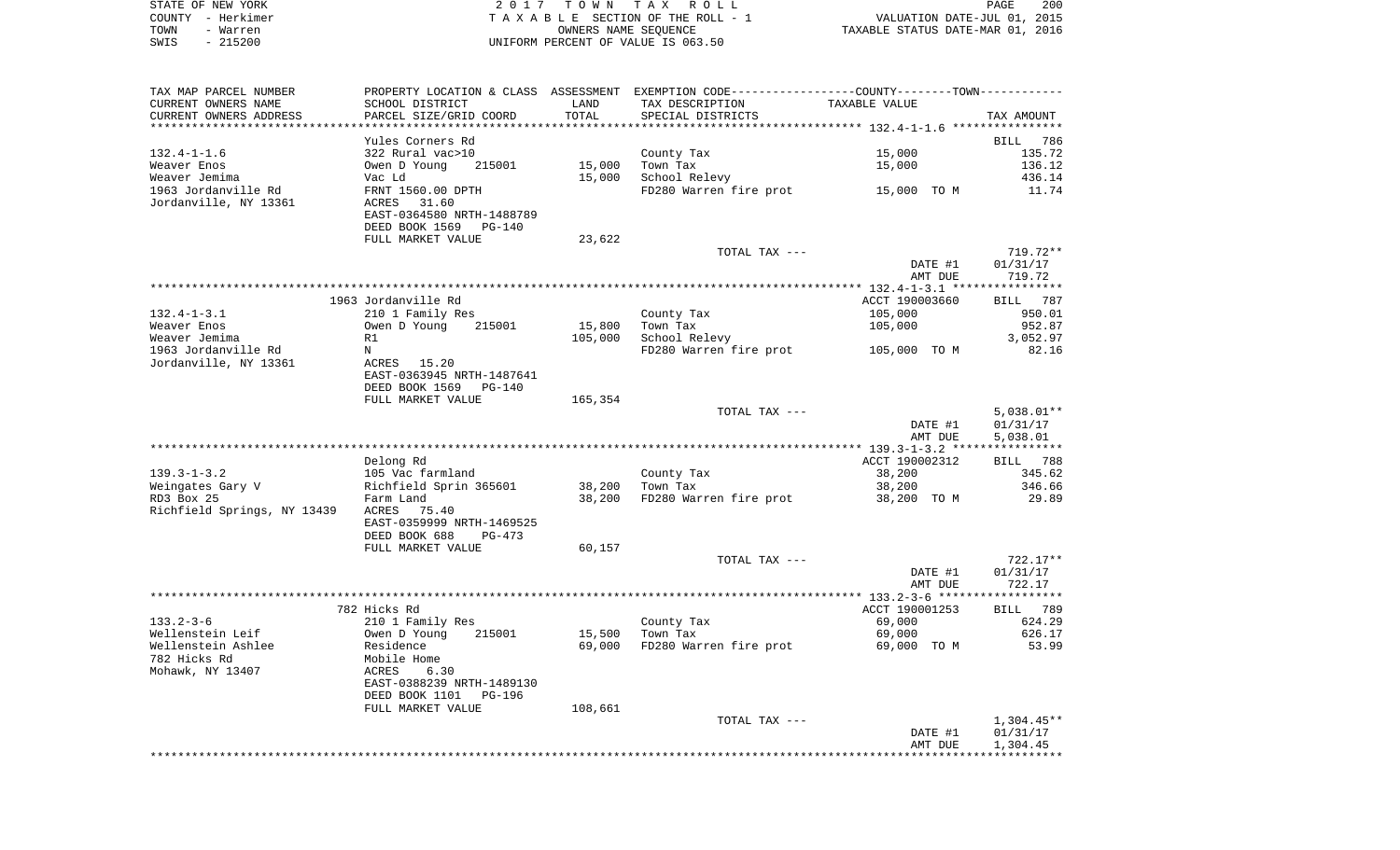| STATE OF NEW YORK | 2017 TOWN TAX ROLL                 | 200<br>PAGE                      |
|-------------------|------------------------------------|----------------------------------|
| COUNTY - Herkimer | TAXABLE SECTION OF THE ROLL - 1    | VALUATION DATE-JUL 01, 2015      |
| TOWN<br>- Warren  | OWNERS NAME SEOUENCE               | TAXABLE STATUS DATE-MAR 01, 2016 |
| - 215200<br>SWIS  | UNIFORM PERCENT OF VALUE IS 063.50 |                                  |

| TAX MAP PARCEL NUMBER       | PROPERTY LOCATION & CLASS ASSESSMENT EXEMPTION CODE----------------COUNTY--------TOWN---------- |         |                        |                |              |
|-----------------------------|-------------------------------------------------------------------------------------------------|---------|------------------------|----------------|--------------|
| CURRENT OWNERS NAME         | SCHOOL DISTRICT                                                                                 | LAND    | TAX DESCRIPTION        | TAXABLE VALUE  |              |
| CURRENT OWNERS ADDRESS      | PARCEL SIZE/GRID COORD                                                                          | TOTAL   | SPECIAL DISTRICTS      |                | TAX AMOUNT   |
|                             |                                                                                                 |         |                        |                |              |
|                             | Yules Corners Rd                                                                                |         |                        |                | BILL 786     |
| $132.4 - 1 - 1.6$           | 322 Rural vac>10                                                                                |         | County Tax             | 15,000         | 135.72       |
| Weaver Enos                 | Owen D Young<br>215001                                                                          | 15,000  | Town Tax               | 15,000         | 136.12       |
| Weaver Jemima               | Vac Ld                                                                                          | 15,000  | School Relevy          |                | 436.14       |
| 1963 Jordanville Rd         |                                                                                                 |         |                        |                | 11.74        |
| Jordanville, NY 13361       | FRNT 1560.00 DPTH<br>ACRES<br>31.60                                                             |         | FD280 Warren fire prot | 15,000 TO M    |              |
|                             |                                                                                                 |         |                        |                |              |
|                             | EAST-0364580 NRTH-1488789                                                                       |         |                        |                |              |
|                             | DEED BOOK 1569<br><b>PG-140</b>                                                                 |         |                        |                |              |
|                             | FULL MARKET VALUE                                                                               | 23,622  |                        |                |              |
|                             |                                                                                                 |         | TOTAL TAX ---          |                | 719.72**     |
|                             |                                                                                                 |         |                        | DATE #1        | 01/31/17     |
|                             |                                                                                                 |         |                        | AMT DUE        | 719.72       |
|                             |                                                                                                 |         |                        |                |              |
|                             | 1963 Jordanville Rd                                                                             |         |                        | ACCT 190003660 | BILL 787     |
| $132.4 - 1 - 3.1$           | 210 1 Family Res                                                                                |         | County Tax             | 105,000        | 950.01       |
| Weaver Enos                 | Owen D Young<br>215001                                                                          | 15,800  | Town Tax               | 105,000        | 952.87       |
| Weaver Jemima               | R1                                                                                              | 105,000 | School Relevy          |                | 3,052.97     |
| 1963 Jordanville Rd         | N                                                                                               |         | FD280 Warren fire prot | 105,000 TO M   | 82.16        |
| Jordanville, NY 13361       | ACRES 15.20                                                                                     |         |                        |                |              |
|                             | EAST-0363945 NRTH-1487641                                                                       |         |                        |                |              |
|                             | DEED BOOK 1569<br>PG-140                                                                        |         |                        |                |              |
|                             | FULL MARKET VALUE                                                                               | 165,354 |                        |                |              |
|                             |                                                                                                 |         | TOTAL TAX ---          |                | $5,038.01**$ |
|                             |                                                                                                 |         |                        | DATE #1        | 01/31/17     |
|                             |                                                                                                 |         |                        | AMT DUE        | 5,038.01     |
|                             |                                                                                                 |         |                        |                |              |
|                             | Delong Rd                                                                                       |         |                        | ACCT 190002312 | BILL 788     |
| $139.3 - 1 - 3.2$           | 105 Vac farmland                                                                                |         | County Tax             | 38,200         | 345.62       |
| Weingates Gary V            | Richfield Sprin 365601                                                                          | 38,200  | Town Tax               | 38,200         | 346.66       |
| RD3 Box 25                  |                                                                                                 | 38,200  |                        | 38,200 TO M    | 29.89        |
|                             | Farm Land                                                                                       |         | FD280 Warren fire prot |                |              |
| Richfield Springs, NY 13439 | ACRES<br>75.40                                                                                  |         |                        |                |              |
|                             | EAST-0359999 NRTH-1469525                                                                       |         |                        |                |              |
|                             | DEED BOOK 688<br>$PG-473$                                                                       |         |                        |                |              |
|                             | FULL MARKET VALUE                                                                               | 60,157  |                        |                |              |
|                             |                                                                                                 |         | TOTAL TAX ---          |                | $722.17**$   |
|                             |                                                                                                 |         |                        | DATE #1        | 01/31/17     |
|                             |                                                                                                 |         |                        | AMT DUE        | 722.17       |
|                             |                                                                                                 |         |                        |                |              |
|                             | 782 Hicks Rd                                                                                    |         |                        | ACCT 190001253 | BILL 789     |
| $133.2 - 3 - 6$             | 210 1 Family Res                                                                                |         | County Tax             | 69,000         | 624.29       |
| Wellenstein Leif            | 215001<br>Owen D Young                                                                          | 15,500  | Town Tax               | 69,000         | 626.17       |
| Wellenstein Ashlee          | Residence                                                                                       | 69,000  | FD280 Warren fire prot | 69,000 TO M    | 53.99        |
| 782 Hicks Rd                | Mobile Home                                                                                     |         |                        |                |              |
| Mohawk, NY 13407            | ACRES<br>6.30                                                                                   |         |                        |                |              |
|                             | EAST-0388239 NRTH-1489130                                                                       |         |                        |                |              |
|                             | DEED BOOK 1101<br><b>PG-196</b>                                                                 |         |                        |                |              |
|                             | FULL MARKET VALUE                                                                               | 108,661 |                        |                |              |
|                             |                                                                                                 |         | TOTAL TAX ---          |                | $1,304.45**$ |
|                             |                                                                                                 |         |                        | DATE #1        | 01/31/17     |
|                             |                                                                                                 |         |                        | AMT DUE        | 1,304.45     |
|                             |                                                                                                 |         |                        |                |              |
|                             |                                                                                                 |         |                        |                |              |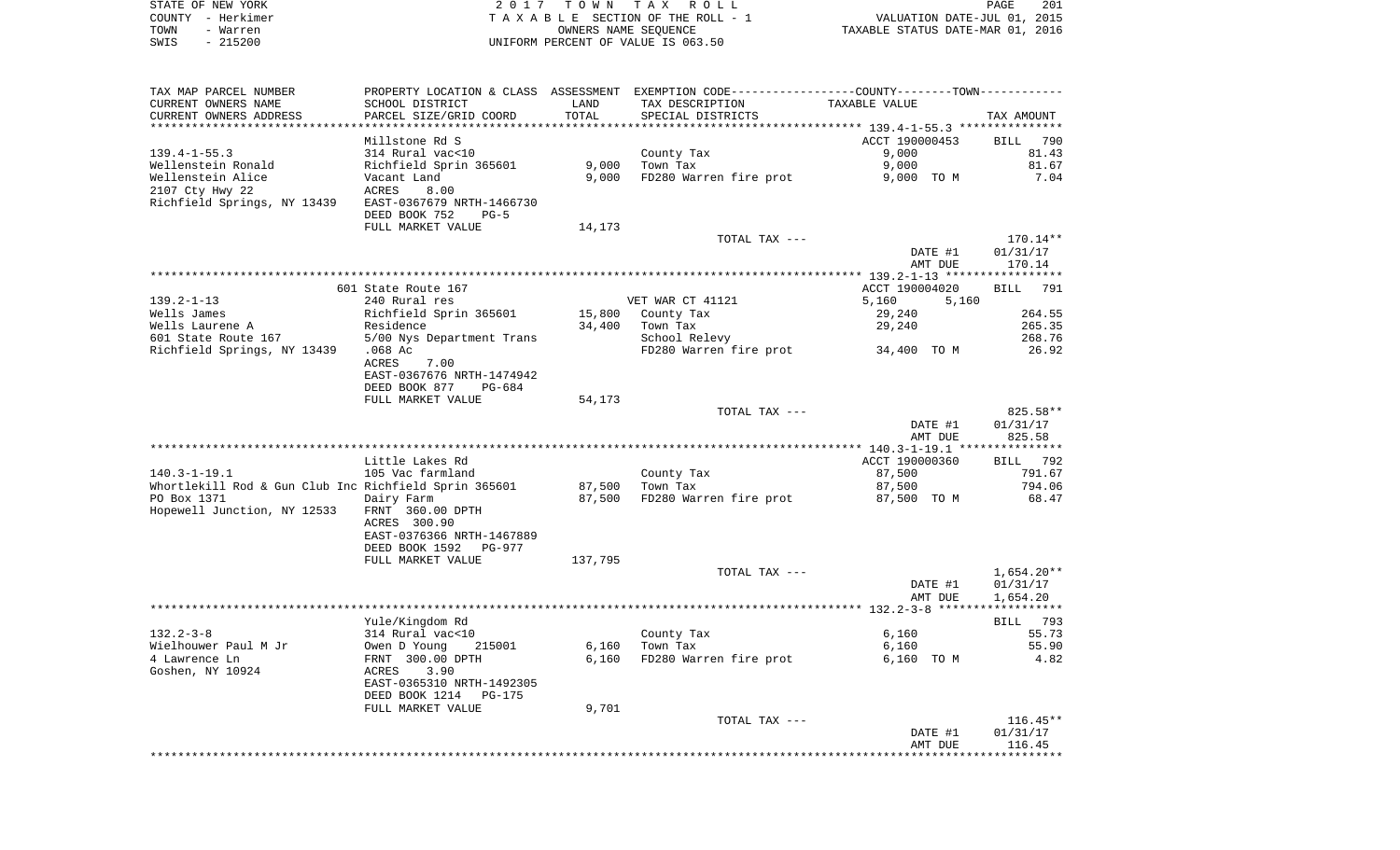| STATE OF NEW YORK<br>COUNTY - Herkimer<br>TOWN<br>- Warren<br>SWIS<br>$-215200$ |                                           |               | 2017 TOWN TAX ROLL<br>TAXABLE SECTION OF THE ROLL - 1<br>OWNERS NAME SEQUENCE<br>UNIFORM PERCENT OF VALUE IS 063.50 | VALUATION DATE-JUL 01, 2015<br>TAXABLE STATUS DATE-MAR 01, 2016 | PAGE<br>201        |
|---------------------------------------------------------------------------------|-------------------------------------------|---------------|---------------------------------------------------------------------------------------------------------------------|-----------------------------------------------------------------|--------------------|
|                                                                                 |                                           |               |                                                                                                                     |                                                                 |                    |
| TAX MAP PARCEL NUMBER                                                           | PROPERTY LOCATION & CLASS ASSESSMENT      |               | EXEMPTION CODE-----------------COUNTY-------TOWN-----------                                                         |                                                                 |                    |
| CURRENT OWNERS NAME<br>CURRENT OWNERS ADDRESS                                   | SCHOOL DISTRICT<br>PARCEL SIZE/GRID COORD | LAND<br>TOTAL | TAX DESCRIPTION<br>SPECIAL DISTRICTS                                                                                | TAXABLE VALUE                                                   | TAX AMOUNT         |
|                                                                                 |                                           |               |                                                                                                                     |                                                                 |                    |
|                                                                                 | Millstone Rd S                            |               |                                                                                                                     | ACCT 190000453                                                  | 790<br>BILL        |
| $139.4 - 1 - 55.3$                                                              | 314 Rural vac<10                          | 9,000         | County Tax<br>Town Tax                                                                                              | 9,000<br>9,000                                                  | 81.43<br>81.67     |
| Wellenstein Ronald<br>Wellenstein Alice                                         | Richfield Sprin 365601<br>Vacant Land     | 9,000         | FD280 Warren fire prot                                                                                              | 9,000 TO M                                                      | 7.04               |
| 2107 Cty Hwy 22                                                                 | 8.00<br>ACRES                             |               |                                                                                                                     |                                                                 |                    |
| Richfield Springs, NY 13439                                                     | EAST-0367679 NRTH-1466730                 |               |                                                                                                                     |                                                                 |                    |
|                                                                                 | DEED BOOK 752<br>$PG-5$                   |               |                                                                                                                     |                                                                 |                    |
|                                                                                 | FULL MARKET VALUE                         | 14,173        |                                                                                                                     |                                                                 |                    |
|                                                                                 |                                           |               | TOTAL TAX ---                                                                                                       |                                                                 | 170.14**           |
|                                                                                 |                                           |               |                                                                                                                     | DATE #1                                                         | 01/31/17           |
|                                                                                 |                                           |               |                                                                                                                     | AMT DUE                                                         | 170.14             |
|                                                                                 | 601 State Route 167                       |               |                                                                                                                     | ACCT 190004020                                                  | <b>BILL</b><br>791 |
| $139.2 - 1 - 13$                                                                | 240 Rural res                             |               | VET WAR CT 41121                                                                                                    | 5,160<br>5,160                                                  |                    |
| Wells James                                                                     | Richfield Sprin 365601                    | 15,800        | County Tax                                                                                                          | 29,240                                                          | 264.55             |
| Wells Laurene A                                                                 | Residence                                 | 34,400        | Town Tax                                                                                                            | 29,240                                                          | 265.35             |
| 601 State Route 167                                                             | 5/00 Nys Department Trans                 |               | School Relevy                                                                                                       |                                                                 | 268.76             |
| Richfield Springs, NY 13439                                                     | $.068$ Ac<br><b>ACRES</b><br>7.00         |               | FD280 Warren fire prot                                                                                              | 34,400 TO M                                                     | 26.92              |
|                                                                                 | EAST-0367676 NRTH-1474942                 |               |                                                                                                                     |                                                                 |                    |
|                                                                                 | DEED BOOK 877<br>PG-684                   |               |                                                                                                                     |                                                                 |                    |
|                                                                                 | FULL MARKET VALUE                         | 54,173        |                                                                                                                     |                                                                 |                    |
|                                                                                 |                                           |               | TOTAL TAX ---                                                                                                       |                                                                 | 825.58**           |
|                                                                                 |                                           |               |                                                                                                                     | DATE #1                                                         | 01/31/17           |
|                                                                                 |                                           |               |                                                                                                                     | AMT DUE                                                         | 825.58             |
|                                                                                 | Little Lakes Rd                           |               |                                                                                                                     | ACCT 190000360                                                  | BILL 792           |
| $140.3 - 1 - 19.1$                                                              | 105 Vac farmland                          |               | County Tax                                                                                                          | 87,500                                                          | 791.67             |
| Whortlekill Rod & Gun Club Inc Richfield Sprin 365601                           |                                           | 87,500        | Town Tax                                                                                                            | 87,500                                                          | 794.06             |
| PO Box 1371                                                                     | Dairy Farm                                | 87,500        | FD280 Warren fire prot                                                                                              | 87,500 TO M                                                     | 68.47              |
| Hopewell Junction, NY 12533                                                     | FRNT 360.00 DPTH                          |               |                                                                                                                     |                                                                 |                    |
|                                                                                 | ACRES 300.90                              |               |                                                                                                                     |                                                                 |                    |
|                                                                                 | EAST-0376366 NRTH-1467889                 |               |                                                                                                                     |                                                                 |                    |
|                                                                                 | DEED BOOK 1592<br>PG-977                  |               |                                                                                                                     |                                                                 |                    |
|                                                                                 | FULL MARKET VALUE                         | 137,795       |                                                                                                                     |                                                                 |                    |

|                      |                           |       | TOTAL TAX ---          |               | $1.654.20**$ |
|----------------------|---------------------------|-------|------------------------|---------------|--------------|
|                      |                           |       |                        | DATE #1       | 01/31/17     |
|                      |                           |       |                        | AMT DUE       | 1,654.20     |
|                      |                           |       |                        |               |              |
|                      | Yule/Kingdom Rd           |       |                        |               | BILL 793     |
| $132.2 - 3 - 8$      | 314 Rural vac<10          |       | County Tax             | 6,160         | 55.73        |
| Wielhouwer Paul M Jr | 215001<br>Owen D Young    | 6,160 | Town Tax               | 6,160         | 55.90        |
| 4 Lawrence Ln        | FRNT 300.00 DPTH          | 6,160 | FD280 Warren fire prot | 6,160<br>TO M | 4.82         |
| Goshen, NY 10924     | 3.90<br>ACRES             |       |                        |               |              |
|                      | EAST-0365310 NRTH-1492305 |       |                        |               |              |
|                      | DEED BOOK 1214 PG-175     |       |                        |               |              |
|                      | FULL MARKET VALUE         | 9,701 |                        |               |              |
|                      |                           |       | TOTAL TAX ---          |               | $116.45**$   |
|                      |                           |       |                        | DATE #1       | 01/31/17     |
|                      |                           |       |                        | AMT DUE       | 116.45       |
|                      |                           |       |                        |               |              |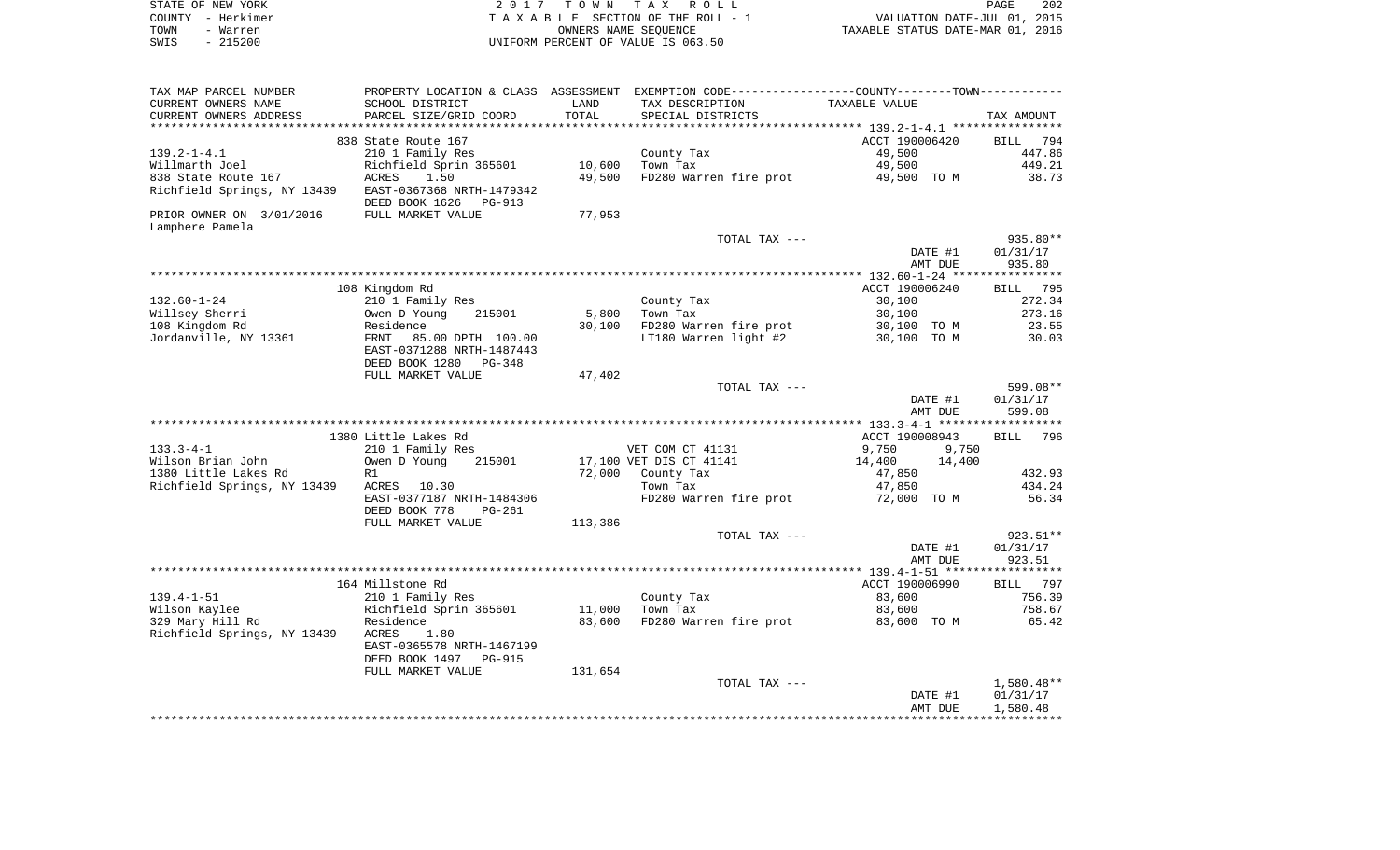| STATE OF NEW YORK |                   | 2017 TOWN TAX ROLL                 | PAGE                             | 202 |
|-------------------|-------------------|------------------------------------|----------------------------------|-----|
|                   | COUNTY – Herkimer | TAXABLE SECTION OF THE ROLL - 1    | VALUATION DATE-JUL 01, 2015      |     |
| TOWN              | - Warren          | OWNERS NAME SEOUENCE               | TAXABLE STATUS DATE-MAR 01, 2016 |     |
| SWIS              | - 215200          | UNIFORM PERCENT OF VALUE IS 063.50 |                                  |     |

| TAX MAP PARCEL NUMBER<br>CURRENT OWNERS NAME        | PROPERTY LOCATION & CLASS ASSESSMENT EXEMPTION CODE---------------COUNTY--------TOWN----------<br>SCHOOL DISTRICT | LAND              | TAX DESCRIPTION         | TAXABLE VALUE                                            |                    |
|-----------------------------------------------------|-------------------------------------------------------------------------------------------------------------------|-------------------|-------------------------|----------------------------------------------------------|--------------------|
| CURRENT OWNERS ADDRESS                              | PARCEL SIZE/GRID COORD                                                                                            | TOTAL<br>******** | SPECIAL DISTRICTS       |                                                          | TAX AMOUNT         |
|                                                     |                                                                                                                   |                   |                         | *************************** 139.2-1-4.1 **************** |                    |
|                                                     | 838 State Route 167                                                                                               |                   |                         | ACCT 190006420                                           | BILL<br>794        |
| $139.2 - 1 - 4.1$                                   | 210 1 Family Res                                                                                                  |                   | County Tax              | 49,500                                                   | 447.86             |
| Willmarth Joel                                      | Richfield Sprin 365601                                                                                            | 10,600            | Town Tax                | 49,500                                                   | 449.21             |
| 838 State Route 167                                 | ACRES<br>1.50<br>EAST-0367368 NRTH-1479342                                                                        | 49,500            | FD280 Warren fire prot  | 49,500 TO M                                              | 38.73              |
| Richfield Springs, NY 13439                         | DEED BOOK 1626<br>PG-913                                                                                          |                   |                         |                                                          |                    |
| PRIOR OWNER ON 3/01/2016                            | FULL MARKET VALUE                                                                                                 | 77,953            |                         |                                                          |                    |
| Lamphere Pamela                                     |                                                                                                                   |                   |                         |                                                          |                    |
|                                                     |                                                                                                                   |                   | TOTAL TAX ---           |                                                          | 935.80**           |
|                                                     |                                                                                                                   |                   |                         | DATE #1                                                  | 01/31/17           |
|                                                     |                                                                                                                   |                   |                         | AMT DUE                                                  | 935.80             |
|                                                     |                                                                                                                   |                   |                         |                                                          |                    |
|                                                     | 108 Kingdom Rd                                                                                                    |                   |                         | ACCT 190006240                                           | 795<br>BILL        |
| $132.60 - 1 - 24$                                   | 210 1 Family Res                                                                                                  |                   | County Tax              | 30,100                                                   | 272.34             |
| Willsey Sherri                                      | Owen D Young<br>215001                                                                                            | 5,800             | Town Tax                | 30,100                                                   | 273.16             |
| 108 Kingdom Rd                                      | Residence                                                                                                         | 30,100            | FD280 Warren fire prot  | 30,100 TO M                                              | 23.55              |
| Jordanville, NY 13361                               | FRNT<br>85.00 DPTH 100.00                                                                                         |                   | LT180 Warren light #2   | 30,100 TO M                                              | 30.03              |
|                                                     | EAST-0371288 NRTH-1487443                                                                                         |                   |                         |                                                          |                    |
|                                                     | DEED BOOK 1280<br>PG-348                                                                                          |                   |                         |                                                          |                    |
|                                                     | FULL MARKET VALUE                                                                                                 | 47,402            |                         |                                                          |                    |
|                                                     |                                                                                                                   |                   | TOTAL TAX ---           |                                                          | 599.08**           |
|                                                     |                                                                                                                   |                   |                         | DATE #1                                                  | 01/31/17           |
|                                                     |                                                                                                                   |                   |                         | AMT DUE                                                  | 599.08             |
|                                                     |                                                                                                                   |                   |                         |                                                          |                    |
|                                                     | 1380 Little Lakes Rd                                                                                              |                   |                         | ACCT 190008943                                           | <b>BILL</b><br>796 |
| $133.3 - 4 - 1$                                     | 210 1 Family Res                                                                                                  |                   | VET COM CT 41131        | 9,750<br>9,750                                           |                    |
| Wilson Brian John                                   | Owen D Young<br>215001                                                                                            | 72,000            | 17,100 VET DIS CT 41141 | 14,400<br>14,400                                         | 432.93             |
| 1380 Little Lakes Rd<br>Richfield Springs, NY 13439 | R1<br>ACRES<br>10.30                                                                                              |                   | County Tax<br>Town Tax  | 47,850<br>47,850                                         | 434.24             |
|                                                     | EAST-0377187 NRTH-1484306                                                                                         |                   | FD280 Warren fire prot  | 72,000 TO M                                              | 56.34              |
|                                                     | DEED BOOK 778<br>PG-261                                                                                           |                   |                         |                                                          |                    |
|                                                     | FULL MARKET VALUE                                                                                                 | 113,386           |                         |                                                          |                    |
|                                                     |                                                                                                                   |                   | TOTAL TAX ---           |                                                          | 923.51**           |
|                                                     |                                                                                                                   |                   |                         | DATE #1                                                  | 01/31/17           |
|                                                     |                                                                                                                   |                   |                         | AMT DUE                                                  | 923.51             |
|                                                     |                                                                                                                   |                   |                         |                                                          |                    |
|                                                     | 164 Millstone Rd                                                                                                  |                   |                         | ACCT 190006990                                           | <b>BILL</b><br>797 |
| $139.4 - 1 - 51$                                    | 210 1 Family Res                                                                                                  |                   | County Tax              | 83,600                                                   | 756.39             |
| Wilson Kaylee                                       | Richfield Sprin 365601                                                                                            | 11,000            | Town Tax                | 83,600                                                   | 758.67             |
| 329 Mary Hill Rd                                    | Residence                                                                                                         | 83,600            | FD280 Warren fire prot  | 83,600 TO M                                              | 65.42              |
| Richfield Springs, NY 13439                         | 1.80<br>ACRES                                                                                                     |                   |                         |                                                          |                    |
|                                                     | EAST-0365578 NRTH-1467199                                                                                         |                   |                         |                                                          |                    |
|                                                     | DEED BOOK 1497<br><b>PG-915</b>                                                                                   |                   |                         |                                                          |                    |
|                                                     | FULL MARKET VALUE                                                                                                 | 131,654           |                         |                                                          |                    |
|                                                     |                                                                                                                   |                   | TOTAL TAX ---           |                                                          | $1,580.48**$       |
|                                                     |                                                                                                                   |                   |                         | DATE #1                                                  | 01/31/17           |
|                                                     |                                                                                                                   |                   |                         | AMT DUE                                                  | 1,580.48           |
|                                                     |                                                                                                                   |                   |                         |                                                          |                    |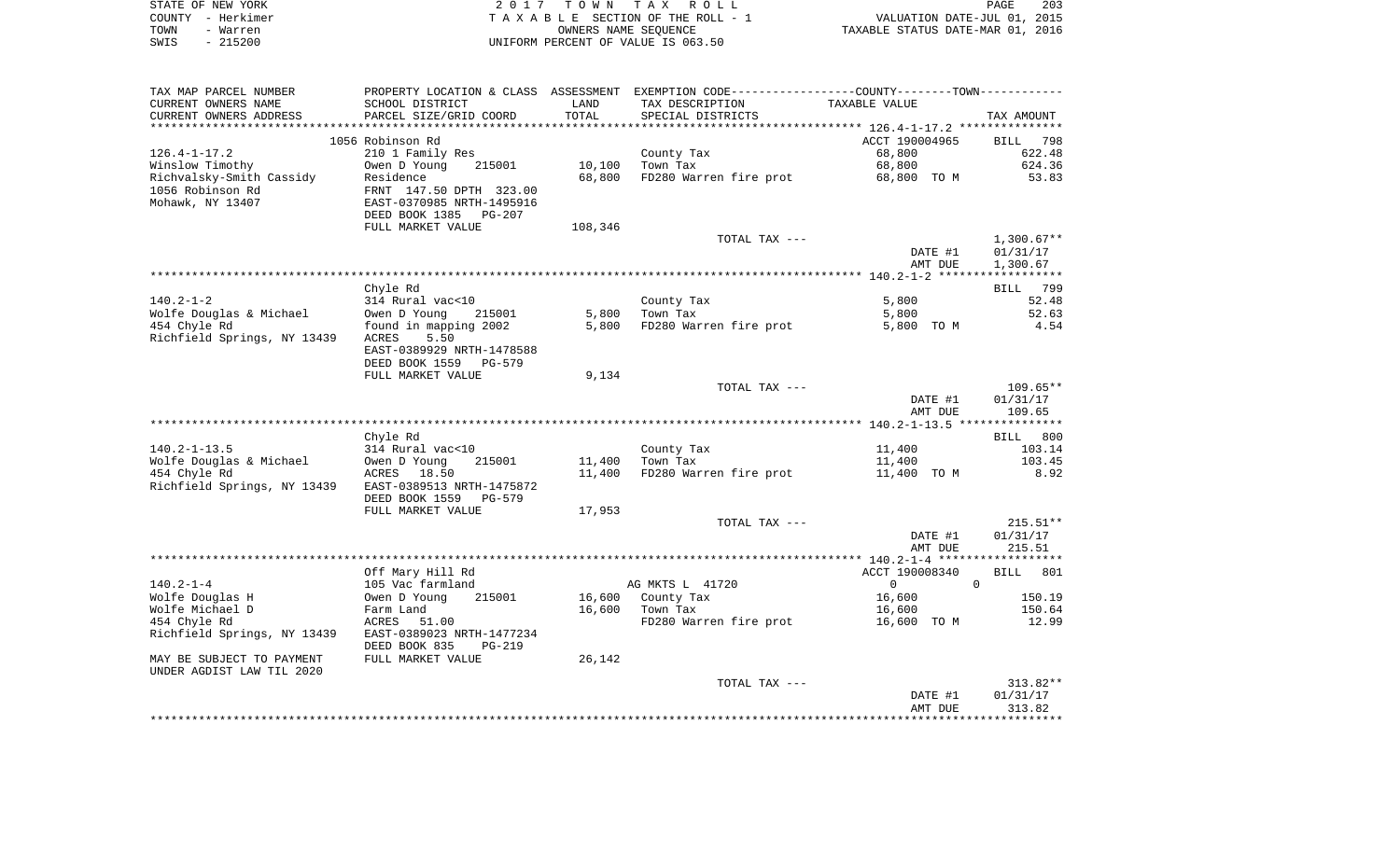|      | STATE OF NEW YORK | 2017 TOWN TAX ROLL                 | PAGE                             | 203 |
|------|-------------------|------------------------------------|----------------------------------|-----|
|      | COUNTY - Herkimer | TAXABLE SECTION OF THE ROLL - 1    | VALUATION DATE-JUL 01, 2015      |     |
| TOWN | - Warren          | OWNERS NAME SEOUENCE               | TAXABLE STATUS DATE-MAR 01, 2016 |     |
| SWIS | - 215200          | UNIFORM PERCENT OF VALUE IS 063.50 |                                  |     |

| TAX MAP PARCEL NUMBER       | PROPERTY LOCATION & CLASS ASSESSMENT EXEMPTION CODE---------------COUNTY-------TOWN---------- |         |                                    |                |                    |
|-----------------------------|-----------------------------------------------------------------------------------------------|---------|------------------------------------|----------------|--------------------|
| CURRENT OWNERS NAME         | SCHOOL DISTRICT                                                                               | LAND    | TAX DESCRIPTION                    | TAXABLE VALUE  |                    |
| CURRENT OWNERS ADDRESS      | PARCEL SIZE/GRID COORD                                                                        | TOTAL   | SPECIAL DISTRICTS                  |                | TAX AMOUNT         |
|                             |                                                                                               |         |                                    |                |                    |
|                             | 1056 Robinson Rd                                                                              |         |                                    | ACCT 190004965 | BILL 798           |
| $126.4 - 1 - 17.2$          | 210 1 Family Res                                                                              |         | County Tax                         | 68,800         | 622.48             |
| Winslow Timothy             | Owen D Young<br>215001                                                                        | 10,100  | Town Tax                           | 68,800         | 624.36             |
| Richvalsky-Smith Cassidy    | Residence                                                                                     | 68,800  | FD280 Warren fire prot 68,800 TO M |                | 53.83              |
| 1056 Robinson Rd            | FRNT 147.50 DPTH 323.00                                                                       |         |                                    |                |                    |
|                             |                                                                                               |         |                                    |                |                    |
| Mohawk, NY 13407            | EAST-0370985 NRTH-1495916                                                                     |         |                                    |                |                    |
|                             | DEED BOOK 1385 PG-207                                                                         |         |                                    |                |                    |
|                             | FULL MARKET VALUE                                                                             | 108,346 |                                    |                |                    |
|                             |                                                                                               |         | TOTAL TAX ---                      |                | $1,300.67**$       |
|                             |                                                                                               |         |                                    | DATE #1        | 01/31/17           |
|                             |                                                                                               |         |                                    | AMT DUE        | 1,300.67           |
|                             |                                                                                               |         |                                    |                |                    |
|                             | Chyle Rd                                                                                      |         |                                    |                | 799<br>BILL        |
| $140.2 - 1 - 2$             | 314 Rural vac<10                                                                              |         | County Tax                         | 5,800          | 52.48              |
| Wolfe Douglas & Michael     | Owen D Young<br>215001                                                                        | 5,800   | Town Tax                           | 5,800          | 52.63              |
| 454 Chyle Rd                | found in mapping 2002                                                                         | 5,800   | FD280 Warren fire prot             | 5,800 TO M     | 4.54               |
| Richfield Springs, NY 13439 | 5.50<br>ACRES                                                                                 |         |                                    |                |                    |
|                             | EAST-0389929 NRTH-1478588                                                                     |         |                                    |                |                    |
|                             | DEED BOOK 1559<br>PG-579                                                                      |         |                                    |                |                    |
|                             | FULL MARKET VALUE                                                                             | 9,134   |                                    |                |                    |
|                             |                                                                                               |         | TOTAL TAX ---                      |                | $109.65**$         |
|                             |                                                                                               |         |                                    |                | 01/31/17           |
|                             |                                                                                               |         |                                    | DATE #1        |                    |
|                             |                                                                                               |         |                                    | AMT DUE        | 109.65             |
|                             |                                                                                               |         |                                    |                |                    |
|                             | Chyle Rd                                                                                      |         |                                    |                | BILL 800           |
| $140.2 - 1 - 13.5$          | 314 Rural vac<10                                                                              |         | County Tax                         | 11,400         | 103.14             |
| Wolfe Douglas & Michael     | Owen D Young<br>215001                                                                        | 11,400  | Town Tax                           | 11,400         | 103.45             |
| 454 Chyle Rd                | ACRES 18.50                                                                                   | 11,400  | FD280 Warren fire prot             | 11,400 TO M    | 8.92               |
| Richfield Springs, NY 13439 | EAST-0389513 NRTH-1475872                                                                     |         |                                    |                |                    |
|                             | DEED BOOK 1559<br>PG-579                                                                      |         |                                    |                |                    |
|                             | FULL MARKET VALUE                                                                             | 17,953  |                                    |                |                    |
|                             |                                                                                               |         | TOTAL TAX ---                      |                | $215.51**$         |
|                             |                                                                                               |         |                                    | DATE #1        | 01/31/17           |
|                             |                                                                                               |         |                                    | AMT DUE        | 215.51             |
|                             |                                                                                               |         |                                    |                |                    |
|                             | Off Mary Hill Rd                                                                              |         |                                    | ACCT 190008340 | <b>BILL</b><br>801 |
| $140.2 - 1 - 4$             | 105 Vac farmland                                                                              |         | AG MKTS L 41720                    | $\overline{0}$ | $\Omega$           |
| Wolfe Douglas H             | Owen D Young<br>215001                                                                        | 16,600  | County Tax                         | 16,600         | 150.19             |
| Wolfe Michael D             | Farm Land                                                                                     | 16,600  | Town Tax                           | 16,600         | 150.64             |
| 454 Chyle Rd                | 51.00<br>ACRES                                                                                |         | FD280 Warren fire prot             | 16,600 TO M    | 12.99              |
| Richfield Springs, NY 13439 | EAST-0389023 NRTH-1477234                                                                     |         |                                    |                |                    |
|                             |                                                                                               |         |                                    |                |                    |
|                             | DEED BOOK 835<br><b>PG-219</b>                                                                |         |                                    |                |                    |
| MAY BE SUBJECT TO PAYMENT   | FULL MARKET VALUE                                                                             | 26,142  |                                    |                |                    |
| UNDER AGDIST LAW TIL 2020   |                                                                                               |         |                                    |                |                    |
|                             |                                                                                               |         | TOTAL TAX ---                      |                | 313.82**           |
|                             |                                                                                               |         |                                    | DATE #1        | 01/31/17           |
|                             |                                                                                               |         |                                    | AMT DUE        | 313.82             |
|                             |                                                                                               |         |                                    |                |                    |
|                             |                                                                                               |         |                                    |                |                    |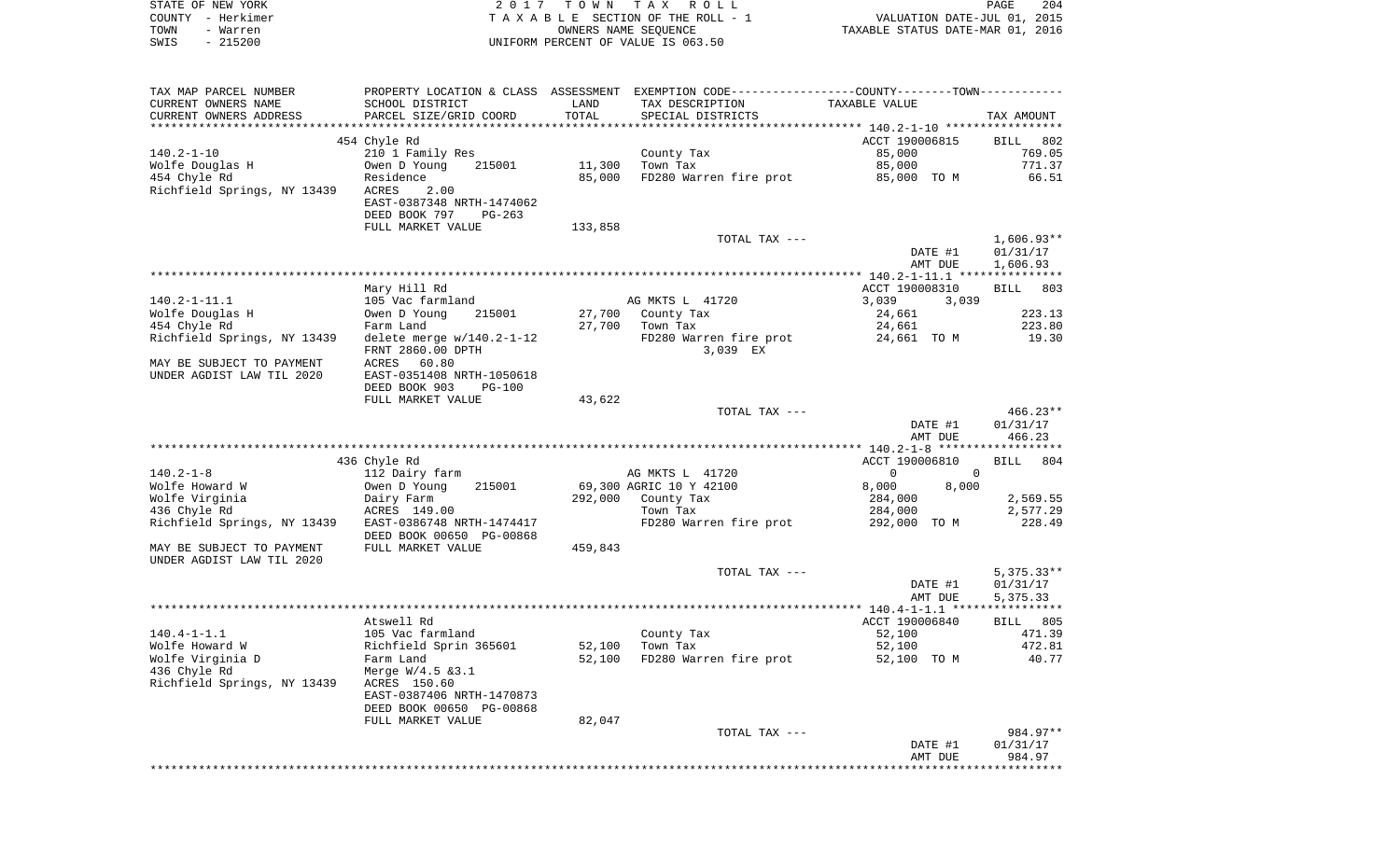| STATE OF NEW YORK<br>COUNTY - Herkimer                 |                                                                   |               | 2017 TOWN TAX ROLL<br>TAXABLE SECTION OF THE ROLL - 1                                           | VALUATION DATE-JUL 01, 2015<br>TAXABLE STATUS DATE-MAR 01, 2016 | PAGE<br>204     |
|--------------------------------------------------------|-------------------------------------------------------------------|---------------|-------------------------------------------------------------------------------------------------|-----------------------------------------------------------------|-----------------|
| TOWN<br>- Warren<br>SWIS<br>$-215200$                  |                                                                   |               | OWNERS NAME SEQUENCE<br>UNIFORM PERCENT OF VALUE IS 063.50                                      |                                                                 |                 |
|                                                        |                                                                   |               |                                                                                                 |                                                                 |                 |
| TAX MAP PARCEL NUMBER                                  |                                                                   |               | PROPERTY LOCATION & CLASS ASSESSMENT EXEMPTION CODE----------------COUNTY--------TOWN---------- |                                                                 |                 |
| CURRENT OWNERS NAME<br>CURRENT OWNERS ADDRESS          | SCHOOL DISTRICT<br>PARCEL SIZE/GRID COORD                         | LAND<br>TOTAL | TAX DESCRIPTION<br>SPECIAL DISTRICTS                                                            | TAXABLE VALUE                                                   | TAX AMOUNT      |
|                                                        | 454 Chyle Rd                                                      |               |                                                                                                 | ACCT 190006815                                                  | BILL 802        |
| 140.2-1-10                                             | 210 1 Family Res                                                  |               | County Tax                                                                                      | 85,000                                                          | 769.05          |
| Wolfe Douglas H                                        | Owen D Young 215001                                               | 11,300        | Town Tax                                                                                        | 85,000                                                          | 771.37          |
| 454 Chyle Rd                                           | Residence                                                         | 85,000        | FD280 Warren fire prot                                                                          | 85,000 TO M                                                     | 66.51           |
| Richfield Springs, NY 13439                            | ACRES<br>2.00<br>EAST-0387348 NRTH-1474062                        |               |                                                                                                 |                                                                 |                 |
|                                                        | DEED BOOK 797<br>PG-263                                           |               |                                                                                                 |                                                                 |                 |
|                                                        | FULL MARKET VALUE                                                 | 133,858       | TOTAL TAX ---                                                                                   |                                                                 | $1,606.93**$    |
|                                                        |                                                                   |               |                                                                                                 | DATE #1                                                         | 01/31/17        |
|                                                        |                                                                   |               |                                                                                                 | AMT DUE                                                         | 1,606.93        |
|                                                        |                                                                   |               |                                                                                                 |                                                                 |                 |
|                                                        | Mary Hill Rd                                                      |               |                                                                                                 | ACCT 190008310                                                  | BILL 803        |
| 140.2-1-11.1                                           | 105 Vac farmland                                                  |               | AG MKTS L 41720                                                                                 | 3,039<br>3,039                                                  |                 |
| Wolfe Douglas H                                        | Owen D Young<br>215001                                            | 27,700        | 27,700 County Tax                                                                               | 24,661                                                          | 223.13          |
| 454 Chyle Rd<br>Richfield Springs, NY 13439            | Farm Land<br>delete merge $w/140.2 - 1 - 12$<br>FRNT 2860.00 DPTH |               | Town Tax<br>FD280 Warren fire prot<br>3,039 EX                                                  | 24,661<br>24,661   TO M                                         | 223.80<br>19.30 |
| MAY BE SUBJECT TO PAYMENT                              | ACRES 60.80                                                       |               |                                                                                                 |                                                                 |                 |
| UNDER AGDIST LAW TIL 2020                              | EAST-0351408 NRTH-1050618<br>DEED BOOK 903<br><b>PG-100</b>       |               |                                                                                                 |                                                                 |                 |
|                                                        | FULL MARKET VALUE                                                 | 43,622        |                                                                                                 |                                                                 |                 |
|                                                        |                                                                   |               | TOTAL TAX ---                                                                                   |                                                                 | $466.23**$      |
|                                                        |                                                                   |               |                                                                                                 | DATE #1<br>AMT DUE                                              | 01/31/17        |
|                                                        |                                                                   |               |                                                                                                 |                                                                 | 466.23          |
|                                                        | 436 Chyle Rd                                                      |               |                                                                                                 | ACCT 190006810                                                  | BILL 804        |
| $140.2 - 1 - 8$                                        | 112 Dairy farm                                                    |               | AG MKTS L 41720                                                                                 | $\overline{0}$<br>$\mathbf{0}$                                  |                 |
| Wolfe Howard W                                         | 215001<br>Owen D Young                                            |               | 69,300 AGRIC 10 Y 42100                                                                         | 8,000<br>8,000                                                  |                 |
| Wolfe Virginia                                         | Dairy Farm                                                        |               | 292,000 County Tax                                                                              | 284,000                                                         | 2,569.55        |
| 436 Chyle Rd                                           | ACRES 149.00                                                      |               | Town Tax                                                                                        | 284,000                                                         | 2,577.29        |
| Richfield Springs, NY 13439 EAST-0386748 NRTH-1474417  | DEED BOOK 00650 PG-00868                                          |               | FD280 Warren fire prot                                                                          | 292,000 TO M                                                    | 228.49          |
| MAY BE SUBJECT TO PAYMENT<br>UNDER AGDIST LAW TIL 2020 | FULL MARKET VALUE                                                 | 459,843       |                                                                                                 |                                                                 |                 |
|                                                        |                                                                   |               | TOTAL TAX ---                                                                                   |                                                                 | $5,375.33**$    |
|                                                        |                                                                   |               |                                                                                                 | DATE #1                                                         | 01/31/17        |
| *****************************                          |                                                                   |               |                                                                                                 | AMT DUE<br>$140.4 - 1 - 1.1$ ****************                   | 5,375.33        |
|                                                        | Atswell Rd                                                        |               |                                                                                                 | ACCT 190006840                                                  | BILL 805        |
| 140.4-1-1.1                                            | 105 Vac farmland                                                  |               | County Tax                                                                                      | 52,100                                                          | 471.39          |
| Wolfe Howard W                                         | Richfield Sprin 365601                                            | 52,100        | Town Tax                                                                                        | 52,100                                                          | 472.81          |
| Wolfe Virginia D                                       | Farm Land                                                         | 52,100        | FD280 Warren fire prot                                                                          | 52,100 TO M                                                     | 40.77           |
| 436 Chyle Rd                                           | Merge $W/4.5$ & 3.1                                               |               |                                                                                                 |                                                                 |                 |
| Richfield Springs, NY 13439                            | ACRES 150.60                                                      |               |                                                                                                 |                                                                 |                 |
|                                                        | EAST-0387406 NRTH-1470873<br>DEED BOOK 00650 PG-00868             |               |                                                                                                 |                                                                 |                 |
|                                                        | FULL MARKET VALUE                                                 | 82,047        |                                                                                                 |                                                                 |                 |
|                                                        |                                                                   |               | TOTAL TAX ---                                                                                   |                                                                 | 984.97**        |

984.97\*<br>DATE #1 01/31/17<br>AMT DUE 984.97 984.97 \*\*\*\*\*\*\*\*\*\*\*\*\*\*\*\*\*\*\*\*\*\*\*\*\*\*\*\*\*\*\*\*\*\*\*\*\*\*\*\*\*\*\*\*\*\*\*\*\*\*\*\*\*\*\*\*\*\*\*\*\*\*\*\*\*\*\*\*\*\*\*\*\*\*\*\*\*\*\*\*\*\*\*\*\*\*\*\*\*\*\*\*\*\*\*\*\*\*\*\*\*\*\*\*\*\*\*\*\*\*\*\*\*\*\*\*\*\*\*\*\*\*\*\*\*\*\*\*\*\*\*\*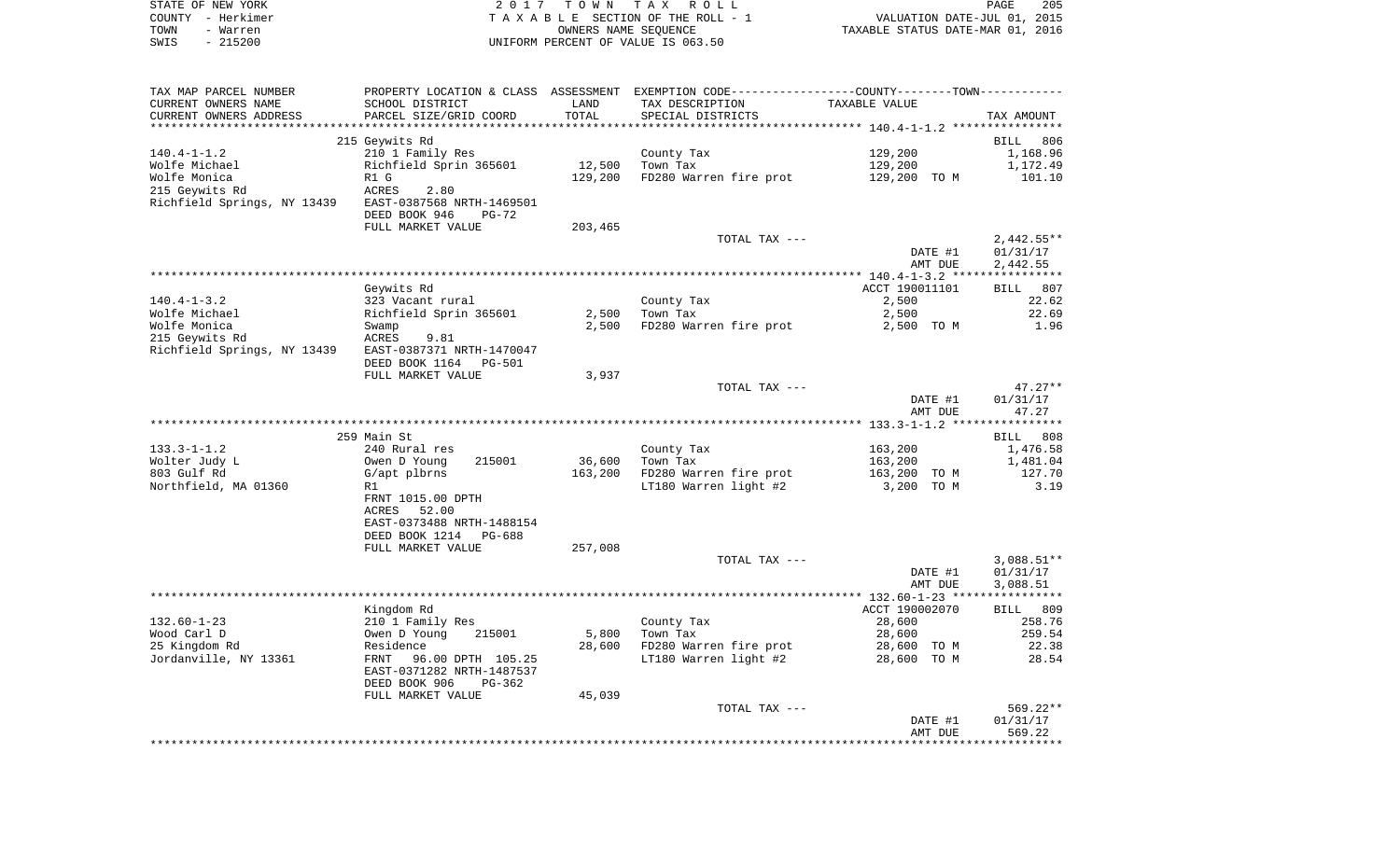|      | STATE OF NEW YORK | 2017 TOWN TAX ROLL                 | <b>PAGE</b>                      | 205 |
|------|-------------------|------------------------------------|----------------------------------|-----|
|      | COUNTY – Herkimer | TAXABLE SECTION OF THE ROLL - 1    | VALUATION DATE-JUL 01, 2015      |     |
| TOWN | - Warren          | OWNERS NAME SEOUENCE               | TAXABLE STATUS DATE-MAR 01, 2016 |     |
| SWIS | - 215200          | UNIFORM PERCENT OF VALUE IS 063.50 |                                  |     |

| TAX MAP PARCEL NUMBER       |                           |         | PROPERTY LOCATION & CLASS ASSESSMENT EXEMPTION CODE----------------COUNTY-------TOWN---------- |                |              |
|-----------------------------|---------------------------|---------|------------------------------------------------------------------------------------------------|----------------|--------------|
| CURRENT OWNERS NAME         | SCHOOL DISTRICT           | LAND    | TAX DESCRIPTION                                                                                | TAXABLE VALUE  |              |
| CURRENT OWNERS ADDRESS      | PARCEL SIZE/GRID COORD    | TOTAL   | SPECIAL DISTRICTS                                                                              |                | TAX AMOUNT   |
|                             |                           |         |                                                                                                |                |              |
|                             | 215 Geywits Rd            |         |                                                                                                |                | BILL 806     |
| $140.4 - 1 - 1.2$           | 210 1 Family Res          |         | County Tax                                                                                     | 129,200        | 1,168.96     |
| Wolfe Michael               | Richfield Sprin 365601    | 12,500  | Town Tax                                                                                       | 129,200        | 1,172.49     |
| Wolfe Monica                | R1 G                      | 129,200 | FD280 Warren fire prot                                                                         | 129,200 TO M   | 101.10       |
|                             |                           |         |                                                                                                |                |              |
| 215 Geywits Rd              | ACRES<br>2.80             |         |                                                                                                |                |              |
| Richfield Springs, NY 13439 | EAST-0387568 NRTH-1469501 |         |                                                                                                |                |              |
|                             | DEED BOOK 946<br>$PG-72$  |         |                                                                                                |                |              |
|                             | FULL MARKET VALUE         | 203,465 |                                                                                                |                |              |
|                             |                           |         | TOTAL TAX ---                                                                                  |                | $2,442.55**$ |
|                             |                           |         |                                                                                                | DATE #1        | 01/31/17     |
|                             |                           |         |                                                                                                | AMT DUE        | 2,442.55     |
|                             |                           |         |                                                                                                |                |              |
|                             | Geywits Rd                |         |                                                                                                | ACCT 190011101 | 807<br>BILL  |
| $140.4 - 1 - 3.2$           | 323 Vacant rural          |         | County Tax                                                                                     | 2,500          | 22.62        |
| Wolfe Michael               | Richfield Sprin 365601    | 2,500   | Town Tax                                                                                       | 2,500          | 22.69        |
| Wolfe Monica                | Swamp                     | 2,500   | FD280 Warren fire prot                                                                         | 2,500 TO M     | 1.96         |
| 215 Geywits Rd              | ACRES<br>9.81             |         |                                                                                                |                |              |
| Richfield Springs, NY 13439 | EAST-0387371 NRTH-1470047 |         |                                                                                                |                |              |
|                             | DEED BOOK 1164 PG-501     |         |                                                                                                |                |              |
|                             |                           |         |                                                                                                |                |              |
|                             | FULL MARKET VALUE         | 3,937   |                                                                                                |                |              |
|                             |                           |         | TOTAL TAX ---                                                                                  |                | $47.27**$    |
|                             |                           |         |                                                                                                | DATE #1        | 01/31/17     |
|                             |                           |         |                                                                                                | AMT DUE        | 47.27        |
|                             |                           |         |                                                                                                |                |              |
|                             | 259 Main St               |         |                                                                                                |                | BILL 808     |
| $133.3 - 1 - 1.2$           | 240 Rural res             |         | County Tax                                                                                     | 163,200        | 1,476.58     |
| Wolter Judy L               | Owen D Young<br>215001    | 36,600  | Town Tax                                                                                       | 163,200        | 1,481.04     |
| 803 Gulf Rd                 | G/apt plbrns              | 163,200 | FD280 Warren fire prot                                                                         | 163,200 TO M   | 127.70       |
| Northfield, MA 01360        | R1                        |         | LT180 Warren light #2                                                                          | 3,200 TO M     | 3.19         |
|                             | FRNT 1015.00 DPTH         |         |                                                                                                |                |              |
|                             | 52.00<br>ACRES            |         |                                                                                                |                |              |
|                             | EAST-0373488 NRTH-1488154 |         |                                                                                                |                |              |
|                             | DEED BOOK 1214<br>PG-688  |         |                                                                                                |                |              |
|                             | FULL MARKET VALUE         | 257,008 |                                                                                                |                |              |
|                             |                           |         | TOTAL TAX ---                                                                                  |                | $3,088.51**$ |
|                             |                           |         |                                                                                                | DATE #1        | 01/31/17     |
|                             |                           |         |                                                                                                |                |              |
|                             |                           |         |                                                                                                | AMT DUE        | 3,088.51     |
|                             |                           |         |                                                                                                |                |              |
|                             | Kingdom Rd                |         |                                                                                                | ACCT 190002070 | BILL 809     |
| $132.60 - 1 - 23$           | 210 1 Family Res          |         | County Tax                                                                                     | 28,600         | 258.76       |
| Wood Carl D                 | 215001<br>Owen D Young    | 5,800   | Town Tax                                                                                       | 28,600         | 259.54       |
| 25 Kingdom Rd               | Residence                 | 28,600  | FD280 Warren fire prot                                                                         | 28,600 TO M    | 22.38        |
| Jordanville, NY 13361       | 96.00 DPTH 105.25<br>FRNT |         | LT180 Warren light #2                                                                          | 28,600 TO M    | 28.54        |
|                             | EAST-0371282 NRTH-1487537 |         |                                                                                                |                |              |
|                             | DEED BOOK 906<br>$PG-362$ |         |                                                                                                |                |              |
|                             | FULL MARKET VALUE         | 45,039  |                                                                                                |                |              |
|                             |                           |         | TOTAL TAX ---                                                                                  |                | 569.22**     |
|                             |                           |         |                                                                                                | DATE #1        | 01/31/17     |
|                             |                           |         |                                                                                                | AMT DUE        | 569.22       |
|                             |                           |         |                                                                                                |                |              |
|                             |                           |         |                                                                                                |                |              |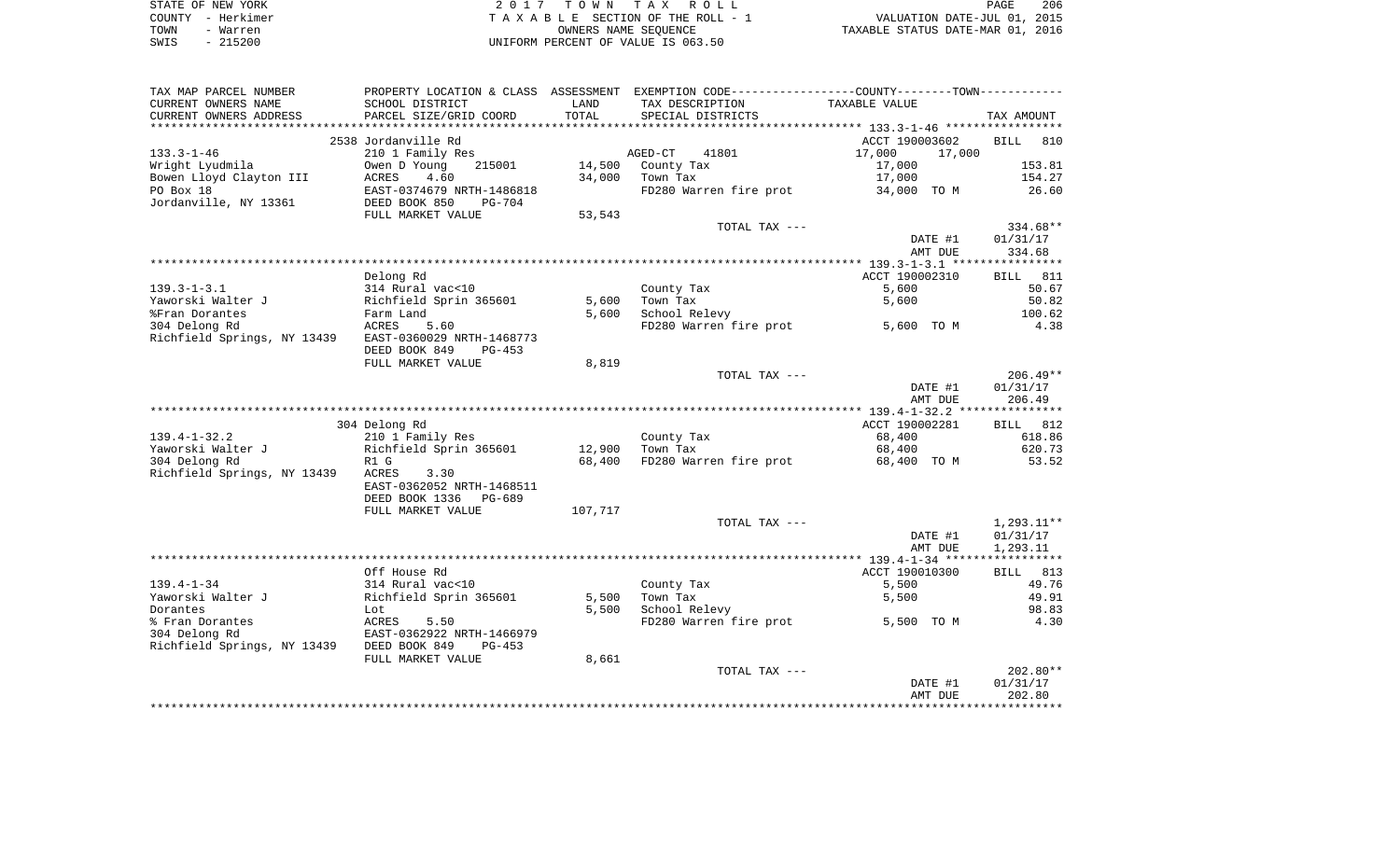| STATE OF NEW YORK | 2017 TOWN TAX ROLL                 | 206<br><b>PAGE</b>               |
|-------------------|------------------------------------|----------------------------------|
| COUNTY - Herkimer | TAXABLE SECTION OF THE ROLL - 1    | VALUATION DATE-JUL 01, 2015      |
| TOWN<br>- Warren  | OWNERS NAME SEOUENCE               | TAXABLE STATUS DATE-MAR 01, 2016 |
| SWIS<br>$-215200$ | UNIFORM PERCENT OF VALUE IS 063.50 |                                  |

| TAX MAP PARCEL NUMBER       | PROPERTY LOCATION & CLASS ASSESSMENT |                  | EXEMPTION CODE-----------------COUNTY--------TOWN----------- |                       |                    |
|-----------------------------|--------------------------------------|------------------|--------------------------------------------------------------|-----------------------|--------------------|
| CURRENT OWNERS NAME         | SCHOOL DISTRICT                      | LAND             | TAX DESCRIPTION                                              | TAXABLE VALUE         |                    |
| CURRENT OWNERS ADDRESS      | PARCEL SIZE/GRID COORD               | TOTAL            | SPECIAL DISTRICTS                                            |                       | TAX AMOUNT         |
|                             |                                      |                  |                                                              |                       |                    |
|                             | 2538 Jordanville Rd                  |                  |                                                              | ACCT 190003602        | <b>BILL</b><br>810 |
| $133.3 - 1 - 46$            | 210 1 Family Res                     |                  | AGED-CT<br>41801                                             | 17,000<br>17,000      |                    |
| Wright Lyudmila             | 215001<br>Owen D Young               | 14,500           | County Tax                                                   | 17,000                | 153.81             |
| Bowen Lloyd Clayton III     | ACRES<br>4.60                        | 34,000           | Town Tax                                                     | 17,000                | 154.27             |
| PO Box 18                   | EAST-0374679 NRTH-1486818            |                  | FD280 Warren fire prot                                       | 34,000 TO M           | 26.60              |
| Jordanville, NY 13361       | DEED BOOK 850<br>$PG-704$            |                  |                                                              |                       |                    |
|                             | FULL MARKET VALUE                    | 53,543           |                                                              |                       |                    |
|                             |                                      |                  | TOTAL TAX ---                                                |                       | 334.68**           |
|                             |                                      |                  |                                                              | DATE #1               | 01/31/17           |
|                             |                                      |                  |                                                              | AMT DUE               | 334.68             |
|                             |                                      |                  |                                                              |                       |                    |
|                             | Delong Rd                            |                  |                                                              | ACCT 190002310        | 811<br><b>BILL</b> |
| $139.3 - 1 - 3.1$           | 314 Rural vac<10                     |                  | County Tax                                                   | 5,600                 | 50.67              |
| Yaworski Walter J           | Richfield Sprin 365601               | 5,600            | Town Tax                                                     | 5,600                 | 50.82              |
| %Fran Dorantes              | Farm Land                            | 5,600            | School Relevy                                                |                       | 100.62             |
| 304 Delong Rd               | ACRES<br>5.60                        |                  | FD280 Warren fire prot                                       | 5,600 TO M            | 4.38               |
| Richfield Springs, NY 13439 | EAST-0360029 NRTH-1468773            |                  |                                                              |                       |                    |
|                             | DEED BOOK 849<br>$PG-453$            |                  |                                                              |                       |                    |
|                             | FULL MARKET VALUE                    | 8,819            |                                                              |                       |                    |
|                             |                                      |                  | TOTAL TAX ---                                                |                       | $206.49**$         |
|                             |                                      |                  |                                                              | DATE #1               | 01/31/17           |
|                             |                                      |                  |                                                              | AMT DUE               | 206.49             |
|                             |                                      |                  |                                                              | ACCT 190002281        |                    |
| $139.4 - 1 - 32.2$          | 304 Delong Rd                        |                  |                                                              |                       | 812<br>BILL        |
| Yaworski Walter J           | 210 1 Family Res                     |                  | County Tax<br>Town Tax                                       | 68,400                | 618.86<br>620.73   |
| 304 Delong Rd               | Richfield Sprin 365601<br>R1 G       | 12,900<br>68,400 | FD280 Warren fire prot                                       | 68,400<br>68,400 TO M | 53.52              |
| Richfield Springs, NY 13439 | 3.30<br>ACRES                        |                  |                                                              |                       |                    |
|                             | EAST-0362052 NRTH-1468511            |                  |                                                              |                       |                    |
|                             | DEED BOOK 1336<br>PG-689             |                  |                                                              |                       |                    |
|                             | FULL MARKET VALUE                    | 107,717          |                                                              |                       |                    |
|                             |                                      |                  | TOTAL TAX ---                                                |                       | $1,293.11**$       |
|                             |                                      |                  |                                                              | DATE #1               | 01/31/17           |
|                             |                                      |                  |                                                              | AMT DUE               | 1,293.11           |
|                             |                                      |                  |                                                              |                       |                    |
|                             | Off House Rd                         |                  |                                                              | ACCT 190010300        | 813<br>BILL        |
| $139.4 - 1 - 34$            | 314 Rural vac<10                     |                  | County Tax                                                   | 5,500                 | 49.76              |
| Yaworski Walter J           | Richfield Sprin 365601               | 5,500            | Town Tax                                                     | 5,500                 | 49.91              |
| Dorantes                    | Lot                                  | 5,500            | School Relevy                                                |                       | 98.83              |
| % Fran Dorantes             | ACRES<br>5.50                        |                  | FD280 Warren fire prot                                       | 5,500 TO M            | 4.30               |
| 304 Delong Rd               | EAST-0362922 NRTH-1466979            |                  |                                                              |                       |                    |
| Richfield Springs, NY 13439 | DEED BOOK 849<br>PG-453              |                  |                                                              |                       |                    |
|                             | FULL MARKET VALUE                    | 8,661            |                                                              |                       |                    |
|                             |                                      |                  | TOTAL TAX ---                                                |                       | $202.80**$         |
|                             |                                      |                  |                                                              | DATE #1               | 01/31/17           |
|                             |                                      |                  |                                                              | AMT DUE               | 202.80             |
|                             |                                      |                  |                                                              |                       |                    |
|                             |                                      |                  |                                                              |                       |                    |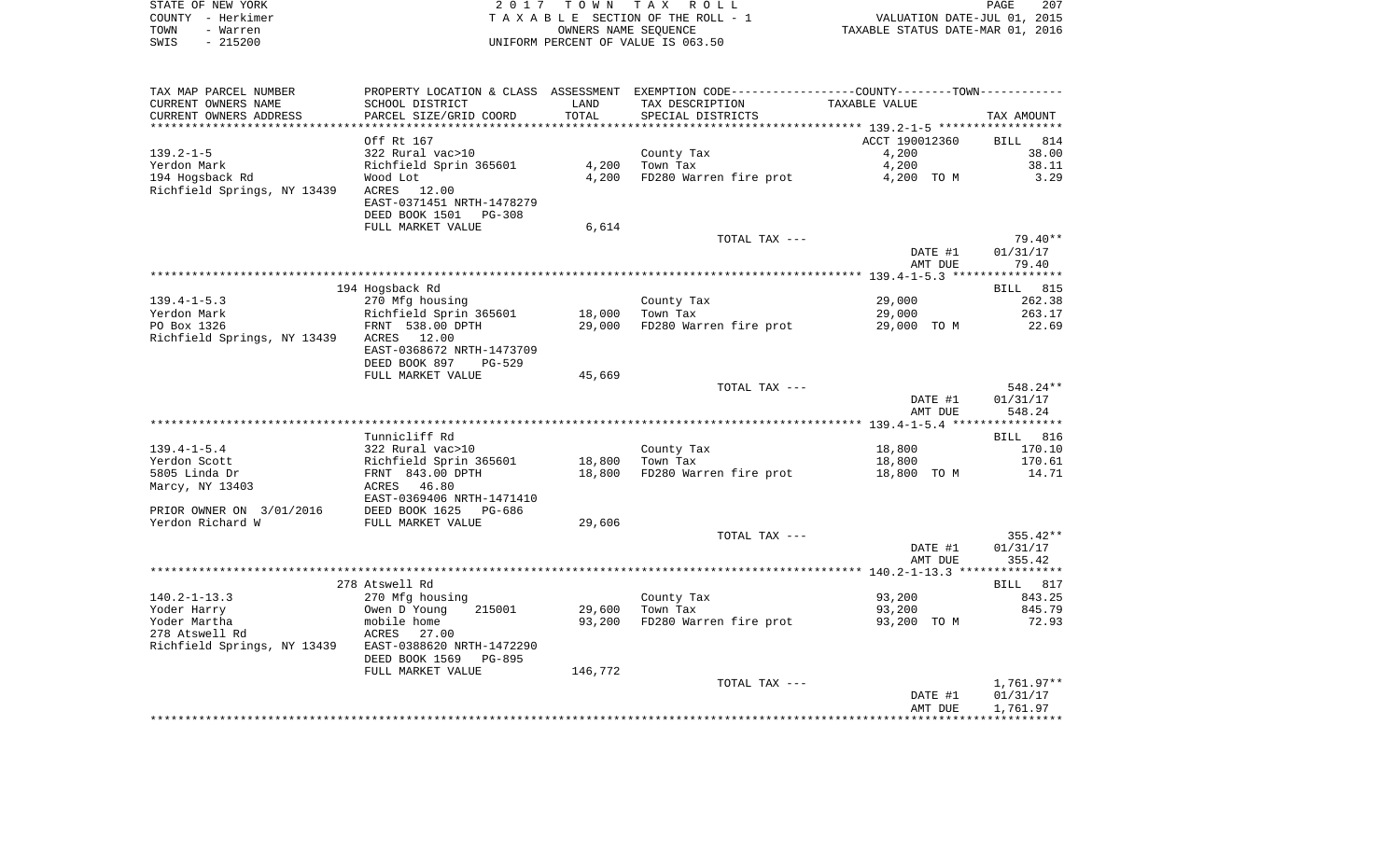|      | STATE OF NEW YORK | 2017 TOWN TAX ROLL                 | PAGE                             | 207 |
|------|-------------------|------------------------------------|----------------------------------|-----|
|      | COUNTY - Herkimer | TAXABLE SECTION OF THE ROLL - 1    | VALUATION DATE-JUL 01, 2015      |     |
| TOWN | - Warren          | OWNERS NAME SEOUENCE               | TAXABLE STATUS DATE-MAR 01, 2016 |     |
| SWIS | $-215200$         | UNIFORM PERCENT OF VALUE IS 063.50 |                                  |     |

| TAX MAP PARCEL NUMBER       | PROPERTY LOCATION & CLASS ASSESSMENT EXEMPTION CODE---------------COUNTY-------TOWN---------- |         |                        |                |              |
|-----------------------------|-----------------------------------------------------------------------------------------------|---------|------------------------|----------------|--------------|
| CURRENT OWNERS NAME         | SCHOOL DISTRICT                                                                               | LAND    | TAX DESCRIPTION        | TAXABLE VALUE  |              |
| CURRENT OWNERS ADDRESS      | PARCEL SIZE/GRID COORD                                                                        | TOTAL   | SPECIAL DISTRICTS      |                | TAX AMOUNT   |
|                             |                                                                                               |         |                        |                |              |
|                             | Off Rt 167                                                                                    |         |                        | ACCT 190012360 | BILL 814     |
| $139.2 - 1 - 5$             | 322 Rural vac>10                                                                              |         | County Tax             | 4,200          | 38.00        |
| Yerdon Mark                 | Richfield Sprin 365601                                                                        | 4,200   | Town Tax               | 4,200          | 38.11        |
| 194 Hogsback Rd             | Wood Lot                                                                                      | 4,200   | FD280 Warren fire prot |                | 3.29         |
|                             |                                                                                               |         |                        | 4,200 TO M     |              |
| Richfield Springs, NY 13439 | ACRES 12.00                                                                                   |         |                        |                |              |
|                             | EAST-0371451 NRTH-1478279                                                                     |         |                        |                |              |
|                             | DEED BOOK 1501 PG-308                                                                         |         |                        |                |              |
|                             | FULL MARKET VALUE                                                                             | 6,614   |                        |                |              |
|                             |                                                                                               |         | TOTAL TAX ---          |                | 79.40**      |
|                             |                                                                                               |         |                        | DATE #1        | 01/31/17     |
|                             |                                                                                               |         |                        | AMT DUE        | 79.40        |
|                             |                                                                                               |         |                        |                |              |
|                             | 194 Hogsback Rd                                                                               |         |                        |                | BILL 815     |
| $139.4 - 1 - 5.3$           | 270 Mfg housing                                                                               |         | County Tax             | 29,000         | 262.38       |
| Yerdon Mark                 | Richfield Sprin 365601                                                                        | 18,000  | Town Tax               | 29,000         | 263.17       |
| PO Box 1326                 | FRNT 538.00 DPTH                                                                              | 29,000  | FD280 Warren fire prot | 29,000 TO M    | 22.69        |
| Richfield Springs, NY 13439 | ACRES 12.00                                                                                   |         |                        |                |              |
|                             |                                                                                               |         |                        |                |              |
|                             | EAST-0368672 NRTH-1473709                                                                     |         |                        |                |              |
|                             | DEED BOOK 897<br>$PG-529$                                                                     |         |                        |                |              |
|                             | FULL MARKET VALUE                                                                             | 45,669  |                        |                |              |
|                             |                                                                                               |         | TOTAL TAX ---          |                | 548.24**     |
|                             |                                                                                               |         |                        | DATE #1        | 01/31/17     |
|                             |                                                                                               |         |                        | AMT DUE        | 548.24       |
|                             |                                                                                               |         |                        |                |              |
|                             | Tunnicliff Rd                                                                                 |         |                        |                | BILL 816     |
| $139.4 - 1 - 5.4$           | 322 Rural vac>10                                                                              |         | County Tax             | 18,800         | 170.10       |
| Yerdon Scott                | Richfield Sprin 365601                                                                        | 18,800  | Town Tax               | 18,800         | 170.61       |
| 5805 Linda Dr               | FRNT 843.00 DPTH                                                                              | 18,800  | FD280 Warren fire prot | 18,800 TO M    | 14.71        |
| Marcy, NY 13403             | ACRES<br>46.80                                                                                |         |                        |                |              |
|                             | EAST-0369406 NRTH-1471410                                                                     |         |                        |                |              |
| PRIOR OWNER ON 3/01/2016    | DEED BOOK 1625<br>PG-686                                                                      |         |                        |                |              |
| Yerdon Richard W            | FULL MARKET VALUE                                                                             | 29,606  |                        |                |              |
|                             |                                                                                               |         |                        |                |              |
|                             |                                                                                               |         | TOTAL TAX ---          |                | $355.42**$   |
|                             |                                                                                               |         |                        | DATE #1        | 01/31/17     |
|                             |                                                                                               |         |                        | AMT DUE        | 355.42       |
|                             |                                                                                               |         |                        |                |              |
|                             | 278 Atswell Rd                                                                                |         |                        |                | BILL 817     |
| $140.2 - 1 - 13.3$          | 270 Mfg housing                                                                               |         | County Tax             | 93,200         | 843.25       |
| Yoder Harry                 | Owen D Young<br>215001                                                                        | 29,600  | Town Tax               | 93,200         | 845.79       |
| Yoder Martha                | mobile home                                                                                   | 93,200  | FD280 Warren fire prot | 93,200 TO M    | 72.93        |
| 278 Atswell Rd              | ACRES 27.00                                                                                   |         |                        |                |              |
| Richfield Springs, NY 13439 | EAST-0388620 NRTH-1472290                                                                     |         |                        |                |              |
|                             | DEED BOOK 1569<br><b>PG-895</b>                                                               |         |                        |                |              |
|                             |                                                                                               | 146,772 |                        |                |              |
|                             | FULL MARKET VALUE                                                                             |         |                        |                |              |
|                             |                                                                                               |         | TOTAL TAX ---          |                | $1,761.97**$ |
|                             |                                                                                               |         |                        | DATE #1        | 01/31/17     |
|                             |                                                                                               |         |                        | AMT DUE        | 1,761.97     |
|                             |                                                                                               |         |                        |                |              |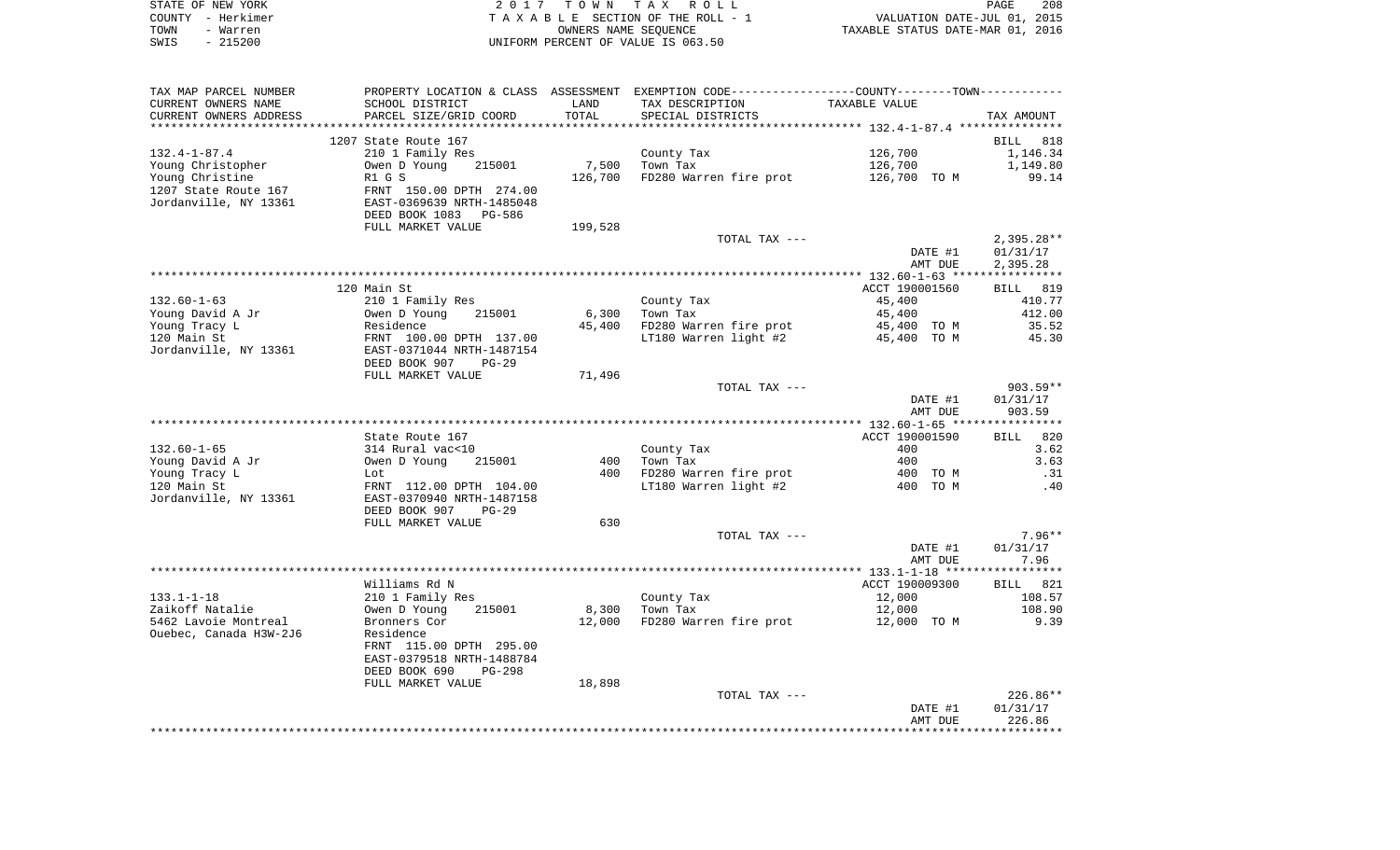| STATE OF NEW YORK | 2017 TOWN TAX ROLL                 |                                  | PAGE | 208 |
|-------------------|------------------------------------|----------------------------------|------|-----|
| COUNTY – Herkimer | TAXABLE SECTION OF THE ROLL - 1    | VALUATION DATE-JUL 01, 2015      |      |     |
| TOWN<br>- Warren  | OWNERS NAME SEOUENCE               | TAXABLE STATUS DATE-MAR 01, 2016 |      |     |
| - 215200<br>SWIS  | UNIFORM PERCENT OF VALUE IS 063.50 |                                  |      |     |

| TAX MAP PARCEL NUMBER  |                           |         | PROPERTY LOCATION & CLASS ASSESSMENT EXEMPTION CODE---------------COUNTY-------TOWN---------- |                |                 |
|------------------------|---------------------------|---------|-----------------------------------------------------------------------------------------------|----------------|-----------------|
| CURRENT OWNERS NAME    | SCHOOL DISTRICT           | LAND    | TAX DESCRIPTION                                                                               | TAXABLE VALUE  |                 |
| CURRENT OWNERS ADDRESS | PARCEL SIZE/GRID COORD    | TOTAL   | SPECIAL DISTRICTS                                                                             |                | TAX AMOUNT      |
|                        |                           |         |                                                                                               |                |                 |
|                        | 1207 State Route 167      |         |                                                                                               |                | BILL 818        |
| $132.4 - 1 - 87.4$     | 210 1 Family Res          |         | County Tax                                                                                    | 126,700        | 1,146.34        |
| Young Christopher      | 215001<br>Owen D Young    | 7,500   | Town Tax                                                                                      | 126,700        | 1,149.80        |
| Young Christine        | R1 G S                    | 126,700 | FD280 Warren fire prot                                                                        | 126,700 TO M   | 99.14           |
| 1207 State Route 167   | FRNT 150.00 DPTH 274.00   |         |                                                                                               |                |                 |
| Jordanville, NY 13361  | EAST-0369639 NRTH-1485048 |         |                                                                                               |                |                 |
|                        | DEED BOOK 1083 PG-586     |         |                                                                                               |                |                 |
|                        | FULL MARKET VALUE         | 199,528 |                                                                                               |                |                 |
|                        |                           |         | TOTAL TAX ---                                                                                 |                | $2,395.28**$    |
|                        |                           |         |                                                                                               | DATE #1        | 01/31/17        |
|                        |                           |         |                                                                                               |                |                 |
|                        |                           |         |                                                                                               | AMT DUE        | 2,395.28        |
|                        |                           |         |                                                                                               |                |                 |
|                        | 120 Main St               |         |                                                                                               | ACCT 190001560 | <b>BILL</b> 819 |
| $132.60 - 1 - 63$      | 210 1 Family Res          |         | County Tax                                                                                    | 45,400         | 410.77          |
| Young David A Jr       | Owen D Young<br>215001    | 6,300   | Town Tax                                                                                      | 45,400         | 412.00          |
| Young Tracy L          | Residence                 | 45,400  | FD280 Warren fire prot                                                                        | 45,400 TO M    | 35.52           |
| 120 Main St            | FRNT 100.00 DPTH 137.00   |         | LT180 Warren light #2                                                                         | 45,400 TO M    | 45.30           |
| Jordanville, NY 13361  | EAST-0371044 NRTH-1487154 |         |                                                                                               |                |                 |
|                        | DEED BOOK 907<br>PG-29    |         |                                                                                               |                |                 |
|                        | FULL MARKET VALUE         | 71,496  |                                                                                               |                |                 |
|                        |                           |         | TOTAL TAX ---                                                                                 |                | $903.59**$      |
|                        |                           |         |                                                                                               | DATE #1        | 01/31/17        |
|                        |                           |         |                                                                                               | AMT DUE        | 903.59          |
|                        |                           |         |                                                                                               |                |                 |
|                        | State Route 167           |         |                                                                                               | ACCT 190001590 | BILL 820        |
| $132.60 - 1 - 65$      | 314 Rural vac<10          |         | County Tax                                                                                    | 400            | 3.62            |
| Young David A Jr       | Owen D Young<br>215001    | 400     | Town Tax                                                                                      | 400            | 3.63            |
| Young Tracy L          | Lot                       |         | 400 FD280 Warren fire prot                                                                    | 400 TO M       | .31             |
| 120 Main St            | FRNT 112.00 DPTH 104.00   |         | LT180 Warren light #2                                                                         | 400 TO M       | .40             |
| Jordanville, NY 13361  | EAST-0370940 NRTH-1487158 |         |                                                                                               |                |                 |
|                        | DEED BOOK 907<br>$PG-29$  |         |                                                                                               |                |                 |
|                        | FULL MARKET VALUE         | 630     |                                                                                               |                |                 |
|                        |                           |         | TOTAL TAX ---                                                                                 |                | $7.96**$        |
|                        |                           |         |                                                                                               | DATE #1        | 01/31/17        |
|                        |                           |         |                                                                                               | AMT DUE        | 7.96            |
|                        |                           |         |                                                                                               |                |                 |
|                        | Williams Rd N             |         |                                                                                               | ACCT 190009300 | BILL 821        |
| $133.1 - 1 - 18$       |                           |         |                                                                                               | 12,000         | 108.57          |
|                        | 210 1 Family Res          |         | County Tax                                                                                    |                |                 |
| Zaikoff Natalie        | 215001<br>Owen D Young    | 8,300   | Town Tax                                                                                      | 12,000         | 108.90          |
| 5462 Lavoie Montreal   | Bronners Cor              | 12,000  | FD280 Warren fire prot                                                                        | 12,000 TO M    | 9.39            |
| Ouebec, Canada H3W-2J6 | Residence                 |         |                                                                                               |                |                 |
|                        | FRNT 115.00 DPTH 295.00   |         |                                                                                               |                |                 |
|                        | EAST-0379518 NRTH-1488784 |         |                                                                                               |                |                 |
|                        | DEED BOOK 690<br>PG-298   |         |                                                                                               |                |                 |
|                        | FULL MARKET VALUE         | 18,898  |                                                                                               |                |                 |
|                        |                           |         | TOTAL TAX ---                                                                                 |                | 226.86**        |
|                        |                           |         |                                                                                               | DATE #1        | 01/31/17        |
|                        |                           |         |                                                                                               | AMT DUE        | 226.86          |
|                        |                           |         |                                                                                               |                |                 |
|                        |                           |         |                                                                                               |                |                 |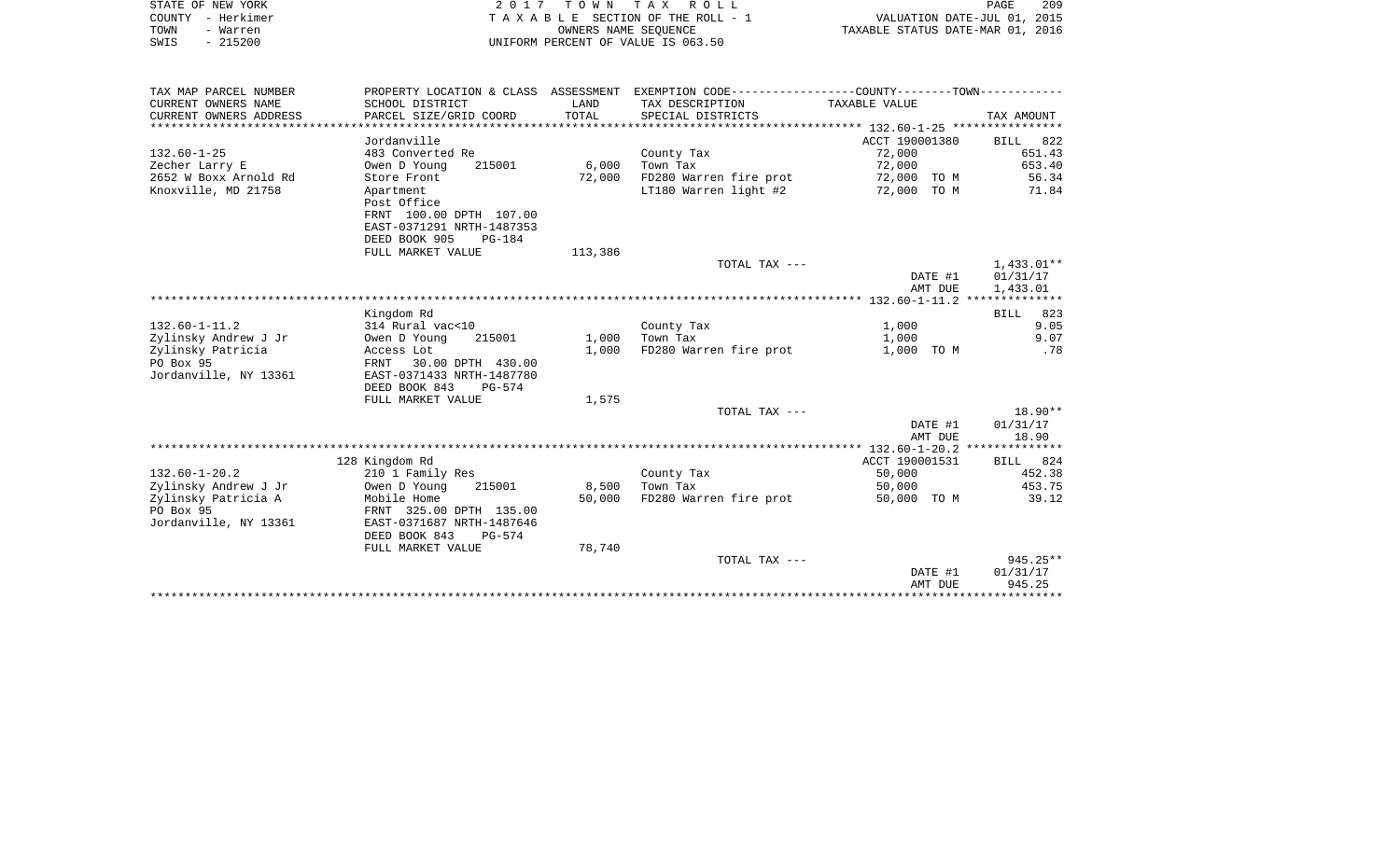| STATE OF NEW YORK | 2017 TOWN TAX ROLL                 | PAGE                             | 209 |
|-------------------|------------------------------------|----------------------------------|-----|
| COUNTY - Herkimer | TAXABLE SECTION OF THE ROLL - 1    | VALUATION DATE-JUL 01, 2015      |     |
| TOWN<br>- Warren  | OWNERS NAME SEOUENCE               | TAXABLE STATUS DATE-MAR 01, 2016 |     |
| - 215200<br>SWIS  | UNIFORM PERCENT OF VALUE IS 063.50 |                                  |     |

| TAX MAP PARCEL NUMBER  | PROPERTY LOCATION & CLASS ASSESSMENT |         | EXEMPTION CODE----------------COUNTY-------TOWN----------- |                |            |
|------------------------|--------------------------------------|---------|------------------------------------------------------------|----------------|------------|
| CURRENT OWNERS NAME    | SCHOOL DISTRICT                      | LAND    | TAX DESCRIPTION                                            | TAXABLE VALUE  |            |
| CURRENT OWNERS ADDRESS | PARCEL SIZE/GRID COORD               | TOTAL   | SPECIAL DISTRICTS                                          |                | TAX AMOUNT |
|                        |                                      |         |                                                            |                |            |
|                        | Jordanville                          |         |                                                            | ACCT 190001380 | BILL 822   |
| $132.60 - 1 - 25$      | 483 Converted Re                     |         | County Tax                                                 | 72,000         | 651.43     |
| Zecher Larry E         | Owen D Young<br>215001               | 6,000   | Town Tax                                                   | 72,000         | 653.40     |
| 2652 W Boxx Arnold Rd  | Store Front                          | 72,000  | FD280 Warren fire prot                                     | 72,000 TO M    | 56.34      |
| Knoxville, MD 21758    | Apartment                            |         | LT180 Warren light #2                                      | 72,000 TO M    | 71.84      |
|                        | Post Office                          |         |                                                            |                |            |
|                        | FRNT 100.00 DPTH 107.00              |         |                                                            |                |            |
|                        | EAST-0371291 NRTH-1487353            |         |                                                            |                |            |
|                        | DEED BOOK 905<br>$PG-184$            |         |                                                            |                |            |
|                        | FULL MARKET VALUE                    | 113,386 |                                                            |                |            |
|                        |                                      |         | TOTAL TAX ---                                              |                | 1,433.01** |
|                        |                                      |         |                                                            | DATE #1        | 01/31/17   |
|                        |                                      |         |                                                            | AMT DUE        | 1,433.01   |
|                        |                                      |         |                                                            |                |            |
|                        | Kingdom Rd                           |         |                                                            |                | BILL 823   |
| $132.60 - 1 - 11.2$    | 314 Rural vac<10                     |         | County Tax                                                 | 1,000          | 9.05       |
| Zylinsky Andrew J Jr   | 215001<br>Owen D Young               | 1,000   | Town Tax                                                   | 1,000          | 9.07       |
| Zylinsky Patricia      | Access Lot                           | 1,000   | FD280 Warren fire prot                                     | 1,000 TO M     | .78        |
| PO Box 95              | FRNT 30.00 DPTH 430.00               |         |                                                            |                |            |
| Jordanville, NY 13361  | EAST-0371433 NRTH-1487780            |         |                                                            |                |            |
|                        | DEED BOOK 843<br>PG-574              |         |                                                            |                |            |
|                        | FULL MARKET VALUE                    | 1,575   |                                                            |                |            |
|                        |                                      |         | TOTAL TAX ---                                              |                | $18.90**$  |
|                        |                                      |         |                                                            | DATE #1        | 01/31/17   |
|                        |                                      |         |                                                            | AMT DUE        | 18.90      |
|                        |                                      |         |                                                            |                |            |
|                        | 128 Kingdom Rd                       |         |                                                            | ACCT 190001531 | BILL 824   |
| $132.60 - 1 - 20.2$    | 210 1 Family Res                     |         | County Tax                                                 | 50,000         | 452.38     |
| Zylinsky Andrew J Jr   | Owen D Young<br>215001               | 8,500   | Town Tax                                                   | 50,000         | 453.75     |
| Zylinsky Patricia A    | Mobile Home                          | 50,000  | FD280 Warren fire prot                                     | 50,000 TO M    | 39.12      |
| PO Box 95              | FRNT 325.00 DPTH 135.00              |         |                                                            |                |            |
| Jordanville, NY 13361  | EAST-0371687 NRTH-1487646            |         |                                                            |                |            |
|                        | DEED BOOK 843<br>PG-574              |         |                                                            |                |            |
|                        | FULL MARKET VALUE                    | 78,740  |                                                            |                |            |
|                        |                                      |         | TOTAL TAX ---                                              |                | $945.25**$ |
|                        |                                      |         |                                                            | DATE #1        | 01/31/17   |
|                        |                                      |         |                                                            | AMT DUE        | 945.25     |
|                        |                                      |         |                                                            |                |            |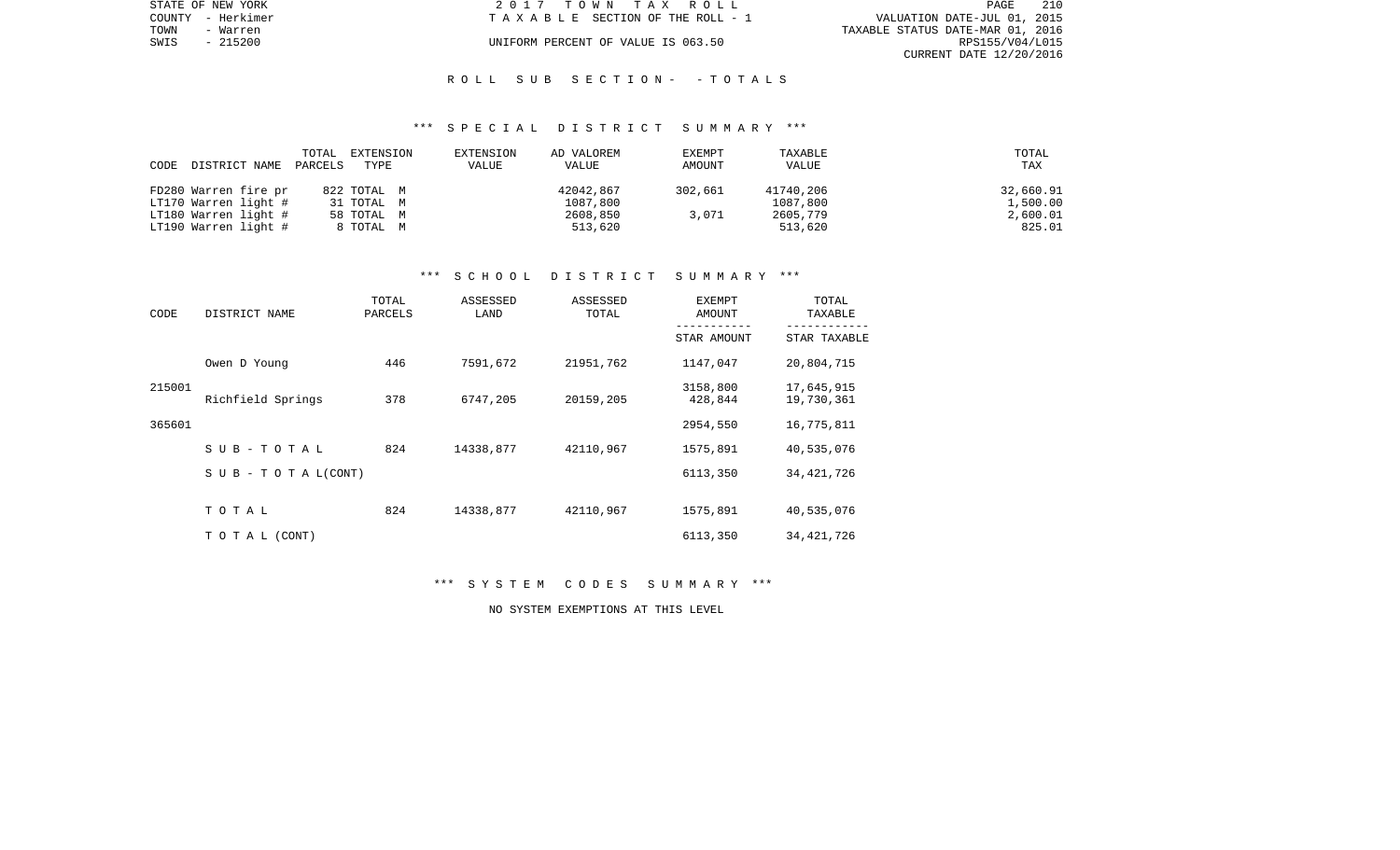|      | STATE OF NEW YORK | 2017 TOWN TAX ROLL                 |                                  | PAGE                    | 210 |
|------|-------------------|------------------------------------|----------------------------------|-------------------------|-----|
|      | COUNTY - Herkimer | TAXABLE SECTION OF THE ROLL - 1    | VALUATION DATE-JUL 01, 2015      |                         |     |
| TOWN | - Warren          |                                    | TAXABLE STATUS DATE-MAR 01, 2016 |                         |     |
| SWIS | - 215200          | UNIFORM PERCENT OF VALUE IS 063.50 |                                  | RPS155/V04/L015         |     |
|      |                   |                                    |                                  | CURRENT DATE 12/20/2016 |     |

#### R O L L S U B S E C T I O N - - T O T A L S

#### \*\*\* S P E C I A L D I S T R I C T S U M M A R Y \*\*\*

|      |                      | TOTAL   | EXTENSION   | EXTENSION | AD VALOREM | EXEMPT  | TAXABLE   | TOTAL     |
|------|----------------------|---------|-------------|-----------|------------|---------|-----------|-----------|
| CODE | DISTRICT NAME        | PARCELS | TYPE        | VALUE     | VALUE      | AMOUNT  | VALUE     | TAX       |
|      |                      |         |             |           |            |         |           |           |
|      | FD280 Warren fire pr |         | 822 TOTAL M |           | 42042,867  | 302,661 | 41740,206 | 32,660.91 |
|      | LT170 Warren light # |         | 31 TOTAL M  |           | 1087,800   |         | 1087,800  | 1,500.00  |
|      | LT180 Warren light # |         | 58 TOTAL M  |           | 2608,850   | 3,071   | 2605,779  | 2,600.01  |
|      | LT190 Warren light # |         | 8 TOTAL M   |           | 513,620    |         | 513,620   | 825.01    |

# \*\*\* S C H O O L D I S T R I C T S U M M A R Y \*\*\*

| CODE   | DISTRICT NAME             | TOTAL<br>PARCELS | ASSESSED<br>LAND | ASSESSED<br>TOTAL | <b>EXEMPT</b><br>AMOUNT | TOTAL<br>TAXABLE         |
|--------|---------------------------|------------------|------------------|-------------------|-------------------------|--------------------------|
|        |                           |                  |                  |                   | STAR AMOUNT             | STAR TAXABLE             |
|        | Owen D Young              | 446              | 7591,672         | 21951,762         | 1147,047                | 20,804,715               |
| 215001 | Richfield Springs         | 378              | 6747,205         | 20159,205         | 3158,800<br>428,844     | 17,645,915<br>19,730,361 |
| 365601 |                           |                  |                  |                   | 2954,550                | 16,775,811               |
|        | SUB-TOTAL                 | 824              | 14338,877        | 42110,967         | 1575,891                | 40,535,076               |
|        | S U B - T O T A $L(CONT)$ |                  |                  |                   | 6113,350                | 34, 421, 726             |
|        | TOTAL                     | 824              | 14338,877        | 42110,967         | 1575,891                | 40,535,076               |
|        | TO TAL (CONT)             |                  |                  |                   | 6113,350                | 34, 421, 726             |

# \*\*\* S Y S T E M C O D E S S U M M A R Y \*\*\*

NO SYSTEM EXEMPTIONS AT THIS LEVEL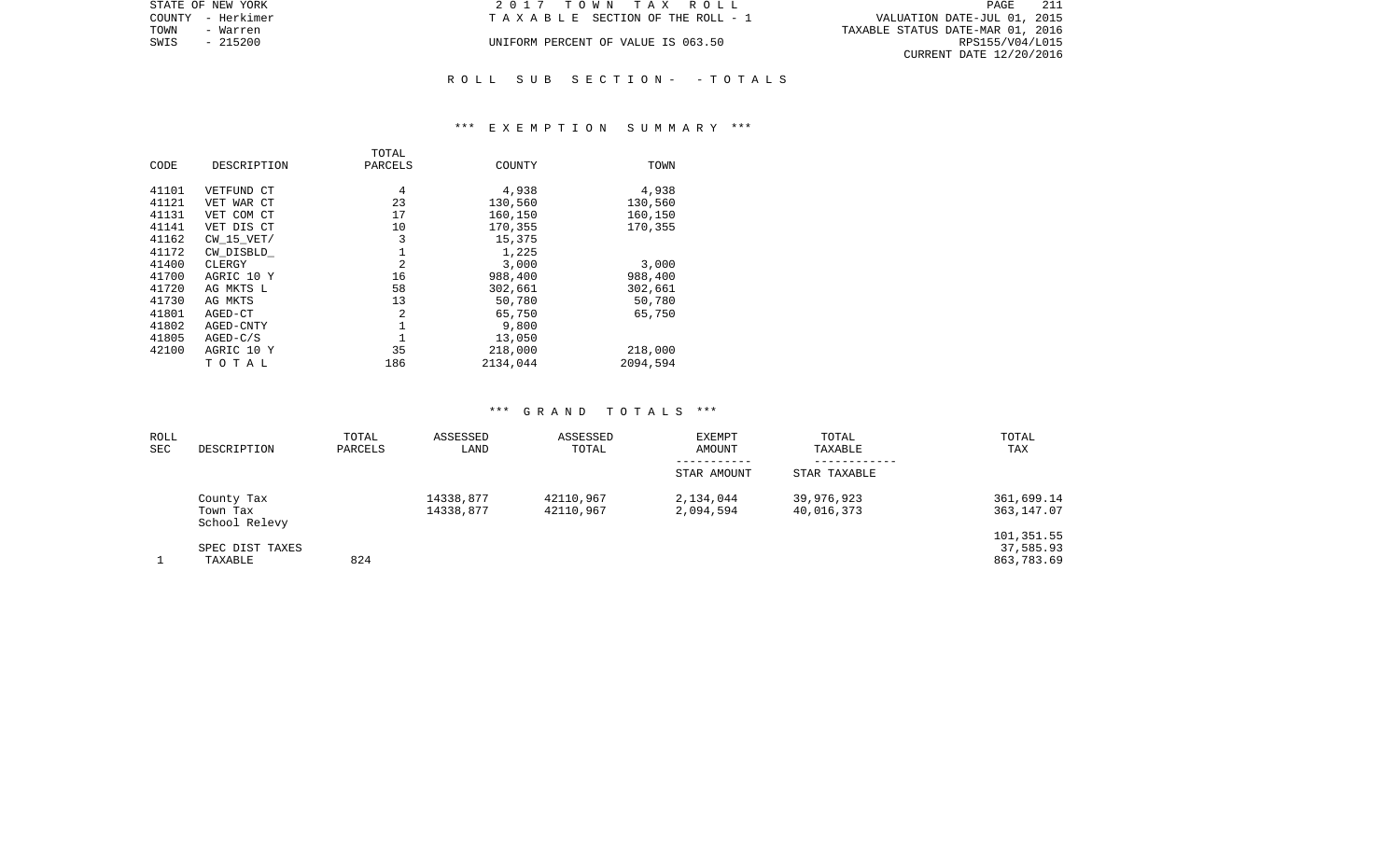| STATE OF NEW YORK | 2017 TOWN TAX ROLL                 | -211<br>PAGE                     |
|-------------------|------------------------------------|----------------------------------|
| COUNTY - Herkimer | TAXABLE SECTION OF THE ROLL - 1    | VALUATION DATE-JUL 01, 2015      |
| TOWN<br>- Warren  |                                    | TAXABLE STATUS DATE-MAR 01, 2016 |
| SWIS<br>- 215200  | UNIFORM PERCENT OF VALUE IS 063.50 | RPS155/V04/L015                  |
|                   |                                    | CURRENT DATE 12/20/2016          |
|                   |                                    |                                  |

# R O L L S U B S E C T I O N - - T O T A L S

## \*\*\* E X E M P T I O N S U M M A R Y \*\*\*

|       |                | TOTAL   |          |          |
|-------|----------------|---------|----------|----------|
| CODE  | DESCRIPTION    | PARCELS | COUNTY   | TOWN     |
| 41101 |                |         | 4,938    |          |
|       | VETFUND CT     | 4       |          | 4,938    |
| 41121 | VET WAR CT     | 23      | 130,560  | 130,560  |
| 41131 | VET COM CT     | 17      | 160,150  | 160,150  |
| 41141 | VET DIS CT     | 10      | 170,355  | 170,355  |
| 41162 | $CW$ 15 $VET/$ | 3       | 15,375   |          |
| 41172 | CW DISBLD      | 1       | 1,225    |          |
| 41400 | CLERGY         | 2       | 3.000    | 3,000    |
| 41700 | AGRIC 10 Y     | 16      | 988,400  | 988,400  |
| 41720 | AG MKTS L      | 58      | 302,661  | 302,661  |
| 41730 | AG MKTS        | 13      | 50,780   | 50,780   |
| 41801 | AGED-CT        | 2       | 65,750   | 65,750   |
| 41802 | AGED-CNTY      | 1       | 9,800    |          |
| 41805 | $AGED-C/S$     |         | 13,050   |          |
| 42100 | AGRIC 10 Y     | 35      | 218,000  | 218,000  |
|       | ТОТАЬ          | 186     | 2134,044 | 2094,594 |

#### \*\*\* G R A N D T O T A L S \*\*\*

| ROLL<br>SEC | DESCRIPTION                             | TOTAL<br>PARCELS | ASSESSED<br>LAND       | ASSESSED<br>TOTAL      | EXEMPT<br>AMOUNT<br>----------- | TOTAL<br>TAXABLE<br>---------- | TOTAL<br>TAX                          |
|-------------|-----------------------------------------|------------------|------------------------|------------------------|---------------------------------|--------------------------------|---------------------------------------|
|             |                                         |                  |                        |                        | STAR AMOUNT                     | STAR TAXABLE                   |                                       |
|             | County Tax<br>Town Tax<br>School Relevy |                  | 14338,877<br>14338,877 | 42110,967<br>42110,967 | 2,134,044<br>2,094,594          | 39,976,923<br>40,016,373       | 361,699.14<br>363,147.07              |
|             | SPEC DIST TAXES<br>TAXABLE              | 824              |                        |                        |                                 |                                | 101,351.55<br>37,585.93<br>863,783.69 |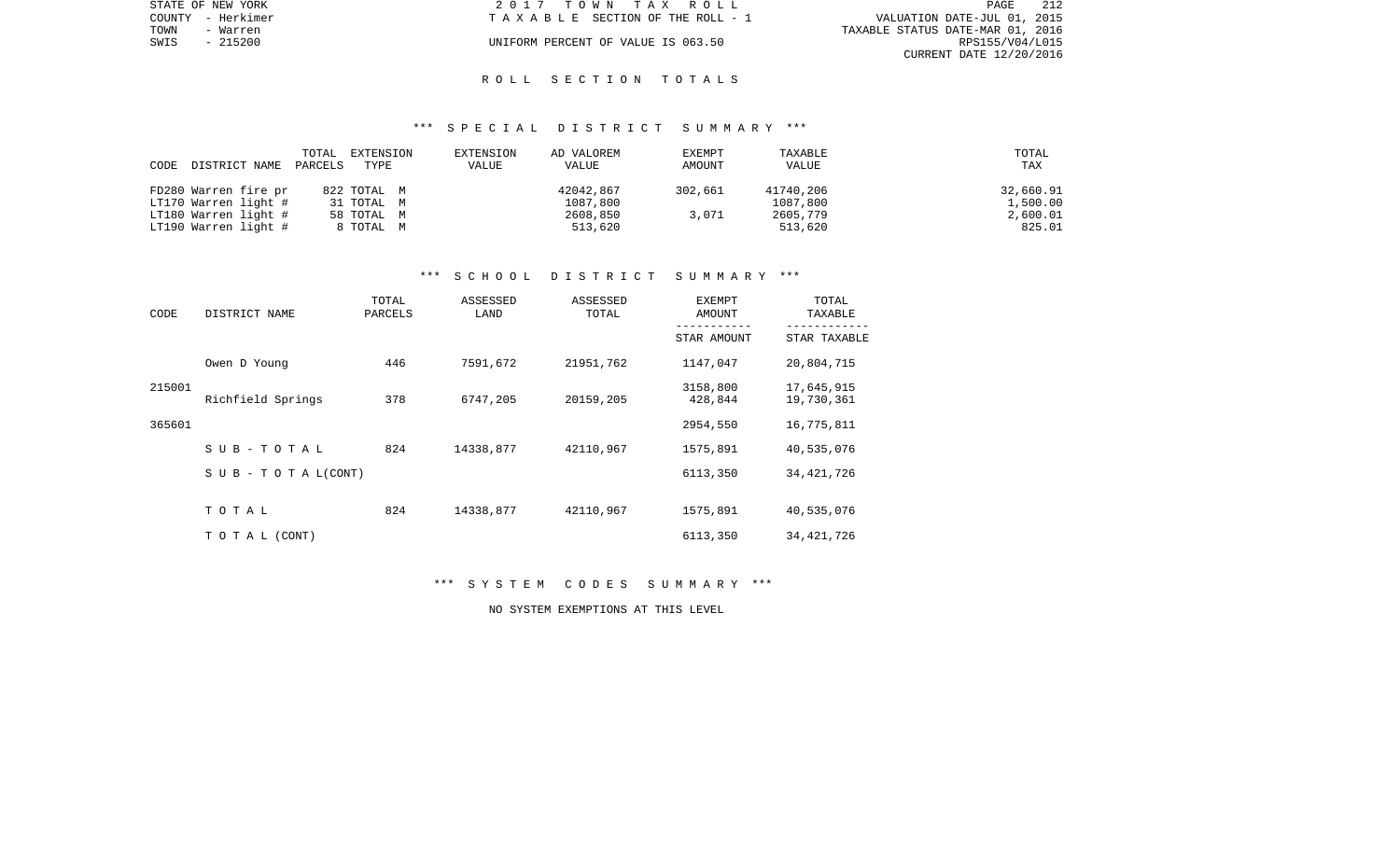|      | STATE OF NEW YORK | 2017 TOWN TAX ROLL                 | PAGE                             | - 212 |
|------|-------------------|------------------------------------|----------------------------------|-------|
|      | COUNTY - Herkimer | TAXABLE SECTION OF THE ROLL - 1    | VALUATION DATE-JUL 01, 2015      |       |
| TOWN | - Warren          |                                    | TAXABLE STATUS DATE-MAR 01, 2016 |       |
| SWIS | $-215200$         | UNIFORM PERCENT OF VALUE IS 063.50 | RPS155/V04/L015                  |       |
|      |                   |                                    | CURRENT DATE 12/20/2016          |       |

## R O L L S E C T I O N T O T A L S

## \*\*\* S P E C I A L D I S T R I C T S U M M A R Y \*\*\*

| CODE | DISTRICT NAME        | TOTAL<br>PARCELS | EXTENSION<br>TYPE | EXTENSION<br><b>VALUE</b> | AD VALOREM<br>VALUE | EXEMPT<br>AMOUNT | TAXABLE<br>VALUE | TOTAL<br>TAX |
|------|----------------------|------------------|-------------------|---------------------------|---------------------|------------------|------------------|--------------|
|      |                      |                  |                   |                           |                     |                  |                  |              |
|      | FD280 Warren fire pr |                  | 822 TOTAL M       |                           | 42042,867           | 302,661          | 41740,206        | 32,660.91    |
|      | LT170 Warren light # |                  | 31 TOTAL M        |                           | 1087,800            |                  | 1087,800         | 1,500.00     |
|      | LT180 Warren light # |                  | 58 TOTAL M        |                           | 2608,850            | 3,071            | 2605,779         | 2,600.01     |
|      | LT190 Warren light # |                  | 8 TOTAL M         |                           | 513,620             |                  | 513,620          | 825.01       |

# \*\*\* S C H O O L D I S T R I C T S U M M A R Y \*\*\*

| CODE   | DISTRICT NAME             | TOTAL<br>PARCELS | ASSESSED<br>LAND | ASSESSED<br>TOTAL | EXEMPT<br>AMOUNT    | TOTAL<br>TAXABLE         |
|--------|---------------------------|------------------|------------------|-------------------|---------------------|--------------------------|
|        |                           |                  |                  |                   | STAR AMOUNT         | STAR TAXABLE             |
|        | Owen D Young              | 446              | 7591,672         | 21951,762         | 1147,047            | 20,804,715               |
| 215001 | Richfield Springs         | 378              | 6747,205         | 20159,205         | 3158,800<br>428,844 | 17,645,915<br>19,730,361 |
| 365601 |                           |                  |                  |                   | 2954,550            | 16,775,811               |
|        | SUB-TOTAL                 | 824              | 14338,877        | 42110,967         | 1575,891            | 40,535,076               |
|        | S U B - T O T A $L(CONT)$ |                  |                  |                   | 6113,350            | 34, 421, 726             |
|        | TOTAL                     | 824              | 14338,877        | 42110,967         | 1575,891            | 40,535,076               |
|        | TO TAL (CONT)             |                  |                  |                   | 6113,350            | 34, 421, 726             |

# \*\*\* S Y S T E M C O D E S S U M M A R Y \*\*\*

NO SYSTEM EXEMPTIONS AT THIS LEVEL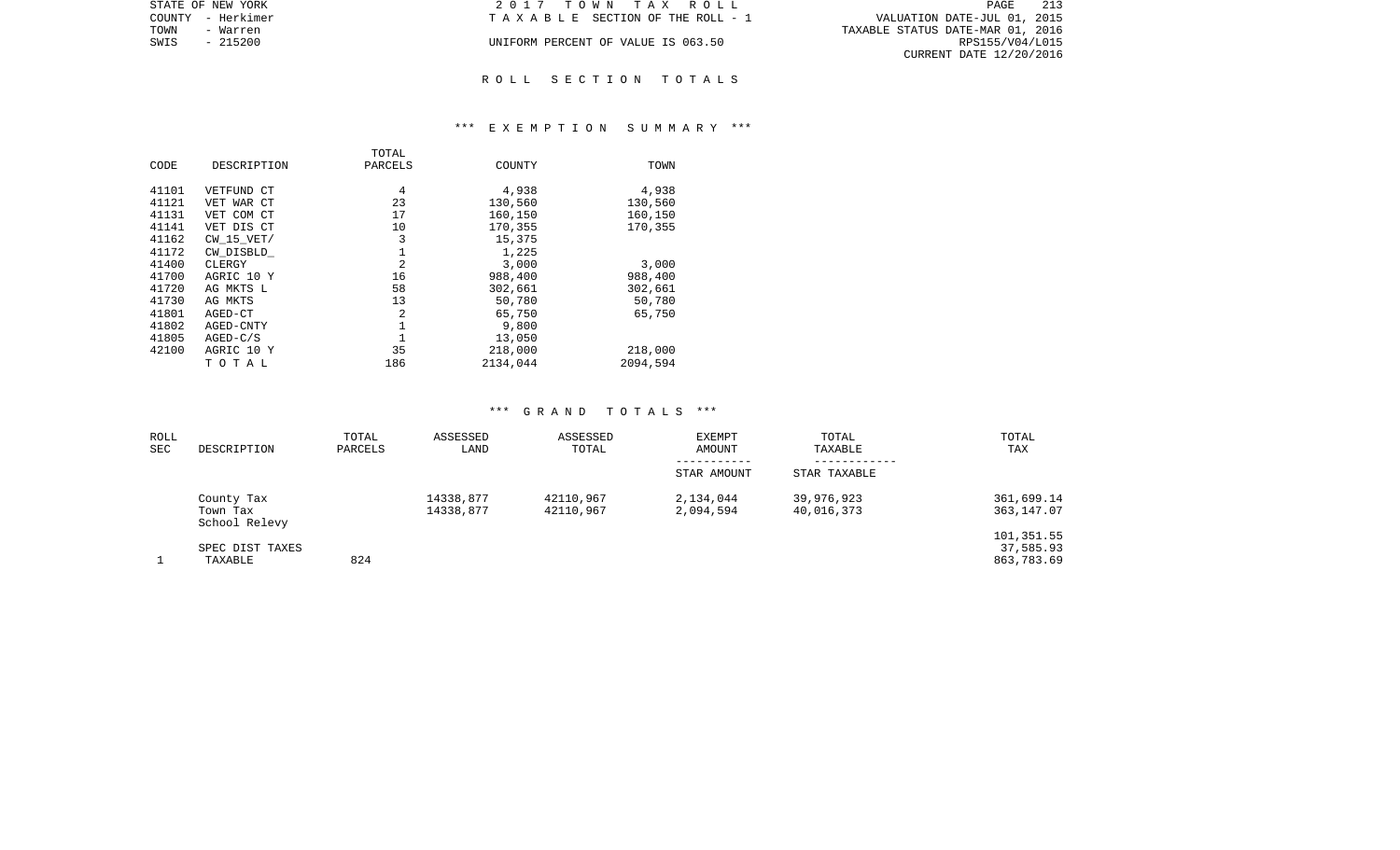| STATE OF NEW YORK | 2017 TOWN TAX ROLL                 | 213<br>PAGE                      |
|-------------------|------------------------------------|----------------------------------|
| COUNTY - Herkimer | TAXABLE SECTION OF THE ROLL - 1    | VALUATION DATE-JUL 01, 2015      |
| TOWN<br>- Warren  |                                    | TAXABLE STATUS DATE-MAR 01, 2016 |
| - 215200<br>SWIS  | UNIFORM PERCENT OF VALUE IS 063.50 | RPS155/V04/L015                  |
|                   |                                    | CURRENT DATE 12/20/2016          |
|                   |                                    |                                  |

# R O L L S E C T I O N T O T A L S

## \*\*\* E X E M P T I O N S U M M A R Y \*\*\*

|       |                | TOTAL   |          |          |
|-------|----------------|---------|----------|----------|
| CODE  | DESCRIPTION    | PARCELS | COUNTY   | TOWN     |
| 41101 | VETFUND CT     | 4       | 4,938    | 4,938    |
|       |                | 23      |          |          |
| 41121 | VET WAR CT     |         | 130,560  | 130,560  |
| 41131 | VET COM CT     | 17      | 160,150  | 160,150  |
| 41141 | VET DIS CT     | 10      | 170,355  | 170,355  |
| 41162 | $CW$ 15 $VET/$ | 3       | 15,375   |          |
| 41172 | CW DISBLD      | 1       | 1,225    |          |
| 41400 | CLERGY         | 2       | 3.000    | 3,000    |
| 41700 | AGRIC 10 Y     | 16      | 988,400  | 988,400  |
| 41720 | AG MKTS L      | 58      | 302,661  | 302,661  |
| 41730 | AG MKTS        | 13      | 50,780   | 50,780   |
| 41801 | AGED-CT        | 2       | 65,750   | 65,750   |
| 41802 | AGED-CNTY      | 1       | 9,800    |          |
| 41805 | $AGED-C/S$     |         | 13,050   |          |
| 42100 | AGRIC 10 Y     | 35      | 218,000  | 218,000  |
|       | ТОТАЬ          | 186     | 2134,044 | 2094,594 |

#### \*\*\* G R A N D T O T A L S \*\*\*

| ROLL<br>SEC | DESCRIPTION                             | TOTAL<br>PARCELS | ASSESSED<br>LAND       | ASSESSED<br>TOTAL      | <b>EXEMPT</b><br>AMOUNT<br>----------- | TOTAL<br>TAXABLE<br>---------- | TOTAL<br>TAX                          |
|-------------|-----------------------------------------|------------------|------------------------|------------------------|----------------------------------------|--------------------------------|---------------------------------------|
|             |                                         |                  |                        |                        | STAR AMOUNT                            | STAR TAXABLE                   |                                       |
|             | County Tax<br>Town Tax<br>School Relevy |                  | 14338,877<br>14338,877 | 42110,967<br>42110.967 | 2,134,044<br>2,094,594                 | 39,976,923<br>40,016,373       | 361,699.14<br>363,147.07              |
|             | SPEC DIST TAXES<br>TAXABLE              | 824              |                        |                        |                                        |                                | 101,351.55<br>37,585.93<br>863,783.69 |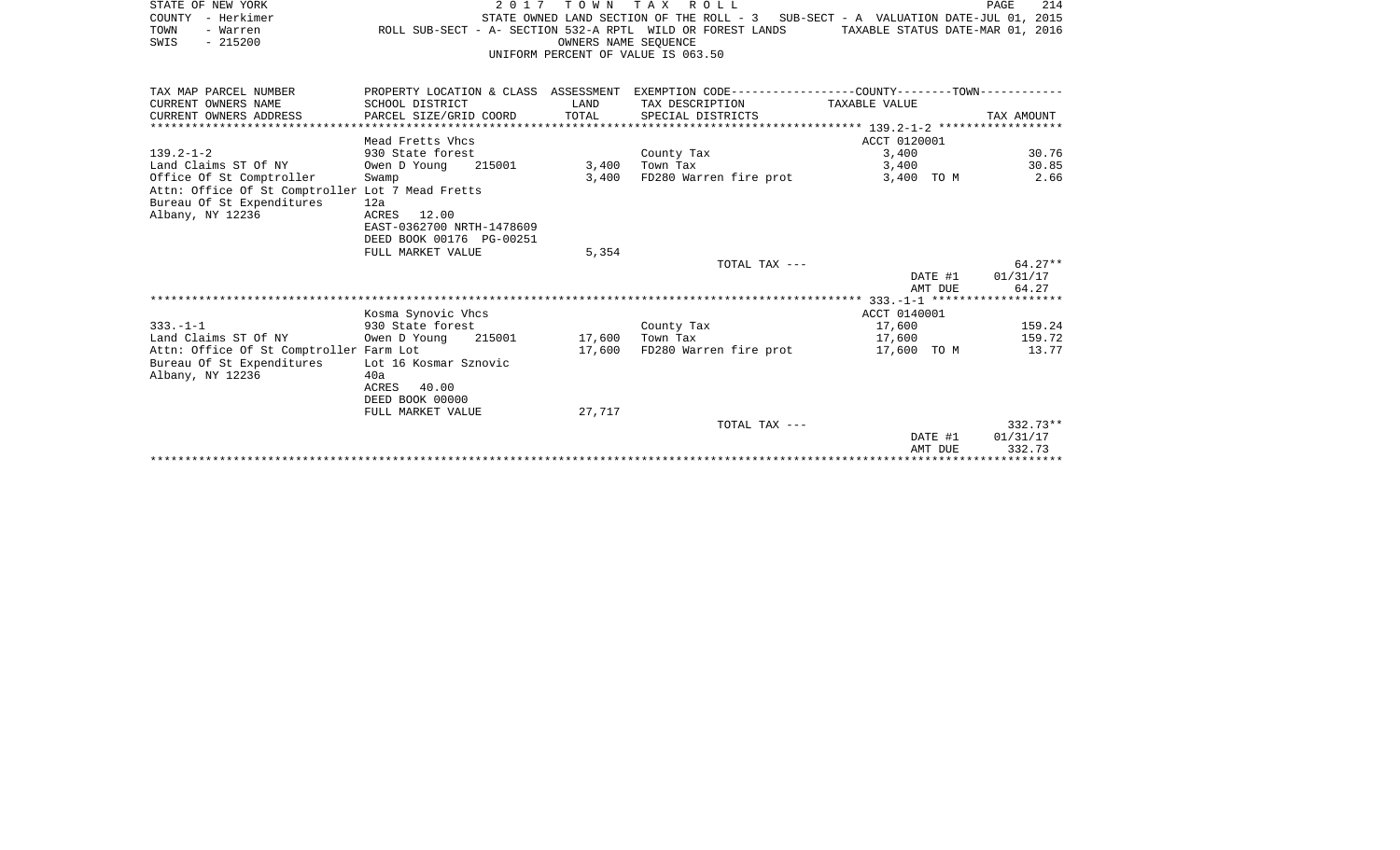| STATE OF NEW YORK<br>COUNTY - Herkimer<br>TOWN<br>- Warren                   | ROLL SUB-SECT - A- SECTION 532-A RPTL WILD OR FOREST LANDS |                      | 2017 TOWN TAX ROLL<br>STATE OWNED LAND SECTION OF THE ROLL - 3 SUB-SECT - A VALUATION DATE-JUL 01, 2015 | TAXABLE STATUS DATE-MAR 01, 2016 | 214<br>PAGE            |
|------------------------------------------------------------------------------|------------------------------------------------------------|----------------------|---------------------------------------------------------------------------------------------------------|----------------------------------|------------------------|
| $-215200$<br>SWIS                                                            |                                                            | OWNERS NAME SEOUENCE |                                                                                                         |                                  |                        |
|                                                                              |                                                            |                      | UNIFORM PERCENT OF VALUE IS 063.50                                                                      |                                  |                        |
| TAX MAP PARCEL NUMBER                                                        |                                                            |                      | PROPERTY LOCATION & CLASS ASSESSMENT EXEMPTION CODE---------------COUNTY-------TOWN---------            |                                  |                        |
| CURRENT OWNERS NAME<br>CURRENT OWNERS ADDRESS                                | SCHOOL DISTRICT<br>PARCEL SIZE/GRID COORD                  | LAND<br>TOTAL        | TAX DESCRIPTION<br>SPECIAL DISTRICTS                                                                    | TAXABLE VALUE                    | TAX AMOUNT             |
|                                                                              |                                                            |                      |                                                                                                         |                                  |                        |
|                                                                              | Mead Fretts Vhcs                                           |                      |                                                                                                         | ACCT 0120001                     |                        |
| $139.2 - 1 - 2$                                                              | 930 State forest                                           |                      | County Tax                                                                                              | 3,400                            | 30.76                  |
| Land Claims ST Of NY                                                         | 215001<br>Owen D Young                                     | 3,400                | Town Tax                                                                                                | 3,400                            | 30.85                  |
| Office Of St Comptroller<br>Attn: Office Of St Comptroller Lot 7 Mead Fretts | Swamp                                                      | 3,400                | FD280 Warren fire prot                                                                                  | 3,400 TO M                       | 2.66                   |
| Bureau Of St Expenditures                                                    | 12a                                                        |                      |                                                                                                         |                                  |                        |
| Albany, NY 12236                                                             | ACRES 12.00                                                |                      |                                                                                                         |                                  |                        |
|                                                                              | EAST-0362700 NRTH-1478609                                  |                      |                                                                                                         |                                  |                        |
|                                                                              | DEED BOOK 00176 PG-00251                                   |                      |                                                                                                         |                                  |                        |
|                                                                              | FULL MARKET VALUE                                          | 5,354                | TOTAL TAX ---                                                                                           |                                  | $64.27**$              |
|                                                                              |                                                            |                      |                                                                                                         | DATE #1                          | 01/31/17               |
|                                                                              |                                                            |                      |                                                                                                         | AMT DUE                          | 64.27                  |
|                                                                              |                                                            |                      |                                                                                                         |                                  |                        |
|                                                                              | Kosma Synovic Vhcs                                         |                      |                                                                                                         | ACCT 0140001                     |                        |
| $333. - 1 - 1$                                                               | 930 State forest                                           |                      | County Tax                                                                                              | 17,600                           | 159.24                 |
| Land Claims ST Of NY<br>Attn: Office Of St Comptroller Farm Lot              | Owen D Young<br>215001                                     | 17,600<br>17,600     | Town Tax<br>FD280 Warren fire prot                                                                      | 17,600<br>17,600 TO M            | 159.72<br>13.77        |
| Bureau Of St Expenditures                                                    | Lot 16 Kosmar Sznovic                                      |                      |                                                                                                         |                                  |                        |
| Albany, NY 12236                                                             | 40a                                                        |                      |                                                                                                         |                                  |                        |
|                                                                              | ACRES<br>40.00                                             |                      |                                                                                                         |                                  |                        |
|                                                                              | DEED BOOK 00000                                            |                      |                                                                                                         |                                  |                        |
|                                                                              | FULL MARKET VALUE                                          | 27,717               |                                                                                                         |                                  |                        |
|                                                                              |                                                            |                      | TOTAL TAX ---                                                                                           | DATE #1                          | $332.73**$<br>01/31/17 |
|                                                                              |                                                            |                      |                                                                                                         | <b>AMT DILE</b>                  | 332 73                 |

AMT DUE 332.73 \*\*\*\*\*\*\*\*\*\*\*\*\*\*\*\*\*\*\*\*\*\*\*\*\*\*\*\*\*\*\*\*\*\*\*\*\*\*\*\*\*\*\*\*\*\*\*\*\*\*\*\*\*\*\*\*\*\*\*\*\*\*\*\*\*\*\*\*\*\*\*\*\*\*\*\*\*\*\*\*\*\*\*\*\*\*\*\*\*\*\*\*\*\*\*\*\*\*\*\*\*\*\*\*\*\*\*\*\*\*\*\*\*\*\*\*\*\*\*\*\*\*\*\*\*\*\*\*\*\*\*\*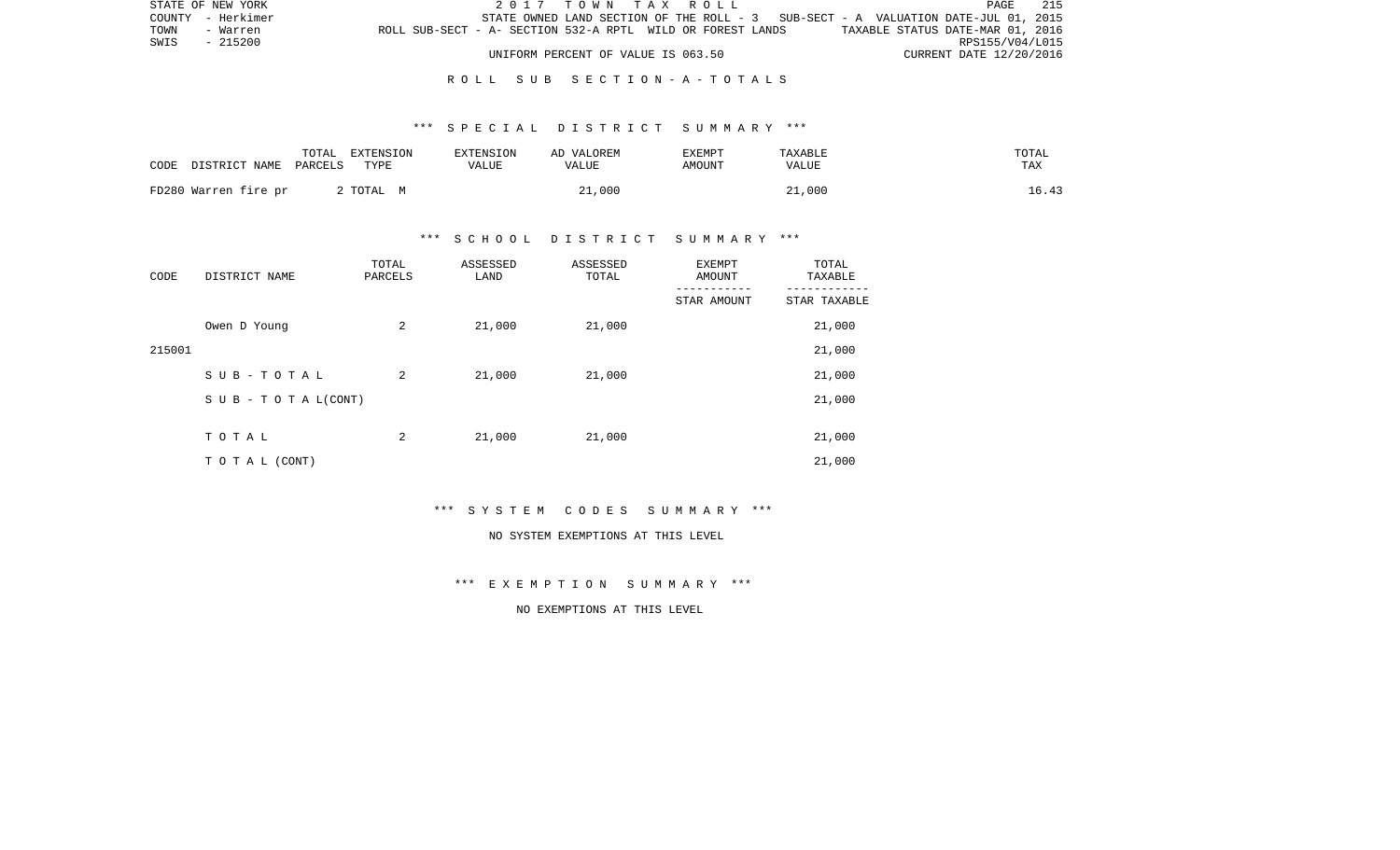| STATE OF NEW YORK                                                              | 2017 TOWN TAX ROLL                 |  |                                                                                   | PAGE                    | 215 |
|--------------------------------------------------------------------------------|------------------------------------|--|-----------------------------------------------------------------------------------|-------------------------|-----|
| COUNTY - Herkimer                                                              |                                    |  | STATE OWNED LAND SECTION OF THE ROLL - 3 SUB-SECT - A VALUATION DATE-JUL 01, 2015 |                         |     |
| ROLL SUB-SECT - A- SECTION 532-A RPTL WILD OR FOREST LANDS<br>TOWN<br>- Warren |                                    |  | TAXABLE STATUS DATE-MAR 01, 2016                                                  |                         |     |
| SWIS - 215200                                                                  |                                    |  |                                                                                   | RPS155/V04/L015         |     |
|                                                                                | UNIFORM PERCENT OF VALUE IS 063.50 |  |                                                                                   | CURRENT DATE 12/20/2016 |     |

# R O L L S U B S E C T I O N - A - T O T A L S

## \*\*\* S P E C I A L D I S T R I C T S U M M A R Y \*\*\*

| CODE | DISTRICT NAME PARCELS | TOTAL | EXTENSION<br>TYPE | <b>EXTENSION</b><br>VALUE | AD VALOREM<br>VALUE | EXEMPT<br>AMOUNT | TAXABLE<br>VALUE | TOTAL<br>TAX |
|------|-----------------------|-------|-------------------|---------------------------|---------------------|------------------|------------------|--------------|
|      | FD280 Warren fire pr  |       | 2 ТОТАL М         |                           | 21,000              |                  | 21,000           | 16.43        |

# \*\*\* S C H O O L D I S T R I C T S U M M A R Y \*\*\*

| CODE   | DISTRICT NAME                    | TOTAL<br>PARCELS | ASSESSED<br>LAND | ASSESSED<br>TOTAL | EXEMPT<br>AMOUNT | TOTAL<br>TAXABLE |
|--------|----------------------------------|------------------|------------------|-------------------|------------------|------------------|
|        |                                  |                  |                  |                   | STAR AMOUNT      | STAR TAXABLE     |
|        | Owen D Young                     | 2                | 21,000           | 21,000            |                  | 21,000           |
| 215001 |                                  |                  |                  |                   |                  | 21,000           |
|        | SUB-TOTAL                        | 2                | 21,000           | 21,000            |                  | 21,000           |
|        | $S \cup B - T \cup T A L (CONT)$ |                  |                  |                   |                  | 21,000           |
|        |                                  |                  |                  |                   |                  |                  |
|        | TOTAL                            | 2                | 21,000           | 21,000            |                  | 21,000           |
|        | TO TAL (CONT)                    |                  |                  |                   |                  | 21,000           |

\*\*\* S Y S T E M C O D E S S U M M A R Y \*\*\*

#### NO SYSTEM EXEMPTIONS AT THIS LEVEL

\*\*\* E X E M P T I O N S U M M A R Y \*\*\*

# NO EXEMPTIONS AT THIS LEVEL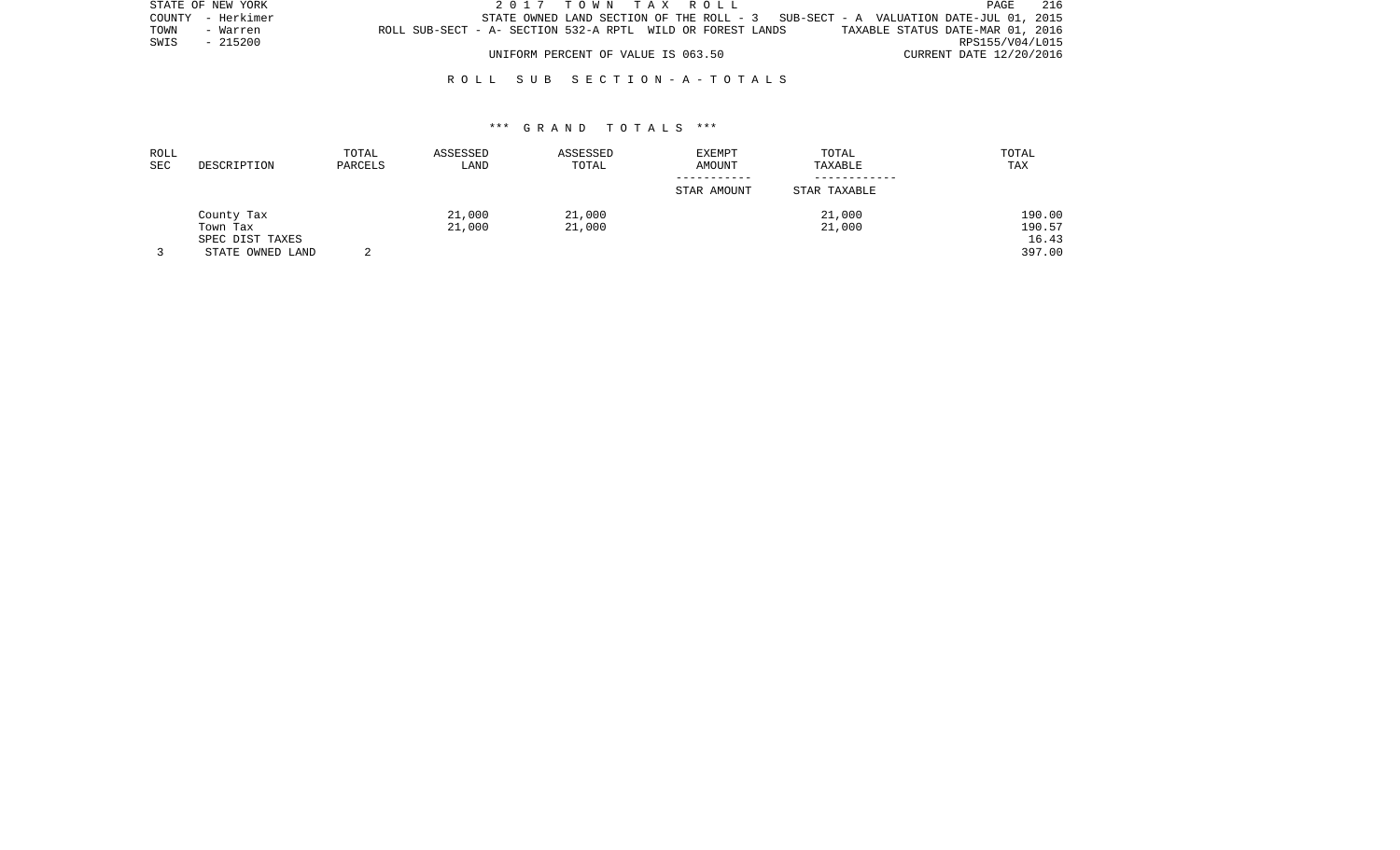|      | STATE OF NEW YORK |                                                            | 2017 TOWN TAX ROLL                 |  |                                                                                   | <b>PAGE</b>             | 216 |
|------|-------------------|------------------------------------------------------------|------------------------------------|--|-----------------------------------------------------------------------------------|-------------------------|-----|
|      | COUNTY - Herkimer |                                                            |                                    |  | STATE OWNED LAND SECTION OF THE ROLL - 3 SUB-SECT - A VALUATION DATE-JUL 01, 2015 |                         |     |
| TOWN | - Warren          | ROLL SUB-SECT - A- SECTION 532-A RPTL WILD OR FOREST LANDS |                                    |  | TAXABLE STATUS DATE-MAR 01, 2016                                                  |                         |     |
| SWIS | - 215200          |                                                            |                                    |  |                                                                                   | RPS155/V04/L015         |     |
|      |                   |                                                            | UNIFORM PERCENT OF VALUE IS 063.50 |  |                                                                                   | CURRENT DATE 12/20/2016 |     |

| ROLL<br>SEC | DESCRIPTION      | TOTAL<br>PARCELS | ASSESSED<br>LAND | ASSESSED<br>TOTAL | <b>EXEMPT</b><br>AMOUNT | TOTAL<br>TAXABLE | TOTAL<br>TAX |
|-------------|------------------|------------------|------------------|-------------------|-------------------------|------------------|--------------|
|             |                  |                  |                  |                   | STAR AMOUNT             | STAR TAXABLE     |              |
|             | County Tax       |                  | 21,000           | 21,000            |                         | 21,000           | 190.00       |
|             | Town Tax         |                  | 21,000           | 21,000            |                         | 21,000           | 190.57       |
|             | SPEC DIST TAXES  |                  |                  |                   |                         |                  | 16.43        |
|             | STATE OWNED LAND |                  |                  |                   |                         |                  | 397.00       |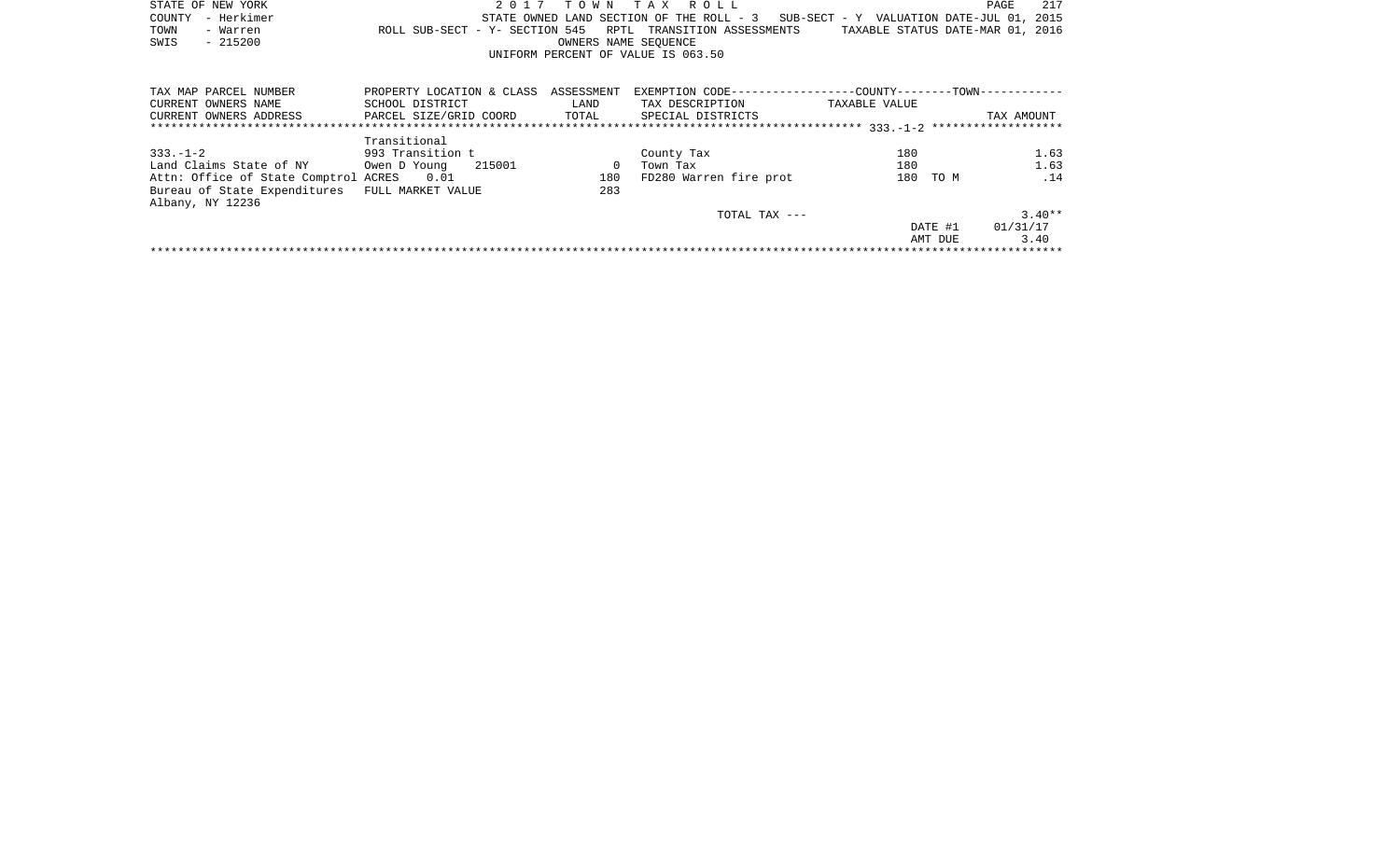|      | STATE OF NEW YORK |                                                            |  | 2017 TOWN TAX ROLL                 |  |                                                                                   |                                  | PAGE | 217 |
|------|-------------------|------------------------------------------------------------|--|------------------------------------|--|-----------------------------------------------------------------------------------|----------------------------------|------|-----|
|      | COUNTY - Herkimer |                                                            |  |                                    |  | STATE OWNED LAND SECTION OF THE ROLL - 3 SUB-SECT - Y VALUATION DATE-JUL 01, 2015 |                                  |      |     |
| TOWN | - Warren          | ROLL SUB-SECT - Y- SECTION 545 RPTL TRANSITION ASSESSMENTS |  |                                    |  |                                                                                   | TAXABLE STATUS DATE-MAR 01, 2016 |      |     |
| SWIS | - 215200          |                                                            |  | OWNERS NAME SEOUENCE               |  |                                                                                   |                                  |      |     |
|      |                   |                                                            |  | UNIFORM PERCENT OF VALUE IS 063.50 |  |                                                                                   |                                  |      |     |
|      |                   |                                                            |  |                                    |  |                                                                                   |                                  |      |     |

| TAX MAP PARCEL NUMBER                | PROPERTY LOCATION & CLASS | ASSESSMENT | EXEMPTION CODE-----------------COUNTY-------TOWN------------ |               |         |            |
|--------------------------------------|---------------------------|------------|--------------------------------------------------------------|---------------|---------|------------|
| CURRENT OWNERS NAME                  | SCHOOL DISTRICT           | LAND       | TAX DESCRIPTION                                              | TAXABLE VALUE |         |            |
| CURRENT OWNERS ADDRESS               | PARCEL SIZE/GRID COORD    | TOTAL      | SPECIAL DISTRICTS                                            |               |         | TAX AMOUNT |
|                                      |                           |            |                                                              |               |         |            |
|                                      | Transitional              |            |                                                              |               |         |            |
| $333 - 1 - 2$                        | 993 Transition t          |            | County Tax                                                   | 180           |         | 1.63       |
| Land Claims State of NY              | 215001<br>Owen D Young    |            | Town Tax                                                     | 180           |         | 1.63       |
| Attn: Office of State Comptrol ACRES | 0.01                      | 180        | FD280 Warren fire prot                                       | 180           | TO M    | .14        |
| Bureau of State Expenditures         | FULL MARKET VALUE         | 283        |                                                              |               |         |            |
| Albany, NY 12236                     |                           |            |                                                              |               |         |            |
|                                      |                           |            | TOTAL TAX $---$                                              |               |         | $3.40**$   |
|                                      |                           |            |                                                              |               | DATE #1 | 01/31/17   |
|                                      |                           |            |                                                              |               | AMT DUE | 3.40       |
|                                      |                           |            |                                                              |               |         |            |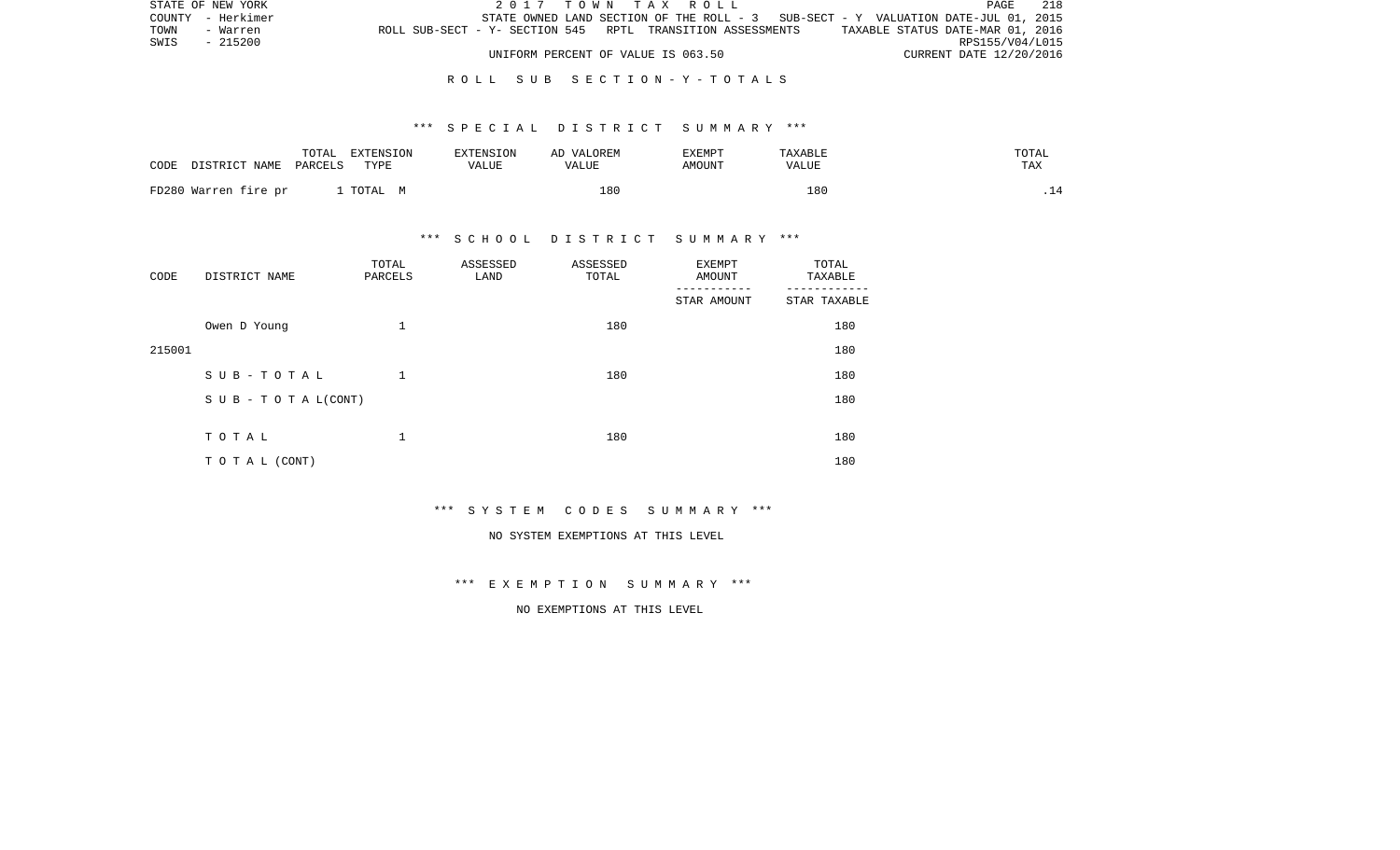|      | STATE OF NEW YORK |                                                            |  |  | 2017 TOWN TAX ROLL                 |  |  |                                                                                   |                                  |                         | PAGE | 218 |
|------|-------------------|------------------------------------------------------------|--|--|------------------------------------|--|--|-----------------------------------------------------------------------------------|----------------------------------|-------------------------|------|-----|
|      | COUNTY - Herkimer |                                                            |  |  |                                    |  |  | STATE OWNED LAND SECTION OF THE ROLL - 3 SUB-SECT - Y VALUATION DATE-JUL 01, 2015 |                                  |                         |      |     |
| TOWN | - Warren          | ROLL SUB-SECT - Y- SECTION 545 RPTL TRANSITION ASSESSMENTS |  |  |                                    |  |  |                                                                                   | TAXABLE STATUS DATE-MAR 01, 2016 |                         |      |     |
| SWIS | - 215200          |                                                            |  |  |                                    |  |  |                                                                                   |                                  | RPS155/V04/L015         |      |     |
|      |                   |                                                            |  |  | UNIFORM PERCENT OF VALUE IS 063.50 |  |  |                                                                                   |                                  | CURRENT DATE 12/20/2016 |      |     |

### \*\*\* S P E C I A L D I S T R I C T S U M M A R Y \*\*\*

| CODE | DISTRICT NAME PARCELS | TOTAL | EXTENSION<br>TYPE | EXTENSION<br><b>VALUE</b> | AD VALOREM<br><b>VALUE</b> | EXEMPT<br>AMOUNT | TAXABLE<br>VALUE | TOTAL<br>TAX |
|------|-----------------------|-------|-------------------|---------------------------|----------------------------|------------------|------------------|--------------|
|      | FD280 Warren fire pr  |       | . TOTAL M         |                           | 180                        |                  | 18C              |              |

# \*\*\* S C H O O L D I S T R I C T S U M M A R Y \*\*\*

| CODE   | DISTRICT NAME              | TOTAL<br>PARCELS | ASSESSED<br>LAND | ASSESSED<br>TOTAL | <b>EXEMPT</b><br>AMOUNT | TOTAL<br>TAXABLE |
|--------|----------------------------|------------------|------------------|-------------------|-------------------------|------------------|
|        |                            |                  |                  |                   | STAR AMOUNT             | STAR TAXABLE     |
|        | Owen D Young               | 1                |                  | 180               |                         | 180              |
| 215001 |                            |                  |                  |                   |                         | 180              |
|        | SUB-TOTAL                  | $\mathbf 1$      |                  | 180               |                         | 180              |
|        | S U B - T O T A $L$ (CONT) |                  |                  |                   |                         | 180              |
|        |                            |                  |                  |                   |                         |                  |
|        | TOTAL                      | 1                |                  | 180               |                         | 180              |
|        | TO TAL (CONT)              |                  |                  |                   |                         | 180              |

\*\*\* S Y S T E M C O D E S S U M M A R Y \*\*\*

#### NO SYSTEM EXEMPTIONS AT THIS LEVEL

\*\*\* E X E M P T I O N S U M M A R Y \*\*\*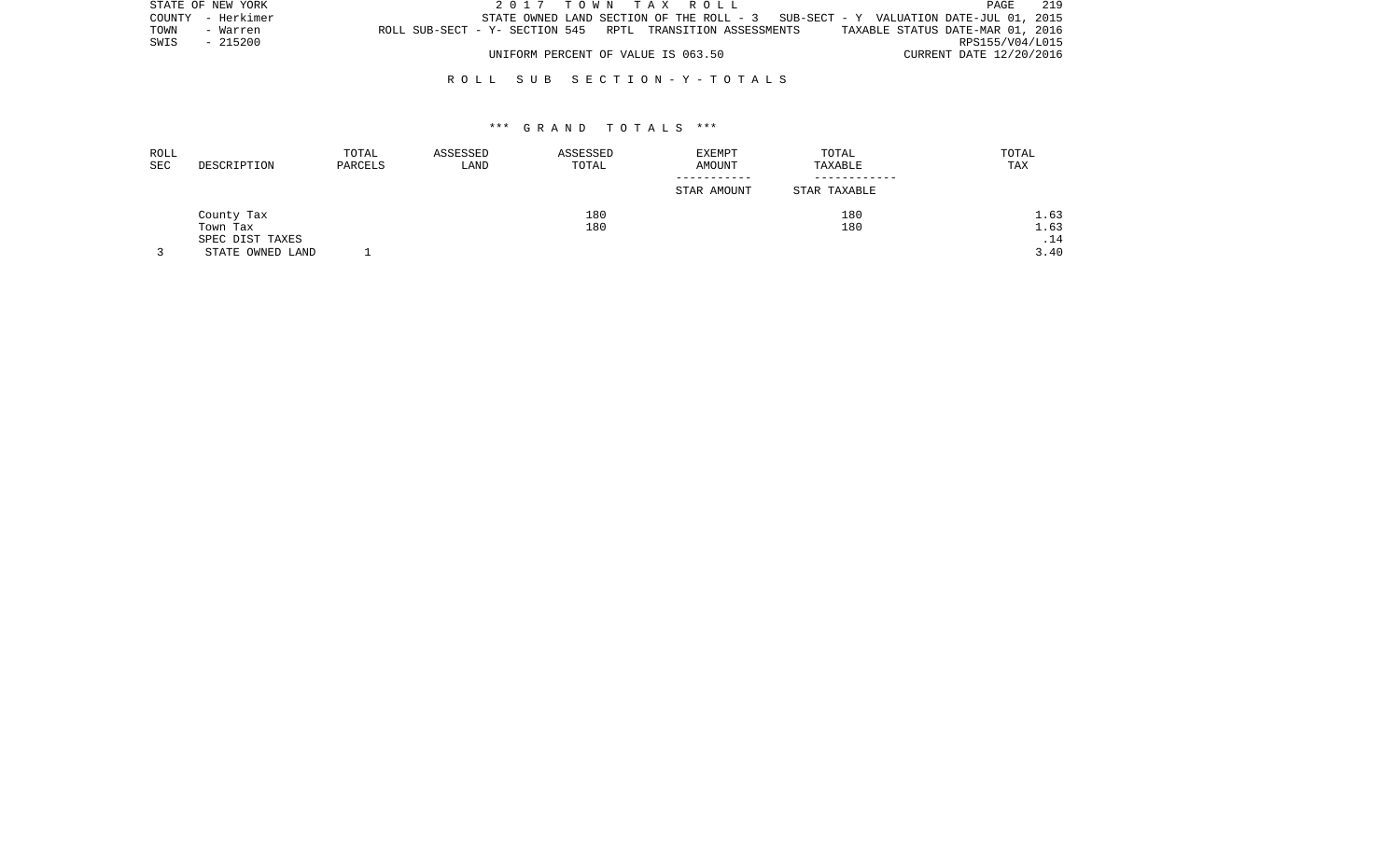|      | STATE OF NEW YORK |                                                            |  | 2017 TOWN TAX ROLL                 |  |                                                                                     |                                  |                         | PAGE            | 219 |
|------|-------------------|------------------------------------------------------------|--|------------------------------------|--|-------------------------------------------------------------------------------------|----------------------------------|-------------------------|-----------------|-----|
|      | COUNTY - Herkimer |                                                            |  |                                    |  | STATE OWNED LAND SECTION OF THE ROLL - $3$ SUB-SECT - Y VALUATION DATE-JUL 01, 2015 |                                  |                         |                 |     |
| TOWN | - Warren          | ROLL SUB-SECT - Y- SECTION 545 RPTL TRANSITION ASSESSMENTS |  |                                    |  |                                                                                     | TAXABLE STATUS DATE-MAR 01, 2016 |                         |                 |     |
| SWIS | - 215200          |                                                            |  |                                    |  |                                                                                     |                                  |                         | RPS155/V04/L015 |     |
|      |                   |                                                            |  | UNIFORM PERCENT OF VALUE IS 063.50 |  |                                                                                     |                                  | CURRENT DATE 12/20/2016 |                 |     |

| ROLL |                  | TOTAL   | ASSESSED | ASSESSED | EXEMPT      | TOTAL        | TOTAL |
|------|------------------|---------|----------|----------|-------------|--------------|-------|
| SEC  | DESCRIPTION      | PARCELS | LAND     | TOTAL    | AMOUNT      | TAXABLE      | TAX   |
|      |                  |         |          |          | ----------- |              |       |
|      |                  |         |          |          | STAR AMOUNT | STAR TAXABLE |       |
|      | County Tax       |         |          | 180      |             | 180          | 1.63  |
|      | Town Tax         |         |          | 180      |             | 180          | 1.63  |
|      | SPEC DIST TAXES  |         |          |          |             |              | .14   |
|      | STATE OWNED LAND |         |          |          |             |              | 3.40  |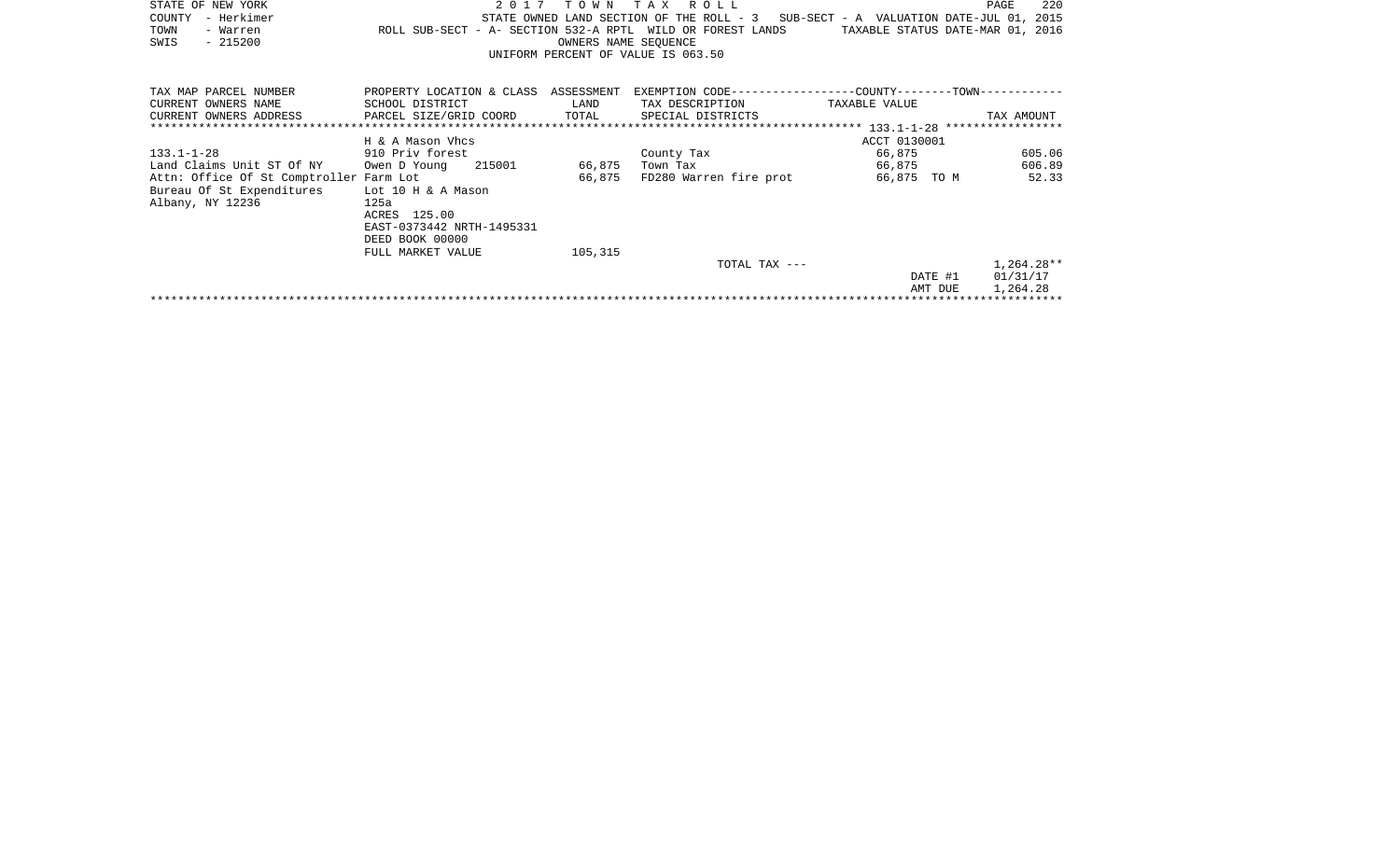| STATE OF NEW YORK<br>– Herkimer<br>COUNTY<br>TOWN<br>- Warren<br>SWIS<br>$-215200$                                                        | 2017<br>ROLL SUB-SECT - A- SECTION 532-A RPTL WILD OR FOREST LANDS                                                   | T O W N<br>OWNERS NAME SEQUENCE | T A X<br>ROLL<br>UNIFORM PERCENT OF VALUE IS 063.50 | STATE OWNED LAND SECTION OF THE ROLL - 3 SUB-SECT - A VALUATION DATE-JUL 01, 2015<br>TAXABLE STATUS DATE-MAR 01, 2016 | 220<br>PAGE                        |
|-------------------------------------------------------------------------------------------------------------------------------------------|----------------------------------------------------------------------------------------------------------------------|---------------------------------|-----------------------------------------------------|-----------------------------------------------------------------------------------------------------------------------|------------------------------------|
| TAX MAP PARCEL NUMBER<br>CURRENT OWNERS NAME<br>CURRENT OWNERS ADDRESS                                                                    | PROPERTY LOCATION & CLASS ASSESSMENT<br>SCHOOL DISTRICT<br>PARCEL SIZE/GRID COORD                                    | LAND<br>TOTAL                   | TAX DESCRIPTION<br>SPECIAL DISTRICTS                | TAXABLE VALUE                                                                                                         | TAX AMOUNT                         |
|                                                                                                                                           | H & A Mason Vhcs                                                                                                     |                                 |                                                     | ACCT 0130001                                                                                                          |                                    |
| $133.1 - 1 - 28$<br>Land Claims Unit ST Of NY<br>Attn: Office Of St Comptroller Farm Lot<br>Bureau Of St Expenditures<br>Albany, NY 12236 | 910 Priv forest<br>Owen D Young<br>215001<br>Lot 10 H & A Mason<br>125a<br>ACRES 125.00<br>EAST-0373442 NRTH-1495331 | 66,875<br>66,875                | County Tax<br>Town Tax<br>FD280 Warren fire prot    | 66,875<br>66,875<br>66,875 TO M                                                                                       | 605.06<br>606.89<br>52.33          |
|                                                                                                                                           | DEED BOOK 00000<br>FULL MARKET VALUE                                                                                 | 105,315                         | TOTAL TAX ---                                       | DATE #1<br>AMT DUE                                                                                                    | 1,264.28**<br>01/31/17<br>1,264.28 |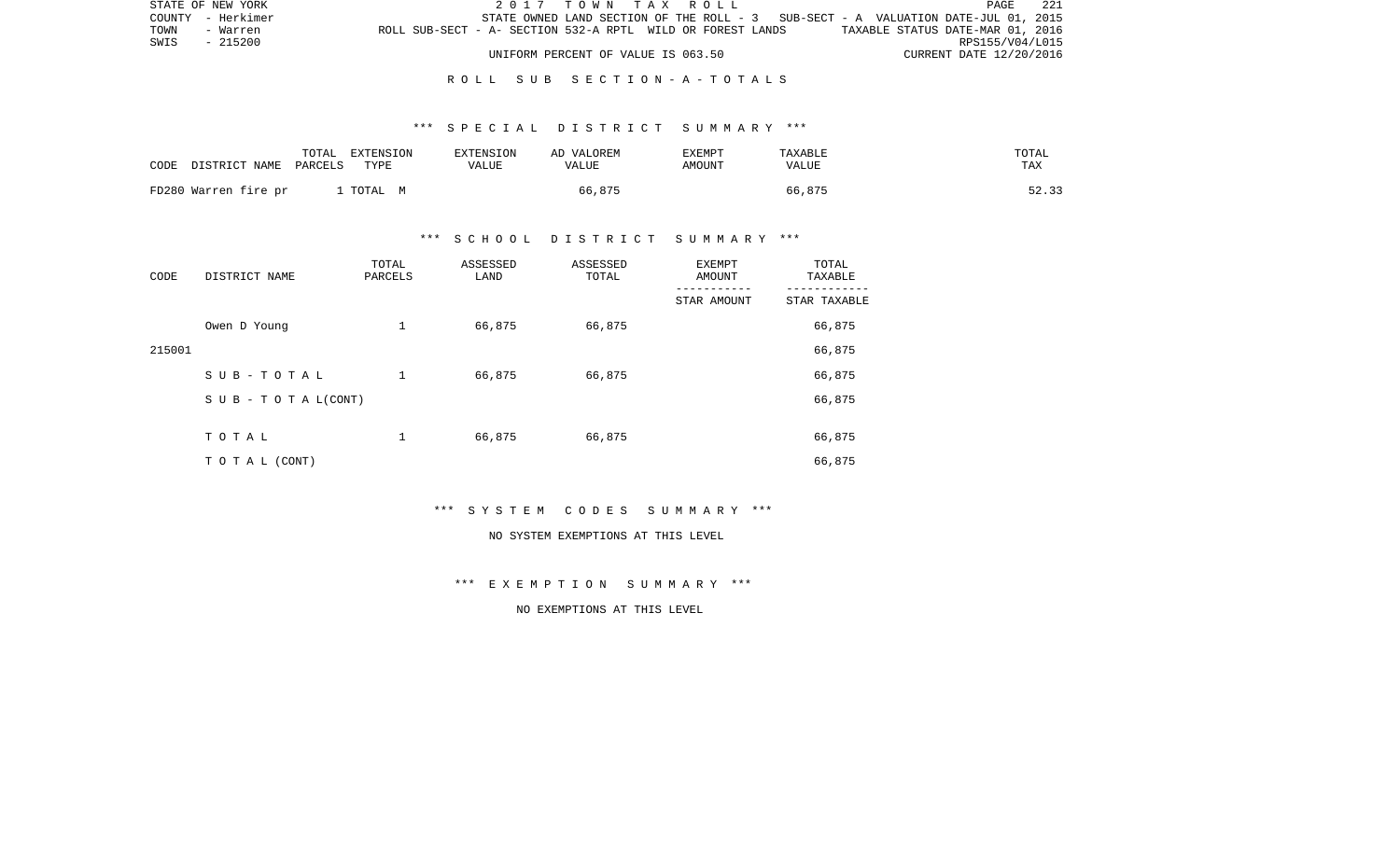| STATE OF NEW YORK |                                                            | 2017 TOWN TAX ROLL                 |                                                                                   | -221<br>PAGE                     |
|-------------------|------------------------------------------------------------|------------------------------------|-----------------------------------------------------------------------------------|----------------------------------|
| COUNTY - Herkimer |                                                            |                                    | STATE OWNED LAND SECTION OF THE ROLL - 3 SUB-SECT - A VALUATION DATE-JUL 01, 2015 |                                  |
| TOWN<br>- Warren  | ROLL SUB-SECT - A- SECTION 532-A RPTL WILD OR FOREST LANDS |                                    |                                                                                   | TAXABLE STATUS DATE-MAR 01, 2016 |
| SWIS<br>- 215200  |                                                            |                                    |                                                                                   | RPS155/V04/L015                  |
|                   |                                                            | UNIFORM PERCENT OF VALUE IS 063.50 |                                                                                   | CURRENT DATE 12/20/2016          |

## \*\*\* S P E C I A L D I S T R I C T S U M M A R Y \*\*\*

| CODE DISTRICT NAME   | TOTAL   | EXTENSION | EXTENSION | AD VALOREM | EXEMPT | TAXABLE | TOTAL |
|----------------------|---------|-----------|-----------|------------|--------|---------|-------|
|                      | PARCELS | TYPE      | VALUE     | VALUE      | AMOUNT | VALUE   | TAX   |
| FD280 Warren fire pr |         | . TOTAL M |           | 66,875     |        | 66,875  | 52.33 |

# \*\*\* S C H O O L D I S T R I C T S U M M A R Y \*\*\*

| CODE   | DISTRICT NAME                    | TOTAL<br>PARCELS | ASSESSED<br>LAND | ASSESSED<br>TOTAL | EXEMPT<br>AMOUNT | TOTAL<br>TAXABLE |
|--------|----------------------------------|------------------|------------------|-------------------|------------------|------------------|
|        |                                  |                  |                  |                   | STAR AMOUNT      | STAR TAXABLE     |
|        | Owen D Young                     | 1                | 66,875           | 66,875            |                  | 66,875           |
| 215001 |                                  |                  |                  |                   |                  | 66,875           |
|        | SUB-TOTAL                        | $\mathbf 1$      | 66,875           | 66,875            |                  | 66,875           |
|        | $S \cup B - T \cup T A L (CONT)$ |                  |                  |                   |                  | 66,875           |
|        |                                  |                  |                  |                   |                  |                  |
|        | TOTAL                            | 1                | 66,875           | 66,875            |                  | 66,875           |
|        | T O T A L (CONT)                 |                  |                  |                   |                  | 66,875           |

\*\*\* S Y S T E M C O D E S S U M M A R Y \*\*\*

#### NO SYSTEM EXEMPTIONS AT THIS LEVEL

\*\*\* E X E M P T I O N S U M M A R Y \*\*\*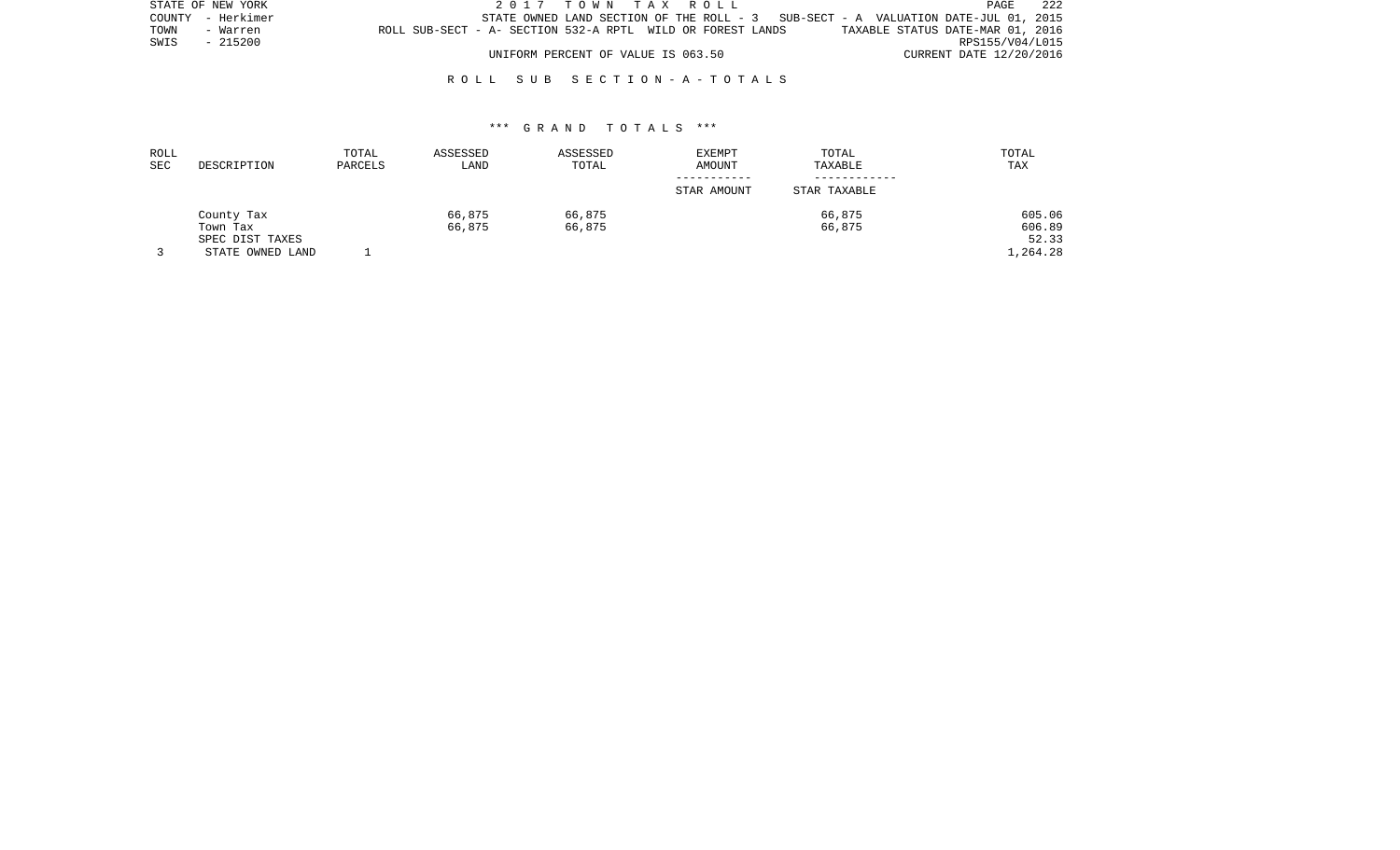| STATE OF NEW YORK |          |                                                            |  |                                    |  |  | 2017 TOWN TAX ROLL |  |                                                                                   |                         | PAGE            | -222 |
|-------------------|----------|------------------------------------------------------------|--|------------------------------------|--|--|--------------------|--|-----------------------------------------------------------------------------------|-------------------------|-----------------|------|
| COUNTY - Herkimer |          |                                                            |  |                                    |  |  |                    |  | STATE OWNED LAND SECTION OF THE ROLL - 3 SUB-SECT - A VALUATION DATE-JUL 01, 2015 |                         |                 |      |
| TOWN              | - Warren | ROLL SUB-SECT - A- SECTION 532-A RPTL WILD OR FOREST LANDS |  |                                    |  |  |                    |  | TAXABLE STATUS DATE-MAR 01, 2016                                                  |                         |                 |      |
| SWIS              | - 215200 |                                                            |  |                                    |  |  |                    |  |                                                                                   |                         | RPS155/V04/L015 |      |
|                   |          |                                                            |  | UNIFORM PERCENT OF VALUE IS 063.50 |  |  |                    |  |                                                                                   | CURRENT DATE 12/20/2016 |                 |      |

| ROLL<br>SEC | DESCRIPTION      | TOTAL<br>PARCELS | ASSESSED<br>LAND | ASSESSED<br>TOTAL | <b>EXEMPT</b><br>AMOUNT | TOTAL<br>TAXABLE | TOTAL<br>TAX |
|-------------|------------------|------------------|------------------|-------------------|-------------------------|------------------|--------------|
|             |                  |                  |                  |                   | STAR AMOUNT             | STAR TAXABLE     |              |
|             | County Tax       |                  | 66,875           | 66,875            |                         | 66,875           | 605.06       |
|             | Town Tax         |                  | 66,875           | 66,875            |                         | 66,875           | 606.89       |
|             | SPEC DIST TAXES  |                  |                  |                   |                         |                  | 52.33        |
|             | STATE OWNED LAND |                  |                  |                   |                         |                  | 1,264.28     |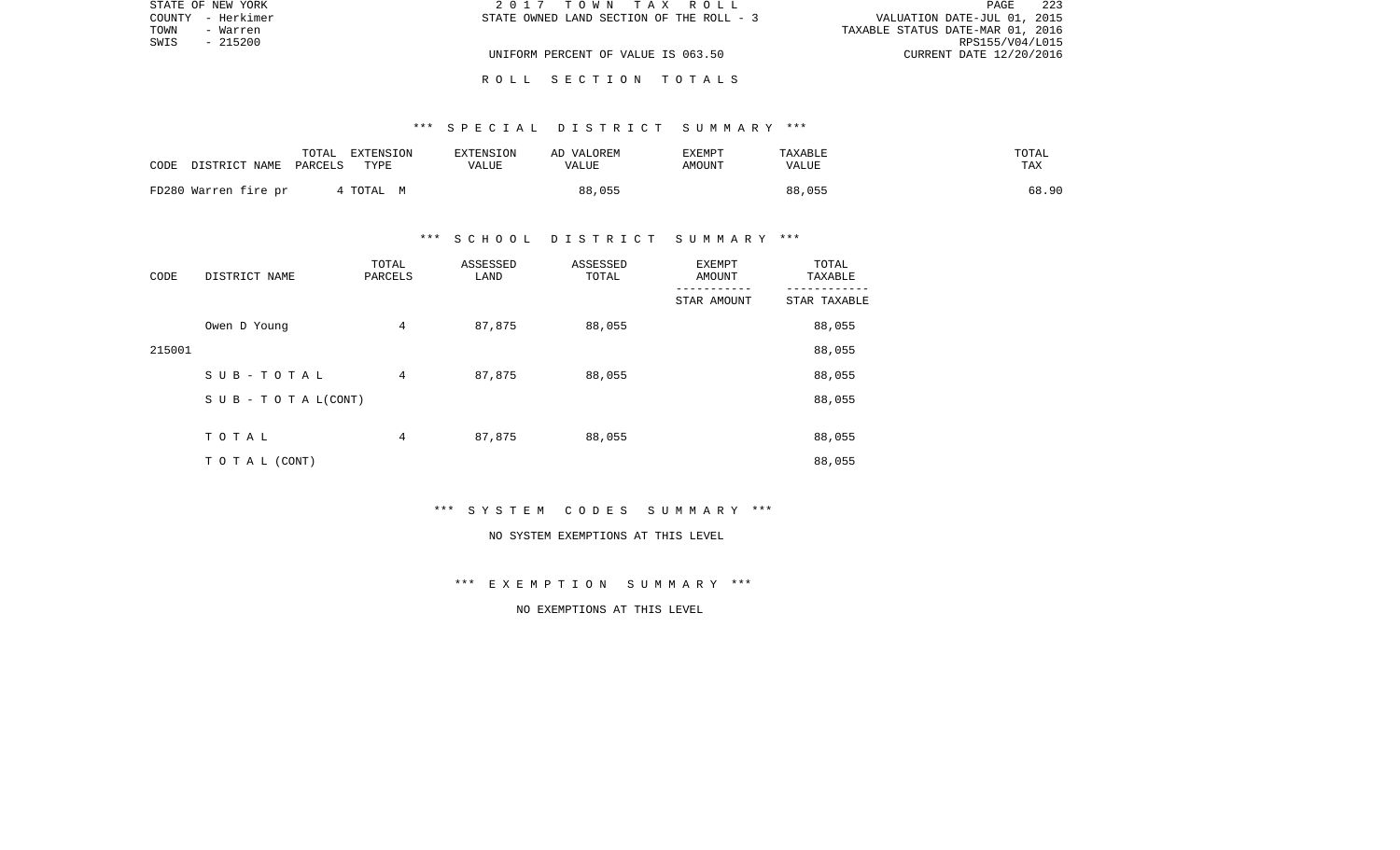|      | STATE OF NEW YORK | 2017 TOWN TAX ROLL                       | 223<br>PAGE                      |
|------|-------------------|------------------------------------------|----------------------------------|
|      | COUNTY - Herkimer | STATE OWNED LAND SECTION OF THE ROLL - 3 | VALUATION DATE-JUL 01, 2015      |
| TOWN | - Warren          |                                          | TAXABLE STATUS DATE-MAR 01, 2016 |
| SWIS | - 215200          |                                          | RPS155/V04/L015                  |
|      |                   | UNIFORM PERCENT OF VALUE IS 063.50       | CURRENT DATE 12/20/2016          |
|      |                   |                                          |                                  |

# \*\*\* S P E C I A L D I S T R I C T S U M M A R Y \*\*\*

R O L L S E C T I O N T O T A L S

| CODE | DISTRICT NAME        | TOTAL<br>PARCELS | EXTENSION<br>TYPE | EXTENSION<br><b>VALUE</b> | AD VALOREM<br>VALUE | EXEMPT<br>AMOUNT | TAXABLE<br>VALUE | TOTAL<br>TAX |
|------|----------------------|------------------|-------------------|---------------------------|---------------------|------------------|------------------|--------------|
|      | FD280 Warren fire pr |                  | 4 TOTAL M         |                           | 88,055              |                  | 88,055           | 68.90        |

# \*\*\* S C H O O L D I S T R I C T S U M M A R Y \*\*\*

| CODE   | DISTRICT NAME                    | TOTAL<br>PARCELS | ASSESSED<br>LAND | ASSESSED<br>TOTAL | EXEMPT<br>AMOUNT | TOTAL<br>TAXABLE |
|--------|----------------------------------|------------------|------------------|-------------------|------------------|------------------|
|        |                                  |                  |                  |                   | STAR AMOUNT      | STAR TAXABLE     |
|        | Owen D Young                     | $\overline{4}$   | 87,875           | 88,055            |                  | 88,055           |
| 215001 |                                  |                  |                  |                   |                  | 88,055           |
|        | SUB-TOTAL                        | 4                | 87,875           | 88,055            |                  | 88,055           |
|        | $S \cup B - T \cup T A L (CONT)$ |                  |                  |                   |                  | 88,055           |
|        |                                  |                  |                  |                   |                  |                  |
|        | TOTAL                            | 4                | 87,875           | 88,055            |                  | 88,055           |
|        | T O T A L (CONT)                 |                  |                  |                   |                  | 88,055           |

\*\*\* S Y S T E M C O D E S S U M M A R Y \*\*\*

#### NO SYSTEM EXEMPTIONS AT THIS LEVEL

\*\*\* E X E M P T I O N S U M M A R Y \*\*\*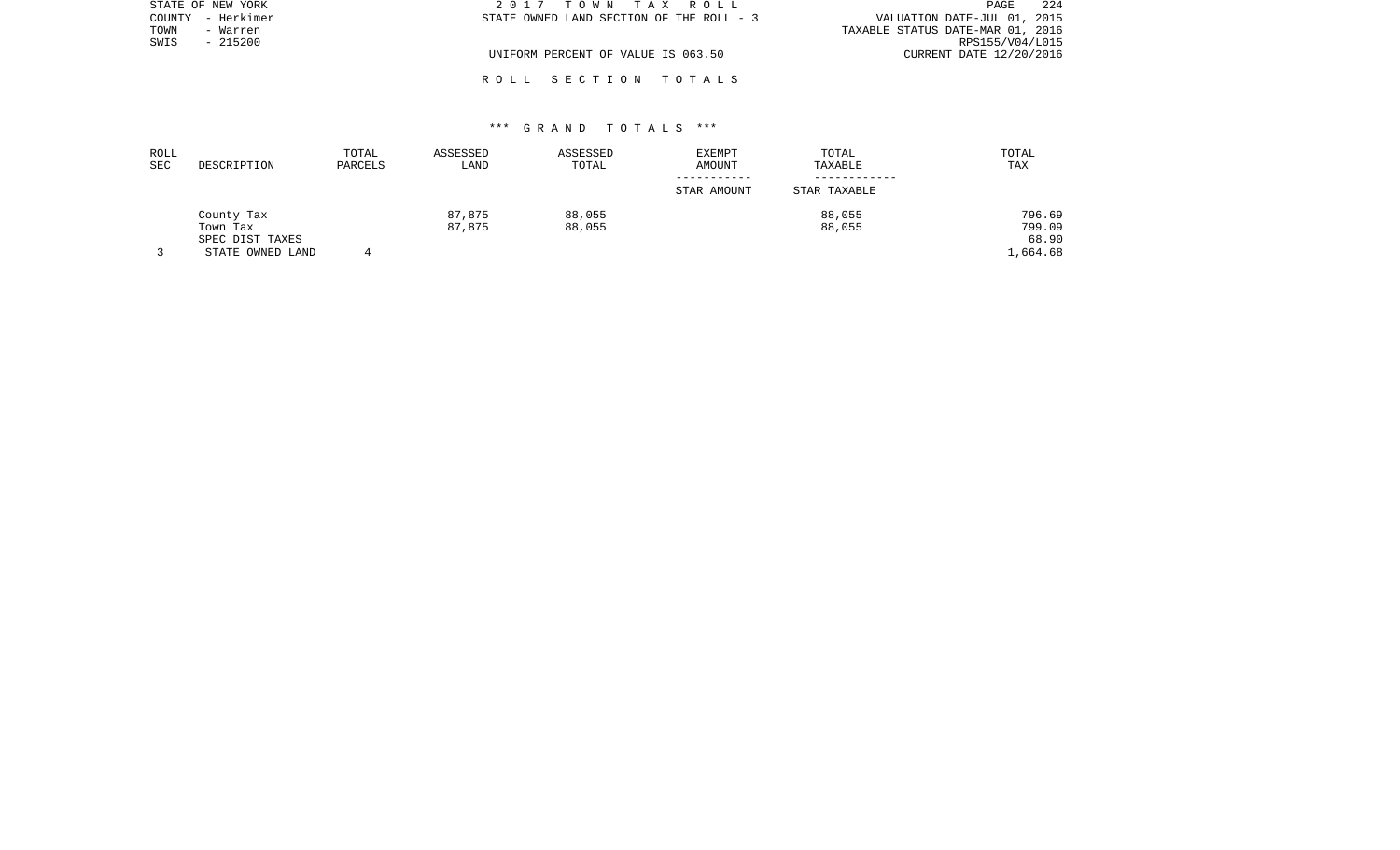| STATE OF NEW YORK |           | 2017 TOWN TAX ROLL                       | 224<br>PAGE                      |
|-------------------|-----------|------------------------------------------|----------------------------------|
| COUNTY - Herkimer |           | STATE OWNED LAND SECTION OF THE ROLL - 3 | VALUATION DATE-JUL 01, 2015      |
| TOWN              | - Warren  |                                          | TAXABLE STATUS DATE-MAR 01, 2016 |
| SWIS              | $-215200$ |                                          | RPS155/V04/L015                  |
|                   |           | UNIFORM PERCENT OF VALUE IS 063.50       | CURRENT DATE 12/20/2016          |
|                   |           |                                          |                                  |

# \*\*\* G R A N D T O T A L S \*\*\*

R O L L S E C T I O N T O T A L S

| ROLL<br><b>SEC</b> | DESCRIPTION      | TOTAL<br>PARCELS | ASSESSED<br>LAND | ASSESSED<br>TOTAL | <b>EXEMPT</b><br>AMOUNT | TOTAL<br>TAXABLE | TOTAL<br>TAX |
|--------------------|------------------|------------------|------------------|-------------------|-------------------------|------------------|--------------|
|                    |                  |                  |                  |                   | STAR AMOUNT             | STAR TAXABLE     |              |
|                    | County Tax       |                  | 87,875           | 88,055            |                         | 88,055           | 796.69       |
|                    | Town Tax         |                  | 87,875           | 88,055            |                         | 88,055           | 799.09       |
|                    | SPEC DIST TAXES  |                  |                  |                   |                         |                  | 68.90        |
|                    | STATE OWNED LAND |                  |                  |                   |                         |                  | .,664.68     |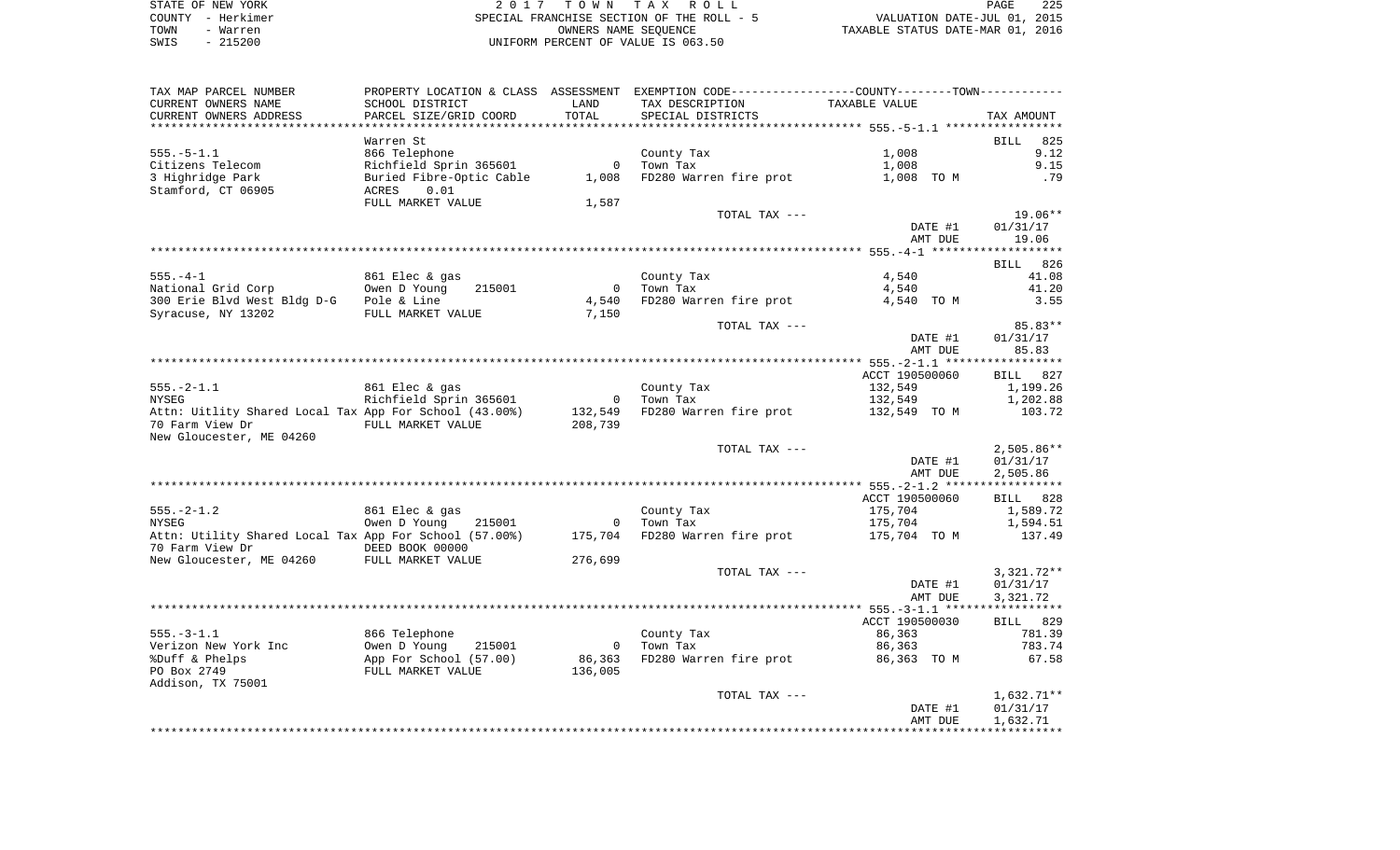|      | STATE OF NEW YORK | 2017 TOWN TAX ROLL                        | PAGE                             | 225 |
|------|-------------------|-------------------------------------------|----------------------------------|-----|
|      | COUNTY - Herkimer | SPECIAL FRANCHISE SECTION OF THE ROLL - 5 | VALUATION DATE-JUL 01, 2015      |     |
| TOWN | - Warren          | OWNERS NAME SEOUENCE                      | TAXABLE STATUS DATE-MAR 01, 2016 |     |
| SWIS | $-215200$         | UNIFORM PERCENT OF VALUE IS 063.50        |                                  |     |

| TAX MAP PARCEL NUMBER                                  |                          |                | PROPERTY LOCATION & CLASS ASSESSMENT EXEMPTION CODE----------------COUNTY-------TOWN---------- |                |                         |
|--------------------------------------------------------|--------------------------|----------------|------------------------------------------------------------------------------------------------|----------------|-------------------------|
| CURRENT OWNERS NAME                                    | SCHOOL DISTRICT          | LAND           | TAX DESCRIPTION                                                                                | TAXABLE VALUE  |                         |
| CURRENT OWNERS ADDRESS                                 | PARCEL SIZE/GRID COORD   | TOTAL          | SPECIAL DISTRICTS                                                                              |                | TAX AMOUNT              |
|                                                        |                          |                |                                                                                                |                |                         |
|                                                        | Warren St                |                |                                                                                                |                | 825<br><b>BILL</b>      |
| $555. - 5 - 1.1$                                       | 866 Telephone            |                | County Tax                                                                                     | 1,008          | 9.12                    |
| Citizens Telecom                                       | Richfield Sprin 365601   | $\mathbf 0$    | Town Tax                                                                                       | 1,008          | 9.15                    |
| 3 Highridge Park                                       | Buried Fibre-Optic Cable | 1,008          | FD280 Warren fire prot                                                                         | 1,008 TO M     | .79                     |
| Stamford, CT 06905                                     | ACRES<br>0.01            |                |                                                                                                |                |                         |
|                                                        | FULL MARKET VALUE        | 1,587          |                                                                                                |                | 19.06**                 |
|                                                        |                          |                | TOTAL TAX ---                                                                                  | DATE #1        | 01/31/17                |
|                                                        |                          |                |                                                                                                |                |                         |
|                                                        |                          |                |                                                                                                | AMT DUE        | 19.06                   |
|                                                        |                          |                |                                                                                                |                | BILL 826                |
| $555. - 4 - 1$                                         | 861 Elec & gas           |                | County Tax                                                                                     | 4,540          | 41.08                   |
| National Grid Corp                                     | Owen D Young<br>215001   | $\overline{0}$ | Town Tax                                                                                       | 4,540          | 41.20                   |
| 300 Erie Blvd West Bldg D-G Pole & Line                |                          | 4,540          | FD280 Warren fire prot                                                                         | 4,540 TO M     | 3.55                    |
| Syracuse, NY 13202                                     | FULL MARKET VALUE        | 7,150          |                                                                                                |                |                         |
|                                                        |                          |                | TOTAL TAX ---                                                                                  |                | 85.83**                 |
|                                                        |                          |                |                                                                                                | DATE #1        | 01/31/17                |
|                                                        |                          |                |                                                                                                | AMT DUE        | 85.83                   |
|                                                        |                          |                |                                                                                                |                |                         |
|                                                        |                          |                |                                                                                                | ACCT 190500060 | BILL 827                |
| $555. - 2 - 1.1$                                       | 861 Elec & gas           |                | County Tax                                                                                     | 132,549        | 1,199.26                |
| <b>NYSEG</b>                                           | Richfield Sprin 365601   | $\overline{0}$ | Town Tax                                                                                       | 132,549        | 1,202.88                |
| Attn: Uitlity Shared Local Tax App For School (43.00%) |                          | 132,549        | FD280 Warren fire prot                                                                         | 132,549 TO M   | 103.72                  |
| 70 Farm View Dr                                        | FULL MARKET VALUE        | 208,739        |                                                                                                |                |                         |
| New Gloucester, ME 04260                               |                          |                |                                                                                                |                |                         |
|                                                        |                          |                | TOTAL TAX ---                                                                                  |                | $2,505.86**$            |
|                                                        |                          |                |                                                                                                | DATE #1        | 01/31/17                |
|                                                        |                          |                |                                                                                                | AMT DUE        | 2,505.86                |
|                                                        |                          |                |                                                                                                |                | * * * * * * * * * * * * |
|                                                        |                          |                |                                                                                                | ACCT 190500060 | BILL 828                |
| $555. - 2 - 1.2$                                       | 861 Elec & gas           |                | County Tax                                                                                     | 175,704        | 1,589.72                |
| <b>NYSEG</b>                                           | Owen D Young<br>215001   | $\overline{0}$ | Town Tax                                                                                       | 175,704        | 1,594.51                |
| Attn: Utility Shared Local Tax App For School (57.00%) |                          | 175,704        | FD280 Warren fire prot                                                                         | 175,704 TO M   | 137.49                  |
| 70 Farm View Dr                                        | DEED BOOK 00000          |                |                                                                                                |                |                         |
| New Gloucester, ME 04260 FULL MARKET VALUE             |                          | 276,699        |                                                                                                |                |                         |
|                                                        |                          |                | TOTAL TAX ---                                                                                  |                | $3,321.72**$            |
|                                                        |                          |                |                                                                                                | DATE #1        | 01/31/17                |
|                                                        |                          |                |                                                                                                | AMT DUE        | 3,321.72                |
|                                                        |                          |                |                                                                                                |                | * * * * * * * * * * * * |
|                                                        |                          |                |                                                                                                | ACCT 190500030 | BILL 829                |
| $555. - 3 - 1.1$                                       | 866 Telephone            |                | County Tax                                                                                     | 86,363         | 781.39                  |
| Verizon New York Inc                                   | Owen D Young<br>215001   | $\overline{0}$ | Town Tax                                                                                       | 86,363         | 783.74                  |
| %Duff & Phelps                                         | App For School (57.00)   | 86,363         | FD280 Warren fire prot                                                                         | 86,363 TO M    | 67.58                   |
| PO Box 2749                                            | FULL MARKET VALUE        | 136,005        |                                                                                                |                |                         |
| Addison, TX 75001                                      |                          |                |                                                                                                |                |                         |
|                                                        |                          |                | TOTAL TAX ---                                                                                  |                | $1,632.71**$            |
|                                                        |                          |                |                                                                                                | DATE #1        | 01/31/17                |
|                                                        |                          |                |                                                                                                | AMT DUE        | 1,632.71                |
|                                                        |                          |                |                                                                                                |                |                         |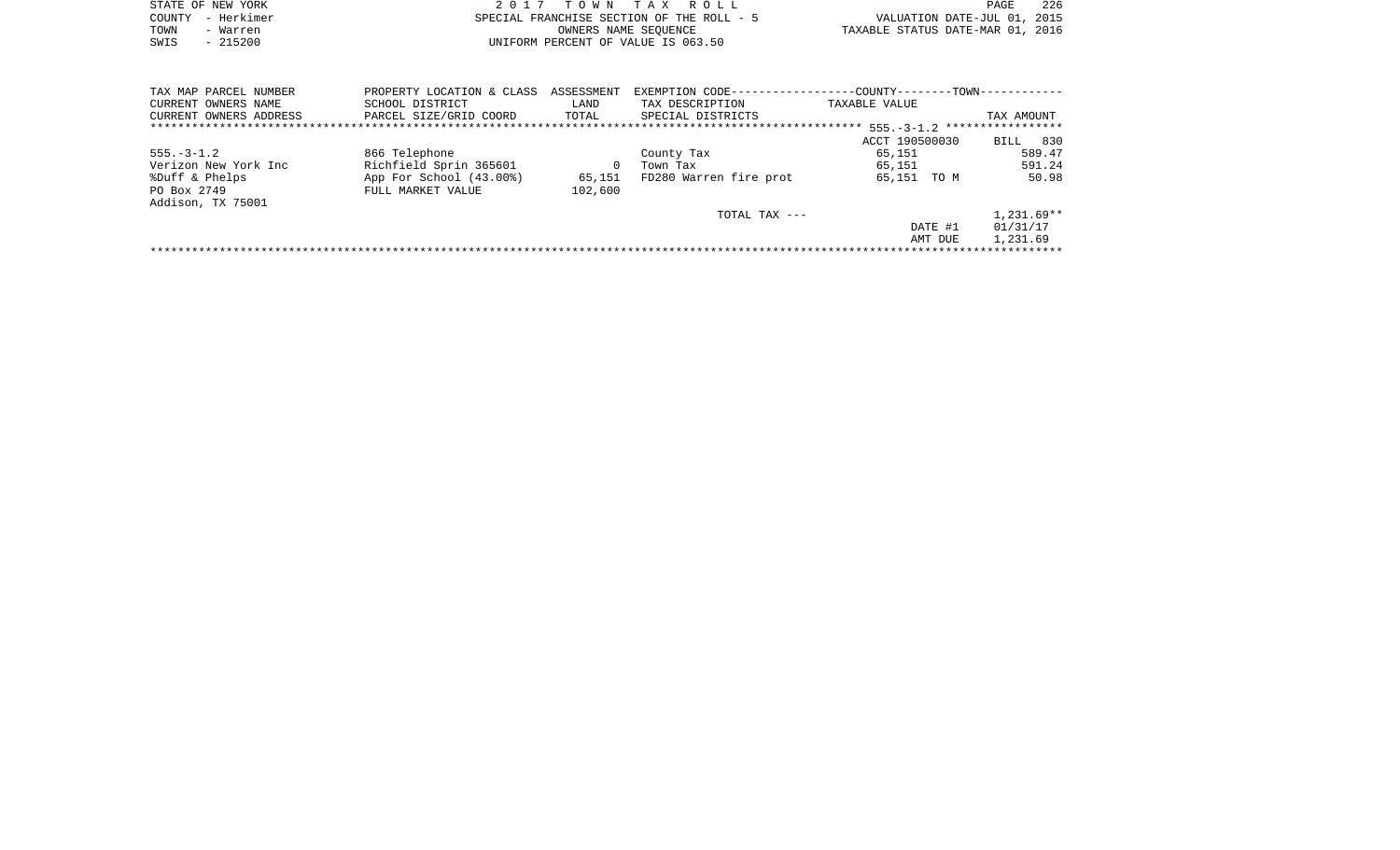|      | STATE OF NEW YORK | 2017 TOWN TAX ROLL                        | -226<br><b>PAGE</b>              |
|------|-------------------|-------------------------------------------|----------------------------------|
|      | COUNTY - Herkimer | SPECIAL FRANCHISE SECTION OF THE ROLL - 5 | VALUATION DATE-JUL 01, 2015      |
| TOWN | - Warren          | OWNERS NAME SEOUENCE                      | TAXABLE STATUS DATE-MAR 01, 2016 |
| SWIS | $-215200$         | UNIFORM PERCENT OF VALUE IS 063.50        |                                  |

| TAX MAP PARCEL NUMBER  | PROPERTY LOCATION & CLASS | ASSESSMENT | EXEMPTION CODE--       | -COUNTY--------TOWN------------ |              |
|------------------------|---------------------------|------------|------------------------|---------------------------------|--------------|
| CURRENT OWNERS NAME    | SCHOOL DISTRICT           | LAND       | TAX DESCRIPTION        | TAXABLE VALUE                   |              |
| CURRENT OWNERS ADDRESS | PARCEL SIZE/GRID COORD    | TOTAL      | SPECIAL DISTRICTS      |                                 | TAX AMOUNT   |
|                        |                           |            |                        |                                 |              |
|                        |                           |            |                        | ACCT 190500030                  | 830<br>BILL  |
| $555. - 3 - 1.2$       | 866 Telephone             |            | County Tax             | 65,151                          | 589.47       |
| Verizon New York Inc   | Richfield Sprin 365601    |            | Town Tax               | 65,151                          | 591.24       |
| %Duff & Phelps         | App For School (43.00%)   | 65,151     | FD280 Warren fire prot | 65,151 TO M                     | 50.98        |
| PO Box 2749            | FULL MARKET VALUE         | 102,600    |                        |                                 |              |
| Addison, TX 75001      |                           |            |                        |                                 |              |
|                        |                           |            | TOTAL TAX ---          |                                 | $1,231.69**$ |
|                        |                           |            |                        | DATE #1                         | 01/31/17     |
|                        |                           |            |                        | AMT DUE                         | 1,231.69     |
|                        |                           |            |                        |                                 |              |
|                        |                           |            |                        |                                 |              |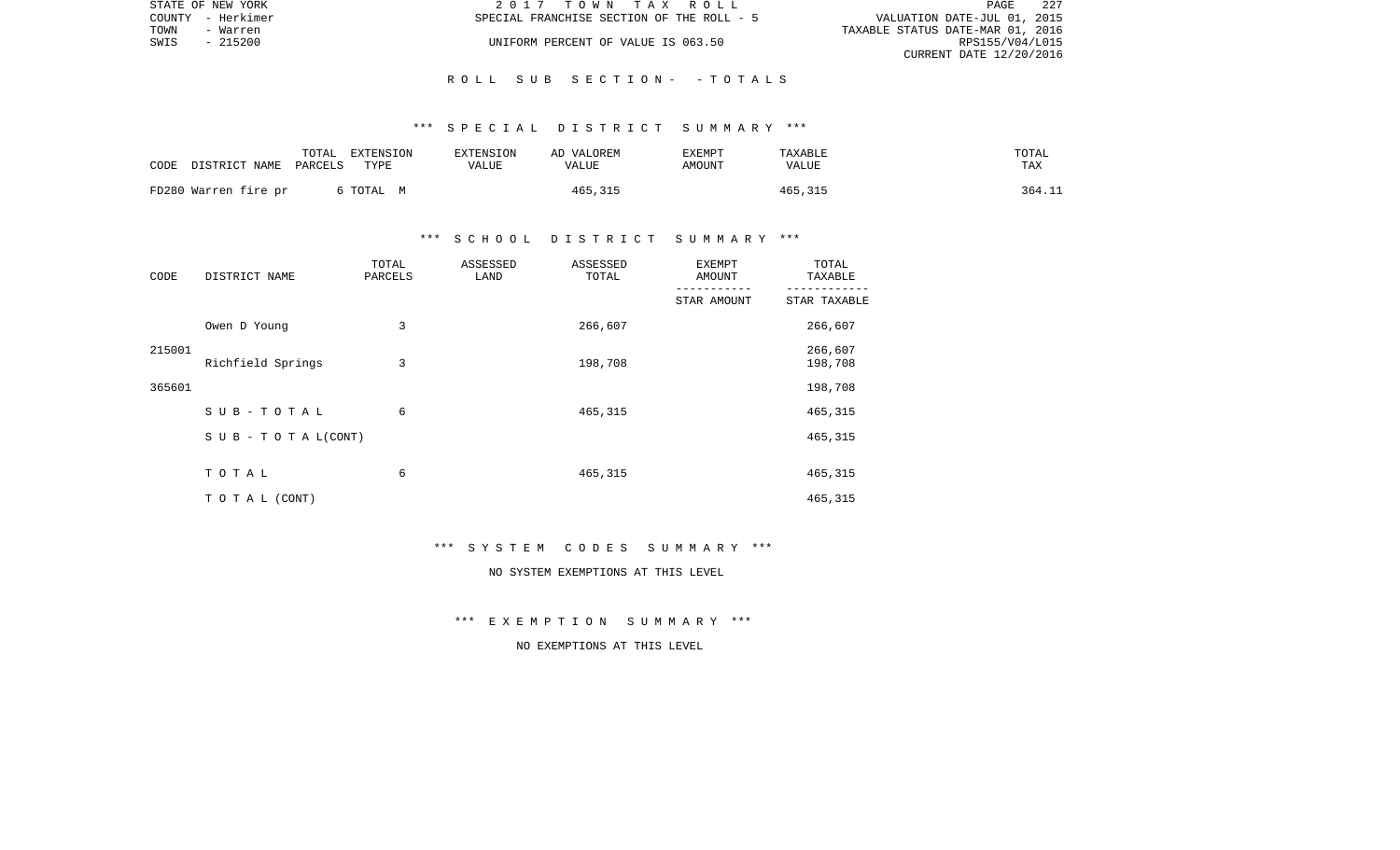|      | STATE OF NEW YORK | 2017 TOWN TAX ROLL                        | -227<br>PAGE                     |
|------|-------------------|-------------------------------------------|----------------------------------|
|      | COUNTY - Herkimer | SPECIAL FRANCHISE SECTION OF THE ROLL - 5 | VALUATION DATE-JUL 01, 2015      |
| TOWN | - Warren          |                                           | TAXABLE STATUS DATE-MAR 01, 2016 |
| SWIS | - 215200          | UNIFORM PERCENT OF VALUE IS 063.50        | RPS155/V04/L015                  |
|      |                   |                                           | CURRENT DATE 12/20/2016          |

### \*\*\* S P E C I A L D I S T R I C T S U M M A R Y \*\*\*

| CODE | DISTRICT NAME PARCELS | TOTAL | EXTENSION<br>TYPE | EXTENSION<br>VALUE | AD VALOREM<br>VALUE | EXEMPT<br>AMOUNT | TAXABLE<br>VALUE | TOTAL<br>TAX |
|------|-----------------------|-------|-------------------|--------------------|---------------------|------------------|------------------|--------------|
|      | FD280 Warren fire pr  |       | 6 TOTAL M         |                    | 465,315             |                  | 465,315          | 364.11       |

# \*\*\* S C H O O L D I S T R I C T S U M M A R Y \*\*\*

| CODE   | DISTRICT NAME                    | TOTAL<br>PARCELS | ASSESSED<br>LAND | ASSESSED<br>TOTAL | <b>EXEMPT</b><br>AMOUNT | TOTAL<br>TAXABLE   |
|--------|----------------------------------|------------------|------------------|-------------------|-------------------------|--------------------|
|        |                                  |                  |                  |                   | STAR AMOUNT             | STAR TAXABLE       |
|        | Owen D Young                     | 3                |                  | 266,607           |                         | 266,607            |
| 215001 | Richfield Springs                | 3                |                  | 198,708           |                         | 266,607<br>198,708 |
| 365601 |                                  |                  |                  |                   |                         | 198,708            |
|        | $SUB - TO T AL$                  | 6                |                  | 465,315           |                         | 465,315            |
|        | $S \cup B - T \cup T A L (CONT)$ |                  |                  |                   |                         | 465,315            |
|        | TOTAL                            | 6                |                  | 465,315           |                         | 465,315            |
|        | TO TAL (CONT)                    |                  |                  |                   |                         | 465,315            |

#### \*\*\* S Y S T E M C O D E S S U M M A R Y \*\*\*

# NO SYSTEM EXEMPTIONS AT THIS LEVEL

\*\*\* E X E M P T I O N S U M M A R Y \*\*\*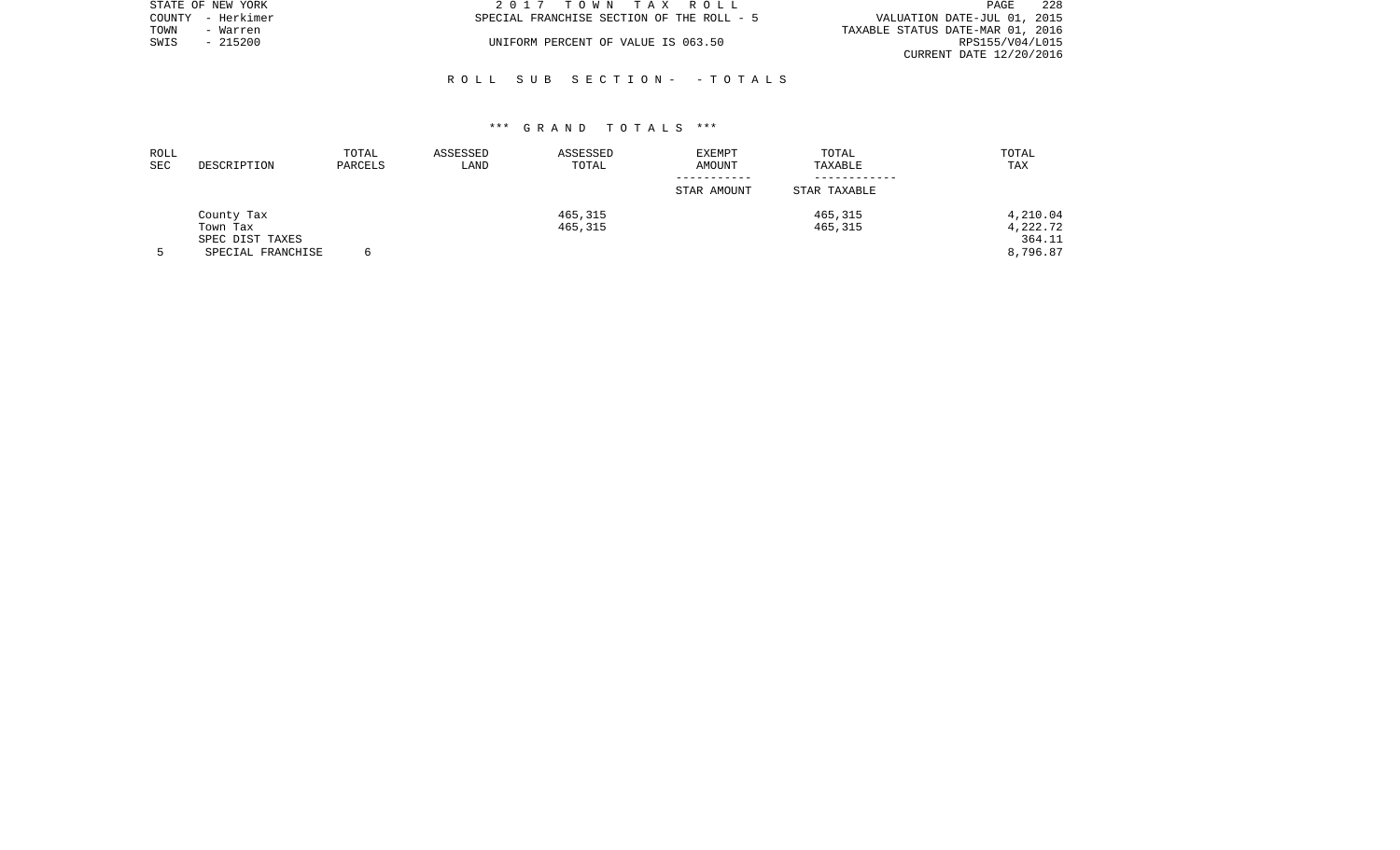|      | STATE OF NEW YORK | 2017 TOWN TAX ROLL                        | - 228<br>PAGE                    |
|------|-------------------|-------------------------------------------|----------------------------------|
|      | COUNTY - Herkimer | SPECIAL FRANCHISE SECTION OF THE ROLL - 5 | VALUATION DATE-JUL 01, 2015      |
| TOWN | - Warren          |                                           | TAXABLE STATUS DATE-MAR 01, 2016 |
| SWIS | - 215200          | UNIFORM PERCENT OF VALUE IS 063.50        | RPS155/V04/L015                  |
|      |                   |                                           | CURRENT DATE 12/20/2016          |

| ROLL<br>SEC | DESCRIPTION       | TOTAL<br>PARCELS | ASSESSED<br>LAND | ASSESSED<br>TOTAL | <b>EXEMPT</b><br>AMOUNT | TOTAL<br>TAXABLE | TOTAL<br>TAX |
|-------------|-------------------|------------------|------------------|-------------------|-------------------------|------------------|--------------|
|             |                   |                  |                  |                   | -----------             |                  |              |
|             |                   |                  |                  |                   | STAR AMOUNT             | STAR TAXABLE     |              |
|             | County Tax        |                  |                  | 465,315           |                         | 465,315          | 4,210.04     |
|             | Town Tax          |                  |                  | 465,315           |                         | 465,315          | 4,222.72     |
|             | SPEC DIST TAXES   |                  |                  |                   |                         |                  | 364.11       |
|             | SPECIAL FRANCHISE |                  |                  |                   |                         |                  | 8,796.87     |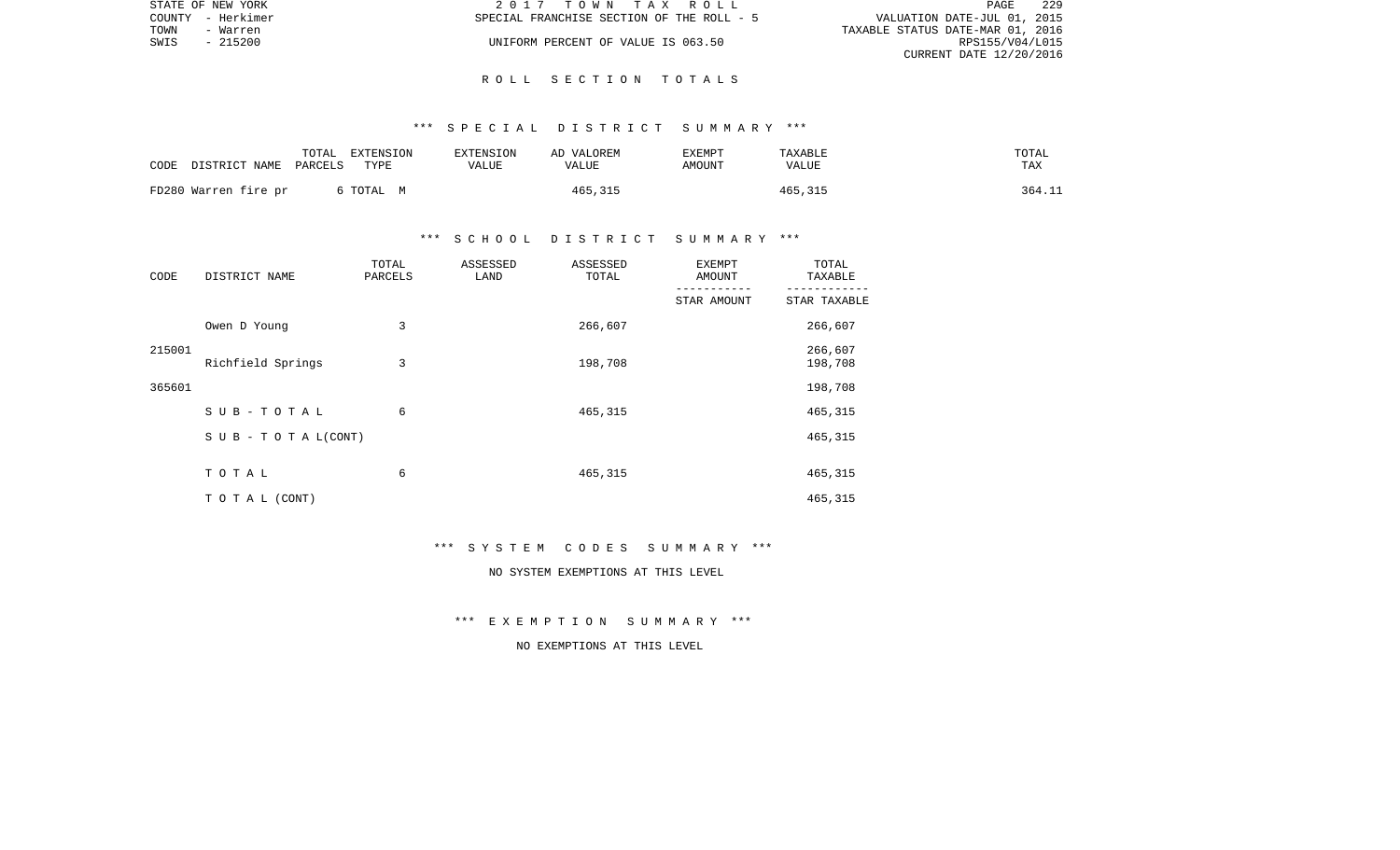|      | STATE OF NEW YORK | 2017 TOWN TAX ROLL                        | 229<br><b>PAGE</b>               |
|------|-------------------|-------------------------------------------|----------------------------------|
|      | COUNTY - Herkimer | SPECIAL FRANCHISE SECTION OF THE ROLL - 5 | VALUATION DATE-JUL 01, 2015      |
| TOWN | - Warren          |                                           | TAXABLE STATUS DATE-MAR 01, 2016 |
| SWIS | - 215200          | UNIFORM PERCENT OF VALUE IS 063.50        | RPS155/V04/L015                  |
|      |                   |                                           | CURRENT DATE 12/20/2016          |

## \*\*\* S P E C I A L D I S T R I C T S U M M A R Y \*\*\*

| CODE | DISTRICT NAME PARCELS | TOTAL | EXTENSION<br>TYPE | EXTENSION<br><b>VALUE</b> | AD VALOREM<br>VALUE | EXEMPT<br>AMOUNT | TAXABLE<br>VALUE | TOTAL<br>TAX |
|------|-----------------------|-------|-------------------|---------------------------|---------------------|------------------|------------------|--------------|
|      | FD280 Warren fire pr  |       | 6 ТОТАL М         |                           | 465,315             |                  | 465,315          | 364.11       |

# \*\*\* S C H O O L D I S T R I C T S U M M A R Y \*\*\*

| CODE   | DISTRICT NAME                    | TOTAL<br>PARCELS | ASSESSED<br>LAND | ASSESSED<br>TOTAL | <b>EXEMPT</b><br>AMOUNT | TOTAL<br>TAXABLE   |
|--------|----------------------------------|------------------|------------------|-------------------|-------------------------|--------------------|
|        |                                  |                  |                  |                   | STAR AMOUNT             | STAR TAXABLE       |
|        | Owen D Young                     | 3                |                  | 266,607           |                         | 266,607            |
| 215001 | Richfield Springs                | 3                |                  | 198,708           |                         | 266,607<br>198,708 |
| 365601 |                                  |                  |                  |                   |                         | 198,708            |
|        | SUB-TOTAL                        | 6                |                  | 465,315           |                         | 465,315            |
|        | $S \cup B - T \cup T A L (CONT)$ |                  |                  |                   |                         | 465,315            |
|        | TOTAL                            | 6                |                  | 465,315           |                         | 465,315            |
|        | TO TAL (CONT)                    |                  |                  |                   |                         | 465,315            |

#### \*\*\* S Y S T E M C O D E S S U M M A R Y \*\*\*

# NO SYSTEM EXEMPTIONS AT THIS LEVEL

\*\*\* E X E M P T I O N S U M M A R Y \*\*\*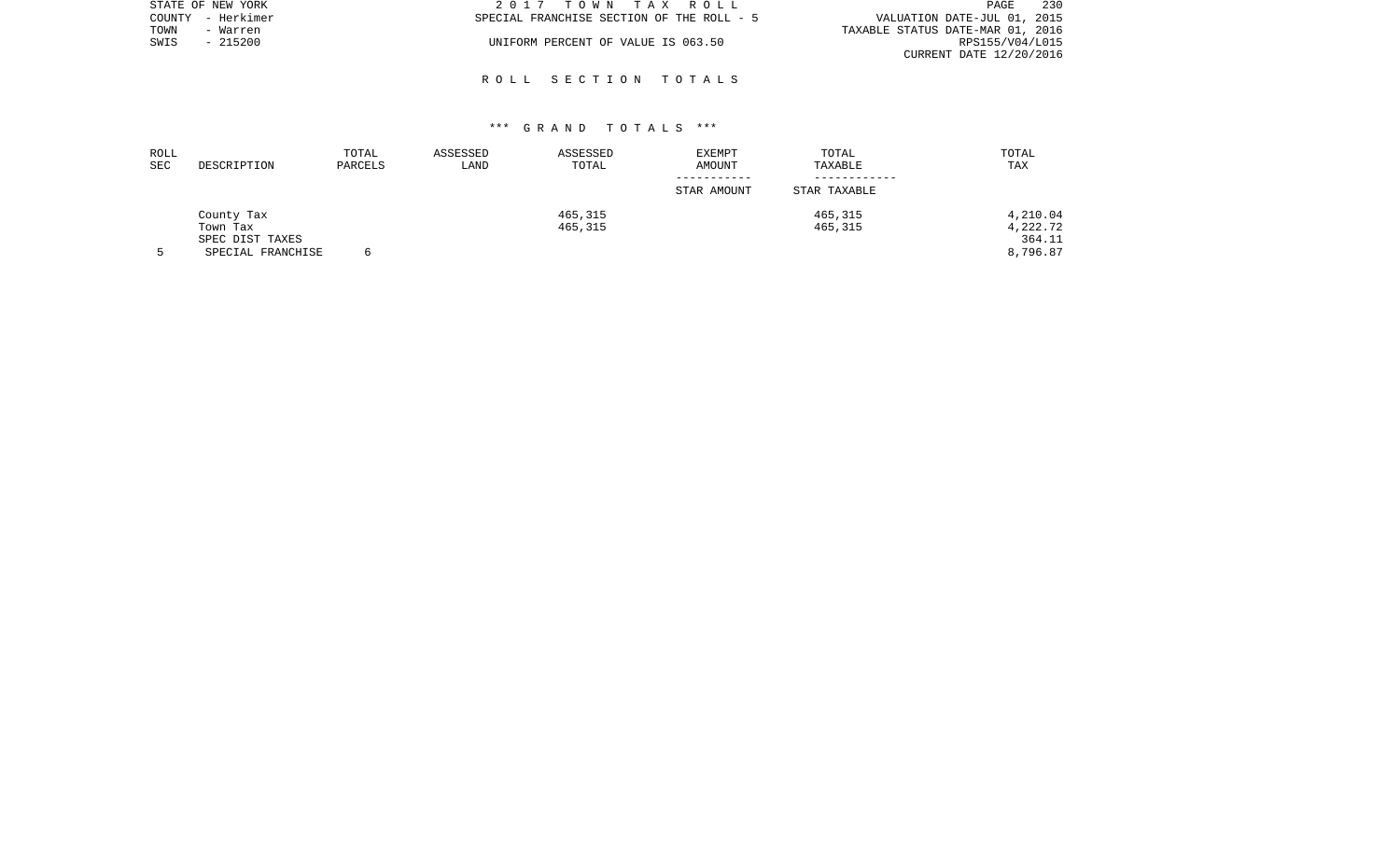| STATE OF NEW YORK |                   | 2017 TOWN TAX ROLL                        | 230<br>PAGE                      |
|-------------------|-------------------|-------------------------------------------|----------------------------------|
|                   | COUNTY - Herkimer | SPECIAL FRANCHISE SECTION OF THE ROLL - 5 | VALUATION DATE-JUL 01, 2015      |
| TOWN              | - Warren          |                                           | TAXABLE STATUS DATE-MAR 01, 2016 |
| SWIS              | - 215200          | UNIFORM PERCENT OF VALUE IS 063.50        | RPS155/V04/L015                  |
|                   |                   |                                           | CURRENT DATE 12/20/2016          |

| ROLL<br><b>SEC</b> | DESCRIPTION       | TOTAL<br>PARCELS | ASSESSED<br>LAND | ASSESSED<br>TOTAL | EXEMPT<br>AMOUNT | TOTAL<br>TAXABLE | TOTAL<br>TAX |
|--------------------|-------------------|------------------|------------------|-------------------|------------------|------------------|--------------|
|                    |                   |                  |                  |                   | STAR AMOUNT      | STAR TAXABLE     |              |
|                    | County Tax        |                  |                  | 465,315           |                  | 465,315          | 4,210.04     |
|                    | Town Tax          |                  |                  | 465,315           |                  | 465,315          | 4,222.72     |
|                    | SPEC DIST TAXES   |                  |                  |                   |                  |                  | 364.11       |
|                    | SPECIAL FRANCHISE |                  |                  |                   |                  |                  | 8,796.87     |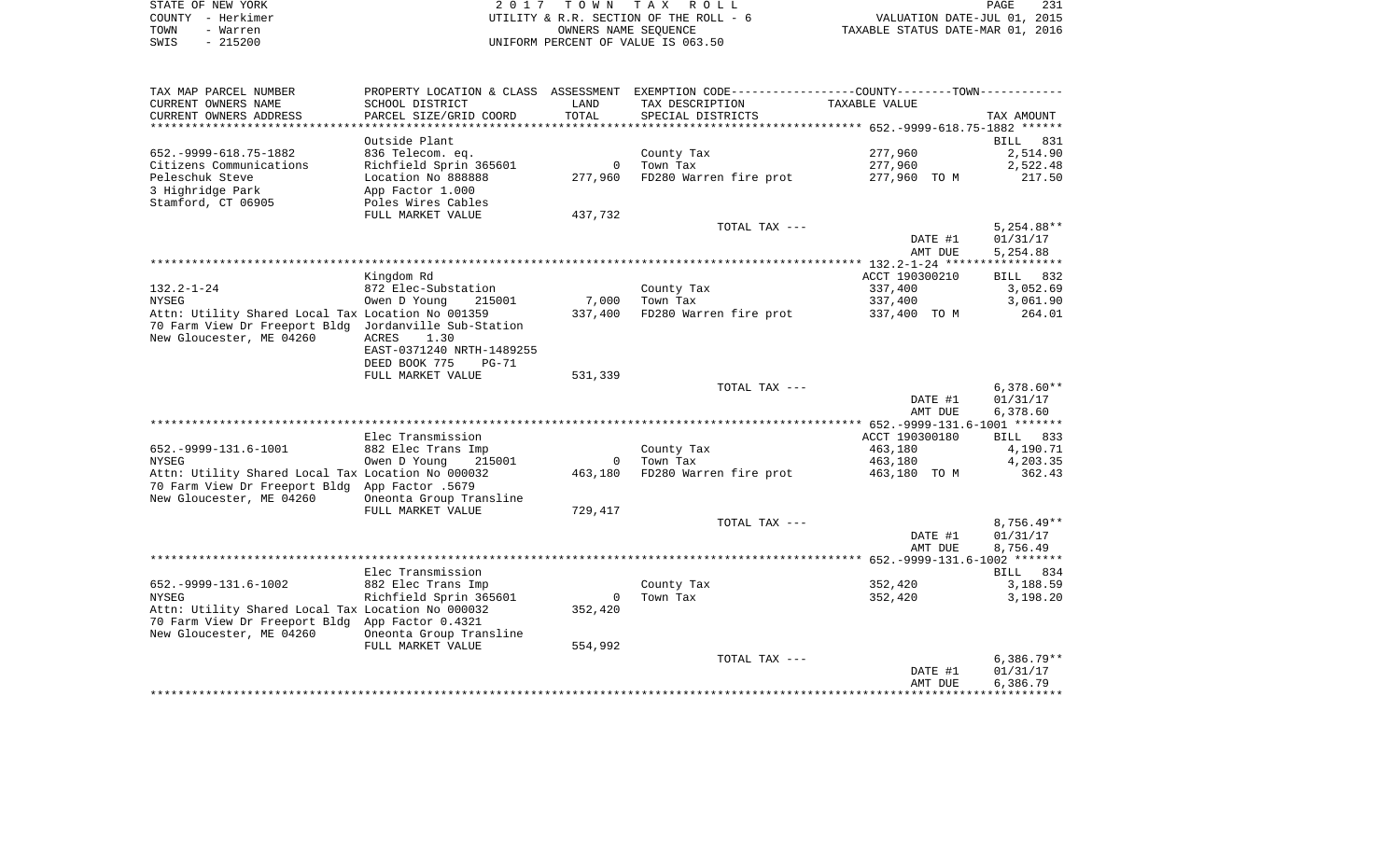| STATE OF NEW YORK | 2017 TOWN TAX ROLL                     | 231<br>PAGE                      |
|-------------------|----------------------------------------|----------------------------------|
| COUNTY - Herkimer | UTILITY & R.R. SECTION OF THE ROLL - 6 | VALUATION DATE-JUL 01, 2015      |
| TOWN<br>- Warren  | OWNERS NAME SEOUENCE                   | TAXABLE STATUS DATE-MAR 01, 2016 |
| - 215200<br>SWIS  | UNIFORM PERCENT OF VALUE IS 063.50     |                                  |

| TAX MAP PARCEL NUMBER                                                      | PROPERTY LOCATION & CLASS ASSESSMENT EXEMPTION CODE---------------COUNTY-------TOWN---------- |                |                        |                    |                      |
|----------------------------------------------------------------------------|-----------------------------------------------------------------------------------------------|----------------|------------------------|--------------------|----------------------|
| CURRENT OWNERS NAME                                                        | SCHOOL DISTRICT                                                                               | LAND           | TAX DESCRIPTION        | TAXABLE VALUE      |                      |
| CURRENT OWNERS ADDRESS                                                     | PARCEL SIZE/GRID COORD                                                                        | TOTAL          | SPECIAL DISTRICTS      |                    | TAX AMOUNT           |
| ********************                                                       |                                                                                               | *************  |                        |                    |                      |
|                                                                            | Outside Plant                                                                                 |                |                        |                    | 831<br>BILL          |
| 652. - 9999 - 618. 75 - 1882                                               | 836 Telecom. eq.                                                                              |                | County Tax             | 277,960            | 2,514.90             |
| Citizens Communications                                                    | Richfield Sprin 365601                                                                        | $\Omega$       | Town Tax               | 277,960            | 2,522.48             |
| Peleschuk Steve                                                            | Location No 888888                                                                            | 277,960        | FD280 Warren fire prot | 277,960 TO M       | 217.50               |
| 3 Highridge Park                                                           | App Factor 1.000                                                                              |                |                        |                    |                      |
| Stamford, CT 06905                                                         | Poles Wires Cables                                                                            |                |                        |                    |                      |
|                                                                            | FULL MARKET VALUE                                                                             | 437,732        |                        |                    |                      |
|                                                                            |                                                                                               |                | TOTAL TAX ---          |                    | $5,254.88**$         |
|                                                                            |                                                                                               |                |                        | DATE #1<br>AMT DUE | 01/31/17<br>5,254.88 |
|                                                                            |                                                                                               |                |                        |                    |                      |
|                                                                            | Kingdom Rd                                                                                    |                |                        | ACCT 190300210     | 832<br>BILL          |
| $132.2 - 1 - 24$                                                           | 872 Elec-Substation                                                                           |                | County Tax             | 337,400            | 3,052.69             |
| NYSEG                                                                      | Owen D Young<br>215001                                                                        | 7,000          | Town Tax               | 337,400            | 3,061.90             |
| Attn: Utility Shared Local Tax Location No 001359                          |                                                                                               | 337,400        | FD280 Warren fire prot | 337,400 TO M       | 264.01               |
| 70 Farm View Dr Freeport Bldg Jordanville Sub-Station                      |                                                                                               |                |                        |                    |                      |
| New Gloucester, ME 04260                                                   | ACRES<br>1.30                                                                                 |                |                        |                    |                      |
|                                                                            | EAST-0371240 NRTH-1489255                                                                     |                |                        |                    |                      |
|                                                                            | DEED BOOK 775<br>PG-71                                                                        |                |                        |                    |                      |
|                                                                            | FULL MARKET VALUE                                                                             | 531,339        |                        |                    |                      |
|                                                                            |                                                                                               |                | TOTAL TAX ---          |                    | $6,378.60**$         |
|                                                                            |                                                                                               |                |                        | DATE #1            | 01/31/17             |
|                                                                            |                                                                                               |                |                        | AMT DUE            | 6,378.60             |
|                                                                            |                                                                                               |                |                        |                    |                      |
|                                                                            | Elec Transmission                                                                             |                |                        | ACCT 190300180     | BILL 833             |
| 652. - 9999-131. 6-1001                                                    | 882 Elec Trans Imp                                                                            |                | County Tax             | 463,180            | 4,190.71             |
| NYSEG                                                                      | Owen D Young<br>215001                                                                        | $\circ$        | Town Tax               | 463,180            | 4,203.35             |
| Attn: Utility Shared Local Tax Location No 000032                          |                                                                                               | 463,180        | FD280 Warren fire prot | 463,180 TO M       | 362.43               |
| 70 Farm View Dr Freeport Bldg App Factor .5679<br>New Gloucester, ME 04260 | Oneonta Group Transline                                                                       |                |                        |                    |                      |
|                                                                            | FULL MARKET VALUE                                                                             | 729,417        |                        |                    |                      |
|                                                                            |                                                                                               |                | TOTAL TAX ---          |                    | $8,756.49**$         |
|                                                                            |                                                                                               |                |                        | DATE #1            | 01/31/17             |
|                                                                            |                                                                                               |                |                        | AMT DUE            | 8,756.49             |
|                                                                            |                                                                                               |                |                        |                    |                      |
|                                                                            | Elec Transmission                                                                             |                |                        |                    | BILL 834             |
| 652. - 9999 - 131. 6 - 1002                                                | 882 Elec Trans Imp                                                                            |                | County Tax             | 352,420            | 3,188.59             |
| NYSEG                                                                      | Richfield Sprin 365601                                                                        | $\overline{0}$ | Town Tax               | 352,420            | 3,198.20             |
| Attn: Utility Shared Local Tax Location No 000032                          |                                                                                               | 352,420        |                        |                    |                      |
| 70 Farm View Dr Freeport Bldg App Factor 0.4321                            |                                                                                               |                |                        |                    |                      |
| New Gloucester, ME 04260                                                   | Oneonta Group Transline                                                                       |                |                        |                    |                      |
|                                                                            | FULL MARKET VALUE                                                                             | 554,992        |                        |                    |                      |
|                                                                            |                                                                                               |                | TOTAL TAX ---          |                    | $6,386.79**$         |
|                                                                            |                                                                                               |                |                        | DATE #1            | 01/31/17             |
|                                                                            |                                                                                               |                |                        | AMT DUE            | 6,386.79             |
|                                                                            |                                                                                               |                |                        |                    |                      |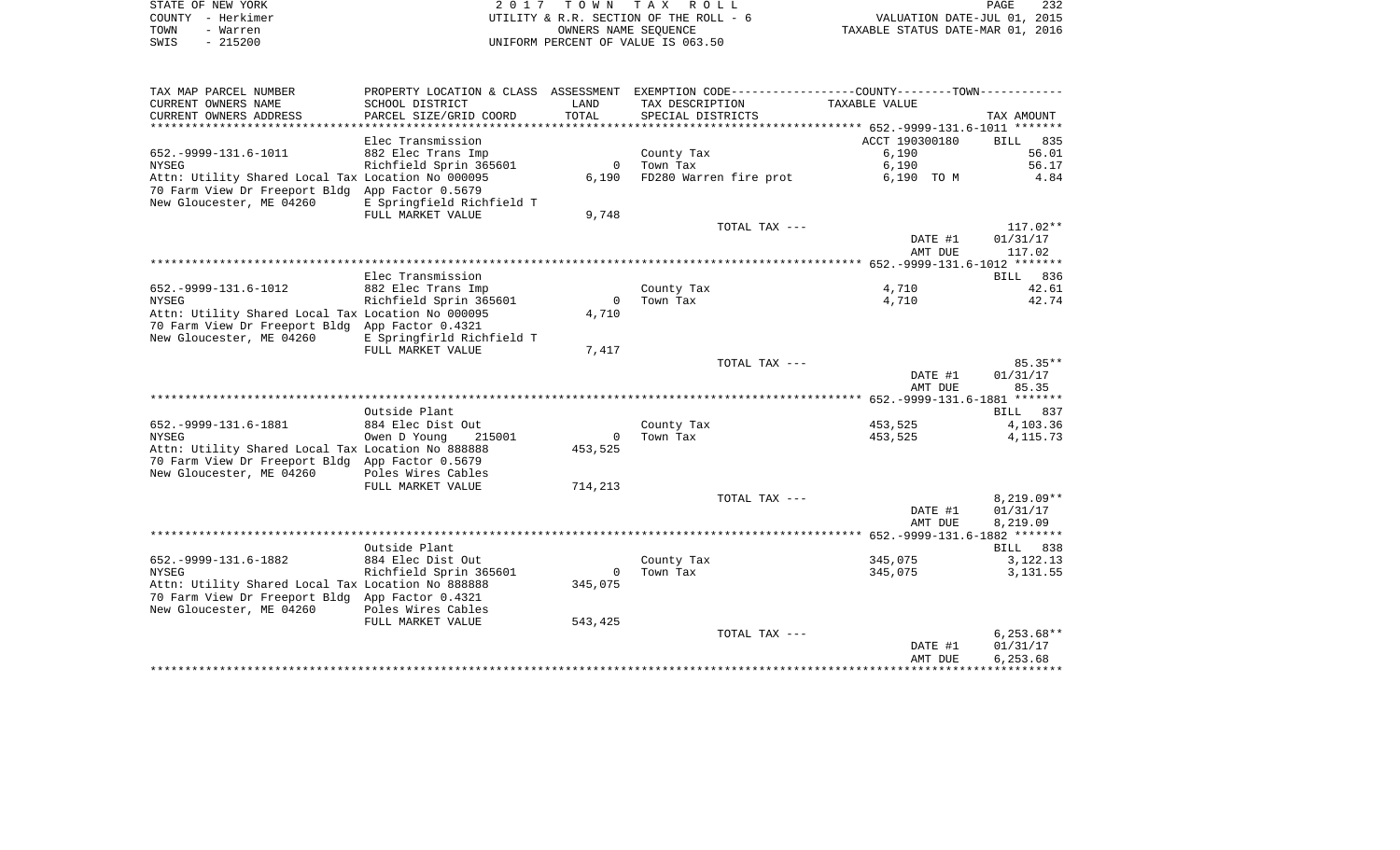|      | STATE OF NEW YORK | 2017 TOWN TAX ROLL                     | 232<br>PAGE                      |
|------|-------------------|----------------------------------------|----------------------------------|
|      | COUNTY - Herkimer | UTILITY & R.R. SECTION OF THE ROLL - 6 | VALUATION DATE-JUL 01, 2015      |
| TOWN | - Warren          | OWNERS NAME SEOUENCE                   | TAXABLE STATUS DATE-MAR 01, 2016 |
| SWIS | $-215200$         | UNIFORM PERCENT OF VALUE IS 063.50     |                                  |
|      |                   |                                        |                                  |
|      |                   |                                        |                                  |
|      |                   |                                        |                                  |

TAX MAP PARCEL NUMBER PROPERTY LOCATION & CLASS ASSESSMENT EXEMPTION CODE------------------COUNTY--------TOWN------------

| CURRENT OWNERS NAME                               | SCHOOL DISTRICT           | LAND         | TAX DESCRIPTION        | TAXABLE VALUE      |                      |
|---------------------------------------------------|---------------------------|--------------|------------------------|--------------------|----------------------|
| CURRENT OWNERS ADDRESS                            | PARCEL SIZE/GRID COORD    | TOTAL        | SPECIAL DISTRICTS      |                    | TAX AMOUNT           |
| **********************                            |                           |              |                        |                    |                      |
|                                                   | Elec Transmission         |              |                        | ACCT 190300180     | 835<br>BILL          |
| 652. - 9999 - 131. 6 - 1011                       | 882 Elec Trans Imp        |              | County Tax             | 6,190              | 56.01                |
| NYSEG                                             | Richfield Sprin 365601    | $\mathbf{0}$ | Town Tax               | 6,190              | 56.17                |
| Attn: Utility Shared Local Tax Location No 000095 |                           | 6,190        | FD280 Warren fire prot | 6,190 TO M         | 4.84                 |
| 70 Farm View Dr Freeport Bldg                     | App Factor 0.5679         |              |                        |                    |                      |
| New Gloucester, ME 04260                          | E Springfield Richfield T |              |                        |                    |                      |
|                                                   | FULL MARKET VALUE         | 9,748        |                        |                    |                      |
|                                                   |                           |              | TOTAL TAX ---          |                    | $117.02**$           |
|                                                   |                           |              |                        | DATE #1            | 01/31/17             |
|                                                   |                           |              |                        | AMT DUE            | 117.02               |
|                                                   |                           |              |                        |                    |                      |
|                                                   | Elec Transmission         |              |                        |                    | 836<br>BILL          |
| 652. - 9999 - 131. 6 - 1012                       | 882 Elec Trans Imp        |              | County Tax             | 4,710              | 42.61                |
| <b>NYSEG</b>                                      | Richfield Sprin 365601    | $\mathbf{0}$ | Town Tax               | 4,710              | 42.74                |
| Attn: Utility Shared Local Tax Location No 000095 |                           | 4,710        |                        |                    |                      |
| 70 Farm View Dr Freeport Bldg                     | App Factor 0.4321         |              |                        |                    |                      |
| New Gloucester, ME 04260                          | E Springfirld Richfield T |              |                        |                    |                      |
|                                                   | FULL MARKET VALUE         | 7,417        |                        |                    |                      |
|                                                   |                           |              | TOTAL TAX ---          |                    | $85.35**$            |
|                                                   |                           |              |                        | DATE #1            | 01/31/17             |
|                                                   |                           |              |                        | AMT DUE            | 85.35                |
|                                                   |                           |              |                        |                    |                      |
|                                                   | Outside Plant             |              |                        |                    | 837<br>BILL          |
| 652. - 9999 - 131. 6 - 1881                       | 884 Elec Dist Out         |              | County Tax             | 453,525            | 4,103.36             |
| <b>NYSEG</b>                                      | Owen D Young<br>215001    | $\mathbf{0}$ | Town Tax               | 453,525            | 4, 115.73            |
| Attn: Utility Shared Local Tax Location No 888888 |                           | 453,525      |                        |                    |                      |
| 70 Farm View Dr Freeport Bldg                     | App Factor 0.5679         |              |                        |                    |                      |
| New Gloucester, ME 04260                          | Poles Wires Cables        |              |                        |                    |                      |
|                                                   | FULL MARKET VALUE         | 714,213      |                        |                    |                      |
|                                                   |                           |              | TOTAL TAX ---          |                    | $8,219.09**$         |
|                                                   |                           |              |                        | DATE #1            | 01/31/17             |
|                                                   |                           |              |                        | AMT DUE            | 8,219.09             |
|                                                   |                           |              |                        |                    |                      |
|                                                   | Outside Plant             |              |                        |                    | 838<br>BILL          |
| 652. - 9999 - 131. 6 - 1882                       | 884 Elec Dist Out         |              | County Tax             | 345,075            | 3,122.13             |
| <b>NYSEG</b>                                      | Richfield Sprin 365601    | $\mathbf{0}$ | Town Tax               | 345,075            | 3,131.55             |
| Attn: Utility Shared Local Tax Location No 888888 |                           | 345,075      |                        |                    |                      |
| 70 Farm View Dr Freeport Bldg App Factor 0.4321   |                           |              |                        |                    |                      |
| New Gloucester, ME 04260                          | Poles Wires Cables        |              |                        |                    |                      |
|                                                   | FULL MARKET VALUE         | 543,425      |                        |                    |                      |
|                                                   |                           |              | TOTAL TAX ---          |                    |                      |
|                                                   |                           |              |                        |                    |                      |
|                                                   |                           |              |                        |                    | $6,253.68**$         |
|                                                   |                           |              |                        | DATE #1<br>AMT DUE | 01/31/17<br>6,253.68 |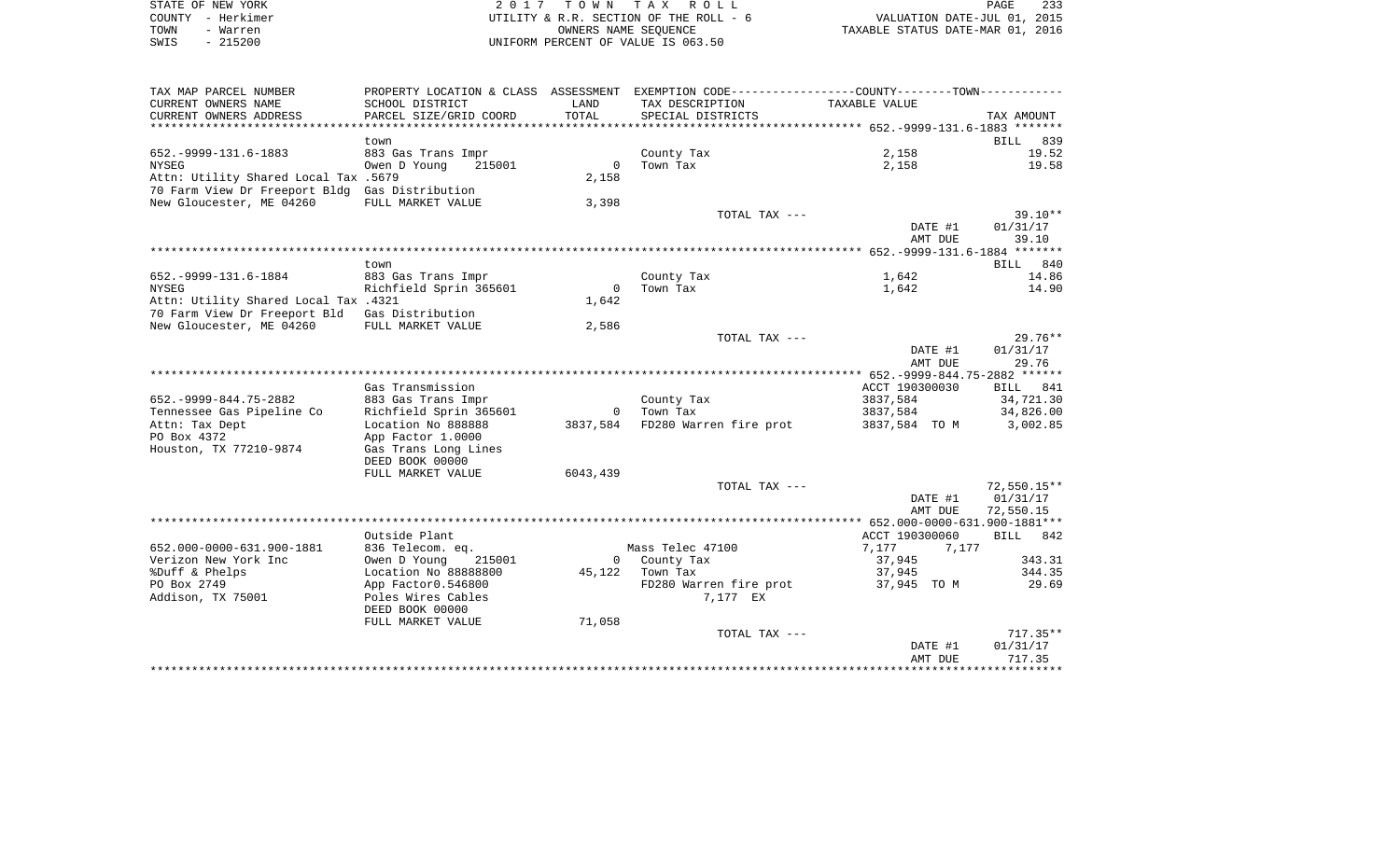|      | STATE OF NEW YORK | 2017 TOWN TAX ROLL                     | 233<br>PAGE                      |
|------|-------------------|----------------------------------------|----------------------------------|
|      | COUNTY - Herkimer | UTILITY & R.R. SECTION OF THE ROLL - 6 | VALUATION DATE-JUL 01, 2015      |
| TOWN | - Warren          | OWNERS NAME SEOUENCE                   | TAXABLE STATUS DATE-MAR 01, 2016 |
| SWIS | - 215200          | UNIFORM PERCENT OF VALUE IS 063.50     |                                  |

| SCHOOL DISTRICT<br>LAND<br>TAX DESCRIPTION<br>TAXABLE VALUE<br>TOTAL<br>PARCEL SIZE/GRID COORD<br>SPECIAL DISTRICTS<br>TAX AMOUNT<br>**********<br>************************<br>839<br>BILL<br>town<br>2,158<br>652. - 9999 - 131. 6 - 1883<br>19.52<br>883 Gas Trans Impr<br>County Tax<br>$\overline{0}$<br>Town Tax<br>2,158<br>19.58<br><b>NYSEG</b><br>Owen D Young<br>215001<br>Attn: Utility Shared Local Tax .5679<br>2,158<br>70 Farm View Dr Freeport Bldg Gas Distribution<br>New Gloucester, ME 04260<br>FULL MARKET VALUE<br>3,398<br>$39.10**$<br>TOTAL TAX ---<br>DATE #1<br>01/31/17<br>AMT DUE<br>39.10<br>BILL 840<br>town<br>652. - 9999 - 131. 6 - 1884<br>883 Gas Trans Impr<br>County Tax<br>1,642<br>14.86<br>Richfield Sprin 365601<br>$\Omega$<br>Town Tax<br><b>NYSEG</b><br>1,642<br>14.90<br>Attn: Utility Shared Local Tax .4321<br>1,642<br>Gas Distribution<br>70 Farm View Dr Freeport Bld<br>New Gloucester, ME 04260<br>2,586<br>FULL MARKET VALUE<br>$29.76**$<br>TOTAL TAX ---<br>01/31/17<br>DATE #1<br>29.76<br>AMT DUE<br>Gas Transmission<br>ACCT 190300030<br>BILL 841<br>652. - 9999 - 844. 75 - 2882<br>883 Gas Trans Impr<br>County Tax<br>3837,584<br>34,721.30<br>Richfield Sprin 365601<br>Town Tax<br>3837,584<br>34,826.00<br>$\Omega$<br>Location No 888888<br>FD280 Warren fire prot<br>3837,584<br>3837,584 TO M<br>3,002.85<br>App Factor 1.0000<br>Gas Trans Long Lines<br>DEED BOOK 00000<br>6043,439<br>FULL MARKET VALUE<br>TOTAL TAX ---<br>DATE #1<br>01/31/17<br>AMT DUE<br>72,550.15<br>Outside Plant<br>ACCT 190300060<br>BILL 842<br>7,177<br>652.000-0000-631.900-1881<br>836 Telecom. eq.<br>Mass Telec 47100<br>7,177<br>Verizon New York Inc<br>County Tax<br>343.31<br>Owen D Young<br>215001<br>37,945<br>$\Omega$<br>%Duff & Phelps<br>Location No 88888800<br>45,122<br>Town Tax<br>37,945<br>344.35<br>PO Box 2749<br>FD280 Warren fire prot<br>37,945 TO M<br>29.69<br>App Factor0.546800<br>Addison, TX 75001<br>Poles Wires Cables<br>7,177 EX<br>DEED BOOK 00000<br>FULL MARKET VALUE<br>71,058<br>$717.35**$<br>TOTAL TAX ---<br>01/31/17<br>DATE #1<br>AMT DUE<br>717.35 | TAX MAP PARCEL NUMBER     | PROPERTY LOCATION & CLASS ASSESSMENT | EXEMPTION CODE-----------------COUNTY--------TOWN----------- |  |
|-------------------------------------------------------------------------------------------------------------------------------------------------------------------------------------------------------------------------------------------------------------------------------------------------------------------------------------------------------------------------------------------------------------------------------------------------------------------------------------------------------------------------------------------------------------------------------------------------------------------------------------------------------------------------------------------------------------------------------------------------------------------------------------------------------------------------------------------------------------------------------------------------------------------------------------------------------------------------------------------------------------------------------------------------------------------------------------------------------------------------------------------------------------------------------------------------------------------------------------------------------------------------------------------------------------------------------------------------------------------------------------------------------------------------------------------------------------------------------------------------------------------------------------------------------------------------------------------------------------------------------------------------------------------------------------------------------------------------------------------------------------------------------------------------------------------------------------------------------------------------------------------------------------------------------------------------------------------------------------------------------------------------------------------------------------------------------------------------------------------------------------------------------|---------------------------|--------------------------------------|--------------------------------------------------------------|--|
| $72,550.15**$                                                                                                                                                                                                                                                                                                                                                                                                                                                                                                                                                                                                                                                                                                                                                                                                                                                                                                                                                                                                                                                                                                                                                                                                                                                                                                                                                                                                                                                                                                                                                                                                                                                                                                                                                                                                                                                                                                                                                                                                                                                                                                                                         | CURRENT OWNERS NAME       |                                      |                                                              |  |
|                                                                                                                                                                                                                                                                                                                                                                                                                                                                                                                                                                                                                                                                                                                                                                                                                                                                                                                                                                                                                                                                                                                                                                                                                                                                                                                                                                                                                                                                                                                                                                                                                                                                                                                                                                                                                                                                                                                                                                                                                                                                                                                                                       | CURRENT OWNERS ADDRESS    |                                      |                                                              |  |
|                                                                                                                                                                                                                                                                                                                                                                                                                                                                                                                                                                                                                                                                                                                                                                                                                                                                                                                                                                                                                                                                                                                                                                                                                                                                                                                                                                                                                                                                                                                                                                                                                                                                                                                                                                                                                                                                                                                                                                                                                                                                                                                                                       |                           |                                      |                                                              |  |
|                                                                                                                                                                                                                                                                                                                                                                                                                                                                                                                                                                                                                                                                                                                                                                                                                                                                                                                                                                                                                                                                                                                                                                                                                                                                                                                                                                                                                                                                                                                                                                                                                                                                                                                                                                                                                                                                                                                                                                                                                                                                                                                                                       |                           |                                      |                                                              |  |
|                                                                                                                                                                                                                                                                                                                                                                                                                                                                                                                                                                                                                                                                                                                                                                                                                                                                                                                                                                                                                                                                                                                                                                                                                                                                                                                                                                                                                                                                                                                                                                                                                                                                                                                                                                                                                                                                                                                                                                                                                                                                                                                                                       |                           |                                      |                                                              |  |
|                                                                                                                                                                                                                                                                                                                                                                                                                                                                                                                                                                                                                                                                                                                                                                                                                                                                                                                                                                                                                                                                                                                                                                                                                                                                                                                                                                                                                                                                                                                                                                                                                                                                                                                                                                                                                                                                                                                                                                                                                                                                                                                                                       |                           |                                      |                                                              |  |
|                                                                                                                                                                                                                                                                                                                                                                                                                                                                                                                                                                                                                                                                                                                                                                                                                                                                                                                                                                                                                                                                                                                                                                                                                                                                                                                                                                                                                                                                                                                                                                                                                                                                                                                                                                                                                                                                                                                                                                                                                                                                                                                                                       |                           |                                      |                                                              |  |
|                                                                                                                                                                                                                                                                                                                                                                                                                                                                                                                                                                                                                                                                                                                                                                                                                                                                                                                                                                                                                                                                                                                                                                                                                                                                                                                                                                                                                                                                                                                                                                                                                                                                                                                                                                                                                                                                                                                                                                                                                                                                                                                                                       |                           |                                      |                                                              |  |
|                                                                                                                                                                                                                                                                                                                                                                                                                                                                                                                                                                                                                                                                                                                                                                                                                                                                                                                                                                                                                                                                                                                                                                                                                                                                                                                                                                                                                                                                                                                                                                                                                                                                                                                                                                                                                                                                                                                                                                                                                                                                                                                                                       |                           |                                      |                                                              |  |
|                                                                                                                                                                                                                                                                                                                                                                                                                                                                                                                                                                                                                                                                                                                                                                                                                                                                                                                                                                                                                                                                                                                                                                                                                                                                                                                                                                                                                                                                                                                                                                                                                                                                                                                                                                                                                                                                                                                                                                                                                                                                                                                                                       |                           |                                      |                                                              |  |
|                                                                                                                                                                                                                                                                                                                                                                                                                                                                                                                                                                                                                                                                                                                                                                                                                                                                                                                                                                                                                                                                                                                                                                                                                                                                                                                                                                                                                                                                                                                                                                                                                                                                                                                                                                                                                                                                                                                                                                                                                                                                                                                                                       |                           |                                      |                                                              |  |
|                                                                                                                                                                                                                                                                                                                                                                                                                                                                                                                                                                                                                                                                                                                                                                                                                                                                                                                                                                                                                                                                                                                                                                                                                                                                                                                                                                                                                                                                                                                                                                                                                                                                                                                                                                                                                                                                                                                                                                                                                                                                                                                                                       |                           |                                      |                                                              |  |
|                                                                                                                                                                                                                                                                                                                                                                                                                                                                                                                                                                                                                                                                                                                                                                                                                                                                                                                                                                                                                                                                                                                                                                                                                                                                                                                                                                                                                                                                                                                                                                                                                                                                                                                                                                                                                                                                                                                                                                                                                                                                                                                                                       |                           |                                      |                                                              |  |
|                                                                                                                                                                                                                                                                                                                                                                                                                                                                                                                                                                                                                                                                                                                                                                                                                                                                                                                                                                                                                                                                                                                                                                                                                                                                                                                                                                                                                                                                                                                                                                                                                                                                                                                                                                                                                                                                                                                                                                                                                                                                                                                                                       |                           |                                      |                                                              |  |
|                                                                                                                                                                                                                                                                                                                                                                                                                                                                                                                                                                                                                                                                                                                                                                                                                                                                                                                                                                                                                                                                                                                                                                                                                                                                                                                                                                                                                                                                                                                                                                                                                                                                                                                                                                                                                                                                                                                                                                                                                                                                                                                                                       |                           |                                      |                                                              |  |
|                                                                                                                                                                                                                                                                                                                                                                                                                                                                                                                                                                                                                                                                                                                                                                                                                                                                                                                                                                                                                                                                                                                                                                                                                                                                                                                                                                                                                                                                                                                                                                                                                                                                                                                                                                                                                                                                                                                                                                                                                                                                                                                                                       |                           |                                      |                                                              |  |
|                                                                                                                                                                                                                                                                                                                                                                                                                                                                                                                                                                                                                                                                                                                                                                                                                                                                                                                                                                                                                                                                                                                                                                                                                                                                                                                                                                                                                                                                                                                                                                                                                                                                                                                                                                                                                                                                                                                                                                                                                                                                                                                                                       |                           |                                      |                                                              |  |
|                                                                                                                                                                                                                                                                                                                                                                                                                                                                                                                                                                                                                                                                                                                                                                                                                                                                                                                                                                                                                                                                                                                                                                                                                                                                                                                                                                                                                                                                                                                                                                                                                                                                                                                                                                                                                                                                                                                                                                                                                                                                                                                                                       |                           |                                      |                                                              |  |
|                                                                                                                                                                                                                                                                                                                                                                                                                                                                                                                                                                                                                                                                                                                                                                                                                                                                                                                                                                                                                                                                                                                                                                                                                                                                                                                                                                                                                                                                                                                                                                                                                                                                                                                                                                                                                                                                                                                                                                                                                                                                                                                                                       |                           |                                      |                                                              |  |
|                                                                                                                                                                                                                                                                                                                                                                                                                                                                                                                                                                                                                                                                                                                                                                                                                                                                                                                                                                                                                                                                                                                                                                                                                                                                                                                                                                                                                                                                                                                                                                                                                                                                                                                                                                                                                                                                                                                                                                                                                                                                                                                                                       |                           |                                      |                                                              |  |
|                                                                                                                                                                                                                                                                                                                                                                                                                                                                                                                                                                                                                                                                                                                                                                                                                                                                                                                                                                                                                                                                                                                                                                                                                                                                                                                                                                                                                                                                                                                                                                                                                                                                                                                                                                                                                                                                                                                                                                                                                                                                                                                                                       |                           |                                      |                                                              |  |
|                                                                                                                                                                                                                                                                                                                                                                                                                                                                                                                                                                                                                                                                                                                                                                                                                                                                                                                                                                                                                                                                                                                                                                                                                                                                                                                                                                                                                                                                                                                                                                                                                                                                                                                                                                                                                                                                                                                                                                                                                                                                                                                                                       |                           |                                      |                                                              |  |
|                                                                                                                                                                                                                                                                                                                                                                                                                                                                                                                                                                                                                                                                                                                                                                                                                                                                                                                                                                                                                                                                                                                                                                                                                                                                                                                                                                                                                                                                                                                                                                                                                                                                                                                                                                                                                                                                                                                                                                                                                                                                                                                                                       |                           |                                      |                                                              |  |
|                                                                                                                                                                                                                                                                                                                                                                                                                                                                                                                                                                                                                                                                                                                                                                                                                                                                                                                                                                                                                                                                                                                                                                                                                                                                                                                                                                                                                                                                                                                                                                                                                                                                                                                                                                                                                                                                                                                                                                                                                                                                                                                                                       |                           |                                      |                                                              |  |
|                                                                                                                                                                                                                                                                                                                                                                                                                                                                                                                                                                                                                                                                                                                                                                                                                                                                                                                                                                                                                                                                                                                                                                                                                                                                                                                                                                                                                                                                                                                                                                                                                                                                                                                                                                                                                                                                                                                                                                                                                                                                                                                                                       |                           |                                      |                                                              |  |
|                                                                                                                                                                                                                                                                                                                                                                                                                                                                                                                                                                                                                                                                                                                                                                                                                                                                                                                                                                                                                                                                                                                                                                                                                                                                                                                                                                                                                                                                                                                                                                                                                                                                                                                                                                                                                                                                                                                                                                                                                                                                                                                                                       |                           |                                      |                                                              |  |
|                                                                                                                                                                                                                                                                                                                                                                                                                                                                                                                                                                                                                                                                                                                                                                                                                                                                                                                                                                                                                                                                                                                                                                                                                                                                                                                                                                                                                                                                                                                                                                                                                                                                                                                                                                                                                                                                                                                                                                                                                                                                                                                                                       | Tennessee Gas Pipeline Co |                                      |                                                              |  |
|                                                                                                                                                                                                                                                                                                                                                                                                                                                                                                                                                                                                                                                                                                                                                                                                                                                                                                                                                                                                                                                                                                                                                                                                                                                                                                                                                                                                                                                                                                                                                                                                                                                                                                                                                                                                                                                                                                                                                                                                                                                                                                                                                       | Attn: Tax Dept            |                                      |                                                              |  |
|                                                                                                                                                                                                                                                                                                                                                                                                                                                                                                                                                                                                                                                                                                                                                                                                                                                                                                                                                                                                                                                                                                                                                                                                                                                                                                                                                                                                                                                                                                                                                                                                                                                                                                                                                                                                                                                                                                                                                                                                                                                                                                                                                       | PO Box 4372               |                                      |                                                              |  |
|                                                                                                                                                                                                                                                                                                                                                                                                                                                                                                                                                                                                                                                                                                                                                                                                                                                                                                                                                                                                                                                                                                                                                                                                                                                                                                                                                                                                                                                                                                                                                                                                                                                                                                                                                                                                                                                                                                                                                                                                                                                                                                                                                       | Houston, TX 77210-9874    |                                      |                                                              |  |
|                                                                                                                                                                                                                                                                                                                                                                                                                                                                                                                                                                                                                                                                                                                                                                                                                                                                                                                                                                                                                                                                                                                                                                                                                                                                                                                                                                                                                                                                                                                                                                                                                                                                                                                                                                                                                                                                                                                                                                                                                                                                                                                                                       |                           |                                      |                                                              |  |
|                                                                                                                                                                                                                                                                                                                                                                                                                                                                                                                                                                                                                                                                                                                                                                                                                                                                                                                                                                                                                                                                                                                                                                                                                                                                                                                                                                                                                                                                                                                                                                                                                                                                                                                                                                                                                                                                                                                                                                                                                                                                                                                                                       |                           |                                      |                                                              |  |
|                                                                                                                                                                                                                                                                                                                                                                                                                                                                                                                                                                                                                                                                                                                                                                                                                                                                                                                                                                                                                                                                                                                                                                                                                                                                                                                                                                                                                                                                                                                                                                                                                                                                                                                                                                                                                                                                                                                                                                                                                                                                                                                                                       |                           |                                      |                                                              |  |
|                                                                                                                                                                                                                                                                                                                                                                                                                                                                                                                                                                                                                                                                                                                                                                                                                                                                                                                                                                                                                                                                                                                                                                                                                                                                                                                                                                                                                                                                                                                                                                                                                                                                                                                                                                                                                                                                                                                                                                                                                                                                                                                                                       |                           |                                      |                                                              |  |
|                                                                                                                                                                                                                                                                                                                                                                                                                                                                                                                                                                                                                                                                                                                                                                                                                                                                                                                                                                                                                                                                                                                                                                                                                                                                                                                                                                                                                                                                                                                                                                                                                                                                                                                                                                                                                                                                                                                                                                                                                                                                                                                                                       |                           |                                      |                                                              |  |
|                                                                                                                                                                                                                                                                                                                                                                                                                                                                                                                                                                                                                                                                                                                                                                                                                                                                                                                                                                                                                                                                                                                                                                                                                                                                                                                                                                                                                                                                                                                                                                                                                                                                                                                                                                                                                                                                                                                                                                                                                                                                                                                                                       |                           |                                      |                                                              |  |
|                                                                                                                                                                                                                                                                                                                                                                                                                                                                                                                                                                                                                                                                                                                                                                                                                                                                                                                                                                                                                                                                                                                                                                                                                                                                                                                                                                                                                                                                                                                                                                                                                                                                                                                                                                                                                                                                                                                                                                                                                                                                                                                                                       |                           |                                      |                                                              |  |
|                                                                                                                                                                                                                                                                                                                                                                                                                                                                                                                                                                                                                                                                                                                                                                                                                                                                                                                                                                                                                                                                                                                                                                                                                                                                                                                                                                                                                                                                                                                                                                                                                                                                                                                                                                                                                                                                                                                                                                                                                                                                                                                                                       |                           |                                      |                                                              |  |
|                                                                                                                                                                                                                                                                                                                                                                                                                                                                                                                                                                                                                                                                                                                                                                                                                                                                                                                                                                                                                                                                                                                                                                                                                                                                                                                                                                                                                                                                                                                                                                                                                                                                                                                                                                                                                                                                                                                                                                                                                                                                                                                                                       |                           |                                      |                                                              |  |
|                                                                                                                                                                                                                                                                                                                                                                                                                                                                                                                                                                                                                                                                                                                                                                                                                                                                                                                                                                                                                                                                                                                                                                                                                                                                                                                                                                                                                                                                                                                                                                                                                                                                                                                                                                                                                                                                                                                                                                                                                                                                                                                                                       |                           |                                      |                                                              |  |
|                                                                                                                                                                                                                                                                                                                                                                                                                                                                                                                                                                                                                                                                                                                                                                                                                                                                                                                                                                                                                                                                                                                                                                                                                                                                                                                                                                                                                                                                                                                                                                                                                                                                                                                                                                                                                                                                                                                                                                                                                                                                                                                                                       |                           |                                      |                                                              |  |
|                                                                                                                                                                                                                                                                                                                                                                                                                                                                                                                                                                                                                                                                                                                                                                                                                                                                                                                                                                                                                                                                                                                                                                                                                                                                                                                                                                                                                                                                                                                                                                                                                                                                                                                                                                                                                                                                                                                                                                                                                                                                                                                                                       |                           |                                      |                                                              |  |
|                                                                                                                                                                                                                                                                                                                                                                                                                                                                                                                                                                                                                                                                                                                                                                                                                                                                                                                                                                                                                                                                                                                                                                                                                                                                                                                                                                                                                                                                                                                                                                                                                                                                                                                                                                                                                                                                                                                                                                                                                                                                                                                                                       |                           |                                      |                                                              |  |
|                                                                                                                                                                                                                                                                                                                                                                                                                                                                                                                                                                                                                                                                                                                                                                                                                                                                                                                                                                                                                                                                                                                                                                                                                                                                                                                                                                                                                                                                                                                                                                                                                                                                                                                                                                                                                                                                                                                                                                                                                                                                                                                                                       |                           |                                      |                                                              |  |
|                                                                                                                                                                                                                                                                                                                                                                                                                                                                                                                                                                                                                                                                                                                                                                                                                                                                                                                                                                                                                                                                                                                                                                                                                                                                                                                                                                                                                                                                                                                                                                                                                                                                                                                                                                                                                                                                                                                                                                                                                                                                                                                                                       |                           |                                      |                                                              |  |
|                                                                                                                                                                                                                                                                                                                                                                                                                                                                                                                                                                                                                                                                                                                                                                                                                                                                                                                                                                                                                                                                                                                                                                                                                                                                                                                                                                                                                                                                                                                                                                                                                                                                                                                                                                                                                                                                                                                                                                                                                                                                                                                                                       |                           |                                      |                                                              |  |
|                                                                                                                                                                                                                                                                                                                                                                                                                                                                                                                                                                                                                                                                                                                                                                                                                                                                                                                                                                                                                                                                                                                                                                                                                                                                                                                                                                                                                                                                                                                                                                                                                                                                                                                                                                                                                                                                                                                                                                                                                                                                                                                                                       |                           |                                      |                                                              |  |
|                                                                                                                                                                                                                                                                                                                                                                                                                                                                                                                                                                                                                                                                                                                                                                                                                                                                                                                                                                                                                                                                                                                                                                                                                                                                                                                                                                                                                                                                                                                                                                                                                                                                                                                                                                                                                                                                                                                                                                                                                                                                                                                                                       |                           |                                      |                                                              |  |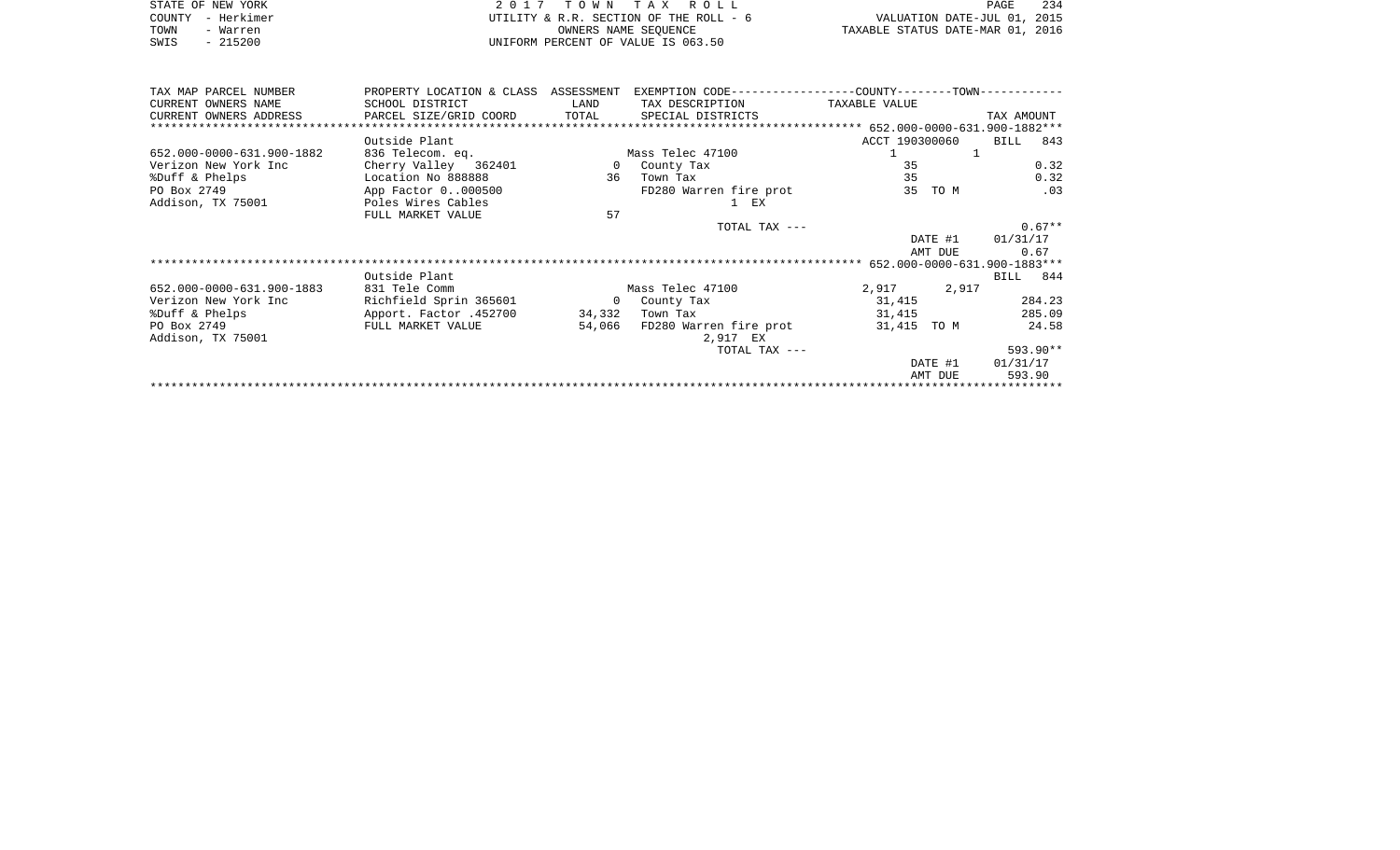|      | STATE OF NEW YORK | 2017 TOWN TAX ROLL                     | PAGE                             | 234 |
|------|-------------------|----------------------------------------|----------------------------------|-----|
|      | COUNTY - Herkimer | UTILITY & R.R. SECTION OF THE ROLL - 6 | VALUATION DATE-JUL 01, 2015      |     |
| TOWN | - Warren          | OWNERS NAME SEOUENCE                   | TAXABLE STATUS DATE-MAR 01, 2016 |     |
| SWIS | $-215200$         | UNIFORM PERCENT OF VALUE IS 063.50     |                                  |     |

| TAX MAP PARCEL NUMBER          | PROPERTY LOCATION & CLASS ASSESSMENT |              |                        |                              |         |            |            |  |
|--------------------------------|--------------------------------------|--------------|------------------------|------------------------------|---------|------------|------------|--|
| CURRENT OWNERS NAME            | SCHOOL DISTRICT                      | LAND         | TAX DESCRIPTION        | TAXABLE VALUE                |         |            |            |  |
| CURRENT OWNERS ADDRESS         | PARCEL SIZE/GRID COORD               | TOTAL        | SPECIAL DISTRICTS      |                              |         | TAX AMOUNT |            |  |
| ****************************** |                                      |              |                        |                              |         |            |            |  |
|                                | Outside Plant                        |              |                        | ACCT 190300060               |         | BILL       | 843        |  |
| 652.000-0000-631.900-1882      | 836 Telecom. eq.                     |              | Mass Telec 47100       |                              | ı       |            |            |  |
| Verizon New York Inc           | Cherry Valley 362401                 | $\circ$      | County Tax             | 35                           |         |            | 0.32       |  |
| %Duff & Phelps                 | Location No 888888                   | 36           | Town Tax               | 35                           |         |            | 0.32       |  |
| PO Box 2749                    | App Factor 0000500                   |              | FD280 Warren fire prot |                              | 35 TO M |            | .03        |  |
| Addison, TX 75001              | Poles Wires Cables                   |              | $1$ $EX$               |                              |         |            |            |  |
|                                | FULL MARKET VALUE                    | 57           |                        |                              |         |            |            |  |
|                                |                                      |              | TOTAL TAX ---          |                              |         |            | $0.67**$   |  |
|                                |                                      |              |                        |                              | DATE #1 | 01/31/17   |            |  |
|                                |                                      |              |                        |                              | AMT DUE |            | 0.67       |  |
|                                |                                      |              |                        | 652.000-0000-631.900-1883*** |         |            |            |  |
|                                | Outside Plant                        |              |                        |                              |         | BILL 844   |            |  |
| 652.000-0000-631.900-1883      | 831 Tele Comm                        |              | Mass Telec 47100       | 2,917                        | 2,917   |            |            |  |
|                                |                                      |              |                        |                              |         |            |            |  |
| Verizon New York Inc           | Richfield Sprin 365601               | $\mathbf{0}$ | County Tax             | 31,415                       |         |            | 284.23     |  |
| %Duff & Phelps                 | Apport. Factor .452700               | 34,332       | Town Tax               | 31,415                       |         |            | 285.09     |  |
| PO Box 2749                    | FULL MARKET VALUE                    | 54,066       | FD280 Warren fire prot | 31,415 TO M                  |         |            | 24.58      |  |
| Addison, TX 75001              |                                      |              | 2,917 EX               |                              |         |            |            |  |
|                                |                                      |              | TOTAL TAX ---          |                              |         |            | $593.90**$ |  |
|                                |                                      |              |                        |                              | DATE #1 | 01/31/17   |            |  |
|                                |                                      |              |                        |                              | AMT DUE | 593.90     |            |  |
|                                |                                      |              |                        |                              |         |            |            |  |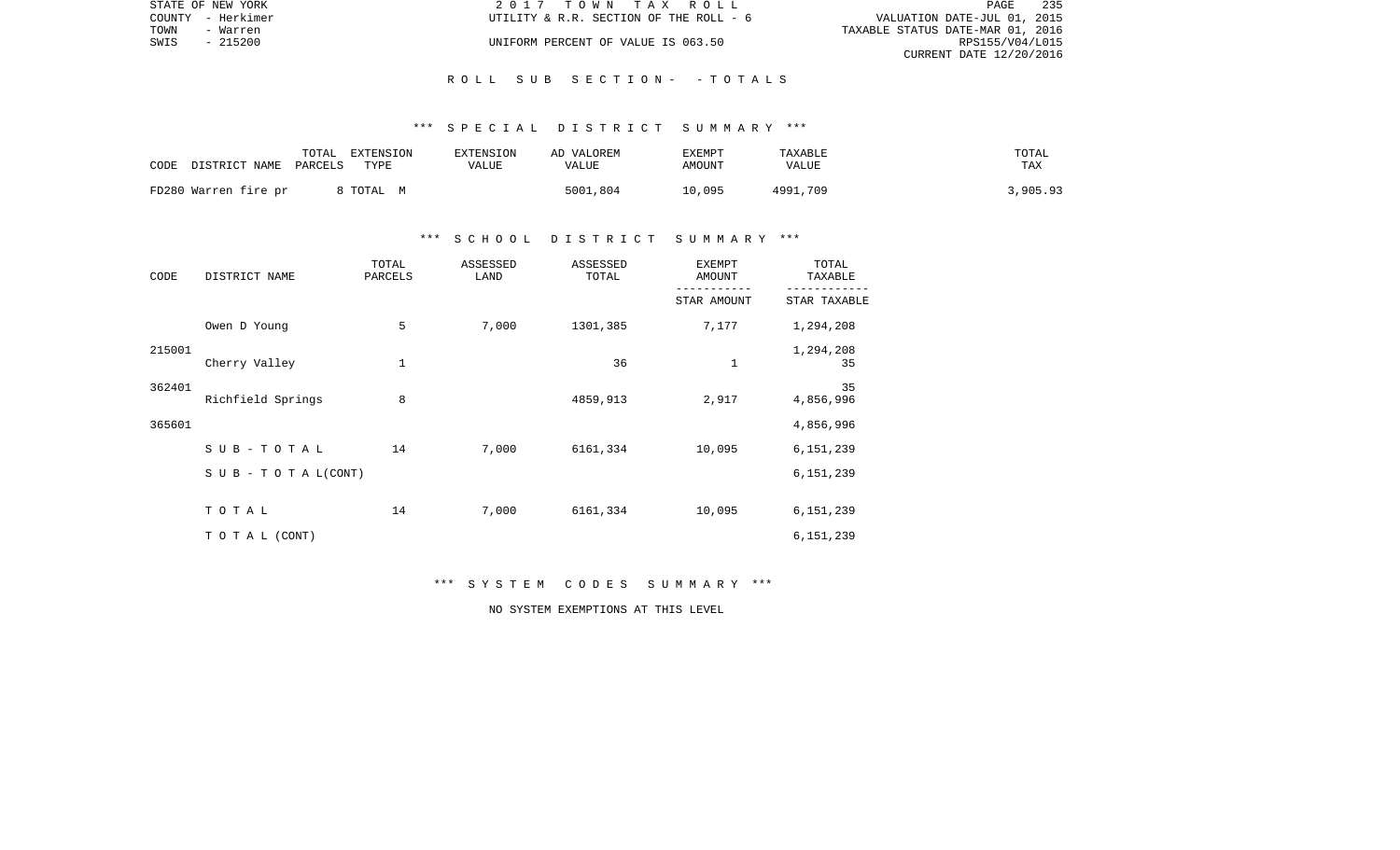|      | STATE OF NEW YORK | 2017 TOWN TAX ROLL                     | PAGE                        | 235 |
|------|-------------------|----------------------------------------|-----------------------------|-----|
|      | COUNTY - Herkimer | UTILITY & R.R. SECTION OF THE ROLL - 6 | VALUATION DATE-JUL 01, 2015 |     |
| TOWN | - Warren          | TAXABLE STATUS DATE-MAR 01, 2016       |                             |     |
| SWIS | - 215200          | UNIFORM PERCENT OF VALUE IS 063.50     | RPS155/V04/L015             |     |
|      |                   |                                        | CURRENT DATE 12/20/2016     |     |

## \*\*\* S P E C I A L D I S T R I C T S U M M A R Y \*\*\*

| CODE | DISTRICT NAME        | TOTAL<br>PARCELS | EXTENSION<br>TYPE | EXTENSION<br>VALUE | AD VALOREM<br>VALUE | <b>EXEMPT</b><br>AMOUNT | TAXABLE<br>VALUE | TOTAL<br>TAX |
|------|----------------------|------------------|-------------------|--------------------|---------------------|-------------------------|------------------|--------------|
|      | FD280 Warren fire pr |                  | 8 TOTAL M         |                    | 5001,804            | 10,095                  | 4991,709         | 3,905.93     |

# \*\*\* S C H O O L D I S T R I C T S U M M A R Y \*\*\*

| CODE   | DISTRICT NAME                    | TOTAL<br>PARCELS | ASSESSED<br>LAND | ASSESSED<br>TOTAL | <b>EXEMPT</b><br>AMOUNT | TOTAL<br>TAXABLE |
|--------|----------------------------------|------------------|------------------|-------------------|-------------------------|------------------|
|        |                                  |                  |                  |                   | STAR AMOUNT             | STAR TAXABLE     |
|        | Owen D Young                     | 5                | 7,000            | 1301,385          | 7,177                   | 1,294,208        |
| 215001 | Cherry Valley                    | $1\,$            |                  | 36                | $\mathbf 1$             | 1,294,208<br>35  |
| 362401 | Richfield Springs                | 8                |                  | 4859,913          | 2,917                   | 35<br>4,856,996  |
| 365601 |                                  |                  |                  |                   |                         | 4,856,996        |
|        | SUB-TOTAL                        | 14               | 7,000            | 6161,334          | 10,095                  | 6,151,239        |
|        | $S \cup B - T \cup T A L (CONT)$ |                  |                  |                   |                         | 6,151,239        |
|        | TOTAL                            | 14               | 7,000            | 6161,334          | 10,095                  | 6,151,239        |
|        | TO TAL (CONT)                    |                  |                  |                   |                         | 6,151,239        |

# \*\*\* S Y S T E M C O D E S S U M M A R Y \*\*\*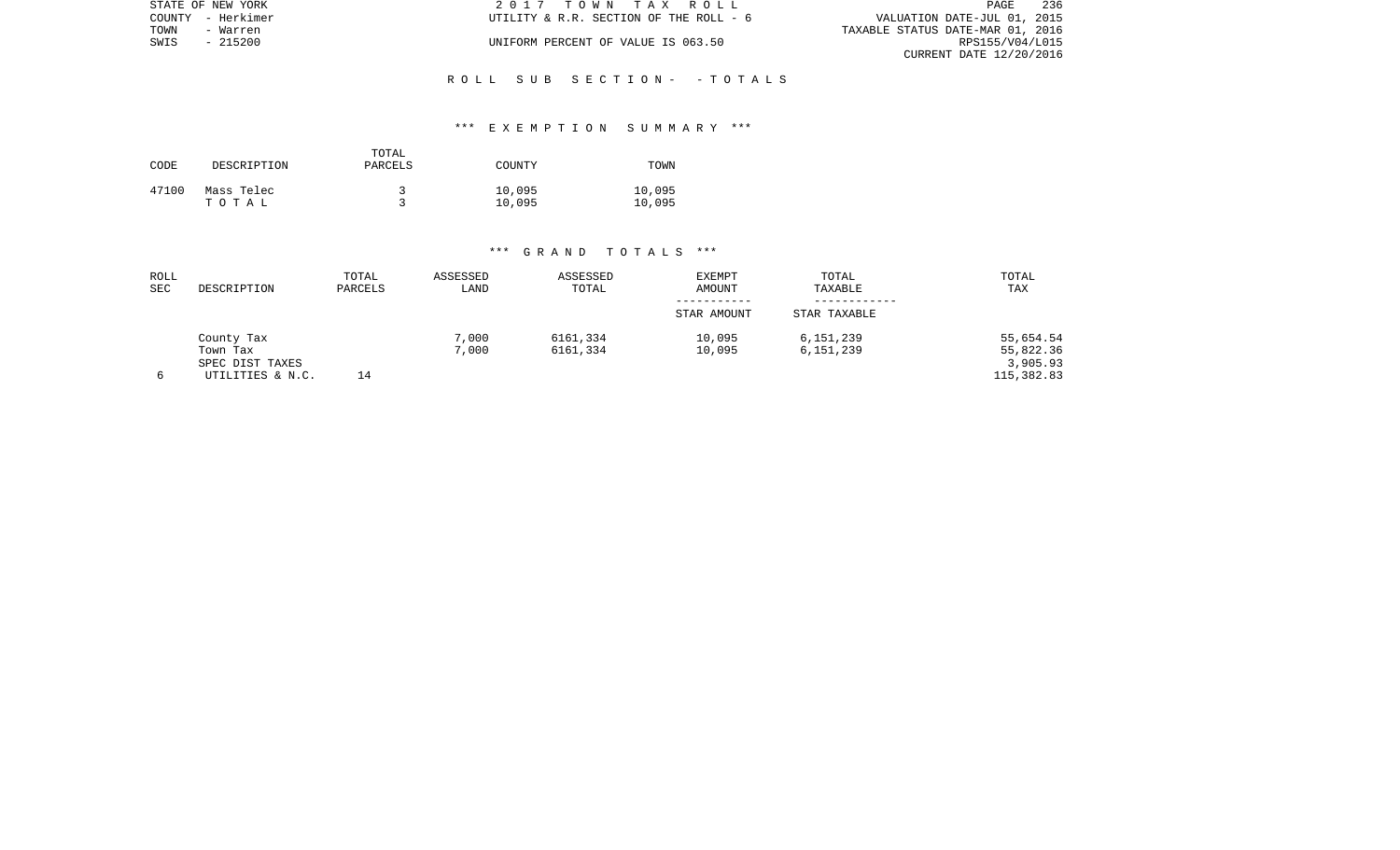| STATE OF NEW YORK | 2017 TOWN TAX ROLL                     | 236<br>PAGE                      |
|-------------------|----------------------------------------|----------------------------------|
| COUNTY - Herkimer | UTILITY & R.R. SECTION OF THE ROLL - 6 | VALUATION DATE-JUL 01, 2015      |
| TOWN<br>- Warren  |                                        | TAXABLE STATUS DATE-MAR 01, 2016 |
| SWIS<br>- 215200  | UNIFORM PERCENT OF VALUE IS 063.50     | RPS155/V04/L015                  |
|                   |                                        | CURRENT DATE 12/20/2016          |
|                   |                                        |                                  |

# \*\*\* E X E M P T I O N S U M M A R Y \*\*\*

| CODE  | DESCRIPTION         | TOTAL<br>PARCELS | COUNTY           | TOWN             |
|-------|---------------------|------------------|------------------|------------------|
| 47100 | Mass Telec<br>тотаь |                  | 10,095<br>10,095 | 10,095<br>10,095 |

| ROLL<br><b>SEC</b> | DESCRIPTION                                                   | TOTAL<br>PARCELS | ASSESSED<br>LAND | ASSESSED<br>TOTAL    | <b>EXEMPT</b><br>AMOUNT<br>STAR AMOUNT | TOTAL<br>TAXABLE<br>STAR TAXABLE | TOTAL<br>TAX                                     |
|--------------------|---------------------------------------------------------------|------------------|------------------|----------------------|----------------------------------------|----------------------------------|--------------------------------------------------|
|                    | County Tax<br>Town Tax<br>SPEC DIST TAXES<br>UTILITIES & N.C. | 14               | 7,000<br>7,000   | 6161,334<br>6161,334 | 10,095<br>10,095                       | 6,151,239<br>6,151,239           | 55,654.54<br>55,822.36<br>3,905.93<br>115,382.83 |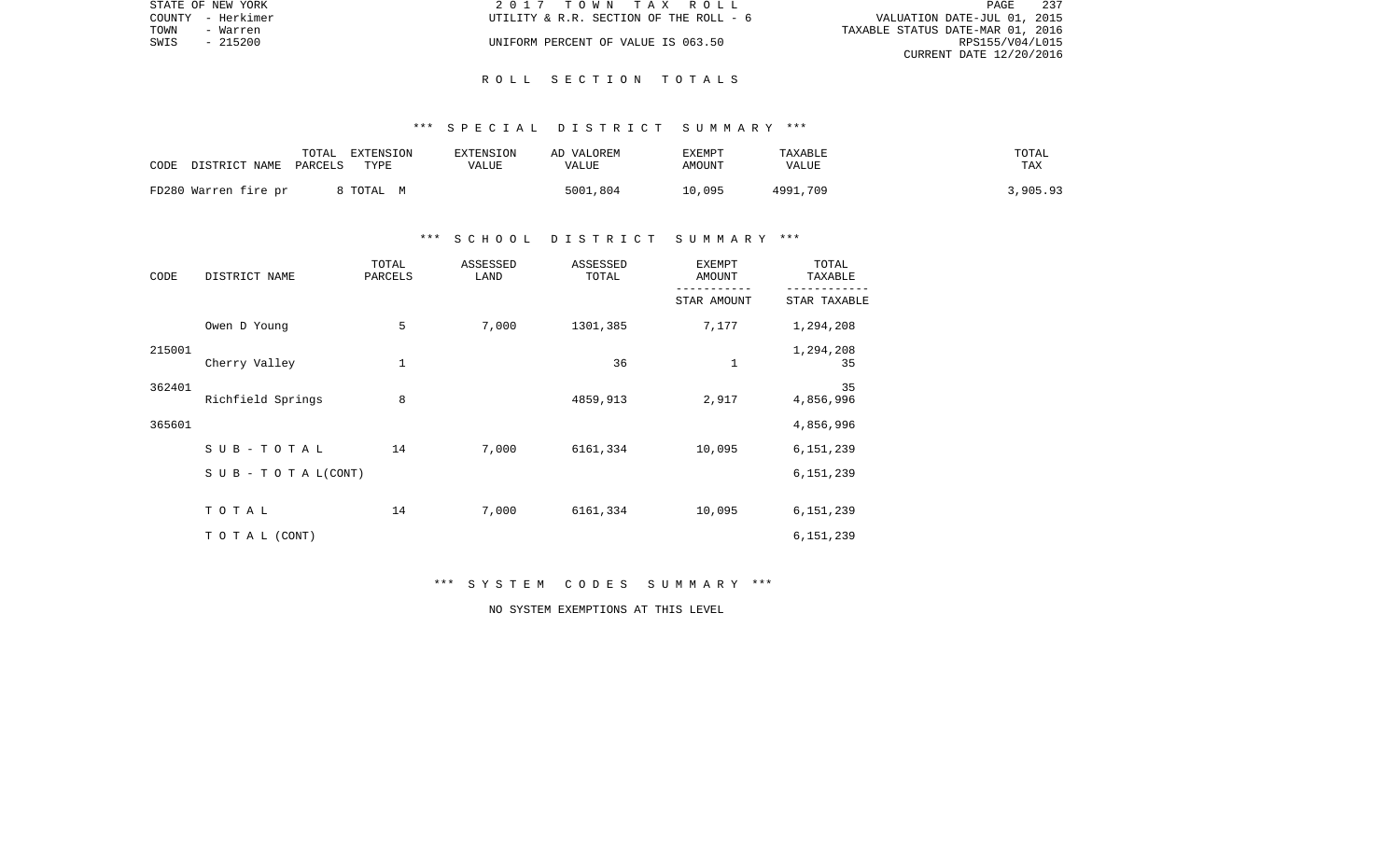|      | STATE OF NEW YORK | 2017 TOWN TAX ROLL                     | PAGE                             | 237 |
|------|-------------------|----------------------------------------|----------------------------------|-----|
|      | COUNTY - Herkimer | UTILITY & R.R. SECTION OF THE ROLL - 6 | VALUATION DATE-JUL 01, 2015      |     |
| TOWN | - Warren          |                                        | TAXABLE STATUS DATE-MAR 01, 2016 |     |
| SWIS | $-215200$         | UNIFORM PERCENT OF VALUE IS 063.50     | RPS155/V04/L015                  |     |
|      |                   |                                        | CURRENT DATE 12/20/2016          |     |

## \*\*\* S P E C I A L D I S T R I C T S U M M A R Y \*\*\*

| CODE | DISTRICT NAME        | TOTAL<br>PARCELS | EXTENSION<br>TYPE | EXTENSION<br>VALUE | AD VALOREM<br>VALUE | <b>EXEMPT</b><br>AMOUNT | TAXABLE<br>VALUE | TOTAL<br>TAX |
|------|----------------------|------------------|-------------------|--------------------|---------------------|-------------------------|------------------|--------------|
|      | FD280 Warren fire pr |                  | 8 TOTAL M         |                    | 5001,804            | 10,095                  | 4991,709         | 3,905.93     |

# \*\*\* S C H O O L D I S T R I C T S U M M A R Y \*\*\*

| CODE   | DISTRICT NAME                    | TOTAL<br>PARCELS | ASSESSED<br>LAND | ASSESSED<br>TOTAL | EXEMPT<br>AMOUNT | TOTAL<br>TAXABLE |
|--------|----------------------------------|------------------|------------------|-------------------|------------------|------------------|
|        |                                  |                  |                  |                   | STAR AMOUNT      | STAR TAXABLE     |
|        | Owen D Young                     | 5                | 7,000            | 1301,385          | 7,177            | 1,294,208        |
| 215001 | Cherry Valley                    | $1\,$            |                  | 36                | $\mathbf 1$      | 1,294,208<br>35  |
| 362401 | Richfield Springs                | 8                |                  | 4859,913          | 2,917            | 35<br>4,856,996  |
| 365601 |                                  |                  |                  |                   |                  | 4,856,996        |
|        | SUB-TOTAL                        | 14               | 7,000            | 6161,334          | 10,095           | 6,151,239        |
|        | $S \cup B - T \cup T A L (CONT)$ |                  |                  |                   |                  | 6,151,239        |
|        | TOTAL                            | 14               | 7,000            | 6161,334          | 10,095           | 6,151,239        |
|        | TO TAL (CONT)                    |                  |                  |                   |                  | 6,151,239        |

# \*\*\* S Y S T E M C O D E S S U M M A R Y \*\*\*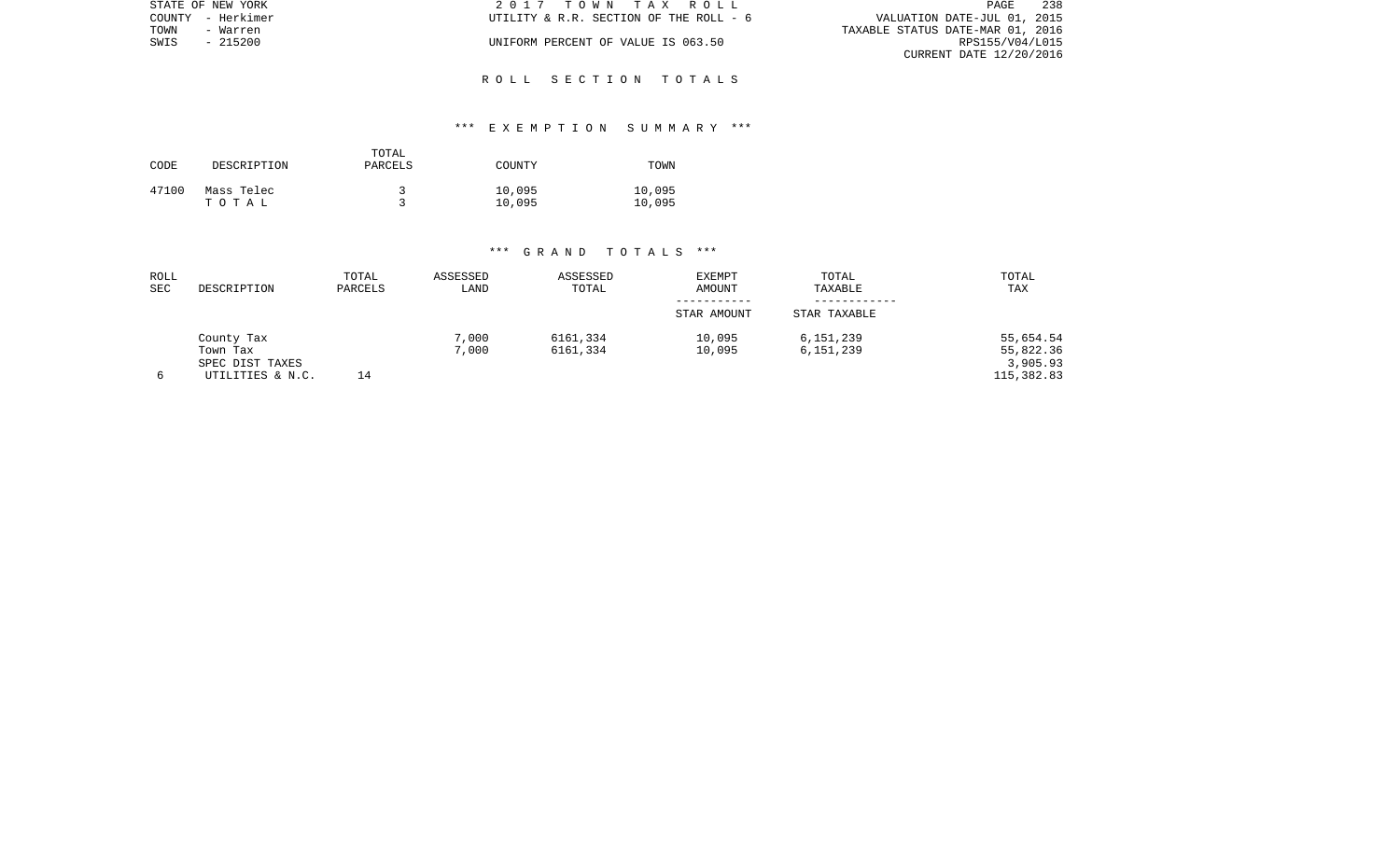| STATE OF NEW YORK | 2017 TOWN TAX ROLL                     | 238<br>PAGE                      |
|-------------------|----------------------------------------|----------------------------------|
| COUNTY - Herkimer | UTILITY & R.R. SECTION OF THE ROLL - 6 | VALUATION DATE-JUL 01, 2015      |
| TOWN<br>- Warren  |                                        | TAXABLE STATUS DATE-MAR 01, 2016 |
| SWIS<br>- 215200  | UNIFORM PERCENT OF VALUE IS 063.50     | RPS155/V04/L015                  |
|                   |                                        | CURRENT DATE 12/20/2016          |
|                   |                                        |                                  |

# \*\*\* E X E M P T I O N S U M M A R Y \*\*\*

| CODE  | DESCRIPTION         | TOTAL<br>PARCELS | COUNTY           | TOWN             |
|-------|---------------------|------------------|------------------|------------------|
| 47100 | Mass Telec<br>тотаь |                  | 10,095<br>10,095 | 10,095<br>10,095 |

| ROLL<br>SEC | DESCRIPTION            | TOTAL<br>PARCELS | ASSESSED<br>LAND | ASSESSED<br>TOTAL    | <b>EXEMPT</b><br>AMOUNT | TOTAL<br>TAXABLE       | TOTAL<br>TAX           |
|-------------|------------------------|------------------|------------------|----------------------|-------------------------|------------------------|------------------------|
|             |                        |                  |                  |                      | STAR AMOUNT             | STAR TAXABLE           |                        |
|             | County Tax<br>Town Tax |                  | 7,000<br>7,000   | 6161,334<br>6161,334 | 10,095<br>10,095        | 6,151,239<br>6,151,239 | 55,654.54<br>55,822.36 |
|             | SPEC DIST TAXES        |                  |                  |                      |                         |                        | 3,905.93               |
| 6           | UTILITIES & N.C.       | 14               |                  |                      |                         |                        | 115,382.83             |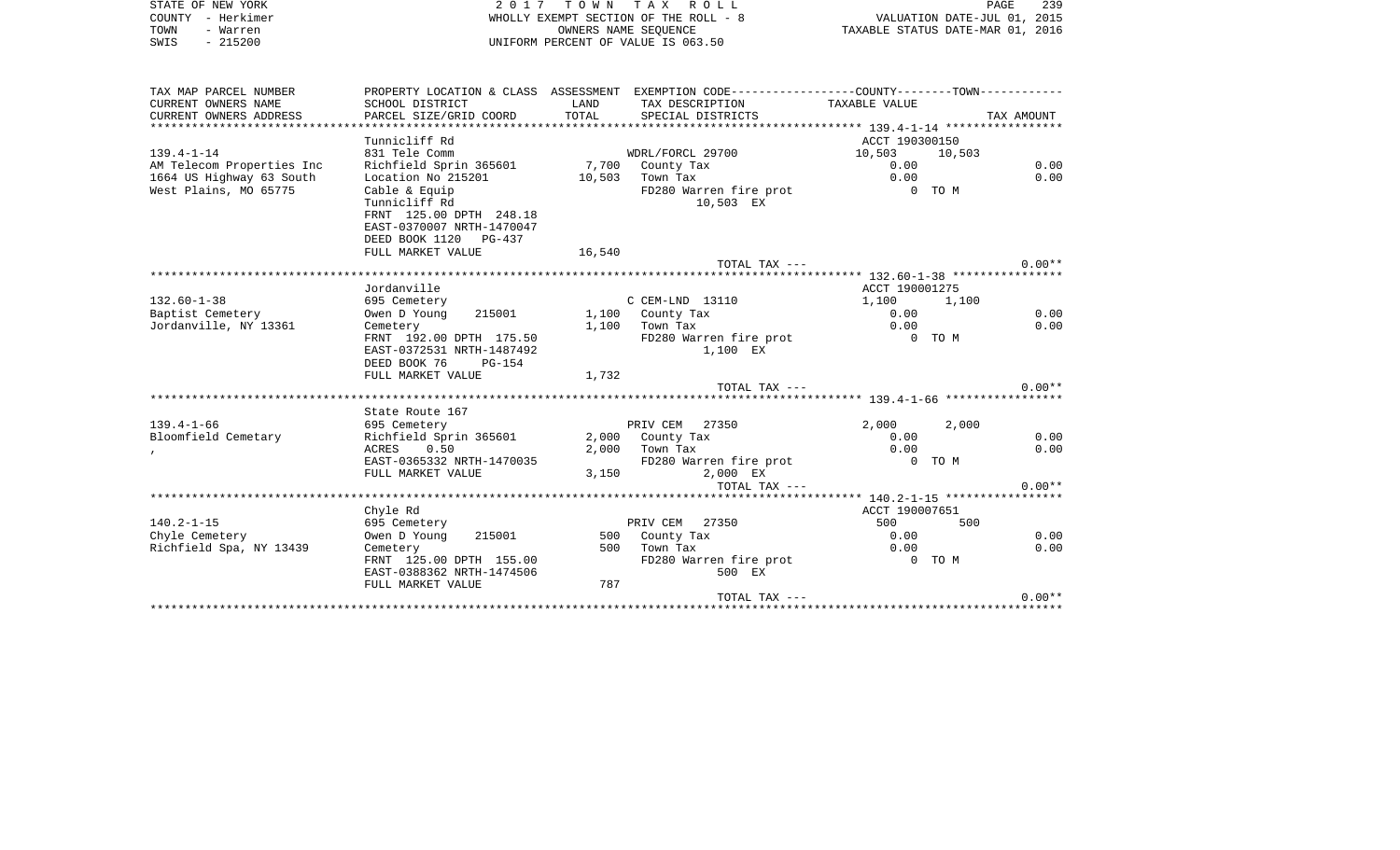| STATE OF NEW YORK | 2017 TOWN TAX ROLL                    | 239<br>PAGE                      |
|-------------------|---------------------------------------|----------------------------------|
| COUNTY - Herkimer | WHOLLY EXEMPT SECTION OF THE ROLL - 8 | VALUATION DATE-JUL 01, 2015      |
| TOWN<br>- Warren  | OWNERS NAME SEOUENCE                  | TAXABLE STATUS DATE-MAR 01, 2016 |
| $-215200$<br>SWIS | UNIFORM PERCENT OF VALUE IS 063.50    |                                  |

| TAX MAP PARCEL NUMBER                 |                                        |        | PROPERTY LOCATION & CLASS ASSESSMENT EXEMPTION CODE---------------COUNTY--------TOWN---------- |                                        |        |            |
|---------------------------------------|----------------------------------------|--------|------------------------------------------------------------------------------------------------|----------------------------------------|--------|------------|
| CURRENT OWNERS NAME                   | SCHOOL DISTRICT                        | LAND   | TAX DESCRIPTION                                                                                | TAXABLE VALUE                          |        |            |
| CURRENT OWNERS ADDRESS                | PARCEL SIZE/GRID COORD                 | TOTAL  | SPECIAL DISTRICTS                                                                              |                                        |        | TAX AMOUNT |
|                                       |                                        |        |                                                                                                |                                        |        |            |
|                                       | Tunnicliff Rd                          |        |                                                                                                | ACCT 190300150                         |        |            |
| $139.4 - 1 - 14$                      | 831 Tele Comm                          |        | WDRL/FORCL 29700                                                                               | 10,503                                 | 10,503 |            |
| AM Telecom Properties Inc             | Richfield Sprin 365601                 |        | 7,700 County Tax                                                                               | 0.00                                   |        | 0.00       |
| 1664 US Highway 63 South              | Location No 215201                     | 10,503 | Town Tax                                                                                       | 0.00                                   |        | 0.00       |
| West Plains, MO 65775                 | Cable & Equip                          |        | FD280 Warren fire prot                                                                         | 0 TO M                                 |        |            |
|                                       | Tunnicliff Rd                          |        | 10,503 EX                                                                                      |                                        |        |            |
|                                       | FRNT 125.00 DPTH 248.18                |        |                                                                                                |                                        |        |            |
|                                       | EAST-0370007 NRTH-1470047              |        |                                                                                                |                                        |        |            |
|                                       | DEED BOOK 1120 PG-437                  |        |                                                                                                |                                        |        |            |
|                                       | FULL MARKET VALUE                      | 16,540 |                                                                                                |                                        |        |            |
|                                       |                                        |        | TOTAL TAX ---                                                                                  |                                        |        | $0.00**$   |
|                                       |                                        |        |                                                                                                |                                        |        |            |
|                                       | Jordanville                            |        |                                                                                                | ACCT 190001275                         |        |            |
| $132.60 - 1 - 38$<br>Baptist Cemetery | 695 Cemetery<br>Owen D Young<br>215001 |        | C CEM-LND 13110<br>1,100 County Tax                                                            | 1,100<br>0.00                          | 1,100  | 0.00       |
| Jordanville, NY 13361                 | Cemetery                               |        | $1,100$ Town Tax                                                                               | 0.00                                   |        | 0.00       |
|                                       | FRNT 192.00 DPTH 175.50                |        | FD280 Warren fire prot                                                                         |                                        | 0 TO M |            |
|                                       | EAST-0372531 NRTH-1487492              |        | 1,100 EX                                                                                       |                                        |        |            |
|                                       | DEED BOOK 76<br>PG-154                 |        |                                                                                                |                                        |        |            |
|                                       | FULL MARKET VALUE                      | 1,732  |                                                                                                |                                        |        |            |
|                                       |                                        |        | TOTAL TAX ---                                                                                  |                                        |        | $0.00**$   |
|                                       |                                        |        |                                                                                                |                                        |        |            |
|                                       | State Route 167                        |        |                                                                                                |                                        |        |            |
| $139.4 - 1 - 66$                      | 695 Cemetery                           |        | PRIV CEM 27350                                                                                 | 2,000                                  | 2,000  |            |
| Bloomfield Cemetary                   | Richfield Sprin 365601                 |        | 2,000 County Tax                                                                               | 0.00                                   |        | 0.00       |
|                                       | ACRES<br>0.50                          |        | $2,000$ Town Tax                                                                               | 0.00                                   |        | 0.00       |
|                                       | EAST-0365332 NRTH-1470035              |        | FD280 Warren fire prot                                                                         | $0$ TOM                                |        |            |
|                                       | FULL MARKET VALUE                      | 3,150  | 2,000 EX                                                                                       |                                        |        |            |
|                                       |                                        |        | TOTAL TAX ---                                                                                  |                                        |        | $0.00**$   |
|                                       |                                        |        |                                                                                                |                                        |        |            |
| $140.2 - 1 - 15$                      | Chyle Rd                               |        | PRIV CEM 27350                                                                                 | ACCT 190007651<br>500                  | 500    |            |
| Chyle Cemetery                        | 695 Cemetery<br>Owen D Young<br>215001 |        | 500 County Tax                                                                                 | 0.00                                   |        | 0.00       |
| Richfield Spa, NY 13439               | Cemetery                               | 500    | Town Tax                                                                                       | 0.00                                   |        | 0.00       |
|                                       | FRNT 125.00 DPTH 155.00                |        | FD280 Warren fire prot                                                                         | 0 TO M                                 |        |            |
|                                       | EAST-0388362 NRTH-1474506              |        | 500 EX                                                                                         |                                        |        |            |
|                                       | FULL MARKET VALUE                      | 787    |                                                                                                |                                        |        |            |
|                                       |                                        |        | TOTAL TAX ---                                                                                  |                                        |        | $0.00**$   |
|                                       |                                        |        |                                                                                                | ************************************** |        |            |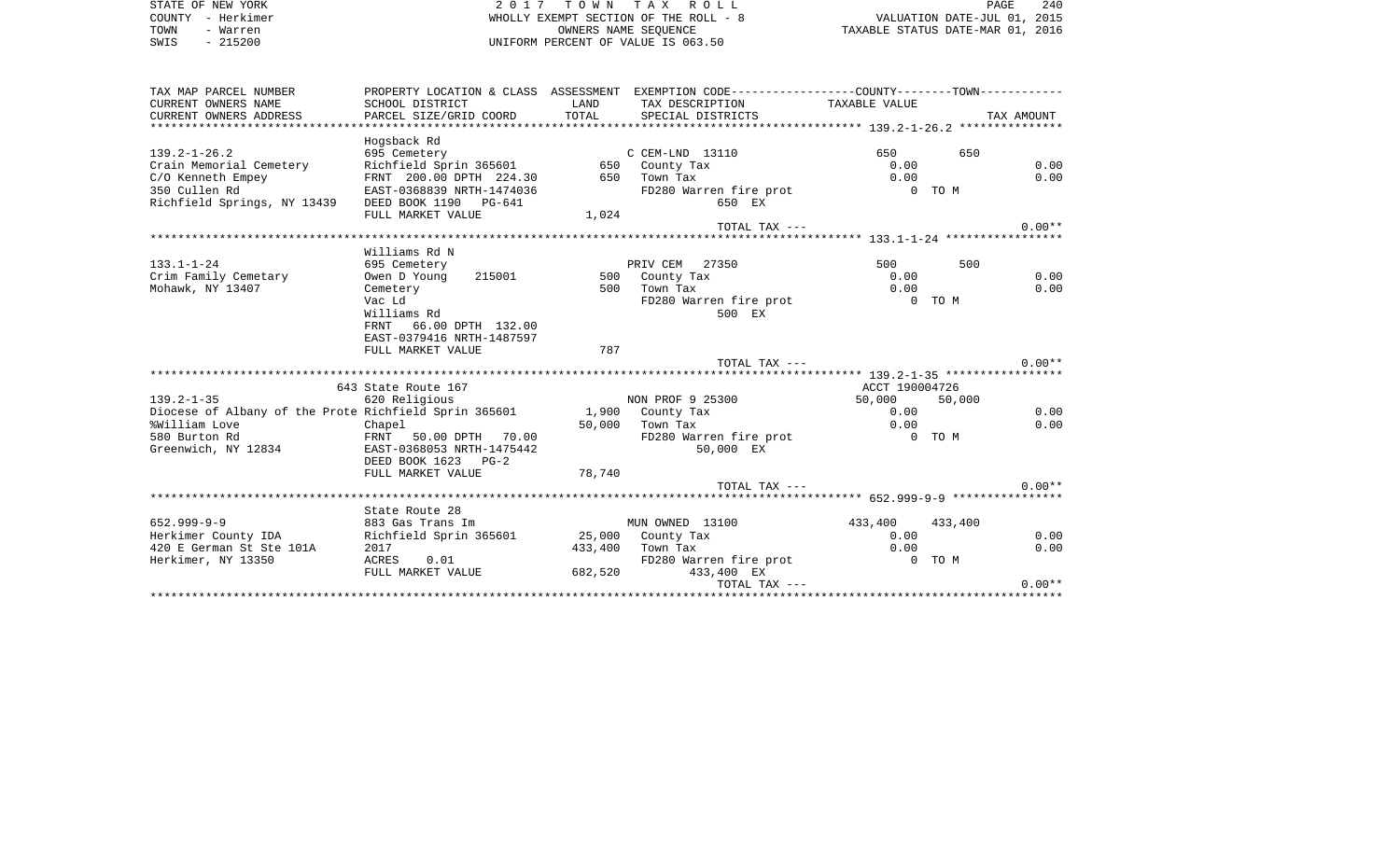|                                                                                                     |                                                                                              |       |                                                             |                                  |                                     | 240          |
|-----------------------------------------------------------------------------------------------------|----------------------------------------------------------------------------------------------|-------|-------------------------------------------------------------|----------------------------------|-------------------------------------|--------------|
| STATE OF NEW YORK<br>COUNTY<br>- Herkimer                                                           |                                                                                              |       | 2017 TOWN TAX ROLL<br>WHOLLY EXEMPT SECTION OF THE ROLL - 8 |                                  | PAGE<br>VALUATION DATE-JUL 01, 2015 |              |
| TOWN<br>- Warren                                                                                    |                                                                                              |       | OWNERS NAME SEQUENCE                                        | TAXABLE STATUS DATE-MAR 01, 2016 |                                     |              |
| $-215200$<br>SWIS                                                                                   |                                                                                              |       | UNIFORM PERCENT OF VALUE IS 063.50                          |                                  |                                     |              |
| TAX MAP PARCEL NUMBER                                                                               | PROPERTY LOCATION & CLASS ASSESSMENT EXEMPTION CODE---------------COUNTY-------TOWN--------- |       |                                                             |                                  |                                     |              |
| CURRENT OWNERS NAME                                                                                 | SCHOOL DISTRICT                                                                              | LAND  | TAX DESCRIPTION TAXABLE VALUE                               |                                  |                                     |              |
| CURRENT OWNERS ADDRESS PARCEL SIZE/GRID COORD                                                       |                                                                                              |       | TOTAL SPECIAL DISTRICTS                                     |                                  |                                     | TAX AMOUNT   |
|                                                                                                     |                                                                                              |       |                                                             |                                  |                                     |              |
|                                                                                                     | Hogsback Rd                                                                                  |       |                                                             |                                  |                                     |              |
| $139.2 - 1 - 26.2$<br>695 Cemetery                                                                  |                                                                                              |       | $C$ $CEM-LND$ 13110                                         | 650 650                          | 650                                 |              |
|                                                                                                     | Richfield Sprin 365601 650 County Tax                                                        |       |                                                             | 0.00                             |                                     | 0.00         |
| Crain Memorial Cemetery Richfield Sprin 365601 650<br>C/O Kenneth Empey FRNT 200.00 DPTH 224.30 650 |                                                                                              |       | Town Tax                                                    | 0.00                             |                                     | 0.00         |
| 350 Cullen Rd                                                                                       | EAST-0368839 NRTH-1474036                                                                    |       | FD280 Warren fire prot 6 0 TOM                              |                                  |                                     |              |
| Richfield Springs, NY 13439                                                                         | DEED BOOK 1190 PG-641                                                                        |       | 650 EX                                                      |                                  |                                     |              |
|                                                                                                     | FULL MARKET VALUE                                                                            | 1,024 |                                                             |                                  |                                     |              |
|                                                                                                     |                                                                                              |       | TOTAL TAX ---                                               |                                  |                                     | $0.00**$     |
|                                                                                                     |                                                                                              |       |                                                             |                                  |                                     |              |
|                                                                                                     | Williams Rd N                                                                                |       |                                                             |                                  |                                     |              |
| $133.1 - 1 - 24$                                                                                    | 695 Cemetery                                                                                 |       | PRIV CEM 27350                                              | 500 000                          | 500                                 |              |
| Crim Family Cemetary<br>Mohawk, NY 13407                                                            | Owen D Young<br>215001<br>Cemetery                                                           |       | 500 County Tax<br>500 Town Tax                              | 0.00<br>0.00                     |                                     | 0.00<br>0.00 |
|                                                                                                     | Vac Ld                                                                                       |       | FD280 Warren fire prot                                      |                                  | 0 TO M                              |              |
|                                                                                                     | Williams Rd                                                                                  |       | 500 EX                                                      |                                  |                                     |              |
|                                                                                                     | FRNT 66.00 DPTH 132.00                                                                       |       |                                                             |                                  |                                     |              |
|                                                                                                     |                                                                                              |       |                                                             |                                  |                                     |              |
|                                                                                                     |                                                                                              |       |                                                             |                                  |                                     |              |
|                                                                                                     | EAST-0379416 NRTH-1487597<br>FULL MARKET VALUE                                               | 787   |                                                             |                                  |                                     |              |

|                          | 643 State Route 167                                         |         |                        | ACCT 190004726  |        |          |
|--------------------------|-------------------------------------------------------------|---------|------------------------|-----------------|--------|----------|
| $139.2 - 1 - 35$         | 620 Religious                                               |         | NON PROF 9 25300       | 50,000          | 50,000 |          |
|                          | Diocese of Albany of the Prote Richfield Sprin 365601 1,900 |         | County Tax             | 0.00            |        | 0.00     |
| %William Love            | Chapel                                                      | 50,000  | Town Tax               | 0.00            |        | 0.00     |
| 580 Burton Rd            | FRNT 50.00 DPTH 70.00                                       |         | FD280 Warren fire prot |                 | 0 TO M |          |
| Greenwich, NY 12834      | EAST-0368053 NRTH-1475442                                   |         | 50,000 EX              |                 |        |          |
|                          | DEED BOOK 1623 PG-2                                         |         |                        |                 |        |          |
|                          | FULL MARKET VALUE                                           | 78,740  |                        |                 |        |          |
|                          |                                                             |         | TOTAL TAX ---          |                 |        | $0.00**$ |
|                          |                                                             |         |                        |                 |        |          |
|                          | State Route 28                                              |         |                        |                 |        |          |
| 652.999-9-9              | 883 Gas Trans Im                                            |         | MUN OWNED 13100        | 433,400 433,400 |        |          |
| Herkimer County IDA      | Richfield Sprin 365601                                      | 25,000  | County Tax             | 0.00            |        | 0.00     |
| 420 E German St Ste 101A | 2017                                                        | 433,400 | Town Tax               | 0.00            |        | 0.00     |
| Herkimer, NY 13350       | 0.01<br>ACRES                                               |         | FD280 Warren fire prot |                 | 0 TO M |          |
|                          | FULL MARKET VALUE                                           | 682,520 | 433,400 EX             |                 |        |          |
|                          |                                                             |         | TOTAL TAX $---$        |                 |        | $0.00**$ |
|                          |                                                             |         |                        |                 |        |          |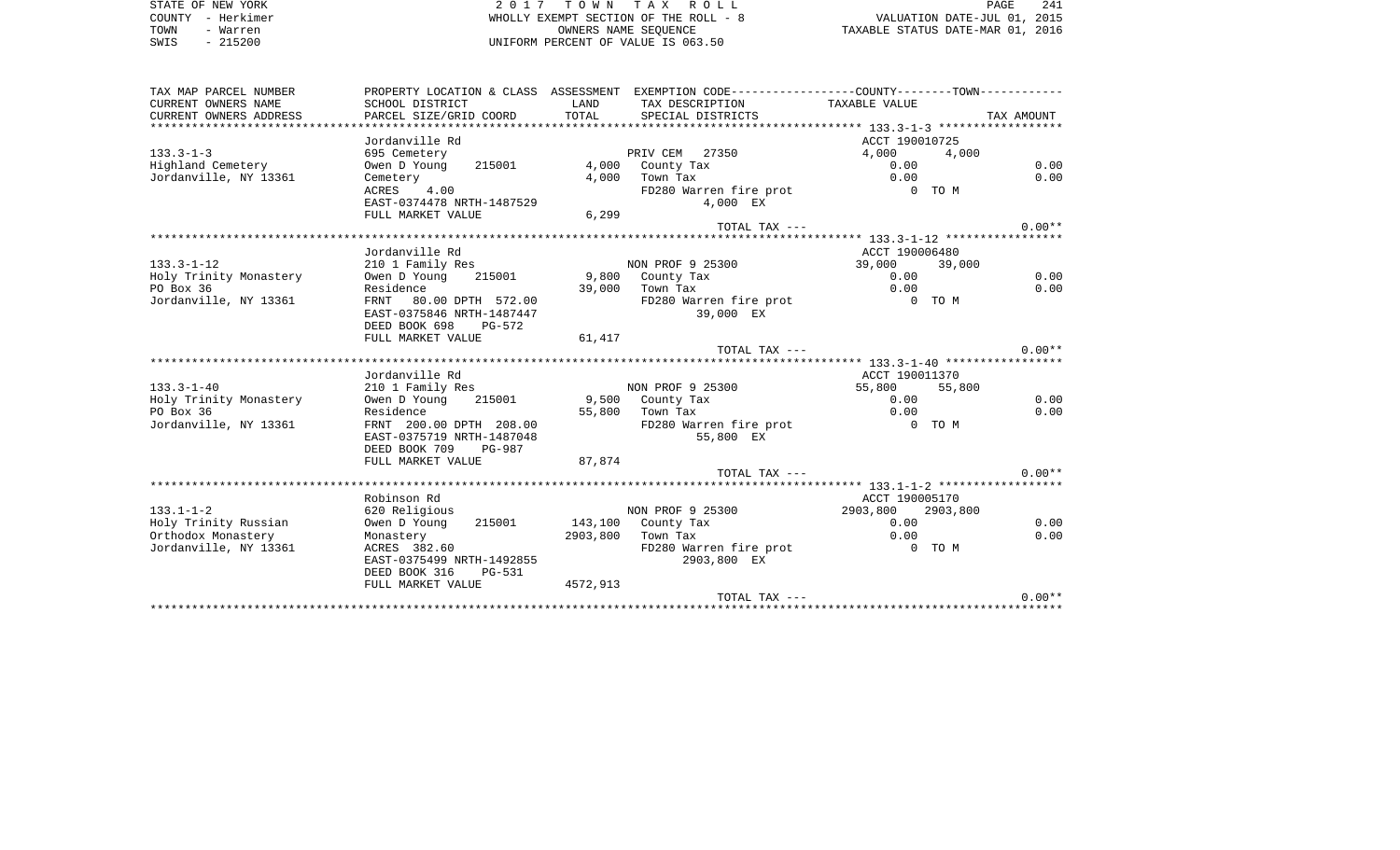STATE OF NEW YORK 2 0 1 7 T O W N T A X R O L L PAGE 241COUNTY - Herkimer WHOLLY EXEMPT SECTION OF THE ROLL - 8 VALUATION DATE-JUL 01, 2015 TOWN - Warren OWNERS NAME SEQUENCE TAXABLE STATUS DATE-MAR 01, 2016 SWIS - 215200 UNIFORM PERCENT OF VALUE IS 063.50

TAX MAP PARCEL NUMBER PROPERTY LOCATION & CLASS ASSESSMENT EXEMPTION CODE------------------COUNTY--------TOWN------------ CURRENT OWNERS NAME SCHOOL DISTRICT LAND TAX DESCRIPTION TAXABLE VALUECURRENT OWNERS ADDRESS PARCEL SIZE/GRID COORD TOTAL SPECIAL DISTRICTS TAX AMOUNT \*\*\*\*\*\*\*\*\*\*\*\*\*\*\*\*\*\*\*\*\*\*\*\*\*\*\*\*\*\*\*\*\*\*\*\*\*\*\*\*\*\*\*\*\*\*\*\*\*\*\*\*\*\*\*\*\*\*\*\*\*\*\*\*\*\*\*\*\*\*\*\*\*\*\*\*\*\*\*\*\*\*\*\*\*\*\*\*\*\*\*\*\*\*\*\*\*\*\*\*\*\*\* 133.3-1-3 \*\*\*\*\*\*\*\*\*\*\*\*\*\*\*\*\*\*Jordanville Rd ACCT 190010725 133.3-1-3 695 Cemetery PRIV CEM 27350 4,000 4,000 Highland Cemetery Owen D Young 215001 4,000 County Tax 0.00 0.00 Jordanville, NY 13361 Cemetery 4,000 Town Tax 0.00 0.00 ACRES 4.00 FD280 Warren fire prot 0 TO M EAST-0374478 NRTH-1487529 FULL MARKET VALUE 6,299 TOTAL TAX  $---$  0.00\*\* \*\*\*\*\*\*\*\*\*\*\*\*\*\*\*\*\*\*\*\*\*\*\*\*\*\*\*\*\*\*\*\*\*\*\*\*\*\*\*\*\*\*\*\*\*\*\*\*\*\*\*\*\*\*\*\*\*\*\*\*\*\*\*\*\*\*\*\*\*\*\*\*\*\*\*\*\*\*\*\*\*\*\*\*\*\*\*\*\*\*\*\*\*\*\*\*\*\*\*\*\*\*\* 133.3-1-12 \*\*\*\*\*\*\*\*\*\*\*\*\*\*\*\*\* Jordanville Rd **ACCT** 190006480 133.3-1-12 210 1 Family Res NON PROF 9 25300 39,000 39,000 Holy Trinity Monastery Owen D Young 215001 9,800 County Tax 0.00 0.00 PO Box 36 **Residence** 8 89,000 Town Tax 0.00 0.00 0.00 Jordanville, NY 13361 FRNT 80.00 DPTH 572.00 FD280 Warren fire prot 0 TO M EAST-0375846 NRTH-1487447 39,000 EX DEED BOOK 698 PG-572FULL MARKET VALUE 61,417 TOTAL TAX  $---$  0.00\*\* \*\*\*\*\*\*\*\*\*\*\*\*\*\*\*\*\*\*\*\*\*\*\*\*\*\*\*\*\*\*\*\*\*\*\*\*\*\*\*\*\*\*\*\*\*\*\*\*\*\*\*\*\*\*\*\*\*\*\*\*\*\*\*\*\*\*\*\*\*\*\*\*\*\*\*\*\*\*\*\*\*\*\*\*\*\*\*\*\*\*\*\*\*\*\*\*\*\*\*\*\*\*\* 133.3-1-40 \*\*\*\*\*\*\*\*\*\*\*\*\*\*\*\*\* Jordanville Rd ACCT 190011370133.3-1-40 210 1 Family Res NON PROF 9 25300 55,800 55,800 Holy Trinity Monastery Owen D Young 215001 9,500 County Tax 0.00 0.00 PO Box 36 Residence 55,800 Town Tax 0.00 0.00 Jordanville, NY 13361 FRNT 200.00 DPTH 208.00 FD280 Warren fire prot 0 TO M EAST-0375719 NRTH-1487048 DEED BOOK 709 PG-987FULL MARKET VALUE 87,874 TOTAL TAX  $---$  0.00\*\* \*\*\*\*\*\*\*\*\*\*\*\*\*\*\*\*\*\*\*\*\*\*\*\*\*\*\*\*\*\*\*\*\*\*\*\*\*\*\*\*\*\*\*\*\*\*\*\*\*\*\*\*\*\*\*\*\*\*\*\*\*\*\*\*\*\*\*\*\*\*\*\*\*\*\*\*\*\*\*\*\*\*\*\*\*\*\*\*\*\*\*\*\*\*\*\*\*\*\*\*\*\*\* 133.1-1-2 \*\*\*\*\*\*\*\*\*\*\*\*\*\*\*\*\*\*Robinson Rd ACCT 190005170 133.1-1-2 620 Religious NON PROF 9 25300 2903,800 2903,800 Holy Trinity Russian Owen D Young 215001 143,100 County Tax 0.00 0.00 Orthodox Monastery Monastery 2903,800 Town Tax 0.00 0.00 Jordanville, NY 13361 ACRES 382.60 ACRES 282.60 FD280 Warren fire prot 0 TO M EAST-0375499 NRTH-1492855 2903,800 EX DEED BOOK 316 PG-531FULL MARKET VALUE 4572, 913 TOTAL TAX  $---$  0.00\*\* \*\*\*\*\*\*\*\*\*\*\*\*\*\*\*\*\*\*\*\*\*\*\*\*\*\*\*\*\*\*\*\*\*\*\*\*\*\*\*\*\*\*\*\*\*\*\*\*\*\*\*\*\*\*\*\*\*\*\*\*\*\*\*\*\*\*\*\*\*\*\*\*\*\*\*\*\*\*\*\*\*\*\*\*\*\*\*\*\*\*\*\*\*\*\*\*\*\*\*\*\*\*\*\*\*\*\*\*\*\*\*\*\*\*\*\*\*\*\*\*\*\*\*\*\*\*\*\*\*\*\*\*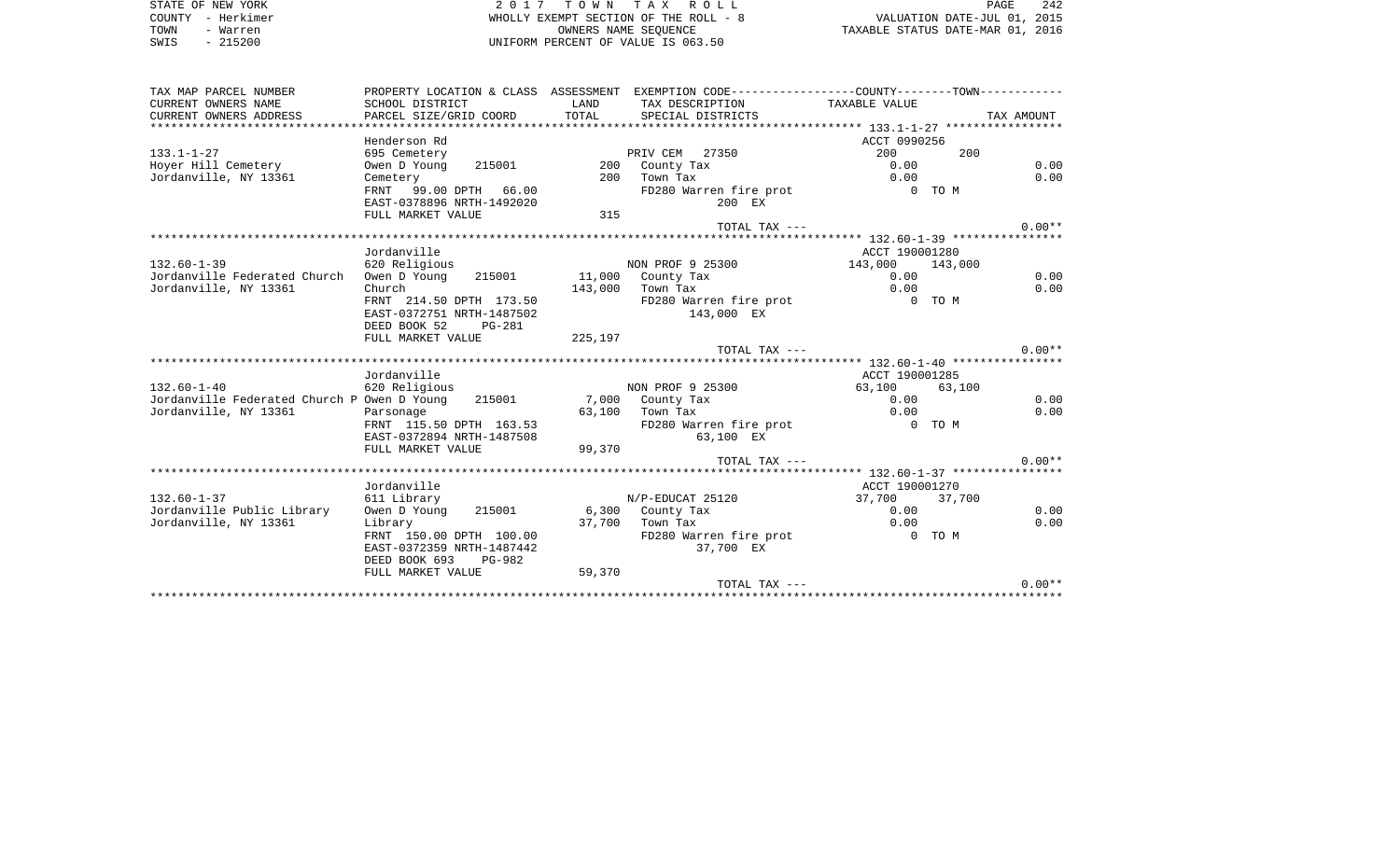STATE OF NEW YORK **EXECUTE:**  $2017$  TOWN TAX ROLL COUNTY - Herkimer WHOLLY EXEMPT SECTION OF THE ROLL - 8 VALUATION DATE-JUL 01, 2015 TOWN - Warren OWNERS NAME SEQUENCE TAXABLE STATUS DATE-MAR 01, 2016 SWIS - 215200 UNIFORM PERCENT OF VALUE IS 063.50

| TAX MAP PARCEL NUMBER                                               |                                       |         | PROPERTY LOCATION & CLASS ASSESSMENT EXEMPTION CODE----------------COUNTY-------TOWN---------- |                 |        |            |
|---------------------------------------------------------------------|---------------------------------------|---------|------------------------------------------------------------------------------------------------|-----------------|--------|------------|
| CURRENT OWNERS NAME                                                 | SCHOOL DISTRICT                       | LAND    | TAX DESCRIPTION                                                                                | TAXABLE VALUE   |        |            |
| CURRENT OWNERS ADDRESS                                              | PARCEL SIZE/GRID COORD                | TOTAL   | SPECIAL DISTRICTS                                                                              |                 |        | TAX AMOUNT |
|                                                                     |                                       |         |                                                                                                |                 |        |            |
|                                                                     | Henderson Rd                          |         |                                                                                                | ACCT 0990256    |        |            |
| $133.1 - 1 - 27$                                                    | 695 Cemetery                          |         | PRIV CEM 27350                                                                                 | 200             | 200    |            |
| Hoyer Hill Cemetery                                                 | Owen D Young<br>215001                |         | 200 County Tax                                                                                 | 0.00            |        | 0.00       |
| Jordanville, NY 13361                                               | Cemetery                              | 200     | Town Tax                                                                                       | 0.00            |        | 0.00       |
|                                                                     | FRNT 99.00 DPTH 66.00                 |         | FD280 Warren fire prot                                                                         | 0 TO M          |        |            |
|                                                                     | EAST-0378896 NRTH-1492020             |         | 200 EX                                                                                         |                 |        |            |
|                                                                     | FULL MARKET VALUE                     | 315     |                                                                                                |                 |        |            |
|                                                                     |                                       |         | TOTAL TAX ---                                                                                  |                 |        | $0.00**$   |
|                                                                     |                                       |         |                                                                                                |                 |        |            |
|                                                                     | Jordanville                           |         |                                                                                                | ACCT 190001280  |        |            |
| $132.60 - 1 - 39$                                                   | 620 Religious                         |         | NON PROF 9 25300                                                                               | 143,000 143,000 |        |            |
| Jordanville Federated Church                                        | Owen D Young 215001 11,000 County Tax |         |                                                                                                | 0.00            |        | 0.00       |
| Jordanville, NY 13361                                               | Church                                | 143,000 | Town Tax                                                                                       | 0.00            |        | 0.00       |
|                                                                     | FRNT 214.50 DPTH 173.50               |         | FD280 Warren fire prot                                                                         | 0 TO M          |        |            |
|                                                                     | EAST-0372751 NRTH-1487502             |         | 143,000 EX                                                                                     |                 |        |            |
|                                                                     | DEED BOOK 52<br><b>PG-281</b>         |         |                                                                                                |                 |        |            |
|                                                                     |                                       |         |                                                                                                |                 |        |            |
|                                                                     | FULL MARKET VALUE                     | 225,197 |                                                                                                |                 |        | $0.00**$   |
|                                                                     |                                       |         | TOTAL TAX ---                                                                                  |                 |        |            |
|                                                                     |                                       |         |                                                                                                |                 |        |            |
|                                                                     | Jordanville                           |         |                                                                                                | ACCT 190001285  |        |            |
| $132.60 - 1 - 40$                                                   | 620 Religious                         |         | NON PROF 9 25300                                                                               | 63,100          | 63,100 |            |
| Jordanville Federated Church P Owen D Young 215001 7,000 County Tax |                                       |         |                                                                                                | 0.00            |        | 0.00       |
| Jordanville, NY 13361                                               | Parsonage                             |         | 63,100 Town Tax                                                                                | 0.00            |        | 0.00       |
|                                                                     | FRNT 115.50 DPTH 163.53               |         | FD280 Warren fire prot                                                                         | 0 TO M          |        |            |
|                                                                     | EAST-0372894 NRTH-1487508             |         | 63,100 EX                                                                                      |                 |        |            |
|                                                                     | FULL MARKET VALUE                     | 99,370  |                                                                                                |                 |        |            |
|                                                                     |                                       |         | TOTAL TAX ---                                                                                  |                 |        | $0.00**$   |
|                                                                     |                                       |         |                                                                                                |                 |        |            |
|                                                                     | Jordanville                           |         |                                                                                                | ACCT 190001270  |        |            |
| $132.60 - 1 - 37$                                                   |                                       |         |                                                                                                |                 |        |            |
|                                                                     | 611 Library                           |         | N/P-EDUCAT 25120                                                                               | 37,700 37,700   |        |            |
| Jordanville Public Library                                          | Owen D Young 215001                   |         | 6,300 County Tax                                                                               | 0.00            |        | 0.00       |
| Jordanville, NY 13361                                               | Library                               | 37,700  | Town Tax                                                                                       | 0.00            |        | 0.00       |
|                                                                     | FRNT 150.00 DPTH 100.00               |         | FD280 Warren fire prot 6 0 TO M                                                                |                 |        |            |
|                                                                     | EAST-0372359 NRTH-1487442             |         | 37,700 EX                                                                                      |                 |        |            |
|                                                                     | DEED BOOK 693<br>PG-982               |         |                                                                                                |                 |        |            |
|                                                                     | FULL MARKET VALUE                     | 59,370  |                                                                                                |                 |        |            |
|                                                                     |                                       |         | TOTAL TAX ---                                                                                  |                 |        | $0.00**$   |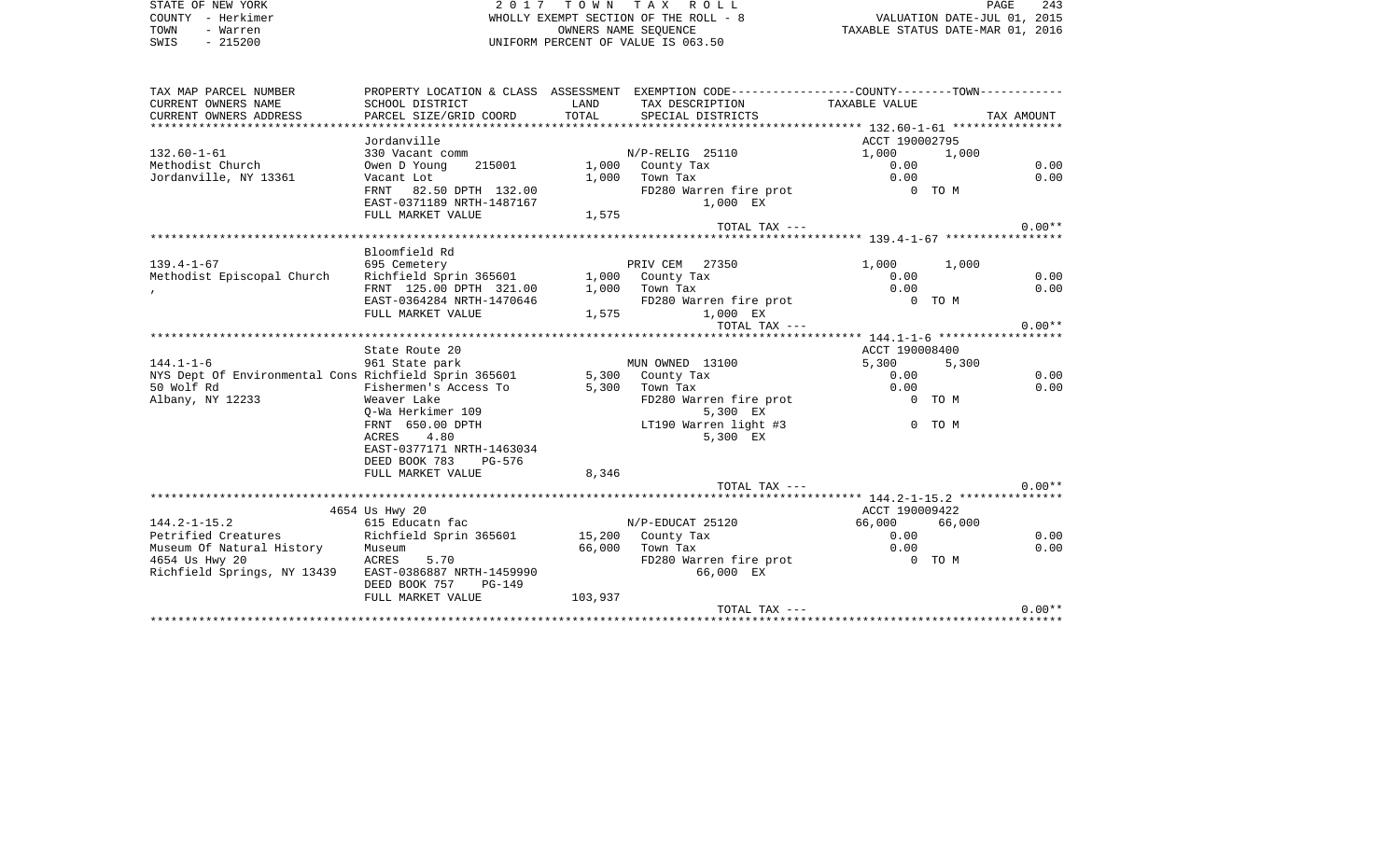|      | STATE OF NEW YORK | 2017 TOWN TAX ROLL                    | PAGE                             | 243 |
|------|-------------------|---------------------------------------|----------------------------------|-----|
|      | COUNTY - Herkimer | WHOLLY EXEMPT SECTION OF THE ROLL - 8 | VALUATION DATE-JUL 01, 2015      |     |
| TOWN | - Warren          | OWNERS NAME SEOUENCE                  | TAXABLE STATUS DATE-MAR 01, 2016 |     |
| SWIS | $-215200$         | UNIFORM PERCENT OF VALUE IS 063.50    |                                  |     |

| TAX MAP PARCEL NUMBER                                                                |                                         |                   | PROPERTY LOCATION & CLASS ASSESSMENT EXEMPTION CODE---------------COUNTY-------TOWN---------- |                         |        |            |
|--------------------------------------------------------------------------------------|-----------------------------------------|-------------------|-----------------------------------------------------------------------------------------------|-------------------------|--------|------------|
| CURRENT OWNERS NAME                                                                  | SCHOOL DISTRICT                         | LAND              | TAX DESCRIPTION TAXABLE VALUE                                                                 |                         |        |            |
| CURRENT OWNERS ADDRESS                                                               | PARCEL SIZE/GRID COORD                  | TOTAL             | SPECIAL DISTRICTS                                                                             |                         |        | TAX AMOUNT |
|                                                                                      |                                         |                   |                                                                                               |                         |        |            |
|                                                                                      | Jordanville                             |                   |                                                                                               | ACCT 190002795          |        |            |
| $132.60 - 1 - 61$                                                                    | 330 Vacant comm                         |                   | $N/P-RELLIG$ 25110                                                                            | 1,000 1,000             |        |            |
| Methodist Church                                                                     | Owen D Young                            |                   | 215001 1,000 County Tax                                                                       | 0.00                    |        | 0.00       |
| Jordanville, NY 13361                                                                | Vacant Lot                              |                   | $1,000$ Town Tax                                                                              | 0.00                    |        | 0.00       |
|                                                                                      | FRNT 82.50 DPTH 132.00                  |                   | FD280 Warren fire prot                                                                        | 0 TO M                  |        |            |
|                                                                                      | EAST-0371189 NRTH-1487167               |                   | 1,000 EX                                                                                      |                         |        |            |
|                                                                                      | FULL MARKET VALUE                       | 1,575             |                                                                                               |                         |        |            |
|                                                                                      |                                         |                   | TOTAL TAX ---                                                                                 |                         |        | $0.00**$   |
|                                                                                      |                                         |                   |                                                                                               |                         |        |            |
|                                                                                      | Bloomfield Rd                           |                   |                                                                                               |                         |        |            |
| $139.4 - 1 - 67$                                                                     | 695 Cemetery                            |                   | PRIV CEM 27350                                                                                | 1,000 1,000             |        |            |
| Methodist Episcopal Church                                                           | Richfield Sprin 365601 1,000 County Tax |                   |                                                                                               | 0.00                    |        | 0.00       |
|                                                                                      | FRNT 125.00 DPTH 321.00                 |                   | $1,000$ Town Tax                                                                              | 0.00                    |        | 0.00       |
|                                                                                      | EAST-0364284 NRTH-1470646               |                   | FD280 Warren fire prot                                                                        | $0$ TOM                 |        |            |
|                                                                                      | FULL MARKET VALUE                       | $\frac{1}{1.575}$ | 1,575 1,000 EX                                                                                |                         |        |            |
|                                                                                      |                                         |                   | TOTAL TAX ---                                                                                 |                         |        | $0.00**$   |
|                                                                                      |                                         |                   |                                                                                               |                         |        |            |
| $144.1 - 1 - 6$                                                                      | State Route 20<br>961 State park        |                   | MUN OWNED 13100                                                                               | ACCT 190008400<br>5,300 | 5,300  |            |
|                                                                                      |                                         |                   |                                                                                               |                         |        | 0.00       |
| NYS Dept Of Environmental Cons Richfield Sprin 365601 5,300 County Tax<br>50 Wolf Rd | Fishermen's Access To                   |                   | 5,300 Town Tax                                                                                | 0.00<br>0.00            |        | 0.00       |
| Albany, NY 12233                                                                     | Weaver Lake                             |                   | FD280 Warren fire prot                                                                        | 0 TO M                  |        |            |
|                                                                                      | O-Wa Herkimer 109                       |                   | 5,300 EX                                                                                      |                         |        |            |
|                                                                                      | FRNT 650.00 DPTH                        |                   | LT190 Warren light #3                                                                         |                         | 0 TO M |            |
|                                                                                      | ACRES 4.80                              |                   | 5,300 EX                                                                                      |                         |        |            |
|                                                                                      | EAST-0377171 NRTH-1463034               |                   |                                                                                               |                         |        |            |
|                                                                                      | DEED BOOK 783<br>PG-576                 |                   |                                                                                               |                         |        |            |
|                                                                                      | FULL MARKET VALUE                       | 8,346             |                                                                                               |                         |        |            |
|                                                                                      |                                         |                   | TOTAL TAX ---                                                                                 |                         |        | $0.00**$   |
|                                                                                      |                                         |                   |                                                                                               |                         |        |            |
|                                                                                      | 4654 Us Hwy 20                          |                   |                                                                                               | ACCT 190009422          |        |            |
| $144.2 - 1 - 15.2$                                                                   | 615 Educatn fac                         |                   | N/P-EDUCAT 25120                                                                              | 66,000                  | 66,000 |            |
| Petrified Creatures 6. Richfield Sprin 365601 15,200 County Tax                      |                                         |                   |                                                                                               | 0.00                    |        | 0.00       |
|                                                                                      |                                         |                   | 66,000 Town Tax                                                                               | 0.00                    |        | 0.00       |
|                                                                                      |                                         |                   | FD280 Warren fire prot                                                                        | $0$ TOM                 |        |            |
| Richfield Springs, NY 13439 EAST-0386887 NRTH-1459990                                |                                         |                   | 66,000 EX                                                                                     |                         |        |            |
|                                                                                      | DEED BOOK 757<br>PG-149                 |                   |                                                                                               |                         |        |            |
|                                                                                      | FULL MARKET VALUE                       | 103,937           |                                                                                               |                         |        |            |
|                                                                                      |                                         |                   | TOTAL TAX ---                                                                                 |                         |        | $0.00**$   |
|                                                                                      |                                         |                   |                                                                                               |                         |        |            |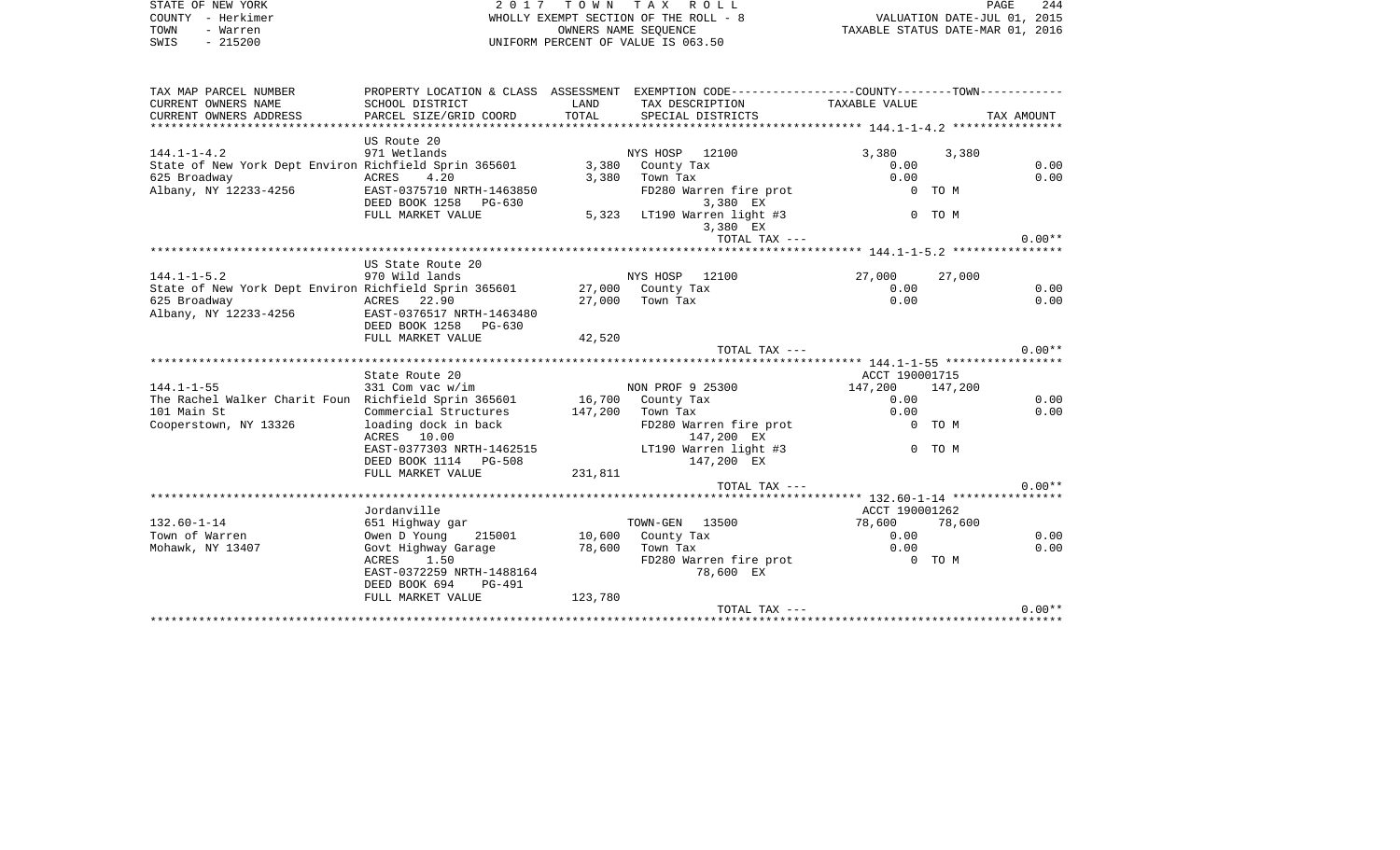|      | STATE OF NEW YORK | 2017 TOWN TAX ROLL                    | 244<br>PAGE                      |
|------|-------------------|---------------------------------------|----------------------------------|
|      | COUNTY - Herkimer | WHOLLY EXEMPT SECTION OF THE ROLL - 8 | VALUATION DATE-JUL 01, 2015      |
| TOWN | - Warren          | OWNERS NAME SEOUENCE                  | TAXABLE STATUS DATE-MAR 01, 2016 |
| SWIS | $-215200$         | UNIFORM PERCENT OF VALUE IS 063.50    |                                  |

| TAX MAP PARCEL NUMBER                                                                                                  |                                        |         | PROPERTY LOCATION & CLASS ASSESSMENT EXEMPTION CODE---------------COUNTY-------TOWN---------- |                 |        |            |
|------------------------------------------------------------------------------------------------------------------------|----------------------------------------|---------|-----------------------------------------------------------------------------------------------|-----------------|--------|------------|
| CURRENT OWNERS NAME                                                                                                    | SCHOOL DISTRICT                        | LAND    | TAX DESCRIPTION TAXABLE VALUE                                                                 |                 |        |            |
| CURRENT OWNERS ADDRESS                                                                                                 | PARCEL SIZE/GRID COORD                 | TOTAL   | SPECIAL DISTRICTS                                                                             |                 |        | TAX AMOUNT |
|                                                                                                                        |                                        |         |                                                                                               |                 |        |            |
|                                                                                                                        | US Route 20                            |         |                                                                                               |                 |        |            |
| $144.1 - 1 - 4.2$                                                                                                      | 971 Wetlands                           |         | NYS HOSP 12100                                                                                | 3,380           | 3,380  |            |
| State of New York Dept Environ Richfield Sprin 365601 3,380 County Tax                                                 |                                        |         |                                                                                               | 0.00            |        | 0.00       |
| o25 Broadway<br>Albany, NY 12233-4256                                                                                  | ACRES 4.20                             |         | 3,380 Town Tax                                                                                | 0.00            |        | 0.00       |
|                                                                                                                        | EAST-0375710 NRTH-1463850              |         | FD280 Warren fire prot                                                                        |                 | 0 TO M |            |
|                                                                                                                        | DEED BOOK 1258 PG-630                  |         | 3,380 EX                                                                                      |                 |        |            |
|                                                                                                                        | FULL MARKET VALUE                      |         | 5,323 LT190 Warren light #3                                                                   |                 | 0 TO M |            |
|                                                                                                                        |                                        |         | 3,380 EX                                                                                      |                 |        |            |
|                                                                                                                        |                                        |         | TOTAL TAX ---                                                                                 |                 |        | $0.00**$   |
|                                                                                                                        |                                        |         |                                                                                               |                 |        |            |
|                                                                                                                        | US State Route 20                      |         |                                                                                               |                 |        |            |
| $144.1 - 1 - 5.2$                                                                                                      | 970 Wild lands                         |         | NYS HOSP 12100                                                                                | 27,000 27,000   |        |            |
| State of New York Dept Environ Richfield Sprin 365601 27,000 County Tax                                                |                                        |         |                                                                                               | 0.00            |        | 0.00       |
| 625 Broadway<br>ACRES 22.90<br>33-4256 EAST-0376517                                                                    |                                        |         | 27,000 Town Tax                                                                               | 0.00            |        | 0.00       |
| Albany, NY 12233-4256                                                                                                  | EAST-0376517 NRTH-1463480              |         |                                                                                               |                 |        |            |
|                                                                                                                        | DEED BOOK 1258 PG-630                  |         |                                                                                               |                 |        |            |
|                                                                                                                        | FULL MARKET VALUE                      | 42,520  |                                                                                               |                 |        |            |
|                                                                                                                        |                                        |         | TOTAL TAX ---                                                                                 |                 |        | $0.00**$   |
|                                                                                                                        |                                        |         |                                                                                               |                 |        |            |
|                                                                                                                        | State Route 20                         |         |                                                                                               | ACCT 190001715  |        |            |
| 144.1-1-55 331 Com vac w/im NON PROF 9 25300<br>The Rachel Walker Charit Foun Richfield Sprin 365601 16,700 County Tax |                                        |         |                                                                                               | 147,200 147,200 |        |            |
|                                                                                                                        |                                        |         |                                                                                               | 0.00            |        | 0.00       |
| 101 Main St                                                                                                            | Commercial Structures 147,200 Town Tax |         |                                                                                               | 0.00            |        | 0.00       |
| Cooperstown, NY 13326                                                                                                  | loading dock in back                   |         | FD280 Warren fire prot                                                                        | 0 TO M          |        |            |
|                                                                                                                        | ACRES 10.00                            |         | 147,200 EX                                                                                    |                 |        |            |
|                                                                                                                        | EAST-0377303 NRTH-1462515              |         | LT190 Warren light #3                                                                         |                 | 0 TO M |            |
|                                                                                                                        | DEED BOOK 1114 PG-508                  | 231,811 | 147,200 EX                                                                                    |                 |        |            |
|                                                                                                                        | FULL MARKET VALUE                      |         |                                                                                               |                 |        |            |
|                                                                                                                        |                                        |         | TOTAL TAX ---                                                                                 |                 |        | $0.00**$   |
|                                                                                                                        |                                        |         |                                                                                               |                 |        |            |
|                                                                                                                        | Jordanville                            |         |                                                                                               | ACCT 190001262  |        |            |
| $132.60 - 1 - 14$                                                                                                      | 651 Highway gar                        |         | TOWN-GEN 13500                                                                                | 78,600 78,600   |        |            |
| Town of Warren                                                                                                         | Owen D Young                           |         | 215001 10,600 County Tax                                                                      | 0.00            |        | 0.00       |
| Mohawk, NY 13407                                                                                                       | Govt Highway Garage                    |         | 78,600 Town Tax<br>Town Tax<br>FD280 Warren fire prot                                         | 0.00            |        | 0.00       |
|                                                                                                                        | ACRES 1.50                             |         |                                                                                               | 0 TO M          |        |            |
|                                                                                                                        | EAST-0372259 NRTH-1488164              |         | 78,600 EX                                                                                     |                 |        |            |
|                                                                                                                        | DEED BOOK 694<br>PG-491                |         |                                                                                               |                 |        |            |
|                                                                                                                        | FULL MARKET VALUE                      | 123,780 |                                                                                               |                 |        |            |
|                                                                                                                        |                                        |         | TOTAL TAX ---                                                                                 |                 |        | $0.00**$   |
|                                                                                                                        |                                        |         |                                                                                               |                 |        |            |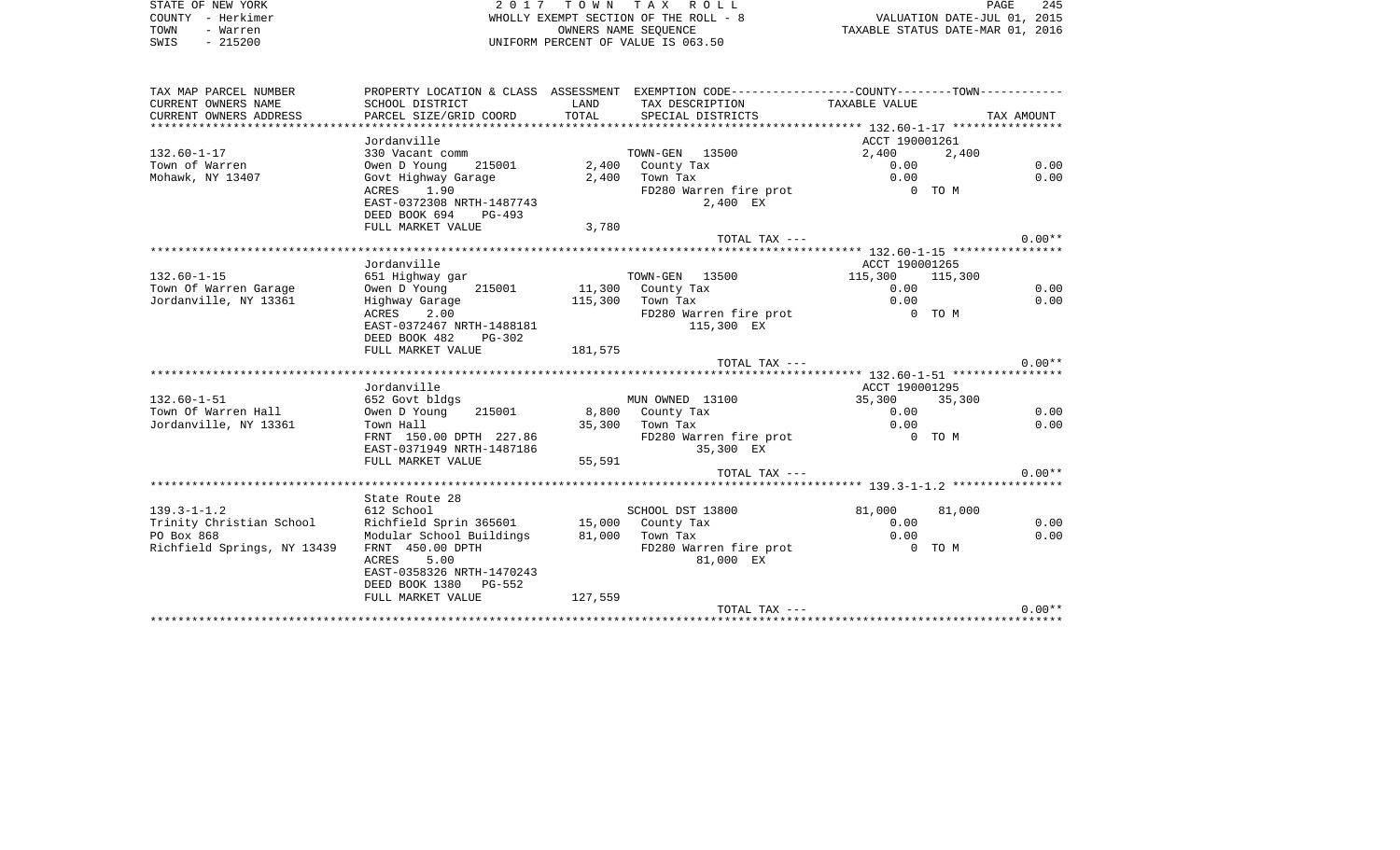STATE OF NEW YORK **EXECUTE:**  $2017$  TOWN TAX ROLL COUNTY - Herkimer WHOLLY EXEMPT SECTION OF THE ROLL - 8 VALUATION DATE-JUL 01, 2015 TOWN - Warren OWNERS NAME SEQUENCE TAXABLE STATUS DATE-MAR 01, 2016 SWIS - 215200 UNIFORM PERCENT OF VALUE IS 063.50

| TAX MAP PARCEL NUMBER       |                                                                                                           |         | PROPERTY LOCATION & CLASS ASSESSMENT EXEMPTION CODE---------------COUNTY-------TOWN---------- |                 |       |            |
|-----------------------------|-----------------------------------------------------------------------------------------------------------|---------|-----------------------------------------------------------------------------------------------|-----------------|-------|------------|
| CURRENT OWNERS NAME         | SCHOOL DISTRICT                                                                                           | LAND    | TAX DESCRIPTION TAXABLE VALUE                                                                 |                 |       |            |
| CURRENT OWNERS ADDRESS      | PARCEL SIZE/GRID COORD                                                                                    | TOTAL   | SPECIAL DISTRICTS                                                                             |                 |       | TAX AMOUNT |
|                             |                                                                                                           |         |                                                                                               |                 |       |            |
|                             | Jordanville                                                                                               |         |                                                                                               | ACCT 190001261  |       |            |
| $132.60 - 1 - 17$           | 330 Vacant comm                                                                                           |         | TOWN-GEN 13500                                                                                | 2,400           | 2,400 |            |
| Town of Warren              | Owen D Young<br>215001                                                                                    |         | 2,400 County Tax                                                                              | 0.00            |       | 0.00       |
| Mohawk, NY 13407            | Govt Highway Garage                                                                                       |         | $2,400$ Town Tax                                                                              | 0.00            |       | 0.00       |
|                             | ACRES 1.90                                                                                                |         | FD280 Warren fire prot 6 0 TO M                                                               |                 |       |            |
|                             | EAST-0372308 NRTH-1487743                                                                                 |         | 2,400 EX                                                                                      |                 |       |            |
|                             | DEED BOOK 694 PG-493                                                                                      |         |                                                                                               |                 |       |            |
|                             | FULL MARKET VALUE                                                                                         | 3,780   |                                                                                               |                 |       |            |
|                             |                                                                                                           |         | TOTAL TAX ---                                                                                 |                 |       | $0.00**$   |
|                             |                                                                                                           |         |                                                                                               |                 |       |            |
|                             | Jordanville                                                                                               |         |                                                                                               | ACCT 190001265  |       |            |
| $132.60 - 1 - 15$           | 651 Highway gar                                                                                           |         | TOWN-GEN 13500                                                                                | 115,300 115,300 |       |            |
| Town Of Warren Garage       | Owen D Young 215001                                                                                       |         | 11,300 County Tax                                                                             | 0.00            |       | 0.00       |
| Jordanville, NY 13361       | Highway Garage                                                                                            |         | 115,300 Town Tax                                                                              | 0.00            |       | 0.00       |
|                             | ACRES<br>2.00                                                                                             |         | FD280 Warren fire prot 6 0 TO M                                                               |                 |       |            |
|                             | EAST-0372467 NRTH-1488181                                                                                 |         | 115,300 EX                                                                                    |                 |       |            |
|                             | DEED BOOK 482 PG-302                                                                                      |         |                                                                                               |                 |       |            |
|                             | FULL MARKET VALUE                                                                                         | 181,575 |                                                                                               |                 |       | $0.00**$   |
|                             |                                                                                                           |         | TOTAL TAX ---                                                                                 |                 |       |            |
|                             | Jordanville                                                                                               |         |                                                                                               | ACCT 190001295  |       |            |
| $132.60 - 1 - 51$           | 652 Govt bldgs                                                                                            |         | MUN OWNED 13100                                                                               | 35,300 35,300   |       |            |
| Town Of Warren Hall         | Owen D Young<br>215001                                                                                    |         |                                                                                               | 0.00            |       | 0.00       |
| Jordanville, NY 13361       | Town Hall                                                                                                 |         | 8,800    County Tax<br>35,300    Town Tax                                                     | 0.00            |       | 0.00       |
|                             |                                                                                                           |         | FD280 Warren fire prot                                                                        | 0 TO M          |       |            |
|                             | Town Hall<br>FRNT 150.00 DPTH 227.86<br>1407106<br><b>EAST-0371949 NRTH-1487186</b><br>FIILL MARKET VALUE |         | 35,300 EX                                                                                     |                 |       |            |
|                             |                                                                                                           | 55,591  |                                                                                               |                 |       |            |
|                             |                                                                                                           |         | TOTAL TAX ---                                                                                 |                 |       | $0.00**$   |
|                             |                                                                                                           |         |                                                                                               |                 |       |            |
|                             | State Route 28                                                                                            |         |                                                                                               |                 |       |            |
| $139.3 - 1 - 1.2$           | 612 School                                                                                                |         | SCHOOL DST 13800                                                                              | 81,000 81,000   |       |            |
| Trinity Christian School    | Richfield Sprin 365601 15,000 County Tax                                                                  |         |                                                                                               | 0.00            |       | 0.00       |
| PO Box 868                  | Modular School Buildings 81,000 Town Tax                                                                  |         |                                                                                               | 0.00            |       | 0.00       |
| Richfield Springs, NY 13439 | FRNT 450.00 DPTH                                                                                          |         | FD280 Warren fire prot                                                                        | $0$ TOM         |       |            |
|                             | 5.00<br>ACRES                                                                                             |         | 81,000 EX                                                                                     |                 |       |            |
|                             | EAST-0358326 NRTH-1470243                                                                                 |         |                                                                                               |                 |       |            |
|                             | DEED BOOK 1380 PG-552                                                                                     |         |                                                                                               |                 |       |            |
|                             |                                                                                                           |         |                                                                                               |                 |       |            |
|                             | FULL MARKET VALUE                                                                                         | 127,559 |                                                                                               |                 |       |            |
|                             |                                                                                                           |         | TOTAL TAX ---                                                                                 |                 |       | $0.00**$   |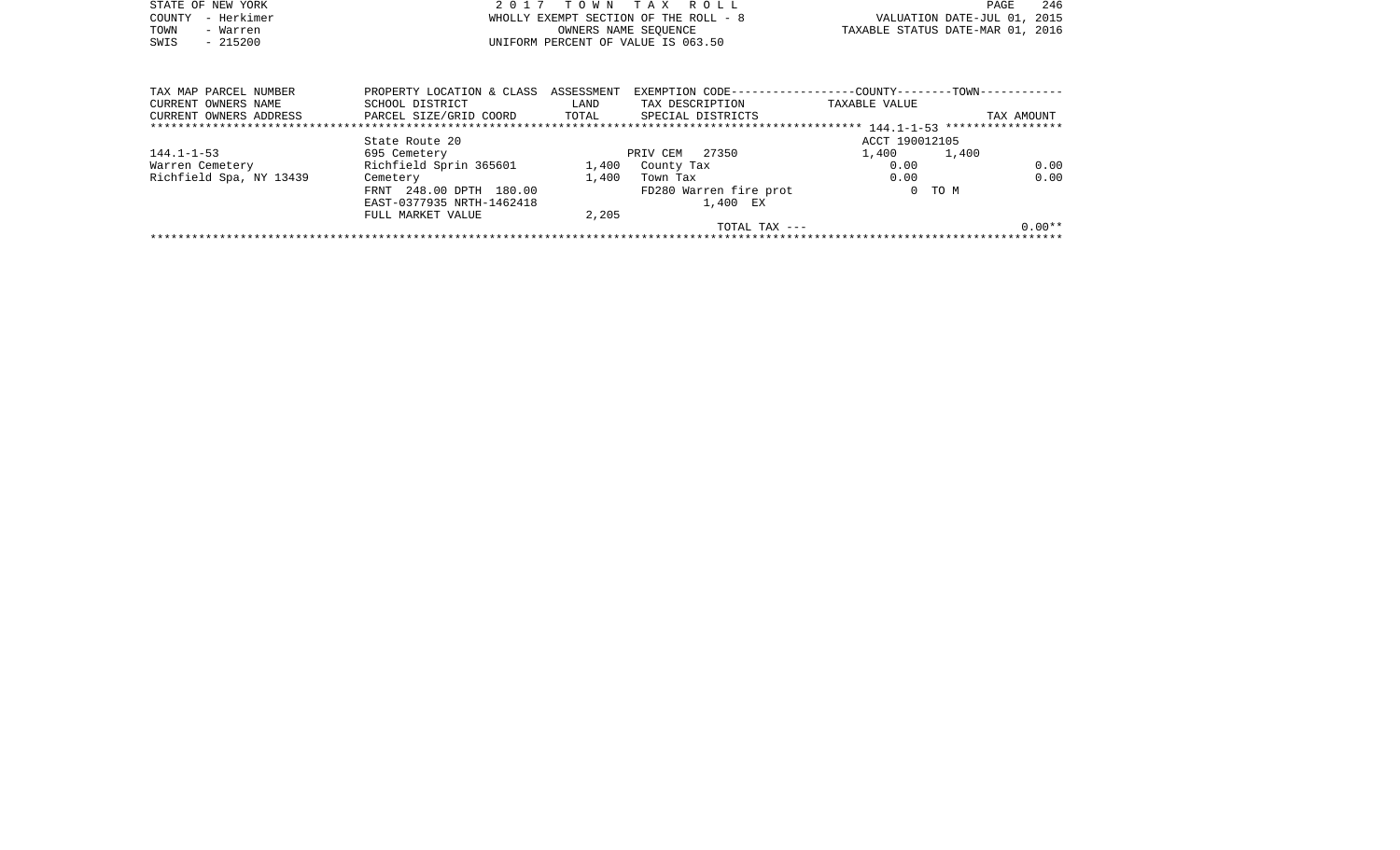|      | STATE OF NEW YORK | 2017 TOWN TAX ROLL                    | PAGE                             | 246 |
|------|-------------------|---------------------------------------|----------------------------------|-----|
|      | COUNTY - Herkimer | WHOLLY EXEMPT SECTION OF THE ROLL - 8 | VALUATION DATE-JUL 01, 2015      |     |
| TOWN | - Warren          | OWNERS NAME SEOUENCE                  | TAXABLE STATUS DATE-MAR 01, 2016 |     |
| SWIS | $-215200$         | UNIFORM PERCENT OF VALUE IS 063.50    |                                  |     |

| TAX MAP PARCEL NUMBER   | PROPERTY LOCATION & CLASS ASSESSMENT |       | EXEMPTION CODE----------------- |                | -COUNTY--------TOWN------------ |          |
|-------------------------|--------------------------------------|-------|---------------------------------|----------------|---------------------------------|----------|
| CURRENT OWNERS NAME     | SCHOOL DISTRICT                      | LAND  | TAX DESCRIPTION                 | TAXABLE VALUE  |                                 |          |
| CURRENT OWNERS ADDRESS  | PARCEL SIZE/GRID COORD               | TOTAL | SPECIAL DISTRICTS               |                | TAX AMOUNT                      |          |
|                         |                                      |       |                                 |                |                                 |          |
|                         | State Route 20                       |       |                                 | ACCT 190012105 |                                 |          |
| $144.1 - 1 - 53$        | 695 Cemetery                         |       | 27350<br>PRIV CEM               | 1,400          | 1,400                           |          |
| Warren Cemetery         | Richfield Sprin 365601               | 1,400 | County Tax                      | 0.00           |                                 | 0.00     |
| Richfield Spa, NY 13439 | Cemetery                             | 1,400 | Town Tax                        | 0.00           |                                 | 0.00     |
|                         | FRNT 248.00 DPTH 180.00              |       | FD280 Warren fire prot          |                | 0 TO M                          |          |
|                         | EAST-0377935 NRTH-1462418            |       | 1,400 EX                        |                |                                 |          |
|                         | FULL MARKET VALUE                    | 2,205 |                                 |                |                                 |          |
|                         |                                      |       | TOTAL TAX $---$                 |                |                                 | $0.00**$ |
|                         |                                      |       |                                 |                |                                 |          |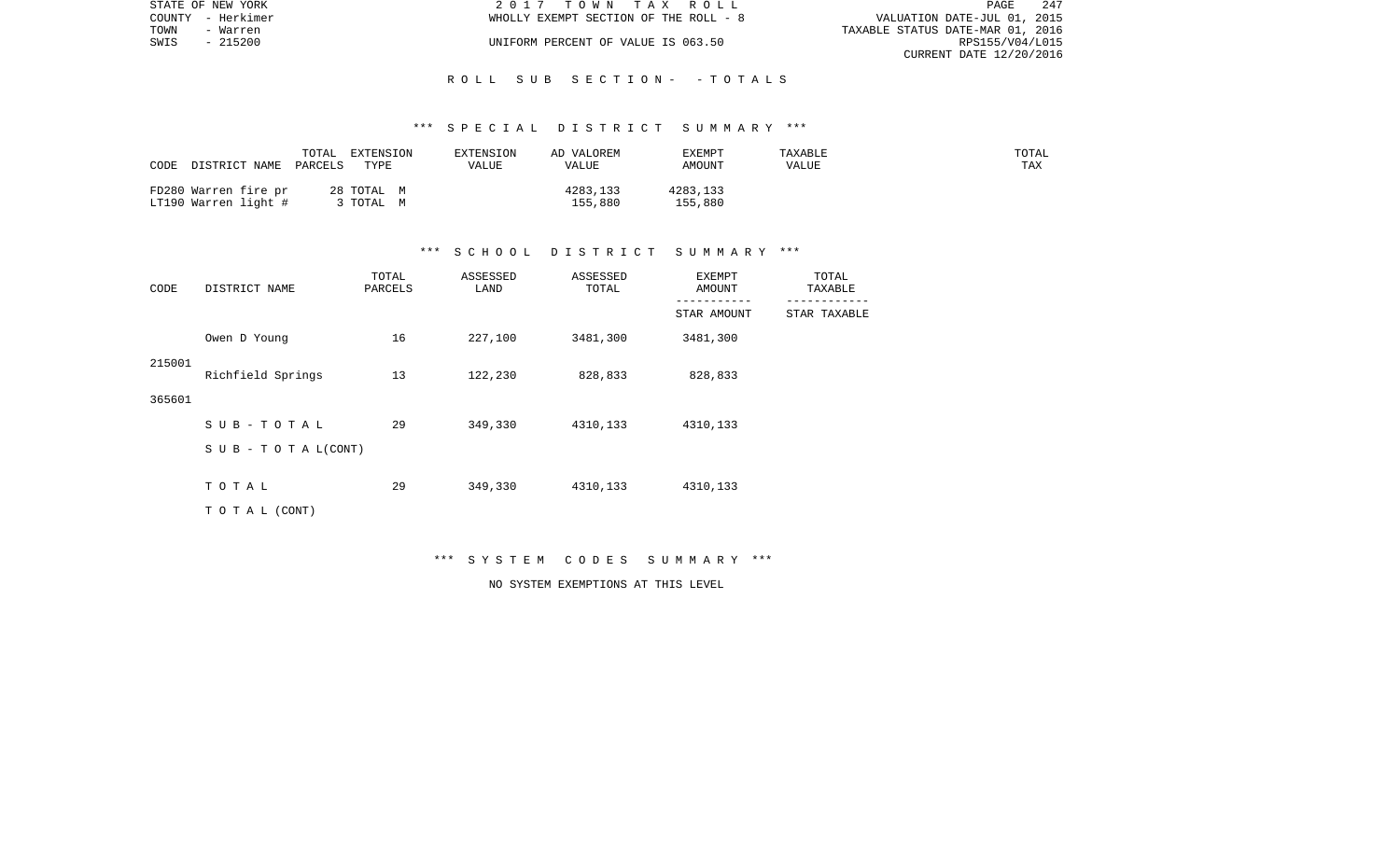|      | STATE OF NEW YORK | 2017 TOWN TAX ROLL                    | PAGE                             | -247 |
|------|-------------------|---------------------------------------|----------------------------------|------|
|      | COUNTY - Herkimer | WHOLLY EXEMPT SECTION OF THE ROLL - 8 | VALUATION DATE-JUL 01, 2015      |      |
| TOWN | - Warren          |                                       | TAXABLE STATUS DATE-MAR 01, 2016 |      |
| SWIS | - 215200          | UNIFORM PERCENT OF VALUE IS 063.50    | RPS155/V04/L015                  |      |
|      |                   |                                       | CURRENT DATE 12/20/2016          |      |

#### \*\*\* S P E C I A L D I S T R I C T S U M M A R Y \*\*\*

| CODE                                         | TOTAL   | EXTENSION                      | EXTENSION | AD VALOREM          | <b>EXEMPT</b>       | TAXABLE | TOTAL |
|----------------------------------------------|---------|--------------------------------|-----------|---------------------|---------------------|---------|-------|
| DISTRICT NAME                                | PARCELS | TYPE                           | VALUE     | VALUE               | AMOUNT              | VALUE   | TAX   |
| FD280 Warren fire pr<br>LT190 Warren light # |         | 28 TOTAL M<br>$^{\circ}$ TOTAL |           | 4283,133<br>155,880 | 4283,133<br>155,880 |         |       |

#### \*\*\* S C H O O L D I S T R I C T S U M M A R Y \*\*\*

| CODE   | DISTRICT NAME             | TOTAL<br>PARCELS | ASSESSED<br>LAND | ASSESSED<br>TOTAL | <b>EXEMPT</b><br>AMOUNT    | TOTAL<br>TAXABLE |
|--------|---------------------------|------------------|------------------|-------------------|----------------------------|------------------|
|        |                           |                  |                  |                   | -----------<br>STAR AMOUNT | STAR TAXABLE     |
|        | Owen D Young              | 16               | 227,100          | 3481,300          | 3481,300                   |                  |
| 215001 | Richfield Springs         | 13               | 122,230          | 828,833           | 828,833                    |                  |
| 365601 |                           |                  |                  |                   |                            |                  |
|        | SUB-TOTAL                 | 29               | 349,330          | 4310,133          | 4310,133                   |                  |
|        | S U B - T O T A $L(CONT)$ |                  |                  |                   |                            |                  |
|        | TOTAL                     | 29               | 349,330          | 4310,133          | 4310,133                   |                  |
|        | TO TAL (CONT)             |                  |                  |                   |                            |                  |

\*\*\* S Y S T E M C O D E S S U M M A R Y \*\*\*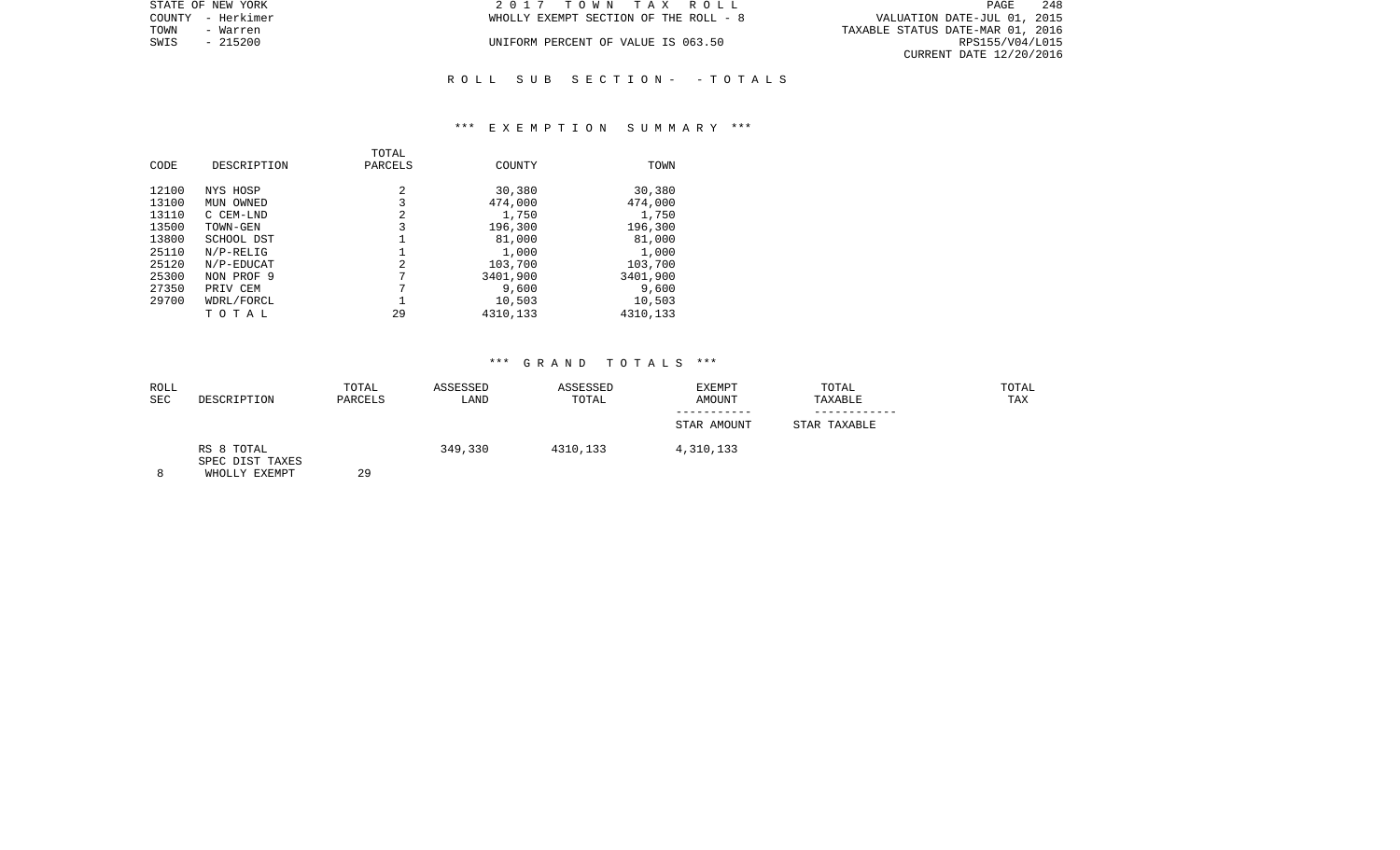| STATE OF NEW YORK | 2017 TOWN TAX ROLL                    | 248<br>PAGE                      |
|-------------------|---------------------------------------|----------------------------------|
| COUNTY - Herkimer | WHOLLY EXEMPT SECTION OF THE ROLL - 8 | VALUATION DATE-JUL 01, 2015      |
| TOWN<br>- Warren  |                                       | TAXABLE STATUS DATE-MAR 01, 2016 |
| SWIS<br>$-215200$ | UNIFORM PERCENT OF VALUE IS 063.50    | RPS155/V04/L015                  |
|                   |                                       | CURRENT DATE 12/20/2016          |
|                   |                                       |                                  |

# \*\*\* E X E M P T I O N S U M M A R Y \*\*\*

R O L L S U B S E C T I O N - - T O T A L S

| CODE  | DESCRIPTION         | TOTAL<br>PARCELS | COUNTY             | TOWN               |
|-------|---------------------|------------------|--------------------|--------------------|
| 12100 | NYS HOSP            | 2                | 30,380             | 30,380             |
| 13100 | MUN OWNED           | 3                | 474,000            | 474,000            |
| 13110 | C CEM-LND           | 2                | 1,750              | 1,750              |
| 13500 | TOWN-GEN            | 3                | 196,300            | 196,300            |
| 13800 | SCHOOL DST          |                  | 81,000             | 81,000             |
| 25110 | $N/P-RELLG$         | $\overline{2}$   | 1,000              | 1,000              |
| 25120 | N/P-EDUCAT          |                  | 103,700            | 103,700            |
| 25300 | NON PROF 9          | 7                | 3401,900           | 3401,900           |
| 27350 | PRIV CEM            | 7                | 9,600              | 9,600              |
| 29700 | WDRL/FORCL<br>TOTAL | 29               | 10,503<br>4310,133 | 10,503<br>4310,133 |

| ROLL<br><b>SEC</b> | DESCRIPTION                                    | TOTAL<br>PARCELS | ASSESSED<br>LAND | ASSESSED<br>TOTAL | <b>EXEMPT</b><br>AMOUNT | TOTAL<br>TAXABLE | TOTAL<br><b>TAX</b> |
|--------------------|------------------------------------------------|------------------|------------------|-------------------|-------------------------|------------------|---------------------|
|                    |                                                |                  |                  |                   | STAR AMOUNT             | STAR TAXABLE     |                     |
| 8                  | RS 8 TOTAL<br>SPEC DIST TAXES<br>WHOLLY EXEMPT | 29               | 349,330          | 4310,133          | 4,310,133               |                  |                     |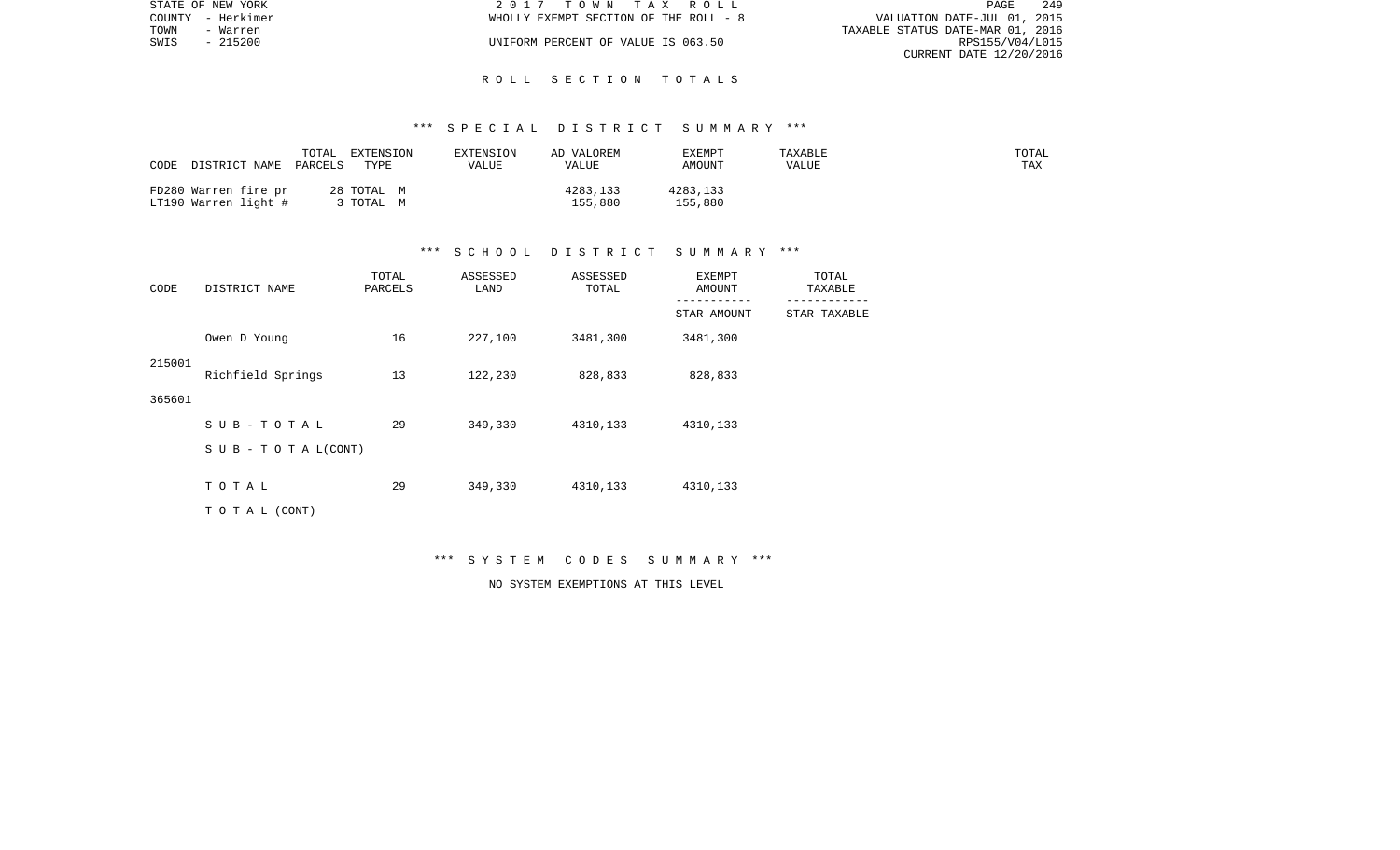|      | STATE OF NEW YORK | 2017 TOWN TAX ROLL                    |                                  | PAGE            | 249 |
|------|-------------------|---------------------------------------|----------------------------------|-----------------|-----|
|      | COUNTY - Herkimer | WHOLLY EXEMPT SECTION OF THE ROLL - 8 | VALUATION DATE-JUL 01, 2015      |                 |     |
| TOWN | - Warren          |                                       | TAXABLE STATUS DATE-MAR 01, 2016 |                 |     |
| SWIS | - 215200          | UNIFORM PERCENT OF VALUE IS 063.50    |                                  | RPS155/V04/L015 |     |
|      |                   |                                       | CURRENT DATE 12/20/2016          |                 |     |

### \*\*\* S P E C I A L D I S T R I C T S U M M A R Y \*\*\*

| TOTAL<br>CODE<br>DISTRICT NAME PARCELS       | EXTENSION<br>TYPE   | EXTENSION<br>VALUE | AD VALOREM<br>VALUE | EXEMPT<br>AMOUNT    | TAXABLE<br>VALUE | TOTAL<br>TAX |
|----------------------------------------------|---------------------|--------------------|---------------------|---------------------|------------------|--------------|
| FD280 Warren fire pr<br>LT190 Warren light # | 28 TOTAL M<br>TOTAL |                    | 4283,133<br>155,880 | 4283,133<br>155,880 |                  |              |

#### \*\*\* S C H O O L D I S T R I C T S U M M A R Y \*\*\*

| CODE   | DISTRICT NAME                    | TOTAL<br>PARCELS | ASSESSED<br>LAND | ASSESSED<br>TOTAL | EXEMPT<br>AMOUNT<br>--------- | TOTAL<br>TAXABLE |
|--------|----------------------------------|------------------|------------------|-------------------|-------------------------------|------------------|
|        |                                  |                  |                  |                   | STAR AMOUNT                   | STAR TAXABLE     |
|        | Owen D Young                     | 16               | 227,100          | 3481,300          | 3481,300                      |                  |
| 215001 | Richfield Springs                | 13               | 122,230          | 828,833           | 828,833                       |                  |
| 365601 |                                  |                  |                  |                   |                               |                  |
|        | SUB-TOTAL                        | 29               | 349,330          | 4310,133          | 4310,133                      |                  |
|        | $S \cup B - T \cup T A L (CONT)$ |                  |                  |                   |                               |                  |
|        | TOTAL                            | 29               | 349,330          | 4310,133          | 4310,133                      |                  |
|        |                                  |                  |                  |                   |                               |                  |
|        | T O T A L (CONT)                 |                  |                  |                   |                               |                  |

\*\*\* S Y S T E M C O D E S S U M M A R Y \*\*\*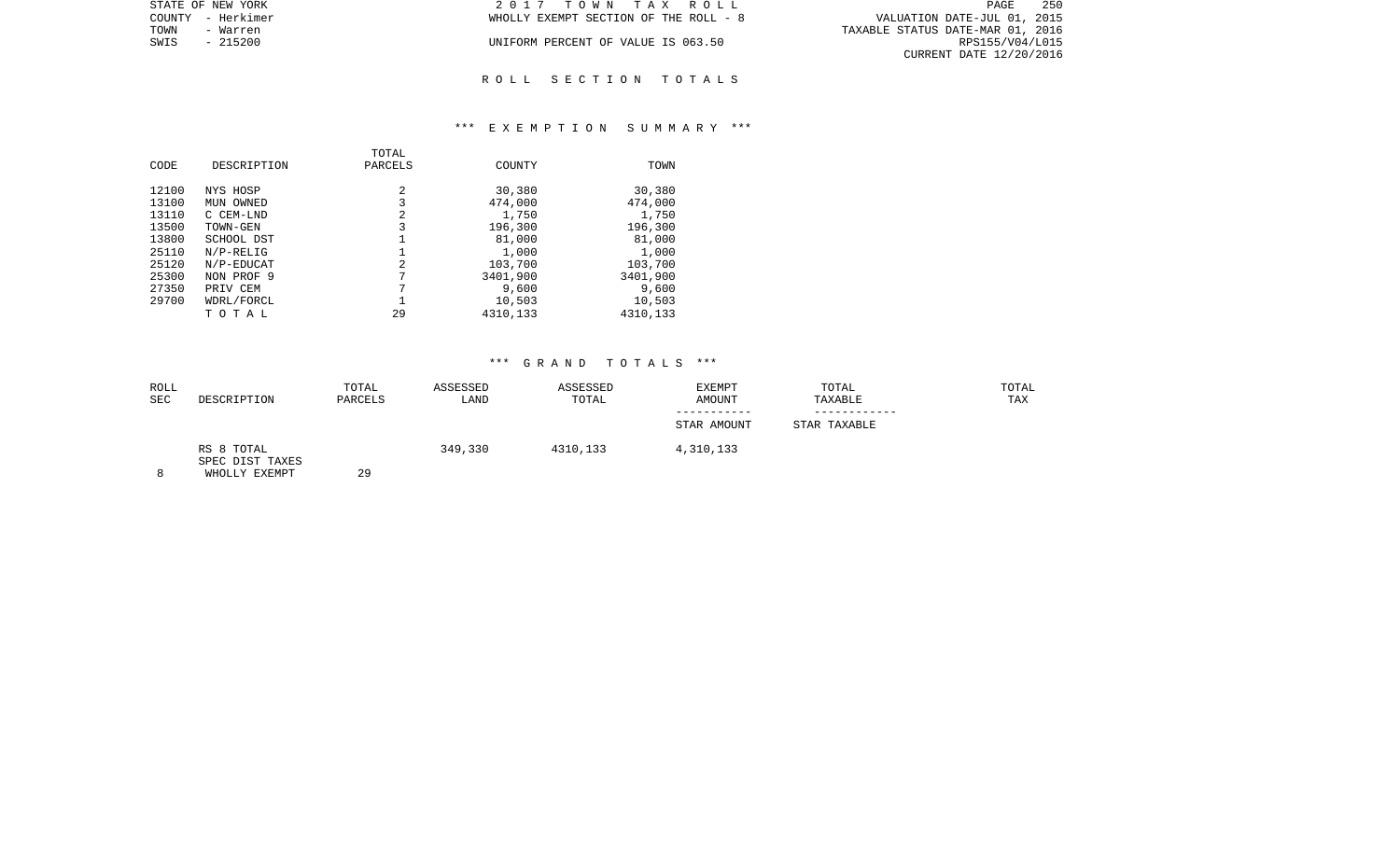| STATE OF NEW YORK | 2017 TOWN TAX ROLL                    | 250<br>PAGE                      |
|-------------------|---------------------------------------|----------------------------------|
| COUNTY - Herkimer | WHOLLY EXEMPT SECTION OF THE ROLL - 8 | VALUATION DATE-JUL 01, 2015      |
| TOWN<br>- Warren  |                                       | TAXABLE STATUS DATE-MAR 01, 2016 |
| SWIS<br>$-215200$ | UNIFORM PERCENT OF VALUE IS 063.50    | RPS155/V04/L015                  |
|                   |                                       | CURRENT DATE 12/20/2016          |
|                   |                                       |                                  |

### \*\*\* E X E M P T I O N S U M M A R Y \*\*\*

| CODE  | DESCRIPTION | TOTAL<br>PARCELS | COUNTY   | TOWN     |
|-------|-------------|------------------|----------|----------|
|       |             |                  |          |          |
| 12100 | NYS HOSP    | 2                | 30,380   | 30,380   |
| 13100 | MUN OWNED   | 3                | 474,000  | 474,000  |
| 13110 | C CEM-LND   | 2                | 1,750    | 1,750    |
| 13500 | TOWN-GEN    | 3                | 196,300  | 196,300  |
| 13800 | SCHOOL DST  |                  | 81,000   | 81,000   |
| 25110 | $N/P-RELIG$ |                  | 1,000    | 1,000    |
| 25120 | N/P-EDUCAT  | 2                | 103,700  | 103,700  |
| 25300 | NON PROF 9  | 7                | 3401,900 | 3401,900 |
| 27350 | PRIV CEM    | 7                | 9,600    | 9,600    |
| 29700 | WDRL/FORCL  |                  | 10,503   | 10,503   |
|       | ТОТАЬ       | 29               | 4310,133 | 4310,133 |

| ROLL<br>SEC | DESCRIPTION                                    | TOTAL<br>PARCELS | ASSESSED<br>LAND | ASSESSED<br>TOTAL | <b>EXEMPT</b><br>AMOUNT | TOTAL<br>TAXABLE | TOTAL<br>TAX |
|-------------|------------------------------------------------|------------------|------------------|-------------------|-------------------------|------------------|--------------|
|             |                                                |                  |                  |                   |                         |                  |              |
|             |                                                |                  |                  |                   | STAR AMOUNT             | STAR TAXABLE     |              |
| 8           | RS 8 TOTAL<br>SPEC DIST TAXES<br>WHOLLY EXEMPT | 29               | 349,330          | 4310,133          | 4,310,133               |                  |              |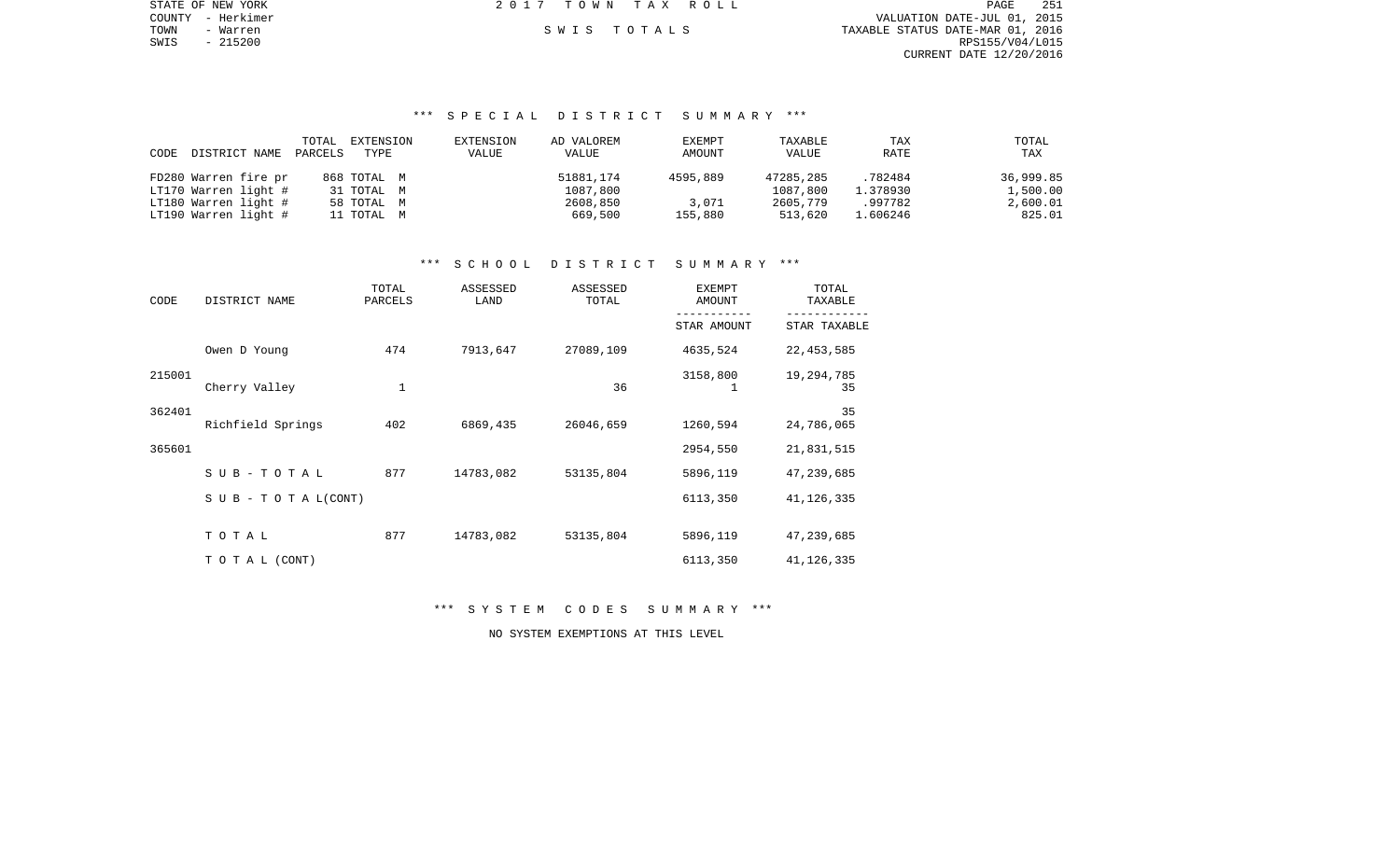STATE OF NEW YORK 2 0 1 7 T O W N T A X R O L L PAGE 251 COUNTY - Herkimer VALUATION DATE-JUL 01, 2015 TOWN - Warren S W I S T O T A L S TAXABLE STATUS DATE-MAR 01, 2016 SWIS - 215200 RPS155/V04/L015 CURRENT DATE 12/20/2016

# \*\*\* S P E C I A L D I S T R I C T S U M M A R Y \*\*\*

|      |                      | TOTAL   | EXTENSION   | EXTENSION | AD VALOREM | EXEMPT   | TAXABLE   | TAX      | TOTAL     |
|------|----------------------|---------|-------------|-----------|------------|----------|-----------|----------|-----------|
| CODE | DISTRICT NAME        | PARCELS | TYPE        | VALUE     | VALUE      | AMOUNT   | VALUE     | RATE     | TAX       |
|      |                      |         |             |           |            |          |           |          |           |
|      | FD280 Warren fire pr |         | 868 TOTAL M |           | 51881,174  | 4595,889 | 47285,285 | .782484  | 36,999.85 |
|      | LT170 Warren light # |         | 31 TOTAL M  |           | 1087,800   |          | 1087,800  | 1.378930 | 1,500.00  |
|      | LT180 Warren light # |         | 58 TOTAL M  |           | 2608,850   | 3,071    | 2605,779  | .997782  | 2,600.01  |
|      | LT190 Warren light # |         | 11 TOTAL M  |           | 669,500    | 155,880  | 513,620   | 1.606246 | 825.01    |

# \*\*\* S C H O O L D I S T R I C T S U M M A R Y \*\*\*

| CODE   | DISTRICT NAME                    | TOTAL<br>PARCELS | ASSESSED<br>LAND | ASSESSED<br>TOTAL | <b>EXEMPT</b><br>AMOUNT | TOTAL<br>TAXABLE |  |
|--------|----------------------------------|------------------|------------------|-------------------|-------------------------|------------------|--|
|        |                                  |                  |                  |                   | STAR AMOUNT             | STAR TAXABLE     |  |
|        | Owen D Young                     | 474              | 7913,647         | 27089,109         | 4635,524                | 22, 453, 585     |  |
| 215001 | Cherry Valley                    | $1\,$            |                  | 36                | 3158,800                | 19,294,785<br>35 |  |
| 362401 | Richfield Springs                | 402              | 6869,435         | 26046,659         | 1260,594                | 35<br>24,786,065 |  |
| 365601 |                                  |                  |                  |                   | 2954,550                | 21,831,515       |  |
|        | $SUB - TO T AL$                  | 877              | 14783,082        | 53135,804         | 5896,119                | 47,239,685       |  |
|        | $S \cup B - T \cup T A L (CONT)$ |                  |                  |                   | 6113,350                | 41, 126, 335     |  |
|        | TOTAL                            | 877              | 14783,082        | 53135,804         | 5896,119                | 47,239,685       |  |
|        | TO TAL (CONT)                    |                  |                  |                   | 6113,350                | 41, 126, 335     |  |

\*\*\* S Y S T E M C O D E S S U M M A R Y \*\*\*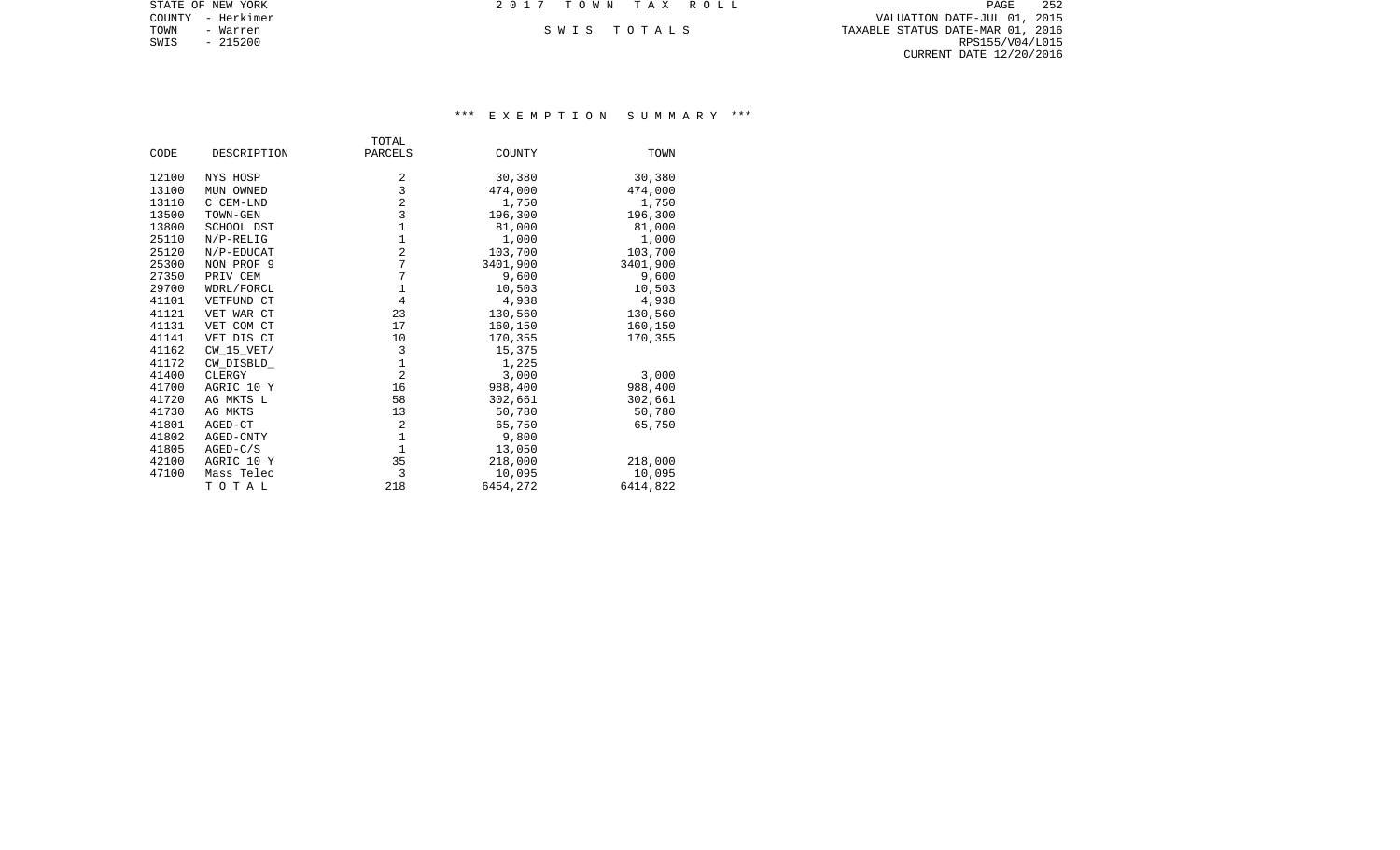| STATE OF NEW YORK | 2017 TOWN TAX ROLL | 252<br>PAGE                      |
|-------------------|--------------------|----------------------------------|
| COUNTY - Herkimer |                    | VALUATION DATE-JUL 01, 2015      |
| TOWN<br>- Warren  | SWIS TOTALS        | TAXABLE STATUS DATE-MAR 01, 2016 |
| SWIS<br>- 215200  |                    | RPS155/V04/L015                  |
|                   |                    | CURRENT DATE 12/20/2016          |
|                   |                    |                                  |

## \*\*\* E X E M P T I O N S U M M A R Y \*\*\*

|       |                | TOTAL          |          |          |
|-------|----------------|----------------|----------|----------|
| CODE  | DESCRIPTION    | PARCELS        | COUNTY   | TOWN     |
| 12100 | NYS HOSP       | 2              | 30,380   | 30,380   |
| 13100 | MUN OWNED      | 3              | 474,000  | 474,000  |
| 13110 | C CEM-LND      | $\overline{2}$ | 1,750    | 1,750    |
| 13500 | TOWN-GEN       | 3              | 196,300  | 196,300  |
| 13800 | SCHOOL DST     | 1              | 81,000   | 81,000   |
| 25110 | $N/P-RELIG$    | $\mathbf 1$    | 1,000    | 1,000    |
| 25120 | N/P-EDUCAT     | $\overline{2}$ | 103,700  | 103,700  |
| 25300 | NON PROF 9     | 7              | 3401,900 | 3401,900 |
| 27350 | PRIV CEM       | 7              | 9,600    | 9,600    |
| 29700 | WDRL/FORCL     | $1\,$          | 10,503   | 10,503   |
| 41101 | VETFUND CT     | $\overline{4}$ | 4,938    | 4,938    |
| 41121 | VET WAR CT     | 23             | 130,560  | 130,560  |
| 41131 | VET COM CT     | 17             | 160,150  | 160,150  |
| 41141 | VET DIS CT     | 10             | 170,355  | 170,355  |
| 41162 | $CW$ 15 $VET/$ | 3              | 15,375   |          |
| 41172 | CW_DISBLD_     | $1\,$          | 1,225    |          |
| 41400 | CLERGY         | $\overline{2}$ | 3,000    | 3,000    |
| 41700 | AGRIC 10 Y     | 16             | 988,400  | 988,400  |
| 41720 | AG MKTS L      | 58             | 302,661  | 302,661  |
| 41730 | AG MKTS        | 13             | 50,780   | 50,780   |
| 41801 | AGED-CT        | $\overline{2}$ | 65,750   | 65,750   |
| 41802 | AGED-CNTY      | $1\,$          | 9,800    |          |
| 41805 | $AGED-C/S$     | $\mathbf{1}$   | 13,050   |          |
| 42100 | AGRIC 10 Y     | 35             | 218,000  | 218,000  |
| 47100 | Mass Telec     | 3              | 10,095   | 10,095   |
|       | TOTAL          | 218            | 6454,272 | 6414,822 |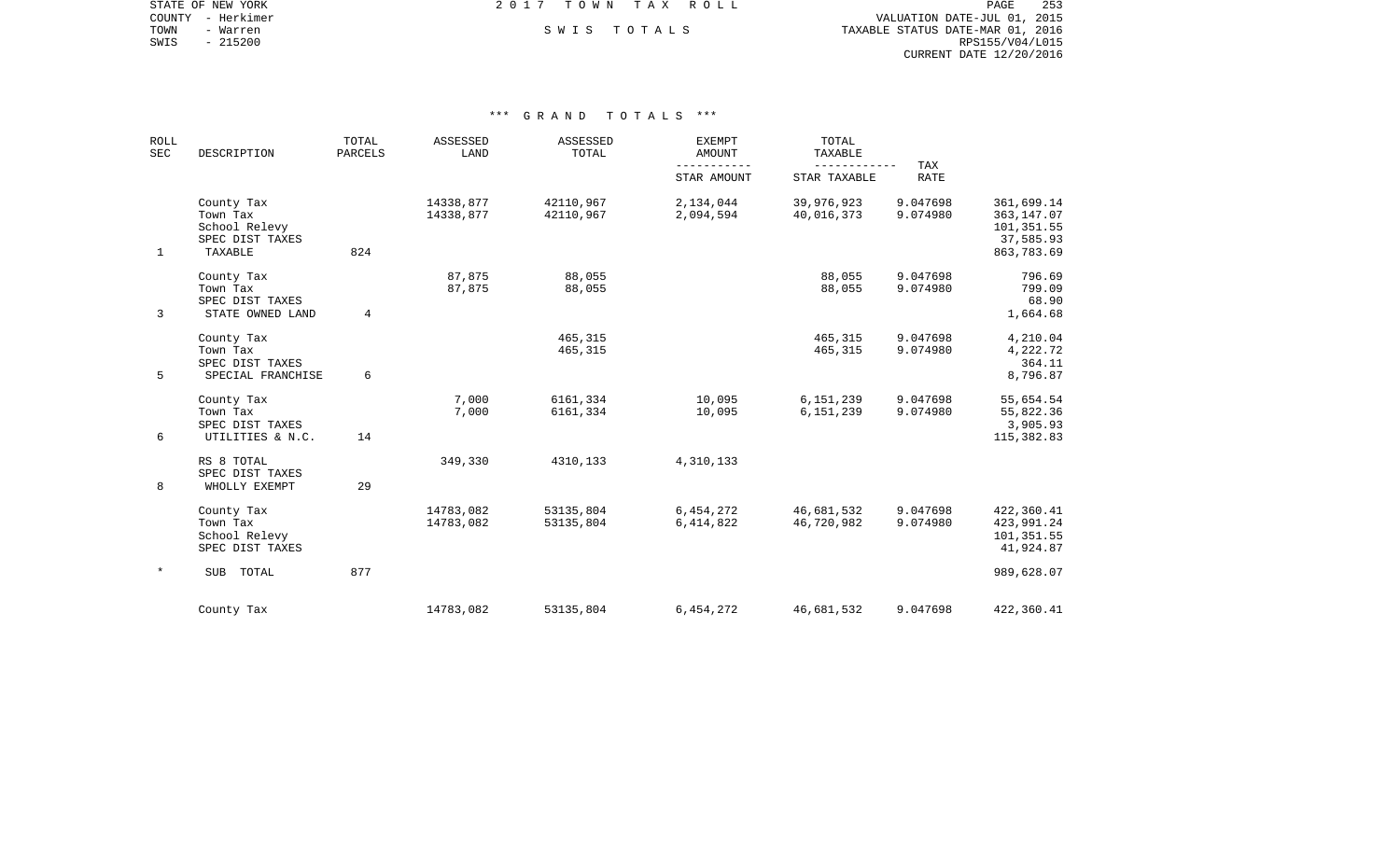COUNTY - Herkimer VALUATION DATE-JUL 01, 2015 TOWN - Warren S W I S T O T A L S TAXABLE STATUS DATE-MAR 01, 2016 SWIS - Warren – Alexander SWIS TOTALS (SUIT ALL SUITS) (SUITS) (SUITS) (SUITS) (SUITS) (SUITS) (SUITS) (SUITS)<br>SWIS - 215200 RPS155/V04/L015 CURRENT DATE 12/20/2016

STATE OF NEW YORK **EXECUTE:**  $2017$  TOWN TAX ROLL

| <b>ROLL</b><br>SEC | DESCRIPTION                                                           | TOTAL<br><b>PARCELS</b> | ASSESSED<br>LAND       | ASSESSED<br>TOTAL      | <b>EXEMPT</b><br><b>AMOUNT</b> | TOTAL<br>TAXABLE<br>------------ | TAX                  |                                                                    |
|--------------------|-----------------------------------------------------------------------|-------------------------|------------------------|------------------------|--------------------------------|----------------------------------|----------------------|--------------------------------------------------------------------|
|                    |                                                                       |                         |                        |                        | STAR AMOUNT                    | STAR TAXABLE                     | <b>RATE</b>          |                                                                    |
| $\mathbf{1}$       | County Tax<br>Town Tax<br>School Relevy<br>SPEC DIST TAXES<br>TAXABLE | 824                     | 14338,877<br>14338,877 | 42110,967<br>42110,967 | 2,134,044<br>2,094,594         | 39,976,923<br>40,016,373         | 9.047698<br>9.074980 | 361,699.14<br>363, 147.07<br>101,351.55<br>37,585.93<br>863,783.69 |
| 3                  | County Tax<br>Town Tax<br>SPEC DIST TAXES<br>STATE OWNED LAND         | 4                       | 87,875<br>87,875       | 88,055<br>88,055       |                                | 88,055<br>88,055                 | 9.047698<br>9.074980 | 796.69<br>799.09<br>68.90<br>1,664.68                              |
| 5                  | County Tax<br>Town Tax<br>SPEC DIST TAXES<br>SPECIAL FRANCHISE        | 6                       |                        | 465,315<br>465,315     |                                | 465,315<br>465,315               | 9.047698<br>9.074980 | 4,210.04<br>4,222.72<br>364.11<br>8,796.87                         |
| 6                  | County Tax<br>Town Tax<br>SPEC DIST TAXES<br>UTILITIES & N.C.         | 14                      | 7,000<br>7,000         | 6161,334<br>6161,334   | 10,095<br>10,095               | 6,151,239<br>6, 151, 239         | 9.047698<br>9.074980 | 55,654.54<br>55,822.36<br>3,905.93<br>115,382.83                   |
| 8                  | RS 8 TOTAL<br>SPEC DIST TAXES<br>WHOLLY EXEMPT                        | 29                      | 349,330                | 4310,133               | 4,310,133                      |                                  |                      |                                                                    |
|                    | County Tax<br>Town Tax<br>School Relevy<br>SPEC DIST TAXES            |                         | 14783,082<br>14783,082 | 53135,804<br>53135,804 | 6,454,272<br>6,414,822         | 46,681,532<br>46,720,982         | 9.047698<br>9.074980 | 422,360.41<br>423,991.24<br>101,351.55<br>41,924.87                |
| $\ast$             | SUB TOTAL                                                             | 877                     |                        |                        |                                |                                  |                      | 989,628.07                                                         |
|                    | County Tax                                                            |                         | 14783,082              | 53135,804              | 6,454,272                      | 46,681,532                       | 9.047698             | 422,360.41                                                         |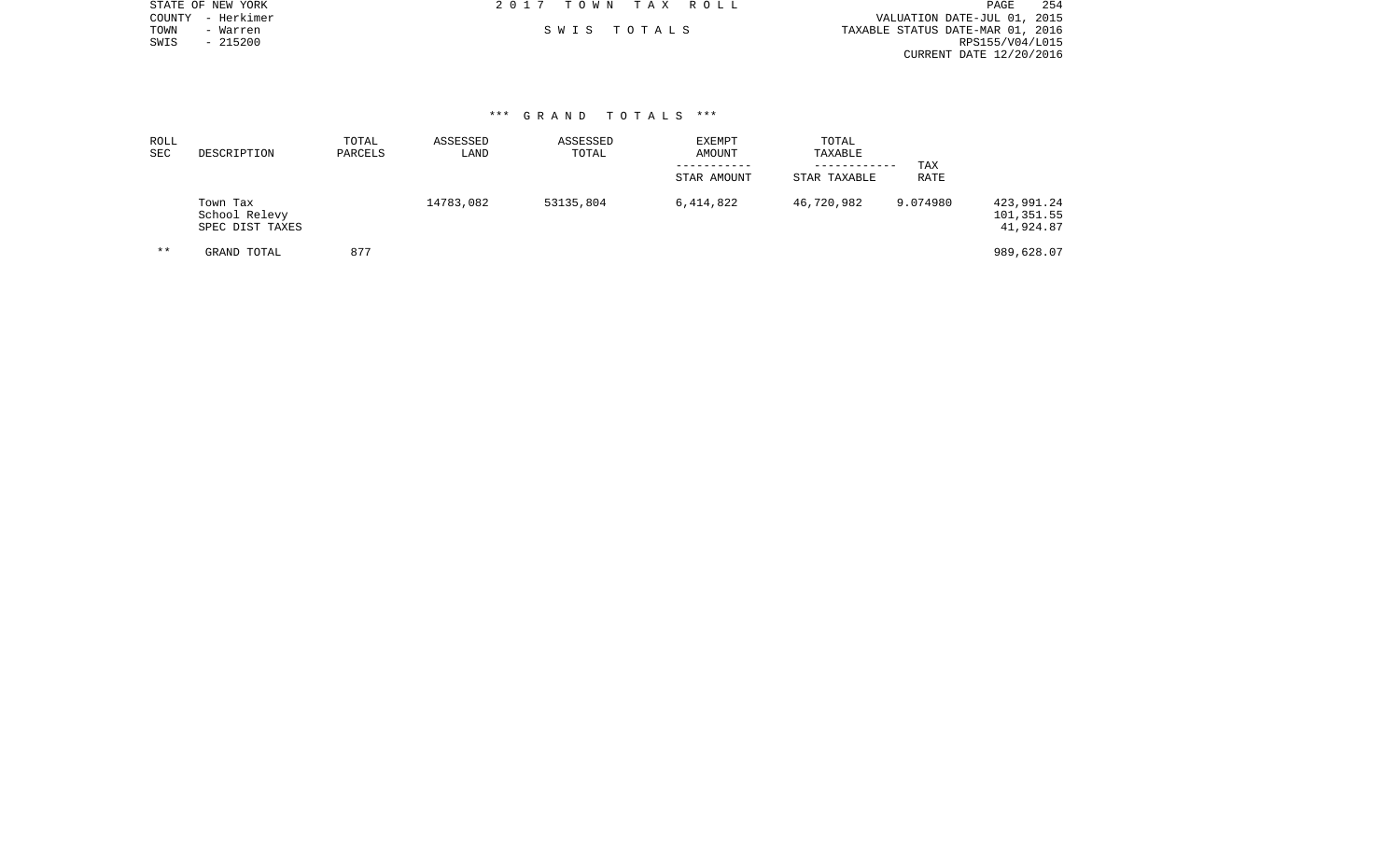|      | STATE OF NEW YORK | 2017 TOWN TAX ROLL |             | PAGE                             | 254 |
|------|-------------------|--------------------|-------------|----------------------------------|-----|
|      | COUNTY - Herkimer |                    |             | VALUATION DATE-JUL 01, 2015      |     |
| TOWN | - Warren          |                    | SWIS TOTALS | TAXABLE STATUS DATE-MAR 01, 2016 |     |
| SWIS | $-215200$         |                    |             | RPS155/V04/L015                  |     |
|      |                   |                    |             | CURRENT DATE 12/20/2016          |     |
|      |                   |                    |             |                                  |     |

| <b>ROLL</b><br><b>SEC</b> | DESCRIPTION                                  | TOTAL<br>PARCELS | ASSESSED<br>LAND | ASSESSED<br>TOTAL | EXEMPT<br>AMOUNT<br>STAR AMOUNT | TOTAL<br>TAXABLE<br>------------<br>STAR TAXABLE | TAX<br>RATE |                                       |
|---------------------------|----------------------------------------------|------------------|------------------|-------------------|---------------------------------|--------------------------------------------------|-------------|---------------------------------------|
|                           | Town Tax<br>School Relevy<br>SPEC DIST TAXES |                  | 14783,082        | 53135,804         | 6,414,822                       | 46,720,982                                       | 9.074980    | 423,991.24<br>101,351.55<br>41,924.87 |
| $* *$                     | GRAND TOTAL                                  | 877              |                  |                   |                                 |                                                  |             | 989,628.07                            |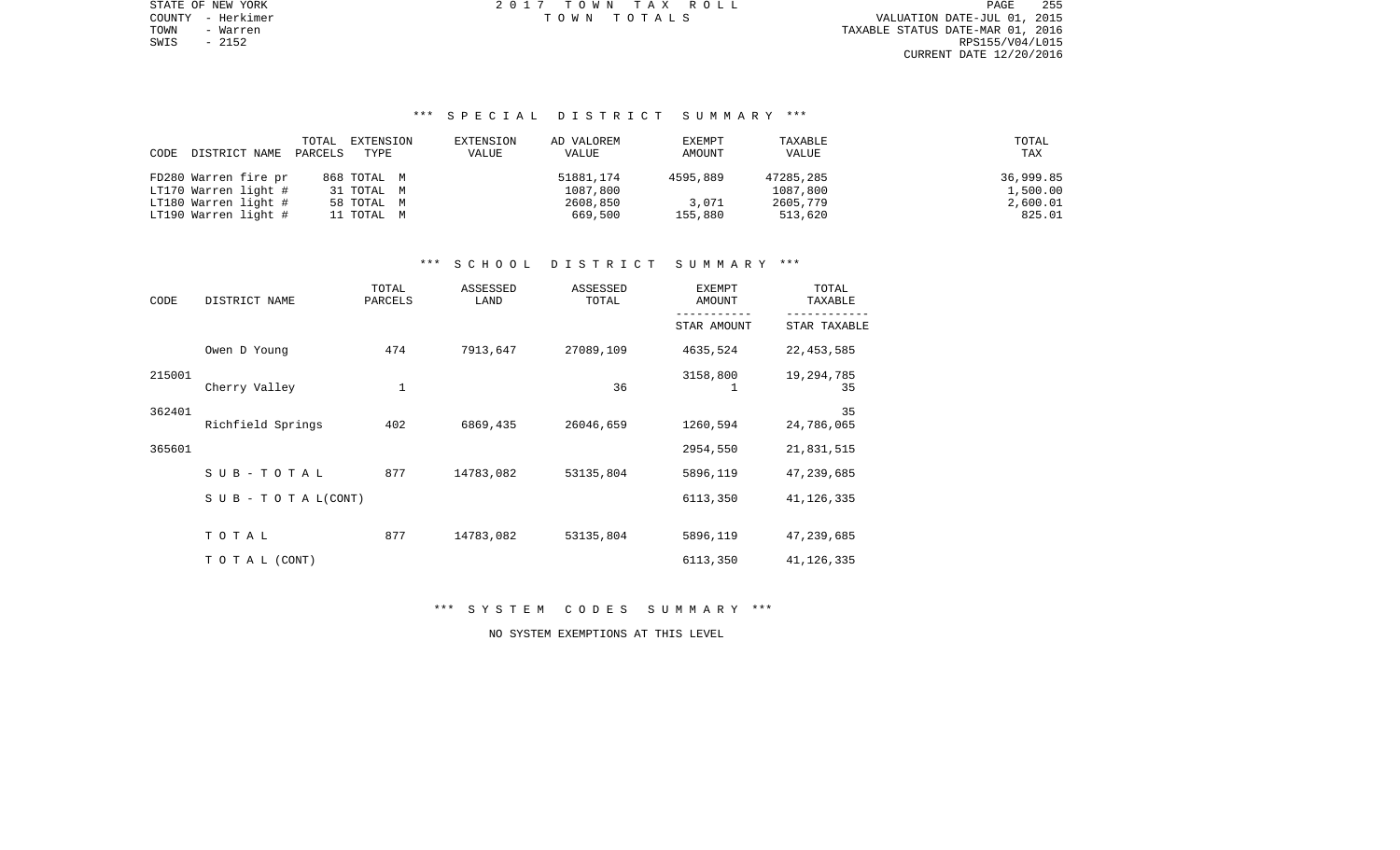STATE OF NEW YORK 2 0 1 7 T O W N T A X R O L L PAGE 255TOWN - Warren TAXABLE STATUS DATE-MAR 01, 2016 RPS155/V04/L015 CURRENT DATE 12/20/2016

COUNTY - Herkimer T O W N T O T A L S VALUATION DATE-JUL 01, 2015

# \*\*\* S P E C I A L D I S T R I C T S U M M A R Y \*\*\*

|      |                      | TOTAL   | EXTENSION   | EXTENSION | AD VALOREM | EXEMPT   | TAXABLE   | TOTAL     |
|------|----------------------|---------|-------------|-----------|------------|----------|-----------|-----------|
| CODE | DISTRICT NAME        | PARCELS | TYPE        | VALUE     | VALUE      | AMOUNT   | VALUE     | TAX       |
|      |                      |         |             |           |            |          |           |           |
|      | FD280 Warren fire pr |         | 868 ТОТАL М |           | 51881,174  | 4595,889 | 47285,285 | 36,999.85 |
|      | LT170 Warren light # |         | 31 TOTAL M  |           | 1087,800   |          | 1087,800  | 1,500.00  |
|      | LT180 Warren light # |         | 58 TOTAL M  |           | 2608,850   | 3,071    | 2605,779  | 2,600.01  |
|      | LT190 Warren light # |         | 11 TOTAL M  |           | 669,500    | 155,880  | 513,620   | 825.01    |

# \*\*\* S C H O O L D I S T R I C T S U M M A R Y \*\*\*

| CODE   | DISTRICT NAME                    | TOTAL<br>PARCELS | ASSESSED<br>LAND | ASSESSED<br>TOTAL | <b>EXEMPT</b><br>AMOUNT | TOTAL<br>TAXABLE |
|--------|----------------------------------|------------------|------------------|-------------------|-------------------------|------------------|
|        |                                  |                  |                  |                   | STAR AMOUNT             | STAR TAXABLE     |
|        | Owen D Young                     | 474              | 7913,647         | 27089,109         | 4635,524                | 22, 453, 585     |
| 215001 | Cherry Valley                    | $\mathbf 1$      |                  | 36                | 3158,800                | 19,294,785<br>35 |
| 362401 | Richfield Springs                | 402              | 6869,435         | 26046,659         | 1260,594                | 35<br>24,786,065 |
| 365601 |                                  |                  |                  |                   | 2954,550                | 21,831,515       |
|        | $SUB - TO T AL$                  | 877              | 14783,082        | 53135,804         | 5896,119                | 47,239,685       |
|        | $S \cup B - T \cup T A L (CONT)$ |                  |                  |                   | 6113,350                | 41, 126, 335     |
|        | TOTAL                            | 877              | 14783,082        | 53135,804         | 5896,119                | 47,239,685       |
|        | TO TAL (CONT)                    |                  |                  |                   | 6113,350                | 41, 126, 335     |

\*\*\* S Y S T E M C O D E S S U M M A R Y \*\*\*

NO SYSTEM EXEMPTIONS AT THIS LEVEL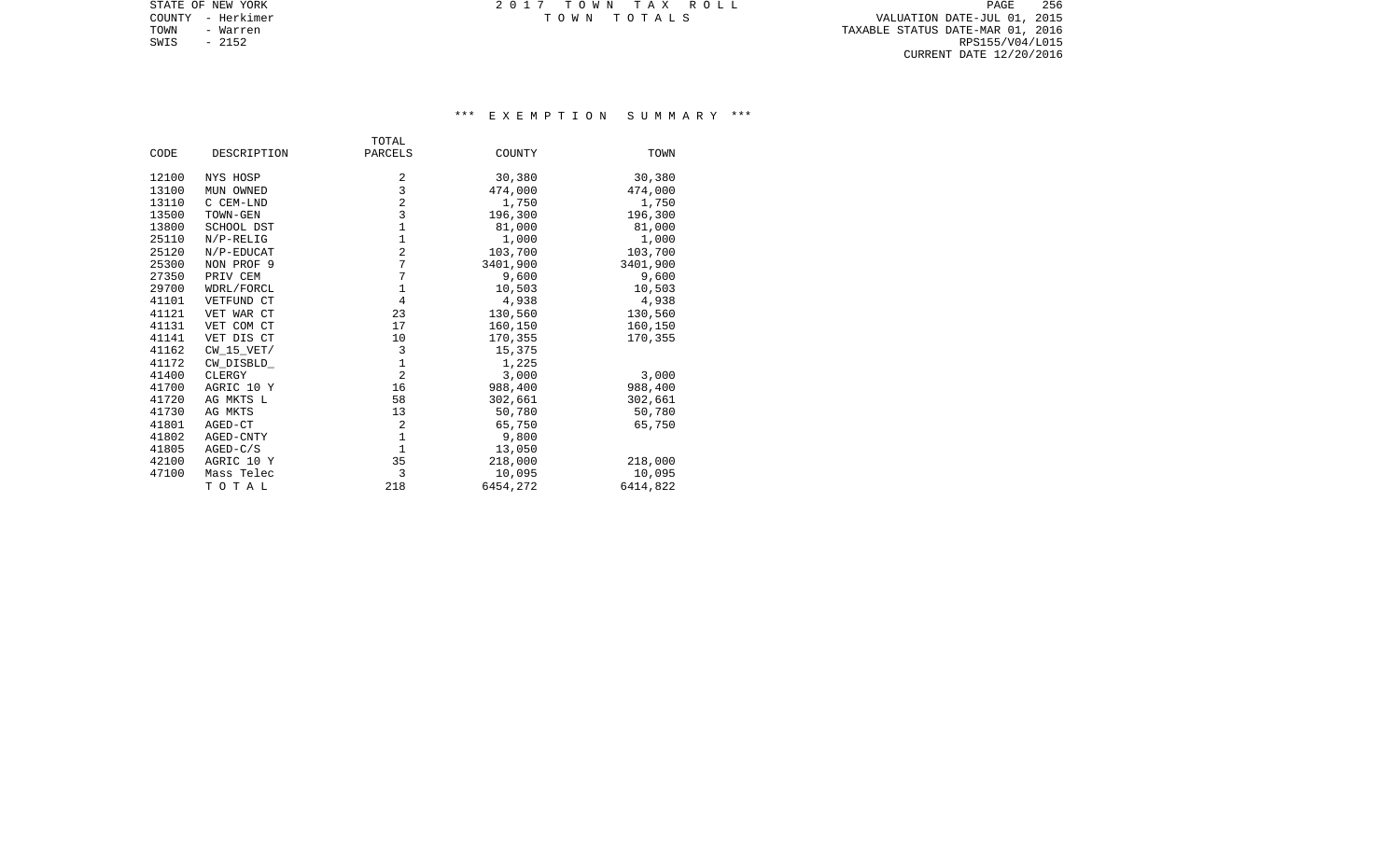TOWN - Warren TAXABLE STATUS DATE-MAR 01, 2016 SWIS - Warren 2016<br>SWIS - 2152 RPS155/V04/L015<br>SWIS - 2152 RPS155/V04/L015 CURRENT DATE 12/20/2016

STATE OF NEW YORK **EXECUTE:** TOWN TAX ROLL COUNTY - Herkimer T O W N T O T A L S VALUATION DATE-JUL 01, 2015

# \*\*\* E X E M P T I O N S U M M A R Y \*\*\*

|       |              | TOTAL          |          |          |
|-------|--------------|----------------|----------|----------|
| CODE  | DESCRIPTION  | PARCELS        | COUNTY   | TOWN     |
| 12100 | NYS HOSP     | 2              | 30,380   | 30,380   |
| 13100 | MUN OWNED    | 3              | 474,000  | 474,000  |
| 13110 | C CEM-LND    | $\overline{2}$ | 1,750    | 1,750    |
| 13500 | TOWN-GEN     | 3              | 196,300  | 196,300  |
| 13800 | SCHOOL DST   | $\mathbf 1$    | 81,000   | 81,000   |
| 25110 | $N/P-RELIG$  | $\mathbf{1}$   | 1,000    | 1,000    |
| 25120 | N/P-EDUCAT   | $\overline{2}$ | 103,700  | 103,700  |
| 25300 | NON PROF 9   | 7              | 3401,900 | 3401,900 |
| 27350 | PRIV CEM     | 7              | 9,600    | 9,600    |
| 29700 | WDRL/FORCL   | $\mathbf 1$    | 10,503   | 10,503   |
| 41101 | VETFUND CT   | $\overline{4}$ | 4,938    | 4,938    |
| 41121 | VET WAR CT   | 23             | 130,560  | 130,560  |
| 41131 | VET COM CT   | 17             | 160,150  | 160,150  |
| 41141 | VET DIS CT   | 10             | 170,355  | 170,355  |
| 41162 | $CW_15_VET/$ | 3              | 15,375   |          |
| 41172 | CW DISBLD    | $\mathbf 1$    | 1,225    |          |
| 41400 | CLERGY       | $\overline{2}$ | 3,000    | 3,000    |
| 41700 | AGRIC 10 Y   | 16             | 988,400  | 988,400  |
| 41720 | AG MKTS L    | 58             | 302,661  | 302,661  |
| 41730 | AG MKTS      | 13             | 50,780   | 50,780   |
| 41801 | AGED-CT      | $\overline{2}$ | 65,750   | 65,750   |
| 41802 | AGED-CNTY    | $\mathbf{1}$   | 9,800    |          |
| 41805 | $AGED-C/S$   | $\mathbf{1}$   | 13,050   |          |
| 42100 | AGRIC 10 Y   | 35             | 218,000  | 218,000  |
| 47100 | Mass Telec   | 3              | 10,095   | 10,095   |
|       | TOTAL        | 218            | 6454,272 | 6414,822 |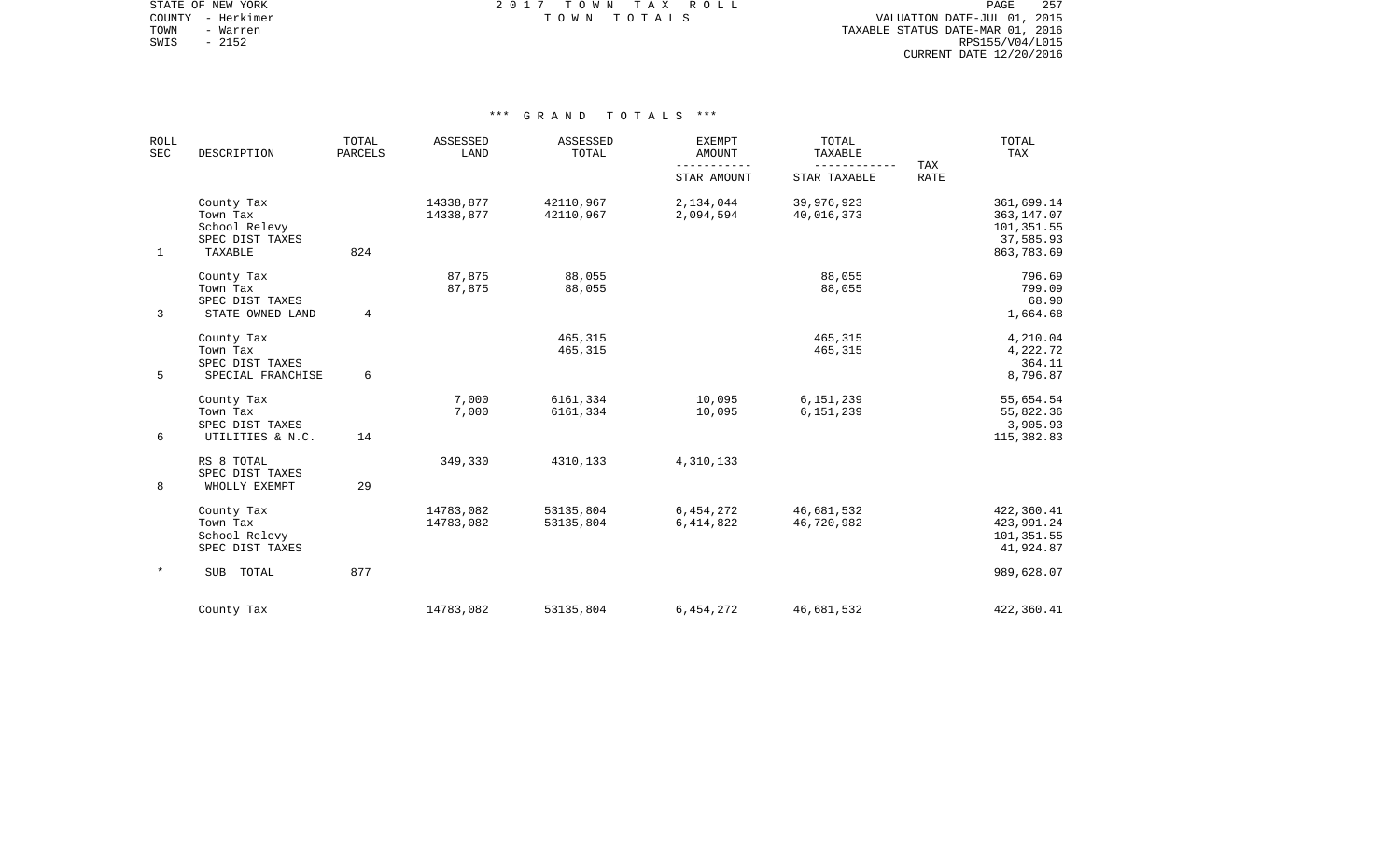STATE OF NEW YORK **EXECUTE:**  $2017$  TOWN TAX ROLL COUNTY - Herkimer T O W N T O T A L S VALUATION DATE-JUL 01, 2015

TOWN - Warren TAXABLE STATUS DATE-MAR 01, 2016 SWIS - Warren 2016<br>SWIS - 2152 RPS155/V04/L015<br>SWIS - 2152 RPS155/V04/L015 CURRENT DATE 12/20/2016

| <b>ROLL</b><br>SEC | DESCRIPTION                                                           | TOTAL<br><b>PARCELS</b> | ASSESSED<br>LAND       | ASSESSED<br>TOTAL      | <b>EXEMPT</b><br>AMOUNT<br>$- - - - -$ | TOTAL<br>TAXABLE         | TAX         | TOTAL<br>TAX                                                       |
|--------------------|-----------------------------------------------------------------------|-------------------------|------------------------|------------------------|----------------------------------------|--------------------------|-------------|--------------------------------------------------------------------|
|                    |                                                                       |                         |                        |                        | STAR AMOUNT                            | STAR TAXABLE             | <b>RATE</b> |                                                                    |
| $\mathbf 1$        | County Tax<br>Town Tax<br>School Relevy<br>SPEC DIST TAXES<br>TAXABLE | 824                     | 14338,877<br>14338,877 | 42110,967<br>42110,967 | 2,134,044<br>2,094,594                 | 39,976,923<br>40,016,373 |             | 361,699.14<br>363, 147.07<br>101,351.55<br>37,585.93<br>863,783.69 |
| 3                  | County Tax<br>Town Tax<br>SPEC DIST TAXES<br>STATE OWNED LAND         | 4                       | 87,875<br>87,875       | 88,055<br>88,055       |                                        | 88,055<br>88,055         |             | 796.69<br>799.09<br>68.90<br>1,664.68                              |
| 5                  | County Tax<br>Town Tax<br>SPEC DIST TAXES<br>SPECIAL FRANCHISE        | 6                       |                        | 465,315<br>465, 315    |                                        | 465,315<br>465,315       |             | 4,210.04<br>4,222.72<br>364.11<br>8,796.87                         |
| 6                  | County Tax<br>Town Tax<br>SPEC DIST TAXES<br>UTILITIES & N.C.         | 14                      | 7,000<br>7,000         | 6161,334<br>6161,334   | 10,095<br>10,095                       | 6,151,239<br>6,151,239   |             | 55,654.54<br>55,822.36<br>3,905.93<br>115,382.83                   |
| 8                  | RS 8 TOTAL<br>SPEC DIST TAXES<br>WHOLLY EXEMPT                        | 29                      | 349,330                | 4310,133               | 4,310,133                              |                          |             |                                                                    |
|                    | County Tax<br>Town Tax<br>School Relevy<br>SPEC DIST TAXES            |                         | 14783,082<br>14783,082 | 53135,804<br>53135,804 | 6,454,272<br>6,414,822                 | 46,681,532<br>46,720,982 |             | 422,360.41<br>423,991.24<br>101,351.55<br>41,924.87                |
| $^\star$           | SUB TOTAL                                                             | 877                     |                        |                        |                                        |                          |             | 989,628.07                                                         |
|                    | County Tax                                                            |                         | 14783,082              | 53135,804              | 6,454,272                              | 46,681,532               |             | 422,360.41                                                         |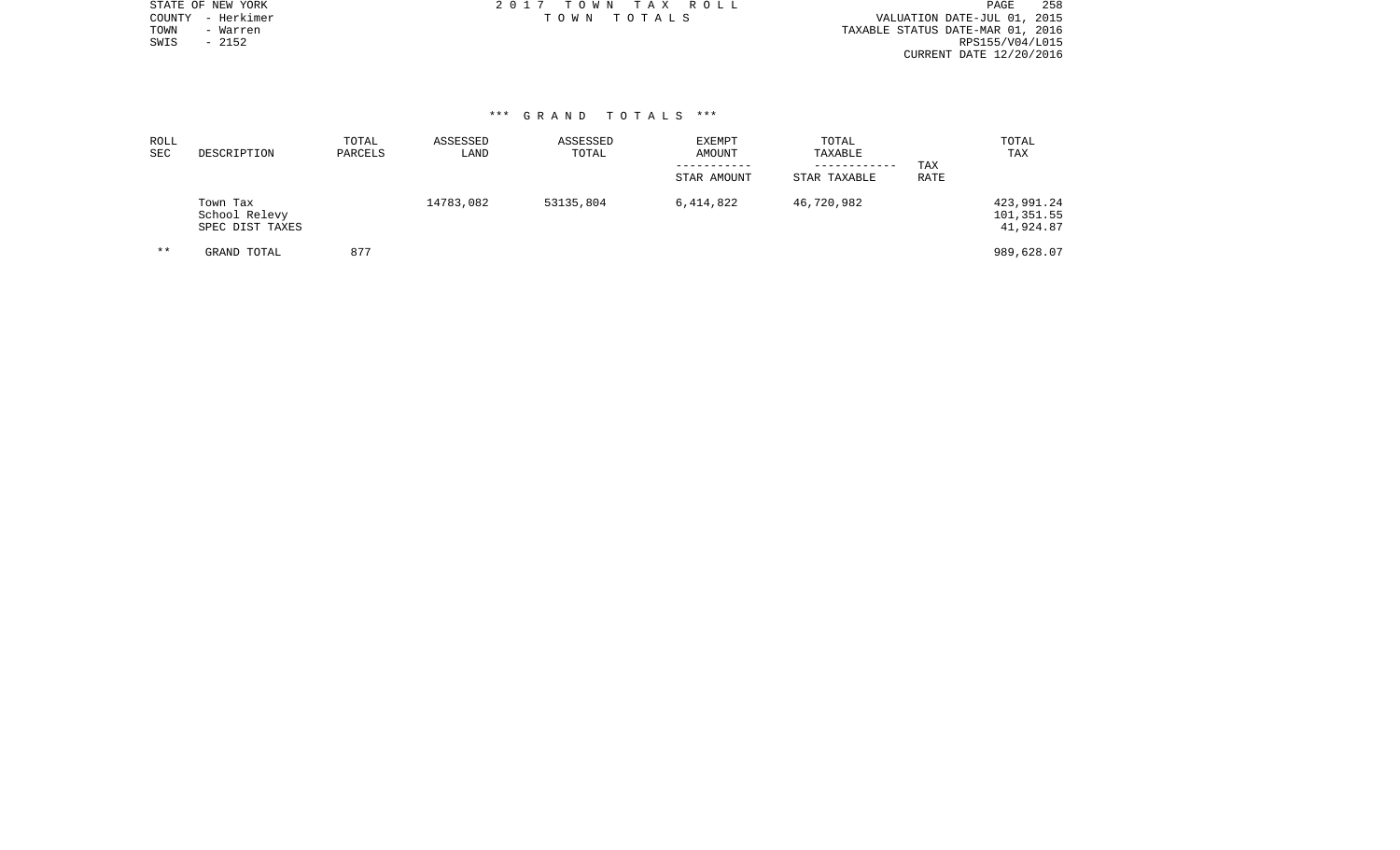|      | STATE OF NEW YORK | 2017 TOWN TAX ROLL | PAGE                             | -258 |
|------|-------------------|--------------------|----------------------------------|------|
|      | COUNTY - Herkimer | TOWN TOTALS        | VALUATION DATE-JUL 01, 2015      |      |
| TOWN | - Warren          |                    | TAXABLE STATUS DATE-MAR 01, 2016 |      |
| SWIS | $-2152$           |                    | RPS155/V04/L015                  |      |
|      |                   |                    | CURRENT DATE 12/20/2016          |      |
|      |                   |                    |                                  |      |

| ROLL<br>SEC | DESCRIPTION                                  | TOTAL<br>PARCELS | ASSESSED<br>LAND | ASSESSED<br>TOTAL | <b>EXEMPT</b><br>AMOUNT<br>STAR AMOUNT | TOTAL<br>TAXABLE<br>------------<br>STAR TAXABLE | TAX<br><b>RATE</b> | TOTAL<br>TAX                          |
|-------------|----------------------------------------------|------------------|------------------|-------------------|----------------------------------------|--------------------------------------------------|--------------------|---------------------------------------|
|             | Town Tax<br>School Relevy<br>SPEC DIST TAXES |                  | 14783,082        | 53135,804         | 6,414,822                              | 46,720,982                                       |                    | 423,991.24<br>101,351.55<br>41,924.87 |
| $* *$       | GRAND TOTAL                                  | 877              |                  |                   |                                        |                                                  |                    | 989,628.07                            |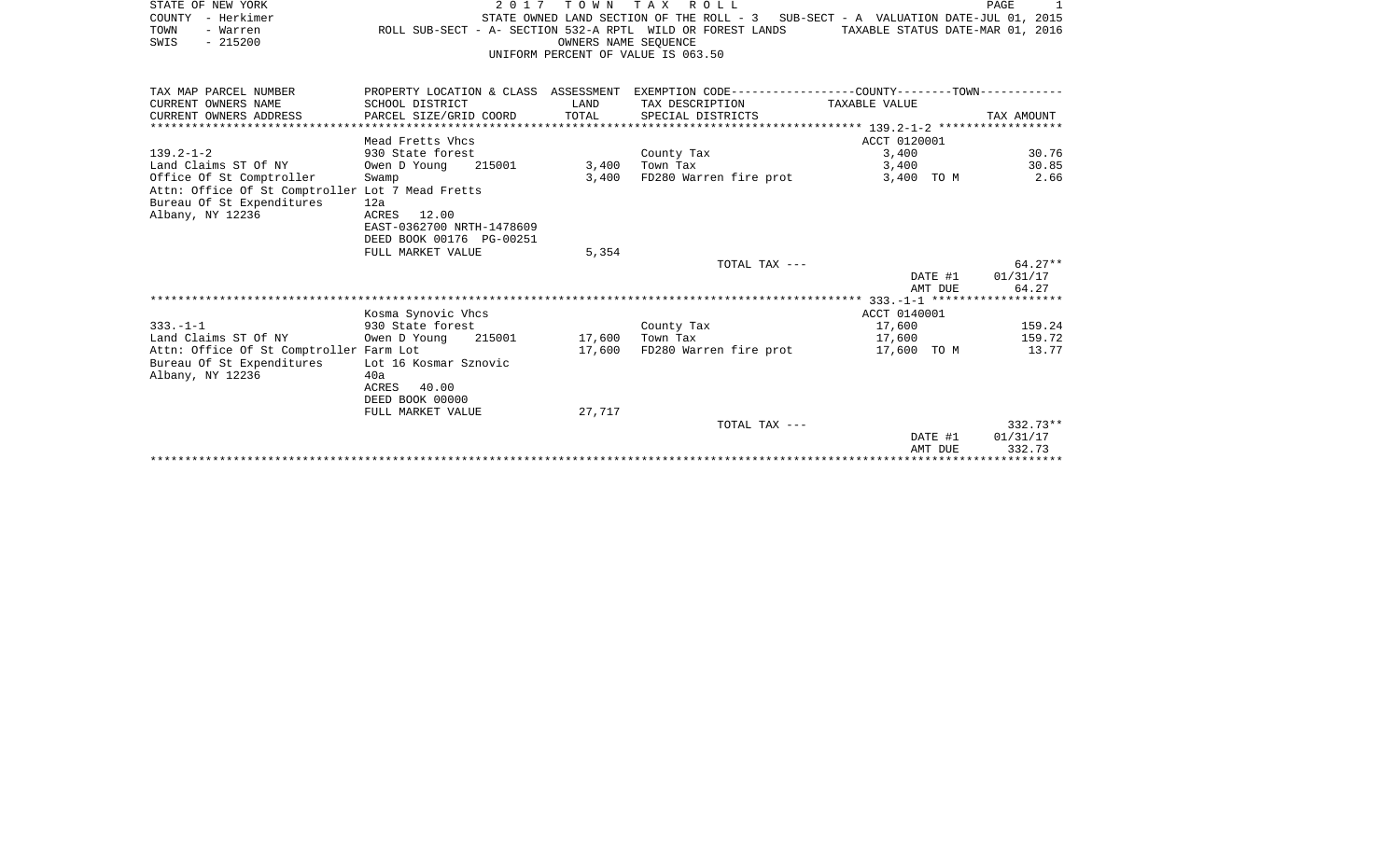| STATE OF NEW YORK                                |                                                            |                      | 2017 TOWN TAX ROLL                                                                             |                                  | PAGE<br>1  |
|--------------------------------------------------|------------------------------------------------------------|----------------------|------------------------------------------------------------------------------------------------|----------------------------------|------------|
| COUNTY - Herkimer                                |                                                            |                      | STATE OWNED LAND SECTION OF THE ROLL - 3 SUB-SECT - A VALUATION DATE-JUL 01, 2015              |                                  |            |
| TOWN<br>- Warren                                 | ROLL SUB-SECT - A- SECTION 532-A RPTL WILD OR FOREST LANDS |                      |                                                                                                | TAXABLE STATUS DATE-MAR 01, 2016 |            |
| $-215200$<br>SWIS                                |                                                            | OWNERS NAME SEOUENCE |                                                                                                |                                  |            |
|                                                  |                                                            |                      | UNIFORM PERCENT OF VALUE IS 063.50                                                             |                                  |            |
|                                                  |                                                            |                      |                                                                                                |                                  |            |
|                                                  |                                                            |                      |                                                                                                |                                  |            |
| TAX MAP PARCEL NUMBER                            |                                                            |                      | PROPERTY LOCATION & CLASS ASSESSMENT EXEMPTION CODE---------------COUNTY--------TOWN---------- |                                  |            |
| CURRENT OWNERS NAME                              | SCHOOL DISTRICT                                            | LAND                 | TAX DESCRIPTION                                                                                | TAXABLE VALUE                    |            |
| CURRENT OWNERS ADDRESS                           | PARCEL SIZE/GRID COORD                                     | TOTAL                | SPECIAL DISTRICTS                                                                              |                                  | TAX AMOUNT |
|                                                  |                                                            |                      |                                                                                                |                                  |            |
|                                                  | Mead Fretts Vhcs                                           |                      |                                                                                                | ACCT 0120001                     |            |
| $139.2 - 1 - 2$                                  | 930 State forest                                           |                      | County Tax                                                                                     | 3,400                            | 30.76      |
| Land Claims ST Of NY                             | 215001<br>Owen D Young                                     | 3,400                | Town Tax                                                                                       | 3,400                            | 30.85      |
| Office Of St Comptroller                         | Swamp                                                      | 3,400                | FD280 Warren fire prot                                                                         | 3,400 TO M                       | 2.66       |
| Attn: Office Of St Comptroller Lot 7 Mead Fretts |                                                            |                      |                                                                                                |                                  |            |
| Bureau Of St Expenditures                        | 12a                                                        |                      |                                                                                                |                                  |            |
| Albany, NY 12236                                 | ACRES 12.00                                                |                      |                                                                                                |                                  |            |
|                                                  | EAST-0362700 NRTH-1478609                                  |                      |                                                                                                |                                  |            |
|                                                  | DEED BOOK 00176 PG-00251                                   |                      |                                                                                                |                                  |            |
|                                                  | FULL MARKET VALUE                                          | 5,354                |                                                                                                |                                  |            |
|                                                  |                                                            |                      | TOTAL TAX ---                                                                                  |                                  | $64.27**$  |
|                                                  |                                                            |                      |                                                                                                | DATE #1                          | 01/31/17   |
|                                                  |                                                            |                      |                                                                                                | AMT DUE                          | 64.27      |
|                                                  |                                                            |                      |                                                                                                |                                  |            |
|                                                  | Kosma Synovic Vhcs                                         |                      |                                                                                                | ACCT 0140001                     |            |
| $333. -1 -1$                                     | 930 State forest                                           |                      | County Tax                                                                                     | 17,600                           | 159.24     |
| Land Claims ST Of NY                             | Owen D Young<br>215001                                     | 17,600               | Town Tax                                                                                       | 17,600                           | 159.72     |
| Attn: Office Of St Comptroller Farm Lot          |                                                            | 17,600               | FD280 Warren fire prot                                                                         | 17,600 TO M                      | 13.77      |
| Bureau Of St Expenditures<br>Albany, NY 12236    | Lot 16 Kosmar Sznovic                                      |                      |                                                                                                |                                  |            |
|                                                  | 40a<br>ACRES<br>40.00                                      |                      |                                                                                                |                                  |            |
|                                                  | DEED BOOK 00000                                            |                      |                                                                                                |                                  |            |
|                                                  | FULL MARKET VALUE                                          | 27,717               |                                                                                                |                                  |            |
|                                                  |                                                            |                      | TOTAL TAX ---                                                                                  |                                  | $332.73**$ |
|                                                  |                                                            |                      |                                                                                                | DATE #1                          | 01/31/17   |
|                                                  |                                                            |                      |                                                                                                | $\lambda$                        | 222222     |

AMT DUE 332.73 \*\*\*\*\*\*\*\*\*\*\*\*\*\*\*\*\*\*\*\*\*\*\*\*\*\*\*\*\*\*\*\*\*\*\*\*\*\*\*\*\*\*\*\*\*\*\*\*\*\*\*\*\*\*\*\*\*\*\*\*\*\*\*\*\*\*\*\*\*\*\*\*\*\*\*\*\*\*\*\*\*\*\*\*\*\*\*\*\*\*\*\*\*\*\*\*\*\*\*\*\*\*\*\*\*\*\*\*\*\*\*\*\*\*\*\*\*\*\*\*\*\*\*\*\*\*\*\*\*\*\*\*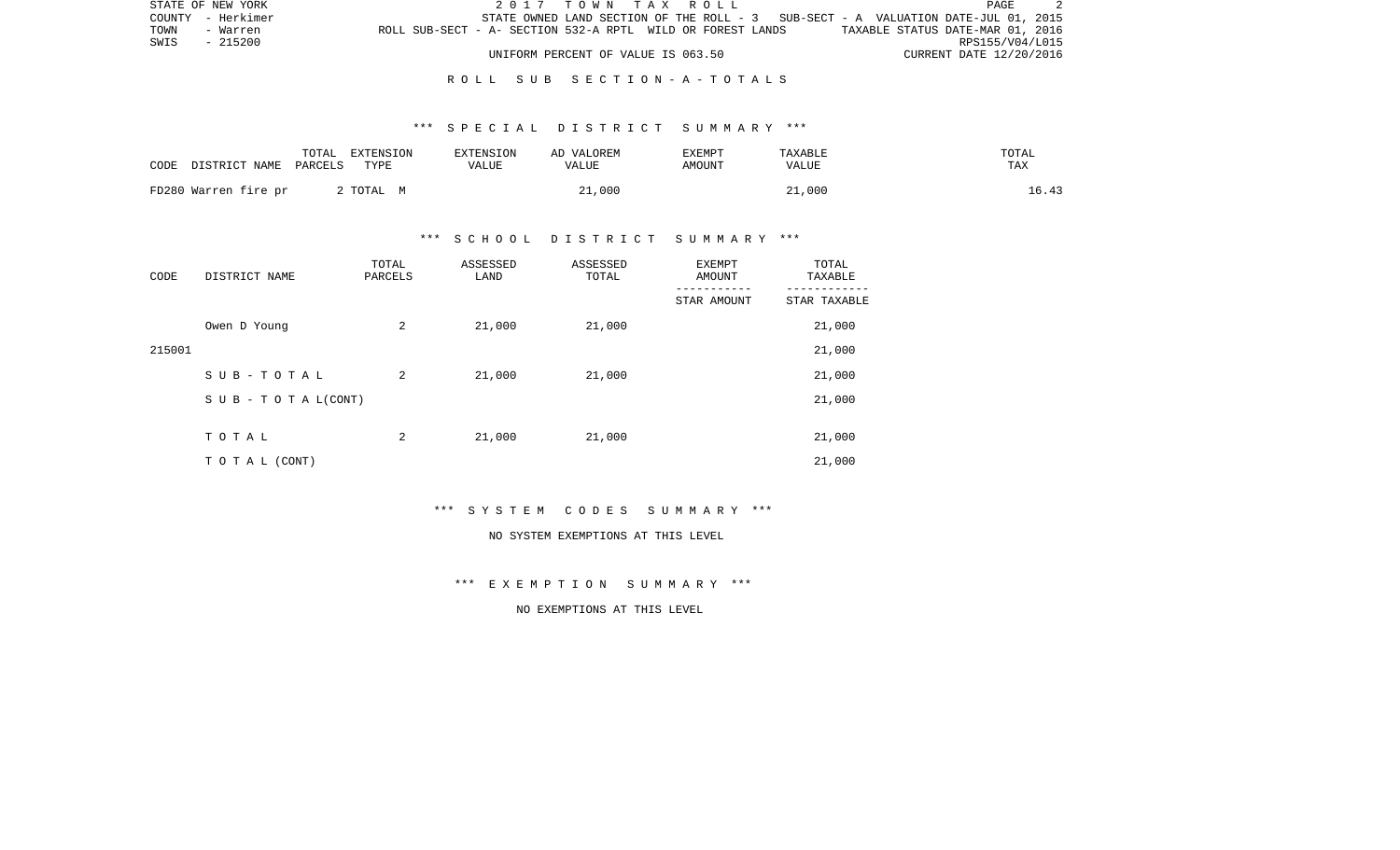| STATE OF NEW YORK | 2017 TOWN TAX ROLL                                                                | PAGE                             |
|-------------------|-----------------------------------------------------------------------------------|----------------------------------|
| COUNTY - Herkimer | STATE OWNED LAND SECTION OF THE ROLL - 3 SUB-SECT - A VALUATION DATE-JUL 01, 2015 |                                  |
| TOWN<br>- Warren  | ROLL SUB-SECT - A- SECTION 532-A RPTL WILD OR FOREST LANDS                        | TAXABLE STATUS DATE-MAR 01, 2016 |
| SWIS<br>- 215200  |                                                                                   | RPS155/V04/L015                  |
|                   | UNIFORM PERCENT OF VALUE IS 063.50                                                | CURRENT DATE 12/20/2016          |

### \*\*\* S P E C I A L D I S T R I C T S U M M A R Y \*\*\*

| CODE | DISTRICT NAME        | TOTAL<br>PARCELS | EXTENSION<br>TYPE | EXTENSION<br>VALUE | AD VALOREM<br>VALUE | <b>EXEMPT</b><br>AMOUNT | TAXABLE<br>VALUE | TOTAL<br>TAX |
|------|----------------------|------------------|-------------------|--------------------|---------------------|-------------------------|------------------|--------------|
|      | FD280 Warren fire pr |                  | 2 TOTAL M         |                    | 21,000              |                         | 21,000           | 16.43        |

### \*\*\* S C H O O L D I S T R I C T S U M M A R Y \*\*\*

| CODE   | DISTRICT NAME                    | TOTAL<br>PARCELS | ASSESSED<br>LAND | ASSESSED<br>TOTAL | <b>EXEMPT</b><br>AMOUNT<br>--------- | TOTAL<br>TAXABLE |
|--------|----------------------------------|------------------|------------------|-------------------|--------------------------------------|------------------|
|        |                                  |                  |                  |                   | STAR AMOUNT                          | STAR TAXABLE     |
|        | Owen D Young                     | 2                | 21,000           | 21,000            |                                      | 21,000           |
| 215001 |                                  |                  |                  |                   |                                      | 21,000           |
|        | SUB-TOTAL                        | 2                | 21,000           | 21,000            |                                      | 21,000           |
|        | $S \cup B - T \cup T A L (CONT)$ |                  |                  |                   |                                      | 21,000           |
|        |                                  |                  |                  |                   |                                      |                  |
|        | TOTAL                            | 2                | 21,000           | 21,000            |                                      | 21,000           |
|        | TO TAL (CONT)                    |                  |                  |                   |                                      | 21,000           |

\*\*\* S Y S T E M C O D E S S U M M A R Y \*\*\*

#### NO SYSTEM EXEMPTIONS AT THIS LEVEL

\*\*\* E X E M P T I O N S U M M A R Y \*\*\*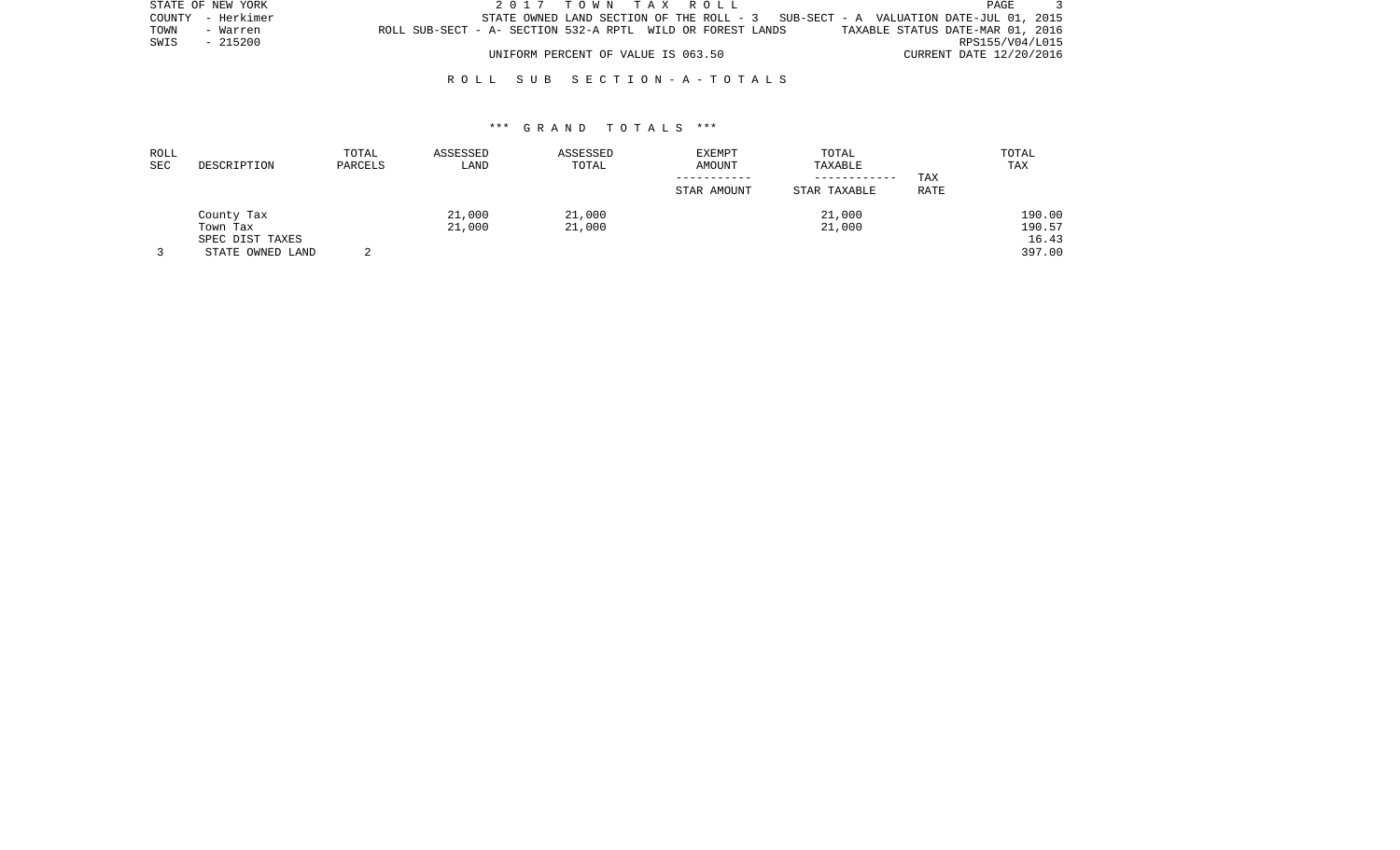|      | STATE OF NEW YORK |                                                            |  |                                    |  | 2017 TOWN TAX ROLL |                                                                                   |  |                                  | PAGE |  |
|------|-------------------|------------------------------------------------------------|--|------------------------------------|--|--------------------|-----------------------------------------------------------------------------------|--|----------------------------------|------|--|
|      | COUNTY - Herkimer |                                                            |  |                                    |  |                    | STATE OWNED LAND SECTION OF THE ROLL - 3 SUB-SECT - A VALUATION DATE-JUL 01, 2015 |  |                                  |      |  |
| TOWN | - Warren          | ROLL SUB-SECT - A- SECTION 532-A RPTL WILD OR FOREST LANDS |  |                                    |  |                    |                                                                                   |  | TAXABLE STATUS DATE-MAR 01, 2016 |      |  |
| SWIS | - 215200          |                                                            |  |                                    |  |                    |                                                                                   |  | RPS155/V04/L015                  |      |  |
|      |                   |                                                            |  | UNIFORM PERCENT OF VALUE IS 063.50 |  |                    |                                                                                   |  | CURRENT DATE 12/20/2016          |      |  |

| ROLL<br>SEC | DESCRIPTION                         | TOTAL<br>PARCELS | ASSESSED<br>LAND | ASSESSED<br>TOTAL | <b>EXEMPT</b><br>AMOUNT | TOTAL<br>TAXABLE             |             | TOTAL<br>TAX     |
|-------------|-------------------------------------|------------------|------------------|-------------------|-------------------------|------------------------------|-------------|------------------|
|             |                                     |                  |                  |                   | STAR AMOUNT             | ------------<br>STAR TAXABLE | TAX<br>RATE |                  |
|             | County Tax<br>Town Tax              |                  | 21,000<br>21,000 | 21,000<br>21,000  |                         | 21,000<br>21,000             |             | 190.00<br>190.57 |
|             | SPEC DIST TAXES<br>STATE OWNED LAND |                  |                  |                   |                         |                              |             | 16.43<br>397.00  |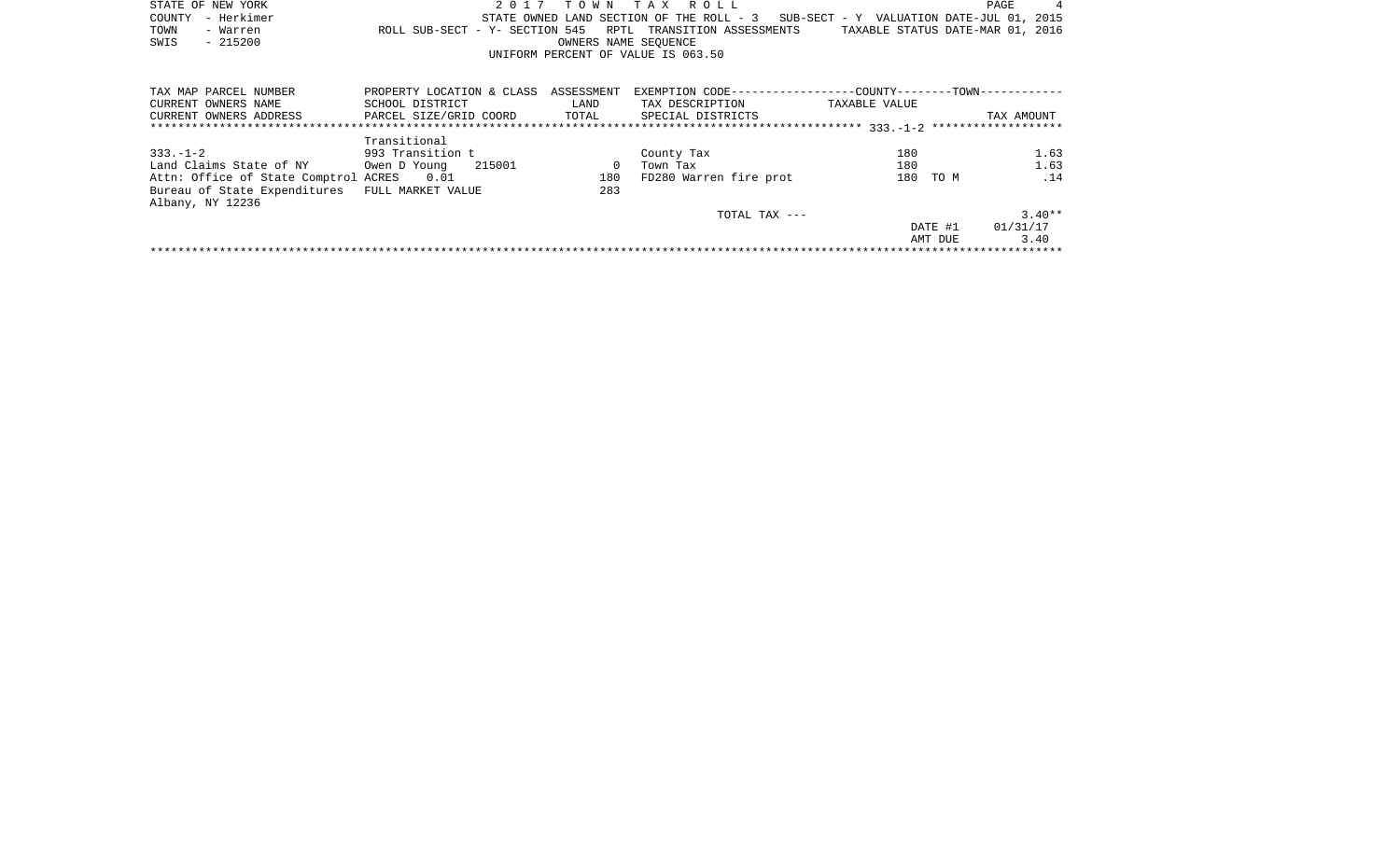| STATE OF NEW YORK | 2017 TOWN TAX ROLL                                         | 4<br>PAGE                                                                         |
|-------------------|------------------------------------------------------------|-----------------------------------------------------------------------------------|
| COUNTY - Herkimer |                                                            | STATE OWNED LAND SECTION OF THE ROLL - 3 SUB-SECT - Y VALUATION DATE-JUL 01, 2015 |
| TOWN<br>- Warren  | ROLL SUB-SECT - Y- SECTION 545 RPTL TRANSITION ASSESSMENTS | TAXABLE STATUS DATE-MAR 01, 2016                                                  |
| SWIS<br>- 215200  | OWNERS NAME SEOUENCE                                       |                                                                                   |
|                   | UNIFORM PERCENT OF VALUE IS 063.50                         |                                                                                   |

| TAX MAP PARCEL NUMBER                | PROPERTY LOCATION & CLASS | ASSESSMENT | EXEMPTION CODE-----------------COUNTY-------TOWN------------ |               |         |            |
|--------------------------------------|---------------------------|------------|--------------------------------------------------------------|---------------|---------|------------|
| CURRENT OWNERS NAME                  | SCHOOL DISTRICT           | LAND       | TAX DESCRIPTION                                              | TAXABLE VALUE |         |            |
| CURRENT OWNERS ADDRESS               | PARCEL SIZE/GRID COORD    | TOTAL      | SPECIAL DISTRICTS                                            |               |         | TAX AMOUNT |
|                                      |                           |            |                                                              |               |         |            |
|                                      | Transitional              |            |                                                              |               |         |            |
| $333 - 1 - 2$                        | 993 Transition t          |            | County Tax                                                   | 180           |         | 1.63       |
| Land Claims State of NY              | 215001<br>Owen D Young    |            | Town Tax                                                     | 180           |         | 1.63       |
| Attn: Office of State Comptrol ACRES | 0.01                      | 180        | FD280 Warren fire prot                                       | 180           | TO M    | .14        |
| Bureau of State Expenditures         | FULL MARKET VALUE         | 283        |                                                              |               |         |            |
| Albany, NY 12236                     |                           |            |                                                              |               |         |            |
|                                      |                           |            | TOTAL TAX $---$                                              |               |         | $3.40**$   |
|                                      |                           |            |                                                              |               | DATE #1 | 01/31/17   |
|                                      |                           |            |                                                              |               | AMT DUE | 3.40       |
|                                      |                           |            |                                                              |               |         |            |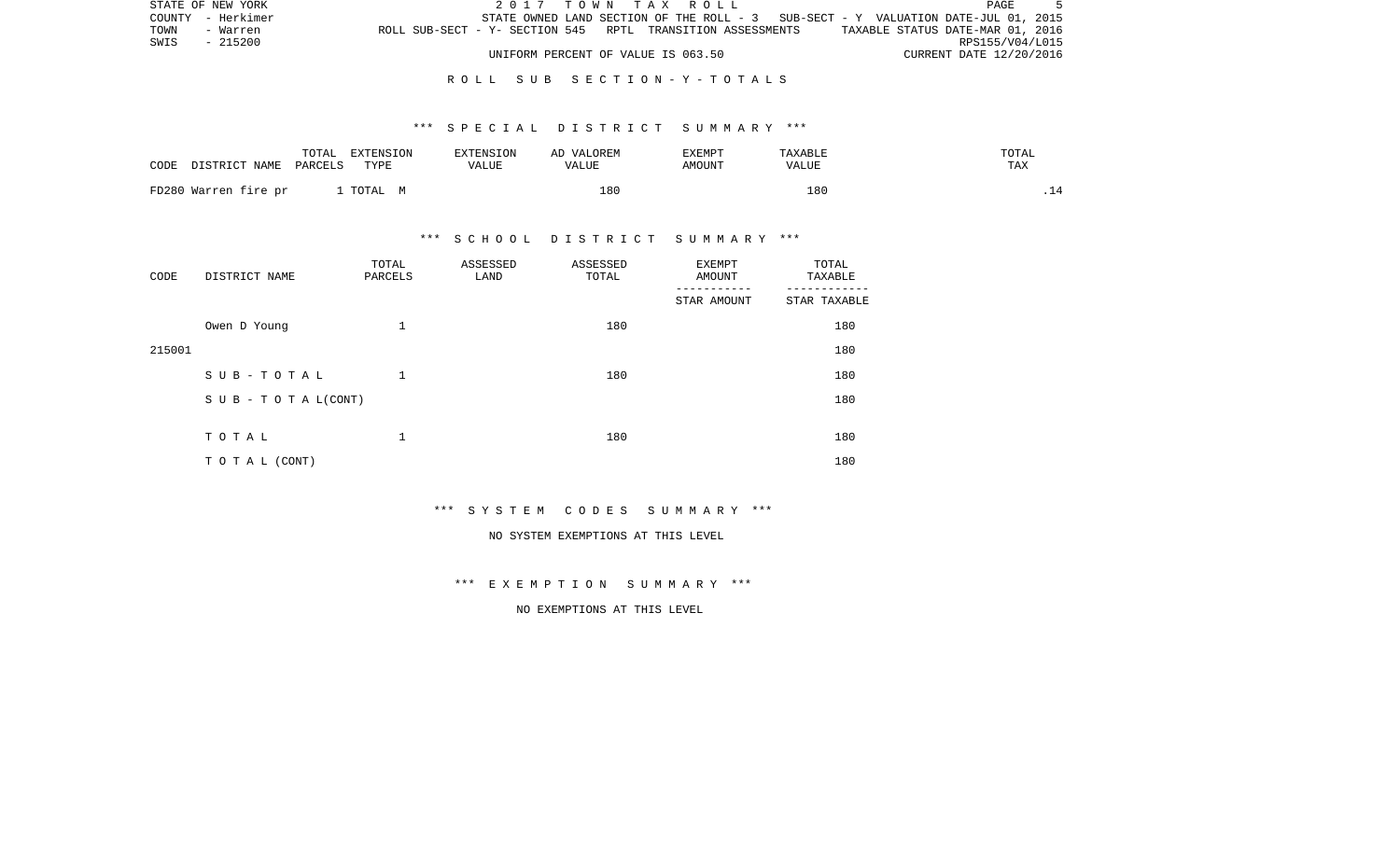|      | STATE OF NEW YORK |                                                            |  | 2017 TOWN TAX ROLL                 |  |                                                                                   |  |                                  | PAGE |  |
|------|-------------------|------------------------------------------------------------|--|------------------------------------|--|-----------------------------------------------------------------------------------|--|----------------------------------|------|--|
|      | COUNTY - Herkimer |                                                            |  |                                    |  | STATE OWNED LAND SECTION OF THE ROLL - 3 SUB-SECT - Y VALUATION DATE-JUL 01, 2015 |  |                                  |      |  |
| TOWN | - Warren          | ROLL SUB-SECT - Y- SECTION 545 RPTL TRANSITION ASSESSMENTS |  |                                    |  |                                                                                   |  | TAXABLE STATUS DATE-MAR 01, 2016 |      |  |
| SWIS | - 215200          |                                                            |  |                                    |  |                                                                                   |  | RPS155/V04/L015                  |      |  |
|      |                   |                                                            |  | UNIFORM PERCENT OF VALUE IS 063.50 |  |                                                                                   |  | CURRENT DATE 12/20/2016          |      |  |

#### \*\*\* S P E C I A L D I S T R I C T S U M M A R Y \*\*\*

| CODE | DISTRICT NAME        | TOTAL<br>PARCELS | EXTENSION<br>TYPE | <b>EXTENSION</b><br>VALUE | AD VALOREM<br>VALUE | EXEMPT<br>AMOUNT | TAXABLE<br>VALUE | TOTAL<br>TAX |
|------|----------------------|------------------|-------------------|---------------------------|---------------------|------------------|------------------|--------------|
|      | FD280 Warren fire pr |                  | . TOTAL M         |                           | 180                 |                  | 180              | .            |

### \*\*\* S C H O O L D I S T R I C T S U M M A R Y \*\*\*

| CODE   | DISTRICT NAME      | TOTAL<br>PARCELS | ASSESSED<br>LAND | ASSESSED<br>TOTAL | EXEMPT<br>AMOUNT | TOTAL<br>TAXABLE |
|--------|--------------------|------------------|------------------|-------------------|------------------|------------------|
|        |                    |                  |                  |                   | STAR AMOUNT      | STAR TAXABLE     |
|        | Owen D Young       | 1                |                  | 180               |                  | 180              |
| 215001 |                    |                  |                  |                   |                  | 180              |
|        | SUB-TOTAL          | 1                |                  | 180               |                  | 180              |
|        | SUB - TO TAL(CONT) |                  |                  |                   |                  | 180              |
|        |                    |                  |                  |                   |                  |                  |
|        | TOTAL              | 1                |                  | 180               |                  | 180              |
|        | TO TAL (CONT)      |                  |                  |                   |                  | 180              |

\*\*\* S Y S T E M C O D E S S U M M A R Y \*\*\*

#### NO SYSTEM EXEMPTIONS AT THIS LEVEL

\*\*\* E X E M P T I O N S U M M A R Y \*\*\*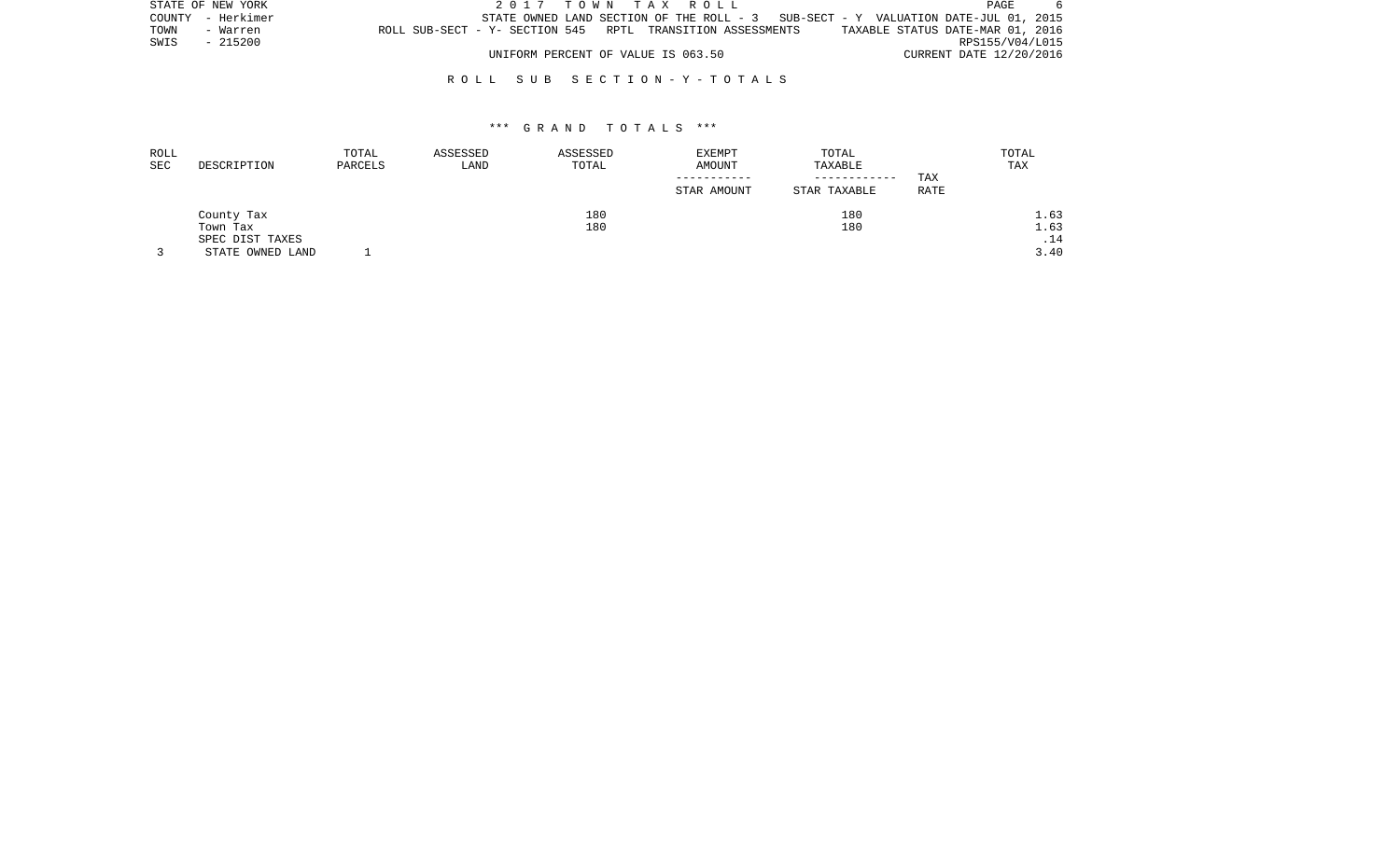|      | STATE OF NEW YORK |                                                            | 2017 TOWN TAX ROLL                 |  |                                                                                   |                                  | PAGE            |  |
|------|-------------------|------------------------------------------------------------|------------------------------------|--|-----------------------------------------------------------------------------------|----------------------------------|-----------------|--|
|      | COUNTY - Herkimer |                                                            |                                    |  | STATE OWNED LAND SECTION OF THE ROLL - 3 SUB-SECT - Y VALUATION DATE-JUL 01, 2015 |                                  |                 |  |
| TOWN | - Warren          | ROLL SUB-SECT - Y- SECTION 545 RPTL TRANSITION ASSESSMENTS |                                    |  |                                                                                   | TAXABLE STATUS DATE-MAR 01, 2016 |                 |  |
| SWIS | - 215200          |                                                            |                                    |  |                                                                                   |                                  | RPS155/V04/L015 |  |
|      |                   |                                                            | UNIFORM PERCENT OF VALUE IS 063.50 |  |                                                                                   | CURRENT DATE 12/20/2016          |                 |  |

| ROLL |                  | TOTAL   | ASSESSED | ASSESSED | EXEMPT      | TOTAL        |      | TOTAL |
|------|------------------|---------|----------|----------|-------------|--------------|------|-------|
| SEC  | DESCRIPTION      | PARCELS | LAND     | TOTAL    | AMOUNT      | TAXABLE      |      | TAX   |
|      |                  |         |          |          |             | ------------ | TAX  |       |
|      |                  |         |          |          | STAR AMOUNT | STAR TAXABLE | RATE |       |
|      | County Tax       |         |          | 180      |             | 180          |      | 1.63  |
|      | Town Tax         |         |          | 180      |             | 180          |      | 1.63  |
|      | SPEC DIST TAXES  |         |          |          |             |              |      | .14   |
|      | STATE OWNED LAND |         |          |          |             |              |      | 3.40  |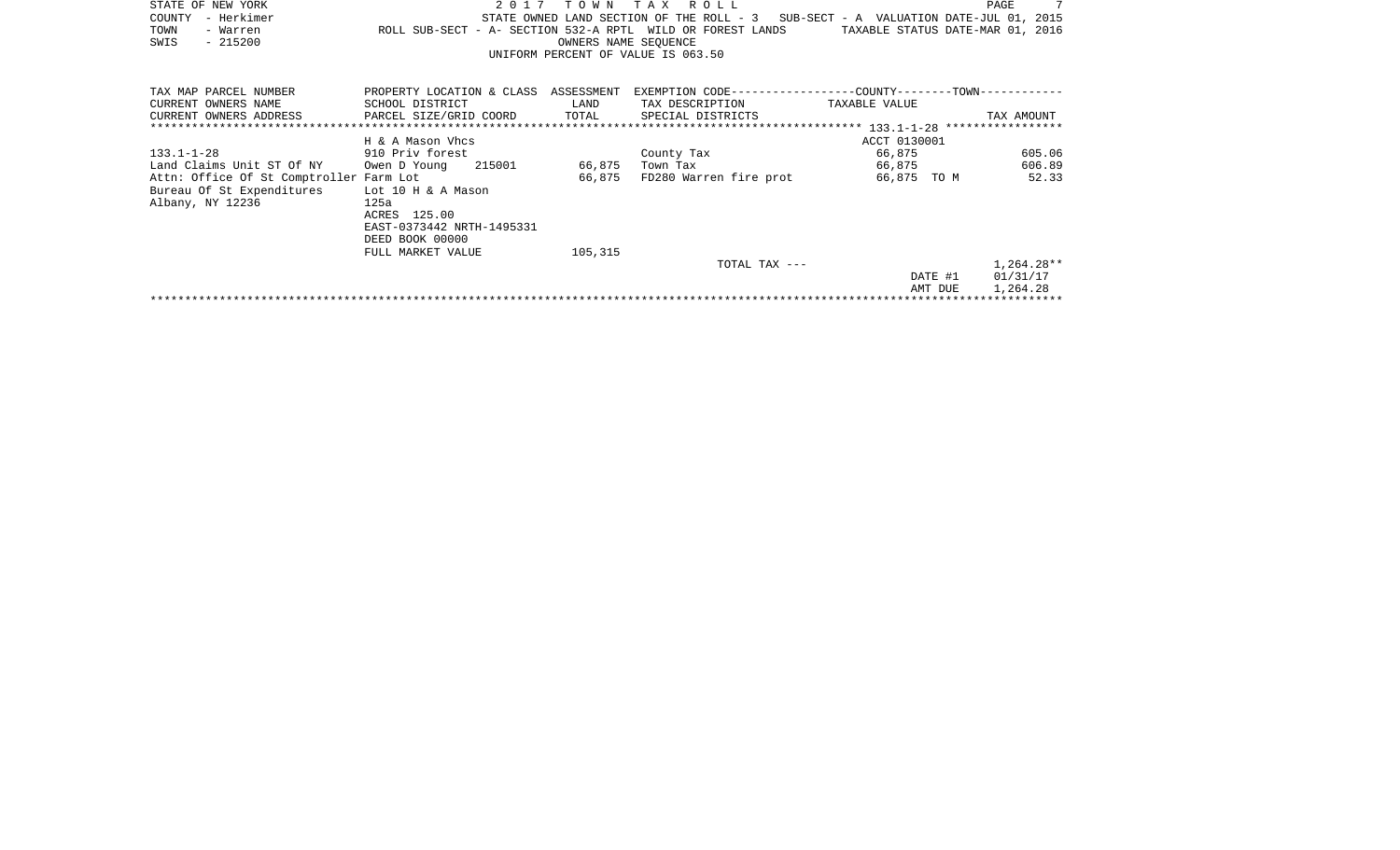| STATE OF NEW YORK                             | 2017                                  | T O W N              | R O L L<br>T A X                                           |                                          | PAGE       |
|-----------------------------------------------|---------------------------------------|----------------------|------------------------------------------------------------|------------------------------------------|------------|
| COUNTY<br>- Herkimer                          |                                       |                      | STATE OWNED LAND SECTION OF THE ROLL - 3                   | SUB-SECT - A VALUATION DATE-JUL 01, 2015 |            |
| TOWN<br>- Warren                              | ROLL SUB-SECT - A- SECTION 532-A RPTL |                      | WILD OR FOREST LANDS                                       | TAXABLE STATUS DATE-MAR 01, 2016         |            |
| $-215200$<br>SWIS                             |                                       | OWNERS NAME SEQUENCE |                                                            |                                          |            |
|                                               |                                       |                      | UNIFORM PERCENT OF VALUE IS 063.50                         |                                          |            |
|                                               |                                       |                      |                                                            |                                          |            |
| TAX MAP PARCEL NUMBER                         | PROPERTY LOCATION & CLASS ASSESSMENT  |                      | EXEMPTION CODE----------------COUNTY-------TOWN----------- |                                          |            |
| CURRENT OWNERS NAME                           | SCHOOL DISTRICT                       | LAND                 | TAX DESCRIPTION                                            | TAXABLE VALUE                            |            |
| CURRENT OWNERS ADDRESS                        | PARCEL SIZE/GRID COORD                | TOTAL                | SPECIAL DISTRICTS                                          |                                          | TAX AMOUNT |
|                                               |                                       |                      |                                                            |                                          |            |
|                                               | H & A Mason Vhcs                      |                      |                                                            | ACCT 0130001                             |            |
| $133.1 - 1 - 28$                              | 910 Priv forest                       |                      | County Tax                                                 | 66,875                                   | 605.06     |
| Land Claims Unit ST Of NY Owen D Young 215001 |                                       | 66,875               | Town Tax                                                   | 66,875                                   | 606.89     |
| Attn: Office Of St Comptroller Farm Lot       |                                       | 66,875               | FD280 Warren fire prot                                     | 66,875 TO M                              | 52.33      |
| Bureau Of St Expenditures Lot 10 H & A Mason  |                                       |                      |                                                            |                                          |            |
| Albany, NY 12236                              | 125a                                  |                      |                                                            |                                          |            |
|                                               | ACRES 125.00                          |                      |                                                            |                                          |            |
|                                               | EAST-0373442 NRTH-1495331             |                      |                                                            |                                          |            |
|                                               | DEED BOOK 00000                       |                      |                                                            |                                          |            |
|                                               | FULL MARKET VALUE                     | 105,315              |                                                            |                                          |            |
|                                               |                                       |                      | TOTAL TAX ---                                              |                                          | 1,264.28** |
|                                               |                                       |                      |                                                            | DATE #1                                  | 01/31/17   |
|                                               |                                       |                      |                                                            | AMT DUE                                  | 1,264.28   |
|                                               |                                       |                      |                                                            |                                          |            |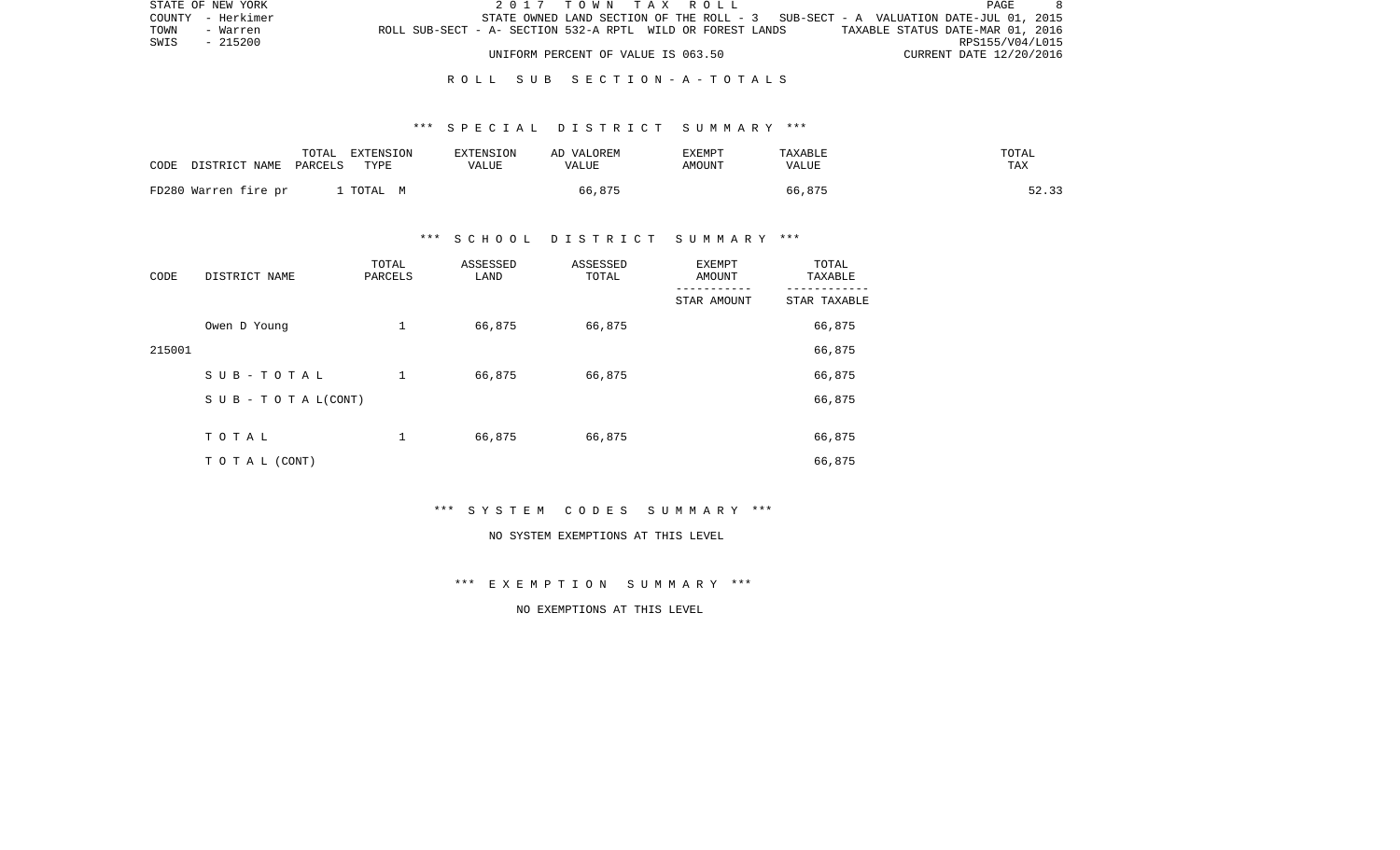| STATE OF NEW YORK |                                                            | 2017 TOWN TAX ROLL                 |                                                                                   |                                  | PAGE                    |
|-------------------|------------------------------------------------------------|------------------------------------|-----------------------------------------------------------------------------------|----------------------------------|-------------------------|
| COUNTY - Herkimer |                                                            |                                    | STATE OWNED LAND SECTION OF THE ROLL - 3 SUB-SECT - A VALUATION DATE-JUL 01, 2015 |                                  |                         |
| TOWN<br>- Warren  | ROLL SUB-SECT - A- SECTION 532-A RPTL WILD OR FOREST LANDS |                                    |                                                                                   | TAXABLE STATUS DATE-MAR 01, 2016 |                         |
| SWIS<br>- 215200  |                                                            |                                    |                                                                                   |                                  | RPS155/V04/L015         |
|                   |                                                            | UNIFORM PERCENT OF VALUE IS 063.50 |                                                                                   |                                  | CURRENT DATE 12/20/2016 |

### \*\*\* S P E C I A L D I S T R I C T S U M M A R Y \*\*\*

| CODE                 | TOTAL   | EXTENSION | <b>EXTENSION</b> | AD VALOREM | <b>EXEMPT</b> | TAXABLE | TOTAL |
|----------------------|---------|-----------|------------------|------------|---------------|---------|-------|
| DISTRICT NAME        | PARCELS | TYPE      | VALUE            | VALUE      | AMOUNT        | VALUE   | TAX   |
| FD280 Warren fire pr |         | TOTAL M   |                  | 66,875     |               | 66,875  | 52.33 |

### \*\*\* S C H O O L D I S T R I C T S U M M A R Y \*\*\*

| CODE   | DISTRICT NAME                    | TOTAL<br>PARCELS | ASSESSED<br>LAND | ASSESSED<br>TOTAL | EXEMPT<br>AMOUNT | TOTAL<br>TAXABLE |
|--------|----------------------------------|------------------|------------------|-------------------|------------------|------------------|
|        |                                  |                  |                  |                   | STAR AMOUNT      | STAR TAXABLE     |
|        | Owen D Young                     | 1                | 66,875           | 66,875            |                  | 66,875           |
| 215001 |                                  |                  |                  |                   |                  | 66,875           |
|        | SUB-TOTAL                        | $\mathbf 1$      | 66,875           | 66,875            |                  | 66,875           |
|        | $S \cup B - T \cup T A L (CONT)$ |                  |                  |                   |                  | 66,875           |
|        |                                  |                  |                  |                   |                  |                  |
|        | TOTAL                            | 1                | 66,875           | 66,875            |                  | 66,875           |
|        | T O T A L (CONT)                 |                  |                  |                   |                  | 66,875           |

\*\*\* S Y S T E M C O D E S S U M M A R Y \*\*\*

#### NO SYSTEM EXEMPTIONS AT THIS LEVEL

\*\*\* E X E M P T I O N S U M M A R Y \*\*\*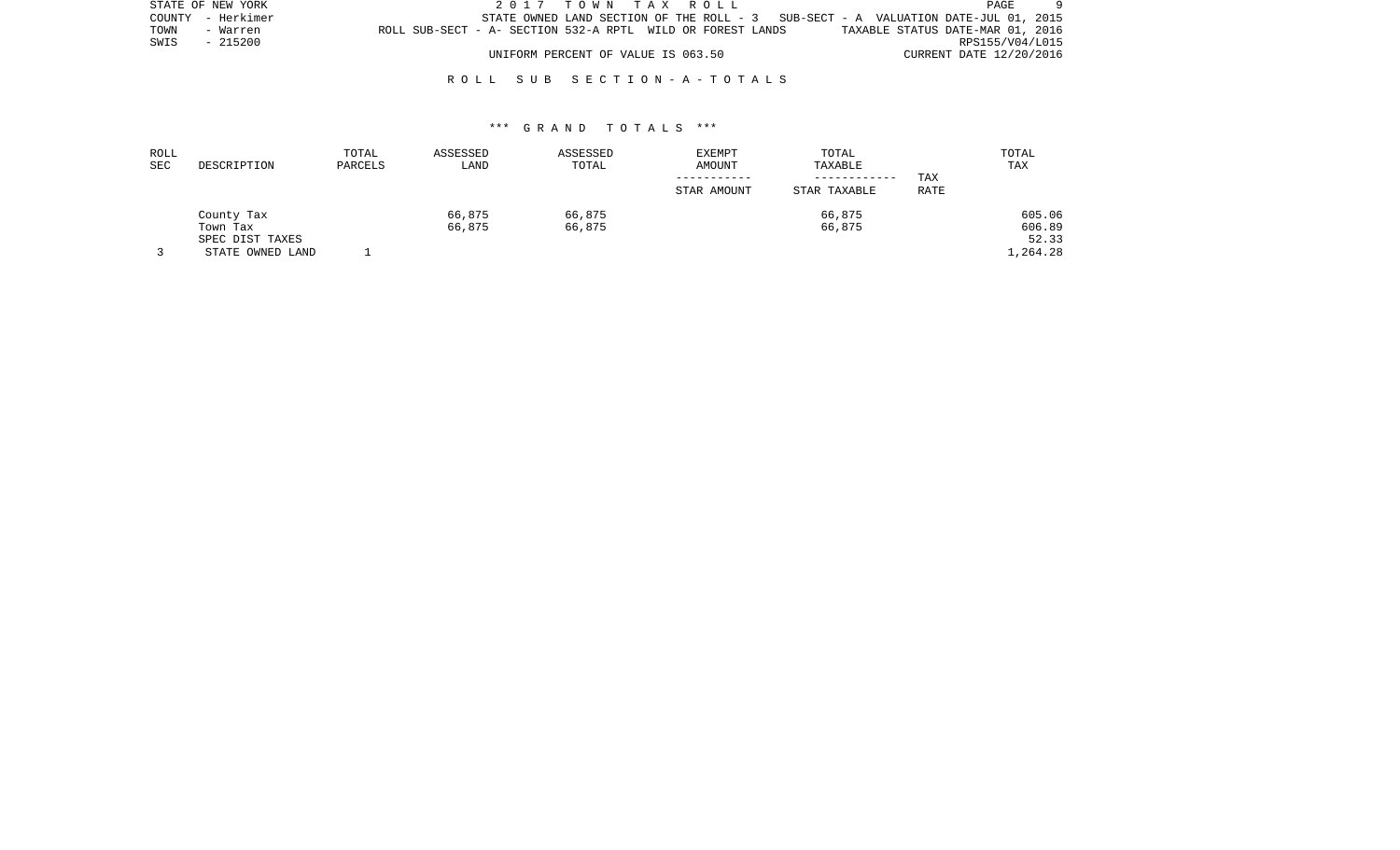| STATE OF NEW YORK | 2017 TOWN TAX ROLL                                                                  | PAGE                             |
|-------------------|-------------------------------------------------------------------------------------|----------------------------------|
| COUNTY - Herkimer | STATE OWNED LAND SECTION OF THE ROLL - $3$ SUB-SECT - A VALUATION DATE-JUL 01, 2015 |                                  |
| TOWN<br>- Warren  | ROLL SUB-SECT - A- SECTION 532-A RPTL WILD OR FOREST LANDS                          | TAXABLE STATUS DATE-MAR 01, 2016 |
| SWIS<br>- 215200  |                                                                                     | RPS155/V04/L015                  |
|                   | UNIFORM PERCENT OF VALUE IS 063.50                                                  | CURRENT DATE 12/20/2016          |

| ROLL |                  | TOTAL   | ASSESSED | ASSESSED | EXEMPT      | TOTAL        |      | TOTAL    |
|------|------------------|---------|----------|----------|-------------|--------------|------|----------|
| SEC  | DESCRIPTION      | PARCELS | LAND     | TOTAL    | AMOUNT      | TAXABLE      |      | TAX      |
|      |                  |         |          |          |             |              | TAX  |          |
|      |                  |         |          |          | STAR AMOUNT | STAR TAXABLE | RATE |          |
|      | County Tax       |         | 66,875   | 66,875   |             | 66,875       |      | 605.06   |
|      | Town Tax         |         | 66,875   | 66,875   |             | 66,875       |      | 606.89   |
|      | SPEC DIST TAXES  |         |          |          |             |              |      | 52.33    |
|      | STATE OWNED LAND |         |          |          |             |              |      | 1,264.28 |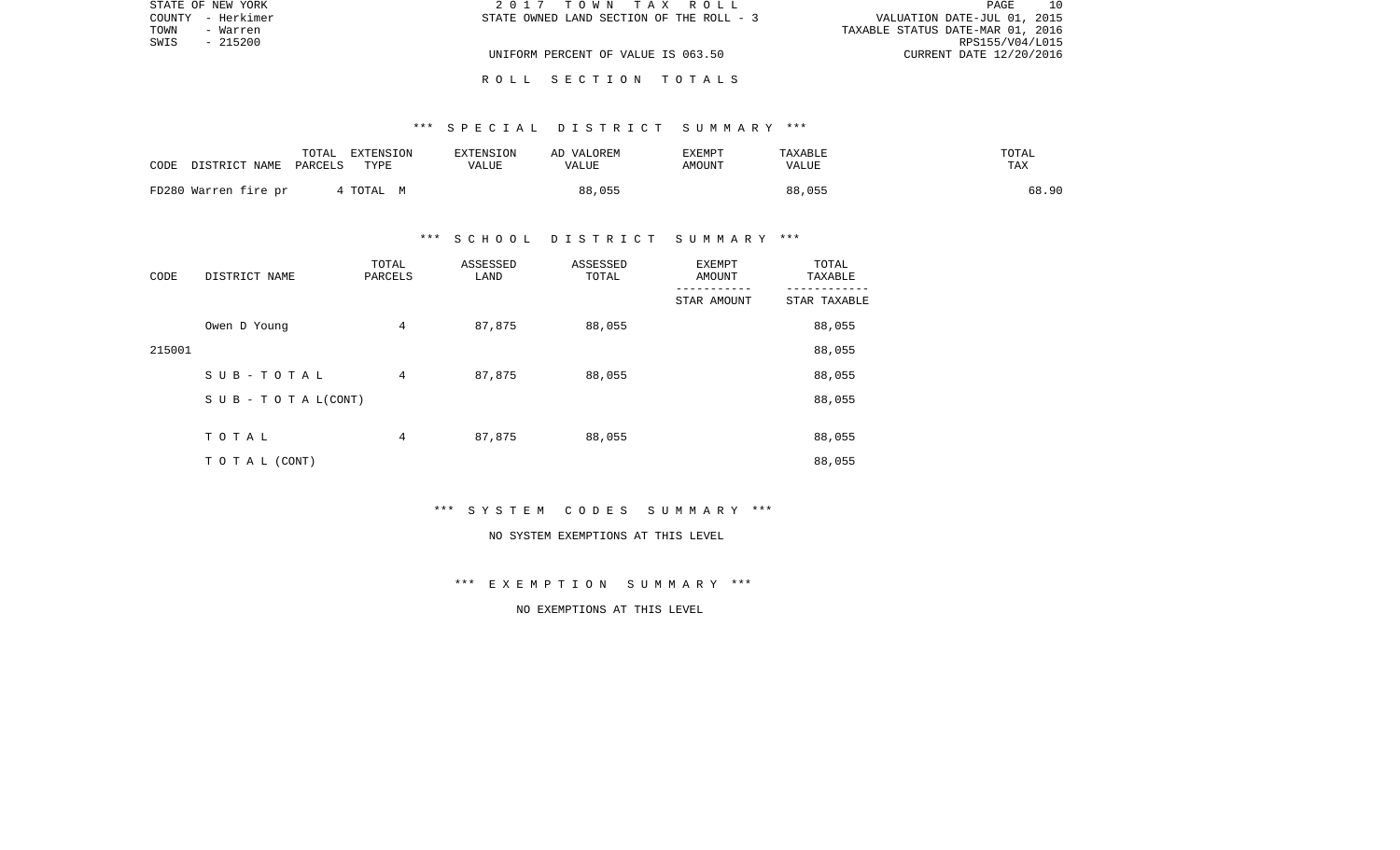|      | STATE OF NEW YORK | 2017 TOWN TAX ROLL                       | 10<br>PAGE                       |
|------|-------------------|------------------------------------------|----------------------------------|
|      | COUNTY - Herkimer | STATE OWNED LAND SECTION OF THE ROLL - 3 | VALUATION DATE-JUL 01, 2015      |
| TOWN | - Warren          |                                          | TAXABLE STATUS DATE-MAR 01, 2016 |
| SWIS | - 215200          |                                          | RPS155/V04/L015                  |
|      |                   | UNIFORM PERCENT OF VALUE IS 063.50       | CURRENT DATE 12/20/2016          |
|      |                   |                                          |                                  |

### \*\*\* S P E C I A L D I S T R I C T S U M M A R Y \*\*\*

R O L L S E C T I O N T O T A L S

| CODE DISTRICT NAME   | TOTAL<br>PARCELS | EXTENSION<br>TYPE | EXTENSION<br>VALUE | AD VALOREM<br>VALUE | EXEMPT<br>AMOUNT | TAXABLE<br>VALUE | TOTAL<br>TAX |
|----------------------|------------------|-------------------|--------------------|---------------------|------------------|------------------|--------------|
| FD280 Warren fire pr |                  | 4 TOTAL M         |                    | 88,055              |                  | 88,055           | 68.90        |

### \*\*\* S C H O O L D I S T R I C T S U M M A R Y \*\*\*

| CODE   | DISTRICT NAME                    | TOTAL<br>PARCELS | ASSESSED<br>LAND | ASSESSED<br>TOTAL | EXEMPT<br>AMOUNT | TOTAL<br>TAXABLE |
|--------|----------------------------------|------------------|------------------|-------------------|------------------|------------------|
|        |                                  |                  |                  |                   | STAR AMOUNT      | STAR TAXABLE     |
|        | Owen D Young                     | $\overline{4}$   | 87,875           | 88,055            |                  | 88,055           |
| 215001 |                                  |                  |                  |                   |                  | 88,055           |
|        | SUB-TOTAL                        | 4                | 87,875           | 88,055            |                  | 88,055           |
|        | $S \cup B - T \cup T A L (CONT)$ |                  |                  |                   |                  | 88,055           |
|        |                                  |                  |                  |                   |                  |                  |
|        | TOTAL                            | 4                | 87,875           | 88,055            |                  | 88,055           |
|        | T O T A L (CONT)                 |                  |                  |                   |                  | 88,055           |

\*\*\* S Y S T E M C O D E S S U M M A R Y \*\*\*

#### NO SYSTEM EXEMPTIONS AT THIS LEVEL

\*\*\* E X E M P T I O N S U M M A R Y \*\*\*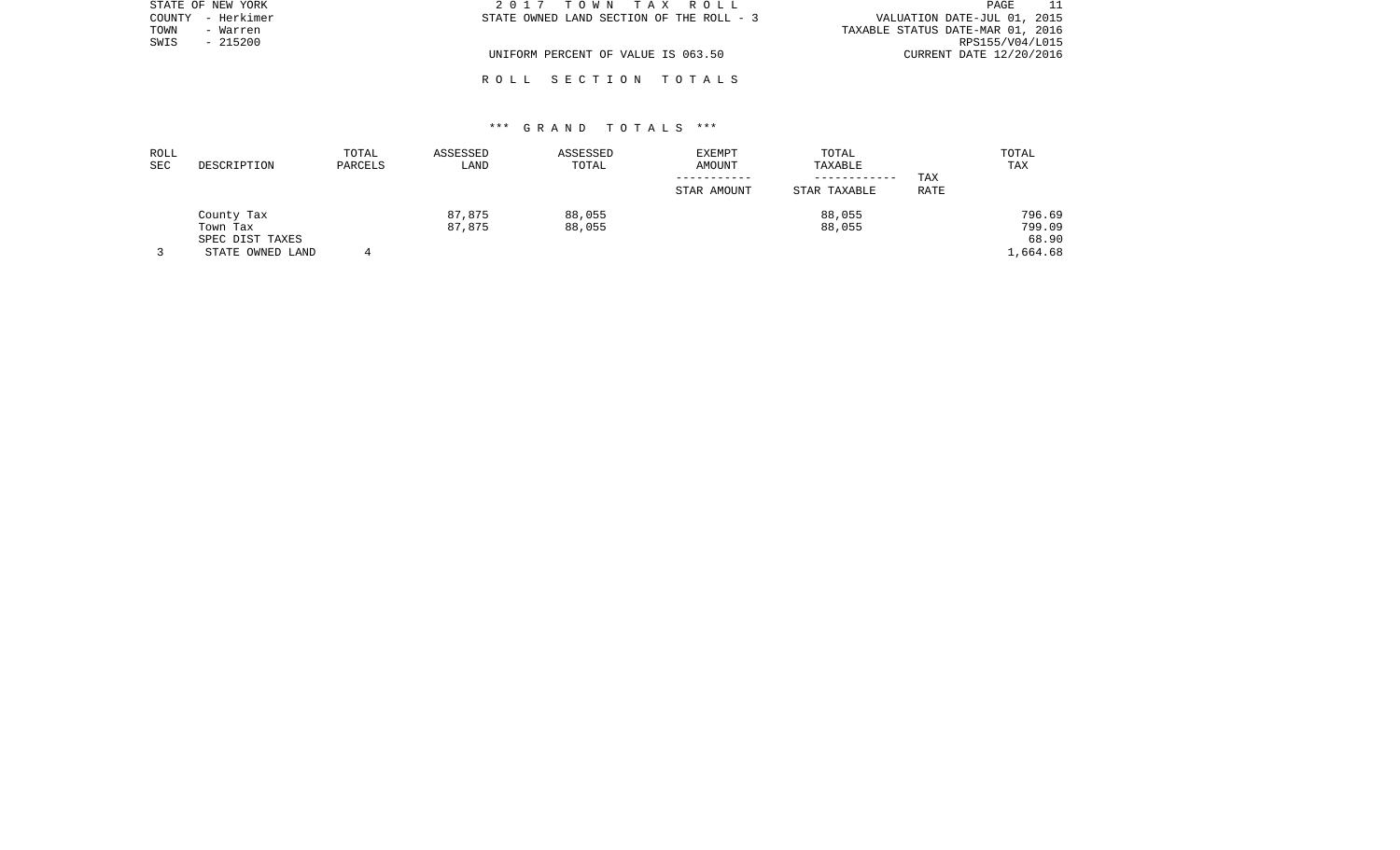| STATE OF NEW YORK    | 2017 TOWN TAX ROLL                       | PAGE                             |
|----------------------|------------------------------------------|----------------------------------|
| – Herkimer<br>COUNTY | STATE OWNED LAND SECTION OF THE ROLL - 3 | VALUATION DATE-JUL 01, 2015      |
| TOWN<br>- Warren     |                                          | TAXABLE STATUS DATE-MAR 01, 2016 |
| $-215200$<br>SWIS    |                                          | RPS155/V04/L015                  |
|                      | UNIFORM PERCENT OF VALUE IS 063.50       | CURRENT DATE 12/20/2016          |
|                      |                                          |                                  |

R O L L S E C T I O N T O T A L S

| ROLL |                  | TOTAL   | ASSESSED | ASSESSED | EXEMPT      | TOTAL        |      | TOTAL    |
|------|------------------|---------|----------|----------|-------------|--------------|------|----------|
| SEC  | DESCRIPTION      | PARCELS | LAND     | TOTAL    | AMOUNT      | TAXABLE      |      | TAX      |
|      |                  |         |          |          |             | ------------ | TAX  |          |
|      |                  |         |          |          | STAR AMOUNT | STAR TAXABLE | RATE |          |
|      | County Tax       |         | 87,875   | 88,055   |             | 88,055       |      | 796.69   |
|      | Town Tax         |         | 87,875   | 88,055   |             | 88,055       |      | 799.09   |
|      | SPEC DIST TAXES  |         |          |          |             |              |      | 68.90    |
|      | STATE OWNED LAND |         |          |          |             |              |      | 1,664.68 |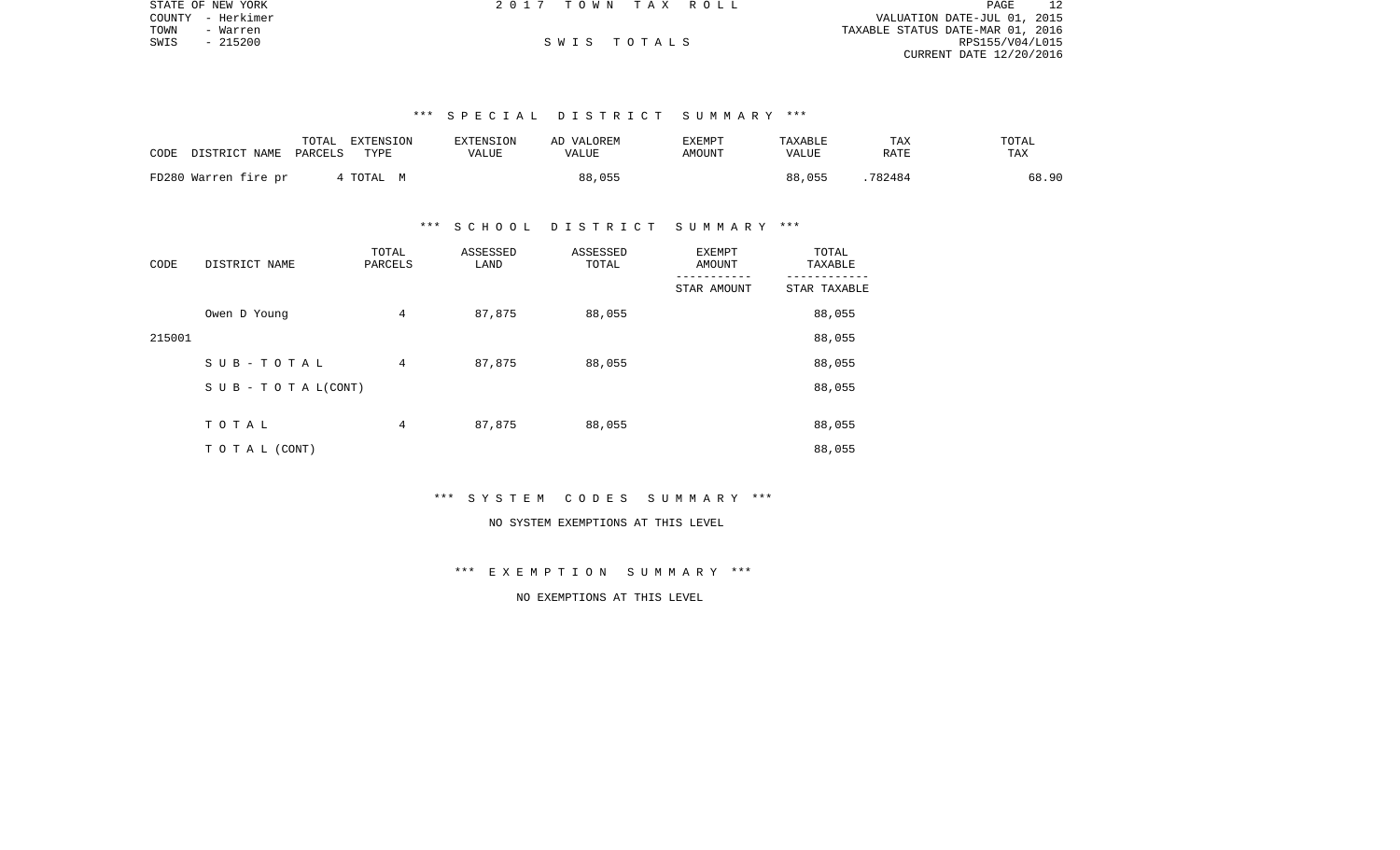|      | STATE OF NEW YORK | 2017 TOWN TAX ROLL |             | PAGE                             |  |
|------|-------------------|--------------------|-------------|----------------------------------|--|
|      | COUNTY - Herkimer |                    |             | VALUATION DATE-JUL 01, 2015      |  |
| TOWN | - Warren          |                    |             | TAXABLE STATUS DATE-MAR 01, 2016 |  |
| SWIS | $-215200$         |                    | SWIS TOTALS | RPS155/V04/L015                  |  |
|      |                   |                    |             | CURRENT DATE 12/20/2016          |  |

# \*\*\* S P E C I A L D I S T R I C T S U M M A R Y \*\*\*

| CODE<br>DISTRICT NAME | TOTAL<br>EXTENSION<br>TYPE<br>PARCELS | <b>EXTENSION</b><br>VALUE | AD VALOREM<br>VALUE | EXEMPT<br>AMOUNT | TAXABLE<br>VALUE | TAX<br>RATE | TOTAL<br>TAX |
|-----------------------|---------------------------------------|---------------------------|---------------------|------------------|------------------|-------------|--------------|
| FD280 Warren fire pr  | 4 TOTAL M                             |                           | 88,055              |                  | 88,055           | 782484      | 68.90        |

#### \*\*\* S C H O O L D I S T R I C T S U M M A R Y \*\*\*

| CODE   | DISTRICT NAME                    | TOTAL<br>PARCELS | ASSESSED<br>LAND | ASSESSED<br>TOTAL | <b>EXEMPT</b><br>AMOUNT | TOTAL<br>TAXABLE |
|--------|----------------------------------|------------------|------------------|-------------------|-------------------------|------------------|
|        |                                  |                  |                  |                   | STAR AMOUNT             | STAR TAXABLE     |
|        | Owen D Young                     | 4                | 87,875           | 88,055            |                         | 88,055           |
| 215001 |                                  |                  |                  |                   |                         | 88,055           |
|        | SUB-TOTAL                        | 4                | 87,875           | 88,055            |                         | 88,055           |
|        | $S \cup B - T \cup T A L (CONT)$ |                  |                  |                   |                         | 88,055           |
|        |                                  |                  |                  |                   |                         |                  |
|        | TOTAL                            | 4                | 87,875           | 88,055            |                         | 88,055           |
|        | T O T A L (CONT)                 |                  |                  |                   |                         | 88,055           |

#### \*\*\* S Y S T E M C O D E S S U M M A R Y \*\*\*

# NO SYSTEM EXEMPTIONS AT THIS LEVEL

# \*\*\* E X E M P T I O N S U M M A R Y \*\*\*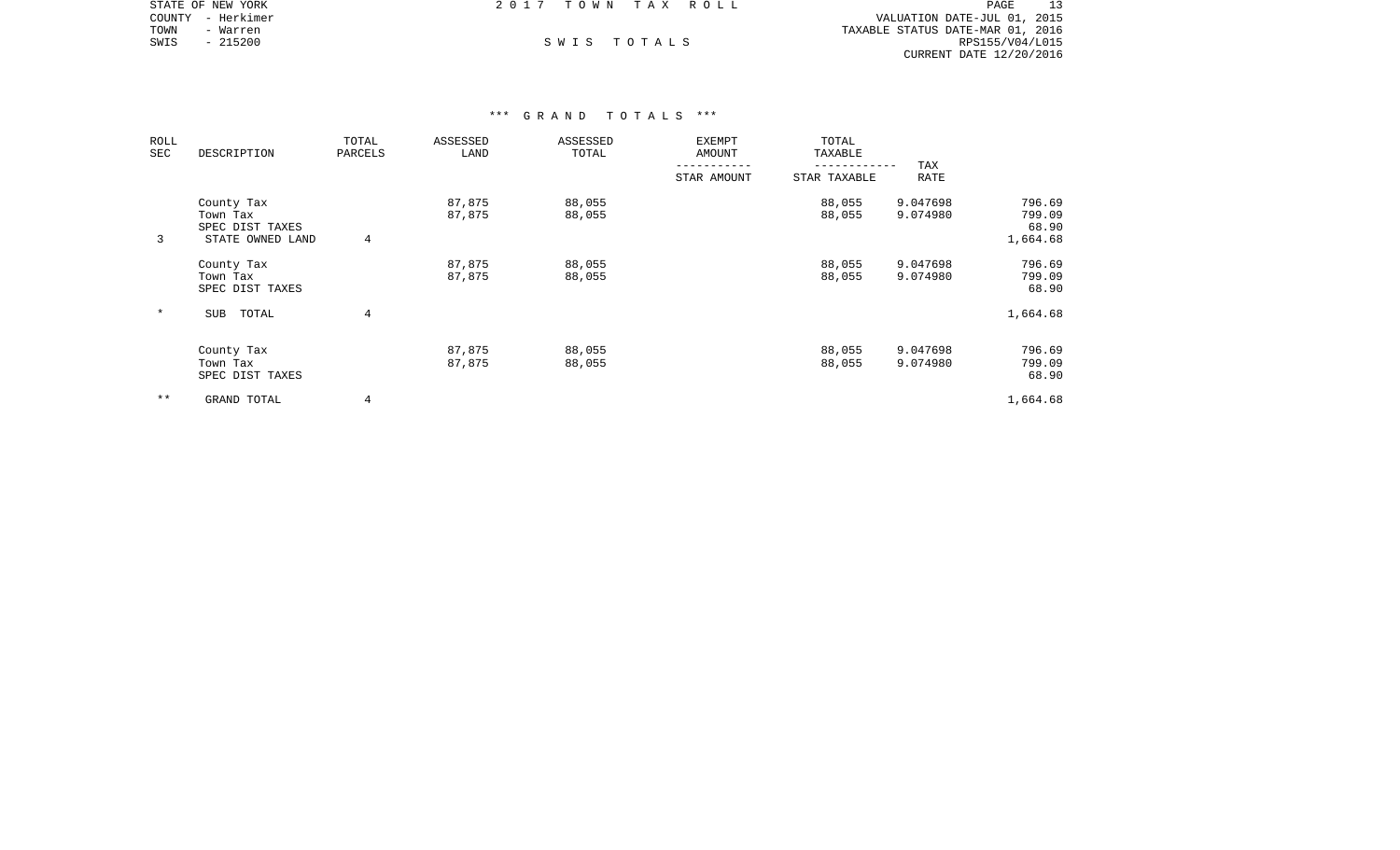|      | STATE OF NEW YORK | 2017 TOWN TAX ROLL |             | PAGE                             |  |
|------|-------------------|--------------------|-------------|----------------------------------|--|
|      | COUNTY - Herkimer |                    |             | VALUATION DATE-JUL 01, 2015      |  |
| TOWN | - Warren          |                    |             | TAXABLE STATUS DATE-MAR 01, 2016 |  |
| SWIS | $-215200$         |                    | SWIS TOTALS | RPS155/V04/L015                  |  |
|      |                   |                    |             | CURRENT DATE 12/20/2016          |  |

| ROLL<br>SEC | DESCRIPTION                                                   | TOTAL<br>PARCELS | ASSESSED<br>LAND | ASSESSED<br>TOTAL | <b>EXEMPT</b><br><b>AMOUNT</b> | TOTAL<br>TAXABLE |                      |                                       |
|-------------|---------------------------------------------------------------|------------------|------------------|-------------------|--------------------------------|------------------|----------------------|---------------------------------------|
|             |                                                               |                  |                  |                   | STAR AMOUNT                    | STAR TAXABLE     | TAX<br>RATE          |                                       |
| 3           | County Tax<br>Town Tax<br>SPEC DIST TAXES<br>STATE OWNED LAND | $\overline{4}$   | 87,875<br>87,875 | 88,055<br>88,055  |                                | 88,055<br>88,055 | 9.047698<br>9.074980 | 796.69<br>799.09<br>68.90<br>1,664.68 |
|             | County Tax<br>Town Tax<br>SPEC DIST TAXES                     |                  | 87,875<br>87,875 | 88,055<br>88,055  |                                | 88,055<br>88,055 | 9.047698<br>9.074980 | 796.69<br>799.09<br>68.90             |
| $\ast$      | SUB<br>TOTAL                                                  | $\overline{4}$   |                  |                   |                                |                  |                      | 1,664.68                              |
|             | County Tax<br>Town Tax<br>SPEC DIST TAXES                     |                  | 87,875<br>87,875 | 88,055<br>88,055  |                                | 88,055<br>88,055 | 9.047698<br>9.074980 | 796.69<br>799.09<br>68.90             |
| $* *$       | GRAND TOTAL                                                   | $\overline{4}$   |                  |                   |                                |                  |                      | 1,664.68                              |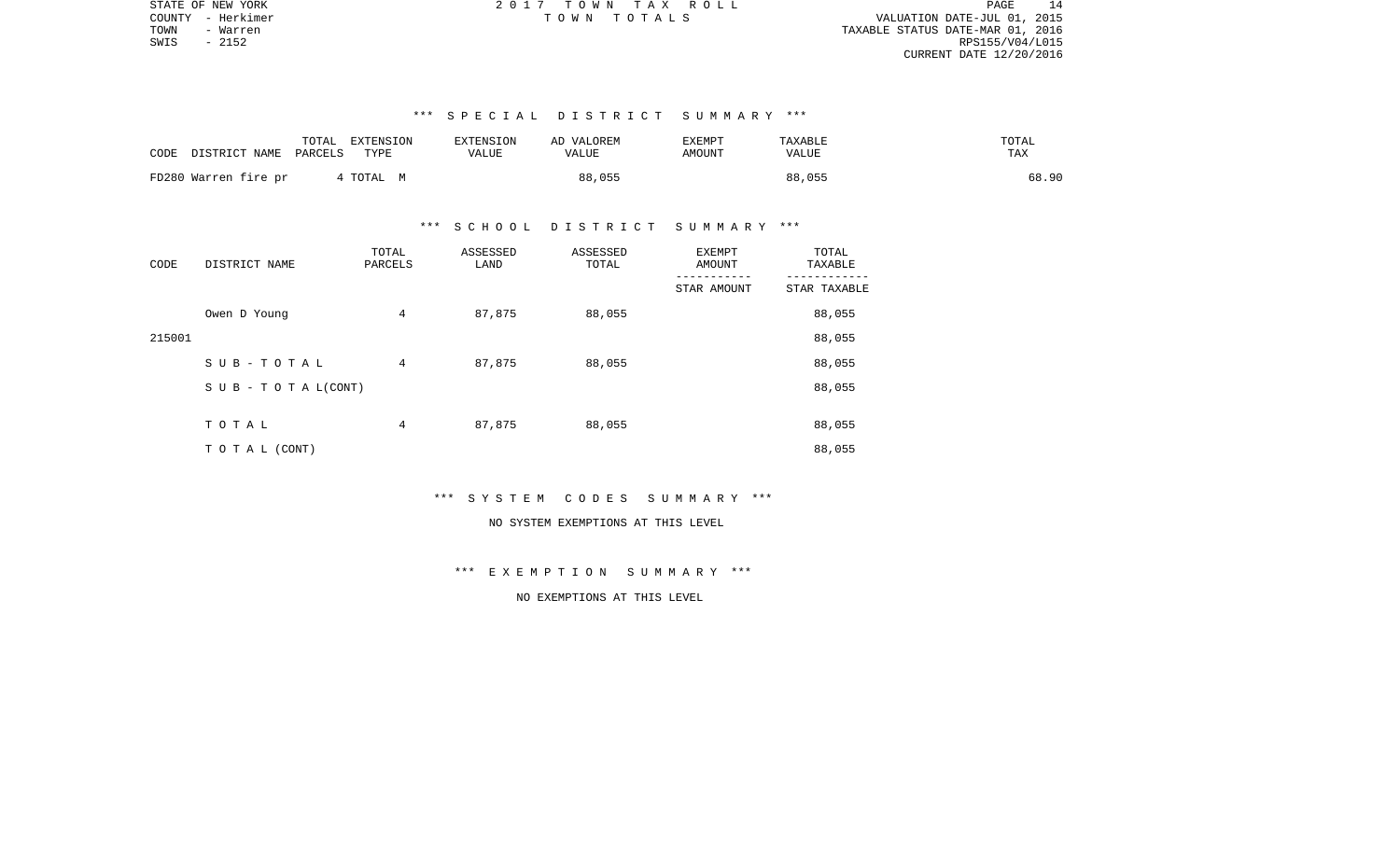PAGE 14 COUNTY - Herkimer T O W N T O T A L S VALUATION DATE-JUL 01, 2015 TOWN - Warren TAXABLE STATUS DATE-MAR 01, 2016 RPS155/V04/L015 CURRENT DATE 12/20/2016

# \*\*\* S P E C I A L D I S T R I C T S U M M A R Y \*\*\*

| TOTAL<br>DISTRICT NAME<br>CODE<br>PARCELS | EXTENSION<br>TYPE | EXTENSION<br><b>VALUE</b> | AD VALOREM<br>VALUE | <b>EXEMPT</b><br><b>AMOUNT</b> | TAXABLE<br><b>VALUE</b> | TOTAL<br>TAX |
|-------------------------------------------|-------------------|---------------------------|---------------------|--------------------------------|-------------------------|--------------|
| FD280 Warren fire pr                      | TOTAL M           |                           | 88,055              |                                | 88,055                  | 68.90        |

#### \*\*\* S C H O O L D I S T R I C T S U M M A R Y \*\*\*

| CODE   | DISTRICT NAME      | TOTAL<br>PARCELS | ASSESSED<br>LAND | ASSESSED<br>TOTAL | EXEMPT<br>AMOUNT | TOTAL<br>TAXABLE |
|--------|--------------------|------------------|------------------|-------------------|------------------|------------------|
|        |                    |                  |                  |                   | STAR AMOUNT      | STAR TAXABLE     |
|        | Owen D Young       | 4                | 87,875           | 88,055            |                  | 88,055           |
| 215001 |                    |                  |                  |                   |                  | 88,055           |
|        | SUB-TOTAL          | 4                | 87,875           | 88,055            |                  | 88,055           |
|        | SUB - TO TAL(CONT) |                  |                  |                   |                  | 88,055           |
|        |                    |                  |                  |                   |                  |                  |
|        | TOTAL              | 4                | 87,875           | 88,055            |                  | 88,055           |
|        | TO TAL (CONT)      |                  |                  |                   |                  | 88,055           |

# \*\*\* S Y S T E M C O D E S S U M M A R Y \*\*\*

# NO SYSTEM EXEMPTIONS AT THIS LEVEL

# \*\*\* E X E M P T I O N S U M M A R Y \*\*\*